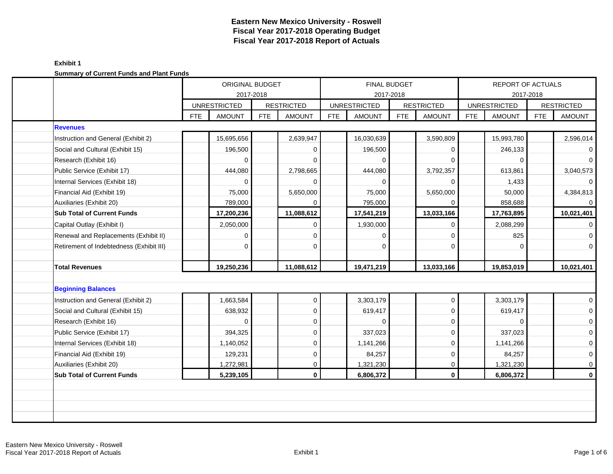| <u> Sanmary Sr Sarrom i ando and i lant i ando</u> |            | ORIGINAL BUDGET     |            |                   |     |                     | FINAL BUDGET |                   |            | REPORT OF ACTUALS   |            |                   |
|----------------------------------------------------|------------|---------------------|------------|-------------------|-----|---------------------|--------------|-------------------|------------|---------------------|------------|-------------------|
|                                                    |            | <b>UNRESTRICTED</b> | 2017-2018  | <b>RESTRICTED</b> |     | <b>UNRESTRICTED</b> | 2017-2018    | <b>RESTRICTED</b> |            | <b>UNRESTRICTED</b> | 2017-2018  | <b>RESTRICTED</b> |
|                                                    | <b>FTE</b> | <b>AMOUNT</b>       | <b>FTE</b> | <b>AMOUNT</b>     | FTE | <b>AMOUNT</b>       | <b>FTE</b>   | <b>AMOUNT</b>     | <b>FTE</b> | <b>AMOUNT</b>       | <b>FTE</b> | <b>AMOUNT</b>     |
| <b>Revenues</b>                                    |            |                     |            |                   |     |                     |              |                   |            |                     |            |                   |
| Instruction and General (Exhibit 2)                |            | 15,695,656          |            | 2,639,947         |     | 16,030,639          |              | 3,590,809         |            | 15,993,780          |            | 2,596,014         |
| Social and Cultural (Exhibit 15)                   |            | 196,500             |            | 0                 |     | 196,500             |              | 0                 |            | 246,133             |            | $\overline{0}$    |
| Research (Exhibit 16)                              |            | 0                   |            | $\Omega$          |     | $\Omega$            |              | $\Omega$          |            | 0                   |            | $\overline{0}$    |
| Public Service (Exhibit 17)                        |            | 444,080             |            | 2,798,665         |     | 444,080             |              | 3,792,357         |            | 613,861             |            | 3,040,573         |
| Internal Services (Exhibit 18)                     |            | 0                   |            | 0                 |     | $\Omega$            |              | $\Omega$          |            | 1,433               |            | $\overline{0}$    |
| Financial Aid (Exhibit 19)                         |            | 75,000              |            | 5,650,000         |     | 75,000              |              | 5,650,000         |            | 50,000              |            | 4,384,813         |
| Auxiliaries (Exhibit 20)                           |            | 789,000             |            |                   |     | 795,000             |              | $\Omega$          |            | 858,688             |            | $\overline{0}$    |
| <b>Sub Total of Current Funds</b>                  |            | 17,200,236          |            | 11,088,612        |     | 17,541,219          |              | 13,033,166        |            | 17,763,895          |            | 10,021,401        |
| Capital Outlay (Exhibit I)                         |            | 2,050,000           |            | $\mathbf 0$       |     | 1,930,000           |              | $\mathbf 0$       |            | 2,088,299           |            | $\overline{0}$    |
| Renewal and Replacements (Exhibit II)              |            | 0                   |            | $\Omega$          |     | $\Omega$            |              | $\Omega$          |            | 825                 |            | $\overline{0}$    |
| Retirement of Indebtedness (Exhibit III)           |            | 0                   |            | $\Omega$          |     | $\Omega$            |              | $\Omega$          |            | $\Omega$            |            | $\overline{0}$    |
|                                                    |            |                     |            |                   |     |                     |              |                   |            |                     |            |                   |
| <b>Total Revenues</b>                              |            | 19,250,236          |            | 11,088,612        |     | 19,471,219          |              | 13,033,166        |            | 19,853,019          |            | 10,021,401        |
|                                                    |            |                     |            |                   |     |                     |              |                   |            |                     |            |                   |
| <b>Beginning Balances</b>                          |            |                     |            |                   |     |                     |              |                   |            |                     |            |                   |
| Instruction and General (Exhibit 2)                |            | 1,663,584           |            | 0                 |     | 3,303,179           |              | $\mathbf 0$       |            | 3,303,179           |            | $\overline{0}$    |
| Social and Cultural (Exhibit 15)                   |            | 638,932             |            | $\mathbf 0$       |     | 619,417             |              | $\mathbf 0$       |            | 619,417             |            | $\overline{0}$    |
| Research (Exhibit 16)                              |            | 0                   |            | $\mathbf 0$       |     | $\Omega$            |              | $\mathbf{0}$      |            | 0                   |            | $\overline{0}$    |
| Public Service (Exhibit 17)                        |            | 394,325             |            | $\mathbf 0$       |     | 337,023             |              | $\mathbf 0$       |            | 337,023             |            | $\overline{0}$    |
| Internal Services (Exhibit 18)                     |            | 1,140,052           |            | $\mathbf 0$       |     | 1,141,266           |              | $\mathbf 0$       |            | 1,141,266           |            | $\mathbf{O}$      |
| Financial Aid (Exhibit 19)                         |            | 129,231             |            | 0                 |     | 84,257              |              | $\mathbf 0$       |            | 84,257              |            | $\overline{0}$    |
| Auxiliaries (Exhibit 20)                           |            | 1,272,981           |            | $\mathbf 0$       |     | 1,321,230           |              | $\mathbf 0$       |            | 1,321,230           |            | $\overline{0}$    |
| <b>Sub Total of Current Funds</b>                  |            | 5,239,105           |            | $\mathbf 0$       |     | 6,806,372           |              | $\mathbf 0$       |            | 6,806,372           |            | $\mathbf{0}$      |
|                                                    |            |                     |            |                   |     |                     |              |                   |            |                     |            |                   |
|                                                    |            |                     |            |                   |     |                     |              |                   |            |                     |            |                   |
|                                                    |            |                     |            |                   |     |                     |              |                   |            |                     |            |                   |
|                                                    |            |                     |            |                   |     |                     |              |                   |            |                     |            |                   |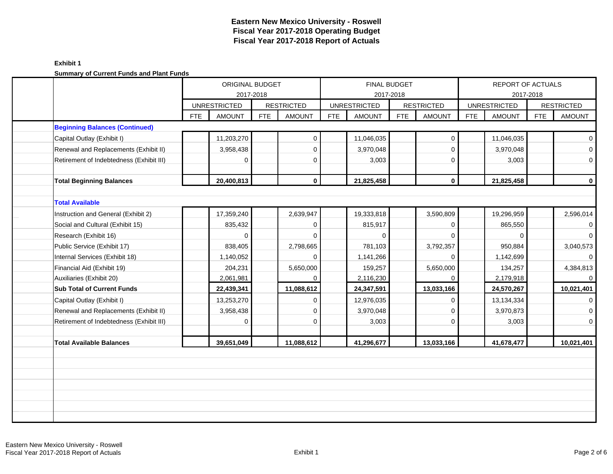|                                          | ORIGINAL BUDGET             |            |                   |            | <b>FINAL BUDGET</b> |            |                   |            | <b>REPORT OF ACTUALS</b> |            |                     |
|------------------------------------------|-----------------------------|------------|-------------------|------------|---------------------|------------|-------------------|------------|--------------------------|------------|---------------------|
|                                          |                             | 2017-2018  |                   |            | 2017-2018           |            |                   |            | 2017-2018                |            |                     |
|                                          | <b>UNRESTRICTED</b>         |            | <b>RESTRICTED</b> |            | <b>UNRESTRICTED</b> |            | <b>RESTRICTED</b> |            | <b>UNRESTRICTED</b>      |            | <b>RESTRICTED</b>   |
|                                          | <b>FTE</b><br><b>AMOUNT</b> | <b>FTE</b> | <b>AMOUNT</b>     | <b>FTE</b> | <b>AMOUNT</b>       | <b>FTE</b> | <b>AMOUNT</b>     | <b>FTE</b> | <b>AMOUNT</b>            | <b>FTE</b> | <b>AMOUNT</b>       |
| <b>Beginning Balances (Continued)</b>    |                             |            |                   |            |                     |            |                   |            |                          |            |                     |
| Capital Outlay (Exhibit I)               | 11,203,270                  |            | 0                 |            | 11,046,035          |            | $\mathbf 0$       |            | 11,046,035               |            | $\overline{0}$      |
| Renewal and Replacements (Exhibit II)    | 3,958,438                   |            | $\mathbf{0}$      |            | 3,970,048           |            | $\mathbf 0$       |            | 3,970,048                |            | $\mathsf{O}\xspace$ |
| Retirement of Indebtedness (Exhibit III) | 0                           |            | $\mathbf 0$       |            | 3,003               |            | $\Omega$          |            | 3,003                    |            | $\overline{0}$      |
| <b>Total Beginning Balances</b>          | 20,400,813                  |            | $\mathbf{0}$      |            | 21,825,458          |            | $\mathbf 0$       |            | 21,825,458               |            | $\mathbf 0$         |
| <b>Total Available</b>                   |                             |            |                   |            |                     |            |                   |            |                          |            |                     |
| Instruction and General (Exhibit 2)      | 17,359,240                  |            | 2,639,947         |            | 19,333,818          |            | 3,590,809         |            | 19,296,959               |            | 2,596,014           |
| Social and Cultural (Exhibit 15)         | 835,432                     |            | $\mathbf 0$       |            | 815,917             |            | $\Omega$          |            | 865,550                  |            | $\mathbf 0$         |
| Research (Exhibit 16)                    | 0                           |            | 0                 |            | $\Omega$            |            | $\Omega$          |            | $\Omega$                 |            | $\overline{0}$      |
| Public Service (Exhibit 17)              | 838,405                     |            | 2,798,665         |            | 781,103             |            | 3,792,357         |            | 950,884                  |            | 3,040,573           |
| Internal Services (Exhibit 18)           | 1,140,052                   |            | $\Omega$          |            | 1,141,266           |            | $\Omega$          |            | 1,142,699                |            | $\overline{0}$      |
| Financial Aid (Exhibit 19)               | 204,231                     |            | 5,650,000         |            | 159,257             |            | 5,650,000         |            | 134,257                  |            | 4,384,813           |
| Auxiliaries (Exhibit 20)                 | 2,061,981                   |            | $\mathbf 0$       |            | 2,116,230           |            | $\Omega$          |            | 2,179,918                |            | $\overline{0}$      |
| <b>Sub Total of Current Funds</b>        | 22,439,341                  |            | 11,088,612        |            | 24,347,591          |            | 13,033,166        |            | 24,570,267               |            | 10,021,401          |
| Capital Outlay (Exhibit I)               | 13,253,270                  |            | $\mathbf 0$       |            | 12,976,035          |            | $\mathbf 0$       |            | 13, 134, 334             |            | $\mathbf 0$         |
| Renewal and Replacements (Exhibit II)    | 3,958,438                   |            | $\mathbf 0$       |            | 3,970,048           |            | $\Omega$          |            | 3,970,873                |            | $\mathbf 0$         |
| Retirement of Indebtedness (Exhibit III) | 0                           |            | $\mathbf 0$       |            | 3,003               |            | $\Omega$          |            | 3,003                    |            | $\mathbf 0$         |
|                                          |                             |            |                   |            |                     |            |                   |            |                          |            |                     |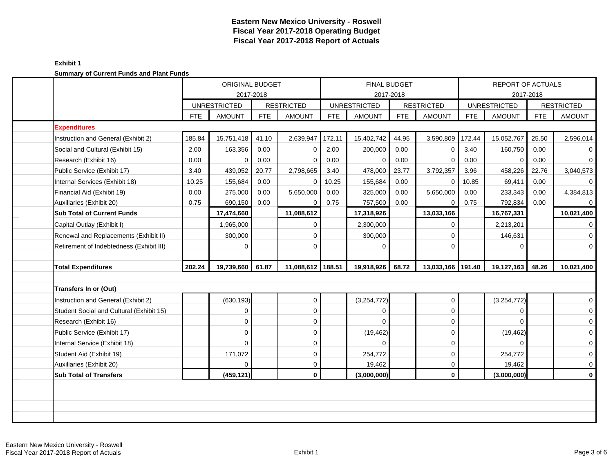| <u> Janmary Jr Janvin I ando and Flance ando</u> |            | ORIGINAL BUDGET     |            |                   |            |                     | <b>FINAL BUDGET</b> |                   | REPORT OF ACTUALS<br>2017-2018 |                     |            |                   |
|--------------------------------------------------|------------|---------------------|------------|-------------------|------------|---------------------|---------------------|-------------------|--------------------------------|---------------------|------------|-------------------|
|                                                  |            |                     | 2017-2018  |                   |            |                     | 2017-2018           |                   |                                |                     |            |                   |
|                                                  |            | <b>UNRESTRICTED</b> | <b>FTE</b> | <b>RESTRICTED</b> | <b>FTE</b> | <b>UNRESTRICTED</b> | <b>FTE</b>          | <b>RESTRICTED</b> | <b>FTE</b>                     | <b>UNRESTRICTED</b> | <b>FTE</b> | <b>RESTRICTED</b> |
| <b>Expenditures</b>                              | <b>FTE</b> | <b>AMOUNT</b>       |            | <b>AMOUNT</b>     |            | <b>AMOUNT</b>       |                     | <b>AMOUNT</b>     |                                | <b>AMOUNT</b>       |            | <b>AMOUNT</b>     |
| Instruction and General (Exhibit 2)              | 185.84     | 15,751,418          | 41.10      | 2,639,947         | 172.11     | 15,402,742          | 44.95               | 3,590,809         | 172.44                         | 15,052,767          | 25.50      | 2,596,014         |
| Social and Cultural (Exhibit 15)                 | 2.00       | 163,356             | 0.00       | $\Omega$          | 2.00       | 200,000             | 0.00                | $\mathbf 0$       | 3.40                           | 160,750             | 0.00       | $\overline{0}$    |
| Research (Exhibit 16)                            | 0.00       | 0                   | 0.00       | $\Omega$          | 0.00       | $\Omega$            | 0.00                | $\Omega$          | 0.00                           | $\mathbf 0$         | 0.00       | $\overline{0}$    |
| Public Service (Exhibit 17)                      | 3.40       | 439,052             | 20.77      | 2,798,665         | 3.40       | 478,000             | 23.77               | 3,792,357         | 3.96                           | 458,226             | 22.76      | 3,040,573         |
| Internal Services (Exhibit 18)                   | 10.25      | 155,684             | 0.00       | $\mathbf 0$       | 10.25      | 155,684             | 0.00                | 0                 | 10.85                          | 69,411              | 0.00       | $\overline{0}$    |
| Financial Aid (Exhibit 19)                       | 0.00       | 275,000             | 0.00       | 5,650,000         | 0.00       | 325,000             | 0.00                | 5,650,000         | 0.00                           | 233,343             | 0.00       | 4,384,813         |
| Auxiliaries (Exhibit 20)                         | 0.75       | 690,150             | 0.00       | 0                 | 0.75       | 757,500             | 0.00                | $\Omega$          | 0.75                           | 792,834             | 0.00       | $\overline{0}$    |
| <b>Sub Total of Current Funds</b>                |            | 17,474,660          |            | 11,088,612        |            | 17,318,926          |                     | 13,033,166        |                                | 16,767,331          |            | 10,021,400        |
| Capital Outlay (Exhibit I)                       |            | 1,965,000           |            | $\Omega$          |            | 2,300,000           |                     | $\mathbf 0$       |                                | 2,213,201           |            | $\overline{0}$    |
| Renewal and Replacements (Exhibit II)            |            | 300,000             |            | $\mathbf 0$       |            | 300,000             |                     | $\mathbf{0}$      |                                | 146,631             |            | $\overline{0}$    |
| Retirement of Indebtedness (Exhibit III)         |            | 0                   |            | $\Omega$          |            | $\Omega$            |                     | $\Omega$          |                                | 0                   |            | $\overline{0}$    |
|                                                  |            |                     |            |                   |            |                     |                     |                   |                                |                     |            |                   |
| <b>Total Expenditures</b>                        | 202.24     | 19,739,660          | 61.87      | 11,088,612 188.51 |            | 19,918,926          | 68.72               | 13,033,166        | 191.40                         | 19,127,163          | 48.26      | 10,021,400        |
|                                                  |            |                     |            |                   |            |                     |                     |                   |                                |                     |            |                   |
| <b>Transfers In or (Out)</b>                     |            |                     |            |                   |            |                     |                     |                   |                                |                     |            |                   |
| Instruction and General (Exhibit 2)              |            | (630, 193)          |            | 0                 |            | (3, 254, 772)       |                     | $\mathbf 0$       |                                | (3,254,772)         |            | $\overline{0}$    |
| Student Social and Cultural (Exhibit 15)         |            | $\Omega$            |            | $\Omega$          |            | $\Omega$            |                     | $\Omega$          |                                | 0                   |            | $\overline{0}$    |
| Research (Exhibit 16)                            |            | $\Omega$            |            | $\mathbf 0$       |            |                     |                     | $\mathbf 0$       |                                |                     |            | $\mathbf{O}$      |
| Public Service (Exhibit 17)                      |            | $\Omega$            |            | $\Omega$          |            | (19, 462)           |                     | $\mathbf 0$       |                                | (19, 462)           |            | $\overline{0}$    |
| Internal Service (Exhibit 18)                    |            | $\Omega$            |            | $\Omega$          |            | $\Omega$            |                     | $\mathbf 0$       |                                | $\Omega$            |            | $\overline{0}$    |
| Student Aid (Exhibit 19)                         |            | 171,072             |            | $\mathbf 0$       |            | 254,772             |                     | $\mathbf 0$       |                                | 254,772             |            | $\mathbf{O}$      |
| Auxiliaries (Exhibit 20)                         |            | 0                   |            | $\mathbf 0$       |            | 19,462              |                     | $\mathbf 0$       |                                | 19,462              |            | $\overline{0}$    |
| <b>Sub Total of Transfers</b>                    |            | (459, 121)          |            | $\mathbf{0}$      |            | (3,000,000)         |                     | $\mathbf 0$       |                                | (3,000,000)         |            | $\mathbf{0}$      |
|                                                  |            |                     |            |                   |            |                     |                     |                   |                                |                     |            |                   |
|                                                  |            |                     |            |                   |            |                     |                     |                   |                                |                     |            |                   |
|                                                  |            |                     |            |                   |            |                     |                     |                   |                                |                     |            |                   |
|                                                  |            |                     |            |                   |            |                     |                     |                   |                                |                     |            |                   |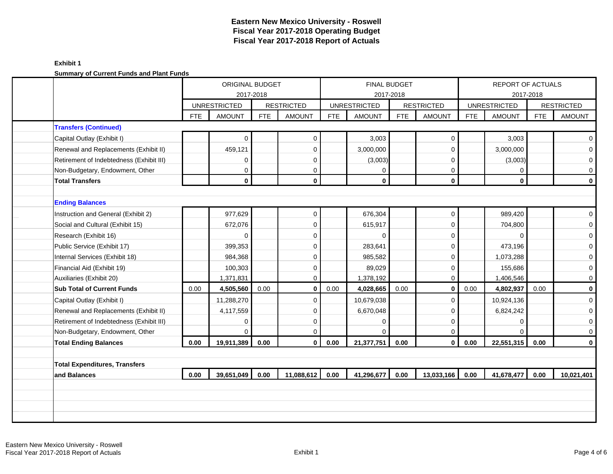|                                          |            | ORIGINAL BUDGET     |            |                   |            | <b>FINAL BUDGET</b>              |            |                   |            | REPORT OF ACTUALS   |            |                     |
|------------------------------------------|------------|---------------------|------------|-------------------|------------|----------------------------------|------------|-------------------|------------|---------------------|------------|---------------------|
|                                          |            | <b>UNRESTRICTED</b> | 2017-2018  | <b>RESTRICTED</b> |            | 2017-2018<br><b>UNRESTRICTED</b> |            | <b>RESTRICTED</b> |            | <b>UNRESTRICTED</b> | 2017-2018  | <b>RESTRICTED</b>   |
|                                          | <b>FTE</b> | <b>AMOUNT</b>       | <b>FTE</b> | <b>AMOUNT</b>     | <b>FTE</b> | <b>AMOUNT</b>                    | <b>FTE</b> | <b>AMOUNT</b>     | <b>FTE</b> | <b>AMOUNT</b>       | <b>FTE</b> | <b>AMOUNT</b>       |
| <b>Transfers (Continued)</b>             |            |                     |            |                   |            |                                  |            |                   |            |                     |            |                     |
| Capital Outlay (Exhibit I)               |            | 0                   |            | 0                 |            | 3,003                            |            | 0                 |            | 3,003               |            | $\mathbf{0}$        |
| Renewal and Replacements (Exhibit II)    |            | 459,121             |            | $\Omega$          |            | 3,000,000                        |            | $\mathbf 0$       |            | 3,000,000           |            | $\overline{0}$      |
| Retirement of Indebtedness (Exhibit III) |            | 0                   |            | $\Omega$          |            | (3,003)                          |            | $\mathbf 0$       |            | (3,003)             |            | $\mathbf{O}$        |
| Non-Budgetary, Endowment, Other          |            | 0                   |            | 0                 |            | 0                                |            | 0                 |            | 0                   |            | $\mathsf{O}\xspace$ |
| <b>Total Transfers</b>                   |            | $\mathbf{0}$        |            | $\mathbf{0}$      |            | $\mathbf{0}$                     |            | $\bf{0}$          |            | $\mathbf{0}$        |            | $\mathbf 0$         |
|                                          |            |                     |            |                   |            |                                  |            |                   |            |                     |            |                     |
| <b>Ending Balances</b>                   |            |                     |            |                   |            |                                  |            |                   |            |                     |            |                     |
| Instruction and General (Exhibit 2)      |            | 977,629             |            | 0                 |            | 676,304                          |            | $\mathbf 0$       |            | 989,420             |            | $\mathbf{0}$        |
| Social and Cultural (Exhibit 15)         |            | 672,076             |            | $\mathbf 0$       |            | 615,917                          |            | 0                 |            | 704,800             |            | $\mathsf{O}\xspace$ |
| Research (Exhibit 16)                    |            | 0                   |            | $\mathbf 0$       |            | $\Omega$                         |            | 0                 |            | $\Omega$            |            | $\mathbf{O}$        |
| Public Service (Exhibit 17)              |            | 399.353             |            | $\Omega$          |            | 283,641                          |            | $\mathbf 0$       |            | 473,196             |            | $\mathbf 0$         |
| Internal Services (Exhibit 18)           |            | 984,368             |            | $\Omega$          |            | 985,582                          |            | $\Omega$          |            | 1,073,288           |            | $\mathbf 0$         |
| Financial Aid (Exhibit 19)               |            | 100,303             |            | $\Omega$          |            | 89,029                           |            | $\mathbf 0$       |            | 155,686             |            | $\mathsf{O}\xspace$ |
| Auxiliaries (Exhibit 20)                 |            | 1,371,831           |            | $\Omega$          |            | 1,378,192                        |            | $\mathbf 0$       |            | 1,406,546           |            | $\mathsf{O}\xspace$ |
| <b>Sub Total of Current Funds</b>        | 0.00       | 4,505,560           | 0.00       | $\mathbf{0}$      | 0.00       | 4,028,665                        | 0.00       | $\mathbf 0$       | 0.00       | 4,802,937           | 0.00       | $\mathbf 0$         |
| Capital Outlay (Exhibit I)               |            | 11,288,270          |            | $\mathbf 0$       |            | 10,679,038                       |            | $\mathbf 0$       |            | 10,924,136          |            | $\mathbf 0$         |
| Renewal and Replacements (Exhibit II)    |            | 4,117,559           |            | $\mathbf 0$       |            | 6,670,048                        |            | $\mathbf 0$       |            | 6,824,242           |            | $\overline{0}$      |
| Retirement of Indebtedness (Exhibit III) |            | 0                   |            | $\mathbf 0$       |            | 0                                |            | $\mathbf 0$       |            | $\Omega$            |            | $\mathbf 0$         |
| Non-Budgetary, Endowment, Other          |            |                     |            | $\Omega$          |            | $\Omega$                         |            | $\mathbf 0$       |            | $\Omega$            |            | $\mathsf{O}\xspace$ |
| <b>Total Ending Balances</b>             | 0.00       | 19,911,389          | 0.00       | $\mathbf{0}$      | 0.00       | 21,377,751                       | 0.00       | $\mathbf 0$       | 0.00       | 22,551,315          | 0.00       | $\mathbf 0$         |
|                                          |            |                     |            |                   |            |                                  |            |                   |            |                     |            |                     |
| <b>Total Expenditures, Transfers</b>     |            |                     |            |                   |            |                                  |            |                   |            |                     |            |                     |
|                                          | 0.00       | 39,651,049          | 0.00       | 11,088,612        | 0.00       | 41,296,677                       | 0.00       | 13,033,166        | 0.00       | 41,678,477          | 0.00       | 10,021,401          |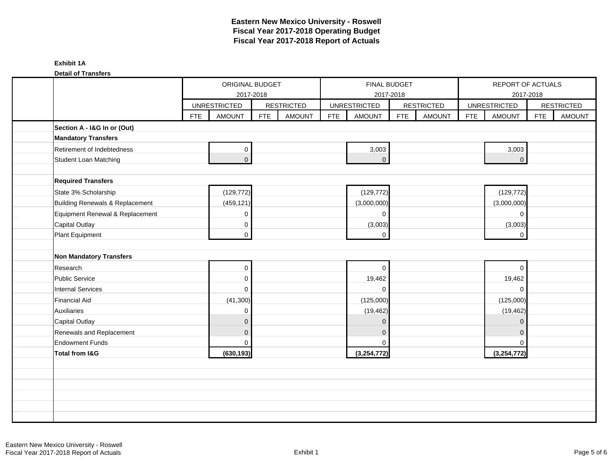**Detail of Transfers**

|                                                    |            | ORIGINAL BUDGET<br>2017-2018 |            |                   |            | FINAL BUDGET<br>2017-2018 |            |                   |            | REPORT OF ACTUALS<br>2017-2018 |            |                   |
|----------------------------------------------------|------------|------------------------------|------------|-------------------|------------|---------------------------|------------|-------------------|------------|--------------------------------|------------|-------------------|
|                                                    |            | <b>UNRESTRICTED</b>          |            | <b>RESTRICTED</b> |            | <b>UNRESTRICTED</b>       |            | <b>RESTRICTED</b> |            | <b>UNRESTRICTED</b>            |            | <b>RESTRICTED</b> |
|                                                    | <b>FTE</b> | <b>AMOUNT</b>                | <b>FTE</b> | <b>AMOUNT</b>     | <b>FTE</b> | <b>AMOUNT</b>             | <b>FTE</b> | <b>AMOUNT</b>     | <b>FTE</b> | <b>AMOUNT</b>                  | <b>FTE</b> | <b>AMOUNT</b>     |
| Section A - I&G In or (Out)                        |            |                              |            |                   |            |                           |            |                   |            |                                |            |                   |
| <b>Mandatory Transfers</b>                         |            |                              |            |                   |            |                           |            |                   |            |                                |            |                   |
| Retirement of Indebtedness                         |            | 0                            |            |                   |            | 3,003                     |            |                   |            | 3,003                          |            |                   |
| <b>Student Loan Matching</b>                       |            | $\overline{0}$               |            |                   |            | $\overline{0}$            |            |                   |            | $\overline{0}$                 |            |                   |
|                                                    |            |                              |            |                   |            |                           |            |                   |            |                                |            |                   |
| <b>Required Transfers</b>                          |            |                              |            |                   |            |                           |            |                   |            |                                |            |                   |
| State 3% Scholarship                               |            | (129, 772)                   |            |                   |            | (129, 772)                |            |                   |            | (129, 772)                     |            |                   |
| Building Renewals & Replacement                    |            | (459, 121)                   |            |                   |            | (3,000,000)               |            |                   |            | (3,000,000)                    |            |                   |
| Equipment Renewal & Replacement                    |            | 0                            |            |                   |            | $\mathbf 0$               |            |                   |            | $\mathbf 0$                    |            |                   |
| <b>Capital Outlay</b>                              |            | 0                            |            |                   |            | (3,003)                   |            |                   |            | (3,003)                        |            |                   |
| Plant Equipment                                    |            | $\overline{0}$               |            |                   |            | $\Omega$                  |            |                   |            | $\mathbf 0$                    |            |                   |
|                                                    |            |                              |            |                   |            |                           |            |                   |            |                                |            |                   |
| Non Mandatory Transfers                            |            |                              |            |                   |            |                           |            |                   |            |                                |            |                   |
| Research                                           |            | $\mathbf 0$                  |            |                   |            | $\mathbf 0$               |            |                   |            | $\Omega$                       |            |                   |
| Public Service                                     |            | $\mathbf 0$                  |            |                   |            | 19,462                    |            |                   |            | 19,462                         |            |                   |
| <b>Internal Services</b><br><b>Financial Aid</b>   |            | $\mathbf 0$                  |            |                   |            | $\mathbf 0$               |            |                   |            | $\mathbf 0$                    |            |                   |
|                                                    |            | (41, 300)                    |            |                   |            | (125,000)                 |            |                   |            | (125,000)                      |            |                   |
| Auxiliaries                                        |            | 0                            |            |                   |            | (19, 462)                 |            |                   |            | (19, 462)                      |            |                   |
| <b>Capital Outlay</b>                              |            | $\mathbf 0$                  |            |                   |            | $\mathbf{0}$              |            |                   |            | $\mathbf 0$                    |            |                   |
| Renewals and Replacement<br><b>Endowment Funds</b> |            | $\pmb{0}$<br>$\mathbf 0$     |            |                   |            | $\mathbf{0}$<br>$\Omega$  |            |                   |            | $\Omega$<br>$\Omega$           |            |                   |
| <b>Total from I&amp;G</b>                          |            | (630, 193)                   |            |                   |            | (3,254,772)               |            |                   |            | (3,254,772)                    |            |                   |
|                                                    |            |                              |            |                   |            |                           |            |                   |            |                                |            |                   |
|                                                    |            |                              |            |                   |            |                           |            |                   |            |                                |            |                   |
|                                                    |            |                              |            |                   |            |                           |            |                   |            |                                |            |                   |
|                                                    |            |                              |            |                   |            |                           |            |                   |            |                                |            |                   |
|                                                    |            |                              |            |                   |            |                           |            |                   |            |                                |            |                   |
|                                                    |            |                              |            |                   |            |                           |            |                   |            |                                |            |                   |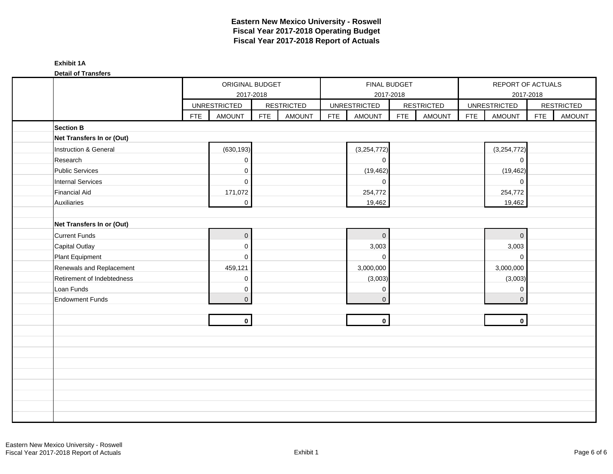**Detail of Transfers**

| <b>DAMILAL LIMINIAL</b>    |            | ORIGINAL BUDGET<br>2017-2018 |            |                   |            | FINAL BUDGET        | 2017-2018  |                   |            | REPORT OF ACTUALS<br>2017-2018 |            |                   |
|----------------------------|------------|------------------------------|------------|-------------------|------------|---------------------|------------|-------------------|------------|--------------------------------|------------|-------------------|
|                            |            | <b>UNRESTRICTED</b>          |            | <b>RESTRICTED</b> |            | <b>UNRESTRICTED</b> |            | <b>RESTRICTED</b> |            | <b>UNRESTRICTED</b>            |            | <b>RESTRICTED</b> |
|                            | <b>FTE</b> | <b>AMOUNT</b>                | <b>FTE</b> | <b>AMOUNT</b>     | <b>FTE</b> | <b>AMOUNT</b>       | <b>FTE</b> | <b>AMOUNT</b>     | <b>FTE</b> | <b>AMOUNT</b>                  | <b>FTE</b> | <b>AMOUNT</b>     |
| <b>Section B</b>           |            |                              |            |                   |            |                     |            |                   |            |                                |            |                   |
| Net Transfers In or (Out)  |            |                              |            |                   |            |                     |            |                   |            |                                |            |                   |
| Instruction & General      |            | (630, 193)                   |            |                   |            | (3,254,772)         |            |                   |            | (3,254,772)                    |            |                   |
| Research                   |            | 0                            |            |                   |            | 0                   |            |                   |            | $\mathbf 0$                    |            |                   |
| <b>Public Services</b>     |            | 0                            |            |                   |            | (19, 462)           |            |                   |            | (19, 462)                      |            |                   |
| <b>Internal Services</b>   |            | $\mathbf 0$                  |            |                   |            | $\mathbf 0$         |            |                   |            | $\mathbf 0$                    |            |                   |
| <b>Financial Aid</b>       |            | 171,072                      |            |                   |            | 254,772             |            |                   |            | 254,772                        |            |                   |
| Auxiliaries                |            | $\mathbf 0$                  |            |                   |            | 19,462              |            |                   |            | 19,462                         |            |                   |
|                            |            |                              |            |                   |            |                     |            |                   |            |                                |            |                   |
| Net Transfers In or (Out)  |            |                              |            |                   |            |                     |            |                   |            |                                |            |                   |
| <b>Current Funds</b>       |            | $\pmb{0}$                    |            |                   |            | $\mathbf 0$         |            |                   |            | $\overline{0}$                 |            |                   |
| Capital Outlay             |            | 0                            |            |                   |            | 3,003               |            |                   |            | 3,003                          |            |                   |
| Plant Equipment            |            | 0                            |            |                   |            | $\mathbf 0$         |            |                   |            | $\mathsf{O}\xspace$            |            |                   |
| Renewals and Replacement   |            | 459,121                      |            |                   |            | 3,000,000           |            |                   |            | 3,000,000                      |            |                   |
| Retirement of Indebtedness |            | 0                            |            |                   |            | (3,003)             |            |                   |            | (3,003)                        |            |                   |
| Loan Funds                 |            | 0                            |            |                   |            | 0                   |            |                   |            | $\mathbf 0$                    |            |                   |
| <b>Endowment Funds</b>     |            | $\overline{0}$               |            |                   |            | $\mathbf{0}$        |            |                   |            | $\mathbf 0$                    |            |                   |
|                            |            |                              |            |                   |            |                     |            |                   |            |                                |            |                   |
|                            |            | $\mathbf{0}$                 |            |                   |            | $\mathbf 0$         |            |                   |            | $\mathbf{0}$                   |            |                   |
|                            |            |                              |            |                   |            |                     |            |                   |            |                                |            |                   |
|                            |            |                              |            |                   |            |                     |            |                   |            |                                |            |                   |
|                            |            |                              |            |                   |            |                     |            |                   |            |                                |            |                   |
|                            |            |                              |            |                   |            |                     |            |                   |            |                                |            |                   |
|                            |            |                              |            |                   |            |                     |            |                   |            |                                |            |                   |
|                            |            |                              |            |                   |            |                     |            |                   |            |                                |            |                   |
|                            |            |                              |            |                   |            |                     |            |                   |            |                                |            |                   |
|                            |            |                              |            |                   |            |                     |            |                   |            |                                |            |                   |
|                            |            |                              |            |                   |            |                     |            |                   |            |                                |            |                   |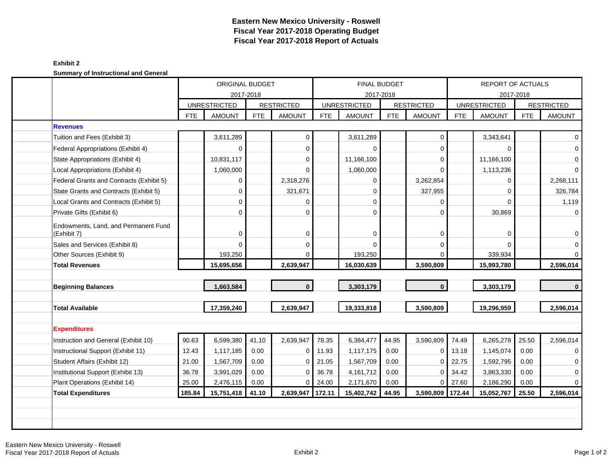### **Exhibit 2 Summary of Instructional and General**

|                                                     |            | ORIGINAL BUDGET     |            |                   |            |                     | <b>FINAL BUDGET</b> |                   |            | <b>REPORT OF ACTUALS</b> |            |                   |
|-----------------------------------------------------|------------|---------------------|------------|-------------------|------------|---------------------|---------------------|-------------------|------------|--------------------------|------------|-------------------|
|                                                     |            | 2017-2018           |            |                   |            |                     | 2017-2018           |                   |            | 2017-2018                |            |                   |
|                                                     |            | <b>UNRESTRICTED</b> |            | <b>RESTRICTED</b> |            | <b>UNRESTRICTED</b> |                     | <b>RESTRICTED</b> |            | <b>UNRESTRICTED</b>      |            | <b>RESTRICTED</b> |
|                                                     | <b>FTE</b> | <b>AMOUNT</b>       | <b>FTE</b> | <b>AMOUNT</b>     | <b>FTE</b> | <b>AMOUNT</b>       | <b>FTE</b>          | <b>AMOUNT</b>     | <b>FTE</b> | <b>AMOUNT</b>            | <b>FTE</b> | <b>AMOUNT</b>     |
| <b>Revenues</b>                                     |            |                     |            |                   |            |                     |                     |                   |            |                          |            |                   |
| Tuition and Fees (Exhibit 3)                        |            | 3,611,289           |            | $\pmb{0}$         |            | 3,611,289           |                     | $\mathbf 0$       |            | 3,343,641                |            | $\Omega$          |
| Federal Appropriations (Exhibit 4)                  |            | $\Omega$            |            | $\mathbf 0$       |            | $\Omega$            |                     | $\mathbf 0$       |            | O                        |            | $\Omega$          |
| State Appropriations (Exhibit 4)                    |            | 10,831,117          |            | $\mathbf 0$       |            | 11,166,100          |                     | $\mathbf 0$       |            | 11,166,100               |            | $\Omega$          |
| Local Appropriations (Exhibit 4)                    |            | 1,060,000           |            | $\Omega$          |            | 1,060,000           |                     | $\Omega$          |            | 1,113,236                |            | $\Omega$          |
| Federal Grants and Contracts (Exhibit 5)            |            | $\Omega$            |            | 2,318,276         |            | 0                   |                     | 3,262,854         |            | 0                        |            | 2,268,111         |
| State Grants and Contracts (Exhibit 5)              |            | $\Omega$            |            | 321,671           |            | $\mathbf 0$         |                     | 327,955           |            | $\Omega$                 |            | 326,784           |
| Local Grants and Contracts (Exhibit 5)              |            | $\Omega$            |            | $\Omega$          |            | $\mathbf 0$         |                     | $\mathbf 0$       |            | $\Omega$                 |            | 1,119             |
| Private Gifts (Exhibit 6)                           |            | $\Omega$            |            | $\Omega$          |            | $\Omega$            |                     | $\Omega$          |            | 30,869                   |            |                   |
| Endowments, Land, and Permanent Fund<br>(Exhibit 7) |            | $\Omega$            |            | $\mathbf 0$       |            | 0                   |                     | $\mathbf 0$       |            | 0                        |            | 0                 |
| Sales and Services (Exhibit 8)                      |            | $\Omega$            |            | $\overline{0}$    |            | $\Omega$            |                     | $\mathbf 0$       |            | $\Omega$                 |            | $\Omega$          |
| Other Sources (Exhibit 9)                           |            | 193,250             |            | $\Omega$          |            | 193,250             |                     | $\Omega$          |            | 339,934                  |            | $\Omega$          |
| <b>Total Revenues</b>                               |            | 15,695,656          |            | 2,639,947         |            | 16,030,639          |                     | 3,590,809         |            | 15,993,780               |            | 2,596,014         |
|                                                     |            |                     |            |                   |            |                     |                     |                   |            |                          |            |                   |
| <b>Beginning Balances</b>                           |            | 1,663,584           |            | $\mathbf{0}$      |            | 3,303,179           |                     | $\mathbf{0}$      |            | 3,303,179                |            | $\mathbf{0}$      |
| <b>Total Available</b>                              |            | 17,359,240          |            | 2,639,947         |            | 19,333,818          |                     | 3,590,809         |            | 19,296,959               |            | 2,596,014         |
|                                                     |            |                     |            |                   |            |                     |                     |                   |            |                          |            |                   |
| <b>Expenditures</b>                                 |            |                     |            |                   |            |                     |                     |                   |            |                          |            |                   |
| Instruction and General (Exhibit 10)                | 90.63      | 6,599,380           | 41.10      | 2,639,947         | 78.35      | 6,384,477           | 44.95               | 3,590,809         | 74.49      | 6,265,278                | 25.50      | 2,596,014         |
| Instructional Support (Exhibit 11)                  | 12.43      | 1,117,185           | 0.00       | 0                 | 11.93      | 1,117,175           | 0.00                | 0                 | 13.18      | 1,145,074                | 0.00       | $\Omega$          |
| Student Affairs (Exhibit 12)                        | 21.00      | 1,567,709           | 0.00       | $\mathbf 0$       | 21.05      | 1,567,709           | 0.00                | 0                 | 22.75      | 1,592,795                | 0.00       | 0                 |
| Institutional Support (Exhibit 13)                  | 36.78      | 3,991,029           | 0.00       | $\mathbf 0$       | 36.78      | 4,161,712           | 0.00                | $\Omega$          | 34.42      | 3,863,330                | 0.00       | $\Omega$          |
| Plant Operations (Exhibit 14)                       | 25.00      | 2,476,115           | 0.00       | $\mathbf 0$       | 24.00      | 2,171,670           | 0.00                | $\overline{0}$    | 27.60      | 2,186,290                | 0.00       | $\Omega$          |
| <b>Total Expenditures</b>                           | 185.84     | 15,751,418          | 41.10      | 2,639,947         | 172.11     | 15,402,742          | 44.95               | 3,590,809         | 172.44     | 15,052,767               | 25.50      | 2,596,014         |
|                                                     |            |                     |            |                   |            |                     |                     |                   |            |                          |            |                   |
|                                                     |            |                     |            |                   |            |                     |                     |                   |            |                          |            |                   |
|                                                     |            |                     |            |                   |            |                     |                     |                   |            |                          |            |                   |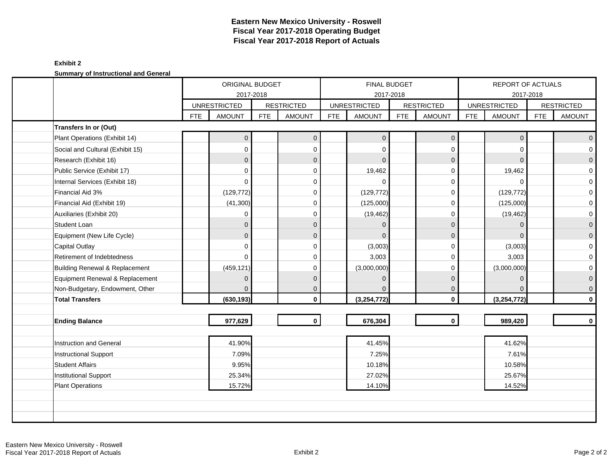### **Exhibit 2 Summary of Instructional and General**

| cammary or modiactional and concran |            | ORIGINAL BUDGET<br>2017-2018 |            |                   |            | FINAL BUDGET<br>2017-2018 |            |                   |            | REPORT OF ACTUALS<br>2017-2018 |            |                   |
|-------------------------------------|------------|------------------------------|------------|-------------------|------------|---------------------------|------------|-------------------|------------|--------------------------------|------------|-------------------|
|                                     |            | <b>UNRESTRICTED</b>          |            | <b>RESTRICTED</b> |            | <b>UNRESTRICTED</b>       |            | <b>RESTRICTED</b> |            | <b>UNRESTRICTED</b>            |            | <b>RESTRICTED</b> |
|                                     | <b>FTE</b> | <b>AMOUNT</b>                | <b>FTE</b> | <b>AMOUNT</b>     | <b>FTE</b> | <b>AMOUNT</b>             | <b>FTE</b> | <b>AMOUNT</b>     | <b>FTE</b> | <b>AMOUNT</b>                  | <b>FTE</b> | <b>AMOUNT</b>     |
| Transfers In or (Out)               |            |                              |            |                   |            |                           |            |                   |            |                                |            |                   |
| Plant Operations (Exhibit 14)       |            | 0                            |            | $\mathbf 0$       |            | $\mathbf{0}$              |            | $\mathbf 0$       |            | $\mathbf{0}$                   |            | $\overline{0}$    |
| Social and Cultural (Exhibit 15)    |            | 0                            |            | $\Omega$          |            | $\Omega$                  |            | $\Omega$          |            | $\Omega$                       |            | $\overline{0}$    |
| Research (Exhibit 16)               |            | $\mathbf{0}$                 |            | $\mathbf{0}$      |            | $\Omega$                  |            | $\mathbf{0}$      |            | $\Omega$                       |            | $\overline{0}$    |
| Public Service (Exhibit 17)         |            | 0                            |            | $\Omega$          |            | 19,462                    |            | $\mathbf 0$       |            | 19,462                         |            | $\overline{0}$    |
| Internal Services (Exhibit 18)      |            | 0                            |            | 0                 |            | $\Omega$                  |            | $\mathbf 0$       |            | $\Omega$                       |            | $\mathbf{O}$      |
| Financial Aid 3%                    |            | (129, 772)                   |            | $\Omega$          |            | (129, 772)                |            | 0                 |            | (129, 772)                     |            | $\mathbf{O}$      |
| Financial Aid (Exhibit 19)          |            | (41, 300)                    |            | $\Omega$          |            | (125,000)                 |            | $\mathbf 0$       |            | (125,000)                      |            | $\overline{0}$    |
| Auxiliaries (Exhibit 20)            |            | 0                            |            | $\Omega$          |            | (19, 462)                 |            | $\mathbf 0$       |            | (19, 462)                      |            | $\overline{0}$    |
| <b>Student Loan</b>                 |            | $\mathbf{0}$                 |            | $\Omega$          |            | $\Omega$                  |            | $\mathbf 0$       |            | $\Omega$                       |            | $\mathsf{O}^-$    |
| Equipment (New Life Cycle)          |            | $\overline{0}$               |            | $\mathbf{0}$      |            | $\Omega$                  |            | $\mathbf 0$       |            | $\Omega$                       |            | $\overline{0}$    |
| <b>Capital Outlay</b>               |            | 0                            |            | 0                 |            | (3,003)                   |            | $\Omega$          |            | (3,003)                        |            | $\overline{0}$    |
| Retirement of Indebtedness          |            | 0                            |            | $\Omega$          |            | 3,003                     |            | $\mathbf 0$       |            | 3,003                          |            | $\mathbf{O}$      |
| Building Renewal & Replacement      |            | (459, 121)                   |            | $\Omega$          |            | (3,000,000)               |            | $\Omega$          |            | (3,000,000)                    |            | $\overline{0}$    |
| Equipment Renewal & Replacement     |            | $\mathbf{0}$                 |            | $\mathbf{0}$      |            | $\Omega$                  |            | $\mathbf{0}$      |            | $\Omega$                       |            | $\overline{0}$    |
| Non-Budgetary, Endowment, Other     |            |                              |            | 0                 |            |                           |            | $\mathbf{0}$      |            | $\Omega$                       |            | $\overline{0}$    |
| <b>Total Transfers</b>              |            | (630, 193)                   |            | $\mathbf 0$       |            | (3,254,772)               |            | $\mathbf 0$       |            | (3, 254, 772)                  |            | $\mathbf{0}$      |
|                                     |            |                              |            |                   |            |                           |            |                   |            |                                |            |                   |
| <b>Ending Balance</b>               |            | 977,629                      |            | $\mathbf{0}$      |            | 676,304                   |            | $\mathbf 0$       |            | 989,420                        |            | $\mathbf{0}$      |
|                                     |            |                              |            |                   |            |                           |            |                   |            |                                |            |                   |
| Instruction and General             |            | 41.90%                       |            |                   |            | 41.45%                    |            |                   |            | 41.62%                         |            |                   |
| Instructional Support               |            | 7.09%                        |            |                   |            | 7.25%                     |            |                   |            | 7.61%                          |            |                   |
| <b>Student Affairs</b>              |            | 9.95%                        |            |                   |            | 10.18%                    |            |                   |            | 10.58%                         |            |                   |
| Institutional Support               |            | 25.34%                       |            |                   |            | 27.02%                    |            |                   |            | 25.67%                         |            |                   |
| <b>Plant Operations</b>             |            | 15.72%                       |            |                   |            | 14.10%                    |            |                   |            | 14.52%                         |            |                   |
|                                     |            |                              |            |                   |            |                           |            |                   |            |                                |            |                   |
|                                     |            |                              |            |                   |            |                           |            |                   |            |                                |            |                   |
|                                     |            |                              |            |                   |            |                           |            |                   |            |                                |            |                   |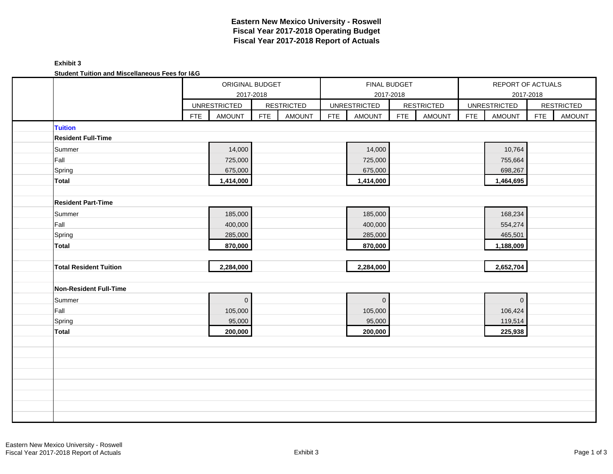### **Exhibit 3 Student Tuition and Miscellaneous Fees for I&G**

| Student Tuition and Miscenaneous Fees for 189 | ORIGINAL BUDGET             |             |                   |            |                     |              |                   |            |                          |            |                   |
|-----------------------------------------------|-----------------------------|-------------|-------------------|------------|---------------------|--------------|-------------------|------------|--------------------------|------------|-------------------|
|                                               |                             |             |                   |            |                     | FINAL BUDGET |                   |            | <b>REPORT OF ACTUALS</b> |            |                   |
|                                               |                             | 2017-2018   |                   |            | 2017-2018           |              |                   |            |                          | 2017-2018  |                   |
|                                               | <b>UNRESTRICTED</b>         |             | <b>RESTRICTED</b> |            | <b>UNRESTRICTED</b> |              | <b>RESTRICTED</b> |            | <b>UNRESTRICTED</b>      |            | <b>RESTRICTED</b> |
|                                               | <b>FTE</b><br><b>AMOUNT</b> | <b>FTE</b>  | <b>AMOUNT</b>     | <b>FTE</b> | <b>AMOUNT</b>       | <b>FTE</b>   | <b>AMOUNT</b>     | <b>FTE</b> | <b>AMOUNT</b>            | <b>FTE</b> | <b>AMOUNT</b>     |
| <b>Tuition</b>                                |                             |             |                   |            |                     |              |                   |            |                          |            |                   |
| <b>Resident Full-Time</b>                     |                             |             |                   |            |                     |              |                   |            |                          |            |                   |
| Summer                                        | 14,000                      |             |                   |            | 14,000              |              |                   |            | 10,764                   |            |                   |
| Fall                                          | 725,000                     |             |                   |            | 725,000             |              |                   |            | 755,664                  |            |                   |
| Spring                                        | 675,000                     |             |                   |            | 675,000             |              |                   |            | 698,267                  |            |                   |
| <b>Total</b>                                  | 1,414,000                   |             |                   |            | 1,414,000           |              |                   |            | 1,464,695                |            |                   |
|                                               |                             |             |                   |            |                     |              |                   |            |                          |            |                   |
| <b>Resident Part-Time</b>                     |                             |             |                   |            |                     |              |                   |            |                          |            |                   |
| Summer                                        | 185,000                     |             |                   |            | 185,000             |              |                   |            | 168,234                  |            |                   |
| Fall                                          | 400,000                     |             |                   |            | 400,000             |              |                   |            | 554,274                  |            |                   |
| Spring                                        | 285,000                     |             |                   |            | 285,000             |              |                   |            | 465,501                  |            |                   |
| <b>Total</b>                                  | 870,000                     |             |                   |            | 870,000             |              |                   |            | 1,188,009                |            |                   |
|                                               |                             |             |                   |            |                     |              |                   |            |                          |            |                   |
| <b>Total Resident Tuition</b>                 | 2,284,000                   |             |                   |            | 2,284,000           |              |                   |            | 2,652,704                |            |                   |
|                                               |                             |             |                   |            |                     |              |                   |            |                          |            |                   |
| <b>Non-Resident Full-Time</b>                 |                             |             |                   |            |                     |              |                   |            |                          |            |                   |
| Summer                                        |                             | $\mathbf 0$ |                   |            | $\overline{0}$      |              |                   |            | $\mathbf 0$              |            |                   |
| Fall                                          | 105,000                     |             |                   |            | 105,000             |              |                   |            | 106,424                  |            |                   |
| Spring                                        | 95,000                      |             |                   |            | 95,000              |              |                   |            | 119,514                  |            |                   |
| <b>Total</b>                                  | 200,000                     |             |                   |            | 200,000             |              |                   |            | 225,938                  |            |                   |
|                                               |                             |             |                   |            |                     |              |                   |            |                          |            |                   |
|                                               |                             |             |                   |            |                     |              |                   |            |                          |            |                   |
|                                               |                             |             |                   |            |                     |              |                   |            |                          |            |                   |
|                                               |                             |             |                   |            |                     |              |                   |            |                          |            |                   |
|                                               |                             |             |                   |            |                     |              |                   |            |                          |            |                   |
|                                               |                             |             |                   |            |                     |              |                   |            |                          |            |                   |
|                                               |                             |             |                   |            |                     |              |                   |            |                          |            |                   |
|                                               |                             |             |                   |            |                     |              |                   |            |                          |            |                   |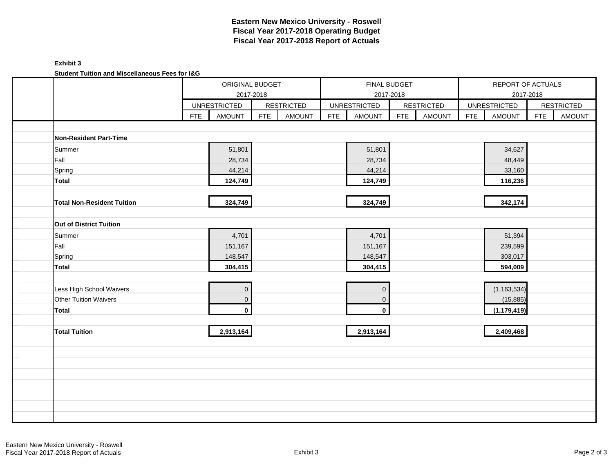## **Exhibit 3 Student Tuition and Miscellaneous Fees for I&G**

| Student Tuition and Miscenarieous Fees for lad |            |                     |            |                   |            |                     |            |                   |            |                     |            |                   |
|------------------------------------------------|------------|---------------------|------------|-------------------|------------|---------------------|------------|-------------------|------------|---------------------|------------|-------------------|
|                                                |            | ORIGINAL BUDGET     |            |                   |            | FINAL BUDGET        |            |                   |            | REPORT OF ACTUALS   |            |                   |
|                                                |            | 2017-2018           |            |                   |            |                     | 2017-2018  |                   |            |                     | 2017-2018  |                   |
|                                                |            | <b>UNRESTRICTED</b> |            | <b>RESTRICTED</b> |            | <b>UNRESTRICTED</b> |            | <b>RESTRICTED</b> |            | <b>UNRESTRICTED</b> |            | <b>RESTRICTED</b> |
|                                                | <b>FTE</b> | <b>AMOUNT</b>       | <b>FTE</b> | <b>AMOUNT</b>     | <b>FTE</b> | AMOUNT              | <b>FTE</b> | <b>AMOUNT</b>     | <b>FTE</b> | <b>AMOUNT</b>       | <b>FTE</b> | AMOUNT            |
|                                                |            |                     |            |                   |            |                     |            |                   |            |                     |            |                   |
| Non-Resident Part-Time                         |            |                     |            |                   |            |                     |            |                   |            |                     |            |                   |
| Summer                                         |            | 51,801              |            |                   |            | 51,801              |            |                   |            | 34,627              |            |                   |
| Fall                                           |            | 28,734              |            |                   |            | 28,734              |            |                   |            | 48,449              |            |                   |
| Spring                                         |            | 44,214              |            |                   |            | 44,214              |            |                   |            | 33,160              |            |                   |
| <b>Total</b>                                   |            | 124,749             |            |                   |            | 124,749             |            |                   |            | 116,236             |            |                   |
|                                                |            |                     |            |                   |            |                     |            |                   |            |                     |            |                   |
| <b>Total Non-Resident Tuition</b>              |            | 324,749             |            |                   |            | 324,749             |            |                   |            | 342,174             |            |                   |
|                                                |            |                     |            |                   |            |                     |            |                   |            |                     |            |                   |
| Out of District Tuition                        |            |                     |            |                   |            |                     |            |                   |            |                     |            |                   |
| Summer                                         |            | 4,701               |            |                   |            | 4,701               |            |                   |            | 51,394              |            |                   |
| Fall                                           |            | 151,167             |            |                   |            | 151,167             |            |                   |            | 239,599             |            |                   |
| Spring                                         |            | 148,547             |            |                   |            | 148,547             |            |                   |            | 303,017             |            |                   |
| <b>Total</b>                                   |            | 304,415             |            |                   |            | 304,415             |            |                   |            | 594,009             |            |                   |
|                                                |            |                     |            |                   |            |                     |            |                   |            |                     |            |                   |
| Less High School Waivers                       |            | $\overline{0}$      |            |                   |            | $\mathbf 0$         |            |                   |            | (1, 163, 534)       |            |                   |
| Other Tuition Waivers                          |            | $\mathbf 0$         |            |                   |            | $\mathbf 0$         |            |                   |            | (15, 885)           |            |                   |
| Total                                          |            | $\mathbf 0$         |            |                   |            | $\mathbf{0}$        |            |                   |            | (1, 179, 419)       |            |                   |
|                                                |            |                     |            |                   |            |                     |            |                   |            |                     |            |                   |
| <b>Total Tuition</b>                           |            | 2,913,164           |            |                   |            | 2,913,164           |            |                   |            | 2,409,468           |            |                   |
|                                                |            |                     |            |                   |            |                     |            |                   |            |                     |            |                   |
|                                                |            |                     |            |                   |            |                     |            |                   |            |                     |            |                   |
|                                                |            |                     |            |                   |            |                     |            |                   |            |                     |            |                   |
|                                                |            |                     |            |                   |            |                     |            |                   |            |                     |            |                   |
|                                                |            |                     |            |                   |            |                     |            |                   |            |                     |            |                   |
|                                                |            |                     |            |                   |            |                     |            |                   |            |                     |            |                   |
|                                                |            |                     |            |                   |            |                     |            |                   |            |                     |            |                   |
|                                                |            |                     |            |                   |            |                     |            |                   |            |                     |            |                   |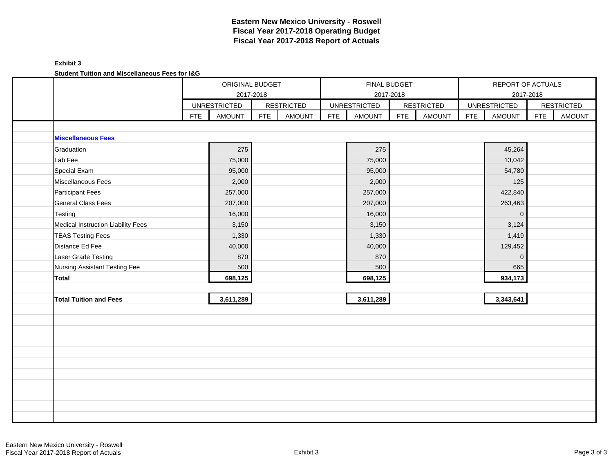## **Exhibit 3 Student Tuition and Miscellaneous Fees for I&G**

| Student Tuition and Miscenarieous Fees for lad |            | ORIGINAL BUDGET                  |            |                   |            | FINAL BUDGET                     |            |                   |            | REPORT OF ACTUALS   |            |                   |
|------------------------------------------------|------------|----------------------------------|------------|-------------------|------------|----------------------------------|------------|-------------------|------------|---------------------|------------|-------------------|
|                                                |            | 2017-2018<br><b>UNRESTRICTED</b> |            | <b>RESTRICTED</b> |            | 2017-2018<br><b>UNRESTRICTED</b> |            | <b>RESTRICTED</b> |            | <b>UNRESTRICTED</b> | 2017-2018  | <b>RESTRICTED</b> |
|                                                | <b>FTE</b> | <b>AMOUNT</b>                    | <b>FTE</b> | <b>AMOUNT</b>     | <b>FTE</b> | <b>AMOUNT</b>                    | <b>FTE</b> | <b>AMOUNT</b>     | <b>FTE</b> | <b>AMOUNT</b>       | <b>FTE</b> | <b>AMOUNT</b>     |
|                                                |            |                                  |            |                   |            |                                  |            |                   |            |                     |            |                   |
| <b>Miscellaneous Fees</b>                      |            |                                  |            |                   |            |                                  |            |                   |            |                     |            |                   |
| Graduation                                     |            | 275                              |            |                   |            | 275                              |            |                   |            | 45,264              |            |                   |
| Lab Fee                                        |            | 75,000                           |            |                   |            | 75,000                           |            |                   |            | 13,042              |            |                   |
| Special Exam                                   |            | 95,000                           |            |                   |            | 95,000                           |            |                   |            | 54,780              |            |                   |
| Miscellaneous Fees                             |            | 2,000                            |            |                   |            | 2,000                            |            |                   |            | 125                 |            |                   |
| <b>Participant Fees</b>                        |            | 257,000                          |            |                   |            | 257,000                          |            |                   |            | 422,840             |            |                   |
| <b>General Class Fees</b>                      |            | 207,000                          |            |                   |            | 207,000                          |            |                   |            | 263,463             |            |                   |
| Testing                                        |            | 16,000                           |            |                   |            | 16,000                           |            |                   |            | $\mathbf 0$         |            |                   |
| Medical Instruction Liability Fees             |            | 3,150                            |            |                   |            | 3,150                            |            |                   |            | 3,124               |            |                   |
| <b>TEAS Testing Fees</b>                       |            | 1,330                            |            |                   |            | 1,330                            |            |                   |            | 1,419               |            |                   |
| Distance Ed Fee                                |            | 40,000                           |            |                   |            | 40,000                           |            |                   |            | 129,452             |            |                   |
| Laser Grade Testing                            |            | 870                              |            |                   |            | 870                              |            |                   |            | $\mathbf 0$         |            |                   |
| <b>Nursing Assistant Testing Fee</b>           |            | 500                              |            |                   |            | 500                              |            |                   |            | 665                 |            |                   |
| Total                                          |            | 698,125                          |            |                   |            | 698,125                          |            |                   |            | 934,173             |            |                   |
|                                                |            |                                  |            |                   |            |                                  |            |                   |            |                     |            |                   |
| <b>Total Tuition and Fees</b>                  |            | 3,611,289                        |            |                   |            | 3,611,289                        |            |                   |            | 3,343,641           |            |                   |
|                                                |            |                                  |            |                   |            |                                  |            |                   |            |                     |            |                   |
|                                                |            |                                  |            |                   |            |                                  |            |                   |            |                     |            |                   |
|                                                |            |                                  |            |                   |            |                                  |            |                   |            |                     |            |                   |
|                                                |            |                                  |            |                   |            |                                  |            |                   |            |                     |            |                   |
|                                                |            |                                  |            |                   |            |                                  |            |                   |            |                     |            |                   |
|                                                |            |                                  |            |                   |            |                                  |            |                   |            |                     |            |                   |
|                                                |            |                                  |            |                   |            |                                  |            |                   |            |                     |            |                   |
|                                                |            |                                  |            |                   |            |                                  |            |                   |            |                     |            |                   |
|                                                |            |                                  |            |                   |            |                                  |            |                   |            |                     |            |                   |
|                                                |            |                                  |            |                   |            |                                  |            |                   |            |                     |            |                   |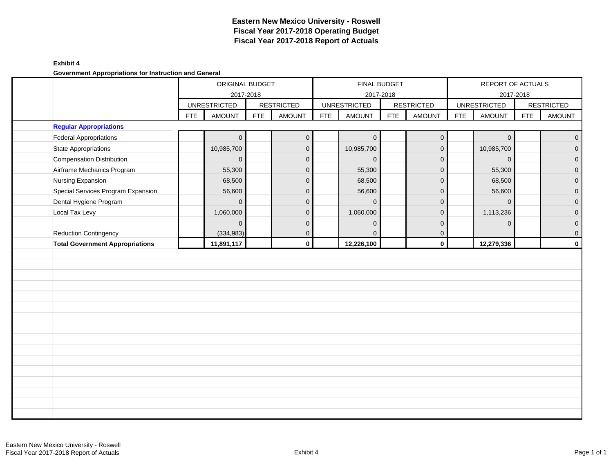#### **Exhibit 4**

**Government Appropriations for Instruction and General**

|                                        |            | ORIGINAL BUDGET     |            |                   |            |                     | FINAL BUDGET |                   |            | REPORT OF ACTUALS   |            |                   |
|----------------------------------------|------------|---------------------|------------|-------------------|------------|---------------------|--------------|-------------------|------------|---------------------|------------|-------------------|
|                                        |            | 2017-2018           |            |                   |            | 2017-2018           |              |                   |            |                     | 2017-2018  |                   |
|                                        |            | <b>UNRESTRICTED</b> |            | <b>RESTRICTED</b> |            | <b>UNRESTRICTED</b> |              | <b>RESTRICTED</b> |            | <b>UNRESTRICTED</b> |            | <b>RESTRICTED</b> |
|                                        | <b>FTE</b> | <b>AMOUNT</b>       | <b>FTE</b> | <b>AMOUNT</b>     | <b>FTE</b> | <b>AMOUNT</b>       | <b>FTE</b>   | <b>AMOUNT</b>     | <b>FTE</b> | <b>AMOUNT</b>       | <b>FTE</b> | <b>AMOUNT</b>     |
| <b>Regular Appropriations</b>          |            |                     |            |                   |            |                     |              |                   |            |                     |            |                   |
| <b>Federal Appropriations</b>          |            | $\overline{0}$      |            | $\mathbf 0$       |            | $\overline{0}$      |              | $\overline{0}$    |            | $\mathbf 0$         |            | $\overline{0}$    |
| State Appropriations                   |            | 10,985,700          |            | $\mathbf{0}$      |            | 10,985,700          |              | $\overline{0}$    |            | 10,985,700          |            | $\overline{O}$    |
| <b>Compensation Distribution</b>       |            | $\overline{0}$      |            | $\mathbf 0$       |            | $\mathbf{0}$        |              | $\mathbf{0}$      |            | $\mathsf{O}\xspace$ |            | $\overline{0}$    |
| Airframe Mechanics Program             |            | 55,300              |            | $\mathbf 0$       |            | 55,300              |              | $\mathbf 0$       |            | 55,300              |            | $\mathbf 0$       |
| Nursing Expansion                      |            | 68,500              |            | $\mathbf{0}$      |            | 68,500              |              | $\mathbf 0$       |            | 68,500              |            | $\overline{0}$    |
| Special Services Program Expansion     |            | 56,600              |            | $\mathbf 0$       |            | 56,600              |              | $\mathbf{0}$      |            | 56,600              |            | $\mathbf 0$       |
| Dental Hygiene Program                 |            | $\Omega$            |            | $\mathbf{0}$      |            | $\Omega$            |              | $\mathbf{0}$      |            | $\mathbf 0$         |            | $\mathbf 0$       |
| Local Tax Levy                         |            | 1,060,000           |            | $\mathbf{0}$      |            | 1,060,000           |              | $\mathbf 0$       |            | 1,113,236           |            | $\mathbf 0$       |
|                                        |            | $\overline{0}$      |            | $\mathbf 0$       |            | $\mathbf{0}$        |              | $\mathbf 0$       |            | $\mathbf 0$         |            | $\mathbf 0$       |
| Reduction Contingency                  |            | (334, 983)          |            | $\mathbf 0$       |            | $\Omega$            |              | $\overline{0}$    |            |                     |            | $\mathsf{O}$      |
| <b>Total Government Appropriations</b> |            | 11,891,117          |            | $\mathbf{0}$      |            | 12,226,100          |              | $\mathbf 0$       |            | 12,279,336          |            | $\mathbf 0$       |
|                                        |            |                     |            |                   |            |                     |              |                   |            |                     |            |                   |
|                                        |            |                     |            |                   |            |                     |              |                   |            |                     |            |                   |
|                                        |            |                     |            |                   |            |                     |              |                   |            |                     |            |                   |
|                                        |            |                     |            |                   |            |                     |              |                   |            |                     |            |                   |
|                                        |            |                     |            |                   |            |                     |              |                   |            |                     |            |                   |
|                                        |            |                     |            |                   |            |                     |              |                   |            |                     |            |                   |
|                                        |            |                     |            |                   |            |                     |              |                   |            |                     |            |                   |
|                                        |            |                     |            |                   |            |                     |              |                   |            |                     |            |                   |
|                                        |            |                     |            |                   |            |                     |              |                   |            |                     |            |                   |
|                                        |            |                     |            |                   |            |                     |              |                   |            |                     |            |                   |
|                                        |            |                     |            |                   |            |                     |              |                   |            |                     |            |                   |
|                                        |            |                     |            |                   |            |                     |              |                   |            |                     |            |                   |
|                                        |            |                     |            |                   |            |                     |              |                   |            |                     |            |                   |
|                                        |            |                     |            |                   |            |                     |              |                   |            |                     |            |                   |
|                                        |            |                     |            |                   |            |                     |              |                   |            |                     |            |                   |
|                                        |            |                     |            |                   |            |                     |              |                   |            |                     |            |                   |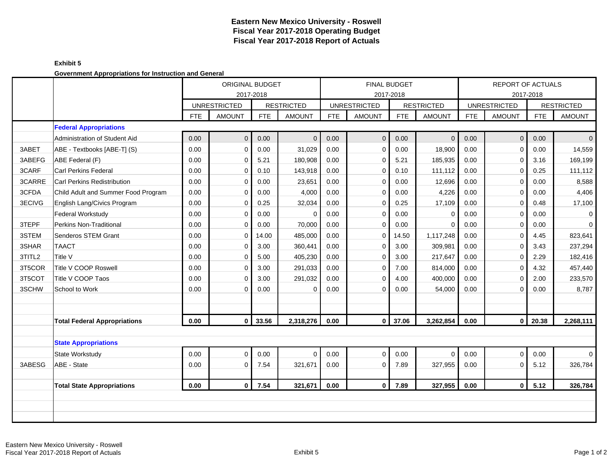### **Exhibit 5 Government Appropriations for Instruction and General**

|        | severnment Appropriations for motivation and Sendral |      | <b>ORIGINAL BUDGET</b><br>2017-2018 |            |                   |            |                     | <b>FINAL BUDGET</b><br>2017-2018 |                   |            | REPORT OF ACTUALS   | 2017-2018  |                   |
|--------|------------------------------------------------------|------|-------------------------------------|------------|-------------------|------------|---------------------|----------------------------------|-------------------|------------|---------------------|------------|-------------------|
|        |                                                      |      | <b>UNRESTRICTED</b>                 |            | <b>RESTRICTED</b> |            | <b>UNRESTRICTED</b> |                                  | <b>RESTRICTED</b> |            | <b>UNRESTRICTED</b> |            | <b>RESTRICTED</b> |
|        |                                                      | FTE. | <b>AMOUNT</b>                       | <b>FTE</b> | <b>AMOUNT</b>     | <b>FTE</b> | <b>AMOUNT</b>       | FTE                              | <b>AMOUNT</b>     | <b>FTE</b> | <b>AMOUNT</b>       | <b>FTE</b> | <b>AMOUNT</b>     |
|        | <b>Federal Appropriations</b>                        |      |                                     |            |                   |            |                     |                                  |                   |            |                     |            |                   |
|        | Administration of Student Aid                        | 0.00 | $\mathbf{0}$                        | 0.00       | $\overline{0}$    | 0.00       | $\mathbf 0$         | 0.00                             | $\mathbf{0}$      | 0.00       | $\overline{0}$      | 0.00       | $\overline{0}$    |
| 3ABET  | ABE - Textbooks [ABE-T] (S)                          | 0.00 | $\mathbf 0$                         | 0.00       | 31,029            | 0.00       | $\mathbf 0$         | 0.00                             | 18,900            | 0.00       | $\overline{0}$      | 0.00       | 14,559            |
| 3ABEFG | ABE Federal (F)                                      | 0.00 | $\Omega$                            | 5.21       | 180,908           | 0.00       | $\mathbf 0$         | 5.21                             | 185,935           | 0.00       | $\mathbf 0$         | 3.16       | 169,199           |
| 3CARF  | <b>Carl Perkins Federal</b>                          | 0.00 | $\Omega$                            | 0.10       | 143,918           | 0.00       | $\mathbf 0$         | 0.10                             | 111,112           | 0.00       | $\mathbf 0$         | 0.25       | 111,112           |
| 3CARRE | <b>Carl Perkins Redistribution</b>                   | 0.00 | $\mathbf 0$                         | 0.00       | 23,651            | 0.00       | $\mathbf 0$         | 0.00                             | 12,696            | 0.00       | $\mathbf 0$         | 0.00       | 8,588             |
| 3CFDA  | Child Adult and Summer Food Program                  | 0.00 | $\Omega$                            | 0.00       | 4,000             | 0.00       | $\mathbf 0$         | 0.00                             | 4,226             | 0.00       | 0                   | 0.00       | 4,406             |
| 3ECIVG | English Lang/Civics Program                          | 0.00 | $\Omega$                            | 0.25       | 32,034            | 0.00       | $\mathbf 0$         | 0.25                             | 17,109            | 0.00       | $\Omega$            | 0.48       | 17,100            |
|        | <b>Federal Workstudy</b>                             | 0.00 | $\Omega$                            | 0.00       | $\overline{0}$    | 0.00       | $\mathbf 0$         | 0.00                             | 0                 | 0.00       | $\mathbf 0$         | 0.00       | $\mathbf 0$       |
| 3TEPF  | Perkins Non-Traditional                              | 0.00 | $\mathbf 0$                         | 0.00       | 70,000            | 0.00       | $\mathbf 0$         | 0.00                             | $\Omega$          | 0.00       | $\mathbf 0$         | 0.00       | $\mathbf 0$       |
| 3STEM  | Senderos STEM Grant                                  | 0.00 | $\Omega$                            | 14.00      | 485,000           | 0.00       | $\Omega$            | 14.50                            | 1,117,248         | 0.00       | $\mathbf 0$         | 4.45       | 823,641           |
| 3SHAR  | <b>TAACT</b>                                         | 0.00 | $\mathbf 0$                         | 3.00       | 360,441           | 0.00       | $\mathbf 0$         | 3.00                             | 309,981           | 0.00       | $\mathbf 0$         | 3.43       | 237,294           |
| 3TITL2 | Title V                                              | 0.00 | $\Omega$                            | 5.00       | 405,230           | 0.00       | $\mathbf 0$         | 3.00                             | 217,647           | 0.00       | $\mathbf 0$         | 2.29       | 182,416           |
| 3T5COR | Title V COOP Roswell                                 | 0.00 | $\Omega$                            | 3.00       | 291,033           | 0.00       | $\mathbf 0$         | 7.00                             | 814,000           | 0.00       | $\Omega$            | 4.32       | 457,440           |
| 3T5COT | Title V COOP Taos                                    | 0.00 | $\Omega$                            | 3.00       | 291,032           | 0.00       | $\Omega$            | 4.00                             | 400,000           | 0.00       | $\Omega$            | 2.00       | 233,570           |
| 3SCHW  | School to Work                                       | 0.00 | $\Omega$                            | 0.00       | $\Omega$          | 0.00       | $\Omega$            | 0.00                             | 54,000            | 0.00       | $\mathbf 0$         | 0.00       | 8,787             |
|        |                                                      |      |                                     |            |                   |            |                     |                                  |                   |            |                     |            |                   |
|        |                                                      |      |                                     |            |                   |            |                     |                                  |                   |            |                     |            |                   |
|        | <b>Total Federal Appropriations</b>                  | 0.00 | $\mathbf{0}$                        | 33.56      | 2,318,276         | 0.00       | $\mathbf{0}$        | 37.06                            | 3,262,854         | 0.00       | 0 I                 | 20.38      | 2,268,111         |
|        |                                                      |      |                                     |            |                   |            |                     |                                  |                   |            |                     |            |                   |
|        | <b>State Appropriations</b>                          |      |                                     |            |                   |            |                     |                                  |                   |            |                     |            |                   |
|        | State Workstudy                                      | 0.00 | $\Omega$                            | 0.00       | $\Omega$          | 0.00       | $\Omega$            | 0.00                             | $\Omega$          | 0.00       | $\overline{0}$      | 0.00       | $\Omega$          |
| 3ABESG | ABE - State                                          | 0.00 | $\Omega$                            | 7.54       | 321,671           | 0.00       | $\mathbf 0$         | 7.89                             | 327,955           | 0.00       | $\mathbf 0$         | 5.12       | 326,784           |
|        |                                                      |      |                                     |            |                   |            |                     |                                  |                   |            |                     |            |                   |
|        | <b>Total State Appropriations</b>                    | 0.00 | $\mathbf{0}$                        | 7.54       | 321,671           | 0.00       | $\mathbf{0}$        | 7.89                             | 327,955           | 0.00       | $\overline{0}$      | 5.12       | 326,784           |
|        |                                                      |      |                                     |            |                   |            |                     |                                  |                   |            |                     |            |                   |
|        |                                                      |      |                                     |            |                   |            |                     |                                  |                   |            |                     |            |                   |
|        |                                                      |      |                                     |            |                   |            |                     |                                  |                   |            |                     |            |                   |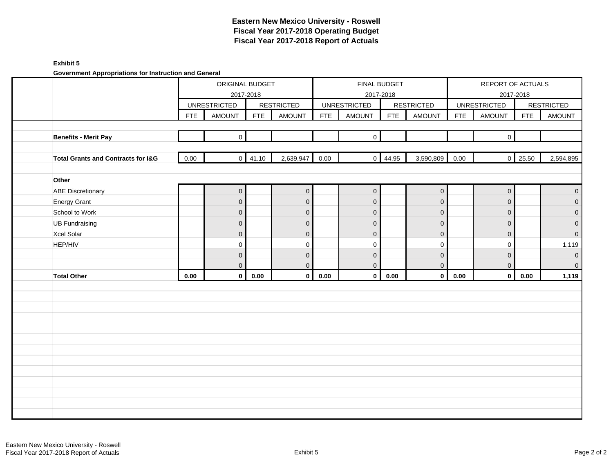### **Exhibit 5**

**Government Appropriations for Instruction and General**

|                                    |            | ORIGINAL BUDGET                  |                 |                   |            | FINAL BUDGET                     |                 |                     |            | REPORT OF ACTUALS                |                |                   |
|------------------------------------|------------|----------------------------------|-----------------|-------------------|------------|----------------------------------|-----------------|---------------------|------------|----------------------------------|----------------|-------------------|
|                                    |            | 2017-2018<br><b>UNRESTRICTED</b> |                 | <b>RESTRICTED</b> |            | 2017-2018<br><b>UNRESTRICTED</b> |                 | <b>RESTRICTED</b>   |            | 2017-2018<br><b>UNRESTRICTED</b> |                | <b>RESTRICTED</b> |
|                                    | <b>FTE</b> | AMOUNT                           | <b>FTE</b>      | <b>AMOUNT</b>     | <b>FTE</b> | AMOUNT                           | <b>FTE</b>      | AMOUNT              | <b>FTE</b> | AMOUNT                           | <b>FTE</b>     | <b>AMOUNT</b>     |
|                                    |            |                                  |                 |                   |            |                                  |                 |                     |            |                                  |                |                   |
| Benefits - Merit Pay               |            | $\overline{0}$                   |                 |                   |            | $\mathbf 0$                      |                 |                     |            | $\mathbf{0}$                     |                |                   |
| Total Grants and Contracts for I&G | 0.00       |                                  | $0 \quad 41.10$ | 2,639,947         | 0.00       |                                  | $0 \quad 44.95$ | 3,590,809           | 0.00       |                                  | $0 \mid 25.50$ | 2,594,895         |
| Other                              |            |                                  |                 |                   |            |                                  |                 |                     |            |                                  |                |                   |
| <b>ABE Discretionary</b>           |            | $\overline{0}$                   |                 | $\mathbf 0$       |            | $\mathbf 0$                      |                 | $\mathsf{O}\xspace$ |            | $\boldsymbol{0}$                 |                | $\mathbf 0$       |
| <b>Energy Grant</b>                |            | $\mathbf{0}$                     |                 | $\mathbf 0$       |            | $\mathbf{0}$                     |                 | $\mathbf 0$         |            | $\mathbf 0$                      |                | $\mathbf 0$       |
| School to Work                     |            | $\mathsf{O}\xspace$              |                 | $\mathbf 0$       |            | $\mathbf 0$                      |                 | $\mathbf 0$         |            | $\mathbf 0$                      |                | $\mathbf 0$       |
| <b>UB Fundraising</b>              |            | $\mathbf 0$                      |                 | $\mathbf 0$       |            | $\mathbf{0}$                     |                 | $\mathbf 0$         |            | $\overline{0}$                   |                | $\mathbf 0$       |
| Xcel Solar                         |            | $\mathbf 0$                      |                 | $\pmb{0}$         |            | $\mathbf 0$                      |                 | $\overline{0}$      |            | $\mathbf 0$                      |                | $\mathbf 0$       |
| HEP/HIV                            |            | $\mathbf 0$                      |                 | 0                 |            | 0                                |                 | $\mathbf 0$         |            | 0                                |                | 1,119             |
|                                    |            | $\overline{0}$                   |                 | $\mathbf 0$       |            | $\mathbf 0$                      |                 | $\mathbf 0$         |            | $\pmb{0}$                        |                | $\mathbf 0$       |
|                                    |            | $\mathbf 0$                      |                 | $\pmb{0}$         |            | $\mathbf{0}$                     |                 | $\overline{0}$      |            | 0                                |                | $\mathbf 0$       |
| <b>Total Other</b>                 | 0.00       | $\mathbf{0}$                     | 0.00            | $\mathbf 0$       | 0.00       | $\mathbf 0$                      | 0.00            | $\mathbf{0}$        | 0.00       | $\mathbf{0}$                     | 0.00           | 1,119             |
|                                    |            |                                  |                 |                   |            |                                  |                 |                     |            |                                  |                |                   |
|                                    |            |                                  |                 |                   |            |                                  |                 |                     |            |                                  |                |                   |
|                                    |            |                                  |                 |                   |            |                                  |                 |                     |            |                                  |                |                   |
|                                    |            |                                  |                 |                   |            |                                  |                 |                     |            |                                  |                |                   |
|                                    |            |                                  |                 |                   |            |                                  |                 |                     |            |                                  |                |                   |
|                                    |            |                                  |                 |                   |            |                                  |                 |                     |            |                                  |                |                   |
|                                    |            |                                  |                 |                   |            |                                  |                 |                     |            |                                  |                |                   |
|                                    |            |                                  |                 |                   |            |                                  |                 |                     |            |                                  |                |                   |
|                                    |            |                                  |                 |                   |            |                                  |                 |                     |            |                                  |                |                   |
|                                    |            |                                  |                 |                   |            |                                  |                 |                     |            |                                  |                |                   |
|                                    |            |                                  |                 |                   |            |                                  |                 |                     |            |                                  |                |                   |
|                                    |            |                                  |                 |                   |            |                                  |                 |                     |            |                                  |                |                   |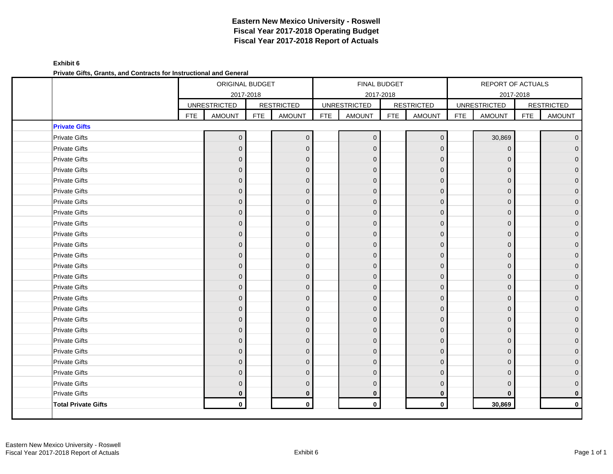## **Exhibit 6 Private Gifts, Grants, and Contracts for Instructional and General**

|                            |            | ORIGINAL BUDGET<br>2017-2018 |            |                   |            | <b>FINAL BUDGET</b><br>2017-2018 |            |                   |            | REPORT OF ACTUALS<br>2017-2018 |            |                   |
|----------------------------|------------|------------------------------|------------|-------------------|------------|----------------------------------|------------|-------------------|------------|--------------------------------|------------|-------------------|
|                            |            | <b>UNRESTRICTED</b>          |            | <b>RESTRICTED</b> |            | <b>UNRESTRICTED</b>              |            | <b>RESTRICTED</b> |            | <b>UNRESTRICTED</b>            |            | <b>RESTRICTED</b> |
|                            | <b>FTE</b> | <b>AMOUNT</b>                | <b>FTE</b> | <b>AMOUNT</b>     | <b>FTE</b> | <b>AMOUNT</b>                    | <b>FTE</b> | <b>AMOUNT</b>     | <b>FTE</b> | <b>AMOUNT</b>                  | <b>FTE</b> | <b>AMOUNT</b>     |
| <b>Private Gifts</b>       |            |                              |            |                   |            |                                  |            |                   |            |                                |            |                   |
| <b>Private Gifts</b>       |            | $\mathbf{0}$                 |            | $\mathbf 0$       |            | $\mathbf{0}$                     |            | $\mathbf 0$       |            | 30,869                         |            | $\overline{0}$    |
| <b>Private Gifts</b>       |            | $\Omega$                     |            | $\mathbf{0}$      |            | $\Omega$                         |            | $\Omega$          |            | $\mathbf 0$                    |            | $\overline{0}$    |
| <b>Private Gifts</b>       |            | $\mathbf{0}$                 |            | $\overline{0}$    |            | 0                                |            | $\mathbf{0}$      |            | $\Omega$                       |            | 0                 |
| <b>Private Gifts</b>       |            | $\Omega$                     |            | $\overline{0}$    |            | $\overline{0}$                   |            | $\mathbf{0}$      |            | $\Omega$                       |            | $\overline{0}$    |
| <b>Private Gifts</b>       |            | $\mathbf{0}$                 |            | $\mathbf 0$       |            | 0                                |            | $\Omega$          |            | $\mathbf 0$                    |            | 0                 |
| <b>Private Gifts</b>       |            | $\Omega$                     |            | $\mathbf 0$       |            | O                                |            | $\Omega$          |            | $\Omega$                       |            | 0                 |
| <b>Private Gifts</b>       |            | $\mathbf{0}$                 |            | $\mathbf 0$       |            | $\Omega$                         |            | $\mathbf{0}$      |            | $\mathbf 0$                    |            | $\overline{0}$    |
| <b>Private Gifts</b>       |            | $\Omega$                     |            | $\mathbf 0$       |            | $\Omega$                         |            | $\Omega$          |            | $\Omega$                       |            | $\Omega$          |
| <b>Private Gifts</b>       |            | $\Omega$                     |            | $\mathbf 0$       |            | 0                                |            | $\mathbf{0}$      |            | $\Omega$                       |            | $\mathbf{0}$      |
| <b>Private Gifts</b>       |            | $\Omega$                     |            | $\overline{0}$    |            | $\Omega$                         |            | $\mathbf{0}$      |            | $\Omega$                       |            | $\Omega$          |
| <b>Private Gifts</b>       |            | $\Omega$                     |            | $\mathbf{0}$      |            | $\Omega$                         |            | $\Omega$          |            | $\Omega$                       |            | 0                 |
| <b>Private Gifts</b>       |            | $\Omega$                     |            | $\mathbf 0$       |            | 0                                |            | $\mathbf{0}$      |            | $\Omega$                       |            | 0                 |
| <b>Private Gifts</b>       |            | $\Omega$                     |            | $\overline{0}$    |            | $\Omega$                         |            | $\mathbf{0}$      |            | $\mathbf 0$                    |            | $\Omega$          |
| <b>Private Gifts</b>       |            | $\mathbf{0}$                 |            | $\mathbf 0$       |            | $\Omega$                         |            | $\mathbf{0}$      |            | $\overline{0}$                 |            | $\overline{0}$    |
| <b>Private Gifts</b>       |            | $\Omega$                     |            | $\overline{0}$    |            | 0                                |            | $\mathbf{0}$      |            | $\Omega$                       |            | $\Omega$          |
| <b>Private Gifts</b>       |            | $\mathbf{0}$                 |            | $\mathbf 0$       |            | $\overline{0}$                   |            | $\mathbf 0$       |            | $\mathbf 0$                    |            | $\overline{0}$    |
| <b>Private Gifts</b>       |            | $\Omega$                     |            | $\mathbf{0}$      |            | $\Omega$                         |            | $\Omega$          |            | $\Omega$                       |            | 0                 |
| <b>Private Gifts</b>       |            | $\Omega$                     |            | $\mathbf 0$       |            | 0                                |            | $\mathbf{0}$      |            | $\mathbf{0}$                   |            | 0                 |
| <b>Private Gifts</b>       |            | $\Omega$                     |            | $\overline{0}$    |            | $\overline{0}$                   |            | $\mathbf{0}$      |            | $\mathbf 0$                    |            | $\Omega$          |
| <b>Private Gifts</b>       |            | $\mathbf{0}$                 |            | $\mathbf 0$       |            | $\Omega$                         |            | $\mathbf{0}$      |            | $\overline{0}$                 |            | $\overline{0}$    |
| <b>Private Gifts</b>       |            | $\Omega$                     |            | $\Omega$          |            | 0                                |            | $\Omega$          |            | $\Omega$                       |            | 0                 |
| <b>Private Gifts</b>       |            | $\mathbf{0}$                 |            | $\overline{0}$    |            | $\Omega$                         |            | $\mathbf{0}$      |            | $\mathbf 0$                    |            | $\Omega$          |
| <b>Private Gifts</b>       |            | $\Omega$                     |            | $\mathbf{0}$      |            | $\Omega$                         |            | $\Omega$          |            | $\Omega$                       |            |                   |
| <b>Private Gifts</b>       |            | $\Omega$                     |            | $\mathbf 0$       |            | 0                                |            | $\Omega$          |            | $\Omega$                       |            | 0                 |
| <b>Private Gifts</b>       |            | 0                            |            | $\bf{0}$          |            | 0                                |            | $\mathbf{0}$      |            | $\bf{0}$                       |            | $\bf{0}$          |
| <b>Total Private Gifts</b> |            | $\mathbf 0$                  |            | $\mathbf 0$       |            | $\mathbf 0$                      |            | $\pmb{0}$         |            | 30,869                         |            | $\mathbf{0}$      |
|                            |            |                              |            |                   |            |                                  |            |                   |            |                                |            |                   |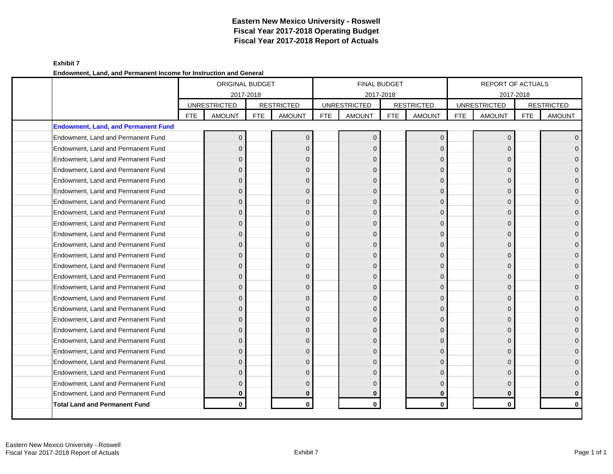## **Exhibit 7 Endowment, Land, and Permanent Income for Instruction and General**

|                                            |            | <b>ORIGINAL BUDGET</b><br>2017-2018 |            |                   |            | <b>FINAL BUDGET</b><br>2017-2018 |            |                   |     | <b>REPORT OF ACTUALS</b><br>2017-2018 |            |                   |
|--------------------------------------------|------------|-------------------------------------|------------|-------------------|------------|----------------------------------|------------|-------------------|-----|---------------------------------------|------------|-------------------|
|                                            |            | <b>UNRESTRICTED</b>                 |            | <b>RESTRICTED</b> |            | <b>UNRESTRICTED</b>              |            | <b>RESTRICTED</b> |     | <b>UNRESTRICTED</b>                   |            | <b>RESTRICTED</b> |
|                                            | <b>FTE</b> | <b>AMOUNT</b>                       | <b>FTE</b> | <b>AMOUNT</b>     | <b>FTE</b> | <b>AMOUNT</b>                    | <b>FTE</b> | <b>AMOUNT</b>     | FTE | <b>AMOUNT</b>                         | <b>FTE</b> | <b>AMOUNT</b>     |
| <b>Endowment, Land, and Permanent Fund</b> |            |                                     |            |                   |            |                                  |            |                   |     |                                       |            |                   |
| Endowment, Land and Permanent Fund         |            | $\Omega$                            |            | $\overline{0}$    |            | $\Omega$                         |            | $\mathbf{0}$      |     | $\Omega$                              |            | $\Omega$          |
| Endowment, Land and Permanent Fund         |            | $\Omega$                            |            | $\overline{0}$    |            | $\Omega$                         |            | $\mathbf{0}$      |     | $\Omega$                              |            |                   |
| Endowment, Land and Permanent Fund         |            | $\Omega$                            |            | $\Omega$          |            | $\Omega$                         |            | $\Omega$          |     | $\Omega$                              |            |                   |
| Endowment, Land and Permanent Fund         |            | $\Omega$                            |            | $\mathbf{0}$      |            | $\Omega$                         |            | $\Omega$          |     | $\Omega$                              |            |                   |
| Endowment, Land and Permanent Fund         |            | $\Omega$                            |            | $\overline{0}$    |            | $\Omega$                         |            | $\Omega$          |     | $\Omega$                              |            |                   |
| Endowment, Land and Permanent Fund         |            | $\Omega$                            |            | $\mathbf{0}$      |            | O                                |            | $\Omega$          |     | $\Omega$                              |            |                   |
| Endowment, Land and Permanent Fund         |            | $\Omega$                            |            | $\overline{0}$    |            | $\Omega$                         |            | $\mathbf 0$       |     | $\Omega$                              |            | $\Omega$          |
| Endowment, Land and Permanent Fund         |            | $\Omega$                            |            | $\overline{0}$    |            | $\Omega$                         |            | $\mathbf 0$       |     | $\Omega$                              |            |                   |
| Endowment, Land and Permanent Fund         |            | $\Omega$                            |            | $\overline{0}$    |            | 0                                |            | $\Omega$          |     | $\Omega$                              |            |                   |
| Endowment, Land and Permanent Fund         |            | $\Omega$                            |            | $\overline{0}$    |            | $\Omega$                         |            | $\Omega$          |     | $\Omega$                              |            | $\Omega$          |
| Endowment, Land and Permanent Fund         |            | $\Omega$                            |            | $\overline{0}$    |            | $\Omega$                         |            | $\mathbf 0$       |     | $\Omega$                              |            |                   |
| Endowment, Land and Permanent Fund         |            | $\Omega$                            |            | $\mathbf 0$       |            | U                                |            | $\Omega$          |     | $\Omega$                              |            |                   |
| Endowment, Land and Permanent Fund         |            | $\Omega$                            |            | $\overline{0}$    |            | $\Omega$                         |            | $\Omega$          |     | $\Omega$                              |            | U                 |
| Endowment, Land and Permanent Fund         |            | $\Omega$                            |            | $\mathbf 0$       |            | $\Omega$                         |            | $\mathbf 0$       |     | $\Omega$                              |            |                   |
| Endowment, Land and Permanent Fund         |            | $\Omega$                            |            | $\mathbf 0$       |            | U                                |            | $\Omega$          |     | $\Omega$                              |            |                   |
| Endowment, Land and Permanent Fund         |            | $\Omega$                            |            | $\overline{0}$    |            | $\Omega$                         |            | $\Omega$          |     | $\Omega$                              |            | $\Omega$          |
| Endowment, Land and Permanent Fund         |            | $\Omega$                            |            | $\Omega$          |            | $\Omega$                         |            | $\Omega$          |     | $\Omega$                              |            |                   |
| Endowment, Land and Permanent Fund         |            | $\Omega$                            |            | $\mathbf 0$       |            | O                                |            | $\Omega$          |     | $\Omega$                              |            |                   |
| Endowment, Land and Permanent Fund         |            | $\Omega$                            |            | $\overline{0}$    |            | $\Omega$                         |            | $\Omega$          |     | $\Omega$                              |            |                   |
| Endowment, Land and Permanent Fund         |            | $\Omega$                            |            | $\overline{0}$    |            | $\Omega$                         |            | $\Omega$          |     | $\Omega$                              |            |                   |
| Endowment, Land and Permanent Fund         |            | $\Omega$                            |            | $\overline{0}$    |            | O                                |            | $\Omega$          |     | $\Omega$                              |            |                   |
| Endowment, Land and Permanent Fund         |            | $\Omega$                            |            | $\mathbf{0}$      |            | $\Omega$                         |            | $\Omega$          |     | $\Omega$                              |            |                   |
| Endowment, Land and Permanent Fund         |            | $\Omega$                            |            | $\overline{0}$    |            | $\Omega$                         |            | $\Omega$          |     | $\Omega$                              |            |                   |
| Endowment, Land and Permanent Fund         |            | $\Omega$                            |            | $\overline{0}$    |            | $\Omega$                         |            | $\Omega$          |     | $\Omega$                              |            |                   |
| Endowment, Land and Permanent Fund         |            | $\bf{0}$                            |            | $\bf{0}$          |            | $\bf{0}$                         |            | 0                 |     | $\bf{0}$                              |            |                   |
| Total Land and Permanent Fund              |            | $\mathbf{0}$                        |            | $\mathbf{0}$      |            | $\mathbf{0}$                     |            | $\mathbf{0}$      |     | $\Omega$                              |            | $\mathbf{0}$      |
|                                            |            |                                     |            |                   |            |                                  |            |                   |     |                                       |            |                   |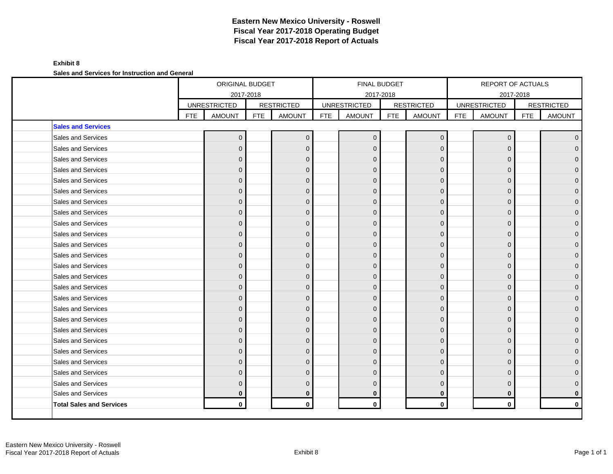### **Exhibit 8**

**Sales and Services for Instruction and General**

|                                 |            | ORIGINAL BUDGET                      |            |                                    |            | FINAL BUDGET                         |            |                                    |            | <b>REPORT OF ACTUALS</b>             |            |                                    |
|---------------------------------|------------|--------------------------------------|------------|------------------------------------|------------|--------------------------------------|------------|------------------------------------|------------|--------------------------------------|------------|------------------------------------|
|                                 |            | 2017-2018                            |            |                                    |            | 2017-2018                            |            |                                    |            | 2017-2018                            |            |                                    |
|                                 | <b>FTE</b> | <b>UNRESTRICTED</b><br><b>AMOUNT</b> | <b>FTE</b> | <b>RESTRICTED</b><br><b>AMOUNT</b> | <b>FTE</b> | <b>UNRESTRICTED</b><br><b>AMOUNT</b> | <b>FTE</b> | <b>RESTRICTED</b><br><b>AMOUNT</b> | <b>FTE</b> | <b>UNRESTRICTED</b><br><b>AMOUNT</b> | <b>FTE</b> | <b>RESTRICTED</b><br><b>AMOUNT</b> |
| <b>Sales and Services</b>       |            |                                      |            |                                    |            |                                      |            |                                    |            |                                      |            |                                    |
| Sales and Services              |            | $\overline{0}$                       |            | $\mathbf{0}$                       |            | $\mathbf{0}$                         |            | $\mathbf{0}$                       |            | $\mathbf 0$                          |            | $\overline{0}$                     |
| Sales and Services              |            | $\overline{0}$                       |            | $\Omega$                           |            | $\Omega$                             |            | $\Omega$                           |            | $\Omega$                             |            | $\overline{0}$                     |
| Sales and Services              |            | $\overline{0}$                       |            | $\Omega$                           |            | $\Omega$                             |            | $\Omega$                           |            | $\Omega$                             |            | $\overline{0}$                     |
| Sales and Services              |            | $\overline{0}$                       |            | $\Omega$                           |            | $\Omega$                             |            | $\Omega$                           |            | $\Omega$                             |            | $\overline{0}$                     |
| Sales and Services              |            | $\overline{0}$                       |            | $\mathbf{0}$                       |            | $\Omega$                             |            | $\Omega$                           |            | $\Omega$                             |            | $\mathbf{0}$                       |
| Sales and Services              |            | $\overline{0}$                       |            | $\Omega$                           |            | $\Omega$                             |            | $\Omega$                           |            | $\Omega$                             |            | $\overline{0}$                     |
| Sales and Services              |            | $\Omega$                             |            | $\Omega$                           |            | $\Omega$                             |            | $\Omega$                           |            | $\Omega$                             |            | $\mathbf{0}$                       |
| Sales and Services              |            | $\overline{0}$                       |            | $\mathbf{0}$                       |            | $\Omega$                             |            | $\Omega$                           |            | $\Omega$                             |            | $\overline{0}$                     |
| Sales and Services              |            | $\overline{0}$                       |            | $\Omega$                           |            | $\Omega$                             |            | $\Omega$                           |            | $\Omega$                             |            | $\overline{0}$                     |
| Sales and Services              |            | $\overline{0}$                       |            | $\mathbf 0$                        |            | $\Omega$                             |            | $\mathbf{0}$                       |            | $\Omega$                             |            | 0                                  |
| Sales and Services              |            | $\overline{0}$                       |            | $\Omega$                           |            | $\Omega$                             |            | $\Omega$                           |            | $\Omega$                             |            | $\mathbf{0}$                       |
| Sales and Services              |            | $\Omega$                             |            | $\Omega$                           |            | $\Omega$                             |            | $\Omega$                           |            | $\Omega$                             |            | $\overline{0}$                     |
| Sales and Services              |            | $\overline{0}$                       |            | $\mathbf 0$                        |            | $\Omega$                             |            | $\mathbf{0}$                       |            | $\Omega$                             |            | $\overline{0}$                     |
| Sales and Services              |            | $\overline{0}$                       |            | $\Omega$                           |            | $\Omega$                             |            | $\Omega$                           |            | $\Omega$                             |            | $\overline{0}$                     |
| Sales and Services              |            | $\overline{0}$                       |            | $\mathbf 0$                        |            | $\Omega$                             |            | $\mathbf{0}$                       |            | $\Omega$                             |            | $\overline{0}$                     |
| Sales and Services              |            | $\overline{0}$                       |            | $\Omega$                           |            | $\Omega$                             |            | $\Omega$                           |            | $\Omega$                             |            | $\overline{0}$                     |
| Sales and Services              |            | $\overline{0}$                       |            | $\Omega$                           |            | $\Omega$                             |            | $\Omega$                           |            | $\Omega$                             |            | $\overline{0}$                     |
| Sales and Services              |            | $\overline{0}$                       |            | $\Omega$                           |            | $\Omega$                             |            | $\Omega$                           |            | $\Omega$                             |            | 0                                  |
| Sales and Services              |            | $\Omega$                             |            | $\Omega$                           |            | $\Omega$                             |            | $\Omega$                           |            | $\Omega$                             |            | $\mathbf{0}$                       |
| Sales and Services              |            | $\overline{0}$                       |            | $\mathbf{0}$                       |            | $\Omega$                             |            | $\mathbf{0}$                       |            | $\Omega$                             |            | $\overline{0}$                     |
| Sales and Services              |            | $\overline{0}$                       |            | $\Omega$                           |            | $\Omega$                             |            | $\Omega$                           |            | $\Omega$                             |            | $\overline{0}$                     |
| Sales and Services              |            | $\Omega$                             |            | $\Omega$                           |            | $\Omega$                             |            | $\Omega$                           |            | $\Omega$                             |            | $\overline{0}$                     |
| Sales and Services              |            | $\overline{0}$                       |            | $\Omega$                           |            | $\Omega$                             |            | $\Omega$                           |            | $\Omega$                             |            | 0                                  |
| Sales and Services              |            | $\Omega$                             |            | $\Omega$                           |            | $\Omega$                             |            | $\Omega$                           |            | $\Omega$                             |            | 0                                  |
| Sales and Services              |            | $\bf{0}$                             |            | $\bf{0}$                           |            | $\bf{0}$                             |            | $\bf{0}$                           |            | $\bf{0}$                             |            | 0                                  |
| <b>Total Sales and Services</b> |            | $\mathbf{0}$                         |            | $\mathbf{0}$                       |            | $\mathbf{0}$                         |            | $\mathbf{0}$                       |            | $\mathbf{0}$                         |            | $\mathbf{0}$                       |
|                                 |            |                                      |            |                                    |            |                                      |            |                                    |            |                                      |            |                                    |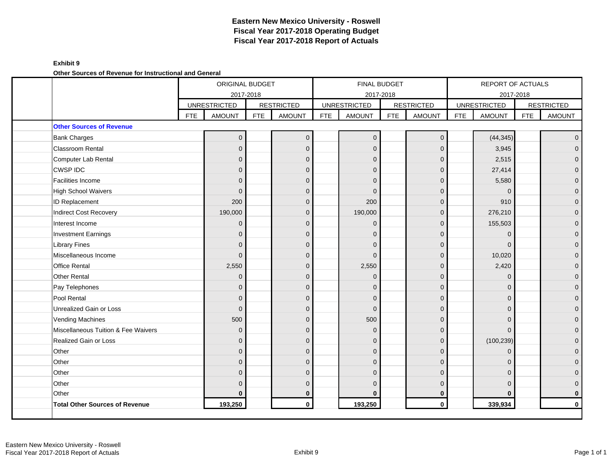## **Exhibit 9**

**Other Sources of Revenue for Instructional and General**

|                                     |            | <b>ORIGINAL BUDGET</b> |            |                   |            |                     | FINAL BUDGET |                   |            | <b>REPORT OF ACTUALS</b> |            |                   |
|-------------------------------------|------------|------------------------|------------|-------------------|------------|---------------------|--------------|-------------------|------------|--------------------------|------------|-------------------|
|                                     |            | 2017-2018              |            |                   |            | 2017-2018           |              |                   |            | 2017-2018                |            |                   |
|                                     |            | <b>UNRESTRICTED</b>    |            | <b>RESTRICTED</b> |            | <b>UNRESTRICTED</b> |              | <b>RESTRICTED</b> |            | <b>UNRESTRICTED</b>      |            | <b>RESTRICTED</b> |
|                                     | <b>FTE</b> | <b>AMOUNT</b>          | <b>FTE</b> | <b>AMOUNT</b>     | <b>FTE</b> | <b>AMOUNT</b>       | <b>FTE</b>   | <b>AMOUNT</b>     | <b>FTE</b> | <b>AMOUNT</b>            | <b>FTE</b> | <b>AMOUNT</b>     |
| <b>Other Sources of Revenue</b>     |            |                        |            |                   |            |                     |              |                   |            |                          |            |                   |
| <b>Bank Charges</b>                 |            | $\Omega$               |            | $\overline{0}$    |            | $\mathbf{0}$        |              | $\mathbf 0$       |            | (44, 345)                |            | $\overline{0}$    |
| <b>Classroom Rental</b>             |            | $\Omega$               |            | $\Omega$          |            | $\Omega$            |              | $\Omega$          |            | 3,945                    |            | $\overline{0}$    |
| Computer Lab Rental                 |            | $\mathbf{0}$           |            | $\mathbf{0}$      |            | $\Omega$            |              | $\mathbf{0}$      |            | 2,515                    |            | $\overline{0}$    |
| <b>CWSP IDC</b>                     |            | $\Omega$               |            | $\Omega$          |            | $\Omega$            |              | $\Omega$          |            | 27,414                   |            | 0                 |
| <b>Facilities Income</b>            |            | $\Omega$               |            | $\Omega$          |            | $\Omega$            |              | $\mathbf 0$       |            | 5,580                    |            | $\overline{0}$    |
| <b>High School Waivers</b>          |            | $\Omega$               |            | $\Omega$          |            | $\Omega$            |              | $\Omega$          |            | $\Omega$                 |            | $\overline{0}$    |
| <b>ID Replacement</b>               |            | 200                    |            | $\overline{0}$    |            | 200                 |              | $\mathbf{0}$      |            | 910                      |            | 0                 |
| Indirect Cost Recovery              |            | 190,000                |            | $\overline{0}$    |            | 190,000             |              | $\overline{0}$    |            | 276,210                  |            | $\overline{0}$    |
| Interest Income                     |            | $\Omega$               |            | $\Omega$          |            | $\Omega$            |              | $\Omega$          |            | 155,503                  |            | $\overline{0}$    |
| <b>Investment Earnings</b>          |            | $\Omega$               |            | $\Omega$          |            | $\Omega$            |              | $\Omega$          |            | $\mathbf 0$              |            | $\mathbf{0}$      |
| <b>Library Fines</b>                |            | $\Omega$               |            | $\Omega$          |            | $\Omega$            |              | $\mathbf{0}$      |            | $\Omega$                 |            | $\mathbf{0}$      |
| Miscellaneous Income                |            | $\Omega$               |            | $\Omega$          |            | $\Omega$            |              | $\Omega$          |            | 10,020                   |            | 0                 |
| <b>Office Rental</b>                |            | 2,550                  |            | $\mathbf{0}$      |            | 2,550               |              | $\mathbf{0}$      |            | 2,420                    |            | $\overline{0}$    |
| <b>Other Rental</b>                 |            | $\Omega$               |            | $\Omega$          |            | $\Omega$            |              | $\Omega$          |            | $\Omega$                 |            | $\mathbf{0}$      |
| Pay Telephones                      |            | $\Omega$               |            | $\mathbf 0$       |            | $\Omega$            |              | $\mathbf{0}$      |            | $\Omega$                 |            | 0                 |
| Pool Rental                         |            | $\Omega$               |            | $\Omega$          |            | $\Omega$            |              | $\mathbf{0}$      |            | $\Omega$                 |            | $\overline{0}$    |
| Unrealized Gain or Loss             |            | $\Omega$               |            | $\Omega$          |            | $\Omega$            |              | $\Omega$          |            | $\Omega$                 |            | 0                 |
| <b>Vending Machines</b>             |            | 500                    |            | $\Omega$          |            | 500                 |              | $\Omega$          |            | $\Omega$                 |            | $\overline{0}$    |
| Miscellaneous Tuition & Fee Waivers |            | $\Omega$               |            | $\mathbf 0$       |            | $\Omega$            |              | $\mathbf{0}$      |            | $\Omega$                 |            | 0                 |
| Realized Gain or Loss               |            | $\overline{0}$         |            | $\overline{0}$    |            | $\Omega$            |              | $\overline{0}$    |            | (100, 239)               |            | $\overline{0}$    |
| Other                               |            | $\Omega$               |            | $\Omega$          |            | $\Omega$            |              | $\Omega$          |            | $\Omega$                 |            | $\overline{0}$    |
| Other                               |            | $\Omega$               |            | $\Omega$          |            | $\Omega$            |              | $\Omega$          |            | $\Omega$                 |            | $\mathbf{0}$      |
| Other                               |            | $\Omega$               |            | $\overline{0}$    |            | $\Omega$            |              | $\Omega$          |            | $\Omega$                 |            | 0                 |
| Other                               |            | $\Omega$               |            | $\Omega$          |            | $\Omega$            |              | $\Omega$          |            | $\Omega$                 |            | 0                 |
| Other                               |            | O                      |            | $\bf{0}$          |            | O                   |              | $\bf{0}$          |            | $\bf{0}$                 |            | 0                 |
| Total Other Sources of Revenue      |            | 193,250                |            | $\mathbf 0$       |            | 193,250             |              | $\mathbf{0}$      |            | 339,934                  |            | $\mathbf{0}$      |
|                                     |            |                        |            |                   |            |                     |              |                   |            |                          |            |                   |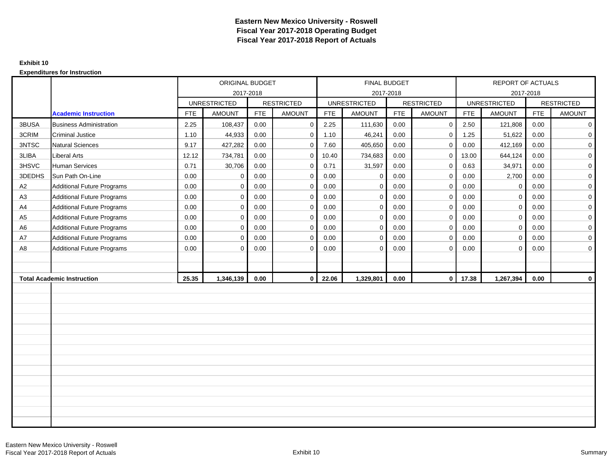### **Exhibit 10**

|                |                                   | ORIGINAL BUDGET |                     |            |                   |            | FINAL BUDGET        |            |                   |            | REPORT OF ACTUALS   |            |                   |
|----------------|-----------------------------------|-----------------|---------------------|------------|-------------------|------------|---------------------|------------|-------------------|------------|---------------------|------------|-------------------|
|                |                                   |                 | 2017-2018           |            |                   |            | 2017-2018           |            |                   |            | 2017-2018           |            |                   |
|                |                                   |                 | <b>UNRESTRICTED</b> |            | <b>RESTRICTED</b> |            | <b>UNRESTRICTED</b> |            | <b>RESTRICTED</b> |            | <b>UNRESTRICTED</b> |            | <b>RESTRICTED</b> |
|                | <b>Academic Instruction</b>       | <b>FTE</b>      | <b>AMOUNT</b>       | <b>FTE</b> | <b>AMOUNT</b>     | <b>FTE</b> | <b>AMOUNT</b>       | <b>FTE</b> | <b>AMOUNT</b>     | <b>FTE</b> | <b>AMOUNT</b>       | <b>FTE</b> | <b>AMOUNT</b>     |
| 3BUSA          | <b>Business Administration</b>    | 2.25            | 108,437             | 0.00       | $\mathbf 0$       | 2.25       | 111,630             | 0.00       | $\mathbf{0}$      | 2.50       | 121,808             | 0.00       | $\mathbf 0$       |
| 3CRIM          | <b>Criminal Justice</b>           | 1.10            | 44,933              | 0.00       | $\mathbf 0$       | 1.10       | 46,241              | 0.00       | $\mathbf 0$       | 1.25       | 51,622              | 0.00       | 0                 |
| 3NTSC          | <b>Natural Sciences</b>           | 9.17            | 427,282             | 0.00       | $\Omega$          | 7.60       | 405,650             | 0.00       | $\mathbf{0}$      | 0.00       | 412,169             | 0.00       | 0                 |
| 3LIBA          | <b>Liberal Arts</b>               | 12.12           | 734,781             | 0.00       | $\mathbf 0$       | 10.40      | 734,683             | 0.00       | $\overline{0}$    | 13.00      | 644,124             | 0.00       | $\overline{0}$    |
| 3HSVC          | Human Services                    | 0.71            | 30,706              | 0.00       | $\mathbf 0$       | 0.71       | 31,597              | 0.00       | $\mathbf 0$       | 0.63       | 34,971              | 0.00       | $\mathbf 0$       |
| 3DEDHS         | Sun Path On-Line                  | 0.00            | $\mathbf 0$         | 0.00       | $\mathbf 0$       | 0.00       | $\mathbf 0$         | 0.00       | $\mathbf{0}$      | 0.00       | 2,700               | 0.00       | $\mathbf 0$       |
| A2             | <b>Additional Future Programs</b> | 0.00            | $\mathbf 0$         | 0.00       | $\mathbf 0$       | 0.00       | $\mathbf 0$         | 0.00       | $\mathbf 0$       | 0.00       | $\mathbf 0$         | 0.00       | $\overline{0}$    |
| A <sub>3</sub> | <b>Additional Future Programs</b> | 0.00            | $\mathbf 0$         | 0.00       | $\mathbf 0$       | 0.00       | $\mathbf 0$         | 0.00       | $\mathbf{0}$      | 0.00       | $\mathbf 0$         | 0.00       | $\mathbf 0$       |
| A4             | Additional Future Programs        | 0.00            | $\mathbf 0$         | 0.00       | $\mathbf 0$       | 0.00       | $\mathbf 0$         | 0.00       | $\mathbf{0}$      | 0.00       | $\mathbf 0$         | 0.00       | $\overline{0}$    |
| A <sub>5</sub> | <b>Additional Future Programs</b> | 0.00            | $\mathsf{O}\xspace$ | 0.00       | $\mathbf 0$       | 0.00       | $\mathbf 0$         | 0.00       | $\mathbf 0$       | 0.00       | $\pmb{0}$           | 0.00       | $\overline{0}$    |
| A <sub>6</sub> | <b>Additional Future Programs</b> | 0.00            | $\mathbf 0$         | 0.00       | $\mathbf 0$       | 0.00       | $\mathbf 0$         | 0.00       | $\mathbf 0$       | 0.00       | $\mathbf 0$         | 0.00       | $\mathbf 0$       |
| A7             | <b>Additional Future Programs</b> | 0.00            | $\mathbf 0$         | 0.00       | $\mathbf 0$       | 0.00       | $\mathbf 0$         | 0.00       | $\mathbf 0$       | 0.00       | $\mathbf 0$         | 0.00       | $\overline{0}$    |
| A8             | <b>Additional Future Programs</b> | 0.00            | $\mathbf 0$         | 0.00       | $\mathbf 0$       | 0.00       | $\mathbf 0$         | 0.00       | $\mathbf 0$       | 0.00       | $\Omega$            | 0.00       | $\overline{0}$    |
|                |                                   |                 |                     |            |                   |            |                     |            |                   |            |                     |            |                   |
|                |                                   |                 |                     |            |                   |            |                     |            |                   |            |                     |            |                   |
|                | <b>Total Academic Instruction</b> | 25.35           | 1,346,139           | 0.00       | $\mathbf{0}$      | 22.06      | 1,329,801           | 0.00       | $\overline{0}$    | 17.38      | 1,267,394           | 0.00       | $\mathbf 0$       |
|                |                                   |                 |                     |            |                   |            |                     |            |                   |            |                     |            |                   |
|                |                                   |                 |                     |            |                   |            |                     |            |                   |            |                     |            |                   |
|                |                                   |                 |                     |            |                   |            |                     |            |                   |            |                     |            |                   |
|                |                                   |                 |                     |            |                   |            |                     |            |                   |            |                     |            |                   |
|                |                                   |                 |                     |            |                   |            |                     |            |                   |            |                     |            |                   |
|                |                                   |                 |                     |            |                   |            |                     |            |                   |            |                     |            |                   |
|                |                                   |                 |                     |            |                   |            |                     |            |                   |            |                     |            |                   |
|                |                                   |                 |                     |            |                   |            |                     |            |                   |            |                     |            |                   |
|                |                                   |                 |                     |            |                   |            |                     |            |                   |            |                     |            |                   |
|                |                                   |                 |                     |            |                   |            |                     |            |                   |            |                     |            |                   |
|                |                                   |                 |                     |            |                   |            |                     |            |                   |            |                     |            |                   |
|                |                                   |                 |                     |            |                   |            |                     |            |                   |            |                     |            |                   |
|                |                                   |                 |                     |            |                   |            |                     |            |                   |            |                     |            |                   |
|                |                                   |                 |                     |            |                   |            |                     |            |                   |            |                     |            |                   |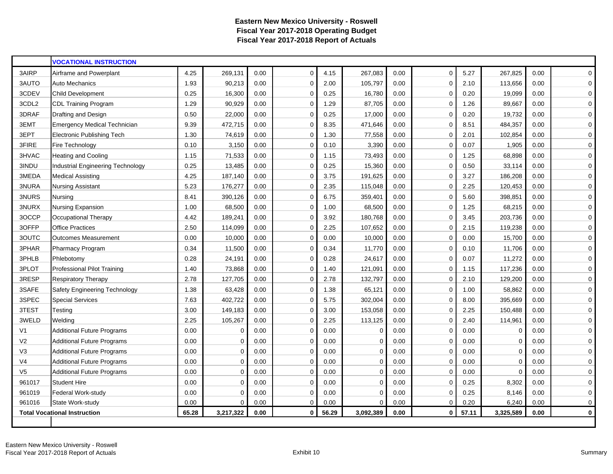|                | <b>VOCATIONAL INSTRUCTION</b>            |       |             |      |             |       |           |      |             |       |             |      |             |
|----------------|------------------------------------------|-------|-------------|------|-------------|-------|-----------|------|-------------|-------|-------------|------|-------------|
| 3AIRP          | Airframe and Powerplant                  | 4.25  | 269,131     | 0.00 | $\Omega$    | 4.15  | 267,083   | 0.00 | $\mathbf 0$ | 5.27  | 267,825     | 0.00 | $\mathbf 0$ |
| 3AUTO          | <b>Auto Mechanics</b>                    | 1.93  | 90,213      | 0.00 | $\Omega$    | 2.00  | 105,797   | 0.00 | $\Omega$    | 2.10  | 113,656     | 0.00 | 0           |
| 3CDEV          | <b>Child Development</b>                 | 0.25  | 16,300      | 0.00 | $\mathbf 0$ | 0.25  | 16,780    | 0.00 | $\Omega$    | 0.20  | 19,099      | 0.00 | $\mathbf 0$ |
| 3CDL2          | <b>CDL Training Program</b>              | 1.29  | 90,929      | 0.00 | 0           | 1.29  | 87,705    | 0.00 | $\mathbf 0$ | 1.26  | 89,667      | 0.00 | $\mathbf 0$ |
| 3DRAF          | Drafting and Design                      | 0.50  | 22,000      | 0.00 | $\mathbf 0$ | 0.25  | 17,000    | 0.00 | $\mathbf 0$ | 0.20  | 19,732      | 0.00 | $\mathbf 0$ |
| 3EMT           | <b>Emergency Medical Technician</b>      | 9.39  | 472,715     | 0.00 | $\mathbf 0$ | 8.35  | 471,646   | 0.00 | 0           | 8.51  | 484,357     | 0.00 | $\mathbf 0$ |
| 3EPT           | <b>Electronic Publishing Tech</b>        | 1.30  | 74,619      | 0.00 | $\mathbf 0$ | 1.30  | 77,558    | 0.00 | $\mathbf 0$ | 2.01  | 102,854     | 0.00 | 0           |
| 3FIRE          | Fire Technology                          | 0.10  | 3,150       | 0.00 | $\mathbf 0$ | 0.10  | 3,390     | 0.00 | $\mathbf 0$ | 0.07  | 1,905       | 0.00 | $\mathbf 0$ |
| 3HVAC          | <b>Heating and Cooling</b>               | 1.15  | 71,533      | 0.00 | $\mathbf 0$ | 1.15  | 73,493    | 0.00 | $\mathbf 0$ | 1.25  | 68,898      | 0.00 | 0           |
| 3INDU          | <b>Industrial Engineering Technology</b> | 0.25  | 13,485      | 0.00 | $\mathbf 0$ | 0.25  | 15,360    | 0.00 | $\mathbf 0$ | 0.50  | 33,114      | 0.00 | 0           |
| 3MEDA          | <b>Medical Assisting</b>                 | 4.25  | 187,140     | 0.00 | $\mathbf 0$ | 3.75  | 191,625   | 0.00 | 0           | 3.27  | 186,208     | 0.00 | $\mathbf 0$ |
| 3NURA          | <b>Nursing Assistant</b>                 | 5.23  | 176,277     | 0.00 | $\Omega$    | 2.35  | 115,048   | 0.00 | $\Omega$    | 2.25  | 120,453     | 0.00 | $\mathbf 0$ |
| 3NURS          | Nursing                                  | 8.41  | 390,126     | 0.00 | $\Omega$    | 6.75  | 359,401   | 0.00 | $\Omega$    | 5.60  | 398,851     | 0.00 | $\mathbf 0$ |
| 3NURX          | Nursing Expansion                        | 1.00  | 68,500      | 0.00 | $\mathbf 0$ | 1.00  | 68,500    | 0.00 | $\Omega$    | 1.25  | 68,215      | 0.00 | $\mathbf 0$ |
| 3OCCP          | Occupational Therapy                     | 4.42  | 189,241     | 0.00 | $\mathbf 0$ | 3.92  | 180,768   | 0.00 | $\mathbf 0$ | 3.45  | 203,736     | 0.00 | $\mathbf 0$ |
| 3OFFP          | <b>Office Practices</b>                  | 2.50  | 114,099     | 0.00 | $\mathbf 0$ | 2.25  | 107,652   | 0.00 | 0           | 2.15  | 119,238     | 0.00 | $\mathbf 0$ |
| 3OUTC          | <b>Outcomes Measurement</b>              | 0.00  | 10,000      | 0.00 | $\mathbf 0$ | 0.00  | 10,000    | 0.00 | $\mathbf 0$ | 0.00  | 15,700      | 0.00 | $\mathbf 0$ |
| 3PHAR          | <b>Pharmacy Program</b>                  | 0.34  | 11,500      | 0.00 | $\mathbf 0$ | 0.34  | 11,770    | 0.00 | $\mathbf 0$ | 0.10  | 11,706      | 0.00 | $\mathbf 0$ |
| 3PHLB          | Phlebotomy                               | 0.28  | 24,191      | 0.00 | $\mathbf 0$ | 0.28  | 24,617    | 0.00 | 0           | 0.07  | 11,272      | 0.00 | $\mathbf 0$ |
| 3PLOT          | Professional Pilot Training              | 1.40  | 73,868      | 0.00 | $\mathbf 0$ | 1.40  | 121,091   | 0.00 | $\mathbf 0$ | 1.15  | 117,236     | 0.00 | 0           |
| 3RESP          | <b>Respiratory Therapy</b>               | 2.78  | 127,705     | 0.00 | $\mathbf 0$ | 2.78  | 132,797   | 0.00 | 0           | 2.10  | 129,200     | 0.00 | $\mathbf 0$ |
| 3SAFE          | Safety Engineering Technology            | 1.38  | 63,428      | 0.00 | $\mathbf 0$ | 1.38  | 65,121    | 0.00 | $\mathbf 0$ | 1.00  | 58,862      | 0.00 | 0           |
| 3SPEC          | <b>Special Services</b>                  | 7.63  | 402,722     | 0.00 | $\mathbf 0$ | 5.75  | 302,004   | 0.00 | $\Omega$    | 8.00  | 395,669     | 0.00 | 0           |
| 3TEST          | Testing                                  | 3.00  | 149,183     | 0.00 | $\mathbf 0$ | 3.00  | 153,058   | 0.00 | $\mathbf 0$ | 2.25  | 150,488     | 0.00 | 0           |
| 3WELD          | Welding                                  | 2.25  | 105,267     | 0.00 | $\mathbf 0$ | 2.25  | 113,125   | 0.00 | 0           | 2.40  | 114,961     | 0.00 | 0           |
| V1             | <b>Additional Future Programs</b>        | 0.00  | $\Omega$    | 0.00 | $\mathbf 0$ | 0.00  | $\Omega$  | 0.00 | $\Omega$    | 0.00  | $\Omega$    | 0.00 | 0           |
| V <sub>2</sub> | <b>Additional Future Programs</b>        | 0.00  | 0           | 0.00 | $\mathbf 0$ | 0.00  | $\Omega$  | 0.00 | $\Omega$    | 0.00  | $\Omega$    | 0.00 | $\mathbf 0$ |
| V3             | <b>Additional Future Programs</b>        | 0.00  | $\mathbf 0$ | 0.00 | $\mathbf 0$ | 0.00  | $\Omega$  | 0.00 | $\Omega$    | 0.00  | $\mathbf 0$ | 0.00 | $\mathbf 0$ |
| V <sub>4</sub> | <b>Additional Future Programs</b>        | 0.00  | $\mathbf 0$ | 0.00 | $\mathbf 0$ | 0.00  | $\Omega$  | 0.00 | $\Omega$    | 0.00  | $\mathbf 0$ | 0.00 | $\mathbf 0$ |
| V <sub>5</sub> | <b>Additional Future Programs</b>        | 0.00  | $\mathbf 0$ | 0.00 | $\Omega$    | 0.00  | $\Omega$  | 0.00 | $\Omega$    | 0.00  | $\mathbf 0$ | 0.00 | $\mathbf 0$ |
| 961017         | <b>Student Hire</b>                      | 0.00  | $\Omega$    | 0.00 | $\mathbf 0$ | 0.00  | $\Omega$  | 0.00 | $\Omega$    | 0.25  | 8,302       | 0.00 | $\mathbf 0$ |
| 961019         | Federal Work-study                       | 0.00  | $\Omega$    | 0.00 | $\Omega$    | 0.00  | $\Omega$  | 0.00 | $\Omega$    | 0.25  | 8,146       | 0.00 | $\mathbf 0$ |
| 961016         | State Work-study                         | 0.00  | $\Omega$    | 0.00 | $\mathbf 0$ | 0.00  | $\Omega$  | 0.00 | 0           | 0.20  | 6,240       | 0.00 | 0           |
|                | <b>Total Vocational Instruction</b>      | 65.28 | 3,217,322   | 0.00 | $\bf{0}$    | 56.29 | 3,092,389 | 0.00 | 0           | 57.11 | 3,325,589   | 0.00 | $\mathbf 0$ |
|                |                                          |       |             |      |             |       |           |      |             |       |             |      |             |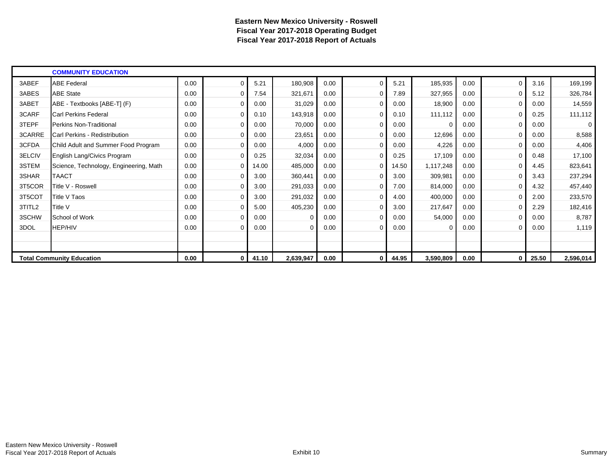|        | <b>COMMUNITY EDUCATION</b>             |      |              |       |           |      |             |       |           |      |              |       |           |
|--------|----------------------------------------|------|--------------|-------|-----------|------|-------------|-------|-----------|------|--------------|-------|-----------|
| 3ABEF  | <b>ABE Federal</b>                     | 0.00 | $\Omega$     | 5.21  | 180,908   | 0.00 | $\Omega$    | 5.21  | 185,935   | 0.00 | $\Omega$     | 3.16  | 169,199   |
| 3ABES  | <b>ABE State</b>                       | 0.00 | 0            | 7.54  | 321,671   | 0.00 | $\Omega$    | 7.89  | 327,955   | 0.00 | 0            | 5.12  | 326,784   |
| 3ABET  | ABE - Textbooks [ABE-T] (F)            | 0.00 | $\Omega$     | 0.00  | 31,029    | 0.00 | $\Omega$    | 0.00  | 18,900    | 0.00 | 0            | 0.00  | 14,559    |
| 3CARF  | Carl Perkins Federal                   | 0.00 | 0            | 0.10  | 143,918   | 0.00 | $\Omega$    | 0.10  | 111,112   | 0.00 | $\Omega$     | 0.25  | 111,112   |
| 3TEPF  | Perkins Non-Traditional                | 0.00 | $\Omega$     | 0.00  | 70,000    | 0.00 | $\Omega$    | 0.00  | $\Omega$  | 0.00 | 0            | 0.00  | 0         |
| 3CARRE | Carl Perkins - Redistribution          | 0.00 | $\Omega$     | 0.00  | 23,651    | 0.00 | $\Omega$    | 0.00  | 12,696    | 0.00 | $\mathbf{0}$ | 0.00  | 8,588     |
| 3CFDA  | Child Adult and Summer Food Program    | 0.00 | $\Omega$     | 0.00  | 4,000     | 0.00 | $\Omega$    | 0.00  | 4,226     | 0.00 | 0            | 0.00  | 4,406     |
| 3ELCIV | English Lang/Civics Program            | 0.00 | 0            | 0.25  | 32,034    | 0.00 | $\mathbf 0$ | 0.25  | 17,109    | 0.00 | 0            | 0.48  | 17,100    |
| 3STEM  | Science, Technology, Engineering, Math | 0.00 | 0            | 14.00 | 485,000   | 0.00 | 0           | 14.50 | 1,117,248 | 0.00 | 0            | 4.45  | 823,641   |
| 3SHAR  | <b>TAACT</b>                           | 0.00 | 0            | 3.00  | 360,441   | 0.00 | 0           | 3.00  | 309,981   | 0.00 | 0            | 3.43  | 237,294   |
| 3T5COR | Title V - Roswell                      | 0.00 | 0            | 3.00  | 291,033   | 0.00 | 0           | 7.00  | 814,000   | 0.00 | $\mathbf{0}$ | 4.32  | 457,440   |
| 3T5COT | Title V Taos                           | 0.00 | 0            | 3.00  | 291,032   | 0.00 | 0           | 4.00  | 400,000   | 0.00 | 0            | 2.00  | 233,570   |
| 3TITL2 | Title V                                | 0.00 | $\Omega$     | 5.00  | 405,230   | 0.00 |             | 3.00  | 217,647   | 0.00 |              | 2.29  | 182,416   |
| 3SCHW  | School of Work                         | 0.00 | $\Omega$     | 0.00  | $\Omega$  | 0.00 | $\Omega$    | 0.00  | 54,000    | 0.00 | 0            | 0.00  | 8,787     |
| 3DOL   | <b>HEP/HIV</b>                         | 0.00 | $\Omega$     | 0.00  | 0         | 0.00 | $\Omega$    | 0.00  | 0         | 0.00 | 0            | 0.00  | 1,119     |
|        |                                        |      |              |       |           |      |             |       |           |      |              |       |           |
|        |                                        |      |              |       |           |      |             |       |           |      |              |       |           |
|        | <b>Total Community Education</b>       | 0.00 | $\mathbf{0}$ | 41.10 | 2,639,947 | 0.00 | 0           | 44.95 | 3,590,809 | 0.00 | 0            | 25.50 | 2,596,014 |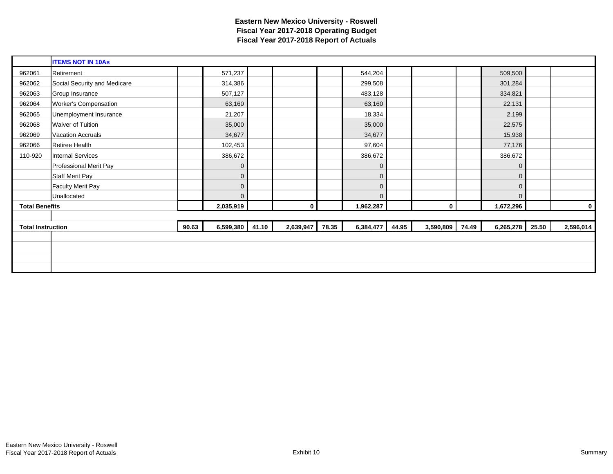|                          | <b>ITEMS NOT IN 10As</b>     |       |              |       |                |       |              |       |                 |                |       |           |
|--------------------------|------------------------------|-------|--------------|-------|----------------|-------|--------------|-------|-----------------|----------------|-------|-----------|
| 962061                   | Retirement                   |       | 571,237      |       |                |       | 544,204      |       |                 | 509,500        |       |           |
| 962062                   | Social Security and Medicare |       | 314,386      |       |                |       | 299,508      |       |                 | 301,284        |       |           |
| 962063                   | Group Insurance              |       | 507,127      |       |                |       | 483,128      |       |                 | 334,821        |       |           |
| 962064                   | <b>Worker's Compensation</b> |       | 63,160       |       |                |       | 63,160       |       |                 | 22,131         |       |           |
| 962065                   | Unemployment Insurance       |       | 21,207       |       |                |       | 18,334       |       |                 | 2,199          |       |           |
| 962068                   | Waiver of Tuition            |       | 35,000       |       |                |       | 35,000       |       |                 | 22,575         |       |           |
| 962069                   | <b>Vacation Accruals</b>     |       | 34,677       |       |                |       | 34,677       |       |                 | 15,938         |       |           |
| 962066                   | Retiree Health               |       | 102,453      |       |                |       | 97,604       |       |                 | 77,176         |       |           |
| 110-920                  | <b>Internal Services</b>     |       | 386,672      |       |                |       | 386,672      |       |                 | 386,672        |       |           |
|                          | Professional Merit Pay       |       | $\mathbf 0$  |       |                |       | 0            |       |                 | $\mathbf 0$    |       |           |
|                          | <b>Staff Merit Pay</b>       |       | $\mathbf 0$  |       |                |       | 0            |       |                 | $\overline{0}$ |       |           |
|                          | <b>Faculty Merit Pay</b>     |       | $\mathbf 0$  |       |                |       | $\mathbf{0}$ |       |                 | $\mathbf 0$    |       |           |
|                          | Unallocated                  |       | $\mathbf{0}$ |       |                |       | $\Omega$     |       |                 | $\overline{0}$ |       |           |
| <b>Total Benefits</b>    |                              |       | 2,035,919    |       | $\overline{0}$ |       | 1,962,287    |       | $\mathbf{0}$    | 1,672,296      |       | 0         |
|                          |                              |       |              |       |                |       |              |       |                 |                |       |           |
| <b>Total Instruction</b> |                              | 90.63 | 6,599,380    | 41.10 | 2,639,947      | 78.35 | 6,384,477    | 44.95 | 3,590,809 74.49 | 6,265,278      | 25.50 | 2,596,014 |
|                          |                              |       |              |       |                |       |              |       |                 |                |       |           |
|                          |                              |       |              |       |                |       |              |       |                 |                |       |           |
|                          |                              |       |              |       |                |       |              |       |                 |                |       |           |
|                          |                              |       |              |       |                |       |              |       |                 |                |       |           |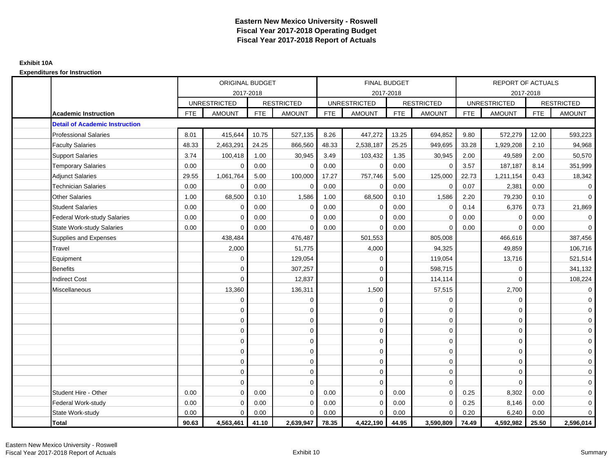|                                       |            | <b>ORIGINAL BUDGET</b> |            |                   |            | <b>FINAL BUDGET</b> |            |                   |            | <b>REPORT OF ACTUALS</b> |            |                     |
|---------------------------------------|------------|------------------------|------------|-------------------|------------|---------------------|------------|-------------------|------------|--------------------------|------------|---------------------|
|                                       |            | 2017-2018              |            |                   |            | 2017-2018           |            |                   |            | 2017-2018                |            |                     |
|                                       |            | <b>UNRESTRICTED</b>    |            | <b>RESTRICTED</b> |            | <b>UNRESTRICTED</b> |            | <b>RESTRICTED</b> |            | <b>UNRESTRICTED</b>      |            | <b>RESTRICTED</b>   |
| <b>Academic Instruction</b>           | <b>FTE</b> | <b>AMOUNT</b>          | <b>FTE</b> | <b>AMOUNT</b>     | <b>FTE</b> | <b>AMOUNT</b>       | <b>FTE</b> | <b>AMOUNT</b>     | <b>FTE</b> | <b>AMOUNT</b>            | <b>FTE</b> | <b>AMOUNT</b>       |
| <b>Detail of Academic Instruction</b> |            |                        |            |                   |            |                     |            |                   |            |                          |            |                     |
| <b>Professional Salaries</b>          | 8.01       | 415,644                | 10.75      | 527,135           | 8.26       | 447,272             | 13.25      | 694,852           | 9.80       | 572,279                  | 12.00      | 593,223             |
| <b>Faculty Salaries</b>               | 48.33      | 2,463,291              | 24.25      | 866,560           | 48.33      | 2,538,187           | 25.25      | 949,695           | 33.28      | 1,929,208                | 2.10       | 94,968              |
| <b>Support Salaries</b>               | 3.74       | 100,418                | 1.00       | 30,945            | 3.49       | 103,432             | 1.35       | 30,945            | 2.00       | 49,589                   | 2.00       | 50,570              |
| <b>Temporary Salaries</b>             | 0.00       | $\mathbf 0$            | 0.00       | $\mathbf 0$       | 0.00       | $\mathbf{0}$        | 0.00       | $\mathbf 0$       | 3.57       | 187,187                  | 8.14       | 351,999             |
| <b>Adjunct Salaries</b>               | 29.55      | 1,061,764              | 5.00       | 100,000           | 17.27      | 757,746             | 5.00       | 125,000           | 22.73      | 1,211,154                | 0.43       | 18,342              |
| <b>Technician Salaries</b>            | 0.00       | $\Omega$               | 0.00       | $\Omega$          | 0.00       | $\Omega$            | 0.00       | $\mathbf 0$       | 0.07       | 2,381                    | 0.00       | $\mathbf 0$         |
| <b>Other Salaries</b>                 | 1.00       | 68,500                 | 0.10       | 1,586             | 1.00       | 68,500              | 0.10       | 1,586             | 2.20       | 79,230                   | 0.10       | $\overline{0}$      |
| <b>Student Salaries</b>               | 0.00       | $\mathbf 0$            | 0.00       | $\mathbf 0$       | 0.00       | $\mathbf{0}$        | 0.00       | $\mathbf 0$       | 0.14       | 6,376                    | 0.73       | 21,869              |
| <b>Federal Work-study Salaries</b>    | 0.00       | $\Omega$               | 0.00       | $\Omega$          | 0.00       | $\Omega$            | 0.00       | $\mathbf 0$       | 0.00       | $\mathbf 0$              | 0.00       | $\mathbf 0$         |
| State Work-study Salaries             | 0.00       | $\mathbf 0$            | 0.00       | 0                 | 0.00       | 0                   | 0.00       | $\mathbf 0$       | 0.00       | $\mathbf 0$              | 0.00       | $\mathbf 0$         |
| Supplies and Expenses                 |            | 438,484                |            | 476,487           |            | 501,553             |            | 805,008           |            | 466,616                  |            | 387,456             |
| Travel                                |            | 2,000                  |            | 51,775            |            | 4,000               |            | 94,325            |            | 49,859                   |            | 106,716             |
| Equipment                             |            | 0                      |            | 129,054           |            | 0                   |            | 119,054           |            | 13,716                   |            | 521,514             |
| <b>Benefits</b>                       |            | $\Omega$               |            | 307,257           |            | $\Omega$            |            | 598,715           |            | $\mathbf 0$              |            | 341,132             |
| <b>Indirect Cost</b>                  |            | $\mathbf 0$            |            | 12,837            |            | $\mathbf 0$         |            | 114,114           |            | $\mathbf 0$              |            | 108,224             |
| Miscellaneous                         |            | 13,360                 |            | 136,311           |            | 1,500               |            | 57,515            |            | 2,700                    |            | $\mathbf 0$         |
|                                       |            | $\mathbf 0$            |            | $\mathbf 0$       |            | $\mathbf 0$         |            | $\mathbf 0$       |            | $\mathbf 0$              |            | $\mathbf 0$         |
|                                       |            | $\mathbf 0$            |            | 0                 |            | $\mathbf 0$         |            | $\mathbf 0$       |            | $\mathbf 0$              |            | $\overline{0}$      |
|                                       |            | $\Omega$               |            | $\mathbf 0$       |            | $\Omega$            |            | $\mathbf 0$       |            | $\mathbf 0$              |            | $\overline{0}$      |
|                                       |            | $\mathbf 0$            |            | $\mathbf 0$       |            | $\Omega$            |            | $\mathbf 0$       |            | $\mathbf 0$              |            | $\overline{0}$      |
|                                       |            | $\mathbf 0$            |            | $\mathbf 0$       |            | $\mathbf 0$         |            | $\mathbf 0$       |            | $\mathbf 0$              |            | $\mathsf{O}\xspace$ |
|                                       |            | $\mathbf 0$            |            | $\mathbf 0$       |            | $\mathbf 0$         |            | $\mathbf 0$       |            | $\mathbf 0$              |            | $\mathbf 0$         |
|                                       |            | $\mathbf 0$            |            | $\mathbf 0$       |            | $\mathbf{0}$        |            | $\mathbf 0$       |            | $\mathbf 0$              |            | $\mathbf 0$         |
|                                       |            | $\mathbf 0$            |            | 0                 |            | $\mathbf 0$         |            | $\mathbf 0$       |            | $\mathbf 0$              |            | $\mathbf 0$         |
|                                       |            | $\mathbf 0$            |            | 0                 |            | $\mathbf 0$         |            | $\mathbf 0$       |            | $\Omega$                 |            | $\mathbf 0$         |
| Student Hire - Other                  | 0.00       | $\Omega$               | 0.00       | $\Omega$          | 0.00       | $\Omega$            | 0.00       | $\Omega$          | 0.25       | 8,302                    | 0.00       | $\overline{0}$      |
| Federal Work-study                    | 0.00       | $\mathbf 0$            | 0.00       | $\Omega$          | 0.00       | $\mathbf 0$         | 0.00       | $\mathbf 0$       | 0.25       | 8,146                    | 0.00       | $\mathbf 0$         |
| State Work-study                      | 0.00       | $\mathbf 0$            | 0.00       | 0                 | 0.00       | $\mathbf{0}$        | 0.00       | $\mathbf 0$       | 0.20       | 6,240                    | 0.00       | $\overline{0}$      |
| <b>Total</b>                          | 90.63      | 4,563,461              | 41.10      | 2,639,947         | 78.35      | 4,422,190           | 44.95      | 3,590,809         | 74.49      | 4,592,982                | 25.50      | 2,596,014           |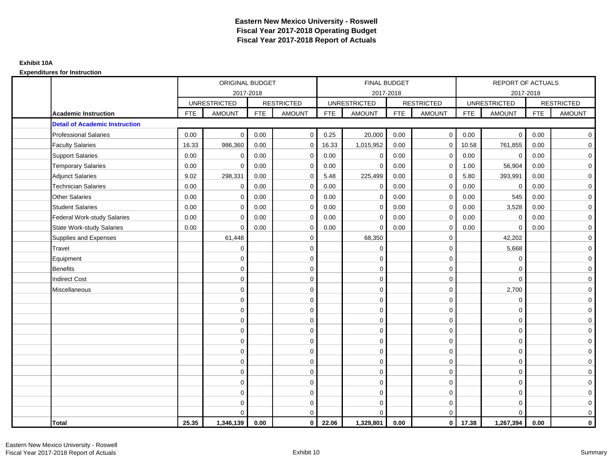|                                       |            | ORIGINAL BUDGET     |            |                   |            | FINAL BUDGET        |            |                   |            | <b>REPORT OF ACTUALS</b> |            |                   |
|---------------------------------------|------------|---------------------|------------|-------------------|------------|---------------------|------------|-------------------|------------|--------------------------|------------|-------------------|
|                                       |            | 2017-2018           |            |                   |            | 2017-2018           |            |                   |            | 2017-2018                |            |                   |
|                                       |            | <b>UNRESTRICTED</b> |            | <b>RESTRICTED</b> |            | <b>UNRESTRICTED</b> |            | <b>RESTRICTED</b> |            | <b>UNRESTRICTED</b>      |            | <b>RESTRICTED</b> |
| <b>Academic Instruction</b>           | <b>FTE</b> | <b>AMOUNT</b>       | <b>FTE</b> | <b>AMOUNT</b>     | <b>FTE</b> | <b>AMOUNT</b>       | <b>FTE</b> | <b>AMOUNT</b>     | <b>FTE</b> | <b>AMOUNT</b>            | <b>FTE</b> | <b>AMOUNT</b>     |
| <b>Detail of Academic Instruction</b> |            |                     |            |                   |            |                     |            |                   |            |                          |            |                   |
| <b>Professional Salaries</b>          | 0.00       | $\mathbf 0$         | 0.00       | $\mathbf 0$       | 0.25       | 20,000              | 0.00       | $\overline{0}$    | 0.00       | $\mathbf{0}$             | 0.00       | $\overline{0}$    |
| <b>Faculty Salaries</b>               | 16.33      | 986,360             | 0.00       | $\mathbf 0$       | 16.33      | 1,015,952           | 0.00       | $\mathbf 0$       | 10.58      | 761,855                  | 0.00       | $\overline{0}$    |
| <b>Support Salaries</b>               | 0.00       | $\mathbf 0$         | 0.00       | $\mathbf 0$       | 0.00       | $\mathbf 0$         | 0.00       | $\mathbf 0$       | 0.00       | $\mathbf 0$              | 0.00       | $\overline{0}$    |
| <b>Temporary Salaries</b>             | 0.00       | $\mathbf 0$         | 0.00       | $\mathbf 0$       | 0.00       | $\mathbf 0$         | 0.00       | $\mathbf 0$       | 1.00       | 56,904                   | 0.00       | $\mathbf 0$       |
| <b>Adjunct Salaries</b>               | 9.02       | 298,331             | 0.00       | $\Omega$          | 5.48       | 225,499             | 0.00       | $\mathbf 0$       | 5.80       | 393,991                  | 0.00       | $\mathbf 0$       |
| <b>Technician Salaries</b>            | 0.00       | $\Omega$            | 0.00       | $\Omega$          | 0.00       | $\Omega$            | 0.00       | $\mathbf 0$       | 0.00       | $\mathbf 0$              | 0.00       | $\overline{0}$    |
| <b>Other Salaries</b>                 | 0.00       | $\mathbf 0$         | 0.00       | $\mathbf 0$       | 0.00       | $\mathbf{0}$        | 0.00       | $\mathbf 0$       | 0.00       | 545                      | 0.00       | $\overline{0}$    |
| <b>Student Salaries</b>               | 0.00       | $\mathbf 0$         | 0.00       | $\mathbf 0$       | 0.00       | $\mathbf{0}$        | 0.00       | $\mathbf 0$       | 0.00       | 3,528                    | 0.00       | $\overline{0}$    |
| Federal Work-study Salaries           | 0.00       | $\Omega$            | 0.00       | $\Omega$          | 0.00       | $\Omega$            | 0.00       | $\mathbf 0$       | 0.00       | $\mathbf 0$              | 0.00       | $\mathbf 0$       |
| <b>State Work-study Salaries</b>      | 0.00       | $\Omega$            | 0.00       | $\Omega$          | 0.00       | $\Omega$            | 0.00       | $\mathbf 0$       | 0.00       | $\Omega$                 | 0.00       | $\mathbf 0$       |
| Supplies and Expenses                 |            | 61,448              |            | $\mathbf 0$       |            | 68,350              |            | $\mathbf 0$       |            | 42,202                   |            | $\mathbf 0$       |
| Travel                                |            | $\mathbf 0$         |            | $\mathbf 0$       |            | $\mathbf 0$         |            | $\mathbf 0$       |            | 5,668                    |            | $\mathbf 0$       |
| Equipment                             |            | $\mathbf 0$         |            | $\mathbf 0$       |            | $\mathbf 0$         |            | $\mathbf 0$       |            | $\mathbf 0$              |            | $\overline{0}$    |
| <b>Benefits</b>                       |            | $\mathbf 0$         |            | $\mathbf 0$       |            | $\mathbf 0$         |            | $\mathbf 0$       |            | $\mathbf 0$              |            | $\mathbf 0$       |
| <b>Indirect Cost</b>                  |            | $\mathbf 0$         |            | $\mathbf 0$       |            | $\mathbf 0$         |            | $\mathbf 0$       |            | $\Omega$                 |            | $\overline{0}$    |
| Miscellaneous                         |            | $\mathbf 0$         |            | $\mathbf 0$       |            | $\mathbf 0$         |            | $\mathbf 0$       |            | 2,700                    |            | $\mathbf 0$       |
|                                       |            | $\mathbf 0$         |            | $\mathbf 0$       |            | $\Omega$            |            | $\mathbf 0$       |            | $\mathbf 0$              |            | $\overline{0}$    |
|                                       |            | $\mathbf 0$         |            | $\mathbf 0$       |            | $\mathbf 0$         |            | $\mathbf 0$       |            | $\mathbf 0$              |            | $\mathbf 0$       |
|                                       |            | $\Omega$            |            | $\mathbf 0$       |            | $\Omega$            |            | $\mathbf 0$       |            | $\mathbf 0$              |            | $\mathbf 0$       |
|                                       |            | $\Omega$            |            | $\mathbf 0$       |            | $\Omega$            |            | $\mathbf 0$       |            | $\mathbf 0$              |            | $\mathbf 0$       |
|                                       |            | $\Omega$            |            | $\mathbf 0$       |            | $\Omega$            |            | $\mathbf 0$       |            | $\Omega$                 |            | $\mathbf 0$       |
|                                       |            | $\mathbf 0$         |            | 0                 |            | $\mathbf{0}$        |            | $\mathbf 0$       |            | $\mathbf 0$              |            | $\mathbf 0$       |
|                                       |            | $\mathbf 0$         |            | $\mathbf 0$       |            | $\mathbf 0$         |            | $\mathbf 0$       |            | $\mathbf 0$              |            | $\mathbf 0$       |
|                                       |            | $\mathbf 0$         |            | $\mathbf 0$       |            | $\Omega$            |            | $\mathbf 0$       |            | $\mathbf 0$              |            | $\overline{0}$    |
|                                       |            | $\Omega$            |            | $\mathbf 0$       |            | $\Omega$            |            | $\mathbf 0$       |            | $\Omega$                 |            | $\overline{0}$    |
|                                       |            | $\mathbf 0$         |            | $\mathbf 0$       |            | $\mathbf 0$         |            | $\mathbf 0$       |            | $\mathbf 0$              |            | $\overline{0}$    |
|                                       |            | $\mathbf 0$         |            | $\mathbf 0$       |            | $\Omega$            |            | $\mathbf 0$       |            | $\mathbf 0$              |            | $\mathbf 0$       |
|                                       |            | $\Omega$            |            | $\mathbf 0$       |            | $\Omega$            |            | $\mathbf 0$       |            | $\Omega$                 |            | $\mathbf 0$       |
| Total                                 | 25.35      | 1,346,139           | 0.00       | $\mathbf{0}$      | 22.06      | 1,329,801           | 0.00       | $\overline{0}$    | 17.38      | 1,267,394                | 0.00       | $\mathbf 0$       |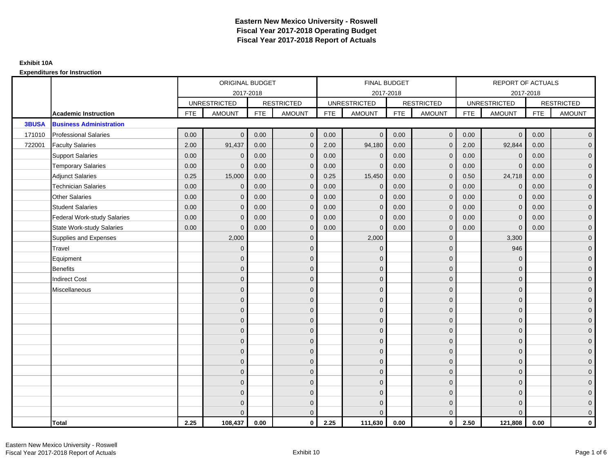|              |                                    |            | ORIGINAL BUDGET     |            |                   |            | <b>FINAL BUDGET</b> |            |                   |            | REPORT OF ACTUALS   |            |                     |
|--------------|------------------------------------|------------|---------------------|------------|-------------------|------------|---------------------|------------|-------------------|------------|---------------------|------------|---------------------|
|              |                                    |            | 2017-2018           |            |                   |            | 2017-2018           |            |                   |            | 2017-2018           |            |                     |
|              |                                    |            | <b>UNRESTRICTED</b> |            | <b>RESTRICTED</b> |            | <b>UNRESTRICTED</b> |            | <b>RESTRICTED</b> |            | <b>UNRESTRICTED</b> |            | <b>RESTRICTED</b>   |
|              | <b>Academic Instruction</b>        | <b>FTE</b> | <b>AMOUNT</b>       | <b>FTE</b> | <b>AMOUNT</b>     | <b>FTE</b> | <b>AMOUNT</b>       | <b>FTE</b> | <b>AMOUNT</b>     | <b>FTE</b> | <b>AMOUNT</b>       | <b>FTE</b> | <b>AMOUNT</b>       |
| <b>3BUSA</b> | <b>Business Administration</b>     |            |                     |            |                   |            |                     |            |                   |            |                     |            |                     |
| 171010       | <b>Professional Salaries</b>       | 0.00       | $\Omega$            | 0.00       | $\overline{0}$    | 0.00       | $\overline{0}$      | 0.00       | $\mathbf{0}$      | 0.00       | $\overline{0}$      | 0.00       | $\overline{0}$      |
| 722001       | <b>Faculty Salaries</b>            | 2.00       | 91,437              | 0.00       | $\overline{0}$    | 2.00       | 94,180              | 0.00       | $\Omega$          | 2.00       | 92,844              | 0.00       | $\overline{0}$      |
|              | <b>Support Salaries</b>            | 0.00       | $\Omega$            | 0.00       | $\mathbf{0}$      | 0.00       | $\mathbf{0}$        | 0.00       | $\Omega$          | 0.00       | $\mathbf 0$         | 0.00       | $\overline{0}$      |
|              | <b>Temporary Salaries</b>          | 0.00       | $\mathbf{0}$        | 0.00       | $\mathbf 0$       | 0.00       | $\mathbf{0}$        | 0.00       | $\Omega$          | 0.00       | $\mathbf 0$         | 0.00       | $\overline{0}$      |
|              | <b>Adjunct Salaries</b>            | 0.25       | 15,000              | 0.00       | $\overline{0}$    | 0.25       | 15,450              | 0.00       | $\mathbf{0}$      | 0.50       | 24,718              | 0.00       | $\overline{0}$      |
|              | <b>Technician Salaries</b>         | 0.00       | $\Omega$            | 0.00       | $\mathbf{0}$      | 0.00       | $\Omega$            | 0.00       | $\Omega$          | 0.00       | $\mathbf{0}$        | 0.00       | $\mathbf{0}$        |
|              | Other Salaries                     | 0.00       | $\mathbf{0}$        | 0.00       | $\overline{0}$    | 0.00       | $\Omega$            | 0.00       | $\Omega$          | 0.00       | $\overline{0}$      | 0.00       | $\overline{0}$      |
|              | <b>Student Salaries</b>            | 0.00       | $\mathbf 0$         | 0.00       | $\mathbf 0$       | 0.00       | $\mathbf 0$         | 0.00       | $\mathbf 0$       | 0.00       | $\mathbf 0$         | 0.00       | $\mathsf{O}\xspace$ |
|              | <b>Federal Work-study Salaries</b> | 0.00       | $\mathbf{0}$        | 0.00       | $\mathbf 0$       | 0.00       | $\mathbf{0}$        | 0.00       | $\Omega$          | 0.00       | $\mathbf 0$         | 0.00       | $\overline{0}$      |
|              | State Work-study Salaries          | 0.00       | $\Omega$            | 0.00       | $\overline{0}$    | 0.00       | $\mathbf{0}$        | 0.00       | $\mathbf{0}$      | 0.00       | $\mathbf{0}$        | 0.00       | $\overline{0}$      |
|              | Supplies and Expenses              |            | 2,000               |            | $\overline{0}$    |            | 2,000               |            | $\mathbf{0}$      |            | 3,300               |            | $\overline{0}$      |
|              | Travel                             |            | $\Omega$            |            | $\mathbf 0$       |            | $\Omega$            |            | $\Omega$          |            | 946                 |            | $\overline{0}$      |
|              | Equipment                          |            | $\Omega$            |            | $\mathbf 0$       |            | $\Omega$            |            | $\mathbf{0}$      |            | $\mathbf{0}$        |            | $\overline{0}$      |
|              | <b>Benefits</b>                    |            | $\mathbf{0}$        |            | $\mathbf 0$       |            | $\mathbf{0}$        |            | $\mathbf 0$       |            | $\mathbf{0}$        |            | $\overline{0}$      |
|              | <b>Indirect Cost</b>               |            | $\Omega$            |            | $\overline{0}$    |            | $\Omega$            |            | $\mathbf{0}$      |            | $\mathbf{0}$        |            | $\overline{0}$      |
|              | Miscellaneous                      |            | $\Omega$            |            | $\overline{0}$    |            | $\Omega$            |            | $\mathbf{0}$      |            | $\Omega$            |            | $\overline{0}$      |
|              |                                    |            | $\mathbf{0}$        |            | $\mathbf 0$       |            | $\mathbf{0}$        |            | $\mathbf 0$       |            | $\mathbf{0}$        |            | $\overline{0}$      |
|              |                                    |            | $\Omega$            |            | $\mathbf 0$       |            | $\mathbf{0}$        |            | $\mathbf{0}$      |            | $\mathbf{0}$        |            | $\overline{0}$      |
|              |                                    |            | $\Omega$            |            | $\overline{0}$    |            | $\Omega$            |            | $\mathbf 0$       |            | $\mathbf{0}$        |            | $\overline{0}$      |
|              |                                    |            | $\Omega$            |            | $\mathbf{0}$      |            | $\Omega$            |            | $\mathbf 0$       |            | $\Omega$            |            | $\overline{0}$      |
|              |                                    |            | $\mathbf{0}$        |            | $\mathbf 0$       |            | $\mathbf{0}$        |            | $\mathbf 0$       |            | $\mathbf{0}$        |            | $\mathsf{O}\xspace$ |
|              |                                    |            | $\Omega$            |            | $\mathbf 0$       |            | $\overline{0}$      |            | $\mathbf{0}$      |            | $\mathbf{0}$        |            | $\overline{0}$      |
|              |                                    |            | $\Omega$            |            | $\overline{0}$    |            | $\Omega$            |            | $\mathbf{0}$      |            | $\mathbf{0}$        |            | $\overline{0}$      |
|              |                                    |            | $\Omega$            |            | $\overline{0}$    |            | $\Omega$            |            | $\Omega$          |            | $\Omega$            |            | $\overline{0}$      |
|              |                                    |            | $\Omega$            |            | $\mathbf 0$       |            | $\mathbf{0}$        |            | $\mathbf 0$       |            | $\mathbf{0}$        |            | $\mathsf{O}\xspace$ |
|              |                                    |            | $\mathbf{0}$        |            | $\mathbf 0$       |            | $\mathbf{0}$        |            | $\mathbf{0}$      |            | $\mathbf{0}$        |            | $\overline{0}$      |
|              |                                    |            | $\Omega$            |            | $\mathbf 0$       |            | $\mathbf{0}$        |            | $\mathbf 0$       |            | $\mathbf{0}$        |            | $\mathbf 0$         |
|              |                                    |            |                     |            | $\mathbf{0}$      |            | $\Omega$            |            | $\Omega$          |            | $\Omega$            |            | $\mathbf{0}$        |
|              | <b>Total</b>                       | 2.25       | 108,437             | 0.00       | $\mathbf{0}$      | 2.25       | 111,630             | 0.00       | $\mathbf{0}$      | 2.50       | 121,808             | 0.00       | $\mathbf{0}$        |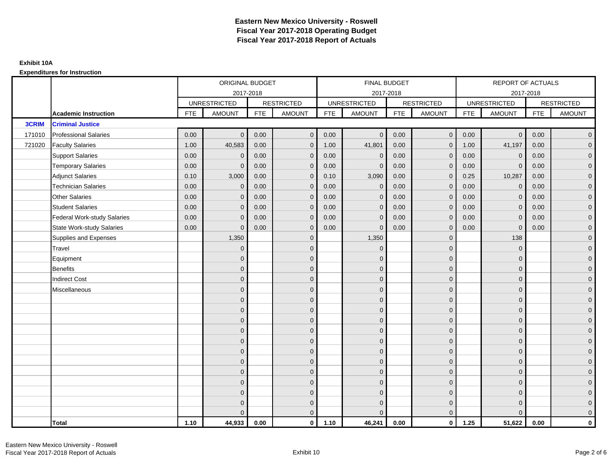|              |                                    |            | ORIGINAL BUDGET     |            |                   |            | <b>FINAL BUDGET</b> |            |                   |            | REPORT OF ACTUALS   |            |                     |
|--------------|------------------------------------|------------|---------------------|------------|-------------------|------------|---------------------|------------|-------------------|------------|---------------------|------------|---------------------|
|              |                                    |            | 2017-2018           |            |                   |            | 2017-2018           |            |                   |            | 2017-2018           |            |                     |
|              |                                    |            | <b>UNRESTRICTED</b> |            | <b>RESTRICTED</b> |            | <b>UNRESTRICTED</b> |            | <b>RESTRICTED</b> |            | <b>UNRESTRICTED</b> |            | <b>RESTRICTED</b>   |
|              | <b>Academic Instruction</b>        | <b>FTE</b> | <b>AMOUNT</b>       | <b>FTE</b> | <b>AMOUNT</b>     | <b>FTE</b> | <b>AMOUNT</b>       | <b>FTE</b> | <b>AMOUNT</b>     | <b>FTE</b> | <b>AMOUNT</b>       | <b>FTE</b> | <b>AMOUNT</b>       |
| <b>3CRIM</b> | <b>Criminal Justice</b>            |            |                     |            |                   |            |                     |            |                   |            |                     |            |                     |
| 171010       | <b>Professional Salaries</b>       | 0.00       | $\Omega$            | 0.00       | $\mathbf 0$       | 0.00       | $\overline{0}$      | 0.00       | $\mathbf 0$       | 0.00       | $\overline{0}$      | 0.00       | $\overline{0}$      |
| 721020       | <b>Faculty Salaries</b>            | 1.00       | 40,583              | 0.00       | $\mathbf 0$       | 1.00       | 41,801              | 0.00       | $\mathbf{0}$      | 1.00       | 41,197              | 0.00       | $\overline{0}$      |
|              | <b>Support Salaries</b>            | 0.00       | $\Omega$            | 0.00       | $\mathbf{0}$      | 0.00       | $\mathbf{0}$        | 0.00       | $\Omega$          | 0.00       | $\mathbf 0$         | 0.00       | $\overline{0}$      |
|              | <b>Temporary Salaries</b>          | 0.00       | $\mathbf{0}$        | 0.00       | $\mathbf 0$       | 0.00       | $\mathbf{0}$        | 0.00       | $\Omega$          | 0.00       | $\mathbf 0$         | 0.00       | $\overline{0}$      |
|              | <b>Adjunct Salaries</b>            | 0.10       | 3,000               | 0.00       | $\overline{0}$    | 0.10       | 3,090               | 0.00       | $\mathbf{0}$      | 0.25       | 10,287              | 0.00       | $\overline{0}$      |
|              | <b>Technician Salaries</b>         | 0.00       | $\Omega$            | 0.00       | $\mathbf{0}$      | 0.00       | $\mathbf{0}$        | 0.00       | $\Omega$          | 0.00       | $\mathbf 0$         | 0.00       | $\mathbf{0}$        |
|              | Other Salaries                     | 0.00       | $\mathbf{0}$        | 0.00       | $\overline{0}$    | 0.00       | $\Omega$            | 0.00       | $\Omega$          | 0.00       | $\mathbf 0$         | 0.00       | $\overline{0}$      |
|              | <b>Student Salaries</b>            | 0.00       | $\mathbf 0$         | 0.00       | $\mathbf 0$       | 0.00       | $\mathbf 0$         | 0.00       | $\mathbf 0$       | 0.00       | $\mathbf 0$         | 0.00       | $\mathsf{O}\xspace$ |
|              | <b>Federal Work-study Salaries</b> | 0.00       | $\mathbf{0}$        | 0.00       | $\mathbf 0$       | 0.00       | $\mathbf{0}$        | 0.00       | $\Omega$          | 0.00       | $\mathbf 0$         | 0.00       | $\overline{0}$      |
|              | State Work-study Salaries          | 0.00       | $\Omega$            | 0.00       | $\overline{0}$    | 0.00       | $\mathbf{0}$        | 0.00       | $\mathbf{0}$      | 0.00       | $\mathbf{0}$        | 0.00       | $\overline{0}$      |
|              | Supplies and Expenses              |            | 1,350               |            | $\mathbf 0$       |            | 1,350               |            | $\mathbf{0}$      |            | 138                 |            | $\overline{0}$      |
|              | Travel                             |            | $\Omega$            |            | $\mathbf 0$       |            | $\mathbf{0}$        |            | $\mathbf{0}$      |            | $\mathbf{0}$        |            | $\overline{0}$      |
|              | Equipment                          |            | $\Omega$            |            | $\mathbf 0$       |            | $\mathbf{0}$        |            | $\mathbf{0}$      |            | $\mathbf{0}$        |            | $\overline{0}$      |
|              | <b>Benefits</b>                    |            | $\mathbf{0}$        |            | $\mathbf 0$       |            | $\mathbf{0}$        |            | $\mathbf 0$       |            | $\mathbf{0}$        |            | $\overline{0}$      |
|              | <b>Indirect Cost</b>               |            | $\Omega$            |            | $\mathbf 0$       |            | $\Omega$            |            | $\mathbf{0}$      |            | $\mathbf{0}$        |            | $\overline{0}$      |
|              | Miscellaneous                      |            | $\Omega$            |            | $\overline{0}$    |            | $\Omega$            |            | $\mathbf{0}$      |            | $\Omega$            |            | $\overline{0}$      |
|              |                                    |            | $\mathbf{0}$        |            | $\mathbf 0$       |            | $\mathbf{0}$        |            | $\mathbf 0$       |            | $\mathbf{0}$        |            | $\overline{0}$      |
|              |                                    |            | $\Omega$            |            | $\mathbf 0$       |            | $\mathbf{0}$        |            | $\mathbf{0}$      |            | $\mathbf{0}$        |            | $\overline{0}$      |
|              |                                    |            | $\Omega$            |            | $\mathbf 0$       |            | $\Omega$            |            | $\mathbf 0$       |            | $\mathbf{0}$        |            | $\overline{0}$      |
|              |                                    |            | $\Omega$            |            | $\overline{0}$    |            | $\Omega$            |            | $\mathbf{0}$      |            | $\Omega$            |            | $\overline{0}$      |
|              |                                    |            | $\mathbf{0}$        |            | $\mathbf 0$       |            | $\mathbf{0}$        |            | $\mathbf 0$       |            | $\mathbf{0}$        |            | $\mathsf{O}\xspace$ |
|              |                                    |            | $\Omega$            |            | $\mathbf 0$       |            | $\mathbf{0}$        |            | $\mathbf 0$       |            | $\mathbf{0}$        |            | $\overline{0}$      |
|              |                                    |            | $\Omega$            |            | $\overline{0}$    |            | $\Omega$            |            | $\mathbf{0}$      |            | $\mathbf{0}$        |            | $\overline{0}$      |
|              |                                    |            | $\Omega$            |            | $\mathbf 0$       |            | $\Omega$            |            | $\Omega$          |            | $\Omega$            |            | $\overline{0}$      |
|              |                                    |            | $\Omega$            |            | $\mathbf 0$       |            | $\mathbf{0}$        |            | $\mathbf 0$       |            | $\mathbf{0}$        |            | $\mathsf{O}\xspace$ |
|              |                                    |            | $\mathbf{0}$        |            | $\mathbf 0$       |            | $\mathbf{0}$        |            | $\mathbf{0}$      |            | $\mathbf{0}$        |            | $\overline{0}$      |
|              |                                    |            | $\Omega$            |            | $\mathbf 0$       |            | $\mathbf{0}$        |            | $\mathbf 0$       |            | $\mathbf{0}$        |            | $\mathbf 0$         |
|              |                                    |            |                     |            | $\mathbf{0}$      |            | $\Omega$            |            | $\Omega$          |            | $\Omega$            |            | $\mathbf{0}$        |
|              | <b>Total</b>                       | 1.10       | 44,933              | 0.00       | $\mathbf{0}$      | 1.10       | 46,241              | 0.00       | $\mathbf{0}$      | 1.25       | 51,622              | 0.00       | $\mathbf{0}$        |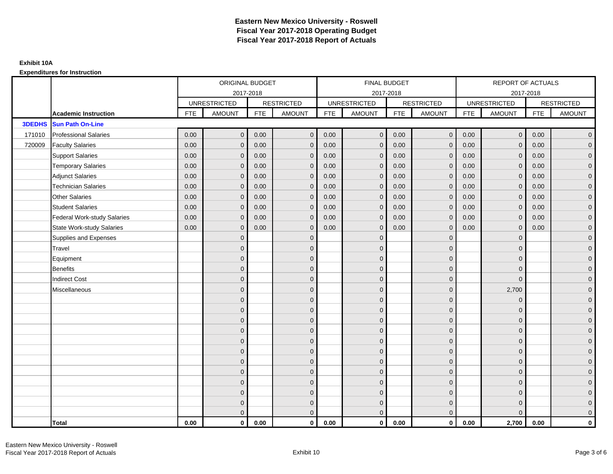|               |                                    |            | ORIGINAL BUDGET     |            |                   |            | FINAL BUDGET        |            |                   |            | REPORT OF ACTUALS   |            |                     |
|---------------|------------------------------------|------------|---------------------|------------|-------------------|------------|---------------------|------------|-------------------|------------|---------------------|------------|---------------------|
|               |                                    |            | 2017-2018           |            |                   |            | 2017-2018           |            |                   |            | 2017-2018           |            |                     |
|               |                                    |            | <b>UNRESTRICTED</b> |            | <b>RESTRICTED</b> |            | <b>UNRESTRICTED</b> |            | <b>RESTRICTED</b> |            | <b>UNRESTRICTED</b> |            | <b>RESTRICTED</b>   |
|               | <b>Academic Instruction</b>        | <b>FTE</b> | <b>AMOUNT</b>       | <b>FTE</b> | <b>AMOUNT</b>     | <b>FTE</b> | <b>AMOUNT</b>       | <b>FTE</b> | <b>AMOUNT</b>     | <b>FTE</b> | <b>AMOUNT</b>       | <b>FTE</b> | <b>AMOUNT</b>       |
| <b>3DEDHS</b> | <b>Sun Path On-Line</b>            |            |                     |            |                   |            |                     |            |                   |            |                     |            |                     |
| 171010        | <b>Professional Salaries</b>       | 0.00       | $\mathbf{0}$        | 0.00       | $\mathbf{0}$      | 0.00       | $\overline{0}$      | 0.00       | $\overline{0}$    | 0.00       | $\overline{0}$      | 0.00       | $\overline{0}$      |
| 720009        | <b>Faculty Salaries</b>            | 0.00       | $\mathbf{0}$        | 0.00       | $\mathbf{0}$      | 0.00       | $\mathbf{0}$        | 0.00       | $\Omega$          | 0.00       | $\overline{0}$      | 0.00       | $\overline{0}$      |
|               | <b>Support Salaries</b>            | 0.00       | $\mathbf 0$         | 0.00       | $\mathbf 0$       | 0.00       | $\mathbf 0$         | 0.00       | $\mathbf 0$       | 0.00       | $\overline{0}$      | 0.00       | $\overline{0}$      |
|               | <b>Temporary Salaries</b>          | 0.00       | $\mathbf{0}$        | 0.00       | $\mathbf{0}$      | 0.00       | $\mathbf{0}$        | 0.00       | $\mathbf{0}$      | 0.00       | $\mathbf{0}$        | 0.00       | $\overline{0}$      |
|               | <b>Adjunct Salaries</b>            | 0.00       | $\mathbf{0}$        | 0.00       | $\mathbf{0}$      | 0.00       | $\mathbf{0}$        | 0.00       | $\mathbf{0}$      | 0.00       | $\mathbf{0}$        | 0.00       | $\overline{0}$      |
|               | <b>Technician Salaries</b>         | 0.00       | $\Omega$            | 0.00       | $\Omega$          | 0.00       | $\Omega$            | 0.00       | $\mathbf{0}$      | 0.00       | $\mathbf{0}$        | 0.00       | $\overline{0}$      |
|               | <b>Other Salaries</b>              | 0.00       | $\mathbf 0$         | 0.00       | $\mathbf 0$       | 0.00       | $\mathbf{0}$        | 0.00       | $\mathbf{0}$      | 0.00       | $\mathbf{0}$        | 0.00       | $\overline{0}$      |
|               | <b>Student Salaries</b>            | 0.00       | $\mathbf{0}$        | 0.00       | $\mathbf 0$       | 0.00       | $\mathbf{0}$        | 0.00       | $\mathbf 0$       | 0.00       | $\mathbf{0}$        | 0.00       | $\overline{0}$      |
|               | <b>Federal Work-study Salaries</b> | 0.00       | $\mathbf{0}$        | 0.00       | $\mathbf{0}$      | 0.00       | $\mathbf{0}$        | 0.00       | $\overline{0}$    | 0.00       | $\mathbf{0}$        | 0.00       | $\overline{0}$      |
|               | <b>State Work-study Salaries</b>   | 0.00       | $\mathbf{0}$        | 0.00       | $\mathbf{0}$      | 0.00       | $\Omega$            | 0.00       | $\Omega$          | 0.00       | $\mathbf{0}$        | 0.00       | $\overline{0}$      |
|               | Supplies and Expenses              |            | $\Omega$            |            | $\mathbf{0}$      |            | $\mathbf{0}$        |            | $\overline{0}$    |            | $\mathbf 0$         |            | $\overline{0}$      |
|               | Travel                             |            | $\mathbf{0}$        |            | $\mathbf 0$       |            | $\mathbf{0}$        |            | $\mathbf{0}$      |            | $\mathbf{0}$        |            | $\mathbf{0}$        |
|               | Equipment                          |            | $\Omega$            |            | $\mathbf 0$       |            | $\mathbf{0}$        |            | $\mathbf{0}$      |            | $\mathbf{0}$        |            | $\overline{0}$      |
|               | <b>Benefits</b>                    |            | $\overline{0}$      |            | $\mathbf 0$       |            | $\mathbf{0}$        |            | $\mathbf 0$       |            | $\mathbf{0}$        |            | $\mathbf{0}$        |
|               | <b>Indirect Cost</b>               |            | $\mathbf{0}$        |            | $\mathbf 0$       |            | $\Omega$            |            | $\overline{0}$    |            | $\mathbf 0$         |            | $\mathbf{0}$        |
|               | Miscellaneous                      |            | $\Omega$            |            | $\mathbf 0$       |            | $\mathbf{0}$        |            | $\mathbf{0}$      |            | 2,700               |            | $\mathsf{O}\xspace$ |
|               |                                    |            | $\overline{0}$      |            | $\mathbf 0$       |            | $\Omega$            |            | $\mathbf{0}$      |            | $\mathbf{0}$        |            | $\overline{0}$      |
|               |                                    |            | $\Omega$            |            | $\mathbf 0$       |            | $\mathbf{0}$        |            | $\mathbf 0$       |            | $\mathbf 0$         |            | $\mathsf{O}\xspace$ |
|               |                                    |            | $\Omega$            |            | $\mathbf 0$       |            | $\Omega$            |            | $\mathbf 0$       |            | $\mathbf{0}$        |            | $\overline{0}$      |
|               |                                    |            | $\Omega$            |            | $\mathbf 0$       |            | $\Omega$            |            | $\mathbf{0}$      |            | $\Omega$            |            | $\overline{0}$      |
|               |                                    |            | $\Omega$            |            | $\mathbf{0}$      |            | $\Omega$            |            | $\overline{0}$    |            | $\Omega$            |            | $\mathbf{0}$        |
|               |                                    |            | $\mathbf{0}$        |            | $\mathbf 0$       |            | $\mathbf{0}$        |            | $\mathbf 0$       |            | $\mathbf{0}$        |            | $\overline{0}$      |
|               |                                    |            | $\Omega$            |            | $\mathbf 0$       |            | $\mathbf{0}$        |            | $\mathbf 0$       |            | $\mathbf{0}$        |            | $\overline{0}$      |
|               |                                    |            | $\Omega$            |            | $\mathbf{0}$      |            | $\Omega$            |            | $\mathbf{0}$      |            | $\mathbf{0}$        |            | $\overline{0}$      |
|               |                                    |            | $\Omega$            |            | $\overline{0}$    |            | $\Omega$            |            | $\mathbf{0}$      |            | $\Omega$            |            | $\overline{0}$      |
|               |                                    |            | $\Omega$            |            | $\mathbf 0$       |            | $\mathbf{0}$        |            | $\mathbf 0$       |            | $\mathbf{0}$        |            | $\mathbf{0}$        |
|               |                                    |            | $\mathbf{0}$        |            | $\mathbf{0}$      |            | $\mathbf{0}$        |            | $\mathbf 0$       |            | $\mathbf{0}$        |            | $\mathbf{0}$        |
|               |                                    |            | $\Omega$            |            | $\mathbf{0}$      |            | $\Omega$            |            | $\mathbf{0}$      |            | $\Omega$            |            | $\overline{0}$      |
|               | <b>Total</b>                       | 0.00       | $\mathbf{0}$        | 0.00       | $\mathbf{0}$      | 0.00       | $\mathbf{0}$        | 0.00       | $\mathbf{0}$      | 0.00       | 2,700               | 0.00       | $\mathbf 0$         |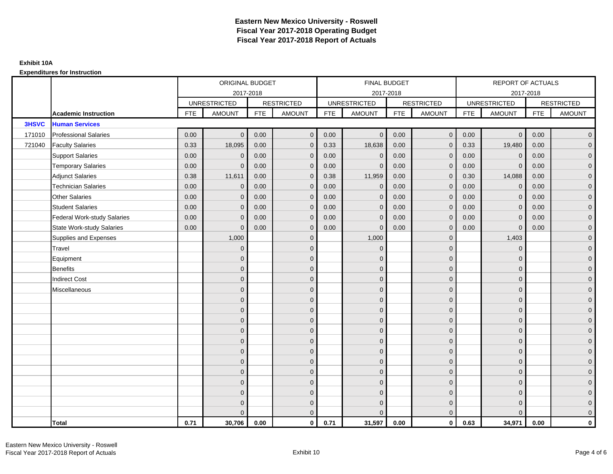|              |                                    |            | ORIGINAL BUDGET     |            |                   |            | <b>FINAL BUDGET</b> |            |                   |            | REPORT OF ACTUALS   |            |                     |
|--------------|------------------------------------|------------|---------------------|------------|-------------------|------------|---------------------|------------|-------------------|------------|---------------------|------------|---------------------|
|              |                                    |            | 2017-2018           |            |                   |            | 2017-2018           |            |                   |            | 2017-2018           |            |                     |
|              |                                    |            | <b>UNRESTRICTED</b> |            | <b>RESTRICTED</b> |            | <b>UNRESTRICTED</b> |            | <b>RESTRICTED</b> |            | <b>UNRESTRICTED</b> |            | <b>RESTRICTED</b>   |
|              | <b>Academic Instruction</b>        | <b>FTE</b> | <b>AMOUNT</b>       | <b>FTE</b> | <b>AMOUNT</b>     | <b>FTE</b> | <b>AMOUNT</b>       | <b>FTE</b> | <b>AMOUNT</b>     | <b>FTE</b> | <b>AMOUNT</b>       | <b>FTE</b> | <b>AMOUNT</b>       |
| <b>3HSVC</b> | <b>Human Services</b>              |            |                     |            |                   |            |                     |            |                   |            |                     |            |                     |
| 171010       | <b>Professional Salaries</b>       | 0.00       | $\mathbf{0}$        | 0.00       | $\mathbf{0}$      | 0.00       | $\overline{0}$      | 0.00       | $\overline{0}$    | 0.00       | $\overline{0}$      | 0.00       | $\overline{0}$      |
| 721040       | <b>Faculty Salaries</b>            | 0.33       | 18,095              | 0.00       | $\mathbf{0}$      | 0.33       | 18,638              | 0.00       | $\mathbf{0}$      | 0.33       | 19,480              | 0.00       | $\overline{0}$      |
|              | <b>Support Salaries</b>            | 0.00       | $\mathbf 0$         | 0.00       | $\mathbf{0}$      | 0.00       | $\mathbf{0}$        | 0.00       | $\mathbf{0}$      | 0.00       | $\mathbf 0$         | 0.00       | $\overline{0}$      |
|              | <b>Temporary Salaries</b>          | 0.00       | $\mathbf{0}$        | 0.00       | $\mathbf{0}$      | 0.00       | $\mathbf{0}$        | 0.00       | 0                 | 0.00       | $\mathbf 0$         | 0.00       | $\mathbf{0}$        |
|              | <b>Adjunct Salaries</b>            | 0.38       | 11,611              | 0.00       | $\mathbf{0}$      | 0.38       | 11,959              | 0.00       | $\mathbf{0}$      | 0.30       | 14,088              | 0.00       | $\overline{0}$      |
|              | <b>Technician Salaries</b>         | 0.00       | $\mathbf 0$         | 0.00       | $\Omega$          | 0.00       | $\mathbf{0}$        | 0.00       | $\mathbf{0}$      | 0.00       | $\mathbf{0}$        | 0.00       | $\mathbf{0}$        |
|              | <b>Other Salaries</b>              | 0.00       | $\mathbf{0}$        | 0.00       | $\mathbf{0}$      | 0.00       | $\mathbf{0}$        | 0.00       | $\mathbf{0}$      | 0.00       | $\mathbf{0}$        | 0.00       | $\overline{0}$      |
|              | <b>Student Salaries</b>            | 0.00       | $\mathbf 0$         | 0.00       | $\mathbf 0$       | 0.00       | $\mathbf 0$         | 0.00       | $\mathbf 0$       | 0.00       | $\overline{0}$      | 0.00       | $\mathsf{O}\xspace$ |
|              | <b>Federal Work-study Salaries</b> | 0.00       | $\mathbf{0}$        | 0.00       | $\mathbf 0$       | 0.00       | $\mathbf{0}$        | 0.00       | $\mathbf 0$       | 0.00       | $\mathbf 0$         | 0.00       | $\overline{0}$      |
|              | <b>State Work-study Salaries</b>   | 0.00       | $\mathbf{0}$        | 0.00       | $\mathbf{0}$      | 0.00       | $\mathbf{0}$        | 0.00       | $\mathbf{0}$      | 0.00       | $\mathbf{0}$        | 0.00       | $\overline{0}$      |
|              | Supplies and Expenses              |            | 1,000               |            | $\mathbf{0}$      |            | 1,000               |            | $\mathbf{0}$      |            | 1,403               |            | $\overline{0}$      |
|              | Travel                             |            | $\mathbf{0}$        |            | $\mathbf 0$       |            | $\mathbf{0}$        |            | $\mathbf{0}$      |            | $\mathbf{0}$        |            | $\overline{0}$      |
|              | Equipment                          |            | $\Omega$            |            | $\mathbf{0}$      |            | $\mathbf{0}$        |            | $\mathbf 0$       |            | $\mathbf{0}$        |            | $\overline{0}$      |
|              | <b>Benefits</b>                    |            | $\mathbf{0}$        |            | $\mathbf{0}$      |            | $\mathbf{0}$        |            | $\mathbf 0$       |            | $\mathbf{0}$        |            | $\overline{0}$      |
|              | <b>Indirect Cost</b>               |            | $\Omega$            |            | $\mathbf{0}$      |            | $\Omega$            |            | $\mathbf{0}$      |            | $\mathbf{0}$        |            | $\overline{0}$      |
|              | Miscellaneous                      |            | $\Omega$            |            | $\mathbf{0}$      |            | $\Omega$            |            | $\mathbf{0}$      |            | $\Omega$            |            | $\overline{0}$      |
|              |                                    |            | $\mathbf{0}$        |            | $\mathbf 0$       |            | $\mathbf{0}$        |            | $\mathbf 0$       |            | $\mathbf{0}$        |            | $\overline{0}$      |
|              |                                    |            | $\Omega$            |            | $\mathbf{0}$      |            | $\mathbf{0}$        |            | $\mathbf 0$       |            | $\mathbf{0}$        |            | $\mathbf{0}$        |
|              |                                    |            | $\mathbf{0}$        |            | $\mathbf 0$       |            | $\Omega$            |            | $\mathbf{0}$      |            | $\mathbf{0}$        |            | $\overline{0}$      |
|              |                                    |            | $\Omega$            |            | $\mathbf{0}$      |            | $\Omega$            |            | $\mathbf{0}$      |            | $\Omega$            |            | $\overline{0}$      |
|              |                                    |            | $\overline{0}$      |            | $\mathbf 0$       |            | $\mathbf{0}$        |            | $\mathbf 0$       |            | $\mathbf{0}$        |            | $\mathsf{O}\xspace$ |
|              |                                    |            | $\overline{0}$      |            | $\mathbf 0$       |            | $\mathbf{0}$        |            | $\mathbf 0$       |            | $\mathbf{0}$        |            | $\overline{0}$      |
|              |                                    |            | $\Omega$            |            | $\mathbf{0}$      |            | $\Omega$            |            | $\mathbf 0$       |            | $\mathbf{0}$        |            | $\overline{0}$      |
|              |                                    |            | $\Omega$            |            | $\mathbf{0}$      |            | $\Omega$            |            | $\mathbf{0}$      |            | $\Omega$            |            | $\overline{0}$      |
|              |                                    |            | $\Omega$            |            | $\mathbf 0$       |            | $\mathbf{0}$        |            | $\mathbf 0$       |            | $\mathbf 0$         |            | $\mathsf{O}\xspace$ |
|              |                                    |            | $\mathbf{0}$        |            | $\mathbf 0$       |            | $\mathbf{0}$        |            | $\mathbf 0$       |            | $\mathbf{0}$        |            | $\overline{0}$      |
|              |                                    |            | $\Omega$            |            | $\overline{0}$    |            | $\mathbf{0}$        |            | $\mathbf 0$       |            | $\mathbf{0}$        |            | $\overline{0}$      |
|              |                                    |            | $\Omega$            |            | $\mathbf{0}$      |            | $\Omega$            |            | $\Omega$          |            | $\Omega$            |            | $\mathbf{0}$        |
|              | <b>Total</b>                       | 0.71       | 30,706              | 0.00       | $\mathbf{0}$      | 0.71       | 31,597              | 0.00       | $\mathbf{0}$      | 0.63       | 34,971              | 0.00       | $\mathbf{0}$        |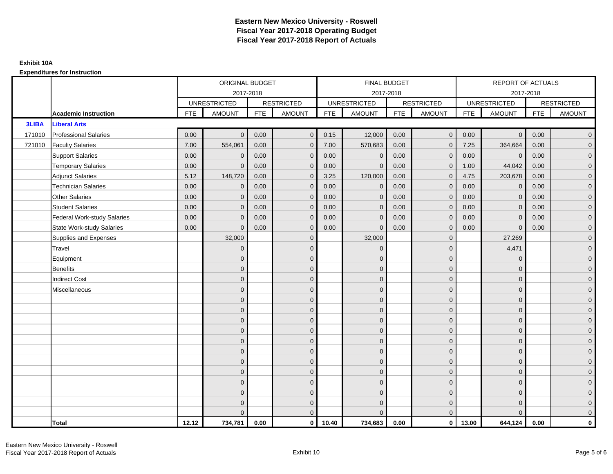|              |                                    |            | ORIGINAL BUDGET     |            |                   |            | <b>FINAL BUDGET</b> |            |                   |            | REPORT OF ACTUALS   |            |                     |
|--------------|------------------------------------|------------|---------------------|------------|-------------------|------------|---------------------|------------|-------------------|------------|---------------------|------------|---------------------|
|              |                                    |            | 2017-2018           |            |                   |            | 2017-2018           |            |                   |            | 2017-2018           |            |                     |
|              |                                    |            | <b>UNRESTRICTED</b> |            | <b>RESTRICTED</b> |            | <b>UNRESTRICTED</b> |            | <b>RESTRICTED</b> |            | <b>UNRESTRICTED</b> |            | <b>RESTRICTED</b>   |
|              | <b>Academic Instruction</b>        | <b>FTE</b> | <b>AMOUNT</b>       | <b>FTE</b> | <b>AMOUNT</b>     | <b>FTE</b> | <b>AMOUNT</b>       | <b>FTE</b> | <b>AMOUNT</b>     | <b>FTE</b> | <b>AMOUNT</b>       | <b>FTE</b> | <b>AMOUNT</b>       |
| <b>3LIBA</b> | <b>Liberal Arts</b>                |            |                     |            |                   |            |                     |            |                   |            |                     |            |                     |
| 171010       | <b>Professional Salaries</b>       | 0.00       | $\Omega$            | 0.00       | $\mathbf{0}$      | 0.15       | 12,000              | 0.00       | $\mathbf{0}$      | 0.00       | $\overline{0}$      | 0.00       | $\overline{0}$      |
| 721010       | <b>Faculty Salaries</b>            | 7.00       | 554,061             | 0.00       | $\mathbf{0}$      | 7.00       | 570,683             | 0.00       | $\Omega$          | 7.25       | 364,664             | 0.00       | $\overline{0}$      |
|              | <b>Support Salaries</b>            | 0.00       | $\Omega$            | 0.00       | $\mathbf 0$       | 0.00       | $\mathbf 0$         | 0.00       | $\mathbf 0$       | 0.00       | $\overline{0}$      | 0.00       | $\overline{0}$      |
|              | <b>Temporary Salaries</b>          | 0.00       | $\Omega$            | 0.00       | $\mathbf{0}$      | 0.00       | $\mathbf{0}$        | 0.00       | $\mathbf 0$       | 1.00       | 44,042              | 0.00       | $\overline{0}$      |
|              | <b>Adjunct Salaries</b>            | 5.12       | 148,720             | 0.00       | $\mathbf{0}$      | 3.25       | 120,000             | 0.00       | $\mathbf{0}$      | 4.75       | 203,678             | 0.00       | $\overline{0}$      |
|              | <b>Technician Salaries</b>         | 0.00       | $\Omega$            | 0.00       | $\Omega$          | 0.00       | $\Omega$            | 0.00       | $\Omega$          | 0.00       | $\mathbf{0}$        | 0.00       | $\overline{0}$      |
|              | <b>Other Salaries</b>              | 0.00       | $\mathbf{0}$        | 0.00       | $\mathbf 0$       | 0.00       | $\mathbf{0}$        | 0.00       | $\mathbf 0$       | 0.00       | $\overline{0}$      | 0.00       | $\overline{0}$      |
|              | <b>Student Salaries</b>            | 0.00       | $\mathbf{0}$        | 0.00       | $\mathbf 0$       | 0.00       | $\mathbf{0}$        | 0.00       | $\mathbf{0}$      | 0.00       | $\overline{0}$      | 0.00       | $\overline{0}$      |
|              | <b>Federal Work-study Salaries</b> | 0.00       | $\mathbf{0}$        | 0.00       | $\mathbf{0}$      | 0.00       | $\mathbf{0}$        | 0.00       | $\Omega$          | 0.00       | $\mathbf{0}$        | 0.00       | $\overline{0}$      |
|              | <b>State Work-study Salaries</b>   | 0.00       | $\Omega$            | 0.00       | $\mathbf{0}$      | 0.00       | $\Omega$            | 0.00       | $\mathbf{0}$      | 0.00       | $\Omega$            | 0.00       | $\overline{0}$      |
|              | Supplies and Expenses              |            | 32,000              |            | $\mathbf 0$       |            | 32,000              |            | $\mathbf 0$       |            | 27,269              |            | $\mathbf{0}$        |
|              | Travel                             |            | $\mathbf{0}$        |            | $\mathbf 0$       |            | $\mathbf{0}$        |            | $\mathbf{0}$      |            | 4,471               |            | $\mathbf{0}$        |
|              | Equipment                          |            | $\Omega$            |            | $\mathbf{0}$      |            | $\Omega$            |            | $\mathbf{0}$      |            | $\mathbf{0}$        |            | $\overline{0}$      |
|              | <b>Benefits</b>                    |            | $\overline{0}$      |            | $\mathbf 0$       |            | $\mathbf{0}$        |            | $\mathbf 0$       |            | $\mathbf 0$         |            | $\overline{0}$      |
|              | <b>Indirect Cost</b>               |            | $\Omega$            |            | $\mathbf 0$       |            | $\Omega$            |            | $\mathbf{0}$      |            | $\mathbf{0}$        |            | $\mathbf{0}$        |
|              | Miscellaneous                      |            | $\Omega$            |            | $\mathbf 0$       |            | $\Omega$            |            | $\mathbf{0}$      |            | $\mathbf{0}$        |            | $\mathbf{0}$        |
|              |                                    |            | $\overline{0}$      |            | $\mathbf 0$       |            | $\Omega$            |            | $\mathbf{0}$      |            | $\Omega$            |            | $\overline{0}$      |
|              |                                    |            | $\Omega$            |            | $\mathbf 0$       |            | $\mathbf{0}$        |            | $\mathbf 0$       |            | $\mathbf{0}$        |            | $\mathsf{O}\xspace$ |
|              |                                    |            | $\Omega$            |            | $\mathbf 0$       |            | $\mathbf{0}$        |            | $\mathbf 0$       |            | $\mathbf{0}$        |            | $\overline{0}$      |
|              |                                    |            | $\Omega$            |            | $\mathbf{0}$      |            | $\mathbf{0}$        |            | $\mathbf{0}$      |            | $\mathbf{0}$        |            | $\mathsf{O}\xspace$ |
|              |                                    |            | $\Omega$            |            | $\mathbf{0}$      |            | $\Omega$            |            | $\mathbf{0}$      |            | $\Omega$            |            | $\overline{0}$      |
|              |                                    |            | $\mathbf{0}$        |            | $\mathbf 0$       |            | $\mathbf{0}$        |            | $\mathbf 0$       |            | $\mathbf{0}$        |            | $\overline{0}$      |
|              |                                    |            | $\Omega$            |            | $\mathbf{0}$      |            | $\Omega$            |            | $\mathbf{0}$      |            | $\mathbf{0}$        |            | $\overline{0}$      |
|              |                                    |            | $\mathbf{0}$        |            | $\mathbf{0}$      |            | $\Omega$            |            | $\mathbf{0}$      |            | $\mathbf{0}$        |            | $\overline{0}$      |
|              |                                    |            | $\Omega$            |            | $\mathbf{0}$      |            | $\Omega$            |            | $\mathbf{0}$      |            | $\Omega$            |            | $\mathsf{O}\xspace$ |
|              |                                    |            | $\Omega$            |            | $\mathbf 0$       |            | $\mathbf{0}$        |            | $\mathbf 0$       |            | $\mathbf{0}$        |            | $\mathbf{0}$        |
|              |                                    |            | $\Omega$            |            | $\mathbf{0}$      |            | $\mathbf{0}$        |            | $\mathbf 0$       |            | $\mathbf{0}$        |            | $\overline{0}$      |
|              |                                    |            | U                   |            | $\mathbf{0}$      |            | $\Omega$            |            | $\mathbf{0}$      |            | $\Omega$            |            | $\mathbf 0$         |
|              | <b>Total</b>                       | 12.12      | 734,781             | 0.00       | $\mathbf{0}$      | 10.40      | 734,683             | 0.00       | $\mathbf{0}$      | 13.00      | 644,124             | 0.00       | $\mathbf 0$         |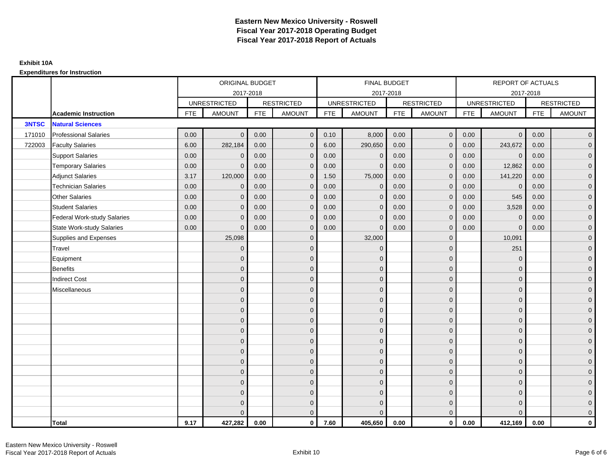|              |                                    |            | ORIGINAL BUDGET     |            |                   |            | <b>FINAL BUDGET</b> |            |                   |            | REPORT OF ACTUALS   |            |                     |
|--------------|------------------------------------|------------|---------------------|------------|-------------------|------------|---------------------|------------|-------------------|------------|---------------------|------------|---------------------|
|              |                                    |            | 2017-2018           |            |                   |            | 2017-2018           |            |                   |            | 2017-2018           |            |                     |
|              |                                    |            | <b>UNRESTRICTED</b> |            | <b>RESTRICTED</b> |            | <b>UNRESTRICTED</b> |            | <b>RESTRICTED</b> |            | <b>UNRESTRICTED</b> |            | <b>RESTRICTED</b>   |
|              | <b>Academic Instruction</b>        | <b>FTE</b> | <b>AMOUNT</b>       | <b>FTE</b> | <b>AMOUNT</b>     | <b>FTE</b> | <b>AMOUNT</b>       | <b>FTE</b> | <b>AMOUNT</b>     | <b>FTE</b> | <b>AMOUNT</b>       | <b>FTE</b> | <b>AMOUNT</b>       |
| <b>3NTSC</b> | <b>Natural Sciences</b>            |            |                     |            |                   |            |                     |            |                   |            |                     |            |                     |
| 171010       | <b>Professional Salaries</b>       | 0.00       | $\Omega$            | 0.00       | $\mathbf{0}$      | 0.10       | 8,000               | 0.00       | $\overline{0}$    | 0.00       | $\overline{0}$      | 0.00       | $\overline{0}$      |
| 722003       | <b>Faculty Salaries</b>            | 6.00       | 282,184             | 0.00       | $\mathbf{0}$      | 6.00       | 290,650             | 0.00       | $\Omega$          | 0.00       | 243,672             | 0.00       | $\overline{0}$      |
|              | <b>Support Salaries</b>            | 0.00       | $\Omega$            | 0.00       | $\mathbf 0$       | 0.00       | $\mathbf 0$         | 0.00       | $\mathbf 0$       | 0.00       | $\overline{0}$      | 0.00       | $\overline{0}$      |
|              | <b>Temporary Salaries</b>          | 0.00       | $\mathbf{0}$        | 0.00       | $\mathbf{0}$      | 0.00       | $\mathbf{0}$        | 0.00       | 0                 | 0.00       | 12,862              | 0.00       | $\overline{0}$      |
|              | <b>Adjunct Salaries</b>            | 3.17       | 120,000             | 0.00       | $\mathbf{0}$      | 1.50       | 75,000              | 0.00       | $\mathbf{0}$      | 0.00       | 141,220             | 0.00       | $\overline{0}$      |
|              | <b>Technician Salaries</b>         | 0.00       | $\Omega$            | 0.00       | $\Omega$          | 0.00       | $\mathbf{0}$        | 0.00       | $\Omega$          | 0.00       | $\mathbf 0$         | 0.00       | $\overline{0}$      |
|              | <b>Other Salaries</b>              | 0.00       | $\mathbf{0}$        | 0.00       | $\mathbf 0$       | 0.00       | $\mathbf{0}$        | 0.00       | $\mathbf 0$       | 0.00       | 545                 | 0.00       | $\overline{0}$      |
|              | <b>Student Salaries</b>            | 0.00       | $\mathbf{0}$        | 0.00       | $\mathbf 0$       | 0.00       | $\mathbf{0}$        | 0.00       | $\mathbf{0}$      | 0.00       | 3,528               | 0.00       | $\overline{0}$      |
|              | <b>Federal Work-study Salaries</b> | 0.00       | $\mathbf{0}$        | 0.00       | $\mathbf{0}$      | 0.00       | $\mathbf{0}$        | 0.00       | $\Omega$          | 0.00       | $\mathbf{0}$        | 0.00       | $\overline{0}$      |
|              | <b>State Work-study Salaries</b>   | 0.00       | $\Omega$            | 0.00       | $\mathbf{0}$      | 0.00       | $\Omega$            | 0.00       | $\mathbf{0}$      | 0.00       | $\Omega$            | 0.00       | $\overline{0}$      |
|              | Supplies and Expenses              |            | 25,098              |            | $\mathbf 0$       |            | 32,000              |            | $\mathbf 0$       |            | 10,091              |            | $\mathbf{0}$        |
|              | Travel                             |            | $\mathbf{0}$        |            | $\mathbf 0$       |            | $\mathbf{0}$        |            | $\mathbf{0}$      |            | 251                 |            | $\mathbf{0}$        |
|              | Equipment                          |            | $\Omega$            |            | $\mathbf{0}$      |            | $\Omega$            |            | $\mathbf{0}$      |            | $\mathbf 0$         |            | $\overline{0}$      |
|              | <b>Benefits</b>                    |            | $\Omega$            |            | $\mathbf 0$       |            | $\mathbf{0}$        |            | $\mathbf 0$       |            | $\mathbf 0$         |            | $\overline{0}$      |
|              | <b>Indirect Cost</b>               |            | $\Omega$            |            | $\mathbf 0$       |            | $\Omega$            |            | $\mathbf{0}$      |            | $\mathbf{0}$        |            | $\mathbf{0}$        |
|              | Miscellaneous                      |            | $\Omega$            |            | $\mathbf 0$       |            | $\Omega$            |            | $\mathbf{0}$      |            | $\mathbf{0}$        |            | $\mathbf{0}$        |
|              |                                    |            | $\overline{0}$      |            | $\mathbf 0$       |            | $\Omega$            |            | $\mathbf{0}$      |            | $\Omega$            |            | $\overline{0}$      |
|              |                                    |            | $\Omega$            |            | $\mathbf 0$       |            | $\mathbf{0}$        |            | $\mathbf 0$       |            | $\mathbf{0}$        |            | $\mathsf{O}\xspace$ |
|              |                                    |            | $\Omega$            |            | $\mathbf 0$       |            | $\mathbf{0}$        |            | $\mathbf 0$       |            | $\mathbf{0}$        |            | $\overline{0}$      |
|              |                                    |            | $\Omega$            |            | $\mathbf{0}$      |            | $\mathbf{0}$        |            | $\mathbf{0}$      |            | $\mathbf{0}$        |            | $\overline{0}$      |
|              |                                    |            | $\Omega$            |            | $\mathbf{0}$      |            | $\Omega$            |            | $\mathbf{0}$      |            | $\Omega$            |            | $\overline{0}$      |
|              |                                    |            | $\mathbf{0}$        |            | $\mathbf 0$       |            | $\mathbf{0}$        |            | $\mathbf 0$       |            | $\mathbf{0}$        |            | $\overline{0}$      |
|              |                                    |            | $\Omega$            |            | $\mathbf{0}$      |            | $\Omega$            |            | $\mathbf{0}$      |            | $\mathbf{0}$        |            | $\overline{0}$      |
|              |                                    |            | $\mathbf{0}$        |            | $\mathbf{0}$      |            | $\Omega$            |            | $\mathbf{0}$      |            | $\mathbf{0}$        |            | $\overline{0}$      |
|              |                                    |            | $\Omega$            |            | $\mathbf{0}$      |            | $\Omega$            |            | $\mathbf{0}$      |            | $\Omega$            |            | $\mathsf{O}\xspace$ |
|              |                                    |            | $\overline{0}$      |            | $\mathbf 0$       |            | $\mathbf{0}$        |            | $\mathbf 0$       |            | $\mathbf{0}$        |            | $\mathbf{0}$        |
|              |                                    |            | $\Omega$            |            | $\mathbf 0$       |            | $\mathbf{0}$        |            | $\mathbf 0$       |            | $\mathbf{0}$        |            | $\overline{0}$      |
|              |                                    |            | U                   |            | $\mathbf{0}$      |            | $\Omega$            |            | $\mathbf{0}$      |            | $\Omega$            |            | $\mathbf 0$         |
|              | <b>Total</b>                       | 9.17       | 427,282             | 0.00       | $\mathbf{0}$      | 7.60       | 405,650             | 0.00       | $\mathbf{0}$      | 0.00       | 412,169             | 0.00       | $\mathbf{0}$        |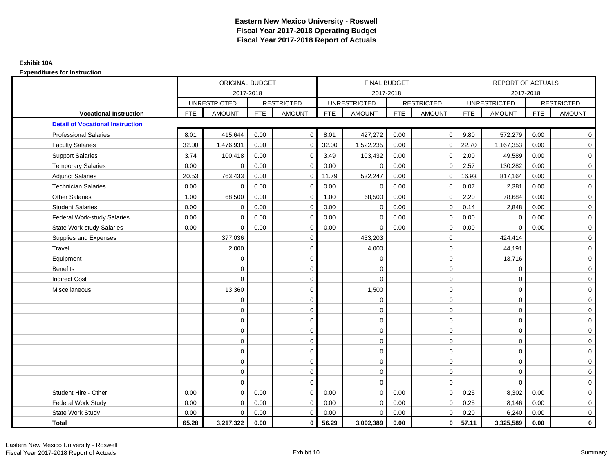|                                         |            | ORIGINAL BUDGET     |            |                   |            | <b>FINAL BUDGET</b> |            |                   |            | <b>REPORT OF ACTUALS</b> |            |                   |
|-----------------------------------------|------------|---------------------|------------|-------------------|------------|---------------------|------------|-------------------|------------|--------------------------|------------|-------------------|
|                                         |            | 2017-2018           |            |                   |            | 2017-2018           |            |                   |            | 2017-2018                |            |                   |
|                                         |            | <b>UNRESTRICTED</b> |            | <b>RESTRICTED</b> |            | <b>UNRESTRICTED</b> |            | <b>RESTRICTED</b> |            | <b>UNRESTRICTED</b>      |            | <b>RESTRICTED</b> |
| <b>Vocational Instruction</b>           | <b>FTE</b> | <b>AMOUNT</b>       | <b>FTE</b> | <b>AMOUNT</b>     | <b>FTE</b> | <b>AMOUNT</b>       | <b>FTE</b> | <b>AMOUNT</b>     | <b>FTE</b> | <b>AMOUNT</b>            | <b>FTE</b> | <b>AMOUNT</b>     |
| <b>Detail of Vocational Instruction</b> |            |                     |            |                   |            |                     |            |                   |            |                          |            |                   |
| <b>Professional Salaries</b>            | 8.01       | 415,644             | 0.00       | $\mathbf 0$       | 8.01       | 427,272             | 0.00       | $\mathbf 0$       | 9.80       | 572,279                  | 0.00       | $\overline{0}$    |
| <b>Faculty Salaries</b>                 | 32.00      | 1,476,931           | 0.00       | $\mathbf 0$       | 32.00      | 1,522,235           | 0.00       | $\Omega$          | 22.70      | 1,167,353                | 0.00       | $\overline{0}$    |
| <b>Support Salaries</b>                 | 3.74       | 100,418             | 0.00       | $\mathbf 0$       | 3.49       | 103,432             | 0.00       | $\Omega$          | 2.00       | 49,589                   | 0.00       | $\overline{0}$    |
| <b>Temporary Salaries</b>               | 0.00       | $\Omega$            | 0.00       | $\mathbf 0$       | 0.00       | $\mathbf 0$         | 0.00       | $\Omega$          | 2.57       | 130,282                  | 0.00       | $\mathbf 0$       |
| <b>Adjunct Salaries</b>                 | 20.53      | 763,433             | 0.00       | $\mathbf 0$       | 11.79      | 532,247             | 0.00       | $\Omega$          | 16.93      | 817,164                  | 0.00       | $\overline{0}$    |
| <b>Technician Salaries</b>              | 0.00       | $\Omega$            | 0.00       | $\Omega$          | 0.00       | $\Omega$            | 0.00       | $\Omega$          | 0.07       | 2,381                    | 0.00       | $\mathbf 0$       |
| <b>Other Salaries</b>                   | 1.00       | 68,500              | 0.00       | $\mathbf 0$       | 1.00       | 68,500              | 0.00       | $\mathbf 0$       | 2.20       | 78,684                   | 0.00       | $\overline{0}$    |
| <b>Student Salaries</b>                 | 0.00       | $\mathbf 0$         | 0.00       | $\mathbf 0$       | 0.00       | $\mathbf 0$         | 0.00       | $\mathbf 0$       | 0.14       | 2,848                    | 0.00       | $\mathbf 0$       |
| <b>Federal Work-study Salaries</b>      | 0.00       | $\Omega$            | 0.00       | $\Omega$          | 0.00       | $\Omega$            | 0.00       | $\Omega$          | 0.00       | $\mathbf 0$              | 0.00       | $\mathbf 0$       |
| State Work-study Salaries               | 0.00       | 0                   | 0.00       | $\mathbf 0$       | 0.00       | $\mathbf 0$         | 0.00       | 0                 | 0.00       | $\Omega$                 | 0.00       | $\mathbf 0$       |
| Supplies and Expenses                   |            | 377,036             |            | $\mathbf 0$       |            | 433,203             |            | $\mathbf 0$       |            | 424,414                  |            | $\mathbf 0$       |
| Travel                                  |            | 2,000               |            | $\mathbf 0$       |            | 4,000               |            | $\mathbf 0$       |            | 44,191                   |            | $\overline{0}$    |
| Equipment                               |            | $\Omega$            |            | $\mathbf 0$       |            | $\mathbf 0$         |            | $\mathbf 0$       |            | 13,716                   |            | $\mathbf 0$       |
| <b>Benefits</b>                         |            | $\Omega$            |            | $\mathbf 0$       |            | $\Omega$            |            | $\mathbf 0$       |            | $\mathbf 0$              |            | $\mathbf 0$       |
| <b>Indirect Cost</b>                    |            | $\mathbf 0$         |            | $\mathbf 0$       |            | 0                   |            | $\mathbf 0$       |            | $\mathbf 0$              |            | $\mathbf 0$       |
| Miscellaneous                           |            | 13,360              |            | $\mathbf 0$       |            | 1,500               |            | 0                 |            | $\mathbf 0$              |            | $\mathbf 0$       |
|                                         |            | 0                   |            | $\mathbf 0$       |            | $\mathbf 0$         |            | $\mathbf 0$       |            | $\mathbf 0$              |            | $\overline{0}$    |
|                                         |            | $\mathbf 0$         |            | $\mathbf 0$       |            | $\mathbf 0$         |            | $\mathbf 0$       |            | $\mathbf 0$              |            | $\overline{0}$    |
|                                         |            | $\Omega$            |            | $\mathbf 0$       |            | $\Omega$            |            | $\mathbf 0$       |            | $\Omega$                 |            | $\overline{0}$    |
|                                         |            | $\Omega$            |            | $\mathbf 0$       |            | $\Omega$            |            | $\mathbf 0$       |            | $\Omega$                 |            | $\overline{0}$    |
|                                         |            | $\Omega$            |            | $\mathbf 0$       |            | $\mathbf 0$         |            | $\mathbf 0$       |            | $\mathbf 0$              |            | $\mathbf 0$       |
|                                         |            | 0                   |            | $\mathbf 0$       |            | $\mathbf 0$         |            | $\mathbf 0$       |            | $\mathbf 0$              |            | $\mathbf 0$       |
|                                         |            | $\Omega$            |            | $\mathbf 0$       |            | $\mathbf 0$         |            | $\mathbf 0$       |            | $\mathbf 0$              |            | $\overline{0}$    |
|                                         |            | $\Omega$            |            | $\mathbf 0$       |            | $\mathbf 0$         |            | $\mathbf 0$       |            | $\mathbf 0$              |            | $\mathbf 0$       |
|                                         |            | $\Omega$            |            | $\mathbf 0$       |            | $\Omega$            |            | $\mathbf 0$       |            | $\Omega$                 |            | $\mathbf 0$       |
| Student Hire - Other                    | 0.00       | $\Omega$            | 0.00       | $\Omega$          | 0.00       | $\Omega$            | 0.00       | $\Omega$          | 0.25       | 8,302                    | 0.00       | $\mathbf 0$       |
| <b>Federal Work Study</b>               | 0.00       | $\Omega$            | 0.00       | $\mathbf 0$       | 0.00       | $\Omega$            | 0.00       | $\mathbf 0$       | 0.25       | 8,146                    | 0.00       | $\overline{0}$    |
| State Work Study                        | 0.00       | $\Omega$            | 0.00       | $\mathbf 0$       | 0.00       | $\Omega$            | 0.00       | $\mathbf 0$       | 0.20       | 6,240                    | 0.00       | $\mathbf 0$       |
| Total                                   | 65.28      | 3,217,322           | 0.00       | $\mathbf 0$       | 56.29      | 3,092,389           | 0.00       | $\mathbf 0$       | 57.11      | 3,325,589                | 0.00       | $\mathbf{0}$      |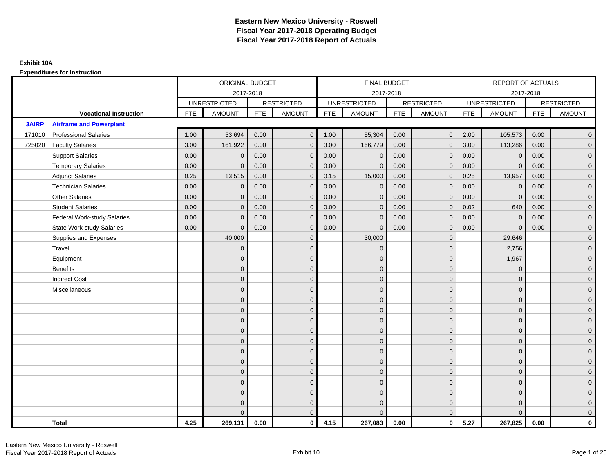|              |                                    |            | ORIGINAL BUDGET     |            |                   |            | <b>FINAL BUDGET</b> |            |                   |            | REPORT OF ACTUALS   |            |                   |
|--------------|------------------------------------|------------|---------------------|------------|-------------------|------------|---------------------|------------|-------------------|------------|---------------------|------------|-------------------|
|              |                                    |            |                     | 2017-2018  |                   |            | 2017-2018           |            |                   |            | 2017-2018           |            |                   |
|              |                                    |            | <b>UNRESTRICTED</b> |            | <b>RESTRICTED</b> |            | <b>UNRESTRICTED</b> |            | <b>RESTRICTED</b> |            | <b>UNRESTRICTED</b> |            | <b>RESTRICTED</b> |
|              | <b>Vocational Instruction</b>      | <b>FTE</b> | <b>AMOUNT</b>       | <b>FTE</b> | <b>AMOUNT</b>     | <b>FTE</b> | <b>AMOUNT</b>       | <b>FTE</b> | <b>AMOUNT</b>     | <b>FTE</b> | <b>AMOUNT</b>       | <b>FTE</b> | <b>AMOUNT</b>     |
| <b>3AIRP</b> | <b>Airframe and Powerplant</b>     |            |                     |            |                   |            |                     |            |                   |            |                     |            |                   |
| 171010       | <b>Professional Salaries</b>       | 1.00       | 53,694              | 0.00       | $\mathbf{0}$      | 1.00       | 55,304              | 0.00       | $\mathbf{0}$      | 2.00       | 105,573             | 0.00       | $\overline{0}$    |
| 725020       | <b>Faculty Salaries</b>            | 3.00       | 161,922             | 0.00       | $\mathbf 0$       | 3.00       | 166,779             | 0.00       | $\mathbf{0}$      | 3.00       | 113,286             | 0.00       | $\overline{0}$    |
|              | <b>Support Salaries</b>            | 0.00       | $\mathbf{0}$        | 0.00       | $\mathbf 0$       | 0.00       | $\mathbf{0}$        | 0.00       | $\mathbf 0$       | 0.00       | $\mathbf 0$         | 0.00       | $\overline{0}$    |
|              | <b>Temporary Salaries</b>          | 0.00       | $\Omega$            | 0.00       | $\overline{0}$    | 0.00       | $\Omega$            | 0.00       | $\Omega$          | 0.00       | $\mathbf{0}$        | 0.00       | $\overline{0}$    |
|              | <b>Adjunct Salaries</b>            | 0.25       | 13,515              | 0.00       | $\Omega$          | 0.15       | 15,000              | 0.00       | $\Omega$          | 0.25       | 13,957              | 0.00       | $\overline{0}$    |
|              | <b>Technician Salaries</b>         | 0.00       | $\mathbf{0}$        | 0.00       | $\mathbf{0}$      | 0.00       | $\mathbf{0}$        | 0.00       | $\mathbf 0$       | 0.00       | $\mathbf 0$         | 0.00       | $\mathbf{0}$      |
|              | <b>Other Salaries</b>              | 0.00       | $\mathbf{0}$        | 0.00       | $\mathbf 0$       | 0.00       | $\Omega$            | 0.00       | $\mathbf{0}$      | 0.00       | $\mathbf{0}$        | 0.00       | $\overline{0}$    |
|              | <b>Student Salaries</b>            | 0.00       | $\mathbf{0}$        | 0.00       | $\overline{0}$    | 0.00       | $\Omega$            | 0.00       | $\mathbf{0}$      | 0.02       | 640                 | 0.00       | $\overline{0}$    |
|              | <b>Federal Work-study Salaries</b> | 0.00       | $\mathbf{0}$        | 0.00       | $\mathbf 0$       | 0.00       | $\mathbf{0}$        | 0.00       | $\Omega$          | 0.00       | $\mathbf 0$         | 0.00       | $\overline{0}$    |
|              | <b>State Work-study Salaries</b>   | 0.00       | $\mathbf{0}$        | 0.00       | $\overline{0}$    | 0.00       | $\Omega$            | 0.00       | $\mathbf 0$       | 0.00       | $\mathbf{0}$        | 0.00       | $\overline{0}$    |
|              | Supplies and Expenses              |            | 40,000              |            | $\overline{0}$    |            | 30,000              |            | $\mathbf{0}$      |            | 29,646              |            | $\overline{0}$    |
|              | <b>Travel</b>                      |            | $\Omega$            |            | $\mathbf 0$       |            | $\Omega$            |            | $\mathbf{0}$      |            | 2,756               |            | $\overline{0}$    |
|              | Equipment                          |            | $\Omega$            |            | $\mathbf 0$       |            | $\Omega$            |            | $\mathbf 0$       |            | 1,967               |            | $\overline{0}$    |
|              | <b>Benefits</b>                    |            | $\mathbf{0}$        |            | $\mathbf 0$       |            | $\Omega$            |            | $\mathbf{0}$      |            | $\mathbf{0}$        |            | $\overline{0}$    |
|              | <b>Indirect Cost</b>               |            | $\Omega$            |            | $\overline{0}$    |            | $\Omega$            |            | $\Omega$          |            | $\Omega$            |            | $\overline{0}$    |
|              | Miscellaneous                      |            | $\mathbf{0}$        |            | $\mathbf 0$       |            | $\Omega$            |            | $\mathbf 0$       |            | $\mathbf{0}$        |            | $\mathbf{0}$      |
|              |                                    |            | $\mathbf{0}$        |            | $\mathbf 0$       |            | $\Omega$            |            | $\mathbf{0}$      |            | $\mathbf{0}$        |            | $\overline{0}$    |
|              |                                    |            | $\Omega$            |            | $\mathbf 0$       |            | $\Omega$            |            | $\mathbf{0}$      |            | $\mathbf{0}$        |            | $\overline{0}$    |
|              |                                    |            | $\mathbf{0}$        |            | $\mathbf 0$       |            | $\Omega$            |            | $\mathbf 0$       |            | $\mathbf{0}$        |            | $\overline{0}$    |
|              |                                    |            | $\Omega$            |            | $\mathbf 0$       |            | $\Omega$            |            | $\mathbf{0}$      |            | $\mathbf{0}$        |            | $\mathbf{0}$      |
|              |                                    |            | $\Omega$            |            | $\mathbf 0$       |            | $\Omega$            |            | $\mathbf{0}$      |            | $\Omega$            |            | $\mathbf{0}$      |
|              |                                    |            | $\Omega$            |            | $\mathbf 0$       |            | $\Omega$            |            | $\mathbf{0}$      |            | $\Omega$            |            | $\overline{0}$    |
|              |                                    |            | $\mathbf{0}$        |            | $\mathbf 0$       |            | $\Omega$            |            | $\mathbf{0}$      |            | $\mathbf{0}$        |            | $\overline{0}$    |
|              |                                    |            | $\mathbf{0}$        |            | $\mathbf 0$       |            | $\Omega$            |            | $\mathbf{0}$      |            | $\mathbf{0}$        |            | $\overline{0}$    |
|              |                                    |            | $\Omega$            |            | $\mathbf 0$       |            | $\Omega$            |            | $\Omega$          |            | $\Omega$            |            | $\overline{0}$    |
|              |                                    |            | $\Omega$            |            | $\mathbf 0$       |            | $\Omega$            |            | $\mathbf{0}$      |            | $\mathbf{0}$        |            | $\mathbf{0}$      |
|              |                                    |            | $\Omega$            |            | $\mathbf 0$       |            | $\Omega$            |            | $\mathbf{0}$      |            | $\mathbf{0}$        |            | $\mathbf{0}$      |
|              |                                    |            | $\Omega$            |            | $\overline{0}$    |            | $\Omega$            |            | $\mathbf{0}$      |            | $\Omega$            |            | $\overline{0}$    |
|              | <b>Total</b>                       | 4.25       | 269,131             | 0.00       | $\mathbf{0}$      | 4.15       | 267,083             | 0.00       | $\mathbf{0}$      | 5.27       | 267,825             | 0.00       | $\mathbf 0$       |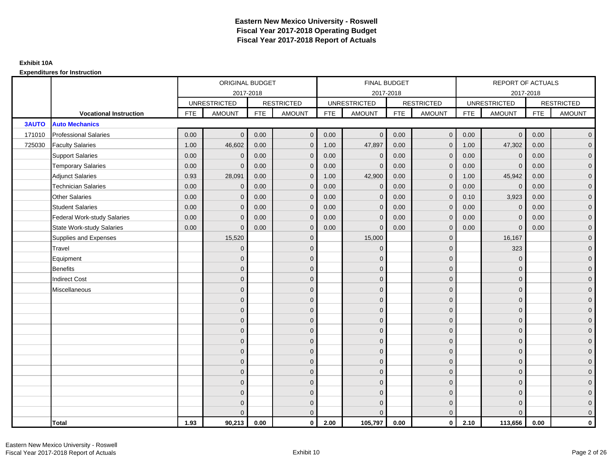|              |                                    |            | ORIGINAL BUDGET     |            |                   |            | <b>FINAL BUDGET</b> |            |                   |            | REPORT OF ACTUALS   |            |                   |
|--------------|------------------------------------|------------|---------------------|------------|-------------------|------------|---------------------|------------|-------------------|------------|---------------------|------------|-------------------|
|              |                                    |            | 2017-2018           |            |                   |            | 2017-2018           |            |                   |            | 2017-2018           |            |                   |
|              |                                    |            | <b>UNRESTRICTED</b> |            | <b>RESTRICTED</b> |            | <b>UNRESTRICTED</b> |            | <b>RESTRICTED</b> |            | <b>UNRESTRICTED</b> |            | <b>RESTRICTED</b> |
|              | <b>Vocational Instruction</b>      | <b>FTE</b> | <b>AMOUNT</b>       | <b>FTE</b> | <b>AMOUNT</b>     | <b>FTE</b> | <b>AMOUNT</b>       | <b>FTE</b> | <b>AMOUNT</b>     | <b>FTE</b> | <b>AMOUNT</b>       | <b>FTE</b> | <b>AMOUNT</b>     |
| <b>3AUTO</b> | <b>Auto Mechanics</b>              |            |                     |            |                   |            |                     |            |                   |            |                     |            |                   |
| 171010       | <b>Professional Salaries</b>       | 0.00       | $\Omega$            | 0.00       | $\overline{0}$    | 0.00       | $\overline{0}$      | 0.00       | $\overline{0}$    | 0.00       | $\overline{0}$      | 0.00       | $\overline{0}$    |
| 725030       | <b>Faculty Salaries</b>            | 1.00       | 46,602              | 0.00       | $\mathbf 0$       | 1.00       | 47,897              | 0.00       | $\mathbf{0}$      | 1.00       | 47,302              | 0.00       | $\overline{0}$    |
|              | <b>Support Salaries</b>            | 0.00       | $\mathbf 0$         | 0.00       | $\mathbf 0$       | 0.00       | $\mathbf 0$         | 0.00       | $\mathbf{0}$      | 0.00       | $\mathbf 0$         | 0.00       | $\overline{0}$    |
|              | <b>Temporary Salaries</b>          | 0.00       | $\Omega$            | 0.00       | $\overline{0}$    | 0.00       | $\Omega$            | 0.00       | $\Omega$          | 0.00       | $\mathbf{0}$        | 0.00       | $\overline{0}$    |
|              | <b>Adjunct Salaries</b>            | 0.93       | 28,091              | 0.00       | $\overline{0}$    | 1.00       | 42,900              | 0.00       | $\mathbf{0}$      | 1.00       | 45,942              | 0.00       | $\overline{0}$    |
|              | <b>Technician Salaries</b>         | 0.00       | $\mathbf 0$         | 0.00       | $\mathbf{0}$      | 0.00       | $\mathbf{0}$        | 0.00       | $\mathbf{0}$      | 0.00       | $\mathbf 0$         | 0.00       | $\mathbf{0}$      |
|              | Other Salaries                     | 0.00       | $\mathbf{0}$        | 0.00       | $\overline{0}$    | 0.00       | $\mathbf{0}$        | 0.00       | $\mathbf{0}$      | 0.10       | 3,923               | 0.00       | $\overline{0}$    |
|              | <b>Student Salaries</b>            | 0.00       | $\mathbf{0}$        | 0.00       | $\overline{0}$    | 0.00       | $\mathbf{0}$        | 0.00       | $\mathbf{0}$      | 0.00       | $\mathbf 0$         | 0.00       | $\overline{0}$    |
|              | <b>Federal Work-study Salaries</b> | 0.00       | $\mathbf{0}$        | 0.00       | $\mathbf 0$       | 0.00       | $\mathbf{0}$        | 0.00       | $\Omega$          | 0.00       | $\mathbf 0$         | 0.00       | $\overline{0}$    |
|              | State Work-study Salaries          | 0.00       | $\mathbf{0}$        | 0.00       | $\overline{0}$    | 0.00       | $\mathbf{0}$        | 0.00       | $\mathbf{0}$      | 0.00       | $\mathbf{0}$        | 0.00       | $\overline{0}$    |
|              | Supplies and Expenses              |            | 15,520              |            | $\mathbf{0}$      |            | 15,000              |            | $\mathbf{0}$      |            | 16,167              |            | $\mathbf{0}$      |
|              | Travel                             |            | $\Omega$            |            | $\mathbf 0$       |            | $\mathbf{0}$        |            | $\Omega$          |            | 323                 |            | $\overline{0}$    |
|              | Equipment                          |            | $\Omega$            |            | $\mathbf 0$       |            | $\mathbf{0}$        |            | $\mathbf 0$       |            | $\mathbf 0$         |            | $\overline{0}$    |
|              | <b>Benefits</b>                    |            | $\mathbf{0}$        |            | $\mathbf 0$       |            | $\Omega$            |            | $\mathbf 0$       |            | $\mathbf{0}$        |            | $\overline{0}$    |
|              | <b>Indirect Cost</b>               |            | $\Omega$            |            | $\overline{0}$    |            | $\Omega$            |            | $\Omega$          |            | $\Omega$            |            | $\overline{0}$    |
|              | Miscellaneous                      |            | $\Omega$            |            | $\mathbf 0$       |            | $\mathbf{0}$        |            | $\Omega$          |            | $\mathbf{0}$        |            | $\mathbf{0}$      |
|              |                                    |            | $\Omega$            |            | $\mathbf 0$       |            | $\mathbf{0}$        |            | $\mathbf{0}$      |            | $\mathbf{0}$        |            | $\overline{0}$    |
|              |                                    |            | $\Omega$            |            | $\mathbf 0$       |            | $\mathbf{0}$        |            | $\mathbf{0}$      |            | $\mathbf{0}$        |            | $\overline{0}$    |
|              |                                    |            | $\Omega$            |            | $\mathbf 0$       |            | $\mathbf{0}$        |            | $\mathbf 0$       |            | $\mathbf{0}$        |            | $\overline{0}$    |
|              |                                    |            | $\Omega$            |            | $\mathbf 0$       |            | $\Omega$            |            | $\mathbf{0}$      |            | $\mathbf{0}$        |            | $\mathbf{0}$      |
|              |                                    |            | $\Omega$            |            | $\mathbf 0$       |            | $\Omega$            |            | $\overline{0}$    |            | $\Omega$            |            | $\mathbf{0}$      |
|              |                                    |            | $\Omega$            |            | $\mathbf 0$       |            | $\Omega$            |            | $\mathbf{0}$      |            | $\Omega$            |            | $\overline{0}$    |
|              |                                    |            | $\Omega$            |            | $\mathbf 0$       |            | $\mathbf{0}$        |            | $\mathbf 0$       |            | $\mathbf{0}$        |            | $\overline{0}$    |
|              |                                    |            | $\mathbf{0}$        |            | $\mathbf 0$       |            | $\Omega$            |            | $\mathbf 0$       |            | $\mathbf{0}$        |            | $\overline{0}$    |
|              |                                    |            | $\Omega$            |            | $\mathbf 0$       |            | $\Omega$            |            | $\mathbf{0}$      |            | $\Omega$            |            | $\overline{0}$    |
|              |                                    |            | $\Omega$            |            | $\mathbf 0$       |            | $\mathbf{0}$        |            | $\mathbf 0$       |            | $\mathbf{0}$        |            | $\mathbf{0}$      |
|              |                                    |            | $\Omega$            |            | $\mathbf 0$       |            | $\mathbf{0}$        |            | $\mathbf{0}$      |            | $\mathbf{0}$        |            | $\mathbf{0}$      |
|              |                                    |            | $\Omega$            |            | $\overline{0}$    |            | $\Omega$            |            | $\mathbf{0}$      |            | $\Omega$            |            | $\overline{0}$    |
|              | <b>Total</b>                       | 1.93       | 90,213              | 0.00       | $\mathbf{0}$      | 2.00       | 105,797             | 0.00       | $\mathbf{0}$      | 2.10       | 113,656             | 0.00       | $\mathbf 0$       |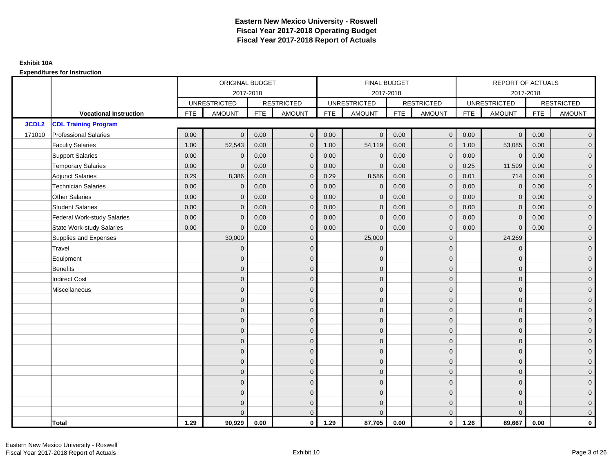|                   |                                    |            | ORIGINAL BUDGET     |            |                   |            | <b>FINAL BUDGET</b> |            |                   |            | REPORT OF ACTUALS   |            |                     |
|-------------------|------------------------------------|------------|---------------------|------------|-------------------|------------|---------------------|------------|-------------------|------------|---------------------|------------|---------------------|
|                   |                                    |            | 2017-2018           |            |                   |            | 2017-2018           |            |                   |            | 2017-2018           |            |                     |
|                   |                                    |            | <b>UNRESTRICTED</b> |            | <b>RESTRICTED</b> |            | <b>UNRESTRICTED</b> |            | <b>RESTRICTED</b> |            | <b>UNRESTRICTED</b> |            | <b>RESTRICTED</b>   |
|                   | <b>Vocational Instruction</b>      | <b>FTE</b> | <b>AMOUNT</b>       | <b>FTE</b> | <b>AMOUNT</b>     | <b>FTE</b> | <b>AMOUNT</b>       | <b>FTE</b> | <b>AMOUNT</b>     | <b>FTE</b> | <b>AMOUNT</b>       | <b>FTE</b> | <b>AMOUNT</b>       |
| 3CDL <sub>2</sub> | <b>CDL Training Program</b>        |            |                     |            |                   |            |                     |            |                   |            |                     |            |                     |
| 171010            | <b>Professional Salaries</b>       | 0.00       | $\Omega$            | 0.00       | $\mathbf 0$       | 0.00       | $\overline{0}$      | 0.00       | $\mathbf 0$       | 0.00       | $\overline{0}$      | 0.00       | $\overline{0}$      |
|                   | <b>Faculty Salaries</b>            | 1.00       | 52,543              | 0.00       | $\mathbf 0$       | 1.00       | 54,119              | 0.00       | $\mathbf{0}$      | 1.00       | 53,085              | 0.00       | $\overline{0}$      |
|                   | <b>Support Salaries</b>            | 0.00       | $\Omega$            | 0.00       | $\mathbf{0}$      | 0.00       | $\mathbf{0}$        | 0.00       | $\Omega$          | 0.00       | $\mathbf 0$         | 0.00       | $\overline{0}$      |
|                   | <b>Temporary Salaries</b>          | 0.00       | $\mathbf{0}$        | 0.00       | $\mathbf 0$       | 0.00       | $\mathbf{0}$        | 0.00       | $\Omega$          | 0.25       | 11,599              | 0.00       | $\overline{0}$      |
|                   | <b>Adjunct Salaries</b>            | 0.29       | 8,386               | 0.00       | $\overline{0}$    | 0.29       | 8,586               | 0.00       | $\mathbf{0}$      | 0.01       | 714                 | 0.00       | $\overline{0}$      |
|                   | <b>Technician Salaries</b>         | 0.00       | $\Omega$            | 0.00       | $\mathbf{0}$      | 0.00       | $\Omega$            | 0.00       | $\Omega$          | 0.00       | $\mathbf{0}$        | 0.00       | $\mathbf{0}$        |
|                   | Other Salaries                     | 0.00       | $\mathbf{0}$        | 0.00       | $\overline{0}$    | 0.00       | $\Omega$            | 0.00       | $\Omega$          | 0.00       | $\overline{0}$      | 0.00       | $\overline{0}$      |
|                   | <b>Student Salaries</b>            | 0.00       | $\overline{0}$      | 0.00       | $\mathbf 0$       | 0.00       | $\mathbf 0$         | 0.00       | $\mathbf 0$       | 0.00       | $\mathbf 0$         | 0.00       | $\mathsf{O}\xspace$ |
|                   | <b>Federal Work-study Salaries</b> | 0.00       | $\mathbf{0}$        | 0.00       | $\mathbf 0$       | 0.00       | $\mathbf{0}$        | 0.00       | $\Omega$          | 0.00       | $\mathbf 0$         | 0.00       | $\overline{0}$      |
|                   | State Work-study Salaries          | 0.00       | $\Omega$            | 0.00       | $\overline{0}$    | 0.00       | $\mathbf{0}$        | 0.00       | $\mathbf{0}$      | 0.00       | $\mathbf{0}$        | 0.00       | $\overline{0}$      |
|                   | Supplies and Expenses              |            | 30,000              |            | $\overline{0}$    |            | 25,000              |            | $\mathbf{0}$      |            | 24,269              |            | $\overline{0}$      |
|                   | Travel                             |            | $\Omega$            |            | $\mathbf 0$       |            | $\mathbf{0}$        |            | $\Omega$          |            | $\mathbf{0}$        |            | $\overline{0}$      |
|                   | Equipment                          |            | $\Omega$            |            | $\mathbf 0$       |            | $\Omega$            |            | $\mathbf{0}$      |            | $\mathbf{0}$        |            | $\overline{0}$      |
|                   | <b>Benefits</b>                    |            | $\mathbf{0}$        |            | $\mathbf 0$       |            | $\mathbf{0}$        |            | $\mathbf 0$       |            | $\mathbf{0}$        |            | $\overline{0}$      |
|                   | <b>Indirect Cost</b>               |            | $\Omega$            |            | $\overline{0}$    |            | $\Omega$            |            | $\mathbf{0}$      |            | $\mathbf{0}$        |            | $\overline{0}$      |
|                   | Miscellaneous                      |            | $\Omega$            |            | $\overline{0}$    |            | $\Omega$            |            | $\mathbf{0}$      |            | $\Omega$            |            | $\overline{0}$      |
|                   |                                    |            | $\mathbf{0}$        |            | $\mathbf 0$       |            | $\mathbf{0}$        |            | $\mathbf 0$       |            | $\mathbf{0}$        |            | $\overline{0}$      |
|                   |                                    |            | $\Omega$            |            | $\mathbf 0$       |            | $\mathbf{0}$        |            | $\mathbf{0}$      |            | $\mathbf{0}$        |            | $\overline{0}$      |
|                   |                                    |            | $\Omega$            |            | $\overline{0}$    |            | $\Omega$            |            | $\mathbf 0$       |            | $\mathbf{0}$        |            | $\overline{0}$      |
|                   |                                    |            | $\Omega$            |            | $\overline{0}$    |            | $\Omega$            |            | $\mathbf{0}$      |            | $\Omega$            |            | $\overline{0}$      |
|                   |                                    |            | $\mathbf{0}$        |            | $\mathbf 0$       |            | $\mathbf{0}$        |            | $\mathbf 0$       |            | $\mathbf{0}$        |            | $\mathsf{O}\xspace$ |
|                   |                                    |            | $\Omega$            |            | $\mathbf 0$       |            | $\mathbf{0}$        |            | $\mathbf{0}$      |            | $\mathbf{0}$        |            | $\overline{0}$      |
|                   |                                    |            | $\Omega$            |            | $\overline{0}$    |            | $\Omega$            |            | $\mathbf{0}$      |            | $\mathbf{0}$        |            | $\overline{0}$      |
|                   |                                    |            | $\Omega$            |            | $\overline{0}$    |            | $\Omega$            |            | $\Omega$          |            | $\Omega$            |            | $\overline{0}$      |
|                   |                                    |            | $\Omega$            |            | $\mathbf 0$       |            | $\mathbf{0}$        |            | $\mathbf 0$       |            | $\mathbf{0}$        |            | $\mathsf{O}\xspace$ |
|                   |                                    |            | $\mathbf{0}$        |            | $\mathbf 0$       |            | $\mathbf{0}$        |            | $\mathbf{0}$      |            | $\mathbf{0}$        |            | $\overline{0}$      |
|                   |                                    |            | $\Omega$            |            | $\mathbf 0$       |            | $\mathbf{0}$        |            | $\mathbf 0$       |            | $\mathbf{0}$        |            | $\mathbf 0$         |
|                   |                                    |            |                     |            | $\mathbf{0}$      |            | $\Omega$            |            | $\Omega$          |            | $\Omega$            |            | $\mathbf{0}$        |
|                   | <b>Total</b>                       | 1.29       | 90,929              | 0.00       | $\mathbf{0}$      | 1.29       | 87,705              | 0.00       | $\mathbf{0}$      | 1.26       | 89,667              | 0.00       | $\mathbf{0}$        |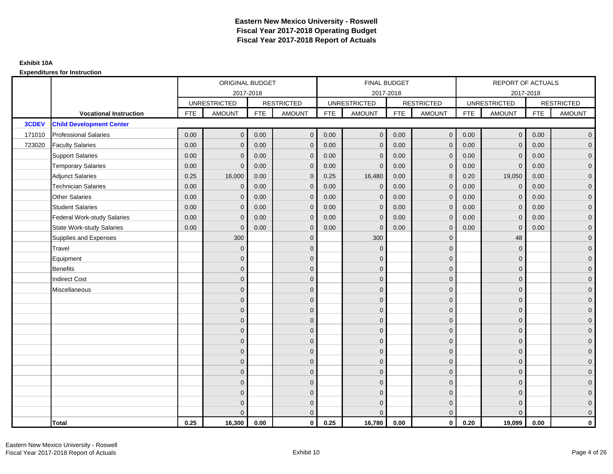|        |                                    | ORIGINAL BUDGET |                     |                   | <b>FINAL BUDGET</b> |                     |                |                   | REPORT OF ACTUALS |                     |                |                   |                |  |
|--------|------------------------------------|-----------------|---------------------|-------------------|---------------------|---------------------|----------------|-------------------|-------------------|---------------------|----------------|-------------------|----------------|--|
|        |                                    | 2017-2018       |                     |                   |                     | 2017-2018           |                |                   |                   |                     | 2017-2018      |                   |                |  |
|        |                                    |                 | <b>UNRESTRICTED</b> | <b>RESTRICTED</b> |                     | <b>UNRESTRICTED</b> |                | <b>RESTRICTED</b> |                   | <b>UNRESTRICTED</b> |                | <b>RESTRICTED</b> |                |  |
|        | <b>Vocational Instruction</b>      | <b>FTE</b>      | <b>AMOUNT</b>       | <b>FTE</b>        | <b>AMOUNT</b>       | <b>FTE</b>          | <b>AMOUNT</b>  | <b>FTE</b>        | <b>AMOUNT</b>     | <b>FTE</b>          | <b>AMOUNT</b>  | <b>FTE</b>        | <b>AMOUNT</b>  |  |
| 3CDEV  | <b>Child Development Center</b>    |                 |                     |                   |                     |                     |                |                   |                   |                     |                |                   |                |  |
| 171010 | <b>Professional Salaries</b>       | 0.00            | $\Omega$            | 0.00              | $\overline{0}$      | 0.00                | $\overline{0}$ | 0.00              | $\mathbf{0}$      | 0.00                | $\overline{0}$ | 0.00              | $\overline{0}$ |  |
| 723020 | <b>Faculty Salaries</b>            | 0.00            | $\mathbf 0$         | 0.00              | $\mathbf 0$         | 0.00                | $\mathbf{0}$   | 0.00              | $\mathbf{0}$      | 0.00                | $\mathbf 0$    | 0.00              | $\overline{0}$ |  |
|        | <b>Support Salaries</b>            | 0.00            | $\Omega$            | 0.00              | $\mathbf 0$         | 0.00                | $\mathbf{0}$   | 0.00              | $\mathbf 0$       | 0.00                | $\mathbf 0$    | 0.00              | $\overline{0}$ |  |
|        | <b>Temporary Salaries</b>          | 0.00            | $\Omega$            | 0.00              | $\overline{0}$      | 0.00                | $\Omega$       | 0.00              | $\Omega$          | 0.00                | $\mathbf{0}$   | 0.00              | $\overline{0}$ |  |
|        | <b>Adjunct Salaries</b>            | 0.25            | 16,000              | 0.00              | $\Omega$            | 0.25                | 16,480         | 0.00              | $\Omega$          | 0.20                | 19,050         | 0.00              | $\overline{0}$ |  |
|        | <b>Technician Salaries</b>         | 0.00            | $\mathbf 0$         | 0.00              | $\mathbf{0}$        | 0.00                | $\mathbf{0}$   | 0.00              | $\mathbf{0}$      | 0.00                | $\mathbf 0$    | 0.00              | $\mathbf{0}$   |  |
|        | Other Salaries                     | 0.00            | $\mathbf{0}$        | 0.00              | $\overline{0}$      | 0.00                | $\mathbf{0}$   | 0.00              | $\mathbf{0}$      | 0.00                | $\mathbf 0$    | 0.00              | $\overline{0}$ |  |
|        | <b>Student Salaries</b>            | 0.00            | $\mathbf{0}$        | 0.00              | $\mathbf 0$         | 0.00                | $\mathbf{0}$   | 0.00              | $\mathbf{0}$      | 0.00                | $\mathbf 0$    | 0.00              | $\overline{0}$ |  |
|        | <b>Federal Work-study Salaries</b> | 0.00            | $\mathbf{0}$        | 0.00              | $\mathbf 0$         | 0.00                | $\mathbf{0}$   | 0.00              | $\Omega$          | 0.00                | $\mathbf 0$    | 0.00              | $\overline{0}$ |  |
|        | State Work-study Salaries          | 0.00            | $\mathbf{0}$        | 0.00              | $\overline{0}$      | 0.00                | $\mathbf{0}$   | 0.00              | $\mathbf 0$       | 0.00                | $\mathbf{0}$   | 0.00              | $\overline{0}$ |  |
|        | Supplies and Expenses              |                 | 300                 |                   | $\mathbf{0}$        |                     | 300            |                   | $\mathbf 0$       |                     | 48             |                   | $\mathbf{0}$   |  |
|        | <b>Travel</b>                      |                 | $\Omega$            |                   | $\mathbf 0$         |                     | $\Omega$       |                   | $\mathbf{0}$      |                     | $\mathbf{0}$   |                   | $\overline{0}$ |  |
|        | Equipment                          |                 | $\Omega$            |                   | $\mathbf 0$         |                     | $\mathbf{0}$   |                   | $\mathbf 0$       |                     | $\mathbf{0}$   |                   | $\overline{0}$ |  |
|        | <b>Benefits</b>                    |                 | $\mathbf{0}$        |                   | $\mathbf 0$         |                     | $\Omega$       |                   | $\mathbf 0$       |                     | $\mathbf{0}$   |                   | $\overline{0}$ |  |
|        | <b>Indirect Cost</b>               |                 | $\Omega$            |                   | $\overline{0}$      |                     | $\Omega$       |                   | $\Omega$          |                     | $\Omega$       |                   | $\overline{0}$ |  |
|        | Miscellaneous                      |                 | $\Omega$            |                   | $\mathbf 0$         |                     | $\mathbf{0}$   |                   | $\Omega$          |                     | $\mathbf{0}$   |                   | $\mathbf{0}$   |  |
|        |                                    |                 | $\Omega$            |                   | $\mathbf 0$         |                     | $\mathbf{0}$   |                   | $\mathbf{0}$      |                     | $\mathbf{0}$   |                   | $\overline{0}$ |  |
|        |                                    |                 | $\Omega$            |                   | $\mathbf 0$         |                     | $\mathbf{0}$   |                   | $\mathbf{0}$      |                     | $\mathbf{0}$   |                   | $\overline{0}$ |  |
|        |                                    |                 | $\Omega$            |                   | $\mathbf 0$         |                     | $\mathbf{0}$   |                   | $\mathbf 0$       |                     | $\mathbf{0}$   |                   | $\overline{0}$ |  |
|        |                                    |                 | $\Omega$            |                   | $\mathbf 0$         |                     | $\Omega$       |                   | $\mathbf{0}$      |                     | $\mathbf{0}$   |                   | $\mathbf{0}$   |  |
|        |                                    |                 | $\Omega$            |                   | $\mathbf 0$         |                     | $\Omega$       |                   | $\overline{0}$    |                     | $\Omega$       |                   | $\mathbf{0}$   |  |
|        |                                    |                 | $\Omega$            |                   | $\mathbf 0$         |                     | $\Omega$       |                   | $\mathbf{0}$      |                     | $\Omega$       |                   | $\overline{0}$ |  |
|        |                                    |                 | $\Omega$            |                   | $\mathbf 0$         |                     | $\mathbf{0}$   |                   | $\mathbf 0$       |                     | $\mathbf{0}$   |                   | $\overline{0}$ |  |
|        |                                    |                 | $\Omega$            |                   | $\mathbf 0$         |                     | $\Omega$       |                   | $\mathbf 0$       |                     | $\mathbf{0}$   |                   | $\overline{0}$ |  |
|        |                                    |                 | $\Omega$            |                   | $\mathbf 0$         |                     | $\Omega$       |                   | $\mathbf{0}$      |                     | $\Omega$       |                   | $\overline{0}$ |  |
|        |                                    |                 | $\Omega$            |                   | $\mathbf 0$         |                     | $\mathbf{0}$   |                   | $\mathbf 0$       |                     | $\mathbf{0}$   |                   | $\mathbf{0}$   |  |
|        |                                    |                 | $\Omega$            |                   | $\mathbf 0$         |                     | $\Omega$       |                   | $\mathbf{0}$      |                     | $\mathbf{0}$   |                   | $\mathbf{0}$   |  |
|        |                                    |                 | $\Omega$            |                   | $\overline{0}$      |                     | $\Omega$       |                   | $\mathbf{0}$      |                     | $\Omega$       |                   | $\overline{0}$ |  |
|        | <b>Total</b>                       | 0.25            | 16,300              | 0.00              | $\mathbf{0}$        | 0.25                | 16,780         | 0.00              | $\mathbf{0}$      | 0.20                | 19,099         | 0.00              | $\mathbf 0$    |  |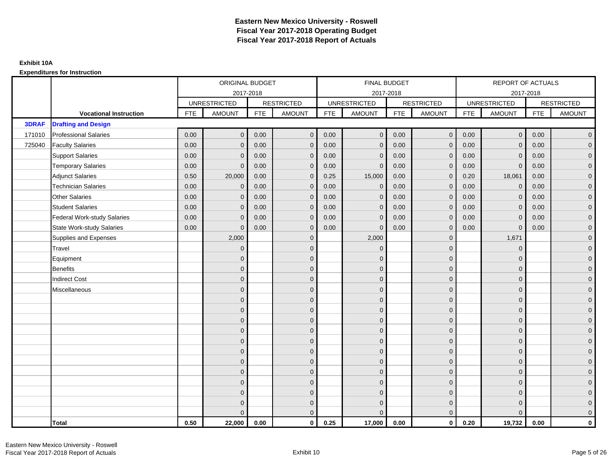|              |                                    | ORIGINAL BUDGET     |               |                   | FINAL BUDGET        |                     |               |                   | <b>REPORT OF ACTUALS</b> |                     |                |                   |                     |  |
|--------------|------------------------------------|---------------------|---------------|-------------------|---------------------|---------------------|---------------|-------------------|--------------------------|---------------------|----------------|-------------------|---------------------|--|
|              |                                    | 2017-2018           |               |                   |                     |                     | 2017-2018     |                   |                          |                     | 2017-2018      |                   |                     |  |
|              |                                    | <b>UNRESTRICTED</b> |               | <b>RESTRICTED</b> |                     | <b>UNRESTRICTED</b> |               | <b>RESTRICTED</b> |                          | <b>UNRESTRICTED</b> |                | <b>RESTRICTED</b> |                     |  |
|              | <b>Vocational Instruction</b>      | <b>FTE</b>          | <b>AMOUNT</b> | <b>FTE</b>        | <b>AMOUNT</b>       | <b>FTE</b>          | <b>AMOUNT</b> | <b>FTE</b>        | <b>AMOUNT</b>            | <b>FTE</b>          | <b>AMOUNT</b>  | <b>FTE</b>        | <b>AMOUNT</b>       |  |
| <b>3DRAF</b> | <b>Drafting and Design</b>         |                     |               |                   |                     |                     |               |                   |                          |                     |                |                   |                     |  |
| 171010       | <b>Professional Salaries</b>       | 0.00                | $\mathbf{0}$  | 0.00              | $\overline{0}$      | 0.00                | $\mathbf{0}$  | 0.00              | $\overline{0}$           | 0.00                | $\overline{0}$ | 0.00              | $\overline{0}$      |  |
| 725040       | <b>Faculty Salaries</b>            | 0.00                | $\mathbf{0}$  | 0.00              | $\mathbf 0$         | 0.00                | $\Omega$      | 0.00              | $\Omega$                 | 0.00                | $\overline{0}$ | 0.00              | $\overline{0}$      |  |
|              | <b>Support Salaries</b>            | 0.00                | $\mathbf 0$   | 0.00              | $\mathbf 0$         | 0.00                | $\mathbf{0}$  | 0.00              | $\mathbf{0}$             | 0.00                | $\mathbf 0$    | 0.00              | $\overline{0}$      |  |
|              | <b>Temporary Salaries</b>          | 0.00                | $\mathbf{0}$  | 0.00              | $\mathbf 0$         | 0.00                | $\Omega$      | 0.00              | $\mathbf 0$              | 0.00                | $\mathbf 0$    | 0.00              | $\overline{0}$      |  |
|              | <b>Adjunct Salaries</b>            | 0.50                | 20,000        | 0.00              | $\overline{0}$      | 0.25                | 15,000        | 0.00              | $\mathbf{0}$             | 0.20                | 18,061         | 0.00              | $\overline{0}$      |  |
|              | <b>Technician Salaries</b>         | 0.00                | $\Omega$      | 0.00              | $\overline{0}$      | 0.00                | $\Omega$      | 0.00              | $\Omega$                 | 0.00                | $\mathbf{0}$   | 0.00              | $\overline{0}$      |  |
|              | <b>Other Salaries</b>              | 0.00                | $\mathbf{0}$  | 0.00              | $\mathbf 0$         | 0.00                | $\mathbf{0}$  | 0.00              | $\mathbf{0}$             | 0.00                | $\mathbf 0$    | 0.00              | $\overline{0}$      |  |
|              | <b>Student Salaries</b>            | 0.00                | $\mathbf{0}$  | 0.00              | $\mathbf 0$         | 0.00                | $\mathbf{0}$  | 0.00              | $\mathbf{0}$             | 0.00                | $\mathbf 0$    | 0.00              | $\overline{0}$      |  |
|              | <b>Federal Work-study Salaries</b> | 0.00                | $\mathbf{0}$  | 0.00              | $\overline{0}$      | 0.00                | $\Omega$      | 0.00              | $\Omega$                 | 0.00                | $\mathbf{0}$   | 0.00              | $\overline{0}$      |  |
|              | <b>State Work-study Salaries</b>   | 0.00                | $\mathbf{0}$  | 0.00              | $\overline{0}$      | 0.00                | $\Omega$      | 0.00              | $\Omega$                 | 0.00                | $\mathbf{0}$   | 0.00              | $\overline{0}$      |  |
|              | Supplies and Expenses              |                     | 2,000         |                   | $\mathbf 0$         |                     | 2,000         |                   | $\mathbf{0}$             |                     | 1,671          |                   | $\mathbf{0}$        |  |
|              | Travel                             |                     | $\mathbf{0}$  |                   | $\mathbf 0$         |                     | $\Omega$      |                   | $\mathbf{0}$             |                     | $\mathbf 0$    |                   | $\mathbf{0}$        |  |
|              | Equipment                          |                     | $\Omega$      |                   | $\mathbf 0$         |                     | $\Omega$      |                   | $\mathbf{0}$             |                     | $\mathbf{0}$   |                   | $\overline{0}$      |  |
|              | <b>Benefits</b>                    |                     | $\mathbf 0$   |                   | $\mathbf 0$         |                     | $\mathbf{0}$  |                   | $\mathbf 0$              |                     | $\mathbf 0$    |                   | $\mathbf{0}$        |  |
|              | <b>Indirect Cost</b>               |                     | $\Omega$      |                   | $\mathbf 0$         |                     | $\Omega$      |                   | $\mathbf 0$              |                     | $\mathbf{0}$   |                   | $\mathbf{0}$        |  |
|              | Miscellaneous                      |                     | $\Omega$      |                   | $\mathbf 0$         |                     | $\Omega$      |                   | $\mathbf{0}$             |                     | $\mathbf{0}$   |                   | $\mathsf{O}\xspace$ |  |
|              |                                    |                     | $\Omega$      |                   | $\mathbf 0$         |                     | $\Omega$      |                   | $\mathbf{0}$             |                     | $\Omega$       |                   | $\overline{0}$      |  |
|              |                                    |                     | $\mathbf 0$   |                   | $\mathsf{O}\xspace$ |                     | $\mathbf{0}$  |                   | $\mathbf 0$              |                     | $\mathbf 0$    |                   | $\mathsf{O}\xspace$ |  |
|              |                                    |                     | $\mathbf{0}$  |                   | $\mathbf 0$         |                     | $\Omega$      |                   | $\mathbf 0$              |                     | $\mathbf{0}$   |                   | $\overline{0}$      |  |
|              |                                    |                     | $\Omega$      |                   | $\mathbf 0$         |                     | $\Omega$      |                   | $\mathbf{0}$             |                     | $\mathbf{0}$   |                   | $\overline{0}$      |  |
|              |                                    |                     | $\Omega$      |                   | $\overline{0}$      |                     | $\Omega$      |                   | $\mathbf{0}$             |                     | $\Omega$       |                   | $\overline{0}$      |  |
|              |                                    |                     | $\mathbf{0}$  |                   | $\overline{0}$      |                     | $\Omega$      |                   | $\mathbf 0$              |                     | $\mathbf{0}$   |                   | $\overline{0}$      |  |
|              |                                    |                     | $\mathbf{0}$  |                   | $\mathbf 0$         |                     | $\Omega$      |                   | $\mathbf{0}$             |                     | $\mathbf{0}$   |                   | $\overline{0}$      |  |
|              |                                    |                     | $\mathbf{0}$  |                   | $\mathbf 0$         |                     | $\Omega$      |                   | $\mathbf{0}$             |                     | $\mathbf{0}$   |                   | $\overline{0}$      |  |
|              |                                    |                     | $\Omega$      |                   | $\mathbf 0$         |                     | $\Omega$      |                   | $\mathbf{0}$             |                     | $\Omega$       |                   | $\overline{0}$      |  |
|              |                                    |                     | $\mathbf{0}$  |                   | $\mathbf 0$         |                     | $\Omega$      |                   | $\mathbf 0$              |                     | $\mathbf{0}$   |                   | $\overline{0}$      |  |
|              |                                    |                     | $\mathbf{0}$  |                   | $\mathbf 0$         |                     | $\Omega$      |                   | $\mathbf 0$              |                     | $\mathbf{0}$   |                   | $\mathbf{0}$        |  |
|              |                                    |                     | $\Omega$      |                   | $\overline{0}$      |                     | $\Omega$      |                   | $\mathbf{0}$             |                     | $\Omega$       |                   | $\overline{0}$      |  |
|              | <b>Total</b>                       | 0.50                | 22,000        | 0.00              | $\mathbf{0}$        | 0.25                | 17,000        | 0.00              | $\mathbf{0}$             | 0.20                | 19,732         | 0.00              | $\mathbf 0$         |  |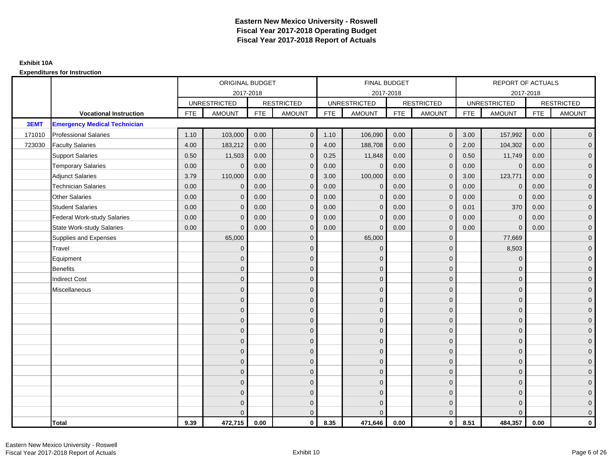|        |                                     |            | ORIGINAL BUDGET     |            |                   |            | <b>FINAL BUDGET</b> |            |                   |            | REPORT OF ACTUALS   |            |                   |
|--------|-------------------------------------|------------|---------------------|------------|-------------------|------------|---------------------|------------|-------------------|------------|---------------------|------------|-------------------|
|        |                                     |            | 2017-2018           |            |                   |            | 2017-2018           |            |                   |            | 2017-2018           |            |                   |
|        |                                     |            | <b>UNRESTRICTED</b> |            | <b>RESTRICTED</b> |            | <b>UNRESTRICTED</b> |            | <b>RESTRICTED</b> |            | <b>UNRESTRICTED</b> |            | <b>RESTRICTED</b> |
|        | <b>Vocational Instruction</b>       | <b>FTE</b> | <b>AMOUNT</b>       | <b>FTE</b> | <b>AMOUNT</b>     | <b>FTE</b> | <b>AMOUNT</b>       | <b>FTE</b> | <b>AMOUNT</b>     | <b>FTE</b> | <b>AMOUNT</b>       | <b>FTE</b> | <b>AMOUNT</b>     |
| 3EMT   | <b>Emergency Medical Technician</b> |            |                     |            |                   |            |                     |            |                   |            |                     |            |                   |
| 171010 | <b>Professional Salaries</b>        | 1.10       | 103,000             | 0.00       | $\overline{0}$    | 1.10       | 106,090             | 0.00       | $\mathbf{0}$      | 3.00       | 157,992             | 0.00       | $\overline{0}$    |
| 723030 | <b>Faculty Salaries</b>             | 4.00       | 183,212             | 0.00       | $\mathbf 0$       | 4.00       | 188,708             | 0.00       | $\mathbf{0}$      | 2.00       | 104,302             | 0.00       | $\overline{0}$    |
|        | <b>Support Salaries</b>             | 0.50       | 11,503              | 0.00       | $\mathbf 0$       | 0.25       | 11,848              | 0.00       | $\Omega$          | 0.50       | 11,749              | 0.00       | $\overline{0}$    |
|        | <b>Temporary Salaries</b>           | 0.00       | $\Omega$            | 0.00       | $\overline{0}$    | 0.00       | $\Omega$            | 0.00       | $\Omega$          | 0.00       | $\overline{0}$      | 0.00       | $\overline{0}$    |
|        | <b>Adjunct Salaries</b>             | 3.79       | 110,000             | 0.00       | $\Omega$          | 3.00       | 100,000             | 0.00       | $\Omega$          | 3.00       | 123,771             | 0.00       | $\overline{0}$    |
|        | <b>Technician Salaries</b>          | 0.00       | $\Omega$            | 0.00       | $\mathbf{0}$      | 0.00       | $\mathbf{0}$        | 0.00       | $\mathbf 0$       | 0.00       | $\mathbf 0$         | 0.00       | $\mathbf{0}$      |
|        | <b>Other Salaries</b>               | 0.00       | $\mathbf{0}$        | 0.00       | $\overline{0}$    | 0.00       | $\mathbf{0}$        | 0.00       | $\Omega$          | 0.00       | $\mathbf{0}$        | 0.00       | $\overline{0}$    |
|        | <b>Student Salaries</b>             | 0.00       | $\Omega$            | 0.00       | $\overline{0}$    | 0.00       | $\mathbf{0}$        | 0.00       | $\mathbf 0$       | 0.01       | 370                 | 0.00       | $\overline{0}$    |
|        | <b>Federal Work-study Salaries</b>  | 0.00       | $\mathbf{0}$        | 0.00       | $\mathbf 0$       | 0.00       | $\mathbf{0}$        | 0.00       | $\Omega$          | 0.00       | $\mathbf 0$         | 0.00       | $\overline{0}$    |
|        | <b>State Work-study Salaries</b>    | 0.00       | $\mathbf{0}$        | 0.00       | $\overline{0}$    | 0.00       | $\mathbf{0}$        | 0.00       | $\mathbf 0$       | 0.00       | $\mathbf{0}$        | 0.00       | $\overline{0}$    |
|        | Supplies and Expenses               |            | 65,000              |            | $\mathbf{0}$      |            | 65,000              |            | $\mathbf 0$       |            | 77,669              |            | $\overline{0}$    |
|        | Travel                              |            | $\Omega$            |            | $\overline{0}$    |            | $\Omega$            |            | $\Omega$          |            | 8,503               |            | $\overline{0}$    |
|        | Equipment                           |            | 0                   |            | $\mathbf 0$       |            | $\mathbf{0}$        |            | $\mathbf{0}$      |            | $\mathbf 0$         |            | $\overline{0}$    |
|        | <b>Benefits</b>                     |            | $\Omega$            |            | $\mathbf 0$       |            | $\Omega$            |            | $\mathbf{0}$      |            | $\mathbf{0}$        |            | $\overline{0}$    |
|        | <b>Indirect Cost</b>                |            | $\Omega$            |            | $\overline{0}$    |            | $\Omega$            |            | $\Omega$          |            | $\Omega$            |            | $\overline{0}$    |
|        | Miscellaneous                       |            | $\Omega$            |            | $\mathbf 0$       |            | $\mathbf{0}$        |            | $\Omega$          |            | $\mathbf{0}$        |            | $\mathbf{0}$      |
|        |                                     |            | $\Omega$            |            | $\mathbf 0$       |            | $\Omega$            |            | $\mathbf{0}$      |            | $\mathbf{0}$        |            | $\overline{0}$    |
|        |                                     |            | $\Omega$            |            | $\mathbf 0$       |            | $\Omega$            |            | $\mathbf{0}$      |            | $\mathbf{0}$        |            | $\overline{0}$    |
|        |                                     |            | $\Omega$            |            | $\mathbf 0$       |            | $\Omega$            |            | $\overline{0}$    |            | $\mathbf{0}$        |            | $\overline{0}$    |
|        |                                     |            | $\Omega$            |            | $\mathbf 0$       |            | $\Omega$            |            | $\mathbf{0}$      |            | $\mathbf{0}$        |            | $\overline{0}$    |
|        |                                     |            | $\Omega$            |            | $\mathbf 0$       |            | $\Omega$            |            | $\mathbf 0$       |            | $\Omega$            |            | $\mathbf{0}$      |
|        |                                     |            | $\Omega$            |            | $\mathbf 0$       |            | $\Omega$            |            | $\mathbf{0}$      |            | $\Omega$            |            | $\overline{0}$    |
|        |                                     |            | $\Omega$            |            | $\mathbf 0$       |            | $\mathbf{0}$        |            | $\mathbf{0}$      |            | $\mathbf{0}$        |            | $\overline{0}$    |
|        |                                     |            | $\Omega$            |            | $\mathbf 0$       |            | $\Omega$            |            | $\mathbf 0$       |            | $\mathbf{0}$        |            | $\mathbf 0$       |
|        |                                     |            | $\Omega$            |            | $\overline{0}$    |            | $\Omega$            |            | $\Omega$          |            | $\Omega$            |            | $\mathbf 0$       |
|        |                                     |            | $\Omega$            |            | $\mathbf 0$       |            | $\Omega$            |            | $\mathbf{0}$      |            | $\mathbf{0}$        |            | $\mathbf{0}$      |
|        |                                     |            | 0                   |            | $\mathbf 0$       |            | $\Omega$            |            | $\mathbf{0}$      |            | $\mathbf{0}$        |            | $\mathbf{0}$      |
|        |                                     |            |                     |            | $\mathbf{0}$      |            | $\Omega$            |            | $\mathbf{0}$      |            | $\Omega$            |            | $\overline{0}$    |
|        | <b>Total</b>                        | 9.39       | 472,715             | 0.00       | $\mathbf{0}$      | 8.35       | 471,646             | 0.00       | $\mathbf{0}$      | 8.51       | 484,357             | 0.00       | $\mathbf 0$       |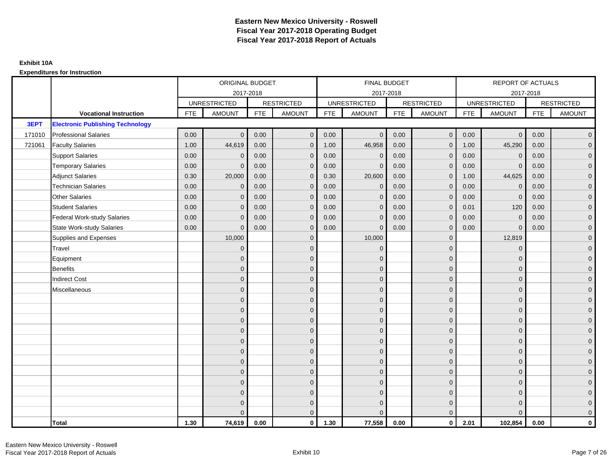|        |                                         |            | ORIGINAL BUDGET     |            |                   |            | <b>FINAL BUDGET</b> |            |                   |            | REPORT OF ACTUALS   |            |                   |
|--------|-----------------------------------------|------------|---------------------|------------|-------------------|------------|---------------------|------------|-------------------|------------|---------------------|------------|-------------------|
|        |                                         |            | 2017-2018           |            |                   |            | 2017-2018           |            |                   |            | 2017-2018           |            |                   |
|        |                                         |            | <b>UNRESTRICTED</b> |            | <b>RESTRICTED</b> |            | <b>UNRESTRICTED</b> |            | <b>RESTRICTED</b> |            | <b>UNRESTRICTED</b> |            | <b>RESTRICTED</b> |
|        | <b>Vocational Instruction</b>           | <b>FTE</b> | <b>AMOUNT</b>       | <b>FTE</b> | <b>AMOUNT</b>     | <b>FTE</b> | <b>AMOUNT</b>       | <b>FTE</b> | <b>AMOUNT</b>     | <b>FTE</b> | <b>AMOUNT</b>       | <b>FTE</b> | <b>AMOUNT</b>     |
| 3EPT   | <b>Electronic Publishing Technology</b> |            |                     |            |                   |            |                     |            |                   |            |                     |            |                   |
| 171010 | <b>Professional Salaries</b>            | 0.00       | $\Omega$            | 0.00       | $\overline{0}$    | 0.00       | $\mathbf{0}$        | 0.00       | $\mathbf{0}$      | 0.00       | $\overline{0}$      | 0.00       | $\overline{0}$    |
| 721061 | <b>Faculty Salaries</b>                 | 1.00       | 44,619              | 0.00       | $\mathbf 0$       | 1.00       | 46,958              | 0.00       | $\mathbf{0}$      | 1.00       | 45,290              | 0.00       | $\overline{0}$    |
|        | <b>Support Salaries</b>                 | 0.00       | $\Omega$            | 0.00       | $\mathbf 0$       | 0.00       | $\mathbf 0$         | 0.00       | $\Omega$          | 0.00       | $\mathbf 0$         | 0.00       | $\overline{0}$    |
|        | <b>Temporary Salaries</b>               | 0.00       | $\Omega$            | 0.00       | $\overline{0}$    | 0.00       | $\Omega$            | 0.00       | $\Omega$          | 0.00       | $\mathbf{0}$        | 0.00       | $\overline{0}$    |
|        | <b>Adjunct Salaries</b>                 | 0.30       | 20,000              | 0.00       | $\Omega$          | 0.30       | 20,600              | 0.00       | $\Omega$          | 1.00       | 44,625              | 0.00       | $\overline{0}$    |
|        | <b>Technician Salaries</b>              | 0.00       | $\mathbf 0$         | 0.00       | $\mathbf{0}$      | 0.00       | $\mathbf{0}$        | 0.00       | $\mathbf{0}$      | 0.00       | $\mathbf 0$         | 0.00       | $\mathbf{0}$      |
|        | <b>Other Salaries</b>                   | 0.00       | $\mathbf{0}$        | 0.00       | $\overline{0}$    | 0.00       | $\mathbf{0}$        | 0.00       | $\Omega$          | 0.00       | $\mathbf 0$         | 0.00       | $\overline{0}$    |
|        | <b>Student Salaries</b>                 | 0.00       | $\mathbf{0}$        | 0.00       | $\overline{0}$    | 0.00       | $\mathbf{0}$        | 0.00       | $\mathbf 0$       | 0.01       | 120                 | 0.00       | $\overline{0}$    |
|        | <b>Federal Work-study Salaries</b>      | 0.00       | $\mathbf{0}$        | 0.00       | $\mathbf 0$       | 0.00       | $\mathbf{0}$        | 0.00       | $\Omega$          | 0.00       | $\mathbf 0$         | 0.00       | $\overline{0}$    |
|        | <b>State Work-study Salaries</b>        | 0.00       | $\mathbf{0}$        | 0.00       | $\overline{0}$    | 0.00       | $\mathbf{0}$        | 0.00       | $\mathbf{0}$      | 0.00       | $\mathbf{0}$        | 0.00       | $\overline{0}$    |
|        | Supplies and Expenses                   |            | 10,000              |            | $\mathbf{0}$      |            | 10,000              |            | $\mathbf{0}$      |            | 12,819              |            | $\overline{0}$    |
|        | Travel                                  |            | $\Omega$            |            | $\mathbf 0$       |            | $\mathbf{0}$        |            | $\Omega$          |            | $\mathbf{0}$        |            | $\overline{0}$    |
|        | Equipment                               |            | $\Omega$            |            | $\mathbf 0$       |            | $\mathbf{0}$        |            | $\mathbf 0$       |            | $\mathbf{0}$        |            | $\overline{0}$    |
|        | <b>Benefits</b>                         |            | $\mathbf{0}$        |            | $\mathbf 0$       |            | $\Omega$            |            | $\mathbf 0$       |            | $\mathbf{0}$        |            | $\overline{0}$    |
|        | <b>Indirect Cost</b>                    |            | $\Omega$            |            | $\overline{0}$    |            | $\Omega$            |            | $\Omega$          |            | $\Omega$            |            | $\overline{0}$    |
|        | Miscellaneous                           |            | $\Omega$            |            | $\mathbf 0$       |            | $\mathbf{0}$        |            | $\Omega$          |            | $\mathbf{0}$        |            | $\mathbf{0}$      |
|        |                                         |            | $\Omega$            |            | $\mathbf 0$       |            | $\mathbf{0}$        |            | $\mathbf{0}$      |            | $\mathbf{0}$        |            | $\overline{0}$    |
|        |                                         |            | $\Omega$            |            | $\mathbf 0$       |            | $\mathbf{0}$        |            | $\mathbf{0}$      |            | $\mathbf{0}$        |            | $\overline{0}$    |
|        |                                         |            | $\Omega$            |            | $\mathbf 0$       |            | $\mathbf{0}$        |            | $\mathbf 0$       |            | $\mathbf{0}$        |            | $\overline{0}$    |
|        |                                         |            | $\Omega$            |            | $\mathbf 0$       |            | $\Omega$            |            | $\mathbf{0}$      |            | $\mathbf{0}$        |            | $\overline{0}$    |
|        |                                         |            | $\Omega$            |            | $\mathbf 0$       |            | $\Omega$            |            | $\overline{0}$    |            | $\Omega$            |            | $\mathbf{0}$      |
|        |                                         |            | $\Omega$            |            | $\mathbf 0$       |            | $\Omega$            |            | $\mathbf{0}$      |            | $\Omega$            |            | $\overline{0}$    |
|        |                                         |            | $\Omega$            |            | $\mathbf 0$       |            | $\mathbf{0}$        |            | $\mathbf{0}$      |            | $\mathbf{0}$        |            | $\overline{0}$    |
|        |                                         |            | $\Omega$            |            | $\mathbf 0$       |            | $\Omega$            |            | $\mathbf 0$       |            | $\mathbf{0}$        |            | $\overline{0}$    |
|        |                                         |            | $\Omega$            |            | $\overline{0}$    |            | $\Omega$            |            | $\Omega$          |            | $\Omega$            |            | $\overline{0}$    |
|        |                                         |            | $\Omega$            |            | $\mathbf 0$       |            | $\mathbf{0}$        |            | $\mathbf 0$       |            | $\mathbf{0}$        |            | $\mathbf{0}$      |
|        |                                         |            | $\Omega$            |            | $\mathbf 0$       |            | $\Omega$            |            | $\mathbf{0}$      |            | $\mathbf{0}$        |            | $\mathbf{0}$      |
|        |                                         |            |                     |            | $\overline{0}$    |            | $\Omega$            |            | $\mathbf{0}$      |            | $\Omega$            |            | $\overline{0}$    |
|        | <b>Total</b>                            | 1.30       | 74,619              | 0.00       | $\mathbf{0}$      | 1.30       | 77,558              | 0.00       | $\mathbf{0}$      | 2.01       | 102,854             | 0.00       | $\mathbf 0$       |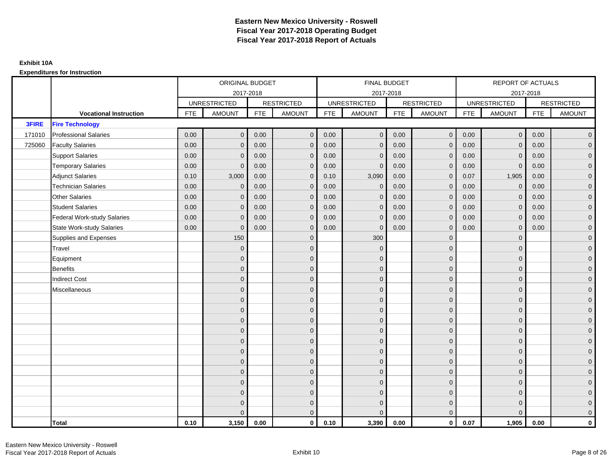|              |                                    |            | ORIGINAL BUDGET     |            |                     |            | FINAL BUDGET        |            |                   |            | <b>REPORT OF ACTUALS</b> |            |                     |
|--------------|------------------------------------|------------|---------------------|------------|---------------------|------------|---------------------|------------|-------------------|------------|--------------------------|------------|---------------------|
|              |                                    |            |                     | 2017-2018  |                     |            | 2017-2018           |            |                   |            |                          | 2017-2018  |                     |
|              |                                    |            | <b>UNRESTRICTED</b> |            | <b>RESTRICTED</b>   |            | <b>UNRESTRICTED</b> |            | <b>RESTRICTED</b> |            | <b>UNRESTRICTED</b>      |            | <b>RESTRICTED</b>   |
|              | <b>Vocational Instruction</b>      | <b>FTE</b> | <b>AMOUNT</b>       | <b>FTE</b> | <b>AMOUNT</b>       | <b>FTE</b> | <b>AMOUNT</b>       | <b>FTE</b> | <b>AMOUNT</b>     | <b>FTE</b> | <b>AMOUNT</b>            | <b>FTE</b> | <b>AMOUNT</b>       |
| <b>3FIRE</b> | <b>Fire Technology</b>             |            |                     |            |                     |            |                     |            |                   |            |                          |            |                     |
| 171010       | <b>Professional Salaries</b>       | 0.00       | $\mathbf{0}$        | 0.00       | $\overline{0}$      | 0.00       | $\mathbf{0}$        | 0.00       | $\overline{0}$    | 0.00       | $\overline{0}$           | 0.00       | $\overline{0}$      |
| 725060       | <b>Faculty Salaries</b>            | 0.00       | $\mathbf{0}$        | 0.00       | $\mathbf 0$         | 0.00       | $\Omega$            | 0.00       | $\Omega$          | 0.00       | $\overline{0}$           | 0.00       | $\overline{0}$      |
|              | <b>Support Salaries</b>            | 0.00       | $\mathbf 0$         | 0.00       | $\mathbf 0$         | 0.00       | $\Omega$            | 0.00       | $\mathbf{0}$      | 0.00       | $\mathbf 0$              | 0.00       | $\overline{0}$      |
|              | <b>Temporary Salaries</b>          | 0.00       | $\mathbf{0}$        | 0.00       | $\mathbf 0$         | 0.00       | $\mathbf{0}$        | 0.00       | $\overline{0}$    | 0.00       | $\mathbf 0$              | 0.00       | $\overline{0}$      |
|              | <b>Adjunct Salaries</b>            | 0.10       | 3,000               | 0.00       | $\overline{0}$      | 0.10       | 3,090               | 0.00       | $\mathbf{0}$      | 0.07       | 1,905                    | 0.00       | $\overline{0}$      |
|              | <b>Technician Salaries</b>         | 0.00       | $\Omega$            | 0.00       | $\overline{0}$      | 0.00       | $\Omega$            | 0.00       | $\Omega$          | 0.00       | $\mathbf{0}$             | 0.00       | $\overline{0}$      |
|              | <b>Other Salaries</b>              | 0.00       | $\mathbf{0}$        | 0.00       | $\mathbf 0$         | 0.00       | $\mathbf{0}$        | 0.00       | $\mathbf{0}$      | 0.00       | $\mathbf 0$              | 0.00       | $\overline{0}$      |
|              | <b>Student Salaries</b>            | 0.00       | $\mathbf{0}$        | 0.00       | $\mathbf 0$         | 0.00       | $\mathbf{0}$        | 0.00       | $\mathbf{0}$      | 0.00       | $\overline{0}$           | 0.00       | $\overline{0}$      |
|              | <b>Federal Work-study Salaries</b> | 0.00       | $\mathbf{0}$        | 0.00       | $\overline{0}$      | 0.00       | $\Omega$            | 0.00       | $\Omega$          | 0.00       | $\overline{0}$           | 0.00       | $\overline{0}$      |
|              | <b>State Work-study Salaries</b>   | 0.00       | $\mathbf{0}$        | 0.00       | $\overline{0}$      | 0.00       | $\Omega$            | 0.00       | $\Omega$          | 0.00       | $\overline{0}$           | 0.00       | $\overline{0}$      |
|              | Supplies and Expenses              |            | 150                 |            | $\mathbf 0$         |            | 300                 |            | $\overline{0}$    |            | $\mathbf 0$              |            | $\overline{0}$      |
|              | Travel                             |            | $\mathbf{0}$        |            | $\mathbf 0$         |            | $\mathbf{0}$        |            | $\mathbf 0$       |            | $\mathbf{0}$             |            | $\mathbf{0}$        |
|              | Equipment                          |            | $\mathbf{0}$        |            | $\mathbf 0$         |            | $\Omega$            |            | $\mathbf{0}$      |            | $\mathbf{0}$             |            | $\overline{0}$      |
|              | <b>Benefits</b>                    |            | $\mathbf{0}$        |            | $\mathbf 0$         |            | $\mathbf{0}$        |            | $\mathbf 0$       |            | $\mathbf 0$              |            | $\mathbf{0}$        |
|              | <b>Indirect Cost</b>               |            | $\mathbf{0}$        |            | $\mathbf 0$         |            | $\Omega$            |            | $\mathbf{0}$      |            | $\mathbf{0}$             |            | $\mathbf{0}$        |
|              | Miscellaneous                      |            | $\Omega$            |            | $\mathbf 0$         |            | $\Omega$            |            | $\mathbf{0}$      |            | $\mathbf{0}$             |            | $\mathsf{O}\xspace$ |
|              |                                    |            | $\Omega$            |            | $\mathbf 0$         |            | $\Omega$            |            | $\mathbf{0}$      |            | $\Omega$                 |            | $\overline{0}$      |
|              |                                    |            | $\mathbf{0}$        |            | $\mathsf{O}\xspace$ |            | $\mathbf{0}$        |            | $\mathbf 0$       |            | $\mathbf 0$              |            | $\mathsf{O}\xspace$ |
|              |                                    |            | $\mathbf{0}$        |            | $\mathbf 0$         |            | $\Omega$            |            | $\mathbf{0}$      |            | $\mathbf{0}$             |            | $\overline{0}$      |
|              |                                    |            | $\Omega$            |            | $\mathbf 0$         |            | $\Omega$            |            | $\mathbf{0}$      |            | $\mathbf{0}$             |            | $\overline{0}$      |
|              |                                    |            | $\Omega$            |            | $\overline{0}$      |            | $\Omega$            |            | $\mathbf{0}$      |            | $\Omega$                 |            | $\overline{0}$      |
|              |                                    |            | $\mathbf{0}$        |            | $\overline{0}$      |            | $\Omega$            |            | $\mathbf 0$       |            | $\mathbf{0}$             |            | $\overline{0}$      |
|              |                                    |            | $\mathbf{0}$        |            | $\mathbf 0$         |            | $\Omega$            |            | $\mathbf{0}$      |            | $\mathbf{0}$             |            | $\overline{0}$      |
|              |                                    |            | $\mathbf{0}$        |            | $\mathbf 0$         |            | $\Omega$            |            | $\mathbf{0}$      |            | $\mathbf{0}$             |            | $\overline{0}$      |
|              |                                    |            | $\Omega$            |            | $\mathbf 0$         |            | $\Omega$            |            | $\mathbf{0}$      |            | $\Omega$                 |            | $\overline{0}$      |
|              |                                    |            | $\mathbf{0}$        |            | $\mathbf 0$         |            | $\Omega$            |            | $\mathbf 0$       |            | $\mathbf{0}$             |            | $\overline{0}$      |
|              |                                    |            | $\mathbf{0}$        |            | $\mathbf 0$         |            | $\Omega$            |            | $\mathbf 0$       |            | $\mathbf{0}$             |            | $\mathbf{0}$        |
|              |                                    |            | $\Omega$            |            | $\overline{0}$      |            | $\Omega$            |            | $\overline{0}$    |            | $\Omega$                 |            | $\overline{0}$      |
|              | <b>Total</b>                       | 0.10       | 3,150               | 0.00       | $\mathbf{0}$        | 0.10       | 3,390               | 0.00       | $\mathbf{0}$      | 0.07       | 1,905                    | 0.00       | $\mathbf 0$         |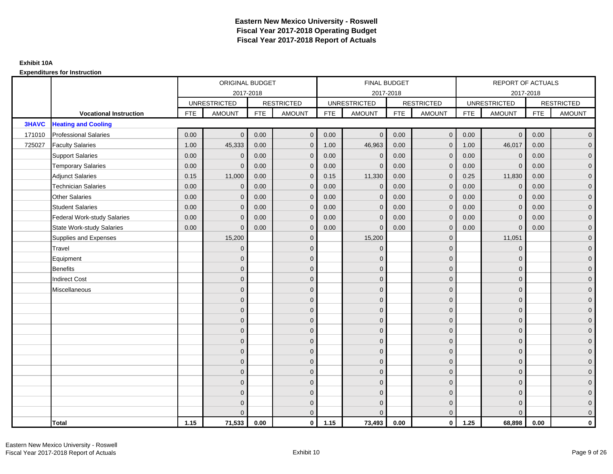|              |                                    |            | ORIGINAL BUDGET     |            |                   |            | <b>FINAL BUDGET</b> |            |                   |            | REPORT OF ACTUALS   |            |                   |
|--------------|------------------------------------|------------|---------------------|------------|-------------------|------------|---------------------|------------|-------------------|------------|---------------------|------------|-------------------|
|              |                                    |            |                     | 2017-2018  |                   |            | 2017-2018           |            |                   |            | 2017-2018           |            |                   |
|              |                                    |            | <b>UNRESTRICTED</b> |            | <b>RESTRICTED</b> |            | <b>UNRESTRICTED</b> |            | <b>RESTRICTED</b> |            | <b>UNRESTRICTED</b> |            | <b>RESTRICTED</b> |
|              | <b>Vocational Instruction</b>      | <b>FTE</b> | <b>AMOUNT</b>       | <b>FTE</b> | <b>AMOUNT</b>     | <b>FTE</b> | <b>AMOUNT</b>       | <b>FTE</b> | <b>AMOUNT</b>     | <b>FTE</b> | <b>AMOUNT</b>       | <b>FTE</b> | <b>AMOUNT</b>     |
| <b>3HAVC</b> | <b>Heating and Cooling</b>         |            |                     |            |                   |            |                     |            |                   |            |                     |            |                   |
| 171010       | <b>Professional Salaries</b>       | 0.00       | $\Omega$            | 0.00       | $\mathbf{0}$      | 0.00       | $\Omega$            | 0.00       | $\mathbf{0}$      | 0.00       | $\overline{0}$      | 0.00       | $\overline{0}$    |
| 725027       | <b>Faculty Salaries</b>            | 1.00       | 45,333              | 0.00       | $\mathbf 0$       | 1.00       | 46,963              | 0.00       | $\mathbf{0}$      | 1.00       | 46,017              | 0.00       | $\overline{0}$    |
|              | <b>Support Salaries</b>            | 0.00       | $\mathbf{0}$        | 0.00       | $\mathbf 0$       | 0.00       | $\mathbf{0}$        | 0.00       | $\mathbf 0$       | 0.00       | $\mathbf 0$         | 0.00       | $\overline{0}$    |
|              | <b>Temporary Salaries</b>          | 0.00       | $\Omega$            | 0.00       | $\overline{0}$    | 0.00       | $\Omega$            | 0.00       | $\Omega$          | 0.00       | $\mathbf{0}$        | 0.00       | $\overline{0}$    |
|              | <b>Adjunct Salaries</b>            | 0.15       | 11,000              | 0.00       | $\overline{0}$    | 0.15       | 11,330              | 0.00       | $\Omega$          | 0.25       | 11,830              | 0.00       | $\overline{0}$    |
|              | <b>Technician Salaries</b>         | 0.00       | $\mathbf{0}$        | 0.00       | $\mathbf{0}$      | 0.00       | $\mathbf 0$         | 0.00       | $\mathbf 0$       | 0.00       | $\mathbf 0$         | 0.00       | $\mathbf{0}$      |
|              | <b>Other Salaries</b>              | 0.00       | $\mathbf{0}$        | 0.00       | $\mathbf 0$       | 0.00       | $\mathbf{0}$        | 0.00       | $\mathbf{0}$      | 0.00       | $\mathbf 0$         | 0.00       | $\overline{0}$    |
|              | <b>Student Salaries</b>            | 0.00       | $\mathbf{0}$        | 0.00       | $\mathbf 0$       | 0.00       | $\mathbf{0}$        | 0.00       | $\mathbf{0}$      | 0.00       | $\mathbf 0$         | 0.00       | $\overline{0}$    |
|              | <b>Federal Work-study Salaries</b> | 0.00       | $\mathbf{0}$        | 0.00       | $\mathbf 0$       | 0.00       | $\mathbf{0}$        | 0.00       | $\Omega$          | 0.00       | $\mathbf 0$         | 0.00       | $\overline{0}$    |
|              | <b>State Work-study Salaries</b>   | 0.00       | $\mathbf{0}$        | 0.00       | $\overline{0}$    | 0.00       | $\mathbf{0}$        | 0.00       | $\mathbf{0}$      | 0.00       | $\mathbf{0}$        | 0.00       | $\overline{0}$    |
|              | Supplies and Expenses              |            | 15,200              |            | $\overline{0}$    |            | 15,200              |            | $\mathbf{0}$      |            | 11,051              |            | $\mathbf{0}$      |
|              | Travel                             |            | $\Omega$            |            | $\mathbf 0$       |            | $\Omega$            |            | $\mathbf{0}$      |            | $\mathbf{0}$        |            | $\overline{0}$    |
|              | Equipment                          |            | $\mathbf{0}$        |            | $\mathbf 0$       |            | $\Omega$            |            | $\mathbf 0$       |            | $\mathbf{0}$        |            | $\overline{0}$    |
|              | <b>Benefits</b>                    |            | $\mathbf{0}$        |            | $\mathbf 0$       |            | $\Omega$            |            | $\mathbf{0}$      |            | $\mathbf{0}$        |            | $\overline{0}$    |
|              | <b>Indirect Cost</b>               |            | $\Omega$            |            | $\overline{0}$    |            | $\Omega$            |            | $\Omega$          |            | $\Omega$            |            | $\overline{0}$    |
|              | Miscellaneous                      |            | $\mathbf{0}$        |            | $\mathbf 0$       |            | $\Omega$            |            | $\mathbf 0$       |            | $\mathbf{0}$        |            | $\mathbf{0}$      |
|              |                                    |            | $\mathbf{0}$        |            | $\mathbf 0$       |            | $\Omega$            |            | $\mathbf{0}$      |            | $\mathbf{0}$        |            | $\overline{0}$    |
|              |                                    |            | $\Omega$            |            | $\mathbf 0$       |            | $\Omega$            |            | $\mathbf{0}$      |            | $\mathbf{0}$        |            | $\overline{0}$    |
|              |                                    |            | $\mathbf{0}$        |            | $\mathbf 0$       |            | $\Omega$            |            | $\mathbf 0$       |            | $\mathbf{0}$        |            | $\overline{0}$    |
|              |                                    |            | $\Omega$            |            | $\mathbf 0$       |            | $\Omega$            |            | $\mathbf{0}$      |            | $\mathbf{0}$        |            | $\mathbf{0}$      |
|              |                                    |            | $\Omega$            |            | $\mathbf 0$       |            | $\Omega$            |            | $\mathbf{0}$      |            | $\Omega$            |            | $\mathbf{0}$      |
|              |                                    |            | $\Omega$            |            | $\mathbf 0$       |            | $\Omega$            |            | $\mathbf{0}$      |            | $\Omega$            |            | $\overline{0}$    |
|              |                                    |            | $\mathbf{0}$        |            | $\mathbf 0$       |            | $\Omega$            |            | $\mathbf{0}$      |            | $\mathbf{0}$        |            | $\overline{0}$    |
|              |                                    |            | $\mathbf{0}$        |            | $\mathbf 0$       |            | $\Omega$            |            | $\mathbf{0}$      |            | $\mathbf{0}$        |            | $\overline{0}$    |
|              |                                    |            | $\Omega$            |            | $\mathbf 0$       |            | $\Omega$            |            | $\mathbf{0}$      |            | $\Omega$            |            | $\overline{0}$    |
|              |                                    |            | $\mathbf{0}$        |            | $\mathbf 0$       |            | $\Omega$            |            | $\mathbf 0$       |            | $\mathbf{0}$        |            | $\mathbf{0}$      |
|              |                                    |            | $\Omega$            |            | $\mathbf 0$       |            | $\Omega$            |            | $\mathbf 0$       |            | $\mathbf{0}$        |            | $\mathbf{0}$      |
|              |                                    |            | $\Omega$            |            | $\overline{0}$    |            |                     |            | $\mathbf{0}$      |            | $\Omega$            |            | $\overline{0}$    |
|              | <b>Total</b>                       | 1.15       | 71,533              | 0.00       | $\mathbf{0}$      | 1.15       | 73,493              | 0.00       | $\mathbf{0}$      | 1.25       | 68,898              | 0.00       | $\mathbf 0$       |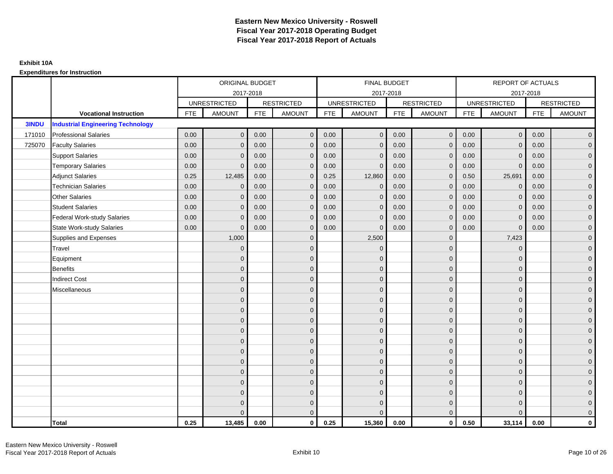|              |                                          |            | ORIGINAL BUDGET     |            |                   |            | <b>FINAL BUDGET</b> |            |                   |            | REPORT OF ACTUALS   |            |                   |
|--------------|------------------------------------------|------------|---------------------|------------|-------------------|------------|---------------------|------------|-------------------|------------|---------------------|------------|-------------------|
|              |                                          |            | 2017-2018           |            |                   |            | 2017-2018           |            |                   |            | 2017-2018           |            |                   |
|              |                                          |            | <b>UNRESTRICTED</b> |            | <b>RESTRICTED</b> |            | <b>UNRESTRICTED</b> |            | <b>RESTRICTED</b> |            | <b>UNRESTRICTED</b> |            | <b>RESTRICTED</b> |
|              | <b>Vocational Instruction</b>            | <b>FTE</b> | <b>AMOUNT</b>       | <b>FTE</b> | <b>AMOUNT</b>     | <b>FTE</b> | <b>AMOUNT</b>       | <b>FTE</b> | <b>AMOUNT</b>     | <b>FTE</b> | <b>AMOUNT</b>       | <b>FTE</b> | <b>AMOUNT</b>     |
| <b>3INDU</b> | <b>Industrial Engineering Technology</b> |            |                     |            |                   |            |                     |            |                   |            |                     |            |                   |
| 171010       | <b>Professional Salaries</b>             | 0.00       | $\Omega$            | 0.00       | $\overline{0}$    | 0.00       | $\overline{0}$      | 0.00       | $\mathbf{0}$      | 0.00       | $\overline{0}$      | 0.00       | $\overline{0}$    |
| 725070       | <b>Faculty Salaries</b>                  | 0.00       | $\mathbf 0$         | 0.00       | $\mathbf 0$       | 0.00       | $\mathbf{0}$        | 0.00       | $\mathbf{0}$      | 0.00       | $\mathbf 0$         | 0.00       | $\overline{0}$    |
|              | <b>Support Salaries</b>                  | 0.00       | $\Omega$            | 0.00       | $\mathbf 0$       | 0.00       | $\mathbf{0}$        | 0.00       | $\mathbf 0$       | 0.00       | $\mathbf 0$         | 0.00       | $\overline{0}$    |
|              | <b>Temporary Salaries</b>                | 0.00       | $\Omega$            | 0.00       | $\overline{0}$    | 0.00       | $\Omega$            | 0.00       | $\Omega$          | 0.00       | $\mathbf{0}$        | 0.00       | $\overline{0}$    |
|              | <b>Adjunct Salaries</b>                  | 0.25       | 12,485              | 0.00       | $\Omega$          | 0.25       | 12,860              | 0.00       | $\Omega$          | 0.50       | 25,691              | 0.00       | $\overline{0}$    |
|              | <b>Technician Salaries</b>               | 0.00       | $\Omega$            | 0.00       | $\mathbf{0}$      | 0.00       | $\mathbf{0}$        | 0.00       | $\mathbf{0}$      | 0.00       | $\mathbf 0$         | 0.00       | $\mathbf{0}$      |
|              | <b>Other Salaries</b>                    | 0.00       | $\mathbf{0}$        | 0.00       | $\overline{0}$    | 0.00       | $\mathbf{0}$        | 0.00       | $\Omega$          | 0.00       | $\mathbf 0$         | 0.00       | $\overline{0}$    |
|              | <b>Student Salaries</b>                  | 0.00       | $\mathbf{0}$        | 0.00       | $\overline{0}$    | 0.00       | $\mathbf{0}$        | 0.00       | $\mathbf{0}$      | 0.00       | $\mathbf 0$         | 0.00       | $\overline{0}$    |
|              | <b>Federal Work-study Salaries</b>       | 0.00       | $\mathbf{0}$        | 0.00       | $\mathbf 0$       | 0.00       | $\mathbf{0}$        | 0.00       | $\Omega$          | 0.00       | $\mathbf 0$         | 0.00       | $\overline{0}$    |
|              | <b>State Work-study Salaries</b>         | 0.00       | $\mathbf{0}$        | 0.00       | $\overline{0}$    | 0.00       | $\mathbf{0}$        | 0.00       | $\mathbf{0}$      | 0.00       | $\mathbf{0}$        | 0.00       | $\overline{0}$    |
|              | Supplies and Expenses                    |            | 1,000               |            | $\mathbf{0}$      |            | 2,500               |            | $\mathbf 0$       |            | 7,423               |            | $\overline{0}$    |
|              | Travel                                   |            | $\Omega$            |            | $\mathbf 0$       |            | $\Omega$            |            | $\Omega$          |            | $\mathbf{0}$        |            | $\overline{0}$    |
|              | Equipment                                |            | $\Omega$            |            | $\mathbf 0$       |            | $\mathbf{0}$        |            | $\mathbf 0$       |            | $\mathbf{0}$        |            | $\overline{0}$    |
|              | <b>Benefits</b>                          |            | $\mathbf{0}$        |            | $\mathbf 0$       |            | $\Omega$            |            | $\mathbf 0$       |            | $\mathbf{0}$        |            | $\overline{0}$    |
|              | <b>Indirect Cost</b>                     |            | $\Omega$            |            | $\overline{0}$    |            | $\Omega$            |            | $\Omega$          |            | $\Omega$            |            | $\overline{0}$    |
|              | Miscellaneous                            |            | $\Omega$            |            | $\mathbf 0$       |            | $\mathbf{0}$        |            | $\Omega$          |            | $\mathbf{0}$        |            | $\mathbf{0}$      |
|              |                                          |            | $\Omega$            |            | $\mathbf 0$       |            | $\mathbf{0}$        |            | $\mathbf{0}$      |            | $\mathbf{0}$        |            | $\overline{0}$    |
|              |                                          |            | $\Omega$            |            | $\mathbf 0$       |            | $\Omega$            |            | $\mathbf{0}$      |            | $\mathbf{0}$        |            | $\overline{0}$    |
|              |                                          |            | $\Omega$            |            | $\mathbf 0$       |            | $\mathbf{0}$        |            | $\mathbf 0$       |            | $\mathbf{0}$        |            | $\overline{0}$    |
|              |                                          |            | $\Omega$            |            | $\mathbf 0$       |            | $\Omega$            |            | $\mathbf{0}$      |            | $\mathbf{0}$        |            | $\overline{0}$    |
|              |                                          |            | $\Omega$            |            | $\mathbf 0$       |            | $\Omega$            |            | $\overline{0}$    |            | $\Omega$            |            | $\mathbf{0}$      |
|              |                                          |            | $\Omega$            |            | $\mathbf 0$       |            | $\Omega$            |            | $\mathbf{0}$      |            | $\Omega$            |            | $\overline{0}$    |
|              |                                          |            | $\Omega$            |            | $\mathbf 0$       |            | $\mathbf{0}$        |            | $\mathbf{0}$      |            | $\mathbf{0}$        |            | $\overline{0}$    |
|              |                                          |            | $\Omega$            |            | $\mathbf 0$       |            | $\Omega$            |            | $\mathbf 0$       |            | $\mathbf{0}$        |            | $\overline{0}$    |
|              |                                          |            | $\Omega$            |            | $\overline{0}$    |            | $\Omega$            |            | $\Omega$          |            | $\Omega$            |            | $\overline{0}$    |
|              |                                          |            | $\Omega$            |            | $\mathbf 0$       |            | $\mathbf{0}$        |            | $\mathbf 0$       |            | $\mathbf{0}$        |            | $\mathbf{0}$      |
|              |                                          |            | $\Omega$            |            | $\mathbf 0$       |            | $\Omega$            |            | $\mathbf{0}$      |            | $\mathbf{0}$        |            | $\mathbf{0}$      |
|              |                                          |            |                     |            | $\overline{0}$    |            | $\Omega$            |            | $\mathbf{0}$      |            | $\Omega$            |            | $\overline{0}$    |
|              | <b>Total</b>                             | 0.25       | 13,485              | 0.00       | $\mathbf{0}$      | 0.25       | 15,360              | 0.00       | $\mathbf{0}$      | 0.50       | 33,114              | 0.00       | $\mathbf 0$       |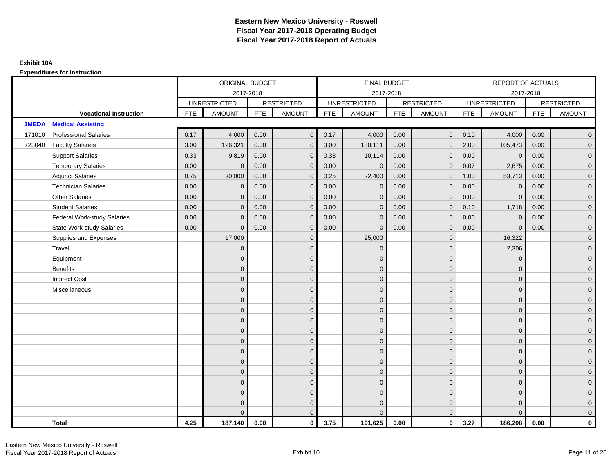|              |                                    |            | ORIGINAL BUDGET     |            |                   |            | FINAL BUDGET        |            |                   |            | <b>REPORT OF ACTUALS</b> |            |                     |
|--------------|------------------------------------|------------|---------------------|------------|-------------------|------------|---------------------|------------|-------------------|------------|--------------------------|------------|---------------------|
|              |                                    |            |                     | 2017-2018  |                   |            | 2017-2018           |            |                   |            | 2017-2018                |            |                     |
|              |                                    |            | <b>UNRESTRICTED</b> |            | <b>RESTRICTED</b> |            | <b>UNRESTRICTED</b> |            | <b>RESTRICTED</b> |            | <b>UNRESTRICTED</b>      |            | <b>RESTRICTED</b>   |
|              | <b>Vocational Instruction</b>      | <b>FTE</b> | <b>AMOUNT</b>       | <b>FTE</b> | <b>AMOUNT</b>     | <b>FTE</b> | <b>AMOUNT</b>       | <b>FTE</b> | <b>AMOUNT</b>     | <b>FTE</b> | <b>AMOUNT</b>            | <b>FTE</b> | <b>AMOUNT</b>       |
| <b>3MEDA</b> | <b>Medical Assisting</b>           |            |                     |            |                   |            |                     |            |                   |            |                          |            |                     |
| 171010       | <b>Professional Salaries</b>       | 0.17       | 4,000               | 0.00       | $\overline{0}$    | 0.17       | 4,000               | 0.00       | $\overline{0}$    | 0.10       | 4,000                    | 0.00       | $\overline{0}$      |
| 723040       | <b>Faculty Salaries</b>            | 3.00       | 126,321             | 0.00       | $\overline{0}$    | 3.00       | 130,111             | 0.00       | $\Omega$          | 2.00       | 105,473                  | 0.00       | $\overline{0}$      |
|              | <b>Support Salaries</b>            | 0.33       | 9,819               | 0.00       | $\mathbf 0$       | 0.33       | 10,114              | 0.00       | $\mathbf{0}$      | 0.00       | $\overline{0}$           | 0.00       | $\overline{0}$      |
|              | <b>Temporary Salaries</b>          | 0.00       | $\mathbf{0}$        | 0.00       | $\mathbf 0$       | 0.00       | $\mathbf{0}$        | 0.00       | 0                 | 0.07       | 2,675                    | 0.00       | $\overline{0}$      |
|              | <b>Adjunct Salaries</b>            | 0.75       | 30,000              | 0.00       | $\overline{0}$    | 0.25       | 22,400              | 0.00       | $\mathbf{0}$      | 1.00       | 53,713                   | 0.00       | $\overline{0}$      |
|              | <b>Technician Salaries</b>         | 0.00       | $\Omega$            | 0.00       | $\overline{0}$    | 0.00       | $\Omega$            | 0.00       | $\Omega$          | 0.00       | $\mathbf{0}$             | 0.00       | $\overline{0}$      |
|              | <b>Other Salaries</b>              | 0.00       | $\mathbf{0}$        | 0.00       | $\mathbf 0$       | 0.00       | $\Omega$            | 0.00       | $\mathbf{0}$      | 0.00       | $\mathbf 0$              | 0.00       | $\overline{0}$      |
|              | <b>Student Salaries</b>            | 0.00       | $\mathbf{0}$        | 0.00       | $\mathbf 0$       | 0.00       | $\mathbf{0}$        | 0.00       | $\mathbf{0}$      | 0.10       | 1,718                    | 0.00       | $\overline{0}$      |
|              | <b>Federal Work-study Salaries</b> | 0.00       | $\mathbf{0}$        | 0.00       | $\overline{0}$    | 0.00       | $\Omega$            | 0.00       | $\Omega$          | 0.00       | $\mathbf{0}$             | 0.00       | $\overline{0}$      |
|              | <b>State Work-study Salaries</b>   | 0.00       | $\mathbf{0}$        | 0.00       | $\overline{0}$    | 0.00       | $\Omega$            | 0.00       | $\Omega$          | 0.00       | $\Omega$                 | 0.00       | $\overline{0}$      |
|              | Supplies and Expenses              |            | 17,000              |            | $\mathbf 0$       |            | 25,000              |            | $\mathbf{0}$      |            | 16,322                   |            | $\mathbf{0}$        |
|              | Travel                             |            | $\mathbf{0}$        |            | $\mathbf 0$       |            | $\mathbf{0}$        |            | $\mathbf{0}$      |            | 2,306                    |            | $\mathbf{0}$        |
|              | Equipment                          |            | $\Omega$            |            | $\mathbf 0$       |            | $\Omega$            |            | $\mathbf{0}$      |            | $\mathbf{0}$             |            | $\overline{0}$      |
|              | <b>Benefits</b>                    |            | $\mathbf{0}$        |            | $\mathbf 0$       |            | $\mathbf{0}$        |            | $\mathbf 0$       |            | $\mathbf 0$              |            | $\overline{0}$      |
|              | <b>Indirect Cost</b>               |            | $\Omega$            |            | $\mathbf 0$       |            | $\Omega$            |            | $\mathbf{0}$      |            | $\mathbf{0}$             |            | $\mathbf{0}$        |
|              | Miscellaneous                      |            | $\Omega$            |            | $\overline{0}$    |            | $\Omega$            |            | $\mathbf{0}$      |            | $\mathbf{0}$             |            | $\mathsf{O}\xspace$ |
|              |                                    |            | $\Omega$            |            | $\mathbf 0$       |            | $\Omega$            |            | $\mathbf{0}$      |            | $\Omega$                 |            | $\overline{0}$      |
|              |                                    |            | $\overline{0}$      |            | $\mathbf 0$       |            | $\mathbf{0}$        |            | $\mathbf 0$       |            | $\mathbf 0$              |            | $\mathsf{O}\xspace$ |
|              |                                    |            | $\mathbf{0}$        |            | $\mathbf 0$       |            | $\Omega$            |            | $\mathbf{0}$      |            | $\mathbf{0}$             |            | $\overline{0}$      |
|              |                                    |            | $\Omega$            |            | $\mathbf 0$       |            | $\Omega$            |            | $\mathbf{0}$      |            | $\mathbf{0}$             |            | $\overline{0}$      |
|              |                                    |            | $\Omega$            |            | $\overline{0}$    |            | $\Omega$            |            | $\mathbf{0}$      |            | $\Omega$                 |            | $\overline{0}$      |
|              |                                    |            | $\mathbf{0}$        |            | $\mathbf 0$       |            | $\Omega$            |            | $\mathbf 0$       |            | $\mathbf{0}$             |            | $\overline{0}$      |
|              |                                    |            | $\mathbf{0}$        |            | $\mathbf 0$       |            | $\Omega$            |            | $\mathbf{0}$      |            | $\mathbf{0}$             |            | $\overline{0}$      |
|              |                                    |            | $\mathbf{0}$        |            | $\mathbf 0$       |            | $\Omega$            |            | $\mathbf{0}$      |            | $\mathbf{0}$             |            | $\overline{0}$      |
|              |                                    |            | $\Omega$            |            | $\mathbf 0$       |            | $\Omega$            |            | $\mathbf{0}$      |            | $\Omega$                 |            | $\overline{0}$      |
|              |                                    |            | $\mathbf{0}$        |            | $\mathbf 0$       |            | $\Omega$            |            | $\mathbf 0$       |            | $\mathbf{0}$             |            | $\overline{0}$      |
|              |                                    |            | $\Omega$            |            | $\mathbf 0$       |            | $\Omega$            |            | $\mathbf 0$       |            | $\mathbf{0}$             |            | $\mathbf{0}$        |
|              |                                    |            | $\Omega$            |            | $\overline{0}$    |            |                     |            | $\overline{0}$    |            | $\Omega$                 |            | $\overline{0}$      |
|              | <b>Total</b>                       | 4.25       | 187,140             | 0.00       | $\mathbf{0}$      | 3.75       | 191,625             | 0.00       | $\mathbf{0}$      | 3.27       | 186,208                  | 0.00       | $\mathbf 0$         |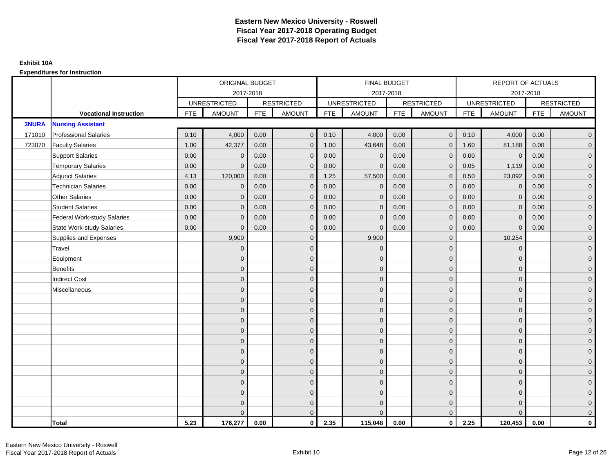|              |                                    |            | ORIGINAL BUDGET     |            |                     |            | FINAL BUDGET        |            |                   |            | <b>REPORT OF ACTUALS</b> |            |                     |
|--------------|------------------------------------|------------|---------------------|------------|---------------------|------------|---------------------|------------|-------------------|------------|--------------------------|------------|---------------------|
|              |                                    |            |                     | 2017-2018  |                     |            | 2017-2018           |            |                   |            | 2017-2018                |            |                     |
|              |                                    |            | <b>UNRESTRICTED</b> |            | <b>RESTRICTED</b>   |            | <b>UNRESTRICTED</b> |            | <b>RESTRICTED</b> |            | <b>UNRESTRICTED</b>      |            | <b>RESTRICTED</b>   |
|              | <b>Vocational Instruction</b>      | <b>FTE</b> | <b>AMOUNT</b>       | <b>FTE</b> | <b>AMOUNT</b>       | <b>FTE</b> | <b>AMOUNT</b>       | <b>FTE</b> | <b>AMOUNT</b>     | <b>FTE</b> | <b>AMOUNT</b>            | <b>FTE</b> | <b>AMOUNT</b>       |
| <b>3NURA</b> | <b>Nursing Assistant</b>           |            |                     |            |                     |            |                     |            |                   |            |                          |            |                     |
| 171010       | <b>Professional Salaries</b>       | 0.10       | 4,000               | 0.00       | $\overline{0}$      | 0.10       | 4,000               | 0.00       | $\mathbf{0}$      | 0.10       | 4,000                    | 0.00       | $\overline{0}$      |
| 723070       | <b>Faculty Salaries</b>            | 1.00       | 42,377              | 0.00       | $\mathbf 0$         | 1.00       | 43,648              | 0.00       | $\Omega$          | 1.60       | 81,188                   | 0.00       | $\overline{0}$      |
|              | <b>Support Salaries</b>            | 0.00       | $\mathbf 0$         | 0.00       | $\mathbf 0$         | 0.00       | $\mathbf{0}$        | 0.00       | $\mathbf{0}$      | 0.00       | $\overline{0}$           | 0.00       | $\overline{0}$      |
|              | <b>Temporary Salaries</b>          | 0.00       | $\mathbf{0}$        | 0.00       | $\mathbf 0$         | 0.00       | $\Omega$            | 0.00       | 0                 | 0.05       | 1,119                    | 0.00       | $\overline{0}$      |
|              | <b>Adjunct Salaries</b>            | 4.13       | 120,000             | 0.00       | $\overline{0}$      | 1.25       | 57,500              | 0.00       | $\mathbf{0}$      | 0.50       | 23,892                   | 0.00       | $\overline{0}$      |
|              | <b>Technician Salaries</b>         | 0.00       | $\Omega$            | 0.00       | $\overline{0}$      | 0.00       | $\Omega$            | 0.00       | $\Omega$          | 0.00       | $\mathbf{0}$             | 0.00       | $\overline{0}$      |
|              | <b>Other Salaries</b>              | 0.00       | $\mathbf{0}$        | 0.00       | $\mathbf 0$         | 0.00       | $\mathbf{0}$        | 0.00       | $\mathbf{0}$      | 0.00       | $\mathbf 0$              | 0.00       | $\overline{0}$      |
|              | <b>Student Salaries</b>            | 0.00       | $\mathbf{0}$        | 0.00       | $\mathbf 0$         | 0.00       | $\mathbf{0}$        | 0.00       | $\mathbf{0}$      | 0.00       | $\mathbf 0$              | 0.00       | $\overline{0}$      |
|              | <b>Federal Work-study Salaries</b> | 0.00       | $\mathbf{0}$        | 0.00       | $\overline{0}$      | 0.00       | $\Omega$            | 0.00       | $\Omega$          | 0.00       | $\mathbf{0}$             | 0.00       | $\overline{0}$      |
|              | <b>State Work-study Salaries</b>   | 0.00       | $\mathbf{0}$        | 0.00       | $\overline{0}$      | 0.00       | $\Omega$            | 0.00       | $\Omega$          | 0.00       | $\Omega$                 | 0.00       | $\overline{0}$      |
|              | Supplies and Expenses              |            | 9,900               |            | $\mathbf 0$         |            | 9,900               |            | $\mathbf{0}$      |            | 10,254                   |            | $\mathbf{0}$        |
|              | Travel                             |            | $\mathbf{0}$        |            | $\mathbf 0$         |            | $\Omega$            |            | $\mathbf{0}$      |            | $\mathbf 0$              |            | $\mathbf{0}$        |
|              | Equipment                          |            | $\mathbf{0}$        |            | $\mathbf 0$         |            | $\Omega$            |            | $\mathbf{0}$      |            | $\mathbf{0}$             |            | $\overline{0}$      |
|              | <b>Benefits</b>                    |            | $\mathbf{0}$        |            | $\mathbf 0$         |            | $\mathbf{0}$        |            | $\mathbf 0$       |            | $\mathbf 0$              |            | $\overline{0}$      |
|              | <b>Indirect Cost</b>               |            | $\mathbf{0}$        |            | $\mathbf 0$         |            | $\Omega$            |            | $\mathbf{0}$      |            | $\mathbf{0}$             |            | $\mathbf{0}$        |
|              | Miscellaneous                      |            | $\Omega$            |            | $\mathbf 0$         |            | $\Omega$            |            | $\mathbf{0}$      |            | $\mathbf{0}$             |            | $\mathsf{O}\xspace$ |
|              |                                    |            | $\Omega$            |            | $\mathbf 0$         |            | $\Omega$            |            | $\mathbf{0}$      |            | $\Omega$                 |            | $\overline{0}$      |
|              |                                    |            | $\overline{0}$      |            | $\mathsf{O}\xspace$ |            | $\mathbf{0}$        |            | $\mathbf 0$       |            | $\mathbf 0$              |            | $\mathsf{O}\xspace$ |
|              |                                    |            | $\mathbf{0}$        |            | $\mathbf 0$         |            | $\Omega$            |            | $\mathbf{0}$      |            | $\mathbf{0}$             |            | $\overline{0}$      |
|              |                                    |            | $\Omega$            |            | $\mathbf 0$         |            | $\Omega$            |            | $\mathbf{0}$      |            | $\mathbf{0}$             |            | $\overline{0}$      |
|              |                                    |            | $\Omega$            |            | $\overline{0}$      |            | $\Omega$            |            | $\mathbf{0}$      |            | $\Omega$                 |            | $\overline{0}$      |
|              |                                    |            | $\mathbf{0}$        |            | $\overline{0}$      |            | $\Omega$            |            | $\mathbf 0$       |            | $\mathbf{0}$             |            | $\overline{0}$      |
|              |                                    |            | $\mathbf{0}$        |            | $\mathbf 0$         |            | $\Omega$            |            | $\mathbf{0}$      |            | $\mathbf{0}$             |            | $\overline{0}$      |
|              |                                    |            | $\mathbf{0}$        |            | $\mathbf 0$         |            | $\Omega$            |            | $\mathbf{0}$      |            | $\mathbf{0}$             |            | $\overline{0}$      |
|              |                                    |            | $\Omega$            |            | $\mathbf 0$         |            | $\Omega$            |            | $\mathbf{0}$      |            | $\Omega$                 |            | $\overline{0}$      |
|              |                                    |            | $\mathbf{0}$        |            | $\mathbf 0$         |            | $\Omega$            |            | $\mathbf 0$       |            | $\mathbf{0}$             |            | $\overline{0}$      |
|              |                                    |            | $\mathbf{0}$        |            | $\mathbf 0$         |            | $\Omega$            |            | $\mathbf 0$       |            | $\mathbf{0}$             |            | $\mathbf{0}$        |
|              |                                    |            | $\Omega$            |            | $\overline{0}$      |            |                     |            | $\mathbf{0}$      |            | $\Omega$                 |            | $\overline{0}$      |
|              | <b>Total</b>                       | 5.23       | 176,277             | 0.00       | $\mathbf{0}$        | 2.35       | 115,048             | 0.00       | $\mathbf{0}$      | 2.25       | 120,453                  | 0.00       | $\mathbf 0$         |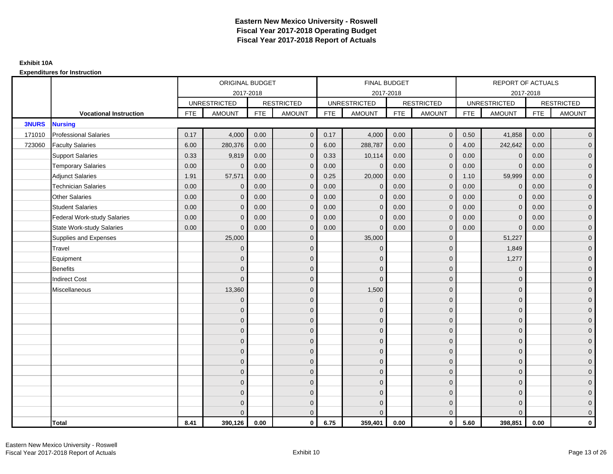|              |                                    |            | ORIGINAL BUDGET     |            |                   |            | <b>FINAL BUDGET</b> |            |                   |            | REPORT OF ACTUALS   |            |                   |
|--------------|------------------------------------|------------|---------------------|------------|-------------------|------------|---------------------|------------|-------------------|------------|---------------------|------------|-------------------|
|              |                                    |            | 2017-2018           |            |                   |            | 2017-2018           |            |                   |            | 2017-2018           |            |                   |
|              |                                    |            | <b>UNRESTRICTED</b> |            | <b>RESTRICTED</b> |            | <b>UNRESTRICTED</b> |            | <b>RESTRICTED</b> |            | <b>UNRESTRICTED</b> |            | <b>RESTRICTED</b> |
|              | <b>Vocational Instruction</b>      | <b>FTE</b> | <b>AMOUNT</b>       | <b>FTE</b> | <b>AMOUNT</b>     | <b>FTE</b> | <b>AMOUNT</b>       | <b>FTE</b> | <b>AMOUNT</b>     | <b>FTE</b> | <b>AMOUNT</b>       | <b>FTE</b> | <b>AMOUNT</b>     |
| <b>3NURS</b> | <b>Nursing</b>                     |            |                     |            |                   |            |                     |            |                   |            |                     |            |                   |
| 171010       | <b>Professional Salaries</b>       | 0.17       | 4,000               | 0.00       | $\overline{0}$    | 0.17       | 4,000               | 0.00       | $\mathbf{0}$      | 0.50       | 41,858              | 0.00       | $\overline{0}$    |
| 723060       | <b>Faculty Salaries</b>            | 6.00       | 280,376             | 0.00       | $\mathbf 0$       | 6.00       | 288,787             | 0.00       | $\mathbf{0}$      | 4.00       | 242,642             | 0.00       | $\overline{0}$    |
|              | <b>Support Salaries</b>            | 0.33       | 9,819               | 0.00       | $\mathbf 0$       | 0.33       | 10,114              | 0.00       | $\Omega$          | 0.00       | $\mathbf 0$         | 0.00       | $\overline{0}$    |
|              | <b>Temporary Salaries</b>          | 0.00       | $\Omega$            | 0.00       | $\overline{0}$    | 0.00       | $\Omega$            | 0.00       | $\Omega$          | 0.00       | $\mathbf{0}$        | 0.00       | $\overline{0}$    |
|              | <b>Adjunct Salaries</b>            | 1.91       | 57,571              | 0.00       | $\overline{0}$    | 0.25       | 20,000              | 0.00       | $\Omega$          | 1.10       | 59,999              | 0.00       | $\overline{0}$    |
|              | <b>Technician Salaries</b>         | 0.00       | $\mathbf 0$         | 0.00       | $\mathbf{0}$      | 0.00       | $\mathbf{0}$        | 0.00       | $\mathbf{0}$      | 0.00       | $\mathbf 0$         | 0.00       | $\mathbf{0}$      |
|              | <b>Other Salaries</b>              | 0.00       | $\mathbf{0}$        | 0.00       | $\overline{0}$    | 0.00       | $\mathbf{0}$        | 0.00       | $\Omega$          | 0.00       | $\overline{0}$      | 0.00       | $\overline{0}$    |
|              | <b>Student Salaries</b>            | 0.00       | $\mathbf{0}$        | 0.00       | $\overline{0}$    | 0.00       | $\mathbf{0}$        | 0.00       | $\mathbf{0}$      | 0.00       | $\mathbf 0$         | 0.00       | $\overline{0}$    |
|              | <b>Federal Work-study Salaries</b> | 0.00       | $\mathbf{0}$        | 0.00       | $\mathbf 0$       | 0.00       | $\mathbf{0}$        | 0.00       | $\Omega$          | 0.00       | $\mathbf 0$         | 0.00       | $\overline{0}$    |
|              | <b>State Work-study Salaries</b>   | 0.00       | $\mathbf{0}$        | 0.00       | $\overline{0}$    | 0.00       | $\mathbf{0}$        | 0.00       | $\mathbf{0}$      | 0.00       | $\mathbf{0}$        | 0.00       | $\overline{0}$    |
|              | Supplies and Expenses              |            | 25,000              |            | $\mathbf{0}$      |            | 35,000              |            | $\mathbf{0}$      |            | 51,227              |            | $\overline{0}$    |
|              | Travel                             |            | $\Omega$            |            | $\mathbf 0$       |            | $\mathbf{0}$        |            | $\mathbf{0}$      |            | 1,849               |            | $\overline{0}$    |
|              | Equipment                          |            | $\Omega$            |            | $\mathbf 0$       |            | $\mathbf{0}$        |            | $\mathbf 0$       |            | 1,277               |            | $\overline{0}$    |
|              | <b>Benefits</b>                    |            | $\Omega$            |            | $\mathbf 0$       |            | $\Omega$            |            | $\mathbf 0$       |            | $\mathbf{0}$        |            | $\overline{0}$    |
|              | <b>Indirect Cost</b>               |            | $\Omega$            |            | $\overline{0}$    |            | $\Omega$            |            | $\Omega$          |            | $\Omega$            |            | $\overline{0}$    |
|              | Miscellaneous                      |            | 13,360              |            | $\mathbf 0$       |            | 1,500               |            | $\Omega$          |            | $\mathbf{0}$        |            | $\mathbf{0}$      |
|              |                                    |            | $\mathbf{0}$        |            | $\mathbf 0$       |            | $\mathbf{0}$        |            | $\mathbf{0}$      |            | $\mathbf{0}$        |            | $\overline{0}$    |
|              |                                    |            | $\Omega$            |            | $\mathbf 0$       |            | $\Omega$            |            | $\mathbf{0}$      |            | $\mathbf{0}$        |            | $\overline{0}$    |
|              |                                    |            | $\Omega$            |            | $\mathbf 0$       |            | $\mathbf{0}$        |            | $\mathbf 0$       |            | $\mathbf{0}$        |            | $\overline{0}$    |
|              |                                    |            | $\Omega$            |            | $\mathbf 0$       |            | $\Omega$            |            | $\mathbf{0}$      |            | $\mathbf{0}$        |            | $\mathbf{0}$      |
|              |                                    |            | $\Omega$            |            | $\mathbf 0$       |            | $\Omega$            |            | $\overline{0}$    |            | $\Omega$            |            | $\mathbf{0}$      |
|              |                                    |            | $\Omega$            |            | $\mathbf 0$       |            | $\Omega$            |            | $\mathbf{0}$      |            | $\Omega$            |            | $\overline{0}$    |
|              |                                    |            | $\Omega$            |            | $\mathbf 0$       |            | $\mathbf{0}$        |            | $\mathbf{0}$      |            | $\mathbf{0}$        |            | $\overline{0}$    |
|              |                                    |            | $\mathbf{0}$        |            | $\mathbf 0$       |            | $\Omega$            |            | $\mathbf 0$       |            | $\mathbf{0}$        |            | $\overline{0}$    |
|              |                                    |            | $\Omega$            |            | $\mathbf 0$       |            | $\Omega$            |            | $\mathbf{0}$      |            | $\Omega$            |            | $\overline{0}$    |
|              |                                    |            | $\Omega$            |            | $\mathbf 0$       |            | $\mathbf{0}$        |            | $\mathbf 0$       |            | $\mathbf{0}$        |            | $\mathbf{0}$      |
|              |                                    |            | $\Omega$            |            | $\mathbf 0$       |            | $\mathbf{0}$        |            | $\mathbf{0}$      |            | $\mathbf{0}$        |            | $\mathbf{0}$      |
|              |                                    |            | $\Omega$            |            | $\overline{0}$    |            | $\Omega$            |            | $\mathbf{0}$      |            | $\Omega$            |            | $\overline{0}$    |
|              | <b>Total</b>                       | 8.41       | 390.126             | 0.00       | $\mathbf{0}$      | 6.75       | 359,401             | 0.00       | $\mathbf{0}$      | 5.60       | 398,851             | 0.00       | $\mathbf 0$       |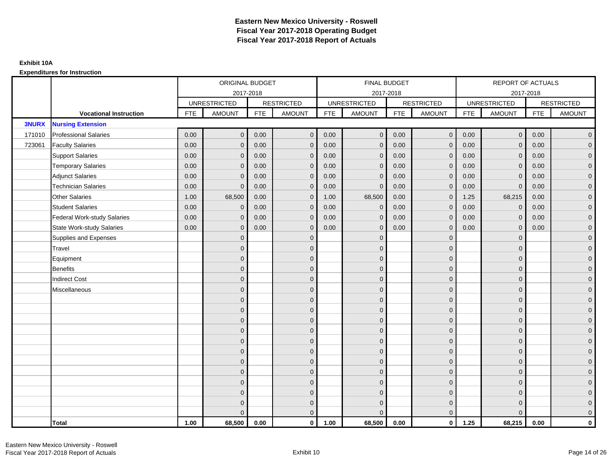|              |                                    |            | ORIGINAL BUDGET     |            |                     |            | FINAL BUDGET        |            |                   |            | <b>REPORT OF ACTUALS</b> |            |                     |
|--------------|------------------------------------|------------|---------------------|------------|---------------------|------------|---------------------|------------|-------------------|------------|--------------------------|------------|---------------------|
|              |                                    |            |                     | 2017-2018  |                     |            | 2017-2018           |            |                   |            |                          | 2017-2018  |                     |
|              |                                    |            | <b>UNRESTRICTED</b> |            | <b>RESTRICTED</b>   |            | <b>UNRESTRICTED</b> |            | <b>RESTRICTED</b> |            | <b>UNRESTRICTED</b>      |            | <b>RESTRICTED</b>   |
|              | <b>Vocational Instruction</b>      | <b>FTE</b> | <b>AMOUNT</b>       | <b>FTE</b> | <b>AMOUNT</b>       | <b>FTE</b> | <b>AMOUNT</b>       | <b>FTE</b> | <b>AMOUNT</b>     | <b>FTE</b> | <b>AMOUNT</b>            | <b>FTE</b> | <b>AMOUNT</b>       |
| <b>3NURX</b> | <b>Nursing Extension</b>           |            |                     |            |                     |            |                     |            |                   |            |                          |            |                     |
| 171010       | <b>Professional Salaries</b>       | 0.00       | $\mathbf{0}$        | 0.00       | $\overline{0}$      | 0.00       | $\mathbf{0}$        | 0.00       | $\overline{0}$    | 0.00       | $\overline{0}$           | 0.00       | $\overline{0}$      |
| 723061       | <b>Faculty Salaries</b>            | 0.00       | $\mathbf{0}$        | 0.00       | $\mathbf 0$         | 0.00       | $\Omega$            | 0.00       | $\Omega$          | 0.00       | $\overline{0}$           | 0.00       | $\overline{0}$      |
|              | <b>Support Salaries</b>            | 0.00       | $\mathbf 0$         | 0.00       | $\mathbf 0$         | 0.00       | $\mathbf{0}$        | 0.00       | $\mathbf{0}$      | 0.00       | $\overline{0}$           | 0.00       | $\overline{0}$      |
|              | <b>Temporary Salaries</b>          | 0.00       | $\mathbf 0$         | 0.00       | $\mathbf 0$         | 0.00       | $\mathbf{0}$        | 0.00       | $\overline{0}$    | 0.00       | $\mathbf 0$              | 0.00       | $\overline{0}$      |
|              | <b>Adjunct Salaries</b>            | 0.00       | $\mathbf{0}$        | 0.00       | $\overline{0}$      | 0.00       | $\Omega$            | 0.00       | $\mathbf{0}$      | 0.00       | $\mathbf{0}$             | 0.00       | $\overline{0}$      |
|              | <b>Technician Salaries</b>         | 0.00       | $\Omega$            | 0.00       | $\overline{0}$      | 0.00       | $\Omega$            | 0.00       | $\Omega$          | 0.00       | $\mathbf{0}$             | 0.00       | $\overline{0}$      |
|              | <b>Other Salaries</b>              | 1.00       | 68,500              | 0.00       | $\mathbf 0$         | 1.00       | 68,500              | 0.00       | $\mathbf{0}$      | 1.25       | 68,215                   | 0.00       | $\overline{0}$      |
|              | <b>Student Salaries</b>            | 0.00       | $\mathbf{0}$        | 0.00       | $\mathbf 0$         | 0.00       | $\mathbf 0$         | 0.00       | $\mathbf{0}$      | 0.00       | $\mathbf 0$              | 0.00       | $\overline{0}$      |
|              | <b>Federal Work-study Salaries</b> | 0.00       | $\mathbf{0}$        | 0.00       | $\overline{0}$      | 0.00       | $\Omega$            | 0.00       | $\Omega$          | 0.00       | $\mathbf{0}$             | 0.00       | $\overline{0}$      |
|              | <b>State Work-study Salaries</b>   | 0.00       | $\mathbf{0}$        | 0.00       | $\overline{0}$      | 0.00       | $\Omega$            | 0.00       | $\Omega$          | 0.00       | $\mathbf{0}$             | 0.00       | $\overline{0}$      |
|              | Supplies and Expenses              |            | $\mathbf{0}$        |            | $\mathbf 0$         |            | $\mathbf{0}$        |            | $\mathbf{0}$      |            | $\mathbf{0}$             |            | $\overline{0}$      |
|              | Travel                             |            | $\mathbf{0}$        |            | $\mathbf 0$         |            | $\Omega$            |            | $\mathbf{0}$      |            | $\mathbf{0}$             |            | $\mathbf{0}$        |
|              | Equipment                          |            | $\mathbf{0}$        |            | $\mathbf 0$         |            | $\Omega$            |            | $\mathbf{0}$      |            | $\mathbf{0}$             |            | $\overline{0}$      |
|              | <b>Benefits</b>                    |            | $\mathbf{0}$        |            | $\mathbf 0$         |            | $\mathbf{0}$        |            | $\mathbf 0$       |            | $\mathbf 0$              |            | $\mathbf{0}$        |
|              | <b>Indirect Cost</b>               |            | $\mathbf{0}$        |            | $\mathbf 0$         |            | $\Omega$            |            | $\mathbf{0}$      |            | $\mathbf{0}$             |            | $\mathbf{0}$        |
|              | Miscellaneous                      |            | $\Omega$            |            | $\mathbf 0$         |            | $\Omega$            |            | $\mathbf{0}$      |            | $\mathbf{0}$             |            | $\mathsf{O}\xspace$ |
|              |                                    |            | $\Omega$            |            | $\mathbf 0$         |            | $\Omega$            |            | $\mathbf{0}$      |            | $\Omega$                 |            | $\overline{0}$      |
|              |                                    |            | $\mathbf{0}$        |            | $\mathsf{O}\xspace$ |            | $\mathbf{0}$        |            | $\mathbf 0$       |            | $\mathbf 0$              |            | $\mathsf{O}\xspace$ |
|              |                                    |            | $\mathbf{0}$        |            | $\mathbf 0$         |            | $\Omega$            |            | $\mathbf{0}$      |            | $\mathbf{0}$             |            | $\overline{0}$      |
|              |                                    |            | $\Omega$            |            | $\mathbf 0$         |            | $\Omega$            |            | $\mathbf{0}$      |            | $\mathbf{0}$             |            | $\overline{0}$      |
|              |                                    |            | $\Omega$            |            | $\overline{0}$      |            | $\Omega$            |            | $\mathbf{0}$      |            | $\Omega$                 |            | $\overline{0}$      |
|              |                                    |            | $\mathbf{0}$        |            | $\mathbf 0$         |            | $\Omega$            |            | $\mathbf 0$       |            | $\mathbf{0}$             |            | $\overline{0}$      |
|              |                                    |            | $\mathbf{0}$        |            | $\mathbf 0$         |            | $\Omega$            |            | $\mathbf{0}$      |            | $\mathbf{0}$             |            | $\overline{0}$      |
|              |                                    |            | $\mathbf{0}$        |            | $\mathbf 0$         |            | $\Omega$            |            | $\mathbf{0}$      |            | $\mathbf{0}$             |            | $\overline{0}$      |
|              |                                    |            | $\Omega$            |            | $\mathbf 0$         |            | $\Omega$            |            | $\Omega$          |            | $\Omega$                 |            | $\overline{0}$      |
|              |                                    |            | $\mathbf{0}$        |            | $\mathbf 0$         |            | $\Omega$            |            | $\mathbf 0$       |            | $\mathbf{0}$             |            | $\mathbf{0}$        |
|              |                                    |            | $\mathbf{0}$        |            | $\mathbf 0$         |            | $\Omega$            |            | $\mathbf 0$       |            | $\mathbf{0}$             |            | $\mathbf{0}$        |
|              |                                    |            | $\Omega$            |            | $\overline{0}$      |            |                     |            | $\mathbf{0}$      |            | $\Omega$                 |            | $\overline{0}$      |
|              | <b>Total</b>                       | 1.00       | 68,500              | 0.00       | $\mathbf{0}$        | 1.00       | 68,500              | 0.00       | $\mathbf{0}$      | 1.25       | 68,215                   | 0.00       | $\mathbf 0$         |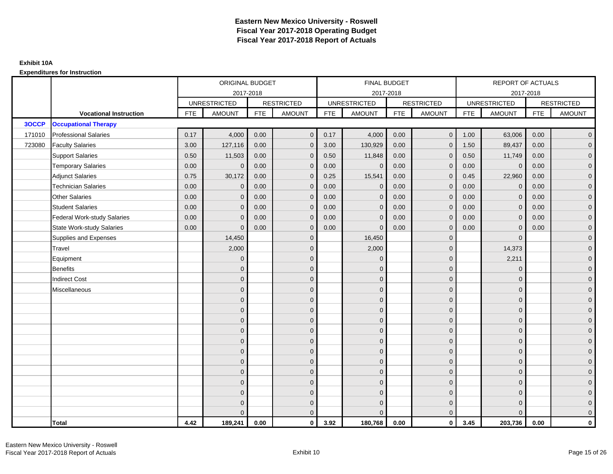|        |                                    |            | ORIGINAL BUDGET     |            |                   |            | <b>FINAL BUDGET</b> |            |                   |            | REPORT OF ACTUALS   |            |                   |
|--------|------------------------------------|------------|---------------------|------------|-------------------|------------|---------------------|------------|-------------------|------------|---------------------|------------|-------------------|
|        |                                    |            |                     | 2017-2018  |                   |            | 2017-2018           |            |                   |            | 2017-2018           |            |                   |
|        |                                    |            | <b>UNRESTRICTED</b> |            | <b>RESTRICTED</b> |            | <b>UNRESTRICTED</b> |            | <b>RESTRICTED</b> |            | <b>UNRESTRICTED</b> |            | <b>RESTRICTED</b> |
|        | <b>Vocational Instruction</b>      | <b>FTE</b> | <b>AMOUNT</b>       | <b>FTE</b> | <b>AMOUNT</b>     | <b>FTE</b> | <b>AMOUNT</b>       | <b>FTE</b> | <b>AMOUNT</b>     | <b>FTE</b> | <b>AMOUNT</b>       | <b>FTE</b> | <b>AMOUNT</b>     |
| 3OCCP  | <b>Occupational Therapy</b>        |            |                     |            |                   |            |                     |            |                   |            |                     |            |                   |
| 171010 | <b>Professional Salaries</b>       | 0.17       | 4,000               | 0.00       | $\mathbf{0}$      | 0.17       | 4,000               | 0.00       | $\mathbf{0}$      | 1.00       | 63,006              | 0.00       | $\overline{0}$    |
| 723080 | <b>Faculty Salaries</b>            | 3.00       | 127,116             | 0.00       | $\mathbf 0$       | 3.00       | 130,929             | 0.00       | $\mathbf{0}$      | 1.50       | 89,437              | 0.00       | $\overline{0}$    |
|        | <b>Support Salaries</b>            | 0.50       | 11,503              | 0.00       | $\mathbf 0$       | 0.50       | 11,848              | 0.00       | $\mathbf 0$       | 0.50       | 11,749              | 0.00       | $\overline{0}$    |
|        | <b>Temporary Salaries</b>          | 0.00       | $\Omega$            | 0.00       | $\mathbf{0}$      | 0.00       | $\Omega$            | 0.00       | $\Omega$          | 0.00       | $\mathbf 0$         | 0.00       | $\overline{0}$    |
|        | <b>Adjunct Salaries</b>            | 0.75       | 30,172              | 0.00       | $\Omega$          | 0.25       | 15,541              | 0.00       | $\Omega$          | 0.45       | 22,960              | 0.00       | $\overline{0}$    |
|        | <b>Technician Salaries</b>         | 0.00       | $\mathbf{0}$        | 0.00       | $\mathbf{0}$      | 0.00       | $\Omega$            | 0.00       | $\mathbf 0$       | 0.00       | $\mathbf 0$         | 0.00       | $\mathbf{0}$      |
|        | <b>Other Salaries</b>              | 0.00       | $\mathbf{0}$        | 0.00       | $\mathbf 0$       | 0.00       | $\Omega$            | 0.00       | $\Omega$          | 0.00       | $\overline{0}$      | 0.00       | $\overline{0}$    |
|        | <b>Student Salaries</b>            | 0.00       | $\mathbf{0}$        | 0.00       | $\overline{0}$    | 0.00       | $\Omega$            | 0.00       | $\mathbf{0}$      | 0.00       | $\mathbf 0$         | 0.00       | $\overline{0}$    |
|        | <b>Federal Work-study Salaries</b> | 0.00       | $\mathbf{0}$        | 0.00       | $\mathbf 0$       | 0.00       | $\Omega$            | 0.00       | $\Omega$          | 0.00       | $\mathbf 0$         | 0.00       | $\overline{0}$    |
|        | <b>State Work-study Salaries</b>   | 0.00       | $\mathbf{0}$        | 0.00       | $\overline{0}$    | 0.00       | $\Omega$            | 0.00       | $\mathbf 0$       | 0.00       | $\mathbf{0}$        | 0.00       | $\overline{0}$    |
|        | Supplies and Expenses              |            | 14,450              |            | $\overline{0}$    |            | 16,450              |            | $\overline{0}$    |            | $\mathbf{0}$        |            | $\overline{0}$    |
|        | Travel                             |            | 2,000               |            | $\overline{0}$    |            | 2,000               |            | $\mathbf{0}$      |            | 14,373              |            | $\overline{0}$    |
|        | Equipment                          |            | $\Omega$            |            | $\mathbf 0$       |            | $\Omega$            |            | $\mathbf 0$       |            | 2,211               |            | $\overline{0}$    |
|        | <b>Benefits</b>                    |            | $\Omega$            |            | $\mathbf 0$       |            | $\Omega$            |            | $\mathbf{0}$      |            | $\mathbf{0}$        |            | $\overline{0}$    |
|        | <b>Indirect Cost</b>               |            | $\Omega$            |            | $\overline{0}$    |            | $\Omega$            |            | $\Omega$          |            | $\Omega$            |            | $\overline{0}$    |
|        | Miscellaneous                      |            | $\Omega$            |            | $\mathbf 0$       |            | $\Omega$            |            | $\mathbf 0$       |            | $\mathbf{0}$        |            | $\mathbf{0}$      |
|        |                                    |            | $\mathbf{0}$        |            | $\mathbf 0$       |            | $\Omega$            |            | $\mathbf{0}$      |            | $\mathbf{0}$        |            | $\overline{0}$    |
|        |                                    |            | $\Omega$            |            | $\mathbf 0$       |            | $\Omega$            |            | $\mathbf{0}$      |            | $\mathbf{0}$        |            | $\overline{0}$    |
|        |                                    |            | $\mathbf{0}$        |            | $\mathbf 0$       |            | $\Omega$            |            | $\mathbf 0$       |            | $\mathbf{0}$        |            | $\overline{0}$    |
|        |                                    |            | $\Omega$            |            | $\mathbf 0$       |            | $\Omega$            |            | $\mathbf{0}$      |            | $\mathbf{0}$        |            | $\mathbf{0}$      |
|        |                                    |            | $\Omega$            |            | $\mathbf 0$       |            | $\Omega$            |            | $\mathbf{0}$      |            | $\Omega$            |            | $\mathbf{0}$      |
|        |                                    |            | $\Omega$            |            | $\mathbf 0$       |            | $\Omega$            |            | $\mathbf{0}$      |            | $\Omega$            |            | $\overline{0}$    |
|        |                                    |            | $\mathbf{0}$        |            | $\mathbf 0$       |            | $\Omega$            |            | $\mathbf{0}$      |            | $\mathbf{0}$        |            | $\overline{0}$    |
|        |                                    |            | $\mathbf{0}$        |            | $\mathbf 0$       |            | $\Omega$            |            | $\mathbf 0$       |            | $\mathbf{0}$        |            | $\overline{0}$    |
|        |                                    |            | $\Omega$            |            | $\mathbf 0$       |            | $\Omega$            |            | $\Omega$          |            | $\Omega$            |            | $\overline{0}$    |
|        |                                    |            | $\Omega$            |            | $\mathbf 0$       |            | $\Omega$            |            | $\mathbf{0}$      |            | $\mathbf{0}$        |            | $\mathbf{0}$      |
|        |                                    |            | $\Omega$            |            | $\mathbf 0$       |            | $\Omega$            |            | $\mathbf{0}$      |            | $\mathbf{0}$        |            | $\mathbf{0}$      |
|        |                                    |            | $\Omega$            |            | $\overline{0}$    |            |                     |            | $\mathbf{0}$      |            | $\Omega$            |            | $\overline{0}$    |
|        | <b>Total</b>                       | 4.42       | 189,241             | 0.00       | $\mathbf{0}$      | 3.92       | 180,768             | 0.00       | $\mathbf{0}$      | 3.45       | 203,736             | 0.00       | $\mathbf 0$       |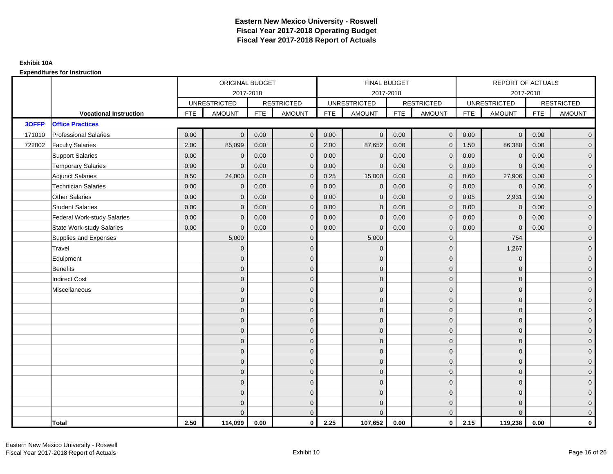|        |                                    |            | ORIGINAL BUDGET     |            |                   |            | <b>FINAL BUDGET</b> |            |                   |            | REPORT OF ACTUALS   |            |                   |
|--------|------------------------------------|------------|---------------------|------------|-------------------|------------|---------------------|------------|-------------------|------------|---------------------|------------|-------------------|
|        |                                    |            | 2017-2018           |            |                   |            | 2017-2018           |            |                   |            | 2017-2018           |            |                   |
|        |                                    |            | <b>UNRESTRICTED</b> |            | <b>RESTRICTED</b> |            | <b>UNRESTRICTED</b> |            | <b>RESTRICTED</b> |            | <b>UNRESTRICTED</b> |            | <b>RESTRICTED</b> |
|        | <b>Vocational Instruction</b>      | <b>FTE</b> | <b>AMOUNT</b>       | <b>FTE</b> | <b>AMOUNT</b>     | <b>FTE</b> | <b>AMOUNT</b>       | <b>FTE</b> | <b>AMOUNT</b>     | <b>FTE</b> | <b>AMOUNT</b>       | <b>FTE</b> | <b>AMOUNT</b>     |
| 3OFFP  | <b>Office Practices</b>            |            |                     |            |                   |            |                     |            |                   |            |                     |            |                   |
| 171010 | <b>Professional Salaries</b>       | 0.00       | $\Omega$            | 0.00       | $\overline{0}$    | 0.00       | $\overline{0}$      | 0.00       | $\overline{0}$    | 0.00       | $\overline{0}$      | 0.00       | $\overline{0}$    |
| 722002 | <b>Faculty Salaries</b>            | 2.00       | 85,099              | 0.00       | $\mathbf 0$       | 2.00       | 87,652              | 0.00       | $\mathbf{0}$      | 1.50       | 86,380              | 0.00       | $\overline{0}$    |
|        | <b>Support Salaries</b>            | 0.00       | $\mathbf 0$         | 0.00       | $\mathbf 0$       | 0.00       | $\mathbf 0$         | 0.00       | $\mathbf{0}$      | 0.00       | $\mathbf 0$         | 0.00       | $\overline{0}$    |
|        | <b>Temporary Salaries</b>          | 0.00       | $\Omega$            | 0.00       | $\overline{0}$    | 0.00       | $\Omega$            | 0.00       | $\Omega$          | 0.00       | $\mathbf{0}$        | 0.00       | $\overline{0}$    |
|        | <b>Adjunct Salaries</b>            | 0.50       | 24,000              | 0.00       | $\overline{0}$    | 0.25       | 15,000              | 0.00       | $\Omega$          | 0.60       | 27,906              | 0.00       | $\overline{0}$    |
|        | <b>Technician Salaries</b>         | 0.00       | $\Omega$            | 0.00       | $\mathbf{0}$      | 0.00       | $\mathbf{0}$        | 0.00       | $\mathbf{0}$      | 0.00       | $\mathbf 0$         | 0.00       | $\mathbf{0}$      |
|        | <b>Other Salaries</b>              | 0.00       | $\mathbf{0}$        | 0.00       | $\overline{0}$    | 0.00       | $\mathbf{0}$        | 0.00       | $\mathbf{0}$      | 0.05       | 2,931               | 0.00       | $\overline{0}$    |
|        | <b>Student Salaries</b>            | 0.00       | $\mathbf{0}$        | 0.00       | $\mathbf 0$       | 0.00       | $\mathbf{0}$        | 0.00       | $\mathbf{0}$      | 0.00       | $\mathbf 0$         | 0.00       | $\overline{0}$    |
|        | <b>Federal Work-study Salaries</b> | 0.00       | $\mathbf{0}$        | 0.00       | $\mathbf 0$       | 0.00       | $\mathbf{0}$        | 0.00       | $\Omega$          | 0.00       | $\mathbf 0$         | 0.00       | $\overline{0}$    |
|        | State Work-study Salaries          | 0.00       | $\mathbf{0}$        | 0.00       | $\overline{0}$    | 0.00       | $\mathbf{0}$        | 0.00       | $\mathbf{0}$      | 0.00       | $\mathbf{0}$        | 0.00       | $\overline{0}$    |
|        | Supplies and Expenses              |            | 5,000               |            | $\mathbf{0}$      |            | 5,000               |            | $\overline{0}$    |            | 754                 |            | $\mathbf{0}$      |
|        | Travel                             |            | $\Omega$            |            | $\mathbf 0$       |            | $\Omega$            |            | $\mathbf{0}$      |            | 1,267               |            | $\overline{0}$    |
|        | Equipment                          |            | $\Omega$            |            | $\mathbf 0$       |            | $\mathbf{0}$        |            | $\mathbf 0$       |            | $\mathbf 0$         |            | $\overline{0}$    |
|        | <b>Benefits</b>                    |            | $\mathbf{0}$        |            | $\mathbf 0$       |            | $\Omega$            |            | $\mathbf 0$       |            | $\mathbf{0}$        |            | $\overline{0}$    |
|        | <b>Indirect Cost</b>               |            | $\Omega$            |            | $\mathbf{0}$      |            | $\Omega$            |            | $\Omega$          |            | $\Omega$            |            | $\overline{0}$    |
|        | Miscellaneous                      |            | $\Omega$            |            | $\mathbf 0$       |            | $\mathbf{0}$        |            | $\Omega$          |            | $\mathbf{0}$        |            | $\mathbf{0}$      |
|        |                                    |            | $\Omega$            |            | $\mathbf 0$       |            | $\mathbf{0}$        |            | $\mathbf{0}$      |            | $\mathbf{0}$        |            | $\overline{0}$    |
|        |                                    |            | $\Omega$            |            | $\mathbf 0$       |            | $\mathbf{0}$        |            | $\mathbf{0}$      |            | $\mathbf{0}$        |            | $\overline{0}$    |
|        |                                    |            | $\Omega$            |            | $\mathbf 0$       |            | $\mathbf{0}$        |            | $\mathbf 0$       |            | $\mathbf{0}$        |            | $\overline{0}$    |
|        |                                    |            | $\Omega$            |            | $\mathbf 0$       |            | $\Omega$            |            | $\mathbf{0}$      |            | $\mathbf{0}$        |            | $\mathbf{0}$      |
|        |                                    |            | $\Omega$            |            | $\mathbf 0$       |            | $\Omega$            |            | $\overline{0}$    |            | $\Omega$            |            | $\mathbf{0}$      |
|        |                                    |            | $\Omega$            |            | $\mathbf 0$       |            | $\Omega$            |            | $\mathbf{0}$      |            | $\Omega$            |            | $\overline{0}$    |
|        |                                    |            | $\Omega$            |            | $\mathbf 0$       |            | $\mathbf{0}$        |            | $\mathbf 0$       |            | $\mathbf{0}$        |            | $\overline{0}$    |
|        |                                    |            | $\Omega$            |            | $\mathbf 0$       |            | $\Omega$            |            | $\mathbf 0$       |            | $\mathbf{0}$        |            | $\overline{0}$    |
|        |                                    |            | $\Omega$            |            | $\mathbf 0$       |            | $\Omega$            |            | $\mathbf{0}$      |            | $\Omega$            |            | $\overline{0}$    |
|        |                                    |            | $\Omega$            |            | $\mathbf 0$       |            | $\mathbf{0}$        |            | $\mathbf 0$       |            | $\mathbf{0}$        |            | $\mathbf{0}$      |
|        |                                    |            | $\Omega$            |            | $\mathbf 0$       |            | $\mathbf{0}$        |            | $\mathbf{0}$      |            | $\mathbf{0}$        |            | $\mathbf{0}$      |
|        |                                    |            |                     |            | $\overline{0}$    |            | $\Omega$            |            | $\mathbf{0}$      |            | $\Omega$            |            | $\overline{0}$    |
|        | <b>Total</b>                       | 2.50       | 114,099             | 0.00       | $\mathbf{0}$      | 2.25       | 107,652             | 0.00       | $\mathbf{0}$      | 2.15       | 119,238             | 0.00       | $\mathbf 0$       |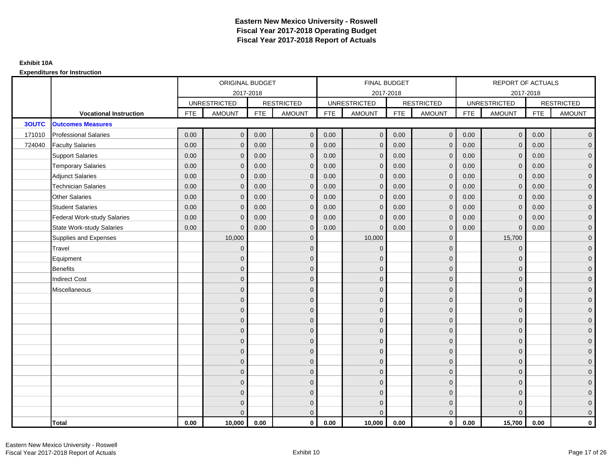|              |                                    |            | ORIGINAL BUDGET     |            |                   |            | <b>FINAL BUDGET</b> |            |                   |            | REPORT OF ACTUALS   |            |                   |
|--------------|------------------------------------|------------|---------------------|------------|-------------------|------------|---------------------|------------|-------------------|------------|---------------------|------------|-------------------|
|              |                                    |            | 2017-2018           |            |                   |            | 2017-2018           |            |                   |            | 2017-2018           |            |                   |
|              |                                    |            | <b>UNRESTRICTED</b> |            | <b>RESTRICTED</b> |            | <b>UNRESTRICTED</b> |            | <b>RESTRICTED</b> |            | <b>UNRESTRICTED</b> |            | <b>RESTRICTED</b> |
|              | <b>Vocational Instruction</b>      | <b>FTE</b> | <b>AMOUNT</b>       | <b>FTE</b> | <b>AMOUNT</b>     | <b>FTE</b> | <b>AMOUNT</b>       | <b>FTE</b> | <b>AMOUNT</b>     | <b>FTE</b> | <b>AMOUNT</b>       | <b>FTE</b> | <b>AMOUNT</b>     |
| <b>3OUTC</b> | <b>Outcomes Measures</b>           |            |                     |            |                   |            |                     |            |                   |            |                     |            |                   |
| 171010       | <b>Professional Salaries</b>       | 0.00       | $\Omega$            | 0.00       | $\overline{0}$    | 0.00       | $\overline{0}$      | 0.00       | $\mathbf{0}$      | 0.00       | $\overline{0}$      | 0.00       | $\overline{0}$    |
| 724040       | <b>Faculty Salaries</b>            | 0.00       | $\mathbf 0$         | 0.00       | $\mathbf 0$       | 0.00       | $\mathbf{0}$        | 0.00       | $\mathbf{0}$      | 0.00       | $\mathbf 0$         | 0.00       | $\overline{0}$    |
|              | <b>Support Salaries</b>            | 0.00       | $\Omega$            | 0.00       | $\mathbf 0$       | 0.00       | $\mathbf{0}$        | 0.00       | $\mathbf 0$       | 0.00       | $\mathbf 0$         | 0.00       | $\overline{0}$    |
|              | <b>Temporary Salaries</b>          | 0.00       | $\mathbf{0}$        | 0.00       | $\overline{0}$    | 0.00       | $\Omega$            | 0.00       | $\Omega$          | 0.00       | $\mathbf 0$         | 0.00       | $\overline{0}$    |
|              | <b>Adjunct Salaries</b>            | 0.00       | $\Omega$            | 0.00       | $\overline{0}$    | 0.00       | $\Omega$            | 0.00       | $\Omega$          | 0.00       | $\overline{0}$      | 0.00       | $\overline{0}$    |
|              | <b>Technician Salaries</b>         | 0.00       | $\Omega$            | 0.00       | $\mathbf{0}$      | 0.00       | $\mathbf{0}$        | 0.00       | $\mathbf{0}$      | 0.00       | $\mathbf{0}$        | 0.00       | $\mathbf{0}$      |
|              | Other Salaries                     | 0.00       | $\mathbf{0}$        | 0.00       | $\overline{0}$    | 0.00       | $\mathbf{0}$        | 0.00       | $\mathbf{0}$      | 0.00       | $\overline{0}$      | 0.00       | $\overline{0}$    |
|              | <b>Student Salaries</b>            | 0.00       | $\Omega$            | 0.00       | $\mathbf 0$       | 0.00       | $\mathbf{0}$        | 0.00       | $\mathbf{0}$      | 0.00       | $\mathbf 0$         | 0.00       | $\overline{0}$    |
|              | <b>Federal Work-study Salaries</b> | 0.00       | $\mathbf{0}$        | 0.00       | $\mathbf 0$       | 0.00       | $\mathbf{0}$        | 0.00       | $\Omega$          | 0.00       | $\mathbf 0$         | 0.00       | $\overline{0}$    |
|              | State Work-study Salaries          | 0.00       | $\mathbf{0}$        | 0.00       | $\overline{0}$    | 0.00       | $\mathbf{0}$        | 0.00       | $\mathbf{0}$      | 0.00       | $\mathbf{0}$        | 0.00       | $\overline{0}$    |
|              | Supplies and Expenses              |            | 10,000              |            | $\mathbf{0}$      |            | 10,000              |            | $\mathbf 0$       |            | 15,700              |            | $\mathbf{0}$      |
|              | <b>Travel</b>                      |            | $\Omega$            |            | $\mathbf 0$       |            | $\mathbf{0}$        |            | $\mathbf{0}$      |            | $\mathbf{0}$        |            | $\overline{0}$    |
|              | Equipment                          |            | $\Omega$            |            | $\mathbf 0$       |            | $\mathbf{0}$        |            | $\mathbf 0$       |            | $\mathbf{0}$        |            | $\overline{0}$    |
|              | <b>Benefits</b>                    |            | $\mathbf{0}$        |            | $\mathbf 0$       |            | $\Omega$            |            | $\mathbf 0$       |            | $\mathbf{0}$        |            | $\overline{0}$    |
|              | <b>Indirect Cost</b>               |            | $\Omega$            |            | $\overline{0}$    |            | $\Omega$            |            | $\Omega$          |            | $\Omega$            |            | $\overline{0}$    |
|              | Miscellaneous                      |            | $\Omega$            |            | $\mathbf 0$       |            | $\mathbf{0}$        |            | $\Omega$          |            | $\mathbf{0}$        |            | $\mathbf{0}$      |
|              |                                    |            | $\Omega$            |            | $\mathbf 0$       |            | $\mathbf{0}$        |            | $\mathbf{0}$      |            | $\mathbf{0}$        |            | $\overline{0}$    |
|              |                                    |            | $\Omega$            |            | $\mathbf 0$       |            | $\mathbf{0}$        |            | $\mathbf{0}$      |            | $\mathbf{0}$        |            | $\overline{0}$    |
|              |                                    |            | $\Omega$            |            | $\mathbf 0$       |            | $\mathbf{0}$        |            | $\mathbf 0$       |            | $\mathbf{0}$        |            | $\overline{0}$    |
|              |                                    |            | $\Omega$            |            | $\mathbf 0$       |            | $\Omega$            |            | $\mathbf{0}$      |            | $\mathbf{0}$        |            | $\mathbf{0}$      |
|              |                                    |            | $\Omega$            |            | $\mathbf 0$       |            | $\Omega$            |            | $\overline{0}$    |            | $\Omega$            |            | $\mathbf{0}$      |
|              |                                    |            | $\Omega$            |            | $\mathbf 0$       |            | $\Omega$            |            | $\mathbf{0}$      |            | $\Omega$            |            | $\overline{0}$    |
|              |                                    |            | $\Omega$            |            | $\mathbf 0$       |            | $\mathbf{0}$        |            | $\mathbf 0$       |            | $\mathbf{0}$        |            | $\overline{0}$    |
|              |                                    |            | $\Omega$            |            | $\mathbf 0$       |            | $\Omega$            |            | $\mathbf 0$       |            | $\mathbf{0}$        |            | $\overline{0}$    |
|              |                                    |            | $\Omega$            |            | $\mathbf 0$       |            | $\Omega$            |            | $\mathbf{0}$      |            | $\Omega$            |            | $\overline{0}$    |
|              |                                    |            | $\Omega$            |            | $\mathbf 0$       |            | $\mathbf{0}$        |            | $\mathbf 0$       |            | $\mathbf{0}$        |            | $\mathbf{0}$      |
|              |                                    |            | $\Omega$            |            | $\mathbf 0$       |            | $\Omega$            |            | $\mathbf{0}$      |            | $\mathbf{0}$        |            | $\mathbf{0}$      |
|              |                                    |            | $\Omega$            |            | $\overline{0}$    |            | $\Omega$            |            | $\mathbf{0}$      |            | $\Omega$            |            | $\overline{0}$    |
|              | <b>Total</b>                       | 0.00       | 10,000              | 0.00       | $\mathbf{0}$      | 0.00       | 10,000              | 0.00       | $\mathbf{0}$      | 0.00       | 15,700              | 0.00       | $\mathbf 0$       |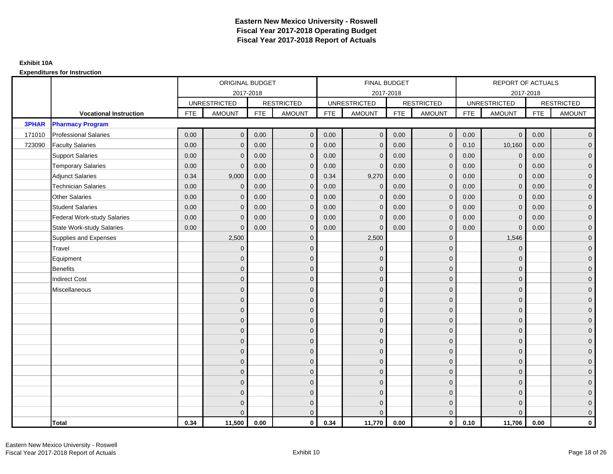|              |                                    |            | ORIGINAL BUDGET     |            |                   |            | <b>FINAL BUDGET</b> |            |                   |            | REPORT OF ACTUALS   |            |                   |
|--------------|------------------------------------|------------|---------------------|------------|-------------------|------------|---------------------|------------|-------------------|------------|---------------------|------------|-------------------|
|              |                                    |            |                     | 2017-2018  |                   |            | 2017-2018           |            |                   |            | 2017-2018           |            |                   |
|              |                                    |            | <b>UNRESTRICTED</b> |            | <b>RESTRICTED</b> |            | <b>UNRESTRICTED</b> |            | <b>RESTRICTED</b> |            | <b>UNRESTRICTED</b> |            | <b>RESTRICTED</b> |
|              | <b>Vocational Instruction</b>      | <b>FTE</b> | <b>AMOUNT</b>       | <b>FTE</b> | <b>AMOUNT</b>     | <b>FTE</b> | <b>AMOUNT</b>       | <b>FTE</b> | <b>AMOUNT</b>     | <b>FTE</b> | <b>AMOUNT</b>       | <b>FTE</b> | <b>AMOUNT</b>     |
| <b>3PHAR</b> | <b>Pharmacy Program</b>            |            |                     |            |                   |            |                     |            |                   |            |                     |            |                   |
| 171010       | <b>Professional Salaries</b>       | 0.00       | $\Omega$            | 0.00       | $\mathbf{0}$      | 0.00       | $\Omega$            | 0.00       | $\mathbf{0}$      | 0.00       | $\overline{0}$      | 0.00       | $\overline{0}$    |
| 723090       | <b>Faculty Salaries</b>            | 0.00       | $\mathbf 0$         | 0.00       | $\mathbf 0$       | 0.00       | $\mathbf{0}$        | 0.00       | $\mathbf{0}$      | 0.10       | 10,160              | 0.00       | $\overline{0}$    |
|              | <b>Support Salaries</b>            | 0.00       | $\mathbf{0}$        | 0.00       | $\mathbf 0$       | 0.00       | $\Omega$            | 0.00       | $\mathbf 0$       | 0.00       | $\mathbf 0$         | 0.00       | $\overline{0}$    |
|              | <b>Temporary Salaries</b>          | 0.00       | $\mathbf{0}$        | 0.00       | $\overline{0}$    | 0.00       | $\Omega$            | 0.00       | $\Omega$          | 0.00       | $\mathbf 0$         | 0.00       | $\overline{0}$    |
|              | <b>Adjunct Salaries</b>            | 0.34       | 9,000               | 0.00       | $\overline{0}$    | 0.34       | 9,270               | 0.00       | $\Omega$          | 0.00       | $\overline{0}$      | 0.00       | $\overline{0}$    |
|              | <b>Technician Salaries</b>         | 0.00       | $\mathbf{0}$        | 0.00       | $\mathbf{0}$      | 0.00       | $\mathbf 0$         | 0.00       | $\mathbf 0$       | 0.00       | $\mathbf{0}$        | 0.00       | $\mathbf{0}$      |
|              | <b>Other Salaries</b>              | 0.00       | $\mathbf{0}$        | 0.00       | $\mathbf 0$       | 0.00       | $\Omega$            | 0.00       | $\mathbf{0}$      | 0.00       | $\overline{0}$      | 0.00       | $\overline{0}$    |
|              | <b>Student Salaries</b>            | 0.00       | $\mathbf{0}$        | 0.00       | $\mathbf 0$       | 0.00       | $\mathbf{0}$        | 0.00       | $\mathbf{0}$      | 0.00       | $\mathbf 0$         | 0.00       | $\overline{0}$    |
|              | <b>Federal Work-study Salaries</b> | 0.00       | $\mathbf{0}$        | 0.00       | $\mathbf 0$       | 0.00       | $\mathbf{0}$        | 0.00       | $\Omega$          | 0.00       | $\mathbf 0$         | 0.00       | $\overline{0}$    |
|              | <b>State Work-study Salaries</b>   | 0.00       | $\mathbf{0}$        | 0.00       | $\overline{0}$    | 0.00       | $\mathbf{0}$        | 0.00       | $\overline{0}$    | 0.00       | $\mathbf{0}$        | 0.00       | $\overline{0}$    |
|              | Supplies and Expenses              |            | 2,500               |            | $\overline{0}$    |            | 2,500               |            | $\overline{0}$    |            | 1,546               |            | $\mathbf{0}$      |
|              | Travel                             |            | $\Omega$            |            | $\mathbf 0$       |            | $\Omega$            |            | $\mathbf{0}$      |            | $\mathbf{0}$        |            | $\overline{0}$    |
|              | Equipment                          |            | $\mathbf{0}$        |            | $\mathbf 0$       |            | $\Omega$            |            | $\mathbf 0$       |            | $\mathbf{0}$        |            | $\overline{0}$    |
|              | <b>Benefits</b>                    |            | $\mathbf{0}$        |            | $\mathbf 0$       |            | $\Omega$            |            | $\mathbf 0$       |            | $\mathbf{0}$        |            | $\overline{0}$    |
|              | <b>Indirect Cost</b>               |            | $\Omega$            |            | $\overline{0}$    |            | $\Omega$            |            | $\Omega$          |            | $\Omega$            |            | $\overline{0}$    |
|              | Miscellaneous                      |            | $\mathbf{0}$        |            | $\mathbf 0$       |            | $\Omega$            |            | $\mathbf 0$       |            | $\mathbf{0}$        |            | $\mathbf{0}$      |
|              |                                    |            | $\mathbf{0}$        |            | $\mathbf 0$       |            | $\Omega$            |            | $\mathbf{0}$      |            | $\mathbf{0}$        |            | $\overline{0}$    |
|              |                                    |            | $\mathbf{0}$        |            | $\mathbf 0$       |            | $\Omega$            |            | $\mathbf{0}$      |            | $\mathbf{0}$        |            | $\overline{0}$    |
|              |                                    |            | $\mathbf{0}$        |            | $\mathbf 0$       |            | $\Omega$            |            | $\mathbf 0$       |            | $\mathbf{0}$        |            | $\overline{0}$    |
|              |                                    |            | $\Omega$            |            | $\mathbf 0$       |            | $\Omega$            |            | $\mathbf{0}$      |            | $\mathbf{0}$        |            | $\mathbf{0}$      |
|              |                                    |            | $\Omega$            |            | $\mathbf 0$       |            | $\Omega$            |            | $\mathbf{0}$      |            | $\Omega$            |            | $\mathbf{0}$      |
|              |                                    |            | $\Omega$            |            | $\mathbf 0$       |            | $\Omega$            |            | $\mathbf{0}$      |            | $\Omega$            |            | $\overline{0}$    |
|              |                                    |            | $\mathbf{0}$        |            | $\mathbf 0$       |            | $\Omega$            |            | $\mathbf 0$       |            | $\mathbf{0}$        |            | $\overline{0}$    |
|              |                                    |            | $\mathbf{0}$        |            | $\mathbf 0$       |            | $\Omega$            |            | $\mathbf 0$       |            | $\mathbf{0}$        |            | $\overline{0}$    |
|              |                                    |            | $\Omega$            |            | $\mathbf 0$       |            | $\Omega$            |            | $\mathbf{0}$      |            | $\Omega$            |            | $\overline{0}$    |
|              |                                    |            | $\mathbf{0}$        |            | $\mathbf 0$       |            | $\Omega$            |            | $\mathbf 0$       |            | $\mathbf{0}$        |            | $\overline{0}$    |
|              |                                    |            | $\mathbf{0}$        |            | $\mathbf 0$       |            | $\Omega$            |            | $\mathbf 0$       |            | $\mathbf{0}$        |            | $\mathbf{0}$      |
|              |                                    |            | $\Omega$            |            | $\overline{0}$    |            | $\Omega$            |            | $\overline{0}$    |            | $\Omega$            |            | $\overline{0}$    |
|              | <b>Total</b>                       | 0.34       | 11,500              | 0.00       | $\mathbf{0}$      | 0.34       | 11,770              | 0.00       | $\mathbf{0}$      | 0.10       | 11,706              | 0.00       | $\mathbf 0$       |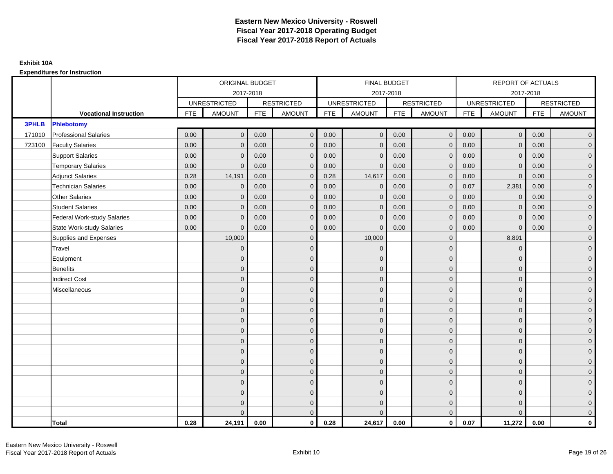|              |                                    |            | ORIGINAL BUDGET     |            |                   |            | <b>FINAL BUDGET</b> |            |                   |            | REPORT OF ACTUALS   |            |                   |
|--------------|------------------------------------|------------|---------------------|------------|-------------------|------------|---------------------|------------|-------------------|------------|---------------------|------------|-------------------|
|              |                                    |            | 2017-2018           |            |                   |            | 2017-2018           |            |                   |            | 2017-2018           |            |                   |
|              |                                    |            | <b>UNRESTRICTED</b> |            | <b>RESTRICTED</b> |            | <b>UNRESTRICTED</b> |            | <b>RESTRICTED</b> |            | <b>UNRESTRICTED</b> |            | <b>RESTRICTED</b> |
|              | <b>Vocational Instruction</b>      | <b>FTE</b> | <b>AMOUNT</b>       | <b>FTE</b> | <b>AMOUNT</b>     | <b>FTE</b> | <b>AMOUNT</b>       | <b>FTE</b> | <b>AMOUNT</b>     | <b>FTE</b> | <b>AMOUNT</b>       | <b>FTE</b> | <b>AMOUNT</b>     |
| <b>3PHLB</b> | <b>Phlebotomy</b>                  |            |                     |            |                   |            |                     |            |                   |            |                     |            |                   |
| 171010       | <b>Professional Salaries</b>       | 0.00       | $\Omega$            | 0.00       | $\overline{0}$    | 0.00       | $\overline{0}$      | 0.00       | $\overline{0}$    | 0.00       | $\overline{0}$      | 0.00       | $\overline{0}$    |
| 723100       | <b>Faculty Salaries</b>            | 0.00       | $\mathbf 0$         | 0.00       | $\mathbf 0$       | 0.00       | $\mathbf{0}$        | 0.00       | $\mathbf{0}$      | 0.00       | $\mathbf 0$         | 0.00       | $\overline{0}$    |
|              | <b>Support Salaries</b>            | 0.00       | $\Omega$            | 0.00       | $\mathbf 0$       | 0.00       | $\mathbf{0}$        | 0.00       | $\mathbf{0}$      | 0.00       | $\mathbf 0$         | 0.00       | $\overline{0}$    |
|              | <b>Temporary Salaries</b>          | 0.00       | $\Omega$            | 0.00       | $\overline{0}$    | 0.00       | $\Omega$            | 0.00       | $\Omega$          | 0.00       | $\mathbf{0}$        | 0.00       | $\overline{0}$    |
|              | <b>Adjunct Salaries</b>            | 0.28       | 14,191              | 0.00       | $\overline{0}$    | 0.28       | 14,617              | 0.00       | $\Omega$          | 0.00       | $\mathbf{0}$        | 0.00       | $\overline{0}$    |
|              | <b>Technician Salaries</b>         | 0.00       | $\mathbf 0$         | 0.00       | $\mathbf{0}$      | 0.00       | $\mathbf{0}$        | 0.00       | $\mathbf{0}$      | 0.07       | 2,381               | 0.00       | $\mathbf{0}$      |
|              | Other Salaries                     | 0.00       | $\mathbf{0}$        | 0.00       | $\overline{0}$    | 0.00       | $\mathbf{0}$        | 0.00       | $\mathbf{0}$      | 0.00       | $\mathbf 0$         | 0.00       | $\overline{0}$    |
|              | <b>Student Salaries</b>            | 0.00       | $\mathbf{0}$        | 0.00       | $\mathbf 0$       | 0.00       | $\mathbf{0}$        | 0.00       | $\mathbf{0}$      | 0.00       | $\mathbf 0$         | 0.00       | $\overline{0}$    |
|              | <b>Federal Work-study Salaries</b> | 0.00       | $\mathbf{0}$        | 0.00       | $\mathbf 0$       | 0.00       | $\mathbf{0}$        | 0.00       | $\Omega$          | 0.00       | $\mathbf 0$         | 0.00       | $\overline{0}$    |
|              | State Work-study Salaries          | 0.00       | $\mathbf{0}$        | 0.00       | $\overline{0}$    | 0.00       | $\mathbf{0}$        | 0.00       | $\mathbf{0}$      | 0.00       | $\mathbf{0}$        | 0.00       | $\overline{0}$    |
|              | Supplies and Expenses              |            | 10,000              |            | $\overline{0}$    |            | 10,000              |            | $\mathbf{0}$      |            | 8,891               |            | $\mathbf{0}$      |
|              | <b>Travel</b>                      |            | $\Omega$            |            | $\mathbf 0$       |            | $\mathbf{0}$        |            | $\mathbf{0}$      |            | $\mathbf{0}$        |            | $\overline{0}$    |
|              | Equipment                          |            | $\Omega$            |            | $\mathbf 0$       |            | $\mathbf{0}$        |            | $\mathbf 0$       |            | $\mathbf{0}$        |            | $\overline{0}$    |
|              | <b>Benefits</b>                    |            | $\mathbf{0}$        |            | $\mathbf 0$       |            | $\Omega$            |            | $\mathbf 0$       |            | $\mathbf{0}$        |            | $\overline{0}$    |
|              | <b>Indirect Cost</b>               |            | $\Omega$            |            | $\overline{0}$    |            | $\Omega$            |            | $\Omega$          |            | $\Omega$            |            | $\overline{0}$    |
|              | Miscellaneous                      |            | $\Omega$            |            | $\mathbf 0$       |            | $\mathbf{0}$        |            | $\overline{0}$    |            | $\mathbf{0}$        |            | $\mathbf{0}$      |
|              |                                    |            | $\Omega$            |            | $\mathbf 0$       |            | $\mathbf{0}$        |            | $\mathbf{0}$      |            | $\mathbf{0}$        |            | $\overline{0}$    |
|              |                                    |            | $\Omega$            |            | $\mathbf 0$       |            | $\mathbf{0}$        |            | $\mathbf{0}$      |            | $\mathbf{0}$        |            | $\overline{0}$    |
|              |                                    |            | $\Omega$            |            | $\mathbf 0$       |            | $\mathbf{0}$        |            | $\mathbf 0$       |            | $\mathbf{0}$        |            | $\overline{0}$    |
|              |                                    |            | $\Omega$            |            | $\mathbf 0$       |            | $\Omega$            |            | $\mathbf{0}$      |            | $\mathbf{0}$        |            | $\mathbf{0}$      |
|              |                                    |            | $\Omega$            |            | $\mathbf 0$       |            | $\Omega$            |            | $\overline{0}$    |            | $\Omega$            |            | $\mathbf{0}$      |
|              |                                    |            | $\Omega$            |            | $\mathbf 0$       |            | $\Omega$            |            | $\mathbf{0}$      |            | $\Omega$            |            | $\overline{0}$    |
|              |                                    |            | $\Omega$            |            | $\mathbf 0$       |            | $\mathbf{0}$        |            | $\mathbf 0$       |            | $\mathbf{0}$        |            | $\overline{0}$    |
|              |                                    |            | $\mathbf{0}$        |            | $\mathbf 0$       |            | $\Omega$            |            | $\mathbf{0}$      |            | $\mathbf{0}$        |            | $\overline{0}$    |
|              |                                    |            | $\Omega$            |            | $\mathbf 0$       |            | $\Omega$            |            | $\mathbf{0}$      |            | $\Omega$            |            | $\overline{0}$    |
|              |                                    |            | $\Omega$            |            | $\mathbf 0$       |            | $\mathbf{0}$        |            | $\mathbf 0$       |            | $\mathbf{0}$        |            | $\overline{0}$    |
|              |                                    |            | $\Omega$            |            | $\mathbf 0$       |            | $\mathbf{0}$        |            | $\mathbf{0}$      |            | $\mathbf{0}$        |            | $\mathbf{0}$      |
|              |                                    |            | $\Omega$            |            | $\overline{0}$    |            | $\Omega$            |            | $\mathbf{0}$      |            | $\Omega$            |            | $\overline{0}$    |
|              | <b>Total</b>                       | 0.28       | 24,191              | 0.00       | $\mathbf{0}$      | 0.28       | 24,617              | 0.00       | $\mathbf{0}$      | 0.07       | 11,272              | 0.00       | $\mathbf 0$       |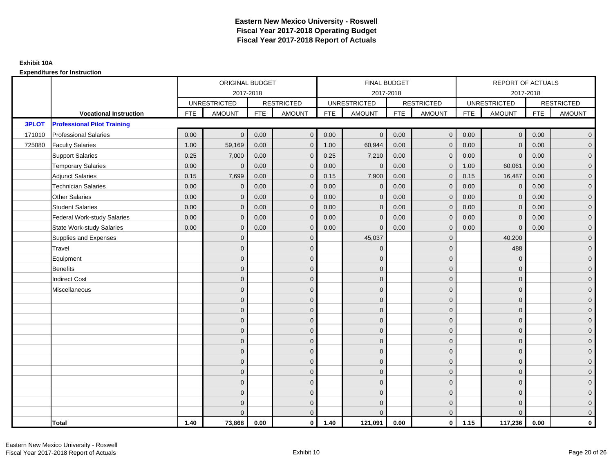|              |                                    |            | ORIGINAL BUDGET     |            |                   |            | FINAL BUDGET        |            |                   |            | <b>REPORT OF ACTUALS</b> |            |                   |
|--------------|------------------------------------|------------|---------------------|------------|-------------------|------------|---------------------|------------|-------------------|------------|--------------------------|------------|-------------------|
|              |                                    |            |                     | 2017-2018  |                   |            | 2017-2018           |            |                   |            | 2017-2018                |            |                   |
|              |                                    |            | <b>UNRESTRICTED</b> |            | <b>RESTRICTED</b> |            | <b>UNRESTRICTED</b> |            | <b>RESTRICTED</b> |            | <b>UNRESTRICTED</b>      |            | <b>RESTRICTED</b> |
|              | <b>Vocational Instruction</b>      | <b>FTE</b> | <b>AMOUNT</b>       | <b>FTE</b> | <b>AMOUNT</b>     | <b>FTE</b> | <b>AMOUNT</b>       | <b>FTE</b> | <b>AMOUNT</b>     | <b>FTE</b> | <b>AMOUNT</b>            | <b>FTE</b> | <b>AMOUNT</b>     |
| <b>3PLOT</b> | <b>Professional Pilot Training</b> |            |                     |            |                   |            |                     |            |                   |            |                          |            |                   |
| 171010       | <b>Professional Salaries</b>       | 0.00       | $\mathbf{0}$        | 0.00       | $\mathbf{0}$      | 0.00       | $\mathbf{0}$        | 0.00       | $\mathbf{0}$      | 0.00       | $\overline{0}$           | 0.00       | $\mathbf 0$       |
| 725080       | <b>Faculty Salaries</b>            | 1.00       | 59,169              | 0.00       | $\mathbf{0}$      | 1.00       | 60,944              | 0.00       | $\mathbf{0}$      | 0.00       | $\mathbf{0}$             | 0.00       | $\overline{0}$    |
|              | <b>Support Salaries</b>            | 0.25       | 7,000               | 0.00       | $\mathbf 0$       | 0.25       | 7,210               | 0.00       | $\mathbf 0$       | 0.00       | $\mathbf{0}$             | 0.00       | $\mathbf 0$       |
|              | <b>Temporary Salaries</b>          | 0.00       | $\mathbf{0}$        | 0.00       | $\mathbf 0$       | 0.00       | $\mathbf{0}$        | 0.00       | $\mathbf 0$       | 1.00       | 60,061                   | 0.00       | $\overline{0}$    |
|              | <b>Adjunct Salaries</b>            | 0.15       | 7,699               | 0.00       | $\mathbf{0}$      | 0.15       | 7,900               | 0.00       | $\mathbf{0}$      | 0.15       | 16,487                   | 0.00       | $\mathbf 0$       |
|              | <b>Technician Salaries</b>         | 0.00       | $\Omega$            | 0.00       | $\mathbf{0}$      | 0.00       | $\Omega$            | 0.00       | $\mathbf{0}$      | 0.00       | $\mathbf{0}$             | 0.00       | $\mathbf 0$       |
|              | <b>Other Salaries</b>              | 0.00       | $\mathbf{0}$        | 0.00       | $\mathbf 0$       | 0.00       | $\mathbf{0}$        | 0.00       | $\mathbf{0}$      | 0.00       | $\mathbf{0}$             | 0.00       | $\mathbf 0$       |
|              | <b>Student Salaries</b>            | 0.00       | $\mathbf{0}$        | 0.00       | $\mathbf 0$       | 0.00       | $\mathbf{0}$        | 0.00       | $\mathbf{0}$      | 0.00       | $\mathbf 0$              | 0.00       | $\overline{0}$    |
|              | <b>Federal Work-study Salaries</b> | 0.00       | $\mathbf{0}$        | 0.00       | $\mathbf{0}$      | 0.00       | $\mathbf{0}$        | 0.00       | $\Omega$          | 0.00       | $\mathbf{0}$             | 0.00       | $\mathbf 0$       |
|              | <b>State Work-study Salaries</b>   | 0.00       | $\mathbf{0}$        | 0.00       | $\mathbf{0}$      | 0.00       | $\Omega$            | 0.00       | $\mathbf{0}$      | 0.00       | $\mathbf{0}$             | 0.00       | $\overline{0}$    |
|              | Supplies and Expenses              |            | $\mathbf{0}$        |            | $\mathbf 0$       |            | 45,037              |            | $\mathbf{0}$      |            | 40,200                   |            | $\mathbf 0$       |
|              | Travel                             |            | $\mathbf{0}$        |            | $\mathbf 0$       |            | $\mathbf{0}$        |            | $\mathbf 0$       |            | 488                      |            | $\mathbf 0$       |
|              | Equipment                          |            | $\mathbf 0$         |            | $\mathbf 0$       |            | $\Omega$            |            | $\mathbf{0}$      |            | $\mathbf{0}$             |            | $\mathbf 0$       |
|              | <b>Benefits</b>                    |            | $\mathbf{0}$        |            | $\mathbf 0$       |            | $\mathbf{0}$        |            | $\mathbf 0$       |            | $\mathbf{0}$             |            | $\mathbf 0$       |
|              | <b>Indirect Cost</b>               |            | $\Omega$            |            | $\mathbf 0$       |            | $\Omega$            |            | $\mathbf 0$       |            | $\Omega$                 |            | $\mathbf 0$       |
|              | Miscellaneous                      |            | $\Omega$            |            | $\mathbf{0}$      |            | $\Omega$            |            | $\mathbf{0}$      |            | $\mathbf{0}$             |            | $\pmb{0}$         |
|              |                                    |            | $\Omega$            |            | $\mathbf 0$       |            | $\Omega$            |            | $\mathbf{0}$      |            | $\Omega$                 |            | $\overline{0}$    |
|              |                                    |            | $\mathbf{0}$        |            | $\mathbf 0$       |            | $\mathbf{0}$        |            | $\mathbf{0}$      |            | $\mathbf{0}$             |            | $\pmb{0}$         |
|              |                                    |            | $\mathbf{0}$        |            | $\mathbf 0$       |            | $\Omega$            |            | $\mathbf{0}$      |            | $\mathbf{0}$             |            | $\mathbf 0$       |
|              |                                    |            | $\Omega$            |            | $\mathbf 0$       |            | $\Omega$            |            | $\mathbf{0}$      |            | $\Omega$                 |            | $\mathbf 0$       |
|              |                                    |            | $\Omega$            |            | $\mathbf 0$       |            | $\Omega$            |            | $\mathbf{0}$      |            | $\Omega$                 |            | $\pmb{0}$         |
|              |                                    |            | $\mathbf{0}$        |            | $\mathbf 0$       |            | $\mathbf{0}$        |            | $\mathbf 0$       |            | $\mathbf{0}$             |            | $\mathbf 0$       |
|              |                                    |            | $\mathbf{0}$        |            | $\mathbf 0$       |            | $\Omega$            |            | $\mathbf 0$       |            | $\mathbf{0}$             |            | $\mathbf 0$       |
|              |                                    |            | $\mathbf{0}$        |            | $\mathbf 0$       |            | $\Omega$            |            | $\mathbf{0}$      |            | $\mathbf{0}$             |            | $\mathbf 0$       |
|              |                                    |            | $\Omega$            |            | $\mathbf{0}$      |            | $\Omega$            |            | $\mathbf{0}$      |            | $\Omega$                 |            | $\mathbf 0$       |
|              |                                    |            | $\mathbf{0}$        |            | $\mathbf 0$       |            | $\mathbf{0}$        |            | $\mathbf 0$       |            | $\mathbf{0}$             |            | $\mathbf 0$       |
|              |                                    |            | $\Omega$            |            | $\mathbf 0$       |            | $\Omega$            |            | $\mathbf 0$       |            | $\mathbf{0}$             |            | $\pmb{0}$         |
|              |                                    |            | $\Omega$            |            | $\mathbf{0}$      |            |                     |            | $\mathbf 0$       |            | $\Omega$                 |            | $\mathbf 0$       |
|              | <b>Total</b>                       | 1.40       | 73,868              | 0.00       | $\mathbf{0}$      | 1.40       | 121,091             | 0.00       | $\mathbf{0}$      | 1.15       | 117,236                  | 0.00       | $\mathbf{0}$      |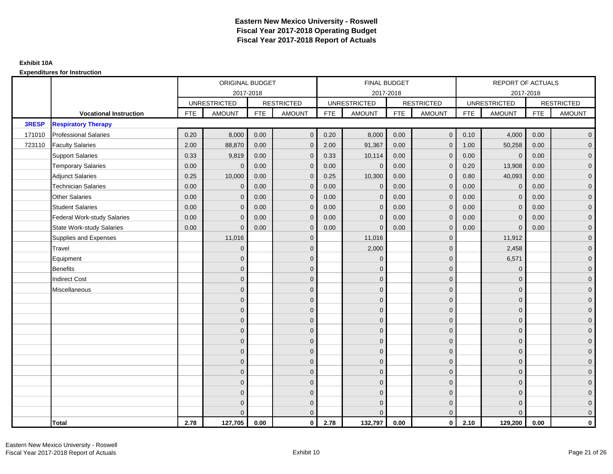|        |                                    |            | ORIGINAL BUDGET     |            |                   |            | <b>FINAL BUDGET</b> |            |                   |            | REPORT OF ACTUALS   |            |                   |
|--------|------------------------------------|------------|---------------------|------------|-------------------|------------|---------------------|------------|-------------------|------------|---------------------|------------|-------------------|
|        |                                    |            | 2017-2018           |            |                   |            | 2017-2018           |            |                   |            | 2017-2018           |            |                   |
|        |                                    |            | <b>UNRESTRICTED</b> |            | <b>RESTRICTED</b> |            | <b>UNRESTRICTED</b> |            | <b>RESTRICTED</b> |            | <b>UNRESTRICTED</b> |            | <b>RESTRICTED</b> |
|        | <b>Vocational Instruction</b>      | <b>FTE</b> | <b>AMOUNT</b>       | <b>FTE</b> | <b>AMOUNT</b>     | <b>FTE</b> | <b>AMOUNT</b>       | <b>FTE</b> | <b>AMOUNT</b>     | <b>FTE</b> | <b>AMOUNT</b>       | <b>FTE</b> | <b>AMOUNT</b>     |
| 3RESP  | <b>Respiratory Therapy</b>         |            |                     |            |                   |            |                     |            |                   |            |                     |            |                   |
| 171010 | <b>Professional Salaries</b>       | 0.20       | 8,000               | 0.00       | $\overline{0}$    | 0.20       | 8,000               | 0.00       | $\mathbf{0}$      | 0.10       | 4,000               | 0.00       | $\overline{0}$    |
| 723110 | <b>Faculty Salaries</b>            | 2.00       | 88,870              | 0.00       | $\mathbf 0$       | 2.00       | 91,367              | 0.00       | $\mathbf{0}$      | 1.00       | 50,258              | 0.00       | $\overline{0}$    |
|        | <b>Support Salaries</b>            | 0.33       | 9,819               | 0.00       | $\mathbf 0$       | 0.33       | 10,114              | 0.00       | $\Omega$          | 0.00       | $\mathbf 0$         | 0.00       | $\overline{0}$    |
|        | <b>Temporary Salaries</b>          | 0.00       | $\Omega$            | 0.00       | $\overline{0}$    | 0.00       | $\Omega$            | 0.00       | $\Omega$          | 0.20       | 13,908              | 0.00       | $\overline{0}$    |
|        | <b>Adjunct Salaries</b>            | 0.25       | 10,000              | 0.00       | $\overline{0}$    | 0.25       | 10,300              | 0.00       | $\Omega$          | 0.80       | 40,093              | 0.00       | $\overline{0}$    |
|        | <b>Technician Salaries</b>         | 0.00       | $\Omega$            | 0.00       | $\mathbf{0}$      | 0.00       | $\mathbf{0}$        | 0.00       | $\mathbf 0$       | 0.00       | $\mathbf 0$         | 0.00       | $\mathbf{0}$      |
|        | Other Salaries                     | 0.00       | $\mathbf{0}$        | 0.00       | $\overline{0}$    | 0.00       | $\mathbf{0}$        | 0.00       | $\Omega$          | 0.00       | $\overline{0}$      | 0.00       | $\overline{0}$    |
|        | <b>Student Salaries</b>            | 0.00       | $\mathbf{0}$        | 0.00       | $\overline{0}$    | 0.00       | $\mathbf{0}$        | 0.00       | $\mathbf{0}$      | 0.00       | $\mathbf 0$         | 0.00       | $\overline{0}$    |
|        | <b>Federal Work-study Salaries</b> | 0.00       | $\mathbf{0}$        | 0.00       | $\mathbf 0$       | 0.00       | $\mathbf{0}$        | 0.00       | $\Omega$          | 0.00       | $\mathbf 0$         | 0.00       | $\overline{0}$    |
|        | State Work-study Salaries          | 0.00       | $\mathbf{0}$        | 0.00       | $\overline{0}$    | 0.00       | $\mathbf{0}$        | 0.00       | $\mathbf{0}$      | 0.00       | $\mathbf{0}$        | 0.00       | $\overline{0}$    |
|        | Supplies and Expenses              |            | 11,016              |            | $\mathbf{0}$      |            | 11,016              |            | $\mathbf{0}$      |            | 11,912              |            | $\mathbf{0}$      |
|        | Travel                             |            | $\Omega$            |            | $\mathbf 0$       |            | 2,000               |            | $\mathbf{0}$      |            | 2,458               |            | $\overline{0}$    |
|        | Equipment                          |            | $\Omega$            |            | $\mathbf 0$       |            | $\mathbf{0}$        |            | $\mathbf 0$       |            | 6,571               |            | $\overline{0}$    |
|        | <b>Benefits</b>                    |            | $\mathbf{0}$        |            | $\mathbf 0$       |            | $\Omega$            |            | $\mathbf 0$       |            | $\mathbf{0}$        |            | $\overline{0}$    |
|        | <b>Indirect Cost</b>               |            | $\Omega$            |            | $\overline{0}$    |            | $\Omega$            |            | $\Omega$          |            | $\Omega$            |            | $\overline{0}$    |
|        | Miscellaneous                      |            | $\Omega$            |            | $\mathbf 0$       |            | $\mathbf{0}$        |            | $\Omega$          |            | $\mathbf{0}$        |            | $\mathbf{0}$      |
|        |                                    |            | $\Omega$            |            | $\mathbf 0$       |            | $\mathbf{0}$        |            | $\mathbf{0}$      |            | $\mathbf{0}$        |            | $\overline{0}$    |
|        |                                    |            | $\Omega$            |            | $\mathbf 0$       |            | $\overline{0}$      |            | $\mathbf{0}$      |            | $\mathbf{0}$        |            | $\overline{0}$    |
|        |                                    |            | $\Omega$            |            | $\mathbf 0$       |            | $\overline{0}$      |            | $\mathbf 0$       |            | $\mathbf{0}$        |            | $\overline{0}$    |
|        |                                    |            | $\Omega$            |            | $\mathbf 0$       |            | $\Omega$            |            | $\mathbf{0}$      |            | $\mathbf{0}$        |            | $\mathbf{0}$      |
|        |                                    |            | $\Omega$            |            | $\mathbf 0$       |            | $\Omega$            |            | $\overline{0}$    |            | $\Omega$            |            | $\mathbf{0}$      |
|        |                                    |            | $\Omega$            |            | $\mathbf 0$       |            | $\Omega$            |            | $\mathbf{0}$      |            | $\Omega$            |            | $\overline{0}$    |
|        |                                    |            | $\Omega$            |            | $\mathbf 0$       |            | $\mathbf{0}$        |            | $\mathbf{0}$      |            | $\mathbf{0}$        |            | $\overline{0}$    |
|        |                                    |            | $\Omega$            |            | $\mathbf 0$       |            | $\Omega$            |            | $\mathbf 0$       |            | $\mathbf{0}$        |            | $\overline{0}$    |
|        |                                    |            | $\Omega$            |            | $\mathbf 0$       |            | $\Omega$            |            | $\mathbf{0}$      |            | $\Omega$            |            | $\overline{0}$    |
|        |                                    |            | $\Omega$            |            | $\mathbf 0$       |            | $\mathbf{0}$        |            | $\mathbf 0$       |            | $\mathbf{0}$        |            | $\mathbf{0}$      |
|        |                                    |            | $\Omega$            |            | $\mathbf 0$       |            | $\Omega$            |            | $\mathbf{0}$      |            | $\mathbf{0}$        |            | $\mathbf{0}$      |
|        |                                    |            |                     |            | $\overline{0}$    |            | $\Omega$            |            | $\mathbf{0}$      |            | $\Omega$            |            | $\overline{0}$    |
|        | <b>Total</b>                       | 2.78       | 127,705             | 0.00       | $\mathbf{0}$      | 2.78       | 132,797             | 0.00       | $\mathbf{0}$      | 2.10       | 129,200             | 0.00       | $\mathbf 0$       |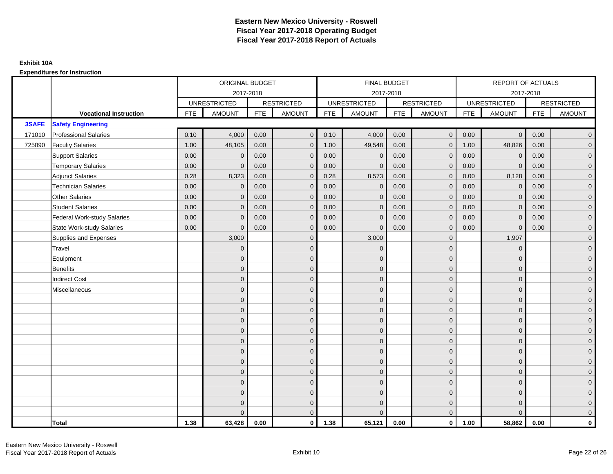|        |                                    |            | ORIGINAL BUDGET     |            |                   |            | <b>FINAL BUDGET</b> |            |                   |            | REPORT OF ACTUALS   |            |                   |
|--------|------------------------------------|------------|---------------------|------------|-------------------|------------|---------------------|------------|-------------------|------------|---------------------|------------|-------------------|
|        |                                    |            |                     | 2017-2018  |                   |            | 2017-2018           |            |                   |            | 2017-2018           |            |                   |
|        |                                    |            | <b>UNRESTRICTED</b> |            | <b>RESTRICTED</b> |            | <b>UNRESTRICTED</b> |            | <b>RESTRICTED</b> |            | <b>UNRESTRICTED</b> |            | <b>RESTRICTED</b> |
|        | <b>Vocational Instruction</b>      | <b>FTE</b> | <b>AMOUNT</b>       | <b>FTE</b> | <b>AMOUNT</b>     | <b>FTE</b> | <b>AMOUNT</b>       | <b>FTE</b> | <b>AMOUNT</b>     | <b>FTE</b> | <b>AMOUNT</b>       | <b>FTE</b> | <b>AMOUNT</b>     |
| 3SAFE  | <b>Safety Engineering</b>          |            |                     |            |                   |            |                     |            |                   |            |                     |            |                   |
| 171010 | <b>Professional Salaries</b>       | 0.10       | 4,000               | 0.00       | $\mathbf{0}$      | 0.10       | 4,000               | 0.00       | $\mathbf{0}$      | 0.00       | $\overline{0}$      | 0.00       | $\overline{0}$    |
| 725090 | <b>Faculty Salaries</b>            | 1.00       | 48,105              | 0.00       | $\mathbf 0$       | 1.00       | 49,548              | 0.00       | $\mathbf{0}$      | 1.00       | 48,826              | 0.00       | $\overline{0}$    |
|        | <b>Support Salaries</b>            | 0.00       | $\Omega$            | 0.00       | $\mathbf 0$       | 0.00       | $\mathbf 0$         | 0.00       | $\mathbf 0$       | 0.00       | $\mathbf 0$         | 0.00       | $\overline{0}$    |
|        | <b>Temporary Salaries</b>          | 0.00       | $\mathbf{0}$        | 0.00       | $\overline{0}$    | 0.00       | $\Omega$            | 0.00       | $\Omega$          | 0.00       | $\mathbf{0}$        | 0.00       | $\overline{0}$    |
|        | <b>Adjunct Salaries</b>            | 0.28       | 8,323               | 0.00       | $\overline{0}$    | 0.28       | 8,573               | 0.00       | $\Omega$          | 0.00       | 8,128               | 0.00       | $\overline{0}$    |
|        | <b>Technician Salaries</b>         | 0.00       | $\mathbf{0}$        | 0.00       | $\mathbf{0}$      | 0.00       | $\mathbf 0$         | 0.00       | $\mathbf 0$       | 0.00       | $\mathbf 0$         | 0.00       | $\mathbf{0}$      |
|        | <b>Other Salaries</b>              | 0.00       | $\mathbf{0}$        | 0.00       | $\mathbf 0$       | 0.00       | $\Omega$            | 0.00       | $\mathbf{0}$      | 0.00       | $\overline{0}$      | 0.00       | $\overline{0}$    |
|        | <b>Student Salaries</b>            | 0.00       | $\mathbf{0}$        | 0.00       | $\mathbf 0$       | 0.00       | $\mathbf{0}$        | 0.00       | $\mathbf{0}$      | 0.00       | $\mathbf 0$         | 0.00       | $\overline{0}$    |
|        | <b>Federal Work-study Salaries</b> | 0.00       | $\mathbf{0}$        | 0.00       | $\mathbf 0$       | 0.00       | $\mathbf{0}$        | 0.00       | $\Omega$          | 0.00       | $\mathbf 0$         | 0.00       | $\overline{0}$    |
|        | <b>State Work-study Salaries</b>   | 0.00       | $\mathbf{0}$        | 0.00       | $\overline{0}$    | 0.00       | $\mathbf{0}$        | 0.00       | $\mathbf{0}$      | 0.00       | $\mathbf{0}$        | 0.00       | $\overline{0}$    |
|        | Supplies and Expenses              |            | 3,000               |            | $\overline{0}$    |            | 3,000               |            | $\overline{0}$    |            | 1,907               |            | $\mathbf{0}$      |
|        | Travel                             |            | $\Omega$            |            | $\mathbf 0$       |            | $\Omega$            |            | $\mathbf{0}$      |            | $\mathbf{0}$        |            | $\overline{0}$    |
|        | Equipment                          |            | $\mathbf{0}$        |            | $\mathbf 0$       |            | $\Omega$            |            | $\mathbf 0$       |            | $\mathbf{0}$        |            | $\overline{0}$    |
|        | <b>Benefits</b>                    |            | $\mathbf{0}$        |            | $\mathbf 0$       |            | $\Omega$            |            | $\mathbf 0$       |            | $\mathbf{0}$        |            | $\overline{0}$    |
|        | <b>Indirect Cost</b>               |            | $\Omega$            |            | $\overline{0}$    |            | $\Omega$            |            | $\Omega$          |            | $\Omega$            |            | $\overline{0}$    |
|        | Miscellaneous                      |            | $\mathbf{0}$        |            | $\mathbf 0$       |            | $\mathbf{0}$        |            | $\mathbf 0$       |            | $\mathbf{0}$        |            | $\mathbf{0}$      |
|        |                                    |            | $\mathbf{0}$        |            | $\mathbf 0$       |            | $\Omega$            |            | $\mathbf{0}$      |            | $\mathbf{0}$        |            | $\overline{0}$    |
|        |                                    |            | $\mathbf{0}$        |            | $\mathbf 0$       |            | $\Omega$            |            | $\mathbf{0}$      |            | $\mathbf{0}$        |            | $\overline{0}$    |
|        |                                    |            | $\mathbf{0}$        |            | $\mathbf 0$       |            | $\Omega$            |            | $\mathbf 0$       |            | $\mathbf{0}$        |            | $\overline{0}$    |
|        |                                    |            | $\Omega$            |            | $\mathbf 0$       |            | $\Omega$            |            | $\mathbf{0}$      |            | $\mathbf{0}$        |            | $\mathbf{0}$      |
|        |                                    |            | $\Omega$            |            | $\mathbf 0$       |            | $\Omega$            |            | $\mathbf{0}$      |            | $\Omega$            |            | $\mathbf{0}$      |
|        |                                    |            | $\Omega$            |            | $\mathbf 0$       |            | $\Omega$            |            | $\mathbf{0}$      |            | $\Omega$            |            | $\overline{0}$    |
|        |                                    |            | $\mathbf{0}$        |            | $\mathbf 0$       |            | $\Omega$            |            | $\mathbf 0$       |            | $\mathbf 0$         |            | $\overline{0}$    |
|        |                                    |            | $\mathbf{0}$        |            | $\mathbf 0$       |            | $\Omega$            |            | $\mathbf{0}$      |            | $\mathbf{0}$        |            | $\overline{0}$    |
|        |                                    |            | $\Omega$            |            | $\mathbf 0$       |            | $\Omega$            |            | $\mathbf{0}$      |            | $\Omega$            |            | $\overline{0}$    |
|        |                                    |            | $\mathbf{0}$        |            | $\mathbf 0$       |            | $\Omega$            |            | $\mathbf 0$       |            | $\mathbf{0}$        |            | $\mathbf{0}$      |
|        |                                    |            | $\mathbf{0}$        |            | $\mathbf 0$       |            | $\Omega$            |            | $\mathbf 0$       |            | $\mathbf{0}$        |            | $\mathbf{0}$      |
|        |                                    |            | $\Omega$            |            | $\overline{0}$    |            |                     |            | $\mathbf{0}$      |            | $\Omega$            |            | $\overline{0}$    |
|        | <b>Total</b>                       | 1.38       | 63,428              | 0.00       | $\mathbf{0}$      | 1.38       | 65,121              | 0.00       | $\mathbf{0}$      | 1.00       | 58,862              | 0.00       | $\mathbf 0$       |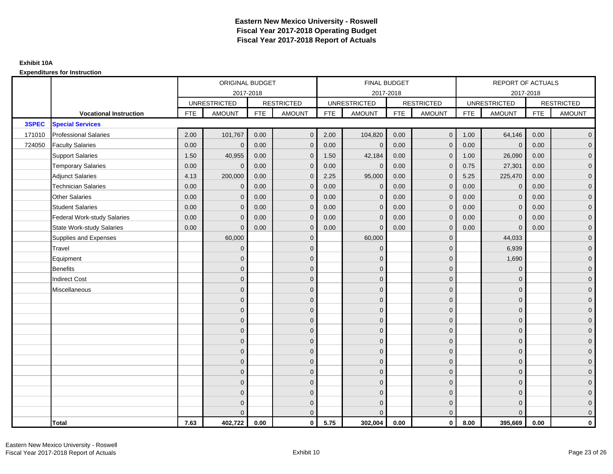|        |                                    |            | ORIGINAL BUDGET     |            |                   |            | <b>FINAL BUDGET</b> |            |                   |            | REPORT OF ACTUALS   |            |                   |
|--------|------------------------------------|------------|---------------------|------------|-------------------|------------|---------------------|------------|-------------------|------------|---------------------|------------|-------------------|
|        |                                    |            | 2017-2018           |            |                   |            | 2017-2018           |            |                   |            | 2017-2018           |            |                   |
|        |                                    |            | <b>UNRESTRICTED</b> |            | <b>RESTRICTED</b> |            | <b>UNRESTRICTED</b> |            | <b>RESTRICTED</b> |            | <b>UNRESTRICTED</b> |            | <b>RESTRICTED</b> |
|        | <b>Vocational Instruction</b>      | <b>FTE</b> | <b>AMOUNT</b>       | <b>FTE</b> | <b>AMOUNT</b>     | <b>FTE</b> | <b>AMOUNT</b>       | <b>FTE</b> | <b>AMOUNT</b>     | <b>FTE</b> | <b>AMOUNT</b>       | <b>FTE</b> | <b>AMOUNT</b>     |
| 3SPEC  | <b>Special Services</b>            |            |                     |            |                   |            |                     |            |                   |            |                     |            |                   |
| 171010 | <b>Professional Salaries</b>       | 2.00       | 101,767             | 0.00       | $\overline{0}$    | 2.00       | 104,820             | 0.00       | $\mathbf 0$       | 1.00       | 64,146              | 0.00       | $\overline{0}$    |
| 724050 | <b>Faculty Salaries</b>            | 0.00       | $\mathbf 0$         | 0.00       | $\mathbf 0$       | 0.00       | $\mathbf{0}$        | 0.00       | $\mathbf{0}$      | 0.00       | $\mathbf 0$         | 0.00       | $\overline{0}$    |
|        | <b>Support Salaries</b>            | 1.50       | 40,955              | 0.00       | $\mathbf 0$       | 1.50       | 42,184              | 0.00       | $\mathbf{0}$      | 1.00       | 26,090              | 0.00       | $\overline{0}$    |
|        | <b>Temporary Salaries</b>          | 0.00       | $\Omega$            | 0.00       | $\overline{0}$    | 0.00       | $\Omega$            | 0.00       | $\Omega$          | 0.75       | 27,301              | 0.00       | $\overline{0}$    |
|        | <b>Adjunct Salaries</b>            | 4.13       | 200,000             | 0.00       | $\Omega$          | 2.25       | 95,000              | 0.00       | $\Omega$          | 5.25       | 225,470             | 0.00       | $\overline{0}$    |
|        | <b>Technician Salaries</b>         | 0.00       | $\Omega$            | 0.00       | $\mathbf{0}$      | 0.00       | $\mathbf{0}$        | 0.00       | $\mathbf{0}$      | 0.00       | $\mathbf 0$         | 0.00       | $\mathbf{0}$      |
|        | Other Salaries                     | 0.00       | $\mathbf{0}$        | 0.00       | $\overline{0}$    | 0.00       | $\mathbf{0}$        | 0.00       | $\Omega$          | 0.00       | $\mathbf 0$         | 0.00       | $\overline{0}$    |
|        | <b>Student Salaries</b>            | 0.00       | $\Omega$            | 0.00       | $\overline{0}$    | 0.00       | $\mathbf{0}$        | 0.00       | $\mathbf{0}$      | 0.00       | $\mathbf 0$         | 0.00       | $\overline{0}$    |
|        | <b>Federal Work-study Salaries</b> | 0.00       | $\mathbf{0}$        | 0.00       | $\mathbf 0$       | 0.00       | $\mathbf{0}$        | 0.00       | $\Omega$          | 0.00       | $\mathbf 0$         | 0.00       | $\overline{0}$    |
|        | <b>State Work-study Salaries</b>   | 0.00       | $\mathbf{0}$        | 0.00       | $\overline{0}$    | 0.00       | $\mathbf{0}$        | 0.00       | $\mathbf{0}$      | 0.00       | $\mathbf{0}$        | 0.00       | $\overline{0}$    |
|        | Supplies and Expenses              |            | 60,000              |            | $\mathbf{0}$      |            | 60,000              |            | $\mathbf 0$       |            | 44,033              |            | $\overline{0}$    |
|        | Travel                             |            | $\Omega$            |            | $\mathbf 0$       |            | $\overline{0}$      |            | $\mathbf{0}$      |            | 6,939               |            | $\overline{0}$    |
|        | Equipment                          |            | $\Omega$            |            | $\mathbf 0$       |            | $\mathbf{0}$        |            | $\mathbf 0$       |            | 1,690               |            | $\overline{0}$    |
|        | <b>Benefits</b>                    |            | $\mathbf{0}$        |            | $\mathbf 0$       |            | $\Omega$            |            | $\mathbf 0$       |            | $\mathbf{0}$        |            | $\overline{0}$    |
|        | <b>Indirect Cost</b>               |            | $\Omega$            |            | $\overline{0}$    |            | $\Omega$            |            | $\Omega$          |            | $\Omega$            |            | $\overline{0}$    |
|        | Miscellaneous                      |            | $\Omega$            |            | $\mathbf 0$       |            | $\mathbf{0}$        |            | $\Omega$          |            | $\mathbf{0}$        |            | $\mathbf{0}$      |
|        |                                    |            | $\Omega$            |            | $\mathbf 0$       |            | $\mathbf{0}$        |            | $\mathbf{0}$      |            | $\mathbf{0}$        |            | $\overline{0}$    |
|        |                                    |            | $\Omega$            |            | $\mathbf 0$       |            | $\overline{0}$      |            | $\mathbf{0}$      |            | $\mathbf{0}$        |            | $\overline{0}$    |
|        |                                    |            | $\Omega$            |            | $\mathbf 0$       |            | $\mathbf{0}$        |            | $\mathbf 0$       |            | $\mathbf{0}$        |            | $\overline{0}$    |
|        |                                    |            | $\Omega$            |            | $\mathbf 0$       |            | $\Omega$            |            | $\mathbf{0}$      |            | $\mathbf{0}$        |            | $\mathbf{0}$      |
|        |                                    |            | $\Omega$            |            | $\mathbf 0$       |            | $\Omega$            |            | $\overline{0}$    |            | $\Omega$            |            | $\mathbf{0}$      |
|        |                                    |            | $\Omega$            |            | $\mathbf 0$       |            | $\Omega$            |            | $\mathbf{0}$      |            | $\Omega$            |            | $\overline{0}$    |
|        |                                    |            | $\Omega$            |            | $\mathbf 0$       |            | $\mathbf{0}$        |            | $\mathbf{0}$      |            | $\mathbf{0}$        |            | $\overline{0}$    |
|        |                                    |            | $\Omega$            |            | $\mathbf 0$       |            | $\Omega$            |            | $\mathbf 0$       |            | $\mathbf{0}$        |            | $\overline{0}$    |
|        |                                    |            | $\Omega$            |            | $\mathbf 0$       |            | $\Omega$            |            | $\mathbf{0}$      |            | $\Omega$            |            | $\overline{0}$    |
|        |                                    |            | $\Omega$            |            | $\mathbf 0$       |            | $\mathbf{0}$        |            | $\mathbf 0$       |            | $\mathbf{0}$        |            | $\mathbf{0}$      |
|        |                                    |            | $\Omega$            |            | $\mathbf 0$       |            | $\mathbf{0}$        |            | $\mathbf{0}$      |            | $\mathbf{0}$        |            | $\mathbf{0}$      |
|        |                                    |            | $\Omega$            |            | $\mathbf{0}$      |            | $\Omega$            |            | $\mathbf{0}$      |            | $\Omega$            |            | $\overline{0}$    |
|        | <b>Total</b>                       | 7.63       | 402,722             | 0.00       | $\mathbf{0}$      | 5.75       | 302,004             | 0.00       | $\mathbf{0}$      | 8.00       | 395,669             | 0.00       | $\mathbf 0$       |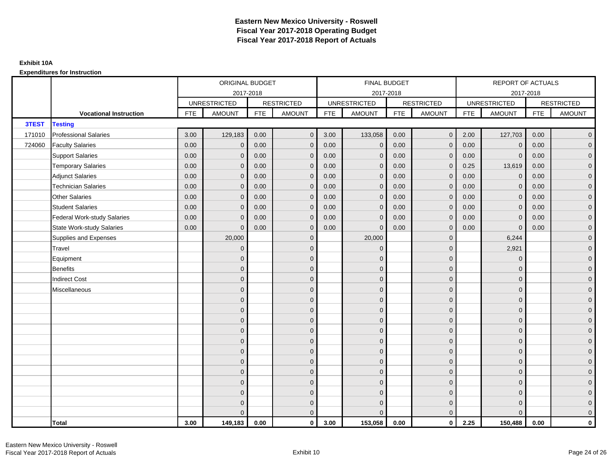|        |                                    |            | ORIGINAL BUDGET     |            |                     |             | <b>FINAL BUDGET</b> |            |                   |            | REPORT OF ACTUALS   |           |                   |
|--------|------------------------------------|------------|---------------------|------------|---------------------|-------------|---------------------|------------|-------------------|------------|---------------------|-----------|-------------------|
|        |                                    |            |                     | 2017-2018  |                     |             | 2017-2018           |            |                   |            |                     | 2017-2018 |                   |
|        |                                    |            | <b>UNRESTRICTED</b> |            | <b>RESTRICTED</b>   |             | <b>UNRESTRICTED</b> |            | <b>RESTRICTED</b> |            | <b>UNRESTRICTED</b> |           | <b>RESTRICTED</b> |
|        | <b>Vocational Instruction</b>      | <b>FTE</b> | <b>AMOUNT</b>       | <b>FTE</b> | <b>AMOUNT</b>       | ${\sf FTE}$ | <b>AMOUNT</b>       | <b>FTE</b> | <b>AMOUNT</b>     | <b>FTE</b> | <b>AMOUNT</b>       | FTE       | <b>AMOUNT</b>     |
| 3TEST  | <b>Testing</b>                     |            |                     |            |                     |             |                     |            |                   |            |                     |           |                   |
| 171010 | <b>Professional Salaries</b>       | 3.00       | 129,183             | 0.00       | $\mathbf{0}$        | 3.00        | 133,058             | 0.00       | $\overline{0}$    | 2.00       | 127,703             | 0.00      | $\overline{0}$    |
| 724060 | <b>Faculty Salaries</b>            | 0.00       | $\mathbf 0$         | 0.00       | $\mathbf 0$         | 0.00        | $\mathbf 0$         | 0.00       | $\mathbf{0}$      | 0.00       | $\mathbf 0$         | 0.00      | $\mathbf 0$       |
|        | <b>Support Salaries</b>            | 0.00       | $\mathbf 0$         | 0.00       | $\mathbf 0$         | 0.00        | $\mathbf{0}$        | 0.00       | $\mathbf{0}$      | 0.00       | $\mathbf 0$         | 0.00      | $\overline{0}$    |
|        | <b>Temporary Salaries</b>          | 0.00       | $\mathbf{0}$        | 0.00       | $\mathbf 0$         | 0.00        | $\mathbf{0}$        | 0.00       | $\Omega$          | 0.25       | 13,619              | 0.00      | $\mathbf 0$       |
|        | <b>Adjunct Salaries</b>            | 0.00       | $\Omega$            | 0.00       | $\mathbf{0}$        | 0.00        | $\Omega$            | 0.00       | $\Omega$          | 0.00       | $\mathbf{0}$        | 0.00      | $\mathbf 0$       |
|        | <b>Technician Salaries</b>         | 0.00       | $\mathbf{0}$        | 0.00       | $\mathbf{0}$        | 0.00        | $\mathbf{0}$        | 0.00       | $\mathbf{0}$      | 0.00       | $\mathbf{0}$        | 0.00      | $\mathbf 0$       |
|        | <b>Other Salaries</b>              | 0.00       | $\mathbf{0}$        | 0.00       | $\mathbf 0$         | 0.00        | $\mathbf{0}$        | 0.00       | $\mathbf{0}$      | 0.00       | $\mathbf{0}$        | 0.00      | $\overline{0}$    |
|        | <b>Student Salaries</b>            | 0.00       | $\mathbf{0}$        | 0.00       | $\mathbf{0}$        | 0.00        | $\mathbf{0}$        | 0.00       | $\mathbf{0}$      | 0.00       | $\mathbf 0$         | 0.00      | $\overline{0}$    |
|        | <b>Federal Work-study Salaries</b> | 0.00       | $\mathbf{0}$        | 0.00       | $\mathbf 0$         | 0.00        | $\mathbf{0}$        | 0.00       | $\mathbf{0}$      | 0.00       | $\mathbf 0$         | 0.00      | $\mathbf 0$       |
|        | <b>State Work-study Salaries</b>   | 0.00       | $\mathbf{0}$        | 0.00       | $\mathbf{0}$        | 0.00        | $\mathbf{0}$        | 0.00       | $\mathbf{0}$      | 0.00       | $\mathbf 0$         | 0.00      | $\mathbf 0$       |
|        | Supplies and Expenses              |            | 20,000              |            | $\mathbf 0$         |             | 20,000              |            | $\mathbf{0}$      |            | 6,244               |           | $\mathbf 0$       |
|        | Travel                             |            | $\Omega$            |            | $\mathbf 0$         |             | $\mathbf{0}$        |            | $\mathbf{0}$      |            | 2,921               |           | $\mathbf 0$       |
|        | Equipment                          |            | $\Omega$            |            | $\mathbf 0$         |             | $\mathbf{0}$        |            | $\mathbf 0$       |            | $\mathbf 0$         |           | $\mathbf 0$       |
|        | <b>Benefits</b>                    |            | $\mathbf{0}$        |            | $\mathbf 0$         |             | $\Omega$            |            | $\mathbf{0}$      |            | $\mathbf{0}$        |           | $\mathbf 0$       |
|        | <b>Indirect Cost</b>               |            | $\Omega$            |            | $\mathbf{0}$        |             | $\Omega$            |            | $\mathbf{0}$      |            | $\Omega$            |           | $\mathbf 0$       |
|        | Miscellaneous                      |            | $\mathbf{0}$        |            | $\mathbf 0$         |             | $\mathbf{0}$        |            | $\mathbf 0$       |            | $\mathbf{0}$        |           | $\mathbf 0$       |
|        |                                    |            | $\mathbf{0}$        |            | $\mathbf 0$         |             | $\Omega$            |            | $\mathbf 0$       |            | $\Omega$            |           | $\overline{0}$    |
|        |                                    |            | $\mathbf{0}$        |            | $\mathbf 0$         |             | $\Omega$            |            | $\mathbf{0}$      |            | $\mathbf{0}$        |           | $\mathbf 0$       |
|        |                                    |            | $\mathbf{0}$        |            | $\mathbf 0$         |             | $\mathbf{0}$        |            | $\mathbf 0$       |            | $\mathbf{0}$        |           | $\mathbf 0$       |
|        |                                    |            | $\Omega$            |            | $\mathbf 0$         |             | $\Omega$            |            | $\mathbf 0$       |            | $\mathbf{0}$        |           | $\mathbf 0$       |
|        |                                    |            | $\mathbf{0}$        |            | $\mathbf 0$         |             | $\Omega$            |            | $\mathbf 0$       |            | $\Omega$            |           | $\mathbf 0$       |
|        |                                    |            | $\Omega$            |            | $\mathbf 0$         |             | $\Omega$            |            | $\mathbf{0}$      |            | $\Omega$            |           | $\overline{0}$    |
|        |                                    |            | $\mathbf{0}$        |            | $\mathbf 0$         |             | $\mathbf{0}$        |            | $\mathbf 0$       |            | $\mathbf{0}$        |           | $\mathbf 0$       |
|        |                                    |            | $\mathbf{0}$        |            | $\mathbf 0$         |             | $\Omega$            |            | $\mathbf{0}$      |            | $\mathbf{0}$        |           | $\mathbf 0$       |
|        |                                    |            | $\Omega$            |            | $\mathbf{0}$        |             | $\Omega$            |            | $\mathbf{0}$      |            | $\Omega$            |           | $\mathbf 0$       |
|        |                                    |            | $\mathbf{0}$        |            | $\mathsf{O}\xspace$ |             | $\mathbf{0}$        |            | $\mathbf{0}$      |            | $\mathbf{0}$        |           | $\mathbf 0$       |
|        |                                    |            | $\Omega$            |            | $\mathbf 0$         |             | $\Omega$            |            | $\mathbf 0$       |            | $\Omega$            |           | $\pmb{0}$         |
|        |                                    |            | $\Omega$            |            | $\mathbf{0}$        |             |                     |            | $\mathbf{0}$      |            | $\Omega$            |           | $\mathbf 0$       |
|        | <b>Total</b>                       | 3.00       | 149,183             | 0.00       | $\mathbf{0}$        | 3.00        | 153,058             | 0.00       | $\mathbf{0}$      | 2.25       | 150,488             | 0.00      | $\mathbf{0}$      |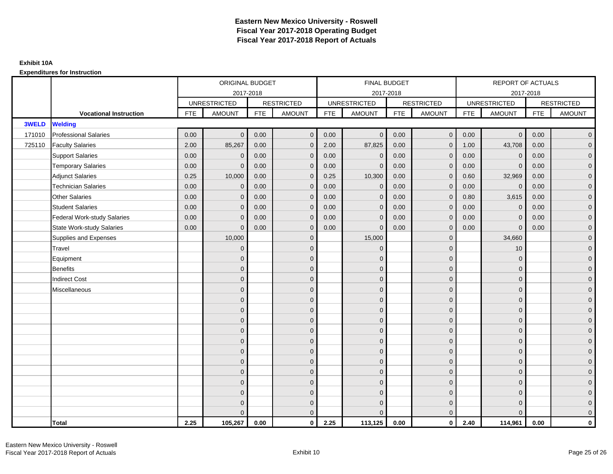|        |                                    |            | ORIGINAL BUDGET     |            |                   |            | <b>FINAL BUDGET</b> |            |                   |            | <b>REPORT OF ACTUALS</b> |            |                     |
|--------|------------------------------------|------------|---------------------|------------|-------------------|------------|---------------------|------------|-------------------|------------|--------------------------|------------|---------------------|
|        |                                    |            | 2017-2018           |            |                   |            | 2017-2018           |            |                   |            | 2017-2018                |            |                     |
|        |                                    |            | <b>UNRESTRICTED</b> |            | <b>RESTRICTED</b> |            | <b>UNRESTRICTED</b> |            | <b>RESTRICTED</b> |            | <b>UNRESTRICTED</b>      |            | <b>RESTRICTED</b>   |
|        | <b>Vocational Instruction</b>      | <b>FTE</b> | <b>AMOUNT</b>       | <b>FTE</b> | <b>AMOUNT</b>     | <b>FTE</b> | <b>AMOUNT</b>       | <b>FTE</b> | <b>AMOUNT</b>     | <b>FTE</b> | <b>AMOUNT</b>            | <b>FTE</b> | <b>AMOUNT</b>       |
| 3WELD  | <b>Welding</b>                     |            |                     |            |                   |            |                     |            |                   |            |                          |            |                     |
| 171010 | <b>Professional Salaries</b>       | 0.00       | $\mathbf{0}$        | 0.00       | $\mathbf{0}$      | 0.00       | $\overline{0}$      | 0.00       | $\overline{0}$    | 0.00       | $\overline{0}$           | 0.00       | $\overline{0}$      |
| 725110 | <b>Faculty Salaries</b>            | 2.00       | 85,267              | 0.00       | $\mathbf 0$       | 2.00       | 87,825              | 0.00       | $\mathbf 0$       | 1.00       | 43,708                   | 0.00       | $\overline{0}$      |
|        | <b>Support Salaries</b>            | 0.00       | $\mathbf 0$         | 0.00       | $\mathbf 0$       | 0.00       | $\mathbf 0$         | 0.00       | $\mathbf 0$       | 0.00       | $\mathbf 0$              | 0.00       | $\overline{0}$      |
|        | <b>Temporary Salaries</b>          | 0.00       | $\mathbf{0}$        | 0.00       | $\mathbf{0}$      | 0.00       | $\mathbf{0}$        | 0.00       | $\mathbf{0}$      | 0.00       | $\mathbf{0}$             | 0.00       | $\overline{0}$      |
|        | <b>Adjunct Salaries</b>            | 0.25       | 10,000              | 0.00       | $\Omega$          | 0.25       | 10,300              | 0.00       | $\mathbf{0}$      | 0.60       | 32,969                   | 0.00       | $\overline{0}$      |
|        | <b>Technician Salaries</b>         | 0.00       | $\mathbf{0}$        | 0.00       | $\mathbf 0$       | 0.00       | $\mathbf 0$         | 0.00       | $\mathbf{0}$      | 0.00       | $\mathbf 0$              | 0.00       | $\mathbf{0}$        |
|        | <b>Other Salaries</b>              | 0.00       | $\mathbf{0}$        | 0.00       | $\mathbf{0}$      | 0.00       | $\mathbf{0}$        | 0.00       | $\mathbf{0}$      | 0.80       | 3,615                    | 0.00       | $\overline{0}$      |
|        | <b>Student Salaries</b>            | 0.00       | $\mathbf{0}$        | 0.00       | $\mathbf{0}$      | 0.00       | $\mathbf{0}$        | 0.00       | $\mathbf 0$       | 0.00       | $\mathbf 0$              | 0.00       | $\overline{0}$      |
|        | <b>Federal Work-study Salaries</b> | 0.00       | $\mathbf 0$         | 0.00       | $\mathbf{0}$      | 0.00       | $\mathbf{0}$        | 0.00       | $\mathbf 0$       | 0.00       | $\mathbf 0$              | 0.00       | $\overline{0}$      |
|        | <b>State Work-study Salaries</b>   | 0.00       | $\mathbf{0}$        | 0.00       | $\mathbf{0}$      | 0.00       | $\mathbf{0}$        | 0.00       | $\mathbf{0}$      | 0.00       | $\mathbf{0}$             | 0.00       | $\mathbf{0}$        |
|        | Supplies and Expenses              |            | 10,000              |            | $\mathbf 0$       |            | 15,000              |            | $\mathbf 0$       |            | 34,660                   |            | $\mathsf{O}\xspace$ |
|        | Travel                             |            | $\overline{0}$      |            | $\mathbf{0}$      |            | $\mathbf{0}$        |            | $\mathbf{0}$      |            | 10                       |            | $\overline{0}$      |
|        | Equipment                          |            | $\overline{0}$      |            | $\mathbf 0$       |            | $\mathbf{0}$        |            | $\mathbf 0$       |            | $\mathbf 0$              |            | $\overline{0}$      |
|        | <b>Benefits</b>                    |            | $\overline{0}$      |            | $\mathbf{0}$      |            | $\Omega$            |            | $\mathbf 0$       |            | $\mathbf{0}$             |            | $\overline{0}$      |
|        | <b>Indirect Cost</b>               |            | $\Omega$            |            | $\mathbf{0}$      |            | $\Omega$            |            | $\mathbf{0}$      |            | $\Omega$                 |            | $\overline{0}$      |
|        | Miscellaneous                      |            | $\overline{0}$      |            | $\mathbf 0$       |            | $\mathbf{0}$        |            | $\mathbf 0$       |            | $\mathbf 0$              |            | $\mathsf{O}\xspace$ |
|        |                                    |            | $\overline{0}$      |            | $\mathbf 0$       |            | $\mathbf{0}$        |            | $\mathbf 0$       |            | $\mathbf{0}$             |            | $\overline{0}$      |
|        |                                    |            | $\overline{0}$      |            | $\mathbf 0$       |            | $\mathbf{0}$        |            | $\mathbf 0$       |            | $\mathbf{0}$             |            | $\overline{0}$      |
|        |                                    |            | $\overline{0}$      |            | $\mathbf 0$       |            | $\mathbf{0}$        |            | $\mathsf{O}$      |            | $\mathbf 0$              |            | $\mathbf{0}$        |
|        |                                    |            | $\mathbf{0}$        |            | $\mathbf 0$       |            | $\Omega$            |            | $\mathbf 0$       |            | $\mathbf 0$              |            | $\mathbf{0}$        |
|        |                                    |            | $\Omega$            |            | $\mathbf{0}$      |            | $\mathbf{0}$        |            | $\mathbf{0}$      |            | $\mathbf 0$              |            | $\mathsf{O}\xspace$ |
|        |                                    |            | $\mathbf{0}$        |            | $\mathbf{0}$      |            | $\Omega$            |            | $\mathbf{0}$      |            | $\Omega$                 |            | $\overline{0}$      |
|        |                                    |            | $\mathbf{0}$        |            | $\mathbf 0$       |            | $\mathbf{0}$        |            | $\mathbf 0$       |            | $\mathbf 0$              |            | $\overline{0}$      |
|        |                                    |            | $\mathbf{0}$        |            | $\mathbf{0}$      |            | $\Omega$            |            | $\mathbf 0$       |            | $\mathbf{0}$             |            | $\overline{0}$      |
|        |                                    |            | $\Omega$            |            | $\mathbf{0}$      |            | $\Omega$            |            | $\mathbf 0$       |            | $\mathbf{0}$             |            | $\overline{0}$      |
|        |                                    |            | $\mathbf{0}$        |            | $\mathbf 0$       |            | $\mathbf{0}$        |            | $\mathbf 0$       |            | $\mathbf 0$              |            | $\overline{0}$      |
|        |                                    |            | $\overline{0}$      |            | $\mathbf 0$       |            | $\mathbf{0}$        |            | $\mathbf 0$       |            | $\mathbf{0}$             |            | $\mathbf{0}$        |
|        |                                    |            | $\Omega$            |            | $\mathbf{0}$      |            | $\Omega$            |            | $\mathbf 0$       |            | $\Omega$                 |            | $\overline{0}$      |
|        | <b>Total</b>                       | 2.25       | 105,267             | 0.00       | $\mathbf{0}$      | 2.25       | 113,125             | 0.00       | $\overline{0}$    | 2.40       | 114,961                  | 0.00       | $\mathbf{0}$        |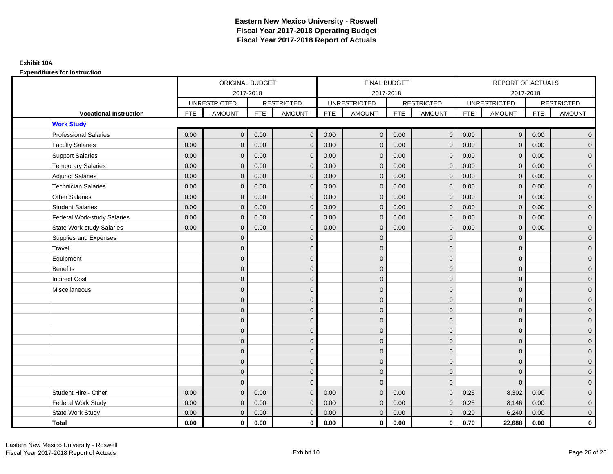|                                    |            | ORIGINAL BUDGET<br>2017-2018 |            |                   |            | <b>FINAL BUDGET</b> |            |                   |            | <b>REPORT OF ACTUALS</b> |            |                     |
|------------------------------------|------------|------------------------------|------------|-------------------|------------|---------------------|------------|-------------------|------------|--------------------------|------------|---------------------|
|                                    |            |                              |            |                   |            | 2017-2018           |            |                   |            | 2017-2018                |            |                     |
|                                    |            | <b>UNRESTRICTED</b>          |            | <b>RESTRICTED</b> |            | <b>UNRESTRICTED</b> |            | <b>RESTRICTED</b> |            | <b>UNRESTRICTED</b>      |            | <b>RESTRICTED</b>   |
| <b>Vocational Instruction</b>      | <b>FTE</b> | <b>AMOUNT</b>                | <b>FTE</b> | <b>AMOUNT</b>     | <b>FTE</b> | <b>AMOUNT</b>       | <b>FTE</b> | <b>AMOUNT</b>     | <b>FTE</b> | <b>AMOUNT</b>            | <b>FTE</b> | <b>AMOUNT</b>       |
| <b>Work Study</b>                  |            |                              |            |                   |            |                     |            |                   |            |                          |            |                     |
| <b>Professional Salaries</b>       | 0.00       | $\mathbf{0}$                 | 0.00       | $\mathbf{0}$      | 0.00       | $\overline{0}$      | 0.00       | $\mathbf{0}$      | 0.00       | $\mathbf{0}$             | 0.00       | $\overline{0}$      |
| <b>Faculty Salaries</b>            | 0.00       | $\mathbf 0$                  | 0.00       | $\mathbf{0}$      | 0.00       | $\mathbf{0}$        | 0.00       | $\mathbf{0}$      | 0.00       | $\mathbf 0$              | 0.00       | $\overline{0}$      |
| <b>Support Salaries</b>            | 0.00       | $\mathbf{0}$                 | 0.00       | $\mathbf{0}$      | 0.00       | $\mathbf{0}$        | 0.00       | $\mathbf 0$       | 0.00       | $\mathbf 0$              | 0.00       | $\overline{0}$      |
| <b>Temporary Salaries</b>          | 0.00       | $\mathbf{0}$                 | 0.00       | $\Omega$          | 0.00       | $\mathbf{0}$        | 0.00       | $\mathbf 0$       | 0.00       | $\mathbf 0$              | 0.00       | $\overline{0}$      |
| <b>Adjunct Salaries</b>            | 0.00       | $\Omega$                     | 0.00       | $\Omega$          | 0.00       | $\Omega$            | 0.00       | $\mathbf{0}$      | 0.00       | $\Omega$                 | 0.00       | $\overline{0}$      |
| <b>Technician Salaries</b>         | 0.00       | $\mathbf{0}$                 | 0.00       | $\mathbf{0}$      | 0.00       | $\mathbf{0}$        | 0.00       | $\mathbf{0}$      | 0.00       | $\mathbf 0$              | 0.00       | $\mathbf{0}$        |
| <b>Other Salaries</b>              | 0.00       | $\mathbf{0}$                 | 0.00       | $\Omega$          | 0.00       | $\Omega$            | 0.00       | $\mathbf{0}$      | 0.00       | $\mathbf{0}$             | 0.00       | $\overline{0}$      |
| <b>Student Salaries</b>            | 0.00       | $\mathbf{0}$                 | 0.00       | $\mathbf{0}$      | 0.00       | $\mathbf{0}$        | 0.00       | $\mathbf 0$       | 0.00       | $\mathbf 0$              | 0.00       | $\overline{0}$      |
| <b>Federal Work-study Salaries</b> | 0.00       | $\mathbf{0}$                 | 0.00       | $\mathbf{0}$      | 0.00       | $\mathbf{0}$        | 0.00       | $\mathbf 0$       | 0.00       | $\mathbf 0$              | 0.00       | $\overline{0}$      |
| <b>State Work-study Salaries</b>   | 0.00       | $\mathbf{0}$                 | 0.00       | $\mathbf{0}$      | 0.00       | $\mathbf{0}$        | 0.00       | $\mathbf{0}$      | 0.00       | $\mathbf 0$              | 0.00       | $\overline{0}$      |
| Supplies and Expenses              |            | $\Omega$                     |            | $\mathbf{0}$      |            | $\Omega$            |            | $\mathbf{0}$      |            | $\mathbf 0$              |            | $\overline{0}$      |
| Travel                             |            | $\Omega$                     |            | $\mathbf{0}$      |            | $\Omega$            |            | $\mathbf{0}$      |            | $\Omega$                 |            | $\overline{0}$      |
| Equipment                          |            | $\mathbf{0}$                 |            | $\mathbf 0$       |            | $\mathbf{0}$        |            | $\mathbf 0$       |            | $\mathbf 0$              |            | $\overline{0}$      |
| <b>Benefits</b>                    |            | $\Omega$                     |            | $\mathbf{0}$      |            | $\Omega$            |            | $\mathbf 0$       |            | $\mathbf 0$              |            | $\overline{0}$      |
| <b>Indirect Cost</b>               |            | $\Omega$                     |            | $\mathbf{0}$      |            | $\Omega$            |            | $\mathbf{0}$      |            | $\Omega$                 |            | $\overline{0}$      |
| Miscellaneous                      |            | $\mathbf{0}$                 |            | $\mathbf 0$       |            | $\mathbf{0}$        |            | $\mathbf 0$       |            | $\mathbf 0$              |            | $\mathsf{O}\xspace$ |
|                                    |            | $\mathbf{0}$                 |            | $\mathbf 0$       |            | $\mathbf{0}$        |            | $\mathbf 0$       |            | $\Omega$                 |            | $\overline{0}$      |
|                                    |            | $\Omega$                     |            | $\mathbf 0$       |            | $\Omega$            |            | $\mathbf 0$       |            | $\Omega$                 |            | $\overline{0}$      |
|                                    |            | $\Omega$                     |            | $\mathbf 0$       |            | $\Omega$            |            | $\mathbf 0$       |            | $\mathbf 0$              |            | $\overline{0}$      |
|                                    |            | $\Omega$                     |            | $\mathbf{0}$      |            | $\Omega$            |            | $\mathbf{0}$      |            | $\Omega$                 |            | $\overline{0}$      |
|                                    |            | $\Omega$                     |            | $\mathbf{0}$      |            | $\Omega$            |            | $\mathbf{0}$      |            | $\Omega$                 |            | $\mathsf{O}\xspace$ |
|                                    |            | $\Omega$                     |            | $\mathbf{0}$      |            | $\Omega$            |            | $\mathbf{0}$      |            | $\Omega$                 |            | $\overline{0}$      |
|                                    |            | $\mathbf{0}$                 |            | $\mathbf 0$       |            | $\mathbf{0}$        |            | $\mathbf 0$       |            | $\mathbf 0$              |            | $\mathbf{0}$        |
|                                    |            | $\Omega$                     |            | $\mathbf{0}$      |            | $\Omega$            |            | $\mathbf 0$       |            | $\mathbf 0$              |            | $\overline{0}$      |
|                                    |            | $\Omega$                     |            | $\mathbf{0}$      |            | $\Omega$            |            | $\mathbf{0}$      |            | $\Omega$                 |            | $\overline{0}$      |
| Student Hire - Other               | 0.00       | $\mathbf{0}$                 | 0.00       | $\mathbf{0}$      | 0.00       | $\mathbf{0}$        | 0.00       | $\mathbf{0}$      | 0.25       | 8,302                    | 0.00       | $\mathbf{0}$        |
| Federal Work Study                 | 0.00       | $\mathbf 0$                  | 0.00       | $\mathbf{0}$      | 0.00       | $\mathbf{0}$        | 0.00       | $\mathbf 0$       | 0.25       | 8,146                    | 0.00       | $\mathbf{0}$        |
| State Work Study                   | 0.00       | $\mathbf{0}$                 | 0.00       | $\mathbf{0}$      | 0.00       | $\mathbf 0$         | 0.00       | $\mathbf{0}$      | 0.20       | 6,240                    | 0.00       | $\overline{0}$      |
| <b>Total</b>                       | 0.00       | $\mathbf 0$                  | 0.00       | $\mathbf{0}$      | 0.00       | $\mathbf{0}$        | 0.00       | $\mathbf{0}$      | 0.70       | 22,688                   | 0.00       | $\mathbf{0}$        |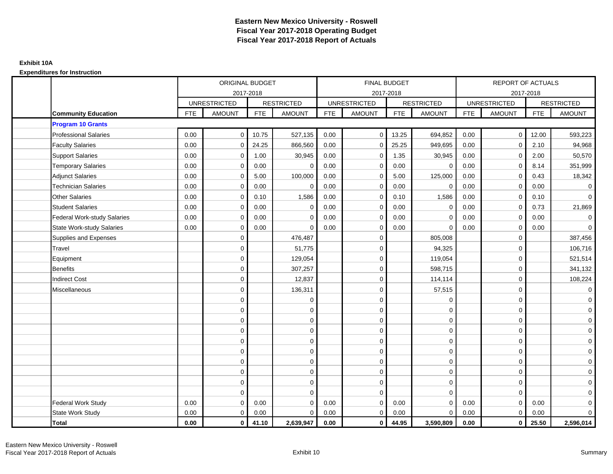|                                    |            | <b>ORIGINAL BUDGET</b> |            |                   |            | <b>FINAL BUDGET</b> |            |                     |            | <b>REPORT OF ACTUALS</b> |            |                   |
|------------------------------------|------------|------------------------|------------|-------------------|------------|---------------------|------------|---------------------|------------|--------------------------|------------|-------------------|
|                                    |            | 2017-2018              |            |                   |            | 2017-2018           |            |                     |            | 2017-2018                |            |                   |
|                                    |            | <b>UNRESTRICTED</b>    |            | <b>RESTRICTED</b> |            | <b>UNRESTRICTED</b> |            | <b>RESTRICTED</b>   |            | <b>UNRESTRICTED</b>      |            | <b>RESTRICTED</b> |
| <b>Community Education</b>         | <b>FTE</b> | <b>AMOUNT</b>          | <b>FTE</b> | <b>AMOUNT</b>     | <b>FTE</b> | <b>AMOUNT</b>       | <b>FTE</b> | <b>AMOUNT</b>       | <b>FTE</b> | <b>AMOUNT</b>            | <b>FTE</b> | <b>AMOUNT</b>     |
| <b>Program 10 Grants</b>           |            |                        |            |                   |            |                     |            |                     |            |                          |            |                   |
| <b>Professional Salaries</b>       | 0.00       | $\mathbf 0$            | 10.75      | 527,135           | 0.00       | $\overline{0}$      | 13.25      | 694,852             | 0.00       | $\mathbf{0}$             | 12.00      | 593,223           |
| <b>Faculty Salaries</b>            | 0.00       | $\mathbf 0$            | 24.25      | 866,560           | 0.00       | $\mathbf{0}$        | 25.25      | 949,695             | 0.00       | $\mathbf 0$              | 2.10       | 94,968            |
| <b>Support Salaries</b>            | 0.00       | $\mathbf 0$            | 1.00       | 30,945            | 0.00       | $\mathbf{0}$        | 1.35       | 30,945              | 0.00       | $\mathbf 0$              | 2.00       | 50,570            |
| <b>Temporary Salaries</b>          | 0.00       | $\Omega$               | 0.00       | $\mathbf 0$       | 0.00       | $\Omega$            | 0.00       | $\mathbf 0$         | 0.00       | $\mathbf 0$              | 8.14       | 351,999           |
| <b>Adjunct Salaries</b>            | 0.00       | $\mathbf 0$            | 5.00       | 100,000           | 0.00       | 0                   | 5.00       | 125,000             | 0.00       | $\mathbf 0$              | 0.43       | 18,342            |
| <b>Technician Salaries</b>         | 0.00       | $\mathbf 0$            | 0.00       | $\mathbf 0$       | 0.00       | $\mathbf 0$         | 0.00       | $\mathbf 0$         | 0.00       | $\mathbf 0$              | 0.00       | $\mathbf 0$       |
| <b>Other Salaries</b>              | 0.00       | $\mathbf 0$            | 0.10       | 1,586             | 0.00       | $\Omega$            | 0.10       | 1,586               | 0.00       | $\mathbf 0$              | 0.10       | $\overline{0}$    |
| <b>Student Salaries</b>            | 0.00       | $\mathbf 0$            | 0.00       | $\mathbf 0$       | 0.00       | 0                   | 0.00       | $\mathbf 0$         | 0.00       | $\mathbf 0$              | 0.73       | 21,869            |
| <b>Federal Work-study Salaries</b> | 0.00       | $\mathbf 0$            | 0.00       | $\Omega$          | 0.00       | $\mathbf 0$         | 0.00       | $\mathbf 0$         | 0.00       | $\mathbf 0$              | 0.00       | $\mathbf 0$       |
| <b>State Work-study Salaries</b>   | 0.00       | $\mathbf 0$            | 0.00       | $\Omega$          | 0.00       | 0                   | 0.00       | $\mathbf 0$         | 0.00       | $\mathbf 0$              | 0.00       | $\mathbf 0$       |
| Supplies and Expenses              |            | $\mathbf 0$            |            | 476,487           |            | $\mathbf 0$         |            | 805,008             |            | $\mathbf 0$              |            | 387,456           |
| Travel                             |            | $\mathbf 0$            |            | 51,775            |            | $\mathbf 0$         |            | 94,325              |            | $\mathbf 0$              |            | 106,716           |
| Equipment                          |            | $\mathbf 0$            |            | 129,054           |            | $\mathbf 0$         |            | 119,054             |            | $\mathbf 0$              |            | 521,514           |
| Benefits                           |            | $\mathbf 0$            |            | 307,257           |            | $\mathbf 0$         |            | 598,715             |            | $\mathbf 0$              |            | 341,132           |
| <b>Indirect Cost</b>               |            | $\mathbf 0$            |            | 12,837            |            | $\mathbf 0$         |            | 114,114             |            | $\mathbf 0$              |            | 108,224           |
| Miscellaneous                      |            | $\mathbf 0$            |            | 136,311           |            | $\mathbf 0$         |            | 57,515              |            | $\mathbf 0$              |            | $\mathbf 0$       |
|                                    |            | $\mathbf 0$            |            | $\mathbf 0$       |            | $\mathbf 0$         |            | $\mathbf 0$         |            | $\mathbf 0$              |            | $\overline{0}$    |
|                                    |            | $\mathbf 0$            |            | 0                 |            | $\mathbf{0}$        |            | $\mathbf 0$         |            | $\mathbf 0$              |            | $\overline{0}$    |
|                                    |            | $\Omega$               |            | $\mathbf 0$       |            | $\Omega$            |            | $\mathbf 0$         |            | $\mathbf 0$              |            | $\overline{0}$    |
|                                    |            | $\mathbf 0$            |            | $\mathbf 0$       |            | $\mathbf 0$         |            | $\mathbf 0$         |            | $\mathbf 0$              |            | $\overline{0}$    |
|                                    |            | $\mathbf 0$            |            | $\mathbf 0$       |            | $\mathbf 0$         |            | $\mathbf 0$         |            | $\mathbf 0$              |            | $\overline{0}$    |
|                                    |            | $\mathbf 0$            |            | $\mathbf 0$       |            | $\mathbf 0$         |            | $\mathbf 0$         |            | $\Omega$                 |            | $\overline{0}$    |
|                                    |            | $\mathbf 0$            |            | $\pmb{0}$         |            | $\mathbf 0$         |            | $\mathsf{O}\xspace$ |            | $\mathbf 0$              |            | $\overline{0}$    |
|                                    |            | $\mathbf 0$            |            | $\mathbf 0$       |            | $\Omega$            |            | $\mathbf 0$         |            | $\mathbf 0$              |            | $\mathbf 0$       |
|                                    |            | $\mathbf 0$            |            | $\mathbf 0$       |            | $\mathbf 0$         |            | $\mathbf 0$         |            | $\mathbf 0$              |            | $\mathbf 0$       |
|                                    |            | $\Omega$               |            | $\mathbf 0$       |            | $\Omega$            |            | $\mathbf{0}$        |            | $\Omega$                 |            | $\mathbf 0$       |
| Federal Work Study                 | 0.00       | $\mathbf 0$            | 0.00       | $\Omega$          | 0.00       | $\mathbf{0}$        | 0.00       | $\mathbf 0$         | 0.00       | $\mathbf 0$              | 0.00       | $\mathbf 0$       |
| State Work Study                   | 0.00       | $\mathbf 0$            | 0.00       | $\mathbf 0$       | 0.00       | $\mathbf{0}$        | 0.00       | $\mathbf 0$         | 0.00       | $\mathbf 0$              | 0.00       | $\overline{0}$    |
| Total                              | 0.00       | $\mathbf{0}$           | 41.10      | 2,639,947         | 0.00       | $\mathbf{0}$        | 44.95      | 3,590,809           | 0.00       | $\mathbf 0$              | 25.50      | 2,596,014         |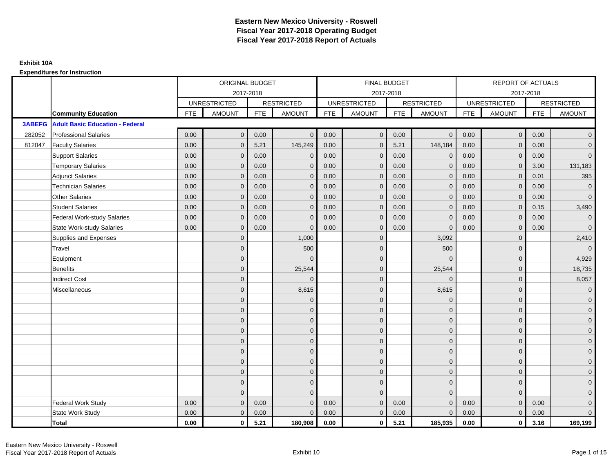|               |                                        |            | <b>ORIGINAL BUDGET</b> |            |                   |            | <b>FINAL BUDGET</b> |            |                   |            | <b>REPORT OF ACTUALS</b> |            |                     |
|---------------|----------------------------------------|------------|------------------------|------------|-------------------|------------|---------------------|------------|-------------------|------------|--------------------------|------------|---------------------|
|               |                                        |            | 2017-2018              |            |                   |            | 2017-2018           |            |                   |            |                          | 2017-2018  |                     |
|               |                                        |            | <b>UNRESTRICTED</b>    |            | <b>RESTRICTED</b> |            | <b>UNRESTRICTED</b> |            | <b>RESTRICTED</b> |            | <b>UNRESTRICTED</b>      |            | <b>RESTRICTED</b>   |
|               | <b>Community Education</b>             | <b>FTE</b> | <b>AMOUNT</b>          | <b>FTE</b> | <b>AMOUNT</b>     | <b>FTE</b> | <b>AMOUNT</b>       | <b>FTE</b> | <b>AMOUNT</b>     | <b>FTE</b> | <b>AMOUNT</b>            | <b>FTE</b> | <b>AMOUNT</b>       |
| <b>3ABEFG</b> | <b>Adult Basic Education - Federal</b> |            |                        |            |                   |            |                     |            |                   |            |                          |            |                     |
| 282052        | <b>Professional Salaries</b>           | 0.00       | $\mathbf{0}$           | 0.00       | $\mathbf{0}$      | 0.00       | $\mathbf 0$         | 0.00       | $\overline{0}$    | 0.00       | $\overline{0}$           | 0.00       | $\overline{0}$      |
| 812047        | <b>Faculty Salaries</b>                | 0.00       | $\mathbf{0}$           | 5.21       | 145,249           | 0.00       | $\mathbf{0}$        | 5.21       | 148,184           | 0.00       | $\mathbf{0}$             | 0.00       | $\overline{0}$      |
|               | <b>Support Salaries</b>                | 0.00       | $\mathbf 0$            | 0.00       | $\mathbf{0}$      | 0.00       | $\mathbf 0$         | 0.00       | $\mathbf 0$       | 0.00       | $\mathbf 0$              | 0.00       | $\overline{0}$      |
|               | <b>Temporary Salaries</b>              | 0.00       | $\mathbf{0}$           | 0.00       | $\Omega$          | 0.00       | $\mathbf{0}$        | 0.00       | $\mathbf{0}$      | 0.00       | $\mathbf 0$              | 3.00       | 131,183             |
|               | <b>Adjunct Salaries</b>                | 0.00       | $\Omega$               | 0.00       | $\Omega$          | 0.00       | $\Omega$            | 0.00       | $\mathbf{0}$      | 0.00       | $\mathbf{0}$             | 0.01       | 395                 |
|               | <b>Technician Salaries</b>             | 0.00       | $\mathbf{0}$           | 0.00       | $\Omega$          | 0.00       | $\mathbf{0}$        | 0.00       | $\mathbf{0}$      | 0.00       | $\mathbf{0}$             | 0.00       | $\mathbf 0$         |
|               | <b>Other Salaries</b>                  | 0.00       | $\mathbf{0}$           | 0.00       | $\Omega$          | 0.00       | $\mathbf{0}$        | 0.00       | $\mathbf{0}$      | 0.00       | $\mathbf{0}$             | 0.00       | $\overline{0}$      |
|               | <b>Student Salaries</b>                | 0.00       | $\mathbf{0}$           | 0.00       | $\Omega$          | 0.00       | $\mathbf{0}$        | 0.00       | $\mathbf{0}$      | 0.00       | $\mathbf{0}$             | 0.15       | 3,490               |
|               | <b>Federal Work-study Salaries</b>     | 0.00       | $\mathbf{0}$           | 0.00       | $\Omega$          | 0.00       | $\mathbf{0}$        | 0.00       | $\overline{0}$    | 0.00       | $\mathbf 0$              | 0.00       | $\mathbf 0$         |
|               | <b>State Work-study Salaries</b>       | 0.00       | $\mathbf{0}$           | 0.00       | $\Omega$          | 0.00       | $\mathbf{0}$        | 0.00       | $\Omega$          | 0.00       | $\mathbf{0}$             | 0.00       | $\overline{0}$      |
|               | Supplies and Expenses                  |            | $\mathbf{0}$           |            | 1,000             |            | $\mathbf{0}$        |            | 3,092             |            | $\mathbf 0$              |            | 2,410               |
|               | Travel                                 |            | $\overline{0}$         |            | 500               |            | $\mathbf{0}$        |            | 500               |            | $\mathbf{0}$             |            | $\mathbf 0$         |
|               | Equipment                              |            | $\overline{0}$         |            |                   |            | $\mathbf{0}$        |            | $\Omega$          |            | $\mathbf{0}$             |            | 4,929               |
|               | <b>Benefits</b>                        |            | $\mathbf{0}$           |            | 25,544            |            | $\mathbf{0}$        |            | 25,544            |            | $\mathbf 0$              |            | 18,735              |
|               | <b>Indirect Cost</b>                   |            | $\Omega$               |            | $\Omega$          |            | $\Omega$            |            | $\Omega$          |            | $\mathbf 0$              |            | 8,057               |
|               | Miscellaneous                          |            | $\Omega$               |            | 8,615             |            | $\Omega$            |            | 8,615             |            | $\Omega$                 |            | $\mathsf{O}\xspace$ |
|               |                                        |            | $\overline{0}$         |            | $\mathbf 0$       |            | $\mathbf{0}$        |            | $\mathbf 0$       |            | $\mathbf 0$              |            | $\overline{0}$      |
|               |                                        |            | $\Omega$               |            | $\mathbf{0}$      |            | $\Omega$            |            | $\mathbf 0$       |            | $\mathbf{0}$             |            | $\overline{0}$      |
|               |                                        |            | $\mathbf{0}$           |            | $\mathbf 0$       |            | $\Omega$            |            | $\mathbf 0$       |            | $\mathbf 0$              |            | $\overline{0}$      |
|               |                                        |            | $\Omega$               |            | $\mathbf{0}$      |            | $\Omega$            |            | $\mathbf 0$       |            | $\mathbf 0$              |            | $\overline{0}$      |
|               |                                        |            | $\Omega$               |            | $\mathbf{0}$      |            | $\Omega$            |            | $\mathbf{0}$      |            | $\Omega$                 |            | $\mathsf{O}\xspace$ |
|               |                                        |            | $\overline{0}$         |            | $\mathbf{0}$      |            | $\mathbf{0}$        |            | $\mathbf 0$       |            | $\mathbf 0$              |            | $\overline{0}$      |
|               |                                        |            | $\overline{0}$         |            | $\mathbf{0}$      |            | $\mathbf{0}$        |            | $\mathbf 0$       |            | $\mathbf{0}$             |            | $\overline{0}$      |
|               |                                        |            | $\mathbf{0}$           |            | $\mathbf{0}$      |            | $\Omega$            |            | $\mathbf 0$       |            | $\mathbf 0$              |            | $\mathbf{0}$        |
|               |                                        |            | $\mathbf{0}$           |            | $\mathbf{0}$      |            | $\mathbf{0}$        |            | $\mathbf 0$       |            | $\mathbf{0}$             |            | $\mathbf{0}$        |
|               |                                        |            | $\Omega$               |            | $\Omega$          |            | $\Omega$            |            | $\mathbf{0}$      |            | $\Omega$                 |            | $\mathsf{O}\xspace$ |
|               | Federal Work Study                     | 0.00       | $\mathbf{0}$           | 0.00       | $\Omega$          | 0.00       | $\mathbf{0}$        | 0.00       | $\mathbf{0}$      | 0.00       | $\mathbf{0}$             | 0.00       | $\mathsf{O}\xspace$ |
|               | State Work Study                       | 0.00       | $\overline{0}$         | 0.00       | $\Omega$          | 0.00       | $\overline{0}$      | 0.00       | $\mathbf{0}$      | 0.00       | $\mathbf{0}$             | 0.00       | $\overline{0}$      |
|               | <b>Total</b>                           | 0.00       | $\mathbf 0$            | 5.21       | 180,908           | 0.00       | $\mathbf{0}$        | 5.21       | 185,935           | 0.00       | $\mathbf 0$              | 3.16       | 169,199             |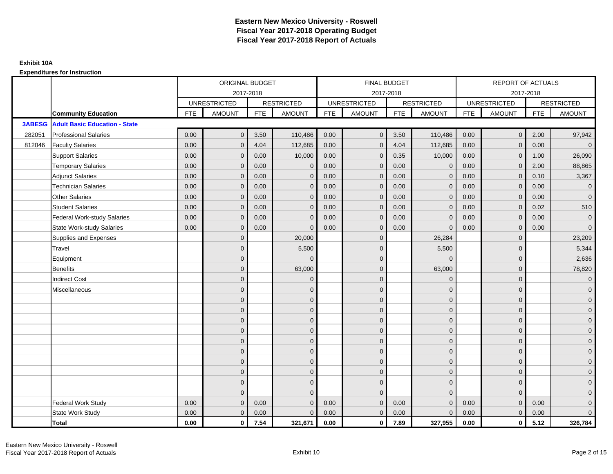|               |                                      |            | ORIGINAL BUDGET     |            |                   |            | FINAL BUDGET        |            |                   |            | <b>REPORT OF ACTUALS</b> |            |                     |
|---------------|--------------------------------------|------------|---------------------|------------|-------------------|------------|---------------------|------------|-------------------|------------|--------------------------|------------|---------------------|
|               |                                      |            | 2017-2018           |            |                   |            | 2017-2018           |            |                   |            | 2017-2018                |            |                     |
|               |                                      |            | <b>UNRESTRICTED</b> |            | <b>RESTRICTED</b> |            | <b>UNRESTRICTED</b> |            | <b>RESTRICTED</b> |            | <b>UNRESTRICTED</b>      |            | <b>RESTRICTED</b>   |
|               | <b>Community Education</b>           | <b>FTE</b> | <b>AMOUNT</b>       | <b>FTE</b> | <b>AMOUNT</b>     | <b>FTE</b> | <b>AMOUNT</b>       | <b>FTE</b> | <b>AMOUNT</b>     | <b>FTE</b> | <b>AMOUNT</b>            | <b>FTE</b> | <b>AMOUNT</b>       |
| <b>3ABESG</b> | <b>Adult Basic Education - State</b> |            |                     |            |                   |            |                     |            |                   |            |                          |            |                     |
| 282051        | <b>Professional Salaries</b>         | 0.00       | $\mathbf{0}$        | 3.50       | 110,486           | 0.00       | $\mathbf 0$         | 3.50       | 110,486           | 0.00       | $\mathbf 0$              | 2.00       | 97,942              |
| 812046        | <b>Faculty Salaries</b>              | 0.00       | $\overline{0}$      | 4.04       | 112,685           | 0.00       | $\mathbf{0}$        | 4.04       | 112,685           | 0.00       | $\mathbf{0}$             | 0.00       | $\overline{0}$      |
|               | <b>Support Salaries</b>              | 0.00       | $\overline{0}$      | 0.00       | 10,000            | 0.00       | $\mathbf{0}$        | 0.35       | 10,000            | 0.00       | $\mathbf{0}$             | 1.00       | 26,090              |
|               | <b>Temporary Salaries</b>            | 0.00       | $\overline{0}$      | 0.00       | $\mathbf 0$       | 0.00       | $\mathbf{0}$        | 0.00       | $\mathbf 0$       | 0.00       | $\mathbf 0$              | 2.00       | 88,865              |
|               | <b>Adjunct Salaries</b>              | 0.00       | $\Omega$            | 0.00       | $\Omega$          | 0.00       | $\mathbf{0}$        | 0.00       | $\overline{0}$    | 0.00       | $\Omega$                 | 0.10       | 3,367               |
|               | <b>Technician Salaries</b>           | 0.00       | $\Omega$            | 0.00       | $\Omega$          | 0.00       | $\Omega$            | 0.00       | $\Omega$          | 0.00       | $\Omega$                 | 0.00       | $\overline{0}$      |
|               | <b>Other Salaries</b>                | 0.00       | $\mathbf{0}$        | 0.00       | $\Omega$          | 0.00       | $\mathbf{0}$        | 0.00       | $\mathbf{0}$      | 0.00       | $\mathbf{0}$             | 0.00       | $\overline{0}$      |
|               | <b>Student Salaries</b>              | 0.00       | $\overline{0}$      | 0.00       | $\Omega$          | 0.00       | $\mathbf{0}$        | 0.00       | $\mathbf{0}$      | 0.00       | $\mathbf{0}$             | 0.02       | 510                 |
|               | <b>Federal Work-study Salaries</b>   | 0.00       | $\overline{0}$      | 0.00       | $\Omega$          | 0.00       | $\Omega$            | 0.00       | $\mathbf{0}$      | 0.00       | $\mathbf{0}$             | 0.00       | $\overline{0}$      |
|               | <b>State Work-study Salaries</b>     | 0.00       | $\mathbf{0}$        | 0.00       | $\Omega$          | 0.00       | $\mathbf{0}$        | 0.00       | $\Omega$          | 0.00       | $\mathbf{0}$             | 0.00       | $\overline{0}$      |
|               | Supplies and Expenses                |            | $\Omega$            |            | 20,000            |            | $\Omega$            |            | 26,284            |            | $\Omega$                 |            | 23,209              |
|               | Travel                               |            | $\Omega$            |            | 5,500             |            | $\Omega$            |            | 5,500             |            | $\Omega$                 |            | 5,344               |
|               | Equipment                            |            | $\overline{0}$      |            | $\Omega$          |            | $\mathbf{0}$        |            | $\mathbf{0}$      |            | $\mathbf{0}$             |            | 2,636               |
|               | <b>Benefits</b>                      |            | $\Omega$            |            | 63,000            |            | $\Omega$            |            | 63,000            |            | $\mathbf{0}$             |            | 78,820              |
|               | <b>Indirect Cost</b>                 |            | $\overline{0}$      |            | $\Omega$          |            | $\mathbf{0}$        |            | $\Omega$          |            | $\mathbf{0}$             |            | $\mathbf 0$         |
|               | Miscellaneous                        |            | $\mathbf{0}$        |            | 0                 |            | $\mathbf{0}$        |            | $\overline{0}$    |            | $\Omega$                 |            | $\mathbf 0$         |
|               |                                      |            | $\Omega$            |            | $\mathbf{0}$      |            | $\Omega$            |            | $\mathbf{0}$      |            | $\Omega$                 |            | $\overline{0}$      |
|               |                                      |            | $\overline{0}$      |            | $\mathbf 0$       |            | $\mathbf{0}$        |            | $\mathbf 0$       |            | $\mathbf{0}$             |            | $\mathbf 0$         |
|               |                                      |            | $\Omega$            |            | $\mathbf{0}$      |            | $\Omega$            |            | $\mathbf 0$       |            | $\Omega$                 |            | $\overline{0}$      |
|               |                                      |            | $\Omega$            |            | $\Omega$          |            | $\Omega$            |            | $\mathbf{0}$      |            | $\Omega$                 |            | $\overline{0}$      |
|               |                                      |            | $\mathbf{0}$        |            | $\mathbf{0}$      |            | $\mathbf{0}$        |            | $\mathbf 0$       |            | $\Omega$                 |            | $\mathsf{O}\xspace$ |
|               |                                      |            | $\mathbf{0}$        |            | $\mathbf{0}$      |            | $\Omega$            |            | $\mathbf{0}$      |            | $\Omega$                 |            | $\overline{0}$      |
|               |                                      |            | $\Omega$            |            | $\mathbf{0}$      |            | $\Omega$            |            | $\mathbf{0}$      |            | $\Omega$                 |            | $\overline{0}$      |
|               |                                      |            | $\Omega$            |            | $\mathbf 0$       |            | $\Omega$            |            | $\mathbf{0}$      |            | $\mathbf{0}$             |            | $\overline{0}$      |
|               |                                      |            | $\mathbf{0}$        |            | $\mathbf 0$       |            | $\Omega$            |            | $\mathbf{0}$      |            | $\mathbf{0}$             |            | $\overline{0}$      |
|               |                                      |            | $\Omega$            |            | $\Omega$          |            | $\Omega$            |            | $\mathbf{0}$      |            | $\Omega$                 |            | $\mathbf 0$         |
|               | <b>Federal Work Study</b>            | 0.00       | $\mathbf{0}$        | 0.00       | $\Omega$          | 0.00       | $\Omega$            | 0.00       | $\mathbf{0}$      | 0.00       | $\mathbf{0}$             | 0.00       | $\mathbf 0$         |
|               | State Work Study                     | 0.00       | $\mathbf{0}$        | 0.00       | $\Omega$          | 0.00       | $\mathbf{0}$        | 0.00       | $\mathbf{0}$      | 0.00       | $\mathbf{0}$             | 0.00       | $\overline{0}$      |
|               | <b>Total</b>                         | 0.00       | $\mathbf{0}$        | 7.54       | 321,671           | 0.00       | $\mathbf{0}$        | 7.89       | 327,955           | 0.00       | $\bf{0}$                 | 5.12       | 326,784             |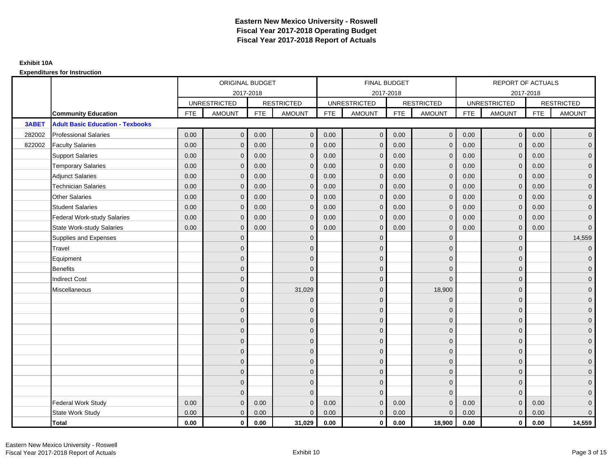|        |                                         | ORIGINAL BUDGET<br>2017-2018<br><b>UNRESTRICTED</b><br><b>RESTRICTED</b><br><b>FTE</b><br><b>AMOUNT</b><br><b>FTE</b><br><b>AMOUNT</b><br>$\mathbf{0}$<br>0.00<br>0.00<br>0.00<br>0.00<br>$\mathbf{0}$<br>0.00<br>0.00<br>$\mathbf{0}$<br>0.00<br>0.00<br>$\mathbf 0$<br>0.00<br>0.00<br>$\mathbf{0}$<br>0.00<br>0.00<br>$\Omega$<br>0.00<br>$\mathbf{0}$<br>0.00<br>0.00<br>$\mathbf{0}$<br>0.00<br>0.00<br>0.00<br>$\mathbf{0}$<br>0.00<br>0.00<br>$\mathbf{0}$<br>$\Omega$<br>$\Omega$<br>$\overline{0}$<br>$\Omega$<br>$\overline{0}$<br>$\overline{0}$<br>$\overline{0}$ |                |      |              | <b>FINAL BUDGET</b> |                     |            |                   | REPORT OF ACTUALS |                     |            |                     |
|--------|-----------------------------------------|-------------------------------------------------------------------------------------------------------------------------------------------------------------------------------------------------------------------------------------------------------------------------------------------------------------------------------------------------------------------------------------------------------------------------------------------------------------------------------------------------------------------------------------------------------------------------------|----------------|------|--------------|---------------------|---------------------|------------|-------------------|-------------------|---------------------|------------|---------------------|
|        |                                         |                                                                                                                                                                                                                                                                                                                                                                                                                                                                                                                                                                               |                |      |              |                     | 2017-2018           |            |                   |                   | 2017-2018           |            |                     |
|        |                                         |                                                                                                                                                                                                                                                                                                                                                                                                                                                                                                                                                                               |                |      |              |                     | <b>UNRESTRICTED</b> |            | <b>RESTRICTED</b> |                   | <b>UNRESTRICTED</b> |            | <b>RESTRICTED</b>   |
|        | <b>Community Education</b>              |                                                                                                                                                                                                                                                                                                                                                                                                                                                                                                                                                                               |                |      |              | <b>FTE</b>          | AMOUNT              | <b>FTE</b> | <b>AMOUNT</b>     | <b>FTE</b>        | <b>AMOUNT</b>       | <b>FTE</b> | <b>AMOUNT</b>       |
| 3ABET  | <b>Adult Basic Education - Texbooks</b> |                                                                                                                                                                                                                                                                                                                                                                                                                                                                                                                                                                               |                |      |              |                     |                     |            |                   |                   |                     |            |                     |
| 282002 | <b>Professional Salaries</b>            |                                                                                                                                                                                                                                                                                                                                                                                                                                                                                                                                                                               |                |      | $\mathbf{0}$ | 0.00                | $\mathbf 0$         | 0.00       | $\mathbf 0$       | 0.00              | $\overline{0}$      | 0.00       | $\overline{0}$      |
| 822002 | <b>Faculty Salaries</b>                 |                                                                                                                                                                                                                                                                                                                                                                                                                                                                                                                                                                               |                |      | $\mathbf{0}$ | 0.00                | $\mathbf{0}$        | 0.00       | $\mathbf{0}$      | 0.00              | $\mathbf 0$         | 0.00       | $\overline{0}$      |
|        | <b>Support Salaries</b>                 |                                                                                                                                                                                                                                                                                                                                                                                                                                                                                                                                                                               |                |      | $\mathbf 0$  | 0.00                | $\mathbf{0}$        | 0.00       | $\mathbf{0}$      | 0.00              | $\overline{0}$      | 0.00       | $\overline{0}$      |
|        | <b>Temporary Salaries</b>               |                                                                                                                                                                                                                                                                                                                                                                                                                                                                                                                                                                               |                |      | $\mathbf{0}$ | 0.00                | $\mathbf{0}$        | 0.00       | $\mathbf 0$       | 0.00              | $\mathbf 0$         | 0.00       | $\overline{0}$      |
|        | <b>Adjunct Salaries</b>                 |                                                                                                                                                                                                                                                                                                                                                                                                                                                                                                                                                                               |                |      | $\mathbf{0}$ | 0.00                | $\mathbf{0}$        | 0.00       | $\mathbf{0}$      | 0.00              | $\mathbf{0}$        | 0.00       | $\overline{0}$      |
|        | <b>Technician Salaries</b>              |                                                                                                                                                                                                                                                                                                                                                                                                                                                                                                                                                                               |                |      | $\Omega$     | 0.00                | $\Omega$            | 0.00       | $\mathbf{0}$      | 0.00              | $\mathbf{0}$        | 0.00       | $\overline{0}$      |
|        | <b>Other Salaries</b>                   |                                                                                                                                                                                                                                                                                                                                                                                                                                                                                                                                                                               |                |      | $\mathbf{0}$ | 0.00                | $\mathbf{0}$        | 0.00       | $\mathbf{0}$      | 0.00              | $\mathbf 0$         | 0.00       | $\overline{0}$      |
|        | <b>Student Salaries</b>                 |                                                                                                                                                                                                                                                                                                                                                                                                                                                                                                                                                                               |                |      | $\mathbf{0}$ | 0.00                | $\mathbf{0}$        | 0.00       | $\mathbf 0$       | 0.00              | $\mathbf{0}$        | 0.00       | $\overline{0}$      |
|        | <b>Federal Work-study Salaries</b>      |                                                                                                                                                                                                                                                                                                                                                                                                                                                                                                                                                                               |                |      | $\Omega$     | 0.00                | $\Omega$            | 0.00       | $\overline{0}$    | 0.00              | $\mathbf{0}$        | 0.00       | $\overline{0}$      |
|        | <b>State Work-study Salaries</b>        |                                                                                                                                                                                                                                                                                                                                                                                                                                                                                                                                                                               |                |      | $\mathbf{0}$ | 0.00                | $\mathbf{0}$        | 0.00       | $\mathbf 0$       | 0.00              | $\mathbf{0}$        | 0.00       | $\overline{0}$      |
|        | Supplies and Expenses                   |                                                                                                                                                                                                                                                                                                                                                                                                                                                                                                                                                                               |                |      | $\mathbf 0$  |                     | $\mathbf{0}$        |            | $\overline{0}$    |                   | $\mathbf 0$         |            | 14,559              |
|        | Travel                                  |                                                                                                                                                                                                                                                                                                                                                                                                                                                                                                                                                                               |                |      | $\mathbf{0}$ |                     | $\Omega$            |            | $\mathbf{0}$      |                   | $\mathbf{0}$        |            | $\overline{0}$      |
|        | Equipment                               |                                                                                                                                                                                                                                                                                                                                                                                                                                                                                                                                                                               |                |      | $\mathbf{0}$ |                     | $\mathbf{0}$        |            | $\mathbf 0$       |                   | $\mathbf{0}$        |            | $\overline{0}$      |
|        | <b>Benefits</b>                         |                                                                                                                                                                                                                                                                                                                                                                                                                                                                                                                                                                               |                |      | $\Omega$     |                     | $\Omega$            |            | $\mathbf 0$       |                   | $\mathbf{0}$        |            | $\overline{0}$      |
|        | <b>Indirect Cost</b>                    |                                                                                                                                                                                                                                                                                                                                                                                                                                                                                                                                                                               |                |      | $\mathbf 0$  |                     | $\mathbf{0}$        |            | $\mathbf 0$       |                   | $\mathbf 0$         |            | $\overline{0}$      |
|        | Miscellaneous                           |                                                                                                                                                                                                                                                                                                                                                                                                                                                                                                                                                                               |                |      | 31,029       |                     | $\mathbf{0}$        |            | 18,900            |                   | $\mathbf 0$         |            | $\mathbf 0$         |
|        |                                         |                                                                                                                                                                                                                                                                                                                                                                                                                                                                                                                                                                               |                |      | $\mathbf 0$  |                     | $\Omega$            |            | $\mathbf 0$       |                   | $\Omega$            |            | $\overline{0}$      |
|        |                                         |                                                                                                                                                                                                                                                                                                                                                                                                                                                                                                                                                                               | $\overline{0}$ |      | $\mathbf 0$  |                     | $\mathbf{0}$        |            | $\mathbf 0$       |                   | $\mathbf{0}$        |            | $\overline{0}$      |
|        |                                         |                                                                                                                                                                                                                                                                                                                                                                                                                                                                                                                                                                               | $\Omega$       |      | $\mathbf{0}$ |                     | $\Omega$            |            | $\mathbf 0$       |                   | $\mathbf{0}$        |            | $\overline{0}$      |
|        |                                         |                                                                                                                                                                                                                                                                                                                                                                                                                                                                                                                                                                               | $\Omega$       |      | $\Omega$     |                     | $\Omega$            |            | $\mathbf 0$       |                   | $\Omega$            |            | $\overline{0}$      |
|        |                                         |                                                                                                                                                                                                                                                                                                                                                                                                                                                                                                                                                                               | $\mathbf{0}$   |      | $\mathbf 0$  |                     | $\mathbf{0}$        |            | $\mathbf 0$       |                   | $\mathbf 0$         |            | $\mathsf{O}\xspace$ |
|        |                                         |                                                                                                                                                                                                                                                                                                                                                                                                                                                                                                                                                                               | $\overline{0}$ |      | $\mathbf{0}$ |                     | $\mathbf{0}$        |            | $\mathbf{0}$      |                   | $\mathbf{0}$        |            | $\overline{0}$      |
|        |                                         |                                                                                                                                                                                                                                                                                                                                                                                                                                                                                                                                                                               | $\Omega$       |      | $\mathbf{0}$ |                     | $\Omega$            |            | $\mathbf 0$       |                   | $\mathbf{0}$        |            | $\overline{0}$      |
|        |                                         |                                                                                                                                                                                                                                                                                                                                                                                                                                                                                                                                                                               | $\mathbf{0}$   |      | $\mathbf{0}$ |                     | $\Omega$            |            | $\overline{0}$    |                   | $\mathbf{0}$        |            | $\overline{0}$      |
|        |                                         |                                                                                                                                                                                                                                                                                                                                                                                                                                                                                                                                                                               | $\mathbf{0}$   |      | $\mathbf{0}$ |                     | $\Omega$            |            | $\mathbf{0}$      |                   | $\mathbf{0}$        |            | $\overline{0}$      |
|        |                                         |                                                                                                                                                                                                                                                                                                                                                                                                                                                                                                                                                                               | $\Omega$       |      | $\Omega$     |                     | $\Omega$            |            | $\mathbf{0}$      |                   | $\Omega$            |            | $\mathsf{O}\xspace$ |
|        | <b>Federal Work Study</b>               | 0.00                                                                                                                                                                                                                                                                                                                                                                                                                                                                                                                                                                          | $\mathbf{0}$   | 0.00 | $\Omega$     | 0.00                | $\mathbf{0}$        | 0.00       | $\mathbf{0}$      | 0.00              | $\mathbf{0}$        | 0.00       | $\mathbf{0}$        |
|        | State Work Study                        | 0.00                                                                                                                                                                                                                                                                                                                                                                                                                                                                                                                                                                          | $\mathbf{0}$   | 0.00 | $\mathbf{0}$ | 0.00                | $\overline{0}$      | 0.00       | $\mathbf{0}$      | 0.00              | $\mathbf{0}$        | 0.00       | $\overline{0}$      |
|        | Total                                   | 0.00                                                                                                                                                                                                                                                                                                                                                                                                                                                                                                                                                                          | $\mathbf 0$    | 0.00 | 31,029       | 0.00                | $\mathbf{0}$        | 0.00       | 18,900            | 0.00              | $\mathbf 0$         | 0.00       | 14,559              |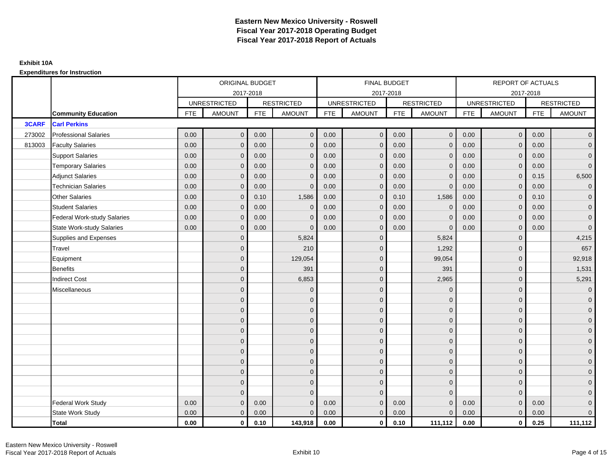|              |                                  | ORIGINAL BUDGET<br>2017-2018<br><b>RESTRICTED</b><br><b>UNRESTRICTED</b><br><b>FTE</b><br><b>AMOUNT</b><br><b>FTE</b><br>0.00<br>$\mathbf{0}$<br>0.00<br>0.00<br>0.00<br>$\mathbf{0}$<br>0.00<br>0.00<br>$\mathbf{0}$<br>0.00<br>$\mathbf{0}$<br>0.00<br>0.00<br>0.00<br>$\mathbf{0}$<br>0.00<br>0.00<br>$\mathbf{0}$<br>0.00<br>$\mathbf{0}$<br>0.10<br>0.00<br>$\mathbf 0$<br>0.00<br>0.00<br>$\mathbf{0}$<br>0.00<br>0.00<br>0.00<br>$\mathbf{0}$<br>$\mathbf{0}$<br>$\mathbf{0}$<br>$\mathbf{0}$<br>$\mathbf{0}$<br>$\mathbf{0}$<br>$\Omega$<br>$\overline{0}$<br>$\overline{0}$<br>$\Omega$<br>$\overline{0}$<br>$\mathbf{0}$ |                |      |               |            | <b>FINAL BUDGET</b> |            |                   |            | <b>REPORT OF ACTUALS</b> |            |                     |
|--------------|----------------------------------|------------------------------------------------------------------------------------------------------------------------------------------------------------------------------------------------------------------------------------------------------------------------------------------------------------------------------------------------------------------------------------------------------------------------------------------------------------------------------------------------------------------------------------------------------------------------------------------------------------------------------------|----------------|------|---------------|------------|---------------------|------------|-------------------|------------|--------------------------|------------|---------------------|
|              |                                  |                                                                                                                                                                                                                                                                                                                                                                                                                                                                                                                                                                                                                                    |                |      |               |            | 2017-2018           |            |                   |            | 2017-2018                |            |                     |
|              |                                  |                                                                                                                                                                                                                                                                                                                                                                                                                                                                                                                                                                                                                                    |                |      |               |            | <b>UNRESTRICTED</b> |            | <b>RESTRICTED</b> |            | <b>UNRESTRICTED</b>      |            | <b>RESTRICTED</b>   |
|              | <b>Community Education</b>       |                                                                                                                                                                                                                                                                                                                                                                                                                                                                                                                                                                                                                                    |                |      | <b>AMOUNT</b> | <b>FTE</b> | <b>AMOUNT</b>       | <b>FTE</b> | <b>AMOUNT</b>     | <b>FTE</b> | <b>AMOUNT</b>            | <b>FTE</b> | <b>AMOUNT</b>       |
| <b>3CARF</b> | <b>Carl Perkins</b>              |                                                                                                                                                                                                                                                                                                                                                                                                                                                                                                                                                                                                                                    |                |      |               |            |                     |            |                   |            |                          |            |                     |
| 273002       | <b>Professional Salaries</b>     |                                                                                                                                                                                                                                                                                                                                                                                                                                                                                                                                                                                                                                    |                |      | $\mathbf{0}$  | 0.00       | $\overline{0}$      | 0.00       | $\overline{0}$    | 0.00       | $\overline{0}$           | 0.00       | $\overline{0}$      |
| 813003       | <b>Faculty Salaries</b>          |                                                                                                                                                                                                                                                                                                                                                                                                                                                                                                                                                                                                                                    |                |      | $\mathbf{0}$  | 0.00       | $\mathbf{0}$        | 0.00       | $\mathbf{0}$      | 0.00       | $\mathbf 0$              | 0.00       | $\overline{0}$      |
|              | <b>Support Salaries</b>          |                                                                                                                                                                                                                                                                                                                                                                                                                                                                                                                                                                                                                                    |                |      | $\mathbf 0$   | 0.00       | $\overline{0}$      | 0.00       | $\mathbf 0$       | 0.00       | $\mathbf{0}$             | 0.00       | $\overline{0}$      |
|              | <b>Temporary Salaries</b>        |                                                                                                                                                                                                                                                                                                                                                                                                                                                                                                                                                                                                                                    |                |      | $\mathbf{0}$  | 0.00       | $\mathbf{0}$        | 0.00       | $\mathbf{0}$      | 0.00       | $\mathbf 0$              | 0.00       | $\overline{0}$      |
|              | <b>Adjunct Salaries</b>          |                                                                                                                                                                                                                                                                                                                                                                                                                                                                                                                                                                                                                                    |                |      | $\mathbf{0}$  | 0.00       | $\mathbf{0}$        | 0.00       | $\mathbf 0$       | 0.00       | $\mathbf{0}$             | 0.15       | 6,500               |
|              | <b>Technician Salaries</b>       |                                                                                                                                                                                                                                                                                                                                                                                                                                                                                                                                                                                                                                    |                |      | $\mathbf{0}$  | 0.00       | $\mathbf{0}$        | 0.00       | $\mathbf{0}$      | 0.00       | $\mathbf{0}$             | 0.00       | $\overline{0}$      |
|              | <b>Other Salaries</b>            |                                                                                                                                                                                                                                                                                                                                                                                                                                                                                                                                                                                                                                    |                |      | 1,586         | 0.00       | $\Omega$            | 0.10       | 1,586             | 0.00       | $\mathbf{0}$             | 0.10       | $\overline{0}$      |
|              | <b>Student Salaries</b>          |                                                                                                                                                                                                                                                                                                                                                                                                                                                                                                                                                                                                                                    |                |      | $\mathbf 0$   | 0.00       | $\overline{0}$      | 0.00       | $\overline{0}$    | 0.00       | $\mathbf{0}$             | 0.00       | $\overline{0}$      |
|              | Federal Work-study Salaries      |                                                                                                                                                                                                                                                                                                                                                                                                                                                                                                                                                                                                                                    |                |      | $\mathbf{0}$  | 0.00       | $\mathbf{0}$        | 0.00       | $\overline{0}$    | 0.00       | $\mathbf 0$              | 0.00       | $\overline{0}$      |
|              | <b>State Work-study Salaries</b> |                                                                                                                                                                                                                                                                                                                                                                                                                                                                                                                                                                                                                                    |                |      | $\Omega$      | 0.00       | $\Omega$            | 0.00       | $\Omega$          | 0.00       | $\mathbf{0}$             | 0.00       | $\mathbf{0}$        |
|              | Supplies and Expenses            |                                                                                                                                                                                                                                                                                                                                                                                                                                                                                                                                                                                                                                    |                |      | 5,824         |            | $\mathbf{0}$        |            | 5,824             |            | $\mathbf 0$              |            | 4,215               |
|              | Travel                           |                                                                                                                                                                                                                                                                                                                                                                                                                                                                                                                                                                                                                                    |                |      | 210           |            | $\mathbf{0}$        |            | 1,292             |            | $\mathbf{0}$             |            | 657                 |
|              | Equipment                        |                                                                                                                                                                                                                                                                                                                                                                                                                                                                                                                                                                                                                                    |                |      | 129,054       |            | $\mathbf{0}$        |            | 99,054            |            | $\mathbf{0}$             |            | 92,918              |
|              | <b>Benefits</b>                  |                                                                                                                                                                                                                                                                                                                                                                                                                                                                                                                                                                                                                                    |                |      | 391           |            | $\mathbf{0}$        |            | 391               |            | $\mathbf{0}$             |            | 1,531               |
|              | <b>Indirect Cost</b>             |                                                                                                                                                                                                                                                                                                                                                                                                                                                                                                                                                                                                                                    |                |      | 6,853         |            | $\Omega$            |            | 2,965             |            | $\mathbf{0}$             |            | 5,291               |
|              | Miscellaneous                    |                                                                                                                                                                                                                                                                                                                                                                                                                                                                                                                                                                                                                                    |                |      | $\mathbf{0}$  |            | $\mathbf{0}$        |            | $\mathbf 0$       |            | $\mathbf 0$              |            | $\overline{0}$      |
|              |                                  |                                                                                                                                                                                                                                                                                                                                                                                                                                                                                                                                                                                                                                    |                |      | $\mathbf 0$   |            | $\mathbf{0}$        |            | $\mathbf 0$       |            | $\mathbf{0}$             |            | $\mathbf{0}$        |
|              |                                  |                                                                                                                                                                                                                                                                                                                                                                                                                                                                                                                                                                                                                                    |                |      | $\mathbf 0$   |            | $\mathbf{0}$        |            | $\mathbf 0$       |            | $\mathbf{0}$             |            | $\overline{0}$      |
|              |                                  |                                                                                                                                                                                                                                                                                                                                                                                                                                                                                                                                                                                                                                    |                |      | $\mathbf{0}$  |            | $\Omega$            |            | $\mathbf 0$       |            | $\Omega$                 |            | $\overline{0}$      |
|              |                                  |                                                                                                                                                                                                                                                                                                                                                                                                                                                                                                                                                                                                                                    |                |      | $\mathbf 0$   |            | $\mathbf{0}$        |            | $\mathbf 0$       |            | $\mathbf 0$              |            | $\mathbf{0}$        |
|              |                                  |                                                                                                                                                                                                                                                                                                                                                                                                                                                                                                                                                                                                                                    |                |      | $\mathbf 0$   |            | $\mathbf{0}$        |            | $\mathbf 0$       |            | $\mathbf 0$              |            | $\mathbf{0}$        |
|              |                                  |                                                                                                                                                                                                                                                                                                                                                                                                                                                                                                                                                                                                                                    | $\overline{0}$ |      | $\mathbf{0}$  |            | $\mathbf{0}$        |            | $\mathbf{0}$      |            | $\mathbf{0}$             |            | $\overline{0}$      |
|              |                                  |                                                                                                                                                                                                                                                                                                                                                                                                                                                                                                                                                                                                                                    | $\overline{0}$ |      | $\mathbf 0$   |            | $\mathbf{0}$        |            | $\mathbf 0$       |            | $\mathbf 0$              |            | $\overline{0}$      |
|              |                                  |                                                                                                                                                                                                                                                                                                                                                                                                                                                                                                                                                                                                                                    | $\mathbf{0}$   |      | $\mathbf{0}$  |            | $\Omega$            |            | $\mathbf 0$       |            | $\mathbf{0}$             |            | $\overline{0}$      |
|              |                                  |                                                                                                                                                                                                                                                                                                                                                                                                                                                                                                                                                                                                                                    | $\mathbf{0}$   |      | $\mathbf{0}$  |            | $\Omega$            |            | $\mathbf{0}$      |            | $\mathbf{0}$             |            | $\overline{0}$      |
|              |                                  |                                                                                                                                                                                                                                                                                                                                                                                                                                                                                                                                                                                                                                    | $\Omega$       |      | $\Omega$      |            | $\Omega$            |            | $\mathbf{0}$      |            | $\Omega$                 |            | $\mathsf{O}\xspace$ |
|              | <b>Federal Work Study</b>        | 0.00                                                                                                                                                                                                                                                                                                                                                                                                                                                                                                                                                                                                                               | $\mathbf{0}$   | 0.00 | $\mathbf 0$   | 0.00       | $\mathbf{0}$        | 0.00       | $\mathbf{0}$      | 0.00       | $\mathbf{0}$             | 0.00       | $\overline{0}$      |
|              | State Work Study                 | 0.00                                                                                                                                                                                                                                                                                                                                                                                                                                                                                                                                                                                                                               | $\mathbf{0}$   | 0.00 | $\mathbf{0}$  | 0.00       | $\overline{0}$      | 0.00       | $\mathbf{0}$      | 0.00       | $\mathbf{0}$             | 0.00       | $\overline{0}$      |
|              | <b>Total</b>                     | 0.00                                                                                                                                                                                                                                                                                                                                                                                                                                                                                                                                                                                                                               | $\mathbf 0$    | 0.10 | 143,918       | 0.00       | $\mathbf{0}$        | 0.10       | 111,112           | 0.00       | $\mathbf{0}$             | 0.25       | 111,112             |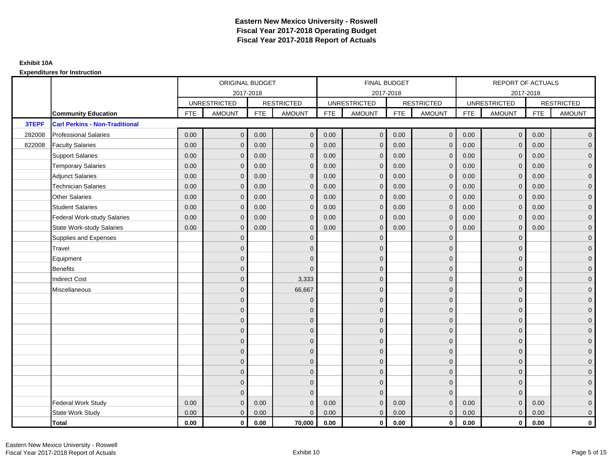|        |                                       |            | ORIGINAL BUDGET     |            |                   |            | <b>FINAL BUDGET</b> |            |                   |            | REPORT OF ACTUALS   |            |                     |
|--------|---------------------------------------|------------|---------------------|------------|-------------------|------------|---------------------|------------|-------------------|------------|---------------------|------------|---------------------|
|        |                                       |            | 2017-2018           |            |                   |            | 2017-2018           |            |                   |            | 2017-2018           |            |                     |
|        |                                       |            | <b>UNRESTRICTED</b> |            | <b>RESTRICTED</b> |            | <b>UNRESTRICTED</b> |            | <b>RESTRICTED</b> |            | <b>UNRESTRICTED</b> |            | <b>RESTRICTED</b>   |
|        | <b>Community Education</b>            | <b>FTE</b> | <b>AMOUNT</b>       | <b>FTE</b> | <b>AMOUNT</b>     | <b>FTE</b> | AMOUNT              | <b>FTE</b> | <b>AMOUNT</b>     | <b>FTE</b> | <b>AMOUNT</b>       | <b>FTE</b> | <b>AMOUNT</b>       |
| 3TEPF  | <b>Carl Perkins - Non-Traditional</b> |            |                     |            |                   |            |                     |            |                   |            |                     |            |                     |
| 282008 | <b>Professional Salaries</b>          | 0.00       | $\mathbf{0}$        | 0.00       | $\mathbf{0}$      | 0.00       | $\mathbf 0$         | 0.00       | $\overline{0}$    | 0.00       | $\mathbf 0$         | 0.00       | $\overline{0}$      |
| 822008 | <b>Faculty Salaries</b>               | 0.00       | $\mathbf{0}$        | 0.00       | $\mathbf{0}$      | 0.00       | $\mathbf{0}$        | 0.00       | $\mathbf{0}$      | 0.00       | $\mathbf{0}$        | 0.00       | $\overline{0}$      |
|        | <b>Support Salaries</b>               | 0.00       | $\mathbf{0}$        | 0.00       | $\mathbf 0$       | 0.00       | $\mathbf{0}$        | 0.00       | $\mathbf{0}$      | 0.00       | $\mathbf{0}$        | 0.00       | $\overline{0}$      |
|        | <b>Temporary Salaries</b>             | 0.00       | $\mathbf 0$         | 0.00       | $\mathbf{0}$      | 0.00       | $\mathbf{0}$        | 0.00       | $\mathbf 0$       | 0.00       | $\mathbf 0$         | 0.00       | $\overline{0}$      |
|        | <b>Adjunct Salaries</b>               | 0.00       | $\mathbf{0}$        | 0.00       | $\Omega$          | 0.00       | $\mathbf{0}$        | 0.00       | $\mathbf{0}$      | 0.00       | $\Omega$            | 0.00       | $\mathbf 0$         |
|        | <b>Technician Salaries</b>            | 0.00       | $\Omega$            | 0.00       | $\Omega$          | 0.00       | $\Omega$            | 0.00       | $\Omega$          | 0.00       | $\Omega$            | 0.00       | $\overline{0}$      |
|        | <b>Other Salaries</b>                 | 0.00       | $\mathbf{0}$        | 0.00       | $\mathbf{0}$      | 0.00       | $\mathbf{0}$        | 0.00       | $\mathbf{0}$      | 0.00       | $\mathbf{0}$        | 0.00       | $\overline{0}$      |
|        | <b>Student Salaries</b>               | 0.00       | $\mathbf{0}$        | 0.00       | $\mathbf{0}$      | 0.00       | $\mathbf{0}$        | 0.00       | $\mathbf 0$       | 0.00       | $\mathbf{0}$        | 0.00       | $\overline{0}$      |
|        | <b>Federal Work-study Salaries</b>    | 0.00       | $\mathbf{0}$        | 0.00       | $\Omega$          | 0.00       | $\Omega$            | 0.00       | $\mathbf{0}$      | 0.00       | $\mathbf{0}$        | 0.00       | $\overline{0}$      |
|        | <b>State Work-study Salaries</b>      | 0.00       | $\mathbf{0}$        | 0.00       | $\mathbf{0}$      | 0.00       | $\mathbf{0}$        | 0.00       | $\mathbf{0}$      | 0.00       | $\mathbf{0}$        | 0.00       | $\overline{0}$      |
|        | Supplies and Expenses                 |            | $\Omega$            |            | $\Omega$          |            | $\Omega$            |            | $\mathbf{0}$      |            | $\Omega$            |            | $\overline{0}$      |
|        | Travel                                |            | $\Omega$            |            | $\Omega$          |            | $\Omega$            |            | $\mathbf{0}$      |            | $\Omega$            |            | $\overline{0}$      |
|        | Equipment                             |            | $\overline{0}$      |            | $\Omega$          |            | $\mathbf{0}$        |            | $\mathbf 0$       |            | $\mathbf{0}$        |            | $\overline{0}$      |
|        | <b>Benefits</b>                       |            | $\Omega$            |            | $\Omega$          |            | $\Omega$            |            | $\mathbf 0$       |            | $\mathbf{0}$        |            | $\overline{0}$      |
|        | <b>Indirect Cost</b>                  |            | $\overline{0}$      |            | 3,333             |            | $\mathbf{0}$        |            | $\mathbf 0$       |            | $\mathbf{0}$        |            | $\mathbf 0$         |
|        | Miscellaneous                         |            | $\overline{0}$      |            | 66,667            |            | $\mathbf{0}$        |            | $\mathbf 0$       |            | $\Omega$            |            | $\mathbf 0$         |
|        |                                       |            | $\overline{0}$      |            | $\mathbf{0}$      |            | $\Omega$            |            | $\mathbf{0}$      |            | $\Omega$            |            | $\overline{0}$      |
|        |                                       |            | $\overline{0}$      |            | $\mathbf{0}$      |            | $\mathbf{0}$        |            | $\mathbf 0$       |            | $\mathbf{0}$        |            | $\overline{0}$      |
|        |                                       |            | $\Omega$            |            | $\mathbf{0}$      |            | $\Omega$            |            | $\mathbf 0$       |            | $\Omega$            |            | $\overline{0}$      |
|        |                                       |            | $\Omega$            |            | $\Omega$          |            | $\Omega$            |            | $\mathbf{0}$      |            | $\Omega$            |            | $\overline{0}$      |
|        |                                       |            | $\Omega$            |            | $\mathbf{0}$      |            | $\mathbf{0}$        |            | $\mathbf 0$       |            | $\Omega$            |            | $\mathsf{O}\xspace$ |
|        |                                       |            | $\overline{0}$      |            | $\mathbf{0}$      |            | $\Omega$            |            | $\mathbf{0}$      |            | $\Omega$            |            | $\overline{0}$      |
|        |                                       |            | $\Omega$            |            | $\mathbf{0}$      |            | $\Omega$            |            | $\mathbf{0}$      |            | $\Omega$            |            | $\overline{0}$      |
|        |                                       |            | $\Omega$            |            | $\mathbf 0$       |            | $\Omega$            |            | $\mathbf 0$       |            | $\mathbf{0}$        |            | $\overline{0}$      |
|        |                                       |            | $\mathbf{0}$        |            | $\mathbf{0}$      |            | $\Omega$            |            | $\mathbf{0}$      |            | $\mathbf{0}$        |            | $\mathbf 0$         |
|        |                                       |            | $\Omega$            |            | $\Omega$          |            | $\Omega$            |            | $\mathbf{0}$      |            | $\Omega$            |            | $\mathbf 0$         |
|        | <b>Federal Work Study</b>             | 0.00       | $\mathbf{0}$        | 0.00       | $\Omega$          | 0.00       | $\mathbf{0}$        | 0.00       | $\mathbf{0}$      | 0.00       | $\mathbf{0}$        | 0.00       | $\mathbf 0$         |
|        | State Work Study                      | 0.00       | $\mathbf{0}$        | 0.00       | $\mathbf{0}$      | 0.00       | $\overline{0}$      | 0.00       | $\overline{0}$    | 0.00       | $\mathbf{0}$        | 0.00       | $\overline{0}$      |
|        | Total                                 | 0.00       | $\mathbf 0$         | 0.00       | 70,000            | 0.00       | $\mathbf{0}$        | 0.00       | $\mathbf{0}$      | 0.00       | $\mathbf 0$         | 0.00       | $\mathbf 0$         |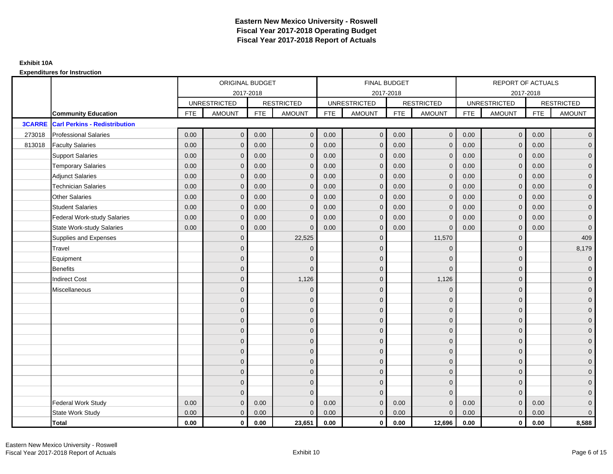|               |                                      | ORIGINAL BUDGET<br>2017-2018<br><b>UNRESTRICTED</b><br><b>RESTRICTED</b><br><b>FTE</b><br><b>AMOUNT</b><br><b>AMOUNT</b><br><b>FTE</b><br>$\mathbf{0}$<br>0.00<br>0.00<br>$\mathbf{0}$<br>0.00<br>0.00<br>$\mathbf{0}$<br>$\mathbf{0}$<br>0.00<br>$\mathbf{0}$<br>0.00<br>$\mathbf{0}$<br>0.00<br>0.00<br>$\mathbf{0}$<br>$\mathbf 0$<br>0.00<br>$\mathbf{0}$<br>0.00<br>$\Omega$<br>0.00<br>0.00<br>$\Omega$<br>$\Omega$<br>0.00<br>$\mathbf{0}$<br>0.00<br>$\mathbf 0$<br>0.00<br>$\mathbf{0}$<br>0.00<br>$\mathbf{0}$<br>0.00<br>0.00<br>$\mathbf{0}$<br>$\Omega$<br>0.00<br>0.00<br>$\mathbf{0}$<br>$\Omega$ |                |      |              | FINAL BUDGET |                     |            |                   | REPORT OF ACTUALS |                     |            |                   |
|---------------|--------------------------------------|------------------------------------------------------------------------------------------------------------------------------------------------------------------------------------------------------------------------------------------------------------------------------------------------------------------------------------------------------------------------------------------------------------------------------------------------------------------------------------------------------------------------------------------------------------------------------------------------------------------|----------------|------|--------------|--------------|---------------------|------------|-------------------|-------------------|---------------------|------------|-------------------|
|               |                                      |                                                                                                                                                                                                                                                                                                                                                                                                                                                                                                                                                                                                                  |                |      |              |              | 2017-2018           |            |                   |                   |                     | 2017-2018  |                   |
|               |                                      |                                                                                                                                                                                                                                                                                                                                                                                                                                                                                                                                                                                                                  |                |      |              |              | <b>UNRESTRICTED</b> |            | <b>RESTRICTED</b> |                   | <b>UNRESTRICTED</b> |            | <b>RESTRICTED</b> |
|               | <b>Community Education</b>           |                                                                                                                                                                                                                                                                                                                                                                                                                                                                                                                                                                                                                  |                |      |              | <b>FTE</b>   | AMOUNT              | <b>FTE</b> | <b>AMOUNT</b>     | <b>FTE</b>        | <b>AMOUNT</b>       | <b>FTE</b> | <b>AMOUNT</b>     |
| <b>3CARRE</b> | <b>Carl Perkins - Redistribution</b> |                                                                                                                                                                                                                                                                                                                                                                                                                                                                                                                                                                                                                  |                |      |              |              |                     |            |                   |                   |                     |            |                   |
| 273018        | <b>Professional Salaries</b>         |                                                                                                                                                                                                                                                                                                                                                                                                                                                                                                                                                                                                                  |                |      |              | 0.00         | $\mathbf 0$         | 0.00       | $\overline{0}$    | 0.00              | $\overline{0}$      | 0.00       | $\overline{0}$    |
| 813018        | <b>Faculty Salaries</b>              |                                                                                                                                                                                                                                                                                                                                                                                                                                                                                                                                                                                                                  |                |      |              | 0.00         | $\mathbf{0}$        | 0.00       | $\mathbf{0}$      | 0.00              | $\mathbf 0$         | 0.00       | $\overline{0}$    |
|               | <b>Support Salaries</b>              |                                                                                                                                                                                                                                                                                                                                                                                                                                                                                                                                                                                                                  |                |      |              | 0.00         | $\mathbf{0}$        | 0.00       | $\mathbf{0}$      | 0.00              | $\mathbf{0}$        | 0.00       | $\overline{0}$    |
|               | <b>Temporary Salaries</b>            |                                                                                                                                                                                                                                                                                                                                                                                                                                                                                                                                                                                                                  |                |      |              | 0.00         | $\mathbf{0}$        | 0.00       | $\mathbf 0$       | 0.00              | $\mathbf 0$         | 0.00       | $\overline{0}$    |
|               | <b>Adjunct Salaries</b>              |                                                                                                                                                                                                                                                                                                                                                                                                                                                                                                                                                                                                                  |                |      |              | 0.00         | $\mathbf{0}$        | 0.00       | $\mathbf{0}$      | 0.00              | $\mathbf{0}$        | 0.00       | $\overline{0}$    |
|               | <b>Technician Salaries</b>           |                                                                                                                                                                                                                                                                                                                                                                                                                                                                                                                                                                                                                  |                |      |              | 0.00         | $\Omega$            | 0.00       | $\mathbf{0}$      | 0.00              | $\Omega$            | 0.00       | $\overline{0}$    |
|               | <b>Other Salaries</b>                |                                                                                                                                                                                                                                                                                                                                                                                                                                                                                                                                                                                                                  |                |      |              | 0.00         | $\mathbf{0}$        | 0.00       | $\mathbf{0}$      | 0.00              | $\mathbf{0}$        | 0.00       | $\overline{0}$    |
|               | <b>Student Salaries</b>              |                                                                                                                                                                                                                                                                                                                                                                                                                                                                                                                                                                                                                  |                |      |              | 0.00         | $\mathbf{0}$        | 0.00       | $\mathbf 0$       | 0.00              | $\mathbf 0$         | 0.00       | $\overline{0}$    |
|               | <b>Federal Work-study Salaries</b>   |                                                                                                                                                                                                                                                                                                                                                                                                                                                                                                                                                                                                                  |                |      |              | 0.00         | $\Omega$            | 0.00       | $\overline{0}$    | 0.00              | $\mathbf{0}$        | 0.00       | $\mathbf{0}$      |
|               | <b>State Work-study Salaries</b>     |                                                                                                                                                                                                                                                                                                                                                                                                                                                                                                                                                                                                                  |                |      |              | 0.00         | $\mathbf{0}$        | 0.00       | $\mathbf 0$       | 0.00              | $\mathbf{0}$        | 0.00       | $\mathbf 0$       |
|               | Supplies and Expenses                |                                                                                                                                                                                                                                                                                                                                                                                                                                                                                                                                                                                                                  | $\mathbf{0}$   |      | 22,525       |              | $\mathbf{0}$        |            | 11,570            |                   | $\mathbf 0$         |            | 409               |
|               | Travel                               |                                                                                                                                                                                                                                                                                                                                                                                                                                                                                                                                                                                                                  | $\Omega$       |      | $\Omega$     |              | $\Omega$            |            | $\mathbf 0$       |                   | $\mathbf 0$         |            | 8,179             |
|               | Equipment                            |                                                                                                                                                                                                                                                                                                                                                                                                                                                                                                                                                                                                                  | $\overline{0}$ |      | $\Omega$     |              | $\mathbf{0}$        |            | $\mathbf{0}$      |                   | $\mathbf{0}$        |            | $\overline{0}$    |
|               | <b>Benefits</b>                      |                                                                                                                                                                                                                                                                                                                                                                                                                                                                                                                                                                                                                  | $\Omega$       |      | $\Omega$     |              | $\Omega$            |            | $\mathbf 0$       |                   | $\mathbf 0$         |            | $\overline{0}$    |
|               | <b>Indirect Cost</b>                 |                                                                                                                                                                                                                                                                                                                                                                                                                                                                                                                                                                                                                  | $\overline{0}$ |      | 1,126        |              | $\mathbf{0}$        |            | 1,126             |                   | $\mathbf 0$         |            | $\overline{0}$    |
|               | Miscellaneous                        |                                                                                                                                                                                                                                                                                                                                                                                                                                                                                                                                                                                                                  | $\mathbf{0}$   |      | $\Omega$     |              | $\mathbf{0}$        |            | $\mathbf 0$       |                   | $\mathbf 0$         |            | $\mathbf 0$       |
|               |                                      |                                                                                                                                                                                                                                                                                                                                                                                                                                                                                                                                                                                                                  | $\overline{0}$ |      | $\mathbf{0}$ |              | $\Omega$            |            | $\mathbf{0}$      |                   | $\Omega$            |            | $\overline{0}$    |
|               |                                      |                                                                                                                                                                                                                                                                                                                                                                                                                                                                                                                                                                                                                  | $\overline{0}$ |      | $\mathbf 0$  |              | $\mathbf{0}$        |            | $\mathbf 0$       |                   | $\mathbf 0$         |            | $\overline{0}$    |
|               |                                      |                                                                                                                                                                                                                                                                                                                                                                                                                                                                                                                                                                                                                  | $\Omega$       |      | $\mathbf{0}$ |              | $\Omega$            |            | $\mathbf 0$       |                   | $\mathbf 0$         |            | $\overline{0}$    |
|               |                                      |                                                                                                                                                                                                                                                                                                                                                                                                                                                                                                                                                                                                                  | $\Omega$       |      | $\Omega$     |              | $\Omega$            |            | $\mathbf{0}$      |                   | $\Omega$            |            | $\overline{0}$    |
|               |                                      |                                                                                                                                                                                                                                                                                                                                                                                                                                                                                                                                                                                                                  | $\mathbf{0}$   |      | $\mathbf{0}$ |              | $\mathbf{0}$        |            | $\mathbf 0$       |                   | $\mathbf 0$         |            | $\pmb{0}$         |
|               |                                      |                                                                                                                                                                                                                                                                                                                                                                                                                                                                                                                                                                                                                  | $\mathbf{0}$   |      | $\mathbf{0}$ |              | $\Omega$            |            | $\mathbf{0}$      |                   | $\mathbf 0$         |            | $\overline{0}$    |
|               |                                      |                                                                                                                                                                                                                                                                                                                                                                                                                                                                                                                                                                                                                  | $\Omega$       |      | $\mathbf{0}$ |              | $\Omega$            |            | $\mathbf 0$       |                   | $\mathbf{0}$        |            | $\overline{0}$    |
|               |                                      |                                                                                                                                                                                                                                                                                                                                                                                                                                                                                                                                                                                                                  | $\mathbf{0}$   |      | $\mathbf{0}$ |              | $\Omega$            |            | $\mathbf 0$       |                   | $\mathbf{0}$        |            | $\overline{0}$    |
|               |                                      |                                                                                                                                                                                                                                                                                                                                                                                                                                                                                                                                                                                                                  | $\overline{0}$ |      | $\mathbf{0}$ |              | $\Omega$            |            | $\mathbf{0}$      |                   | $\mathbf{0}$        |            | $\overline{0}$    |
|               |                                      |                                                                                                                                                                                                                                                                                                                                                                                                                                                                                                                                                                                                                  | $\Omega$       |      | $\Omega$     |              | $\Omega$            |            | $\mathbf{0}$      |                   | $\Omega$            |            | $\overline{0}$    |
|               | Federal Work Study                   | 0.00                                                                                                                                                                                                                                                                                                                                                                                                                                                                                                                                                                                                             | $\mathbf{0}$   | 0.00 | $\Omega$     | 0.00         | $\mathbf{0}$        | 0.00       | $\mathbf{0}$      | 0.00              | $\mathbf{0}$        | 0.00       | $\mathbf{0}$      |
|               | State Work Study                     | 0.00                                                                                                                                                                                                                                                                                                                                                                                                                                                                                                                                                                                                             | $\mathbf{0}$   | 0.00 | $\Omega$     | 0.00         | $\overline{0}$      | 0.00       | $\mathbf{0}$      | 0.00              | $\mathbf{0}$        | 0.00       | $\overline{0}$    |
|               | <b>Total</b>                         | 0.00                                                                                                                                                                                                                                                                                                                                                                                                                                                                                                                                                                                                             | $\mathbf{0}$   | 0.00 | 23,651       | 0.00         | $\mathbf{0}$        | 0.00       | 12,696            | 0.00              | $\mathbf 0$         | 0.00       | 8,588             |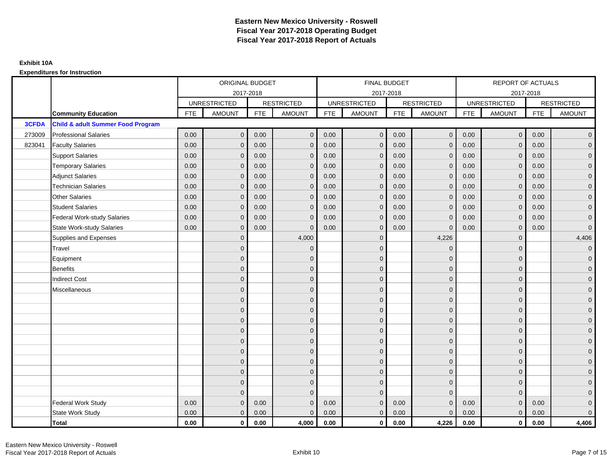|        |                                              |            | ORIGINAL BUDGET     |            |                   |            | FINAL BUDGET        |            |                   |            | REPORT OF ACTUALS   |            |                     |
|--------|----------------------------------------------|------------|---------------------|------------|-------------------|------------|---------------------|------------|-------------------|------------|---------------------|------------|---------------------|
|        |                                              |            | 2017-2018           |            |                   |            | 2017-2018           |            |                   |            | 2017-2018           |            |                     |
|        |                                              |            | <b>UNRESTRICTED</b> |            | <b>RESTRICTED</b> |            | <b>UNRESTRICTED</b> |            | <b>RESTRICTED</b> |            | <b>UNRESTRICTED</b> |            | <b>RESTRICTED</b>   |
|        | <b>Community Education</b>                   | <b>FTE</b> | <b>AMOUNT</b>       | <b>FTE</b> | <b>AMOUNT</b>     | <b>FTE</b> | AMOUNT              | <b>FTE</b> | <b>AMOUNT</b>     | <b>FTE</b> | <b>AMOUNT</b>       | <b>FTE</b> | <b>AMOUNT</b>       |
| 3CFDA  | <b>Child &amp; adult Summer Food Program</b> |            |                     |            |                   |            |                     |            |                   |            |                     |            |                     |
| 273009 | <b>Professional Salaries</b>                 | 0.00       | $\mathbf{0}$        | 0.00       | $\mathbf{0}$      | 0.00       | $\mathbf{0}$        | 0.00       | $\mathbf 0$       | 0.00       | $\overline{0}$      | 0.00       | $\overline{0}$      |
| 823041 | <b>Faculty Salaries</b>                      | 0.00       | $\mathbf{0}$        | 0.00       | $\mathbf{0}$      | 0.00       | $\mathbf{0}$        | 0.00       | $\mathbf 0$       | 0.00       | $\mathbf 0$         | 0.00       | $\overline{0}$      |
|        | <b>Support Salaries</b>                      | 0.00       | $\mathbf{0}$        | 0.00       | $\mathbf 0$       | 0.00       | $\mathbf{0}$        | 0.00       | $\mathbf{0}$      | 0.00       | $\overline{0}$      | 0.00       | $\overline{0}$      |
|        | <b>Temporary Salaries</b>                    | 0.00       | $\mathbf 0$         | 0.00       | $\mathbf{0}$      | 0.00       | $\mathbf{0}$        | 0.00       | $\mathbf 0$       | 0.00       | $\mathbf 0$         | 0.00       | $\overline{0}$      |
|        | <b>Adjunct Salaries</b>                      | 0.00       | $\mathbf{0}$        | 0.00       | $\Omega$          | 0.00       | $\mathbf{0}$        | 0.00       | $\mathbf{0}$      | 0.00       | $\mathbf{0}$        | 0.00       | $\overline{0}$      |
|        | <b>Technician Salaries</b>                   | 0.00       | $\Omega$            | 0.00       | $\Omega$          | 0.00       | $\Omega$            | 0.00       | $\Omega$          | 0.00       | $\Omega$            | 0.00       | $\overline{0}$      |
|        | <b>Other Salaries</b>                        | 0.00       | $\mathbf{0}$        | 0.00       | $\mathbf{0}$      | 0.00       | $\mathbf{0}$        | 0.00       | $\mathbf{0}$      | 0.00       | $\mathbf 0$         | 0.00       | $\overline{0}$      |
|        | <b>Student Salaries</b>                      | 0.00       | $\mathbf{0}$        | 0.00       | $\mathbf{0}$      | 0.00       | $\mathbf{0}$        | 0.00       | $\mathbf{0}$      | 0.00       | $\mathbf{0}$        | 0.00       | $\overline{0}$      |
|        | <b>Federal Work-study Salaries</b>           | 0.00       | $\mathbf{0}$        | 0.00       | $\Omega$          | 0.00       | $\Omega$            | 0.00       | $\overline{0}$    | 0.00       | $\mathbf{0}$        | 0.00       | $\overline{0}$      |
|        | <b>State Work-study Salaries</b>             | 0.00       | $\mathbf{0}$        | 0.00       | $\mathbf 0$       | 0.00       | $\mathbf{0}$        | 0.00       | $\Omega$          | 0.00       | $\mathbf{0}$        | 0.00       | $\overline{0}$      |
|        | Supplies and Expenses                        |            | $\Omega$            |            | 4,000             |            | $\mathbf{0}$        |            | 4,226             |            | $\mathbf 0$         |            | 4,406               |
|        | Travel                                       |            | $\Omega$            |            | $\mathbf 0$       |            | $\Omega$            |            | $\Omega$          |            | $\mathbf{0}$        |            | $\overline{0}$      |
|        | Equipment                                    |            | $\mathbf{0}$        |            | $\mathbf 0$       |            | $\mathbf{0}$        |            | $\mathbf 0$       |            | $\mathbf{0}$        |            | $\overline{0}$      |
|        | <b>Benefits</b>                              |            | $\Omega$            |            | $\mathbf{0}$      |            | $\Omega$            |            | $\mathbf{0}$      |            | $\mathbf{0}$        |            | $\overline{0}$      |
|        | <b>Indirect Cost</b>                         |            | $\overline{0}$      |            | $\mathbf{0}$      |            | $\mathbf{0}$        |            | $\mathbf 0$       |            | $\mathbf 0$         |            | $\overline{0}$      |
|        | Miscellaneous                                |            | $\overline{0}$      |            | $\mathbf 0$       |            | $\mathbf{0}$        |            | $\mathbf 0$       |            | $\mathbf 0$         |            | $\mathbf 0$         |
|        |                                              |            | $\overline{0}$      |            | $\mathbf{0}$      |            | $\Omega$            |            | $\mathbf{0}$      |            | $\Omega$            |            | $\overline{0}$      |
|        |                                              |            | $\overline{0}$      |            | $\mathbf 0$       |            | $\mathbf{0}$        |            | $\mathbf 0$       |            | $\mathbf{0}$        |            | $\overline{0}$      |
|        |                                              |            | $\Omega$            |            | $\mathbf{0}$      |            | $\Omega$            |            | $\mathbf 0$       |            | $\mathbf{0}$        |            | $\overline{0}$      |
|        |                                              |            | $\Omega$            |            | $\mathbf{0}$      |            | $\Omega$            |            | $\mathbf 0$       |            | $\Omega$            |            | $\overline{0}$      |
|        |                                              |            | $\mathbf{0}$        |            | $\mathbf 0$       |            | $\mathbf{0}$        |            | $\mathbf 0$       |            | $\mathbf 0$         |            | $\mathsf{O}\xspace$ |
|        |                                              |            | $\overline{0}$      |            | $\mathbf{0}$      |            | $\mathbf{0}$        |            | $\mathbf{0}$      |            | $\mathbf{0}$        |            | $\overline{0}$      |
|        |                                              |            | $\Omega$            |            | $\mathbf{0}$      |            | $\Omega$            |            | $\mathbf 0$       |            | $\mathbf{0}$        |            | $\overline{0}$      |
|        |                                              |            | $\mathbf{0}$        |            | $\mathbf{0}$      |            | $\Omega$            |            | $\mathbf 0$       |            | $\mathbf{0}$        |            | $\overline{0}$      |
|        |                                              |            | $\mathbf{0}$        |            | $\mathbf{0}$      |            | $\Omega$            |            | $\overline{0}$    |            | $\mathbf{0}$        |            | $\overline{0}$      |
|        |                                              |            | $\Omega$            |            | $\Omega$          |            | $\Omega$            |            | $\mathbf{0}$      |            | $\Omega$            |            | $\mathsf{O}\xspace$ |
|        | <b>Federal Work Study</b>                    | 0.00       | $\mathbf{0}$        | 0.00       | $\mathbf 0$       | 0.00       | $\mathbf{0}$        | 0.00       | $\mathbf 0$       | 0.00       | $\mathbf{0}$        | 0.00       | $\mathbf{0}$        |
|        | State Work Study                             | 0.00       | $\mathbf{0}$        | 0.00       | $\mathbf 0$       | 0.00       | $\overline{0}$      | 0.00       | $\mathbf{0}$      | 0.00       | $\mathbf{0}$        | 0.00       | $\overline{0}$      |
|        | <b>Total</b>                                 | 0.00       | $\mathbf 0$         | 0.00       | 4,000             | 0.00       | $\mathbf{0}$        | 0.00       | 4,226             | 0.00       | $\mathbf 0$         | 0.00       | 4,406               |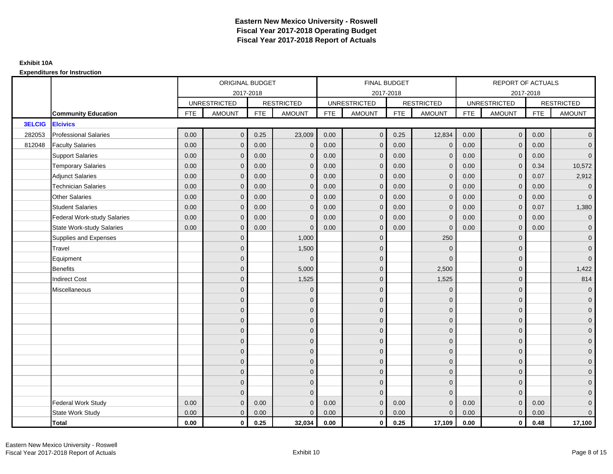|               |                                  | ORIGINAL BUDGET<br>2017-2018<br><b>RESTRICTED</b><br><b>UNRESTRICTED</b><br><b>FTE</b><br><b>AMOUNT</b><br><b>FTE</b><br>0.00<br>$\mathbf{0}$<br>0.25<br>0.00<br>0.00<br>$\mathbf{0}$<br>0.00<br>0.00<br>$\mathbf{0}$<br>0.00<br>0.00<br>$\mathbf{0}$<br>0.00<br>0.00<br>$\mathbf{0}$<br>0.00<br>0.00<br>$\mathbf{0}$<br>0.00<br>$\mathbf{0}$<br>0.00<br>0.00<br>$\mathbf 0$<br>0.00<br>0.00<br>$\mathbf{0}$<br>0.00<br>0.00<br>0.00<br>$\mathbf{0}$<br>$\overline{0}$<br>$\overline{0}$<br>$\overline{0}$<br>$\mathbf{0}$<br>$\mathbf{0}$<br>$\Omega$<br>$\overline{0}$<br>$\mathbf{0}$<br>$\Omega$<br>$\mathbf{0}$ |                |      |               |            | <b>FINAL BUDGET</b> |            |                   |            | <b>REPORT OF ACTUALS</b> |            |                     |
|---------------|----------------------------------|----------------------------------------------------------------------------------------------------------------------------------------------------------------------------------------------------------------------------------------------------------------------------------------------------------------------------------------------------------------------------------------------------------------------------------------------------------------------------------------------------------------------------------------------------------------------------------------------------------------------|----------------|------|---------------|------------|---------------------|------------|-------------------|------------|--------------------------|------------|---------------------|
|               |                                  |                                                                                                                                                                                                                                                                                                                                                                                                                                                                                                                                                                                                                      |                |      |               |            | 2017-2018           |            |                   |            | 2017-2018                |            |                     |
|               |                                  |                                                                                                                                                                                                                                                                                                                                                                                                                                                                                                                                                                                                                      |                |      |               |            | <b>UNRESTRICTED</b> |            | <b>RESTRICTED</b> |            | <b>UNRESTRICTED</b>      |            | <b>RESTRICTED</b>   |
|               | <b>Community Education</b>       |                                                                                                                                                                                                                                                                                                                                                                                                                                                                                                                                                                                                                      |                |      | <b>AMOUNT</b> | <b>FTE</b> | <b>AMOUNT</b>       | <b>FTE</b> | <b>AMOUNT</b>     | <b>FTE</b> | <b>AMOUNT</b>            | <b>FTE</b> | <b>AMOUNT</b>       |
| <b>3ELCIG</b> | <b>Elcivics</b>                  |                                                                                                                                                                                                                                                                                                                                                                                                                                                                                                                                                                                                                      |                |      |               |            |                     |            |                   |            |                          |            |                     |
| 282053        | <b>Professional Salaries</b>     |                                                                                                                                                                                                                                                                                                                                                                                                                                                                                                                                                                                                                      |                |      | 23,009        | 0.00       | $\overline{0}$      | 0.25       | 12,834            | 0.00       | $\overline{0}$           | 0.00       | $\overline{0}$      |
| 812048        | <b>Faculty Salaries</b>          |                                                                                                                                                                                                                                                                                                                                                                                                                                                                                                                                                                                                                      |                |      | $\mathbf 0$   | 0.00       | $\mathbf{0}$        | 0.00       | $\overline{0}$    | 0.00       | $\mathbf 0$              | 0.00       | $\overline{0}$      |
|               | <b>Support Salaries</b>          |                                                                                                                                                                                                                                                                                                                                                                                                                                                                                                                                                                                                                      |                |      | $\mathbf 0$   | 0.00       | $\overline{0}$      | 0.00       | $\mathbf 0$       | 0.00       | $\mathbf{0}$             | 0.00       | $\overline{0}$      |
|               | <b>Temporary Salaries</b>        |                                                                                                                                                                                                                                                                                                                                                                                                                                                                                                                                                                                                                      |                |      | $\mathbf 0$   | 0.00       | $\mathbf{0}$        | 0.00       | $\mathbf{0}$      | 0.00       | $\mathbf 0$              | 0.34       | 10,572              |
|               | <b>Adjunct Salaries</b>          |                                                                                                                                                                                                                                                                                                                                                                                                                                                                                                                                                                                                                      |                |      | $\mathbf{0}$  | 0.00       | $\mathbf{0}$        | 0.00       | $\mathbf 0$       | 0.00       | $\mathbf{0}$             | 0.07       | 2,912               |
|               | <b>Technician Salaries</b>       |                                                                                                                                                                                                                                                                                                                                                                                                                                                                                                                                                                                                                      |                |      | $\Omega$      | 0.00       | $\mathbf{0}$        | 0.00       | $\mathbf{0}$      | 0.00       | $\mathbf{0}$             | 0.00       | $\overline{0}$      |
|               | <b>Other Salaries</b>            |                                                                                                                                                                                                                                                                                                                                                                                                                                                                                                                                                                                                                      |                |      | $\Omega$      | 0.00       | $\Omega$            | 0.00       | $\Omega$          | 0.00       | $\mathbf{0}$             | 0.00       | $\overline{0}$      |
|               | <b>Student Salaries</b>          |                                                                                                                                                                                                                                                                                                                                                                                                                                                                                                                                                                                                                      |                |      | $\mathbf 0$   | 0.00       | $\overline{0}$      | 0.00       | $\mathbf 0$       | 0.00       | $\mathbf{0}$             | 0.07       | 1,380               |
|               | Federal Work-study Salaries      |                                                                                                                                                                                                                                                                                                                                                                                                                                                                                                                                                                                                                      |                |      | $\Omega$      | 0.00       | $\mathbf{0}$        | 0.00       | $\overline{0}$    | 0.00       | $\mathbf 0$              | 0.00       | $\overline{0}$      |
|               | <b>State Work-study Salaries</b> |                                                                                                                                                                                                                                                                                                                                                                                                                                                                                                                                                                                                                      |                |      | $\Omega$      | 0.00       | $\mathbf{0}$        | 0.00       | $\Omega$          | 0.00       | $\mathbf{0}$             | 0.00       | $\overline{0}$      |
|               | Supplies and Expenses            |                                                                                                                                                                                                                                                                                                                                                                                                                                                                                                                                                                                                                      |                |      | 1,000         |            | $\mathbf{0}$        |            | 250               |            | $\mathbf 0$              |            | $\mathsf{O}\xspace$ |
|               | Travel                           |                                                                                                                                                                                                                                                                                                                                                                                                                                                                                                                                                                                                                      |                |      | 1,500         |            | $\mathbf{0}$        |            | $\mathbf 0$       |            | $\mathbf{0}$             |            | $\mathbf 0$         |
|               | Equipment                        |                                                                                                                                                                                                                                                                                                                                                                                                                                                                                                                                                                                                                      |                |      | $\Omega$      |            | $\mathbf{0}$        |            | $\Omega$          |            | $\mathbf{0}$             |            | $\overline{0}$      |
|               | <b>Benefits</b>                  |                                                                                                                                                                                                                                                                                                                                                                                                                                                                                                                                                                                                                      |                |      | 5,000         |            | $\mathbf{0}$        |            | 2,500             |            | $\mathbf{0}$             |            | 1,422               |
|               | <b>Indirect Cost</b>             |                                                                                                                                                                                                                                                                                                                                                                                                                                                                                                                                                                                                                      |                |      | 1,525         |            | $\Omega$            |            | 1,525             |            | $\mathbf 0$              |            | 814                 |
|               | Miscellaneous                    |                                                                                                                                                                                                                                                                                                                                                                                                                                                                                                                                                                                                                      |                |      | $\mathbf 0$   |            | $\mathbf{0}$        |            | $\mathbf 0$       |            | $\mathbf 0$              |            | $\mathsf{O}\xspace$ |
|               |                                  |                                                                                                                                                                                                                                                                                                                                                                                                                                                                                                                                                                                                                      |                |      | $\mathbf 0$   |            | $\mathbf{0}$        |            | $\mathbf 0$       |            | $\mathbf{0}$             |            | $\overline{0}$      |
|               |                                  |                                                                                                                                                                                                                                                                                                                                                                                                                                                                                                                                                                                                                      |                |      | $\mathbf 0$   |            | $\mathbf{0}$        |            | $\mathbf 0$       |            | $\mathbf{0}$             |            | $\overline{0}$      |
|               |                                  |                                                                                                                                                                                                                                                                                                                                                                                                                                                                                                                                                                                                                      |                |      | $\mathbf{0}$  |            | $\Omega$            |            | $\mathbf 0$       |            | $\Omega$                 |            | $\overline{0}$      |
|               |                                  |                                                                                                                                                                                                                                                                                                                                                                                                                                                                                                                                                                                                                      |                |      | $\mathbf 0$   |            | $\mathbf{0}$        |            | $\mathbf 0$       |            | $\mathbf 0$              |            | $\mathbf{0}$        |
|               |                                  |                                                                                                                                                                                                                                                                                                                                                                                                                                                                                                                                                                                                                      | $\mathbf{0}$   |      | $\mathbf 0$   |            | $\mathbf{0}$        |            | $\mathbf 0$       |            | $\mathbf 0$              |            | $\mathbf{0}$        |
|               |                                  |                                                                                                                                                                                                                                                                                                                                                                                                                                                                                                                                                                                                                      | $\overline{0}$ |      | $\mathbf{0}$  |            | $\Omega$            |            | $\mathbf{0}$      |            | $\mathbf{0}$             |            | $\overline{0}$      |
|               |                                  |                                                                                                                                                                                                                                                                                                                                                                                                                                                                                                                                                                                                                      | $\overline{0}$ |      | $\mathbf 0$   |            | $\mathbf{0}$        |            | $\mathbf 0$       |            | $\mathbf 0$              |            | $\overline{0}$      |
|               |                                  |                                                                                                                                                                                                                                                                                                                                                                                                                                                                                                                                                                                                                      | $\mathbf{0}$   |      | $\mathbf{0}$  |            | $\Omega$            |            | $\mathbf 0$       |            | $\mathbf{0}$             |            | $\overline{0}$      |
|               |                                  |                                                                                                                                                                                                                                                                                                                                                                                                                                                                                                                                                                                                                      | $\mathbf{0}$   |      | $\mathbf{0}$  |            | $\Omega$            |            | $\mathbf{0}$      |            | $\mathbf{0}$             |            | $\overline{0}$      |
|               |                                  |                                                                                                                                                                                                                                                                                                                                                                                                                                                                                                                                                                                                                      | $\Omega$       |      | $\Omega$      |            | $\Omega$            |            | $\mathbf{0}$      |            | $\Omega$                 |            | $\mathsf{O}\xspace$ |
|               | <b>Federal Work Study</b>        | 0.00                                                                                                                                                                                                                                                                                                                                                                                                                                                                                                                                                                                                                 | $\mathbf{0}$   | 0.00 | $\mathbf 0$   | 0.00       | $\mathbf{0}$        | 0.00       | $\mathbf{0}$      | 0.00       | $\mathbf{0}$             | 0.00       | $\mathbf{0}$        |
|               | State Work Study                 | 0.00                                                                                                                                                                                                                                                                                                                                                                                                                                                                                                                                                                                                                 | $\mathbf{0}$   | 0.00 | $\mathbf 0$   | 0.00       | $\overline{0}$      | 0.00       | $\mathbf{0}$      | 0.00       | $\overline{0}$           | 0.00       | $\overline{0}$      |
|               | <b>Total</b>                     | 0.00                                                                                                                                                                                                                                                                                                                                                                                                                                                                                                                                                                                                                 | $\mathbf 0$    | 0.25 | 32,034        | 0.00       | $\mathbf{0}$        | 0.25       | 17,109            | 0.00       | $\mathbf{0}$             | 0.48       | 17,100              |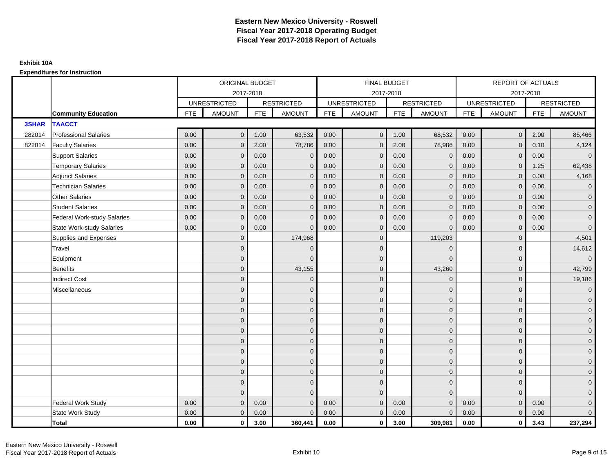|              |                                    | ORIGINAL BUDGET<br>2017-2018<br><b>RESTRICTED</b><br><b>UNRESTRICTED</b><br><b>FTE</b><br><b>AMOUNT</b><br><b>FTE</b><br><b>AMOUNT</b><br>0.00<br>$\mathbf{0}$<br>1.00<br>0.00<br>2.00<br>$\mathbf{0}$<br>0.00<br>0.00<br>$\mathbf 0$<br>0.00<br>$\mathbf{0}$<br>0.00<br>0.00<br>0.00<br>$\Omega$<br>0.00<br>0.00<br>$\mathbf{0}$<br>0.00<br>$\mathbf{0}$<br>0.00<br>0.00<br>$\mathbf{0}$<br>0.00<br>0.00<br>0.00<br>$\mathbf 0$<br>0.00<br>0.00<br>$\mathbf{0}$<br>$\mathbf{0}$<br>$\overline{0}$<br>$\mathbf{0}$<br>$\mathbf{0}$<br>$\Omega$<br>$\mathbf{0}$<br>$\overline{0}$<br>$\Omega$<br>$\mathbf{0}$ |              |      |              |            | <b>FINAL BUDGET</b> |            |                   |            | <b>REPORT OF ACTUALS</b> |            |                     |
|--------------|------------------------------------|--------------------------------------------------------------------------------------------------------------------------------------------------------------------------------------------------------------------------------------------------------------------------------------------------------------------------------------------------------------------------------------------------------------------------------------------------------------------------------------------------------------------------------------------------------------------------------------------------------------|--------------|------|--------------|------------|---------------------|------------|-------------------|------------|--------------------------|------------|---------------------|
|              |                                    |                                                                                                                                                                                                                                                                                                                                                                                                                                                                                                                                                                                                              |              |      |              |            | 2017-2018           |            |                   |            | 2017-2018                |            |                     |
|              |                                    |                                                                                                                                                                                                                                                                                                                                                                                                                                                                                                                                                                                                              |              |      |              |            | <b>UNRESTRICTED</b> |            | <b>RESTRICTED</b> |            | <b>UNRESTRICTED</b>      |            | <b>RESTRICTED</b>   |
|              | <b>Community Education</b>         |                                                                                                                                                                                                                                                                                                                                                                                                                                                                                                                                                                                                              |              |      |              | <b>FTE</b> | <b>AMOUNT</b>       | <b>FTE</b> | <b>AMOUNT</b>     | <b>FTE</b> | <b>AMOUNT</b>            | <b>FTE</b> | <b>AMOUNT</b>       |
| <b>3SHAR</b> | <b>TAACCT</b>                      |                                                                                                                                                                                                                                                                                                                                                                                                                                                                                                                                                                                                              |              |      |              |            |                     |            |                   |            |                          |            |                     |
| 282014       | <b>Professional Salaries</b>       |                                                                                                                                                                                                                                                                                                                                                                                                                                                                                                                                                                                                              |              |      | 63,532       | 0.00       | $\overline{0}$      | 1.00       | 68,532            | 0.00       | $\overline{0}$           | 2.00       | 85,466              |
| 822014       | <b>Faculty Salaries</b>            |                                                                                                                                                                                                                                                                                                                                                                                                                                                                                                                                                                                                              |              |      | 78,786       | 0.00       | $\mathbf{0}$        | 2.00       | 78,986            | 0.00       | $\mathbf 0$              | 0.10       | 4,124               |
|              | <b>Support Salaries</b>            |                                                                                                                                                                                                                                                                                                                                                                                                                                                                                                                                                                                                              |              |      | $\mathbf 0$  | 0.00       | $\overline{0}$      | 0.00       | $\mathbf 0$       | 0.00       | $\overline{0}$           | 0.00       | $\overline{0}$      |
|              | <b>Temporary Salaries</b>          |                                                                                                                                                                                                                                                                                                                                                                                                                                                                                                                                                                                                              |              |      | $\mathbf 0$  | 0.00       | $\mathbf{0}$        | 0.00       | $\mathbf{0}$      | 0.00       | $\mathbf 0$              | 1.25       | 62,438              |
|              | <b>Adjunct Salaries</b>            |                                                                                                                                                                                                                                                                                                                                                                                                                                                                                                                                                                                                              |              |      | $\Omega$     | 0.00       | $\Omega$            | 0.00       | $\mathbf{0}$      | 0.00       | $\mathbf{0}$             | 0.08       | 4,168               |
|              | <b>Technician Salaries</b>         |                                                                                                                                                                                                                                                                                                                                                                                                                                                                                                                                                                                                              |              |      | $\mathbf 0$  | 0.00       | $\mathbf{0}$        | 0.00       | $\mathbf{0}$      | 0.00       | $\mathbf{0}$             | 0.00       | $\mathbf{0}$        |
|              | <b>Other Salaries</b>              |                                                                                                                                                                                                                                                                                                                                                                                                                                                                                                                                                                                                              |              |      | $\mathbf{0}$ | 0.00       | $\mathbf{0}$        | 0.00       | $\mathbf{0}$      | 0.00       | $\mathbf{0}$             | 0.00       | $\overline{0}$      |
|              | <b>Student Salaries</b>            |                                                                                                                                                                                                                                                                                                                                                                                                                                                                                                                                                                                                              |              |      | $\mathbf{0}$ | 0.00       | $\mathbf{0}$        | 0.00       | $\mathbf{0}$      | 0.00       | $\overline{0}$           | 0.00       | $\overline{0}$      |
|              | <b>Federal Work-study Salaries</b> |                                                                                                                                                                                                                                                                                                                                                                                                                                                                                                                                                                                                              |              |      | $\mathbf 0$  | 0.00       | $\mathbf{0}$        | 0.00       | $\overline{0}$    | 0.00       | $\mathbf 0$              | 0.00       | $\overline{0}$      |
|              | <b>State Work-study Salaries</b>   |                                                                                                                                                                                                                                                                                                                                                                                                                                                                                                                                                                                                              |              |      | $\Omega$     | 0.00       | $\mathbf{0}$        | 0.00       | $\mathbf 0$       | 0.00       | $\mathbf{0}$             | 0.00       | $\mathbf 0$         |
|              | Supplies and Expenses              |                                                                                                                                                                                                                                                                                                                                                                                                                                                                                                                                                                                                              |              |      | 174,968      |            | $\mathbf{0}$        |            | 119,203           |            | $\mathbf 0$              |            | 4,501               |
|              | Travel                             |                                                                                                                                                                                                                                                                                                                                                                                                                                                                                                                                                                                                              |              |      | $\Omega$     |            | $\Omega$            |            | $\Omega$          |            | $\mathbf{0}$             |            | 14,612              |
|              | Equipment                          |                                                                                                                                                                                                                                                                                                                                                                                                                                                                                                                                                                                                              |              |      | $\Omega$     |            | $\mathbf{0}$        |            | $\mathbf 0$       |            | $\mathbf 0$              |            | $\overline{0}$      |
|              | <b>Benefits</b>                    |                                                                                                                                                                                                                                                                                                                                                                                                                                                                                                                                                                                                              |              |      | 43,155       |            | $\Omega$            |            | 43,260            |            | $\mathbf{0}$             |            | 42,799              |
|              | <b>Indirect Cost</b>               |                                                                                                                                                                                                                                                                                                                                                                                                                                                                                                                                                                                                              |              |      | $\Omega$     |            | $\Omega$            |            | $\mathbf 0$       |            | $\Omega$                 |            | 19,186              |
|              | Miscellaneous                      |                                                                                                                                                                                                                                                                                                                                                                                                                                                                                                                                                                                                              |              |      | $\mathbf 0$  |            | $\mathbf{0}$        |            | $\mathbf 0$       |            | $\mathbf 0$              |            | $\mathsf{O}\xspace$ |
|              |                                    |                                                                                                                                                                                                                                                                                                                                                                                                                                                                                                                                                                                                              |              |      | $\mathbf 0$  |            | $\mathbf{0}$        |            | $\mathbf 0$       |            | $\mathbf{0}$             |            | $\overline{0}$      |
|              |                                    |                                                                                                                                                                                                                                                                                                                                                                                                                                                                                                                                                                                                              |              |      | $\mathbf{0}$ |            | $\mathbf{0}$        |            | $\mathbf 0$       |            | $\mathbf{0}$             |            | $\overline{0}$      |
|              |                                    |                                                                                                                                                                                                                                                                                                                                                                                                                                                                                                                                                                                                              |              |      | $\mathbf 0$  |            | $\Omega$            |            | $\mathsf{O}$      |            | $\mathbf 0$              |            | $\mathbf{0}$        |
|              |                                    |                                                                                                                                                                                                                                                                                                                                                                                                                                                                                                                                                                                                              | $\mathbf{0}$ |      | $\mathbf 0$  |            | $\Omega$            |            | $\mathbf 0$       |            | $\mathbf 0$              |            | $\mathbf{0}$        |
|              |                                    |                                                                                                                                                                                                                                                                                                                                                                                                                                                                                                                                                                                                              | $\Omega$     |      | $\mathbf{0}$ |            | $\mathbf{0}$        |            | $\mathbf{0}$      |            | $\mathbf 0$              |            | $\mathsf{O}\xspace$ |
|              |                                    |                                                                                                                                                                                                                                                                                                                                                                                                                                                                                                                                                                                                              | $\mathbf{0}$ |      | $\mathbf{0}$ |            | $\Omega$            |            | $\mathbf{0}$      |            | $\Omega$                 |            | $\overline{0}$      |
|              |                                    |                                                                                                                                                                                                                                                                                                                                                                                                                                                                                                                                                                                                              | $\mathbf{0}$ |      | $\mathbf 0$  |            | $\mathbf{0}$        |            | $\mathbf 0$       |            | $\mathbf 0$              |            | $\mathbf{0}$        |
|              |                                    |                                                                                                                                                                                                                                                                                                                                                                                                                                                                                                                                                                                                              | $\mathbf{0}$ |      | $\mathbf{0}$ |            | $\Omega$            |            | $\mathbf 0$       |            | $\mathbf{0}$             |            | $\overline{0}$      |
|              |                                    |                                                                                                                                                                                                                                                                                                                                                                                                                                                                                                                                                                                                              | $\Omega$     |      | $\mathbf{0}$ |            | $\Omega$            |            | $\mathbf{0}$      |            | $\mathbf{0}$             |            | $\overline{0}$      |
|              |                                    |                                                                                                                                                                                                                                                                                                                                                                                                                                                                                                                                                                                                              | $\mathbf{0}$ |      | $\mathbf{0}$ |            | $\mathbf{0}$        |            | $\mathbf 0$       |            | $\mathbf{0}$             |            | $\mathsf{O}\xspace$ |
|              | <b>Federal Work Study</b>          | 0.00                                                                                                                                                                                                                                                                                                                                                                                                                                                                                                                                                                                                         | $\mathbf 0$  | 0.00 | $\mathbf{0}$ | 0.00       | $\mathbf{0}$        | 0.00       | $\mathbf{0}$      | 0.00       | $\mathbf 0$              | 0.00       | $\mathbf{0}$        |
|              | State Work Study                   | 0.00                                                                                                                                                                                                                                                                                                                                                                                                                                                                                                                                                                                                         | $\mathbf 0$  | 0.00 | $\mathbf{0}$ | 0.00       | $\overline{0}$      | 0.00       | $\overline{0}$    | 0.00       | $\overline{0}$           | 0.00       | $\overline{0}$      |
|              | <b>Total</b>                       | 0.00                                                                                                                                                                                                                                                                                                                                                                                                                                                                                                                                                                                                         | $\mathbf 0$  | 3.00 | 360,441      | 0.00       | $\mathbf{0}$        | 3.00       | 309.981           | 0.00       | $\mathbf{0}$             | 3.43       | 237,294             |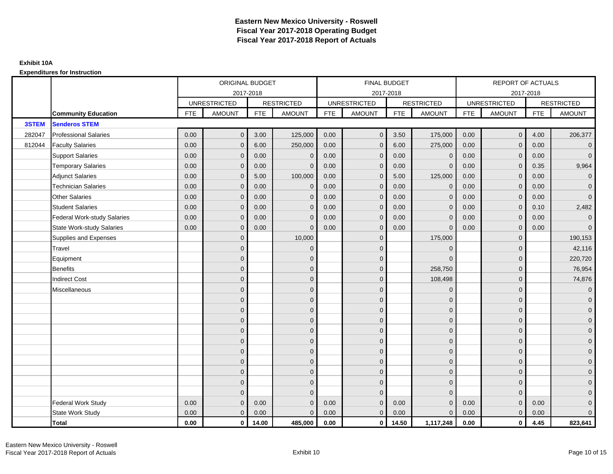|              |                                    |            | ORIGINAL BUDGET     |            |                   |            | <b>FINAL BUDGET</b> |            |                   |            | <b>REPORT OF ACTUALS</b> |            |                     |
|--------------|------------------------------------|------------|---------------------|------------|-------------------|------------|---------------------|------------|-------------------|------------|--------------------------|------------|---------------------|
|              |                                    |            |                     | 2017-2018  |                   |            | 2017-2018           |            |                   |            | 2017-2018                |            |                     |
|              |                                    |            | <b>UNRESTRICTED</b> |            | <b>RESTRICTED</b> |            | <b>UNRESTRICTED</b> |            | <b>RESTRICTED</b> |            | <b>UNRESTRICTED</b>      |            | <b>RESTRICTED</b>   |
|              | <b>Community Education</b>         | <b>FTE</b> | <b>AMOUNT</b>       | <b>FTE</b> | <b>AMOUNT</b>     | <b>FTE</b> | <b>AMOUNT</b>       | <b>FTE</b> | <b>AMOUNT</b>     | <b>FTE</b> | <b>AMOUNT</b>            | <b>FTE</b> | <b>AMOUNT</b>       |
| <b>3STEM</b> | <b>Senderos STEM</b>               |            |                     |            |                   |            |                     |            |                   |            |                          |            |                     |
| 282047       | <b>Professional Salaries</b>       | 0.00       | $\mathbf{0}$        | 3.00       | 125,000           | 0.00       | $\mathbf{0}$        | 3.50       | 175,000           | 0.00       | $\overline{0}$           | 4.00       | 206,377             |
| 812044       | <b>Faculty Salaries</b>            | 0.00       | $\mathbf{0}$        | 6.00       | 250,000           | 0.00       | $\mathbf{0}$        | 6.00       | 275,000           | 0.00       | $\mathbf{0}$             | 0.00       | $\overline{0}$      |
|              | <b>Support Salaries</b>            | 0.00       | $\mathbf{0}$        | 0.00       | $\mathbf 0$       | 0.00       | $\mathbf{0}$        | 0.00       | $\overline{0}$    | 0.00       | $\overline{0}$           | 0.00       | $\overline{0}$      |
|              | <b>Temporary Salaries</b>          | 0.00       | $\Omega$            | 0.00       | $\Omega$          | 0.00       | $\mathbf{0}$        | 0.00       | $\mathbf 0$       | 0.00       | $\mathbf 0$              | 0.35       | 9,964               |
|              | <b>Adjunct Salaries</b>            | 0.00       | $\mathbf{0}$        | 5.00       | 100,000           | 0.00       | $\mathbf{0}$        | 5.00       | 125,000           | 0.00       | $\mathbf{0}$             | 0.00       | $\overline{0}$      |
|              | <b>Technician Salaries</b>         | 0.00       | $\Omega$            | 0.00       | $\mathbf{0}$      | 0.00       | $\mathbf{0}$        | 0.00       | $\mathbf{0}$      | 0.00       | $\mathbf{0}$             | 0.00       | $\mathbf 0$         |
|              | <b>Other Salaries</b>              | 0.00       | $\mathbf{0}$        | 0.00       | $\mathbf{0}$      | 0.00       | $\Omega$            | 0.00       | $\Omega$          | 0.00       | $\overline{0}$           | 0.00       | $\overline{0}$      |
|              | <b>Student Salaries</b>            | 0.00       | $\mathbf 0$         | 0.00       | $\mathbf 0$       | 0.00       | $\mathbf{0}$        | 0.00       | $\mathbf{0}$      | 0.00       | $\mathbf{0}$             | 0.10       | 2,482               |
|              | <b>Federal Work-study Salaries</b> | 0.00       | $\Omega$            | 0.00       | $\mathbf{0}$      | 0.00       | $\mathbf{0}$        | 0.00       | $\Omega$          | 0.00       | $\mathbf 0$              | 0.00       | $\mathbf 0$         |
|              | <b>State Work-study Salaries</b>   | 0.00       | $\mathbf{0}$        | 0.00       | $\mathbf{0}$      | 0.00       | $\mathbf{0}$        | 0.00       | $\Omega$          | 0.00       | $\mathbf{0}$             | 0.00       | $\overline{0}$      |
|              | Supplies and Expenses              |            | $\Omega$            |            | 10,000            |            | $\mathbf{0}$        |            | 175,000           |            | $\mathbf 0$              |            | 190,153             |
|              | Travel                             |            | $\overline{0}$      |            | $\mathbf 0$       |            | $\mathbf{0}$        |            | $\overline{0}$    |            | $\mathbf{0}$             |            | 42,116              |
|              | Equipment                          |            | $\overline{0}$      |            | $\mathbf 0$       |            | $\mathbf{0}$        |            | $\Omega$          |            | $\mathbf{0}$             |            | 220,720             |
|              | <b>Benefits</b>                    |            | $\Omega$            |            | $\mathbf 0$       |            | $\mathbf{0}$        |            | 258,750           |            | $\mathbf{0}$             |            | 76,954              |
|              | <b>Indirect Cost</b>               |            | $\mathbf{0}$        |            | $\mathbf 0$       |            | $\Omega$            |            | 108,498           |            | $\mathbf{0}$             |            | 74,876              |
|              | Miscellaneous                      |            | $\Omega$            |            | $\mathbf 0$       |            | $\mathbf{0}$        |            | $\Omega$          |            | $\mathbf{0}$             |            | $\overline{0}$      |
|              |                                    |            | $\overline{0}$      |            | $\mathbf 0$       |            | $\mathbf{0}$        |            | $\mathbf 0$       |            | $\mathbf{0}$             |            | $\mathbf{0}$        |
|              |                                    |            | $\mathbf{0}$        |            | $\mathbf 0$       |            | $\mathbf{0}$        |            | $\mathbf 0$       |            | $\mathbf{0}$             |            | $\overline{0}$      |
|              |                                    |            | $\Omega$            |            | $\mathbf{0}$      |            | $\Omega$            |            | $\mathbf{0}$      |            | $\Omega$                 |            | $\overline{0}$      |
|              |                                    |            | $\Omega$            |            | $\mathbf 0$       |            | $\mathbf{0}$        |            | $\mathbf 0$       |            | $\mathbf{0}$             |            | $\mathbf{0}$        |
|              |                                    |            | $\Omega$            |            | $\mathbf 0$       |            | $\mathbf{0}$        |            | $\mathbf 0$       |            | $\mathbf 0$              |            | $\mathsf{O}\xspace$ |
|              |                                    |            | $\overline{0}$      |            | $\mathbf 0$       |            | $\mathbf{0}$        |            | $\mathbf{0}$      |            | $\mathbf{0}$             |            | $\overline{0}$      |
|              |                                    |            | $\overline{0}$      |            | $\mathbf 0$       |            | $\mathbf{0}$        |            | $\mathbf 0$       |            | $\mathbf 0$              |            | $\overline{0}$      |
|              |                                    |            | $\Omega$            |            | $\mathbf{0}$      |            | $\Omega$            |            | $\mathbf 0$       |            | $\mathbf{0}$             |            | $\overline{0}$      |
|              |                                    |            | $\mathbf{0}$        |            | $\mathbf{0}$      |            | $\Omega$            |            | $\mathbf{0}$      |            | $\mathbf{0}$             |            | $\overline{0}$      |
|              |                                    |            | $\Omega$            |            | $\Omega$          |            | $\Omega$            |            | $\Omega$          |            | $\Omega$                 |            | $\mathsf{O}\xspace$ |
|              | <b>Federal Work Study</b>          | 0.00       | $\mathbf{0}$        | 0.00       | $\mathbf{0}$      | 0.00       | $\mathbf{0}$        | 0.00       | $\Omega$          | 0.00       | $\mathbf{0}$             | 0.00       | $\mathbf{0}$        |
|              | State Work Study                   | 0.00       | $\mathbf{0}$        | 0.00       | $\mathbf{0}$      | 0.00       | $\overline{0}$      | 0.00       | $\Omega$          | 0.00       | $\overline{0}$           | 0.00       | $\overline{0}$      |
|              | Total                              | 0.00       | $\mathbf 0$         | 14.00      | 485,000           | 0.00       | $\mathbf{0}$        | 14.50      | 1,117,248         | 0.00       | $\mathbf 0$              | 4.45       | 823,641             |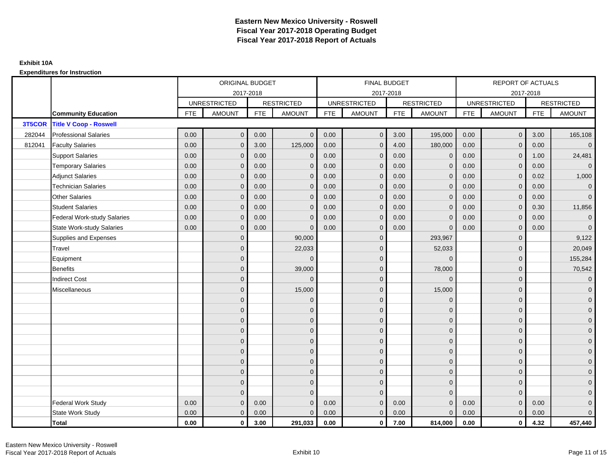|        |                                    | ORIGINAL BUDGET<br>2017-2018 |                     |            |                   | <b>FINAL BUDGET</b> |                     |            |                   | <b>REPORT OF ACTUALS</b> |                     |            |                     |
|--------|------------------------------------|------------------------------|---------------------|------------|-------------------|---------------------|---------------------|------------|-------------------|--------------------------|---------------------|------------|---------------------|
|        |                                    |                              |                     |            |                   |                     | 2017-2018           |            |                   |                          | 2017-2018           |            |                     |
|        |                                    |                              | <b>UNRESTRICTED</b> |            | <b>RESTRICTED</b> |                     | <b>UNRESTRICTED</b> |            | <b>RESTRICTED</b> |                          | <b>UNRESTRICTED</b> |            | <b>RESTRICTED</b>   |
|        | <b>Community Education</b>         | <b>FTE</b>                   | <b>AMOUNT</b>       | <b>FTE</b> | <b>AMOUNT</b>     | <b>FTE</b>          | <b>AMOUNT</b>       | <b>FTE</b> | <b>AMOUNT</b>     | <b>FTE</b>               | <b>AMOUNT</b>       | <b>FTE</b> | <b>AMOUNT</b>       |
| 3T5COR | <b>Title V Coop - Roswell</b>      |                              |                     |            |                   |                     |                     |            |                   |                          |                     |            |                     |
| 282044 | <b>Professional Salaries</b>       | 0.00                         | $\mathbf 0$         | 0.00       | $\mathbf{0}$      | 0.00                | $\overline{0}$      | 3.00       | 195,000           | 0.00                     | $\mathbf 0$         | 3.00       | 165,108             |
| 812041 | <b>Faculty Salaries</b>            | 0.00                         | $\mathbf{0}$        | 3.00       | 125,000           | 0.00                | $\mathbf{0}$        | 4.00       | 180,000           | 0.00                     | $\mathbf{0}$        | 0.00       | $\overline{0}$      |
|        | <b>Support Salaries</b>            | 0.00                         | $\mathbf{0}$        | 0.00       | $\mathbf{0}$      | 0.00                | $\overline{0}$      | 0.00       | $\mathbf 0$       | 0.00                     | $\mathbf{0}$        | 1.00       | 24,481              |
|        | <b>Temporary Salaries</b>          | 0.00                         | $\mathbf 0$         | 0.00       | $\mathbf 0$       | 0.00                | $\mathbf{0}$        | 0.00       | $\mathbf 0$       | 0.00                     | $\mathbf 0$         | 0.00       | $\overline{0}$      |
|        | <b>Adjunct Salaries</b>            | 0.00                         | $\mathbf{0}$        | 0.00       | $\mathbf{0}$      | 0.00                | $\mathbf{0}$        | 0.00       | $\mathbf{0}$      | 0.00                     | $\mathbf{0}$        | 0.02       | 1,000               |
|        | <b>Technician Salaries</b>         | 0.00                         | $\Omega$            | 0.00       | $\Omega$          | 0.00                | $\Omega$            | 0.00       | $\mathbf{0}$      | 0.00                     | $\Omega$            | 0.00       | $\overline{0}$      |
|        | <b>Other Salaries</b>              | 0.00                         | $\mathbf{0}$        | 0.00       | $\mathbf{0}$      | 0.00                | $\mathbf{0}$        | 0.00       | $\mathbf{0}$      | 0.00                     | $\mathbf{0}$        | 0.00       | $\overline{0}$      |
|        | <b>Student Salaries</b>            | 0.00                         | $\mathbf{0}$        | 0.00       | $\mathbf{0}$      | 0.00                | $\overline{0}$      | 0.00       | $\mathbf 0$       | 0.00                     | $\mathbf{0}$        | 0.30       | 11,856              |
|        | <b>Federal Work-study Salaries</b> | 0.00                         | $\mathbf{0}$        | 0.00       | $\Omega$          | 0.00                | $\Omega$            | 0.00       | $\mathbf{0}$      | 0.00                     | $\mathbf{0}$        | 0.00       | $\overline{0}$      |
|        | <b>State Work-study Salaries</b>   | 0.00                         | 0                   | 0.00       | $\mathbf{0}$      | 0.00                | $\mathbf{0}$        | 0.00       | $\mathbf{0}$      | 0.00                     | $\mathbf 0$         | 0.00       | $\mathbf 0$         |
|        | Supplies and Expenses              |                              | $\mathbf{0}$        |            | 90,000            |                     | $\mathbf{0}$        |            | 293,967           |                          | $\Omega$            |            | 9,122               |
|        | Travel                             |                              | $\Omega$            |            | 22,033            |                     | $\Omega$            |            | 52,033            |                          | $\Omega$            |            | 20,049              |
|        | Equipment                          |                              | $\mathbf 0$         |            | $\Omega$          |                     | $\mathbf{0}$        |            | $\mathbf{0}$      |                          | $\mathbf{0}$        |            | 155,284             |
|        | <b>Benefits</b>                    |                              | $\Omega$            |            | 39,000            |                     | $\Omega$            |            | 78,000            |                          | $\mathbf{0}$        |            | 70,542              |
|        | <b>Indirect Cost</b>               |                              | 0                   |            | $\Omega$          |                     | $\mathbf{0}$        |            | $\mathbf{0}$      |                          | $\mathbf{0}$        |            | $\mathbf 0$         |
|        | Miscellaneous                      |                              | $\mathbf{0}$        |            | 15,000            |                     | $\mathbf{0}$        |            | 15,000            |                          | $\mathbf{0}$        |            | $\mathbf{0}$        |
|        |                                    |                              | $\overline{0}$      |            | $\mathbf 0$       |                     | $\Omega$            |            | $\mathbf{0}$      |                          | $\Omega$            |            | $\overline{0}$      |
|        |                                    |                              | $\mathbf 0$         |            | $\mathbf 0$       |                     | $\mathbf{0}$        |            | $\mathbf 0$       |                          | $\mathbf{0}$        |            | $\overline{0}$      |
|        |                                    |                              | $\Omega$            |            | $\mathbf 0$       |                     | $\Omega$            |            | $\mathbf 0$       |                          | $\mathbf{0}$        |            | $\overline{0}$      |
|        |                                    |                              | $\mathbf{0}$        |            | $\mathbf{0}$      |                     | $\Omega$            |            | $\mathbf{0}$      |                          | $\Omega$            |            | $\mathbf 0$         |
|        |                                    |                              | $\Omega$            |            | $\mathbf 0$       |                     | $\mathbf{0}$        |            | $\mathbf 0$       |                          | $\overline{0}$      |            | $\mathsf{O}\xspace$ |
|        |                                    |                              | $\overline{0}$      |            | $\mathbf{0}$      |                     | $\mathbf{0}$        |            | $\mathbf 0$       |                          | $\mathbf{0}$        |            | $\overline{0}$      |
|        |                                    |                              | $\mathbf{0}$        |            | $\mathbf{0}$      |                     | $\Omega$            |            | $\mathbf 0$       |                          | $\Omega$            |            | $\overline{0}$      |
|        |                                    |                              | $\Omega$            |            | $\mathbf 0$       |                     | $\mathbf{0}$        |            | $\mathbf 0$       |                          | $\mathbf{0}$        |            | $\overline{0}$      |
|        |                                    |                              | $\mathbf{0}$        |            | $\mathbf{0}$      |                     | $\mathbf{0}$        |            | $\mathbf 0$       |                          | $\mathbf{0}$        |            | $\mathbf 0$         |
|        |                                    |                              | $\Omega$            |            | $\Omega$          |                     | $\Omega$            |            | $\overline{0}$    |                          | $\Omega$            |            | $\overline{0}$      |
|        | <b>Federal Work Study</b>          | 0.00                         | $\mathbf{0}$        | 0.00       | $\Omega$          | 0.00                | $\mathbf{0}$        | 0.00       | $\mathbf{0}$      | 0.00                     | $\mathbf{0}$        | 0.00       | $\mathbf 0$         |
|        | State Work Study                   | 0.00                         | $\mathbf{0}$        | 0.00       | $\mathbf 0$       | 0.00                | $\overline{0}$      | 0.00       | $\mathbf{0}$      | 0.00                     | $\mathbf{0}$        | 0.00       | $\overline{0}$      |
|        | <b>Total</b>                       | 0.00                         | $\mathbf 0$         | 3.00       | 291,033           | 0.00                | $\mathbf 0$         | 7.00       | 814,000           | 0.00                     | $\mathbf 0$         | 4.32       | 457,440             |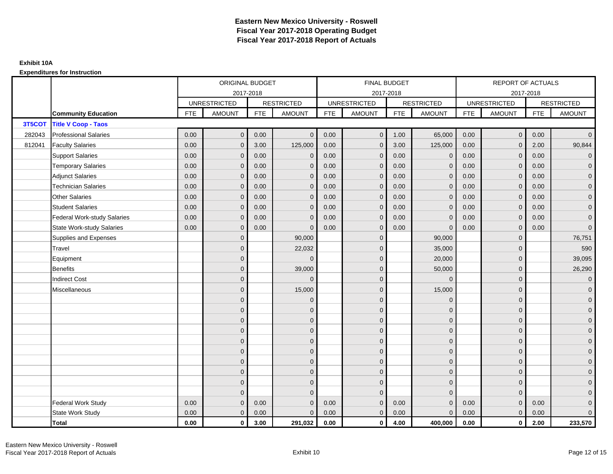|        |                                    |            | ORIGINAL BUDGET     |            |                   |            | <b>FINAL BUDGET</b> |            |                   |            | <b>REPORT OF ACTUALS</b> |            |                     |
|--------|------------------------------------|------------|---------------------|------------|-------------------|------------|---------------------|------------|-------------------|------------|--------------------------|------------|---------------------|
|        |                                    |            | 2017-2018           |            |                   |            | 2017-2018           |            |                   |            | 2017-2018                |            |                     |
|        |                                    |            | <b>UNRESTRICTED</b> |            | <b>RESTRICTED</b> |            | <b>UNRESTRICTED</b> |            | <b>RESTRICTED</b> |            | <b>UNRESTRICTED</b>      |            | <b>RESTRICTED</b>   |
|        | <b>Community Education</b>         | <b>FTE</b> | <b>AMOUNT</b>       | <b>FTE</b> | <b>AMOUNT</b>     | <b>FTE</b> | <b>AMOUNT</b>       | <b>FTE</b> | <b>AMOUNT</b>     | <b>FTE</b> | <b>AMOUNT</b>            | <b>FTE</b> | <b>AMOUNT</b>       |
| 3T5COT | <b>Title V Coop - Taos</b>         |            |                     |            |                   |            |                     |            |                   |            |                          |            |                     |
| 282043 | <b>Professional Salaries</b>       | 0.00       | $\mathbf{0}$        | 0.00       | $\Omega$          | 0.00       | $\overline{0}$      | 1.00       | 65,000            | 0.00       | $\mathbf{0}$             | 0.00       | $\overline{0}$      |
| 812041 | <b>Faculty Salaries</b>            | 0.00       | $\mathbf{0}$        | 3.00       | 125,000           | 0.00       | $\mathbf{0}$        | 3.00       | 125,000           | 0.00       | $\mathbf{0}$             | 2.00       | 90,844              |
|        | <b>Support Salaries</b>            | 0.00       | $\mathbf{0}$        | 0.00       | $\mathbf 0$       | 0.00       | $\overline{0}$      | 0.00       | $\mathbf 0$       | 0.00       | $\mathbf{0}$             | 0.00       | $\overline{0}$      |
|        | <b>Temporary Salaries</b>          | 0.00       | $\mathbf{0}$        | 0.00       | $\Omega$          | 0.00       | $\mathbf{0}$        | 0.00       | $\mathbf{0}$      | 0.00       | $\mathbf{0}$             | 0.00       | $\overline{0}$      |
|        | <b>Adjunct Salaries</b>            | 0.00       | $\mathbf{0}$        | 0.00       | $\mathbf{0}$      | 0.00       | $\overline{0}$      | 0.00       | $\mathbf{0}$      | 0.00       | $\mathbf{0}$             | 0.00       | $\overline{0}$      |
|        | <b>Technician Salaries</b>         | 0.00       | $\mathbf{0}$        | 0.00       | $\Omega$          | 0.00       | $\mathbf{0}$        | 0.00       | $\mathbf{0}$      | 0.00       | $\Omega$                 | 0.00       | $\overline{0}$      |
|        | <b>Other Salaries</b>              | 0.00       | $\mathbf{0}$        | 0.00       | $\Omega$          | 0.00       | $\Omega$            | 0.00       | $\mathbf{0}$      | 0.00       | $\Omega$                 | 0.00       | $\overline{0}$      |
|        | <b>Student Salaries</b>            | 0.00       | $\mathbf 0$         | 0.00       | $\mathbf{0}$      | 0.00       | $\overline{0}$      | 0.00       | $\mathbf 0$       | 0.00       | $\mathbf 0$              | 0.00       | $\overline{0}$      |
|        | <b>Federal Work-study Salaries</b> | 0.00       | $\mathbf{0}$        | 0.00       | $\Omega$          | 0.00       | $\mathbf{0}$        | 0.00       | $\mathbf{0}$      | 0.00       | $\mathbf{0}$             | 0.00       | $\overline{0}$      |
|        | <b>State Work-study Salaries</b>   | 0.00       | $\mathbf{0}$        | 0.00       | $\Omega$          | 0.00       | $\mathbf{0}$        | 0.00       | $\Omega$          | 0.00       | $\mathbf{0}$             | 0.00       | $\overline{0}$      |
|        | Supplies and Expenses              |            | $\overline{0}$      |            | 90,000            |            | $\mathbf{0}$        |            | 90,000            |            | $\Omega$                 |            | 76,751              |
|        | Travel                             |            | $\overline{0}$      |            | 22,032            |            | $\mathbf{0}$        |            | 35,000            |            | $\mathbf{0}$             |            | 590                 |
|        | Equipment                          |            | $\overline{0}$      |            | $\Omega$          |            | $\mathbf{0}$        |            | 20,000            |            | $\mathbf{0}$             |            | 39,095              |
|        | <b>Benefits</b>                    |            | $\Omega$            |            | 39,000            |            | $\mathbf{0}$        |            | 50,000            |            | $\mathbf{0}$             |            | 26,290              |
|        | <b>Indirect Cost</b>               |            | $\mathbf{0}$        |            | $\Omega$          |            | $\Omega$            |            | $\mathbf{0}$      |            | $\mathbf{0}$             |            | $\mathbf 0$         |
|        | Miscellaneous                      |            | $\Omega$            |            | 15,000            |            | $\mathbf{0}$        |            | 15,000            |            | $\Omega$                 |            | $\mathbf 0$         |
|        |                                    |            | $\overline{0}$      |            | $\mathbf 0$       |            | $\mathbf{0}$        |            | $\mathbf 0$       |            | $\overline{0}$           |            | $\overline{0}$      |
|        |                                    |            | $\overline{0}$      |            | $\mathbf{0}$      |            | $\mathbf{0}$        |            | $\mathbf 0$       |            | $\Omega$                 |            | $\overline{0}$      |
|        |                                    |            | $\Omega$            |            | $\mathbf 0$       |            | $\Omega$            |            | $\mathbf 0$       |            | $\Omega$                 |            | $\overline{0}$      |
|        |                                    |            | $\overline{0}$      |            | $\mathbf 0$       |            | $\mathbf{0}$        |            | $\mathbf 0$       |            | $\mathbf{0}$             |            | $\overline{0}$      |
|        |                                    |            | $\Omega$            |            | $\mathbf 0$       |            | $\mathbf{0}$        |            | $\mathbf 0$       |            | $\Omega$                 |            | $\mathbf 0$         |
|        |                                    |            | $\mathbf{0}$        |            | $\mathbf{0}$      |            | $\Omega$            |            | $\mathbf{0}$      |            | $\Omega$                 |            | $\overline{0}$      |
|        |                                    |            | $\mathbf 0$         |            | $\mathbf 0$       |            | $\mathbf{0}$        |            | $\mathbf 0$       |            | $\mathbf{0}$             |            | $\overline{0}$      |
|        |                                    |            | $\Omega$            |            | $\mathbf 0$       |            | $\Omega$            |            | $\mathbf 0$       |            | $\mathbf{0}$             |            | $\overline{0}$      |
|        |                                    |            | $\mathbf{0}$        |            | $\mathbf{0}$      |            | $\Omega$            |            | $\mathbf{0}$      |            | $\mathbf{0}$             |            | $\mathbf 0$         |
|        |                                    |            | $\Omega$            |            | $\Omega$          |            | $\Omega$            |            | $\mathbf{0}$      |            | $\Omega$                 |            | $\mathsf{O}\xspace$ |
|        | <b>Federal Work Study</b>          | 0.00       | $\mathbf{0}$        | 0.00       | $\Omega$          | 0.00       | $\mathbf{0}$        | 0.00       | $\mathbf{0}$      | 0.00       | $\mathbf{0}$             | 0.00       | $\overline{0}$      |
|        | State Work Study                   | 0.00       | $\mathbf{0}$        | 0.00       | $\Omega$          | 0.00       | $\overline{0}$      | 0.00       | $\mathbf{0}$      | 0.00       | $\mathbf{0}$             | 0.00       | $\overline{0}$      |
|        | Total                              | 0.00       | $\mathbf 0$         | 3.00       | 291,032           | 0.00       | $\mathbf{0}$        | 4.00       | 400,000           | 0.00       | $\mathbf 0$              | 2.00       | 233,570             |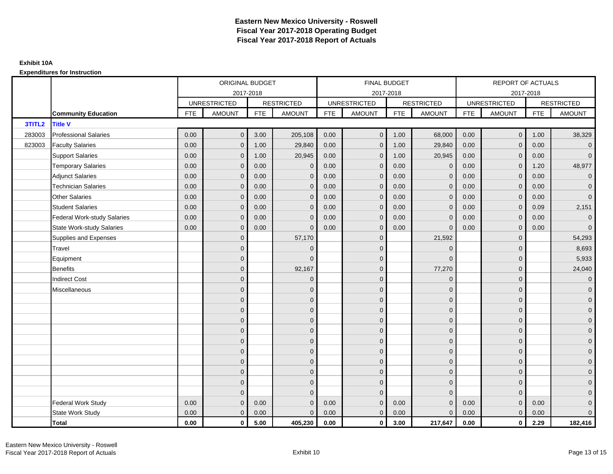|        |                                    | ORIGINAL BUDGET<br>2017-2018<br><b>UNRESTRICTED</b><br><b>RESTRICTED</b><br><b>FTE</b><br><b>AMOUNT</b><br><b>FTE</b><br><b>AMOUNT</b><br>$\mathbf{0}$<br>3.00<br>205,108<br>0.00<br>0.00<br>1.00<br>29,840<br>$\mathbf{0}$<br>0.00<br>20,945<br>$\mathbf{0}$<br>1.00<br>0.00<br>0.00<br>$\mathbf 0$<br>$\mathbf 0$ |                |      |              | <b>FINAL BUDGET</b> |                     |            |                   | REPORT OF ACTUALS |                     |            |                   |
|--------|------------------------------------|---------------------------------------------------------------------------------------------------------------------------------------------------------------------------------------------------------------------------------------------------------------------------------------------------------------------|----------------|------|--------------|---------------------|---------------------|------------|-------------------|-------------------|---------------------|------------|-------------------|
|        |                                    |                                                                                                                                                                                                                                                                                                                     |                |      |              |                     | 2017-2018           |            |                   |                   | 2017-2018           |            |                   |
|        |                                    |                                                                                                                                                                                                                                                                                                                     |                |      |              |                     | <b>UNRESTRICTED</b> |            | <b>RESTRICTED</b> |                   | <b>UNRESTRICTED</b> |            | <b>RESTRICTED</b> |
|        | <b>Community Education</b>         |                                                                                                                                                                                                                                                                                                                     |                |      |              | <b>FTE</b>          | <b>AMOUNT</b>       | <b>FTE</b> | <b>AMOUNT</b>     | <b>FTE</b>        | <b>AMOUNT</b>       | <b>FTE</b> | <b>AMOUNT</b>     |
| 3TITL2 | <b>Title V</b>                     |                                                                                                                                                                                                                                                                                                                     |                |      |              |                     |                     |            |                   |                   |                     |            |                   |
| 283003 | <b>Professional Salaries</b>       |                                                                                                                                                                                                                                                                                                                     |                |      |              | 0.00                | $\mathbf 0$         | 1.00       | 68,000            | 0.00              | $\overline{0}$      | 1.00       | 38,329            |
| 823003 | <b>Faculty Salaries</b>            |                                                                                                                                                                                                                                                                                                                     |                |      |              | 0.00                | $\mathbf{0}$        | 1.00       | 29,840            | 0.00              | $\overline{0}$      | 0.00       | $\overline{0}$    |
|        | <b>Support Salaries</b>            |                                                                                                                                                                                                                                                                                                                     |                |      |              | 0.00                | $\mathbf{0}$        | 1.00       | 20,945            | 0.00              | $\overline{0}$      | 0.00       | $\overline{0}$    |
|        | <b>Temporary Salaries</b>          |                                                                                                                                                                                                                                                                                                                     |                |      |              | 0.00                | $\mathbf{0}$        | 0.00       | $\mathbf 0$       | 0.00              | $\mathbf 0$         | 1.20       | 48,977            |
|        | <b>Adjunct Salaries</b>            | 0.00                                                                                                                                                                                                                                                                                                                | $\mathbf{0}$   | 0.00 | $\Omega$     | 0.00                | $\overline{0}$      | 0.00       | $\mathbf{0}$      | 0.00              | $\mathbf{0}$        | 0.00       | $\overline{0}$    |
|        | <b>Technician Salaries</b>         | 0.00                                                                                                                                                                                                                                                                                                                | $\Omega$       | 0.00 | $\Omega$     | 0.00                | $\Omega$            | 0.00       | $\Omega$          | 0.00              | $\mathbf{0}$        | 0.00       | $\mathbf{0}$      |
|        | <b>Other Salaries</b>              | 0.00                                                                                                                                                                                                                                                                                                                | $\mathbf{0}$   | 0.00 | $\mathbf{0}$ | 0.00                | $\mathbf{0}$        | 0.00       | $\mathbf{0}$      | 0.00              | $\mathbf 0$         | 0.00       | $\overline{0}$    |
|        | <b>Student Salaries</b>            | 0.00                                                                                                                                                                                                                                                                                                                | $\mathbf{0}$   | 0.00 | $\mathbf{0}$ | 0.00                | $\mathbf{0}$        | 0.00       | $\mathbf{0}$      | 0.00              | $\overline{0}$      | 0.09       | 2,151             |
|        | <b>Federal Work-study Salaries</b> | 0.00                                                                                                                                                                                                                                                                                                                | $\mathbf{0}$   | 0.00 | $\Omega$     | 0.00                | $\Omega$            | 0.00       | $\mathbf 0$       | 0.00              | $\mathbf{0}$        | 0.00       | $\mathbf{0}$      |
|        | <b>State Work-study Salaries</b>   | 0.00                                                                                                                                                                                                                                                                                                                | $\mathbf{0}$   | 0.00 | $\Omega$     | 0.00                | $\mathbf{0}$        | 0.00       | $\mathbf 0$       | 0.00              | $\mathbf{0}$        | 0.00       | $\mathbf{0}$      |
|        | Supplies and Expenses              |                                                                                                                                                                                                                                                                                                                     | $\mathbf{0}$   |      | 57,170       |                     | $\mathbf{0}$        |            | 21,592            |                   | $\mathbf 0$         |            | 54,293            |
|        | Travel                             |                                                                                                                                                                                                                                                                                                                     | $\overline{0}$ |      | $\Omega$     |                     | $\Omega$            |            | $\Omega$          |                   | $\mathbf{0}$        |            | 8,693             |
|        | Equipment                          |                                                                                                                                                                                                                                                                                                                     | $\mathbf{0}$   |      | $\Omega$     |                     | $\mathbf{0}$        |            | $\mathbf{0}$      |                   | $\mathbf 0$         |            | 5,933             |
|        | <b>Benefits</b>                    |                                                                                                                                                                                                                                                                                                                     | $\Omega$       |      | 92,167       |                     | $\Omega$            |            | 77,270            |                   | $\mathbf{0}$        |            | 24,040            |
|        | <b>Indirect Cost</b>               |                                                                                                                                                                                                                                                                                                                     | $\overline{0}$ |      | $\mathbf 0$  |                     | $\mathbf{0}$        |            | $\mathbf 0$       |                   | $\mathbf 0$         |            | $\overline{0}$    |
|        | Miscellaneous                      |                                                                                                                                                                                                                                                                                                                     | $\mathbf{0}$   |      | $\mathbf 0$  |                     | $\mathbf{0}$        |            | $\mathbf{0}$      |                   | $\mathbf 0$         |            | $\mathbf 0$       |
|        |                                    |                                                                                                                                                                                                                                                                                                                     | $\overline{0}$ |      | $\mathbf{0}$ |                     | $\Omega$            |            | $\mathbf{0}$      |                   | $\mathbf{0}$        |            | $\overline{0}$    |
|        |                                    |                                                                                                                                                                                                                                                                                                                     | $\overline{0}$ |      | $\mathbf 0$  |                     | $\mathbf{0}$        |            | $\mathbf 0$       |                   | $\mathbf{0}$        |            | $\overline{0}$    |
|        |                                    |                                                                                                                                                                                                                                                                                                                     | $\mathbf{0}$   |      | $\mathbf{0}$ |                     | $\Omega$            |            | $\mathbf 0$       |                   | $\mathbf{0}$        |            | $\overline{0}$    |
|        |                                    |                                                                                                                                                                                                                                                                                                                     | $\Omega$       |      | $\mathbf{0}$ |                     | $\Omega$            |            | $\mathbf{0}$      |                   | $\Omega$            |            | $\overline{0}$    |
|        |                                    |                                                                                                                                                                                                                                                                                                                     | $\mathbf{0}$   |      | $\mathbf 0$  |                     | $\mathbf{0}$        |            | $\mathbf{0}$      |                   | $\mathbf 0$         |            | $\mathbf 0$       |
|        |                                    |                                                                                                                                                                                                                                                                                                                     | $\overline{0}$ |      | $\mathbf 0$  |                     | $\mathbf{0}$        |            | $\mathbf{0}$      |                   | $\mathbf{0}$        |            | $\overline{0}$    |
|        |                                    |                                                                                                                                                                                                                                                                                                                     | $\overline{0}$ |      | $\mathbf{0}$ |                     | $\mathbf{0}$        |            | $\mathbf 0$       |                   | $\mathbf{0}$        |            | $\overline{0}$    |
|        |                                    |                                                                                                                                                                                                                                                                                                                     | $\overline{0}$ |      | $\mathbf{0}$ |                     | $\Omega$            |            | $\mathbf 0$       |                   | $\mathbf 0$         |            | $\overline{0}$    |
|        |                                    |                                                                                                                                                                                                                                                                                                                     | $\mathbf{0}$   |      | $\mathbf{0}$ |                     | $\Omega$            |            | $\mathbf{0}$      |                   | $\mathbf{0}$        |            | $\overline{0}$    |
|        |                                    |                                                                                                                                                                                                                                                                                                                     | $\Omega$       |      | $\Omega$     |                     | $\Omega$            |            | $\mathbf{0}$      |                   | $\Omega$            |            | $\overline{0}$    |
|        | <b>Federal Work Study</b>          | 0.00                                                                                                                                                                                                                                                                                                                | $\mathbf{0}$   | 0.00 | $\mathbf 0$  | 0.00                | $\mathbf{0}$        | 0.00       | $\mathbf{0}$      | 0.00              | $\mathbf{0}$        | 0.00       | $\mathbf{0}$      |
|        | State Work Study                   | 0.00                                                                                                                                                                                                                                                                                                                | $\mathbf{0}$   | 0.00 | $\Omega$     | 0.00                | $\overline{0}$      | 0.00       | $\mathbf{0}$      | 0.00              | $\overline{0}$      | 0.00       | $\overline{0}$    |
|        | <b>Total</b>                       | 0.00                                                                                                                                                                                                                                                                                                                | $\mathbf 0$    | 5.00 | 405,230      | 0.00                | $\mathbf{0}$        | 3.00       | 217,647           | 0.00              | $\mathbf 0$         | 2.29       | 182,416           |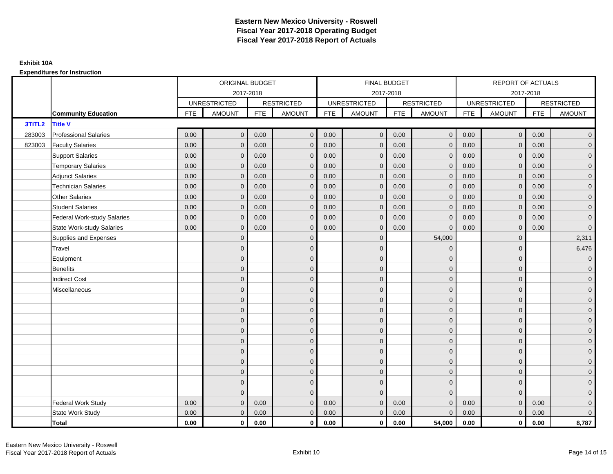|        |                                    |            | ORIGINAL BUDGET     |            |                   |            | <b>FINAL BUDGET</b> |            |                   |            | <b>REPORT OF ACTUALS</b> |            |                     |
|--------|------------------------------------|------------|---------------------|------------|-------------------|------------|---------------------|------------|-------------------|------------|--------------------------|------------|---------------------|
|        |                                    |            | 2017-2018           |            |                   |            | 2017-2018           |            |                   |            | 2017-2018                |            |                     |
|        |                                    |            | <b>UNRESTRICTED</b> |            | <b>RESTRICTED</b> |            | <b>UNRESTRICTED</b> |            | <b>RESTRICTED</b> |            | <b>UNRESTRICTED</b>      |            | <b>RESTRICTED</b>   |
|        | <b>Community Education</b>         | <b>FTE</b> | <b>AMOUNT</b>       | <b>FTE</b> | <b>AMOUNT</b>     | <b>FTE</b> | <b>AMOUNT</b>       | <b>FTE</b> | <b>AMOUNT</b>     | <b>FTE</b> | <b>AMOUNT</b>            | <b>FTE</b> | <b>AMOUNT</b>       |
| 3TITL2 | <b>Title V</b>                     |            |                     |            |                   |            |                     |            |                   |            |                          |            |                     |
| 283003 | <b>Professional Salaries</b>       | 0.00       | $\mathbf{0}$        | 0.00       | $\mathbf{0}$      | 0.00       | $\mathbf{0}$        | 0.00       | $\overline{0}$    | 0.00       | $\overline{0}$           | 0.00       | $\overline{0}$      |
| 823003 | <b>Faculty Salaries</b>            | 0.00       | $\mathbf{0}$        | 0.00       | $\mathbf{0}$      | 0.00       | $\mathbf{0}$        | 0.00       | $\mathbf{0}$      | 0.00       | $\overline{0}$           | 0.00       | $\overline{0}$      |
|        | <b>Support Salaries</b>            | 0.00       | $\mathbf{0}$        | 0.00       | $\mathbf 0$       | 0.00       | $\mathbf{0}$        | 0.00       | $\mathbf{0}$      | 0.00       | $\overline{0}$           | 0.00       | $\overline{0}$      |
|        | <b>Temporary Salaries</b>          | 0.00       | $\mathbf{0}$        | 0.00       | $\mathbf{0}$      | 0.00       | $\mathbf{0}$        | 0.00       | $\mathbf 0$       | 0.00       | $\overline{0}$           | 0.00       | $\overline{0}$      |
|        | <b>Adjunct Salaries</b>            | 0.00       | $\mathbf{0}$        | 0.00       | $\mathbf{0}$      | 0.00       | $\mathbf{0}$        | 0.00       | $\mathbf{0}$      | 0.00       | $\mathbf{0}$             | 0.00       | $\mathbf{0}$        |
|        | <b>Technician Salaries</b>         | 0.00       | $\Omega$            | 0.00       | $\mathbf{0}$      | 0.00       | $\mathbf{0}$        | 0.00       | $\mathbf{0}$      | 0.00       | $\mathbf{0}$             | 0.00       | $\mathbf{0}$        |
|        | <b>Other Salaries</b>              | 0.00       | $\Omega$            | 0.00       | $\mathbf{0}$      | 0.00       | $\Omega$            | 0.00       | $\Omega$          | 0.00       | $\mathbf{0}$             | 0.00       | $\overline{0}$      |
|        | <b>Student Salaries</b>            | 0.00       | $\mathbf 0$         | 0.00       | $\mathbf 0$       | 0.00       | $\mathbf{0}$        | 0.00       | $\mathbf 0$       | 0.00       | $\overline{0}$           | 0.00       | $\overline{0}$      |
|        | <b>Federal Work-study Salaries</b> | 0.00       | $\mathbf 0$         | 0.00       | $\mathbf{0}$      | 0.00       | $\mathbf{0}$        | 0.00       | $\Omega$          | 0.00       | $\mathbf 0$              | 0.00       | $\overline{0}$      |
|        | <b>State Work-study Salaries</b>   | 0.00       | $\mathbf{0}$        | 0.00       | $\mathbf{0}$      | 0.00       | $\mathbf{0}$        | 0.00       | $\Omega$          | 0.00       | $\mathbf{0}$             | 0.00       | $\mathsf{O}\xspace$ |
|        | Supplies and Expenses              |            | $\Omega$            |            | $\mathbf 0$       |            | $\mathbf{0}$        |            | 54,000            |            | $\mathbf 0$              |            | 2,311               |
|        | Travel                             |            | $\overline{0}$      |            | $\mathbf 0$       |            | $\mathbf{0}$        |            | $\Omega$          |            | $\mathbf{0}$             |            | 6,476               |
|        | Equipment                          |            | $\Omega$            |            | $\mathbf 0$       |            | $\Omega$            |            | $\mathbf{0}$      |            | $\mathbf{0}$             |            | $\overline{0}$      |
|        | <b>Benefits</b>                    |            | $\Omega$            |            | $\mathbf 0$       |            | $\mathbf{0}$        |            | $\mathbf 0$       |            | $\mathbf{0}$             |            | $\overline{0}$      |
|        | <b>Indirect Cost</b>               |            | $\mathbf{0}$        |            | $\mathbf 0$       |            | $\Omega$            |            | $\mathbf{0}$      |            | $\mathbf{0}$             |            | $\overline{0}$      |
|        | Miscellaneous                      |            | $\Omega$            |            | $\mathbf 0$       |            | $\mathbf{0}$        |            | $\mathbf{0}$      |            | $\mathbf 0$              |            | $\overline{0}$      |
|        |                                    |            | $\overline{0}$      |            | $\mathbf 0$       |            | $\mathbf{0}$        |            | $\mathbf 0$       |            | $\mathbf{0}$             |            | $\overline{0}$      |
|        |                                    |            | $\mathbf{0}$        |            | $\mathbf 0$       |            | $\mathbf{0}$        |            | $\mathbf 0$       |            | $\mathbf{0}$             |            | $\overline{0}$      |
|        |                                    |            | $\Omega$            |            | $\mathbf{0}$      |            | $\Omega$            |            | $\mathbf 0$       |            | $\Omega$                 |            | $\overline{0}$      |
|        |                                    |            | $\Omega$            |            | $\mathbf 0$       |            | $\mathbf{0}$        |            | $\mathbf 0$       |            | $\mathbf{0}$             |            | $\overline{0}$      |
|        |                                    |            | $\Omega$            |            | $\mathbf 0$       |            | $\mathbf{0}$        |            | $\mathbf 0$       |            | $\mathbf 0$              |            | $\mathsf{O}\xspace$ |
|        |                                    |            | $\overline{0}$      |            | $\mathbf 0$       |            | $\mathbf{0}$        |            | $\mathbf{0}$      |            | $\mathbf{0}$             |            | $\overline{0}$      |
|        |                                    |            | $\mathbf{0}$        |            | $\mathbf 0$       |            | $\mathbf{0}$        |            | $\mathbf 0$       |            | $\mathbf 0$              |            | $\overline{0}$      |
|        |                                    |            | $\Omega$            |            | $\mathbf{0}$      |            | $\Omega$            |            | $\mathbf 0$       |            | $\mathbf{0}$             |            | $\overline{0}$      |
|        |                                    |            | $\mathbf{0}$        |            | $\mathbf{0}$      |            | $\Omega$            |            | $\mathbf{0}$      |            | $\mathbf{0}$             |            | $\overline{0}$      |
|        |                                    |            | $\Omega$            |            | $\mathbf{0}$      |            | $\Omega$            |            | $\mathbf{0}$      |            | $\Omega$                 |            | $\pmb{0}$           |
|        | <b>Federal Work Study</b>          | 0.00       | $\mathbf{0}$        | 0.00       | $\mathbf{0}$      | 0.00       | $\mathbf{0}$        | 0.00       | $\overline{0}$    | 0.00       | $\mathbf{0}$             | 0.00       | $\mathbf{0}$        |
|        | State Work Study                   | 0.00       | $\mathbf{0}$        | 0.00       | $\mathbf 0$       | 0.00       | $\mathbf{0}$        | 0.00       | $\Omega$          | 0.00       | $\overline{0}$           | 0.00       | $\overline{0}$      |
|        | Total                              | 0.00       | $\mathbf 0$         | 0.00       | $\mathbf{0}$      | 0.00       | $\mathbf{0}$        | 0.00       | 54,000            | 0.00       | $\mathbf{0}$             | 0.00       | 8,787               |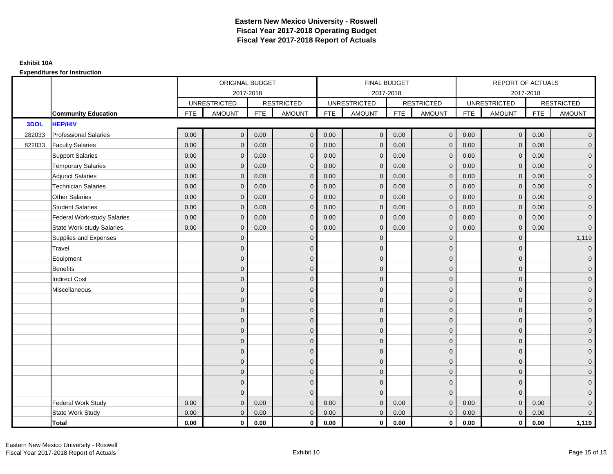### **Expenditures for Instruction**

|        |                                    |            | ORIGINAL BUDGET     |            |                   |            | <b>FINAL BUDGET</b> |            |                   |            | <b>REPORT OF ACTUALS</b> |            |                     |
|--------|------------------------------------|------------|---------------------|------------|-------------------|------------|---------------------|------------|-------------------|------------|--------------------------|------------|---------------------|
|        |                                    |            | 2017-2018           |            |                   |            | 2017-2018           |            |                   |            | 2017-2018                |            |                     |
|        |                                    |            | <b>UNRESTRICTED</b> |            | <b>RESTRICTED</b> |            | <b>UNRESTRICTED</b> |            | <b>RESTRICTED</b> |            | <b>UNRESTRICTED</b>      |            | <b>RESTRICTED</b>   |
|        | <b>Community Education</b>         | <b>FTE</b> | <b>AMOUNT</b>       | <b>FTE</b> | <b>AMOUNT</b>     | <b>FTE</b> | <b>AMOUNT</b>       | <b>FTE</b> | <b>AMOUNT</b>     | <b>FTE</b> | <b>AMOUNT</b>            | <b>FTE</b> | <b>AMOUNT</b>       |
| 3DOL   | <b>HEP/HIV</b>                     |            |                     |            |                   |            |                     |            |                   |            |                          |            |                     |
| 282033 | <b>Professional Salaries</b>       | 0.00       | $\mathbf{0}$        | 0.00       | $\overline{0}$    | 0.00       | $\mathbf{0}$        | 0.00       | $\overline{0}$    | 0.00       | $\overline{0}$           | 0.00       | $\overline{0}$      |
| 822033 | <b>Faculty Salaries</b>            | 0.00       | $\mathbf{0}$        | 0.00       | $\mathbf{0}$      | 0.00       | $\mathbf{0}$        | 0.00       | $\mathbf{0}$      | 0.00       | $\mathbf{0}$             | 0.00       | $\overline{0}$      |
|        | <b>Support Salaries</b>            | 0.00       | $\mathbf{0}$        | 0.00       | $\mathbf 0$       | 0.00       | $\mathbf{0}$        | 0.00       | $\mathbf{0}$      | 0.00       | $\overline{0}$           | 0.00       | $\overline{0}$      |
|        | <b>Temporary Salaries</b>          | 0.00       | $\mathbf{0}$        | 0.00       | $\mathbf{0}$      | 0.00       | $\mathbf{0}$        | 0.00       | $\mathbf 0$       | 0.00       | $\mathbf{0}$             | 0.00       | $\overline{0}$      |
|        | <b>Adjunct Salaries</b>            | 0.00       | $\mathbf{0}$        | 0.00       | $\mathbf{0}$      | 0.00       | $\mathbf{0}$        | 0.00       | $\mathbf{0}$      | 0.00       | $\mathbf{0}$             | 0.00       | $\mathbf{0}$        |
|        | <b>Technician Salaries</b>         | 0.00       | $\Omega$            | 0.00       | $\mathbf{0}$      | 0.00       | $\mathbf{0}$        | 0.00       | $\mathbf{0}$      | 0.00       | $\mathbf{0}$             | 0.00       | $\mathbf{0}$        |
|        | <b>Other Salaries</b>              | 0.00       | $\Omega$            | 0.00       | $\mathbf{0}$      | 0.00       | $\Omega$            | 0.00       | $\Omega$          | 0.00       | $\overline{0}$           | 0.00       | $\overline{0}$      |
|        | <b>Student Salaries</b>            | 0.00       | $\mathbf{0}$        | 0.00       | $\mathbf 0$       | 0.00       | $\mathbf{0}$        | 0.00       | $\mathbf 0$       | 0.00       | $\mathbf{0}$             | 0.00       | $\overline{0}$      |
|        | <b>Federal Work-study Salaries</b> | 0.00       | $\Omega$            | 0.00       | $\mathbf{0}$      | 0.00       | $\mathbf{0}$        | 0.00       | $\mathbf 0$       | 0.00       | $\mathbf 0$              | 0.00       | $\overline{0}$      |
|        | <b>State Work-study Salaries</b>   | 0.00       | $\mathbf{0}$        | 0.00       | $\mathbf{0}$      | 0.00       | $\mathbf{0}$        | 0.00       | $\mathbf 0$       | 0.00       | $\mathbf{0}$             | 0.00       | $\overline{0}$      |
|        | Supplies and Expenses              |            | $\Omega$            |            | $\mathbf 0$       |            | $\mathbf{0}$        |            | $\mathbf 0$       |            | $\mathbf 0$              |            | 1,119               |
|        | Travel                             |            | $\overline{0}$      |            | $\mathbf 0$       |            | $\mathbf{0}$        |            | $\mathbf{0}$      |            | $\mathbf{0}$             |            | $\overline{0}$      |
|        | Equipment                          |            | $\Omega$            |            | $\mathbf 0$       |            | $\Omega$            |            | $\mathbf 0$       |            | $\mathbf{0}$             |            | $\overline{0}$      |
|        | <b>Benefits</b>                    |            | $\Omega$            |            | $\mathbf 0$       |            | $\mathbf{0}$        |            | $\mathbf 0$       |            | $\mathbf{0}$             |            | $\overline{0}$      |
|        | <b>Indirect Cost</b>               |            | $\mathbf{0}$        |            | $\mathbf 0$       |            | $\Omega$            |            | $\mathbf{0}$      |            | $\mathbf 0$              |            | $\overline{0}$      |
|        | Miscellaneous                      |            | $\Omega$            |            | $\mathbf 0$       |            | $\mathbf{0}$        |            | $\mathbf{0}$      |            | $\mathbf 0$              |            | $\overline{0}$      |
|        |                                    |            | $\overline{0}$      |            | $\mathbf 0$       |            | $\mathbf{0}$        |            | $\mathbf 0$       |            | $\mathbf{0}$             |            | $\overline{0}$      |
|        |                                    |            | $\mathbf{0}$        |            | $\mathbf 0$       |            | $\mathbf{0}$        |            | $\mathbf 0$       |            | $\mathbf{0}$             |            | $\overline{0}$      |
|        |                                    |            | $\Omega$            |            | $\mathbf{0}$      |            | $\Omega$            |            | $\mathbf{0}$      |            | $\Omega$                 |            | $\overline{0}$      |
|        |                                    |            | $\Omega$            |            | $\mathbf 0$       |            | $\mathbf{0}$        |            | $\overline{0}$    |            | $\mathbf{0}$             |            | $\overline{0}$      |
|        |                                    |            | $\Omega$            |            | $\mathbf 0$       |            | $\mathbf{0}$        |            | $\mathbf 0$       |            | $\mathbf 0$              |            | $\mathsf{O}\xspace$ |
|        |                                    |            | $\overline{0}$      |            | $\mathbf 0$       |            | $\mathbf{0}$        |            | $\mathbf{0}$      |            | $\mathbf{0}$             |            | $\overline{0}$      |
|        |                                    |            | $\mathbf{0}$        |            | $\mathbf 0$       |            | $\mathbf{0}$        |            | $\mathbf 0$       |            | $\mathbf 0$              |            | $\overline{0}$      |
|        |                                    |            | $\Omega$            |            | $\mathbf{0}$      |            | $\Omega$            |            | $\mathbf 0$       |            | $\mathbf{0}$             |            | $\overline{0}$      |
|        |                                    |            | $\mathbf{0}$        |            | $\mathbf{0}$      |            | $\Omega$            |            | $\mathbf{0}$      |            | $\mathbf{0}$             |            | $\overline{0}$      |
|        |                                    |            | $\Omega$            |            | $\mathbf{0}$      |            | $\Omega$            |            | $\mathbf{0}$      |            | $\Omega$                 |            | $\mathsf{O}\xspace$ |
|        | <b>Federal Work Study</b>          | 0.00       | $\mathbf{0}$        | 0.00       | $\mathbf{0}$      | 0.00       | $\mathbf{0}$        | 0.00       | $\mathbf{0}$      | 0.00       | $\mathbf{0}$             | 0.00       | $\mathbf{0}$        |
|        | State Work Study                   | 0.00       | $\mathbf{0}$        | 0.00       | $\mathbf{0}$      | 0.00       | $\mathbf{0}$        | 0.00       | $\overline{0}$    | 0.00       | $\overline{0}$           | 0.00       | $\overline{0}$      |
|        | Total                              | 0.00       | $\mathbf 0$         | 0.00       | $\mathbf{0}$      | 0.00       | $\mathbf{0}$        | 0.00       | $\overline{0}$    | 0.00       | $\mathbf{0}$             | 0.00       | 1,119               |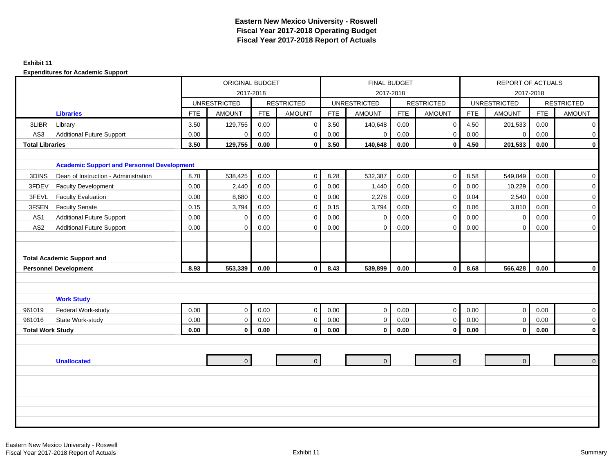#### **Exhibit 11**

|                         |                                                   |            | <b>ORIGINAL BUDGET</b> |            |                   |            |                     | <b>FINAL BUDGET</b> |                   |            | <b>REPORT OF ACTUALS</b> |            |                   |
|-------------------------|---------------------------------------------------|------------|------------------------|------------|-------------------|------------|---------------------|---------------------|-------------------|------------|--------------------------|------------|-------------------|
|                         |                                                   |            |                        | 2017-2018  |                   |            |                     | 2017-2018           |                   |            | 2017-2018                |            |                   |
|                         |                                                   |            | <b>UNRESTRICTED</b>    |            | <b>RESTRICTED</b> |            | <b>UNRESTRICTED</b> |                     | <b>RESTRICTED</b> |            | <b>UNRESTRICTED</b>      |            | <b>RESTRICTED</b> |
|                         | <b>Libraries</b>                                  | <b>FTE</b> | <b>AMOUNT</b>          | <b>FTE</b> | <b>AMOUNT</b>     | <b>FTE</b> | <b>AMOUNT</b>       | <b>FTE</b>          | <b>AMOUNT</b>     | <b>FTE</b> | <b>AMOUNT</b>            | <b>FTE</b> | <b>AMOUNT</b>     |
| 3LIBR                   | Library                                           | 3.50       | 129,755                | 0.00       | $\mathbf 0$       | 3.50       | 140,648             | 0.00                | $\mathbf 0$       | 4.50       | 201,533                  | 0.00       | $\overline{0}$    |
| AS3                     | <b>Additional Future Support</b>                  | 0.00       | $\mathbf 0$            | 0.00       | $\mathbf 0$       | 0.00       | $\mathbf 0$         | 0.00                | $\mathbf 0$       | 0.00       | $\overline{0}$           | 0.00       | $\mathbf 0$       |
| <b>Total Libraries</b>  |                                                   | 3.50       | 129,755                | 0.00       | $\mathbf 0$       | 3.50       | 140,648             | 0.00                | $\mathbf 0$       | 4.50       | 201,533                  | 0.00       | $\mathbf 0$       |
|                         | <b>Academic Support and Personnel Development</b> |            |                        |            |                   |            |                     |                     |                   |            |                          |            |                   |
| 3DINS                   | Dean of Instruction - Administration              | 8.78       | 538,425                | 0.00       | $\mathbf 0$       | 8.28       | 532,387             | 0.00                | $\mathbf 0$       | 8.58       | 549,849                  | 0.00       | $\overline{0}$    |
| 3FDEV                   | <b>Faculty Development</b>                        | 0.00       | 2,440                  | 0.00       | $\mathbf 0$       | 0.00       | 1,440               | 0.00                | $\mathbf 0$       | 0.00       | 10,229                   | 0.00       | $\overline{0}$    |
| 3FEVL                   | <b>Faculty Evaluation</b>                         | 0.00       | 8,680                  | 0.00       | $\mathbf 0$       | 0.00       | 2,278               | 0.00                | $\mathbf 0$       | 0.04       | 2,540                    | 0.00       | $\overline{0}$    |
| 3FSEN                   | <b>Faculty Senate</b>                             | 0.15       | 3,794                  | 0.00       | $\mathbf 0$       | 0.15       | 3,794               | 0.00                | $\mathbf 0$       | 0.06       | 3,810                    | 0.00       | $\overline{0}$    |
| AS <sub>1</sub>         | <b>Additional Future Support</b>                  | 0.00       | $\mathbf 0$            | 0.00       | $\mathbf 0$       | 0.00       | $\mathbf 0$         | 0.00                | $\mathbf 0$       | 0.00       | $\mathbf 0$              | 0.00       | $\mathbf 0$       |
| AS <sub>2</sub>         | <b>Additional Future Support</b>                  | 0.00       | $\Omega$               | 0.00       | $\mathbf 0$       | 0.00       | $\mathbf 0$         | 0.00                | $\mathbf 0$       | 0.00       | $\mathbf 0$              | 0.00       | $\overline{0}$    |
|                         |                                                   |            |                        |            |                   |            |                     |                     |                   |            |                          |            |                   |
|                         |                                                   |            |                        |            |                   |            |                     |                     |                   |            |                          |            |                   |
|                         | <b>Total Academic Support and</b>                 |            |                        |            |                   |            |                     |                     |                   |            |                          |            |                   |
|                         | <b>Personnel Development</b>                      | 8.93       | 553,339                | 0.00       | $\pmb{0}$         | 8.43       | 539,899             | 0.00                | $\mathbf 0$       | 8.68       | 566,428                  | 0.00       | $\mathbf 0$       |
|                         |                                                   |            |                        |            |                   |            |                     |                     |                   |            |                          |            |                   |
|                         |                                                   |            |                        |            |                   |            |                     |                     |                   |            |                          |            |                   |
|                         | <b>Work Study</b>                                 |            |                        |            |                   |            |                     |                     |                   |            |                          |            |                   |
| 961019                  | Federal Work-study                                | 0.00       | $\mathbf 0$            | 0.00       | $\mathbf 0$       | 0.00       | $\mathbf 0$         | 0.00                | $\overline{0}$    | 0.00       | $\overline{0}$           | 0.00       | $\overline{0}$    |
| 961016                  | State Work-study                                  | 0.00       | $\mathbf 0$            | 0.00       | $\mathbf 0$       | 0.00       | $\mathbf 0$         | 0.00                | $\overline{0}$    | 0.00       | $\overline{0}$           | 0.00       | $\overline{0}$    |
| <b>Total Work Study</b> |                                                   | 0.00       | $\mathbf 0$            | 0.00       | $\mathbf 0$       | $\bf 0.00$ | $\mathbf 0$         | 0.00                | 0                 | 0.00       | $\mathbf{0}$             | 0.00       | $\mathbf 0$       |
|                         |                                                   |            |                        |            |                   |            |                     |                     |                   |            |                          |            |                   |
|                         |                                                   |            |                        |            |                   |            |                     |                     |                   |            |                          |            |                   |
|                         | <b>Unallocated</b>                                |            | $\mathbf 0$            |            | $\overline{0}$    |            | $\overline{0}$      |                     | $\mathbf{0}$      |            | $\overline{0}$           |            | $\overline{0}$    |
|                         |                                                   |            |                        |            |                   |            |                     |                     |                   |            |                          |            |                   |
|                         |                                                   |            |                        |            |                   |            |                     |                     |                   |            |                          |            |                   |
|                         |                                                   |            |                        |            |                   |            |                     |                     |                   |            |                          |            |                   |
|                         |                                                   |            |                        |            |                   |            |                     |                     |                   |            |                          |            |                   |
|                         |                                                   |            |                        |            |                   |            |                     |                     |                   |            |                          |            |                   |
|                         |                                                   |            |                        |            |                   |            |                     |                     |                   |            |                          |            |                   |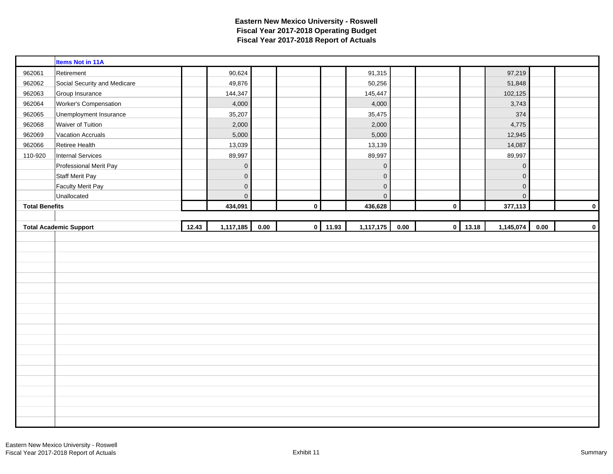|                       | <b>Items Not in 11A</b>       |       |                |      |             |       |                     |      |             |             |                     |          |             |
|-----------------------|-------------------------------|-------|----------------|------|-------------|-------|---------------------|------|-------------|-------------|---------------------|----------|-------------|
| 962061                | Retirement                    |       | 90,624         |      |             |       | 91,315              |      |             |             | 97,219              |          |             |
| 962062                | Social Security and Medicare  |       | 49,876         |      |             |       | 50,256              |      |             |             | 51,848              |          |             |
| 962063                | Group Insurance               |       | 144,347        |      |             |       | 145,447             |      |             |             | 102,125             |          |             |
| 962064                | Worker's Compensation         |       | 4,000          |      |             |       | 4,000               |      |             |             | 3,743               |          |             |
| 962065                | Unemployment Insurance        |       | 35,207         |      |             |       | 35,475              |      |             |             | 374                 |          |             |
| 962068                | Waiver of Tuition             |       | 2,000          |      |             |       | 2,000               |      |             |             | 4,775               |          |             |
| 962069                | <b>Vacation Accruals</b>      |       | 5,000          |      |             |       | 5,000               |      |             |             | 12,945              |          |             |
| 962066                | Retiree Health                |       | 13,039         |      |             |       | 13,139              |      |             |             | 14,087              |          |             |
| 110-920               | <b>Internal Services</b>      |       | 89,997         |      |             |       | 89,997              |      |             |             | 89,997              |          |             |
|                       | Professional Merit Pay        |       | $\pmb{0}$      |      |             |       | $\mathbf 0$         |      |             |             | $\mathsf{O}\xspace$ |          |             |
|                       | <b>Staff Merit Pay</b>        |       | $\pmb{0}$      |      |             |       | $\mathsf{O}\xspace$ |      |             |             | $\mathbf 0$         |          |             |
|                       | <b>Faculty Merit Pay</b>      |       | $\pmb{0}$      |      |             |       | $\mathbf 0$         |      |             |             | $\mathsf{O}\xspace$ |          |             |
|                       | Unallocated                   |       | $\overline{0}$ |      |             |       | $\mathbf 0$         |      |             |             | $\overline{0}$      |          |             |
| <b>Total Benefits</b> |                               |       | 434,091        |      | $\bf{0}$    |       | 436,628             |      | $\mathbf 0$ |             | 377,113             |          | $\mathbf 0$ |
|                       |                               |       |                |      |             |       |                     |      |             |             |                     |          |             |
|                       |                               |       |                |      |             |       |                     |      |             |             |                     |          |             |
|                       | <b>Total Academic Support</b> | 12.43 | 1,117,185      | 0.00 | $\mathbf 0$ | 11.93 | 1,117,175           | 0.00 |             | $0 \ 13.18$ | 1,145,074           | $0.00\,$ | $\mathbf 0$ |
|                       |                               |       |                |      |             |       |                     |      |             |             |                     |          |             |
|                       |                               |       |                |      |             |       |                     |      |             |             |                     |          |             |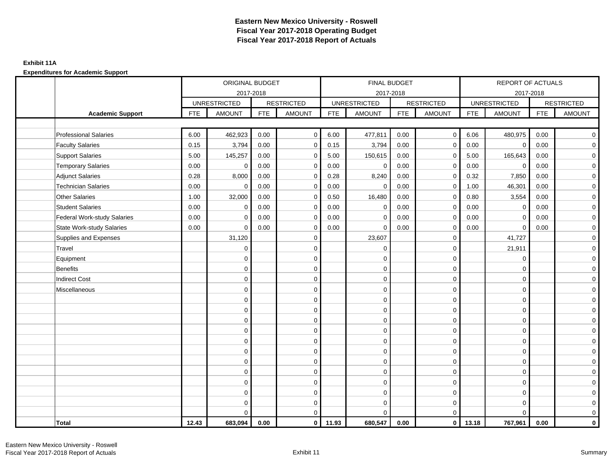### **Exhibit 11A**

|                                    |            | ORIGINAL BUDGET     |            |                   |            | FINAL BUDGET        |            |                         |            | <b>REPORT OF ACTUALS</b> |            |                   |
|------------------------------------|------------|---------------------|------------|-------------------|------------|---------------------|------------|-------------------------|------------|--------------------------|------------|-------------------|
|                                    |            | 2017-2018           |            |                   |            | 2017-2018           |            |                         |            | 2017-2018                |            |                   |
|                                    |            | <b>UNRESTRICTED</b> |            | <b>RESTRICTED</b> |            | <b>UNRESTRICTED</b> |            | <b>RESTRICTED</b>       |            | <b>UNRESTRICTED</b>      |            | <b>RESTRICTED</b> |
| <b>Academic Support</b>            | <b>FTE</b> | <b>AMOUNT</b>       | <b>FTE</b> | <b>AMOUNT</b>     | <b>FTE</b> | <b>AMOUNT</b>       | <b>FTE</b> | <b>AMOUNT</b>           | <b>FTE</b> | <b>AMOUNT</b>            | <b>FTE</b> | <b>AMOUNT</b>     |
|                                    |            |                     |            |                   |            |                     |            |                         |            |                          |            |                   |
| <b>Professional Salaries</b>       | 6.00       | 462,923             | 0.00       | $\mathbf 0$       | 6.00       | 477,811             | 0.00       | $\overline{0}$          | 6.06       | 480,975                  | 0.00       | $\overline{0}$    |
| <b>Faculty Salaries</b>            | 0.15       | 3,794               | 0.00       | $\mathbf 0$       | 0.15       | 3,794               | 0.00       | $\mathbf 0$             | 0.00       | $\mathbf 0$              | 0.00       | $\overline{0}$    |
| <b>Support Salaries</b>            | 5.00       | 145,257             | 0.00       | $\mathbf 0$       | 5.00       | 150,615             | 0.00       | $\mathbf 0$             | 5.00       | 165,643                  | 0.00       | $\overline{0}$    |
| <b>Temporary Salaries</b>          | 0.00       | $\mathbf 0$         | 0.00       | $\mathbf 0$       | 0.00       | $\mathbf 0$         | 0.00       | $\mathbf 0$             | 0.00       | $\mathbf 0$              | 0.00       | $\mathbf 0$       |
| <b>Adjunct Salaries</b>            | 0.28       | 8,000               | 0.00       | $\mathbf 0$       | 0.28       | 8,240               | 0.00       | $\mathbf 0$             | 0.32       | 7,850                    | 0.00       | $\mathbf 0$       |
| <b>Technician Salaries</b>         | 0.00       | $\Omega$            | 0.00       | $\mathbf 0$       | 0.00       | $\Omega$            | 0.00       | $\mathbf 0$             | 1.00       | 46,301                   | 0.00       | $\overline{0}$    |
| <b>Other Salaries</b>              | 1.00       | 32,000              | 0.00       | $\mathbf 0$       | 0.50       | 16,480              | 0.00       | $\mathbf 0$             | 0.80       | 3,554                    | 0.00       | $\overline{0}$    |
| <b>Student Salaries</b>            | 0.00       | $\mathbf 0$         | 0.00       | $\mathbf 0$       | 0.00       | $\mathbf 0$         | 0.00       | $\mathbf 0$             | 0.00       | $\mathbf 0$              | 0.00       | $\overline{0}$    |
| <b>Federal Work-study Salaries</b> | 0.00       | $\Omega$            | 0.00       | $\Omega$          | 0.00       | $\Omega$            | 0.00       | $\mathbf 0$             | 0.00       | $\mathbf 0$              | 0.00       | $\overline{0}$    |
| <b>State Work-study Salaries</b>   | 0.00       | $\mathbf 0$         | 0.00       | $\mathbf 0$       | 0.00       | $\Omega$            | 0.00       | 0                       | 0.00       | $\mathbf 0$              | 0.00       | $\mathbf 0$       |
| Supplies and Expenses              |            | 31,120              |            | $\mathbf 0$       |            | 23,607              |            | $\mathbf 0$             |            | 41,727                   |            | $\mathbf 0$       |
| Travel                             |            | $\mathbf 0$         |            | $\mathbf 0$       |            | $\mathbf 0$         |            | $\mathbf 0$             |            | 21,911                   |            | $\mathbf 0$       |
| Equipment                          |            | $\mathbf 0$         |            | $\mathbf 0$       |            | $\mathbf 0$         |            | $\mathbf 0$             |            | $\mathbf 0$              |            | $\overline{0}$    |
| <b>Benefits</b>                    |            | $\Omega$            |            | $\mathbf 0$       |            | $\Omega$            |            | $\mathbf 0$             |            | $\Omega$                 |            | $\mathbf 0$       |
| <b>Indirect Cost</b>               |            | $\mathbf 0$         |            | $\mathbf 0$       |            | $\mathbf 0$         |            | $\mathbf 0$             |            | $\mathbf 0$              |            | $\mathbf 0$       |
| Miscellaneous                      |            | $\mathbf 0$         |            | $\mathbf 0$       |            | $\mathbf 0$         |            | $\mathbf 0$             |            | $\mathbf 0$              |            | $\overline{0}$    |
|                                    |            | $\Omega$            |            | $\mathbf 0$       |            | $\mathbf 0$         |            | $\mathbf 0$             |            | $\mathbf 0$              |            | $\overline{0}$    |
|                                    |            | $\mathbf 0$         |            | 0                 |            | $\mathbf 0$         |            | $\pmb{0}$               |            | $\mathbf 0$              |            | $\overline{0}$    |
|                                    |            | $\Omega$            |            | $\mathbf 0$       |            | $\Omega$            |            | $\mathbf 0$             |            | $\mathbf 0$              |            | $\overline{0}$    |
|                                    |            | $\Omega$            |            | $\mathbf 0$       |            | $\Omega$            |            | $\mathbf 0$             |            | $\Omega$                 |            | $\mathbf 0$       |
|                                    |            | $\mathbf 0$         |            | $\mathbf 0$       |            | $\mathbf 0$         |            | $\mathbf 0$             |            | $\mathbf 0$              |            | $\mathbf 0$       |
|                                    |            | $\mathbf 0$         |            | $\mathbf 0$       |            | $\mathbf 0$         |            | $\mathbf 0$             |            | $\mathbf 0$              |            | $\mathbf 0$       |
|                                    |            | $\mathbf 0$         |            | $\mathbf 0$       |            | $\mathbf 0$         |            | $\mathbf 0$             |            | $\Omega$                 |            | $\overline{0}$    |
|                                    |            | $\Omega$            |            | $\mathbf 0$       |            | $\mathbf 0$         |            | $\mathbf 0$             |            | $\mathbf 0$              |            | $\overline{0}$    |
|                                    |            | $\mathbf 0$         |            | $\mathbf 0$       |            | $\mathbf 0$         |            | $\mathbf 0$             |            | $\mathbf 0$              |            | $\mathbf 0$       |
|                                    |            | $\Omega$            |            | $\mathbf 0$       |            | $\Omega$            |            | $\mathbf 0$             |            | $\Omega$                 |            | $\overline{0}$    |
|                                    |            | $\Omega$            |            | $\mathbf 0$       |            | $\mathbf 0$         |            | $\mathbf 0$             |            | $\mathbf 0$              |            | $\mathbf 0$       |
|                                    |            | $\mathbf 0$         |            | $\mathbf 0$       |            | $\Omega$            |            | $\mathbf 0$             |            | $\Omega$                 |            | $\mathbf 0$       |
| <b>Total</b>                       | 12.43      | 683,094             | 0.00       | $\overline{0}$    | 11.93      | 680,547             | 0.00       | $\overline{\mathbf{0}}$ | 13.18      | 767,961                  | 0.00       | $\mathbf 0$       |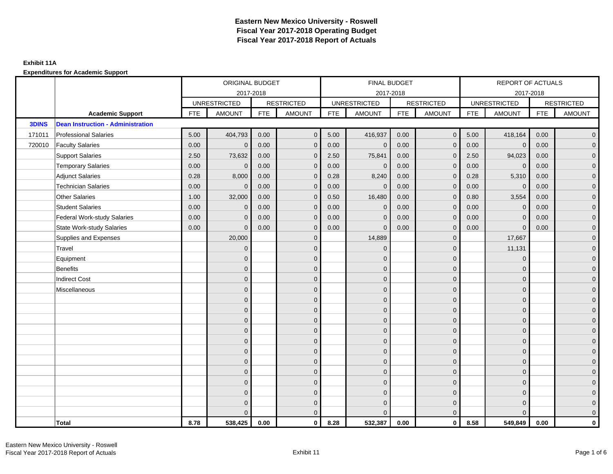|              |                                          |            | ORIGINAL BUDGET     |            |                   |            | FINAL BUDGET        |            |                   |            | REPORT OF ACTUALS   |            |                     |
|--------------|------------------------------------------|------------|---------------------|------------|-------------------|------------|---------------------|------------|-------------------|------------|---------------------|------------|---------------------|
|              |                                          |            | 2017-2018           |            |                   |            | 2017-2018           |            |                   |            | 2017-2018           |            |                     |
|              |                                          |            | <b>UNRESTRICTED</b> |            | <b>RESTRICTED</b> |            | <b>UNRESTRICTED</b> |            | <b>RESTRICTED</b> |            | <b>UNRESTRICTED</b> |            | <b>RESTRICTED</b>   |
|              | <b>Academic Support</b>                  | <b>FTE</b> | <b>AMOUNT</b>       | <b>FTE</b> | <b>AMOUNT</b>     | <b>FTE</b> | <b>AMOUNT</b>       | <b>FTE</b> | <b>AMOUNT</b>     | <b>FTE</b> | <b>AMOUNT</b>       | <b>FTE</b> | <b>AMOUNT</b>       |
| <b>3DINS</b> | <b>Dean Instruction - Administration</b> |            |                     |            |                   |            |                     |            |                   |            |                     |            |                     |
| 171011       | <b>Professional Salaries</b>             | 5.00       | 404,793             | 0.00       | $\mathbf{0}$      | 5.00       | 416,937             | 0.00       | $\overline{0}$    | 5.00       | 418,164             | 0.00       | $\overline{0}$      |
| 720010       | <b>Faculty Salaries</b>                  | 0.00       | $\mathbf 0$         | 0.00       | $\mathbf{0}$      | 0.00       | $\mathbf{0}$        | 0.00       | $\mathbf{0}$      | 0.00       | $\mathbf 0$         | 0.00       | $\overline{0}$      |
|              | <b>Support Salaries</b>                  | 2.50       | 73,632              | 0.00       | $\mathbf{0}$      | 2.50       | 75,841              | 0.00       | $\mathbf{0}$      | 2.50       | 94,023              | 0.00       | $\overline{0}$      |
|              | <b>Temporary Salaries</b>                | 0.00       | $\mathbf{0}$        | 0.00       | $\mathbf{0}$      | 0.00       | $\mathbf 0$         | 0.00       | $\mathbf 0$       | 0.00       | $\mathbf 0$         | 0.00       | $\overline{0}$      |
|              | <b>Adjunct Salaries</b>                  | 0.28       | 8,000               | 0.00       | $\Omega$          | 0.28       | 8,240               | 0.00       | $\mathbf{0}$      | 0.28       | 5,310               | 0.00       | $\mathbf 0$         |
|              | <b>Technician Salaries</b>               | 0.00       | $\Omega$            | 0.00       | $\Omega$          | 0.00       | $\Omega$            | 0.00       | $\mathbf{0}$      | 0.00       | $\Omega$            | 0.00       | $\overline{0}$      |
|              | <b>Other Salaries</b>                    | 1.00       | 32,000              | 0.00       | $\mathbf{0}$      | 0.50       | 16,480              | 0.00       | $\mathbf 0$       | 0.80       | 3,554               | 0.00       | $\overline{0}$      |
|              | <b>Student Salaries</b>                  | 0.00       | $\mathbf{0}$        | 0.00       | $\mathbf{0}$      | 0.00       | $\mathbf{0}$        | 0.00       | $\mathbf{0}$      | 0.00       | $\mathbf{0}$        | 0.00       | $\overline{0}$      |
|              | <b>Federal Work-study Salaries</b>       | 0.00       | $\Omega$            | 0.00       | $\Omega$          | 0.00       | $\overline{0}$      | 0.00       | $\mathbf{0}$      | 0.00       | $\Omega$            | 0.00       | $\overline{0}$      |
|              | <b>State Work-study Salaries</b>         | 0.00       | $\mathbf{0}$        | 0.00       | $\mathbf{0}$      | 0.00       | $\mathbf{0}$        | 0.00       | $\mathbf{0}$      | 0.00       | $\mathbf{0}$        | 0.00       | $\mathbf 0$         |
|              | Supplies and Expenses                    |            | 20,000              |            | $\mathbf{0}$      |            | 14,889              |            | $\mathbf{0}$      |            | 17,667              |            | $\overline{0}$      |
|              | Travel                                   |            | $\mathbf{0}$        |            | $\mathbf{0}$      |            | $\Omega$            |            | $\mathbf{0}$      |            | 11,131              |            | $\overline{0}$      |
|              | Equipment                                |            | $\mathbf{0}$        |            | $\mathbf 0$       |            | $\mathbf{0}$        |            | $\mathbf{0}$      |            | $\mathbf{0}$        |            | $\overline{0}$      |
|              | <b>Benefits</b>                          |            | $\Omega$            |            | $\mathbf{0}$      |            | $\Omega$            |            | $\mathbf{0}$      |            | $\Omega$            |            | $\overline{0}$      |
|              | <b>Indirect Cost</b>                     |            | $\mathbf{0}$        |            | $\mathbf{0}$      |            | $\Omega$            |            | $\mathbf 0$       |            | $\mathbf{0}$        |            | $\mathbf 0$         |
|              | Miscellaneous                            |            | $\mathbf{0}$        |            | $\mathbf{0}$      |            | $\Omega$            |            | $\mathbf 0$       |            | $\mathbf{0}$        |            | $\mathbf 0$         |
|              |                                          |            | $\mathbf{0}$        |            | $\mathbf{0}$      |            | $\Omega$            |            | $\mathbf{0}$      |            | $\Omega$            |            | $\overline{0}$      |
|              |                                          |            | $\mathbf{0}$        |            | $\mathbf 0$       |            | $\overline{0}$      |            | $\mathbf 0$       |            | $\mathbf{0}$        |            | $\overline{0}$      |
|              |                                          |            | $\Omega$            |            | $\mathbf{0}$      |            | $\Omega$            |            | $\mathbf 0$       |            | $\mathbf{0}$        |            | $\overline{0}$      |
|              |                                          |            | $\Omega$            |            | $\Omega$          |            | $\Omega$            |            | $\mathbf{0}$      |            | $\Omega$            |            | $\mathbf 0$         |
|              |                                          |            | $\mathbf{0}$        |            | $\mathbf{0}$      |            | $\Omega$            |            | $\mathbf 0$       |            | $\mathbf{0}$        |            | $\mathsf{O}\xspace$ |
|              |                                          |            | $\mathbf{0}$        |            | $\mathbf{0}$      |            | $\Omega$            |            | $\mathbf{0}$      |            | $\Omega$            |            | $\overline{0}$      |
|              |                                          |            | $\Omega$            |            | $\mathbf{0}$      |            | $\Omega$            |            | $\mathbf{0}$      |            | $\Omega$            |            | $\overline{0}$      |
|              |                                          |            | $\Omega$            |            | $\mathbf{0}$      |            | $\Omega$            |            | $\mathbf{0}$      |            | $\mathbf{0}$        |            | $\overline{0}$      |
|              |                                          |            | $\mathbf{0}$        |            | $\mathbf{0}$      |            | $\Omega$            |            | $\mathbf{0}$      |            | $\mathbf{0}$        |            | $\mathbf 0$         |
|              |                                          |            | $\Omega$            |            | $\mathbf{0}$      |            | $\Omega$            |            | $\mathbf{0}$      |            | $\Omega$            |            | $\mathsf{O}\xspace$ |
|              |                                          |            | $\mathbf{0}$        |            | $\mathbf 0$       |            | $\Omega$            |            | $\mathbf{0}$      |            | $\mathbf{0}$        |            | $\overline{0}$      |
|              |                                          |            | $\Omega$            |            | $\mathbf{0}$      |            | $\Omega$            |            | $\mathbf{0}$      |            | $\Omega$            |            | $\overline{0}$      |
|              | <b>Total</b>                             | 8.78       | 538,425             | 0.00       | $\mathbf 0$       | 8.28       | 532,387             | 0.00       | $\overline{0}$    | 8.58       | 549,849             | 0.00       | $\mathbf 0$         |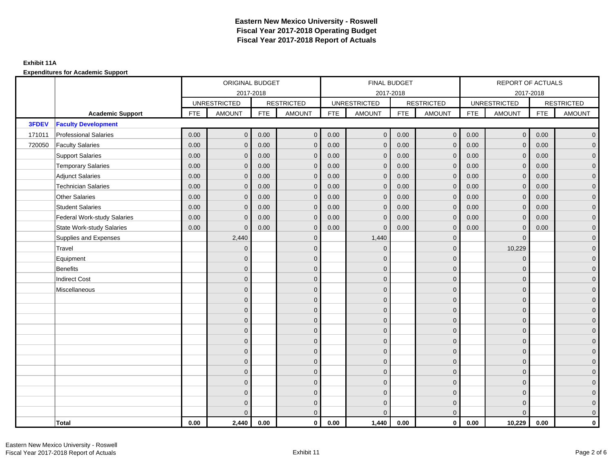|        |                                    |            | ORIGINAL BUDGET     |            |                   |            | FINAL BUDGET        |            |                   |            | <b>REPORT OF ACTUALS</b> |            |                   |
|--------|------------------------------------|------------|---------------------|------------|-------------------|------------|---------------------|------------|-------------------|------------|--------------------------|------------|-------------------|
|        |                                    |            | 2017-2018           |            |                   |            | 2017-2018           |            |                   |            | 2017-2018                |            |                   |
|        |                                    |            | <b>UNRESTRICTED</b> |            | <b>RESTRICTED</b> |            | <b>UNRESTRICTED</b> |            | <b>RESTRICTED</b> |            | <b>UNRESTRICTED</b>      |            | <b>RESTRICTED</b> |
|        | <b>Academic Support</b>            | <b>FTE</b> | <b>AMOUNT</b>       | <b>FTE</b> | <b>AMOUNT</b>     | <b>FTE</b> | <b>AMOUNT</b>       | <b>FTE</b> | <b>AMOUNT</b>     | <b>FTE</b> | <b>AMOUNT</b>            | <b>FTE</b> | <b>AMOUNT</b>     |
| 3FDEV  | <b>Faculty Development</b>         |            |                     |            |                   |            |                     |            |                   |            |                          |            |                   |
| 171011 | <b>Professional Salaries</b>       | 0.00       | $\mathbf{0}$        | 0.00       | $\overline{0}$    | 0.00       | $\mathbf{0}$        | 0.00       | $\overline{0}$    | 0.00       | $\overline{0}$           | 0.00       | $\mathbf{0}$      |
| 720050 | <b>Faculty Salaries</b>            | 0.00       | $\mathbf{0}$        | 0.00       | $\mathbf{0}$      | 0.00       | $\mathbf{0}$        | 0.00       | $\mathbf 0$       | 0.00       | $\mathbf 0$              | 0.00       | $\mathbf{0}$      |
|        | <b>Support Salaries</b>            | 0.00       | $\mathbf{0}$        | 0.00       | $\mathbf{0}$      | 0.00       | $\mathbf{0}$        | 0.00       | $\overline{0}$    | 0.00       | $\overline{0}$           | 0.00       | $\mathbf{0}$      |
|        | <b>Temporary Salaries</b>          | 0.00       | $\mathbf{0}$        | 0.00       | $\Omega$          | 0.00       | $\mathbf{0}$        | 0.00       | $\mathbf 0$       | 0.00       | $\mathbf 0$              | 0.00       | 0                 |
|        | <b>Adjunct Salaries</b>            | 0.00       | $\mathbf{0}$        | 0.00       | $\mathbf{0}$      | 0.00       | $\mathbf{0}$        | 0.00       | $\mathbf{0}$      | 0.00       | $\mathbf{0}$             | 0.00       | 0                 |
|        | <b>Technician Salaries</b>         | 0.00       | $\mathbf{0}$        | 0.00       | $\mathbf{0}$      | 0.00       | $\mathbf{0}$        | 0.00       | $\mathbf{0}$      | 0.00       | $\mathbf{0}$             | 0.00       | 0                 |
|        | <b>Other Salaries</b>              | 0.00       | $\Omega$            | 0.00       | $\Omega$          | 0.00       | $\Omega$            | 0.00       | $\mathbf{0}$      | 0.00       | $\mathbf{0}$             | 0.00       | $\overline{0}$    |
|        | <b>Student Salaries</b>            | 0.00       | $\mathbf{0}$        | 0.00       | $\mathbf{0}$      | 0.00       | $\mathbf 0$         | 0.00       | $\mathbf 0$       | 0.00       | $\overline{0}$           | 0.00       | 0                 |
|        | <b>Federal Work-study Salaries</b> | 0.00       | $\mathbf{0}$        | 0.00       | $\mathbf{0}$      | 0.00       | $\mathbf 0$         | 0.00       | $\mathbf 0$       | 0.00       | $\mathbf 0$              | 0.00       | 0                 |
|        | <b>State Work-study Salaries</b>   | 0.00       | $\mathbf{0}$        | 0.00       | $\mathbf{0}$      | 0.00       | $\mathbf 0$         | 0.00       | $\mathbf{0}$      | 0.00       | $\mathbf{0}$             | 0.00       | 0                 |
|        | Supplies and Expenses              |            | 2,440               |            | $\mathbf{0}$      |            | 1,440               |            | $\mathbf 0$       |            | $\mathbf{0}$             |            | 0                 |
|        | Travel                             |            | $\overline{0}$      |            | $\mathbf{0}$      |            | $\mathbf 0$         |            | $\mathbf 0$       |            | 10,229                   |            | $\mathbf{0}$      |
|        | Equipment                          |            | $\Omega$            |            | $\mathbf{0}$      |            | $\Omega$            |            | $\mathbf 0$       |            | $\mathbf{0}$             |            | 0                 |
|        | <b>Benefits</b>                    |            | $\mathbf{0}$        |            | $\mathbf{0}$      |            | $\Omega$            |            | $\mathbf 0$       |            | $\mathbf{0}$             |            | 0                 |
|        | <b>Indirect Cost</b>               |            | $\mathbf{0}$        |            | $\mathbf{0}$      |            | $\Omega$            |            | $\mathbf{0}$      |            | $\mathbf{0}$             |            | 0                 |
|        | Miscellaneous                      |            | $\Omega$            |            | $\mathbf{0}$      |            | $\Omega$            |            | $\mathbf{0}$      |            | $\mathbf{0}$             |            | $\overline{0}$    |
|        |                                    |            | $\overline{0}$      |            | $\mathbf 0$       |            | $\Omega$            |            | $\mathbf 0$       |            | $\mathbf{0}$             |            | 0                 |
|        |                                    |            | $\overline{0}$      |            | $\mathbf 0$       |            | $\Omega$            |            | $\mathbf 0$       |            | $\mathbf{0}$             |            | $\mathbf{0}$      |
|        |                                    |            | $\Omega$            |            | $\mathbf{0}$      |            | $\Omega$            |            | $\mathbf{0}$      |            | $\Omega$                 |            | $\Omega$          |
|        |                                    |            | $\mathbf{0}$        |            | $\mathbf{0}$      |            | $\Omega$            |            | $\mathbf 0$       |            | $\mathbf{0}$             |            | 0                 |
|        |                                    |            | $\mathbf{0}$        |            | $\mathbf{0}$      |            | $\Omega$            |            | $\mathbf 0$       |            | $\mathbf{0}$             |            | 0                 |
|        |                                    |            | $\overline{0}$      |            | $\mathbf{0}$      |            | $\Omega$            |            | $\mathbf{0}$      |            | $\Omega$                 |            | $\overline{0}$    |
|        |                                    |            | $\mathbf{0}$        |            | $\mathbf 0$       |            | $\overline{0}$      |            | $\mathbf 0$       |            | $\mathbf{0}$             |            | 0                 |
|        |                                    |            | $\Omega$            |            | $\mathbf{0}$      |            | $\Omega$            |            | $\mathbf 0$       |            | $\mathbf{0}$             |            | 0                 |
|        |                                    |            | $\mathbf{0}$        |            | $\mathbf{0}$      |            | $\Omega$            |            | $\mathbf{0}$      |            | $\mathbf{0}$             |            | $\mathbf{0}$      |
|        |                                    |            | $\Omega$            |            | $\mathbf{0}$      |            | $\Omega$            |            | $\mathbf{0}$      |            | $\Omega$                 |            | $\mathbf{0}$      |
|        |                                    |            | $\mathbf{0}$        |            | $\mathbf 0$       |            | $\Omega$            |            | $\mathbf 0$       |            | $\mathbf{0}$             |            | 0                 |
|        |                                    |            | $\Omega$            |            | $\mathbf{0}$      |            | $\Omega$            |            | $\mathbf{0}$      |            | $\Omega$                 |            | $\mathbf{0}$      |
|        | <b>Total</b>                       | 0.00       | 2,440               | 0.00       | $\mathbf 0$       | 0.00       | 1,440               | 0.00       | $\mathbf{0}$      | 0.00       | 10,229                   | 0.00       | 0                 |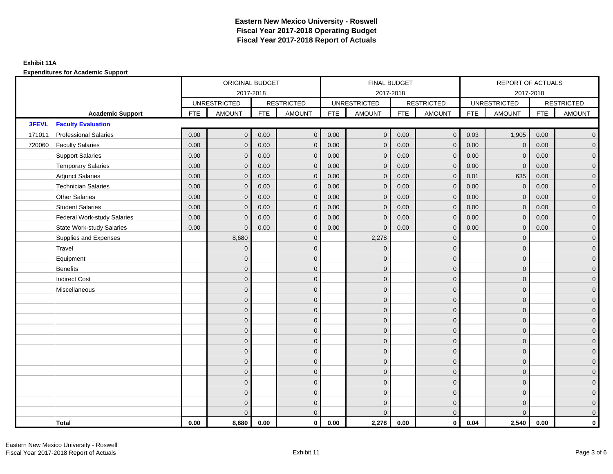|        |                                    |            | ORIGINAL BUDGET     |            |                   |            | FINAL BUDGET        |            |                   |            | REPORT OF ACTUALS   |            |                     |
|--------|------------------------------------|------------|---------------------|------------|-------------------|------------|---------------------|------------|-------------------|------------|---------------------|------------|---------------------|
|        |                                    |            | 2017-2018           |            |                   |            | 2017-2018           |            |                   |            | 2017-2018           |            |                     |
|        |                                    |            | <b>UNRESTRICTED</b> |            | <b>RESTRICTED</b> |            | <b>UNRESTRICTED</b> |            | <b>RESTRICTED</b> |            | <b>UNRESTRICTED</b> |            | <b>RESTRICTED</b>   |
|        | <b>Academic Support</b>            | <b>FTE</b> | <b>AMOUNT</b>       | <b>FTE</b> | <b>AMOUNT</b>     | <b>FTE</b> | <b>AMOUNT</b>       | <b>FTE</b> | <b>AMOUNT</b>     | <b>FTE</b> | <b>AMOUNT</b>       | <b>FTE</b> | <b>AMOUNT</b>       |
| 3FEVL  | <b>Faculty Evaluation</b>          |            |                     |            |                   |            |                     |            |                   |            |                     |            |                     |
| 171011 | <b>Professional Salaries</b>       | 0.00       | $\mathbf{0}$        | 0.00       | $\mathbf{0}$      | 0.00       | $\mathbf 0$         | 0.00       | $\overline{0}$    | 0.03       | 1,905               | 0.00       | $\overline{0}$      |
| 720060 | <b>Faculty Salaries</b>            | 0.00       | $\mathbf{0}$        | 0.00       | $\mathbf{0}$      | 0.00       | $\mathbf{0}$        | 0.00       | $\mathbf{0}$      | 0.00       | $\mathbf 0$         | 0.00       | $\overline{0}$      |
|        | <b>Support Salaries</b>            | 0.00       | $\mathbf{0}$        | 0.00       | $\mathbf{0}$      | 0.00       | $\mathbf{0}$        | 0.00       | $\mathbf{0}$      | 0.00       | $\Omega$            | 0.00       | $\overline{0}$      |
|        | <b>Temporary Salaries</b>          | 0.00       | $\mathbf{0}$        | 0.00       | $\mathbf{0}$      | 0.00       | $\mathbf 0$         | 0.00       | $\mathbf{0}$      | 0.00       | $\mathbf 0$         | 0.00       | $\overline{0}$      |
|        | <b>Adjunct Salaries</b>            | 0.00       | $\mathbf{0}$        | 0.00       | $\Omega$          | 0.00       | $\mathbf{0}$        | 0.00       | $\mathbf{0}$      | 0.01       | 635                 | 0.00       | $\mathbf 0$         |
|        | <b>Technician Salaries</b>         | 0.00       | $\Omega$            | 0.00       | $\Omega$          | 0.00       | $\Omega$            | 0.00       | $\mathbf{0}$      | 0.00       | $\Omega$            | 0.00       | $\overline{0}$      |
|        | <b>Other Salaries</b>              | 0.00       | $\mathbf{0}$        | 0.00       | $\mathbf{0}$      | 0.00       | $\mathbf{0}$        | 0.00       | $\mathbf 0$       | 0.00       | $\mathbf{0}$        | 0.00       | $\overline{0}$      |
|        | <b>Student Salaries</b>            | 0.00       | $\mathbf{0}$        | 0.00       | $\mathbf{0}$      | 0.00       | $\mathbf{0}$        | 0.00       | $\mathbf{0}$      | 0.00       | $\mathbf 0$         | 0.00       | $\overline{0}$      |
|        | <b>Federal Work-study Salaries</b> | 0.00       | $\Omega$            | 0.00       | $\Omega$          | 0.00       | $\mathbf{0}$        | 0.00       | $\mathbf{0}$      | 0.00       | $\mathbf{0}$        | 0.00       | $\overline{0}$      |
|        | <b>State Work-study Salaries</b>   | 0.00       | $\mathbf{0}$        | 0.00       | $\mathbf{0}$      | 0.00       | $\mathbf{0}$        | 0.00       | $\mathbf{0}$      | 0.00       | $\mathbf{0}$        | 0.00       | $\overline{0}$      |
|        | Supplies and Expenses              |            | 8,680               |            | $\mathbf{0}$      |            | 2,278               |            | $\mathbf{0}$      |            | $\mathbf{0}$        |            | $\overline{0}$      |
|        | Travel                             |            | $\mathbf{0}$        |            | $\mathbf{0}$      |            | $\Omega$            |            | $\mathbf{0}$      |            | $\Omega$            |            | $\overline{0}$      |
|        | Equipment                          |            | $\mathbf{0}$        |            | $\mathbf 0$       |            | $\mathbf{0}$        |            | $\mathbf{0}$      |            | $\mathbf{0}$        |            | $\overline{0}$      |
|        | <b>Benefits</b>                    |            | $\Omega$            |            | $\mathbf{0}$      |            | $\Omega$            |            | $\mathbf{0}$      |            | $\mathbf{0}$        |            | $\overline{0}$      |
|        | <b>Indirect Cost</b>               |            | $\mathbf{0}$        |            | $\mathbf{0}$      |            | $\Omega$            |            | $\mathbf 0$       |            | $\mathbf{0}$        |            | $\mathbf 0$         |
|        | Miscellaneous                      |            | $\mathbf{0}$        |            | $\mathbf{0}$      |            | $\Omega$            |            | $\mathbf 0$       |            | $\Omega$            |            | $\mathbf 0$         |
|        |                                    |            | $\mathbf{0}$        |            | $\mathbf{0}$      |            | $\Omega$            |            | $\mathbf{0}$      |            | $\Omega$            |            | $\overline{0}$      |
|        |                                    |            | $\mathbf{0}$        |            | $\mathbf 0$       |            | $\overline{0}$      |            | $\mathbf 0$       |            | $\mathbf{0}$        |            | $\overline{0}$      |
|        |                                    |            | $\Omega$            |            | $\mathbf{0}$      |            | $\Omega$            |            | $\mathbf 0$       |            | $\mathbf{0}$        |            | $\overline{0}$      |
|        |                                    |            | $\Omega$            |            | $\Omega$          |            | $\Omega$            |            | $\mathbf{0}$      |            | $\Omega$            |            | $\mathbf 0$         |
|        |                                    |            | $\mathbf{0}$        |            | $\mathbf{0}$      |            | $\Omega$            |            | $\mathbf 0$       |            | $\mathbf{0}$        |            | $\mathsf{O}\xspace$ |
|        |                                    |            | $\mathbf{0}$        |            | $\mathbf{0}$      |            | $\Omega$            |            | $\mathbf 0$       |            | $\Omega$            |            | $\overline{0}$      |
|        |                                    |            | $\Omega$            |            | $\mathbf{0}$      |            | $\Omega$            |            | $\mathbf{0}$      |            | $\Omega$            |            | $\overline{0}$      |
|        |                                    |            | $\Omega$            |            | $\mathbf{0}$      |            | $\Omega$            |            | $\mathbf{0}$      |            | $\mathbf{0}$        |            | $\overline{0}$      |
|        |                                    |            | $\overline{0}$      |            | $\mathbf{0}$      |            | $\Omega$            |            | $\mathbf{0}$      |            | $\mathbf{0}$        |            | $\mathbf 0$         |
|        |                                    |            | $\Omega$            |            | $\mathbf{0}$      |            | $\Omega$            |            | $\mathbf{0}$      |            | $\Omega$            |            | $\mathsf{O}\xspace$ |
|        |                                    |            | $\mathbf{0}$        |            | $\mathbf 0$       |            | $\Omega$            |            | $\mathbf{0}$      |            | $\mathbf{0}$        |            | $\mathbf 0$         |
|        |                                    |            | $\Omega$            |            | $\mathbf{0}$      |            | $\Omega$            |            | $\mathbf{0}$      |            | $\Omega$            |            | $\overline{0}$      |
|        | Total                              | 0.00       | 8,680               | 0.00       | $\mathbf 0$       | 0.00       | 2,278               | 0.00       | $\overline{0}$    | 0.04       | 2,540               | 0.00       | $\mathbf 0$         |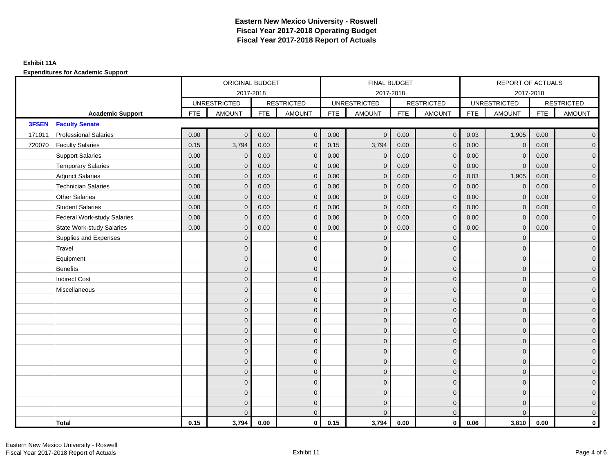|        |                                    |      | ORIGINAL BUDGET     |            |                   |            | FINAL BUDGET        |            |                   |            | REPORT OF ACTUALS   |            |                     |
|--------|------------------------------------|------|---------------------|------------|-------------------|------------|---------------------|------------|-------------------|------------|---------------------|------------|---------------------|
|        |                                    |      | 2017-2018           |            |                   |            | 2017-2018           |            |                   |            | 2017-2018           |            |                     |
|        |                                    |      | <b>UNRESTRICTED</b> |            | <b>RESTRICTED</b> |            | <b>UNRESTRICTED</b> |            | <b>RESTRICTED</b> |            | <b>UNRESTRICTED</b> |            | <b>RESTRICTED</b>   |
|        | <b>Academic Support</b>            | FTE  | <b>AMOUNT</b>       | <b>FTE</b> | <b>AMOUNT</b>     | <b>FTE</b> | <b>AMOUNT</b>       | <b>FTE</b> | <b>AMOUNT</b>     | <b>FTE</b> | <b>AMOUNT</b>       | <b>FTE</b> | <b>AMOUNT</b>       |
| 3FSEN  | <b>Faculty Senate</b>              |      |                     |            |                   |            |                     |            |                   |            |                     |            |                     |
| 171011 | <b>Professional Salaries</b>       | 0.00 | $\mathbf{0}$        | 0.00       | $\overline{0}$    | $0.00\,$   | $\mathbf{0}$        | 0.00       | $\overline{0}$    | 0.03       | 1,905               | 0.00       | $\overline{0}$      |
| 720070 | <b>Faculty Salaries</b>            | 0.15 | 3,794               | 0.00       | $\mathbf{0}$      | 0.15       | 3,794               | 0.00       | $\mathbf{0}$      | 0.00       | $\mathbf 0$         | 0.00       | $\overline{0}$      |
|        | <b>Support Salaries</b>            | 0.00 | $\mathbf{0}$        | 0.00       | $\mathbf{0}$      | 0.00       | $\mathbf{0}$        | 0.00       | $\mathbf{0}$      | 0.00       | $\Omega$            | 0.00       | $\overline{0}$      |
|        | <b>Temporary Salaries</b>          | 0.00 | $\mathbf{0}$        | 0.00       | $\mathbf{0}$      | 0.00       | $\mathbf 0$         | 0.00       | $\mathbf{0}$      | 0.00       | $\mathbf 0$         | 0.00       | $\overline{0}$      |
|        | <b>Adjunct Salaries</b>            | 0.00 | $\mathbf{0}$        | 0.00       | $\Omega$          | 0.00       | $\mathbf{0}$        | 0.00       | $\mathbf{0}$      | 0.03       | 1,905               | 0.00       | $\mathbf 0$         |
|        | <b>Technician Salaries</b>         | 0.00 | $\Omega$            | 0.00       | $\Omega$          | 0.00       | $\mathbf{0}$        | 0.00       | $\mathbf{0}$      | 0.00       | $\Omega$            | 0.00       | $\overline{0}$      |
|        | <b>Other Salaries</b>              | 0.00 | $\mathbf{0}$        | 0.00       | $\mathbf{0}$      | 0.00       | $\mathbf{0}$        | 0.00       | $\mathbf{0}$      | 0.00       | $\mathbf{0}$        | 0.00       | $\overline{0}$      |
|        | <b>Student Salaries</b>            | 0.00 | $\mathbf{0}$        | 0.00       | $\mathbf{0}$      | 0.00       | $\mathbf{0}$        | 0.00       | $\mathbf{0}$      | 0.00       | $\mathbf 0$         | 0.00       | $\overline{0}$      |
|        | <b>Federal Work-study Salaries</b> | 0.00 | $\mathbf{0}$        | 0.00       | $\Omega$          | 0.00       | $\mathbf{0}$        | 0.00       | $\mathbf{0}$      | 0.00       | $\mathbf{0}$        | 0.00       | $\overline{0}$      |
|        | <b>State Work-study Salaries</b>   | 0.00 | $\mathbf{0}$        | 0.00       | $\mathbf{0}$      | 0.00       | $\mathbf{0}$        | 0.00       | $\mathbf{0}$      | 0.00       | $\mathbf{0}$        | 0.00       | $\overline{0}$      |
|        | Supplies and Expenses              |      | $\mathbf{0}$        |            | $\mathbf{0}$      |            | $\mathbf{0}$        |            | $\mathbf{0}$      |            | $\mathbf{0}$        |            | $\overline{0}$      |
|        | Travel                             |      | $\mathbf{0}$        |            | $\mathbf{0}$      |            | $\Omega$            |            | $\mathbf{0}$      |            | $\Omega$            |            | $\overline{0}$      |
|        | Equipment                          |      | $\mathbf{0}$        |            | $\mathbf 0$       |            | $\overline{0}$      |            | $\mathbf{0}$      |            | $\mathbf{0}$        |            | $\overline{0}$      |
|        | <b>Benefits</b>                    |      | $\Omega$            |            | $\mathbf{0}$      |            | $\Omega$            |            | $\mathbf{0}$      |            | $\mathbf{0}$        |            | $\overline{0}$      |
|        | <b>Indirect Cost</b>               |      | $\mathbf{0}$        |            | $\mathbf{0}$      |            | $\Omega$            |            | $\mathbf 0$       |            | $\mathbf{0}$        |            | $\mathbf 0$         |
|        | Miscellaneous                      |      | $\mathbf{0}$        |            | $\mathbf{0}$      |            | $\Omega$            |            | $\mathbf 0$       |            | $\mathbf{0}$        |            | $\mathbf 0$         |
|        |                                    |      | $\mathbf{0}$        |            | $\mathbf{0}$      |            | $\Omega$            |            | $\mathbf{0}$      |            | $\Omega$            |            | $\overline{0}$      |
|        |                                    |      | $\mathbf{0}$        |            | $\mathbf 0$       |            | $\overline{0}$      |            | $\mathbf 0$       |            | $\mathbf{0}$        |            | $\overline{0}$      |
|        |                                    |      | $\Omega$            |            | $\mathbf{0}$      |            | $\Omega$            |            | $\mathbf{0}$      |            | $\mathbf{0}$        |            | $\overline{0}$      |
|        |                                    |      | $\Omega$            |            | $\Omega$          |            | $\Omega$            |            | $\mathbf{0}$      |            | $\Omega$            |            | $\overline{0}$      |
|        |                                    |      | $\mathbf{0}$        |            | $\mathbf{0}$      |            | $\Omega$            |            | $\mathbf 0$       |            | $\mathbf{0}$        |            | $\mathsf{O}\xspace$ |
|        |                                    |      | $\mathbf{0}$        |            | $\mathbf{0}$      |            | $\Omega$            |            | $\mathbf 0$       |            | $\Omega$            |            | $\overline{0}$      |
|        |                                    |      | $\Omega$            |            | $\mathbf{0}$      |            | $\Omega$            |            | $\mathbf 0$       |            | $\Omega$            |            | $\overline{0}$      |
|        |                                    |      | $\Omega$            |            | $\mathbf{0}$      |            | $\Omega$            |            | $\mathbf{0}$      |            | $\mathbf{0}$        |            | $\overline{0}$      |
|        |                                    |      | $\mathbf{0}$        |            | $\mathbf{0}$      |            | $\Omega$            |            | $\mathbf{0}$      |            | $\mathbf{0}$        |            | $\mathbf 0$         |
|        |                                    |      | $\Omega$            |            | $\mathbf{0}$      |            | $\Omega$            |            | $\mathbf{0}$      |            | $\Omega$            |            | $\mathsf{O}\xspace$ |
|        |                                    |      | $\mathbf{0}$        |            | $\mathbf 0$       |            | $\Omega$            |            | $\mathbf{0}$      |            | $\mathbf{0}$        |            | $\overline{0}$      |
|        |                                    |      | $\Omega$            |            | $\mathbf{0}$      |            | $\Omega$            |            | $\mathbf{0}$      |            | $\Omega$            |            | $\overline{0}$      |
|        | Total                              | 0.15 | 3,794               | 0.00       | $\mathbf 0$       | 0.15       | 3,794               | 0.00       | $\overline{0}$    | 0.06       | 3,810               | 0.00       | $\mathbf 0$         |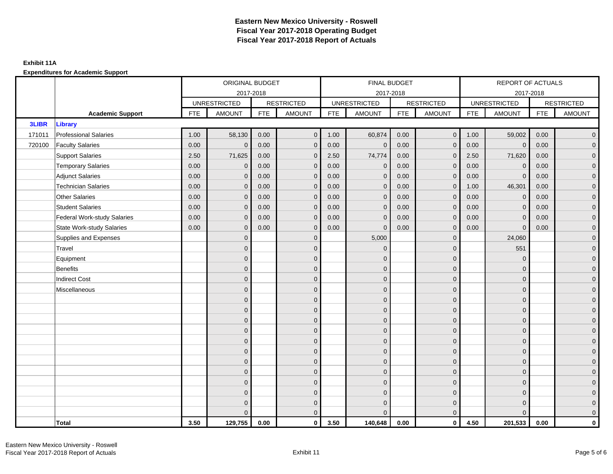### **Exhibit 11A**

|              |                                    |            | ORIGINAL BUDGET     |            |                   |            | FINAL BUDGET        |            |                   |            | <b>REPORT OF ACTUALS</b> |            |                   |
|--------------|------------------------------------|------------|---------------------|------------|-------------------|------------|---------------------|------------|-------------------|------------|--------------------------|------------|-------------------|
|              |                                    |            | 2017-2018           |            |                   |            | 2017-2018           |            |                   |            | 2017-2018                |            |                   |
|              |                                    |            | <b>UNRESTRICTED</b> |            | <b>RESTRICTED</b> |            | <b>UNRESTRICTED</b> |            | <b>RESTRICTED</b> |            | <b>UNRESTRICTED</b>      |            | <b>RESTRICTED</b> |
|              | <b>Academic Support</b>            | <b>FTE</b> | <b>AMOUNT</b>       | <b>FTE</b> | <b>AMOUNT</b>     | <b>FTE</b> | <b>AMOUNT</b>       | <b>FTE</b> | <b>AMOUNT</b>     | <b>FTE</b> | <b>AMOUNT</b>            | <b>FTE</b> | <b>AMOUNT</b>     |
| <b>3LIBR</b> | <b>Library</b>                     |            |                     |            |                   |            |                     |            |                   |            |                          |            |                   |
| 171011       | <b>Professional Salaries</b>       | 1.00       | 58,130              | 0.00       | $\overline{0}$    | 1.00       | 60,874              | 0.00       | $\overline{0}$    | 1.00       | 59,002                   | 0.00       | $\overline{0}$    |
| 720100       | <b>Faculty Salaries</b>            | 0.00       | $\mathbf{0}$        | 0.00       | $\mathbf{0}$      | 0.00       | $\mathbf 0$         | 0.00       | $\mathbf 0$       | 0.00       | $\mathbf 0$              | 0.00       | $\overline{0}$    |
|              | <b>Support Salaries</b>            | 2.50       | 71,625              | 0.00       | $\mathbf{0}$      | 2.50       | 74,774              | 0.00       | $\overline{0}$    | 2.50       | 71,620                   | 0.00       | $\overline{0}$    |
|              | <b>Temporary Salaries</b>          | 0.00       | $\mathbf{0}$        | 0.00       | $\Omega$          | 0.00       | $\mathbf 0$         | 0.00       | $\mathbf 0$       | 0.00       | $\mathbf 0$              | 0.00       | 0                 |
|              | <b>Adjunct Salaries</b>            | 0.00       | $\mathbf{0}$        | 0.00       | $\mathbf{0}$      | 0.00       | $\mathbf{0}$        | 0.00       | $\mathbf{0}$      | 0.00       | $\mathbf 0$              | 0.00       | 0                 |
|              | <b>Technician Salaries</b>         | 0.00       | $\mathbf{0}$        | 0.00       | $\mathbf{0}$      | 0.00       | $\mathbf{0}$        | 0.00       | $\mathbf 0$       | 1.00       | 46,301                   | 0.00       | 0                 |
|              | <b>Other Salaries</b>              | 0.00       | $\Omega$            | 0.00       | $\Omega$          | 0.00       | $\Omega$            | 0.00       | $\mathbf{0}$      | 0.00       | $\mathbf{0}$             | 0.00       | $\overline{0}$    |
|              | <b>Student Salaries</b>            | 0.00       | $\mathbf{0}$        | 0.00       | $\mathbf{0}$      | 0.00       | $\mathbf 0$         | 0.00       | $\mathbf 0$       | 0.00       | $\overline{0}$           | 0.00       | 0                 |
|              | <b>Federal Work-study Salaries</b> | 0.00       | $\mathbf{0}$        | 0.00       | $\mathbf{0}$      | 0.00       | $\mathbf 0$         | 0.00       | $\mathbf 0$       | 0.00       | $\mathbf 0$              | 0.00       | 0                 |
|              | <b>State Work-study Salaries</b>   | 0.00       | $\mathbf{0}$        | 0.00       | $\mathbf{0}$      | 0.00       | $\mathbf 0$         | 0.00       | $\mathbf{0}$      | 0.00       | $\mathbf{0}$             | 0.00       | 0                 |
|              | Supplies and Expenses              |            | $\mathbf{0}$        |            | $\mathbf{0}$      |            | 5,000               |            | $\mathbf 0$       |            | 24,060                   |            | 0                 |
|              | Travel                             |            | $\mathbf{0}$        |            | $\mathbf{0}$      |            | $\mathbf 0$         |            | $\mathbf 0$       |            | 551                      |            | $\mathbf{0}$      |
|              | Equipment                          |            | $\Omega$            |            | $\mathbf{0}$      |            | $\Omega$            |            | $\mathbf 0$       |            | $\mathbf{0}$             |            | $\mathbf{0}$      |
|              | <b>Benefits</b>                    |            | $\mathbf{0}$        |            | $\mathbf{0}$      |            | $\Omega$            |            | $\mathbf 0$       |            | $\mathbf{0}$             |            | 0                 |
|              | <b>Indirect Cost</b>               |            | $\mathbf{0}$        |            | $\mathbf{0}$      |            | $\Omega$            |            | $\mathbf{0}$      |            | $\mathbf{0}$             |            | 0                 |
|              | Miscellaneous                      |            | $\Omega$            |            | $\mathbf{0}$      |            | $\Omega$            |            | $\mathbf{0}$      |            | $\mathbf{0}$             |            | $\overline{0}$    |
|              |                                    |            | $\overline{0}$      |            | $\mathbf 0$       |            | $\Omega$            |            | $\mathbf 0$       |            | $\mathbf{0}$             |            | 0                 |
|              |                                    |            | $\overline{0}$      |            | $\mathbf 0$       |            | $\mathbf{0}$        |            | $\mathbf 0$       |            | $\mathbf{0}$             |            | 0                 |
|              |                                    |            | $\Omega$            |            | $\mathbf{0}$      |            | $\Omega$            |            | $\mathbf 0$       |            | $\Omega$                 |            | $\Omega$          |
|              |                                    |            | $\mathbf{0}$        |            | $\mathbf{0}$      |            | $\Omega$            |            | $\mathbf 0$       |            | $\mathbf{0}$             |            | 0                 |
|              |                                    |            | $\mathbf{0}$        |            | $\mathbf{0}$      |            | $\Omega$            |            | $\mathbf 0$       |            | $\mathbf{0}$             |            | 0                 |
|              |                                    |            | $\overline{0}$      |            | $\mathbf{0}$      |            | $\Omega$            |            | $\mathbf{0}$      |            | $\Omega$                 |            | $\overline{0}$    |
|              |                                    |            | $\mathbf{0}$        |            | $\mathbf 0$       |            | $\overline{0}$      |            | $\mathbf 0$       |            | $\mathbf{0}$             |            | $\mathbf 0$       |
|              |                                    |            | $\Omega$            |            | $\mathbf{0}$      |            | $\Omega$            |            | $\mathbf 0$       |            | $\mathbf{0}$             |            | 0                 |
|              |                                    |            | $\mathbf{0}$        |            | $\mathbf{0}$      |            | $\Omega$            |            | $\mathbf{0}$      |            | $\mathbf{0}$             |            | $\mathbf{0}$      |
|              |                                    |            | $\Omega$            |            | $\mathbf{0}$      |            | $\Omega$            |            | $\mathbf{0}$      |            | $\Omega$                 |            | $\mathbf{0}$      |
|              |                                    |            | $\Omega$            |            | $\mathbf 0$       |            | $\Omega$            |            | $\mathbf 0$       |            | $\mathbf{0}$             |            | 0                 |
|              |                                    |            | $\Omega$            |            | $\mathbf{0}$      |            | $\Omega$            |            | $\mathbf{0}$      |            | $\Omega$                 |            | $\mathbf{0}$      |
|              | <b>Total</b>                       | 3.50       | 129,755             | 0.00       | $\mathbf 0$       | 3.50       | 140,648             | 0.00       | $\mathbf{0}$      | 4.50       | 201,533                  | 0.00       | 0                 |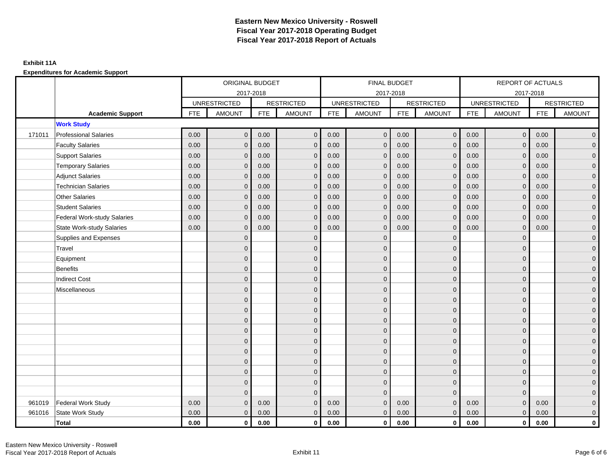|        |                                    |            | ORIGINAL BUDGET     |            |                   |            | FINAL BUDGET        |            |                   |            | <b>REPORT OF ACTUALS</b> |            |                   |
|--------|------------------------------------|------------|---------------------|------------|-------------------|------------|---------------------|------------|-------------------|------------|--------------------------|------------|-------------------|
|        |                                    |            | 2017-2018           |            |                   |            | 2017-2018           |            |                   |            | 2017-2018                |            |                   |
|        |                                    |            | <b>UNRESTRICTED</b> |            | <b>RESTRICTED</b> |            | <b>UNRESTRICTED</b> |            | <b>RESTRICTED</b> |            | <b>UNRESTRICTED</b>      |            | <b>RESTRICTED</b> |
|        | <b>Academic Support</b>            | <b>FTE</b> | <b>AMOUNT</b>       | <b>FTE</b> | <b>AMOUNT</b>     | <b>FTE</b> | AMOUNT              | <b>FTE</b> | <b>AMOUNT</b>     | <b>FTE</b> | <b>AMOUNT</b>            | <b>FTE</b> | <b>AMOUNT</b>     |
|        | <b>Work Study</b>                  |            |                     |            |                   |            |                     |            |                   |            |                          |            |                   |
| 171011 | <b>Professional Salaries</b>       | 0.00       | $\mathbf{0}$        | 0.00       | $\mathbf 0$       | 0.00       | $\overline{0}$      | 0.00       | $\overline{0}$    | 0.00       | $\overline{0}$           | 0.00       | $\mathbf{0}$      |
|        | <b>Faculty Salaries</b>            | 0.00       | $\Omega$            | 0.00       | $\Omega$          | 0.00       | $\mathbf{0}$        | 0.00       | $\Omega$          | 0.00       | $\mathbf{0}$             | 0.00       | $\mathbf{0}$      |
|        | <b>Support Salaries</b>            | 0.00       | $\mathbf{0}$        | 0.00       | $\overline{0}$    | 0.00       | $\mathbf 0$         | 0.00       | $\mathbf 0$       | 0.00       | $\mathbf{0}$             | 0.00       | 0                 |
|        | <b>Temporary Salaries</b>          | 0.00       | $\Omega$            | 0.00       | $\mathbf{0}$      | 0.00       | $\Omega$            | 0.00       | $\mathbf{0}$      | 0.00       | $\mathbf 0$              | 0.00       | $\mathbf{0}$      |
|        | <b>Adjunct Salaries</b>            | 0.00       | $\mathbf{0}$        | 0.00       | $\mathbf{0}$      | 0.00       | $\mathbf 0$         | 0.00       | $\mathbf{0}$      | 0.00       | $\mathbf 0$              | 0.00       | 0                 |
|        | <b>Technician Salaries</b>         | 0.00       | $\Omega$            | 0.00       | $\mathbf{0}$      | 0.00       | $\mathbf 0$         | 0.00       | $\mathbf{0}$      | 0.00       | $\mathbf{0}$             | 0.00       | $\mathbf{0}$      |
|        | <b>Other Salaries</b>              | 0.00       | $\Omega$            | 0.00       | $\Omega$          | 0.00       | $\Omega$            | 0.00       | $\Omega$          | 0.00       | $\mathbf{0}$             | 0.00       | 0                 |
|        | <b>Student Salaries</b>            | 0.00       | $\mathbf{0}$        | 0.00       | $\mathbf{0}$      | 0.00       | $\mathbf 0$         | 0.00       | $\mathbf 0$       | 0.00       | $\mathbf 0$              | 0.00       | 0                 |
|        | <b>Federal Work-study Salaries</b> | 0.00       | $\Omega$            | 0.00       | $\mathbf{0}$      | 0.00       | $\Omega$            | 0.00       | $\mathbf{0}$      | 0.00       | $\mathbf{0}$             | 0.00       | $\mathbf{0}$      |
|        | <b>State Work-study Salaries</b>   | 0.00       | $\mathbf{0}$        | 0.00       | $\mathbf{0}$      | 0.00       | $\mathbf 0$         | 0.00       | $\mathbf 0$       | 0.00       | $\mathbf 0$              | 0.00       | 0                 |
|        | Supplies and Expenses              |            | $\Omega$            |            | $\Omega$          |            | $\Omega$            |            | $\mathbf 0$       |            | $\mathbf{0}$             |            | $\mathbf{0}$      |
|        | Travel                             |            | $\Omega$            |            | $\Omega$          |            | $\Omega$            |            | $\Omega$          |            | $\Omega$                 |            | 0                 |
|        | Equipment                          |            | $\Omega$            |            | $\mathbf{0}$      |            | $\Omega$            |            | $\mathbf 0$       |            | $\mathbf{0}$             |            | 0                 |
|        | <b>Benefits</b>                    |            | $\Omega$            |            | $\mathbf{0}$      |            | $\Omega$            |            | $\mathbf{0}$      |            | $\mathbf{0}$             |            | $\Omega$          |
|        | <b>Indirect Cost</b>               |            | $\Omega$            |            | $\mathbf{0}$      |            | $\Omega$            |            | $\mathbf 0$       |            | $\mathbf{0}$             |            | 0                 |
|        | Miscellaneous                      |            | $\Omega$            |            | $\mathbf{0}$      |            | $\Omega$            |            | $\mathbf 0$       |            | $\Omega$                 |            | 0                 |
|        |                                    |            | $\Omega$            |            | $\mathbf{0}$      |            | $\Omega$            |            | $\Omega$          |            | $\Omega$                 |            | $\overline{0}$    |
|        |                                    |            | $\Omega$            |            | $\mathbf{0}$      |            | $\Omega$            |            | $\mathbf 0$       |            | $\mathbf{0}$             |            | 0                 |
|        |                                    |            | $\Omega$            |            | $\mathbf{0}$      |            | $\Omega$            |            | $\mathbf 0$       |            | $\Omega$                 |            | 0                 |
|        |                                    |            | $\Omega$            |            | $\mathbf{0}$      |            | $\Omega$            |            | $\mathbf 0$       |            | $\mathbf{0}$             |            | 0                 |
|        |                                    |            | $\Omega$            |            | $\mathbf{0}$      |            | $\Omega$            |            | $\mathbf 0$       |            | $\Omega$                 |            | 0                 |
|        |                                    |            | $\Omega$            |            | $\mathbf{0}$      |            | $\Omega$            |            | $\mathbf 0$       |            | $\mathbf{0}$             |            | 0                 |
|        |                                    |            | $\Omega$            |            | $\mathbf{0}$      |            | $\Omega$            |            | $\mathbf 0$       |            | $\mathbf{0}$             |            | 0                 |
|        |                                    |            | $\Omega$            |            | $\mathbf{0}$      |            | $\Omega$            |            | $\mathbf 0$       |            | $\Omega$                 |            | $\Omega$          |
|        |                                    |            | $\Omega$            |            | $\mathbf{0}$      |            | $\mathbf{0}$        |            | $\mathbf 0$       |            | $\mathbf{0}$             |            | 0                 |
|        |                                    |            | $\Omega$            |            | $\mathbf{0}$      |            | $\Omega$            |            | $\mathbf{0}$      |            | $\mathbf{0}$             |            | $\Omega$          |
| 961019 | Federal Work Study                 | 0.00       | $\Omega$            | 0.00       | $\mathbf{0}$      | 0.00       | $\mathbf{0}$        | 0.00       | $\mathbf 0$       | 0.00       | $\pmb{0}$                | 0.00       | 0                 |
| 961016 | State Work Study                   | 0.00       | $\mathbf{0}$        | 0.00       | $\overline{0}$    | 0.00       | $\mathbf 0$         | 0.00       | $\mathbf{0}$      | 0.00       | $\mathbf{0}$             | 0.00       | 0                 |
|        | <b>Total</b>                       | 0.00       | $\mathbf 0$         | 0.00       | $\mathbf 0$       | 0.00       | $\mathbf{0}$        | 0.00       | $\mathbf 0$       | 0.00       | $\mathbf 0$              | 0.00       | 0                 |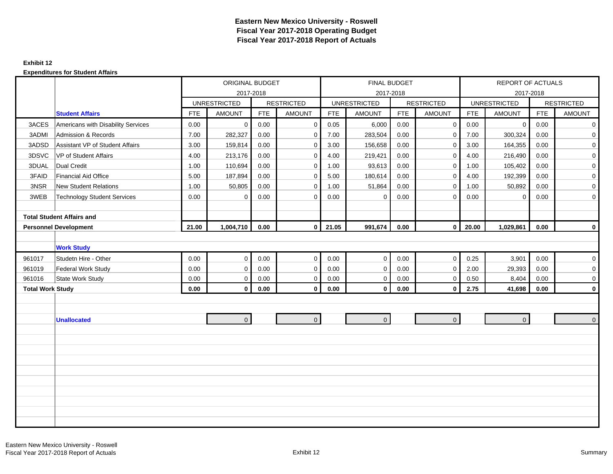## **Exhibit 12**

|                         |                                    |            | ORIGINAL BUDGET     |            |                   |            | FINAL BUDGET        |            |                   |            | REPORT OF ACTUALS   |            |                   |
|-------------------------|------------------------------------|------------|---------------------|------------|-------------------|------------|---------------------|------------|-------------------|------------|---------------------|------------|-------------------|
|                         |                                    |            |                     | 2017-2018  |                   |            |                     | 2017-2018  |                   |            |                     | 2017-2018  |                   |
|                         |                                    |            | <b>UNRESTRICTED</b> |            | <b>RESTRICTED</b> |            | <b>UNRESTRICTED</b> |            | <b>RESTRICTED</b> |            | <b>UNRESTRICTED</b> |            | <b>RESTRICTED</b> |
|                         | <b>Student Affairs</b>             | <b>FTE</b> | <b>AMOUNT</b>       | <b>FTE</b> | <b>AMOUNT</b>     | <b>FTE</b> | <b>AMOUNT</b>       | <b>FTE</b> | <b>AMOUNT</b>     | <b>FTE</b> | <b>AMOUNT</b>       | <b>FTE</b> | <b>AMOUNT</b>     |
| 3ACES                   | Americans with Disability Services | 0.00       | $\mathbf 0$         | 0.00       | $\mathbf 0$       | 0.05       | 6,000               | 0.00       | $\mathbf{0}$      | 0.00       | $\mathbf 0$         | 0.00       | $\mathbf 0$       |
| 3ADMI                   | <b>Admission &amp; Records</b>     | 7.00       | 282,327             | 0.00       | $\mathbf 0$       | 7.00       | 283,504             | 0.00       | $\mathbf 0$       | 7.00       | 300,324             | 0.00       | $\overline{0}$    |
| 3ADSD                   | Assistant VP of Student Affairs    | 3.00       | 159,814             | 0.00       | $\mathbf 0$       | 3.00       | 156,658             | 0.00       | $\mathbf 0$       | 3.00       | 164,355             | 0.00       | $\overline{0}$    |
| 3DSVC                   | VP of Student Affairs              | 4.00       | 213,176             | 0.00       | $\mathbf 0$       | 4.00       | 219,421             | 0.00       | $\mathbf 0$       | 4.00       | 216,490             | 0.00       | $\mathbf 0$       |
| 3DUAL                   | <b>Dual Credit</b>                 | 1.00       | 110,694             | 0.00       | $\mathbf 0$       | 1.00       | 93,613              | 0.00       | $\mathbf 0$       | 1.00       | 105,402             | 0.00       | $\mathbf 0$       |
| 3FAID                   | <b>Financial Aid Office</b>        | 5.00       | 187,894             | 0.00       | $\mathbf 0$       | 5.00       | 180,614             | 0.00       | $\Omega$          | 4.00       | 192,399             | 0.00       | $\mathbf 0$       |
| 3NSR                    | <b>New Student Relations</b>       | 1.00       | 50,805              | 0.00       | $\mathbf 0$       | 1.00       | 51,864              | 0.00       | $\mathbf 0$       | 1.00       | 50,892              | 0.00       | $\mathbf 0$       |
| 3WEB                    | <b>Technology Student Services</b> | 0.00       | $\mathbf 0$         | 0.00       | $\mathbf{0}$      | 0.00       | $\mathbf 0$         | 0.00       | $\Omega$          | 0.00       | $\mathbf 0$         | 0.00       | $\overline{0}$    |
|                         |                                    |            |                     |            |                   |            |                     |            |                   |            |                     |            |                   |
|                         | <b>Total Student Affairs and</b>   |            |                     |            |                   |            |                     |            |                   |            |                     |            |                   |
|                         | <b>Personnel Development</b>       | 21.00      | 1,004,710           | 0.00       | $\mathbf 0$       | 21.05      | 991,674             | 0.00       | $\overline{0}$    | 20.00      | 1,029,861           | 0.00       | 0                 |
|                         |                                    |            |                     |            |                   |            |                     |            |                   |            |                     |            |                   |
|                         | <b>Work Study</b>                  |            |                     |            |                   |            |                     |            |                   |            |                     |            |                   |
| 961017                  | Studetn Hire - Other               | 0.00       | $\mathbf 0$         | 0.00       | $\mathbf 0$       | 0.00       | $\mathbf 0$         | 0.00       | $\mathbf 0$       | 0.25       | 3,901               | 0.00       | 0                 |
| 961019                  | <b>Federal Work Study</b>          | 0.00       | $\mathbf 0$         | 0.00       | $\mathbf 0$       | 0.00       | $\mathbf 0$         | 0.00       | $\mathbf 0$       | 2.00       | 29,393              | 0.00       | $\mathbf 0$       |
| 961016                  | <b>State Work Study</b>            | 0.00       | $\mathbf 0$         | 0.00       | $\mathbf 0$       | 0.00       | $\mathbf 0$         | 0.00       | $\mathbf 0$       | 0.50       | 8,404               | 0.00       | 0                 |
| <b>Total Work Study</b> |                                    | 0.00       | $\mathbf 0$         | 0.00       | $\mathbf 0$       | 0.00       | 0                   | 0.00       | $\mathbf 0$       | 2.75       | 41,698              | 0.00       | $\mathbf 0$       |
|                         |                                    |            |                     |            |                   |            |                     |            |                   |            |                     |            |                   |
|                         |                                    |            |                     |            |                   |            |                     |            |                   |            |                     |            |                   |
|                         | <b>Unallocated</b>                 |            | $\mathbf 0$         |            | $\overline{0}$    |            | $\mathbf 0$         |            | $\overline{0}$    |            | $\mathbf{0}$        |            | $\mathbf 0$       |
|                         |                                    |            |                     |            |                   |            |                     |            |                   |            |                     |            |                   |
|                         |                                    |            |                     |            |                   |            |                     |            |                   |            |                     |            |                   |
|                         |                                    |            |                     |            |                   |            |                     |            |                   |            |                     |            |                   |
|                         |                                    |            |                     |            |                   |            |                     |            |                   |            |                     |            |                   |
|                         |                                    |            |                     |            |                   |            |                     |            |                   |            |                     |            |                   |
|                         |                                    |            |                     |            |                   |            |                     |            |                   |            |                     |            |                   |
|                         |                                    |            |                     |            |                   |            |                     |            |                   |            |                     |            |                   |
|                         |                                    |            |                     |            |                   |            |                     |            |                   |            |                     |            |                   |
|                         |                                    |            |                     |            |                   |            |                     |            |                   |            |                     |            |                   |
|                         |                                    |            |                     |            |                   |            |                     |            |                   |            |                     |            |                   |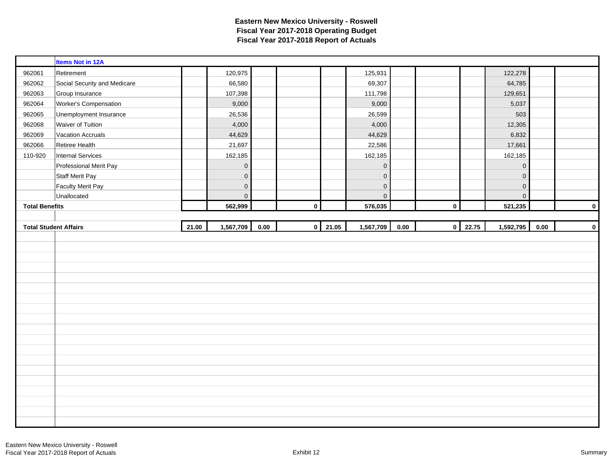|                       | <b>Items Not in 12A</b>      |       |                     |      |           |       |             |      |             |       |             |          |             |
|-----------------------|------------------------------|-------|---------------------|------|-----------|-------|-------------|------|-------------|-------|-------------|----------|-------------|
| 962061                | Retirement                   |       | 120,975             |      |           |       | 125,931     |      |             |       | 122,278     |          |             |
| 962062                | Social Security and Medicare |       | 66,580              |      |           |       | 69,307      |      |             |       | 64,785      |          |             |
| 962063                | Group Insurance              |       | 107,398             |      |           |       | 111,798     |      |             |       | 129,651     |          |             |
| 962064                | Worker's Compensation        |       | 9,000               |      |           |       | 9,000       |      |             |       | 5,037       |          |             |
| 962065                | Unemployment Insurance       |       | 26,536              |      |           |       | 26,599      |      |             |       | 503         |          |             |
| 962068                | Waiver of Tuition            |       | 4,000               |      |           |       | 4,000       |      |             |       | 12,305      |          |             |
| 962069                | <b>Vacation Accruals</b>     |       | 44,629              |      |           |       | 44,629      |      |             |       | 6,832       |          |             |
| 962066                | Retiree Health               |       | 21,697              |      |           |       | 22,586      |      |             |       | 17,661      |          |             |
| 110-920               | <b>Internal Services</b>     |       | 162,185             |      |           |       | 162,185     |      |             |       | 162,185     |          |             |
|                       | Professional Merit Pay       |       | $\mathbf 0$         |      |           |       | $\pmb{0}$   |      |             |       | $\pmb{0}$   |          |             |
|                       | <b>Staff Merit Pay</b>       |       | $\mathbf 0$         |      |           |       | $\pmb{0}$   |      |             |       | $\mathbf 0$ |          |             |
|                       | <b>Faculty Merit Pay</b>     |       | $\mathsf{O}\xspace$ |      |           |       | $\mathbf 0$ |      |             |       | $\mathbf 0$ |          |             |
|                       | Unallocated                  |       | $\mathbf 0$         |      |           |       | $\mathbf 0$ |      |             |       | $\mathbf 0$ |          |             |
| <b>Total Benefits</b> |                              |       | 562,999             |      | $\pmb{0}$ |       | 576,035     |      | $\mathbf 0$ |       | 521,235     |          | $\mathbf 0$ |
|                       |                              |       |                     |      |           |       |             |      |             |       |             |          |             |
|                       |                              |       |                     |      |           |       |             |      |             |       |             |          |             |
|                       | <b>Total Student Affairs</b> | 21.00 | 1,567,709           | 0.00 | $\pmb{0}$ | 21.05 | 1,567,709   | 0.00 | $\mathbf 0$ | 22.75 | 1,592,795   | $0.00\,$ |             |
|                       |                              |       |                     |      |           |       |             |      |             |       |             |          | $\pmb{0}$   |
|                       |                              |       |                     |      |           |       |             |      |             |       |             |          |             |
|                       |                              |       |                     |      |           |       |             |      |             |       |             |          |             |
|                       |                              |       |                     |      |           |       |             |      |             |       |             |          |             |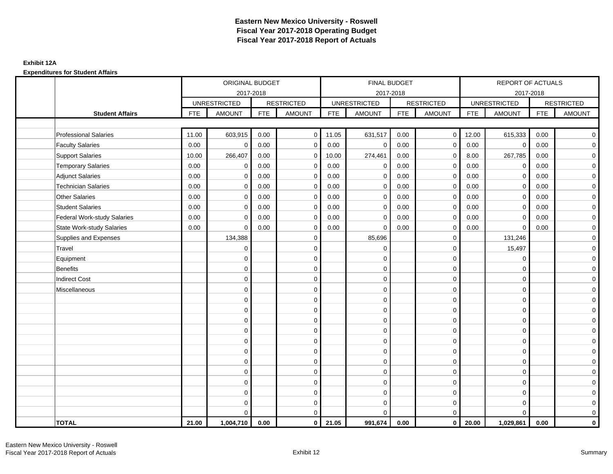### **Exhibit 12A**

|                                    |            | ORIGINAL BUDGET     |            |                   |            | <b>FINAL BUDGET</b> |            |                   |            | <b>REPORT OF ACTUALS</b> |            |                     |
|------------------------------------|------------|---------------------|------------|-------------------|------------|---------------------|------------|-------------------|------------|--------------------------|------------|---------------------|
|                                    |            | 2017-2018           |            |                   |            | 2017-2018           |            |                   |            | 2017-2018                |            |                     |
|                                    |            | <b>UNRESTRICTED</b> |            | <b>RESTRICTED</b> |            | <b>UNRESTRICTED</b> |            | <b>RESTRICTED</b> |            | <b>UNRESTRICTED</b>      |            | <b>RESTRICTED</b>   |
| <b>Student Affairs</b>             | <b>FTE</b> | <b>AMOUNT</b>       | <b>FTE</b> | <b>AMOUNT</b>     | <b>FTE</b> | <b>AMOUNT</b>       | <b>FTE</b> | <b>AMOUNT</b>     | <b>FTE</b> | <b>AMOUNT</b>            | <b>FTE</b> | <b>AMOUNT</b>       |
|                                    |            |                     |            |                   |            |                     |            |                   |            |                          |            |                     |
| <b>Professional Salaries</b>       | 11.00      | 603,915             | 0.00       | $\mathbf 0$       | 11.05      | 631,517             | 0.00       | $\overline{0}$    | 12.00      | 615,333                  | 0.00       | $\overline{0}$      |
| <b>Faculty Salaries</b>            | 0.00       | $\mathbf 0$         | 0.00       | $\mathbf 0$       | 0.00       | $\mathbf 0$         | 0.00       | $\mathbf 0$       | 0.00       | $\mathbf 0$              | 0.00       | $\overline{0}$      |
| <b>Support Salaries</b>            | 10.00      | 266,407             | 0.00       | $\mathbf 0$       | 10.00      | 274,461             | 0.00       | $\mathbf 0$       | 8.00       | 267,785                  | 0.00       | $\overline{0}$      |
| <b>Temporary Salaries</b>          | 0.00       | $\mathbf 0$         | 0.00       | $\mathbf 0$       | 0.00       | $\mathbf 0$         | 0.00       | $\mathbf 0$       | 0.00       | $\mathbf 0$              | 0.00       | $\mathbf 0$         |
| <b>Adjunct Salaries</b>            | 0.00       | $\Omega$            | 0.00       | $\Omega$          | 0.00       | $\Omega$            | 0.00       | $\mathbf 0$       | 0.00       | $\mathbf 0$              | 0.00       | $\overline{0}$      |
| <b>Technician Salaries</b>         | 0.00       | $\mathbf 0$         | 0.00       | $\mathbf 0$       | 0.00       | $\mathbf 0$         | 0.00       | $\mathbf 0$       | 0.00       | $\mathbf 0$              | 0.00       | $\mathbf 0$         |
| <b>Other Salaries</b>              | 0.00       | $\mathbf 0$         | 0.00       | $\mathbf 0$       | 0.00       | $\mathbf 0$         | 0.00       | $\mathbf 0$       | 0.00       | $\mathbf 0$              | 0.00       | $\overline{0}$      |
| <b>Student Salaries</b>            | 0.00       | $\mathbf 0$         | 0.00       | $\mathbf 0$       | 0.00       | $\mathbf 0$         | 0.00       | $\mathbf 0$       | 0.00       | $\mathbf 0$              | 0.00       | $\overline{0}$      |
| <b>Federal Work-study Salaries</b> | 0.00       | $\mathbf 0$         | 0.00       | $\mathbf 0$       | 0.00       | $\Omega$            | 0.00       | $\mathbf 0$       | 0.00       | $\mathbf 0$              | 0.00       | $\mathbf 0$         |
| <b>State Work-study Salaries</b>   | 0.00       | $\mathbf 0$         | 0.00       | $\mathbf 0$       | 0.00       | $\Omega$            | 0.00       | $\mathbf 0$       | 0.00       | $\Omega$                 | 0.00       | $\mathbf 0$         |
| Supplies and Expenses              |            | 134,388             |            | $\mathbf 0$       |            | 85,696              |            | $\mathbf 0$       |            | 131,246                  |            | $\mathbf 0$         |
| Travel                             |            | $\mathbf 0$         |            | $\mathbf 0$       |            | $\mathbf 0$         |            | $\mathbf 0$       |            | 15,497                   |            | $\mathbf 0$         |
| Equipment                          |            | $\mathbf 0$         |            | $\mathbf 0$       |            | $\mathbf 0$         |            | $\mathbf 0$       |            | $\mathbf 0$              |            | $\overline{0}$      |
| <b>Benefits</b>                    |            | $\mathbf 0$         |            | $\mathbf 0$       |            | $\mathbf 0$         |            | $\mathbf 0$       |            | $\mathbf 0$              |            | $\mathbf 0$         |
| <b>Indirect Cost</b>               |            | $\Omega$            |            | $\mathbf 0$       |            | $\Omega$            |            | $\mathbf 0$       |            | $\Omega$                 |            | $\mathbf 0$         |
| Miscellaneous                      |            | $\Omega$            |            | $\mathbf 0$       |            | $\Omega$            |            | $\mathbf 0$       |            | $\Omega$                 |            | $\mathbf 0$         |
|                                    |            | $\mathbf 0$         |            | $\mathbf 0$       |            | $\Omega$            |            | $\mathbf 0$       |            | $\Omega$                 |            | $\mathbf 0$         |
|                                    |            | $\Omega$            |            | $\mathbf 0$       |            | $\Omega$            |            | $\mathbf 0$       |            | $\Omega$                 |            | $\overline{0}$      |
|                                    |            | $\Omega$            |            | $\mathbf 0$       |            | $\Omega$            |            | $\mathbf 0$       |            | $\Omega$                 |            | $\mathbf 0$         |
|                                    |            | $\Omega$            |            | $\mathbf 0$       |            | $\Omega$            |            | $\mathbf 0$       |            | $\Omega$                 |            | $\mathbf 0$         |
|                                    |            | $\Omega$            |            | $\mathbf 0$       |            | $\Omega$            |            | $\mathbf 0$       |            | $\Omega$                 |            | $\mathsf{O}\xspace$ |
|                                    |            | $\mathbf 0$         |            | $\mathbf 0$       |            | $\Omega$            |            | $\mathbf 0$       |            | $\Omega$                 |            | $\mathbf 0$         |
|                                    |            | $\mathbf 0$         |            | $\mathbf 0$       |            | $\Omega$            |            | $\mathbf 0$       |            | $\mathbf 0$              |            | $\mathbf 0$         |
|                                    |            | $\Omega$            |            | $\mathbf 0$       |            | $\Omega$            |            | $\mathbf 0$       |            | $\mathbf 0$              |            | $\mathbf 0$         |
|                                    |            | $\mathbf 0$         |            | 0                 |            | 0                   |            | $\mathbf 0$       |            | $\mathbf 0$              |            | $\mathbf 0$         |
|                                    |            | $\Omega$            |            | $\mathbf 0$       |            | $\Omega$            |            | $\mathbf 0$       |            | $\Omega$                 |            | $\mathbf 0$         |
|                                    |            | $\mathbf 0$         |            | $\mathsf 0$       |            | $\mathbf 0$         |            | $\mathbf 0$       |            | $\mathbf 0$              |            | $\mathbf 0$         |
|                                    |            | $\Omega$            |            | $\mathbf 0$       |            | $\Omega$            |            | $\mathbf 0$       |            | $\Omega$                 |            | $\mathbf 0$         |
| <b>TOTAL</b>                       | 21.00      | 1,004,710           | 0.00       | $\mathbf 0$       | 21.05      | 991,674             | 0.00       | $\overline{0}$    | 20.00      | 1,029,861                | 0.00       | $\mathbf{0}$        |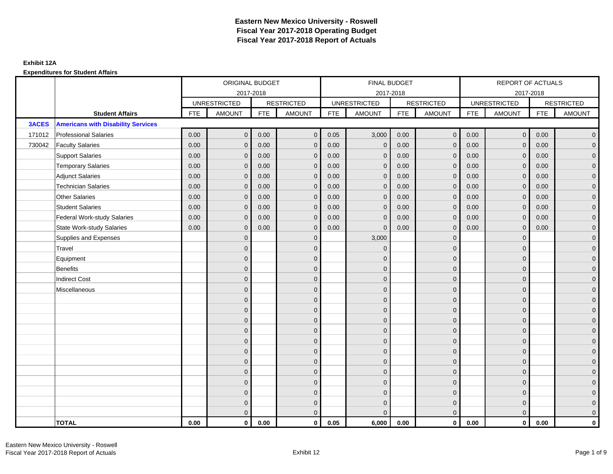|              |                                           |            | ORIGINAL BUDGET     |            |                   |            | <b>FINAL BUDGET</b> |            |                   |            | REPORT OF ACTUALS   |            |                     |
|--------------|-------------------------------------------|------------|---------------------|------------|-------------------|------------|---------------------|------------|-------------------|------------|---------------------|------------|---------------------|
|              |                                           |            |                     | 2017-2018  |                   |            | 2017-2018           |            |                   |            | 2017-2018           |            |                     |
|              |                                           |            | <b>UNRESTRICTED</b> |            | <b>RESTRICTED</b> |            | <b>UNRESTRICTED</b> |            | <b>RESTRICTED</b> |            | <b>UNRESTRICTED</b> |            | <b>RESTRICTED</b>   |
|              | <b>Student Affairs</b>                    | <b>FTE</b> | <b>AMOUNT</b>       | <b>FTE</b> | <b>AMOUNT</b>     | <b>FTE</b> | <b>AMOUNT</b>       | <b>FTE</b> | <b>AMOUNT</b>     | <b>FTE</b> | AMOUNT              | <b>FTE</b> | <b>AMOUNT</b>       |
| <b>3ACES</b> | <b>Americans with Disability Services</b> |            |                     |            |                   |            |                     |            |                   |            |                     |            |                     |
| 171012       | <b>Professional Salaries</b>              | 0.00       | $\mathbf{0}$        | 0.00       | $\mathbf{0}$      | 0.05       | 3,000               | 0.00       | $\overline{0}$    | 0.00       | $\overline{0}$      | 0.00       | $\overline{0}$      |
| 730042       | <b>Faculty Salaries</b>                   | 0.00       | $\mathbf{0}$        | 0.00       | $\mathbf{0}$      | 0.00       | $\mathbf{0}$        | 0.00       | $\mathbf{0}$      | 0.00       | $\overline{0}$      | 0.00       | $\overline{0}$      |
|              | <b>Support Salaries</b>                   | 0.00       | $\mathbf{0}$        | 0.00       | $\mathbf{0}$      | 0.00       | $\mathbf{0}$        | 0.00       | $\mathbf{0}$      | 0.00       | $\overline{0}$      | 0.00       | $\overline{0}$      |
|              | <b>Temporary Salaries</b>                 | 0.00       | $\mathbf 0$         | 0.00       | $\mathbf{0}$      | 0.00       | $\mathbf{0}$        | 0.00       | $\mathbf 0$       | 0.00       | $\mathbf 0$         | 0.00       | $\overline{0}$      |
|              | <b>Adjunct Salaries</b>                   | 0.00       | $\mathbf{0}$        | 0.00       | $\mathbf{0}$      | 0.00       | $\overline{0}$      | 0.00       | $\mathbf{0}$      | 0.00       | $\mathbf{0}$        | 0.00       | $\overline{0}$      |
|              | <b>Technician Salaries</b>                | 0.00       | $\Omega$            | 0.00       | $\Omega$          | 0.00       | $\Omega$            | 0.00       | $\mathbf{0}$      | 0.00       | $\mathbf{0}$        | 0.00       | $\overline{0}$      |
|              | <b>Other Salaries</b>                     | 0.00       | $\mathbf{0}$        | 0.00       | $\mathbf{0}$      | 0.00       | $\mathbf{0}$        | 0.00       | $\mathbf{0}$      | 0.00       | $\mathbf 0$         | 0.00       | $\mathbf{0}$        |
|              | <b>Student Salaries</b>                   | 0.00       | $\mathbf{0}$        | 0.00       | $\mathbf{0}$      | 0.00       | $\mathbf{0}$        | 0.00       | $\mathbf 0$       | 0.00       | $\overline{0}$      | 0.00       | $\overline{0}$      |
|              | <b>Federal Work-study Salaries</b>        | 0.00       | $\mathbf{0}$        | 0.00       | $\Omega$          | 0.00       | $\Omega$            | 0.00       | $\overline{0}$    | 0.00       | $\mathbf{0}$        | 0.00       | $\overline{0}$      |
|              | <b>State Work-study Salaries</b>          | 0.00       | $\mathbf{0}$        | 0.00       | $\mathbf{0}$      | 0.00       | $\mathbf{0}$        | 0.00       | $\mathbf{0}$      | 0.00       | $\mathbf{0}$        | 0.00       | $\mathbf{0}$        |
|              | Supplies and Expenses                     |            | $\mathbf{0}$        |            | $\mathbf 0$       |            | 3,000               |            | $\overline{0}$    |            | $\mathbf 0$         |            | $\mathsf{O}\xspace$ |
|              | Travel                                    |            | $\overline{0}$      |            | $\mathbf{0}$      |            | $\mathbf{0}$        |            | $\mathbf{0}$      |            | $\mathbf{0}$        |            | $\overline{0}$      |
|              | Equipment                                 |            | $\overline{0}$      |            | $\mathbf 0$       |            | $\mathbf{0}$        |            | $\mathbf 0$       |            | $\mathbf{0}$        |            | $\overline{0}$      |
|              | Benefits                                  |            | $\mathbf{0}$        |            | $\mathbf{0}$      |            | $\Omega$            |            | $\mathbf 0$       |            | $\mathbf{0}$        |            | $\overline{0}$      |
|              | <b>Indirect Cost</b>                      |            | $\overline{0}$      |            | $\mathbf 0$       |            | $\mathbf{0}$        |            | $\mathbf 0$       |            | $\mathbf 0$         |            | $\mathbf{0}$        |
|              | Miscellaneous                             |            | $\overline{0}$      |            | $\mathbf{0}$      |            | $\mathbf{0}$        |            | $\mathbf 0$       |            | $\mathbf 0$         |            | $\mathsf{O}\xspace$ |
|              |                                           |            | $\overline{0}$      |            | $\mathbf{0}$      |            | $\Omega$            |            | $\mathbf{0}$      |            | $\Omega$            |            | $\overline{0}$      |
|              |                                           |            | $\overline{0}$      |            | $\mathbf 0$       |            | $\mathbf{0}$        |            | $\mathbf 0$       |            | $\mathbf{0}$        |            | $\overline{0}$      |
|              |                                           |            | $\mathbf{0}$        |            | $\mathbf{0}$      |            | $\Omega$            |            | $\mathbf 0$       |            | $\mathbf{0}$        |            | $\overline{0}$      |
|              |                                           |            | $\Omega$            |            | $\mathbf{0}$      |            | $\Omega$            |            | $\mathbf{0}$      |            | $\Omega$            |            | $\overline{0}$      |
|              |                                           |            | $\mathbf{0}$        |            | $\mathbf 0$       |            | $\mathbf{0}$        |            | $\mathbf{0}$      |            | $\mathbf 0$         |            | $\mathsf{O}\xspace$ |
|              |                                           |            | $\overline{0}$      |            | $\mathbf 0$       |            | $\mathbf{0}$        |            | $\mathbf 0$       |            | $\mathbf{0}$        |            | $\overline{0}$      |
|              |                                           |            | $\Omega$            |            | $\mathbf{0}$      |            | $\Omega$            |            | $\mathbf 0$       |            | $\mathbf{0}$        |            | $\overline{0}$      |
|              |                                           |            | $\overline{0}$      |            | $\mathbf{0}$      |            | $\Omega$            |            | $\mathbf 0$       |            | $\mathbf{0}$        |            | $\overline{0}$      |
|              |                                           |            | $\mathbf{0}$        |            | $\mathbf{0}$      |            | $\Omega$            |            | $\mathbf{0}$      |            | $\mathbf{0}$        |            | $\overline{0}$      |
|              |                                           |            | $\Omega$            |            | $\mathbf 0$       |            | $\Omega$            |            | $\mathbf{0}$      |            | $\Omega$            |            | $\mathsf{O}\xspace$ |
|              |                                           |            | $\overline{0}$      |            | $\mathbf 0$       |            | $\mathbf{0}$        |            | $\mathbf 0$       |            | $\mathbf{0}$        |            | $\mathbf{0}$        |
|              |                                           |            | $\overline{0}$      |            | $\mathbf{0}$      |            | $\Omega$            |            | $\mathbf{0}$      |            | $\mathbf{0}$        |            | $\overline{0}$      |
|              | <b>TOTAL</b>                              | 0.00       | $\mathbf 0$         | 0.00       | $\mathbf{0}$      | 0.05       | 6,000               | 0.00       | $\overline{0}$    | 0.00       | $\mathbf{0}$        | 0.00       | $\mathbf{0}$        |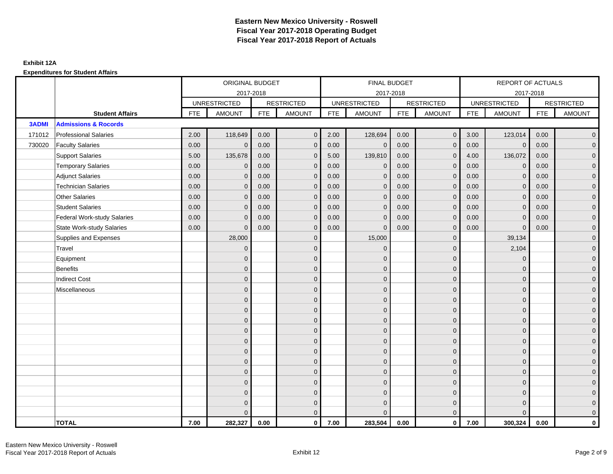|              |                                    |            | ORIGINAL BUDGET     |            |                   |            | FINAL BUDGET        |            |                   |            | REPORT OF ACTUALS   |            |                     |
|--------------|------------------------------------|------------|---------------------|------------|-------------------|------------|---------------------|------------|-------------------|------------|---------------------|------------|---------------------|
|              |                                    |            | 2017-2018           |            |                   |            | 2017-2018           |            |                   |            | 2017-2018           |            |                     |
|              |                                    |            | <b>UNRESTRICTED</b> |            | <b>RESTRICTED</b> |            | <b>UNRESTRICTED</b> |            | <b>RESTRICTED</b> |            | <b>UNRESTRICTED</b> |            | <b>RESTRICTED</b>   |
|              | <b>Student Affairs</b>             | <b>FTE</b> | <b>AMOUNT</b>       | <b>FTE</b> | <b>AMOUNT</b>     | <b>FTE</b> | <b>AMOUNT</b>       | <b>FTE</b> | <b>AMOUNT</b>     | <b>FTE</b> | <b>AMOUNT</b>       | <b>FTE</b> | <b>AMOUNT</b>       |
| <b>3ADMI</b> | <b>Admissions &amp; Rocords</b>    |            |                     |            |                   |            |                     |            |                   |            |                     |            |                     |
| 171012       | <b>Professional Salaries</b>       | 2.00       | 118,649             | 0.00       | $\Omega$          | 2.00       | 128,694             | 0.00       | $\mathbf{0}$      | 3.00       | 123,014             | 0.00       | $\overline{0}$      |
| 730020       | <b>Faculty Salaries</b>            | 0.00       | $\mathbf 0$         | 0.00       | $\mathbf{0}$      | 0.00       | $\mathbf 0$         | 0.00       | $\mathbf{0}$      | 0.00       | $\overline{0}$      | 0.00       | $\overline{0}$      |
|              | <b>Support Salaries</b>            | 5.00       | 135,678             | 0.00       | $\mathbf 0$       | 5.00       | 139,810             | 0.00       | $\mathbf{0}$      | 4.00       | 136,072             | 0.00       | $\overline{0}$      |
|              | <b>Temporary Salaries</b>          | 0.00       | $\mathbf{0}$        | 0.00       | $\Omega$          | 0.00       | $\mathbf{0}$        | 0.00       | $\mathbf{0}$      | 0.00       | $\mathbf 0$         | 0.00       | $\overline{0}$      |
|              | <b>Adjunct Salaries</b>            | 0.00       | $\mathbf{0}$        | 0.00       | $\mathbf{0}$      | 0.00       | $\mathbf{0}$        | 0.00       | $\mathbf 0$       | 0.00       | $\mathbf{0}$        | 0.00       | $\mathbf{0}$        |
|              | <b>Technician Salaries</b>         | 0.00       | $\mathbf{0}$        | 0.00       | $\Omega$          | 0.00       | $\mathbf{0}$        | 0.00       | $\mathbf{0}$      | 0.00       | $\mathbf{0}$        | 0.00       | $\mathbf{0}$        |
|              | <b>Other Salaries</b>              | 0.00       | $\mathbf{0}$        | 0.00       | $\mathbf{0}$      | 0.00       | $\Omega$            | 0.00       | $\mathbf{0}$      | 0.00       | $\mathbf{0}$        | 0.00       | $\overline{0}$      |
|              | <b>Student Salaries</b>            | 0.00       | $\mathbf 0$         | 0.00       | $\mathbf 0$       | 0.00       | $\mathbf{0}$        | 0.00       | $\mathbf 0$       | 0.00       | $\overline{0}$      | 0.00       | $\overline{0}$      |
|              | <b>Federal Work-study Salaries</b> | 0.00       | $\mathbf{0}$        | 0.00       | $\Omega$          | 0.00       | $\mathbf{0}$        | 0.00       | $\overline{0}$    | 0.00       | $\mathbf{0}$        | 0.00       | $\overline{0}$      |
|              | <b>State Work-study Salaries</b>   | 0.00       | $\mathbf{0}$        | 0.00       | $\mathbf{0}$      | 0.00       | $\overline{0}$      | 0.00       | $\mathbf{0}$      | 0.00       | $\Omega$            | 0.00       | $\overline{0}$      |
|              | Supplies and Expenses              |            | 28,000              |            | $\mathbf 0$       |            | 15,000              |            | $\overline{0}$    |            | 39,134              |            | $\mathbf{0}$        |
|              | Travel                             |            | $\overline{0}$      |            | $\mathbf 0$       |            | $\mathbf{0}$        |            | $\mathbf 0$       |            | 2,104               |            | $\overline{0}$      |
|              | Equipment                          |            | $\Omega$            |            | $\mathbf{0}$      |            | $\Omega$            |            | $\mathbf 0$       |            | $\mathbf{0}$        |            | $\overline{0}$      |
|              | <b>Benefits</b>                    |            | $\overline{0}$      |            | $\mathbf 0$       |            | $\mathbf{0}$        |            | $\mathbf 0$       |            | $\mathbf 0$         |            | $\overline{0}$      |
|              | <b>Indirect Cost</b>               |            | $\overline{0}$      |            | $\mathbf{0}$      |            | $\Omega$            |            | $\mathbf 0$       |            | $\mathbf 0$         |            | $\overline{0}$      |
|              | Miscellaneous                      |            | $\Omega$            |            | $\mathbf{0}$      |            | $\Omega$            |            | $\mathbf{0}$      |            | $\Omega$            |            | $\mathsf{O}\xspace$ |
|              |                                    |            | $\mathbf 0$         |            | $\mathbf 0$       |            | $\mathbf{0}$        |            | $\mathbf 0$       |            | $\mathbf{0}$        |            | $\overline{0}$      |
|              |                                    |            | $\mathbf{0}$        |            | $\mathbf 0$       |            | $\mathbf{0}$        |            | $\mathbf 0$       |            | $\mathbf{0}$        |            | $\overline{0}$      |
|              |                                    |            | $\mathbf{0}$        |            | $\mathbf{0}$      |            | $\Omega$            |            | $\mathbf 0$       |            | $\mathbf{0}$        |            | $\overline{0}$      |
|              |                                    |            | $\mathbf{0}$        |            | $\mathbf 0$       |            | $\Omega$            |            | $\mathbf 0$       |            | $\mathbf 0$         |            | $\mathbf{0}$        |
|              |                                    |            | $\mathbf{0}$        |            | $\mathbf 0$       |            | $\mathbf{0}$        |            | $\mathbf{0}$      |            | $\mathbf 0$         |            | $\mathbf{0}$        |
|              |                                    |            | $\mathbf{0}$        |            | $\mathbf{0}$      |            | $\Omega$            |            | $\mathbf{0}$      |            | $\Omega$            |            | $\overline{0}$      |
|              |                                    |            | $\overline{0}$      |            | $\mathbf 0$       |            | $\mathbf{0}$        |            | $\mathbf 0$       |            | $\mathbf 0$         |            | $\mathsf{O}\xspace$ |
|              |                                    |            | $\mathbf{0}$        |            | $\mathbf{0}$      |            | $\Omega$            |            | $\mathbf 0$       |            | $\mathbf{0}$        |            | $\overline{0}$      |
|              |                                    |            | $\Omega$            |            | $\mathbf{0}$      |            | $\Omega$            |            | $\mathbf{0}$      |            | $\mathbf 0$         |            | $\overline{0}$      |
|              |                                    |            | $\Omega$            |            | $\mathbf 0$       |            | $\Omega$            |            | $\mathbf 0$       |            | $\Omega$            |            | $\mathbf{0}$        |
|              |                                    |            | $\mathbf{0}$        |            | $\mathbf 0$       |            | $\mathbf{0}$        |            | $\mathbf 0$       |            | $\mathbf 0$         |            | $\mathbf{0}$        |
|              |                                    |            | $\Omega$            |            | $\mathbf{0}$      |            | $\Omega$            |            | $\mathbf{0}$      |            | $\Omega$            |            | $\overline{0}$      |
|              | <b>TOTAL</b>                       | 7.00       | 282,327             | 0.00       | $\mathbf{0}$      | 7.00       | 283,504             | 0.00       | $\overline{0}$    | 7.00       | 300,324             | 0.00       | $\mathbf{0}$        |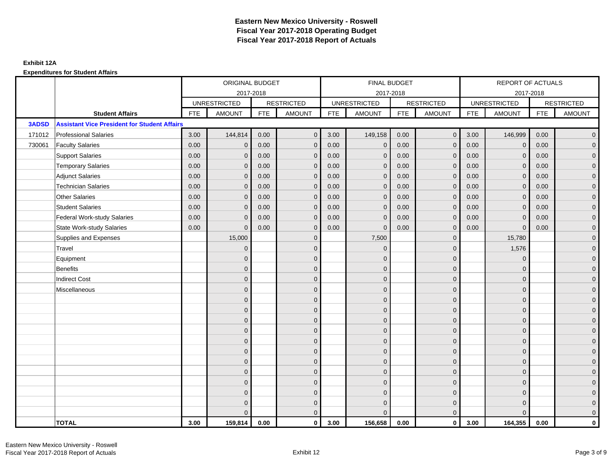|              |                                                     |            | ORIGINAL BUDGET     |            |                   |            | <b>FINAL BUDGET</b> |            |                   |            | <b>REPORT OF ACTUALS</b> |            |                     |
|--------------|-----------------------------------------------------|------------|---------------------|------------|-------------------|------------|---------------------|------------|-------------------|------------|--------------------------|------------|---------------------|
|              |                                                     |            |                     | 2017-2018  |                   |            | 2017-2018           |            |                   |            | 2017-2018                |            |                     |
|              |                                                     |            | <b>UNRESTRICTED</b> |            | <b>RESTRICTED</b> |            | <b>UNRESTRICTED</b> |            | <b>RESTRICTED</b> |            | <b>UNRESTRICTED</b>      |            | <b>RESTRICTED</b>   |
|              | <b>Student Affairs</b>                              | <b>FTE</b> | <b>AMOUNT</b>       | <b>FTE</b> | <b>AMOUNT</b>     | <b>FTE</b> | <b>AMOUNT</b>       | <b>FTE</b> | <b>AMOUNT</b>     | <b>FTE</b> | <b>AMOUNT</b>            | <b>FTE</b> | <b>AMOUNT</b>       |
| <b>3ADSD</b> | <b>Assistant Vice President for Student Affairs</b> |            |                     |            |                   |            |                     |            |                   |            |                          |            |                     |
| 171012       | <b>Professional Salaries</b>                        | 3.00       | 144,814             | 0.00       | $\mathbf{0}$      | 3.00       | 149,158             | 0.00       | $\overline{0}$    | 3.00       | 146,999                  | 0.00       | $\overline{0}$      |
| 730061       | <b>Faculty Salaries</b>                             | 0.00       | $\mathbf 0$         | 0.00       | $\mathbf{0}$      | 0.00       | $\mathbf{0}$        | 0.00       | $\mathbf{0}$      | 0.00       | $\mathbf 0$              | 0.00       | $\overline{0}$      |
|              | <b>Support Salaries</b>                             | 0.00       | $\mathbf{0}$        | 0.00       | $\mathbf 0$       | 0.00       | $\mathbf{0}$        | 0.00       | $\mathbf 0$       | 0.00       | $\overline{0}$           | 0.00       | $\overline{0}$      |
|              | <b>Temporary Salaries</b>                           | 0.00       | $\mathbf{0}$        | 0.00       | $\mathbf 0$       | 0.00       | $\mathbf{0}$        | 0.00       | $\mathbf{0}$      | 0.00       | $\mathbf 0$              | 0.00       | $\overline{0}$      |
|              | <b>Adjunct Salaries</b>                             | 0.00       | $\mathbf{0}$        | 0.00       | $\mathbf{0}$      | 0.00       | $\mathbf{0}$        | 0.00       | $\mathbf 0$       | 0.00       | $\mathbf{0}$             | 0.00       | $\mathbf{0}$        |
|              | <b>Technician Salaries</b>                          | 0.00       | $\mathbf{0}$        | 0.00       | $\mathbf 0$       | 0.00       | $\mathbf{0}$        | 0.00       | $\mathbf{0}$      | 0.00       | $\mathbf{0}$             | 0.00       | $\mathbf{0}$        |
|              | <b>Other Salaries</b>                               | 0.00       | $\mathbf{0}$        | 0.00       | $\Omega$          | 0.00       | $\Omega$            | 0.00       | $\mathbf{0}$      | 0.00       | $\mathbf{0}$             | 0.00       | $\overline{0}$      |
|              | <b>Student Salaries</b>                             | 0.00       | $\mathbf 0$         | 0.00       | $\mathbf 0$       | 0.00       | $\overline{0}$      | 0.00       | $\mathbf 0$       | 0.00       | $\overline{0}$           | 0.00       | $\overline{0}$      |
|              | <b>Federal Work-study Salaries</b>                  | 0.00       | $\mathbf{0}$        | 0.00       | $\mathbf 0$       | 0.00       | $\mathbf{0}$        | 0.00       | $\overline{0}$    | 0.00       | $\mathbf{0}$             | 0.00       | $\overline{0}$      |
|              | <b>State Work-study Salaries</b>                    | 0.00       | $\mathbf{0}$        | 0.00       | $\mathbf{0}$      | 0.00       | $\mathbf{0}$        | 0.00       | $\mathbf{0}$      | 0.00       | $\mathbf{0}$             | 0.00       | $\overline{0}$      |
|              | Supplies and Expenses                               |            | 15,000              |            | $\mathbf 0$       |            | 7,500               |            | $\mathbf 0$       |            | 15,780                   |            | $\mathsf{O}\xspace$ |
|              | Travel                                              |            | $\mathbf{0}$        |            | $\mathbf 0$       |            | $\mathbf{0}$        |            | $\mathbf 0$       |            | 1,576                    |            | $\overline{0}$      |
|              | Equipment                                           |            | $\mathbf{0}$        |            | $\mathbf 0$       |            | $\Omega$            |            | $\mathbf 0$       |            | $\mathbf{0}$             |            | $\overline{0}$      |
|              | <b>Benefits</b>                                     |            | $\overline{0}$      |            | $\mathbf{0}$      |            | $\mathbf{0}$        |            | $\mathbf 0$       |            | $\mathbf 0$              |            | $\mathbf{0}$        |
|              | <b>Indirect Cost</b>                                |            | 0                   |            | $\mathbf{0}$      |            | $\Omega$            |            | $\mathbf 0$       |            | $\mathbf 0$              |            | $\mathbf 0$         |
|              | Miscellaneous                                       |            | $\Omega$            |            | $\mathbf{0}$      |            | $\mathbf{0}$        |            | $\mathbf{0}$      |            | $\mathbf 0$              |            | $\mathsf{O}\xspace$ |
|              |                                                     |            | $\overline{0}$      |            | $\mathbf 0$       |            | $\mathbf{0}$        |            | $\mathbf 0$       |            | $\mathbf{0}$             |            | $\mathbf{0}$        |
|              |                                                     |            | $\mathbf{0}$        |            | $\mathbf 0$       |            | $\mathbf{0}$        |            | $\mathbf 0$       |            | $\mathbf{0}$             |            | $\overline{0}$      |
|              |                                                     |            | $\Omega$            |            | $\mathbf{0}$      |            | $\Omega$            |            | $\mathbf 0$       |            | $\Omega$                 |            | $\overline{0}$      |
|              |                                                     |            | $\overline{0}$      |            | $\mathbf 0$       |            | $\Omega$            |            | $\mathbf 0$       |            | $\mathbf 0$              |            | $\mathbf{0}$        |
|              |                                                     |            | 0                   |            | $\mathbf 0$       |            | $\mathbf{0}$        |            | $\mathbf 0$       |            | $\mathbf 0$              |            | $\mathbf 0$         |
|              |                                                     |            | $\overline{0}$      |            | $\mathbf{0}$      |            | $\Omega$            |            | $\mathbf{0}$      |            | $\Omega$                 |            | $\overline{0}$      |
|              |                                                     |            | $\mathbf{0}$        |            | $\mathbf 0$       |            | $\mathbf{0}$        |            | $\mathbf 0$       |            | $\mathbf 0$              |            | $\mathbf{0}$        |
|              |                                                     |            | $\mathbf{0}$        |            | $\mathbf{0}$      |            | $\Omega$            |            | $\mathbf 0$       |            | $\mathbf{0}$             |            | $\overline{0}$      |
|              |                                                     |            | $\mathbf{0}$        |            | $\mathbf{0}$      |            | $\Omega$            |            | $\mathbf{0}$      |            | $\mathbf{0}$             |            | $\overline{0}$      |
|              |                                                     |            | $\Omega$            |            | $\mathbf{0}$      |            | $\Omega$            |            | $\mathbf{0}$      |            | $\Omega$                 |            | $\mathsf{O}\xspace$ |
|              |                                                     |            | $\mathbf{0}$        |            | $\mathbf 0$       |            | $\mathbf{0}$        |            | $\mathbf 0$       |            | $\mathbf{0}$             |            | $\mathbf{0}$        |
|              |                                                     |            | $\Omega$            |            | $\mathbf{0}$      |            | $\Omega$            |            | $\mathbf{0}$      |            | $\Omega$                 |            | $\overline{0}$      |
|              | <b>TOTAL</b>                                        | 3.00       | 159,814             | 0.00       | $\mathbf{0}$      | 3.00       | 156,658             | 0.00       | $\overline{0}$    | 3.00       | 164,355                  | 0.00       | $\mathbf{0}$        |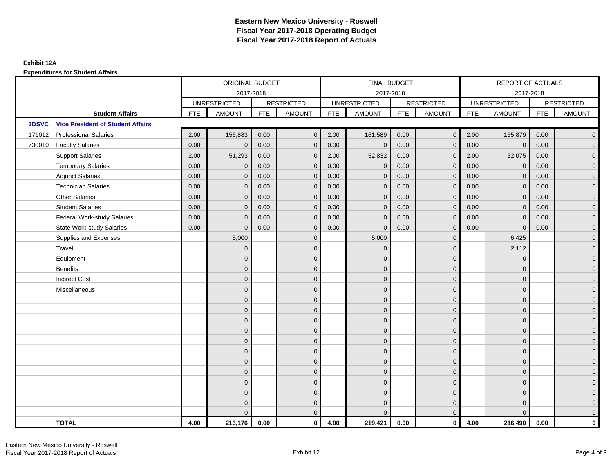|        |                                          |            | ORIGINAL BUDGET     |            |                   |            | FINAL BUDGET        |            |                   |            | REPORT OF ACTUALS   |            |                   |
|--------|------------------------------------------|------------|---------------------|------------|-------------------|------------|---------------------|------------|-------------------|------------|---------------------|------------|-------------------|
|        |                                          |            |                     | 2017-2018  |                   |            | 2017-2018           |            |                   |            | 2017-2018           |            |                   |
|        |                                          |            | <b>UNRESTRICTED</b> |            | <b>RESTRICTED</b> |            | <b>UNRESTRICTED</b> |            | <b>RESTRICTED</b> |            | <b>UNRESTRICTED</b> |            | <b>RESTRICTED</b> |
|        | <b>Student Affairs</b>                   | <b>FTE</b> | <b>AMOUNT</b>       | <b>FTE</b> | <b>AMOUNT</b>     | <b>FTE</b> | <b>AMOUNT</b>       | <b>FTE</b> | <b>AMOUNT</b>     | <b>FTE</b> | <b>AMOUNT</b>       | <b>FTE</b> | <b>AMOUNT</b>     |
| 3DSVC  | <b>Vice President of Student Affairs</b> |            |                     |            |                   |            |                     |            |                   |            |                     |            |                   |
| 171012 | <b>Professional Salaries</b>             | 2.00       | 156,883             | 0.00       | $\mathbf{0}$      | 2.00       | 161,589             | 0.00       | $\mathbf{0}$      | 2.00       | 155,879             | 0.00       | $\overline{0}$    |
| 730010 | <b>Faculty Salaries</b>                  | 0.00       | $\mathbf 0$         | 0.00       | $\mathbf 0$       | 0.00       | $\mathbf 0$         | 0.00       | $\mathbf{0}$      | 0.00       | $\mathbf 0$         | 0.00       | $\overline{0}$    |
|        | <b>Support Salaries</b>                  | 2.00       | 51,293              | 0.00       | $\mathbf 0$       | 2.00       | 52,832              | 0.00       | $\mathbf 0$       | 2.00       | 52,075              | 0.00       | $\overline{0}$    |
|        | <b>Temporary Salaries</b>                | 0.00       | $\mathbf{0}$        | 0.00       | $\mathbf{0}$      | 0.00       | $\mathbf{0}$        | 0.00       | $\mathbf{0}$      | 0.00       | $\mathbf{0}$        | 0.00       | $\overline{0}$    |
|        | <b>Adjunct Salaries</b>                  | 0.00       | $\Omega$            | 0.00       | $\Omega$          | 0.00       | $\Omega$            | 0.00       | $\mathbf{0}$      | 0.00       | $\mathbf{0}$        | 0.00       | $\overline{0}$    |
|        | <b>Technician Salaries</b>               | 0.00       | $\mathbf{0}$        | 0.00       | $\mathbf 0$       | 0.00       | $\mathbf{0}$        | 0.00       | $\mathbf{0}$      | 0.00       | $\mathbf{0}$        | 0.00       | $\mathbf{0}$      |
|        | <b>Other Salaries</b>                    | 0.00       | $\mathbf{0}$        | 0.00       | $\mathbf{0}$      | 0.00       | $\mathbf{0}$        | 0.00       | $\mathbf{0}$      | 0.00       | $\overline{0}$      | 0.00       | $\overline{0}$    |
|        | <b>Student Salaries</b>                  | 0.00       | $\mathbf{0}$        | 0.00       | $\mathbf 0$       | 0.00       | $\mathbf{0}$        | 0.00       | $\mathbf{0}$      | 0.00       | $\overline{0}$      | 0.00       | $\overline{0}$    |
|        | <b>Federal Work-study Salaries</b>       | 0.00       | $\mathbf{0}$        | 0.00       | $\mathbf 0$       | 0.00       | $\mathbf{0}$        | 0.00       | $\mathbf 0$       | 0.00       | $\mathbf 0$         | 0.00       | $\overline{0}$    |
|        | <b>State Work-study Salaries</b>         | 0.00       | $\mathbf{0}$        | 0.00       | $\mathbf{0}$      | 0.00       | $\mathbf{0}$        | 0.00       | $\mathbf{0}$      | 0.00       | $\mathbf 0$         | 0.00       | $\overline{0}$    |
|        | Supplies and Expenses                    |            | 5,000               |            | $\mathbf{0}$      |            | 5,000               |            | $\mathbf{0}$      |            | 6,425               |            | $\overline{0}$    |
|        | Travel                                   |            | $\mathbf{0}$        |            | $\mathbf{0}$      |            | $\Omega$            |            | $\mathbf{0}$      |            | 2,112               |            | $\overline{0}$    |
|        | Equipment                                |            | $\mathbf{0}$        |            | $\mathbf{0}$      |            | $\mathbf{0}$        |            | $\mathbf 0$       |            | $\mathbf 0$         |            | $\overline{0}$    |
|        | <b>Benefits</b>                          |            | $\mathbf{0}$        |            | $\mathbf{0}$      |            | $\Omega$            |            | $\mathbf 0$       |            | $\mathbf 0$         |            | $\overline{0}$    |
|        | <b>Indirect Cost</b>                     |            | $\Omega$            |            | $\mathbf{0}$      |            | $\Omega$            |            | $\mathbf{0}$      |            | $\Omega$            |            | $\overline{0}$    |
|        | Miscellaneous                            |            | $\mathbf{0}$        |            | $\mathbf 0$       |            | $\mathbf{0}$        |            | $\mathbf 0$       |            | $\mathbf 0$         |            | $\mathbf{0}$      |
|        |                                          |            | $\mathbf{0}$        |            | $\mathbf 0$       |            | $\Omega$            |            | $\mathbf 0$       |            | $\mathbf{0}$        |            | $\overline{0}$    |
|        |                                          |            | $\Omega$            |            | $\mathbf{0}$      |            | $\mathbf{0}$        |            | $\mathbf 0$       |            | $\mathbf{0}$        |            | $\overline{0}$    |
|        |                                          |            | $\mathbf{0}$        |            | $\mathbf 0$       |            | $\Omega$            |            | $\mathbf 0$       |            | $\mathbf{0}$        |            | $\overline{0}$    |
|        |                                          |            | $\Omega$            |            | $\mathbf{0}$      |            | $\mathbf{0}$        |            | $\mathbf 0$       |            | $\mathbf 0$         |            | $\mathbf{0}$      |
|        |                                          |            | $\mathbf{0}$        |            | $\mathbf{0}$      |            | $\Omega$            |            | $\mathbf 0$       |            | $\Omega$            |            | $\mathbf{0}$      |
|        |                                          |            | $\mathbf{0}$        |            | $\mathbf{0}$      |            | $\Omega$            |            | $\mathbf{0}$      |            | $\Omega$            |            | $\overline{0}$    |
|        |                                          |            | $\mathbf{0}$        |            | $\mathbf{0}$      |            | $\mathbf{0}$        |            | $\mathbf 0$       |            | $\mathbf{0}$        |            | $\overline{0}$    |
|        |                                          |            | $\mathbf{0}$        |            | $\mathbf{0}$      |            | $\Omega$            |            | $\mathbf{0}$      |            | $\mathbf 0$         |            | $\overline{0}$    |
|        |                                          |            | $\Omega$            |            | $\mathbf{0}$      |            | $\Omega$            |            | $\mathbf{0}$      |            | $\Omega$            |            | $\mathbf 0$       |
|        |                                          |            | $\overline{0}$      |            | $\mathbf 0$       |            | $\mathbf{0}$        |            | $\mathbf 0$       |            | $\mathbf 0$         |            | $\mathbf{0}$      |
|        |                                          |            | 0                   |            | $\mathbf 0$       |            | $\mathbf{0}$        |            | $\mathbf 0$       |            | $\mathbf 0$         |            | $\mathbf{0}$      |
|        |                                          |            | $\Omega$            |            | $\mathbf{0}$      |            | $\Omega$            |            | $\mathbf{0}$      |            | $\Omega$            |            | $\overline{0}$    |
|        | <b>TOTAL</b>                             | 4.00       | 213,176             | 0.00       | $\mathbf{0}$      | 4.00       | 219,421             | 0.00       | $\mathbf{0}$      | 4.00       | 216,490             | 0.00       | $\mathbf{0}$      |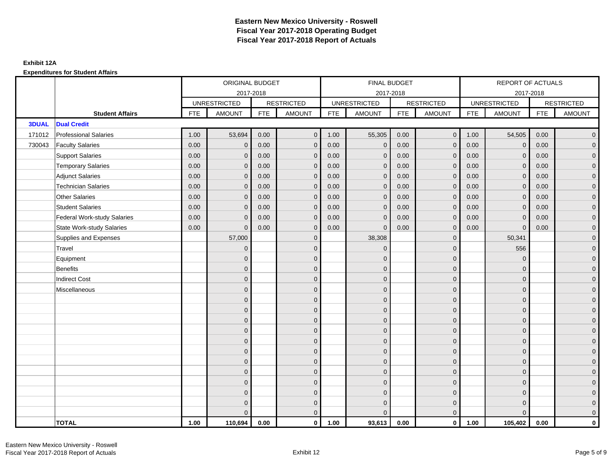|              |                                  |            | ORIGINAL BUDGET     |            |                   |            | <b>FINAL BUDGET</b> |            |                   |            | REPORT OF ACTUALS   |            |                     |
|--------------|----------------------------------|------------|---------------------|------------|-------------------|------------|---------------------|------------|-------------------|------------|---------------------|------------|---------------------|
|              |                                  |            | 2017-2018           |            |                   |            | 2017-2018           |            |                   |            | 2017-2018           |            |                     |
|              |                                  |            | <b>UNRESTRICTED</b> |            | <b>RESTRICTED</b> |            | <b>UNRESTRICTED</b> |            | <b>RESTRICTED</b> |            | <b>UNRESTRICTED</b> |            | <b>RESTRICTED</b>   |
|              | <b>Student Affairs</b>           | <b>FTE</b> | <b>AMOUNT</b>       | <b>FTE</b> | <b>AMOUNT</b>     | <b>FTE</b> | <b>AMOUNT</b>       | <b>FTE</b> | <b>AMOUNT</b>     | <b>FTE</b> | <b>AMOUNT</b>       | <b>FTE</b> | <b>AMOUNT</b>       |
| <b>3DUAL</b> | <b>Dual Credit</b>               |            |                     |            |                   |            |                     |            |                   |            |                     |            |                     |
| 171012       | <b>Professional Salaries</b>     | 1.00       | 53,694              | 0.00       | $\mathbf{0}$      | 1.00       | 55,305              | 0.00       | $\mathbf{0}$      | 1.00       | 54,505              | 0.00       | $\overline{0}$      |
| 730043       | <b>Faculty Salaries</b>          | 0.00       | $\mathbf 0$         | 0.00       | $\mathbf 0$       | 0.00       | $\mathbf{0}$        | 0.00       | $\mathbf{0}$      | 0.00       | $\mathbf 0$         | 0.00       | $\overline{0}$      |
|              | <b>Support Salaries</b>          | 0.00       | $\mathbf{0}$        | 0.00       | $\mathbf{0}$      | 0.00       | $\mathbf{0}$        | 0.00       | $\mathbf 0$       | 0.00       | $\mathbf 0$         | 0.00       | $\overline{0}$      |
|              | <b>Temporary Salaries</b>        | 0.00       | $\mathbf{0}$        | 0.00       | $\mathbf 0$       | 0.00       | $\mathbf{0}$        | 0.00       | $\mathbf{0}$      | 0.00       | $\mathbf{0}$        | 0.00       | $\overline{0}$      |
|              | <b>Adjunct Salaries</b>          | 0.00       | $\mathbf{0}$        | 0.00       | $\Omega$          | 0.00       | $\overline{0}$      | 0.00       | $\mathbf 0$       | 0.00       | $\mathbf{0}$        | 0.00       | $\overline{0}$      |
|              | <b>Technician Salaries</b>       | 0.00       | $\Omega$            | 0.00       | $\Omega$          | 0.00       | $\mathbf{0}$        | 0.00       | $\mathbf{0}$      | 0.00       | $\mathbf{0}$        | 0.00       | $\mathbf{0}$        |
|              | <b>Other Salaries</b>            | 0.00       | $\mathbf{0}$        | 0.00       | $\Omega$          | 0.00       | $\Omega$            | 0.00       | $\mathbf{0}$      | 0.00       | $\mathbf{0}$        | 0.00       | $\overline{0}$      |
|              | <b>Student Salaries</b>          | 0.00       | $\mathbf{0}$        | 0.00       | $\mathbf{0}$      | 0.00       | $\mathbf{0}$        | 0.00       | $\mathbf 0$       | 0.00       | $\mathbf 0$         | 0.00       | $\mathbf{0}$        |
|              | Federal Work-study Salaries      | 0.00       | $\mathbf{0}$        | 0.00       | $\mathbf 0$       | 0.00       | $\mathbf{0}$        | 0.00       | $\mathbf{0}$      | 0.00       | $\mathbf{0}$        | 0.00       | $\overline{0}$      |
|              | <b>State Work-study Salaries</b> | 0.00       | $\Omega$            | 0.00       | $\Omega$          | 0.00       | $\mathbf{0}$        | 0.00       | $\mathbf{0}$      | 0.00       | $\Omega$            | 0.00       | $\overline{0}$      |
|              | Supplies and Expenses            |            | 57,000              |            | $\mathbf{0}$      |            | 38,308              |            | $\mathbf 0$       |            | 50,341              |            | $\mathsf{O}\xspace$ |
|              | Travel                           |            | $\overline{0}$      |            | $\mathbf{0}$      |            | $\mathbf{0}$        |            | $\mathbf{0}$      |            | 556                 |            | $\overline{0}$      |
|              | Equipment                        |            | $\mathbf{0}$        |            | $\mathbf{0}$      |            | $\Omega$            |            | $\mathbf 0$       |            | $\mathbf 0$         |            | $\overline{0}$      |
|              | <b>Benefits</b>                  |            | $\mathbf{0}$        |            | $\mathbf 0$       |            | $\Omega$            |            | $\mathbf 0$       |            | $\mathbf 0$         |            | $\overline{0}$      |
|              | <b>Indirect Cost</b>             |            | $\Omega$            |            | $\mathbf{0}$      |            | $\Omega$            |            | $\mathbf 0$       |            | $\mathbf 0$         |            | $\mathbf{0}$        |
|              | Miscellaneous                    |            | $\Omega$            |            | $\mathbf{0}$      |            | $\Omega$            |            | $\mathbf{0}$      |            | $\Omega$            |            | $\mathsf{O}\xspace$ |
|              |                                  |            | $\overline{0}$      |            | $\mathbf 0$       |            | $\mathbf{0}$        |            | $\mathbf 0$       |            | $\mathbf 0$         |            | $\mathsf{O}\xspace$ |
|              |                                  |            | $\overline{0}$      |            | $\mathbf 0$       |            | $\mathbf{0}$        |            | $\mathbf 0$       |            | $\mathbf{0}$        |            | $\overline{0}$      |
|              |                                  |            | $\Omega$            |            | $\mathbf{0}$      |            | $\Omega$            |            | $\mathbf 0$       |            | $\mathbf{0}$        |            | $\overline{0}$      |
|              |                                  |            | $\overline{0}$      |            | $\mathbf{0}$      |            | $\mathbf{0}$        |            | $\mathbf 0$       |            | $\mathbf 0$         |            | $\mathbf{0}$        |
|              |                                  |            | $\mathbf{0}$        |            | $\mathbf{0}$      |            | $\mathbf{0}$        |            | $\mathbf 0$       |            | $\mathbf 0$         |            | $\mathbf{0}$        |
|              |                                  |            | $\overline{0}$      |            | $\mathbf{0}$      |            | $\Omega$            |            | $\mathbf{0}$      |            | $\Omega$            |            | $\overline{0}$      |
|              |                                  |            | $\overline{0}$      |            | $\mathbf 0$       |            | $\mathbf{0}$        |            | $\mathbf 0$       |            | $\mathbf 0$         |            | $\mathsf{O}\xspace$ |
|              |                                  |            | $\mathbf{0}$        |            | $\mathbf{0}$      |            | $\Omega$            |            | $\mathbf 0$       |            | $\mathbf 0$         |            | $\overline{0}$      |
|              |                                  |            | $\Omega$            |            | $\mathbf{0}$      |            | $\Omega$            |            | $\mathbf 0$       |            | $\mathbf 0$         |            | $\overline{0}$      |
|              |                                  |            | $\Omega$            |            | $\mathbf 0$       |            | $\Omega$            |            | $\mathbf 0$       |            | $\Omega$            |            | $\overline{0}$      |
|              |                                  |            | $\mathbf{0}$        |            | $\mathbf 0$       |            | $\mathbf{0}$        |            | $\mathbf 0$       |            | $\mathbf 0$         |            | $\mathbf{0}$        |
|              |                                  |            | $\Omega$            |            | $\mathbf{0}$      |            | $\Omega$            |            | $\mathbf{0}$      |            | $\Omega$            |            | $\overline{0}$      |
|              | <b>TOTAL</b>                     | 1.00       | 110,694             | 0.00       | $\mathbf{0}$      | 1.00       | 93,613              | 0.00       | $\overline{0}$    | 1.00       | 105,402             | 0.00       | $\mathbf{0}$        |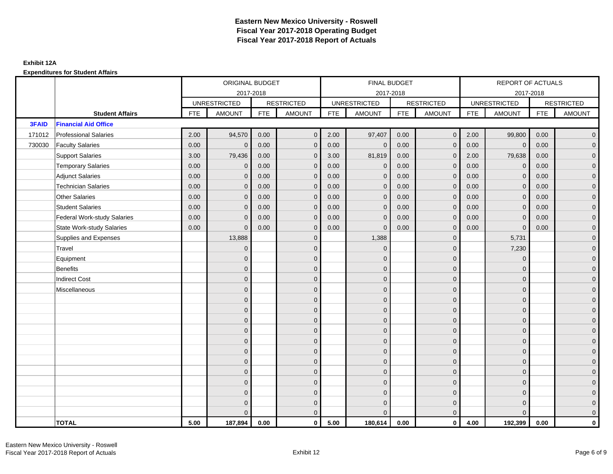|              |                                    |            | ORIGINAL BUDGET     |            |                   |            | <b>FINAL BUDGET</b> |            |                   |            | REPORT OF ACTUALS   |            |                   |
|--------------|------------------------------------|------------|---------------------|------------|-------------------|------------|---------------------|------------|-------------------|------------|---------------------|------------|-------------------|
|              |                                    |            |                     | 2017-2018  |                   |            | 2017-2018           |            |                   |            | 2017-2018           |            |                   |
|              |                                    |            | <b>UNRESTRICTED</b> |            | <b>RESTRICTED</b> |            | <b>UNRESTRICTED</b> |            | <b>RESTRICTED</b> |            | <b>UNRESTRICTED</b> |            | <b>RESTRICTED</b> |
|              | <b>Student Affairs</b>             | <b>FTE</b> | <b>AMOUNT</b>       | <b>FTE</b> | <b>AMOUNT</b>     | <b>FTE</b> | <b>AMOUNT</b>       | <b>FTE</b> | <b>AMOUNT</b>     | <b>FTE</b> | <b>AMOUNT</b>       | <b>FTE</b> | <b>AMOUNT</b>     |
| <b>3FAID</b> | <b>Financial Aid Office</b>        |            |                     |            |                   |            |                     |            |                   |            |                     |            |                   |
| 171012       | <b>Professional Salaries</b>       | 2.00       | 94,570              | 0.00       | $\mathbf{0}$      | 2.00       | 97,407              | 0.00       | $\mathbf{0}$      | 2.00       | 99,800              | 0.00       | $\overline{0}$    |
| 730030       | <b>Faculty Salaries</b>            | 0.00       | $\mathbf 0$         | 0.00       | $\mathbf 0$       | 0.00       | $\mathbf 0$         | 0.00       | $\mathbf{0}$      | 0.00       | $\mathbf 0$         | 0.00       | $\overline{0}$    |
|              | <b>Support Salaries</b>            | 3.00       | 79,436              | 0.00       | $\mathbf 0$       | 3.00       | 81,819              | 0.00       | $\mathbf 0$       | 2.00       | 79,638              | 0.00       | $\overline{0}$    |
|              | <b>Temporary Salaries</b>          | 0.00       | $\mathbf{0}$        | 0.00       | $\mathbf{0}$      | 0.00       | $\mathbf{0}$        | 0.00       | $\mathbf{0}$      | 0.00       | $\mathbf 0$         | 0.00       | $\overline{0}$    |
|              | <b>Adjunct Salaries</b>            | 0.00       | $\Omega$            | 0.00       | $\Omega$          | 0.00       | $\Omega$            | 0.00       | $\mathbf{0}$      | 0.00       | $\mathbf{0}$        | 0.00       | $\overline{0}$    |
|              | <b>Technician Salaries</b>         | 0.00       | $\mathbf{0}$        | 0.00       | $\mathbf 0$       | 0.00       | $\mathbf{0}$        | 0.00       | $\mathbf{0}$      | 0.00       | $\mathbf{0}$        | 0.00       | $\mathbf{0}$      |
|              | <b>Other Salaries</b>              | 0.00       | $\mathbf{0}$        | 0.00       | $\mathbf{0}$      | 0.00       | $\mathbf{0}$        | 0.00       | $\mathbf{0}$      | 0.00       | $\mathbf{0}$        | 0.00       | $\overline{0}$    |
|              | <b>Student Salaries</b>            | 0.00       | $\mathbf{0}$        | 0.00       | $\mathbf 0$       | 0.00       | $\mathbf{0}$        | 0.00       | $\mathbf{0}$      | 0.00       | $\overline{0}$      | 0.00       | $\overline{0}$    |
|              | <b>Federal Work-study Salaries</b> | 0.00       | $\mathbf 0$         | 0.00       | $\mathbf 0$       | 0.00       | $\mathbf{0}$        | 0.00       | $\mathbf 0$       | 0.00       | $\mathbf 0$         | 0.00       | $\overline{0}$    |
|              | <b>State Work-study Salaries</b>   | 0.00       | $\mathbf{0}$        | 0.00       | $\mathbf{0}$      | 0.00       | $\mathbf{0}$        | 0.00       | $\mathbf{0}$      | 0.00       | $\mathbf 0$         | 0.00       | $\overline{0}$    |
|              | Supplies and Expenses              |            | 13,888              |            | $\mathbf{0}$      |            | 1,388               |            | $\mathbf{0}$      |            | 5,731               |            | $\mathbf{0}$      |
|              | Travel                             |            | $\mathbf{0}$        |            | $\mathbf{0}$      |            | $\mathbf{0}$        |            | $\mathbf{0}$      |            | 7,230               |            | $\overline{0}$    |
|              | Equipment                          |            | $\mathbf{0}$        |            | $\mathbf{0}$      |            | $\mathbf{0}$        |            | $\mathbf 0$       |            | $\mathbf 0$         |            | $\overline{0}$    |
|              | <b>Benefits</b>                    |            | $\mathbf{0}$        |            | $\mathbf{0}$      |            | $\Omega$            |            | $\mathbf 0$       |            | $\mathbf 0$         |            | $\overline{0}$    |
|              | <b>Indirect Cost</b>               |            | $\Omega$            |            | $\mathbf{0}$      |            | $\Omega$            |            | $\mathbf{0}$      |            | $\Omega$            |            | $\overline{0}$    |
|              | Miscellaneous                      |            | $\mathbf{0}$        |            | $\mathbf 0$       |            | $\mathbf{0}$        |            | $\mathbf 0$       |            | $\mathbf 0$         |            | $\mathbf{0}$      |
|              |                                    |            | $\mathbf{0}$        |            | $\mathbf 0$       |            | $\Omega$            |            | $\mathbf 0$       |            | $\mathbf{0}$        |            | $\overline{0}$    |
|              |                                    |            | $\overline{0}$      |            | $\mathbf{0}$      |            | $\mathbf{0}$        |            | $\mathbf 0$       |            | $\mathbf{0}$        |            | $\overline{0}$    |
|              |                                    |            | $\overline{0}$      |            | $\mathbf 0$       |            | $\Omega$            |            | $\mathbf 0$       |            | $\mathbf{0}$        |            | $\overline{0}$    |
|              |                                    |            | $\overline{0}$      |            | $\mathbf{0}$      |            | $\mathbf{0}$        |            | $\mathbf 0$       |            | $\mathbf{0}$        |            | $\mathbf{0}$      |
|              |                                    |            | $\overline{0}$      |            | $\mathbf{0}$      |            | $\Omega$            |            | $\mathbf 0$       |            | $\mathbf 0$         |            | $\mathbf{0}$      |
|              |                                    |            | $\overline{0}$      |            | $\mathbf{0}$      |            | $\Omega$            |            | $\mathbf{0}$      |            | $\Omega$            |            | $\overline{0}$    |
|              |                                    |            | $\mathbf{0}$        |            | $\mathbf{0}$      |            | $\mathbf{0}$        |            | $\mathbf 0$       |            | $\mathbf{0}$        |            | $\overline{0}$    |
|              |                                    |            | $\overline{0}$      |            | $\mathbf{0}$      |            | $\Omega$            |            | $\mathbf{0}$      |            | $\mathbf 0$         |            | $\overline{0}$    |
|              |                                    |            | $\Omega$            |            | $\mathbf{0}$      |            | $\Omega$            |            | $\mathbf{0}$      |            | $\Omega$            |            | $\overline{0}$    |
|              |                                    |            | $\overline{0}$      |            | $\mathbf 0$       |            | $\mathbf{0}$        |            | $\mathbf 0$       |            | $\mathbf{0}$        |            | $\mathbf{0}$      |
|              |                                    |            | 0                   |            | $\mathbf 0$       |            | $\mathbf{0}$        |            | $\mathbf 0$       |            | $\mathbf{0}$        |            | $\mathbf{0}$      |
|              |                                    |            | $\Omega$            |            | $\mathbf{0}$      |            | $\Omega$            |            | $\mathbf{0}$      |            | $\Omega$            |            | $\overline{0}$    |
|              | <b>TOTAL</b>                       | 5.00       | 187,894             | 0.00       | $\mathbf{0}$      | 5.00       | 180,614             | 0.00       | $\mathbf{0}$      | 4.00       | 192,399             | 0.00       | $\mathbf{0}$      |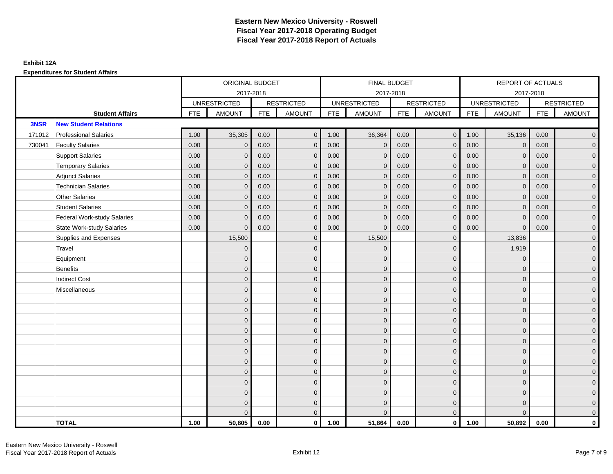|        |                                    |            | ORIGINAL BUDGET     |            |                   |            | <b>FINAL BUDGET</b> |            |                   |            | <b>REPORT OF ACTUALS</b> |            |                     |
|--------|------------------------------------|------------|---------------------|------------|-------------------|------------|---------------------|------------|-------------------|------------|--------------------------|------------|---------------------|
|        |                                    |            |                     | 2017-2018  |                   |            | 2017-2018           |            |                   |            | 2017-2018                |            |                     |
|        |                                    |            | <b>UNRESTRICTED</b> |            | <b>RESTRICTED</b> |            | <b>UNRESTRICTED</b> |            | <b>RESTRICTED</b> |            | <b>UNRESTRICTED</b>      |            | <b>RESTRICTED</b>   |
|        | <b>Student Affairs</b>             | <b>FTE</b> | <b>AMOUNT</b>       | <b>FTE</b> | <b>AMOUNT</b>     | <b>FTE</b> | <b>AMOUNT</b>       | <b>FTE</b> | <b>AMOUNT</b>     | <b>FTE</b> | <b>AMOUNT</b>            | <b>FTE</b> | <b>AMOUNT</b>       |
| 3NSR   | <b>New Student Relations</b>       |            |                     |            |                   |            |                     |            |                   |            |                          |            |                     |
| 171012 | <b>Professional Salaries</b>       | 1.00       | 35,305              | 0.00       | $\mathbf 0$       | 1.00       | 36,364              | 0.00       | $\overline{0}$    | 1.00       | 35,136                   | 0.00       | $\overline{0}$      |
| 730041 | <b>Faculty Salaries</b>            | 0.00       | $\mathbf 0$         | 0.00       | $\mathbf{0}$      | 0.00       | $\mathbf{0}$        | 0.00       | $\mathbf{0}$      | 0.00       | $\overline{0}$           | 0.00       | $\overline{0}$      |
|        | <b>Support Salaries</b>            | 0.00       | $\mathbf 0$         | 0.00       | $\mathbf 0$       | 0.00       | $\mathbf{0}$        | 0.00       | $\mathbf 0$       | 0.00       | $\mathbf 0$              | 0.00       | $\overline{0}$      |
|        | <b>Temporary Salaries</b>          | 0.00       | $\mathbf{0}$        | 0.00       | $\mathbf{0}$      | 0.00       | $\mathbf{0}$        | 0.00       | $\overline{0}$    | 0.00       | $\mathbf 0$              | 0.00       | $\overline{0}$      |
|        | <b>Adjunct Salaries</b>            | 0.00       | $\Omega$            | 0.00       | $\Omega$          | 0.00       | $\Omega$            | 0.00       | $\mathbf{0}$      | 0.00       | $\mathbf{0}$             | 0.00       | $\overline{0}$      |
|        | <b>Technician Salaries</b>         | 0.00       | $\mathbf{0}$        | 0.00       | $\mathbf 0$       | 0.00       | $\mathbf{0}$        | 0.00       | $\mathbf{0}$      | 0.00       | $\mathbf{0}$             | 0.00       | $\mathsf{O}\xspace$ |
|        | <b>Other Salaries</b>              | 0.00       | $\mathbf{0}$        | 0.00       | $\mathbf{0}$      | 0.00       | $\mathbf{0}$        | 0.00       | $\mathbf{0}$      | 0.00       | $\mathbf{0}$             | 0.00       | $\overline{0}$      |
|        | <b>Student Salaries</b>            | 0.00       | $\mathbf{0}$        | 0.00       | $\mathbf{0}$      | 0.00       | $\mathbf{0}$        | 0.00       | $\mathbf{0}$      | 0.00       | $\overline{0}$           | 0.00       | $\overline{0}$      |
|        | <b>Federal Work-study Salaries</b> | 0.00       | $\mathbf{0}$        | 0.00       | $\mathbf{0}$      | 0.00       | $\mathbf{0}$        | 0.00       | $\overline{0}$    | 0.00       | $\mathbf 0$              | 0.00       | $\overline{0}$      |
|        | <b>State Work-study Salaries</b>   | 0.00       | $\mathbf{0}$        | 0.00       | $\mathbf{0}$      | 0.00       | $\mathbf{0}$        | 0.00       | $\mathbf{0}$      | 0.00       | $\mathbf{0}$             | 0.00       | $\overline{0}$      |
|        | Supplies and Expenses              |            | 15,500              |            | $\mathbf 0$       |            | 15,500              |            | $\mathbf 0$       |            | 13,836                   |            | $\mathbf{0}$        |
|        | Travel                             |            | $\mathbf{0}$        |            | $\mathbf 0$       |            | $\mathbf{0}$        |            | $\mathbf 0$       |            | 1,919                    |            | $\overline{0}$      |
|        | Equipment                          |            | $\Omega$            |            | $\mathbf{0}$      |            | $\mathbf{0}$        |            | $\mathbf 0$       |            | $\mathbf{0}$             |            | $\overline{0}$      |
|        | Benefits                           |            | $\overline{0}$      |            | $\mathbf 0$       |            | $\Omega$            |            | $\mathbf 0$       |            | $\mathbf 0$              |            | $\overline{0}$      |
|        | <b>Indirect Cost</b>               |            | $\overline{0}$      |            | $\mathbf{0}$      |            | $\Omega$            |            | $\mathbf 0$       |            | $\mathbf 0$              |            | $\overline{0}$      |
|        | Miscellaneous                      |            | $\Omega$            |            | $\mathbf{0}$      |            | $\Omega$            |            | $\mathbf{0}$      |            | $\Omega$                 |            | $\mathsf{O}\xspace$ |
|        |                                    |            | $\overline{0}$      |            | $\mathbf 0$       |            | $\mathbf{0}$        |            | $\mathbf 0$       |            | $\mathbf{0}$             |            | $\overline{0}$      |
|        |                                    |            | $\Omega$            |            | $\mathbf 0$       |            | $\mathbf{0}$        |            | $\mathbf 0$       |            | $\mathbf{0}$             |            | $\overline{0}$      |
|        |                                    |            | $\overline{0}$      |            | $\mathbf 0$       |            | $\Omega$            |            | $\mathbf 0$       |            | $\mathbf{0}$             |            | $\mathbf{0}$        |
|        |                                    |            | $\Omega$            |            | $\mathbf{0}$      |            | $\Omega$            |            | $\mathbf 0$       |            | $\mathbf 0$              |            | $\overline{0}$      |
|        |                                    |            | $\Omega$            |            | $\mathbf 0$       |            | $\Omega$            |            | $\mathbf{0}$      |            | $\Omega$                 |            | $\mathsf{O}\xspace$ |
|        |                                    |            | $\overline{0}$      |            | $\mathbf 0$       |            | $\mathbf{0}$        |            | $\mathbf 0$       |            | $\mathbf{0}$             |            | $\overline{0}$      |
|        |                                    |            | $\overline{0}$      |            | $\mathbf{0}$      |            | $\mathbf{0}$        |            | $\mathbf 0$       |            | $\mathbf{0}$             |            | $\overline{0}$      |
|        |                                    |            | $\overline{0}$      |            | $\mathbf 0$       |            | $\Omega$            |            | $\mathbf 0$       |            | $\mathbf{0}$             |            | $\mathbf{0}$        |
|        |                                    |            | $\mathbf{0}$        |            | $\mathbf{0}$      |            | $\mathbf{0}$        |            | $\mathbf{0}$      |            | $\mathbf{0}$             |            | $\mathbf{0}$        |
|        |                                    |            | $\Omega$            |            | $\mathbf 0$       |            | $\Omega$            |            | $\mathbf{0}$      |            | $\Omega$                 |            | $\mathsf{O}\xspace$ |
|        |                                    |            | $\overline{0}$      |            | $\mathbf 0$       |            | $\mathbf{0}$        |            | $\mathbf 0$       |            | $\mathbf 0$              |            | $\mathsf{O}\xspace$ |
|        |                                    |            | $\Omega$            |            | $\mathbf{0}$      |            | $\Omega$            |            | $\mathbf{0}$      |            | $\Omega$                 |            | $\overline{0}$      |
|        | <b>TOTAL</b>                       | 1.00       | 50,805              | 0.00       | $\mathbf 0$       | 1.00       | 51,864              | 0.00       | $\overline{0}$    | 1.00       | 50,892                   | 0.00       | $\mathbf{0}$        |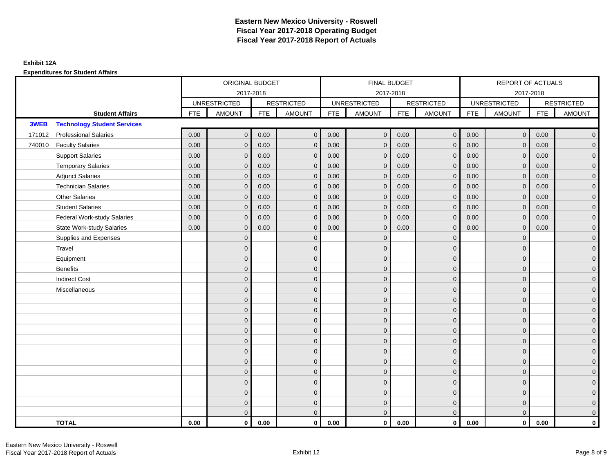|        |                                    |            | ORIGINAL BUDGET     |            |                   |            | <b>FINAL BUDGET</b> |            |                   |            | REPORT OF ACTUALS   |            |                     |
|--------|------------------------------------|------------|---------------------|------------|-------------------|------------|---------------------|------------|-------------------|------------|---------------------|------------|---------------------|
|        |                                    |            |                     | 2017-2018  |                   |            | 2017-2018           |            |                   |            | 2017-2018           |            |                     |
|        |                                    |            | <b>UNRESTRICTED</b> |            | <b>RESTRICTED</b> |            | <b>UNRESTRICTED</b> |            | <b>RESTRICTED</b> |            | <b>UNRESTRICTED</b> |            | <b>RESTRICTED</b>   |
|        | <b>Student Affairs</b>             | <b>FTE</b> | <b>AMOUNT</b>       | <b>FTE</b> | <b>AMOUNT</b>     | <b>FTE</b> | <b>AMOUNT</b>       | <b>FTE</b> | <b>AMOUNT</b>     | <b>FTE</b> | <b>AMOUNT</b>       | <b>FTE</b> | <b>AMOUNT</b>       |
| 3WEB   | <b>Technology Student Services</b> |            |                     |            |                   |            |                     |            |                   |            |                     |            |                     |
| 171012 | <b>Professional Salaries</b>       | 0.00       | $\mathbf{0}$        | 0.00       | $\mathbf{0}$      | 0.00       | $\mathbf{0}$        | 0.00       | $\mathbf{0}$      | 0.00       | $\overline{0}$      | 0.00       | $\overline{0}$      |
| 740010 | <b>Faculty Salaries</b>            | 0.00       | $\mathbf 0$         | 0.00       | $\mathbf 0$       | 0.00       | $\mathbf{0}$        | 0.00       | $\mathbf{0}$      | 0.00       | $\mathbf{0}$        | 0.00       | $\overline{0}$      |
|        | <b>Support Salaries</b>            | 0.00       | $\mathbf{0}$        | 0.00       | $\mathbf 0$       | 0.00       | $\mathbf{0}$        | 0.00       | $\mathbf 0$       | 0.00       | $\mathbf{0}$        | 0.00       | $\overline{0}$      |
|        | <b>Temporary Salaries</b>          | 0.00       | $\mathbf{0}$        | 0.00       | $\Omega$          | 0.00       | $\mathbf{0}$        | 0.00       | $\overline{0}$    | 0.00       | $\mathbf 0$         | 0.00       | $\overline{0}$      |
|        | <b>Adjunct Salaries</b>            | 0.00       | $\mathbf{0}$        | 0.00       | $\mathbf{0}$      | 0.00       | $\mathbf{0}$        | 0.00       | $\mathbf 0$       | 0.00       | $\mathbf 0$         | 0.00       | $\mathbf{0}$        |
|        | <b>Technician Salaries</b>         | 0.00       | $\mathbf{0}$        | 0.00       | $\Omega$          | 0.00       | $\mathbf{0}$        | 0.00       | $\mathbf{0}$      | 0.00       | $\mathbf{0}$        | 0.00       | $\mathbf{0}$        |
|        | <b>Other Salaries</b>              | 0.00       | $\mathbf{0}$        | 0.00       | $\mathbf{0}$      | 0.00       | $\Omega$            | 0.00       | $\mathbf{0}$      | 0.00       | $\overline{0}$      | 0.00       | $\overline{0}$      |
|        | <b>Student Salaries</b>            | 0.00       | $\mathbf 0$         | 0.00       | $\mathbf 0$       | 0.00       | $\mathbf 0$         | 0.00       | $\mathbf 0$       | 0.00       | $\mathbf{0}$        | 0.00       | $\overline{0}$      |
|        | <b>Federal Work-study Salaries</b> | 0.00       | $\mathbf{0}$        | 0.00       | $\mathbf 0$       | 0.00       | $\mathbf{0}$        | 0.00       | $\overline{0}$    | 0.00       | $\mathbf 0$         | 0.00       | $\overline{0}$      |
|        | <b>State Work-study Salaries</b>   | 0.00       | $\mathbf{0}$        | 0.00       | $\Omega$          | 0.00       | $\mathbf{0}$        | 0.00       | $\mathbf{0}$      | 0.00       | $\mathbf{0}$        | 0.00       | $\overline{0}$      |
|        | Supplies and Expenses              |            | $\mathbf{0}$        |            | $\mathbf 0$       |            | $\mathbf{0}$        |            | $\overline{0}$    |            | $\mathbf 0$         |            | $\mathsf{O}\xspace$ |
|        | Travel                             |            | $\mathbf{0}$        |            | $\mathbf 0$       |            | $\mathbf{0}$        |            | $\mathbf 0$       |            | $\mathbf{0}$        |            | $\mathbf{0}$        |
|        | Equipment                          |            | $\Omega$            |            | $\mathbf{0}$      |            | $\mathbf{0}$        |            | $\mathbf{0}$      |            | $\mathbf{0}$        |            | $\overline{0}$      |
|        | <b>Benefits</b>                    |            | $\mathbf{0}$        |            | $\mathbf 0$       |            | $\mathbf{0}$        |            | $\mathbf 0$       |            | $\mathbf 0$         |            | $\overline{0}$      |
|        | <b>Indirect Cost</b>               |            | $\mathbf{0}$        |            | $\mathbf{0}$      |            | $\Omega$            |            | $\mathbf 0$       |            | $\mathbf 0$         |            | $\overline{0}$      |
|        | Miscellaneous                      |            | $\Omega$            |            | $\mathbf{0}$      |            | $\Omega$            |            | $\mathbf{0}$      |            | $\Omega$            |            | $\mathsf{O}\xspace$ |
|        |                                    |            | $\mathbf 0$         |            | $\mathbf 0$       |            | $\mathbf{0}$        |            | $\mathbf 0$       |            | $\mathbf{0}$        |            | $\mathsf{O}\xspace$ |
|        |                                    |            | $\mathbf{0}$        |            | $\mathbf 0$       |            | $\mathbf{0}$        |            | $\mathbf 0$       |            | $\mathbf{0}$        |            | $\overline{0}$      |
|        |                                    |            | $\Omega$            |            | $\mathbf{0}$      |            | $\Omega$            |            | $\mathbf 0$       |            | $\mathbf{0}$        |            | $\overline{0}$      |
|        |                                    |            | $\mathbf{0}$        |            | $\mathbf 0$       |            | $\Omega$            |            | $\mathbf 0$       |            | $\mathbf 0$         |            | $\mathbf{0}$        |
|        |                                    |            | $\mathbf{0}$        |            | $\mathbf 0$       |            | $\mathbf{0}$        |            | $\mathbf{0}$      |            | $\mathbf 0$         |            | $\mathbf{0}$        |
|        |                                    |            | $\mathbf{0}$        |            | $\mathbf{0}$      |            | $\Omega$            |            | $\mathbf{0}$      |            | $\Omega$            |            | $\overline{0}$      |
|        |                                    |            | $\overline{0}$      |            | $\mathbf 0$       |            | $\mathbf{0}$        |            | $\mathbf 0$       |            | $\mathbf 0$         |            | $\mathsf{O}\xspace$ |
|        |                                    |            | $\mathbf{0}$        |            | $\mathbf{0}$      |            | $\Omega$            |            | $\mathbf 0$       |            | $\mathbf{0}$        |            | $\overline{0}$      |
|        |                                    |            | $\Omega$            |            | $\mathbf{0}$      |            | $\Omega$            |            | $\mathbf{0}$      |            | $\mathbf 0$         |            | $\overline{0}$      |
|        |                                    |            | $\Omega$            |            | $\mathbf 0$       |            | $\Omega$            |            | $\mathbf 0$       |            | $\Omega$            |            | $\overline{0}$      |
|        |                                    |            | $\mathbf 0$         |            | $\mathbf 0$       |            | $\mathbf{0}$        |            | $\mathbf 0$       |            | $\mathbf 0$         |            | $\mathbf{0}$        |
|        |                                    |            | $\overline{0}$      |            | $\mathbf{0}$      |            | $\overline{0}$      |            | $\mathbf{0}$      |            | $\mathbf{0}$        |            | $\overline{0}$      |
|        | <b>TOTAL</b>                       | 0.00       | $\mathbf{0}$        | 0.00       | $\mathbf 0$       | 0.00       | $\mathbf{0}$        | 0.00       | $\overline{0}$    | 0.00       | $\mathbf{0}$        | 0.00       | $\mathbf{0}$        |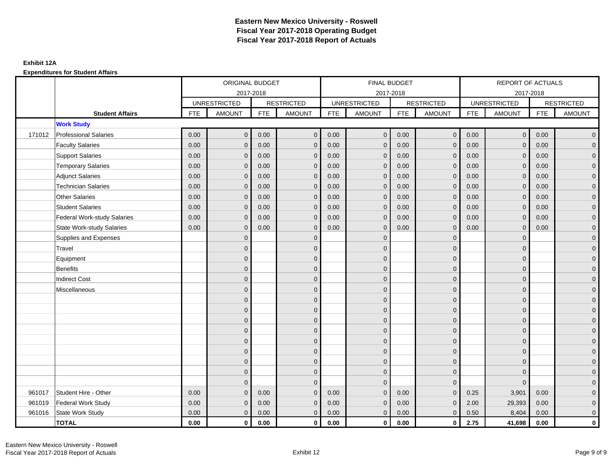|        |                                    |            | ORIGINAL BUDGET     |            |                   |            | <b>FINAL BUDGET</b> |            |                   |            | REPORT OF ACTUALS   |            |                     |
|--------|------------------------------------|------------|---------------------|------------|-------------------|------------|---------------------|------------|-------------------|------------|---------------------|------------|---------------------|
|        |                                    |            | 2017-2018           |            |                   |            | 2017-2018           |            |                   |            | 2017-2018           |            |                     |
|        |                                    |            | <b>UNRESTRICTED</b> |            | <b>RESTRICTED</b> |            | <b>UNRESTRICTED</b> |            | <b>RESTRICTED</b> |            | <b>UNRESTRICTED</b> |            | <b>RESTRICTED</b>   |
|        | <b>Student Affairs</b>             | <b>FTE</b> | <b>AMOUNT</b>       | <b>FTE</b> | <b>AMOUNT</b>     | <b>FTE</b> | <b>AMOUNT</b>       | <b>FTE</b> | <b>AMOUNT</b>     | <b>FTE</b> | <b>AMOUNT</b>       | <b>FTE</b> | <b>AMOUNT</b>       |
|        | <b>Work Study</b>                  |            |                     |            |                   |            |                     |            |                   |            |                     |            |                     |
| 171012 | <b>Professional Salaries</b>       | 0.00       | $\mathbf{0}$        | 0.00       | $\mathbf{0}$      | 0.00       | $\mathbf{0}$        | 0.00       | $\overline{0}$    | 0.00       | $\mathbf 0$         | 0.00       | $\overline{0}$      |
|        | <b>Faculty Salaries</b>            | 0.00       | $\mathbf{0}$        | 0.00       | $\Omega$          | 0.00       | $\Omega$            | 0.00       | $\mathbf{0}$      | 0.00       | $\mathbf{0}$        | 0.00       | $\overline{0}$      |
|        | <b>Support Salaries</b>            | 0.00       | $\mathbf 0$         | 0.00       | $\mathbf{0}$      | 0.00       | $\mathbf{0}$        | 0.00       | $\mathbf 0$       | 0.00       | $\mathbf 0$         | 0.00       | $\overline{0}$      |
|        | <b>Temporary Salaries</b>          | 0.00       | $\mathbf{0}$        | 0.00       | $\Omega$          | 0.00       | $\mathbf{0}$        | 0.00       | $\mathbf 0$       | 0.00       | $\mathbf 0$         | 0.00       | $\overline{0}$      |
|        | <b>Adjunct Salaries</b>            | 0.00       | $\mathbf{0}$        | 0.00       | $\mathbf{0}$      | 0.00       | $\mathbf{0}$        | 0.00       | $\mathbf{0}$      | 0.00       | $\mathbf 0$         | 0.00       | $\mathbf{0}$        |
|        | <b>Technician Salaries</b>         | 0.00       | $\mathbf{0}$        | 0.00       | $\Omega$          | 0.00       | $\mathbf{0}$        | 0.00       | $\mathbf{0}$      | 0.00       | $\mathbf 0$         | 0.00       | $\mathbf{0}$        |
|        | <b>Other Salaries</b>              | 0.00       | $\Omega$            | 0.00       | $\Omega$          | 0.00       | $\Omega$            | 0.00       | $\mathbf{0}$      | 0.00       | $\mathbf{0}$        | 0.00       | $\overline{0}$      |
|        | <b>Student Salaries</b>            | 0.00       | $\mathbf{0}$        | 0.00       | $\mathbf{0}$      | 0.00       | $\mathbf{0}$        | 0.00       | $\mathbf 0$       | 0.00       | $\mathbf 0$         | 0.00       | $\overline{0}$      |
|        | <b>Federal Work-study Salaries</b> | 0.00       | $\mathbf{0}$        | 0.00       | $\Omega$          | 0.00       | $\mathbf{0}$        | 0.00       | $\mathbf{0}$      | 0.00       | $\mathbf 0$         | 0.00       | $\overline{0}$      |
|        | State Work-study Salaries          | 0.00       | $\mathbf 0$         | 0.00       | $\mathbf{0}$      | 0.00       | $\mathbf{0}$        | 0.00       | $\overline{0}$    | 0.00       | $\mathbf 0$         | 0.00       | $\mathbf{0}$        |
|        | Supplies and Expenses              |            | $\mathbf{0}$        |            | $\mathbf{0}$      |            | $\mathbf{0}$        |            | $\mathbf{0}$      |            | $\mathbf 0$         |            | $\mathsf{O}\xspace$ |
|        | Travel                             |            | $\Omega$            |            | $\mathbf{0}$      |            | $\Omega$            |            | $\mathbf{0}$      |            | $\Omega$            |            | $\overline{0}$      |
|        | Equipment                          |            | $\mathbf{0}$        |            | $\mathbf 0$       |            | $\mathbf{0}$        |            | $\mathbf 0$       |            | $\mathbf 0$         |            | $\overline{0}$      |
|        | <b>Benefits</b>                    |            | $\Omega$            |            | $\mathbf{0}$      |            | $\Omega$            |            | $\mathbf 0$       |            | $\mathbf 0$         |            | $\overline{0}$      |
|        | <b>Indirect Cost</b>               |            | $\mathbf{0}$        |            | $\mathbf 0$       |            | $\mathbf{0}$        |            | $\mathbf 0$       |            | $\mathbf{0}$        |            | $\overline{0}$      |
|        | Miscellaneous                      |            | $\mathbf{0}$        |            | $\mathbf{0}$      |            | $\Omega$            |            | $\mathbf 0$       |            | $\Omega$            |            | $\overline{0}$      |
|        |                                    |            | $\Omega$            |            | $\mathbf 0$       |            | $\Omega$            |            | $\mathbf 0$       |            | $\Omega$            |            | $\overline{0}$      |
|        |                                    |            | $\mathbf{0}$        |            | $\mathbf{0}$      |            | $\Omega$            |            | $\mathbf 0$       |            | $\mathbf 0$         |            | $\overline{0}$      |
|        |                                    |            | $\Omega$            |            | $\mathbf{0}$      |            | $\Omega$            |            | $\mathbf{0}$      |            | $\Omega$            |            | $\overline{0}$      |
|        |                                    |            | $\mathbf{0}$        |            | $\mathbf{0}$      |            | $\Omega$            |            | $\mathbf 0$       |            | $\mathbf{0}$        |            | $\mathbf{0}$        |
|        |                                    |            | $\Omega$            |            | $\mathbf{0}$      |            | $\Omega$            |            | $\mathbf{0}$      |            | $\Omega$            |            | $\overline{0}$      |
|        |                                    |            | $\mathbf{0}$        |            | $\mathbf 0$       |            | $\mathbf{0}$        |            | $\mathbf 0$       |            | $\mathbf 0$         |            | $\mathbf{0}$        |
|        |                                    |            | $\mathbf{0}$        |            | $\mathbf 0$       |            | $\mathbf{0}$        |            | $\mathbf 0$       |            | $\mathbf 0$         |            | $\overline{0}$      |
|        |                                    |            | $\Omega$            |            | $\mathbf{0}$      |            | $\Omega$            |            | $\mathbf 0$       |            | $\Omega$            |            | $\overline{0}$      |
|        |                                    |            | $\mathbf{0}$        |            | $\mathbf{0}$      |            | $\Omega$            |            | $\mathbf 0$       |            | $\mathbf 0$         |            | $\overline{0}$      |
| 961017 | Student Hire - Other               | 0.00       | $\Omega$            | 0.00       | $\Omega$          | 0.00       | $\Omega$            | 0.00       | $\Omega$          | 0.25       | 3,901               | 0.00       | $\overline{0}$      |
| 961019 | Federal Work Study                 | 0.00       | $\mathbf{0}$        | 0.00       | $\mathbf{0}$      | 0.00       | $\mathbf{0}$        | 0.00       | $\mathbf 0$       | 2.00       | 29,393              | 0.00       | $\mathbf{0}$        |
| 961016 | State Work Study                   | 0.00       | $\mathbf 0$         | 0.00       | $\mathbf{0}$      | 0.00       | $\mathbf{0}$        | 0.00       | $\mathbf{0}$      | 0.50       | 8,404               | 0.00       | $\overline{0}$      |
|        | <b>TOTAL</b>                       | 0.00       | $\mathbf{0}$        | 0.00       | $\mathbf 0$       | 0.00       | $\bf{0}$            | 0.00       | $\mathbf{0}$      | 2.75       | 41,698              | 0.00       | $\mathbf 0$         |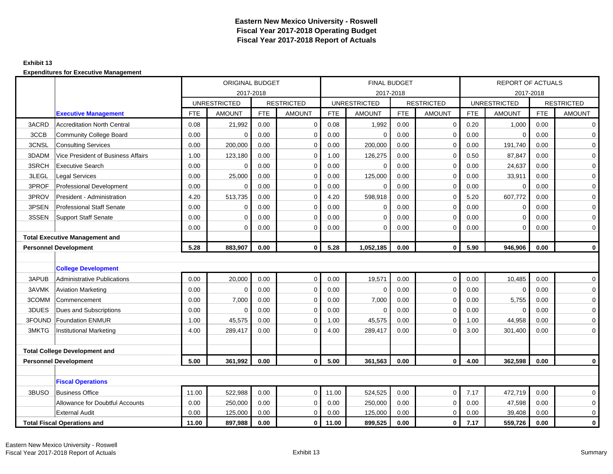#### **Exhibit 13**

|        |                                       |            | ORIGINAL BUDGET     |            |                   |            |                     | <b>FINAL BUDGET</b> |                   |            | <b>REPORT OF ACTUALS</b> |            |                   |
|--------|---------------------------------------|------------|---------------------|------------|-------------------|------------|---------------------|---------------------|-------------------|------------|--------------------------|------------|-------------------|
|        |                                       |            |                     | 2017-2018  |                   |            |                     | 2017-2018           |                   |            |                          | 2017-2018  |                   |
|        |                                       |            | <b>UNRESTRICTED</b> |            | <b>RESTRICTED</b> |            | <b>UNRESTRICTED</b> |                     | <b>RESTRICTED</b> |            | <b>UNRESTRICTED</b>      |            | <b>RESTRICTED</b> |
|        | <b>Executive Management</b>           | <b>FTE</b> | <b>AMOUNT</b>       | <b>FTE</b> | <b>AMOUNT</b>     | <b>FTE</b> | <b>AMOUNT</b>       | <b>FTE</b>          | <b>AMOUNT</b>     | <b>FTE</b> | <b>AMOUNT</b>            | <b>FTE</b> | <b>AMOUNT</b>     |
| 3ACRD  | <b>Accreditation North Central</b>    | 0.08       | 21,992              | 0.00       | $\mathbf 0$       | 0.08       | 1,992               | 0.00                | $\mathbf 0$       | 0.20       | 1,000                    | 0.00       | 0                 |
| 3CCB   | Community College Board               | 0.00       | $\mathbf 0$         | 0.00       | $\mathbf 0$       | 0.00       | $\Omega$            | 0.00                | 0                 | 0.00       | $\Omega$                 | 0.00       | 0                 |
| 3CNSL  | <b>Consulting Services</b>            | 0.00       | 200,000             | 0.00       | $\mathbf 0$       | 0.00       | 200,000             | 0.00                | 0                 | 0.00       | 191,740                  | 0.00       | 0                 |
| 3DADM  | Vice President of Business Affairs    | 1.00       | 123,180             | 0.00       | $\mathbf 0$       | 1.00       | 126,275             | 0.00                | $\mathbf 0$       | 0.50       | 87,847                   | 0.00       | $\mathsf{O}$      |
| 3SRCH  | <b>Executive Search</b>               | 0.00       | $\mathbf 0$         | 0.00       | $\mathbf 0$       | 0.00       | $\mathbf 0$         | 0.00                | 0                 | 0.00       | 24,637                   | 0.00       | $\mathsf 0$       |
| 3LEGL  | <b>Legal Services</b>                 | 0.00       | 25,000              | 0.00       | $\mathbf 0$       | 0.00       | 125,000             | 0.00                | $\mathbf 0$       | 0.00       | 33,911                   | 0.00       | 0                 |
| 3PROF  | <b>Professional Development</b>       | 0.00       | $\Omega$            | 0.00       | $\mathbf 0$       | 0.00       | $\Omega$            | 0.00                | 0                 | 0.00       | $\Omega$                 | 0.00       | 0                 |
| 3PROV  | President - Administration            | 4.20       | 513,735             | 0.00       | $\Omega$          | 4.20       | 598,918             | 0.00                | $\Omega$          | 5.20       | 607,772                  | 0.00       | 0                 |
| 3PSEN  | <b>Professional Staff Senate</b>      | 0.00       | 0                   | 0.00       | $\mathbf 0$       | 0.00       | 0                   | 0.00                | 0                 | 0.00       | $\mathbf 0$              | 0.00       | 0                 |
| 3SSEN  | Support Staff Senate                  | 0.00       | $\mathbf 0$         | 0.00       | $\mathbf 0$       | 0.00       | $\mathbf 0$         | 0.00                | $\mathbf 0$       | 0.00       | $\mathbf 0$              | 0.00       | $\mathbf 0$       |
|        |                                       | 0.00       | $\mathbf 0$         | 0.00       | $\mathbf 0$       | 0.00       | $\mathbf 0$         | 0.00                | $\mathbf 0$       | 0.00       | $\mathbf 0$              | 0.00       | $\mathbf 0$       |
|        | <b>Total Executive Management and</b> |            |                     |            |                   |            |                     |                     |                   |            |                          |            |                   |
|        | <b>Personnel Development</b>          | 5.28       | 883.907             | 0.00       | $\mathbf{0}$      | 5.28       | 1,052,185           | 0.00                | $\mathbf{0}$      | 5.90       | 946,906                  | 0.00       | $\mathbf{0}$      |
|        |                                       |            |                     |            |                   |            |                     |                     |                   |            |                          |            |                   |
|        | <b>College Development</b>            |            |                     |            |                   |            |                     |                     |                   |            |                          |            |                   |
| 3APUB  | Administrative Publications           | 0.00       | 20,000              | 0.00       | $\mathbf{0}$      | 0.00       | 19,571              | 0.00                | $\mathbf 0$       | 0.00       | 10,485                   | 0.00       | $\mathbf 0$       |
| 3AVMK  | <b>Aviation Marketing</b>             | 0.00       | $\Omega$            | 0.00       | $\mathbf 0$       | 0.00       | $\Omega$            | 0.00                | $\mathbf 0$       | 0.00       | $\Omega$                 | 0.00       | $\mathbf 0$       |
| 3COMM  | ICommencement                         | 0.00       | 7,000               | 0.00       | $\mathbf 0$       | 0.00       | 7,000               | 0.00                | $\mathbf 0$       | 0.00       | 5,755                    | 0.00       | 0                 |
| 3DUES  | Dues and Subscriptions                | 0.00       | $\mathbf 0$         | 0.00       | 0                 | 0.00       | $\mathbf 0$         | 0.00                | 0                 | 0.00       | $\mathbf 0$              | 0.00       | 0                 |
| 3FOUND | <b>Foundation ENMUR</b>               | 1.00       | 45,575              | 0.00       | $\mathbf 0$       | 1.00       | 45,575              | 0.00                | 0                 | 1.00       | 44,958                   | 0.00       | $\mathbf 0$       |
| 3MKTG  | <b>Institutional Marketing</b>        | 4.00       | 289,417             | 0.00       | $\Omega$          | 4.00       | 289,417             | 0.00                | $\Omega$          | 3.00       | 301,400                  | 0.00       | 0                 |
|        |                                       |            |                     |            |                   |            |                     |                     |                   |            |                          |            |                   |
|        | <b>Total College Development and</b>  |            |                     |            |                   |            |                     |                     |                   |            |                          |            |                   |
|        | <b>Personnel Development</b>          | 5.00       | 361,992             | 0.00       | $\mathbf{0}$      | 5.00       | 361,563             | 0.00                | $\mathbf{0}$      | 4.00       | 362,598                  | 0.00       | $\mathbf 0$       |
|        |                                       |            |                     |            |                   |            |                     |                     |                   |            |                          |            |                   |
|        | <b>Fiscal Operations</b>              |            |                     |            |                   |            |                     |                     |                   |            |                          |            |                   |
| 3BUSO  | <b>Business Office</b>                | 11.00      | 522,988             | 0.00       | $\mathbf 0$       | 11.00      | 524,525             | 0.00                | 0                 | 7.17       | 472,719                  | 0.00       | 0                 |
|        | Allowance for Doubtful Accounts       | 0.00       | 250,000             | 0.00       | $\mathbf 0$       | 0.00       | 250,000             | 0.00                | $\mathbf 0$       | 0.00       | 47,598                   | 0.00       | 0                 |
|        | <b>External Audit</b>                 | 0.00       | 125,000             | 0.00       | 0                 | 0.00       | 125,000             | 0.00                | $\mathbf 0$       | 0.00       | 39,408                   | 0.00       | 0                 |
|        | <b>Total Fiscal Operations and</b>    | 11.00      | 897.988             | 0.00       | $\mathbf 0$       | 11.00      | 899,525             | 0.00                | 0                 | 7.17       | 559,726                  | 0.00       | $\mathbf{0}$      |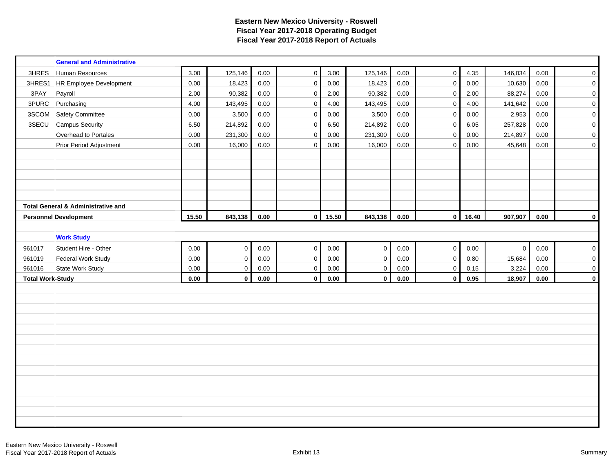|                         | <b>General and Administrative</b>             |       |             |            |             |       |                     |          |                     |          |                |      |                     |
|-------------------------|-----------------------------------------------|-------|-------------|------------|-------------|-------|---------------------|----------|---------------------|----------|----------------|------|---------------------|
| 3HRES                   | Human Resources                               | 3.00  | 125,146     | 0.00       | $\mathbf 0$ | 3.00  | 125,146             | 0.00     | $\mathbf 0$         | 4.35     | 146,034        | 0.00 | $\mathsf{O}\xspace$ |
| 3HRES1                  | HR Employee Development                       | 0.00  | 18,423      | 0.00       | $\pmb{0}$   | 0.00  | 18,423              | 0.00     | $\mathsf 0$         | 0.00     | 10,630         | 0.00 | $\pmb{0}$           |
| 3PAY                    | Payroll                                       | 2.00  | 90,382      | 0.00       | $\pmb{0}$   | 2.00  | 90,382              | 0.00     | $\mathbf 0$         | 2.00     | 88,274         | 0.00 | $\mathbf 0$         |
| 3PURC                   | Purchasing                                    | 4.00  | 143,495     | $0.00\,$   | $\pmb{0}$   | 4.00  | 143,495             | 0.00     | $\mathsf{O}\xspace$ | 4.00     | 141,642        | 0.00 | $\mathbf 0$         |
| 3SCOM                   | <b>Safety Committee</b>                       | 0.00  | 3,500       | 0.00       | $\mathbf 0$ | 0.00  | 3,500               | 0.00     | $\mathbf{0}$        | $0.00\,$ | 2,953          | 0.00 | $\mathbf 0$         |
| 3SECU                   | <b>Campus Security</b>                        | 6.50  | 214,892     | 0.00       | 0           | 6.50  | 214,892             | 0.00     | $\mathsf{O}\xspace$ | 6.05     | 257,828        | 0.00 | $\mathbf 0$         |
|                         | Overhead to Portales                          | 0.00  | 231,300     | 0.00       | $\mathsf 0$ | 0.00  | 231,300             | 0.00     | $\mathbf 0$         | 0.00     | 214,897        | 0.00 | $\mathbf 0$         |
|                         | Prior Period Adjustment                       | 0.00  | 16,000      | 0.00       | $\mathbf 0$ | 0.00  | 16,000              | 0.00     | $\mathbf 0$         | 0.00     | 45,648         | 0.00 | $\mathbf 0$         |
|                         |                                               |       |             |            |             |       |                     |          |                     |          |                |      |                     |
|                         |                                               |       |             |            |             |       |                     |          |                     |          |                |      |                     |
|                         |                                               |       |             |            |             |       |                     |          |                     |          |                |      |                     |
|                         |                                               |       |             |            |             |       |                     |          |                     |          |                |      |                     |
|                         |                                               |       |             |            |             |       |                     |          |                     |          |                |      |                     |
|                         | <b>Total General &amp; Administrative and</b> |       |             |            |             |       |                     |          |                     |          |                |      |                     |
|                         | <b>Personnel Development</b>                  | 15.50 | 843,138     | $\bf 0.00$ | $\mathbf 0$ | 15.50 | 843,138             | $0.00\,$ | $\mathbf 0$         | 16.40    | 907,907        | 0.00 | $\mathbf{0}$        |
|                         |                                               |       |             |            |             |       |                     |          |                     |          |                |      |                     |
|                         | <b>Work Study</b>                             |       |             |            |             |       |                     |          |                     |          |                |      |                     |
| 961017                  | Student Hire - Other                          | 0.00  | $\pmb{0}$   | 0.00       | $\pmb{0}$   | 0.00  | $\mathsf{O}\xspace$ | 0.00     | $\mathsf{O}\xspace$ | $0.00\,$ | $\overline{0}$ | 0.00 | $\mathbf 0$         |
| 961019                  | <b>Federal Work Study</b>                     | 0.00  | $\pmb{0}$   | 0.00       | $\pmb{0}$   | 0.00  | $\mathsf{O}\xspace$ | 0.00     | $\mathsf 0$         | 0.80     | 15,684         | 0.00 | $\pmb{0}$           |
| 961016                  | State Work Study                              | 0.00  | $\pmb{0}$   | $0.00\,$   | $\pmb{0}$   | 0.00  | $\mathsf 0$         | $0.00\,$ | $\mathsf 0$         | 0.15     | 3,224          | 0.00 | $\mathbf 0$         |
| <b>Total Work-Study</b> |                                               | 0.00  | $\mathbf 0$ | 0.00       | $\mathbf 0$ | 0.00  | $\mathbf{0}$        | 0.00     | $\mathbf 0$         | 0.95     | 18,907         | 0.00 | $\mathbf 0$         |
|                         |                                               |       |             |            |             |       |                     |          |                     |          |                |      |                     |
|                         |                                               |       |             |            |             |       |                     |          |                     |          |                |      |                     |
|                         |                                               |       |             |            |             |       |                     |          |                     |          |                |      |                     |
|                         |                                               |       |             |            |             |       |                     |          |                     |          |                |      |                     |
|                         |                                               |       |             |            |             |       |                     |          |                     |          |                |      |                     |
|                         |                                               |       |             |            |             |       |                     |          |                     |          |                |      |                     |
|                         |                                               |       |             |            |             |       |                     |          |                     |          |                |      |                     |
|                         |                                               |       |             |            |             |       |                     |          |                     |          |                |      |                     |
|                         |                                               |       |             |            |             |       |                     |          |                     |          |                |      |                     |
|                         |                                               |       |             |            |             |       |                     |          |                     |          |                |      |                     |
|                         |                                               |       |             |            |             |       |                     |          |                     |          |                |      |                     |
|                         |                                               |       |             |            |             |       |                     |          |                     |          |                |      |                     |
|                         |                                               |       |             |            |             |       |                     |          |                     |          |                |      |                     |
|                         |                                               |       |             |            |             |       |                     |          |                     |          |                |      |                     |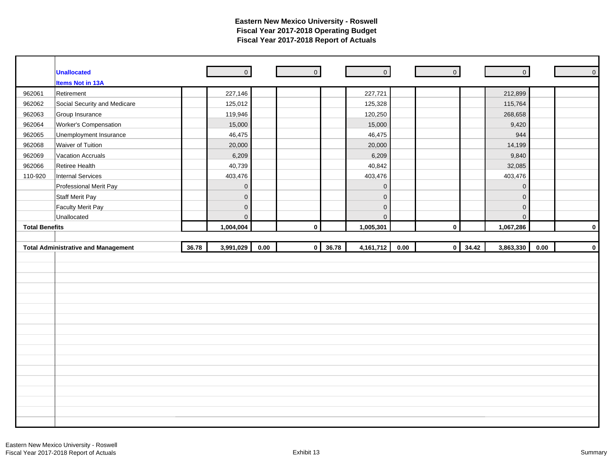|                       | <b>Unallocated</b>                         |       | $\overline{0}$      |      | $\overline{0}$ |       | $\overline{\phantom{a}}$ | $\overline{\phantom{a}}$ |                         | $\overline{0}$ |          | $\mathsf{O}$ |
|-----------------------|--------------------------------------------|-------|---------------------|------|----------------|-------|--------------------------|--------------------------|-------------------------|----------------|----------|--------------|
|                       | <b>Items Not in 13A</b>                    |       |                     |      |                |       |                          |                          |                         |                |          |              |
| 962061                | Retirement                                 |       | 227,146             |      |                |       | 227,721                  |                          |                         | 212,899        |          |              |
| 962062                | Social Security and Medicare               |       | 125,012             |      |                |       | 125,328                  |                          |                         | 115,764        |          |              |
| 962063                | Group Insurance                            |       | 119,946             |      |                |       | 120,250                  |                          |                         | 268,658        |          |              |
| 962064                | Worker's Compensation                      |       | 15,000              |      |                |       | 15,000                   |                          |                         | 9,420          |          |              |
| 962065                | Unemployment Insurance                     |       | 46,475              |      |                |       | 46,475                   |                          |                         | 944            |          |              |
| 962068                | Waiver of Tuition                          |       | 20,000              |      |                |       | 20,000                   |                          |                         | 14,199         |          |              |
| 962069                | <b>Vacation Accruals</b>                   |       | 6,209               |      |                |       | 6,209                    |                          |                         | 9,840          |          |              |
| 962066                | Retiree Health                             |       | 40,739              |      |                |       | 40,842                   |                          |                         | 32,085         |          |              |
| 110-920               | Internal Services                          |       | 403,476             |      |                |       | 403,476                  |                          |                         | 403,476        |          |              |
|                       | Professional Merit Pay                     |       | $\mathbf 0$         |      |                |       | $\mathbf 0$              |                          |                         | $\mathbf 0$    |          |              |
|                       | <b>Staff Merit Pay</b>                     |       | $\mathsf{O}$        |      |                |       | $\mathbf 0$              |                          |                         | $\mathbf 0$    |          |              |
|                       | <b>Faculty Merit Pay</b>                   |       | $\mathbf 0$         |      |                |       | $\mathsf{O}\xspace$      |                          |                         | $\mathbf 0$    |          |              |
|                       | Unallocated                                |       | $\mathsf{O}\xspace$ |      |                |       | $\mathbf{0}$             |                          |                         | $\overline{0}$ |          |              |
| <b>Total Benefits</b> |                                            |       | 1,004,004           |      | $\pmb{0}$      |       | 1,005,301                |                          | $\mathbf 0$             | 1,067,286      |          | $\mathbf 0$  |
|                       |                                            |       |                     |      |                |       |                          |                          |                         |                |          |              |
|                       |                                            |       |                     |      |                |       |                          |                          |                         |                |          |              |
|                       | <b>Total Administrative and Management</b> | 36.78 | 3,991,029           | 0.00 | $\pmb{0}$      | 36.78 | 4,161,712                | 0.00                     | 34.42<br>$\overline{0}$ | 3,863,330      | $0.00\,$ | $\mathbf 0$  |
|                       |                                            |       |                     |      |                |       |                          |                          |                         |                |          |              |
|                       |                                            |       |                     |      |                |       |                          |                          |                         |                |          |              |
|                       |                                            |       |                     |      |                |       |                          |                          |                         |                |          |              |
|                       |                                            |       |                     |      |                |       |                          |                          |                         |                |          |              |
|                       |                                            |       |                     |      |                |       |                          |                          |                         |                |          |              |
|                       |                                            |       |                     |      |                |       |                          |                          |                         |                |          |              |
|                       |                                            |       |                     |      |                |       |                          |                          |                         |                |          |              |
|                       |                                            |       |                     |      |                |       |                          |                          |                         |                |          |              |
|                       |                                            |       |                     |      |                |       |                          |                          |                         |                |          |              |
|                       |                                            |       |                     |      |                |       |                          |                          |                         |                |          |              |
|                       |                                            |       |                     |      |                |       |                          |                          |                         |                |          |              |
|                       |                                            |       |                     |      |                |       |                          |                          |                         |                |          |              |
|                       |                                            |       |                     |      |                |       |                          |                          |                         |                |          |              |
|                       |                                            |       |                     |      |                |       |                          |                          |                         |                |          |              |
|                       |                                            |       |                     |      |                |       |                          |                          |                         |                |          |              |
|                       |                                            |       |                     |      |                |       |                          |                          |                         |                |          |              |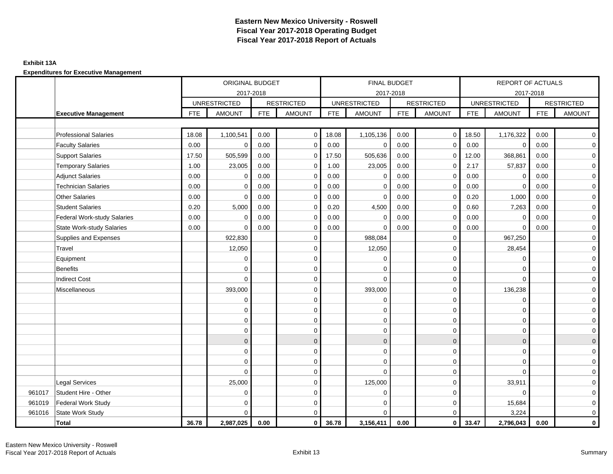### **Exhibit 13A**

|        |                              |            | ORIGINAL BUDGET     |            |                   |            | FINAL BUDGET        |            |                     |            | REPORT OF ACTUALS   |            |                   |
|--------|------------------------------|------------|---------------------|------------|-------------------|------------|---------------------|------------|---------------------|------------|---------------------|------------|-------------------|
|        |                              |            | 2017-2018           |            |                   |            | 2017-2018           |            |                     |            | 2017-2018           |            |                   |
|        |                              |            | <b>UNRESTRICTED</b> |            | <b>RESTRICTED</b> |            | <b>UNRESTRICTED</b> |            | <b>RESTRICTED</b>   |            | <b>UNRESTRICTED</b> |            | <b>RESTRICTED</b> |
|        | <b>Executive Management</b>  | <b>FTE</b> | <b>AMOUNT</b>       | <b>FTE</b> | <b>AMOUNT</b>     | <b>FTE</b> | <b>AMOUNT</b>       | <b>FTE</b> | <b>AMOUNT</b>       | <b>FTE</b> | <b>AMOUNT</b>       | <b>FTE</b> | <b>AMOUNT</b>     |
|        |                              |            |                     |            |                   |            |                     |            |                     |            |                     |            |                   |
|        | <b>Professional Salaries</b> | 18.08      | 1,100,541           | 0.00       | $\overline{0}$    | 18.08      | 1,105,136           | 0.00       | $\circ$             | 18.50      | 1,176,322           | 0.00       | $\overline{0}$    |
|        | <b>Faculty Salaries</b>      | $0.00\,$   | $\mathbf 0$         | 0.00       | $\mathbf 0$       | 0.00       | $\mathbf 0$         | 0.00       | $\mathbf 0$         | 0.00       | $\mathbf 0$         | 0.00       | $\mathbf 0$       |
|        | Support Salaries             | 17.50      | 505,599             | 0.00       | $\mathbf 0$       | 17.50      | 505,636             | 0.00       | $\mathbf 0$         | 12.00      | 368,861             | 0.00       | $\overline{0}$    |
|        | <b>Temporary Salaries</b>    | 1.00       | 23,005              | 0.00       | $\mathbf 0$       | 1.00       | 23,005              | 0.00       | $\mathbf 0$         | 2.17       | 57,837              | 0.00       | $\mathbf 0$       |
|        | <b>Adjunct Salaries</b>      | 0.00       | 0                   | 0.00       | 0                 | 0.00       | 0                   | 0.00       | $\mathbf 0$         | 0.00       | 0                   | 0.00       | $\mathbf 0$       |
|        | <b>Technician Salaries</b>   | 0.00       | $\Omega$            | 0.00       | $\mathbf 0$       | 0.00       | $\Omega$            | 0.00       | $\mathbf 0$         | 0.00       | $\Omega$            | 0.00       | $\mathbf 0$       |
|        | <b>Other Salaries</b>        | 0.00       | $\Omega$            | 0.00       | $\Omega$          | 0.00       | $\Omega$            | 0.00       | $\mathbf 0$         | 0.20       | 1,000               | 0.00       | $\overline{0}$    |
|        | <b>Student Salaries</b>      | 0.20       | 5,000               | 0.00       | 0                 | 0.20       | 4,500               | 0.00       | 0                   | 0.60       | 7,263               | 0.00       | $\overline{0}$    |
|        | Federal Work-study Salaries  | 0.00       | $\Omega$            | 0.00       | $\mathbf 0$       | 0.00       | $\mathbf 0$         | 0.00       | $\mathbf 0$         | 0.00       | $\mathbf 0$         | 0.00       | $\mathbf 0$       |
|        | State Work-study Salaries    | 0.00       | $\Omega$            | 0.00       | $\mathbf 0$       | 0.00       | $\Omega$            | 0.00       | $\mathbf 0$         | 0.00       | $\Omega$            | 0.00       | $\mathbf 0$       |
|        | Supplies and Expenses        |            | 922,830             |            | $\mathbf 0$       |            | 988,084             |            | $\mathbf 0$         |            | 967,250             |            | $\mathbf 0$       |
|        | Travel                       |            | 12,050              |            | 0                 |            | 12,050              |            | $\mathbf 0$         |            | 28,454              |            | $\mathbf 0$       |
|        | Equipment                    |            | $\mathbf 0$         |            | 0                 |            | $\Omega$            |            | $\mathbf 0$         |            | $\Omega$            |            | $\mathbf 0$       |
|        | <b>Benefits</b>              |            | $\Omega$            |            | $\mathbf 0$       |            | $\Omega$            |            | $\mathbf 0$         |            | $\Omega$            |            | $\mathbf 0$       |
|        | <b>Indirect Cost</b>         |            | $\Omega$            |            | $\mathbf 0$       |            | $\Omega$            |            | $\mathbf 0$         |            | $\Omega$            |            | $\mathbf 0$       |
|        | Miscellaneous                |            | 393,000             |            | $\mathbf 0$       |            | 393,000             |            | $\mathbf 0$         |            | 136,238             |            | $\overline{0}$    |
|        |                              |            | $\mathbf 0$         |            | $\mathbf 0$       |            | $\mathbf 0$         |            | $\mathsf{O}\xspace$ |            | $\mathbf 0$         |            | $\overline{0}$    |
|        |                              |            | $\mathbf 0$         |            | 0                 |            | $\mathbf 0$         |            | $\mathbf 0$         |            | $\mathbf 0$         |            | $\overline{0}$    |
|        |                              |            | $\Omega$            |            | $\mathbf 0$       |            | $\Omega$            |            | $\mathbf 0$         |            | $\Omega$            |            | $\overline{0}$    |
|        |                              |            | $\mathbf 0$         |            | $\mathbf 0$       |            | 0                   |            | $\mathbf 0$         |            | 0                   |            | $\mathbf 0$       |
|        |                              |            | $\mathbf{0}$        |            | $\mathbf 0$       |            | $\mathbf{0}$        |            | $\mathbf{0}$        |            | $\mathbf{0}$        |            | $\mathbf{0}$      |
|        |                              |            | $\Omega$            |            | $\mathbf 0$       |            | $\Omega$            |            | $\mathbf 0$         |            | $\Omega$            |            | $\overline{0}$    |
|        |                              |            | $\mathbf 0$         |            | 0                 |            | 0                   |            | $\mathbf 0$         |            | $\mathbf 0$         |            | $\mathbf 0$       |
|        |                              |            | $\Omega$            |            | $\mathbf 0$       |            | $\Omega$            |            | $\mathbf 0$         |            | $\Omega$            |            | $\mathbf 0$       |
|        | <b>Legal Services</b>        |            | 25,000              |            | $\mathbf 0$       |            | 125,000             |            | $\mathbf 0$         |            | 33,911              |            | $\mathbf 0$       |
| 961017 | Student Hire - Other         |            | $\Omega$            |            | $\mathbf 0$       |            | 0                   |            | $\mathbf 0$         |            | $\Omega$            |            | $\mathbf 0$       |
| 961019 | <b>Federal Work Study</b>    |            | $\Omega$            |            | $\mathbf 0$       |            | $\mathbf 0$         |            | $\mathbf 0$         |            | 15,684              |            | $\mathbf 0$       |
| 961016 | <b>State Work Study</b>      |            | $\Omega$            |            | $\mathbf 0$       |            | $\Omega$            |            | $\mathbf 0$         |            | 3,224               |            | $\mathbf 0$       |
|        | <b>Total</b>                 | 36.78      | 2,987,025           | 0.00       | $\overline{0}$    | 36.78      | 3,156,411           | 0.00       | 0                   | 33.47      | 2,796,043           | 0.00       | $\mathbf 0$       |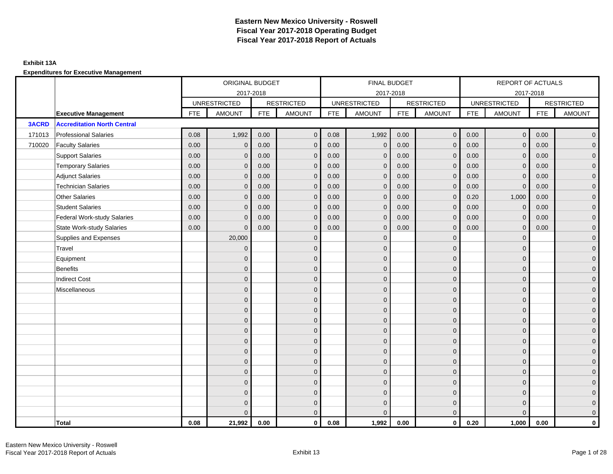### **Exhibit 13A**

|              |                                    | ORIGINAL BUDGET |                     |            |                   |            | FINAL BUDGET        |            |                   |            | REPORT OF ACTUALS   |            |                     |
|--------------|------------------------------------|-----------------|---------------------|------------|-------------------|------------|---------------------|------------|-------------------|------------|---------------------|------------|---------------------|
|              |                                    |                 | 2017-2018           |            |                   |            | 2017-2018           |            |                   |            | 2017-2018           |            |                     |
|              |                                    |                 | <b>UNRESTRICTED</b> |            | <b>RESTRICTED</b> |            | <b>UNRESTRICTED</b> |            | <b>RESTRICTED</b> |            | <b>UNRESTRICTED</b> |            | <b>RESTRICTED</b>   |
|              | <b>Executive Management</b>        | <b>FTE</b>      | <b>AMOUNT</b>       | <b>FTE</b> | <b>AMOUNT</b>     | <b>FTE</b> | <b>AMOUNT</b>       | <b>FTE</b> | <b>AMOUNT</b>     | <b>FTE</b> | <b>AMOUNT</b>       | <b>FTE</b> | <b>AMOUNT</b>       |
| <b>3ACRD</b> | <b>Accreditation North Central</b> |                 |                     |            |                   |            |                     |            |                   |            |                     |            |                     |
| 171013       | <b>Professional Salaries</b>       | 0.08            | 1,992               | 0.00       | $\mathbf{0}$      | 0.08       | 1,992               | 0.00       | $\overline{0}$    | 0.00       | $\overline{0}$      | 0.00       | $\overline{0}$      |
| 710020       | <b>Faculty Salaries</b>            | 0.00            | $\mathbf{0}$        | 0.00       | $\Omega$          | 0.00       | $\mathbf{0}$        | 0.00       | $\mathbf{0}$      | 0.00       | $\mathbf{0}$        | 0.00       | $\overline{0}$      |
|              | <b>Support Salaries</b>            | 0.00            | $\mathbf{0}$        | 0.00       | $\mathbf{0}$      | 0.00       | $\mathbf{0}$        | 0.00       | $\mathbf 0$       | 0.00       | $\overline{0}$      | 0.00       | $\overline{0}$      |
|              | <b>Temporary Salaries</b>          | 0.00            | $\mathbf{0}$        | 0.00       | $\mathbf{0}$      | 0.00       | $\mathbf{0}$        | 0.00       | $\mathbf 0$       | 0.00       | $\mathbf 0$         | 0.00       | $\mathbf{0}$        |
|              | <b>Adjunct Salaries</b>            | 0.00            | $\mathbf{0}$        | 0.00       | $\mathbf 0$       | 0.00       | $\mathbf{0}$        | 0.00       | $\mathbf{0}$      | 0.00       | $\mathbf 0$         | 0.00       | $\mathbf{0}$        |
|              | <b>Technician Salaries</b>         | 0.00            | $\mathbf{0}$        | 0.00       | $\Omega$          | 0.00       | $\mathbf{0}$        | 0.00       | $\mathbf{0}$      | 0.00       | $\mathbf 0$         | 0.00       | $\mathbf{0}$        |
|              | <b>Other Salaries</b>              | 0.00            | $\Omega$            | 0.00       | $\Omega$          | 0.00       | $\Omega$            | 0.00       | $\mathbf{0}$      | 0.20       | 1,000               | 0.00       | $\overline{0}$      |
|              | <b>Student Salaries</b>            | 0.00            | $\mathbf 0$         | 0.00       | $\mathbf{0}$      | 0.00       | $\overline{0}$      | 0.00       | $\overline{0}$    | 0.00       | $\pmb{0}$           | 0.00       | $\overline{0}$      |
|              | <b>Federal Work-study Salaries</b> | 0.00            | $\mathbf{0}$        | 0.00       | $\mathbf 0$       | 0.00       | $\mathbf{0}$        | 0.00       | $\mathbf 0$       | 0.00       | $\mathbf 0$         | 0.00       | $\overline{0}$      |
|              | <b>State Work-study Salaries</b>   | 0.00            | $\mathbf{0}$        | 0.00       | $\mathbf 0$       | 0.00       | $\mathbf{0}$        | 0.00       | $\mathbf{0}$      | 0.00       | $\mathbf{0}$        | 0.00       | $\overline{0}$      |
|              | Supplies and Expenses              |                 | 20,000              |            | $\mathbf{0}$      |            | $\mathbf{0}$        |            | $\mathbf{0}$      |            | $\mathbf 0$         |            | $\mathsf{O}\xspace$ |
|              | Travel                             |                 | $\overline{0}$      |            | $\mathbf{0}$      |            | $\Omega$            |            | $\mathbf{0}$      |            | $\mathbf{0}$        |            | $\overline{0}$      |
|              | Equipment                          |                 | $\mathbf{0}$        |            | $\mathbf 0$       |            | $\mathbf{0}$        |            | $\mathbf 0$       |            | $\mathbf{0}$        |            | $\overline{0}$      |
|              | <b>Benefits</b>                    |                 | $\Omega$            |            | $\mathbf{0}$      |            | $\Omega$            |            | $\mathbf 0$       |            | $\mathbf{0}$        |            | $\overline{0}$      |
|              | <b>Indirect Cost</b>               |                 | $\Omega$            |            | $\mathbf{0}$      |            | $\Omega$            |            | $\mathbf{0}$      |            | $\Omega$            |            | $\overline{0}$      |
|              | Miscellaneous                      |                 | $\Omega$            |            | $\mathbf{0}$      |            | $\Omega$            |            | $\mathbf{0}$      |            | $\Omega$            |            | $\mathsf{O}\xspace$ |
|              |                                    |                 | $\mathbf{0}$        |            | $\mathbf 0$       |            | $\mathbf{0}$        |            | $\mathbf 0$       |            | $\mathbf 0$         |            | $\overline{0}$      |
|              |                                    |                 | $\mathbf{0}$        |            | $\mathbf 0$       |            | $\mathbf{0}$        |            | $\mathbf 0$       |            | $\mathbf{0}$        |            | $\overline{0}$      |
|              |                                    |                 | $\Omega$            |            | $\mathbf{0}$      |            | $\Omega$            |            | $\mathbf 0$       |            | $\mathbf{0}$        |            | $\overline{0}$      |
|              |                                    |                 | $\Omega$            |            | $\mathbf{0}$      |            | $\Omega$            |            | $\mathbf{0}$      |            | $\Omega$            |            | $\overline{0}$      |
|              |                                    |                 | $\mathbf{0}$        |            | $\mathbf{0}$      |            | $\mathbf{0}$        |            | $\mathbf 0$       |            | $\mathbf 0$         |            | $\mathsf{O}\xspace$ |
|              |                                    |                 | $\mathbf{0}$        |            | $\mathbf{0}$      |            | $\mathbf{0}$        |            | $\mathbf 0$       |            | $\mathbf{0}$        |            | $\mathbf{0}$        |
|              |                                    |                 | $\mathbf{0}$        |            | $\mathbf{0}$      |            | $\mathbf{0}$        |            | $\mathbf 0$       |            | $\mathbf 0$         |            | $\overline{0}$      |
|              |                                    |                 | $\Omega$            |            | $\mathbf{0}$      |            | $\Omega$            |            | $\mathbf{0}$      |            | $\Omega$            |            | $\overline{0}$      |
|              |                                    |                 | $\mathbf{0}$        |            | $\mathbf 0$       |            | $\mathbf{0}$        |            | $\mathbf 0$       |            | $\mathbf 0$         |            | $\mathbf{0}$        |
|              |                                    |                 | $\Omega$            |            | $\mathbf 0$       |            | $\Omega$            |            | $\mathbf 0$       |            | $\mathbf 0$         |            | $\overline{0}$      |
|              |                                    |                 | $\mathbf{0}$        |            | $\mathbf{0}$      |            | $\Omega$            |            | $\mathbf 0$       |            | $\mathbf 0$         |            | $\mathbf{0}$        |
|              |                                    |                 | $\Omega$            |            | $\mathbf{0}$      |            | $\Omega$            |            | $\mathbf{0}$      |            | $\Omega$            |            | $\overline{0}$      |
|              | Total                              | 0.08            | 21,992              | 0.00       | $\mathbf{0}$      | 0.08       | 1,992               | 0.00       | $\mathbf{0}$      | 0.20       | 1,000               | 0.00       | $\mathbf 0$         |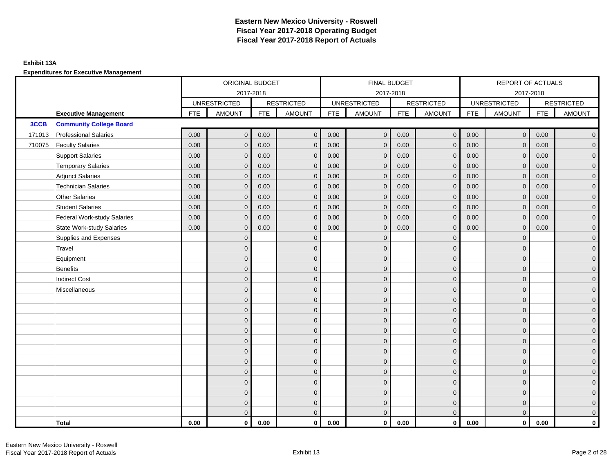### **Exhibit 13A**

|        |                                    | ORIGINAL BUDGET |                     |            |                   | FINAL BUDGET |                     |            |                   | <b>REPORT OF ACTUALS</b> |                     |            |                   |
|--------|------------------------------------|-----------------|---------------------|------------|-------------------|--------------|---------------------|------------|-------------------|--------------------------|---------------------|------------|-------------------|
|        |                                    |                 | 2017-2018           |            |                   |              | 2017-2018           |            |                   |                          |                     | 2017-2018  |                   |
|        |                                    |                 | <b>UNRESTRICTED</b> |            | <b>RESTRICTED</b> |              | <b>UNRESTRICTED</b> |            | <b>RESTRICTED</b> |                          | <b>UNRESTRICTED</b> |            | <b>RESTRICTED</b> |
|        | <b>Executive Management</b>        | <b>FTE</b>      | <b>AMOUNT</b>       | <b>FTE</b> | <b>AMOUNT</b>     | <b>FTE</b>   | <b>AMOUNT</b>       | <b>FTE</b> | <b>AMOUNT</b>     | <b>FTE</b>               | <b>AMOUNT</b>       | <b>FTE</b> | <b>AMOUNT</b>     |
| 3CCB   | <b>Community College Board</b>     |                 |                     |            |                   |              |                     |            |                   |                          |                     |            |                   |
| 171013 | <b>Professional Salaries</b>       | 0.00            | $\mathbf{0}$        | 0.00       | $\overline{0}$    | 0.00         | $\overline{0}$      | 0.00       | $\overline{0}$    | 0.00                     | $\mathbf 0$         | 0.00       | $\overline{0}$    |
| 710075 | <b>Faculty Salaries</b>            | 0.00            | $\mathbf{0}$        | 0.00       | $\mathbf{0}$      | 0.00         | $\mathbf{0}$        | 0.00       | $\mathbf{0}$      | 0.00                     | $\mathbf{0}$        | 0.00       | $\overline{0}$    |
|        | <b>Support Salaries</b>            | 0.00            | $\mathbf{0}$        | 0.00       | $\mathbf{0}$      | 0.00         | $\mathbf{0}$        | 0.00       | $\mathbf{0}$      | 0.00                     | $\mathbf 0$         | 0.00       | $\overline{0}$    |
|        | <b>Temporary Salaries</b>          | 0.00            | $\mathbf{0}$        | 0.00       | $\Omega$          | 0.00         | $\mathbf{0}$        | 0.00       | $\mathbf{0}$      | 0.00                     | $\mathbf{0}$        | 0.00       | $\overline{0}$    |
|        | <b>Adjunct Salaries</b>            | 0.00            | $\mathbf{0}$        | 0.00       | $\mathbf{0}$      | 0.00         | $\mathbf{0}$        | 0.00       | $\mathbf{0}$      | 0.00                     | $\mathbf{0}$        | 0.00       | $\mathbf 0$       |
|        | <b>Technician Salaries</b>         | 0.00            | $\mathbf{0}$        | 0.00       | $\mathbf{0}$      | 0.00         | $\mathbf{0}$        | 0.00       | $\mathbf{0}$      | 0.00                     | $\Omega$            | 0.00       | $\mathbf 0$       |
|        | <b>Other Salaries</b>              | 0.00            | $\mathbf{0}$        | 0.00       | $\Omega$          | 0.00         | $\Omega$            | 0.00       | $\mathbf{0}$      | 0.00                     | $\mathbf{0}$        | 0.00       | $\overline{0}$    |
|        | <b>Student Salaries</b>            | 0.00            | $\mathbf 0$         | 0.00       | $\mathbf{0}$      | 0.00         | $\mathbf 0$         | 0.00       | $\mathbf{0}$      | 0.00                     | $\mathbf 0$         | 0.00       | $\overline{0}$    |
|        | <b>Federal Work-study Salaries</b> | 0.00            | $\mathbf{0}$        | 0.00       | $\mathbf{0}$      | 0.00         | $\mathbf{0}$        | 0.00       | $\mathbf 0$       | 0.00                     | $\mathbf{0}$        | 0.00       | $\overline{0}$    |
|        | <b>State Work-study Salaries</b>   | 0.00            | $\mathbf{0}$        | 0.00       | $\Omega$          | 0.00         | $\mathbf{0}$        | 0.00       | $\mathbf{0}$      | 0.00                     | $\mathbf{0}$        | 0.00       | $\overline{0}$    |
|        | Supplies and Expenses              |                 | $\mathbf{0}$        |            | $\mathbf{0}$      |              | $\Omega$            |            | $\mathbf 0$       |                          | $\mathbf{0}$        |            | $\overline{0}$    |
|        | Travel                             |                 | $\mathbf{0}$        |            | $\mathbf{0}$      |              | $\Omega$            |            | $\mathbf{0}$      |                          | $\mathbf{0}$        |            | $\overline{0}$    |
|        | Equipment                          |                 | $\mathbf{0}$        |            | $\mathbf{0}$      |              | $\Omega$            |            | $\mathbf 0$       |                          | $\Omega$            |            | $\overline{0}$    |
|        | Benefits                           |                 | $\mathbf{0}$        |            | $\mathbf{0}$      |              | $\Omega$            |            | $\mathbf 0$       |                          | $\mathbf{0}$        |            | $\overline{0}$    |
|        | <b>Indirect Cost</b>               |                 | $\mathbf{0}$        |            | $\mathbf{0}$      |              | $\Omega$            |            | $\mathbf{0}$      |                          | $\mathbf{0}$        |            | $\mathbf 0$       |
|        | Miscellaneous                      |                 | $\mathbf{0}$        |            | $\mathbf{0}$      |              | $\Omega$            |            | $\mathbf{0}$      |                          | $\Omega$            |            | $\mathbf 0$       |
|        |                                    |                 | $\mathbf{0}$        |            | $\mathbf 0$       |              | $\overline{0}$      |            | $\mathbf 0$       |                          | $\mathbf{0}$        |            | $\overline{0}$    |
|        |                                    |                 | $\mathbf{0}$        |            | $\mathbf 0$       |              | $\mathbf{0}$        |            | $\mathbf 0$       |                          | $\Omega$            |            | $\overline{0}$    |
|        |                                    |                 | $\Omega$            |            | $\mathbf{0}$      |              | $\Omega$            |            | $\mathbf 0$       |                          | $\Omega$            |            | $\overline{0}$    |
|        |                                    |                 | $\mathbf{0}$        |            | $\mathbf{0}$      |              | $\Omega$            |            | $\mathbf 0$       |                          | $\mathbf{0}$        |            | $\overline{0}$    |
|        |                                    |                 | $\mathbf{0}$        |            | $\mathbf{0}$      |              | $\Omega$            |            | $\mathbf 0$       |                          | $\Omega$            |            | $\mathbf 0$       |
|        |                                    |                 | $\mathbf{0}$        |            | $\mathbf{0}$      |              | $\Omega$            |            | $\mathbf{0}$      |                          | $\Omega$            |            | $\overline{0}$    |
|        |                                    |                 | $\mathbf{0}$        |            | $\mathbf 0$       |              | $\overline{0}$      |            | $\mathbf 0$       |                          | $\mathbf{0}$        |            | $\overline{0}$    |
|        |                                    |                 | $\Omega$            |            | $\mathbf{0}$      |              | $\Omega$            |            | $\mathbf{0}$      |                          | $\mathbf{0}$        |            | $\overline{0}$    |
|        |                                    |                 | $\overline{0}$      |            | $\mathbf{0}$      |              | $\Omega$            |            | $\mathbf{0}$      |                          | $\mathbf{0}$        |            | $\mathbf 0$       |
|        |                                    |                 | $\Omega$            |            | $\mathbf{0}$      |              | $\Omega$            |            | $\mathbf{0}$      |                          | $\Omega$            |            | $\mathbf 0$       |
|        |                                    |                 | $\mathbf{0}$        |            | $\mathbf 0$       |              | $\mathbf{0}$        |            | $\mathbf{0}$      |                          | $\mathbf{0}$        |            | $\mathbf 0$       |
|        |                                    |                 | $\mathbf{0}$        |            | $\mathbf{0}$      |              | $\Omega$            |            | $\mathbf{0}$      |                          | $\Omega$            |            | $\overline{0}$    |
|        | Total                              | 0.00            | $\mathbf 0$         | 0.00       | $\mathbf 0$       | 0.00         | $\mathbf{0}$        | 0.00       | $\overline{0}$    | 0.00                     | $\mathbf 0$         | 0.00       | $\mathbf 0$       |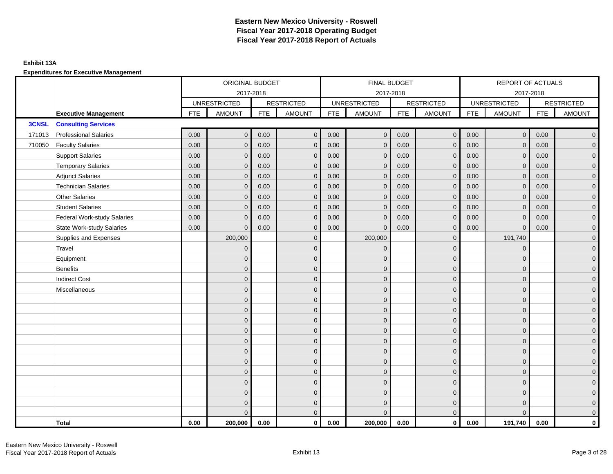### **Exhibit 13A**

|              |                                    |            | ORIGINAL BUDGET     |            |                   |            | FINAL BUDGET        |            |                   |            | REPORT OF ACTUALS   |            |                     |
|--------------|------------------------------------|------------|---------------------|------------|-------------------|------------|---------------------|------------|-------------------|------------|---------------------|------------|---------------------|
|              |                                    |            |                     | 2017-2018  |                   |            | 2017-2018           |            |                   |            | 2017-2018           |            |                     |
|              |                                    |            | <b>UNRESTRICTED</b> |            | <b>RESTRICTED</b> |            | <b>UNRESTRICTED</b> |            | <b>RESTRICTED</b> |            | <b>UNRESTRICTED</b> |            | <b>RESTRICTED</b>   |
|              | <b>Executive Management</b>        | <b>FTE</b> | <b>AMOUNT</b>       | <b>FTE</b> | <b>AMOUNT</b>     | <b>FTE</b> | AMOUNT              | <b>FTE</b> | <b>AMOUNT</b>     | <b>FTE</b> | <b>AMOUNT</b>       | <b>FTE</b> | <b>AMOUNT</b>       |
| <b>3CNSL</b> | <b>Consulting Services</b>         |            |                     |            |                   |            |                     |            |                   |            |                     |            |                     |
| 171013       | <b>Professional Salaries</b>       | 0.00       | $\mathbf{0}$        | 0.00       | $\mathbf{0}$      | 0.00       | $\overline{0}$      | 0.00       | $\overline{0}$    | 0.00       | $\overline{0}$      | 0.00       | $\overline{0}$      |
| 710050       | <b>Faculty Salaries</b>            | 0.00       | $\mathbf{0}$        | 0.00       | $\mathbf{0}$      | 0.00       | $\mathbf{0}$        | 0.00       | $\mathbf{0}$      | 0.00       | $\overline{0}$      | 0.00       | $\overline{0}$      |
|              | <b>Support Salaries</b>            | 0.00       | $\mathbf{0}$        | 0.00       | $\mathbf{0}$      | 0.00       | $\overline{0}$      | 0.00       | $\mathbf 0$       | 0.00       | $\overline{0}$      | 0.00       | $\overline{0}$      |
|              | <b>Temporary Salaries</b>          | 0.00       | $\mathbf 0$         | 0.00       | $\mathbf 0$       | 0.00       | $\mathbf 0$         | 0.00       | $\mathbf 0$       | 0.00       | $\mathbf{0}$        | 0.00       | $\mathbf{0}$        |
|              | <b>Adjunct Salaries</b>            | 0.00       | $\mathbf{0}$        | 0.00       | $\mathbf{0}$      | 0.00       | $\mathbf{0}$        | 0.00       | $\mathbf 0$       | 0.00       | $\mathbf{0}$        | 0.00       | $\mathbf{0}$        |
|              | <b>Technician Salaries</b>         | 0.00       | $\mathbf{0}$        | 0.00       | $\mathbf 0$       | 0.00       | $\mathbf{0}$        | 0.00       | $\mathbf{0}$      | 0.00       | $\mathbf{0}$        | 0.00       | $\mathbf{0}$        |
|              | <b>Other Salaries</b>              | 0.00       | $\mathbf{0}$        | 0.00       | $\Omega$          | 0.00       | $\Omega$            | 0.00       | $\mathbf{0}$      | 0.00       | $\overline{0}$      | 0.00       | $\overline{0}$      |
|              | <b>Student Salaries</b>            | 0.00       | $\mathbf 0$         | 0.00       | $\mathbf 0$       | 0.00       | $\overline{0}$      | 0.00       | $\mathbf 0$       | 0.00       | $\mathbf 0$         | 0.00       | $\overline{0}$      |
|              | <b>Federal Work-study Salaries</b> | 0.00       | $\mathbf{0}$        | 0.00       | $\mathbf 0$       | 0.00       | $\mathbf{0}$        | 0.00       | $\mathbf 0$       | 0.00       | $\mathbf 0$         | 0.00       | $\overline{0}$      |
|              | <b>State Work-study Salaries</b>   | 0.00       | $\mathbf{0}$        | 0.00       | $\mathbf{0}$      | 0.00       | $\mathbf{0}$        | 0.00       | $\mathbf{0}$      | 0.00       | $\mathbf{0}$        | 0.00       | $\overline{0}$      |
|              | Supplies and Expenses              |            | 200,000             |            | $\mathbf 0$       |            | 200,000             |            | $\mathbf{0}$      |            | 191,740             |            | $\mathsf{O}\xspace$ |
|              | Travel                             |            | $\overline{0}$      |            | $\mathbf{0}$      |            | $\mathbf{0}$        |            | $\mathbf{0}$      |            | $\mathbf{0}$        |            | $\overline{0}$      |
|              | Equipment                          |            | $\mathbf{0}$        |            | $\mathbf 0$       |            | $\mathbf{0}$        |            | $\mathbf 0$       |            | $\mathbf 0$         |            | $\overline{0}$      |
|              | <b>Benefits</b>                    |            | $\mathbf{0}$        |            | $\mathbf{0}$      |            | $\Omega$            |            | $\mathbf 0$       |            | $\mathbf{0}$        |            | $\overline{0}$      |
|              | <b>Indirect Cost</b>               |            | $\Omega$            |            | $\mathbf{0}$      |            | $\Omega$            |            | $\mathbf{0}$      |            | $\Omega$            |            | $\overline{0}$      |
|              | Miscellaneous                      |            | $\Omega$            |            | $\mathbf{0}$      |            | $\Omega$            |            | $\mathbf{0}$      |            | $\Omega$            |            | $\mathsf{O}\xspace$ |
|              |                                    |            | $\overline{0}$      |            | $\mathbf 0$       |            | $\mathbf{0}$        |            | $\mathbf 0$       |            | $\mathbf{0}$        |            | $\mathbf{0}$        |
|              |                                    |            | $\overline{0}$      |            | $\mathbf 0$       |            | $\mathbf{0}$        |            | $\mathbf 0$       |            | $\mathbf{0}$        |            | $\overline{0}$      |
|              |                                    |            | $\overline{0}$      |            | $\mathbf{0}$      |            | $\Omega$            |            | $\mathbf 0$       |            | $\mathbf{0}$        |            | $\overline{0}$      |
|              |                                    |            | $\Omega$            |            | $\mathbf{0}$      |            | $\Omega$            |            | $\mathbf{0}$      |            | $\Omega$            |            | $\overline{0}$      |
|              |                                    |            | $\mathbf{0}$        |            | $\mathbf 0$       |            | $\mathbf{0}$        |            | $\mathbf 0$       |            | $\mathbf 0$         |            | $\mathsf{O}\xspace$ |
|              |                                    |            | $\mathbf{0}$        |            | $\mathbf 0$       |            | $\mathbf{0}$        |            | $\mathbf 0$       |            | $\mathbf{0}$        |            | $\mathbf{0}$        |
|              |                                    |            | $\mathbf{0}$        |            | $\mathbf{0}$      |            | $\mathbf{0}$        |            | $\mathbf 0$       |            | $\mathbf{0}$        |            | $\overline{0}$      |
|              |                                    |            | $\Omega$            |            | $\mathbf{0}$      |            | $\Omega$            |            | $\mathbf{0}$      |            | $\mathbf 0$         |            | $\overline{0}$      |
|              |                                    |            | $\overline{0}$      |            | $\mathbf 0$       |            | $\mathbf{0}$        |            | $\mathbf 0$       |            | $\mathbf 0$         |            | $\mathbf{0}$        |
|              |                                    |            | $\overline{0}$      |            | $\mathbf 0$       |            | $\mathbf{0}$        |            | $\mathbf 0$       |            | $\mathbf 0$         |            | $\overline{0}$      |
|              |                                    |            | 0                   |            | $\mathbf 0$       |            | $\Omega$            |            | $\mathbf 0$       |            | $\mathbf 0$         |            | $\mathbf{0}$        |
|              |                                    |            | $\Omega$            |            | $\mathbf{0}$      |            | $\Omega$            |            | $\overline{0}$    |            | $\Omega$            |            | $\overline{0}$      |
|              | <b>Total</b>                       | 0.00       | 200,000             | 0.00       | $\mathbf{0}$      | 0.00       | 200,000             | 0.00       | $\mathbf{0}$      | 0.00       | 191,740             | 0.00       | $\mathbf 0$         |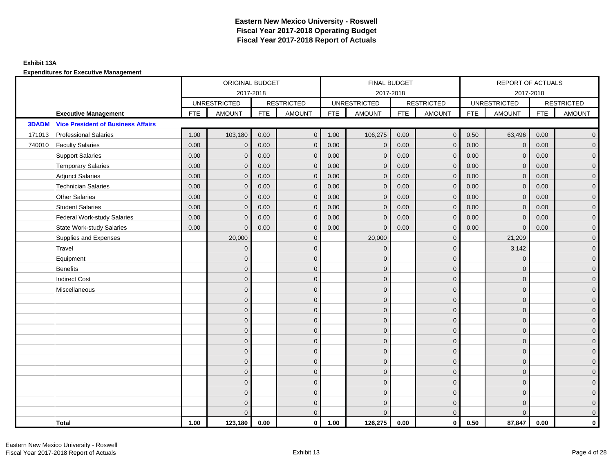### **Exhibit 13A**

|              |                                           | ORIGINAL BUDGET |                     |            |                   |            | FINAL BUDGET        |            |                   |            | <b>REPORT OF ACTUALS</b> |            |                     |
|--------------|-------------------------------------------|-----------------|---------------------|------------|-------------------|------------|---------------------|------------|-------------------|------------|--------------------------|------------|---------------------|
|              |                                           |                 | 2017-2018           |            |                   |            | 2017-2018           |            |                   |            | 2017-2018                |            |                     |
|              |                                           |                 | <b>UNRESTRICTED</b> |            | <b>RESTRICTED</b> |            | <b>UNRESTRICTED</b> |            | <b>RESTRICTED</b> |            | <b>UNRESTRICTED</b>      |            | <b>RESTRICTED</b>   |
|              | <b>Executive Management</b>               | <b>FTE</b>      | <b>AMOUNT</b>       | <b>FTE</b> | <b>AMOUNT</b>     | <b>FTE</b> | <b>AMOUNT</b>       | <b>FTE</b> | <b>AMOUNT</b>     | <b>FTE</b> | <b>AMOUNT</b>            | <b>FTE</b> | <b>AMOUNT</b>       |
| <b>3DADM</b> | <b>Vice President of Business Affairs</b> |                 |                     |            |                   |            |                     |            |                   |            |                          |            |                     |
| 171013       | <b>Professional Salaries</b>              | 1.00            | 103,180             | 0.00       | $\mathbf{0}$      | 1.00       | 106,275             | 0.00       | $\overline{0}$    | 0.50       | 63,496                   | 0.00       | $\overline{0}$      |
| 740010       | <b>Faculty Salaries</b>                   | 0.00            | $\mathbf 0$         | 0.00       | $\mathbf{0}$      | 0.00       | $\mathbf{0}$        | 0.00       | $\mathbf{0}$      | 0.00       | $\mathbf 0$              | 0.00       | $\mathsf{O}\xspace$ |
|              | <b>Support Salaries</b>                   | 0.00            | $\mathbf 0$         | 0.00       | $\mathbf{0}$      | 0.00       | $\mathbf{0}$        | 0.00       | $\mathbf 0$       | 0.00       | $\mathbf 0$              | 0.00       | $\overline{0}$      |
|              | <b>Temporary Salaries</b>                 | 0.00            | $\mathbf{0}$        | 0.00       | $\Omega$          | 0.00       | $\mathbf{0}$        | 0.00       | $\mathbf 0$       | 0.00       | $\mathbf 0$              | 0.00       | $\overline{0}$      |
|              | <b>Adjunct Salaries</b>                   | 0.00            | $\Omega$            | 0.00       | $\Omega$          | 0.00       | $\mathbf{0}$        | 0.00       | $\mathbf{0}$      | 0.00       | $\Omega$                 | 0.00       | $\overline{0}$      |
|              | <b>Technician Salaries</b>                | 0.00            | $\mathbf{0}$        | 0.00       | $\mathbf{0}$      | 0.00       | $\mathbf{0}$        | 0.00       | $\mathbf{0}$      | 0.00       | $\mathbf 0$              | 0.00       | $\mathbf{0}$        |
|              | <b>Other Salaries</b>                     | 0.00            | $\mathbf{0}$        | 0.00       | $\Omega$          | 0.00       | $\Omega$            | 0.00       | $\mathbf{0}$      | 0.00       | $\mathbf{0}$             | 0.00       | $\overline{0}$      |
|              | <b>Student Salaries</b>                   | 0.00            | $\mathbf{0}$        | 0.00       | $\mathbf{0}$      | 0.00       | $\mathbf{0}$        | 0.00       | $\mathbf 0$       | 0.00       | $\mathbf{0}$             | 0.00       | $\overline{0}$      |
|              | <b>Federal Work-study Salaries</b>        | 0.00            | $\mathbf{0}$        | 0.00       | $\mathbf{0}$      | 0.00       | $\mathbf{0}$        | 0.00       | $\mathbf 0$       | 0.00       | $\mathbf 0$              | 0.00       | $\mathbf{0}$        |
|              | <b>State Work-study Salaries</b>          | 0.00            | $\mathbf{0}$        | 0.00       | $\mathbf{0}$      | 0.00       | $\mathbf{0}$        | 0.00       | $\mathbf{0}$      | 0.00       | $\mathbf 0$              | 0.00       | $\overline{0}$      |
|              | Supplies and Expenses                     |                 | 20,000              |            | $\mathbf{0}$      |            | 20,000              |            | $\mathbf{0}$      |            | 21,209                   |            | $\mathsf{O}\xspace$ |
|              | Travel                                    |                 | $\mathbf{0}$        |            | $\mathbf{0}$      |            | $\Omega$            |            | $\mathbf{0}$      |            | 3,142                    |            | $\overline{0}$      |
|              | Equipment                                 |                 | $\mathbf{0}$        |            | $\mathbf 0$       |            | $\mathbf{0}$        |            | $\mathbf 0$       |            | $\mathbf 0$              |            | $\overline{0}$      |
|              | <b>Benefits</b>                           |                 | $\Omega$            |            | $\mathbf{0}$      |            | $\Omega$            |            | $\mathbf 0$       |            | $\mathbf 0$              |            | $\overline{0}$      |
|              | <b>Indirect Cost</b>                      |                 | $\Omega$            |            | $\mathbf{0}$      |            | $\Omega$            |            | $\mathbf{0}$      |            | $\Omega$                 |            | $\overline{0}$      |
|              | Miscellaneous                             |                 | $\mathbf{0}$        |            | $\mathbf 0$       |            | $\mathbf{0}$        |            | $\mathbf 0$       |            | $\mathbf 0$              |            | $\mathsf{O}\xspace$ |
|              |                                           |                 | $\mathbf{0}$        |            | $\mathbf 0$       |            | $\mathbf{0}$        |            | $\mathbf 0$       |            | $\Omega$                 |            | $\overline{0}$      |
|              |                                           |                 | $\Omega$            |            | $\mathbf 0$       |            | $\Omega$            |            | $\mathbf 0$       |            | $\Omega$                 |            | $\overline{0}$      |
|              |                                           |                 | $\Omega$            |            | $\mathbf 0$       |            | $\Omega$            |            | $\mathbf 0$       |            | $\mathbf 0$              |            | $\mathbf{0}$        |
|              |                                           |                 | $\Omega$            |            | $\mathbf{0}$      |            | $\Omega$            |            | $\mathbf 0$       |            | $\Omega$                 |            | $\mathbf{0}$        |
|              |                                           |                 | $\Omega$            |            | $\mathbf{0}$      |            | $\Omega$            |            | $\mathbf{0}$      |            | $\Omega$                 |            | $\mathsf{O}\xspace$ |
|              |                                           |                 | $\Omega$            |            | $\mathbf{0}$      |            | $\Omega$            |            | $\mathbf{0}$      |            | $\Omega$                 |            | $\overline{0}$      |
|              |                                           |                 | $\mathbf{0}$        |            | $\mathbf 0$       |            | $\mathbf{0}$        |            | $\mathbf 0$       |            | $\mathbf 0$              |            | $\overline{0}$      |
|              |                                           |                 | $\Omega$            |            | $\mathbf{0}$      |            | $\Omega$            |            | $\mathbf 0$       |            | $\mathbf 0$              |            | $\overline{0}$      |
|              |                                           |                 | $\Omega$            |            | $\mathbf{0}$      |            | $\Omega$            |            | $\mathbf{0}$      |            | $\Omega$                 |            | $\overline{0}$      |
|              |                                           |                 | $\mathbf{0}$        |            | $\mathbf 0$       |            | $\mathbf{0}$        |            | $\mathbf 0$       |            | $\mathbf 0$              |            | $\mathbf{0}$        |
|              |                                           |                 | $\mathbf{0}$        |            | $\mathbf 0$       |            | $\mathbf{0}$        |            | $\mathbf 0$       |            | $\mathbf 0$              |            | $\mathbf{0}$        |
|              |                                           |                 | $\Omega$            |            | $\mathbf{0}$      |            | $\Omega$            |            | $\mathbf{0}$      |            | $\Omega$                 |            | $\overline{0}$      |
|              | <b>Total</b>                              | 1.00            | 123,180             | 0.00       | $\mathbf{0}$      | 1.00       | 126,275             | 0.00       | $\mathbf{0}$      | 0.50       | 87,847                   | 0.00       | $\mathbf{0}$        |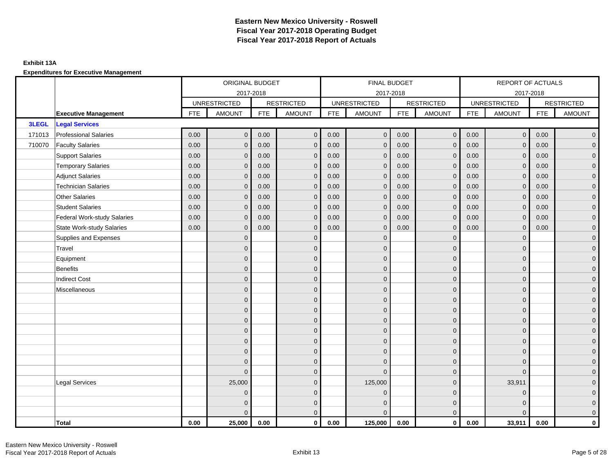### **Exhibit 13A**

|        |                                  | ORIGINAL BUDGET |                     |            |                   | FINAL BUDGET |                     |            |                     | <b>REPORT OF ACTUALS</b> |                     |            |                     |
|--------|----------------------------------|-----------------|---------------------|------------|-------------------|--------------|---------------------|------------|---------------------|--------------------------|---------------------|------------|---------------------|
|        |                                  |                 | 2017-2018           |            |                   |              | 2017-2018           |            |                     |                          | 2017-2018           |            |                     |
|        |                                  |                 | <b>UNRESTRICTED</b> |            | <b>RESTRICTED</b> |              | <b>UNRESTRICTED</b> |            | <b>RESTRICTED</b>   |                          | <b>UNRESTRICTED</b> |            | <b>RESTRICTED</b>   |
|        | <b>Executive Management</b>      | <b>FTE</b>      | <b>AMOUNT</b>       | <b>FTE</b> | <b>AMOUNT</b>     | <b>FTE</b>   | <b>AMOUNT</b>       | <b>FTE</b> | <b>AMOUNT</b>       | <b>FTE</b>               | <b>AMOUNT</b>       | <b>FTE</b> | <b>AMOUNT</b>       |
| 3LEGL  | <b>Legal Services</b>            |                 |                     |            |                   |              |                     |            |                     |                          |                     |            |                     |
| 171013 | <b>Professional Salaries</b>     | 0.00            | $\mathbf{0}$        | 0.00       | $\mathbf{0}$      | 0.00         | $\overline{0}$      | 0.00       | $\overline{0}$      | 0.00                     | $\overline{0}$      | 0.00       | $\overline{0}$      |
| 710070 | <b>Faculty Salaries</b>          | 0.00            | $\mathbf{0}$        | 0.00       | $\mathbf{0}$      | 0.00         | $\mathbf{0}$        | 0.00       | $\mathbf{0}$        | 0.00                     | $\mathbf 0$         | 0.00       | $\overline{0}$      |
|        | <b>Support Salaries</b>          | 0.00            | $\mathbf{0}$        | 0.00       | $\mathbf{0}$      | 0.00         | $\overline{0}$      | 0.00       | $\mathbf{0}$        | 0.00                     | $\overline{0}$      | 0.00       | $\overline{0}$      |
|        | <b>Temporary Salaries</b>        | 0.00            | $\mathbf{0}$        | 0.00       | $\Omega$          | 0.00         | $\mathbf{0}$        | 0.00       | $\mathbf{0}$        | 0.00                     | $\mathbf 0$         | 0.00       | $\overline{0}$      |
|        | <b>Adjunct Salaries</b>          | 0.00            | $\mathbf{0}$        | 0.00       | $\mathbf 0$       | 0.00         | $\overline{0}$      | 0.00       | $\mathbf 0$         | 0.00                     | $\mathbf{0}$        | 0.00       | $\mathbf{0}$        |
|        | <b>Technician Salaries</b>       | 0.00            | $\mathbf{0}$        | 0.00       | $\Omega$          | 0.00         | $\mathbf{0}$        | 0.00       | $\mathbf{0}$        | 0.00                     | $\mathbf{0}$        | 0.00       | $\mathbf{0}$        |
|        | <b>Other Salaries</b>            | 0.00            | $\Omega$            | 0.00       | $\Omega$          | 0.00         | $\Omega$            | 0.00       | $\mathbf{0}$        | 0.00                     | $\mathbf{0}$        | 0.00       | $\overline{0}$      |
|        | <b>Student Salaries</b>          | 0.00            | $\mathbf{0}$        | 0.00       | $\mathbf 0$       | 0.00         | $\overline{0}$      | 0.00       | $\mathbf 0$         | 0.00                     | $\mathbf 0$         | 0.00       | $\overline{0}$      |
|        | Federal Work-study Salaries      | 0.00            | $\mathbf{0}$        | 0.00       | $\mathbf{0}$      | 0.00         | $\mathbf{0}$        | 0.00       | $\mathbf 0$         | 0.00                     | $\mathbf 0$         | 0.00       | $\overline{0}$      |
|        | <b>State Work-study Salaries</b> | 0.00            | $\mathbf{0}$        | 0.00       | $\Omega$          | 0.00         | $\mathbf{0}$        | 0.00       | $\mathbf{0}$        | 0.00                     | $\mathbf{0}$        | 0.00       | $\overline{0}$      |
|        | Supplies and Expenses            |                 | $\mathbf{0}$        |            | $\mathbf{0}$      |              | $\mathbf{0}$        |            | $\mathbf 0$         |                          | $\mathbf 0$         |            | $\pmb{0}$           |
|        | Travel                           |                 | $\mathbf{0}$        |            | $\mathbf{0}$      |              | $\mathbf{0}$        |            | $\mathbf 0$         |                          | $\mathbf{0}$        |            | $\mathbf{0}$        |
|        | Equipment                        |                 | $\mathbf{0}$        |            | $\mathbf{0}$      |              | $\mathbf{0}$        |            | $\mathbf 0$         |                          | $\mathbf{0}$        |            | $\overline{0}$      |
|        | <b>Benefits</b>                  |                 | $\mathbf{0}$        |            | $\mathbf{0}$      |              | $\mathbf{0}$        |            | $\mathbf 0$         |                          | $\mathbf 0$         |            | $\mathbf{0}$        |
|        | <b>Indirect Cost</b>             |                 | $\mathbf{0}$        |            | $\mathbf{0}$      |              | $\Omega$            |            | $\mathbf 0$         |                          | $\mathbf 0$         |            | $\mathbf{0}$        |
|        | Miscellaneous                    |                 | $\Omega$            |            | $\mathbf{0}$      |              | $\mathbf{0}$        |            | $\mathbf 0$         |                          | $\mathbf 0$         |            | $\overline{0}$      |
|        |                                  |                 | $\overline{0}$      |            | $\mathbf 0$       |              | $\mathbf{0}$        |            | $\mathbf 0$         |                          | $\mathbf 0$         |            | $\mathsf{O}\xspace$ |
|        |                                  |                 | $\overline{0}$      |            | $\mathbf 0$       |              | $\mathbf{0}$        |            | $\mathbf 0$         |                          | $\mathbf{0}$        |            | $\overline{0}$      |
|        |                                  |                 | $\Omega$            |            | $\mathbf{0}$      |              | $\Omega$            |            | $\mathbf 0$         |                          | $\Omega$            |            | $\overline{0}$      |
|        |                                  |                 | $\mathbf{0}$        |            | $\mathbf{0}$      |              | $\mathbf{0}$        |            | $\mathbf 0$         |                          | $\mathbf 0$         |            | $\mathbf{0}$        |
|        |                                  |                 | $\mathbf{0}$        |            | $\mathbf{0}$      |              | $\mathbf{0}$        |            | $\mathbf 0$         |                          | $\mathbf 0$         |            | $\mathsf{O}\xspace$ |
|        |                                  |                 | $\overline{0}$      |            | $\mathbf{0}$      |              | $\Omega$            |            | $\mathbf 0$         |                          | $\Omega$            |            | $\overline{0}$      |
|        |                                  |                 | $\overline{0}$      |            | $\mathbf 0$       |              | $\mathbf{0}$        |            | $\mathsf{O}\xspace$ |                          | $\mathbf 0$         |            | $\overline{0}$      |
|        |                                  |                 | $\Omega$            |            | $\mathbf{0}$      |              | $\Omega$            |            | $\mathbf 0$         |                          | $\Omega$            |            | $\overline{0}$      |
|        | <b>Legal Services</b>            |                 | 25,000              |            | $\mathbf{0}$      |              | 125,000             |            | $\mathbf{0}$        |                          | 33,911              |            | $\mathbf{0}$        |
|        |                                  |                 | $\Omega$            |            | $\mathbf{0}$      |              | $\Omega$            |            | $\mathbf{0}$        |                          | $\mathbf 0$         |            | $\pmb{0}$           |
|        |                                  |                 | $\overline{0}$      |            | $\mathbf 0$       |              | $\mathbf{0}$        |            | $\mathbf 0$         |                          | $\mathbf 0$         |            | $\mathbf{0}$        |
|        |                                  |                 | $\Omega$            |            | $\mathbf{0}$      |              | $\Omega$            |            | $\mathbf{0}$        |                          | $\Omega$            |            | $\overline{0}$      |
|        | Total                            | 0.00            | 25,000              | 0.00       | $\mathbf{0}$      | 0.00         | 125,000             | 0.00       | $\overline{0}$      | 0.00                     | 33,911              | 0.00       | $\mathbf 0$         |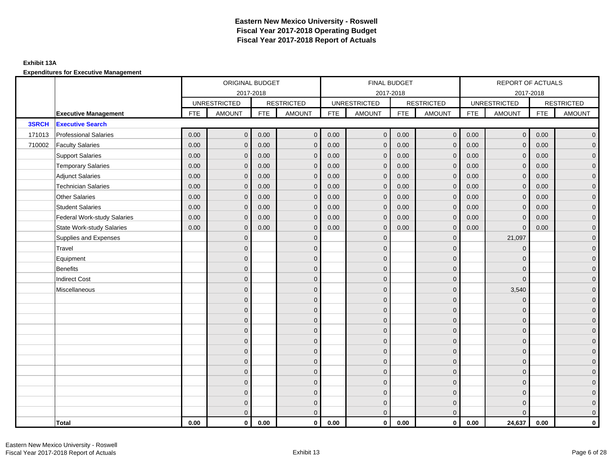### **Exhibit 13A**

|              |                                    | ORIGINAL BUDGET |                     |            |                   |            | FINAL BUDGET        |            |                   |            | REPORT OF ACTUALS   |            |                     |
|--------------|------------------------------------|-----------------|---------------------|------------|-------------------|------------|---------------------|------------|-------------------|------------|---------------------|------------|---------------------|
|              |                                    |                 | 2017-2018           |            |                   |            | 2017-2018           |            |                   |            | 2017-2018           |            |                     |
|              |                                    |                 | <b>UNRESTRICTED</b> |            | <b>RESTRICTED</b> |            | <b>UNRESTRICTED</b> |            | <b>RESTRICTED</b> |            | <b>UNRESTRICTED</b> |            | <b>RESTRICTED</b>   |
|              | <b>Executive Management</b>        | <b>FTE</b>      | <b>AMOUNT</b>       | <b>FTE</b> | AMOUNT            | <b>FTE</b> | <b>AMOUNT</b>       | <b>FTE</b> | <b>AMOUNT</b>     | <b>FTE</b> | <b>AMOUNT</b>       | <b>FTE</b> | <b>AMOUNT</b>       |
| <b>3SRCH</b> | <b>Executive Search</b>            |                 |                     |            |                   |            |                     |            |                   |            |                     |            |                     |
| 171013       | <b>Professional Salaries</b>       | 0.00            | $\mathbf{0}$        | 0.00       | $\mathbf{0}$      | 0.00       | $\overline{0}$      | 0.00       | $\overline{0}$    | 0.00       | $\overline{0}$      | 0.00       | $\overline{0}$      |
| 710002       | <b>Faculty Salaries</b>            | 0.00            | $\mathbf{0}$        | 0.00       | $\Omega$          | 0.00       | $\mathbf{0}$        | 0.00       | $\mathbf{0}$      | 0.00       | $\mathbf{0}$        | 0.00       | $\overline{0}$      |
|              | <b>Support Salaries</b>            | 0.00            | $\mathbf{0}$        | 0.00       | $\mathbf{0}$      | 0.00       | $\overline{0}$      | 0.00       | $\mathbf 0$       | 0.00       | $\overline{0}$      | 0.00       | $\overline{0}$      |
|              | <b>Temporary Salaries</b>          | 0.00            | $\mathbf{0}$        | 0.00       | $\mathbf{0}$      | 0.00       | $\mathbf 0$         | 0.00       | $\mathbf 0$       | 0.00       | $\mathbf 0$         | 0.00       | $\mathbf{0}$        |
|              | <b>Adjunct Salaries</b>            | 0.00            | $\mathbf{0}$        | 0.00       | $\mathbf 0$       | 0.00       | $\overline{0}$      | 0.00       | $\mathbf 0$       | 0.00       | $\mathbf{0}$        | 0.00       | $\mathbf{0}$        |
|              | <b>Technician Salaries</b>         | 0.00            | $\mathbf{0}$        | 0.00       | $\Omega$          | 0.00       | $\mathbf{0}$        | 0.00       | $\mathbf{0}$      | 0.00       | $\mathbf{0}$        | 0.00       | $\mathbf{0}$        |
|              | <b>Other Salaries</b>              | 0.00            | $\mathbf{0}$        | 0.00       | $\Omega$          | 0.00       | $\Omega$            | 0.00       | $\mathbf{0}$      | 0.00       | $\mathbf{0}$        | 0.00       | $\overline{0}$      |
|              | <b>Student Salaries</b>            | 0.00            | $\mathbf 0$         | 0.00       | $\mathbf{0}$      | 0.00       | $\overline{0}$      | 0.00       | $\mathbf 0$       | 0.00       | $\mathbf 0$         | 0.00       | $\overline{0}$      |
|              | <b>Federal Work-study Salaries</b> | 0.00            | $\mathbf{0}$        | 0.00       | $\mathbf{0}$      | 0.00       | $\mathbf{0}$        | 0.00       | $\mathbf 0$       | 0.00       | $\mathbf 0$         | 0.00       | $\overline{0}$      |
|              | <b>State Work-study Salaries</b>   | 0.00            | $\mathbf{0}$        | 0.00       | $\mathbf 0$       | 0.00       | $\mathbf{0}$        | 0.00       | $\mathbf{0}$      | 0.00       | $\mathbf{0}$        | 0.00       | $\overline{0}$      |
|              | Supplies and Expenses              |                 | $\Omega$            |            | $\mathbf{0}$      |            | $\mathbf{0}$        |            | $\mathbf{0}$      |            | 21,097              |            | $\mathsf{O}\xspace$ |
|              | Travel                             |                 | $\Omega$            |            | $\mathbf{0}$      |            | $\Omega$            |            | $\mathbf{0}$      |            | $\mathbf 0$         |            | $\overline{0}$      |
|              | Equipment                          |                 | $\mathbf{0}$        |            | $\mathbf 0$       |            | $\mathbf{0}$        |            | $\mathbf 0$       |            | $\mathbf{0}$        |            | $\overline{0}$      |
|              | <b>Benefits</b>                    |                 | $\Omega$            |            | $\mathbf{0}$      |            | $\Omega$            |            | $\mathbf 0$       |            | $\mathbf 0$         |            | $\overline{0}$      |
|              | <b>Indirect Cost</b>               |                 | $\Omega$            |            | $\mathbf{0}$      |            | $\Omega$            |            | $\mathbf 0$       |            | $\Omega$            |            | $\overline{0}$      |
|              | Miscellaneous                      |                 | $\Omega$            |            | $\mathbf{0}$      |            | $\Omega$            |            | $\mathbf{0}$      |            | 3,540               |            | $\overline{0}$      |
|              |                                    |                 | $\mathbf{0}$        |            | $\mathbf 0$       |            | $\mathbf{0}$        |            | $\mathbf 0$       |            | $\mathbf 0$         |            | $\overline{0}$      |
|              |                                    |                 | $\mathbf{0}$        |            | $\mathbf 0$       |            | $\mathbf{0}$        |            | $\mathbf 0$       |            | $\mathbf 0$         |            | $\overline{0}$      |
|              |                                    |                 | $\Omega$            |            | $\mathbf{0}$      |            | $\Omega$            |            | $\mathbf 0$       |            | $\mathbf{0}$        |            | $\overline{0}$      |
|              |                                    |                 | $\Omega$            |            | $\mathbf{0}$      |            | $\Omega$            |            | $\mathbf{0}$      |            | $\Omega$            |            | $\overline{0}$      |
|              |                                    |                 | $\mathbf{0}$        |            | $\mathbf{0}$      |            | $\mathbf{0}$        |            | $\mathbf 0$       |            | $\mathbf 0$         |            | $\mathsf{O}\xspace$ |
|              |                                    |                 | $\overline{0}$      |            | $\mathbf{0}$      |            | $\mathbf{0}$        |            | $\mathbf 0$       |            | $\mathbf{0}$        |            | $\overline{0}$      |
|              |                                    |                 | $\mathbf{0}$        |            | $\mathbf{0}$      |            | $\mathbf{0}$        |            | $\mathbf 0$       |            | $\mathbf 0$         |            | $\overline{0}$      |
|              |                                    |                 | $\Omega$            |            | $\mathbf{0}$      |            | $\Omega$            |            | $\mathbf{0}$      |            | $\mathbf 0$         |            | $\overline{0}$      |
|              |                                    |                 | $\overline{0}$      |            | $\mathbf 0$       |            | $\mathbf{0}$        |            | $\mathbf 0$       |            | $\mathbf 0$         |            | $\mathbf{0}$        |
|              |                                    |                 | $\mathbf{0}$        |            | $\mathbf 0$       |            | $\mathbf{0}$        |            | $\mathbf 0$       |            | $\mathbf 0$         |            | $\mathbf{0}$        |
|              |                                    |                 | $\mathbf{0}$        |            | $\mathbf 0$       |            | $\mathbf{0}$        |            | $\mathbf 0$       |            | $\mathbf 0$         |            | $\mathbf{0}$        |
|              |                                    |                 | $\Omega$            |            | $\mathbf{0}$      |            | $\Omega$            |            | $\mathbf{0}$      |            | $\Omega$            |            | $\overline{0}$      |
|              | Total                              | 0.00            | $\mathbf{0}$        | 0.00       | $\mathbf{0}$      | 0.00       | $\mathbf{0}$        | 0.00       | $\mathbf{0}$      | 0.00       | 24,637              | 0.00       | $\mathbf 0$         |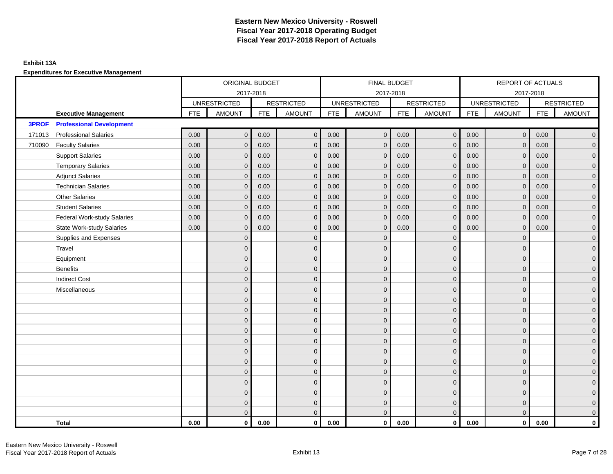### **Exhibit 13A**

|              |                                    | ORIGINAL BUDGET |                     |            |                   |            | FINAL BUDGET        |            |                     |            | REPORT OF ACTUALS   |            |                     |
|--------------|------------------------------------|-----------------|---------------------|------------|-------------------|------------|---------------------|------------|---------------------|------------|---------------------|------------|---------------------|
|              |                                    |                 | 2017-2018           |            |                   |            | 2017-2018           |            |                     |            | 2017-2018           |            |                     |
|              |                                    |                 | <b>UNRESTRICTED</b> |            | <b>RESTRICTED</b> |            | <b>UNRESTRICTED</b> |            | <b>RESTRICTED</b>   |            | <b>UNRESTRICTED</b> |            | <b>RESTRICTED</b>   |
|              | <b>Executive Management</b>        | <b>FTE</b>      | <b>AMOUNT</b>       | <b>FTE</b> | <b>AMOUNT</b>     | <b>FTE</b> | <b>AMOUNT</b>       | <b>FTE</b> | <b>AMOUNT</b>       | <b>FTE</b> | <b>AMOUNT</b>       | <b>FTE</b> | <b>AMOUNT</b>       |
| <b>3PROF</b> | <b>Professional Development</b>    |                 |                     |            |                   |            |                     |            |                     |            |                     |            |                     |
| 171013       | <b>Professional Salaries</b>       | 0.00            | $\mathbf{0}$        | 0.00       | $\mathbf{0}$      | 0.00       | $\overline{0}$      | 0.00       | $\overline{0}$      | 0.00       | $\overline{0}$      | 0.00       | $\overline{0}$      |
| 710090       | <b>Faculty Salaries</b>            | 0.00            | $\mathbf 0$         | 0.00       | $\mathbf{0}$      | 0.00       | $\mathbf{0}$        | 0.00       | $\mathbf 0$         | 0.00       | $\mathbf 0$         | 0.00       | $\overline{0}$      |
|              | <b>Support Salaries</b>            | 0.00            | $\mathbf{0}$        | 0.00       | $\mathbf{0}$      | 0.00       | $\overline{0}$      | 0.00       | $\mathbf 0$         | 0.00       | $\overline{0}$      | 0.00       | $\overline{0}$      |
|              | <b>Temporary Salaries</b>          | 0.00            | $\mathbf{0}$        | 0.00       | $\mathbf 0$       | 0.00       | $\mathbf{0}$        | 0.00       | $\mathbf 0$         | 0.00       | $\mathbf 0$         | 0.00       | $\overline{0}$      |
|              | <b>Adjunct Salaries</b>            | 0.00            | $\Omega$            | 0.00       | $\Omega$          | 0.00       | $\Omega$            | 0.00       | $\mathbf{0}$        | 0.00       | $\mathbf{0}$        | 0.00       | $\overline{0}$      |
|              | <b>Technician Salaries</b>         | 0.00            | $\mathbf{0}$        | 0.00       | $\mathbf{0}$      | 0.00       | $\mathbf{0}$        | 0.00       | $\mathbf{0}$        | 0.00       | $\mathbf{0}$        | 0.00       | $\mathbf{0}$        |
|              | <b>Other Salaries</b>              | 0.00            | $\mathbf{0}$        | 0.00       | $\mathbf{0}$      | 0.00       | $\mathbf{0}$        | 0.00       | $\mathbf{0}$        | 0.00       | $\mathbf{0}$        | 0.00       | $\overline{0}$      |
|              | <b>Student Salaries</b>            | 0.00            | $\mathbf{0}$        | 0.00       | $\mathbf{0}$      | 0.00       | $\mathbf{0}$        | 0.00       | $\mathbf 0$         | 0.00       | $\mathbf 0$         | 0.00       | $\overline{0}$      |
|              | <b>Federal Work-study Salaries</b> | 0.00            | $\mathbf 0$         | 0.00       | $\mathbf{0}$      | 0.00       | $\mathbf{0}$        | 0.00       | $\mathbf 0$         | 0.00       | $\mathbf 0$         | 0.00       | $\overline{0}$      |
|              | <b>State Work-study Salaries</b>   | 0.00            | $\mathbf{0}$        | 0.00       | $\mathbf 0$       | 0.00       | $\mathbf{0}$        | 0.00       | $\mathbf{0}$        | 0.00       | $\mathbf{0}$        | 0.00       | $\mathbf{0}$        |
|              | Supplies and Expenses              |                 | $\Omega$            |            | $\mathbf{0}$      |            | $\mathbf{0}$        |            | $\mathbf{0}$        |            | $\mathbf 0$         |            | $\mathsf{O}\xspace$ |
|              | Travel                             |                 | $\Omega$            |            | $\mathbf{0}$      |            | $\Omega$            |            | $\mathbf{0}$        |            | $\mathbf{0}$        |            | $\overline{0}$      |
|              | Equipment                          |                 | $\mathbf{0}$        |            | $\mathbf 0$       |            | $\mathbf{0}$        |            | $\mathbf 0$         |            | $\mathbf{0}$        |            | $\overline{0}$      |
|              | Benefits                           |                 | $\Omega$            |            | $\mathbf{0}$      |            | $\Omega$            |            | $\mathbf 0$         |            | $\mathbf 0$         |            | $\overline{0}$      |
|              | <b>Indirect Cost</b>               |                 | $\Omega$            |            | $\mathbf{0}$      |            | $\Omega$            |            | $\mathbf{0}$        |            | $\Omega$            |            | $\overline{0}$      |
|              | Miscellaneous                      |                 | $\mathbf{0}$        |            | $\mathbf 0$       |            | $\mathbf{0}$        |            | $\mathbf 0$         |            | $\mathbf 0$         |            | $\mathsf{O}\xspace$ |
|              |                                    |                 | $\mathbf{0}$        |            | $\mathbf 0$       |            | $\mathbf{0}$        |            | $\mathbf 0$         |            | $\mathbf 0$         |            | $\overline{0}$      |
|              |                                    |                 | $\Omega$            |            | $\mathbf{0}$      |            | $\Omega$            |            | $\mathbf 0$         |            | $\mathbf{0}$        |            | $\overline{0}$      |
|              |                                    |                 | $\mathbf{0}$        |            | $\mathbf 0$       |            | $\Omega$            |            | $\mathsf{O}\xspace$ |            | $\mathbf 0$         |            | $\mathbf{0}$        |
|              |                                    |                 | $\Omega$            |            | $\mathbf{0}$      |            | $\Omega$            |            | $\mathbf 0$         |            | $\mathbf 0$         |            | $\mathbf{0}$        |
|              |                                    |                 | $\Omega$            |            | $\mathbf{0}$      |            | $\Omega$            |            | $\mathbf{0}$        |            | $\Omega$            |            | $\mathsf{O}\xspace$ |
|              |                                    |                 | $\mathbf{0}$        |            | $\mathbf{0}$      |            | $\Omega$            |            | $\mathbf{0}$        |            | $\Omega$            |            | $\overline{0}$      |
|              |                                    |                 | $\mathbf{0}$        |            | $\mathbf 0$       |            | $\mathbf{0}$        |            | $\mathbf 0$         |            | $\mathbf{0}$        |            | $\mathbf{0}$        |
|              |                                    |                 | $\Omega$            |            | $\mathbf{0}$      |            | $\Omega$            |            | $\mathbf 0$         |            | $\mathbf 0$         |            | $\overline{0}$      |
|              |                                    |                 | $\Omega$            |            | $\mathbf{0}$      |            | $\Omega$            |            | $\mathbf 0$         |            | $\Omega$            |            | $\overline{0}$      |
|              |                                    |                 | $\mathbf{0}$        |            | $\mathbf 0$       |            | $\mathbf{0}$        |            | $\mathbf 0$         |            | $\mathbf 0$         |            | $\mathbf 0$         |
|              |                                    |                 | $\mathbf{0}$        |            | $\mathbf 0$       |            | $\mathbf{0}$        |            | $\mathbf 0$         |            | $\mathbf 0$         |            | $\mathbf{0}$        |
|              |                                    |                 | $\Omega$            |            | $\mathbf{0}$      |            | $\overline{0}$      |            | $\mathbf{0}$        |            | $\mathbf{0}$        |            | $\overline{0}$      |
|              | Total                              | 0.00            | $\mathbf{0}$        | 0.00       | $\mathbf{0}$      | 0.00       | $\mathbf{0}$        | 0.00       | $\overline{0}$      | 0.00       | $\mathbf{0}$        | 0.00       | $\mathbf{0}$        |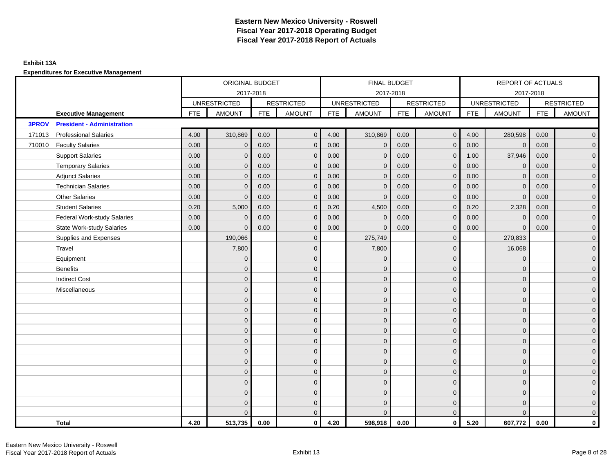### **Exhibit 13A**

|        |                                    | ORIGINAL BUDGET |                     |            |                   |            | FINAL BUDGET        |            |                     |            | REPORT OF ACTUALS   |            |                     |
|--------|------------------------------------|-----------------|---------------------|------------|-------------------|------------|---------------------|------------|---------------------|------------|---------------------|------------|---------------------|
|        |                                    |                 | 2017-2018           |            |                   |            | 2017-2018           |            |                     |            | 2017-2018           |            |                     |
|        |                                    |                 | <b>UNRESTRICTED</b> |            | <b>RESTRICTED</b> |            | <b>UNRESTRICTED</b> |            | <b>RESTRICTED</b>   |            | <b>UNRESTRICTED</b> |            | <b>RESTRICTED</b>   |
|        | <b>Executive Management</b>        | <b>FTE</b>      | <b>AMOUNT</b>       | <b>FTE</b> | <b>AMOUNT</b>     | <b>FTE</b> | <b>AMOUNT</b>       | <b>FTE</b> | <b>AMOUNT</b>       | <b>FTE</b> | <b>AMOUNT</b>       | <b>FTE</b> | <b>AMOUNT</b>       |
| 3PROV  | <b>President - Administration</b>  |                 |                     |            |                   |            |                     |            |                     |            |                     |            |                     |
| 171013 | <b>Professional Salaries</b>       | 4.00            | 310,869             | 0.00       | $\mathbf{0}$      | 4.00       | 310,869             | 0.00       | $\overline{0}$      | 4.00       | 280,598             | 0.00       | $\overline{0}$      |
| 710010 | <b>Faculty Salaries</b>            | 0.00            | $\mathbf{0}$        | 0.00       | $\mathbf{0}$      | 0.00       | $\mathbf{0}$        | 0.00       | $\mathbf{0}$        | 0.00       | $\mathbf 0$         | 0.00       | $\overline{0}$      |
|        | <b>Support Salaries</b>            | 0.00            | $\mathbf{0}$        | 0.00       | $\mathbf{0}$      | 0.00       | $\mathbf{0}$        | 0.00       | $\mathbf 0$         | 1.00       | 37,946              | 0.00       | $\overline{0}$      |
|        | <b>Temporary Salaries</b>          | 0.00            | $\mathbf{0}$        | 0.00       | $\mathbf 0$       | 0.00       | $\mathbf{0}$        | 0.00       | $\mathbf{0}$        | 0.00       | $\mathbf 0$         | 0.00       | $\overline{0}$      |
|        | <b>Adjunct Salaries</b>            | 0.00            | $\Omega$            | 0.00       | $\Omega$          | 0.00       | $\Omega$            | 0.00       | $\mathbf{0}$        | 0.00       | $\Omega$            | 0.00       | $\overline{0}$      |
|        | <b>Technician Salaries</b>         | 0.00            | $\mathbf{0}$        | 0.00       | $\mathbf{0}$      | 0.00       | $\mathbf{0}$        | 0.00       | $\mathbf{0}$        | 0.00       | $\mathbf 0$         | 0.00       | $\mathbf{0}$        |
|        | <b>Other Salaries</b>              | 0.00            | $\mathbf{0}$        | 0.00       | $\mathbf{0}$      | 0.00       | $\mathbf{0}$        | 0.00       | $\mathbf{0}$        | 0.00       | $\mathbf{0}$        | 0.00       | $\overline{0}$      |
|        | <b>Student Salaries</b>            | 0.20            | 5,000               | 0.00       | $\mathbf{0}$      | 0.20       | 4,500               | 0.00       | $\mathbf 0$         | 0.20       | 2,328               | 0.00       | $\overline{0}$      |
|        | <b>Federal Work-study Salaries</b> | 0.00            | $\mathbf{0}$        | 0.00       | $\mathbf{0}$      | 0.00       | $\mathbf{0}$        | 0.00       | $\mathbf 0$         | 0.00       | $\mathbf 0$         | 0.00       | $\overline{0}$      |
|        | <b>State Work-study Salaries</b>   | 0.00            | $\mathbf{0}$        | 0.00       | $\mathbf 0$       | 0.00       | $\mathbf{0}$        | 0.00       | $\mathbf{0}$        | 0.00       | $\mathbf 0$         | 0.00       | $\mathbf{0}$        |
|        | Supplies and Expenses              |                 | 190,066             |            | $\mathbf{0}$      |            | 275,749             |            | $\mathbf{0}$        |            | 270,833             |            | $\mathsf{O}\xspace$ |
|        | Travel                             |                 | 7,800               |            | $\mathbf{0}$      |            | 7,800               |            | $\mathbf{0}$        |            | 16,068              |            | $\overline{0}$      |
|        | Equipment                          |                 | $\mathbf{0}$        |            | $\mathbf 0$       |            | $\mathbf{0}$        |            | $\mathbf 0$         |            | $\mathbf 0$         |            | $\overline{0}$      |
|        | Benefits                           |                 | $\Omega$            |            | $\mathbf{0}$      |            | $\Omega$            |            | $\mathbf 0$         |            | $\mathbf 0$         |            | $\overline{0}$      |
|        | <b>Indirect Cost</b>               |                 | $\Omega$            |            | $\mathbf{0}$      |            | $\Omega$            |            | $\mathbf{0}$        |            | $\Omega$            |            | $\overline{0}$      |
|        | Miscellaneous                      |                 | $\overline{0}$      |            | $\mathbf 0$       |            | $\mathbf{0}$        |            | $\mathbf 0$         |            | $\mathbf 0$         |            | $\mathsf{O}\xspace$ |
|        |                                    |                 | $\overline{0}$      |            | $\mathbf 0$       |            | $\mathbf{0}$        |            | $\mathbf 0$         |            | $\mathbf 0$         |            | $\overline{0}$      |
|        |                                    |                 | $\Omega$            |            | $\mathbf{0}$      |            | $\Omega$            |            | $\mathbf 0$         |            | $\mathbf{0}$        |            | $\overline{0}$      |
|        |                                    |                 | $\mathbf{0}$        |            | $\mathbf 0$       |            | $\Omega$            |            | $\mathsf{O}\xspace$ |            | $\mathbf 0$         |            | $\mathbf{0}$        |
|        |                                    |                 | $\Omega$            |            | $\mathbf{0}$      |            | $\Omega$            |            | $\mathbf 0$         |            | $\mathbf 0$         |            | $\mathbf{0}$        |
|        |                                    |                 | $\Omega$            |            | $\mathbf{0}$      |            | $\Omega$            |            | $\mathbf{0}$        |            | $\Omega$            |            | $\mathsf{O}\xspace$ |
|        |                                    |                 | $\overline{0}$      |            | $\mathbf{0}$      |            | $\Omega$            |            | $\mathbf{0}$        |            | $\Omega$            |            | $\overline{0}$      |
|        |                                    |                 | $\overline{0}$      |            | $\mathbf 0$       |            | $\mathbf{0}$        |            | $\mathbf 0$         |            | $\mathbf{0}$        |            | $\overline{0}$      |
|        |                                    |                 | $\Omega$            |            | $\mathbf{0}$      |            | $\Omega$            |            | $\mathbf 0$         |            | $\mathbf 0$         |            | $\overline{0}$      |
|        |                                    |                 | $\Omega$            |            | $\mathbf{0}$      |            | $\Omega$            |            | $\mathbf 0$         |            | $\Omega$            |            | $\overline{0}$      |
|        |                                    |                 | $\mathbf{0}$        |            | $\mathbf 0$       |            | $\mathbf{0}$        |            | $\mathbf 0$         |            | $\mathbf 0$         |            | $\overline{0}$      |
|        |                                    |                 | $\mathbf{0}$        |            | $\mathbf 0$       |            | $\mathbf{0}$        |            | $\mathbf 0$         |            | $\mathbf 0$         |            | $\mathbf{0}$        |
|        |                                    |                 | $\Omega$            |            | $\mathbf{0}$      |            | $\Omega$            |            | $\mathbf{0}$        |            | $\Omega$            |            | $\overline{0}$      |
|        | Total                              | 4.20            | 513,735             | 0.00       | $\mathbf{0}$      | 4.20       | 598,918             | 0.00       | $\overline{0}$      | 5.20       | 607,772             | 0.00       | $\mathbf{0}$        |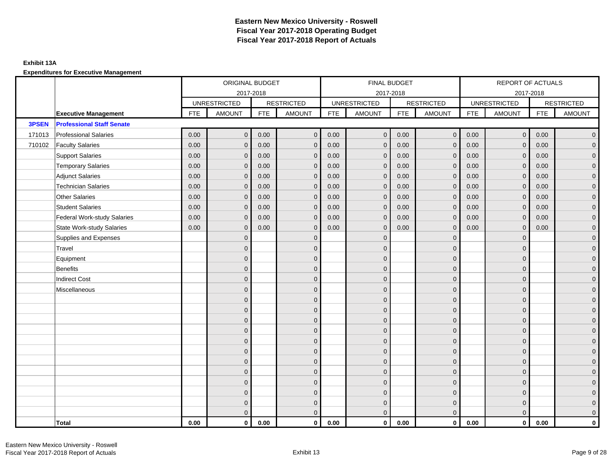### **Exhibit 13A**

|        |                                    | ORIGINAL BUDGET |                     |            |                   |            | FINAL BUDGET        |            |                   |            | REPORT OF ACTUALS   |            |                     |
|--------|------------------------------------|-----------------|---------------------|------------|-------------------|------------|---------------------|------------|-------------------|------------|---------------------|------------|---------------------|
|        |                                    |                 |                     | 2017-2018  |                   |            | 2017-2018           |            |                   |            | 2017-2018           |            |                     |
|        |                                    |                 | <b>UNRESTRICTED</b> |            | <b>RESTRICTED</b> |            | <b>UNRESTRICTED</b> |            | <b>RESTRICTED</b> |            | <b>UNRESTRICTED</b> |            | <b>RESTRICTED</b>   |
|        | <b>Executive Management</b>        | <b>FTE</b>      | <b>AMOUNT</b>       | <b>FTE</b> | <b>AMOUNT</b>     | <b>FTE</b> | <b>AMOUNT</b>       | <b>FTE</b> | <b>AMOUNT</b>     | <b>FTE</b> | <b>AMOUNT</b>       | <b>FTE</b> | <b>AMOUNT</b>       |
| 3PSEN  | <b>Professional Staff Senate</b>   |                 |                     |            |                   |            |                     |            |                   |            |                     |            |                     |
| 171013 | <b>Professional Salaries</b>       | 0.00            | $\overline{0}$      | 0.00       | $\mathbf{0}$      | 0.00       | $\mathbf 0$         | 0.00       | $\overline{0}$    | 0.00       | $\overline{0}$      | 0.00       | $\overline{0}$      |
| 710102 | <b>Faculty Salaries</b>            | 0.00            | $\mathbf{0}$        | 0.00       | $\mathbf{0}$      | 0.00       | $\mathbf{0}$        | 0.00       | $\mathbf{0}$      | 0.00       | $\mathbf{0}$        | 0.00       | $\overline{0}$      |
|        | <b>Support Salaries</b>            | 0.00            | $\mathbf{0}$        | 0.00       | $\mathbf{0}$      | 0.00       | $\overline{0}$      | 0.00       | $\mathbf 0$       | 0.00       | $\overline{0}$      | 0.00       | $\overline{0}$      |
|        | <b>Temporary Salaries</b>          | 0.00            | $\mathbf 0$         | 0.00       | $\mathbf 0$       | 0.00       | $\mathbf 0$         | 0.00       | $\mathbf 0$       | 0.00       | $\mathbf 0$         | 0.00       | $\mathsf{O}\xspace$ |
|        | <b>Adjunct Salaries</b>            | 0.00            | $\mathbf{0}$        | 0.00       | $\mathbf{0}$      | 0.00       | $\mathbf{0}$        | 0.00       | $\mathbf 0$       | 0.00       | $\mathbf{0}$        | 0.00       | $\mathbf{0}$        |
|        | <b>Technician Salaries</b>         | 0.00            | $\mathbf{0}$        | 0.00       | $\mathbf 0$       | 0.00       | $\mathbf{0}$        | 0.00       | $\mathbf{0}$      | 0.00       | $\mathbf{0}$        | 0.00       | $\mathbf{0}$        |
|        | Other Salaries                     | 0.00            | $\mathbf{0}$        | 0.00       | $\mathbf{0}$      | 0.00       | $\Omega$            | 0.00       | $\mathbf{0}$      | 0.00       | $\overline{0}$      | 0.00       | $\overline{0}$      |
|        | <b>Student Salaries</b>            | 0.00            | $\mathbf 0$         | 0.00       | $\mathbf 0$       | 0.00       | $\mathbf 0$         | 0.00       | $\mathbf 0$       | 0.00       | $\mathbf 0$         | 0.00       | $\overline{0}$      |
|        | <b>Federal Work-study Salaries</b> | 0.00            | $\mathbf 0$         | 0.00       | $\mathbf 0$       | 0.00       | $\mathbf{0}$        | 0.00       | $\overline{0}$    | 0.00       | $\mathbf 0$         | 0.00       | $\overline{0}$      |
|        | <b>State Work-study Salaries</b>   | 0.00            | $\mathbf{0}$        | 0.00       | $\mathbf{0}$      | 0.00       | $\mathbf{0}$        | 0.00       | $\mathbf{0}$      | 0.00       | $\mathbf{0}$        | 0.00       | $\overline{0}$      |
|        | Supplies and Expenses              |                 | $\Omega$            |            | $\mathbf 0$       |            | $\mathbf{0}$        |            | $\overline{0}$    |            | $\mathbf 0$         |            | $\mathsf{O}\xspace$ |
|        | Travel                             |                 | $\overline{0}$      |            | $\mathbf{0}$      |            | $\Omega$            |            | $\mathbf{0}$      |            | $\mathbf{0}$        |            | $\overline{0}$      |
|        | Equipment                          |                 | $\overline{0}$      |            | $\mathbf 0$       |            | $\mathbf{0}$        |            | $\mathbf 0$       |            | $\mathbf{0}$        |            | $\overline{0}$      |
|        | Benefits                           |                 | $\overline{0}$      |            | $\mathbf{0}$      |            | $\Omega$            |            | $\mathbf 0$       |            | $\mathbf{0}$        |            | $\overline{0}$      |
|        | <b>Indirect Cost</b>               |                 | $\Omega$            |            | $\mathbf{0}$      |            | $\Omega$            |            | $\mathbf{0}$      |            | $\Omega$            |            | $\overline{0}$      |
|        | Miscellaneous                      |                 | $\Omega$            |            | $\mathbf{0}$      |            | $\Omega$            |            | $\mathbf{0}$      |            | $\Omega$            |            | $\overline{0}$      |
|        |                                    |                 | $\mathbf{0}$        |            | $\mathbf 0$       |            | $\mathbf{0}$        |            | $\mathbf 0$       |            | $\mathbf{0}$        |            | $\mathbf{0}$        |
|        |                                    |                 | $\mathbf{0}$        |            | $\mathbf 0$       |            | $\mathbf{0}$        |            | $\mathbf 0$       |            | $\mathbf{0}$        |            | $\overline{0}$      |
|        |                                    |                 | $\Omega$            |            | $\mathbf{0}$      |            | $\Omega$            |            | $\mathbf 0$       |            | $\mathbf{0}$        |            | $\overline{0}$      |
|        |                                    |                 | $\Omega$            |            | $\mathbf{0}$      |            | $\Omega$            |            | $\mathbf{0}$      |            | $\Omega$            |            | $\overline{0}$      |
|        |                                    |                 | $\mathbf{0}$        |            | $\mathbf 0$       |            | $\mathbf{0}$        |            | $\mathbf 0$       |            | $\mathbf 0$         |            | $\mathsf{O}\xspace$ |
|        |                                    |                 | $\mathbf{0}$        |            | $\mathbf 0$       |            | $\mathbf{0}$        |            | $\mathbf 0$       |            | $\mathbf{0}$        |            | $\mathbf{0}$        |
|        |                                    |                 | $\mathbf{0}$        |            | $\mathbf{0}$      |            | $\mathbf{0}$        |            | $\mathbf 0$       |            | $\mathbf{0}$        |            | $\overline{0}$      |
|        |                                    |                 | $\mathbf{0}$        |            | $\mathbf{0}$      |            | $\Omega$            |            | $\mathbf{0}$      |            | $\mathbf{0}$        |            | $\overline{0}$      |
|        |                                    |                 | $\mathbf{0}$        |            | $\mathbf 0$       |            | $\mathbf{0}$        |            | $\mathbf 0$       |            | $\mathbf 0$         |            | $\mathbf{0}$        |
|        |                                    |                 | $\mathbf{0}$        |            | $\mathbf 0$       |            | $\mathbf{0}$        |            | $\mathbf 0$       |            | $\mathbf 0$         |            | $\mathbf{0}$        |
|        |                                    |                 | $\mathbf{0}$        |            | $\mathbf 0$       |            | $\mathbf{0}$        |            | $\mathbf 0$       |            | $\mathbf{0}$        |            | $\mathbf{0}$        |
|        |                                    |                 | $\Omega$            |            | $\mathbf{0}$      |            | $\Omega$            |            | $\overline{0}$    |            | $\Omega$            |            | $\overline{0}$      |
|        | <b>Total</b>                       | 0.00            | $\mathbf{0}$        | 0.00       | $\mathbf{0}$      | 0.00       | $\mathbf{0}$        | 0.00       | $\mathbf{0}$      | 0.00       | $\mathbf{0}$        | 0.00       | $\mathbf 0$         |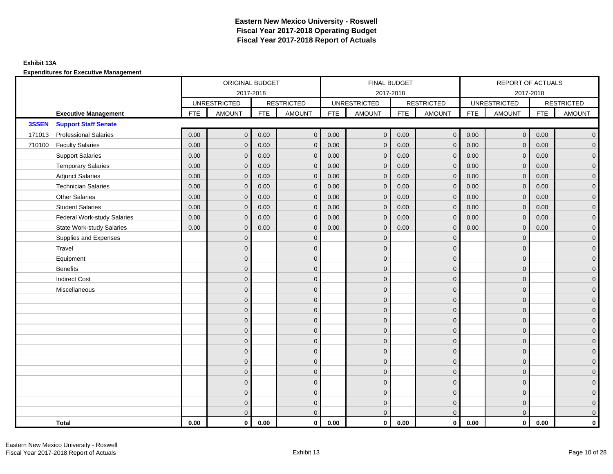### **Exhibit 13A**

|        |                                    | ORIGINAL BUDGET |                     |            |                   |            | FINAL BUDGET        |            |                   |            | REPORT OF ACTUALS   |            |                     |
|--------|------------------------------------|-----------------|---------------------|------------|-------------------|------------|---------------------|------------|-------------------|------------|---------------------|------------|---------------------|
|        |                                    |                 | 2017-2018           |            |                   |            | 2017-2018           |            |                   |            | 2017-2018           |            |                     |
|        |                                    |                 | <b>UNRESTRICTED</b> |            | <b>RESTRICTED</b> |            | <b>UNRESTRICTED</b> |            | <b>RESTRICTED</b> |            | <b>UNRESTRICTED</b> |            | <b>RESTRICTED</b>   |
|        | <b>Executive Management</b>        | <b>FTE</b>      | <b>AMOUNT</b>       | <b>FTE</b> | AMOUNT            | <b>FTE</b> | <b>AMOUNT</b>       | <b>FTE</b> | <b>AMOUNT</b>     | <b>FTE</b> | <b>AMOUNT</b>       | <b>FTE</b> | <b>AMOUNT</b>       |
| 3SSEN  | <b>Support Staff Senate</b>        |                 |                     |            |                   |            |                     |            |                   |            |                     |            |                     |
| 171013 | <b>Professional Salaries</b>       | 0.00            | $\mathbf{0}$        | 0.00       | $\mathbf{0}$      | 0.00       | $\overline{0}$      | 0.00       | $\overline{0}$    | 0.00       | $\overline{0}$      | 0.00       | $\overline{0}$      |
| 710100 | <b>Faculty Salaries</b>            | 0.00            | $\mathbf{0}$        | 0.00       | $\Omega$          | 0.00       | $\mathbf{0}$        | 0.00       | $\mathbf{0}$      | 0.00       | $\mathbf{0}$        | 0.00       | $\overline{0}$      |
|        | <b>Support Salaries</b>            | 0.00            | $\mathbf{0}$        | 0.00       | $\mathbf{0}$      | 0.00       | $\overline{0}$      | 0.00       | $\mathbf 0$       | 0.00       | $\overline{0}$      | 0.00       | $\overline{0}$      |
|        | <b>Temporary Salaries</b>          | 0.00            | $\mathbf{0}$        | 0.00       | $\mathbf{0}$      | 0.00       | $\mathbf{0}$        | 0.00       | $\mathbf 0$       | 0.00       | $\mathbf 0$         | 0.00       | $\mathbf{0}$        |
|        | <b>Adjunct Salaries</b>            | 0.00            | $\mathbf{0}$        | 0.00       | $\mathbf 0$       | 0.00       | $\mathbf{0}$        | 0.00       | $\mathbf 0$       | 0.00       | $\mathbf{0}$        | 0.00       | $\mathbf{0}$        |
|        | <b>Technician Salaries</b>         | 0.00            | $\mathbf{0}$        | 0.00       | $\Omega$          | 0.00       | $\mathbf{0}$        | 0.00       | $\mathbf{0}$      | 0.00       | $\mathbf{0}$        | 0.00       | $\mathbf{0}$        |
|        | <b>Other Salaries</b>              | 0.00            | $\mathbf{0}$        | 0.00       | $\Omega$          | 0.00       | $\Omega$            | 0.00       | $\mathbf{0}$      | 0.00       | $\mathbf{0}$        | 0.00       | $\overline{0}$      |
|        | <b>Student Salaries</b>            | 0.00            | $\mathbf 0$         | 0.00       | $\mathbf{0}$      | 0.00       | $\overline{0}$      | 0.00       | $\mathbf 0$       | 0.00       | $\mathbf 0$         | 0.00       | $\overline{0}$      |
|        | <b>Federal Work-study Salaries</b> | 0.00            | $\mathbf{0}$        | 0.00       | $\mathbf 0$       | 0.00       | $\mathbf{0}$        | 0.00       | $\mathbf 0$       | 0.00       | $\mathbf 0$         | 0.00       | $\overline{0}$      |
|        | <b>State Work-study Salaries</b>   | 0.00            | $\mathbf{0}$        | 0.00       | $\mathbf 0$       | 0.00       | $\mathbf{0}$        | 0.00       | $\mathbf{0}$      | 0.00       | $\mathbf{0}$        | 0.00       | $\overline{0}$      |
|        | Supplies and Expenses              |                 | $\Omega$            |            | $\mathbf{0}$      |            | $\mathbf{0}$        |            | $\mathbf{0}$      |            | $\mathbf 0$         |            | $\mathsf{O}\xspace$ |
|        | Travel                             |                 | $\Omega$            |            | $\mathbf{0}$      |            | $\Omega$            |            | $\mathbf{0}$      |            | $\mathbf{0}$        |            | $\overline{0}$      |
|        | Equipment                          |                 | $\overline{0}$      |            | $\mathbf 0$       |            | $\mathbf{0}$        |            | $\mathbf 0$       |            | $\mathbf{0}$        |            | $\overline{0}$      |
|        | <b>Benefits</b>                    |                 | $\Omega$            |            | $\mathbf{0}$      |            | $\Omega$            |            | $\mathbf 0$       |            | $\mathbf{0}$        |            | $\overline{0}$      |
|        | <b>Indirect Cost</b>               |                 | $\Omega$            |            | $\mathbf{0}$      |            | $\Omega$            |            | $\mathbf{0}$      |            | $\Omega$            |            | $\overline{0}$      |
|        | Miscellaneous                      |                 | $\Omega$            |            | $\mathbf{0}$      |            | $\Omega$            |            | $\mathbf{0}$      |            | $\Omega$            |            | $\mathsf{O}\xspace$ |
|        |                                    |                 | $\overline{0}$      |            | $\mathbf 0$       |            | $\mathbf{0}$        |            | $\mathbf 0$       |            | $\mathbf 0$         |            | $\overline{0}$      |
|        |                                    |                 | $\mathbf{0}$        |            | $\mathbf 0$       |            | $\mathbf{0}$        |            | $\mathbf 0$       |            | $\mathbf{0}$        |            | $\overline{0}$      |
|        |                                    |                 | $\Omega$            |            | $\mathbf{0}$      |            | $\Omega$            |            | $\mathbf 0$       |            | $\mathbf{0}$        |            | $\overline{0}$      |
|        |                                    |                 | $\Omega$            |            | $\mathbf{0}$      |            | $\Omega$            |            | $\mathbf{0}$      |            | $\Omega$            |            | $\overline{0}$      |
|        |                                    |                 | $\mathbf{0}$        |            | $\mathbf{0}$      |            | $\mathbf{0}$        |            | $\mathbf 0$       |            | $\mathbf 0$         |            | $\mathsf{O}\xspace$ |
|        |                                    |                 | $\mathbf{0}$        |            | $\mathbf{0}$      |            | $\mathbf{0}$        |            | $\mathbf 0$       |            | $\mathbf{0}$        |            | $\mathbf{0}$        |
|        |                                    |                 | $\mathbf{0}$        |            | $\mathbf{0}$      |            | $\mathbf{0}$        |            | $\mathbf 0$       |            | $\mathbf 0$         |            | $\overline{0}$      |
|        |                                    |                 | $\Omega$            |            | $\mathbf{0}$      |            | $\Omega$            |            | $\mathbf{0}$      |            | $\mathbf 0$         |            | $\overline{0}$      |
|        |                                    |                 | $\overline{0}$      |            | $\mathbf 0$       |            | $\mathbf{0}$        |            | $\mathbf 0$       |            | $\mathbf 0$         |            | $\mathbf{0}$        |
|        |                                    |                 | $\mathbf{0}$        |            | $\mathbf 0$       |            | $\mathbf{0}$        |            | $\mathbf 0$       |            | $\mathbf 0$         |            | $\mathbf{0}$        |
|        |                                    |                 | $\mathbf{0}$        |            | $\mathbf 0$       |            | $\mathbf{0}$        |            | $\mathbf 0$       |            | $\mathbf{0}$        |            | $\mathbf{0}$        |
|        |                                    |                 | $\Omega$            |            | $\mathbf{0}$      |            | $\Omega$            |            | $\mathbf{0}$      |            | $\Omega$            |            | $\overline{0}$      |
|        | Total                              | 0.00            | $\mathbf{0}$        | 0.00       | $\mathbf{0}$      | 0.00       | $\mathbf{0}$        | 0.00       | $\mathbf{0}$      | 0.00       | $\mathbf{0}$        | 0.00       | $\mathbf 0$         |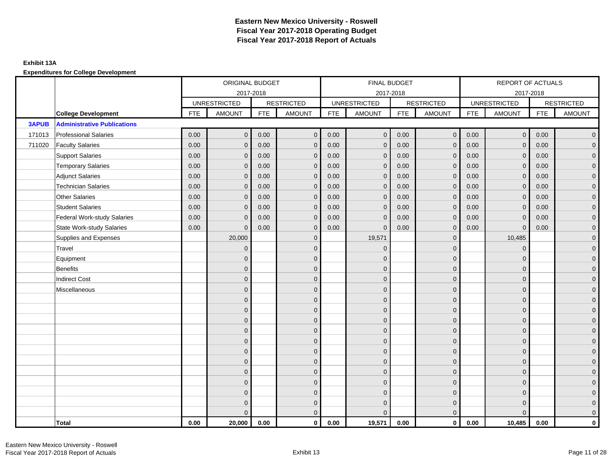|              |                                    | ORIGINAL BUDGET<br>2017-2018 |                     |            |                   | FINAL BUDGET |                     |            |                   | REPORT OF ACTUALS |                     |            |                   |
|--------------|------------------------------------|------------------------------|---------------------|------------|-------------------|--------------|---------------------|------------|-------------------|-------------------|---------------------|------------|-------------------|
|              |                                    |                              |                     |            |                   |              | 2017-2018           |            |                   |                   | 2017-2018           |            |                   |
|              |                                    |                              | <b>UNRESTRICTED</b> |            | <b>RESTRICTED</b> |              | <b>UNRESTRICTED</b> |            | <b>RESTRICTED</b> |                   | <b>UNRESTRICTED</b> |            | <b>RESTRICTED</b> |
|              | <b>College Development</b>         | <b>FTE</b>                   | <b>AMOUNT</b>       | <b>FTE</b> | <b>AMOUNT</b>     | <b>FTE</b>   | <b>AMOUNT</b>       | <b>FTE</b> | <b>AMOUNT</b>     | <b>FTE</b>        | <b>AMOUNT</b>       | <b>FTE</b> | <b>AMOUNT</b>     |
| <b>3APUB</b> | <b>Administrative Publications</b> |                              |                     |            |                   |              |                     |            |                   |                   |                     |            |                   |
| 171013       | <b>Professional Salaries</b>       | 0.00                         | $\mathbf{0}$        | 0.00       | $\mathbf{0}$      | 0.00         | $\mathbf{0}$        | 0.00       | $\overline{0}$    | 0.00              | $\mathbf 0$         | 0.00       | $\overline{0}$    |
| 711020       | <b>Faculty Salaries</b>            | 0.00                         | $\mathbf 0$         | 0.00       | $\mathbf{0}$      | 0.00         | $\mathbf{0}$        | 0.00       | $\mathbf 0$       | 0.00              | $\mathbf 0$         | 0.00       | $\mathbf 0$       |
|              | <b>Support Salaries</b>            | 0.00                         | $\mathbf 0$         | 0.00       | $\mathbf{0}$      | 0.00         | $\mathbf{0}$        | 0.00       | $\mathbf 0$       | 0.00              | $\mathbf 0$         | 0.00       | $\overline{0}$    |
|              | <b>Temporary Salaries</b>          | 0.00                         | $\mathbf{0}$        | 0.00       | $\mathbf{0}$      | 0.00         | $\mathbf{0}$        | 0.00       | $\mathbf{0}$      | 0.00              | $\mathbf{0}$        | 0.00       | $\overline{0}$    |
|              | <b>Adjunct Salaries</b>            | 0.00                         | $\Omega$            | 0.00       | $\Omega$          | 0.00         | $\Omega$            | 0.00       | $\mathbf{0}$      | 0.00              | $\Omega$            | 0.00       | $\overline{0}$    |
|              | <b>Technician Salaries</b>         | 0.00                         | $\mathbf{0}$        | 0.00       | $\Omega$          | 0.00         | $\mathbf{0}$        | 0.00       | $\mathbf{0}$      | 0.00              | $\mathbf{0}$        | 0.00       | $\mathbf 0$       |
|              | <b>Other Salaries</b>              | 0.00                         | $\mathbf{0}$        | 0.00       | $\mathbf{0}$      | 0.00         | $\mathbf{0}$        | 0.00       | $\mathbf{0}$      | 0.00              | $\mathbf{0}$        | 0.00       | $\overline{0}$    |
|              | <b>Student Salaries</b>            | 0.00                         | $\mathbf{0}$        | 0.00       | $\mathbf{0}$      | 0.00         | $\mathbf{0}$        | 0.00       | $\mathbf{0}$      | 0.00              | $\mathbf{0}$        | 0.00       | $\overline{0}$    |
|              | <b>Federal Work-study Salaries</b> | 0.00                         | $\mathbf{0}$        | 0.00       | $\mathbf{0}$      | 0.00         | $\mathbf{0}$        | 0.00       | $\mathbf 0$       | 0.00              | $\overline{0}$      | 0.00       | $\overline{0}$    |
|              | <b>State Work-study Salaries</b>   | 0.00                         | $\mathbf{0}$        | 0.00       | $\mathbf{0}$      | 0.00         | $\mathbf{0}$        | 0.00       | $\mathbf{0}$      | 0.00              | $\mathbf{0}$        | 0.00       | $\mathbf 0$       |
|              | Supplies and Expenses              |                              | 20,000              |            | $\Omega$          |              | 19,571              |            | $\mathbf{0}$      |                   | 10,485              |            | $\overline{0}$    |
|              | Travel                             |                              | $\mathbf{0}$        |            | $\mathbf{0}$      |              | $\Omega$            |            | $\mathbf{0}$      |                   | $\mathbf{0}$        |            | $\mathbf 0$       |
|              | Equipment                          |                              | $\mathbf{0}$        |            | $\mathbf{0}$      |              | $\Omega$            |            | $\mathbf 0$       |                   | $\mathbf{0}$        |            | $\overline{0}$    |
|              | <b>Benefits</b>                    |                              | $\Omega$            |            | $\mathbf{0}$      |              | $\Omega$            |            | $\mathbf{0}$      |                   | $\mathbf{0}$        |            | $\overline{0}$    |
|              | <b>Indirect Cost</b>               |                              | $\Omega$            |            | $\Omega$          |              | $\Omega$            |            | $\mathbf{0}$      |                   | $\Omega$            |            | $\overline{0}$    |
|              | Miscellaneous                      |                              | $\mathbf{0}$        |            | $\mathbf{0}$      |              | $\mathbf{0}$        |            | $\mathbf 0$       |                   | $\mathbf{0}$        |            | $\mathbf 0$       |
|              |                                    |                              | $\overline{0}$      |            | $\mathbf{0}$      |              | $\Omega$            |            | $\mathbf{0}$      |                   | $\Omega$            |            | $\overline{0}$    |
|              |                                    |                              | $\mathbf{0}$        |            | $\mathbf{0}$      |              | $\Omega$            |            | $\mathbf 0$       |                   | $\mathbf{0}$        |            | $\overline{0}$    |
|              |                                    |                              | $\mathbf{0}$        |            | $\mathbf 0$       |              | $\Omega$            |            | $\mathbf 0$       |                   | $\mathbf{0}$        |            | $\overline{0}$    |
|              |                                    |                              | $\mathbf{0}$        |            | $\mathbf{0}$      |              | $\Omega$            |            | $\mathbf 0$       |                   | $\mathbf{0}$        |            | $\mathbf 0$       |
|              |                                    |                              | $\Omega$            |            | $\mathbf{0}$      |              | $\Omega$            |            | $\mathbf{0}$      |                   | $\Omega$            |            | $\overline{0}$    |
|              |                                    |                              | $\Omega$            |            | $\mathbf{0}$      |              | $\Omega$            |            | $\mathbf{0}$      |                   | $\Omega$            |            | $\overline{0}$    |
|              |                                    |                              | $\mathbf{0}$        |            | $\mathbf{0}$      |              | $\Omega$            |            | $\mathbf{0}$      |                   | $\mathbf{0}$        |            | $\overline{0}$    |
|              |                                    |                              | $\mathbf{0}$        |            | $\mathbf{0}$      |              | $\Omega$            |            | $\mathbf 0$       |                   | $\mathbf{0}$        |            | $\overline{0}$    |
|              |                                    |                              | $\Omega$            |            | $\mathbf{0}$      |              | $\Omega$            |            | $\mathbf{0}$      |                   | $\Omega$            |            | $\overline{0}$    |
|              |                                    |                              | $\Omega$            |            | $\mathbf 0$       |              | $\Omega$            |            | $\mathbf 0$       |                   | $\mathbf{0}$        |            | $\overline{0}$    |
|              |                                    |                              | $\mathbf{0}$        |            | $\mathbf 0$       |              | $\Omega$            |            | $\mathbf 0$       |                   | $\mathbf{0}$        |            | $\mathbf 0$       |
|              |                                    |                              | $\Omega$            |            | $\mathbf{0}$      |              | U                   |            | $\mathbf{0}$      |                   | $\Omega$            |            | $\mathbf 0$       |
|              | Total                              | 0.00                         | 20,000              | 0.00       | $\mathbf{0}$      | 0.00         | 19,571              | 0.00       | $\mathbf 0$       | 0.00              | 10,485              | 0.00       | $\mathbf{0}$      |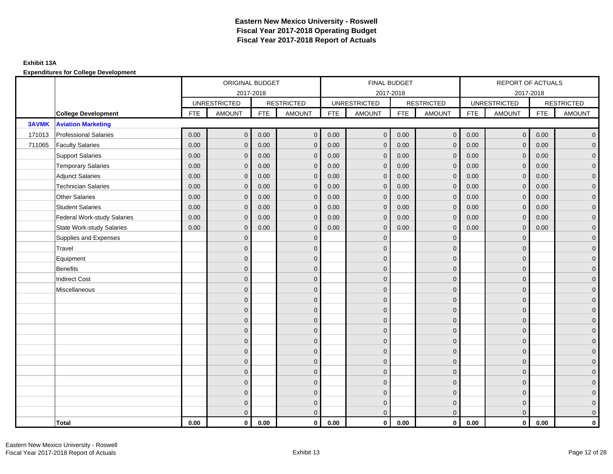|              |                                    | ORIGINAL BUDGET<br>2017-2018 |                     |            | FINAL BUDGET      |            |                     |            | <b>REPORT OF ACTUALS</b> |            |                     |            |                     |
|--------------|------------------------------------|------------------------------|---------------------|------------|-------------------|------------|---------------------|------------|--------------------------|------------|---------------------|------------|---------------------|
|              |                                    |                              |                     |            |                   |            | 2017-2018           |            |                          |            |                     | 2017-2018  |                     |
|              |                                    |                              | <b>UNRESTRICTED</b> |            | <b>RESTRICTED</b> |            | <b>UNRESTRICTED</b> |            | <b>RESTRICTED</b>        |            | <b>UNRESTRICTED</b> |            | <b>RESTRICTED</b>   |
|              | <b>College Development</b>         | <b>FTE</b>                   | <b>AMOUNT</b>       | <b>FTE</b> | <b>AMOUNT</b>     | <b>FTE</b> | <b>AMOUNT</b>       | <b>FTE</b> | <b>AMOUNT</b>            | <b>FTE</b> | <b>AMOUNT</b>       | <b>FTE</b> | <b>AMOUNT</b>       |
| <b>3AVMK</b> | <b>Aviation Marketing</b>          |                              |                     |            |                   |            |                     |            |                          |            |                     |            |                     |
| 171013       | <b>Professional Salaries</b>       | 0.00                         | $\mathbf{0}$        | 0.00       | $\overline{0}$    | 0.00       | $\mathbf{0}$        | 0.00       | $\overline{0}$           | 0.00       | $\mathbf 0$         | 0.00       | $\overline{0}$      |
| 711065       | <b>Faculty Salaries</b>            | 0.00                         | $\mathbf{0}$        | 0.00       | $\mathbf{0}$      | 0.00       | $\mathbf{0}$        | 0.00       | $\mathbf{0}$             | 0.00       | $\mathbf{0}$        | 0.00       | $\overline{0}$      |
|              | <b>Support Salaries</b>            | 0.00                         | $\mathbf{0}$        | 0.00       | $\mathbf{0}$      | 0.00       | $\mathbf{0}$        | 0.00       | $\mathbf{0}$             | 0.00       | $\mathbf 0$         | 0.00       | $\overline{0}$      |
|              | <b>Temporary Salaries</b>          | 0.00                         | $\mathbf{0}$        | 0.00       | $\Omega$          | 0.00       | $\mathbf{0}$        | 0.00       | $\mathbf{0}$             | 0.00       | $\mathbf{0}$        | 0.00       | $\overline{0}$      |
|              | <b>Adjunct Salaries</b>            | 0.00                         | $\mathbf{0}$        | 0.00       | $\mathbf{0}$      | 0.00       | $\mathbf{0}$        | 0.00       | $\mathbf{0}$             | 0.00       | $\mathbf{0}$        | 0.00       | $\mathbf 0$         |
|              | <b>Technician Salaries</b>         | 0.00                         | $\mathbf{0}$        | 0.00       | $\mathbf{0}$      | 0.00       | $\mathbf{0}$        | 0.00       | $\mathbf{0}$             | 0.00       | $\Omega$            | 0.00       | $\mathbf 0$         |
|              | <b>Other Salaries</b>              | 0.00                         | $\mathbf{0}$        | 0.00       | $\Omega$          | 0.00       | $\Omega$            | 0.00       | $\mathbf{0}$             | 0.00       | $\mathbf{0}$        | 0.00       | $\overline{0}$      |
|              | <b>Student Salaries</b>            | 0.00                         | $\mathbf 0$         | 0.00       | $\mathbf{0}$      | 0.00       | $\mathbf 0$         | 0.00       | $\mathbf 0$              | 0.00       | $\mathbf 0$         | 0.00       | $\overline{0}$      |
|              | <b>Federal Work-study Salaries</b> | 0.00                         | $\mathbf{0}$        | 0.00       | $\mathbf{0}$      | 0.00       | $\mathbf{0}$        | 0.00       | $\mathbf 0$              | 0.00       | $\mathbf{0}$        | 0.00       | $\overline{0}$      |
|              | <b>State Work-study Salaries</b>   | 0.00                         | $\mathbf{0}$        | 0.00       | $\Omega$          | 0.00       | $\mathbf{0}$        | 0.00       | $\mathbf{0}$             | 0.00       | $\mathbf{0}$        | 0.00       | $\overline{0}$      |
|              | Supplies and Expenses              |                              | $\mathbf{0}$        |            | $\mathbf{0}$      |            | $\Omega$            |            | $\mathbf 0$              |            | $\mathbf{0}$        |            | $\overline{0}$      |
|              | Travel                             |                              | $\mathbf{0}$        |            | $\mathbf{0}$      |            | $\overline{0}$      |            | $\mathbf{0}$             |            | $\mathbf{0}$        |            | $\overline{0}$      |
|              | Equipment                          |                              | $\mathbf{0}$        |            | $\mathbf{0}$      |            | $\Omega$            |            | $\mathbf 0$              |            | $\Omega$            |            | $\overline{0}$      |
|              | Benefits                           |                              | $\mathbf{0}$        |            | $\mathbf{0}$      |            | $\Omega$            |            | $\mathbf 0$              |            | $\mathbf{0}$        |            | $\overline{0}$      |
|              | <b>Indirect Cost</b>               |                              | $\mathbf{0}$        |            | $\mathbf{0}$      |            | $\Omega$            |            | $\mathbf{0}$             |            | $\mathbf{0}$        |            | $\mathbf 0$         |
|              | Miscellaneous                      |                              | $\mathbf{0}$        |            | $\mathbf{0}$      |            | $\Omega$            |            | $\mathbf 0$              |            | $\Omega$            |            | $\mathbf 0$         |
|              |                                    |                              | $\mathbf{0}$        |            | $\mathbf 0$       |            | $\overline{0}$      |            | $\mathbf 0$              |            | $\mathbf{0}$        |            | $\overline{0}$      |
|              |                                    |                              | $\mathbf{0}$        |            | $\mathbf 0$       |            | $\mathbf{0}$        |            | $\mathbf 0$              |            | $\Omega$            |            | $\overline{0}$      |
|              |                                    |                              | $\Omega$            |            | $\mathbf{0}$      |            | $\Omega$            |            | $\mathbf 0$              |            | $\Omega$            |            | $\overline{0}$      |
|              |                                    |                              | $\mathbf{0}$        |            | $\mathbf{0}$      |            | $\Omega$            |            | $\mathbf 0$              |            | $\mathbf{0}$        |            | $\overline{0}$      |
|              |                                    |                              | $\mathbf{0}$        |            | $\mathbf{0}$      |            | $\Omega$            |            | $\mathbf 0$              |            | $\Omega$            |            | $\mathsf{O}\xspace$ |
|              |                                    |                              | $\mathbf{0}$        |            | $\mathbf{0}$      |            | $\Omega$            |            | $\mathbf{0}$             |            | $\Omega$            |            | $\overline{0}$      |
|              |                                    |                              | $\mathbf{0}$        |            | $\mathbf 0$       |            | $\overline{0}$      |            | $\mathbf 0$              |            | $\mathbf{0}$        |            | $\overline{0}$      |
|              |                                    |                              | $\Omega$            |            | $\mathbf{0}$      |            | $\Omega$            |            | $\mathbf{0}$             |            | $\mathbf{0}$        |            | $\overline{0}$      |
|              |                                    |                              | $\mathbf{0}$        |            | $\mathbf{0}$      |            | $\Omega$            |            | $\mathbf{0}$             |            | $\mathbf{0}$        |            | $\mathbf 0$         |
|              |                                    |                              | $\Omega$            |            | $\mathbf{0}$      |            | $\Omega$            |            | $\mathbf{0}$             |            | $\Omega$            |            | $\mathbf 0$         |
|              |                                    |                              | $\mathbf{0}$        |            | $\mathbf 0$       |            | $\mathbf{0}$        |            | $\mathbf{0}$             |            | $\mathbf{0}$        |            | $\mathbf 0$         |
|              |                                    |                              | $\overline{0}$      |            | $\mathbf{0}$      |            | $\Omega$            |            | $\mathbf{0}$             |            | $\Omega$            |            | $\overline{0}$      |
|              | Total                              | 0.00                         | $\mathbf 0$         | 0.00       | $\mathbf 0$       | 0.00       | $\mathbf{0}$        | 0.00       | $\overline{0}$           | 0.00       | $\mathbf 0$         | 0.00       | $\mathbf 0$         |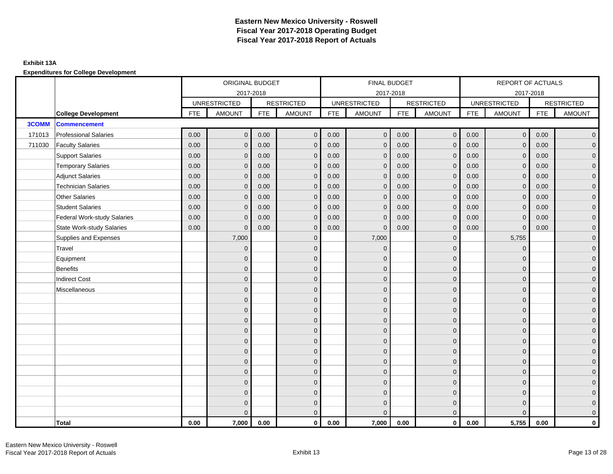|              |                                    |            | ORIGINAL BUDGET     |            |                   |            | FINAL BUDGET        |            |                   |            | REPORT OF ACTUALS   |            |                   |
|--------------|------------------------------------|------------|---------------------|------------|-------------------|------------|---------------------|------------|-------------------|------------|---------------------|------------|-------------------|
|              |                                    |            | 2017-2018           |            |                   |            | 2017-2018           |            |                   |            | 2017-2018           |            |                   |
|              |                                    |            | <b>UNRESTRICTED</b> |            | <b>RESTRICTED</b> |            | <b>UNRESTRICTED</b> |            | <b>RESTRICTED</b> |            | <b>UNRESTRICTED</b> |            | <b>RESTRICTED</b> |
|              | <b>College Development</b>         | <b>FTE</b> | <b>AMOUNT</b>       | <b>FTE</b> | <b>AMOUNT</b>     | <b>FTE</b> | <b>AMOUNT</b>       | <b>FTE</b> | <b>AMOUNT</b>     | <b>FTE</b> | <b>AMOUNT</b>       | <b>FTE</b> | <b>AMOUNT</b>     |
| <b>3COMM</b> | <b>Commencement</b>                |            |                     |            |                   |            |                     |            |                   |            |                     |            |                   |
| 171013       | <b>Professional Salaries</b>       | 0.00       | $\mathbf{0}$        | 0.00       | $\mathbf{0}$      | 0.00       | $\mathbf{0}$        | 0.00       | $\overline{0}$    | 0.00       | $\mathbf 0$         | 0.00       | $\overline{0}$    |
| 711030       | <b>Faculty Salaries</b>            | 0.00       | $\mathbf 0$         | 0.00       | $\mathbf{0}$      | 0.00       | $\mathbf{0}$        | 0.00       | $\mathbf{0}$      | 0.00       | $\mathbf 0$         | 0.00       | $\mathbf 0$       |
|              | <b>Support Salaries</b>            | 0.00       | $\mathbf 0$         | 0.00       | $\mathbf{0}$      | 0.00       | $\mathbf{0}$        | 0.00       | $\mathbf 0$       | 0.00       | $\mathbf 0$         | 0.00       | $\overline{0}$    |
|              | <b>Temporary Salaries</b>          | 0.00       | $\mathbf{0}$        | 0.00       | $\mathbf{0}$      | 0.00       | $\mathbf{0}$        | 0.00       | $\mathbf{0}$      | 0.00       | $\mathbf{0}$        | 0.00       | $\overline{0}$    |
|              | <b>Adjunct Salaries</b>            | 0.00       | $\Omega$            | 0.00       | $\Omega$          | 0.00       | $\Omega$            | 0.00       | $\mathbf{0}$      | 0.00       | $\Omega$            | 0.00       | $\overline{0}$    |
|              | <b>Technician Salaries</b>         | 0.00       | $\mathbf{0}$        | 0.00       | $\mathbf{0}$      | 0.00       | $\mathbf{0}$        | 0.00       | $\mathbf{0}$      | 0.00       | $\mathbf{0}$        | 0.00       | $\mathbf 0$       |
|              | <b>Other Salaries</b>              | 0.00       | $\mathbf{0}$        | 0.00       | $\mathbf{0}$      | 0.00       | $\mathbf{0}$        | 0.00       | $\mathbf{0}$      | 0.00       | $\mathbf{0}$        | 0.00       | $\overline{0}$    |
|              | <b>Student Salaries</b>            | 0.00       | $\mathbf{0}$        | 0.00       | $\mathbf{0}$      | 0.00       | $\mathbf{0}$        | 0.00       | $\mathbf{0}$      | 0.00       | $\mathbf{0}$        | 0.00       | $\overline{0}$    |
|              | <b>Federal Work-study Salaries</b> | 0.00       | $\mathbf{0}$        | 0.00       | $\mathbf{0}$      | 0.00       | $\mathbf{0}$        | 0.00       | $\mathbf 0$       | 0.00       | $\overline{0}$      | 0.00       | $\overline{0}$    |
|              | <b>State Work-study Salaries</b>   | 0.00       | $\mathbf{0}$        | 0.00       | $\mathbf{0}$      | 0.00       | $\mathbf{0}$        | 0.00       | $\mathbf{0}$      | 0.00       | $\Omega$            | 0.00       | $\mathbf 0$       |
|              | Supplies and Expenses              |            | 7,000               |            | $\Omega$          |            | 7,000               |            | $\mathbf{0}$      |            | 5,755               |            | $\overline{0}$    |
|              | Travel                             |            | $\mathbf{0}$        |            | $\mathbf{0}$      |            | $\Omega$            |            | $\mathbf{0}$      |            | $\mathbf{0}$        |            | $\mathbf 0$       |
|              | Equipment                          |            | $\mathbf{0}$        |            | $\mathbf{0}$      |            | $\Omega$            |            | $\mathbf 0$       |            | $\mathbf{0}$        |            | $\overline{0}$    |
|              | <b>Benefits</b>                    |            | $\Omega$            |            | $\mathbf{0}$      |            | $\Omega$            |            | $\mathbf{0}$      |            | $\mathbf{0}$        |            | $\overline{0}$    |
|              | <b>Indirect Cost</b>               |            | $\Omega$            |            | $\Omega$          |            | $\Omega$            |            | $\mathbf{0}$      |            | $\Omega$            |            | $\overline{0}$    |
|              | Miscellaneous                      |            | $\mathbf{0}$        |            | $\mathbf{0}$      |            | $\mathbf{0}$        |            | $\mathbf 0$       |            | $\mathbf{0}$        |            | $\mathbf 0$       |
|              |                                    |            | $\overline{0}$      |            | $\mathbf{0}$      |            | $\Omega$            |            | $\mathbf{0}$      |            | $\Omega$            |            | $\overline{0}$    |
|              |                                    |            | $\mathbf{0}$        |            | $\mathbf{0}$      |            | $\Omega$            |            | $\mathbf 0$       |            | $\mathbf{0}$        |            | $\overline{0}$    |
|              |                                    |            | $\mathbf{0}$        |            | $\mathbf 0$       |            | $\Omega$            |            | $\mathbf 0$       |            | $\mathbf{0}$        |            | $\overline{0}$    |
|              |                                    |            | $\mathbf{0}$        |            | $\mathbf{0}$      |            | $\Omega$            |            | $\mathbf 0$       |            | $\mathbf{0}$        |            | $\mathbf 0$       |
|              |                                    |            | $\Omega$            |            | $\mathbf{0}$      |            | $\Omega$            |            | $\mathbf{0}$      |            | $\Omega$            |            | $\overline{0}$    |
|              |                                    |            | $\Omega$            |            | $\mathbf{0}$      |            | $\Omega$            |            | $\mathbf{0}$      |            | $\Omega$            |            | $\overline{0}$    |
|              |                                    |            | $\mathbf{0}$        |            | $\mathbf{0}$      |            | $\Omega$            |            | $\mathbf{0}$      |            | $\mathbf{0}$        |            | $\overline{0}$    |
|              |                                    |            | $\mathbf{0}$        |            | $\mathbf{0}$      |            | $\Omega$            |            | $\mathbf 0$       |            | $\mathbf{0}$        |            | $\overline{0}$    |
|              |                                    |            | $\Omega$            |            | $\mathbf{0}$      |            | $\Omega$            |            | $\mathbf{0}$      |            | $\Omega$            |            | $\overline{0}$    |
|              |                                    |            | $\Omega$            |            | $\mathbf 0$       |            | $\overline{0}$      |            | $\mathbf 0$       |            | $\mathbf{0}$        |            | $\overline{0}$    |
|              |                                    |            | $\mathbf{0}$        |            | $\mathbf 0$       |            | $\Omega$            |            | $\mathbf 0$       |            | $\mathbf{0}$        |            | $\overline{0}$    |
|              |                                    |            | $\Omega$            |            | $\overline{0}$    |            | $\Omega$            |            | $\mathbf{0}$      |            | $\Omega$            |            | $\mathbf 0$       |
|              | Total                              | 0.00       | 7,000               | 0.00       | $\mathbf{0}$      | 0.00       | 7,000               | 0.00       | $\mathbf 0$       | 0.00       | 5,755               | 0.00       | $\mathbf{0}$      |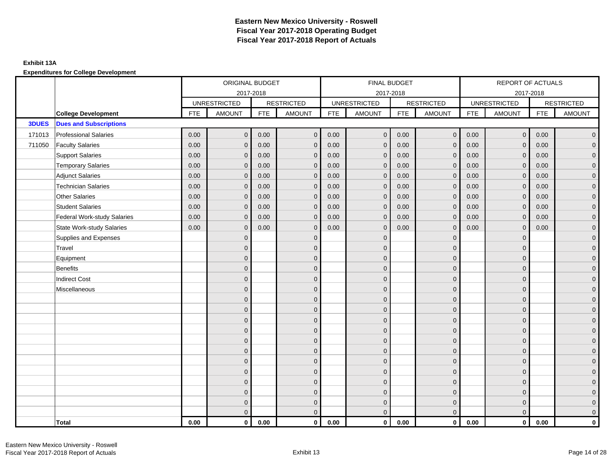|              |                                    |            | ORIGINAL BUDGET     |            |                   |            | FINAL BUDGET        |            |                   |            | REPORT OF ACTUALS   |            |                     |
|--------------|------------------------------------|------------|---------------------|------------|-------------------|------------|---------------------|------------|-------------------|------------|---------------------|------------|---------------------|
|              |                                    |            | 2017-2018           |            |                   |            |                     | 2017-2018  |                   |            |                     | 2017-2018  |                     |
|              |                                    |            | <b>UNRESTRICTED</b> |            | <b>RESTRICTED</b> |            | <b>UNRESTRICTED</b> |            | <b>RESTRICTED</b> |            | <b>UNRESTRICTED</b> |            | <b>RESTRICTED</b>   |
|              | <b>College Development</b>         | <b>FTE</b> | <b>AMOUNT</b>       | <b>FTE</b> | <b>AMOUNT</b>     | <b>FTE</b> | <b>AMOUNT</b>       | <b>FTE</b> | <b>AMOUNT</b>     | <b>FTE</b> | <b>AMOUNT</b>       | <b>FTE</b> | <b>AMOUNT</b>       |
| <b>3DUES</b> | <b>Dues and Subscriptions</b>      |            |                     |            |                   |            |                     |            |                   |            |                     |            |                     |
| 171013       | <b>Professional Salaries</b>       | 0.00       | $\mathbf{0}$        | 0.00       | $\mathbf{0}$      | 0.00       | $\mathbf{0}$        | 0.00       | $\mathbf 0$       | 0.00       | $\overline{0}$      | 0.00       | $\overline{0}$      |
| 711050       | <b>Faculty Salaries</b>            | 0.00       | $\mathbf{0}$        | 0.00       | $\mathbf 0$       | 0.00       | $\mathbf{0}$        | 0.00       | $\mathbf{0}$      | 0.00       | $\mathbf 0$         | 0.00       | $\mathbf 0$         |
|              | <b>Support Salaries</b>            | 0.00       | $\mathbf{0}$        | 0.00       | $\mathbf 0$       | 0.00       | $\mathbf{0}$        | 0.00       | $\mathbf{0}$      | 0.00       | $\mathbf{0}$        | 0.00       | $\overline{0}$      |
|              | <b>Temporary Salaries</b>          | 0.00       | $\mathbf{0}$        | 0.00       | $\mathbf 0$       | 0.00       | $\mathbf{0}$        | 0.00       | $\mathbf{0}$      | 0.00       | $\mathbf{0}$        | 0.00       | $\overline{0}$      |
|              | <b>Adjunct Salaries</b>            | 0.00       | $\mathbf{0}$        | 0.00       | $\mathbf 0$       | 0.00       | $\mathbf 0$         | 0.00       | $\mathbf{0}$      | 0.00       | $\mathbf 0$         | 0.00       | $\overline{0}$      |
|              | <b>Technician Salaries</b>         | 0.00       | $\Omega$            | 0.00       | $\mathbf{0}$      | 0.00       | $\mathbf{0}$        | 0.00       | $\mathbf{0}$      | 0.00       | $\mathbf{0}$        | 0.00       | $\overline{0}$      |
|              | <b>Other Salaries</b>              | 0.00       | $\mathbf{0}$        | 0.00       | $\mathbf 0$       | 0.00       | $\mathbf{0}$        | 0.00       | $\mathbf{0}$      | 0.00       | $\mathbf{0}$        | 0.00       | $\overline{0}$      |
|              | <b>Student Salaries</b>            | 0.00       | $\Omega$            | 0.00       | $\mathbf{0}$      | 0.00       | $\mathbf{0}$        | 0.00       | $\Omega$          | 0.00       | $\Omega$            | 0.00       | $\overline{0}$      |
|              | <b>Federal Work-study Salaries</b> | 0.00       | $\mathbf 0$         | 0.00       | $\mathbf 0$       | 0.00       | $\mathbf 0$         | 0.00       | $\mathbf 0$       | 0.00       | $\mathbf 0$         | 0.00       | $\overline{0}$      |
|              | <b>State Work-study Salaries</b>   | 0.00       | $\mathbf 0$         | 0.00       | $\mathbf 0$       | 0.00       | $\mathbf 0$         | 0.00       | $\mathbf{0}$      | 0.00       | $\mathbf 0$         | 0.00       | $\overline{0}$      |
|              | Supplies and Expenses              |            | $\mathbf{0}$        |            | $\mathbf{0}$      |            | $\mathbf{0}$        |            | $\mathbf{0}$      |            | $\overline{0}$      |            | $\overline{0}$      |
|              | Travel                             |            | $\Omega$            |            | $\mathbf 0$       |            | $\Omega$            |            | $\mathbf{0}$      |            | $\mathbf 0$         |            | $\mathbf{0}$        |
|              | Equipment                          |            | $\mathbf{0}$        |            | $\mathbf 0$       |            | $\Omega$            |            | $\mathbf{0}$      |            | $\Omega$            |            | $\overline{0}$      |
|              | <b>Benefits</b>                    |            | $\mathbf{0}$        |            | $\mathbf 0$       |            | $\mathbf{0}$        |            | $\mathbf 0$       |            | $\Omega$            |            | $\overline{0}$      |
|              | <b>Indirect Cost</b>               |            | $\mathbf{0}$        |            | $\mathbf 0$       |            | $\Omega$            |            | $\mathbf{0}$      |            | $\mathbf{0}$        |            | $\overline{0}$      |
|              | Miscellaneous                      |            | $\mathbf{0}$        |            | $\mathbf 0$       |            | $\Omega$            |            | $\mathbf{0}$      |            | $\mathbf 0$         |            | $\mathbf{0}$        |
|              |                                    |            | $\Omega$            |            | $\mathbf{0}$      |            | $\Omega$            |            | $\mathbf{0}$      |            | $\Omega$            |            | $\mathbf{0}$        |
|              |                                    |            | $\mathbf{0}$        |            | $\mathbf 0$       |            | $\Omega$            |            | $\mathbf 0$       |            | $\mathbf 0$         |            | $\overline{0}$      |
|              |                                    |            | $\mathbf{0}$        |            | $\mathbf 0$       |            | $\mathbf{0}$        |            | $\mathbf{0}$      |            | $\Omega$            |            | $\overline{0}$      |
|              |                                    |            | $\mathbf{0}$        |            | $\mathbf 0$       |            | $\Omega$            |            | $\mathbf{0}$      |            | $\Omega$            |            | $\overline{0}$      |
|              |                                    |            | $\mathbf{0}$        |            | $\mathbf 0$       |            | $\Omega$            |            | $\mathbf{0}$      |            | $\mathbf 0$         |            | $\mathbf{0}$        |
|              |                                    |            | $\Omega$            |            | $\mathbf 0$       |            | $\Omega$            |            | $\Omega$          |            | $\Omega$            |            | $\overline{0}$      |
|              |                                    |            | $\mathbf{0}$        |            | $\mathbf 0$       |            | $\Omega$            |            | $\mathbf{0}$      |            | $\mathbf 0$         |            | $\mathbf 0$         |
|              |                                    |            | $\mathbf{0}$        |            | $\mathbf 0$       |            | $\mathbf{0}$        |            | $\mathbf{0}$      |            | $\Omega$            |            | $\overline{0}$      |
|              |                                    |            | $\mathbf 0$         |            | $\mathbf 0$       |            | $\Omega$            |            | $\mathbf 0$       |            | $\mathbf{0}$        |            | $\mathsf{O}\xspace$ |
|              |                                    |            | $\Omega$            |            | $\mathbf 0$       |            | $\Omega$            |            | $\mathbf{0}$      |            | $\Omega$            |            | $\overline{0}$      |
|              |                                    |            | $\Omega$            |            | $\mathbf{0}$      |            | $\Omega$            |            | $\mathbf{0}$      |            | $\Omega$            |            | $\overline{0}$      |
|              |                                    |            | $\Omega$            |            | $\Omega$          |            | $\Omega$            |            | $\mathbf{0}$      |            | $\mathbf{0}$        |            | $\overline{0}$      |
|              | <b>Total</b>                       | 0.00       | $\bf{0}$            | 0.00       | $\mathbf 0$       | 0.00       | $\bf{0}$            | 0.00       | $\mathbf 0$       | 0.00       | $\mathbf{0}$        | 0.00       | $\mathbf 0$         |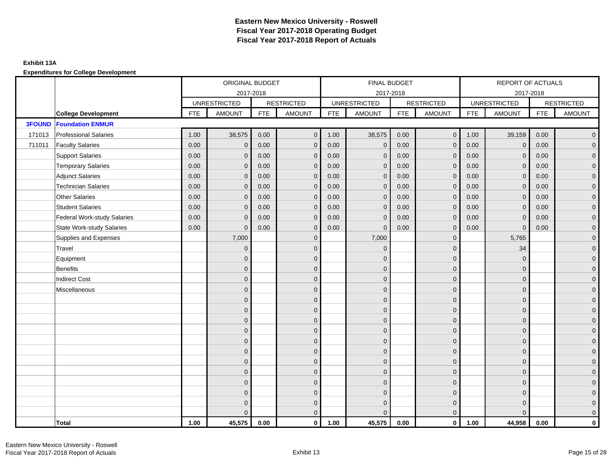|               |                                    | ORIGINAL BUDGET<br>2017-2018 |                     |            | FINAL BUDGET      |            |                     |            | REPORT OF ACTUALS |            |                     |            |                   |
|---------------|------------------------------------|------------------------------|---------------------|------------|-------------------|------------|---------------------|------------|-------------------|------------|---------------------|------------|-------------------|
|               |                                    |                              |                     |            |                   |            | 2017-2018           |            |                   |            | 2017-2018           |            |                   |
|               |                                    |                              | <b>UNRESTRICTED</b> |            | <b>RESTRICTED</b> |            | <b>UNRESTRICTED</b> |            | <b>RESTRICTED</b> |            | <b>UNRESTRICTED</b> |            | <b>RESTRICTED</b> |
|               | <b>College Development</b>         | <b>FTE</b>                   | <b>AMOUNT</b>       | <b>FTE</b> | <b>AMOUNT</b>     | <b>FTE</b> | <b>AMOUNT</b>       | <b>FTE</b> | <b>AMOUNT</b>     | <b>FTE</b> | <b>AMOUNT</b>       | <b>FTE</b> | <b>AMOUNT</b>     |
| <b>3FOUND</b> | <b>Foundation ENMUR</b>            |                              |                     |            |                   |            |                     |            |                   |            |                     |            |                   |
| 171013        | <b>Professional Salaries</b>       | 1.00                         | 38,575              | 0.00       | $\overline{0}$    | 1.00       | 38,575              | 0.00       | $\overline{0}$    | 1.00       | 39,159              | 0.00       | $\overline{0}$    |
| 711011        | <b>Faculty Salaries</b>            | 0.00                         | $\mathbf 0$         | 0.00       | $\mathbf{0}$      | 0.00       | $\mathbf 0$         | 0.00       | $\mathbf{0}$      | 0.00       | $\mathbf 0$         | 0.00       | $\mathbf 0$       |
|               | <b>Support Salaries</b>            | 0.00                         | $\mathbf 0$         | 0.00       | $\mathbf{0}$      | 0.00       | $\mathbf{0}$        | 0.00       | $\mathbf 0$       | 0.00       | $\mathbf 0$         | 0.00       | $\overline{0}$    |
|               | <b>Temporary Salaries</b>          | 0.00                         | $\mathbf{0}$        | 0.00       | $\Omega$          | 0.00       | $\mathbf{0}$        | 0.00       | $\mathbf{0}$      | 0.00       | $\mathbf{0}$        | 0.00       | $\overline{0}$    |
|               | <b>Adjunct Salaries</b>            | 0.00                         | $\Omega$            | 0.00       | $\Omega$          | 0.00       | $\Omega$            | 0.00       | $\mathbf{0}$      | 0.00       | $\Omega$            | 0.00       | $\overline{0}$    |
|               | <b>Technician Salaries</b>         | 0.00                         | $\mathbf{0}$        | 0.00       | $\Omega$          | 0.00       | $\mathbf{0}$        | 0.00       | $\mathbf{0}$      | 0.00       | $\Omega$            | 0.00       | $\mathbf 0$       |
|               | <b>Other Salaries</b>              | 0.00                         | $\mathbf{0}$        | 0.00       | $\mathbf{0}$      | 0.00       | $\mathbf{0}$        | 0.00       | $\mathbf{0}$      | 0.00       | $\mathbf{0}$        | 0.00       | $\overline{0}$    |
|               | <b>Student Salaries</b>            | 0.00                         | $\mathbf{0}$        | 0.00       | $\mathbf{0}$      | 0.00       | $\mathbf{0}$        | 0.00       | $\mathbf{0}$      | 0.00       | $\mathbf{0}$        | 0.00       | $\overline{0}$    |
|               | <b>Federal Work-study Salaries</b> | 0.00                         | $\mathbf{0}$        | 0.00       | $\mathbf{0}$      | 0.00       | $\mathbf{0}$        | 0.00       | $\mathbf 0$       | 0.00       | $\overline{0}$      | 0.00       | $\overline{0}$    |
|               | <b>State Work-study Salaries</b>   | 0.00                         | $\mathbf{0}$        | 0.00       | $\mathbf{0}$      | 0.00       | $\mathbf{0}$        | 0.00       | $\mathbf{0}$      | 0.00       | $\Omega$            | 0.00       | $\mathbf 0$       |
|               | Supplies and Expenses              |                              | 7,000               |            | $\Omega$          |            | 7,000               |            | $\mathbf{0}$      |            | 5,765               |            | $\overline{0}$    |
|               | Travel                             |                              | $\mathbf{0}$        |            | $\mathbf{0}$      |            | $\Omega$            |            | $\mathbf{0}$      |            | 34                  |            | $\mathbf 0$       |
|               | Equipment                          |                              | $\mathbf{0}$        |            | $\mathbf{0}$      |            | $\Omega$            |            | $\mathbf 0$       |            | $\mathbf{0}$        |            | $\overline{0}$    |
|               | <b>Benefits</b>                    |                              | $\Omega$            |            | $\mathbf{0}$      |            | $\Omega$            |            | $\mathbf{0}$      |            | $\mathbf{0}$        |            | $\overline{0}$    |
|               | <b>Indirect Cost</b>               |                              | $\Omega$            |            | $\Omega$          |            | $\Omega$            |            | $\mathbf{0}$      |            | $\Omega$            |            | $\overline{0}$    |
|               | Miscellaneous                      |                              | $\mathbf{0}$        |            | $\mathbf{0}$      |            | $\mathbf{0}$        |            | $\mathbf 0$       |            | $\mathbf{0}$        |            | $\mathbf 0$       |
|               |                                    |                              | $\overline{0}$      |            | $\mathbf{0}$      |            | $\Omega$            |            | $\mathbf{0}$      |            | $\Omega$            |            | $\overline{0}$    |
|               |                                    |                              | $\mathbf{0}$        |            | $\mathbf{0}$      |            | $\Omega$            |            | $\mathbf 0$       |            | $\mathbf{0}$        |            | $\overline{0}$    |
|               |                                    |                              | $\mathbf{0}$        |            | $\mathbf 0$       |            | $\Omega$            |            | $\mathbf 0$       |            | $\mathbf{0}$        |            | $\overline{0}$    |
|               |                                    |                              | $\mathbf{0}$        |            | $\mathbf{0}$      |            | $\Omega$            |            | $\mathbf 0$       |            | $\mathbf{0}$        |            | $\mathbf 0$       |
|               |                                    |                              | $\Omega$            |            | $\mathbf{0}$      |            | $\Omega$            |            | $\mathbf{0}$      |            | $\Omega$            |            | $\overline{0}$    |
|               |                                    |                              | $\Omega$            |            | $\mathbf{0}$      |            | $\Omega$            |            | $\mathbf{0}$      |            | $\Omega$            |            | $\overline{0}$    |
|               |                                    |                              | $\mathbf{0}$        |            | $\mathbf{0}$      |            | $\Omega$            |            | $\mathbf{0}$      |            | $\mathbf{0}$        |            | $\overline{0}$    |
|               |                                    |                              | $\mathbf{0}$        |            | $\mathbf{0}$      |            | $\Omega$            |            | $\mathbf 0$       |            | $\mathbf{0}$        |            | $\overline{0}$    |
|               |                                    |                              | $\Omega$            |            | $\mathbf{0}$      |            | $\Omega$            |            | $\mathbf{0}$      |            | $\Omega$            |            | $\overline{0}$    |
|               |                                    |                              | $\Omega$            |            | $\mathbf 0$       |            | $\Omega$            |            | $\mathbf 0$       |            | $\mathbf{0}$        |            | $\overline{0}$    |
|               |                                    |                              | $\mathbf{0}$        |            | $\mathbf 0$       |            | $\Omega$            |            | $\mathbf 0$       |            | $\mathbf{0}$        |            | $\overline{0}$    |
|               |                                    |                              | $\Omega$            |            | $\Omega$          |            |                     |            | $\mathbf{0}$      |            | $\Omega$            |            | $\mathbf 0$       |
|               | Total                              | 1.00                         | 45,575              | 0.00       | $\mathbf{0}$      | 1.00       | 45,575              | 0.00       | $\mathbf 0$       | 1.00       | 44,958              | 0.00       | $\mathbf{0}$      |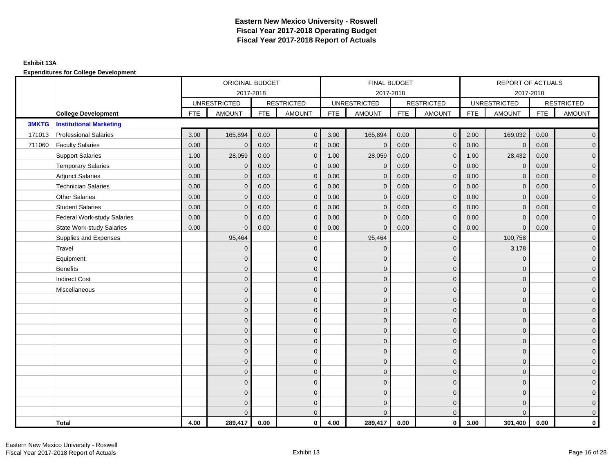|              |                                    |            | ORIGINAL BUDGET     |            |                   |            | FINAL BUDGET        |            |                   |            | REPORT OF ACTUALS   |            |                   |
|--------------|------------------------------------|------------|---------------------|------------|-------------------|------------|---------------------|------------|-------------------|------------|---------------------|------------|-------------------|
|              |                                    |            | 2017-2018           |            |                   |            | 2017-2018           |            |                   |            | 2017-2018           |            |                   |
|              |                                    |            | <b>UNRESTRICTED</b> |            | <b>RESTRICTED</b> |            | <b>UNRESTRICTED</b> |            | <b>RESTRICTED</b> |            | <b>UNRESTRICTED</b> |            | <b>RESTRICTED</b> |
|              | <b>College Development</b>         | <b>FTE</b> | <b>AMOUNT</b>       | <b>FTE</b> | <b>AMOUNT</b>     | <b>FTE</b> | <b>AMOUNT</b>       | <b>FTE</b> | <b>AMOUNT</b>     | <b>FTE</b> | <b>AMOUNT</b>       | <b>FTE</b> | <b>AMOUNT</b>     |
| <b>3MKTG</b> | <b>Institutional Marketing</b>     |            |                     |            |                   |            |                     |            |                   |            |                     |            |                   |
| 171013       | <b>Professional Salaries</b>       | 3.00       | 165,894             | 0.00       | $\mathbf{0}$      | 3.00       | 165,894             | 0.00       | $\overline{0}$    | 2.00       | 169,032             | 0.00       | $\overline{0}$    |
| 711060       | <b>Faculty Salaries</b>            | 0.00       | $\mathbf 0$         | 0.00       | $\mathbf{0}$      | 0.00       | $\mathbf 0$         | 0.00       | $\mathbf{0}$      | 0.00       | $\mathbf 0$         | 0.00       | $\mathbf 0$       |
|              | <b>Support Salaries</b>            | 1.00       | 28,059              | 0.00       | $\mathbf{0}$      | 1.00       | 28,059              | 0.00       | $\mathbf 0$       | 1.00       | 28,432              | 0.00       | $\overline{0}$    |
|              | <b>Temporary Salaries</b>          | 0.00       | $\mathbf{0}$        | 0.00       | $\Omega$          | 0.00       | $\mathbf{0}$        | 0.00       | $\mathbf{0}$      | 0.00       | $\mathbf{0}$        | 0.00       | $\overline{0}$    |
|              | <b>Adjunct Salaries</b>            | 0.00       | $\Omega$            | 0.00       | $\Omega$          | 0.00       | $\Omega$            | 0.00       | $\mathbf{0}$      | 0.00       | $\Omega$            | 0.00       | $\overline{0}$    |
|              | <b>Technician Salaries</b>         | 0.00       | $\mathbf{0}$        | 0.00       | $\Omega$          | 0.00       | $\mathbf{0}$        | 0.00       | $\mathbf{0}$      | 0.00       | $\Omega$            | 0.00       | $\mathbf 0$       |
|              | <b>Other Salaries</b>              | 0.00       | $\mathbf{0}$        | 0.00       | $\mathbf{0}$      | 0.00       | $\mathbf{0}$        | 0.00       | $\mathbf{0}$      | 0.00       | $\mathbf{0}$        | 0.00       | $\overline{0}$    |
|              | <b>Student Salaries</b>            | 0.00       | $\mathbf{0}$        | 0.00       | $\mathbf{0}$      | 0.00       | $\mathbf{0}$        | 0.00       | $\mathbf{0}$      | 0.00       | $\mathbf{0}$        | 0.00       | $\overline{0}$    |
|              | <b>Federal Work-study Salaries</b> | 0.00       | $\mathbf{0}$        | 0.00       | $\mathbf{0}$      | 0.00       | $\mathbf{0}$        | 0.00       | $\mathbf 0$       | 0.00       | $\overline{0}$      | 0.00       | $\overline{0}$    |
|              | <b>State Work-study Salaries</b>   | 0.00       | $\mathbf{0}$        | 0.00       | $\mathbf{0}$      | 0.00       | $\mathbf{0}$        | 0.00       | $\mathbf{0}$      | 0.00       | $\Omega$            | 0.00       | $\mathbf 0$       |
|              | Supplies and Expenses              |            | 95,464              |            | $\Omega$          |            | 95,464              |            | $\mathbf{0}$      |            | 100,758             |            | $\overline{0}$    |
|              | Travel                             |            | $\mathbf{0}$        |            | $\mathbf{0}$      |            | $\Omega$            |            | $\mathbf{0}$      |            | 3,178               |            | $\mathbf 0$       |
|              | Equipment                          |            | $\mathbf{0}$        |            | $\mathbf{0}$      |            | $\Omega$            |            | $\mathbf 0$       |            | $\mathbf{0}$        |            | $\overline{0}$    |
|              | <b>Benefits</b>                    |            | $\Omega$            |            | $\mathbf{0}$      |            | $\Omega$            |            | $\mathbf{0}$      |            | $\mathbf{0}$        |            | $\overline{0}$    |
|              | <b>Indirect Cost</b>               |            | $\Omega$            |            | $\Omega$          |            | $\Omega$            |            | $\mathbf{0}$      |            | $\Omega$            |            | $\overline{0}$    |
|              | Miscellaneous                      |            | $\mathbf{0}$        |            | $\mathbf{0}$      |            | $\mathbf{0}$        |            | $\mathbf 0$       |            | $\mathbf{0}$        |            | $\mathbf 0$       |
|              |                                    |            | $\mathbf{0}$        |            | $\mathbf{0}$      |            | $\Omega$            |            | $\mathbf{0}$      |            | $\Omega$            |            | $\overline{0}$    |
|              |                                    |            | $\mathbf{0}$        |            | $\mathbf{0}$      |            | $\Omega$            |            | $\mathbf 0$       |            | $\mathbf{0}$        |            | $\overline{0}$    |
|              |                                    |            | $\mathbf{0}$        |            | $\mathbf 0$       |            | $\Omega$            |            | $\mathbf 0$       |            | $\mathbf{0}$        |            | $\overline{0}$    |
|              |                                    |            | $\mathbf{0}$        |            | $\mathbf{0}$      |            | $\Omega$            |            | $\mathbf 0$       |            | $\mathbf{0}$        |            | $\mathbf 0$       |
|              |                                    |            | $\Omega$            |            | $\mathbf{0}$      |            | $\Omega$            |            | $\mathbf{0}$      |            | $\Omega$            |            | $\overline{0}$    |
|              |                                    |            | $\Omega$            |            | $\mathbf{0}$      |            | $\Omega$            |            | $\mathbf{0}$      |            | $\Omega$            |            | $\overline{0}$    |
|              |                                    |            | $\mathbf{0}$        |            | $\mathbf{0}$      |            | $\Omega$            |            | $\mathbf{0}$      |            | $\mathbf{0}$        |            | $\mathbf 0$       |
|              |                                    |            | $\mathbf{0}$        |            | $\mathbf{0}$      |            | $\Omega$            |            | $\mathbf 0$       |            | $\mathbf{0}$        |            | $\overline{0}$    |
|              |                                    |            | $\Omega$            |            | $\mathbf{0}$      |            | $\Omega$            |            | $\mathbf{0}$      |            | $\Omega$            |            | $\overline{0}$    |
|              |                                    |            | $\Omega$            |            | $\mathbf 0$       |            | $\Omega$            |            | $\mathbf 0$       |            | $\mathbf{0}$        |            | $\overline{0}$    |
|              |                                    |            | $\mathbf{0}$        |            | $\mathbf 0$       |            | $\Omega$            |            | $\mathbf 0$       |            | $\Omega$            |            | $\mathbf 0$       |
|              |                                    |            | $\Omega$            |            | $\Omega$          |            | $\Omega$            |            | $\mathbf{0}$      |            | $\Omega$            |            | $\mathbf{0}$      |
|              | Total                              | 4.00       | 289,417             | 0.00       | $\mathbf{0}$      | 4.00       | 289,417             | 0.00       | $\mathbf 0$       | 3.00       | 301,400             | 0.00       | $\mathbf{0}$      |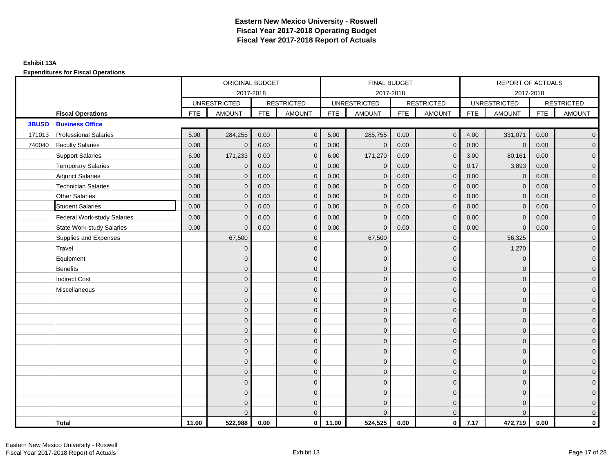**Expenditures for Fiscal Operations**

|              |                                    |            | ORIGINAL BUDGET     |            |                   |            | FINAL BUDGET        |            |                   |            | REPORT OF ACTUALS   |            |                     |
|--------------|------------------------------------|------------|---------------------|------------|-------------------|------------|---------------------|------------|-------------------|------------|---------------------|------------|---------------------|
|              |                                    |            | 2017-2018           |            |                   |            | 2017-2018           |            |                   |            | 2017-2018           |            |                     |
|              |                                    |            | <b>UNRESTRICTED</b> |            | <b>RESTRICTED</b> |            | <b>UNRESTRICTED</b> |            | <b>RESTRICTED</b> |            | <b>UNRESTRICTED</b> |            | <b>RESTRICTED</b>   |
|              | <b>Fiscal Operations</b>           | <b>FTE</b> | <b>AMOUNT</b>       | <b>FTE</b> | <b>AMOUNT</b>     | <b>FTE</b> | <b>AMOUNT</b>       | <b>FTE</b> | AMOUNT            | <b>FTE</b> | <b>AMOUNT</b>       | <b>FTE</b> | <b>AMOUNT</b>       |
| <b>3BUSO</b> | <b>Business Office</b>             |            |                     |            |                   |            |                     |            |                   |            |                     |            |                     |
| 171013       | <b>Professional Salaries</b>       | 5.00       | 284,255             | 0.00       | $\mathbf{0}$      | 5.00       | 285,755             | 0.00       | $\overline{0}$    | 4.00       | 331,071             | 0.00       | $\overline{0}$      |
| 740040       | <b>Faculty Salaries</b>            | 0.00       | $\mathbf{0}$        | 0.00       | $\mathbf{0}$      | 0.00       | $\mathbf{0}$        | 0.00       | $\mathbf{0}$      | 0.00       | $\mathbf 0$         | 0.00       | $\overline{0}$      |
|              | <b>Support Salaries</b>            | 6.00       | 171,233             | 0.00       | $\mathbf{0}$      | 6.00       | 171,270             | 0.00       | $\mathbf 0$       | 3.00       | 80,161              | 0.00       | $\overline{0}$      |
|              | <b>Temporary Salaries</b>          | 0.00       | $\mathbf 0$         | 0.00       | $\mathbf 0$       | 0.00       | $\mathbf 0$         | 0.00       | $\mathbf 0$       | 0.17       | 3,893               | 0.00       | $\mathbf{0}$        |
|              | <b>Adjunct Salaries</b>            | 0.00       | $\mathbf{0}$        | 0.00       | $\mathbf{0}$      | 0.00       | $\mathbf{0}$        | 0.00       | $\mathbf{0}$      | 0.00       | $\mathbf 0$         | 0.00       | $\mathbf{0}$        |
|              | <b>Technician Salaries</b>         | 0.00       | $\Omega$            | 0.00       | $\Omega$          | 0.00       | $\mathbf{0}$        | 0.00       | $\mathbf{0}$      | 0.00       | $\mathbf 0$         | 0.00       | $\mathbf{0}$        |
|              | Other Salaries                     | 0.00       | $\Omega$            | 0.00       | $\Omega$          | 0.00       | $\Omega$            | 0.00       | $\Omega$          | 0.00       | $\mathbf{0}$        | 0.00       | $\mathbf{0}$        |
|              | <b>Student Salaries</b>            | 0.00       | $\mathbf 0$         | 0.00       | $\mathbf 0$       | 0.00       | $\mathbf{0}$        | 0.00       | $\mathbf{0}$      | 0.00       | $\mathbf{0}$        | 0.00       | $\mathbf{0}$        |
|              | <b>Federal Work-study Salaries</b> | 0.00       | $\mathbf{0}$        | 0.00       | $\mathbf 0$       | 0.00       | $\mathbf{0}$        | 0.00       | $\overline{0}$    | 0.00       | $\mathbf 0$         | 0.00       | $\overline{0}$      |
|              | <b>State Work-study Salaries</b>   | 0.00       | $\mathbf{0}$        | 0.00       | $\mathbf{0}$      | 0.00       | $\mathbf{0}$        | 0.00       | $\mathbf{0}$      | 0.00       | $\mathbf{0}$        | 0.00       | $\overline{0}$      |
|              | Supplies and Expenses              |            | 67,500              |            | $\mathbf 0$       |            | 67,500              |            | $\overline{0}$    |            | 56,325              |            | $\mathsf{O}\xspace$ |
|              | Travel                             |            | $\overline{0}$      |            | $\mathbf{0}$      |            | $\mathbf{0}$        |            | $\mathbf{0}$      |            | 1,270               |            | $\overline{0}$      |
|              | Equipment                          |            | $\mathbf{0}$        |            | $\mathbf 0$       |            | $\mathbf{0}$        |            | $\mathbf 0$       |            | $\mathbf 0$         |            | $\overline{0}$      |
|              | <b>Benefits</b>                    |            | $\mathbf{0}$        |            | $\mathbf{0}$      |            | $\Omega$            |            | $\mathbf 0$       |            | $\mathbf 0$         |            | $\overline{0}$      |
|              | <b>Indirect Cost</b>               |            | $\Omega$            |            | $\mathbf{0}$      |            | $\Omega$            |            | $\mathbf{0}$      |            | $\Omega$            |            | $\overline{0}$      |
|              | Miscellaneous                      |            | $\Omega$            |            | $\mathbf{0}$      |            | $\Omega$            |            | $\mathbf{0}$      |            | $\Omega$            |            | $\mathsf{O}\xspace$ |
|              |                                    |            | $\mathbf{0}$        |            | $\mathbf 0$       |            | $\mathbf{0}$        |            | $\mathbf 0$       |            | $\mathbf{0}$        |            | $\mathbf{0}$        |
|              |                                    |            | $\mathbf{0}$        |            | $\mathbf 0$       |            | $\mathbf{0}$        |            | $\mathbf 0$       |            | $\mathbf{0}$        |            | $\overline{0}$      |
|              |                                    |            | $\mathbf{0}$        |            | $\mathbf{0}$      |            | $\Omega$            |            | $\mathbf 0$       |            | $\mathbf{0}$        |            | $\overline{0}$      |
|              |                                    |            | $\Omega$            |            | $\mathbf{0}$      |            | $\Omega$            |            | $\mathbf{0}$      |            | $\Omega$            |            | $\overline{0}$      |
|              |                                    |            | $\mathbf{0}$        |            | $\mathbf 0$       |            | $\mathbf{0}$        |            | $\mathbf 0$       |            | $\mathbf 0$         |            | $\mathsf{O}\xspace$ |
|              |                                    |            | $\mathbf{0}$        |            | $\mathbf 0$       |            | $\mathbf{0}$        |            | $\mathbf 0$       |            | $\mathbf{0}$        |            | $\overline{0}$      |
|              |                                    |            | $\mathbf{0}$        |            | $\mathbf{0}$      |            | $\mathbf{0}$        |            | $\mathbf 0$       |            | $\mathbf{0}$        |            | $\overline{0}$      |
|              |                                    |            | $\mathbf{0}$        |            | $\mathbf{0}$      |            | $\Omega$            |            | $\mathbf{0}$      |            | $\mathbf{0}$        |            | $\overline{0}$      |
|              |                                    |            | $\mathbf{0}$        |            | $\mathbf 0$       |            | $\mathbf{0}$        |            | $\mathbf 0$       |            | $\mathbf{0}$        |            | $\mathbf{0}$        |
|              |                                    |            | $\overline{0}$      |            | $\mathbf 0$       |            | $\mathbf{0}$        |            | $\mathbf 0$       |            | $\mathbf 0$         |            | $\mathbf{0}$        |
|              |                                    |            | $\mathbf{0}$        |            | $\mathbf 0$       |            | $\Omega$            |            | $\mathbf 0$       |            | $\mathbf 0$         |            | $\mathbf{0}$        |
|              |                                    |            | $\Omega$            |            | $\Omega$          |            | $\Omega$            |            | $\mathbf{0}$      |            | $\Omega$            |            | $\overline{0}$      |
|              | <b>Total</b>                       | 11.00      | 522,988             | 0.00       | $\mathbf{0}$      | 11.00      | 524,525             | 0.00       | $\overline{0}$    | 7.17       | 472,719             | 0.00       | $\mathbf 0$         |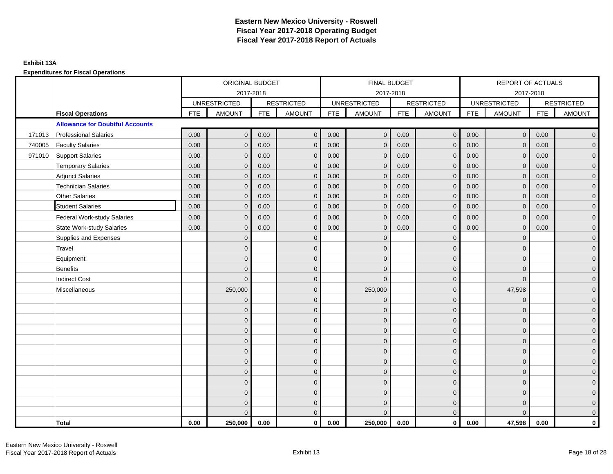**Expenditures for Fiscal Operations**

|        |                                        |            | ORIGINAL BUDGET     |            |                   |            | FINAL BUDGET        |            |                   |            | REPORT OF ACTUALS   |            |                     |
|--------|----------------------------------------|------------|---------------------|------------|-------------------|------------|---------------------|------------|-------------------|------------|---------------------|------------|---------------------|
|        |                                        |            |                     | 2017-2018  |                   |            | 2017-2018           |            |                   |            | 2017-2018           |            |                     |
|        |                                        |            | <b>UNRESTRICTED</b> |            | <b>RESTRICTED</b> |            | <b>UNRESTRICTED</b> |            | <b>RESTRICTED</b> |            | <b>UNRESTRICTED</b> |            | <b>RESTRICTED</b>   |
|        | <b>Fiscal Operations</b>               | <b>FTE</b> | <b>AMOUNT</b>       | <b>FTE</b> | <b>AMOUNT</b>     | <b>FTE</b> | <b>AMOUNT</b>       | <b>FTE</b> | <b>AMOUNT</b>     | <b>FTE</b> | <b>AMOUNT</b>       | <b>FTE</b> | <b>AMOUNT</b>       |
|        | <b>Allowance for Doubtful Accounts</b> |            |                     |            |                   |            |                     |            |                   |            |                     |            |                     |
| 171013 | <b>Professional Salaries</b>           | 0.00       | $\mathbf{0}$        | 0.00       | $\mathbf{0}$      | 0.00       | $\mathbf{0}$        | 0.00       | $\overline{0}$    | 0.00       | $\overline{0}$      | 0.00       | $\overline{0}$      |
| 740005 | <b>Faculty Salaries</b>                | 0.00       | $\mathbf{0}$        | 0.00       | $\mathbf{0}$      | 0.00       | $\mathbf{0}$        | 0.00       | $\mathbf{0}$      | 0.00       | $\overline{0}$      | 0.00       | $\overline{0}$      |
| 971010 | <b>Support Salaries</b>                | 0.00       | $\mathbf{0}$        | 0.00       | $\mathbf{0}$      | 0.00       | $\overline{0}$      | 0.00       | $\mathbf 0$       | 0.00       | $\overline{0}$      | 0.00       | $\overline{0}$      |
|        | <b>Temporary Salaries</b>              | 0.00       | $\mathbf 0$         | 0.00       | $\mathbf 0$       | 0.00       | $\mathbf 0$         | 0.00       | $\mathbf 0$       | 0.00       | $\mathbf{0}$        | 0.00       | $\mathbf{0}$        |
|        | <b>Adjunct Salaries</b>                | 0.00       | $\mathbf{0}$        | 0.00       | $\mathbf{0}$      | 0.00       | $\mathbf{0}$        | 0.00       | $\mathbf{0}$      | 0.00       | $\mathbf{0}$        | 0.00       | $\overline{0}$      |
|        | <b>Technician Salaries</b>             | 0.00       | $\Omega$            | 0.00       | $\Omega$          | 0.00       | $\mathbf{0}$        | 0.00       | $\mathbf{0}$      | 0.00       | $\mathbf{0}$        | 0.00       | $\mathbf 0$         |
|        | Other Salaries                         | 0.00       | $\Omega$            | 0.00       | $\Omega$          | 0.00       | $\Omega$            | 0.00       | $\Omega$          | 0.00       | $\mathbf{0}$        | 0.00       | $\mathbf{0}$        |
|        | <b>Student Salaries</b>                | 0.00       | $\mathbf 0$         | 0.00       | $\mathbf 0$       | 0.00       | $\mathbf{0}$        | 0.00       | $\mathbf{0}$      | 0.00       | $\mathbf 0$         | 0.00       | $\mathbf{0}$        |
|        | <b>Federal Work-study Salaries</b>     | 0.00       | $\mathbf 0$         | 0.00       | $\mathbf 0$       | 0.00       | $\mathbf{0}$        | 0.00       | $\overline{0}$    | 0.00       | $\mathbf 0$         | 0.00       | $\overline{0}$      |
|        | <b>State Work-study Salaries</b>       | 0.00       | $\mathbf{0}$        | 0.00       | $\mathbf{0}$      | 0.00       | $\mathbf{0}$        | 0.00       | $\mathbf{0}$      | 0.00       | $\mathbf{0}$        | 0.00       | $\overline{0}$      |
|        | Supplies and Expenses                  |            | $\Omega$            |            | $\Omega$          |            | $\Omega$            |            | $\overline{0}$    |            | $\mathbf 0$         |            | $\mathsf{O}\xspace$ |
|        | Travel                                 |            | $\Omega$            |            | $\mathbf{0}$      |            | $\Omega$            |            | $\mathbf{0}$      |            | $\mathbf{0}$        |            | $\overline{0}$      |
|        | Equipment                              |            | $\overline{0}$      |            | $\mathbf 0$       |            | $\mathbf{0}$        |            | $\mathbf 0$       |            | $\mathbf{0}$        |            | $\overline{0}$      |
|        | <b>Benefits</b>                        |            | $\mathbf{0}$        |            | $\mathbf{0}$      |            | $\Omega$            |            | $\mathbf 0$       |            | $\mathbf 0$         |            | $\overline{0}$      |
|        | <b>Indirect Cost</b>                   |            | $\Omega$            |            | $\mathbf{0}$      |            | $\Omega$            |            | $\mathbf{0}$      |            | $\Omega$            |            | $\overline{0}$      |
|        | Miscellaneous                          |            | 250,000             |            | $\mathbf{0}$      |            | 250,000             |            | $\mathbf{0}$      |            | 47,598              |            | $\overline{0}$      |
|        |                                        |            | $\mathbf 0$         |            | $\mathbf 0$       |            | $\mathbf{0}$        |            | $\mathbf 0$       |            | $\mathbf 0$         |            | $\mathbf{0}$        |
|        |                                        |            | $\Omega$            |            | $\mathbf 0$       |            | $\mathbf{0}$        |            | $\mathbf 0$       |            | $\mathbf 0$         |            | $\overline{0}$      |
|        |                                        |            | $\Omega$            |            | $\mathbf{0}$      |            | $\Omega$            |            | $\mathbf 0$       |            | $\mathbf{0}$        |            | $\overline{0}$      |
|        |                                        |            | $\Omega$            |            | $\mathbf{0}$      |            | $\Omega$            |            | $\mathbf{0}$      |            | $\Omega$            |            | $\overline{0}$      |
|        |                                        |            | $\mathbf{0}$        |            | $\mathbf 0$       |            | $\mathbf{0}$        |            | $\mathbf 0$       |            | $\mathbf 0$         |            | $\mathsf{O}\xspace$ |
|        |                                        |            | $\mathbf{0}$        |            | $\mathbf 0$       |            | $\mathbf{0}$        |            | $\mathbf 0$       |            | $\mathbf{0}$        |            | $\mathbf{0}$        |
|        |                                        |            | $\Omega$            |            | $\mathbf{0}$      |            | $\mathbf{0}$        |            | $\mathbf 0$       |            | $\mathbf{0}$        |            | $\overline{0}$      |
|        |                                        |            | $\Omega$            |            | $\mathbf{0}$      |            | $\Omega$            |            | $\mathbf{0}$      |            | $\mathbf 0$         |            | $\overline{0}$      |
|        |                                        |            | $\overline{0}$      |            | $\mathbf 0$       |            | $\mathbf{0}$        |            | $\mathbf 0$       |            | $\mathbf 0$         |            | $\mathbf{0}$        |
|        |                                        |            | $\mathbf{0}$        |            | $\mathbf 0$       |            | $\Omega$            |            | $\mathbf 0$       |            | $\mathbf 0$         |            | $\mathbf{0}$        |
|        |                                        |            | 0                   |            | $\mathbf 0$       |            | $\Omega$            |            | $\mathbf 0$       |            | $\mathbf 0$         |            | $\mathbf{0}$        |
|        |                                        |            | $\Omega$            |            | $\mathbf{0}$      |            | $\Omega$            |            | $\mathbf{0}$      |            | $\Omega$            |            | $\overline{0}$      |
|        | <b>Total</b>                           | 0.00       | 250,000             | 0.00       | $\mathbf{0}$      | 0.00       | 250,000             | 0.00       | $\mathbf{0}$      | 0.00       | 47,598              | 0.00       | $\mathbf 0$         |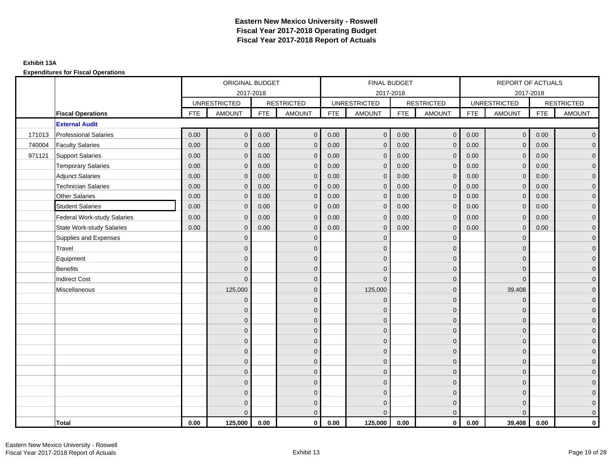**Expenditures for Fiscal Operations**

|        |                                    |            | ORIGINAL BUDGET     |            |                   |            | <b>FINAL BUDGET</b> |            |                   |            | <b>REPORT OF ACTUALS</b> |            |                     |
|--------|------------------------------------|------------|---------------------|------------|-------------------|------------|---------------------|------------|-------------------|------------|--------------------------|------------|---------------------|
|        |                                    |            |                     | 2017-2018  |                   |            | 2017-2018           |            |                   |            | 2017-2018                |            |                     |
|        |                                    |            | <b>UNRESTRICTED</b> |            | <b>RESTRICTED</b> |            | <b>UNRESTRICTED</b> |            | <b>RESTRICTED</b> |            | <b>UNRESTRICTED</b>      |            | <b>RESTRICTED</b>   |
|        | <b>Fiscal Operations</b>           | <b>FTE</b> | <b>AMOUNT</b>       | <b>FTE</b> | <b>AMOUNT</b>     | <b>FTE</b> | <b>AMOUNT</b>       | <b>FTE</b> | <b>AMOUNT</b>     | <b>FTE</b> | <b>AMOUNT</b>            | <b>FTE</b> | <b>AMOUNT</b>       |
|        | <b>External Audit</b>              |            |                     |            |                   |            |                     |            |                   |            |                          |            |                     |
| 171013 | <b>Professional Salaries</b>       | 0.00       | $\overline{0}$      | 0.00       | $\mathbf{0}$      | 0.00       | $\mathbf{0}$        | 0.00       | $\overline{0}$    | 0.00       | $\overline{0}$           | 0.00       | $\overline{0}$      |
| 740004 | <b>Faculty Salaries</b>            | 0.00       | $\mathbf{0}$        | 0.00       | $\Omega$          | 0.00       | $\mathbf{0}$        | 0.00       | $\mathbf{0}$      | 0.00       | $\mathbf{0}$             | 0.00       | $\overline{0}$      |
| 971121 | Support Salaries                   | 0.00       | $\mathbf{0}$        | 0.00       | $\mathbf{0}$      | 0.00       | $\overline{0}$      | 0.00       | $\mathbf{0}$      | 0.00       | $\mathbf{0}$             | 0.00       | $\overline{0}$      |
|        | <b>Temporary Salaries</b>          | 0.00       | $\mathbf 0$         | 0.00       | $\mathbf 0$       | 0.00       | $\mathbf{0}$        | 0.00       | $\mathbf 0$       | 0.00       | $\mathbf 0$              | 0.00       | $\mathsf{O}\xspace$ |
|        | <b>Adjunct Salaries</b>            | 0.00       | $\mathbf{0}$        | 0.00       | $\mathbf{0}$      | 0.00       | $\mathbf{0}$        | 0.00       | $\mathbf{0}$      | 0.00       | $\mathbf 0$              | 0.00       | $\overline{0}$      |
|        | <b>Technician Salaries</b>         | 0.00       | $\Omega$            | 0.00       | $\Omega$          | 0.00       | $\mathbf{0}$        | 0.00       | $\mathbf{0}$      | 0.00       | $\mathbf{0}$             | 0.00       | $\overline{0}$      |
|        | Other Salaries                     | 0.00       | $\Omega$            | 0.00       | $\Omega$          | 0.00       | $\Omega$            | 0.00       | $\mathbf{0}$      | 0.00       | $\mathbf{0}$             | 0.00       | $\mathsf{O}\xspace$ |
|        | <b>Student Salaries</b>            | 0.00       | $\mathbf 0$         | 0.00       | $\mathbf 0$       | 0.00       | $\mathbf{0}$        | 0.00       | $\mathbf{0}$      | 0.00       | $\overline{0}$           | 0.00       | $\mathbf{0}$        |
|        | <b>Federal Work-study Salaries</b> | 0.00       | $\mathbf 0$         | 0.00       | $\mathbf 0$       | 0.00       | $\mathbf{0}$        | 0.00       | $\overline{0}$    | 0.00       | $\mathbf 0$              | 0.00       | $\overline{0}$      |
|        | <b>State Work-study Salaries</b>   | 0.00       | $\mathbf{0}$        | 0.00       | $\mathbf{0}$      | 0.00       | $\mathbf{0}$        | 0.00       | $\mathbf 0$       | 0.00       | $\mathbf 0$              | 0.00       | $\mathbf{0}$        |
|        | Supplies and Expenses              |            | $\Omega$            |            | $\mathbf 0$       |            | $\mathbf{0}$        |            | $\mathbf{0}$      |            | $\mathbf 0$              |            | $\overline{0}$      |
|        | Travel                             |            | $\Omega$            |            | $\mathbf{0}$      |            | $\Omega$            |            | $\mathbf{0}$      |            | $\mathbf{0}$             |            | $\overline{0}$      |
|        | Equipment                          |            | $\mathbf{0}$        |            | $\mathbf 0$       |            | $\mathbf{0}$        |            | $\mathbf 0$       |            | $\mathbf{0}$             |            | $\overline{0}$      |
|        | <b>Benefits</b>                    |            | $\mathbf{0}$        |            | $\mathbf{0}$      |            | $\Omega$            |            | $\mathbf 0$       |            | $\mathbf 0$              |            | $\overline{0}$      |
|        | <b>Indirect Cost</b>               |            | $\mathbf{0}$        |            | $\mathbf{0}$      |            | $\Omega$            |            | $\mathbf{0}$      |            | $\Omega$                 |            | $\overline{0}$      |
|        | Miscellaneous                      |            | 125,000             |            | $\mathbf{0}$      |            | 125,000             |            | $\mathbf 0$       |            | 39,408                   |            | $\overline{0}$      |
|        |                                    |            | $\mathbf 0$         |            | $\mathbf 0$       |            | $\mathbf{0}$        |            | $\mathbf 0$       |            | $\mathbf 0$              |            | $\mathbf{0}$        |
|        |                                    |            | $\mathbf{0}$        |            | $\mathbf 0$       |            | $\mathbf{0}$        |            | $\mathbf 0$       |            | $\mathbf{0}$             |            | $\overline{0}$      |
|        |                                    |            | $\mathbf{0}$        |            | $\mathbf{0}$      |            | $\Omega$            |            | $\mathbf 0$       |            | $\mathbf{0}$             |            | $\overline{0}$      |
|        |                                    |            | $\Omega$            |            | $\mathbf{0}$      |            | $\Omega$            |            | $\mathbf{0}$      |            | $\Omega$                 |            | $\overline{0}$      |
|        |                                    |            | $\overline{0}$      |            | $\mathbf 0$       |            | $\mathbf{0}$        |            | $\mathbf 0$       |            | $\mathbf 0$              |            | $\mathsf{O}\xspace$ |
|        |                                    |            | $\overline{0}$      |            | $\mathbf 0$       |            | $\mathbf{0}$        |            | $\mathbf 0$       |            | $\mathbf{0}$             |            | $\mathbf{0}$        |
|        |                                    |            | $\overline{0}$      |            | $\mathbf{0}$      |            | $\mathbf{0}$        |            | $\mathbf 0$       |            | $\mathbf{0}$             |            | $\overline{0}$      |
|        |                                    |            | $\Omega$            |            | $\mathbf{0}$      |            | $\Omega$            |            | $\mathbf 0$       |            | $\mathbf{0}$             |            | $\overline{0}$      |
|        |                                    |            | $\overline{0}$      |            | $\mathbf 0$       |            | $\mathbf{0}$        |            | $\mathbf 0$       |            | $\mathbf 0$              |            | $\mathbf{0}$        |
|        |                                    |            | $\mathbf{0}$        |            | $\mathbf 0$       |            | $\mathbf{0}$        |            | $\mathbf 0$       |            | $\mathbf 0$              |            | $\mathbf{0}$        |
|        |                                    |            | $\overline{0}$      |            | $\mathbf 0$       |            | $\mathbf{0}$        |            | $\mathbf 0$       |            | $\mathbf{0}$             |            | $\mathbf{0}$        |
|        |                                    |            | $\Omega$            |            | $\mathbf{0}$      |            | $\Omega$            |            | $\overline{0}$    |            | $\Omega$                 |            | $\overline{0}$      |
|        | <b>Total</b>                       | 0.00       | 125,000             | 0.00       | $\mathbf 0$       | 0.00       | 125,000             | 0.00       | $\overline{0}$    | 0.00       | 39,408                   | 0.00       | $\mathbf{0}$        |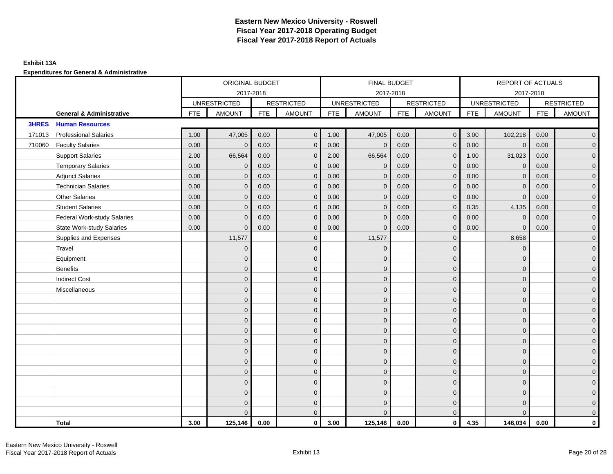## **Exhibit 13A**

|              |                                     | ORIGINAL BUDGET<br>2017-2018 |                     |            |                   | FINAL BUDGET |                     |            |                     | REPORT OF ACTUALS |                     |            |                     |
|--------------|-------------------------------------|------------------------------|---------------------|------------|-------------------|--------------|---------------------|------------|---------------------|-------------------|---------------------|------------|---------------------|
|              |                                     |                              |                     |            |                   |              | 2017-2018           |            |                     |                   | 2017-2018           |            |                     |
|              |                                     |                              | <b>UNRESTRICTED</b> |            | <b>RESTRICTED</b> |              | <b>UNRESTRICTED</b> |            | <b>RESTRICTED</b>   |                   | <b>UNRESTRICTED</b> |            | <b>RESTRICTED</b>   |
|              | <b>General &amp; Administrative</b> | <b>FTE</b>                   | <b>AMOUNT</b>       | <b>FTE</b> | <b>AMOUNT</b>     | <b>FTE</b>   | <b>AMOUNT</b>       | <b>FTE</b> | <b>AMOUNT</b>       | <b>FTE</b>        | <b>AMOUNT</b>       | <b>FTE</b> | <b>AMOUNT</b>       |
| <b>3HRES</b> | <b>Human Resources</b>              |                              |                     |            |                   |              |                     |            |                     |                   |                     |            |                     |
| 171013       | <b>Professional Salaries</b>        | 1.00                         | 47,005              | 0.00       | $\mathbf{0}$      | 1.00         | 47,005              | 0.00       | $\overline{0}$      | 3.00              | 102,218             | 0.00       | $\overline{0}$      |
| 710060       | <b>Faculty Salaries</b>             | 0.00                         | $\mathbf 0$         | 0.00       | $\mathbf{0}$      | 0.00         | $\mathbf{0}$        | 0.00       | $\mathbf 0$         | 0.00              | $\mathbf 0$         | 0.00       | $\overline{0}$      |
|              | <b>Support Salaries</b>             | 2.00                         | 66,564              | 0.00       | $\mathbf{0}$      | 2.00         | 66,564              | 0.00       | $\overline{0}$      | 1.00              | 31,023              | 0.00       | $\overline{0}$      |
|              | <b>Temporary Salaries</b>           | 0.00                         | $\mathbf{0}$        | 0.00       | $\mathbf{0}$      | 0.00         | $\mathbf 0$         | 0.00       | $\mathbf{0}$        | 0.00              | $\mathbf 0$         | 0.00       | $\overline{0}$      |
|              | <b>Adjunct Salaries</b>             | 0.00                         | $\Omega$            | 0.00       | $\Omega$          | 0.00         | $\Omega$            | 0.00       | $\mathbf{0}$        | 0.00              | $\Omega$            | 0.00       | $\overline{0}$      |
|              | <b>Technician Salaries</b>          | 0.00                         | $\mathbf{0}$        | 0.00       | $\mathbf{0}$      | 0.00         | $\mathbf{0}$        | 0.00       | $\mathbf 0$         | 0.00              | $\mathbf 0$         | 0.00       | $\mathbf{0}$        |
|              | <b>Other Salaries</b>               | 0.00                         | $\mathbf{0}$        | 0.00       | $\mathbf{0}$      | 0.00         | $\mathbf{0}$        | 0.00       | $\mathbf{0}$        | 0.00              | $\mathbf{0}$        | 0.00       | $\overline{0}$      |
|              | <b>Student Salaries</b>             | 0.00                         | $\mathbf{0}$        | 0.00       | $\mathbf{0}$      | 0.00         | $\mathbf{0}$        | 0.00       | $\mathbf 0$         | 0.35              | 4,135               | 0.00       | $\overline{0}$      |
|              | <b>Federal Work-study Salaries</b>  | 0.00                         | $\mathbf{0}$        | 0.00       | $\mathbf{0}$      | 0.00         | $\mathbf{0}$        | 0.00       | $\mathbf 0$         | 0.00              | $\mathbf 0$         | 0.00       | $\overline{0}$      |
|              | <b>State Work-study Salaries</b>    | 0.00                         | $\mathbf{0}$        | 0.00       | $\mathbf{0}$      | 0.00         | $\mathbf{0}$        | 0.00       | $\mathbf{0}$        | 0.00              | $\mathbf 0$         | 0.00       | $\mathbf{0}$        |
|              | Supplies and Expenses               |                              | 11,577              |            | $\mathbf{0}$      |              | 11,577              |            | $\mathbf{0}$        |                   | 8,658               |            | $\mathsf{O}\xspace$ |
|              | Travel                              |                              | $\overline{0}$      |            | $\mathbf{0}$      |              | $\mathbf{0}$        |            | $\mathbf{0}$        |                   | $\mathbf 0$         |            | $\overline{0}$      |
|              | Equipment                           |                              | $\mathbf{0}$        |            | $\mathbf 0$       |              | $\mathbf{0}$        |            | $\mathbf 0$         |                   | $\mathbf{0}$        |            | $\overline{0}$      |
|              | Benefits                            |                              | $\Omega$            |            | $\mathbf{0}$      |              | $\Omega$            |            | $\mathbf 0$         |                   | $\mathbf 0$         |            | $\overline{0}$      |
|              | <b>Indirect Cost</b>                |                              | $\Omega$            |            | $\mathbf{0}$      |              | $\Omega$            |            | $\mathbf{0}$        |                   | $\Omega$            |            | $\overline{0}$      |
|              | Miscellaneous                       |                              | $\mathbf{0}$        |            | $\mathbf 0$       |              | $\mathbf{0}$        |            | $\mathbf 0$         |                   | $\mathbf 0$         |            | $\mathsf{O}\xspace$ |
|              |                                     |                              | $\mathbf{0}$        |            | $\mathbf 0$       |              | $\mathbf{0}$        |            | $\mathbf{0}$        |                   | $\mathbf{0}$        |            | $\overline{0}$      |
|              |                                     |                              | $\mathbf{0}$        |            | $\mathbf{0}$      |              | $\Omega$            |            | $\mathbf 0$         |                   | $\mathbf{0}$        |            | $\overline{0}$      |
|              |                                     |                              | $\mathbf{0}$        |            | $\mathbf 0$       |              | $\Omega$            |            | $\mathsf{O}\xspace$ |                   | $\mathbf 0$         |            | $\mathbf{0}$        |
|              |                                     |                              | $\Omega$            |            | $\mathbf{0}$      |              | $\Omega$            |            | $\mathbf 0$         |                   | $\mathbf 0$         |            | $\mathbf{0}$        |
|              |                                     |                              | $\Omega$            |            | $\mathbf{0}$      |              | $\Omega$            |            | $\mathbf{0}$        |                   | $\Omega$            |            | $\mathsf{O}\xspace$ |
|              |                                     |                              | $\mathbf{0}$        |            | $\mathbf{0}$      |              | $\Omega$            |            | $\mathbf{0}$        |                   | $\Omega$            |            | $\overline{0}$      |
|              |                                     |                              | $\mathbf{0}$        |            | $\mathbf 0$       |              | $\mathbf{0}$        |            | $\mathbf 0$         |                   | $\mathbf{0}$        |            | $\overline{0}$      |
|              |                                     |                              | $\Omega$            |            | $\mathbf{0}$      |              | $\Omega$            |            | $\mathbf 0$         |                   | $\mathbf 0$         |            | $\overline{0}$      |
|              |                                     |                              | $\Omega$            |            | $\mathbf{0}$      |              | $\Omega$            |            | $\mathbf 0$         |                   | $\Omega$            |            | $\overline{0}$      |
|              |                                     |                              | $\mathbf{0}$        |            | $\mathbf 0$       |              | $\mathbf{0}$        |            | $\mathbf 0$         |                   | $\mathbf 0$         |            | $\overline{0}$      |
|              |                                     |                              | $\overline{0}$      |            | $\mathbf 0$       |              | $\mathbf{0}$        |            | $\mathbf 0$         |                   | $\mathbf 0$         |            | $\mathbf{0}$        |
|              |                                     |                              | $\Omega$            |            | $\mathbf{0}$      |              | $\Omega$            |            | $\overline{0}$      |                   | $\Omega$            |            | $\overline{0}$      |
|              | <b>Total</b>                        | 3.00                         | 125,146             | 0.00       | $\mathbf{0}$      | 3.00         | 125,146             | 0.00       | $\overline{0}$      | 4.35              | 146,034             | 0.00       | $\mathbf{0}$        |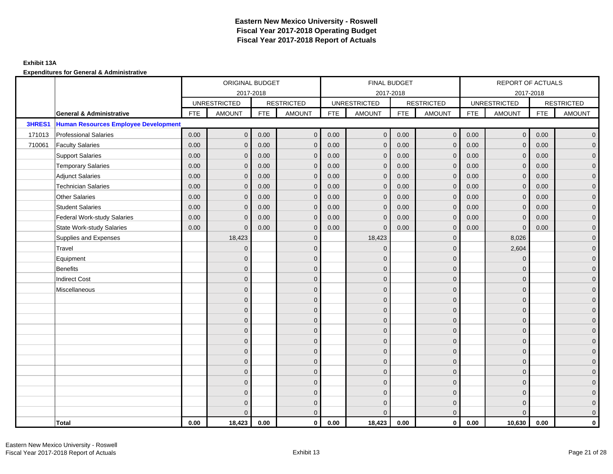## **Exhibit 13A**

|        |                                             |            | ORIGINAL BUDGET     |            |                   |            | FINAL BUDGET        |            |                   |            | REPORT OF ACTUALS   |            |                     |
|--------|---------------------------------------------|------------|---------------------|------------|-------------------|------------|---------------------|------------|-------------------|------------|---------------------|------------|---------------------|
|        |                                             |            |                     | 2017-2018  |                   |            | 2017-2018           |            |                   |            | 2017-2018           |            |                     |
|        |                                             |            | <b>UNRESTRICTED</b> |            | <b>RESTRICTED</b> |            | <b>UNRESTRICTED</b> |            | <b>RESTRICTED</b> |            | <b>UNRESTRICTED</b> |            | <b>RESTRICTED</b>   |
|        | <b>General &amp; Administrative</b>         | <b>FTE</b> | <b>AMOUNT</b>       | <b>FTE</b> | <b>AMOUNT</b>     | <b>FTE</b> | <b>AMOUNT</b>       | <b>FTE</b> | <b>AMOUNT</b>     | <b>FTE</b> | <b>AMOUNT</b>       | <b>FTE</b> | <b>AMOUNT</b>       |
| 3HRES1 | <b>Human Resources Employee Development</b> |            |                     |            |                   |            |                     |            |                   |            |                     |            |                     |
| 171013 | <b>Professional Salaries</b>                | 0.00       | $\mathbf{0}$        | 0.00       | $\mathbf{0}$      | 0.00       | $\mathbf{0}$        | 0.00       | $\overline{0}$    | 0.00       | $\overline{0}$      | 0.00       | $\overline{0}$      |
| 710061 | <b>Faculty Salaries</b>                     | 0.00       | $\mathbf{0}$        | 0.00       | $\mathbf{0}$      | 0.00       | $\mathbf{0}$        | 0.00       | $\mathbf{0}$      | 0.00       | $\mathbf{0}$        | 0.00       | $\overline{0}$      |
|        | <b>Support Salaries</b>                     | 0.00       | $\mathbf{0}$        | 0.00       | $\mathbf{0}$      | 0.00       | $\overline{0}$      | 0.00       | $\mathbf 0$       | 0.00       | $\overline{0}$      | 0.00       | $\overline{0}$      |
|        | <b>Temporary Salaries</b>                   | 0.00       | $\mathbf 0$         | 0.00       | $\mathbf 0$       | 0.00       | $\mathbf{0}$        | 0.00       | $\mathbf 0$       | 0.00       | $\overline{0}$      | 0.00       | $\mathbf{0}$        |
|        | <b>Adjunct Salaries</b>                     | 0.00       | $\mathbf{0}$        | 0.00       | $\mathbf{0}$      | 0.00       | $\mathbf{0}$        | 0.00       | $\mathbf{0}$      | 0.00       | $\mathbf{0}$        | 0.00       | $\overline{0}$      |
|        | <b>Technician Salaries</b>                  | 0.00       | $\mathbf{0}$        | 0.00       | $\Omega$          | 0.00       | $\mathbf{0}$        | 0.00       | $\mathbf{0}$      | 0.00       | $\mathbf{0}$        | 0.00       | $\mathbf{0}$        |
|        | Other Salaries                              | 0.00       | $\mathbf{0}$        | 0.00       | $\Omega$          | 0.00       | $\Omega$            | 0.00       | $\mathbf{0}$      | 0.00       | $\mathbf{0}$        | 0.00       | $\overline{0}$      |
|        | <b>Student Salaries</b>                     | 0.00       | $\mathbf 0$         | 0.00       | $\mathbf 0$       | 0.00       | $\mathbf{0}$        | 0.00       | $\mathbf 0$       | 0.00       | $\overline{0}$      | 0.00       | $\overline{0}$      |
|        | <b>Federal Work-study Salaries</b>          | 0.00       | $\mathbf{0}$        | 0.00       | $\mathbf 0$       | 0.00       | $\mathbf{0}$        | 0.00       | $\mathbf 0$       | 0.00       | $\mathbf 0$         | 0.00       | $\mathbf{0}$        |
|        | <b>State Work-study Salaries</b>            | 0.00       | $\mathbf{0}$        | 0.00       | $\mathbf{0}$      | 0.00       | $\mathbf{0}$        | 0.00       | $\mathbf{0}$      | 0.00       | $\mathbf 0$         | 0.00       | $\overline{0}$      |
|        | Supplies and Expenses                       |            | 18,423              |            | $\mathbf 0$       |            | 18,423              |            | $\mathbf{0}$      |            | 8,026               |            | $\mathsf{O}\xspace$ |
|        | Travel                                      |            | $\overline{0}$      |            | $\mathbf{0}$      |            | $\Omega$            |            | $\mathbf{0}$      |            | 2,604               |            | $\overline{0}$      |
|        | Equipment                                   |            | $\mathbf{0}$        |            | $\mathbf 0$       |            | $\mathbf{0}$        |            | $\mathbf 0$       |            | $\mathbf 0$         |            | $\overline{0}$      |
|        | <b>Benefits</b>                             |            | $\mathbf{0}$        |            | $\mathbf{0}$      |            | $\Omega$            |            | $\mathbf 0$       |            | $\mathbf 0$         |            | $\overline{0}$      |
|        | <b>Indirect Cost</b>                        |            | $\Omega$            |            | $\mathbf{0}$      |            | $\Omega$            |            | $\mathbf{0}$      |            | $\Omega$            |            | $\overline{0}$      |
|        | Miscellaneous                               |            | $\Omega$            |            | $\mathbf{0}$      |            | $\Omega$            |            | $\mathbf{0}$      |            | $\Omega$            |            | $\overline{0}$      |
|        |                                             |            | $\overline{0}$      |            | $\mathbf 0$       |            | $\mathbf{0}$        |            | $\mathbf 0$       |            | $\mathbf{0}$        |            | $\overline{0}$      |
|        |                                             |            | $\overline{0}$      |            | $\mathbf 0$       |            | $\mathbf{0}$        |            | $\mathbf 0$       |            | $\mathbf{0}$        |            | $\overline{0}$      |
|        |                                             |            | $\Omega$            |            | $\mathbf{0}$      |            | $\Omega$            |            | $\mathbf 0$       |            | $\mathbf{0}$        |            | $\overline{0}$      |
|        |                                             |            | $\Omega$            |            | $\mathbf{0}$      |            | $\Omega$            |            | $\mathbf{0}$      |            | $\Omega$            |            | $\overline{0}$      |
|        |                                             |            | $\mathbf{0}$        |            | $\mathbf 0$       |            | $\mathbf{0}$        |            | $\mathbf 0$       |            | $\mathbf 0$         |            | $\mathsf{O}\xspace$ |
|        |                                             |            | $\mathbf{0}$        |            | $\mathbf 0$       |            | $\mathbf{0}$        |            | $\mathbf 0$       |            | $\mathbf{0}$        |            | $\overline{0}$      |
|        |                                             |            | $\Omega$            |            | $\mathbf{0}$      |            | $\mathbf{0}$        |            | $\mathbf 0$       |            | $\mathbf{0}$        |            | $\overline{0}$      |
|        |                                             |            | $\Omega$            |            | $\mathbf{0}$      |            | $\Omega$            |            | $\mathbf{0}$      |            | $\Omega$            |            | $\overline{0}$      |
|        |                                             |            | $\mathbf{0}$        |            | $\mathbf 0$       |            | $\mathbf{0}$        |            | $\mathbf 0$       |            | $\mathbf 0$         |            | $\mathbf{0}$        |
|        |                                             |            | $\mathbf{0}$        |            | $\mathbf 0$       |            | $\Omega$            |            | $\mathbf 0$       |            | $\mathbf 0$         |            | $\mathbf{0}$        |
|        |                                             |            | 0                   |            | $\mathbf 0$       |            | $\Omega$            |            | $\mathbf 0$       |            | $\mathbf 0$         |            | $\mathbf{0}$        |
|        |                                             |            | $\Omega$            |            | $\mathbf{0}$      |            | $\Omega$            |            | $\mathbf{0}$      |            | $\Omega$            |            | $\overline{0}$      |
|        | <b>Total</b>                                | 0.00       | 18,423              | 0.00       | $\mathbf{0}$      | 0.00       | 18,423              | 0.00       | $\mathbf{0}$      | 0.00       | 10,630              | 0.00       | $\mathbf{0}$        |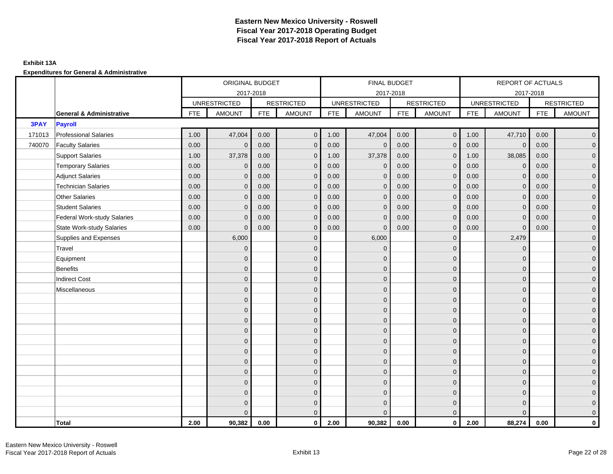## **Exhibit 13A**

|        |                                     |            | ORIGINAL BUDGET     |            |                   |            | FINAL BUDGET        |            |                   |            | REPORT OF ACTUALS   |            |                     |
|--------|-------------------------------------|------------|---------------------|------------|-------------------|------------|---------------------|------------|-------------------|------------|---------------------|------------|---------------------|
|        |                                     |            |                     | 2017-2018  |                   |            | 2017-2018           |            |                   |            | 2017-2018           |            |                     |
|        |                                     |            | <b>UNRESTRICTED</b> |            | <b>RESTRICTED</b> |            | <b>UNRESTRICTED</b> |            | <b>RESTRICTED</b> |            | <b>UNRESTRICTED</b> |            | <b>RESTRICTED</b>   |
|        | <b>General &amp; Administrative</b> | <b>FTE</b> | <b>AMOUNT</b>       | <b>FTE</b> | <b>AMOUNT</b>     | <b>FTE</b> | <b>AMOUNT</b>       | <b>FTE</b> | <b>AMOUNT</b>     | <b>FTE</b> | <b>AMOUNT</b>       | <b>FTE</b> | <b>AMOUNT</b>       |
| 3PAY   | <b>Payroll</b>                      |            |                     |            |                   |            |                     |            |                   |            |                     |            |                     |
| 171013 | <b>Professional Salaries</b>        | 1.00       | 47,004              | 0.00       | $\overline{0}$    | 1.00       | 47,004              | 0.00       | $\overline{0}$    | 1.00       | 47,710              | 0.00       | $\overline{0}$      |
| 740070 | <b>Faculty Salaries</b>             | 0.00       | $\mathbf{0}$        | 0.00       | $\mathbf{0}$      | 0.00       | $\mathbf 0$         | 0.00       | $\mathbf{0}$      | 0.00       | $\mathbf 0$         | 0.00       | $\overline{0}$      |
|        | <b>Support Salaries</b>             | 1.00       | 37,378              | 0.00       | $\mathbf 0$       | 1.00       | 37,378              | 0.00       | $\mathbf 0$       | 1.00       | 38,085              | 0.00       | $\overline{0}$      |
|        | <b>Temporary Salaries</b>           | 0.00       | $\mathbf 0$         | 0.00       | $\mathbf{0}$      | 0.00       | $\mathbf 0$         | 0.00       | $\mathbf{0}$      | 0.00       | $\overline{0}$      | 0.00       | $\overline{0}$      |
|        | <b>Adjunct Salaries</b>             | 0.00       | $\mathbf{0}$        | 0.00       | $\mathbf 0$       | 0.00       | $\mathbf{0}$        | 0.00       | $\mathbf{0}$      | 0.00       | $\mathbf 0$         | 0.00       | $\mathbf{0}$        |
|        | <b>Technician Salaries</b>          | 0.00       | $\mathbf{0}$        | 0.00       | $\mathbf{0}$      | 0.00       | $\mathbf{0}$        | 0.00       | $\mathbf{0}$      | 0.00       | $\mathbf{0}$        | 0.00       | $\mathbf{0}$        |
|        | <b>Other Salaries</b>               | 0.00       | $\mathbf{0}$        | 0.00       | $\mathbf{0}$      | 0.00       | $\Omega$            | 0.00       | $\mathbf{0}$      | 0.00       | $\mathbf{0}$        | 0.00       | $\overline{0}$      |
|        | <b>Student Salaries</b>             | 0.00       | $\mathbf{0}$        | 0.00       | $\mathbf 0$       | 0.00       | $\mathbf{0}$        | 0.00       | $\mathbf{0}$      | 0.00       | $\overline{0}$      | 0.00       | $\overline{0}$      |
|        | <b>Federal Work-study Salaries</b>  | 0.00       | $\Omega$            | 0.00       | $\Omega$          | 0.00       | $\Omega$            | 0.00       | $\mathbf 0$       | 0.00       | $\mathbf{0}$        | 0.00       | $\overline{0}$      |
|        | <b>State Work-study Salaries</b>    | 0.00       | $\mathbf 0$         | 0.00       | $\mathbf 0$       | 0.00       | $\mathbf{0}$        | 0.00       | $\mathbf 0$       | 0.00       | $\mathbf 0$         | 0.00       | $\overline{0}$      |
|        | Supplies and Expenses               |            | 6,000               |            | $\mathbf 0$       |            | 6,000               |            | $\mathbf 0$       |            | 2,479               |            | $\mathsf{O}\xspace$ |
|        | Travel                              |            | $\overline{0}$      |            | $\mathbf 0$       |            | $\mathbf{0}$        |            | $\mathbf{0}$      |            | $\mathbf 0$         |            | $\overline{0}$      |
|        | Equipment                           |            | $\Omega$            |            | $\mathbf 0$       |            | $\mathbf{0}$        |            | $\mathbf 0$       |            | $\mathbf{0}$        |            | $\overline{0}$      |
|        | <b>Benefits</b>                     |            | $\Omega$            |            | $\mathbf{0}$      |            | $\Omega$            |            | $\mathbf{0}$      |            | $\Omega$            |            | $\overline{0}$      |
|        | <b>Indirect Cost</b>                |            | 0                   |            | $\mathbf{0}$      |            | $\mathbf{0}$        |            | $\mathbf 0$       |            | $\mathbf{0}$        |            | $\overline{0}$      |
|        | Miscellaneous                       |            | $\Omega$            |            | $\mathbf 0$       |            | $\mathbf{0}$        |            | $\mathbf 0$       |            | $\mathbf{0}$        |            | $\mathsf{O}\xspace$ |
|        |                                     |            | $\overline{0}$      |            | $\mathbf 0$       |            | $\mathbf{0}$        |            | $\mathbf 0$       |            | $\mathbf{0}$        |            | $\overline{0}$      |
|        |                                     |            | $\Omega$            |            | $\overline{0}$    |            | $\mathbf{0}$        |            | $\mathbf 0$       |            | $\mathbf{0}$        |            | $\overline{0}$      |
|        |                                     |            | $\Omega$            |            | $\mathbf{0}$      |            | $\Omega$            |            | $\mathbf{0}$      |            | $\mathbf{0}$        |            | $\overline{0}$      |
|        |                                     |            | $\mathbf{0}$        |            | $\mathbf 0$       |            | $\Omega$            |            | $\overline{0}$    |            | $\mathbf{0}$        |            | $\overline{0}$      |
|        |                                     |            | $\Omega$            |            | $\mathbf 0$       |            | $\mathbf{0}$        |            | $\mathbf{0}$      |            | $\mathbf{0}$        |            | $\mathbf{0}$        |
|        |                                     |            | $\mathbf{0}$        |            | $\mathbf 0$       |            | $\Omega$            |            | $\mathbf{0}$      |            | $\mathbf{0}$        |            | $\overline{0}$      |
|        |                                     |            | $\Omega$            |            | $\mathbf{0}$      |            | $\Omega$            |            | $\mathbf{0}$      |            | $\mathbf{0}$        |            | $\overline{0}$      |
|        |                                     |            | $\Omega$            |            | $\mathbf{0}$      |            | $\Omega$            |            | $\mathbf{0}$      |            | $\Omega$            |            | $\overline{0}$      |
|        |                                     |            | $\Omega$            |            | $\mathbf{0}$      |            | $\Omega$            |            | $\mathbf 0$       |            | $\mathbf{0}$        |            | $\mathbf{0}$        |
|        |                                     |            | $\Omega$            |            | $\mathbf 0$       |            | $\Omega$            |            | $\mathbf 0$       |            | $\mathbf{0}$        |            | $\overline{0}$      |
|        |                                     |            | $\Omega$            |            | $\overline{0}$    |            | $\Omega$            |            | $\mathbf 0$       |            | $\mathbf{0}$        |            | $\mathbf{0}$        |
|        |                                     |            | $\Omega$            |            | $\mathbf{0}$      |            | $\Omega$            |            | $\mathbf{0}$      |            | $\Omega$            |            | $\overline{0}$      |
|        | <b>Total</b>                        | 2.00       | 90,382              | 0.00       | $\mathbf{0}$      | 2.00       | 90,382              | 0.00       | $\mathbf{0}$      | 2.00       | 88,274              | 0.00       | $\mathbf{0}$        |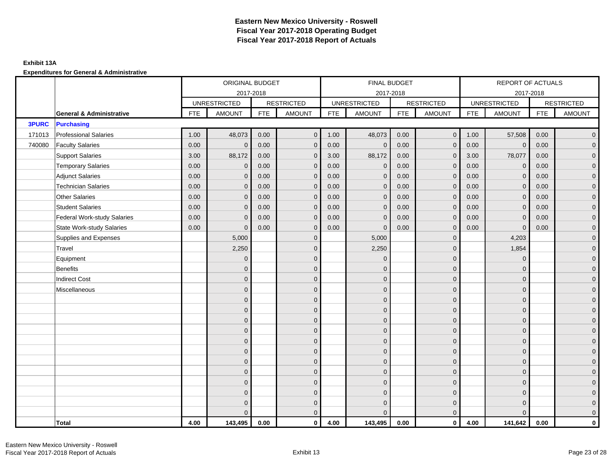## **Exhibit 13A**

|              |                                     |            | ORIGINAL BUDGET     |            |                   |            | <b>FINAL BUDGET</b> |            |                   |            | <b>REPORT OF ACTUALS</b> |            |                     |
|--------------|-------------------------------------|------------|---------------------|------------|-------------------|------------|---------------------|------------|-------------------|------------|--------------------------|------------|---------------------|
|              |                                     |            | 2017-2018           |            |                   |            | 2017-2018           |            |                   |            | 2017-2018                |            |                     |
|              |                                     |            | <b>UNRESTRICTED</b> |            | <b>RESTRICTED</b> |            | <b>UNRESTRICTED</b> |            | <b>RESTRICTED</b> |            | <b>UNRESTRICTED</b>      |            | <b>RESTRICTED</b>   |
|              | <b>General &amp; Administrative</b> | <b>FTE</b> | <b>AMOUNT</b>       | <b>FTE</b> | <b>AMOUNT</b>     | <b>FTE</b> | <b>AMOUNT</b>       | <b>FTE</b> | <b>AMOUNT</b>     | <b>FTE</b> | <b>AMOUNT</b>            | <b>FTE</b> | <b>AMOUNT</b>       |
| <b>3PURC</b> | <b>Purchasing</b>                   |            |                     |            |                   |            |                     |            |                   |            |                          |            |                     |
| 171013       | <b>Professional Salaries</b>        | 1.00       | 48,073              | 0.00       | $\mathbf{0}$      | 1.00       | 48,073              | 0.00       | $\overline{0}$    | 1.00       | 57,508                   | 0.00       | $\overline{0}$      |
| 740080       | <b>Faculty Salaries</b>             | 0.00       | $\mathbf{0}$        | 0.00       | $\Omega$          | 0.00       | $\mathbf{0}$        | 0.00       | $\mathbf{0}$      | 0.00       | $\mathbf 0$              | 0.00       | $\overline{0}$      |
|              | <b>Support Salaries</b>             | 3.00       | 88,172              | 0.00       | $\mathbf{0}$      | 3.00       | 88,172              | 0.00       | $\mathbf{0}$      | 3.00       | 78,077                   | 0.00       | $\overline{0}$      |
|              | <b>Temporary Salaries</b>           | 0.00       | $\mathbf 0$         | 0.00       | $\mathbf 0$       | 0.00       | $\mathbf 0$         | 0.00       | $\mathbf 0$       | 0.00       | $\mathbf 0$              | 0.00       | $\mathsf{O}\xspace$ |
|              | <b>Adjunct Salaries</b>             | 0.00       | $\mathbf{0}$        | 0.00       | $\mathbf{0}$      | 0.00       | $\mathbf{0}$        | 0.00       | $\mathbf{0}$      | 0.00       | $\mathbf 0$              | 0.00       | $\overline{0}$      |
|              | <b>Technician Salaries</b>          | 0.00       | $\mathbf{0}$        | 0.00       | $\mathbf{0}$      | 0.00       | $\mathbf{0}$        | 0.00       | $\mathbf{0}$      | 0.00       | $\mathbf{0}$             | 0.00       | $\overline{0}$      |
|              | <b>Other Salaries</b>               | 0.00       | $\Omega$            | 0.00       | $\Omega$          | 0.00       | $\Omega$            | 0.00       | $\mathbf{0}$      | 0.00       | $\mathbf{0}$             | 0.00       | $\overline{0}$      |
|              | <b>Student Salaries</b>             | 0.00       | $\mathbf 0$         | 0.00       | $\mathbf 0$       | 0.00       | $\overline{0}$      | 0.00       | $\mathbf 0$       | 0.00       | $\overline{0}$           | 0.00       | $\overline{0}$      |
|              | <b>Federal Work-study Salaries</b>  | 0.00       | $\mathbf 0$         | 0.00       | $\mathbf 0$       | 0.00       | $\mathbf{0}$        | 0.00       | $\mathbf 0$       | 0.00       | $\mathbf 0$              | 0.00       | $\overline{0}$      |
|              | <b>State Work-study Salaries</b>    | 0.00       | $\mathbf{0}$        | 0.00       | $\mathbf{0}$      | 0.00       | $\mathbf{0}$        | 0.00       | $\mathbf 0$       | 0.00       | $\mathbf{0}$             | 0.00       | $\overline{0}$      |
|              | Supplies and Expenses               |            | 5,000               |            | $\mathbf 0$       |            | 5,000               |            | $\mathbf{0}$      |            | 4,203                    |            | $\overline{0}$      |
|              | Travel                              |            | 2,250               |            | $\mathbf{0}$      |            | 2,250               |            | $\mathbf{0}$      |            | 1,854                    |            | $\overline{0}$      |
|              | Equipment                           |            | $\mathbf 0$         |            | $\mathbf 0$       |            | $\mathbf{0}$        |            | $\mathbf 0$       |            | $\mathbf 0$              |            | $\overline{0}$      |
|              | <b>Benefits</b>                     |            | $\Omega$            |            | $\mathbf{0}$      |            | $\Omega$            |            | $\mathbf 0$       |            | $\mathbf 0$              |            | $\overline{0}$      |
|              | <b>Indirect Cost</b>                |            | $\mathbf{0}$        |            | $\mathbf{0}$      |            | $\Omega$            |            | $\mathbf{0}$      |            | $\mathbf 0$              |            | $\overline{0}$      |
|              | Miscellaneous                       |            | $\Omega$            |            | $\mathbf{0}$      |            | $\Omega$            |            | $\mathbf{0}$      |            | $\mathbf 0$              |            | $\overline{0}$      |
|              |                                     |            | $\overline{0}$      |            | $\mathbf 0$       |            | $\mathbf{0}$        |            | $\mathbf 0$       |            | $\mathbf{0}$             |            | $\mathbf{0}$        |
|              |                                     |            | $\overline{0}$      |            | $\mathbf 0$       |            | $\mathbf{0}$        |            | $\mathbf 0$       |            | $\mathbf{0}$             |            | $\overline{0}$      |
|              |                                     |            | $\mathbf{0}$        |            | $\mathbf{0}$      |            | $\Omega$            |            | $\mathbf 0$       |            | $\mathbf{0}$             |            | $\overline{0}$      |
|              |                                     |            | $\Omega$            |            | $\mathbf{0}$      |            | $\Omega$            |            | $\mathbf{0}$      |            | $\Omega$                 |            | $\overline{0}$      |
|              |                                     |            | $\overline{0}$      |            | $\mathbf 0$       |            | $\mathbf{0}$        |            | $\mathbf 0$       |            | $\mathbf 0$              |            | $\mathsf{O}\xspace$ |
|              |                                     |            | $\overline{0}$      |            | $\mathbf 0$       |            | $\mathbf{0}$        |            | $\mathbf 0$       |            | $\mathbf{0}$             |            | $\mathbf{0}$        |
|              |                                     |            | $\overline{0}$      |            | $\mathbf 0$       |            | $\mathbf{0}$        |            | $\mathbf 0$       |            | $\mathbf{0}$             |            | $\overline{0}$      |
|              |                                     |            | $\Omega$            |            | $\mathbf{0}$      |            | $\Omega$            |            | $\mathbf 0$       |            | $\mathbf{0}$             |            | $\overline{0}$      |
|              |                                     |            | $\mathbf{0}$        |            | $\mathbf 0$       |            | $\mathbf{0}$        |            | $\mathbf 0$       |            | $\mathbf 0$              |            | $\mathbf{0}$        |
|              |                                     |            | $\mathbf{0}$        |            | $\mathbf 0$       |            | $\mathbf{0}$        |            | $\mathbf 0$       |            | $\mathbf 0$              |            | $\overline{0}$      |
|              |                                     |            | $\mathbf{0}$        |            | $\mathbf 0$       |            | $\mathbf{0}$        |            | $\mathbf 0$       |            | $\mathbf{0}$             |            | $\mathbf{0}$        |
|              |                                     |            | $\Omega$            |            | $\mathbf{0}$      |            | $\Omega$            |            | $\overline{0}$    |            | $\Omega$                 |            | $\overline{0}$      |
|              | <b>Total</b>                        | 4.00       | 143,495             | 0.00       | $\mathbf{0}$      | 4.00       | 143,495             | 0.00       | $\overline{0}$    | 4.00       | 141,642                  | 0.00       | $\mathbf{0}$        |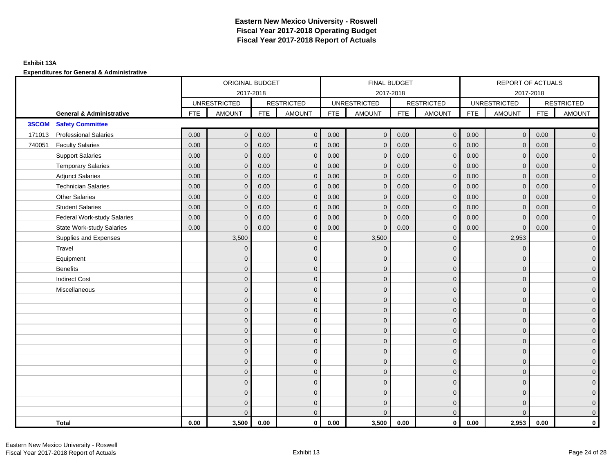## **Exhibit 13A**

|        |                                     |            | ORIGINAL BUDGET     |            |                   |            | FINAL BUDGET        |            |                   |            | REPORT OF ACTUALS   |            |                     |
|--------|-------------------------------------|------------|---------------------|------------|-------------------|------------|---------------------|------------|-------------------|------------|---------------------|------------|---------------------|
|        |                                     |            |                     | 2017-2018  |                   |            | 2017-2018           |            |                   |            | 2017-2018           |            |                     |
|        |                                     |            | <b>UNRESTRICTED</b> |            | <b>RESTRICTED</b> |            | <b>UNRESTRICTED</b> |            | <b>RESTRICTED</b> |            | <b>UNRESTRICTED</b> |            | <b>RESTRICTED</b>   |
|        | <b>General &amp; Administrative</b> | <b>FTE</b> | <b>AMOUNT</b>       | <b>FTE</b> | <b>AMOUNT</b>     | <b>FTE</b> | <b>AMOUNT</b>       | <b>FTE</b> | AMOUNT            | <b>FTE</b> | <b>AMOUNT</b>       | <b>FTE</b> | <b>AMOUNT</b>       |
| 3SCOM  | <b>Safety Committee</b>             |            |                     |            |                   |            |                     |            |                   |            |                     |            |                     |
| 171013 | <b>Professional Salaries</b>        | 0.00       | $\overline{0}$      | 0.00       | $\mathbf{0}$      | 0.00       | $\mathbf{0}$        | 0.00       | $\overline{0}$    | 0.00       | $\overline{0}$      | 0.00       | $\overline{0}$      |
| 740051 | <b>Faculty Salaries</b>             | 0.00       | $\mathbf{0}$        | 0.00       | $\mathbf{0}$      | 0.00       | $\mathbf{0}$        | 0.00       | $\mathbf{0}$      | 0.00       | $\mathbf{0}$        | 0.00       | $\overline{0}$      |
|        | <b>Support Salaries</b>             | 0.00       | $\mathbf{0}$        | 0.00       | $\mathbf{0}$      | 0.00       | $\overline{0}$      | 0.00       | $\mathbf 0$       | 0.00       | $\overline{0}$      | 0.00       | $\overline{0}$      |
|        | <b>Temporary Salaries</b>           | 0.00       | $\mathbf 0$         | 0.00       | $\mathbf 0$       | 0.00       | $\mathbf{0}$        | 0.00       | $\mathbf 0$       | 0.00       | $\overline{0}$      | 0.00       | $\mathbf{0}$        |
|        | <b>Adjunct Salaries</b>             | 0.00       | $\mathbf{0}$        | 0.00       | $\mathbf{0}$      | 0.00       | $\mathbf{0}$        | 0.00       | $\mathbf 0$       | 0.00       | $\mathbf{0}$        | 0.00       | $\mathbf{0}$        |
|        | <b>Technician Salaries</b>          | 0.00       | $\mathbf{0}$        | 0.00       | $\mathbf 0$       | 0.00       | $\mathbf{0}$        | 0.00       | $\mathbf{0}$      | 0.00       | $\mathbf{0}$        | 0.00       | $\mathbf{0}$        |
|        | Other Salaries                      | 0.00       | $\mathbf{0}$        | 0.00       | $\mathbf{0}$      | 0.00       | $\Omega$            | 0.00       | $\mathbf{0}$      | 0.00       | $\mathbf{0}$        | 0.00       | $\overline{0}$      |
|        | <b>Student Salaries</b>             | 0.00       | $\mathbf{0}$        | 0.00       | $\mathbf 0$       | 0.00       | $\mathbf{0}$        | 0.00       | $\mathbf 0$       | 0.00       | $\mathbf 0$         | 0.00       | $\overline{0}$      |
|        | <b>Federal Work-study Salaries</b>  | 0.00       | $\mathbf 0$         | 0.00       | $\mathbf 0$       | 0.00       | $\mathbf{0}$        | 0.00       | $\overline{0}$    | 0.00       | $\mathbf 0$         | 0.00       | $\overline{0}$      |
|        | <b>State Work-study Salaries</b>    | 0.00       | $\mathbf{0}$        | 0.00       | $\mathbf{0}$      | 0.00       | $\mathbf{0}$        | 0.00       | $\mathbf{0}$      | 0.00       | $\mathbf{0}$        | 0.00       | $\overline{0}$      |
|        | Supplies and Expenses               |            | 3,500               |            | $\mathbf 0$       |            | 3,500               |            | $\mathbf{0}$      |            | 2,953               |            | $\mathsf{O}\xspace$ |
|        | Travel                              |            | $\overline{0}$      |            | $\mathbf{0}$      |            | $\mathbf{0}$        |            | $\mathbf{0}$      |            | $\mathbf 0$         |            | $\overline{0}$      |
|        | Equipment                           |            | $\mathbf{0}$        |            | $\mathbf 0$       |            | $\mathbf{0}$        |            | $\mathbf 0$       |            | $\mathbf{0}$        |            | $\overline{0}$      |
|        | <b>Benefits</b>                     |            | $\mathbf{0}$        |            | $\mathbf{0}$      |            | $\Omega$            |            | $\mathbf 0$       |            | $\mathbf{0}$        |            | $\overline{0}$      |
|        | <b>Indirect Cost</b>                |            | $\Omega$            |            | $\mathbf{0}$      |            | $\Omega$            |            | $\mathbf{0}$      |            | $\Omega$            |            | $\overline{0}$      |
|        | Miscellaneous                       |            | $\Omega$            |            | $\mathbf{0}$      |            | $\Omega$            |            | $\mathbf{0}$      |            | $\Omega$            |            | $\mathsf{O}\xspace$ |
|        |                                     |            | $\mathbf{0}$        |            | $\mathbf 0$       |            | $\mathbf{0}$        |            | $\mathbf 0$       |            | $\mathbf{0}$        |            | $\mathbf{0}$        |
|        |                                     |            | $\mathbf{0}$        |            | $\mathbf 0$       |            | $\mathbf{0}$        |            | $\mathbf 0$       |            | $\mathbf{0}$        |            | $\overline{0}$      |
|        |                                     |            | $\mathbf{0}$        |            | $\mathbf{0}$      |            | $\Omega$            |            | $\mathbf 0$       |            | $\mathbf{0}$        |            | $\overline{0}$      |
|        |                                     |            | $\Omega$            |            | $\mathbf{0}$      |            | $\Omega$            |            | $\mathbf{0}$      |            | $\Omega$            |            | $\overline{0}$      |
|        |                                     |            | $\mathbf{0}$        |            | $\mathbf 0$       |            | $\mathbf{0}$        |            | $\mathbf 0$       |            | $\mathbf 0$         |            | $\mathsf{O}\xspace$ |
|        |                                     |            | $\mathbf{0}$        |            | $\mathbf 0$       |            | $\mathbf{0}$        |            | $\mathbf 0$       |            | $\mathbf{0}$        |            | $\mathbf{0}$        |
|        |                                     |            | $\mathbf{0}$        |            | $\mathbf{0}$      |            | $\mathbf{0}$        |            | $\mathbf 0$       |            | $\mathbf{0}$        |            | $\overline{0}$      |
|        |                                     |            | $\mathbf{0}$        |            | $\mathbf{0}$      |            | $\Omega$            |            | $\mathbf{0}$      |            | $\mathbf{0}$        |            | $\overline{0}$      |
|        |                                     |            | $\mathbf{0}$        |            | $\mathbf 0$       |            | $\mathbf{0}$        |            | $\mathbf 0$       |            | $\mathbf 0$         |            | $\mathbf{0}$        |
|        |                                     |            | $\mathbf{0}$        |            | $\mathbf 0$       |            | $\mathbf{0}$        |            | $\mathbf 0$       |            | $\mathbf 0$         |            | $\mathbf{0}$        |
|        |                                     |            | $\mathbf{0}$        |            | $\mathbf 0$       |            | $\mathbf{0}$        |            | $\mathbf 0$       |            | $\mathbf 0$         |            | $\mathbf{0}$        |
|        |                                     |            | $\Omega$            |            | $\mathbf{0}$      |            | $\Omega$            |            | $\overline{0}$    |            | $\Omega$            |            | $\overline{0}$      |
|        | <b>Total</b>                        | 0.00       | 3,500               | 0.00       | $\mathbf{0}$      | 0.00       | 3,500               | 0.00       | $\mathbf{0}$      | 0.00       | 2,953               | 0.00       | $\mathbf 0$         |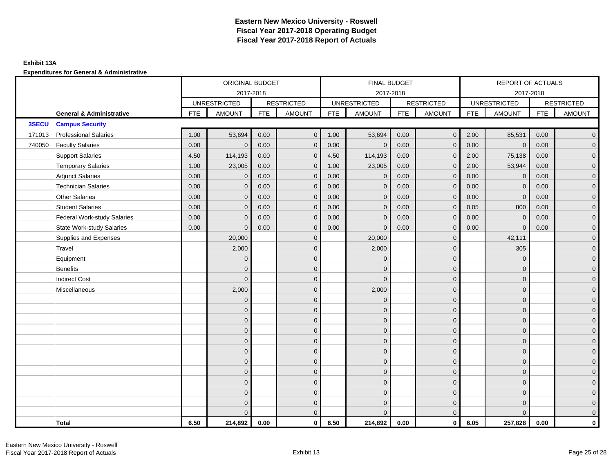## **Exhibit 13A**

|        |                                     |            | ORIGINAL BUDGET     |            |                   |            | FINAL BUDGET        |            |                   |            | REPORT OF ACTUALS   |            |                     |
|--------|-------------------------------------|------------|---------------------|------------|-------------------|------------|---------------------|------------|-------------------|------------|---------------------|------------|---------------------|
|        |                                     |            |                     | 2017-2018  |                   |            | 2017-2018           |            |                   |            | 2017-2018           |            |                     |
|        |                                     |            | <b>UNRESTRICTED</b> |            | <b>RESTRICTED</b> |            | <b>UNRESTRICTED</b> |            | <b>RESTRICTED</b> |            | <b>UNRESTRICTED</b> |            | <b>RESTRICTED</b>   |
|        | <b>General &amp; Administrative</b> | <b>FTE</b> | <b>AMOUNT</b>       | <b>FTE</b> | <b>AMOUNT</b>     | <b>FTE</b> | <b>AMOUNT</b>       | <b>FTE</b> | <b>AMOUNT</b>     | <b>FTE</b> | <b>AMOUNT</b>       | <b>FTE</b> | <b>AMOUNT</b>       |
| 3SECU  | <b>Campus Security</b>              |            |                     |            |                   |            |                     |            |                   |            |                     |            |                     |
| 171013 | <b>Professional Salaries</b>        | 1.00       | 53,694              | 0.00       | $\mathbf{0}$      | 1.00       | 53,694              | 0.00       | $\overline{0}$    | 2.00       | 85,531              | 0.00       | $\overline{0}$      |
| 740050 | <b>Faculty Salaries</b>             | 0.00       | $\mathbf{0}$        | 0.00       | $\mathbf{0}$      | 0.00       | $\mathbf{0}$        | 0.00       | $\mathbf{0}$      | 0.00       | $\mathbf 0$         | 0.00       | $\overline{0}$      |
|        | <b>Support Salaries</b>             | 4.50       | 114,193             | 0.00       | $\mathbf{0}$      | 4.50       | 114,193             | 0.00       | $\mathbf{0}$      | 2.00       | 75,138              | 0.00       | $\overline{0}$      |
|        | <b>Temporary Salaries</b>           | 1.00       | 23,005              | 0.00       | $\mathbf 0$       | 1.00       | 23,005              | 0.00       | $\mathbf 0$       | 2.00       | 53,944              | 0.00       | $\mathbf{0}$        |
|        | <b>Adjunct Salaries</b>             | 0.00       | $\mathbf{0}$        | 0.00       | $\mathbf{0}$      | 0.00       | $\mathbf{0}$        | 0.00       | $\mathbf{0}$      | 0.00       | $\mathbf 0$         | 0.00       | $\mathbf{0}$        |
|        | <b>Technician Salaries</b>          | 0.00       | $\Omega$            | 0.00       | $\mathbf 0$       | 0.00       | $\mathbf{0}$        | 0.00       | $\mathbf{0}$      | 0.00       | $\mathbf 0$         | 0.00       | $\mathbf{0}$        |
|        | Other Salaries                      | 0.00       | $\mathbf{0}$        | 0.00       | $\Omega$          | 0.00       | $\Omega$            | 0.00       | $\mathbf{0}$      | 0.00       | $\mathbf{0}$        | 0.00       | $\overline{0}$      |
|        | <b>Student Salaries</b>             | 0.00       | $\mathbf{0}$        | 0.00       | $\mathbf 0$       | 0.00       | $\mathbf{0}$        | 0.00       | $\mathbf 0$       | 0.05       | 800                 | 0.00       | $\overline{0}$      |
|        | <b>Federal Work-study Salaries</b>  | 0.00       | $\mathbf{0}$        | 0.00       | $\mathbf 0$       | 0.00       | $\mathbf{0}$        | 0.00       | $\overline{0}$    | 0.00       | $\mathbf 0$         | 0.00       | $\overline{0}$      |
|        | <b>State Work-study Salaries</b>    | 0.00       | $\mathbf{0}$        | 0.00       | $\mathbf{0}$      | 0.00       | $\mathbf{0}$        | 0.00       | $\mathbf{0}$      | 0.00       | $\mathbf{0}$        | 0.00       | $\overline{0}$      |
|        | Supplies and Expenses               |            | 20,000              |            | $\mathbf 0$       |            | 20,000              |            | $\overline{0}$    |            | 42,111              |            | $\mathsf{O}\xspace$ |
|        | Travel                              |            | 2,000               |            | $\mathbf{0}$      |            | 2,000               |            | $\mathbf{0}$      |            | 305                 |            | $\overline{0}$      |
|        | Equipment                           |            | $\mathbf{0}$        |            | $\mathbf 0$       |            | $\mathbf{0}$        |            | $\mathbf 0$       |            | $\mathbf 0$         |            | $\overline{0}$      |
|        | <b>Benefits</b>                     |            | $\Omega$            |            | $\mathbf{0}$      |            | $\Omega$            |            | $\mathbf 0$       |            | $\mathbf 0$         |            | $\overline{0}$      |
|        | <b>Indirect Cost</b>                |            | $\Omega$            |            | $\mathbf{0}$      |            | $\Omega$            |            | $\mathbf{0}$      |            | $\Omega$            |            | $\overline{0}$      |
|        | Miscellaneous                       |            | 2,000               |            | $\mathbf{0}$      |            | 2,000               |            | $\mathbf{0}$      |            | $\Omega$            |            | $\overline{0}$      |
|        |                                     |            | $\mathbf 0$         |            | $\mathbf 0$       |            | $\mathbf{0}$        |            | $\mathbf 0$       |            | $\mathbf{0}$        |            | $\mathbf{0}$        |
|        |                                     |            | $\mathbf{0}$        |            | $\mathbf 0$       |            | $\mathbf{0}$        |            | $\mathbf 0$       |            | $\mathbf{0}$        |            | $\overline{0}$      |
|        |                                     |            | $\overline{0}$      |            | $\mathbf{0}$      |            | $\Omega$            |            | $\mathbf 0$       |            | $\mathbf{0}$        |            | $\overline{0}$      |
|        |                                     |            | $\Omega$            |            | $\mathbf{0}$      |            | $\Omega$            |            | $\mathbf{0}$      |            | $\Omega$            |            | $\overline{0}$      |
|        |                                     |            | $\mathbf{0}$        |            | $\mathbf 0$       |            | $\mathbf{0}$        |            | $\mathbf 0$       |            | $\mathbf 0$         |            | $\mathsf{O}\xspace$ |
|        |                                     |            | $\mathbf{0}$        |            | $\mathbf 0$       |            | $\mathbf{0}$        |            | $\mathbf 0$       |            | $\mathbf{0}$        |            | $\mathbf{0}$        |
|        |                                     |            | $\mathbf{0}$        |            | $\mathbf{0}$      |            | $\mathbf{0}$        |            | $\mathbf 0$       |            | $\mathbf{0}$        |            | $\overline{0}$      |
|        |                                     |            | $\Omega$            |            | $\mathbf{0}$      |            | $\Omega$            |            | $\mathbf{0}$      |            | $\mathbf{0}$        |            | $\overline{0}$      |
|        |                                     |            | $\overline{0}$      |            | $\mathbf 0$       |            | $\mathbf{0}$        |            | $\mathbf 0$       |            | $\mathbf{0}$        |            | $\mathbf{0}$        |
|        |                                     |            | $\overline{0}$      |            | $\mathbf 0$       |            | $\mathbf{0}$        |            | $\mathbf 0$       |            | $\mathbf 0$         |            | $\mathbf{0}$        |
|        |                                     |            | 0                   |            | $\mathbf 0$       |            | $\Omega$            |            | $\mathbf 0$       |            | $\mathbf 0$         |            | $\mathbf{0}$        |
|        |                                     |            | $\Omega$            |            | $\mathbf{0}$      |            | $\Omega$            |            | $\overline{0}$    |            | $\Omega$            |            | $\overline{0}$      |
|        | <b>Total</b>                        | 6.50       | 214,892             | 0.00       | $\mathbf{0}$      | 6.50       | 214,892             | 0.00       | $\mathbf{0}$      | 6.05       | 257,828             | 0.00       | $\mathbf 0$         |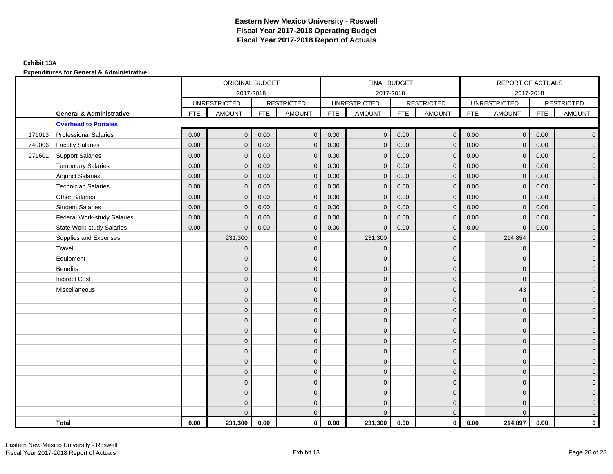## **Exhibit 13A**

|        |                                     |            | ORIGINAL BUDGET     |            |                   |            | FINAL BUDGET        |            |                   |            | REPORT OF ACTUALS   |            |                     |
|--------|-------------------------------------|------------|---------------------|------------|-------------------|------------|---------------------|------------|-------------------|------------|---------------------|------------|---------------------|
|        |                                     |            |                     | 2017-2018  |                   |            | 2017-2018           |            |                   |            | 2017-2018           |            |                     |
|        |                                     |            | <b>UNRESTRICTED</b> |            | <b>RESTRICTED</b> |            | <b>UNRESTRICTED</b> |            | <b>RESTRICTED</b> |            | <b>UNRESTRICTED</b> |            | <b>RESTRICTED</b>   |
|        | <b>General &amp; Administrative</b> | <b>FTE</b> | <b>AMOUNT</b>       | <b>FTE</b> | <b>AMOUNT</b>     | <b>FTE</b> | <b>AMOUNT</b>       | <b>FTE</b> | AMOUNT            | <b>FTE</b> | <b>AMOUNT</b>       | <b>FTE</b> | <b>AMOUNT</b>       |
|        | <b>Overhead to Portales</b>         |            |                     |            |                   |            |                     |            |                   |            |                     |            |                     |
| 171013 | <b>Professional Salaries</b>        | 0.00       | $\mathbf{0}$        | 0.00       | $\mathbf{0}$      | 0.00       | $\overline{0}$      | 0.00       | $\overline{0}$    | 0.00       | $\overline{0}$      | 0.00       | $\overline{0}$      |
| 740006 | <b>Faculty Salaries</b>             | 0.00       | $\mathbf 0$         | 0.00       | $\mathbf{0}$      | 0.00       | $\mathbf{0}$        | 0.00       | $\mathbf{0}$      | 0.00       | $\overline{0}$      | 0.00       | $\overline{0}$      |
| 971601 | Support Salaries                    | 0.00       | $\mathbf 0$         | 0.00       | $\mathbf 0$       | 0.00       | $\overline{0}$      | 0.00       | $\mathbf 0$       | 0.00       | $\overline{0}$      | 0.00       | $\overline{0}$      |
|        | <b>Temporary Salaries</b>           | 0.00       | $\mathbf{0}$        | 0.00       | $\mathbf 0$       | 0.00       | $\mathbf{0}$        | 0.00       | $\mathbf{0}$      | 0.00       | $\mathbf 0$         | 0.00       | $\overline{0}$      |
|        | <b>Adjunct Salaries</b>             | 0.00       | $\mathbf{0}$        | 0.00       | $\mathbf{0}$      | 0.00       | $\Omega$            | 0.00       | $\mathbf{0}$      | 0.00       | $\mathbf{0}$        | 0.00       | $\overline{0}$      |
|        | <b>Technician Salaries</b>          | 0.00       | $\mathbf{0}$        | 0.00       | $\mathbf 0$       | 0.00       | $\mathbf{0}$        | 0.00       | $\mathbf{0}$      | 0.00       | $\mathbf{0}$        | 0.00       | $\mathbf{0}$        |
|        | <b>Other Salaries</b>               | 0.00       | $\mathbf{0}$        | 0.00       | $\mathbf{0}$      | 0.00       | $\Omega$            | 0.00       | $\mathbf{0}$      | 0.00       | $\mathbf{0}$        | 0.00       | $\overline{0}$      |
|        | <b>Student Salaries</b>             | 0.00       | $\mathbf{0}$        | 0.00       | $\mathbf{0}$      | 0.00       | $\overline{0}$      | 0.00       | $\mathbf 0$       | 0.00       | $\overline{0}$      | 0.00       | $\overline{0}$      |
|        | <b>Federal Work-study Salaries</b>  | 0.00       | $\mathbf 0$         | 0.00       | $\mathbf 0$       | 0.00       | $\mathbf{0}$        | 0.00       | $\mathbf 0$       | 0.00       | $\mathbf 0$         | 0.00       | $\overline{0}$      |
|        | <b>State Work-study Salaries</b>    | 0.00       | $\mathbf{0}$        | 0.00       | $\mathbf{0}$      | 0.00       | $\mathbf{0}$        | 0.00       | $\mathbf{0}$      | 0.00       | $\mathbf{0}$        | 0.00       | $\mathbf{0}$        |
|        | Supplies and Expenses               |            | 231,300             |            | $\mathbf 0$       |            | 231,300             |            | $\mathbf 0$       |            | 214,854             |            | $\overline{0}$      |
|        | Travel                              |            | $\mathbf{0}$        |            | $\mathbf{0}$      |            | $\mathbf{0}$        |            | $\mathbf{0}$      |            | $\mathbf{0}$        |            | $\overline{0}$      |
|        | Equipment                           |            | $\mathbf 0$         |            | $\mathbf 0$       |            | $\mathbf{0}$        |            | $\mathbf 0$       |            | $\mathbf 0$         |            | $\overline{0}$      |
|        | <b>Benefits</b>                     |            | $\mathbf{0}$        |            | $\mathbf{0}$      |            | $\mathbf{0}$        |            | $\mathbf 0$       |            | $\mathbf{0}$        |            | $\overline{0}$      |
|        | <b>Indirect Cost</b>                |            | $\overline{0}$      |            | $\mathbf{0}$      |            | $\Omega$            |            | $\mathbf{0}$      |            | $\mathbf 0$         |            | $\mathbf 0$         |
|        | Miscellaneous                       |            | $\overline{0}$      |            | $\mathbf 0$       |            | $\mathbf{0}$        |            | $\mathbf 0$       |            | 43                  |            | $\mathsf{O}\xspace$ |
|        |                                     |            | $\overline{0}$      |            | $\mathbf 0$       |            | $\mathbf{0}$        |            | $\mathbf 0$       |            | $\mathbf{0}$        |            | $\overline{0}$      |
|        |                                     |            | $\overline{0}$      |            | $\mathbf 0$       |            | $\mathbf{0}$        |            | $\mathbf 0$       |            | $\mathbf{0}$        |            | $\overline{0}$      |
|        |                                     |            | $\mathbf{0}$        |            | $\mathbf 0$       |            | $\mathbf{0}$        |            | $\mathbf 0$       |            | $\mathbf{0}$        |            | $\overline{0}$      |
|        |                                     |            | 0                   |            | $\mathbf{0}$      |            | $\Omega$            |            | $\mathbf 0$       |            | $\mathbf 0$         |            | $\mathbf{0}$        |
|        |                                     |            | $\Omega$            |            | $\mathbf{0}$      |            | $\mathbf{0}$        |            | $\mathbf 0$       |            | $\mathbf 0$         |            | $\mathsf{O}\xspace$ |
|        |                                     |            | $\overline{0}$      |            | $\mathbf{0}$      |            | $\Omega$            |            | $\mathbf{0}$      |            | $\Omega$            |            | $\overline{0}$      |
|        |                                     |            | $\mathbf{0}$        |            | $\mathbf 0$       |            | $\mathbf{0}$        |            | $\mathbf 0$       |            | $\mathbf{0}$        |            | $\overline{0}$      |
|        |                                     |            | $\mathbf{0}$        |            | $\mathbf{0}$      |            | $\Omega$            |            | $\mathbf 0$       |            | $\mathbf{0}$        |            | $\overline{0}$      |
|        |                                     |            | $\mathbf{0}$        |            | $\mathbf{0}$      |            | $\Omega$            |            | $\mathbf{0}$      |            | $\mathbf{0}$        |            | $\overline{0}$      |
|        |                                     |            | $\mathbf{0}$        |            | $\mathbf 0$       |            | $\mathbf{0}$        |            | $\mathbf 0$       |            | $\mathbf 0$         |            | $\pmb{0}$           |
|        |                                     |            | $\mathbf{0}$        |            | $\mathbf 0$       |            | $\mathbf{0}$        |            | $\mathbf 0$       |            | $\mathbf{0}$        |            | $\mathbf{0}$        |
|        |                                     |            | $\Omega$            |            | $\mathbf{0}$      |            | $\Omega$            |            | $\overline{0}$    |            | $\Omega$            |            | $\overline{0}$      |
|        | <b>Total</b>                        | 0.00       | 231,300             | 0.00       | $\mathbf{0}$      | 0.00       | 231,300             | 0.00       | $\overline{0}$    | 0.00       | 214,897             | 0.00       | $\mathbf{0}$        |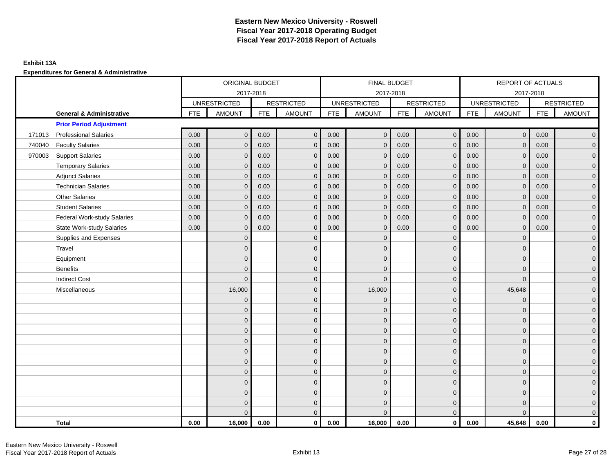## **Exhibit 13A**

|        |                                     |            | ORIGINAL BUDGET     |            |                   |            | FINAL BUDGET        |            |                   |            | REPORT OF ACTUALS   |            |                     |
|--------|-------------------------------------|------------|---------------------|------------|-------------------|------------|---------------------|------------|-------------------|------------|---------------------|------------|---------------------|
|        |                                     |            |                     | 2017-2018  |                   |            | 2017-2018           |            |                   |            | 2017-2018           |            |                     |
|        |                                     |            | <b>UNRESTRICTED</b> |            | <b>RESTRICTED</b> |            | <b>UNRESTRICTED</b> |            | <b>RESTRICTED</b> |            | <b>UNRESTRICTED</b> |            | <b>RESTRICTED</b>   |
|        | <b>General &amp; Administrative</b> | <b>FTE</b> | <b>AMOUNT</b>       | <b>FTE</b> | <b>AMOUNT</b>     | <b>FTE</b> | <b>AMOUNT</b>       | <b>FTE</b> | AMOUNT            | <b>FTE</b> | <b>AMOUNT</b>       | <b>FTE</b> | <b>AMOUNT</b>       |
|        | <b>Prior Period Adjustment</b>      |            |                     |            |                   |            |                     |            |                   |            |                     |            |                     |
| 171013 | <b>Professional Salaries</b>        | 0.00       | $\mathbf{0}$        | 0.00       | $\mathbf{0}$      | 0.00       | $\mathbf{0}$        | 0.00       | $\overline{0}$    | 0.00       | $\overline{0}$      | 0.00       | $\overline{0}$      |
| 740040 | <b>Faculty Salaries</b>             | 0.00       | $\mathbf{0}$        | 0.00       | $\mathbf{0}$      | 0.00       | $\mathbf{0}$        | 0.00       | $\mathbf{0}$      | 0.00       | $\mathbf{0}$        | 0.00       | $\overline{0}$      |
| 970003 | Support Salaries                    | 0.00       | $\mathbf{0}$        | 0.00       | $\mathbf{0}$      | 0.00       | $\overline{0}$      | 0.00       | $\mathbf 0$       | 0.00       | $\overline{0}$      | 0.00       | $\overline{0}$      |
|        | <b>Temporary Salaries</b>           | 0.00       | $\mathbf 0$         | 0.00       | $\mathbf 0$       | 0.00       | $\mathbf{0}$        | 0.00       | $\mathbf 0$       | 0.00       | $\overline{0}$      | 0.00       | $\mathbf{0}$        |
|        | <b>Adjunct Salaries</b>             | 0.00       | $\mathbf{0}$        | 0.00       | $\mathbf{0}$      | 0.00       | $\mathbf{0}$        | 0.00       | $\mathbf{0}$      | 0.00       | $\mathbf{0}$        | 0.00       | $\mathbf{0}$        |
|        | <b>Technician Salaries</b>          | 0.00       | $\mathbf{0}$        | 0.00       | $\Omega$          | 0.00       | $\mathbf{0}$        | 0.00       | $\mathbf{0}$      | 0.00       | $\mathbf{0}$        | 0.00       | $\mathbf{0}$        |
|        | <b>Other Salaries</b>               | 0.00       | $\mathbf{0}$        | 0.00       | $\mathbf{0}$      | 0.00       | $\Omega$            | 0.00       | $\mathbf{0}$      | 0.00       | $\mathbf{0}$        | 0.00       | $\overline{0}$      |
|        | <b>Student Salaries</b>             | 0.00       | $\mathbf{0}$        | 0.00       | $\mathbf 0$       | 0.00       | $\mathbf{0}$        | 0.00       | $\mathbf 0$       | 0.00       | $\mathbf 0$         | 0.00       | $\mathbf{0}$        |
|        | <b>Federal Work-study Salaries</b>  | 0.00       | $\mathbf 0$         | 0.00       | $\mathbf 0$       | 0.00       | $\mathbf{0}$        | 0.00       | $\mathbf 0$       | 0.00       | $\mathbf 0$         | 0.00       | $\overline{0}$      |
|        | <b>State Work-study Salaries</b>    | 0.00       | $\mathbf{0}$        | 0.00       | $\mathbf{0}$      | 0.00       | $\mathbf{0}$        | 0.00       | $\mathbf{0}$      | 0.00       | $\mathbf{0}$        | 0.00       | $\overline{0}$      |
|        | Supplies and Expenses               |            | $\Omega$            |            | $\mathbf 0$       |            | $\mathbf{0}$        |            | $\overline{0}$    |            | $\mathbf 0$         |            | $\mathsf{O}\xspace$ |
|        | Travel                              |            | $\Omega$            |            | $\mathbf{0}$      |            | $\Omega$            |            | $\mathbf{0}$      |            | $\mathbf{0}$        |            | $\overline{0}$      |
|        | Equipment                           |            | $\overline{0}$      |            | $\mathbf 0$       |            | $\mathbf{0}$        |            | $\mathbf 0$       |            | $\mathbf{0}$        |            | $\overline{0}$      |
|        | <b>Benefits</b>                     |            | $\mathbf{0}$        |            | $\mathbf{0}$      |            | $\Omega$            |            | $\mathbf 0$       |            | $\mathbf 0$         |            | $\overline{0}$      |
|        | <b>Indirect Cost</b>                |            | $\Omega$            |            | $\mathbf{0}$      |            | $\Omega$            |            | $\mathbf{0}$      |            | $\Omega$            |            | $\overline{0}$      |
|        | Miscellaneous                       |            | 16,000              |            | $\mathbf{0}$      |            | 16,000              |            | $\mathbf{0}$      |            | 45,648              |            | $\overline{0}$      |
|        |                                     |            | $\mathbf 0$         |            | $\mathbf 0$       |            | $\mathbf{0}$        |            | $\mathbf 0$       |            | $\mathbf 0$         |            | $\mathbf{0}$        |
|        |                                     |            | $\mathbf{0}$        |            | $\mathbf 0$       |            | $\mathbf{0}$        |            | $\mathbf 0$       |            | $\mathbf 0$         |            | $\overline{0}$      |
|        |                                     |            | $\overline{0}$      |            | $\mathbf{0}$      |            | $\Omega$            |            | $\mathbf 0$       |            | $\mathbf{0}$        |            | $\overline{0}$      |
|        |                                     |            | $\Omega$            |            | $\mathbf{0}$      |            | $\Omega$            |            | $\mathbf{0}$      |            | $\Omega$            |            | $\overline{0}$      |
|        |                                     |            | $\mathbf{0}$        |            | $\mathbf 0$       |            | $\mathbf{0}$        |            | $\mathbf 0$       |            | $\mathbf 0$         |            | $\mathsf{O}\xspace$ |
|        |                                     |            | $\mathbf{0}$        |            | $\mathbf 0$       |            | $\mathbf{0}$        |            | $\mathbf 0$       |            | $\mathbf{0}$        |            | $\mathbf{0}$        |
|        |                                     |            | $\mathbf{0}$        |            | $\mathbf{0}$      |            | $\mathbf{0}$        |            | $\mathbf 0$       |            | $\mathbf{0}$        |            | $\overline{0}$      |
|        |                                     |            | $\Omega$            |            | $\mathbf{0}$      |            | $\Omega$            |            | $\mathbf{0}$      |            | $\mathbf 0$         |            | $\overline{0}$      |
|        |                                     |            | $\overline{0}$      |            | $\mathbf 0$       |            | $\mathbf{0}$        |            | $\mathbf 0$       |            | $\mathbf 0$         |            | $\mathbf{0}$        |
|        |                                     |            | $\mathbf{0}$        |            | $\mathbf 0$       |            | $\mathbf{0}$        |            | $\mathbf 0$       |            | $\mathbf 0$         |            | $\mathbf{0}$        |
|        |                                     |            | 0                   |            | $\mathbf 0$       |            | $\Omega$            |            | $\mathbf 0$       |            | $\mathbf 0$         |            | $\mathbf{0}$        |
|        |                                     |            | $\Omega$            |            | $\mathbf{0}$      |            | $\Omega$            |            | $\overline{0}$    |            | $\Omega$            |            | $\overline{0}$      |
|        | <b>Total</b>                        | 0.00       | 16,000              | 0.00       | $\mathbf{0}$      | 0.00       | 16,000              | 0.00       | $\mathbf{0}$      | 0.00       | 45,648              | 0.00       | $\mathbf 0$         |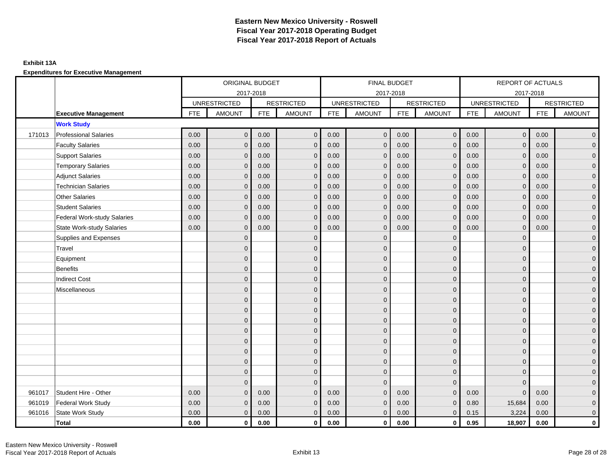## **Exhibit 13A**

**Expenditures for Executive Management**

|        |                                    |      | ORIGINAL BUDGET     |            |                   |            | FINAL BUDGET        |            |                   |            | <b>REPORT OF ACTUALS</b> |            |                     |
|--------|------------------------------------|------|---------------------|------------|-------------------|------------|---------------------|------------|-------------------|------------|--------------------------|------------|---------------------|
|        |                                    |      | 2017-2018           |            |                   |            | 2017-2018           |            |                   |            | 2017-2018                |            |                     |
|        |                                    |      | <b>UNRESTRICTED</b> |            | <b>RESTRICTED</b> |            | <b>UNRESTRICTED</b> |            | <b>RESTRICTED</b> |            | <b>UNRESTRICTED</b>      |            | <b>RESTRICTED</b>   |
|        | <b>Executive Management</b>        | FTE  | <b>AMOUNT</b>       | <b>FTE</b> | <b>AMOUNT</b>     | <b>FTE</b> | <b>AMOUNT</b>       | <b>FTE</b> | <b>AMOUNT</b>     | <b>FTE</b> | <b>AMOUNT</b>            | <b>FTE</b> | <b>AMOUNT</b>       |
|        | <b>Work Study</b>                  |      |                     |            |                   |            |                     |            |                   |            |                          |            |                     |
| 171013 | <b>Professional Salaries</b>       | 0.00 | $\mathbf{0}$        | 0.00       | $\mathbf 0$       | 0.00       | $\mathbf{0}$        | 0.00       | $\overline{0}$    | 0.00       | $\mathbf 0$              | 0.00       | $\overline{0}$      |
|        | <b>Faculty Salaries</b>            | 0.00 | $\Omega$            | 0.00       | $\mathbf{0}$      | 0.00       | $\mathbf{0}$        | 0.00       | $\mathbf{0}$      | 0.00       | $\mathbf{0}$             | 0.00       | $\overline{0}$      |
|        | <b>Support Salaries</b>            | 0.00 | $\mathbf{0}$        | 0.00       | $\mathbf 0$       | 0.00       | $\mathbf 0$         | 0.00       | $\mathbf 0$       | 0.00       | $\mathbf 0$              | 0.00       | $\overline{0}$      |
|        | <b>Temporary Salaries</b>          | 0.00 | $\Omega$            | 0.00       | $\mathbf{0}$      | 0.00       | $\mathbf 0$         | 0.00       | $\mathbf 0$       | 0.00       | $\mathbf 0$              | 0.00       | $\overline{0}$      |
|        | <b>Adjunct Salaries</b>            | 0.00 | $\Omega$            | 0.00       | $\Omega$          | 0.00       | $\mathbf{0}$        | 0.00       | $\mathbf{0}$      | 0.00       | $\Omega$                 | 0.00       | $\mathbf 0$         |
|        | <b>Technician Salaries</b>         | 0.00 | $\Omega$            | 0.00       | $\mathbf{0}$      | 0.00       | $\overline{0}$      | 0.00       | $\mathbf{0}$      | 0.00       | $\mathbf{0}$             | 0.00       | $\mathbf 0$         |
|        | <b>Other Salaries</b>              | 0.00 | $\Omega$            | 0.00       | $\Omega$          | 0.00       | $\Omega$            | 0.00       | $\mathbf{0}$      | 0.00       | $\mathbf{0}$             | 0.00       | $\overline{0}$      |
|        | <b>Student Salaries</b>            | 0.00 | $\Omega$            | 0.00       | $\mathbf{0}$      | 0.00       | $\Omega$            | 0.00       | $\mathbf{0}$      | 0.00       | $\mathbf{0}$             | 0.00       | $\overline{0}$      |
|        | <b>Federal Work-study Salaries</b> | 0.00 | $\Omega$            | 0.00       | $\mathbf{0}$      | 0.00       | $\mathbf 0$         | 0.00       | $\mathbf 0$       | 0.00       | $\mathbf{0}$             | 0.00       | $\overline{0}$      |
|        | State Work-study Salaries          | 0.00 | $\Omega$            | 0.00       | $\mathbf{0}$      | 0.00       | $\Omega$            | 0.00       | $\mathbf{0}$      | 0.00       | $\mathbf{0}$             | 0.00       | $\overline{0}$      |
|        | Supplies and Expenses              |      | $\Omega$            |            | $\mathbf{0}$      |            | $\Omega$            |            | $\mathbf 0$       |            | $\Omega$                 |            | $\mathsf{O}\xspace$ |
|        | <b>Travel</b>                      |      | $\Omega$            |            | $\mathbf{0}$      |            | $\Omega$            |            | $\mathbf 0$       |            | $\mathbf{0}$             |            | $\overline{0}$      |
|        | Equipment                          |      | $\Omega$            |            | $\mathbf{0}$      |            | $\Omega$            |            | $\mathbf{0}$      |            | $\Omega$                 |            | $\overline{0}$      |
|        | <b>Benefits</b>                    |      | O                   |            | $\mathbf 0$       |            | $\Omega$            |            | $\mathbf 0$       |            | $\mathbf{0}$             |            | $\overline{0}$      |
|        | <b>Indirect Cost</b>               |      | <sup>0</sup>        |            | $\mathbf{0}$      |            | $\Omega$            |            | $\mathbf 0$       |            | $\mathbf{0}$             |            | $\overline{0}$      |
|        | Miscellaneous                      |      | $\Omega$            |            | $\mathbf{0}$      |            | $\Omega$            |            | $\mathbf{0}$      |            | $\Omega$                 |            | $\overline{0}$      |
|        |                                    |      | $\Omega$            |            | $\mathbf 0$       |            | $\Omega$            |            | $\mathbf 0$       |            | $\mathbf{0}$             |            | $\overline{0}$      |
|        |                                    |      | $\Omega$            |            | $\mathbf{0}$      |            | $\Omega$            |            | $\mathbf{0}$      |            | $\Omega$                 |            | $\overline{0}$      |
|        |                                    |      |                     |            | $\mathbf 0$       |            | $\Omega$            |            | $\mathbf 0$       |            | $\mathbf{0}$             |            | $\overline{0}$      |
|        |                                    |      | <sup>0</sup>        |            | $\mathbf{0}$      |            | $\Omega$            |            | $\mathbf 0$       |            | $\mathbf{0}$             |            | $\overline{0}$      |
|        |                                    |      | $\Omega$            |            | $\mathbf{0}$      |            | $\Omega$            |            | $\mathbf{0}$      |            | $\Omega$                 |            | $\overline{0}$      |
|        |                                    |      | $\Omega$            |            | $\mathbf 0$       |            | $\Omega$            |            | $\mathbf 0$       |            | $\mathbf{0}$             |            | $\overline{0}$      |
|        |                                    |      | $\Omega$            |            | $\mathbf{0}$      |            | $\Omega$            |            | $\mathbf 0$       |            | $\mathbf{0}$             |            | $\overline{0}$      |
|        |                                    |      |                     |            | $\mathbf 0$       |            | $\Omega$            |            | $\mathbf 0$       |            | $\mathbf{0}$             |            | $\overline{0}$      |
|        |                                    |      | $\Omega$            |            | $\overline{0}$    |            | $\mathbf 0$         |            | $\mathbf 0$       |            | $\mathbf{0}$             |            | $\overline{0}$      |
| 961017 | Student Hire - Other               | 0.00 | $\Omega$            | 0.00       | $\Omega$          | 0.00       | $\Omega$            | 0.00       | $\mathbf{0}$      | 0.00       | $\Omega$                 | 0.00       | $\overline{0}$      |
| 961019 | <b>Federal Work Study</b>          | 0.00 | $\Omega$            | 0.00       | $\mathbf{0}$      | 0.00       | $\overline{0}$      | 0.00       | $\mathbf{0}$      | 0.80       | 15,684                   | 0.00       | $\pmb{0}$           |
| 961016 | State Work Study                   | 0.00 | $\mathbf{0}$        | 0.00       | $\overline{0}$    | 0.00       | $\mathbf{0}$        | 0.00       | $\mathbf 0$       | 0.15       | 3,224                    | 0.00       | $\mathbf 0$         |
|        | <b>Total</b>                       | 0.00 | $\mathbf{0}$        | 0.00       | $\mathbf{0}$      | 0.00       | $\mathbf{0}$        | 0.00       | $\mathbf 0$       | 0.95       | 18,907                   | 0.00       | $\mathbf 0$         |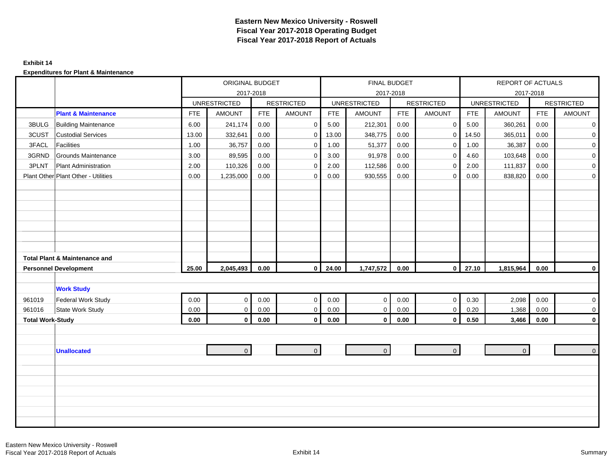#### **Exhibit 14**

|                         |                                          |            | ORIGINAL BUDGET     |            |                   |            | FINAL BUDGET        |            |                   |            | REPORT OF ACTUALS   |            |                   |
|-------------------------|------------------------------------------|------------|---------------------|------------|-------------------|------------|---------------------|------------|-------------------|------------|---------------------|------------|-------------------|
|                         |                                          |            |                     | 2017-2018  |                   |            |                     | 2017-2018  |                   |            |                     | 2017-2018  |                   |
|                         |                                          |            | <b>UNRESTRICTED</b> |            | <b>RESTRICTED</b> |            | <b>UNRESTRICTED</b> |            | <b>RESTRICTED</b> |            | <b>UNRESTRICTED</b> |            | <b>RESTRICTED</b> |
|                         | <b>Plant &amp; Maintenance</b>           | <b>FTE</b> | <b>AMOUNT</b>       | <b>FTE</b> | <b>AMOUNT</b>     | <b>FTE</b> | <b>AMOUNT</b>       | <b>FTE</b> | AMOUNT            | <b>FTE</b> | <b>AMOUNT</b>       | <b>FTE</b> | <b>AMOUNT</b>     |
| 3BULG                   | <b>Building Maintenance</b>              | 6.00       | 241,174             | 0.00       | $\mathbf 0$       | 5.00       | 212,301             | 0.00       | 0                 | 5.00       | 360,261             | 0.00       | $\mathbf 0$       |
| 3CUST                   | <b>Custodial Services</b>                | 13.00      | 332,641             | 0.00       | $\mathbf 0$       | 13.00      | 348,775             | 0.00       | $\mathbf 0$       | 14.50      | 365,011             | 0.00       | $\mathbf 0$       |
| 3FACL                   | <b>Facilities</b>                        | 1.00       | 36,757              | 0.00       | $\mathbf 0$       | 1.00       | 51,377              | 0.00       | $\mathbf 0$       | 1.00       | 36,387              | 0.00       | $\overline{0}$    |
| 3GRND                   | Grounds Maintenance                      | 3.00       | 89,595              | 0.00       | $\mathbf 0$       | 3.00       | 91,978              | 0.00       | $\mathbf 0$       | 4.60       | 103,648             | 0.00       | $\overline{0}$    |
| 3PLNT                   | <b>Plant Administration</b>              | 2.00       | 110,326             | 0.00       | $\mathbf 0$       | 2.00       | 112,586             | 0.00       | $\Omega$          | 2.00       | 111,837             | 0.00       | $\overline{0}$    |
|                         | Plant Other Plant Other - Utilities      | 0.00       | 1,235,000           | 0.00       | $\mathbf 0$       | 0.00       | 930,555             | 0.00       | $\mathbf{0}$      | 0.00       | 838,820             | 0.00       | $\overline{0}$    |
|                         |                                          |            |                     |            |                   |            |                     |            |                   |            |                     |            |                   |
|                         |                                          |            |                     |            |                   |            |                     |            |                   |            |                     |            |                   |
|                         |                                          |            |                     |            |                   |            |                     |            |                   |            |                     |            |                   |
|                         |                                          |            |                     |            |                   |            |                     |            |                   |            |                     |            |                   |
|                         |                                          |            |                     |            |                   |            |                     |            |                   |            |                     |            |                   |
|                         |                                          |            |                     |            |                   |            |                     |            |                   |            |                     |            |                   |
|                         |                                          |            |                     |            |                   |            |                     |            |                   |            |                     |            |                   |
|                         | <b>Total Plant &amp; Maintenance and</b> |            |                     |            |                   |            |                     |            |                   |            |                     |            |                   |
|                         | <b>Personnel Development</b>             | 25.00      | 2,045,493           | 0.00       | $\mathbf 0$       | 24.00      | 1,747,572           | 0.00       | $\overline{0}$    | 27.10      | 1,815,964           | 0.00       | $\mathbf 0$       |
|                         |                                          |            |                     |            |                   |            |                     |            |                   |            |                     |            |                   |
|                         | <b>Work Study</b>                        |            |                     |            |                   |            |                     |            |                   |            |                     |            |                   |
| 961019                  | <b>Federal Work Study</b>                | 0.00       | $\mathbf 0$         | 0.00       | $\mathbf{0}$      | 0.00       | $\mathbf{0}$        | 0.00       | $\overline{0}$    | 0.30       | 2,098               | 0.00       | $\overline{0}$    |
| 961016                  | State Work Study                         | 0.00       | $\mathsf 0$         | 0.00       | $\mathsf 0$       | $0.00\,$   | $\mathbf 0$         | 0.00       | $\mathbf 0$       | 0.20       | 1,368               | 0.00       | $\mathbf 0$       |
| <b>Total Work-Study</b> |                                          | 0.00       | $\mathbf 0$         | $0.00\,$   | $\mathbf 0$       | 0.00       | $\mathbf{0}$        | $0.00\,$   | $\mathbf 0$       | 0.50       | 3,466               | 0.00       | $\mathbf 0$       |
|                         |                                          |            |                     |            |                   |            |                     |            |                   |            |                     |            |                   |
|                         |                                          |            |                     |            |                   |            |                     |            |                   |            |                     |            |                   |
|                         | <b>Unallocated</b>                       |            | $\Omega$            |            | $\overline{0}$    |            | $\mathbf{0}$        |            | $\overline{0}$    |            | $\overline{0}$      |            | $\overline{0}$    |
|                         |                                          |            |                     |            |                   |            |                     |            |                   |            |                     |            |                   |
|                         |                                          |            |                     |            |                   |            |                     |            |                   |            |                     |            |                   |
|                         |                                          |            |                     |            |                   |            |                     |            |                   |            |                     |            |                   |
|                         |                                          |            |                     |            |                   |            |                     |            |                   |            |                     |            |                   |
|                         |                                          |            |                     |            |                   |            |                     |            |                   |            |                     |            |                   |
|                         |                                          |            |                     |            |                   |            |                     |            |                   |            |                     |            |                   |
|                         |                                          |            |                     |            |                   |            |                     |            |                   |            |                     |            |                   |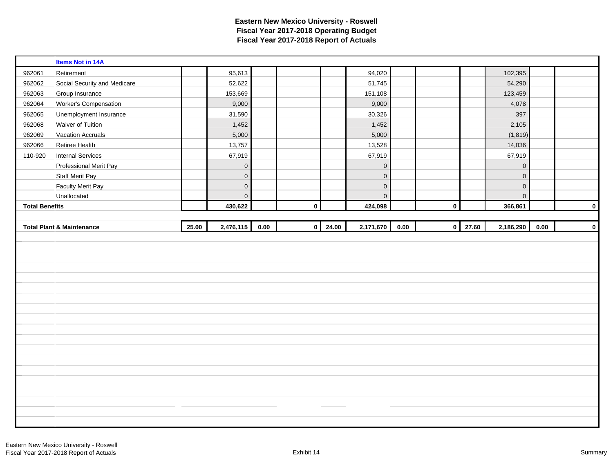| Retirement<br>95,613<br>94,020<br>102,395<br>962061<br>Social Security and Medicare<br>52,622<br>51,745<br>54,290<br>962062<br>962063<br>Group Insurance<br>153,669<br>151,108<br>123,459<br>Worker's Compensation<br>9,000<br>9,000<br>4,078<br>962064<br>397<br>962065<br>Unemployment Insurance<br>31,590<br>30,326<br>1,452<br>1,452<br>2,105<br>962068<br>Waiver of Tuition<br>5,000<br>962069<br><b>Vacation Accruals</b><br>5,000<br>(1,819)<br>962066<br>13,757<br>14,036<br>Retiree Health<br>13,528<br>110-920<br><b>Internal Services</b><br>67,919<br>67,919<br>67,919<br>Professional Merit Pay<br>$\mathbf 0$<br>$\mathbf 0$<br>$\mathbf 0$<br><b>Staff Merit Pay</b><br>$\mathbf 0$<br>$\mathbf 0$<br>$\mathbf 0$<br><b>Faculty Merit Pay</b><br>$\mathbf 0$<br>$\mathsf 0$<br>$\mathsf{O}\xspace$<br>$\overline{0}$<br>$\pmb{0}$<br>Unallocated<br>$\mathsf 0$<br>430,622<br>$\mathbf 0$<br>424,098<br>366,861<br><b>Total Benefits</b><br>$\mathbf 0$<br>2,476,115<br>$0 \mid 24.00$<br>2,171,670<br>27.60<br>2,186,290<br>25.00<br>0.00<br>0.00<br>$\mathbf 0$<br>0.00<br><b>Total Plant &amp; Maintenance</b> | <b>Items Not in 14A</b> |  |  |  |  |  |             |
|----------------------------------------------------------------------------------------------------------------------------------------------------------------------------------------------------------------------------------------------------------------------------------------------------------------------------------------------------------------------------------------------------------------------------------------------------------------------------------------------------------------------------------------------------------------------------------------------------------------------------------------------------------------------------------------------------------------------------------------------------------------------------------------------------------------------------------------------------------------------------------------------------------------------------------------------------------------------------------------------------------------------------------------------------------------------------------------------------------------------------------|-------------------------|--|--|--|--|--|-------------|
|                                                                                                                                                                                                                                                                                                                                                                                                                                                                                                                                                                                                                                                                                                                                                                                                                                                                                                                                                                                                                                                                                                                                  |                         |  |  |  |  |  |             |
|                                                                                                                                                                                                                                                                                                                                                                                                                                                                                                                                                                                                                                                                                                                                                                                                                                                                                                                                                                                                                                                                                                                                  |                         |  |  |  |  |  |             |
|                                                                                                                                                                                                                                                                                                                                                                                                                                                                                                                                                                                                                                                                                                                                                                                                                                                                                                                                                                                                                                                                                                                                  |                         |  |  |  |  |  |             |
|                                                                                                                                                                                                                                                                                                                                                                                                                                                                                                                                                                                                                                                                                                                                                                                                                                                                                                                                                                                                                                                                                                                                  |                         |  |  |  |  |  |             |
|                                                                                                                                                                                                                                                                                                                                                                                                                                                                                                                                                                                                                                                                                                                                                                                                                                                                                                                                                                                                                                                                                                                                  |                         |  |  |  |  |  |             |
|                                                                                                                                                                                                                                                                                                                                                                                                                                                                                                                                                                                                                                                                                                                                                                                                                                                                                                                                                                                                                                                                                                                                  |                         |  |  |  |  |  |             |
|                                                                                                                                                                                                                                                                                                                                                                                                                                                                                                                                                                                                                                                                                                                                                                                                                                                                                                                                                                                                                                                                                                                                  |                         |  |  |  |  |  |             |
|                                                                                                                                                                                                                                                                                                                                                                                                                                                                                                                                                                                                                                                                                                                                                                                                                                                                                                                                                                                                                                                                                                                                  |                         |  |  |  |  |  |             |
|                                                                                                                                                                                                                                                                                                                                                                                                                                                                                                                                                                                                                                                                                                                                                                                                                                                                                                                                                                                                                                                                                                                                  |                         |  |  |  |  |  |             |
|                                                                                                                                                                                                                                                                                                                                                                                                                                                                                                                                                                                                                                                                                                                                                                                                                                                                                                                                                                                                                                                                                                                                  |                         |  |  |  |  |  |             |
|                                                                                                                                                                                                                                                                                                                                                                                                                                                                                                                                                                                                                                                                                                                                                                                                                                                                                                                                                                                                                                                                                                                                  |                         |  |  |  |  |  |             |
|                                                                                                                                                                                                                                                                                                                                                                                                                                                                                                                                                                                                                                                                                                                                                                                                                                                                                                                                                                                                                                                                                                                                  |                         |  |  |  |  |  |             |
|                                                                                                                                                                                                                                                                                                                                                                                                                                                                                                                                                                                                                                                                                                                                                                                                                                                                                                                                                                                                                                                                                                                                  |                         |  |  |  |  |  |             |
|                                                                                                                                                                                                                                                                                                                                                                                                                                                                                                                                                                                                                                                                                                                                                                                                                                                                                                                                                                                                                                                                                                                                  |                         |  |  |  |  |  | $\mathbf 0$ |
|                                                                                                                                                                                                                                                                                                                                                                                                                                                                                                                                                                                                                                                                                                                                                                                                                                                                                                                                                                                                                                                                                                                                  |                         |  |  |  |  |  |             |
|                                                                                                                                                                                                                                                                                                                                                                                                                                                                                                                                                                                                                                                                                                                                                                                                                                                                                                                                                                                                                                                                                                                                  |                         |  |  |  |  |  |             |
|                                                                                                                                                                                                                                                                                                                                                                                                                                                                                                                                                                                                                                                                                                                                                                                                                                                                                                                                                                                                                                                                                                                                  |                         |  |  |  |  |  | $\mathbf 0$ |
|                                                                                                                                                                                                                                                                                                                                                                                                                                                                                                                                                                                                                                                                                                                                                                                                                                                                                                                                                                                                                                                                                                                                  |                         |  |  |  |  |  |             |
|                                                                                                                                                                                                                                                                                                                                                                                                                                                                                                                                                                                                                                                                                                                                                                                                                                                                                                                                                                                                                                                                                                                                  |                         |  |  |  |  |  |             |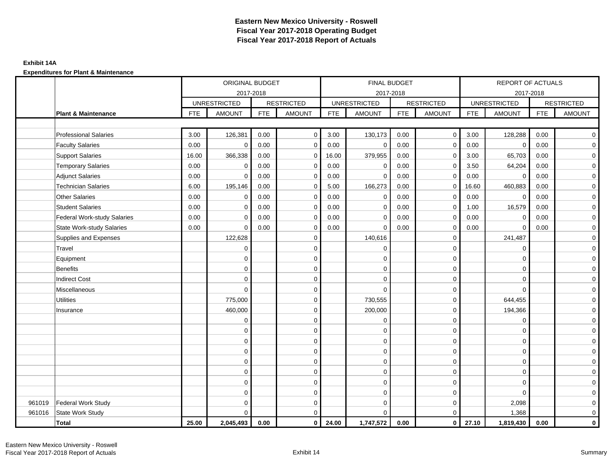## **Exhibit 14A**

|        |                                    |            | ORIGINAL BUDGET     |            |                   |            |                     | FINAL BUDGET |                         |            | REPORT OF ACTUALS   |            |                   |
|--------|------------------------------------|------------|---------------------|------------|-------------------|------------|---------------------|--------------|-------------------------|------------|---------------------|------------|-------------------|
|        |                                    |            | 2017-2018           |            |                   |            |                     | 2017-2018    |                         |            | 2017-2018           |            |                   |
|        |                                    |            | <b>UNRESTRICTED</b> |            | <b>RESTRICTED</b> |            | <b>UNRESTRICTED</b> |              | <b>RESTRICTED</b>       |            | <b>UNRESTRICTED</b> |            | <b>RESTRICTED</b> |
|        | <b>Plant &amp; Maintenance</b>     | <b>FTE</b> | <b>AMOUNT</b>       | <b>FTE</b> | <b>AMOUNT</b>     | <b>FTE</b> | <b>AMOUNT</b>       | <b>FTE</b>   | <b>AMOUNT</b>           | <b>FTE</b> | <b>AMOUNT</b>       | <b>FTE</b> | <b>AMOUNT</b>     |
|        |                                    |            |                     |            |                   |            |                     |              |                         |            |                     |            |                   |
|        | <b>Professional Salaries</b>       | 3.00       | 126,381             | 0.00       | $\mathbf 0$       | 3.00       | 130,173             | 0.00         | $\overline{0}$          | 3.00       | 128,288             | 0.00       | $\overline{0}$    |
|        | <b>Faculty Salaries</b>            | 0.00       | $\mathbf 0$         | 0.00       | $\mathbf 0$       | 0.00       | $\mathbf 0$         | 0.00         | $\mathbf 0$             | 0.00       | $\mathbf 0$         | 0.00       | $\mathbf 0$       |
|        | <b>Support Salaries</b>            | 16.00      | 366,338             | 0.00       | 0                 | 16.00      | 379,955             | 0.00         | $\mathbf 0$             | 3.00       | 65,703              | 0.00       | $\mathbf 0$       |
|        | <b>Temporary Salaries</b>          | 0.00       | 0                   | 0.00       | 0                 | 0.00       | $\mathbf 0$         | 0.00         | $\mathbf 0$             | 3.50       | 64,204              | 0.00       | $\overline{0}$    |
|        | <b>Adjunct Salaries</b>            | 0.00       | $\mathbf 0$         | 0.00       | $\Omega$          | 0.00       | $\Omega$            | 0.00         | $\Omega$                | 0.00       | $\mathbf 0$         | 0.00       | $\mathbf 0$       |
|        | <b>Technician Salaries</b>         | 6.00       | 195,146             | 0.00       | $\mathbf 0$       | 5.00       | 166,273             | 0.00         | 0                       | 16.60      | 460,883             | 0.00       | $\mathbf 0$       |
|        | <b>Other Salaries</b>              | 0.00       | $\mathbf 0$         | 0.00       | $\Omega$          | 0.00       | $\Omega$            | 0.00         | $\mathbf 0$             | 0.00       | $\mathbf 0$         | 0.00       | $\overline{0}$    |
|        | <b>Student Salaries</b>            | 0.00       | $\mathbf 0$         | 0.00       | $\mathbf 0$       | 0.00       | $\mathbf{0}$        | 0.00         | $\mathbf 0$             | 1.00       | 16,579              | 0.00       | $\overline{0}$    |
|        | <b>Federal Work-study Salaries</b> | 0.00       | $\mathbf 0$         | 0.00       | $\mathbf 0$       | 0.00       | $\mathbf 0$         | 0.00         | $\mathbf 0$             | 0.00       | $\mathbf 0$         | 0.00       | $\overline{0}$    |
|        | <b>State Work-study Salaries</b>   | 0.00       | $\mathbf 0$         | 0.00       | $\mathbf 0$       | 0.00       | $\mathbf 0$         | 0.00         | $\mathbf 0$             | 0.00       | $\mathbf 0$         | 0.00       | $\mathbf 0$       |
|        | Supplies and Expenses              |            | 122,628             |            | $\mathbf 0$       |            | 140,616             |              | $\mathbf 0$             |            | 241,487             |            | $\overline{0}$    |
|        | Travel                             |            | $\mathbf 0$         |            | $\mathbf 0$       |            | $\mathbf 0$         |              | $\mathbf 0$             |            | $\mathbf 0$         |            | $\mathbf 0$       |
|        | Equipment                          |            | $\mathbf 0$         |            | $\pmb{0}$         |            | $\mathbf 0$         |              | $\mathbf 0$             |            | $\mathbf 0$         |            | $\mathbf 0$       |
|        | <b>Benefits</b>                    |            | $\Omega$            |            | $\mathbf 0$       |            | $\Omega$            |              | $\mathbf 0$             |            | $\mathbf 0$         |            | $\mathbf 0$       |
|        | <b>Indirect Cost</b>               |            | $\Omega$            |            | $\mathbf 0$       |            | $\Omega$            |              | $\mathbf 0$             |            | $\Omega$            |            | $\overline{0}$    |
|        | Miscellaneous                      |            | $\mathbf 0$         |            | $\mathbf 0$       |            | $\Omega$            |              | $\mathbf 0$             |            | $\Omega$            |            | $\overline{0}$    |
|        | <b>Utilities</b>                   |            | 775,000             |            | $\mathbf 0$       |            | 730,555             |              | $\mathbf 0$             |            | 644,455             |            | $\overline{0}$    |
|        | Insurance                          |            | 460,000             |            | $\mathbf 0$       |            | 200,000             |              | $\mathbf 0$             |            | 194,366             |            | $\overline{0}$    |
|        |                                    |            | $\mathbf 0$         |            | $\mathbf 0$       |            | $\mathbf 0$         |              | $\mathbf 0$             |            | $\mathbf 0$         |            | $\overline{0}$    |
|        |                                    |            | $\mathbf 0$         |            | $\mathbf 0$       |            | $\Omega$            |              | $\mathbf 0$             |            | $\Omega$            |            | $\mathbf 0$       |
|        |                                    |            | $\mathbf 0$         |            | $\mathbf 0$       |            | 0                   |              | $\mathbf 0$             |            | $\Omega$            |            | $\overline{0}$    |
|        |                                    |            | $\mathbf 0$         |            | $\mathbf 0$       |            | $\Omega$            |              | $\mathbf 0$             |            | $\Omega$            |            | $\overline{0}$    |
|        |                                    |            | $\mathbf 0$         |            | 0                 |            | $\mathbf 0$         |              | $\mathbf 0$             |            | $\mathbf 0$         |            | $\mathbf 0$       |
|        |                                    |            | $\Omega$            |            | $\mathbf 0$       |            | $\Omega$            |              | $\mathbf 0$             |            | $\mathbf 0$         |            | $\mathbf 0$       |
|        |                                    |            | $\Omega$            |            | $\mathbf 0$       |            | $\Omega$            |              | $\mathbf 0$             |            | $\Omega$            |            | $\mathbf 0$       |
|        |                                    |            | $\Omega$            |            | $\mathbf 0$       |            | $\mathbf 0$         |              | $\mathbf 0$             |            | $\Omega$            |            | $\mathbf 0$       |
| 961019 | <b>Federal Work Study</b>          |            | $\Omega$            |            | $\mathbf 0$       |            | $\mathbf 0$         |              | $\mathbf 0$             |            | 2,098               |            | $\mathbf 0$       |
| 961016 | State Work Study                   |            | $\Omega$            |            | $\mathbf 0$       |            | $\Omega$            |              | $\mathbf 0$             |            | 1,368               |            | $\mathbf 0$       |
|        | <b>Total</b>                       | 25.00      | 2,045,493           | 0.00       | $\mathbf 0$       | 24.00      | 1,747,572           | 0.00         | $\overline{\mathbf{0}}$ | 27.10      | 1,819,430           | 0.00       | $\mathbf{0}$      |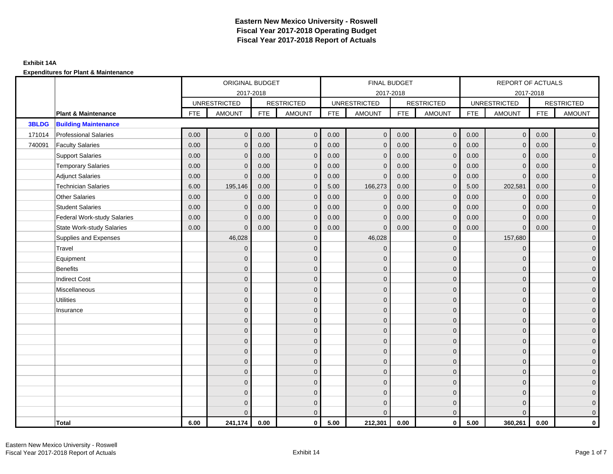|              |                                    |            | ORIGINAL BUDGET     |            |                   |            | FINAL BUDGET        |            |                   |            | REPORT OF ACTUALS   |            |                     |
|--------------|------------------------------------|------------|---------------------|------------|-------------------|------------|---------------------|------------|-------------------|------------|---------------------|------------|---------------------|
|              |                                    |            | 2017-2018           |            |                   |            | 2017-2018           |            |                   |            | 2017-2018           |            |                     |
|              |                                    |            | <b>UNRESTRICTED</b> |            | <b>RESTRICTED</b> |            | <b>UNRESTRICTED</b> |            | <b>RESTRICTED</b> |            | <b>UNRESTRICTED</b> |            | <b>RESTRICTED</b>   |
|              | <b>Plant &amp; Maintenance</b>     | <b>FTE</b> | <b>AMOUNT</b>       | <b>FTE</b> | <b>AMOUNT</b>     | <b>FTE</b> | <b>AMOUNT</b>       | <b>FTE</b> | AMOUNT            | <b>FTE</b> | <b>AMOUNT</b>       | <b>FTE</b> | <b>AMOUNT</b>       |
| <b>3BLDG</b> | <b>Building Maintenance</b>        |            |                     |            |                   |            |                     |            |                   |            |                     |            |                     |
| 171014       | <b>Professional Salaries</b>       | 0.00       | $\mathbf{0}$        | 0.00       | $\mathbf{0}$      | 0.00       | $\mathbf{0}$        | 0.00       | $\overline{0}$    | 0.00       | $\overline{0}$      | 0.00       | $\overline{0}$      |
| 740091       | <b>Faculty Salaries</b>            | 0.00       | $\mathbf{0}$        | 0.00       | $\mathbf{0}$      | 0.00       | $\mathbf{0}$        | 0.00       | $\mathbf{0}$      | 0.00       | $\mathbf{0}$        | 0.00       | $\overline{0}$      |
|              | <b>Support Salaries</b>            | 0.00       | $\mathbf{0}$        | 0.00       | $\mathbf{0}$      | 0.00       | $\overline{0}$      | 0.00       | $\mathbf 0$       | 0.00       | $\overline{0}$      | 0.00       | $\overline{0}$      |
|              | <b>Temporary Salaries</b>          | 0.00       | $\mathbf 0$         | 0.00       | $\mathbf 0$       | 0.00       | $\mathbf{0}$        | 0.00       | $\mathbf 0$       | 0.00       | $\mathbf 0$         | 0.00       | $\mathbf{0}$        |
|              | <b>Adjunct Salaries</b>            | 0.00       | $\mathbf{0}$        | 0.00       | $\mathbf{0}$      | 0.00       | $\mathbf{0}$        | 0.00       | $\mathbf{0}$      | 0.00       | $\mathbf{0}$        | 0.00       | $\mathbf{0}$        |
|              | <b>Technician Salaries</b>         | 6.00       | 195,146             | 0.00       | $\Omega$          | 5.00       | 166,273             | 0.00       | $\mathbf{0}$      | 5.00       | 202,581             | 0.00       | $\mathbf{0}$        |
|              | <b>Other Salaries</b>              | 0.00       | $\mathbf{0}$        | 0.00       | $\Omega$          | 0.00       | $\mathbf{0}$        | 0.00       | $\mathbf{0}$      | 0.00       | $\mathbf{0}$        | 0.00       | $\overline{0}$      |
|              | <b>Student Salaries</b>            | 0.00       | $\mathbf 0$         | 0.00       | $\mathbf 0$       | 0.00       | $\mathbf 0$         | 0.00       | $\mathbf 0$       | 0.00       | $\mathbf 0$         | 0.00       | $\mathbf{0}$        |
|              | <b>Federal Work-study Salaries</b> | 0.00       | $\mathbf 0$         | 0.00       | $\mathbf 0$       | 0.00       | $\mathbf{0}$        | 0.00       | $\mathbf 0$       | 0.00       | $\mathbf 0$         | 0.00       | $\overline{0}$      |
|              | <b>State Work-study Salaries</b>   | 0.00       | $\mathbf{0}$        | 0.00       | $\mathbf{0}$      | 0.00       | $\mathbf{0}$        | 0.00       | $\mathbf{0}$      | 0.00       | $\mathbf{0}$        | 0.00       | $\overline{0}$      |
|              | Supplies and Expenses              |            | 46,028              |            | $\mathbf 0$       |            | 46,028              |            | $\overline{0}$    |            | 157,680             |            | $\mathsf{O}\xspace$ |
|              | Travel                             |            | $\overline{0}$      |            | $\mathbf{0}$      |            | $\mathbf{0}$        |            | $\mathbf{0}$      |            | $\mathbf{0}$        |            | $\overline{0}$      |
|              | Equipment                          |            | $\mathbf{0}$        |            | $\mathbf 0$       |            | $\mathbf{0}$        |            | $\mathbf 0$       |            | $\mathbf 0$         |            | $\overline{0}$      |
|              | <b>Benefits</b>                    |            | $\mathbf{0}$        |            | $\mathbf{0}$      |            | $\Omega$            |            | $\mathbf 0$       |            | $\mathbf{0}$        |            | $\overline{0}$      |
|              | <b>Indirect Cost</b>               |            | $\Omega$            |            | $\mathbf{0}$      |            | $\Omega$            |            | $\mathbf{0}$      |            | $\Omega$            |            | $\overline{0}$      |
|              | Miscellaneous                      |            | $\Omega$            |            | $\mathbf{0}$      |            | $\Omega$            |            | $\mathbf{0}$      |            | $\Omega$            |            | $\overline{0}$      |
|              | <b>Utilities</b>                   |            | $\overline{0}$      |            | $\mathbf 0$       |            | $\mathbf{0}$        |            | $\mathbf 0$       |            | $\mathbf{0}$        |            | $\mathbf{0}$        |
|              | Insurance                          |            | $\overline{0}$      |            | $\mathbf 0$       |            | $\mathbf{0}$        |            | $\mathbf 0$       |            | $\mathbf{0}$        |            | $\overline{0}$      |
|              |                                    |            | $\Omega$            |            | $\mathbf{0}$      |            | $\Omega$            |            | $\mathbf 0$       |            | $\mathbf{0}$        |            | $\overline{0}$      |
|              |                                    |            | $\Omega$            |            | $\mathbf{0}$      |            | $\Omega$            |            | $\mathbf{0}$      |            | $\Omega$            |            | $\overline{0}$      |
|              |                                    |            | $\mathbf{0}$        |            | $\mathbf 0$       |            | $\mathbf{0}$        |            | $\mathbf 0$       |            | $\mathbf 0$         |            | $\mathsf{O}\xspace$ |
|              |                                    |            | $\mathbf{0}$        |            | $\mathbf 0$       |            | $\mathbf{0}$        |            | $\mathbf 0$       |            | $\mathbf{0}$        |            | $\mathbf{0}$        |
|              |                                    |            | $\mathbf{0}$        |            | $\mathbf{0}$      |            | $\mathbf{0}$        |            | $\mathbf 0$       |            | $\mathbf{0}$        |            | $\overline{0}$      |
|              |                                    |            | $\Omega$            |            | $\mathbf{0}$      |            | $\Omega$            |            | $\mathbf{0}$      |            | $\mathbf 0$         |            | $\overline{0}$      |
|              |                                    |            | $\mathbf{0}$        |            | $\mathbf 0$       |            | $\mathbf{0}$        |            | $\mathbf 0$       |            | $\mathbf 0$         |            | $\mathbf{0}$        |
|              |                                    |            | $\mathbf{0}$        |            | $\mathbf 0$       |            | $\mathbf{0}$        |            | $\mathbf 0$       |            | $\mathbf 0$         |            | $\mathbf{0}$        |
|              |                                    |            | 0                   |            | $\mathbf 0$       |            | $\Omega$            |            | $\mathbf 0$       |            | $\mathbf 0$         |            | $\mathbf{0}$        |
|              |                                    |            | $\Omega$            |            | $\mathbf{0}$      |            | $\Omega$            |            | $\mathbf{0}$      |            | $\Omega$            |            | $\overline{0}$      |
|              | <b>Total</b>                       | 6.00       | 241,174             | 0.00       | $\mathbf{0}$      | 5.00       | 212,301             | 0.00       | $\mathbf{0}$      | 5.00       | 360,261             | 0.00       | $\mathbf 0$         |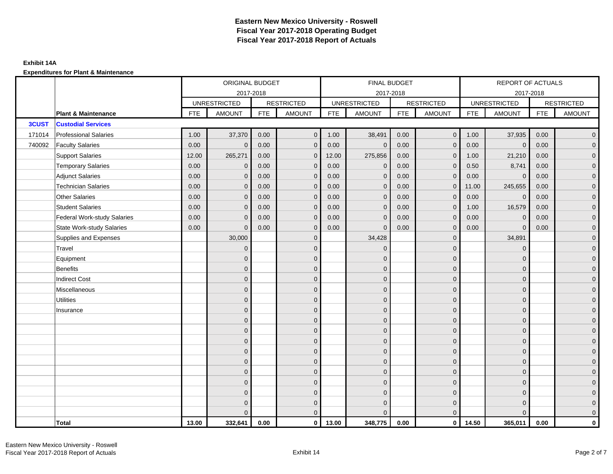|              |                                    |            | ORIGINAL BUDGET     |            |                   |            | <b>FINAL BUDGET</b> |            |                   |            | <b>REPORT OF ACTUALS</b> |            |                     |
|--------------|------------------------------------|------------|---------------------|------------|-------------------|------------|---------------------|------------|-------------------|------------|--------------------------|------------|---------------------|
|              |                                    |            | 2017-2018           |            |                   |            | 2017-2018           |            |                   |            | 2017-2018                |            |                     |
|              |                                    |            | <b>UNRESTRICTED</b> |            | <b>RESTRICTED</b> |            | <b>UNRESTRICTED</b> |            | <b>RESTRICTED</b> |            | <b>UNRESTRICTED</b>      |            | <b>RESTRICTED</b>   |
|              | <b>Plant &amp; Maintenance</b>     | <b>FTE</b> | <b>AMOUNT</b>       | <b>FTE</b> | <b>AMOUNT</b>     | <b>FTE</b> | <b>AMOUNT</b>       | <b>FTE</b> | <b>AMOUNT</b>     | <b>FTE</b> | <b>AMOUNT</b>            | <b>FTE</b> | <b>AMOUNT</b>       |
| <b>3CUST</b> | <b>Custodial Services</b>          |            |                     |            |                   |            |                     |            |                   |            |                          |            |                     |
| 171014       | <b>Professional Salaries</b>       | 1.00       | 37,370              | 0.00       | $\overline{0}$    | 1.00       | 38,491              | 0.00       | $\overline{0}$    | 1.00       | 37,935                   | 0.00       | $\overline{0}$      |
| 740092       | <b>Faculty Salaries</b>            | 0.00       | $\mathbf 0$         | 0.00       | $\mathbf 0$       | 0.00       | $\mathbf 0$         | 0.00       | $\mathbf{0}$      | 0.00       | $\overline{0}$           | 0.00       | $\overline{0}$      |
|              | <b>Support Salaries</b>            | 12.00      | 265,271             | 0.00       | $\mathbf 0$       | 12.00      | 275,856             | 0.00       | $\mathbf 0$       | 1.00       | 21,210                   | 0.00       | $\overline{0}$      |
|              | <b>Temporary Salaries</b>          | 0.00       | $\mathbf{0}$        | 0.00       | $\mathbf{0}$      | 0.00       | $\mathbf 0$         | 0.00       | $\mathbf 0$       | 0.50       | 8,741                    | 0.00       | $\overline{0}$      |
|              | <b>Adjunct Salaries</b>            | 0.00       | $\Omega$            | 0.00       | $\mathbf{0}$      | 0.00       | $\Omega$            | 0.00       | $\mathbf{0}$      | 0.00       | $\mathbf{0}$             | 0.00       | $\overline{0}$      |
|              | <b>Technician Salaries</b>         | 0.00       | $\mathbf{0}$        | 0.00       | $\mathbf{0}$      | 0.00       | $\mathbf{0}$        | 0.00       | $\mathbf 0$       | 11.00      | 245,655                  | 0.00       | $\mathbf{0}$        |
|              | <b>Other Salaries</b>              | 0.00       | $\mathbf{0}$        | 0.00       | $\mathbf{0}$      | 0.00       | $\mathbf{0}$        | 0.00       | $\mathbf{0}$      | 0.00       | $\overline{0}$           | 0.00       | $\overline{0}$      |
|              | <b>Student Salaries</b>            | 0.00       | $\mathbf{0}$        | 0.00       | $\mathbf{0}$      | 0.00       | $\mathbf{0}$        | 0.00       | $\mathbf{0}$      | 1.00       | 16,579                   | 0.00       | $\overline{0}$      |
|              | <b>Federal Work-study Salaries</b> | 0.00       | $\mathbf{0}$        | 0.00       | $\mathbf{0}$      | 0.00       | $\mathbf{0}$        | 0.00       | $\mathbf 0$       | 0.00       | $\mathbf 0$              | 0.00       | $\overline{0}$      |
|              | <b>State Work-study Salaries</b>   | 0.00       | $\mathbf{0}$        | 0.00       | $\mathbf{0}$      | 0.00       | $\mathbf{0}$        | 0.00       | $\mathbf{0}$      | 0.00       | $\mathbf{0}$             | 0.00       | $\mathbf{0}$        |
|              | Supplies and Expenses              |            | 30,000              |            | $\mathbf{0}$      |            | 34,428              |            | $\overline{0}$    |            | 34,891                   |            | $\mathsf{O}\xspace$ |
|              | Travel                             |            | $\overline{0}$      |            | $\mathbf{0}$      |            | $\mathbf{0}$        |            | $\mathbf{0}$      |            | $\mathbf{0}$             |            | $\overline{0}$      |
|              | Equipment                          |            | $\Omega$            |            | $\mathbf 0$       |            | $\mathbf{0}$        |            | $\mathbf 0$       |            | $\mathbf{0}$             |            | $\overline{0}$      |
|              | <b>Benefits</b>                    |            | $\Omega$            |            | $\mathbf{0}$      |            | $\Omega$            |            | $\mathbf 0$       |            | $\mathbf{0}$             |            | $\overline{0}$      |
|              | <b>Indirect Cost</b>               |            | $\Omega$            |            | $\mathbf{0}$      |            | $\Omega$            |            | $\mathbf{0}$      |            | $\Omega$                 |            | $\overline{0}$      |
|              | Miscellaneous                      |            | $\Omega$            |            | $\mathbf 0$       |            | $\mathbf{0}$        |            | $\mathbf 0$       |            | $\mathbf 0$              |            | $\mathsf{O}\xspace$ |
|              | <b>Utilities</b>                   |            | $\overline{0}$      |            | $\mathbf 0$       |            | $\mathbf{0}$        |            | $\mathbf 0$       |            | $\mathbf{0}$             |            | $\overline{0}$      |
|              | Insurance                          |            | $\Omega$            |            | $\mathbf 0$       |            | $\mathbf{0}$        |            | $\mathbf 0$       |            | $\mathbf{0}$             |            | $\overline{0}$      |
|              |                                    |            | $\Omega$            |            | $\mathbf 0$       |            | $\mathbf{0}$        |            | $\mathbf 0$       |            | $\mathbf 0$              |            | $\mathbf{0}$        |
|              |                                    |            | $\Omega$            |            | $\mathbf 0$       |            | $\Omega$            |            | $\mathbf 0$       |            | $\mathbf 0$              |            | $\mathbf{0}$        |
|              |                                    |            | $\Omega$            |            | $\mathbf{0}$      |            | $\Omega$            |            | $\mathbf{0}$      |            | $\mathbf 0$              |            | $\mathsf{O}\xspace$ |
|              |                                    |            | $\mathbf{0}$        |            | $\mathbf 0$       |            | $\Omega$            |            | $\mathbf{0}$      |            | $\Omega$                 |            | $\overline{0}$      |
|              |                                    |            | $\Omega$            |            | $\mathbf 0$       |            | $\mathbf{0}$        |            | $\mathbf 0$       |            | $\mathbf 0$              |            | $\overline{0}$      |
|              |                                    |            | $\Omega$            |            | $\mathbf 0$       |            | $\Omega$            |            | $\mathbf 0$       |            | $\mathbf{0}$             |            | $\overline{0}$      |
|              |                                    |            | $\Omega$            |            | $\mathbf{0}$      |            | $\Omega$            |            | $\mathbf{0}$      |            | $\Omega$                 |            | $\overline{0}$      |
|              |                                    |            | $\Omega$            |            | $\mathbf 0$       |            | $\mathbf{0}$        |            | $\mathbf 0$       |            | $\mathbf{0}$             |            | $\overline{0}$      |
|              |                                    |            | $\Omega$            |            | $\mathbf 0$       |            | $\mathbf{0}$        |            | $\mathbf 0$       |            | $\mathbf{0}$             |            | $\mathbf{0}$        |
|              |                                    |            | $\Omega$            |            | $\overline{0}$    |            | $\Omega$            |            | $\mathbf{0}$      |            | $\Omega$                 |            | $\overline{0}$      |
|              | <b>Total</b>                       | 13.00      | 332,641             | 0.00       | $\mathbf 0$       | 13.00      | 348,775             | 0.00       | $\overline{0}$    | 14.50      | 365,011                  | 0.00       | $\mathbf{0}$        |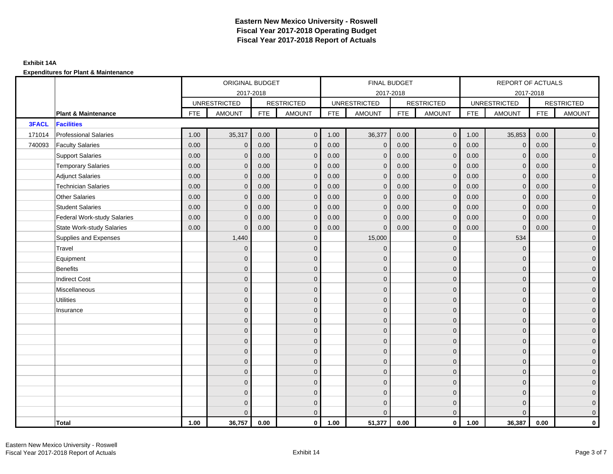## **Exhibit 14A**

|              |                                    |            | ORIGINAL BUDGET     |            |                   |            | FINAL BUDGET        |            |                   |            | REPORT OF ACTUALS   |            |                     |
|--------------|------------------------------------|------------|---------------------|------------|-------------------|------------|---------------------|------------|-------------------|------------|---------------------|------------|---------------------|
|              |                                    |            |                     | 2017-2018  |                   |            | 2017-2018           |            |                   |            | 2017-2018           |            |                     |
|              |                                    |            | <b>UNRESTRICTED</b> |            | <b>RESTRICTED</b> |            | <b>UNRESTRICTED</b> |            | <b>RESTRICTED</b> |            | <b>UNRESTRICTED</b> |            | <b>RESTRICTED</b>   |
|              | <b>Plant &amp; Maintenance</b>     | <b>FTE</b> | <b>AMOUNT</b>       | <b>FTE</b> | <b>AMOUNT</b>     | <b>FTE</b> | <b>AMOUNT</b>       | <b>FTE</b> | <b>AMOUNT</b>     | <b>FTE</b> | <b>AMOUNT</b>       | <b>FTE</b> | <b>AMOUNT</b>       |
| <b>3FACL</b> | <b>Facilities</b>                  |            |                     |            |                   |            |                     |            |                   |            |                     |            |                     |
| 171014       | <b>Professional Salaries</b>       | 1.00       | 35,317              | 0.00       | $\mathbf{0}$      | 1.00       | 36,377              | 0.00       | $\overline{0}$    | 1.00       | 35,853              | 0.00       | $\overline{0}$      |
| 740093       | <b>Faculty Salaries</b>            | 0.00       | $\mathbf{0}$        | 0.00       | $\mathbf{0}$      | 0.00       | $\mathbf{0}$        | 0.00       | $\mathbf{0}$      | 0.00       | $\mathbf{0}$        | 0.00       | $\overline{0}$      |
|              | <b>Support Salaries</b>            | 0.00       | $\mathbf{0}$        | 0.00       | $\mathbf 0$       | 0.00       | $\mathbf{0}$        | 0.00       | $\mathbf{0}$      | 0.00       | $\mathbf{0}$        | 0.00       | $\overline{0}$      |
|              | <b>Temporary Salaries</b>          | 0.00       | $\mathbf{0}$        | 0.00       | $\mathbf{0}$      | 0.00       | $\mathbf 0$         | 0.00       | $\mathbf 0$       | 0.00       | $\overline{0}$      | 0.00       | $\mathbf{0}$        |
|              | <b>Adjunct Salaries</b>            | 0.00       | $\mathbf{0}$        | 0.00       | $\mathbf{0}$      | 0.00       | $\mathbf{0}$        | 0.00       | $\mathbf 0$       | 0.00       | $\mathbf{0}$        | 0.00       | $\mathbf{0}$        |
|              | <b>Technician Salaries</b>         | 0.00       | $\Omega$            | 0.00       | $\mathbf{0}$      | 0.00       | $\mathbf{0}$        | 0.00       | $\mathbf{0}$      | 0.00       | $\mathbf{0}$        | 0.00       | $\mathbf{0}$        |
|              | <b>Other Salaries</b>              | 0.00       | $\Omega$            | 0.00       | $\mathbf{0}$      | 0.00       | $\Omega$            | 0.00       | $\Omega$          | 0.00       | $\mathbf{0}$        | 0.00       | $\overline{0}$      |
|              | <b>Student Salaries</b>            | 0.00       | $\mathbf 0$         | 0.00       | $\mathbf 0$       | 0.00       | $\mathbf 0$         | 0.00       | $\mathbf 0$       | 0.00       | $\overline{0}$      | 0.00       | $\overline{0}$      |
|              | <b>Federal Work-study Salaries</b> | 0.00       | $\Omega$            | 0.00       | $\mathbf{0}$      | 0.00       | $\mathbf{0}$        | 0.00       | $\mathbf 0$       | 0.00       | $\mathbf 0$         | 0.00       | $\overline{0}$      |
|              | <b>State Work-study Salaries</b>   | 0.00       | $\mathbf{0}$        | 0.00       | $\mathbf{0}$      | 0.00       | $\mathbf{0}$        | 0.00       | $\mathbf 0$       | 0.00       | $\mathbf 0$         | 0.00       | $\overline{0}$      |
|              | Supplies and Expenses              |            | 1,440               |            | $\mathbf{0}$      |            | 15,000              |            | $\overline{0}$    |            | 534                 |            | $\mathsf{O}\xspace$ |
|              | Travel                             |            | $\Omega$            |            | $\mathbf{0}$      |            | $\mathbf{0}$        |            | $\mathbf{0}$      |            | $\mathbf{0}$        |            | $\overline{0}$      |
|              | Equipment                          |            | $\Omega$            |            | $\mathbf 0$       |            | $\mathbf{0}$        |            | $\mathbf 0$       |            | $\mathbf{0}$        |            | $\overline{0}$      |
|              | <b>Benefits</b>                    |            | $\Omega$            |            | $\mathbf{0}$      |            | $\Omega$            |            | $\mathbf 0$       |            | $\mathbf{0}$        |            | $\overline{0}$      |
|              | <b>Indirect Cost</b>               |            | $\Omega$            |            | $\mathbf 0$       |            | $\Omega$            |            | $\mathbf{0}$      |            | $\Omega$            |            | $\overline{0}$      |
|              | Miscellaneous                      |            | $\Omega$            |            | $\mathbf{0}$      |            | $\Omega$            |            | $\mathbf{0}$      |            | $\Omega$            |            | $\mathsf{O}\xspace$ |
|              | <b>Utilities</b>                   |            | $\mathbf{0}$        |            | $\mathbf 0$       |            | $\mathbf{0}$        |            | $\mathbf 0$       |            | $\mathbf{0}$        |            | $\overline{0}$      |
|              | Insurance                          |            | $\Omega$            |            | $\mathbf 0$       |            | $\mathbf{0}$        |            | $\mathbf 0$       |            | $\mathbf{0}$        |            | $\overline{0}$      |
|              |                                    |            | $\Omega$            |            | $\mathbf{0}$      |            | $\Omega$            |            | $\mathbf 0$       |            | $\mathbf{0}$        |            | $\overline{0}$      |
|              |                                    |            | $\Omega$            |            | $\mathbf{0}$      |            | $\Omega$            |            | $\mathbf{0}$      |            | $\Omega$            |            | $\overline{0}$      |
|              |                                    |            | $\Omega$            |            | $\mathbf 0$       |            | $\mathbf{0}$        |            | $\mathbf 0$       |            | $\mathbf{0}$        |            | $\mathsf{O}\xspace$ |
|              |                                    |            | $\mathbf{0}$        |            | $\mathbf 0$       |            | $\mathbf{0}$        |            | $\mathbf 0$       |            | $\mathbf{0}$        |            | $\overline{0}$      |
|              |                                    |            | $\Omega$            |            | $\mathbf 0$       |            | $\mathbf{0}$        |            | $\mathbf{0}$      |            | $\mathbf{0}$        |            | $\overline{0}$      |
|              |                                    |            | $\Omega$            |            | $\mathbf{0}$      |            | $\Omega$            |            | $\mathbf{0}$      |            | $\mathbf{0}$        |            | $\overline{0}$      |
|              |                                    |            | $\Omega$            |            | $\overline{0}$    |            | $\mathbf{0}$        |            | $\mathbf 0$       |            | $\mathbf{0}$        |            | $\mathbf{0}$        |
|              |                                    |            | $\Omega$            |            | $\mathbf 0$       |            | $\mathbf{0}$        |            | $\mathbf 0$       |            | $\mathbf{0}$        |            | $\mathbf{0}$        |
|              |                                    |            | $\Omega$            |            | $\mathbf 0$       |            | $\Omega$            |            | $\mathbf 0$       |            | $\mathbf{0}$        |            | $\mathbf{0}$        |
|              |                                    |            | $\Omega$            |            | $\mathbf{0}$      |            | $\Omega$            |            | $\mathbf{0}$      |            | $\Omega$            |            | $\overline{0}$      |
|              | <b>Total</b>                       | 1.00       | 36,757              | 0.00       | $\mathbf{0}$      | 1.00       | 51,377              | 0.00       | $\mathbf{0}$      | 1.00       | 36,387              | 0.00       | $\mathbf 0$         |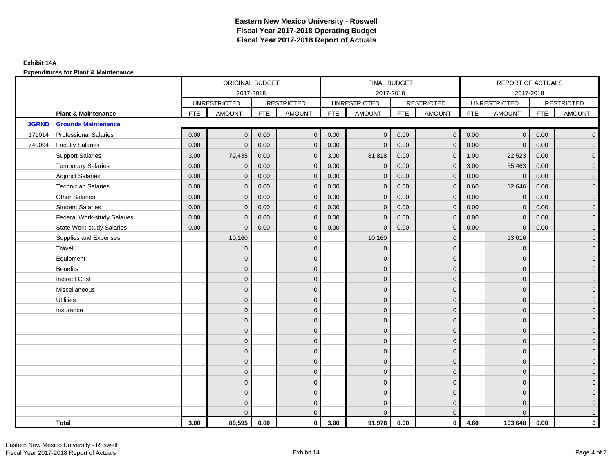|        |                                    |            | ORIGINAL BUDGET     |            |                   |            | FINAL BUDGET        |            |                   |            | REPORT OF ACTUALS   |            |                     |
|--------|------------------------------------|------------|---------------------|------------|-------------------|------------|---------------------|------------|-------------------|------------|---------------------|------------|---------------------|
|        |                                    |            |                     | 2017-2018  |                   |            | 2017-2018           |            |                   |            | 2017-2018           |            |                     |
|        |                                    |            | <b>UNRESTRICTED</b> |            | <b>RESTRICTED</b> |            | <b>UNRESTRICTED</b> |            | <b>RESTRICTED</b> |            | <b>UNRESTRICTED</b> |            | <b>RESTRICTED</b>   |
|        | <b>Plant &amp; Maintenance</b>     | <b>FTE</b> | <b>AMOUNT</b>       | <b>FTE</b> | <b>AMOUNT</b>     | <b>FTE</b> | <b>AMOUNT</b>       | <b>FTE</b> | <b>AMOUNT</b>     | <b>FTE</b> | <b>AMOUNT</b>       | <b>FTE</b> | <b>AMOUNT</b>       |
| 3GRND  | <b>Grounds Maintenance</b>         |            |                     |            |                   |            |                     |            |                   |            |                     |            |                     |
| 171014 | <b>Professional Salaries</b>       | 0.00       | $\mathbf{0}$        | 0.00       | $\mathbf{0}$      | 0.00       | $\overline{0}$      | 0.00       | $\overline{0}$    | 0.00       | $\overline{0}$      | 0.00       | $\overline{0}$      |
| 740094 | <b>Faculty Salaries</b>            | 0.00       | $\mathbf{0}$        | 0.00       | $\mathbf{0}$      | 0.00       | $\mathbf{0}$        | 0.00       | $\mathbf{0}$      | 0.00       | $\mathbf{0}$        | 0.00       | $\overline{0}$      |
|        | <b>Support Salaries</b>            | 3.00       | 79,435              | 0.00       | $\mathbf{0}$      | 3.00       | 81,818              | 0.00       | $\mathbf 0$       | 1.00       | 22,523              | 0.00       | $\overline{0}$      |
|        | <b>Temporary Salaries</b>          | 0.00       | $\mathbf 0$         | 0.00       | $\mathbf{0}$      | 0.00       | $\mathbf 0$         | 0.00       | $\mathbf 0$       | 3.00       | 55,463              | 0.00       | $\overline{0}$      |
|        | <b>Adjunct Salaries</b>            | 0.00       | $\mathbf{0}$        | 0.00       | $\mathbf{0}$      | 0.00       | $\mathbf{0}$        | 0.00       | $\mathbf{0}$      | 0.00       | $\mathbf 0$         | 0.00       | $\mathbf{0}$        |
|        | <b>Technician Salaries</b>         | 0.00       | $\Omega$            | 0.00       | $\mathbf{0}$      | 0.00       | $\mathbf{0}$        | 0.00       | $\mathbf{0}$      | 0.60       | 12,646              | 0.00       | $\mathbf{0}$        |
|        | <b>Other Salaries</b>              | 0.00       | $\Omega$            | 0.00       | $\mathbf{0}$      | 0.00       | $\Omega$            | 0.00       | $\Omega$          | 0.00       | $\mathbf{0}$        | 0.00       | $\overline{0}$      |
|        | <b>Student Salaries</b>            | 0.00       | $\mathbf 0$         | 0.00       | $\mathbf 0$       | 0.00       | $\mathbf 0$         | 0.00       | $\mathbf 0$       | 0.00       | $\overline{0}$      | 0.00       | $\overline{0}$      |
|        | <b>Federal Work-study Salaries</b> | 0.00       | $\Omega$            | 0.00       | $\mathbf{0}$      | 0.00       | $\mathbf{0}$        | 0.00       | $\mathbf 0$       | 0.00       | $\mathbf 0$         | 0.00       | $\overline{0}$      |
|        | <b>State Work-study Salaries</b>   | 0.00       | $\mathbf{0}$        | 0.00       | $\mathbf{0}$      | 0.00       | $\mathbf{0}$        | 0.00       | $\mathbf{0}$      | 0.00       | $\mathbf{0}$        | 0.00       | $\overline{0}$      |
|        | Supplies and Expenses              |            | 10,160              |            | $\mathbf{0}$      |            | 10,160              |            | $\overline{0}$    |            | 13,016              |            | $\mathsf{O}\xspace$ |
|        | Travel                             |            | $\Omega$            |            | $\mathbf{0}$      |            | $\Omega$            |            | $\mathbf{0}$      |            | $\mathbf{0}$        |            | $\overline{0}$      |
|        | Equipment                          |            | $\Omega$            |            | $\mathbf 0$       |            | $\mathbf{0}$        |            | $\mathbf 0$       |            | $\mathbf{0}$        |            | $\overline{0}$      |
|        | <b>Benefits</b>                    |            | $\Omega$            |            | $\mathbf{0}$      |            | $\Omega$            |            | $\mathbf 0$       |            | $\mathbf{0}$        |            | $\overline{0}$      |
|        | <b>Indirect Cost</b>               |            | $\Omega$            |            | $\mathbf 0$       |            | $\Omega$            |            | $\mathbf{0}$      |            | $\Omega$            |            | $\overline{0}$      |
|        | Miscellaneous                      |            | $\Omega$            |            | $\mathbf{0}$      |            | $\Omega$            |            | $\mathbf{0}$      |            | $\Omega$            |            | $\mathsf{O}\xspace$ |
|        | <b>Utilities</b>                   |            | $\mathbf{0}$        |            | $\mathbf 0$       |            | $\mathbf{0}$        |            | $\mathbf 0$       |            | $\mathbf{0}$        |            | $\mathbf{0}$        |
|        | Insurance                          |            | $\Omega$            |            | $\mathbf 0$       |            | $\mathbf{0}$        |            | $\mathbf 0$       |            | $\mathbf{0}$        |            | $\overline{0}$      |
|        |                                    |            | $\Omega$            |            | $\mathbf{0}$      |            | $\Omega$            |            | $\mathbf 0$       |            | $\mathbf{0}$        |            | $\overline{0}$      |
|        |                                    |            | $\Omega$            |            | $\mathbf{0}$      |            | $\Omega$            |            | $\mathbf{0}$      |            | $\Omega$            |            | $\overline{0}$      |
|        |                                    |            | $\Omega$            |            | $\mathbf 0$       |            | $\mathbf{0}$        |            | $\mathbf 0$       |            | $\mathbf{0}$        |            | $\mathsf{O}\xspace$ |
|        |                                    |            | $\mathbf{0}$        |            | $\mathbf 0$       |            | $\mathbf{0}$        |            | $\mathbf 0$       |            | $\mathbf{0}$        |            | $\overline{0}$      |
|        |                                    |            | $\Omega$            |            | $\mathbf 0$       |            | $\mathbf{0}$        |            | $\mathbf{0}$      |            | $\mathbf{0}$        |            | $\overline{0}$      |
|        |                                    |            | $\Omega$            |            | $\mathbf{0}$      |            | $\Omega$            |            | $\mathbf{0}$      |            | $\mathbf{0}$        |            | $\overline{0}$      |
|        |                                    |            | $\Omega$            |            | $\overline{0}$    |            | $\mathbf{0}$        |            | $\mathbf 0$       |            | $\mathbf{0}$        |            | $\mathbf{0}$        |
|        |                                    |            | $\Omega$            |            | $\mathbf 0$       |            | $\mathbf{0}$        |            | $\mathbf 0$       |            | $\mathbf{0}$        |            | $\mathbf{0}$        |
|        |                                    |            | $\Omega$            |            | $\mathbf 0$       |            | $\Omega$            |            | $\mathbf 0$       |            | $\mathbf{0}$        |            | $\mathbf{0}$        |
|        |                                    |            | $\Omega$            |            | $\mathbf{0}$      |            | $\Omega$            |            | $\mathbf{0}$      |            | $\Omega$            |            | $\overline{0}$      |
|        | <b>Total</b>                       | 3.00       | 89,595              | 0.00       | $\mathbf{0}$      | 3.00       | 91,978              | 0.00       | $\mathbf{0}$      | 4.60       | 103,648             | 0.00       | $\mathbf 0$         |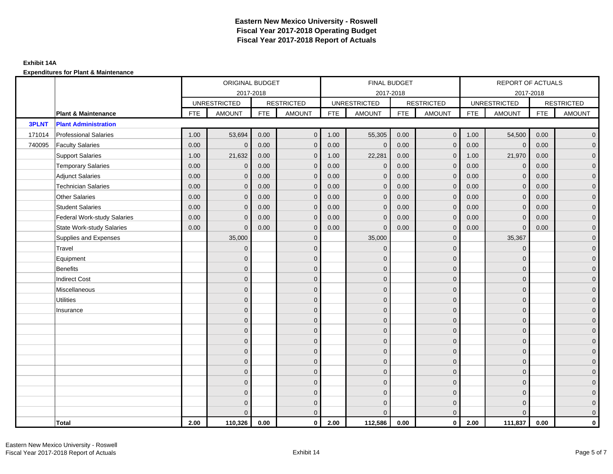|              |                                    |            | ORIGINAL BUDGET     |            |                   |            | FINAL BUDGET        |            |                   |            | REPORT OF ACTUALS   |            |                     |
|--------------|------------------------------------|------------|---------------------|------------|-------------------|------------|---------------------|------------|-------------------|------------|---------------------|------------|---------------------|
|              |                                    |            |                     | 2017-2018  |                   |            | 2017-2018           |            |                   |            | 2017-2018           |            |                     |
|              |                                    |            | <b>UNRESTRICTED</b> |            | <b>RESTRICTED</b> |            | <b>UNRESTRICTED</b> |            | <b>RESTRICTED</b> |            | <b>UNRESTRICTED</b> |            | <b>RESTRICTED</b>   |
|              | <b>Plant &amp; Maintenance</b>     | <b>FTE</b> | <b>AMOUNT</b>       | <b>FTE</b> | <b>AMOUNT</b>     | <b>FTE</b> | <b>AMOUNT</b>       | <b>FTE</b> | <b>AMOUNT</b>     | <b>FTE</b> | <b>AMOUNT</b>       | <b>FTE</b> | <b>AMOUNT</b>       |
| <b>3PLNT</b> | <b>Plant Administration</b>        |            |                     |            |                   |            |                     |            |                   |            |                     |            |                     |
| 171014       | <b>Professional Salaries</b>       | 1.00       | 53,694              | 0.00       | $\overline{0}$    | 1.00       | 55,305              | 0.00       | $\overline{0}$    | 1.00       | 54,500              | 0.00       | $\overline{0}$      |
| 740095       | <b>Faculty Salaries</b>            | 0.00       | $\mathbf{0}$        | 0.00       | $\mathbf{0}$      | 0.00       | $\mathbf{0}$        | 0.00       | $\mathbf{0}$      | 0.00       | $\mathbf{0}$        | 0.00       | $\overline{0}$      |
|              | <b>Support Salaries</b>            | 1.00       | 21,632              | 0.00       | $\mathbf 0$       | 1.00       | 22,281              | 0.00       | $\mathbf 0$       | 1.00       | 21,970              | 0.00       | $\overline{0}$      |
|              | <b>Temporary Salaries</b>          | 0.00       | $\mathbf{0}$        | 0.00       | $\mathbf{0}$      | 0.00       | $\mathbf 0$         | 0.00       | $\mathbf 0$       | 0.00       | $\mathbf 0$         | 0.00       | $\mathbf{0}$        |
|              | <b>Adjunct Salaries</b>            | 0.00       | $\mathbf{0}$        | 0.00       | $\mathbf{0}$      | 0.00       | $\mathbf{0}$        | 0.00       | $\mathbf{0}$      | 0.00       | $\mathbf{0}$        | 0.00       | $\mathbf{0}$        |
|              | <b>Technician Salaries</b>         | 0.00       | $\Omega$            | 0.00       | $\mathbf{0}$      | 0.00       | $\mathbf{0}$        | 0.00       | $\mathbf{0}$      | 0.00       | $\mathbf{0}$        | 0.00       | $\mathbf{0}$        |
|              | <b>Other Salaries</b>              | 0.00       | $\Omega$            | 0.00       | $\mathbf{0}$      | 0.00       | $\Omega$            | 0.00       | $\Omega$          | 0.00       | $\overline{0}$      | 0.00       | $\overline{0}$      |
|              | <b>Student Salaries</b>            | 0.00       | $\mathbf 0$         | 0.00       | $\mathbf 0$       | 0.00       | $\mathbf 0$         | 0.00       | $\mathbf 0$       | 0.00       | $\overline{0}$      | 0.00       | $\overline{0}$      |
|              | <b>Federal Work-study Salaries</b> | 0.00       | $\Omega$            | 0.00       | $\mathbf{0}$      | 0.00       | $\mathbf{0}$        | 0.00       | $\mathbf 0$       | 0.00       | $\mathbf 0$         | 0.00       | $\overline{0}$      |
|              | <b>State Work-study Salaries</b>   | 0.00       | $\mathbf{0}$        | 0.00       | $\mathbf{0}$      | 0.00       | $\mathbf{0}$        | 0.00       | $\mathbf 0$       | 0.00       | $\mathbf{0}$        | 0.00       | $\overline{0}$      |
|              | Supplies and Expenses              |            | 35,000              |            | $\mathbf{0}$      |            | 35,000              |            | $\overline{0}$    |            | 35,367              |            | $\mathsf{O}\xspace$ |
|              | Travel                             |            | $\Omega$            |            | $\mathbf{0}$      |            | $\mathbf{0}$        |            | $\mathbf{0}$      |            | $\mathbf{0}$        |            | $\overline{0}$      |
|              | Equipment                          |            | $\Omega$            |            | $\mathbf 0$       |            | $\mathbf{0}$        |            | $\mathbf 0$       |            | $\mathbf{0}$        |            | $\overline{0}$      |
|              | <b>Benefits</b>                    |            | $\Omega$            |            | $\mathbf{0}$      |            | $\Omega$            |            | $\overline{0}$    |            | $\mathbf{0}$        |            | $\overline{0}$      |
|              | <b>Indirect Cost</b>               |            | $\Omega$            |            | $\mathbf 0$       |            | $\Omega$            |            | $\mathbf{0}$      |            | $\Omega$            |            | $\overline{0}$      |
|              | Miscellaneous                      |            | $\Omega$            |            | $\mathbf{0}$      |            | $\Omega$            |            | $\mathbf{0}$      |            | $\Omega$            |            | $\mathsf{O}\xspace$ |
|              | <b>Utilities</b>                   |            | $\mathbf{0}$        |            | $\mathbf 0$       |            | $\mathbf{0}$        |            | $\mathbf 0$       |            | $\mathbf{0}$        |            | $\mathbf{0}$        |
|              | Insurance                          |            | $\Omega$            |            | $\mathbf 0$       |            | $\mathbf{0}$        |            | $\mathbf 0$       |            | $\mathbf{0}$        |            | $\overline{0}$      |
|              |                                    |            | $\Omega$            |            | $\mathbf{0}$      |            | $\Omega$            |            | $\mathbf 0$       |            | $\mathbf{0}$        |            | $\overline{0}$      |
|              |                                    |            | $\Omega$            |            | $\mathbf{0}$      |            | $\Omega$            |            | $\mathbf{0}$      |            | $\Omega$            |            | $\overline{0}$      |
|              |                                    |            | $\Omega$            |            | $\mathbf 0$       |            | $\mathbf{0}$        |            | $\mathbf 0$       |            | $\mathbf{0}$        |            | $\mathsf{O}\xspace$ |
|              |                                    |            | $\mathbf{0}$        |            | $\mathbf 0$       |            | $\mathbf{0}$        |            | $\mathbf 0$       |            | $\mathbf{0}$        |            | $\overline{0}$      |
|              |                                    |            | $\Omega$            |            | $\mathbf 0$       |            | $\mathbf{0}$        |            | $\mathbf{0}$      |            | $\mathbf{0}$        |            | $\overline{0}$      |
|              |                                    |            | $\Omega$            |            | $\mathbf{0}$      |            | $\Omega$            |            | $\mathbf{0}$      |            | $\mathbf{0}$        |            | $\overline{0}$      |
|              |                                    |            | $\Omega$            |            | $\overline{0}$    |            | $\Omega$            |            | $\mathbf 0$       |            | $\mathbf{0}$        |            | $\mathbf{0}$        |
|              |                                    |            | $\Omega$            |            | $\mathbf 0$       |            | $\mathbf{0}$        |            | $\mathbf 0$       |            | $\mathbf{0}$        |            | $\mathbf{0}$        |
|              |                                    |            | $\Omega$            |            | $\mathbf 0$       |            | $\Omega$            |            | $\mathbf 0$       |            | $\mathbf 0$         |            | $\mathbf{0}$        |
|              |                                    |            | $\Omega$            |            | $\mathbf{0}$      |            | $\Omega$            |            | $\mathbf{0}$      |            | $\Omega$            |            | $\overline{0}$      |
|              | <b>Total</b>                       | 2.00       | 110,326             | 0.00       | $\mathbf{0}$      | 2.00       | 112,586             | 0.00       | $\mathbf{0}$      | 2.00       | 111,837             | 0.00       | $\mathbf 0$         |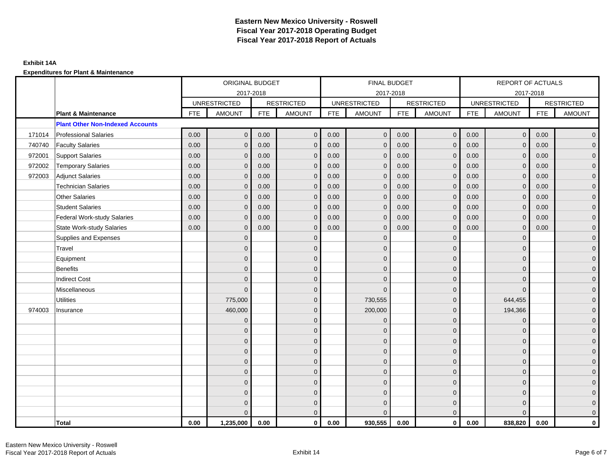|        |                                         |            | ORIGINAL BUDGET     |            |                   |            | <b>FINAL BUDGET</b> |            |                   |            | REPORT OF ACTUALS   |            |                   |
|--------|-----------------------------------------|------------|---------------------|------------|-------------------|------------|---------------------|------------|-------------------|------------|---------------------|------------|-------------------|
|        |                                         |            |                     | 2017-2018  |                   |            | 2017-2018           |            |                   |            | 2017-2018           |            |                   |
|        |                                         |            | <b>UNRESTRICTED</b> |            | <b>RESTRICTED</b> |            | <b>UNRESTRICTED</b> |            | <b>RESTRICTED</b> |            | <b>UNRESTRICTED</b> |            | <b>RESTRICTED</b> |
|        | <b>Plant &amp; Maintenance</b>          | <b>FTE</b> | <b>AMOUNT</b>       | <b>FTE</b> | <b>AMOUNT</b>     | <b>FTE</b> | <b>AMOUNT</b>       | <b>FTE</b> | <b>AMOUNT</b>     | <b>FTE</b> | <b>AMOUNT</b>       | <b>FTE</b> | <b>AMOUNT</b>     |
|        | <b>Plant Other Non-Indexed Accounts</b> |            |                     |            |                   |            |                     |            |                   |            |                     |            |                   |
| 171014 | <b>Professional Salaries</b>            | 0.00       | $\mathbf{0}$        | 0.00       | $\mathbf{0}$      | 0.00       | $\mathbf{0}$        | 0.00       | $\mathbf{0}$      | 0.00       | $\overline{0}$      | 0.00       | $\overline{0}$    |
| 740740 | <b>Faculty Salaries</b>                 | 0.00       | $\mathbf 0$         | 0.00       | $\mathbf 0$       | 0.00       | $\mathbf{0}$        | 0.00       | $\mathbf{0}$      | 0.00       | $\overline{0}$      | 0.00       | $\overline{0}$    |
| 972001 | <b>Support Salaries</b>                 | 0.00       | $\mathbf{0}$        | 0.00       | $\mathbf 0$       | 0.00       | $\mathbf{0}$        | 0.00       | $\mathbf 0$       | 0.00       | $\mathbf 0$         | 0.00       | $\overline{0}$    |
| 972002 | <b>Temporary Salaries</b>               | 0.00       | $\mathbf{0}$        | 0.00       | $\mathbf{0}$      | 0.00       | $\mathbf{0}$        | 0.00       | $\mathbf 0$       | 0.00       | $\mathbf 0$         | 0.00       | $\overline{0}$    |
| 972003 | <b>Adjunct Salaries</b>                 | 0.00       | $\Omega$            | 0.00       | $\Omega$          | 0.00       | $\Omega$            | 0.00       | $\mathbf{0}$      | 0.00       | $\mathbf{0}$        | 0.00       | $\overline{0}$    |
|        | <b>Technician Salaries</b>              | 0.00       | $\mathbf{0}$        | 0.00       | $\mathbf 0$       | 0.00       | $\mathbf{0}$        | 0.00       | $\mathbf{0}$      | 0.00       | $\mathbf{0}$        | 0.00       | $\mathbf{0}$      |
|        | <b>Other Salaries</b>                   | 0.00       | $\mathbf{0}$        | 0.00       | $\mathbf{0}$      | 0.00       | $\mathbf{0}$        | 0.00       | $\mathbf{0}$      | 0.00       | $\mathbf{0}$        | 0.00       | $\overline{0}$    |
|        | <b>Student Salaries</b>                 | 0.00       | $\mathbf{0}$        | 0.00       | $\mathbf 0$       | 0.00       | $\mathbf{0}$        | 0.00       | $\mathbf{0}$      | 0.00       | $\mathbf 0$         | 0.00       | $\overline{0}$    |
|        | <b>Federal Work-study Salaries</b>      | 0.00       | $\mathbf 0$         | 0.00       | $\mathbf 0$       | 0.00       | $\mathbf{0}$        | 0.00       | $\mathbf 0$       | 0.00       | $\mathbf 0$         | 0.00       | $\overline{0}$    |
|        | <b>State Work-study Salaries</b>        | 0.00       | $\mathbf{0}$        | 0.00       | $\mathbf{0}$      | 0.00       | $\mathbf{0}$        | 0.00       | $\mathbf{0}$      | 0.00       | $\mathbf 0$         | 0.00       | $\overline{0}$    |
|        | Supplies and Expenses                   |            | $\Omega$            |            | $\mathbf{0}$      |            | $\Omega$            |            | $\mathbf{0}$      |            | $\mathbf 0$         |            | $\overline{0}$    |
|        | Travel                                  |            | $\Omega$            |            | $\mathbf{0}$      |            | $\Omega$            |            | $\mathbf{0}$      |            | $\mathbf{0}$        |            | $\overline{0}$    |
|        | Equipment                               |            | $\mathbf{0}$        |            | $\mathbf{0}$      |            | $\mathbf{0}$        |            | $\mathbf 0$       |            | $\mathbf{0}$        |            | $\overline{0}$    |
|        | <b>Benefits</b>                         |            | $\overline{0}$      |            | $\mathbf{0}$      |            | $\Omega$            |            | $\mathbf 0$       |            | $\mathbf 0$         |            | $\overline{0}$    |
|        | <b>Indirect Cost</b>                    |            | $\Omega$            |            | $\Omega$          |            | $\Omega$            |            | $\mathbf{0}$      |            | $\Omega$            |            | $\mathbf 0$       |
|        | Miscellaneous                           |            | $\mathbf{0}$        |            | $\mathbf 0$       |            | $\mathbf{0}$        |            | $\mathbf 0$       |            | $\mathbf 0$         |            | $\mathbf 0$       |
|        | <b>Utilities</b>                        |            | 775,000             |            | $\mathbf 0$       |            | 730,555             |            | $\mathbf 0$       |            | 644,455             |            | $\overline{0}$    |
| 974003 | Insurance                               |            | 460,000             |            | $\mathbf{0}$      |            | 200,000             |            | $\mathbf 0$       |            | 194,366             |            | $\overline{0}$    |
|        |                                         |            | $\mathbf{0}$        |            | $\mathbf 0$       |            | $\mathbf{0}$        |            | $\mathbf 0$       |            | $\mathbf 0$         |            | $\overline{0}$    |
|        |                                         |            | $\Omega$            |            | $\mathbf{0}$      |            | $\Omega$            |            | $\mathbf 0$       |            | $\mathbf 0$         |            | $\mathbf{0}$      |
|        |                                         |            | $\Omega$            |            | $\mathbf 0$       |            | $\Omega$            |            | $\mathbf 0$       |            | $\Omega$            |            | $\mathbf{0}$      |
|        |                                         |            | $\overline{0}$      |            | $\mathbf{0}$      |            | $\Omega$            |            | $\mathbf{0}$      |            | $\Omega$            |            | $\overline{0}$    |
|        |                                         |            | 0                   |            | $\mathbf 0$       |            | $\mathbf{0}$        |            | $\mathbf 0$       |            | $\mathbf 0$         |            | $\overline{0}$    |
|        |                                         |            | 0                   |            | $\mathbf{0}$      |            | $\Omega$            |            | $\mathbf{0}$      |            | $\mathbf 0$         |            | $\mathbf 0$       |
|        |                                         |            | $\Omega$            |            | $\mathbf{0}$      |            | $\Omega$            |            | $\mathbf{0}$      |            | $\Omega$            |            | $\mathbf 0$       |
|        |                                         |            | $\mathbf 0$         |            | $\mathbf 0$       |            | $\Omega$            |            | $\mathbf 0$       |            | $\mathbf 0$         |            | $\mathbf{0}$      |
|        |                                         |            | 0                   |            | $\mathbf 0$       |            | $\Omega$            |            | $\mathbf 0$       |            | $\mathbf 0$         |            | $\mathbf{0}$      |
|        |                                         |            | $\Omega$            |            | $\mathbf{0}$      |            | $\Omega$            |            | $\mathbf{0}$      |            | $\Omega$            |            | $\overline{0}$    |
|        | <b>Total</b>                            | 0.00       | 1,235,000           | 0.00       | $\mathbf{0}$      | 0.00       | 930,555             | 0.00       | $\mathbf{0}$      | 0.00       | 838,820             | 0.00       | $\mathbf{0}$      |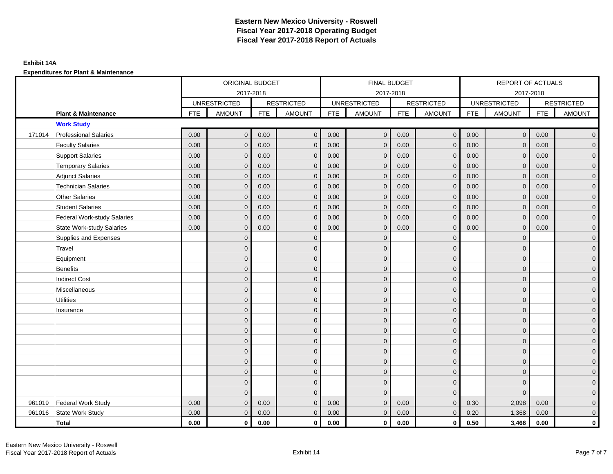|        |                                    |            | ORIGINAL BUDGET     |            |                   |            | FINAL BUDGET        |            |                         |            | REPORT OF ACTUALS   |            |                     |
|--------|------------------------------------|------------|---------------------|------------|-------------------|------------|---------------------|------------|-------------------------|------------|---------------------|------------|---------------------|
|        |                                    |            | 2017-2018           |            |                   |            | 2017-2018           |            |                         |            | 2017-2018           |            |                     |
|        |                                    |            | <b>UNRESTRICTED</b> |            | <b>RESTRICTED</b> |            | <b>UNRESTRICTED</b> |            | <b>RESTRICTED</b>       |            | <b>UNRESTRICTED</b> |            | <b>RESTRICTED</b>   |
|        | <b>Plant &amp; Maintenance</b>     | <b>FTE</b> | <b>AMOUNT</b>       | <b>FTE</b> | <b>AMOUNT</b>     | <b>FTE</b> | <b>AMOUNT</b>       | <b>FTE</b> | <b>AMOUNT</b>           | <b>FTE</b> | <b>AMOUNT</b>       | <b>FTE</b> | <b>AMOUNT</b>       |
|        | <b>Work Study</b>                  |            |                     |            |                   |            |                     |            |                         |            |                     |            |                     |
| 171014 | <b>Professional Salaries</b>       | 0.00       | $\mathbf{0}$        | 0.00       | $\mathbf{0}$      | 0.00       | $\overline{0}$      | 0.00       | $\overline{0}$          | 0.00       | $\overline{0}$      | 0.00       | $\overline{0}$      |
|        | <b>Faculty Salaries</b>            | 0.00       | $\mathbf{0}$        | 0.00       | $\Omega$          | 0.00       | $\mathbf{0}$        | 0.00       | $\mathbf{0}$            | 0.00       | $\mathbf{0}$        | 0.00       | $\overline{0}$      |
|        | <b>Support Salaries</b>            | 0.00       | $\mathbf{0}$        | 0.00       | $\mathbf{0}$      | 0.00       | $\overline{0}$      | 0.00       | $\mathbf 0$             | 0.00       | $\mathbf 0$         | 0.00       | $\overline{0}$      |
|        | <b>Temporary Salaries</b>          | 0.00       | $\mathbf{0}$        | 0.00       | $\Omega$          | 0.00       | $\mathbf{0}$        | 0.00       | $\mathbf{0}$            | 0.00       | $\mathbf{0}$        | 0.00       | $\overline{0}$      |
|        | <b>Adjunct Salaries</b>            | 0.00       | $\mathbf{0}$        | 0.00       | $\mathbf 0$       | 0.00       | $\mathbf{0}$        | 0.00       | $\mathbf 0$             | 0.00       | $\mathbf 0$         | 0.00       | $\overline{0}$      |
|        | <b>Technician Salaries</b>         | 0.00       | $\mathbf{0}$        | 0.00       | $\Omega$          | 0.00       | $\mathbf{0}$        | 0.00       | $\mathbf{0}$            | 0.00       | $\mathbf{0}$        | 0.00       | $\overline{0}$      |
|        | <b>Other Salaries</b>              | 0.00       | $\Omega$            | 0.00       | $\Omega$          | 0.00       | $\Omega$            | 0.00       | $\mathbf{0}$            | 0.00       | $\mathbf{0}$        | 0.00       | $\overline{0}$      |
|        | <b>Student Salaries</b>            | 0.00       | $\mathbf{0}$        | 0.00       | $\mathbf 0$       | 0.00       | $\overline{0}$      | 0.00       | $\mathbf 0$             | 0.00       | $\mathbf{0}$        | 0.00       | $\overline{0}$      |
|        | <b>Federal Work-study Salaries</b> | 0.00       | $\mathbf{0}$        | 0.00       | $\mathbf 0$       | 0.00       | $\mathbf{0}$        | 0.00       | $\mathbf 0$             | 0.00       | $\mathbf{0}$        | 0.00       | $\overline{0}$      |
|        | <b>State Work-study Salaries</b>   | 0.00       | $\mathbf{0}$        | 0.00       | $\Omega$          | 0.00       | $\mathbf{0}$        | 0.00       | $\mathbf 0$             | 0.00       | $\mathbf{0}$        | 0.00       | $\overline{0}$      |
|        | Supplies and Expenses              |            | $\mathbf{0}$        |            | $\mathbf{0}$      |            | $\mathbf{0}$        |            | $\mathbf 0$             |            | $\mathbf 0$         |            | $\mathsf{O}\xspace$ |
|        | Travel                             |            | $\Omega$            |            | $\mathbf{0}$      |            | $\mathbf{0}$        |            | $\mathbf{0}$            |            | $\mathbf 0$         |            | $\mathbf{0}$        |
|        | Equipment                          |            | $\mathbf{0}$        |            | $\mathbf{0}$      |            | $\Omega$            |            | $\mathbf 0$             |            | $\Omega$            |            | $\overline{0}$      |
|        | Benefits                           |            | $\mathbf{0}$        |            | $\mathbf{0}$      |            | $\mathbf{0}$        |            | $\mathbf{0}$            |            | $\mathbf 0$         |            | $\mathsf{O}\xspace$ |
|        | <b>Indirect Cost</b>               |            | $\overline{0}$      |            | $\mathbf 0$       |            | $\Omega$            |            | $\mathbf 0$             |            | $\mathbf 0$         |            | $\overline{0}$      |
|        | Miscellaneous                      |            | $\Omega$            |            | $\mathbf{0}$      |            | $\Omega$            |            | $\mathbf{0}$            |            | $\Omega$            |            | $\overline{0}$      |
|        | <b>Utilities</b>                   |            | $\mathbf{0}$        |            | $\mathbf 0$       |            | $\mathbf{0}$        |            | $\mathbf 0$             |            | $\mathbf 0$         |            | $\overline{0}$      |
|        | Insurance                          |            | $\overline{0}$      |            | $\mathbf{0}$      |            | $\mathbf{0}$        |            | $\mathbf 0$             |            | $\mathbf{0}$        |            | $\overline{0}$      |
|        |                                    |            | $\Omega$            |            | $\mathbf{0}$      |            | $\Omega$            |            | $\mathbf 0$             |            | $\Omega$            |            | $\overline{0}$      |
|        |                                    |            | $\mathbf{0}$        |            | $\mathbf 0$       |            | $\Omega$            |            | $\mathbf 0$             |            | $\mathbf 0$         |            | $\mathsf{O}\xspace$ |
|        |                                    |            | $\Omega$            |            | $\mathbf{0}$      |            | $\mathbf{0}$        |            | $\mathbf 0$             |            | $\mathbf 0$         |            | $\mathbf{0}$        |
|        |                                    |            | $\Omega$            |            | $\mathbf{0}$      |            | $\Omega$            |            | $\mathbf{0}$            |            | $\Omega$            |            | $\overline{0}$      |
|        |                                    |            | $\mathbf{0}$        |            | $\mathbf 0$       |            | $\mathbf{0}$        |            | $\mathbf 0$             |            | $\mathbf{0}$        |            | $\overline{0}$      |
|        |                                    |            | $\Omega$            |            | $\mathbf 0$       |            | $\Omega$            |            | $\mathbf 0$             |            | $\mathbf 0$         |            | $\overline{0}$      |
|        |                                    |            | $\mathbf{0}$        |            | $\mathbf{0}$      |            | $\Omega$            |            | $\mathbf 0$             |            | $\mathbf 0$         |            | $\overline{0}$      |
|        |                                    |            | $\Omega$            |            | $\Omega$          |            | $\Omega$            |            | $\overline{0}$          |            | $\Omega$            |            | $\overline{0}$      |
| 961019 | <b>Federal Work Study</b>          | 0.00       | $\mathbf{0}$        | 0.00       | $\Omega$          | 0.00       | $\mathbf{0}$        | 0.00       | $\mathbf{0}$            | 0.30       | 2,098               | 0.00       | $\mathbf{0}$        |
| 961016 | State Work Study                   | 0.00       | $\overline{0}$      | 0.00       | $\mathbf{0}$      | 0.00       | $\mathbf{0}$        | 0.00       | $\mathbf{0}$            | 0.20       | 1,368               | 0.00       | $\overline{0}$      |
|        | <b>Total</b>                       | 0.00       | $\mathbf{0}$        | 0.00       | $\mathbf 0$       | 0.00       | $\mathbf 0$         | 0.00       | $\overline{\mathbf{0}}$ | 0.50       | 3,466               | 0.00       | $\mathbf 0$         |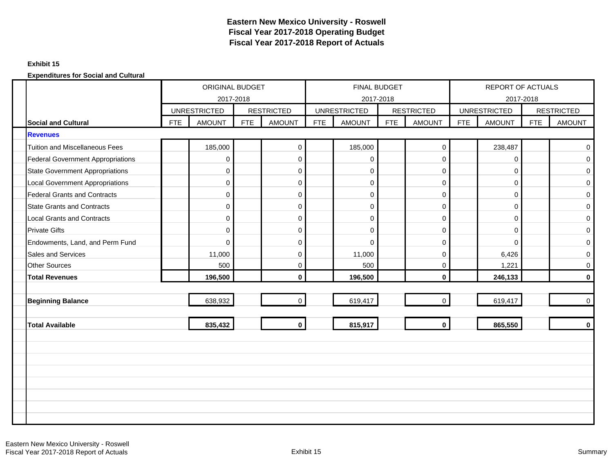## **Exhibit 15**

|                                          |            | ORIGINAL BUDGET<br>2017-2018 |            |                   |     | FINAL BUDGET<br>2017-2018 |     |                   |            | REPORT OF ACTUALS<br>2017-2018 |            |                   |
|------------------------------------------|------------|------------------------------|------------|-------------------|-----|---------------------------|-----|-------------------|------------|--------------------------------|------------|-------------------|
|                                          |            | <b>UNRESTRICTED</b>          |            | <b>RESTRICTED</b> |     | <b>UNRESTRICTED</b>       |     | <b>RESTRICTED</b> |            | <b>UNRESTRICTED</b>            |            | <b>RESTRICTED</b> |
| <b>Social and Cultural</b>               | <b>FTE</b> | <b>AMOUNT</b>                | <b>FTE</b> | <b>AMOUNT</b>     | FTE | <b>AMOUNT</b>             | FTE | <b>AMOUNT</b>     | <b>FTE</b> | <b>AMOUNT</b>                  | <b>FTE</b> | <b>AMOUNT</b>     |
| <b>Revenues</b>                          |            |                              |            |                   |     |                           |     |                   |            |                                |            |                   |
| <b>Tuition and Miscellaneous Fees</b>    |            | 185,000                      |            | $\pmb{0}$         |     | 185,000                   |     | $\mathbf 0$       |            | 238,487                        |            | $\mathbf 0$       |
| <b>Federal Government Appropriations</b> |            | 0                            |            | $\pmb{0}$         |     | 0                         |     | $\overline{0}$    |            | 0                              |            | $\mathbf 0$       |
| <b>State Government Appropriations</b>   |            | 0                            |            | $\pmb{0}$         |     | $\mathbf 0$               |     | $\overline{0}$    |            | 0                              |            | $\mathbf 0$       |
| <b>Local Government Appropriations</b>   |            | 0                            |            | $\pmb{0}$         |     | $\mathbf 0$               |     | $\mathbf 0$       |            | $\mathbf 0$                    |            | $\mathbf 0$       |
| <b>Federal Grants and Contracts</b>      |            | 0                            |            | $\pmb{0}$         |     | $\mathbf 0$               |     | $\mathbf 0$       |            | 0                              |            | 0                 |
| <b>State Grants and Contracts</b>        |            | 0                            |            | 0                 |     | $\mathbf 0$               |     | $\mathbf 0$       |            | $\mathbf 0$                    |            | $\mathbf 0$       |
| <b>Local Grants and Contracts</b>        |            | 0                            |            | $\pmb{0}$         |     | $\mathbf 0$               |     | $\mathbf 0$       |            | 0                              |            | $\mathbf 0$       |
| <b>Private Gifts</b>                     |            | 0                            |            | $\pmb{0}$         |     | $\mathbf 0$               |     | $\mathbf 0$       |            | 0                              |            | $\mathbf 0$       |
| Endowments, Land, and Perm Fund          |            | $\Omega$                     |            | $\mathbf 0$       |     | $\Omega$                  |     | $\Omega$          |            | $\Omega$                       |            | $\mathbf 0$       |
| Sales and Services                       |            | 11,000                       |            | $\pmb{0}$         |     | 11,000                    |     | $\mathbf 0$       |            | 6,426                          |            | 0                 |
| <b>Other Sources</b>                     |            | 500                          |            | $\pmb{0}$         |     | 500                       |     | $\mathbf 0$       |            | 1,221                          |            | $\mathbf 0$       |
| <b>Total Revenues</b>                    |            | 196,500                      |            | $\mathbf 0$       |     | 196,500                   |     | $\mathbf{0}$      |            | 246,133                        |            | $\bf{0}$          |
|                                          |            |                              |            |                   |     |                           |     |                   |            |                                |            |                   |
| <b>Beginning Balance</b>                 |            | 638,932                      |            | $\mathbf 0$       |     | 619,417                   |     | $\mathbf 0$       |            | 619,417                        |            | $\mathbf 0$       |
|                                          |            |                              |            |                   |     |                           |     |                   |            |                                |            |                   |
| <b>Total Available</b>                   |            | 835,432                      |            | $\mathbf 0$       |     | 815,917                   |     | $\mathbf 0$       |            | 865,550                        |            | $\mathbf 0$       |
|                                          |            |                              |            |                   |     |                           |     |                   |            |                                |            |                   |
|                                          |            |                              |            |                   |     |                           |     |                   |            |                                |            |                   |
|                                          |            |                              |            |                   |     |                           |     |                   |            |                                |            |                   |
|                                          |            |                              |            |                   |     |                           |     |                   |            |                                |            |                   |
|                                          |            |                              |            |                   |     |                           |     |                   |            |                                |            |                   |
|                                          |            |                              |            |                   |     |                           |     |                   |            |                                |            |                   |
|                                          |            |                              |            |                   |     |                           |     |                   |            |                                |            |                   |
|                                          |            |                              |            |                   |     |                           |     |                   |            |                                |            |                   |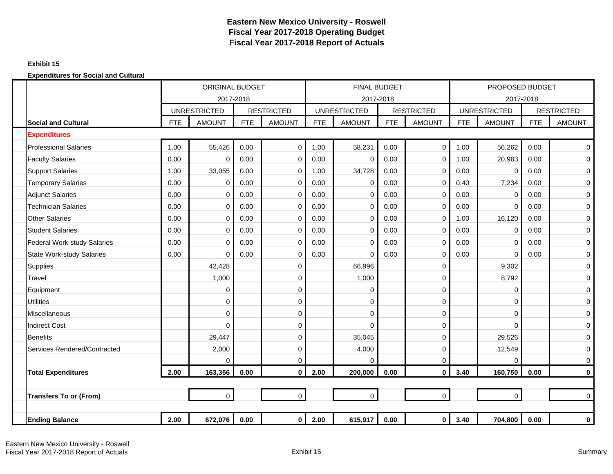## **Exhibit 15**

|        |                                    |            | <b>ORIGINAL BUDGET</b> |            |                   |            | <b>FINAL BUDGET</b> |            |                   |            | PROPOSED BUDGET     |            |                   |
|--------|------------------------------------|------------|------------------------|------------|-------------------|------------|---------------------|------------|-------------------|------------|---------------------|------------|-------------------|
|        |                                    |            | 2017-2018              |            |                   |            | 2017-2018           |            |                   |            | 2017-2018           |            |                   |
|        |                                    |            | <b>UNRESTRICTED</b>    |            | <b>RESTRICTED</b> |            | <b>UNRESTRICTED</b> |            | <b>RESTRICTED</b> |            | <b>UNRESTRICTED</b> |            | <b>RESTRICTED</b> |
|        | <b>Social and Cultural</b>         | <b>FTE</b> | <b>AMOUNT</b>          | <b>FTE</b> | <b>AMOUNT</b>     | <b>FTE</b> | <b>AMOUNT</b>       | <b>FTE</b> | <b>AMOUNT</b>     | <b>FTE</b> | <b>AMOUNT</b>       | <b>FTE</b> | <b>AMOUNT</b>     |
|        | <b>Expenditures</b>                |            |                        |            |                   |            |                     |            |                   |            |                     |            |                   |
|        | <b>Professional Salaries</b>       | 1.00       | 55,426                 | 0.00       | $\mathbf 0$       | 1.00       | 58,231              | 0.00       | $\mathbf 0$       | 1.00       | 56,262              | 0.00       | 0                 |
|        | <b>Faculty Salaries</b>            | 0.00       | $\mathbf 0$            | 0.00       | $\mathbf 0$       | 0.00       | $\Omega$            | 0.00       | $\mathbf 0$       | 1.00       | 20,963              | 0.00       | 0                 |
|        | <b>Support Salaries</b>            | 1.00       | 33,055                 | 0.00       | $\mathbf 0$       | 1.00       | 34,728              | 0.00       | $\mathbf 0$       | 0.00       | $\Omega$            | 0.00       | 0                 |
|        | <b>Temporary Salaries</b>          | 0.00       | $\mathbf 0$            | 0.00       | 0                 | 0.00       | 0                   | 0.00       | $\mathbf 0$       | 0.40       | 7,234               | 0.00       | 0                 |
|        | <b>Adjunct Salaries</b>            | 0.00       | 0                      | 0.00       | $\mathbf 0$       | 0.00       | 0                   | 0.00       | $\mathbf 0$       | 0.00       | 0                   | 0.00       | 0                 |
|        | <b>Technician Salaries</b>         | 0.00       | 0                      | 0.00       | $\mathbf 0$       | 0.00       | $\Omega$            | 0.00       | 0                 | 0.00       | $\mathbf 0$         | 0.00       | 0                 |
|        | <b>Other Salaries</b>              | 0.00       | $\Omega$               | 0.00       | $\mathbf 0$       | 0.00       | $\Omega$            | 0.00       | $\mathbf 0$       | 1.00       | 16,120              | 0.00       | 0                 |
|        | <b>Student Salaries</b>            | 0.00       | $\mathbf 0$            | 0.00       | $\mathbf 0$       | 0.00       | $\Omega$            | 0.00       | $\mathbf 0$       | 0.00       | $\mathbf 0$         | 0.00       | 0                 |
|        | <b>Federal Work-study Salaries</b> | 0.00       | $\Omega$               | 0.00       | $\mathbf 0$       | 0.00       | $\Omega$            | 0.00       | $\mathbf 0$       | 0.00       | $\mathbf 0$         | 0.00       | $\overline{0}$    |
|        | <b>State Work-study Salaries</b>   | 0.00       | $\mathbf 0$            | 0.00       | $\pmb{0}$         | 0.00       | $\Omega$            | 0.00       | $\mathbf 0$       | 0.00       | $\mathbf 0$         | 0.00       | 0                 |
|        | <b>Supplies</b>                    |            | 42,428                 |            | 0                 |            | 66,996              |            | $\mathbf 0$       |            | 9,302               |            | 0                 |
| Travel |                                    |            | 1,000                  |            | 0                 |            | 1,000               |            | $\mathbf 0$       |            | 8,792               |            | 0                 |
|        | Equipment                          |            | 0                      |            | 0                 |            | 0                   |            | 0                 |            | 0                   |            | 0                 |
|        | <b>Utilities</b>                   |            | $\Omega$               |            | 0                 |            | $\Omega$            |            | $\Omega$          |            | 0                   |            | 0                 |
|        | Miscellaneous                      |            | $\mathbf 0$            |            | 0                 |            | 0                   |            | $\mathbf 0$       |            | 0                   |            | 0                 |
|        | <b>Indirect Cost</b>               |            | $\Omega$               |            | 0                 |            | $\Omega$            |            | $\mathbf 0$       |            | $\Omega$            |            | 0                 |
|        | <b>Benefits</b>                    |            | 29,447                 |            | 0                 |            | 35,045              |            | $\mathbf 0$       |            | 29,526              |            | 0                 |
|        | Services Rendered/Contracted       |            | 2,000                  |            | 0                 |            | 4,000               |            | $\mathbf 0$       |            | 12,549              |            | 0                 |
|        |                                    |            | $\Omega$               |            | 0                 |            | $\Omega$            |            | $\Omega$          |            | $\Omega$            |            | 0                 |
|        | <b>Total Expenditures</b>          | 2.00       | 163,356                | 0.00       | $\mathbf{0}$      | 2.00       | 200,000             | 0.00       | $\mathbf{0}$      | 3.40       | 160,750             | 0.00       | $\mathbf 0$       |
|        |                                    |            |                        |            |                   |            |                     |            |                   |            |                     |            |                   |
|        | <b>Transfers To or (From)</b>      |            | $\mathbf 0$            |            | $\mathbf 0$       |            | $\overline{0}$      |            | $\mathbf 0$       |            | $\mathbf 0$         |            | $\mathbf 0$       |
|        |                                    |            |                        |            |                   |            |                     |            |                   |            |                     |            |                   |
|        | <b>Ending Balance</b>              | 2.00       | 672,076                | 0.00       | 0                 | 2.00       | 615,917             | 0.00       | $\mathbf 0$       | 3.40       | 704,800             | 0.00       | 0                 |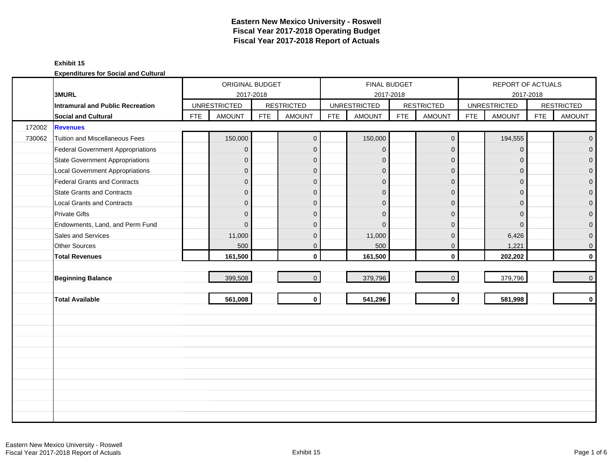## **Exhibit 15**

|        |                                          |            | ORIGINAL BUDGET     |            |                   |            |                     | <b>FINAL BUDGET</b> |                   |            | REPORT OF ACTUALS   |            |                     |
|--------|------------------------------------------|------------|---------------------|------------|-------------------|------------|---------------------|---------------------|-------------------|------------|---------------------|------------|---------------------|
|        | 3MURL                                    |            |                     | 2017-2018  |                   |            |                     | 2017-2018           |                   |            | 2017-2018           |            |                     |
|        | Intramural and Public Recreation         |            | <b>UNRESTRICTED</b> |            | <b>RESTRICTED</b> |            | <b>UNRESTRICTED</b> |                     | <b>RESTRICTED</b> |            | <b>UNRESTRICTED</b> |            | <b>RESTRICTED</b>   |
|        | Social and Cultural                      | <b>FTE</b> | <b>AMOUNT</b>       | <b>FTE</b> | <b>AMOUNT</b>     | <b>FTE</b> | <b>AMOUNT</b>       | <b>FTE</b>          | <b>AMOUNT</b>     | <b>FTE</b> | <b>AMOUNT</b>       | <b>FTE</b> | <b>AMOUNT</b>       |
| 172002 | <b>Revenues</b>                          |            |                     |            |                   |            |                     |                     |                   |            |                     |            |                     |
| 730062 | <b>Tuition and Miscellaneous Fees</b>    |            | 150,000             |            | $\overline{0}$    |            | 150,000             |                     | $\mathbf 0$       |            | 194,555             |            | $\overline{0}$      |
|        | <b>Federal Government Appropriations</b> |            | $\overline{0}$      |            | $\mathbf{0}$      |            | $\Omega$            |                     | $\mathbf 0$       |            | $\Omega$            |            | $\mathbf 0$         |
|        | <b>State Government Appropriations</b>   |            | $\overline{0}$      |            | $\mathbf{0}$      |            | $\Omega$            |                     | $\mathbf 0$       |            | $\Omega$            |            | $\overline{0}$      |
|        | <b>Local Government Appropriations</b>   |            | $\overline{0}$      |            | $\mathbf 0$       |            | $\Omega$            |                     | $\mathbf 0$       |            | $\mathbf 0$         |            | $\mathbf 0$         |
|        | <b>Federal Grants and Contracts</b>      |            | 0                   |            | $\mathbf{0}$      |            | $\mathbf{0}$        |                     | $\mathbf 0$       |            | $\Omega$            |            | $\mathbf 0$         |
|        | <b>State Grants and Contracts</b>        |            | $\overline{0}$      |            | $\Omega$          |            | $\Omega$            |                     | $\mathbf{0}$      |            | $\Omega$            |            | $\mathsf{O}\xspace$ |
|        | <b>Local Grants and Contracts</b>        |            | 0                   |            | $\mathbf{0}$      |            | $\Omega$            |                     | $\mathbf{0}$      |            | $\Omega$            |            | $\mathbf 0$         |
|        | <b>Private Gifts</b>                     |            | $\overline{0}$      |            | $\mathbf{0}$      |            | $\Omega$            |                     | $\mathbf 0$       |            | $\Omega$            |            | $\mathbf 0$         |
|        | Endowments, Land, and Perm Fund          |            | 0                   |            | $\mathbf{0}$      |            | $\Omega$            |                     | $\mathbf 0$       |            | $\Omega$            |            | $\pmb{0}$           |
|        | Sales and Services                       |            | 11,000              |            | $\mathbf{0}$      |            | 11,000              |                     | $\mathbf{0}$      |            | 6,426               |            | $\mathbf 0$         |
|        | <b>Other Sources</b>                     |            | 500                 |            | $\mathbf 0$       |            | 500                 |                     | $\mathbf 0$       |            | 1,221               |            | $\mathsf{O}\xspace$ |
|        | <b>Total Revenues</b>                    |            | 161,500             |            | $\mathbf{0}$      |            | 161,500             |                     | $\mathbf 0$       |            | 202,202             |            | $\mathbf 0$         |
|        |                                          |            |                     |            |                   |            |                     |                     |                   |            |                     |            |                     |
|        | <b>Beginning Balance</b>                 |            | 399,508             |            | $\mathbf{0}$      |            | 379,796             |                     | $\mathbf 0$       |            | 379,796             |            | $\overline{0}$      |
|        |                                          |            |                     |            |                   |            |                     |                     |                   |            |                     |            |                     |
|        | <b>Total Available</b>                   |            | 561,008             |            | $\mathbf{0}$      |            | 541,296             |                     | $\mathbf{0}$      |            | 581,998             |            | $\mathbf 0$         |
|        |                                          |            |                     |            |                   |            |                     |                     |                   |            |                     |            |                     |
|        |                                          |            |                     |            |                   |            |                     |                     |                   |            |                     |            |                     |
|        |                                          |            |                     |            |                   |            |                     |                     |                   |            |                     |            |                     |
|        |                                          |            |                     |            |                   |            |                     |                     |                   |            |                     |            |                     |
|        |                                          |            |                     |            |                   |            |                     |                     |                   |            |                     |            |                     |
|        |                                          |            |                     |            |                   |            |                     |                     |                   |            |                     |            |                     |
|        |                                          |            |                     |            |                   |            |                     |                     |                   |            |                     |            |                     |
|        |                                          |            |                     |            |                   |            |                     |                     |                   |            |                     |            |                     |
|        |                                          |            |                     |            |                   |            |                     |                     |                   |            |                     |            |                     |
|        |                                          |            |                     |            |                   |            |                     |                     |                   |            |                     |            |                     |
|        |                                          |            |                     |            |                   |            |                     |                     |                   |            |                     |            |                     |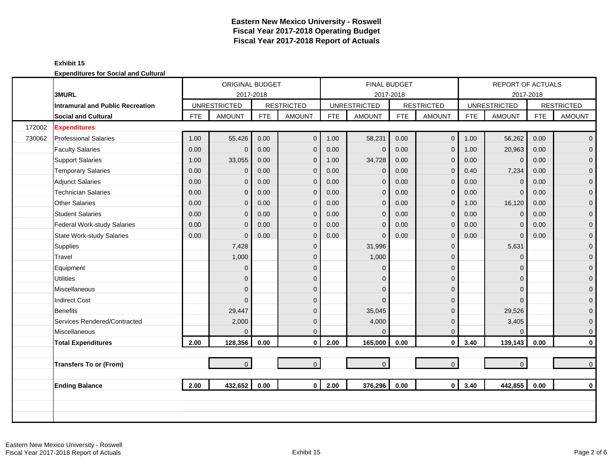## **Exhibit 15**

|        |                                         |            | ORIGINAL BUDGET     |            |                   |            | <b>FINAL BUDGET</b> |            |                   |            | <b>REPORT OF ACTUALS</b> |            |                   |
|--------|-----------------------------------------|------------|---------------------|------------|-------------------|------------|---------------------|------------|-------------------|------------|--------------------------|------------|-------------------|
|        | <b>3MURL</b>                            |            | 2017-2018           |            |                   |            | 2017-2018           |            |                   |            |                          | 2017-2018  |                   |
|        | <b>Intramural and Public Recreation</b> |            | <b>UNRESTRICTED</b> |            | <b>RESTRICTED</b> |            | <b>UNRESTRICTED</b> |            | <b>RESTRICTED</b> |            | <b>UNRESTRICTED</b>      |            | <b>RESTRICTED</b> |
|        | <b>Social and Cultural</b>              | <b>FTE</b> | <b>AMOUNT</b>       | <b>FTE</b> | <b>AMOUNT</b>     | <b>FTE</b> | <b>AMOUNT</b>       | <b>FTE</b> | <b>AMOUNT</b>     | <b>FTE</b> | <b>AMOUNT</b>            | <b>FTE</b> | <b>AMOUNT</b>     |
| 172002 | <b>Expenditures</b>                     |            |                     |            |                   |            |                     |            |                   |            |                          |            |                   |
| 730062 | <b>Professional Salaries</b>            | 1.00       | 55,426              | 0.00       | $\mathbf 0$       | 1.00       | 58,231              | 0.00       | $\mathbf{0}$      | 1.00       | 56,262                   | 0.00       | $\overline{0}$    |
|        | <b>Faculty Salaries</b>                 | 0.00       | $\mathbf 0$         | 0.00       | $\mathbf{0}$      | 0.00       | $\mathbf 0$         | 0.00       | $\mathbf{0}$      | 1.00       | 20,963                   | 0.00       | $\overline{0}$    |
|        | <b>Support Salaries</b>                 | 1.00       | 33,055              | 0.00       | $\mathbf 0$       | 1.00       | 34,728              | 0.00       | $\mathbf 0$       | 0.00       | $\mathbf 0$              | 0.00       | $\overline{0}$    |
|        | <b>Temporary Salaries</b>               | 0.00       | $\mathbf 0$         | 0.00       | $\mathbf 0$       | 0.00       | $\mathbf 0$         | 0.00       | $\mathbf 0$       | 0.40       | 7,234                    | 0.00       | $\mathbf 0$       |
|        | <b>Adjunct Salaries</b>                 | 0.00       | $\overline{0}$      | 0.00       | $\mathbf{0}$      | 0.00       | $\mathbf{0}$        | 0.00       | $\mathbf{0}$      | 0.00       | $\Omega$                 | 0.00       | $\mathbf{0}$      |
|        | <b>Technician Salaries</b>              | 0.00       | $\overline{0}$      | 0.00       | $\overline{0}$    | 0.00       | $\mathbf{0}$        | 0.00       | $\mathbf 0$       | 0.00       | $\mathbf{0}$             | 0.00       | $\mathbf{0}$      |
|        | <b>Other Salaries</b>                   | 0.00       | $\overline{0}$      | 0.00       | $\mathbf{0}$      | 0.00       | $\mathbf{0}$        | 0.00       | $\mathbf 0$       | 1.00       | 16,120                   | 0.00       | $\mathbf{O}$      |
|        | <b>Student Salaries</b>                 | 0.00       | $\overline{0}$      | 0.00       | $\overline{0}$    | 0.00       | $\mathbf{0}$        | 0.00       | $\mathbf 0$       | 0.00       | $\Omega$                 | 0.00       | $\overline{0}$    |
|        | Federal Work-study Salaries             | 0.00       | $\mathbf{0}$        | 0.00       | $\mathbf{0}$      | 0.00       | $\mathbf 0$         | 0.00       | $\mathbf 0$       | 0.00       | $\Omega$                 | 0.00       | $\mathbf{0}$      |
|        | <b>State Work-study Salaries</b>        | 0.00       | $\Omega$            | 0.00       | $\mathbf{0}$      | 0.00       | $\Omega$            | 0.00       | $\mathbf 0$       | 0.00       | $\Omega$                 | 0.00       | $\mathbf{O}$      |
|        | Supplies                                |            | 7,428               |            | $\mathbf{0}$      |            | 31,996              |            | $\mathbf{0}$      |            | 5,631                    |            | $\mathbf{O}$      |
|        | Travel                                  |            | 1,000               |            | $\mathbf{0}$      |            | 1,000               |            | $\mathbf{0}$      |            | $\Omega$                 |            | $\mathbf{0}$      |
|        | Equipment                               |            | $\mathbf{0}$        |            | $\mathbf{0}$      |            | $\Omega$            |            | $\mathbf 0$       |            | 0                        |            | $\pmb{0}$         |
|        | <b>Utilities</b>                        |            | $\overline{0}$      |            | $\Omega$          |            | $\Omega$            |            | $\mathbf 0$       |            | $\Omega$                 |            | $\mathbf{0}$      |
|        | Miscellaneous                           |            | $\overline{0}$      |            | $\mathbf{0}$      |            | $\Omega$            |            | $\mathbf 0$       |            | $\Omega$                 |            | $\mathbf{0}$      |
|        | <b>Indirect Cost</b>                    |            | $\Omega$            |            | $\Omega$          |            | $\Omega$            |            | $\mathbf 0$       |            | $\Omega$                 |            | $\mathbf 0$       |
|        | Benefits                                |            | 29,447              |            | $\mathbf{0}$      |            | 35,045              |            | $\mathbf 0$       |            | 29,526                   |            | $\mathbf{0}$      |
|        | Services Rendered/Contracted            |            | 2,000               |            | $\mathbf{0}$      |            | 4,000               |            | $\mathbf{0}$      |            | 3,405                    |            | $\mathbf{0}$      |
|        | Miscellaneous                           |            | $\Omega$            |            | $\Omega$          |            | $\Omega$            |            | $\mathbf{0}$      |            | $\Omega$                 |            | $\mathbf{0}$      |
|        | <b>Total Expenditures</b>               | 2.00       | 128,356             | 0.00       | $\mathbf 0$       | 2.00       | 165,000             | 0.00       | $\mathbf 0$       | 3.40       | 139,143                  | 0.00       | $\mathbf{0}$      |
|        |                                         |            |                     |            |                   |            |                     |            |                   |            |                          |            |                   |
|        | <b>Transfers To or (From)</b>           |            | $\overline{0}$      |            | $\mathbf{0}$      |            | $\pmb{0}$           |            | $\overline{0}$    |            | $\mathbf 0$              |            | $\mathbf{0}$      |
|        |                                         |            |                     |            |                   |            |                     |            |                   |            |                          |            |                   |
|        | <b>Ending Balance</b>                   | 2.00       | 432,652             | 0.00       | $\mathbf{0}$      | 2.00       | 376,296             | 0.00       | $\mathbf{0}$      | 3.40       | 442,855                  | 0.00       | $\mathbf{0}$      |
|        |                                         |            |                     |            |                   |            |                     |            |                   |            |                          |            |                   |
|        |                                         |            |                     |            |                   |            |                     |            |                   |            |                          |            |                   |
|        |                                         |            |                     |            |                   |            |                     |            |                   |            |                          |            |                   |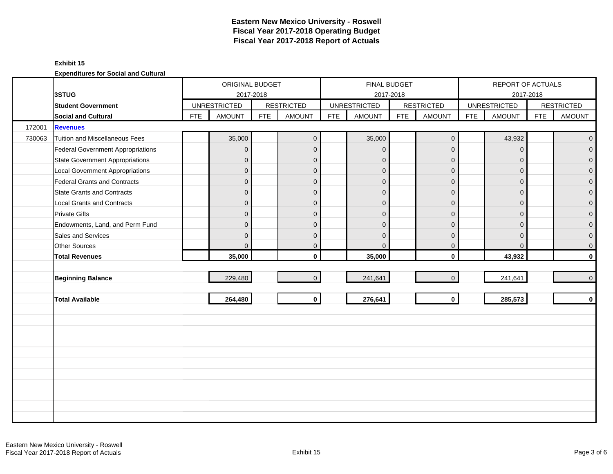## **Exhibit 15**

|        |                                        |            | ORIGINAL BUDGET     |            |                   |            |                     | FINAL BUDGET |                     |            | REPORT OF ACTUALS   |            |                     |
|--------|----------------------------------------|------------|---------------------|------------|-------------------|------------|---------------------|--------------|---------------------|------------|---------------------|------------|---------------------|
|        | 3STUG                                  |            | 2017-2018           |            |                   |            |                     | 2017-2018    |                     |            | 2017-2018           |            |                     |
|        | <b>Student Government</b>              |            | <b>UNRESTRICTED</b> |            | <b>RESTRICTED</b> |            | <b>UNRESTRICTED</b> |              | <b>RESTRICTED</b>   |            | <b>UNRESTRICTED</b> |            | <b>RESTRICTED</b>   |
|        | Social and Cultural                    | <b>FTE</b> | <b>AMOUNT</b>       | <b>FTE</b> | <b>AMOUNT</b>     | <b>FTE</b> | <b>AMOUNT</b>       | <b>FTE</b>   | <b>AMOUNT</b>       | <b>FTE</b> | <b>AMOUNT</b>       | <b>FTE</b> | <b>AMOUNT</b>       |
| 172001 | <b>Revenues</b>                        |            |                     |            |                   |            |                     |              |                     |            |                     |            |                     |
| 730063 | Tuition and Miscellaneous Fees         |            | 35,000              |            | $\mathbf 0$       |            | 35,000              |              | $\mathsf{O}\xspace$ |            | 43,932              |            | $\mathsf{O}\xspace$ |
|        | Federal Government Appropriations      |            | $\overline{0}$      |            | $\mathbf{0}$      |            | $\mathbf{0}$        |              | $\mathbf 0$         |            | $\mathbf{0}$        |            | $\overline{0}$      |
|        | <b>State Government Appropriations</b> |            | $\overline{0}$      |            | $\Omega$          |            | $\mathbf{0}$        |              | $\mathbf 0$         |            | $\Omega$            |            | $\overline{0}$      |
|        | <b>Local Government Appropriations</b> |            | $\mathbf 0$         |            | $\mathbf{0}$      |            | $\mathbf{0}$        |              | $\mathbf 0$         |            | $\mathbf{0}$        |            | $\mathbf 0$         |
|        | Federal Grants and Contracts           |            | $\overline{0}$      |            | $\mathbf{0}$      |            | $\mathbf{0}$        |              | $\mathbf 0$         |            | $\Omega$            |            | $\overline{0}$      |
|        | <b>State Grants and Contracts</b>      |            | $\mathbf{0}$        |            | $\mathbf{0}$      |            | $\mathbf{0}$        |              | $\mathbf{0}$        |            | $\Omega$            |            | $\mathbf{0}$        |
|        | <b>Local Grants and Contracts</b>      |            | 0                   |            | $\mathbf 0$       |            | $\mathbf{0}$        |              | $\mathbf 0$         |            | $\mathbf{0}$        |            | 0                   |
|        | <b>Private Gifts</b>                   |            | $\overline{0}$      |            | $\Omega$          |            | $\Omega$            |              | $\mathbf{0}$        |            | $\Omega$            |            | $\overline{0}$      |
|        | Endowments, Land, and Perm Fund        |            | $\mathbf 0$         |            | $\Omega$          |            | $\Omega$            |              | $\mathbf{0}$        |            | $\Omega$            |            | $\overline{0}$      |
|        | Sales and Services                     |            | $\mathbf 0$         |            | $\mathbf{0}$      |            | $\mathbf{0}$        |              | $\mathbf 0$         |            | $\mathbf{0}$        |            | $\boldsymbol{0}$    |
|        | <b>Other Sources</b>                   |            | $\overline{0}$      |            | $\mathbf{0}$      |            | $\Omega$            |              | $\mathbf 0$         |            | $\mathbf{0}$        |            | $\boldsymbol{0}$    |
|        | <b>Total Revenues</b>                  |            | 35,000              |            | $\mathbf{0}$      |            | 35,000              |              | $\mathbf 0$         |            | 43,932              |            | $\mathbf 0$         |
|        |                                        |            |                     |            |                   |            |                     |              |                     |            |                     |            |                     |
|        | <b>Beginning Balance</b>               |            | 229,480             |            | $\mathbf{0}$      |            | 241,641             |              | $\mathbf{0}$        |            | 241,641             |            | $\mathbf 0$         |
|        |                                        |            |                     |            |                   |            |                     |              |                     |            |                     |            |                     |
|        | <b>Total Available</b>                 |            | 264,480             |            | $\mathbf 0$       |            | 276,641             |              | $\mathbf 0$         |            | 285,573             |            | $\mathbf 0$         |
|        |                                        |            |                     |            |                   |            |                     |              |                     |            |                     |            |                     |
|        |                                        |            |                     |            |                   |            |                     |              |                     |            |                     |            |                     |
|        |                                        |            |                     |            |                   |            |                     |              |                     |            |                     |            |                     |
|        |                                        |            |                     |            |                   |            |                     |              |                     |            |                     |            |                     |
|        |                                        |            |                     |            |                   |            |                     |              |                     |            |                     |            |                     |
|        |                                        |            |                     |            |                   |            |                     |              |                     |            |                     |            |                     |
|        |                                        |            |                     |            |                   |            |                     |              |                     |            |                     |            |                     |
|        |                                        |            |                     |            |                   |            |                     |              |                     |            |                     |            |                     |
|        |                                        |            |                     |            |                   |            |                     |              |                     |            |                     |            |                     |
|        |                                        |            |                     |            |                   |            |                     |              |                     |            |                     |            |                     |
|        |                                        |            |                     |            |                   |            |                     |              |                     |            |                     |            |                     |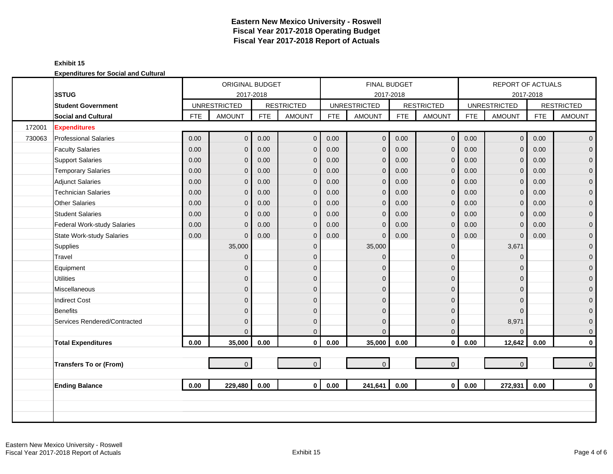## **Exhibit 15**

|        |                                  |            | <b>ORIGINAL BUDGET</b> |            |                   |            |                     | <b>FINAL BUDGET</b> |                   |            | <b>REPORT OF ACTUALS</b> |            |                   |
|--------|----------------------------------|------------|------------------------|------------|-------------------|------------|---------------------|---------------------|-------------------|------------|--------------------------|------------|-------------------|
|        | 3STUG                            |            | 2017-2018              |            |                   |            |                     | 2017-2018           |                   |            |                          | 2017-2018  |                   |
|        | <b>Student Government</b>        |            | <b>UNRESTRICTED</b>    |            | <b>RESTRICTED</b> |            | <b>UNRESTRICTED</b> |                     | <b>RESTRICTED</b> |            | <b>UNRESTRICTED</b>      |            | <b>RESTRICTED</b> |
|        | <b>Social and Cultural</b>       | <b>FTE</b> | <b>AMOUNT</b>          | <b>FTE</b> | <b>AMOUNT</b>     | <b>FTE</b> | <b>AMOUNT</b>       | <b>FTE</b>          | <b>AMOUNT</b>     | <b>FTE</b> | <b>AMOUNT</b>            | <b>FTE</b> | <b>AMOUNT</b>     |
| 172001 | <b>Expenditures</b>              |            |                        |            |                   |            |                     |                     |                   |            |                          |            |                   |
| 730063 | <b>Professional Salaries</b>     | 0.00       | $\overline{0}$         | 0.00       | $\mathbf 0$       | 0.00       | $\overline{0}$      | 0.00                | $\mathbf 0$       | 0.00       | $\overline{0}$           | 0.00       | $\overline{0}$    |
|        | <b>Faculty Salaries</b>          | 0.00       | $\overline{0}$         | 0.00       | $\mathbf{0}$      | 0.00       | $\mathbf{0}$        | 0.00                | $\mathbf{0}$      | 0.00       | $\Omega$                 | 0.00       | $\overline{0}$    |
|        | <b>Support Salaries</b>          | 0.00       | $\mathbf{0}$           | 0.00       | $\mathbf 0$       | 0.00       | $\mathbf 0$         | 0.00                | $\mathbf 0$       | 0.00       | $\mathbf{0}$             | 0.00       | $\overline{0}$    |
|        | <b>Temporary Salaries</b>        | 0.00       | 0                      | 0.00       | $\mathbf 0$       | 0.00       | $\mathbf 0$         | 0.00                | $\mathbf 0$       | 0.00       | $\mathbf{0}$             | 0.00       | $\mathbf 0$       |
|        | <b>Adjunct Salaries</b>          | 0.00       | $\overline{0}$         | 0.00       | $\Omega$          | 0.00       | $\mathbf{0}$        | 0.00                | $\mathbf{0}$      | 0.00       | $\Omega$                 | 0.00       | $\mathbf{0}$      |
|        | <b>Technician Salaries</b>       | 0.00       | $\overline{0}$         | 0.00       | $\mathbf{0}$      | 0.00       | $\mathbf 0$         | 0.00                | $\mathbf 0$       | 0.00       | $\mathbf{0}$             | 0.00       | $\mathbf{O}$      |
|        | <b>Other Salaries</b>            | 0.00       | $\overline{0}$         | 0.00       | $\mathbf{0}$      | 0.00       | $\mathbf 0$         | 0.00                | $\mathbf{0}$      | 0.00       | $\Omega$                 | 0.00       | $\mathbf 0$       |
|        | <b>Student Salaries</b>          | 0.00       | $\overline{0}$         | 0.00       | $\mathbf{0}$      | 0.00       | $\mathbf 0$         | 0.00                | $\mathbf 0$       | 0.00       | $\Omega$                 | 0.00       | $\overline{0}$    |
|        | Federal Work-study Salaries      | 0.00       | $\overline{0}$         | 0.00       | $\mathbf{0}$      | 0.00       | $\Omega$            | 0.00                | $\mathbf{0}$      | 0.00       | $\Omega$                 | 0.00       | $\mathbf{0}$      |
|        | <b>State Work-study Salaries</b> | 0.00       | $\overline{0}$         | 0.00       | $\mathbf{0}$      | 0.00       | $\Omega$            | 0.00                | $\mathbf{0}$      | 0.00       | $\mathbf{0}$             | 0.00       | $\mathbf{O}$      |
|        | Supplies                         |            | 35,000                 |            | $\mathbf{0}$      |            | 35,000              |                     | $\mathbf{0}$      |            | 3,671                    |            | $\mathbf{O}$      |
|        | Travel                           |            | $\overline{0}$         |            | $\mathbf{0}$      |            | $\Omega$            |                     | $\mathbf{0}$      |            | $\mathbf{0}$             |            | $\mathbf{O}$      |
|        | Equipment                        |            | 0                      |            | $\mathbf{0}$      |            | $\Omega$            |                     | $\mathbf 0$       |            | $\Omega$                 |            | $\pmb{0}$         |
|        | <b>Utilities</b>                 |            | $\overline{0}$         |            | $\Omega$          |            | $\Omega$            |                     | $\mathbf 0$       |            | $\Omega$                 |            | $\overline{0}$    |
|        | Miscellaneous                    |            | $\overline{0}$         |            | $\mathbf{0}$      |            | $\Omega$            |                     | $\mathbf 0$       |            | $\Omega$                 |            | $\mathbf 0$       |
|        | <b>Indirect Cost</b>             |            | $\overline{0}$         |            | $\mathbf{0}$      |            | $\Omega$            |                     | $\mathbf 0$       |            | $\Omega$                 |            | $\pmb{0}$         |
|        | <b>Benefits</b>                  |            | $\overline{0}$         |            | $\Omega$          |            | $\mathbf{0}$        |                     | $\mathbf{0}$      |            | $\Omega$                 |            | $\mathbf{0}$      |
|        | Services Rendered/Contracted     |            | $\overline{0}$         |            | $\mathbf{0}$      |            | $\mathbf{0}$        |                     | $\mathbf{0}$      |            | 8,971                    |            | $\mathbf{0}$      |
|        |                                  |            | $\Omega$               |            | $\Omega$          |            | $\Omega$            |                     | $\mathbf{0}$      |            | $\Omega$                 |            | $\mathbf{0}$      |
|        | <b>Total Expenditures</b>        | 0.00       | 35,000                 | 0.00       | $\mathbf 0$       | 0.00       | 35,000              | 0.00                | $\mathbf 0$       | 0.00       | 12,642                   | 0.00       | $\mathbf{0}$      |
|        |                                  |            |                        |            |                   |            |                     |                     |                   |            |                          |            |                   |
|        | <b>Transfers To or (From)</b>    |            | $\overline{0}$         |            | $\mathbf{0}$      |            | $\mathbf 0$         |                     | $\mathbf{O}$      |            | $\overline{0}$           |            | $\mathbf{0}$      |
|        |                                  |            |                        |            |                   |            |                     |                     |                   |            |                          |            |                   |
|        | <b>Ending Balance</b>            | 0.00       | 229,480                | 0.00       | $\mathbf{0}$      | 0.00       | 241,641             | 0.00                | $\mathbf{0}$      | 0.00       | 272,931                  | 0.00       | $\mathbf 0$       |
|        |                                  |            |                        |            |                   |            |                     |                     |                   |            |                          |            |                   |
|        |                                  |            |                        |            |                   |            |                     |                     |                   |            |                          |            |                   |
|        |                                  |            |                        |            |                   |            |                     |                     |                   |            |                          |            |                   |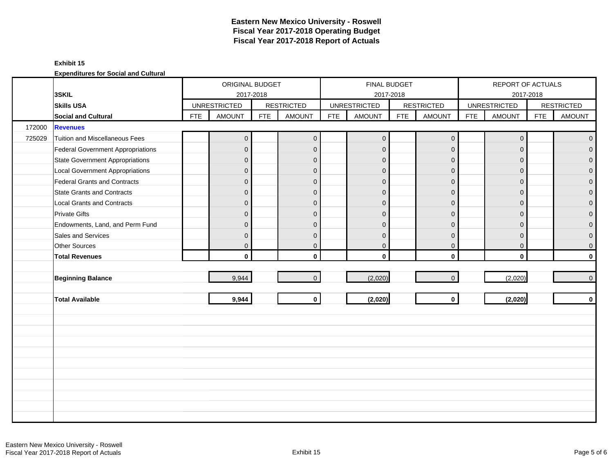### **Exhibit 15**

|        |                                          |            | ORIGINAL BUDGET     |            |                   |            | <b>FINAL BUDGET</b> |            |                   |            | REPORT OF ACTUALS   |            |                   |
|--------|------------------------------------------|------------|---------------------|------------|-------------------|------------|---------------------|------------|-------------------|------------|---------------------|------------|-------------------|
|        | 3SKIL                                    |            | 2017-2018           |            |                   |            |                     | 2017-2018  |                   |            | 2017-2018           |            |                   |
|        | <b>Skills USA</b>                        |            | <b>UNRESTRICTED</b> |            | <b>RESTRICTED</b> |            | <b>UNRESTRICTED</b> |            | <b>RESTRICTED</b> |            | <b>UNRESTRICTED</b> |            | <b>RESTRICTED</b> |
|        | <b>Social and Cultural</b>               | <b>FTE</b> | <b>AMOUNT</b>       | <b>FTE</b> | <b>AMOUNT</b>     | <b>FTE</b> | <b>AMOUNT</b>       | <b>FTE</b> | <b>AMOUNT</b>     | <b>FTE</b> | <b>AMOUNT</b>       | <b>FTE</b> | <b>AMOUNT</b>     |
| 172000 | <b>Revenues</b>                          |            |                     |            |                   |            |                     |            |                   |            |                     |            |                   |
| 725029 | <b>Tuition and Miscellaneous Fees</b>    |            | $\mathbf{0}$        |            | $\mathbf 0$       |            | $\pmb{0}$           |            | $\mathbf 0$       |            | $\mathbf 0$         |            | $\overline{0}$    |
|        | <b>Federal Government Appropriations</b> |            | $\mathbf{0}$        |            | $\mathbf 0$       |            | $\mathbf{0}$        |            | $\mathbf{0}$      |            | $\mathbf 0$         |            | $\overline{0}$    |
|        | <b>State Government Appropriations</b>   |            | $\mathbf{0}$        |            | $\mathbf{0}$      |            | $\mathbf{0}$        |            | $\mathbf 0$       |            | $\mathbf{0}$        |            | $\overline{0}$    |
|        | <b>Local Government Appropriations</b>   |            | $\mathbf 0$         |            | $\mathbf 0$       |            | $\mathbf{0}$        |            | $\mathbf 0$       |            | $\mathbf{0}$        |            | 0                 |
|        | <b>Federal Grants and Contracts</b>      |            | $\mathbf{0}$        |            | $\mathbf 0$       |            | $\mathbf{0}$        |            | $\mathbf 0$       |            | $\mathbf{0}$        |            | $\mathbf{0}$      |
|        | <b>State Grants and Contracts</b>        |            | $\mathbf{0}$        |            | $\mathbf{0}$      |            | $\Omega$            |            | $\mathbf{0}$      |            | $\Omega$            |            | $\mathbf{0}$      |
|        | <b>Local Grants and Contracts</b>        |            | $\mathbf{0}$        |            | $\mathbf{0}$      |            | $\Omega$            |            | $\mathbf{0}$      |            | $\mathbf{0}$        |            | $\mathbf 0$       |
|        | <b>Private Gifts</b>                     |            | $\overline{0}$      |            | $\mathbf{0}$      |            | $\Omega$            |            | $\mathbf{0}$      |            | $\Omega$            |            | $\overline{0}$    |
|        | Endowments, Land, and Perm Fund          |            | $\mathbf{0}$        |            | $\mathbf{0}$      |            | $\Omega$            |            | $\overline{0}$    |            | $\Omega$            |            | $\overline{0}$    |
|        | Sales and Services                       |            | $\mathbf{0}$        |            | $\mathbf{0}$      |            | $\mathbf{0}$        |            | $\overline{0}$    |            | $\mathbf{0}$        |            | $\boldsymbol{0}$  |
|        | Other Sources                            |            | $\mathbf 0$         |            | $\mathbf{0}$      |            | $\mathbf{0}$        |            | $\mathbf{0}$      |            | $\overline{0}$      |            | $\boldsymbol{0}$  |
|        | <b>Total Revenues</b>                    |            | $\mathbf 0$         |            | $\mathbf{0}$      |            | $\mathbf{0}$        |            | $\mathbf 0$       |            | $\mathbf 0$         |            | $\mathbf 0$       |
|        |                                          |            |                     |            |                   |            |                     |            |                   |            |                     |            |                   |
|        | <b>Beginning Balance</b>                 |            | 9,944               |            | $\mathbf{0}$      |            | (2,020)             |            | $\mathbf{0}$      |            | (2,020)             |            | $\mathbf{0}$      |
|        |                                          |            |                     |            |                   |            |                     |            |                   |            |                     |            |                   |
|        | <b>Total Available</b>                   |            | 9,944               |            | $\mathbf{0}$      |            | (2,020)             |            | $\mathbf 0$       |            | (2,020)             |            | $\mathbf 0$       |
|        |                                          |            |                     |            |                   |            |                     |            |                   |            |                     |            |                   |
|        |                                          |            |                     |            |                   |            |                     |            |                   |            |                     |            |                   |
|        |                                          |            |                     |            |                   |            |                     |            |                   |            |                     |            |                   |
|        |                                          |            |                     |            |                   |            |                     |            |                   |            |                     |            |                   |
|        |                                          |            |                     |            |                   |            |                     |            |                   |            |                     |            |                   |
|        |                                          |            |                     |            |                   |            |                     |            |                   |            |                     |            |                   |
|        |                                          |            |                     |            |                   |            |                     |            |                   |            |                     |            |                   |
|        |                                          |            |                     |            |                   |            |                     |            |                   |            |                     |            |                   |
|        |                                          |            |                     |            |                   |            |                     |            |                   |            |                     |            |                   |
|        |                                          |            |                     |            |                   |            |                     |            |                   |            |                     |            |                   |
|        |                                          |            |                     |            |                   |            |                     |            |                   |            |                     |            |                   |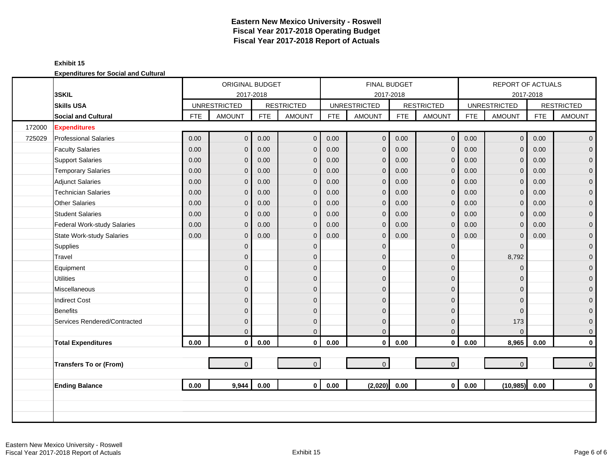## **Exhibit 15**

|        |                                  |            | <b>ORIGINAL BUDGET</b> |            |                   |            |                     | FINAL BUDGET |                   |            | <b>REPORT OF ACTUALS</b> |            |                   |
|--------|----------------------------------|------------|------------------------|------------|-------------------|------------|---------------------|--------------|-------------------|------------|--------------------------|------------|-------------------|
|        | 3SKIL                            |            | 2017-2018              |            |                   |            |                     | 2017-2018    |                   |            |                          | 2017-2018  |                   |
|        | <b>Skills USA</b>                |            | <b>UNRESTRICTED</b>    |            | <b>RESTRICTED</b> |            | <b>UNRESTRICTED</b> |              | <b>RESTRICTED</b> |            | <b>UNRESTRICTED</b>      |            | <b>RESTRICTED</b> |
|        | <b>Social and Cultural</b>       | <b>FTE</b> | <b>AMOUNT</b>          | <b>FTE</b> | <b>AMOUNT</b>     | <b>FTE</b> | <b>AMOUNT</b>       | <b>FTE</b>   | <b>AMOUNT</b>     | <b>FTE</b> | <b>AMOUNT</b>            | <b>FTE</b> | <b>AMOUNT</b>     |
| 172000 | <b>Expenditures</b>              |            |                        |            |                   |            |                     |              |                   |            |                          |            |                   |
| 725029 | <b>Professional Salaries</b>     | 0.00       | $\overline{0}$         | 0.00       | $\mathbf{0}$      | 0.00       | $\pmb{0}$           | 0.00         | $\mathbf 0$       | 0.00       | $\overline{0}$           | 0.00       | $\overline{0}$    |
|        | <b>Faculty Salaries</b>          | 0.00       | $\mathbf{0}$           | 0.00       | $\mathbf 0$       | 0.00       | $\mathbf 0$         | 0.00         | $\mathbf 0$       | 0.00       | $\mathbf{0}$             | 0.00       | $\overline{0}$    |
|        | <b>Support Salaries</b>          | 0.00       | $\Omega$               | 0.00       | $\mathbf 0$       | 0.00       | $\mathbf 0$         | 0.00         | $\mathbf{0}$      | 0.00       | $\mathbf 0$              | 0.00       | $\mathbf 0$       |
|        | <b>Temporary Salaries</b>        | 0.00       | $\mathbf{0}$           | 0.00       | $\mathbf 0$       | 0.00       | $\mathbf{0}$        | 0.00         | $\mathbf{0}$      | 0.00       | $\mathbf 0$              | 0.00       | 0                 |
|        | <b>Adjunct Salaries</b>          | 0.00       | $\mathbf{0}$           | 0.00       | $\mathbf 0$       | 0.00       | $\mathbf 0$         | 0.00         | $\mathbf 0$       | 0.00       | $\mathbf 0$              | 0.00       | 0                 |
|        | <b>Technician Salaries</b>       | 0.00       | $\Omega$               | 0.00       | $\overline{0}$    | 0.00       | $\mathbf{0}$        | 0.00         | $\Omega$          | 0.00       | $\mathbf{0}$             | 0.00       | $\mathbf{0}$      |
|        | <b>Other Salaries</b>            | 0.00       | $\Omega$               | 0.00       | $\overline{0}$    | 0.00       | $\mathbf{0}$        | 0.00         | $\mathbf{0}$      | 0.00       | $\mathbf{0}$             | 0.00       | $\mathbf 0$       |
|        | <b>Student Salaries</b>          | 0.00       | $\Omega$               | 0.00       | $\overline{0}$    | 0.00       | $\mathbf{0}$        | 0.00         | $\mathbf{0}$      | 0.00       | $\mathbf{0}$             | 0.00       | $\overline{0}$    |
|        | Federal Work-study Salaries      | 0.00       | $\Omega$               | 0.00       | $\mathbf 0$       | 0.00       | $\mathbf{0}$        | 0.00         | $\mathbf{0}$      | 0.00       | $\mathbf{0}$             | 0.00       | $\mathbf 0$       |
|        | <b>State Work-study Salaries</b> | 0.00       | $\Omega$               | 0.00       | $\mathbf 0$       | 0.00       | $\mathbf{0}$        | 0.00         | $\mathbf{0}$      | 0.00       | $\mathbf 0$              | 0.00       | 0                 |
|        | Supplies                         |            | $\mathbf{0}$           |            | $\overline{0}$    |            | $\Omega$            |              | $\mathbf{0}$      |            | $\overline{0}$           |            | $\mathbf 0$       |
|        | Travel                           |            | $\Omega$               |            | $\mathbf{0}$      |            | $\Omega$            |              | $\mathbf{0}$      |            | 8,792                    |            | $\mathbf 0$       |
|        | Equipment                        |            | $\mathbf{0}$           |            | $\overline{0}$    |            | $\Omega$            |              | $\mathbf 0$       |            | $\mathbf 0$              |            | 0                 |
|        | <b>Utilities</b>                 |            | $\mathbf{0}$           |            | $\mathbf{0}$      |            | $\mathbf{0}$        |              | $\mathbf 0$       |            | $\mathbf 0$              |            | $\mathbf 0$       |
|        | Miscellaneous                    |            | $\mathbf{0}$           |            | $\mathbf{0}$      |            | $\Omega$            |              | $\mathbf{0}$      |            | $\mathbf{0}$             |            | $\mathbf 0$       |
|        | Indirect Cost                    |            | $\mathbf{0}$           |            | $\mathbf{0}$      |            | $\Omega$            |              | $\mathbf 0$       |            | $\overline{0}$           |            | 0                 |
|        | <b>Benefits</b>                  |            | $\Omega$               |            | $\Omega$          |            | $\Omega$            |              | $\mathbf{0}$      |            | $\Omega$                 |            | $\overline{0}$    |
|        | Services Rendered/Contracted     |            | $\mathbf{0}$           |            | $\mathbf{0}$      |            | $\Omega$            |              | $\mathbf{0}$      |            | 173                      |            | $\boldsymbol{0}$  |
|        |                                  |            | $\Omega$               |            | $\Omega$          |            | $\Omega$            |              | $\mathbf{0}$      |            | $\Omega$                 |            | $\mathbf 0$       |
|        | <b>Total Expenditures</b>        | 0.00       | $\mathbf{0}$           | 0.00       | $\mathbf 0$       | 0.00       | $\mathbf 0$         | 0.00         | $\mathbf 0$       | 0.00       | 8,965                    | 0.00       | 0                 |
|        |                                  |            |                        |            |                   |            |                     |              |                   |            |                          |            |                   |
|        | <b>Transfers To or (From)</b>    |            | $\overline{0}$         |            | $\overline{0}$    |            | $\overline{0}$      |              | $\mathbf{0}$      |            | $\overline{0}$           |            | $\overline{0}$    |
|        |                                  |            |                        |            |                   |            |                     |              |                   |            |                          |            |                   |
|        | <b>Ending Balance</b>            | 0.00       | 9,944                  | 0.00       | $\mathbf{0}$      | 0.00       | (2,020)             | 0.00         | $\mathbf 0$       | 0.00       | (10, 985)                | 0.00       | $\mathbf{0}$      |
|        |                                  |            |                        |            |                   |            |                     |              |                   |            |                          |            |                   |
|        |                                  |            |                        |            |                   |            |                     |              |                   |            |                          |            |                   |
|        |                                  |            |                        |            |                   |            |                     |              |                   |            |                          |            |                   |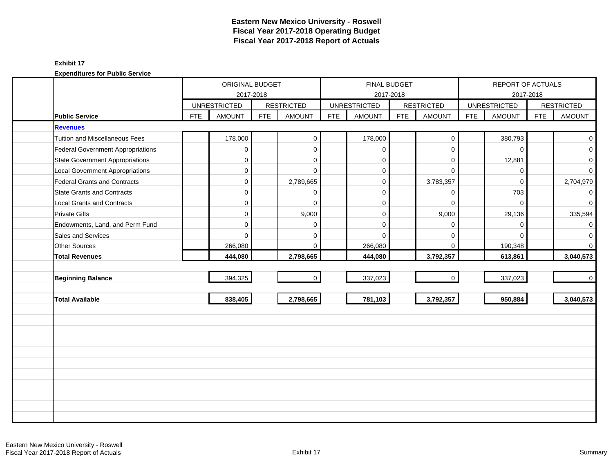|                                          |            | ORIGINAL BUDGET     |            |                   |            | <b>FINAL BUDGET</b> |            |                   |            | REPORT OF ACTUALS   |            |                   |
|------------------------------------------|------------|---------------------|------------|-------------------|------------|---------------------|------------|-------------------|------------|---------------------|------------|-------------------|
|                                          |            |                     | 2017-2018  |                   |            |                     | 2017-2018  |                   |            |                     | 2017-2018  |                   |
|                                          |            | <b>UNRESTRICTED</b> |            | <b>RESTRICTED</b> |            | <b>UNRESTRICTED</b> |            | <b>RESTRICTED</b> |            | <b>UNRESTRICTED</b> |            | <b>RESTRICTED</b> |
| <b>Public Service</b><br><b>Revenues</b> | <b>FTE</b> | <b>AMOUNT</b>       | <b>FTE</b> | <b>AMOUNT</b>     | <b>FTE</b> | <b>AMOUNT</b>       | <b>FTE</b> | <b>AMOUNT</b>     | <b>FTE</b> | <b>AMOUNT</b>       | <b>FTE</b> | <b>AMOUNT</b>     |
|                                          |            |                     |            |                   |            |                     |            |                   |            |                     |            |                   |
| <b>Tuition and Miscellaneous Fees</b>    |            | 178,000             |            | $\mathbf 0$       |            | 178,000             |            | $\boldsymbol{0}$  |            | 380,793             |            | $\overline{0}$    |
| Federal Government Appropriations        |            | 0                   |            | $\mathbf{0}$      |            | $\mathbf 0$         |            | $\mathbf 0$       |            | $\Omega$            |            | $\overline{0}$    |
| <b>State Government Appropriations</b>   |            | $\mathbf 0$         |            | $\mathbf 0$       |            | $\mathbf 0$         |            | $\mathbf 0$       |            | 12,881              |            | $\mathbf{O}$      |
| <b>Local Government Appropriations</b>   |            | 0                   |            | $\mathbf 0$       |            | $\mathbf 0$         |            | $\Omega$          |            | $\mathbf 0$         |            | $\overline{0}$    |
| Federal Grants and Contracts             |            | 0                   |            | 2,789,665         |            | $\mathbf 0$         |            | 3,783,357         |            | $\Omega$            |            | 2,704,979         |
| <b>State Grants and Contracts</b>        |            | $\Omega$            |            | $\mathbf{0}$      |            | $\Omega$            |            | $\mathbf 0$       |            | 703                 |            | $\circ$           |
| <b>Local Grants and Contracts</b>        |            | $\Omega$            |            | $\Omega$          |            | $\Omega$            |            | $\Omega$          |            | $\Omega$            |            | $\overline{0}$    |
| <b>Private Gifts</b>                     |            | $\overline{0}$      |            | 9,000             |            | $\mathbf 0$         |            | 9,000             |            | 29,136              |            | 335,594           |
| Endowments, Land, and Perm Fund          |            | $\mathbf 0$         |            | $\mathbf 0$       |            | $\Omega$            |            | $\mathbf 0$       |            | $\mathbf 0$         |            | $\overline{0}$    |
| Sales and Services                       |            | $\Omega$            |            | 0                 |            | $\Omega$            |            | $\mathbf 0$       |            | $\Omega$            |            | $\mathbf{O}$      |
| Other Sources                            |            | 266,080             |            | $\mathbf{0}$      |            | 266,080             |            | $\mathbf 0$       |            | 190,348             |            | $\overline{0}$    |
| <b>Total Revenues</b>                    |            | 444,080             |            | 2,798,665         |            | 444,080             |            | 3,792,357         |            | 613,861             |            | 3,040,573         |
|                                          |            |                     |            |                   |            |                     |            |                   |            |                     |            |                   |
| <b>Beginning Balance</b>                 |            | 394,325             |            | $\mathbf{0}$      |            | 337,023             |            | $\mathbf 0$       |            | 337,023             |            | $\overline{0}$    |
|                                          |            |                     |            |                   |            |                     |            |                   |            |                     |            |                   |
| <b>Total Available</b>                   |            | 838,405             |            | 2,798,665         |            | 781,103             |            | 3,792,357         |            | 950,884             |            | 3,040,573         |
|                                          |            |                     |            |                   |            |                     |            |                   |            |                     |            |                   |
|                                          |            |                     |            |                   |            |                     |            |                   |            |                     |            |                   |
|                                          |            |                     |            |                   |            |                     |            |                   |            |                     |            |                   |
|                                          |            |                     |            |                   |            |                     |            |                   |            |                     |            |                   |
|                                          |            |                     |            |                   |            |                     |            |                   |            |                     |            |                   |
|                                          |            |                     |            |                   |            |                     |            |                   |            |                     |            |                   |
|                                          |            |                     |            |                   |            |                     |            |                   |            |                     |            |                   |
|                                          |            |                     |            |                   |            |                     |            |                   |            |                     |            |                   |
|                                          |            |                     |            |                   |            |                     |            |                   |            |                     |            |                   |
|                                          |            |                     |            |                   |            |                     |            |                   |            |                     |            |                   |
|                                          |            |                     |            |                   |            |                     |            |                   |            |                     |            |                   |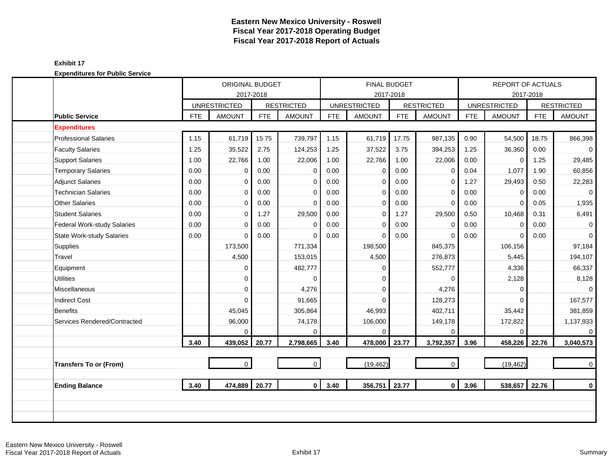| <b>Expenditures for Public Service</b> |
|----------------------------------------|
|----------------------------------------|

|                                    |            | ORIGINAL BUDGET     |            |                   |            |                     | <b>FINAL BUDGET</b> |                   |            | REPORT OF ACTUALS   |            |                   |
|------------------------------------|------------|---------------------|------------|-------------------|------------|---------------------|---------------------|-------------------|------------|---------------------|------------|-------------------|
|                                    |            |                     | 2017-2018  |                   |            |                     | 2017-2018           |                   |            |                     | 2017-2018  |                   |
|                                    |            | <b>UNRESTRICTED</b> |            | <b>RESTRICTED</b> |            | <b>UNRESTRICTED</b> |                     | <b>RESTRICTED</b> |            | <b>UNRESTRICTED</b> |            | <b>RESTRICTED</b> |
| <b>Public Service</b>              | <b>FTE</b> | <b>AMOUNT</b>       | <b>FTE</b> | <b>AMOUNT</b>     | <b>FTE</b> | <b>AMOUNT</b>       | <b>FTE</b>          | <b>AMOUNT</b>     | <b>FTE</b> | <b>AMOUNT</b>       | <b>FTE</b> | <b>AMOUNT</b>     |
| <b>Expenditures</b>                |            |                     |            |                   |            |                     |                     |                   |            |                     |            |                   |
| <b>Professional Salaries</b>       | 1.15       | 61,719              | 15.75      | 739,797           | 1.15       | 61,719              | 17.75               | 987,135           | 0.90       | 54,500              | 18.75      | 866,398           |
| <b>Faculty Salaries</b>            | 1.25       | 35,522              | 2.75       | 124,253           | 1.25       | 37,522              | 3.75                | 394,253           | 1.25       | 36,360              | 0.00       | $\overline{0}$    |
| <b>Support Salaries</b>            | 1.00       | 22,766              | 1.00       | 22,006            | 1.00       | 22,766              | 1.00                | 22,006            | 0.00       | $\mathbf 0$         | 1.25       | 29,485            |
| <b>Temporary Salaries</b>          | 0.00       | 0                   | 0.00       | 0                 | 0.00       | $\Omega$            | 0.00                | 0                 | 0.04       | 1,077               | 1.90       | 60,856            |
| <b>Adjunct Salaries</b>            | 0.00       | $\mathbf 0$         | 0.00       | $\mathbf 0$       | 0.00       | $\Omega$            | 0.00                | 0                 | 1.27       | 29,493              | 0.50       | 22,283            |
| <b>Technician Salaries</b>         | 0.00       | $\Omega$            | 0.00       | $\mathbf 0$       | 0.00       | $\mathbf 0$         | 0.00                | $\Omega$          | 0.00       | $\Omega$            | 0.00       | $\overline{0}$    |
| <b>Other Salaries</b>              | 0.00       | $\mathbf 0$         | 0.00       | $\mathbf 0$       | 0.00       | $\mathbf 0$         | 0.00                | $\Omega$          | 0.00       | $\Omega$            | 0.05       | 1,935             |
| <b>Student Salaries</b>            | 0.00       | $\mathbf 0$         | 1.27       | 29,500            | 0.00       | $\Omega$            | 1.27                | 29,500            | 0.50       | 10,468              | 0.31       | 6,491             |
| <b>Federal Work-study Salaries</b> | 0.00       | $\mathbf 0$         | 0.00       | $\mathbf 0$       | 0.00       | $\mathbf 0$         | 0.00                | 0                 | 0.00       | $\mathbf 0$         | 0.00       | $\mathbf 0$       |
| <b>State Work-study Salaries</b>   | 0.00       | $\Omega$            | 0.00       | $\Omega$          | 0.00       | $\Omega$            | 0.00                | $\Omega$          | 0.00       | $\Omega$            | 0.00       | $\mathbf{0}$      |
| Supplies                           |            | 173,500             |            | 771,334           |            | 198,500             |                     | 845,375           |            | 106,156             |            | 97,184            |
| Travel                             |            | 4,500               |            | 153,015           |            | 4,500               |                     | 276,873           |            | 5,445               |            | 194,107           |
| Equipment                          |            | $\mathbf{0}$        |            | 482,777           |            | $\Omega$            |                     | 552,777           |            | 4,336               |            | 66,337            |
| <b>Utilities</b>                   |            | $\mathbf 0$         |            | $\Omega$          |            | $\Omega$            |                     | $\Omega$          |            | 2,128               |            | 8,128             |
| Miscellaneous                      |            | $\mathbf 0$         |            | 4,276             |            | $\Omega$            |                     | 4,276             |            | $\Omega$            |            | $\mathbf{0}$      |
| <b>Indirect Cost</b>               |            | $\mathbf{0}$        |            | 91,665            |            | $\Omega$            |                     | 128,273           |            | $\Omega$            |            | 167,577           |
| <b>Benefits</b>                    |            | 45,045              |            | 305,864           |            | 46,993              |                     | 402,711           |            | 35,442              |            | 381,859           |
| Services Rendered/Contracted       |            | 96,000              |            | 74,178            |            | 106,000             |                     | 149,178           |            | 172,822             |            | 1,137,933         |
|                                    |            | $\Omega$            |            | $\Omega$          |            |                     |                     | $\Omega$          |            | $\Omega$            |            | $\overline{0}$    |
|                                    | 3.40       | 439,052             | 20.77      | 2,798,665         | 3.40       | 478,000 23.77       |                     | 3,792,357         | 3.96       | 458,226             | 22.76      | 3,040,573         |
|                                    |            |                     |            |                   |            |                     |                     |                   |            |                     |            |                   |
| <b>Transfers To or (From)</b>      |            | $\mathbf{0}$        |            | $\mathbf 0$       |            | (19, 462)           |                     | $\mathbf 0$       |            | (19, 462)           |            | $\overline{0}$    |
| <b>Ending Balance</b>              | 3.40       | 474,889             | 20.77      | $\mathbf{0}$      | 3.40       | 356,751             | 23.77               | $\mathbf{0}$      | 3.96       | 538,657             | 22.76      | $\mathbf 0$       |
|                                    |            |                     |            |                   |            |                     |                     |                   |            |                     |            |                   |
|                                    |            |                     |            |                   |            |                     |                     |                   |            |                     |            |                   |
|                                    |            |                     |            |                   |            |                     |                     |                   |            |                     |            |                   |
|                                    |            |                     |            |                   |            |                     |                     |                   |            |                     |            |                   |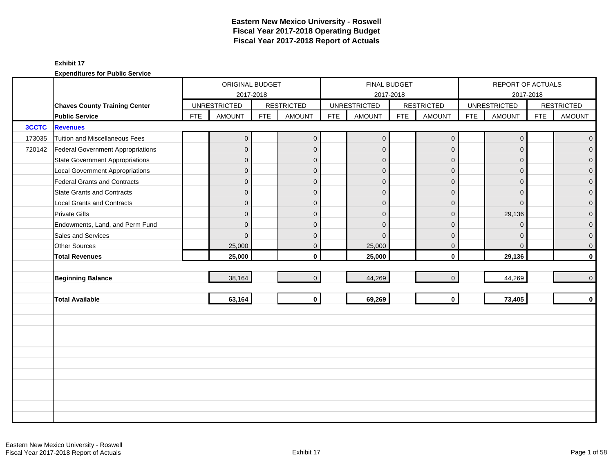|              |                                          |            | ORIGINAL BUDGET     |            |                   |            |                     | FINAL BUDGET |                   |            | REPORT OF ACTUALS   |            |                   |
|--------------|------------------------------------------|------------|---------------------|------------|-------------------|------------|---------------------|--------------|-------------------|------------|---------------------|------------|-------------------|
|              |                                          |            | 2017-2018           |            |                   |            |                     | 2017-2018    |                   |            | 2017-2018           |            |                   |
|              | <b>Chaves County Training Center</b>     |            | <b>UNRESTRICTED</b> |            | <b>RESTRICTED</b> |            | <b>UNRESTRICTED</b> |              | <b>RESTRICTED</b> |            | <b>UNRESTRICTED</b> |            | <b>RESTRICTED</b> |
|              | <b>Public Service</b>                    | <b>FTE</b> | <b>AMOUNT</b>       | <b>FTE</b> | <b>AMOUNT</b>     | <b>FTE</b> | <b>AMOUNT</b>       | <b>FTE</b>   | <b>AMOUNT</b>     | <b>FTE</b> | <b>AMOUNT</b>       | <b>FTE</b> | <b>AMOUNT</b>     |
| <b>3CCTC</b> | <b>Revenues</b>                          |            |                     |            |                   |            |                     |              |                   |            |                     |            |                   |
| 173035       | Tuition and Miscellaneous Fees           |            | $\overline{0}$      |            | $\mathbf{0}$      |            | $\mathbf 0$         |              | $\mathbf 0$       |            | $\mathbf 0$         |            | $\overline{0}$    |
| 720142       | <b>Federal Government Appropriations</b> |            | $\overline{0}$      |            | $\mathbf 0$       |            | $\mathbf 0$         |              | $\mathbf{0}$      |            | $\mathbf{0}$        |            | $\overline{0}$    |
|              | <b>State Government Appropriations</b>   |            | $\overline{0}$      |            | $\mathbf{0}$      |            | $\Omega$            |              | $\mathbf{0}$      |            | $\Omega$            |            | $\overline{0}$    |
|              | <b>Local Government Appropriations</b>   |            | $\overline{0}$      |            | $\mathbf{0}$      |            | $\mathbf{0}$        |              | $\mathbf{0}$      |            | $\mathbf{0}$        |            | 0                 |
|              | Federal Grants and Contracts             |            | $\overline{0}$      |            | $\mathbf{0}$      |            | $\mathbf{0}$        |              | $\mathbf{0}$      |            | $\Omega$            |            | $\overline{0}$    |
|              | <b>State Grants and Contracts</b>        |            | $\overline{0}$      |            | $\Omega$          |            | $\Omega$            |              | $\Omega$          |            | $\Omega$            |            | $\Omega$          |
|              | <b>Local Grants and Contracts</b>        |            | $\overline{0}$      |            | $\mathbf{0}$      |            | $\Omega$            |              | $\mathbf{0}$      |            | $\Omega$            |            | $\mathbf 0$       |
|              | <b>Private Gifts</b>                     |            | $\overline{0}$      |            | $\mathbf{0}$      |            | $\mathbf{0}$        |              | $\mathbf{0}$      |            | 29,136              |            | $\overline{0}$    |
|              | Endowments, Land, and Perm Fund          |            | $\overline{0}$      |            | $\mathbf{0}$      |            | $\Omega$            |              | $\mathbf{0}$      |            | $\mathbf 0$         |            | 0                 |
|              | Sales and Services                       |            | $\Omega$            |            | $\mathbf{0}$      |            | $\Omega$            |              | $\mathbf{0}$      |            | $\Omega$            |            | $\mathbf 0$       |
|              | Other Sources                            |            | 25,000              |            | $\mathbf 0$       |            | 25,000              |              | $\mathbf 0$       |            | $\mathbf{0}$        |            | $\mathbf 0$       |
|              | <b>Total Revenues</b>                    |            | 25,000              |            | $\mathbf{0}$      |            | 25,000              |              | $\mathbf 0$       |            | 29,136              |            | $\mathbf 0$       |
|              |                                          |            |                     |            |                   |            |                     |              |                   |            |                     |            |                   |
|              | <b>Beginning Balance</b>                 |            | 38,164              |            | $\overline{0}$    |            | 44,269              |              | $\mathbf{0}$      |            | 44,269              |            | $\pmb{0}$         |
|              |                                          |            |                     |            |                   |            |                     |              |                   |            |                     |            |                   |
|              | <b>Total Available</b>                   |            | 63,164              |            | $\mathbf{0}$      |            | 69,269              |              | $\mathbf 0$       |            | 73,405              |            | $\mathbf 0$       |
|              |                                          |            |                     |            |                   |            |                     |              |                   |            |                     |            |                   |
|              |                                          |            |                     |            |                   |            |                     |              |                   |            |                     |            |                   |
|              |                                          |            |                     |            |                   |            |                     |              |                   |            |                     |            |                   |
|              |                                          |            |                     |            |                   |            |                     |              |                   |            |                     |            |                   |
|              |                                          |            |                     |            |                   |            |                     |              |                   |            |                     |            |                   |
|              |                                          |            |                     |            |                   |            |                     |              |                   |            |                     |            |                   |
|              |                                          |            |                     |            |                   |            |                     |              |                   |            |                     |            |                   |
|              |                                          |            |                     |            |                   |            |                     |              |                   |            |                     |            |                   |
|              |                                          |            |                     |            |                   |            |                     |              |                   |            |                     |            |                   |
|              |                                          |            |                     |            |                   |            |                     |              |                   |            |                     |            |                   |
|              |                                          |            |                     |            |                   |            |                     |              |                   |            |                     |            |                   |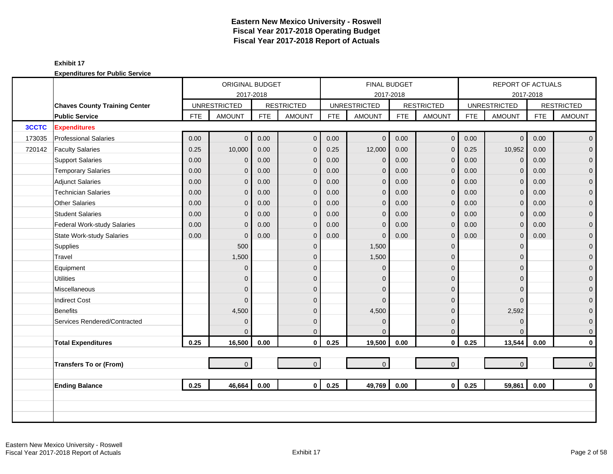|              |                                      |            | ORIGINAL BUDGET     |            |                   |            |                     | <b>FINAL BUDGET</b> |                   |            | <b>REPORT OF ACTUALS</b> |            |                   |
|--------------|--------------------------------------|------------|---------------------|------------|-------------------|------------|---------------------|---------------------|-------------------|------------|--------------------------|------------|-------------------|
|              |                                      |            | 2017-2018           |            |                   |            |                     | 2017-2018           |                   |            |                          | 2017-2018  |                   |
|              | <b>Chaves County Training Center</b> |            | <b>UNRESTRICTED</b> |            | <b>RESTRICTED</b> |            | <b>UNRESTRICTED</b> |                     | <b>RESTRICTED</b> |            | <b>UNRESTRICTED</b>      |            | <b>RESTRICTED</b> |
|              | <b>Public Service</b>                | <b>FTE</b> | <b>AMOUNT</b>       | <b>FTE</b> | <b>AMOUNT</b>     | <b>FTE</b> | <b>AMOUNT</b>       | <b>FTE</b>          | <b>AMOUNT</b>     | <b>FTE</b> | <b>AMOUNT</b>            | <b>FTE</b> | <b>AMOUNT</b>     |
| <b>3CCTC</b> | <b>Expenditures</b>                  |            |                     |            |                   |            |                     |                     |                   |            |                          |            |                   |
| 173035       | <b>Professional Salaries</b>         | 0.00       | $\overline{0}$      | 0.00       | $\mathbf{0}$      | 0.00       | $\overline{0}$      | 0.00                | $\mathbf 0$       | 0.00       | $\mathbf{0}$             | 0.00       | $\overline{0}$    |
| 720142       | <b>Faculty Salaries</b>              | 0.25       | 10,000              | 0.00       | $\mathbf{0}$      | 0.25       | 12,000              | 0.00                | $\mathbf{0}$      | 0.25       | 10,952                   | 0.00       | $\overline{0}$    |
|              | <b>Support Salaries</b>              | 0.00       | $\mathbf{0}$        | 0.00       | $\mathbf 0$       | 0.00       | $\mathbf 0$         | 0.00                | $\mathbf 0$       | 0.00       | $\mathbf 0$              | 0.00       | $\overline{0}$    |
|              | <b>Temporary Salaries</b>            | 0.00       | $\overline{0}$      | 0.00       | $\mathbf{0}$      | 0.00       | $\mathbf{0}$        | 0.00                | $\mathbf{0}$      | 0.00       | $\Omega$                 | 0.00       | $\mathbf 0$       |
|              | <b>Adjunct Salaries</b>              | 0.00       | $\mathbf{0}$        | 0.00       | $\mathbf{0}$      | 0.00       | $\mathbf{0}$        | 0.00                | $\mathbf{0}$      | 0.00       | $\Omega$                 | 0.00       | $\mathbf{O}$      |
|              | <b>Technician Salaries</b>           | 0.00       | $\mathbf{0}$        | 0.00       | $\mathbf 0$       | 0.00       | $\overline{0}$      | 0.00                | $\mathbf 0$       | 0.00       | $\mathbf{0}$             | 0.00       | $\mathbf{O}$      |
|              | <b>Other Salaries</b>                | 0.00       | 0                   | 0.00       | $\mathbf{0}$      | 0.00       | $\mathbf 0$         | 0.00                | $\mathbf 0$       | 0.00       | $\mathbf{0}$             | 0.00       | $\mathbf 0$       |
|              | <b>Student Salaries</b>              | 0.00       | $\overline{0}$      | 0.00       | $\mathbf{0}$      | 0.00       | $\mathbf{0}$        | 0.00                | $\mathbf{0}$      | 0.00       | $\Omega$                 | 0.00       | $\overline{0}$    |
|              | <b>Federal Work-study Salaries</b>   | 0.00       | $\overline{0}$      | 0.00       | $\mathbf 0$       | 0.00       | $\mathbf{0}$        | 0.00                | $\mathbf{0}$      | 0.00       | $\mathbf{0}$             | 0.00       | $\overline{0}$    |
|              | <b>State Work-study Salaries</b>     | 0.00       | $\overline{0}$      | 0.00       | $\mathbf{0}$      | 0.00       | $\Omega$            | 0.00                | $\mathbf 0$       | 0.00       | 0                        | 0.00       | $\mathbf 0$       |
|              | Supplies                             |            | 500                 |            | $\mathbf{0}$      |            | 1,500               |                     | $\mathbf 0$       |            | $\Omega$                 |            | $\mathbf{0}$      |
|              | Travel                               |            | 1,500               |            | $\Omega$          |            | 1,500               |                     | $\mathbf{0}$      |            | $\Omega$                 |            | $\mathbf{0}$      |
|              | Equipment                            |            | $\overline{0}$      |            | $\Omega$          |            | $\Omega$            |                     | $\mathbf 0$       |            | $\Omega$                 |            | $\mathbf 0$       |
|              | <b>Utilities</b>                     |            | $\overline{0}$      |            | $\Omega$          |            | $\Omega$            |                     | $\mathbf{0}$      |            | $\Omega$                 |            | $\overline{0}$    |
|              | Miscellaneous                        |            | $\overline{0}$      |            | $\mathbf{0}$      |            | $\Omega$            |                     | $\mathbf{0}$      |            | $\Omega$                 |            | $\mathbf{O}$      |
|              | <b>Indirect Cost</b>                 |            | $\Omega$            |            | $\Omega$          |            | $\Omega$            |                     | $\mathbf{0}$      |            | $\Omega$                 |            | $\pmb{0}$         |
|              | <b>Benefits</b>                      |            | 4,500               |            | $\Omega$          |            | 4,500               |                     | $\mathbf 0$       |            | 2,592                    |            | $\mathbf{0}$      |
|              | Services Rendered/Contracted         |            | $\overline{0}$      |            | $\mathbf{0}$      |            | $\Omega$            |                     | $\mathbf 0$       |            | $\mathbf{0}$             |            | $\mathbf{O}$      |
|              |                                      |            | $\Omega$            |            | $\Omega$          |            | $\Omega$            |                     | $\mathbf 0$       |            | $\Omega$                 |            | $\mathbf{0}$      |
|              | <b>Total Expenditures</b>            | 0.25       | 16,500              | 0.00       | $\mathbf 0$       | 0.25       | 19,500              | 0.00                | $\mathbf 0$       | 0.25       | 13,544                   | 0.00       | $\mathbf{0}$      |
|              |                                      |            |                     |            |                   |            |                     |                     |                   |            |                          |            |                   |
|              | <b>Transfers To or (From)</b>        |            | $\overline{0}$      |            | $\overline{0}$    |            | $\mathbf 0$         |                     | $\mathbf{O}$      |            | $\overline{0}$           |            | $\mathbf{0}$      |
|              |                                      |            |                     |            |                   |            |                     |                     |                   |            |                          |            |                   |
|              | <b>Ending Balance</b>                | 0.25       | 46,664              | 0.00       | $\mathbf{0}$      | 0.25       | 49,769              | 0.00                | $\mathbf{0}$      | 0.25       | 59,861                   | 0.00       | $\mathbf 0$       |
|              |                                      |            |                     |            |                   |            |                     |                     |                   |            |                          |            |                   |
|              |                                      |            |                     |            |                   |            |                     |                     |                   |            |                          |            |                   |
|              |                                      |            |                     |            |                   |            |                     |                     |                   |            |                          |            |                   |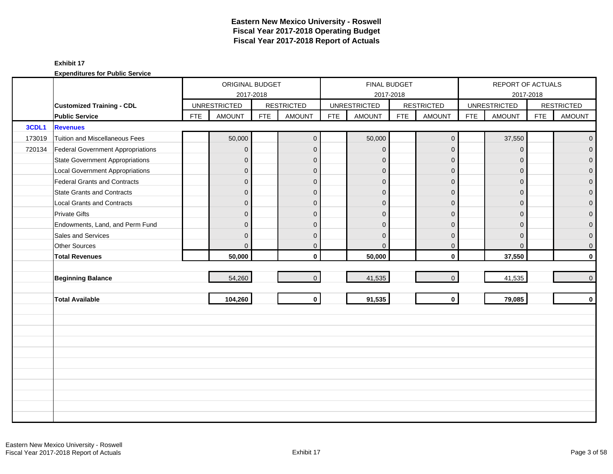|        |                                          | ORIGINAL BUDGET<br>2017-2018 |                     |            |                   |            | FINAL BUDGET        |            |                   |            | REPORT OF ACTUALS   |            |                   |
|--------|------------------------------------------|------------------------------|---------------------|------------|-------------------|------------|---------------------|------------|-------------------|------------|---------------------|------------|-------------------|
|        |                                          |                              |                     |            |                   |            |                     | 2017-2018  |                   |            | 2017-2018           |            |                   |
|        | <b>Customized Training - CDL</b>         |                              | <b>UNRESTRICTED</b> |            | <b>RESTRICTED</b> |            | <b>UNRESTRICTED</b> |            | <b>RESTRICTED</b> |            | <b>UNRESTRICTED</b> |            | <b>RESTRICTED</b> |
|        | <b>Public Service</b>                    | <b>FTE</b>                   | <b>AMOUNT</b>       | <b>FTE</b> | <b>AMOUNT</b>     | <b>FTE</b> | <b>AMOUNT</b>       | <b>FTE</b> | <b>AMOUNT</b>     | <b>FTE</b> | <b>AMOUNT</b>       | <b>FTE</b> | <b>AMOUNT</b>     |
| 3CDL1  | <b>Revenues</b>                          |                              |                     |            |                   |            |                     |            |                   |            |                     |            |                   |
| 173019 | Tuition and Miscellaneous Fees           |                              | 50,000              |            | $\overline{0}$    |            | 50,000              |            | $\mathbf 0$       |            | 37,550              |            | $\overline{0}$    |
| 720134 | <b>Federal Government Appropriations</b> |                              | $\overline{0}$      |            | $\mathbf{0}$      |            | $\mathbf{0}$        |            | $\overline{0}$    |            | $\mathbf{0}$        |            | $\overline{0}$    |
|        | <b>State Government Appropriations</b>   |                              | $\overline{0}$      |            | $\mathbf{0}$      |            | $\mathbf{0}$        |            | $\mathbf{0}$      |            | $\Omega$            |            | $\overline{0}$    |
|        | <b>Local Government Appropriations</b>   |                              | $\overline{0}$      |            | $\mathbf 0$       |            | $\mathbf{0}$        |            | $\mathbf{0}$      |            | $\mathbf{0}$        |            | 0                 |
|        | <b>Federal Grants and Contracts</b>      |                              | $\overline{0}$      |            | $\mathbf{0}$      |            | $\overline{0}$      |            | $\mathbf 0$       |            | $\Omega$            |            | $\mathbf{0}$      |
|        | State Grants and Contracts               |                              | $\Omega$            |            | $\Omega$          |            | $\Omega$            |            | $\Omega$          |            | $\Omega$            |            | $\Omega$          |
|        | <b>Local Grants and Contracts</b>        |                              | $\overline{0}$      |            | $\mathbf{0}$      |            | $\Omega$            |            | $\overline{0}$    |            | $\Omega$            |            | $\mathbf 0$       |
|        | <b>Private Gifts</b>                     |                              | $\overline{0}$      |            | $\mathbf{0}$      |            | $\Omega$            |            | $\mathbf{0}$      |            | $\Omega$            |            | $\overline{0}$    |
|        | Endowments, Land, and Perm Fund          |                              | $\overline{0}$      |            | $\mathbf{0}$      |            | $\Omega$            |            | $\mathbf{0}$      |            | $\Omega$            |            | $\overline{0}$    |
|        | Sales and Services                       |                              | $\mathbf 0$         |            | $\mathbf{0}$      |            | $\mathbf{0}$        |            | $\mathbf{0}$      |            | $\mathbf{0}$        |            | 0                 |
|        | Other Sources                            |                              | $\overline{0}$      |            | $\mathbf 0$       |            | $\mathbf{0}$        |            | $\mathbf 0$       |            | $\mathbf{0}$        |            | 0                 |
|        | <b>Total Revenues</b>                    |                              | 50,000              |            | $\mathbf{0}$      |            | 50,000              |            | $\mathbf 0$       |            | 37,550              |            | $\mathbf{0}$      |
|        |                                          |                              |                     |            |                   |            |                     |            |                   |            |                     |            |                   |
|        | <b>Beginning Balance</b>                 |                              | 54,260              |            | $\overline{0}$    |            | 41,535              |            | $\mathbf 0$       |            | 41,535              |            | $\mathbf{0}$      |
|        |                                          |                              |                     |            |                   |            |                     |            |                   |            |                     |            |                   |
|        | <b>Total Available</b>                   |                              | 104,260             |            | $\mathbf{0}$      |            | 91,535              |            | $\mathbf 0$       |            | 79,085              |            | $\mathbf 0$       |
|        |                                          |                              |                     |            |                   |            |                     |            |                   |            |                     |            |                   |
|        |                                          |                              |                     |            |                   |            |                     |            |                   |            |                     |            |                   |
|        |                                          |                              |                     |            |                   |            |                     |            |                   |            |                     |            |                   |
|        |                                          |                              |                     |            |                   |            |                     |            |                   |            |                     |            |                   |
|        |                                          |                              |                     |            |                   |            |                     |            |                   |            |                     |            |                   |
|        |                                          |                              |                     |            |                   |            |                     |            |                   |            |                     |            |                   |
|        |                                          |                              |                     |            |                   |            |                     |            |                   |            |                     |            |                   |
|        |                                          |                              |                     |            |                   |            |                     |            |                   |            |                     |            |                   |
|        |                                          |                              |                     |            |                   |            |                     |            |                   |            |                     |            |                   |
|        |                                          |                              |                     |            |                   |            |                     |            |                   |            |                     |            |                   |
|        |                                          |                              |                     |            |                   |            |                     |            |                   |            |                     |            |                   |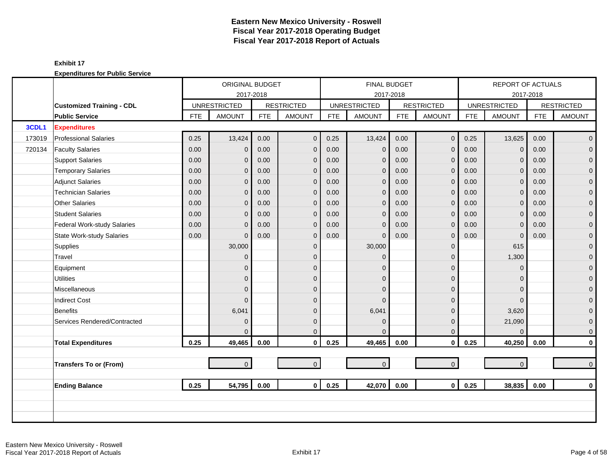|        |                                  |            | ORIGINAL BUDGET     |            |                   |            | <b>FINAL BUDGET</b> |            |                   |            | REPORT OF ACTUALS   |            |                     |
|--------|----------------------------------|------------|---------------------|------------|-------------------|------------|---------------------|------------|-------------------|------------|---------------------|------------|---------------------|
|        |                                  |            | 2017-2018           |            |                   |            | 2017-2018           |            |                   |            |                     | 2017-2018  |                     |
|        | <b>Customized Training - CDL</b> |            | <b>UNRESTRICTED</b> |            | <b>RESTRICTED</b> |            | <b>UNRESTRICTED</b> |            | <b>RESTRICTED</b> |            | <b>UNRESTRICTED</b> |            | <b>RESTRICTED</b>   |
|        | <b>Public Service</b>            | <b>FTE</b> | <b>AMOUNT</b>       | <b>FTE</b> | <b>AMOUNT</b>     | <b>FTE</b> | <b>AMOUNT</b>       | <b>FTE</b> | <b>AMOUNT</b>     | <b>FTE</b> | <b>AMOUNT</b>       | <b>FTE</b> | <b>AMOUNT</b>       |
| 3CDL1  | <b>Expenditures</b>              |            |                     |            |                   |            |                     |            |                   |            |                     |            |                     |
| 173019 | <b>Professional Salaries</b>     | 0.25       | 13,424              | 0.00       | $\mathbf 0$       | 0.25       | 13,424              | 0.00       | $\mathbf 0$       | 0.25       | 13,625              | 0.00       | $\overline{0}$      |
| 720134 | <b>Faculty Salaries</b>          | 0.00       | $\overline{0}$      | 0.00       | $\mathbf{0}$      | 0.00       | $\mathbf{0}$        | 0.00       | $\mathbf 0$       | 0.00       | $\Omega$            | 0.00       | $\mathbf 0$         |
|        | <b>Support Salaries</b>          | 0.00       | $\overline{0}$      | 0.00       | $\mathbf 0$       | 0.00       | $\mathbf{0}$        | 0.00       | $\mathbf{0}$      | 0.00       | $\mathbf 0$         | 0.00       | $\mathbf 0$         |
|        | <b>Temporary Salaries</b>        | 0.00       | $\mathbf{0}$        | 0.00       | $\overline{0}$    | 0.00       | $\mathbf{0}$        | 0.00       | $\mathbf{0}$      | 0.00       | $\mathbf{0}$        | 0.00       | $\pmb{0}$           |
|        | <b>Adjunct Salaries</b>          | 0.00       | $\overline{0}$      | 0.00       | $\mathbf{0}$      | 0.00       | $\mathbf{0}$        | 0.00       | $\mathbf 0$       | 0.00       | $\Omega$            | 0.00       | $\mathbf 0$         |
|        | <b>Technician Salaries</b>       | 0.00       | $\mathbf{0}$        | 0.00       | $\mathbf 0$       | 0.00       | $\mathbf{0}$        | 0.00       | $\mathbf 0$       | 0.00       | $\mathbf{0}$        | 0.00       | $\mathbf 0$         |
|        | <b>Other Salaries</b>            | 0.00       | $\overline{0}$      | 0.00       | $\mathbf 0$       | 0.00       | $\mathbf{0}$        | 0.00       | $\mathbf 0$       | 0.00       | $\mathbf 0$         | 0.00       | $\pmb{0}$           |
|        | <b>Student Salaries</b>          | 0.00       | $\Omega$            | 0.00       | $\Omega$          | 0.00       | $\mathbf{0}$        | 0.00       | $\mathbf{0}$      | 0.00       | $\Omega$            | 0.00       | $\overline{0}$      |
|        | Federal Work-study Salaries      | 0.00       | $\overline{0}$      | 0.00       | $\mathbf 0$       | 0.00       | $\overline{0}$      | 0.00       | $\mathbf{0}$      | 0.00       | $\Omega$            | 0.00       | $\mathbf{0}$        |
|        | <b>State Work-study Salaries</b> | 0.00       | $\Omega$            | 0.00       | $\mathbf 0$       | 0.00       | $\Omega$            | 0.00       | $\mathbf 0$       | 0.00       | $\Omega$            | 0.00       | $\mathbf 0$         |
|        | Supplies                         |            | 30,000              |            | $\mathbf{0}$      |            | 30,000              |            | $\mathbf 0$       |            | 615                 |            | $\mathbf{0}$        |
|        | Travel                           |            | $\overline{0}$      |            | $\mathbf{0}$      |            | $\Omega$            |            | $\mathbf{0}$      |            | 1,300               |            | $\mathbf 0$         |
|        | Equipment                        |            | $\overline{0}$      |            | $\mathbf{0}$      |            | $\Omega$            |            | $\mathbf 0$       |            | $\mathbf 0$         |            | $\pmb{0}$           |
|        | <b>Utilities</b>                 |            | $\overline{0}$      |            | $\mathbf{0}$      |            | $\mathbf{0}$        |            | $\mathbf 0$       |            | $\Omega$            |            | $\overline{0}$      |
|        | Miscellaneous                    |            | $\Omega$            |            | $\Omega$          |            | $\Omega$            |            | $\mathbf{0}$      |            | $\Omega$            |            | $\mathsf{O}\xspace$ |
|        | <b>Indirect Cost</b>             |            | $\Omega$            |            | $\Omega$          |            | $\Omega$            |            | $\mathbf{0}$      |            | $\Omega$            |            | $\mathbf 0$         |
|        | <b>Benefits</b>                  |            | 6,041               |            | $\Omega$          |            | 6,041               |            | $\mathbf 0$       |            | 3,620               |            | $\mathbf{0}$        |
|        | Services Rendered/Contracted     |            | $\overline{0}$      |            | $\mathbf{0}$      |            | $\mathbf{0}$        |            | $\mathbf 0$       |            | 21,090              |            | $\boldsymbol{0}$    |
|        |                                  |            | $\Omega$            |            | $\Omega$          |            | $\Omega$            |            | $\mathbf 0$       |            | $\Omega$            |            | $\mathbf 0$         |
|        | <b>Total Expenditures</b>        | 0.25       | 49,465              | 0.00       | $\mathbf 0$       | 0.25       | 49,465              | 0.00       | $\mathbf 0$       | 0.25       | 40,250              | 0.00       | $\pmb{0}$           |
|        |                                  |            |                     |            |                   |            |                     |            |                   |            |                     |            |                     |
|        | <b>Transfers To or (From)</b>    |            | $\overline{0}$      |            | $\overline{0}$    |            | $\overline{0}$      |            | $\mathbf 0$       |            | $\overline{0}$      |            | $\mathbf 0$         |
|        |                                  |            |                     |            |                   |            |                     |            |                   |            |                     |            |                     |
|        | <b>Ending Balance</b>            | 0.25       | 54,795              | 0.00       | $\mathbf{0}$      | 0.25       | 42,070              | 0.00       | $\mathbf{0}$      | 0.25       | 38,835              | 0.00       | $\mathbf 0$         |
|        |                                  |            |                     |            |                   |            |                     |            |                   |            |                     |            |                     |
|        |                                  |            |                     |            |                   |            |                     |            |                   |            |                     |            |                     |
|        |                                  |            |                     |            |                   |            |                     |            |                   |            |                     |            |                     |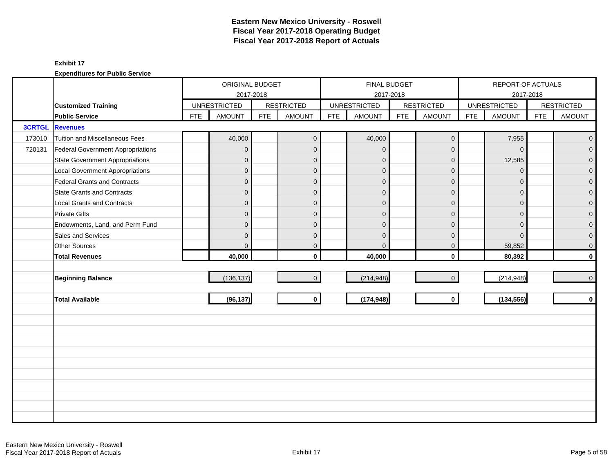|        |                                        |            | ORIGINAL BUDGET     |            |                   |            |                     | <b>FINAL BUDGET</b> |                     |            | REPORT OF ACTUALS   |            |                   |
|--------|----------------------------------------|------------|---------------------|------------|-------------------|------------|---------------------|---------------------|---------------------|------------|---------------------|------------|-------------------|
|        |                                        |            |                     | 2017-2018  |                   |            |                     | 2017-2018           |                     |            |                     | 2017-2018  |                   |
|        | <b>Customized Training</b>             |            | <b>UNRESTRICTED</b> |            | <b>RESTRICTED</b> |            | <b>UNRESTRICTED</b> |                     | <b>RESTRICTED</b>   |            | <b>UNRESTRICTED</b> |            | <b>RESTRICTED</b> |
|        | <b>Public Service</b>                  | <b>FTE</b> | <b>AMOUNT</b>       | <b>FTE</b> | <b>AMOUNT</b>     | <b>FTE</b> | <b>AMOUNT</b>       | <b>FTE</b>          | <b>AMOUNT</b>       | <b>FTE</b> | <b>AMOUNT</b>       | <b>FTE</b> | <b>AMOUNT</b>     |
|        | <b>3CRTGL Revenues</b>                 |            |                     |            |                   |            |                     |                     |                     |            |                     |            |                   |
| 173010 | Tuition and Miscellaneous Fees         |            | 40,000              |            | $\mathbf{0}$      |            | 40,000              |                     | $\mathsf{O}\xspace$ |            | 7,955               |            | $\overline{0}$    |
| 720131 | Federal Government Appropriations      |            | 0                   |            | $\mathbf 0$       |            | $\mathbf{0}$        |                     | $\mathbf{0}$        |            | $\Omega$            |            | $\overline{0}$    |
|        | <b>State Government Appropriations</b> |            | $\mathbf{0}$        |            | $\Omega$          |            | $\Omega$            |                     | $\mathbf{0}$        |            | 12,585              |            | $\overline{0}$    |
|        | <b>Local Government Appropriations</b> |            | 0                   |            | $\mathbf{0}$      |            | $\Omega$            |                     | $\mathbf{0}$        |            | $\mathbf{0}$        |            | $\pmb{0}$         |
|        | Federal Grants and Contracts           |            | 0                   |            | $\mathbf{0}$      |            | $\overline{0}$      |                     | $\mathbf{0}$        |            | $\Omega$            |            | $\mathbf{O}$      |
|        | <b>State Grants and Contracts</b>      |            | $\mathbf{0}$        |            | $\Omega$          |            | $\Omega$            |                     | $\Omega$            |            | $\Omega$            |            | $\mathbf{0}$      |
|        | <b>Local Grants and Contracts</b>      |            | 0                   |            | $\mathbf{0}$      |            | $\Omega$            |                     | $\mathbf{0}$        |            | $\Omega$            |            | $\mathbf 0$       |
|        | <b>Private Gifts</b>                   |            | $\overline{0}$      |            | $\mathbf{0}$      |            | $\Omega$            |                     | $\mathbf{0}$        |            | $\Omega$            |            | $\overline{0}$    |
|        | Endowments, Land, and Perm Fund        |            | $\mathbf{0}$        |            | $\mathbf{0}$      |            | $\mathbf{0}$        |                     | $\mathbf{0}$        |            | $\Omega$            |            | $\overline{0}$    |
|        | Sales and Services                     |            | $\overline{0}$      |            | $\mathbf{0}$      |            | $\Omega$            |                     | $\mathbf{0}$        |            | $\Omega$            |            | $\overline{0}$    |
|        | Other Sources                          |            | $\overline{0}$      |            | $\mathbf 0$       |            | $\mathbf{0}$        |                     | $\mathbf{0}$        |            | 59,852              |            | $\mathbf 0$       |
|        | <b>Total Revenues</b>                  |            | 40,000              |            | $\mathbf{0}$      |            | 40,000              |                     | $\mathbf{0}$        |            | 80,392              |            | $\mathbf{0}$      |
|        |                                        |            |                     |            |                   |            |                     |                     |                     |            |                     |            |                   |
|        | <b>Beginning Balance</b>               |            | (136, 137)          |            | $\overline{0}$    |            | (214, 948)          |                     | $\mathbf{0}$        |            | (214, 948)          |            | $\overline{0}$    |
|        |                                        |            |                     |            |                   |            |                     |                     |                     |            |                     |            |                   |
|        | <b>Total Available</b>                 |            | (96, 137)           |            | $\mathbf{0}$      |            | (174, 948)          |                     | $\mathbf 0$         |            | (134, 556)          |            | $\mathbf{0}$      |
|        |                                        |            |                     |            |                   |            |                     |                     |                     |            |                     |            |                   |
|        |                                        |            |                     |            |                   |            |                     |                     |                     |            |                     |            |                   |
|        |                                        |            |                     |            |                   |            |                     |                     |                     |            |                     |            |                   |
|        |                                        |            |                     |            |                   |            |                     |                     |                     |            |                     |            |                   |
|        |                                        |            |                     |            |                   |            |                     |                     |                     |            |                     |            |                   |
|        |                                        |            |                     |            |                   |            |                     |                     |                     |            |                     |            |                   |
|        |                                        |            |                     |            |                   |            |                     |                     |                     |            |                     |            |                   |
|        |                                        |            |                     |            |                   |            |                     |                     |                     |            |                     |            |                   |
|        |                                        |            |                     |            |                   |            |                     |                     |                     |            |                     |            |                   |
|        |                                        |            |                     |            |                   |            |                     |                     |                     |            |                     |            |                   |
|        |                                        |            |                     |            |                   |            |                     |                     |                     |            |                     |            |                   |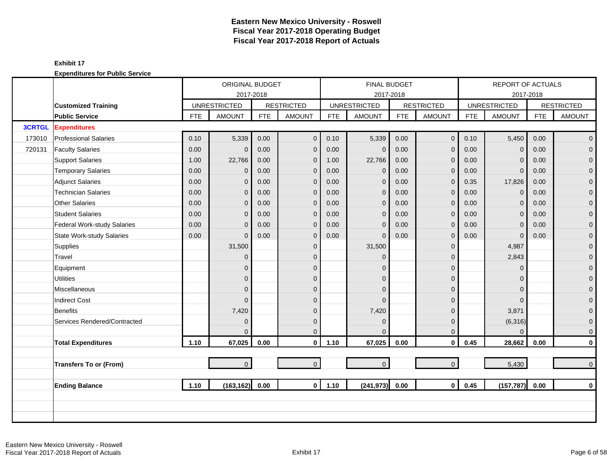|               |                                  |                    | ORIGINAL BUDGET     |            |                   |            | <b>FINAL BUDGET</b> |            |                   |            | REPORT OF ACTUALS   |            |                     |
|---------------|----------------------------------|--------------------|---------------------|------------|-------------------|------------|---------------------|------------|-------------------|------------|---------------------|------------|---------------------|
|               |                                  |                    | 2017-2018           |            |                   |            | 2017-2018           |            |                   |            |                     | 2017-2018  |                     |
|               | <b>Customized Training</b>       |                    | <b>UNRESTRICTED</b> |            | <b>RESTRICTED</b> |            | <b>UNRESTRICTED</b> |            | <b>RESTRICTED</b> |            | <b>UNRESTRICTED</b> |            | <b>RESTRICTED</b>   |
|               | <b>Public Service</b>            | <b>FTE</b>         | <b>AMOUNT</b>       | <b>FTE</b> | <b>AMOUNT</b>     | <b>FTE</b> | <b>AMOUNT</b>       | <b>FTE</b> | <b>AMOUNT</b>     | <b>FTE</b> | <b>AMOUNT</b>       | <b>FTE</b> | <b>AMOUNT</b>       |
| <b>3CRTGL</b> | <b>Expenditures</b>              |                    |                     |            |                   |            |                     |            |                   |            |                     |            |                     |
| 173010        | <b>Professional Salaries</b>     | 0.10               | 5,339               | 0.00       | $\mathbf{0}$      | 0.10       | 5,339               | 0.00       | $\mathbf 0$       | 0.10       | 5,450               | 0.00       | $\overline{0}$      |
| 720131        | <b>Faculty Salaries</b>          | 0.00               | $\mathbf{0}$        | 0.00       | $\mathbf{0}$      | 0.00       | $\Omega$            | 0.00       | $\mathbf 0$       | 0.00       | $\Omega$            | 0.00       | $\mathbf 0$         |
|               | <b>Support Salaries</b>          | 1.00               | 22,766              | 0.00       | $\mathbf 0$       | 1.00       | 22,766              | 0.00       | $\mathbf{0}$      | 0.00       | $\Omega$            | 0.00       | $\overline{0}$      |
|               | <b>Temporary Salaries</b>        | 0.00               | $\mathbf{0}$        | 0.00       | $\mathbf{0}$      | 0.00       | $\mathbf 0$         | 0.00       | $\mathbf{0}$      | 0.00       | $\mathbf 0$         | 0.00       | $\pmb{0}$           |
|               | <b>Adjunct Salaries</b>          | 0.00               | $\overline{0}$      | 0.00       | $\mathbf{0}$      | 0.00       | $\mathbf{0}$        | 0.00       | $\mathbf 0$       | 0.35       | 17,826              | 0.00       | $\mathbf 0$         |
|               | <b>Technician Salaries</b>       | 0.00               | $\mathbf{0}$        | 0.00       | $\mathbf{0}$      | 0.00       | $\mathbf{0}$        | 0.00       | $\mathbf 0$       | 0.00       | $\Omega$            | 0.00       | $\mathbf 0$         |
|               | <b>Other Salaries</b>            | 0.00               | $\mathbf{0}$        | 0.00       | $\mathbf{0}$      | 0.00       | $\mathbf{0}$        | 0.00       | $\mathbf 0$       | 0.00       | $\mathbf 0$         | 0.00       | $\pmb{0}$           |
|               | <b>Student Salaries</b>          | 0.00               | $\Omega$            | 0.00       | $\Omega$          | 0.00       | $\mathbf{0}$        | 0.00       | $\mathbf{0}$      | 0.00       | $\Omega$            | 0.00       | $\overline{0}$      |
|               | Federal Work-study Salaries      | 0.00               | $\Omega$            | 0.00       | $\mathbf{0}$      | 0.00       | $\overline{0}$      | 0.00       | $\mathbf 0$       | 0.00       | $\Omega$            | 0.00       | $\mathbf{0}$        |
|               | <b>State Work-study Salaries</b> | 0.00               | $\Omega$            | 0.00       | $\mathbf{0}$      | 0.00       | $\Omega$            | 0.00       | $\mathbf 0$       | 0.00       | $\mathbf 0$         | 0.00       | $\mathbf 0$         |
|               | Supplies                         |                    | 31,500              |            | $\mathbf{0}$      |            | 31,500              |            | $\mathbf 0$       |            | 4,987               |            | $\overline{0}$      |
|               | Travel                           |                    | $\mathbf{0}$        |            | $\Omega$          |            | $\Omega$            |            | $\mathbf{0}$      |            | 2,843               |            | $\mathbf 0$         |
|               | Equipment                        |                    | 0                   |            | $\mathbf{0}$      |            | $\Omega$            |            | $\mathbf 0$       |            | $\mathbf 0$         |            | $\pmb{0}$           |
|               | <b>Utilities</b>                 |                    | 0                   |            | $\mathbf{0}$      |            | $\mathbf{0}$        |            | $\pmb{0}$         |            | $\Omega$            |            | $\overline{0}$      |
|               | Miscellaneous                    |                    | $\Omega$            |            | $\Omega$          |            | $\Omega$            |            | $\mathbf{0}$      |            | $\Omega$            |            | $\mathsf{O}\xspace$ |
|               | <b>Indirect Cost</b>             |                    | $\Omega$            |            | $\Omega$          |            | $\Omega$            |            | $\mathbf{0}$      |            | $\Omega$            |            | $\mathbf 0$         |
|               | Benefits                         |                    | 7,420               |            | $\Omega$          |            | 7,420               |            | $\mathbf 0$       |            | 3,871               |            | $\overline{0}$      |
|               | Services Rendered/Contracted     |                    | $\mathbf{0}$        |            | $\mathbf{0}$      |            | $\mathbf{0}$        |            | $\mathbf 0$       |            | (6,316)             |            | $\boldsymbol{0}$    |
|               |                                  |                    | $\Omega$            |            | $\Omega$          |            | $\Omega$            |            | $\mathbf 0$       |            | $\Omega$            |            | $\mathbf 0$         |
|               | <b>Total Expenditures</b>        | 1.10               | 67,025              | 0.00       | $\mathbf{0}$      | 1.10       | 67,025              | 0.00       | $\mathbf 0$       | 0.45       | 28,662              | 0.00       | $\pmb{0}$           |
|               |                                  |                    |                     |            |                   |            |                     |            |                   |            |                     |            |                     |
|               | <b>Transfers To or (From)</b>    |                    | $\overline{0}$      |            | $\overline{0}$    |            | $\mathbf{0}$        |            | $\mathbf{0}$      |            | 5,430               |            | $\mathbf 0$         |
|               |                                  |                    |                     | 0.00       | $\mathbf{0}$      |            |                     |            |                   |            |                     |            |                     |
|               | <b>Ending Balance</b>            | 1.10<br>(163, 162) |                     |            |                   | 1.10       | (241, 973)          | 0.00       | $\mathbf{0}$      | 0.45       | (157, 787)          | 0.00       | $\mathbf 0$         |
|               |                                  |                    |                     |            |                   |            |                     |            |                   |            |                     |            |                     |
|               |                                  |                    |                     |            |                   |            |                     |            |                   |            |                     |            |                     |
|               |                                  |                    |                     |            |                   |            |                     |            |                   |            |                     |            |                     |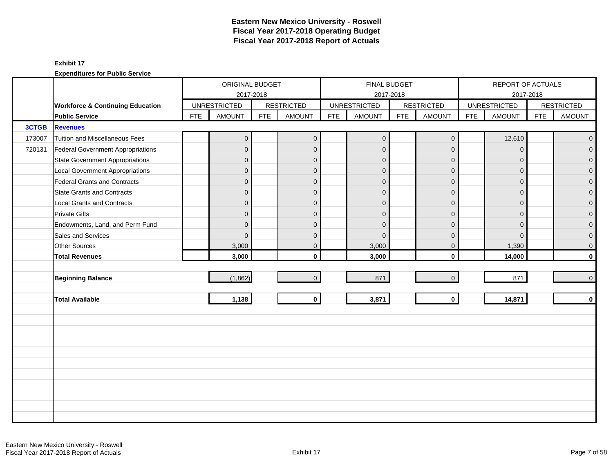|        |                                             |            | ORIGINAL BUDGET     |            |                   |            |                     | FINAL BUDGET |                   |            | REPORT OF ACTUALS   |            |                   |
|--------|---------------------------------------------|------------|---------------------|------------|-------------------|------------|---------------------|--------------|-------------------|------------|---------------------|------------|-------------------|
|        |                                             |            | 2017-2018           |            |                   |            |                     | 2017-2018    |                   |            | 2017-2018           |            |                   |
|        | <b>Workforce &amp; Continuing Education</b> |            | <b>UNRESTRICTED</b> |            | <b>RESTRICTED</b> |            | <b>UNRESTRICTED</b> |              | <b>RESTRICTED</b> |            | <b>UNRESTRICTED</b> |            | <b>RESTRICTED</b> |
|        | <b>Public Service</b>                       | <b>FTE</b> | <b>AMOUNT</b>       | <b>FTE</b> | <b>AMOUNT</b>     | <b>FTE</b> | <b>AMOUNT</b>       | <b>FTE</b>   | <b>AMOUNT</b>     | <b>FTE</b> | <b>AMOUNT</b>       | <b>FTE</b> | <b>AMOUNT</b>     |
| 3CTGB  | <b>Revenues</b>                             |            |                     |            |                   |            |                     |              |                   |            |                     |            |                   |
| 173007 | Tuition and Miscellaneous Fees              |            | $\mathsf{O}\xspace$ |            | $\mathbf 0$       |            | $\mathbf 0$         |              | $\mathbf 0$       |            | 12,610              |            | $\mathbf{0}$      |
| 720131 | Federal Government Appropriations           |            | $\overline{0}$      |            | $\mathbf{0}$      |            | $\overline{0}$      |              | $\overline{0}$    |            | $\mathbf{0}$        |            | $\overline{0}$    |
|        | <b>State Government Appropriations</b>      |            | $\overline{0}$      |            | $\mathbf{0}$      |            | $\Omega$            |              | $\mathbf{0}$      |            | $\mathbf{0}$        |            | $\overline{0}$    |
|        | <b>Local Government Appropriations</b>      |            | $\mathbf 0$         |            | $\mathbf 0$       |            | $\mathbf{0}$        |              | $\mathbf 0$       |            | $\overline{0}$      |            | 0                 |
|        | Federal Grants and Contracts                |            | $\overline{0}$      |            | $\mathbf{0}$      |            | $\Omega$            |              | $\mathbf{0}$      |            | $\Omega$            |            | $\overline{0}$    |
|        | <b>State Grants and Contracts</b>           |            | $\overline{0}$      |            | $\mathbf{0}$      |            | $\Omega$            |              | $\mathbf{0}$      |            | $\Omega$            |            | $\Omega$          |
|        | <b>Local Grants and Contracts</b>           |            | $\overline{0}$      |            | $\mathbf{0}$      |            | $\Omega$            |              | $\mathbf{0}$      |            | $\Omega$            |            | 0                 |
|        | <b>Private Gifts</b>                        |            | $\overline{0}$      |            | $\Omega$          |            | $\Omega$            |              | $\mathbf{0}$      |            | $\Omega$            |            | $\overline{0}$    |
|        | Endowments, Land, and Perm Fund             |            | $\overline{0}$      |            | $\Omega$          |            | $\Omega$            |              | $\Omega$          |            | $\Omega$            |            | $\overline{0}$    |
|        | Sales and Services                          |            | $\mathbf{0}$        |            | $\mathbf{0}$      |            | $\Omega$            |              | $\mathbf 0$       |            | $\mathbf{0}$        |            | 0                 |
|        | Other Sources                               |            | 3,000               |            | $\mathbf 0$       |            | 3,000               |              | $\mathbf 0$       |            | 1,390               |            | 0                 |
|        | <b>Total Revenues</b>                       |            | 3,000               |            | $\mathbf{0}$      |            | 3,000               |              | $\mathbf 0$       |            | 14,000              |            | $\mathbf{0}$      |
|        |                                             |            |                     |            |                   |            |                     |              |                   |            |                     |            |                   |
|        | <b>Beginning Balance</b>                    |            | (1,862)             |            | $\mathbf{0}$      |            | 871                 |              | $\mathbf{0}$      |            | 871                 |            | $\mathbf{0}$      |
|        |                                             |            |                     |            |                   |            |                     |              |                   |            |                     |            |                   |
|        | <b>Total Available</b>                      |            | 1,138               |            | $\mathbf 0$       |            | 3,871               |              | $\mathbf{0}$      |            | 14,871              |            | $\mathbf 0$       |
|        |                                             |            |                     |            |                   |            |                     |              |                   |            |                     |            |                   |
|        |                                             |            |                     |            |                   |            |                     |              |                   |            |                     |            |                   |
|        |                                             |            |                     |            |                   |            |                     |              |                   |            |                     |            |                   |
|        |                                             |            |                     |            |                   |            |                     |              |                   |            |                     |            |                   |
|        |                                             |            |                     |            |                   |            |                     |              |                   |            |                     |            |                   |
|        |                                             |            |                     |            |                   |            |                     |              |                   |            |                     |            |                   |
|        |                                             |            |                     |            |                   |            |                     |              |                   |            |                     |            |                   |
|        |                                             |            |                     |            |                   |            |                     |              |                   |            |                     |            |                   |
|        |                                             |            |                     |            |                   |            |                     |              |                   |            |                     |            |                   |
|        |                                             |            |                     |            |                   |            |                     |              |                   |            |                     |            |                   |
|        |                                             |            |                     |            |                   |            |                     |              |                   |            |                     |            |                   |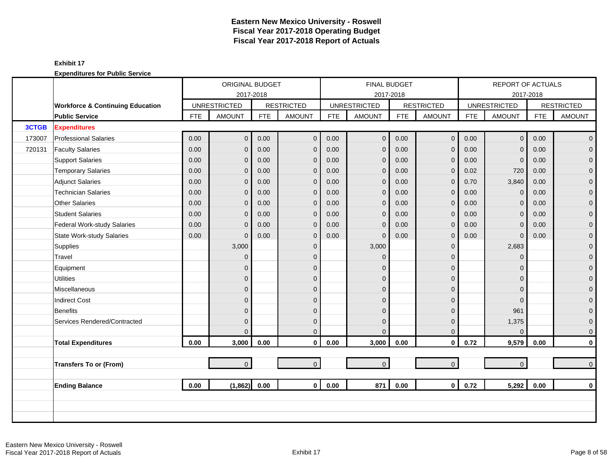|        |                                             |            | ORIGINAL BUDGET     |            |                   |            | <b>FINAL BUDGET</b> |            |                   |            | REPORT OF ACTUALS   |            |                     |
|--------|---------------------------------------------|------------|---------------------|------------|-------------------|------------|---------------------|------------|-------------------|------------|---------------------|------------|---------------------|
|        |                                             |            | 2017-2018           |            |                   |            |                     | 2017-2018  |                   |            |                     | 2017-2018  |                     |
|        | <b>Workforce &amp; Continuing Education</b> |            | <b>UNRESTRICTED</b> |            | <b>RESTRICTED</b> |            | <b>UNRESTRICTED</b> |            | <b>RESTRICTED</b> |            | <b>UNRESTRICTED</b> |            | <b>RESTRICTED</b>   |
|        | <b>Public Service</b>                       | <b>FTE</b> | <b>AMOUNT</b>       | <b>FTE</b> | <b>AMOUNT</b>     | <b>FTE</b> | <b>AMOUNT</b>       | <b>FTE</b> | <b>AMOUNT</b>     | <b>FTE</b> | <b>AMOUNT</b>       | <b>FTE</b> | <b>AMOUNT</b>       |
| 3CTGB  | <b>Expenditures</b>                         |            |                     |            |                   |            |                     |            |                   |            |                     |            |                     |
| 173007 | <b>Professional Salaries</b>                | 0.00       | $\overline{0}$      | 0.00       | $\mathbf{0}$      | 0.00       | $\mathbf{0}$        | 0.00       | $\mathbf{0}$      | 0.00       | $\overline{0}$      | 0.00       | $\overline{0}$      |
| 720131 | <b>Faculty Salaries</b>                     | 0.00       | $\overline{0}$      | 0.00       | $\mathbf{0}$      | 0.00       | $\mathbf{0}$        | 0.00       | $\mathbf 0$       | 0.00       | $\Omega$            | 0.00       | $\mathbf{0}$        |
|        | <b>Support Salaries</b>                     | 0.00       | $\mathbf 0$         | 0.00       | $\mathbf 0$       | 0.00       | $\mathbf{0}$        | 0.00       | $\mathbf 0$       | 0.00       | $\Omega$            | 0.00       | $\mathbf 0$         |
|        | <b>Temporary Salaries</b>                   | 0.00       | $\mathbf{0}$        | 0.00       | $\mathbf{0}$      | 0.00       | $\mathbf{0}$        | 0.00       | $\mathbf 0$       | 0.02       | 720                 | 0.00       | $\pmb{0}$           |
|        | <b>Adjunct Salaries</b>                     | 0.00       | $\mathbf{0}$        | 0.00       | $\mathbf{0}$      | 0.00       | $\mathbf 0$         | 0.00       | $\mathbf 0$       | 0.70       | 3,840               | 0.00       | $\mathbf 0$         |
|        | <b>Technician Salaries</b>                  | 0.00       | $\mathbf{0}$        | 0.00       | $\mathbf{0}$      | 0.00       | $\mathbf{0}$        | 0.00       | $\mathbf{0}$      | 0.00       | $\Omega$            | 0.00       | $\overline{0}$      |
|        | Other Salaries                              | 0.00       | $\mathbf{0}$        | 0.00       | $\mathbf{0}$      | 0.00       | $\mathbf{0}$        | 0.00       | $\mathbf{0}$      | 0.00       | $\Omega$            | 0.00       | $\pmb{0}$           |
|        | <b>Student Salaries</b>                     | 0.00       | $\overline{0}$      | 0.00       | $\mathbf{0}$      | 0.00       | $\mathbf{0}$        | 0.00       | $\mathbf 0$       | 0.00       | $\Omega$            | 0.00       | $\mathbf 0$         |
|        | Federal Work-study Salaries                 | 0.00       | $\mathbf{0}$        | 0.00       | $\mathbf 0$       | 0.00       | $\mathbf 0$         | 0.00       | $\mathbf 0$       | 0.00       | $\mathbf 0$         | 0.00       | $\mathbf{0}$        |
|        | <b>State Work-study Salaries</b>            | 0.00       | $\mathbf{0}$        | 0.00       | $\mathbf{0}$      | 0.00       | $\mathbf{0}$        | 0.00       | $\mathbf 0$       | 0.00       | $\mathbf 0$         | 0.00       | $\pmb{0}$           |
|        | Supplies                                    |            | 3,000               |            | $\mathbf{0}$      |            | 3,000               |            | $\mathbf 0$       |            | 2,683               |            | $\mathbf 0$         |
|        | Travel                                      |            | $\Omega$            |            | $\Omega$          |            | $\Omega$            |            | $\mathbf{0}$      |            | $\Omega$            |            | $\overline{0}$      |
|        | Equipment                                   |            | $\overline{0}$      |            | $\Omega$          |            | $\Omega$            |            | $\mathbf 0$       |            | $\Omega$            |            | $\boldsymbol{0}$    |
|        | <b>Utilities</b>                            |            | $\overline{0}$      |            | $\overline{0}$    |            | $\mathbf{0}$        |            | $\mathbf 0$       |            | $\Omega$            |            | $\overline{0}$      |
|        | Miscellaneous                               |            | $\overline{0}$      |            | $\mathbf{0}$      |            | $\Omega$            |            | $\mathbf 0$       |            | $\Omega$            |            | $\mathsf{O}\xspace$ |
|        | <b>Indirect Cost</b>                        |            | $\mathbf{0}$        |            | $\mathbf{0}$      |            | $\Omega$            |            | $\mathbf 0$       |            | $\Omega$            |            | $\boldsymbol{0}$    |
|        | Benefits                                    |            | $\overline{0}$      |            | $\Omega$          |            | $\Omega$            |            | $\mathbf{0}$      |            | 961                 |            | $\overline{0}$      |
|        | Services Rendered/Contracted                |            | $\overline{0}$      |            | $\mathbf{0}$      |            | $\mathbf{0}$        |            | $\mathbf 0$       |            | 1,375               |            | $\mathbf 0$         |
|        |                                             |            | $\Omega$            |            | $\Omega$          |            | $\Omega$            |            | $\mathbf{0}$      |            | $\Omega$            |            | $\mathbf{0}$        |
|        | <b>Total Expenditures</b>                   | 0.00       | 3,000               | 0.00       | $\mathbf 0$       | 0.00       | 3,000               | 0.00       | $\mathbf 0$       | 0.72       | 9,579               | 0.00       | $\mathbf 0$         |
|        |                                             |            |                     |            |                   |            |                     |            |                   |            |                     |            |                     |
|        | <b>Transfers To or (From)</b>               |            | $\overline{0}$      |            | $\Omega$          |            | $\mathbf 0$         |            | $\overline{0}$    |            | $\overline{0}$      |            | $\mathbf 0$         |
|        |                                             |            |                     |            |                   |            |                     |            |                   |            |                     |            |                     |
|        | <b>Ending Balance</b>                       | 0.00       | (1,862)             | 0.00       | $\mathbf{0}$      | 0.00       | 871                 | 0.00       | $\mathbf{0}$      | 0.72       | 5,292               | 0.00       | $\bf{0}$            |
|        |                                             |            |                     |            |                   |            |                     |            |                   |            |                     |            |                     |
|        |                                             |            |                     |            |                   |            |                     |            |                   |            |                     |            |                     |
|        |                                             |            |                     |            |                   |            |                     |            |                   |            |                     |            |                     |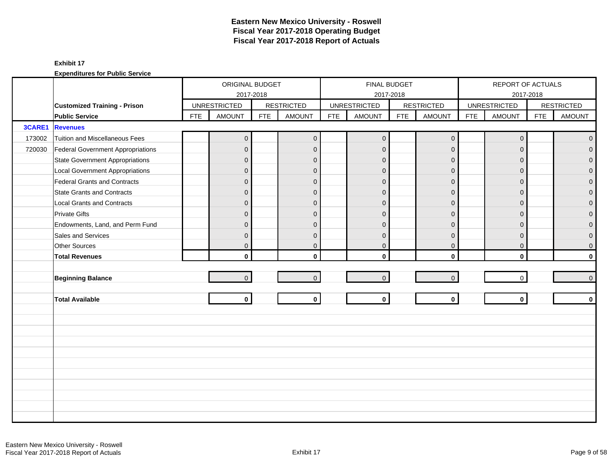|        |                                          |            | ORIGINAL BUDGET     |            |                   |            | <b>FINAL BUDGET</b> |            |                   |            | REPORT OF ACTUALS   |            |                     |
|--------|------------------------------------------|------------|---------------------|------------|-------------------|------------|---------------------|------------|-------------------|------------|---------------------|------------|---------------------|
|        |                                          |            | 2017-2018           |            |                   |            |                     | 2017-2018  |                   |            |                     | 2017-2018  |                     |
|        | <b>Customized Training - Prison</b>      |            | <b>UNRESTRICTED</b> |            | <b>RESTRICTED</b> |            | <b>UNRESTRICTED</b> |            | <b>RESTRICTED</b> |            | <b>UNRESTRICTED</b> |            | <b>RESTRICTED</b>   |
|        | <b>Public Service</b>                    | <b>FTE</b> | <b>AMOUNT</b>       | <b>FTE</b> | <b>AMOUNT</b>     | <b>FTE</b> | <b>AMOUNT</b>       | <b>FTE</b> | <b>AMOUNT</b>     | <b>FTE</b> | <b>AMOUNT</b>       | <b>FTE</b> | <b>AMOUNT</b>       |
| 3CARE1 | <b>Revenues</b>                          |            |                     |            |                   |            |                     |            |                   |            |                     |            |                     |
| 173002 | Tuition and Miscellaneous Fees           |            | $\mathbf 0$         |            | $\mathbf 0$       |            | $\mathbf{0}$        |            | $\mathbf 0$       |            | $\mathbf 0$         |            | $\mathbf{0}$        |
| 720030 | <b>Federal Government Appropriations</b> |            | $\overline{0}$      |            | $\mathbf{0}$      |            | $\mathbf{0}$        |            | $\mathbf 0$       |            | $\Omega$            |            | $\mathbf 0$         |
|        | <b>State Government Appropriations</b>   |            | $\overline{0}$      |            | $\mathbf{0}$      |            | $\mathbf{0}$        |            | $\mathbf 0$       |            | $\Omega$            |            | $\mathbf 0$         |
|        | <b>Local Government Appropriations</b>   |            | $\overline{0}$      |            | $\mathbf{0}$      |            | $\Omega$            |            | $\mathbf 0$       |            | $\Omega$            |            | $\mathbf 0$         |
|        | Federal Grants and Contracts             |            | $\mathbf 0$         |            | $\Omega$          |            | $\mathbf{0}$        |            | $\mathbf 0$       |            | $\Omega$            |            | $\mathbf 0$         |
|        | <b>State Grants and Contracts</b>        |            | $\overline{0}$      |            | $\Omega$          |            | $\mathbf{0}$        |            | $\mathbf{0}$      |            | $\Omega$            |            | $\mathsf{O}\xspace$ |
|        | <b>Local Grants and Contracts</b>        |            | $\mathbf{0}$        |            | $\mathbf{0}$      |            | $\Omega$            |            | $\mathbf 0$       |            | $\mathbf 0$         |            | $\pmb{0}$           |
|        | <b>Private Gifts</b>                     |            | $\overline{0}$      |            | $\Omega$          |            | $\Omega$            |            | $\mathbf 0$       |            | $\Omega$            |            | $\mathbf 0$         |
|        | Endowments, Land, and Perm Fund          |            | $\overline{0}$      |            | $\Omega$          |            | $\Omega$            |            | $\mathbf{0}$      |            | $\Omega$            |            | $\mathsf{O}\xspace$ |
|        | Sales and Services                       |            | $\mathbf{0}$        |            | $\mathbf{0}$      |            | $\mathbf{0}$        |            | $\mathbf 0$       |            | $\mathbf 0$         |            | $\mathbf 0$         |
|        | Other Sources                            |            | $\overline{0}$      |            | $\mathbf{0}$      |            | $\mathbf 0$         |            | $\mathbf 0$       |            | $\mathbf 0$         |            | $\mathbf 0$         |
|        | <b>Total Revenues</b>                    |            | $\mathbf{0}$        |            | $\mathbf{0}$      |            | $\mathbf{0}$        |            | $\mathbf 0$       |            | $\mathbf{0}$        |            | $\mathbf 0$         |
|        |                                          |            |                     |            |                   |            |                     |            |                   |            |                     |            |                     |
|        | <b>Beginning Balance</b>                 |            | $\overline{0}$      |            | $\Omega$          |            | $\overline{0}$      |            | $\mathbf 0$       |            | $\mathbf 0$         |            | $\overline{0}$      |
|        |                                          |            |                     |            |                   |            |                     |            |                   |            |                     |            |                     |
|        | <b>Total Available</b>                   |            | $\mathbf{0}$        |            | $\mathbf 0$       |            | $\mathbf 0$         |            | $\mathbf 0$       |            | $\mathbf{0}$        |            | $\mathbf 0$         |
|        |                                          |            |                     |            |                   |            |                     |            |                   |            |                     |            |                     |
|        |                                          |            |                     |            |                   |            |                     |            |                   |            |                     |            |                     |
|        |                                          |            |                     |            |                   |            |                     |            |                   |            |                     |            |                     |
|        |                                          |            |                     |            |                   |            |                     |            |                   |            |                     |            |                     |
|        |                                          |            |                     |            |                   |            |                     |            |                   |            |                     |            |                     |
|        |                                          |            |                     |            |                   |            |                     |            |                   |            |                     |            |                     |
|        |                                          |            |                     |            |                   |            |                     |            |                   |            |                     |            |                     |
|        |                                          |            |                     |            |                   |            |                     |            |                   |            |                     |            |                     |
|        |                                          |            |                     |            |                   |            |                     |            |                   |            |                     |            |                     |
|        |                                          |            |                     |            |                   |            |                     |            |                   |            |                     |            |                     |
|        |                                          |            |                     |            |                   |            |                     |            |                   |            |                     |            |                     |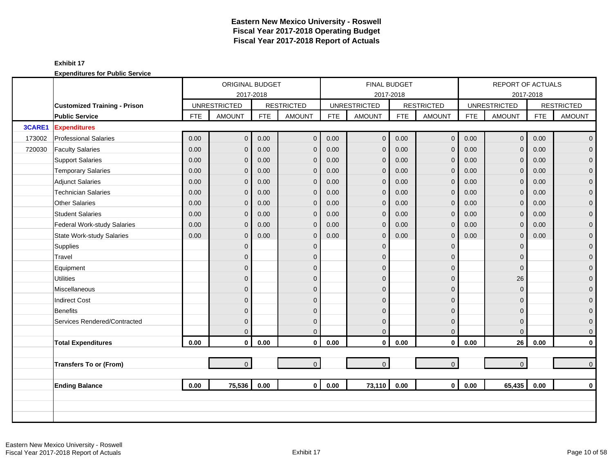|        |                                     | ORIGINAL BUDGET<br>2017-2018<br><b>UNRESTRICTED</b><br><b>AMOUNT</b><br><b>FTE</b><br><b>FTE</b><br>0.00<br>$\overline{0}$<br>0.00<br>0.00<br>0.00<br>$\overline{0}$<br>0.00<br>0.00<br>$\mathbf{0}$<br>0.00<br>0.00<br>$\overline{0}$<br>0.00<br>0.00<br>$\mathbf{0}$<br>0.00<br>0.00<br>$\overline{0}$<br>0.00<br>0.00<br>$\overline{0}$<br>0.00<br>$\overline{0}$<br>0.00<br>0.00<br>0.00<br>$\mathbf{0}$<br>0.00<br>0.00<br>$\overline{0}$<br>$\overline{0}$ |                |      |                   | <b>FINAL BUDGET</b> |                     |            |                   | REPORT OF ACTUALS |                     |            |                   |
|--------|-------------------------------------|------------------------------------------------------------------------------------------------------------------------------------------------------------------------------------------------------------------------------------------------------------------------------------------------------------------------------------------------------------------------------------------------------------------------------------------------------------------|----------------|------|-------------------|---------------------|---------------------|------------|-------------------|-------------------|---------------------|------------|-------------------|
|        |                                     |                                                                                                                                                                                                                                                                                                                                                                                                                                                                  |                |      |                   |                     | 2017-2018           |            |                   |                   |                     | 2017-2018  |                   |
|        | <b>Customized Training - Prison</b> |                                                                                                                                                                                                                                                                                                                                                                                                                                                                  |                |      | <b>RESTRICTED</b> |                     | <b>UNRESTRICTED</b> |            | <b>RESTRICTED</b> |                   | <b>UNRESTRICTED</b> |            | <b>RESTRICTED</b> |
|        | <b>Public Service</b>               |                                                                                                                                                                                                                                                                                                                                                                                                                                                                  |                |      | <b>AMOUNT</b>     | <b>FTE</b>          | <b>AMOUNT</b>       | <b>FTE</b> | <b>AMOUNT</b>     | <b>FTE</b>        | <b>AMOUNT</b>       | <b>FTE</b> | <b>AMOUNT</b>     |
| 3CARE1 | <b>Expenditures</b>                 |                                                                                                                                                                                                                                                                                                                                                                                                                                                                  |                |      |                   |                     |                     |            |                   |                   |                     |            |                   |
| 173002 | <b>Professional Salaries</b>        |                                                                                                                                                                                                                                                                                                                                                                                                                                                                  |                |      | $\mathbf{0}$      | 0.00                | $\overline{0}$      | 0.00       | $\mathbf{O}$      | 0.00              | $\overline{0}$      | 0.00       | $\overline{0}$    |
| 720030 | <b>Faculty Salaries</b>             |                                                                                                                                                                                                                                                                                                                                                                                                                                                                  |                |      | $\mathbf 0$       | 0.00                | $\overline{0}$      | 0.00       | $\overline{0}$    | 0.00              | $\mathbf{0}$        | 0.00       | $\overline{0}$    |
|        | <b>Support Salaries</b>             |                                                                                                                                                                                                                                                                                                                                                                                                                                                                  |                |      | $\mathbf 0$       | 0.00                | $\mathbf{0}$        | 0.00       | $\mathbf{0}$      | 0.00              | $\mathbf 0$         | 0.00       | $\overline{0}$    |
|        | <b>Temporary Salaries</b>           |                                                                                                                                                                                                                                                                                                                                                                                                                                                                  |                |      | $\mathbf 0$       | 0.00                | $\mathbf{0}$        | 0.00       | $\mathbf 0$       | 0.00              | $\mathbf{0}$        | 0.00       | 0                 |
|        | <b>Adjunct Salaries</b>             |                                                                                                                                                                                                                                                                                                                                                                                                                                                                  |                |      | $\mathbf 0$       | 0.00                | $\mathbf 0$         | 0.00       | $\mathbf 0$       | 0.00              | $\overline{0}$      | 0.00       | $\mathbf 0$       |
|        | <b>Technician Salaries</b>          |                                                                                                                                                                                                                                                                                                                                                                                                                                                                  |                |      | $\mathbf{0}$      | 0.00                | $\mathbf{0}$        | 0.00       | $\mathbf{0}$      | 0.00              | $\mathbf{0}$        | 0.00       | $\mathbf{0}$      |
|        | Other Salaries                      |                                                                                                                                                                                                                                                                                                                                                                                                                                                                  |                |      | $\mathbf{0}$      | 0.00                | $\mathbf{0}$        | 0.00       | $\mathbf{0}$      | 0.00              | $\mathbf{0}$        | 0.00       | $\mathbf 0$       |
|        | <b>Student Salaries</b>             |                                                                                                                                                                                                                                                                                                                                                                                                                                                                  |                |      | $\mathbf{0}$      | 0.00                | $\mathbf{0}$        | 0.00       | $\mathbf{0}$      | 0.00              | $\mathbf{0}$        | 0.00       | $\overline{0}$    |
|        | Federal Work-study Salaries         |                                                                                                                                                                                                                                                                                                                                                                                                                                                                  |                |      | $\mathbf 0$       | 0.00                | $\mathbf 0$         | 0.00       | $\mathbf{0}$      | 0.00              | $\overline{0}$      | 0.00       | $\mathbf 0$       |
|        | <b>State Work-study Salaries</b>    |                                                                                                                                                                                                                                                                                                                                                                                                                                                                  |                |      | $\mathbf 0$       | 0.00                | $\mathbf{0}$        | 0.00       | $\mathbf 0$       | 0.00              | $\mathbf 0$         | 0.00       | 0                 |
|        | Supplies                            |                                                                                                                                                                                                                                                                                                                                                                                                                                                                  |                |      | $\mathbf 0$       |                     | $\mathbf{0}$        |            | $\mathbf 0$       |                   | $\overline{0}$      |            | 0                 |
|        | Travel                              |                                                                                                                                                                                                                                                                                                                                                                                                                                                                  | $\overline{0}$ |      | $\Omega$          |                     | $\Omega$            |            | $\Omega$          |                   | $\Omega$            |            | $\overline{0}$    |
|        | Equipment                           |                                                                                                                                                                                                                                                                                                                                                                                                                                                                  | $\overline{0}$ |      | $\mathbf{0}$      |                     | $\Omega$            |            | $\mathbf{0}$      |                   | $\Omega$            |            | $\mathbf 0$       |
|        | <b>Utilities</b>                    |                                                                                                                                                                                                                                                                                                                                                                                                                                                                  | $\mathbf 0$    |      | $\mathbf{0}$      |                     | $\overline{0}$      |            | $\mathbf{0}$      |                   | 26                  |            | $\mathbf 0$       |
|        | Miscellaneous                       |                                                                                                                                                                                                                                                                                                                                                                                                                                                                  | $\overline{0}$ |      | $\mathbf{0}$      |                     | $\Omega$            |            | $\mathbf{0}$      |                   | $\mathbf{0}$        |            | 0                 |
|        | <b>Indirect Cost</b>                |                                                                                                                                                                                                                                                                                                                                                                                                                                                                  | $\mathbf 0$    |      | $\mathbf{0}$      |                     | $\mathbf{0}$        |            | $\mathbf{0}$      |                   | $\Omega$            |            | $\mathbf 0$       |
|        | Benefits                            |                                                                                                                                                                                                                                                                                                                                                                                                                                                                  | $\overline{0}$ |      | $\Omega$          |                     | $\Omega$            |            | $\mathbf{0}$      |                   | $\Omega$            |            | $\overline{0}$    |
|        | Services Rendered/Contracted        |                                                                                                                                                                                                                                                                                                                                                                                                                                                                  | $\overline{0}$ |      | $\mathbf{0}$      |                     | $\overline{0}$      |            | $\mathbf{0}$      |                   | $\mathbf 0$         |            | $\mathbf 0$       |
|        |                                     |                                                                                                                                                                                                                                                                                                                                                                                                                                                                  | $\overline{0}$ |      | $\Omega$          |                     | $\Omega$            |            | $\mathbf{0}$      |                   | $\Omega$            |            | $\mathbf 0$       |
|        | <b>Total Expenditures</b>           | 0.00                                                                                                                                                                                                                                                                                                                                                                                                                                                             | $\mathbf 0$    | 0.00 | $\mathbf 0$       | 0.00                | $\mathbf 0$         | 0.00       | $\pmb{0}$         | 0.00              | 26                  | 0.00       | 0                 |
|        |                                     |                                                                                                                                                                                                                                                                                                                                                                                                                                                                  |                |      |                   |                     |                     |            |                   |                   |                     |            |                   |
|        | Transfers To or (From)              |                                                                                                                                                                                                                                                                                                                                                                                                                                                                  | $\overline{0}$ |      | $\Omega$          |                     | $\mathbf 0$         |            | $\mathbf{0}$      |                   | $\overline{0}$      |            | $\mathbf{0}$      |
|        |                                     |                                                                                                                                                                                                                                                                                                                                                                                                                                                                  |                |      |                   |                     |                     |            |                   |                   |                     |            |                   |
|        | <b>Ending Balance</b>               | 0.00                                                                                                                                                                                                                                                                                                                                                                                                                                                             | 75,536         | 0.00 | $\mathbf{0}$      | 0.00                | 73,110              | 0.00       | $\mathbf{0}$      | 0.00              | 65,435              | 0.00       | $\mathbf{0}$      |
|        |                                     |                                                                                                                                                                                                                                                                                                                                                                                                                                                                  |                |      |                   |                     |                     |            |                   |                   |                     |            |                   |
|        |                                     |                                                                                                                                                                                                                                                                                                                                                                                                                                                                  |                |      |                   |                     |                     |            |                   |                   |                     |            |                   |
|        |                                     |                                                                                                                                                                                                                                                                                                                                                                                                                                                                  |                |      |                   |                     |                     |            |                   |                   |                     |            |                   |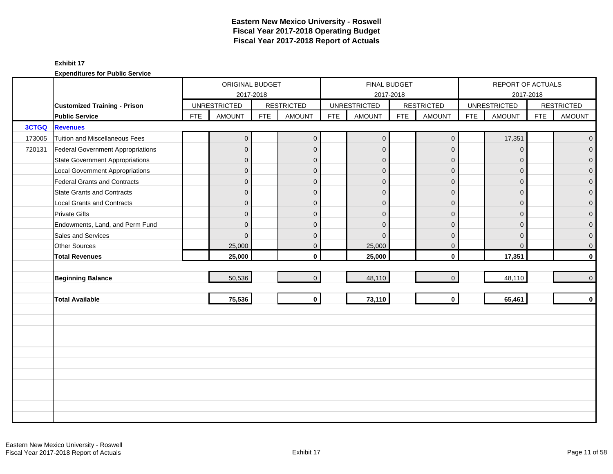|              |                                          |            | ORIGINAL BUDGET     |            |                   |            |                     | FINAL BUDGET |                   |            | REPORT OF ACTUALS   |            |                   |
|--------------|------------------------------------------|------------|---------------------|------------|-------------------|------------|---------------------|--------------|-------------------|------------|---------------------|------------|-------------------|
|              |                                          |            | 2017-2018           |            |                   |            |                     | 2017-2018    |                   |            | 2017-2018           |            |                   |
|              | <b>Customized Training - Prison</b>      |            | <b>UNRESTRICTED</b> |            | <b>RESTRICTED</b> |            | <b>UNRESTRICTED</b> |              | <b>RESTRICTED</b> |            | <b>UNRESTRICTED</b> |            | <b>RESTRICTED</b> |
|              | <b>Public Service</b>                    | <b>FTE</b> | <b>AMOUNT</b>       | <b>FTE</b> | <b>AMOUNT</b>     | <b>FTE</b> | <b>AMOUNT</b>       | <b>FTE</b>   | <b>AMOUNT</b>     | <b>FTE</b> | <b>AMOUNT</b>       | <b>FTE</b> | <b>AMOUNT</b>     |
| <b>3CTGQ</b> | <b>Revenues</b>                          |            |                     |            |                   |            |                     |              |                   |            |                     |            |                   |
| 173005       | Tuition and Miscellaneous Fees           |            | $\mathbf{0}$        |            | $\mathbf{0}$      |            | $\mathbf 0$         |              | $\mathbf 0$       |            | 17,351              |            | $\overline{0}$    |
| 720131       | <b>Federal Government Appropriations</b> |            | $\mathbf{0}$        |            | $\mathbf 0$       |            | $\mathbf 0$         |              | $\mathbf{0}$      |            | $\mathbf 0$         |            | $\overline{0}$    |
|              | <b>State Government Appropriations</b>   |            | $\overline{0}$      |            | $\mathbf{0}$      |            | $\Omega$            |              | $\mathbf{0}$      |            | $\Omega$            |            | $\overline{0}$    |
|              | <b>Local Government Appropriations</b>   |            | $\overline{0}$      |            | $\mathbf{0}$      |            | $\mathbf{0}$        |              | $\mathbf{0}$      |            | $\mathbf{0}$        |            | 0                 |
|              | Federal Grants and Contracts             |            | $\overline{0}$      |            | $\mathbf{0}$      |            | $\mathbf{0}$        |              | $\mathbf{0}$      |            | $\Omega$            |            | $\overline{0}$    |
|              | <b>State Grants and Contracts</b>        |            | $\overline{0}$      |            | $\Omega$          |            | $\Omega$            |              | $\Omega$          |            | $\Omega$            |            | $\Omega$          |
|              | <b>Local Grants and Contracts</b>        |            | $\overline{0}$      |            | $\mathbf{0}$      |            | $\Omega$            |              | $\mathbf{0}$      |            | $\Omega$            |            | $\mathbf 0$       |
|              | <b>Private Gifts</b>                     |            | $\overline{0}$      |            | $\mathbf{0}$      |            | $\mathbf{0}$        |              | $\overline{0}$    |            | $\Omega$            |            | $\overline{0}$    |
|              | Endowments, Land, and Perm Fund          |            | $\overline{0}$      |            | $\mathbf{0}$      |            | $\Omega$            |              | $\mathbf{0}$      |            | $\mathbf{0}$        |            | $\overline{0}$    |
|              | Sales and Services                       |            | $\Omega$            |            | $\mathbf{0}$      |            | $\Omega$            |              | $\mathbf{0}$      |            | $\Omega$            |            | $\mathbf 0$       |
|              | Other Sources                            |            | 25,000              |            | $\mathbf 0$       |            | 25,000              |              | $\mathbf 0$       |            | $\mathbf{0}$        |            | $\mathbf 0$       |
|              | <b>Total Revenues</b>                    |            | 25,000              |            | $\mathbf{0}$      |            | 25,000              |              | $\mathbf 0$       |            | 17,351              |            | $\mathbf 0$       |
|              |                                          |            |                     |            |                   |            |                     |              |                   |            |                     |            |                   |
|              | <b>Beginning Balance</b>                 |            | 50,536              |            | $\overline{0}$    |            | 48,110              |              | $\mathbf{0}$      |            | 48,110              |            | $\mathbf 0$       |
|              |                                          |            |                     |            |                   |            |                     |              |                   |            |                     |            |                   |
|              | <b>Total Available</b>                   |            | 75,536              |            | $\mathbf{0}$      |            | 73,110              |              | $\mathbf 0$       |            | 65,461              |            | $\mathbf 0$       |
|              |                                          |            |                     |            |                   |            |                     |              |                   |            |                     |            |                   |
|              |                                          |            |                     |            |                   |            |                     |              |                   |            |                     |            |                   |
|              |                                          |            |                     |            |                   |            |                     |              |                   |            |                     |            |                   |
|              |                                          |            |                     |            |                   |            |                     |              |                   |            |                     |            |                   |
|              |                                          |            |                     |            |                   |            |                     |              |                   |            |                     |            |                   |
|              |                                          |            |                     |            |                   |            |                     |              |                   |            |                     |            |                   |
|              |                                          |            |                     |            |                   |            |                     |              |                   |            |                     |            |                   |
|              |                                          |            |                     |            |                   |            |                     |              |                   |            |                     |            |                   |
|              |                                          |            |                     |            |                   |            |                     |              |                   |            |                     |            |                   |
|              |                                          |            |                     |            |                   |            |                     |              |                   |            |                     |            |                   |
|              |                                          |            |                     |            |                   |            |                     |              |                   |            |                     |            |                   |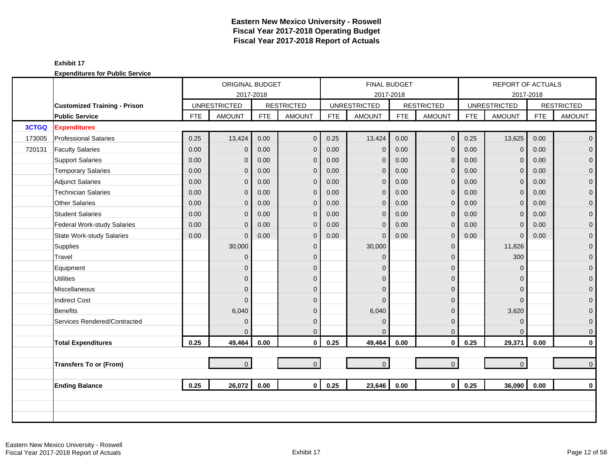|        |                                                              |            | <b>ORIGINAL BUDGET</b>               |            |                   |            | <b>FINAL BUDGET</b>                  |            |                   |            | <b>REPORT OF ACTUALS</b> |            |                   |
|--------|--------------------------------------------------------------|------------|--------------------------------------|------------|-------------------|------------|--------------------------------------|------------|-------------------|------------|--------------------------|------------|-------------------|
|        |                                                              |            | 2017-2018                            |            | <b>RESTRICTED</b> |            | 2017-2018                            |            | <b>RESTRICTED</b> |            | <b>UNRESTRICTED</b>      | 2017-2018  | <b>RESTRICTED</b> |
|        | <b>Customized Training - Prison</b><br><b>Public Service</b> | <b>FTE</b> | <b>UNRESTRICTED</b><br><b>AMOUNT</b> | <b>FTE</b> | <b>AMOUNT</b>     | <b>FTE</b> | <b>UNRESTRICTED</b><br><b>AMOUNT</b> | <b>FTE</b> | <b>AMOUNT</b>     | <b>FTE</b> | <b>AMOUNT</b>            | <b>FTE</b> | <b>AMOUNT</b>     |
| 3CTGQ  | <b>Expenditures</b>                                          |            |                                      |            |                   |            |                                      |            |                   |            |                          |            |                   |
| 173005 | <b>Professional Salaries</b>                                 | 0.25       | 13,424                               | 0.00       | $\mathbf{0}$      | 0.25       | 13,424                               | 0.00       | $\mathbf 0$       | 0.25       | 13,625                   | 0.00       | $\mathbf 0$       |
|        |                                                              | 0.00       |                                      |            |                   |            |                                      | 0.00       |                   |            |                          | 0.00       |                   |
| 720131 | <b>Faculty Salaries</b>                                      |            | $\overline{0}$                       | 0.00       | $\mathbf 0$       | 0.00       | $\mathbf 0$                          |            | $\overline{0}$    | 0.00       | $\mathbf 0$              |            | $\overline{0}$    |
|        | <b>Support Salaries</b>                                      | 0.00       | $\mathbf{0}$                         | 0.00       | $\mathbf 0$       | 0.00       | $\mathbf 0$                          | 0.00       | $\mathbf{0}$      | 0.00       | $\mathbf 0$              | 0.00       | $\mathbf 0$       |
|        | <b>Temporary Salaries</b>                                    | 0.00       | $\overline{0}$                       | 0.00       | $\mathbf 0$       | 0.00       | $\mathbf{0}$                         | 0.00       | $\mathbf 0$       | 0.00       | $\mathbf{0}$             | 0.00       | 0                 |
|        | <b>Adjunct Salaries</b>                                      | 0.00       | $\overline{0}$                       | 0.00       | $\mathbf 0$       | 0.00       | $\mathbf 0$                          | 0.00       | $\mathbf 0$       | 0.00       | $\mathbf{0}$             | 0.00       | $\mathbf 0$       |
|        | <b>Technician Salaries</b>                                   | 0.00       | $\Omega$                             | 0.00       | $\mathbf{0}$      | 0.00       | $\mathbf{0}$                         | 0.00       | $\mathbf{0}$      | 0.00       | $\overline{0}$           | 0.00       | $\mathbf{0}$      |
|        | Other Salaries                                               | 0.00       | $\Omega$                             | 0.00       | $\mathbf{0}$      | 0.00       | $\mathbf{0}$                         | 0.00       | $\mathbf{0}$      | 0.00       | $\mathbf{0}$             | 0.00       | $\mathbf 0$       |
|        | <b>Student Salaries</b>                                      | 0.00       | $\overline{0}$                       | 0.00       | $\overline{0}$    | 0.00       | $\overline{0}$                       | 0.00       | $\mathbf{0}$      | 0.00       | $\Omega$                 | 0.00       | $\overline{0}$    |
|        | Federal Work-study Salaries                                  | 0.00       | $\overline{0}$                       | 0.00       | $\mathbf 0$       | 0.00       | $\mathbf{0}$                         | 0.00       | $\mathbf{0}$      | 0.00       | $\overline{0}$           | 0.00       | $\mathbf 0$       |
|        | State Work-study Salaries                                    | 0.00       | $\Omega$                             | 0.00       | $\mathbf{0}$      | 0.00       | $\mathbf{0}$                         | 0.00       | $\mathbf{0}$      | 0.00       | $\overline{0}$           | 0.00       | $\mathbf 0$       |
|        | Supplies                                                     |            | 30,000                               |            | $\mathbf{0}$      |            | 30,000                               |            | $\mathbf{0}$      |            | 11,826                   |            | $\mathbf 0$       |
|        | Travel                                                       |            | $\overline{0}$                       |            | $\Omega$          |            | $\Omega$                             |            | $\mathbf{0}$      |            | 300                      |            | $\mathbf{0}$      |
|        | Equipment                                                    |            | $\overline{0}$                       |            | $\mathbf{0}$      |            | $\Omega$                             |            | $\mathbf 0$       |            | $\mathbf{0}$             |            | $\mathbf 0$       |
|        | <b>Utilities</b>                                             |            | $\mathbf 0$                          |            | $\mathbf{0}$      |            | $\overline{0}$                       |            | $\mathbf{0}$      |            | $\Omega$                 |            | $\mathbf 0$       |
|        | Miscellaneous                                                |            | $\overline{0}$                       |            | $\mathbf{0}$      |            | $\Omega$                             |            | $\mathbf{0}$      |            | $\Omega$                 |            | 0                 |
|        | <b>Indirect Cost</b>                                         |            | $\Omega$                             |            | $\mathbf{0}$      |            | $\Omega$                             |            | $\mathbf{0}$      |            | $\Omega$                 |            | $\mathbf 0$       |
|        | Benefits                                                     |            | 6,040                                |            | $\Omega$          |            | 6,040                                |            | $\mathbf{0}$      |            | 3,620                    |            | $\overline{0}$    |
|        | Services Rendered/Contracted                                 |            | $\overline{0}$                       |            | $\mathbf{0}$      |            | $\Omega$                             |            | $\mathbf{0}$      |            | $\mathbf 0$              |            | $\mathbf 0$       |
|        |                                                              |            | $\Omega$                             |            | $\Omega$          |            | $\Omega$                             |            | $\mathbf{0}$      |            | $\Omega$                 |            | $\mathbf 0$       |
|        | <b>Total Expenditures</b>                                    | 0.25       | 49,464                               | 0.00       | $\mathbf 0$       | 0.25       | 49,464                               | 0.00       | $\mathbf 0$       | 0.25       | 29,371                   | 0.00       | 0                 |
|        |                                                              |            |                                      |            |                   |            |                                      |            |                   |            |                          |            |                   |
|        | <b>Transfers To or (From)</b>                                |            | $\overline{0}$                       |            | $\mathbf{0}$      |            | $\mathbf 0$                          |            | $\mathbf{0}$      |            | $\overline{0}$           |            | $\overline{0}$    |
|        | <b>Ending Balance</b>                                        | 0.25       | 26,072                               | 0.00       | $\mathbf{0}$      | 0.25       | 23,646                               | 0.00       | $\mathbf 0$       | 0.25       | 36,090                   | 0.00       | $\mathbf{0}$      |
|        |                                                              |            |                                      |            |                   |            |                                      |            |                   |            |                          |            |                   |
|        |                                                              |            |                                      |            |                   |            |                                      |            |                   |            |                          |            |                   |
|        |                                                              |            |                                      |            |                   |            |                                      |            |                   |            |                          |            |                   |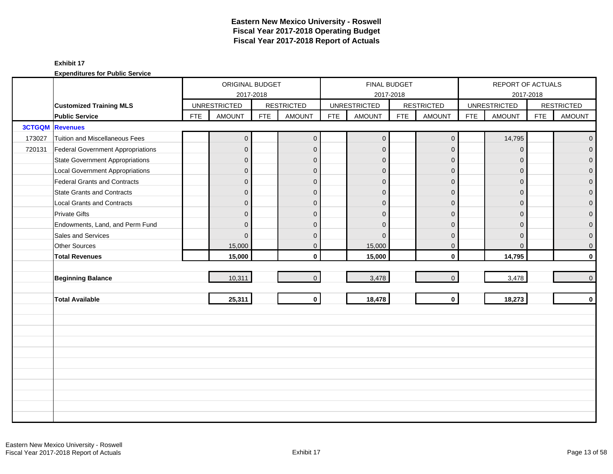|        |                                        |            | ORIGINAL BUDGET     |            |                   |            |                     | FINAL BUDGET |                   |            | REPORT OF ACTUALS   |            |                   |
|--------|----------------------------------------|------------|---------------------|------------|-------------------|------------|---------------------|--------------|-------------------|------------|---------------------|------------|-------------------|
|        |                                        |            | 2017-2018           |            |                   |            |                     | 2017-2018    |                   |            | 2017-2018           |            |                   |
|        | <b>Customized Training MLS</b>         |            | <b>UNRESTRICTED</b> |            | <b>RESTRICTED</b> |            | <b>UNRESTRICTED</b> |              | <b>RESTRICTED</b> |            | <b>UNRESTRICTED</b> |            | <b>RESTRICTED</b> |
|        | <b>Public Service</b>                  | <b>FTE</b> | <b>AMOUNT</b>       | <b>FTE</b> | <b>AMOUNT</b>     | <b>FTE</b> | <b>AMOUNT</b>       | <b>FTE</b>   | <b>AMOUNT</b>     | <b>FTE</b> | <b>AMOUNT</b>       | <b>FTE</b> | <b>AMOUNT</b>     |
|        | <b>3CTGQM</b> Revenues                 |            |                     |            |                   |            |                     |              |                   |            |                     |            |                   |
| 173027 | Tuition and Miscellaneous Fees         |            | $\overline{0}$      |            | $\mathbf{0}$      |            | $\mathbf 0$         |              | $\mathbf 0$       |            | 14,795              |            | $\overline{0}$    |
| 720131 | Federal Government Appropriations      |            | $\overline{0}$      |            | $\mathbf{0}$      |            | $\mathbf{0}$        |              | $\overline{0}$    |            | $\mathbf{0}$        |            | $\overline{0}$    |
|        | <b>State Government Appropriations</b> |            | $\overline{0}$      |            | $\mathbf{0}$      |            | $\mathbf{0}$        |              | $\mathbf{0}$      |            | $\overline{0}$      |            | $\overline{0}$    |
|        | <b>Local Government Appropriations</b> |            | $\overline{0}$      |            | $\mathbf{0}$      |            | $\Omega$            |              | $\mathbf{0}$      |            | $\Omega$            |            | $\mathbf 0$       |
|        | <b>Federal Grants and Contracts</b>    |            | $\overline{0}$      |            | $\mathbf{0}$      |            | $\mathbf{0}$        |              | $\mathbf{0}$      |            | $\Omega$            |            | $\overline{0}$    |
|        | <b>State Grants and Contracts</b>      |            | $\overline{0}$      |            | $\mathbf{0}$      |            | $\overline{0}$      |              | $\mathbf{0}$      |            | $\overline{0}$      |            | $\mathbf{0}$      |
|        | <b>Local Grants and Contracts</b>      |            | $\overline{0}$      |            | $\mathbf 0$       |            | $\Omega$            |              | $\mathbf{0}$      |            | $\mathbf{0}$        |            | 0                 |
|        | <b>Private Gifts</b>                   |            | $\overline{0}$      |            | $\mathbf{0}$      |            | $\Omega$            |              | $\mathbf{0}$      |            | $\Omega$            |            | $\overline{0}$    |
|        | Endowments, Land, and Perm Fund        |            | $\overline{0}$      |            | $\mathbf{0}$      |            | $\Omega$            |              | $\mathbf{0}$      |            | $\Omega$            |            | 0                 |
|        | Sales and Services                     |            | $\Omega$            |            | $\mathbf{0}$      |            | $\Omega$            |              | $\mathbf{0}$      |            | $\Omega$            |            | 0                 |
|        | Other Sources                          |            | 15,000              |            | $\mathbf 0$       |            | 15,000              |              | $\mathbf 0$       |            | $\mathbf{0}$        |            | 0                 |
|        | <b>Total Revenues</b>                  |            | 15,000              |            | $\mathbf{0}$      |            | 15,000              |              | $\mathbf 0$       |            | 14,795              |            | $\mathbf 0$       |
|        |                                        |            |                     |            |                   |            |                     |              |                   |            |                     |            |                   |
|        | <b>Beginning Balance</b>               |            | 10,311              |            | $\overline{0}$    |            | 3,478               |              | $\mathbf{0}$      |            | 3,478               |            | $\pmb{0}$         |
|        |                                        |            |                     |            |                   |            |                     |              |                   |            |                     |            |                   |
|        | <b>Total Available</b>                 |            | 25,311              |            | $\mathbf 0$       |            | 18,478              |              | $\mathbf 0$       |            | 18,273              |            | $\mathbf 0$       |
|        |                                        |            |                     |            |                   |            |                     |              |                   |            |                     |            |                   |
|        |                                        |            |                     |            |                   |            |                     |              |                   |            |                     |            |                   |
|        |                                        |            |                     |            |                   |            |                     |              |                   |            |                     |            |                   |
|        |                                        |            |                     |            |                   |            |                     |              |                   |            |                     |            |                   |
|        |                                        |            |                     |            |                   |            |                     |              |                   |            |                     |            |                   |
|        |                                        |            |                     |            |                   |            |                     |              |                   |            |                     |            |                   |
|        |                                        |            |                     |            |                   |            |                     |              |                   |            |                     |            |                   |
|        |                                        |            |                     |            |                   |            |                     |              |                   |            |                     |            |                   |
|        |                                        |            |                     |            |                   |            |                     |              |                   |            |                     |            |                   |
|        |                                        |            |                     |            |                   |            |                     |              |                   |            |                     |            |                   |
|        |                                        |            |                     |            |                   |            |                     |              |                   |            |                     |            |                   |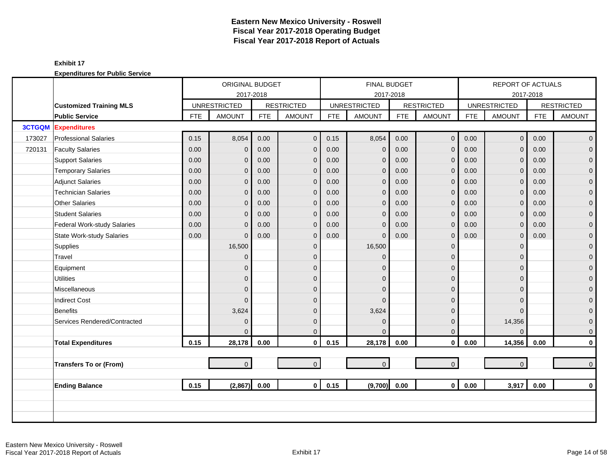|        |                                  |            | ORIGINAL BUDGET     |            |                   |            | <b>FINAL BUDGET</b> |            |                   |            | <b>REPORT OF ACTUALS</b> |            |                   |
|--------|----------------------------------|------------|---------------------|------------|-------------------|------------|---------------------|------------|-------------------|------------|--------------------------|------------|-------------------|
|        |                                  |            | 2017-2018           |            |                   |            |                     | 2017-2018  |                   |            |                          | 2017-2018  |                   |
|        | <b>Customized Training MLS</b>   |            | <b>UNRESTRICTED</b> |            | <b>RESTRICTED</b> |            | <b>UNRESTRICTED</b> |            | <b>RESTRICTED</b> |            | <b>UNRESTRICTED</b>      |            | <b>RESTRICTED</b> |
|        | <b>Public Service</b>            | <b>FTE</b> | <b>AMOUNT</b>       | <b>FTE</b> | <b>AMOUNT</b>     | <b>FTE</b> | <b>AMOUNT</b>       | <b>FTE</b> | <b>AMOUNT</b>     | <b>FTE</b> | <b>AMOUNT</b>            | <b>FTE</b> | <b>AMOUNT</b>     |
|        | <b>3CTGQM</b> Expenditures       |            |                     |            |                   |            |                     |            |                   |            |                          |            |                   |
| 173027 | <b>Professional Salaries</b>     | 0.15       | 8,054               | 0.00       | $\overline{0}$    | 0.15       | 8,054               | 0.00       | $\mathbf 0$       | 0.00       | $\overline{0}$           | 0.00       | $\overline{0}$    |
| 720131 | <b>Faculty Salaries</b>          | 0.00       | $\mathbf{0}$        | 0.00       | $\mathbf{0}$      | 0.00       | $\mathbf 0$         | 0.00       | $\mathbf{0}$      | 0.00       | $\Omega$                 | 0.00       | $\overline{0}$    |
|        | <b>Support Salaries</b>          | 0.00       | 0                   | 0.00       | $\mathbf{0}$      | 0.00       | $\mathbf{0}$        | 0.00       | $\mathbf 0$       | 0.00       | $\mathbf{0}$             | 0.00       | $\overline{0}$    |
|        | <b>Temporary Salaries</b>        | 0.00       | $\mathbf{0}$        | 0.00       | $\mathbf{0}$      | 0.00       | $\mathbf 0$         | 0.00       | $\mathbf{0}$      | 0.00       | $\mathbf{0}$             | 0.00       | $\mathbf 0$       |
|        | <b>Adjunct Salaries</b>          | 0.00       | 0                   | 0.00       | $\mathbf{0}$      | 0.00       | $\mathbf{0}$        | 0.00       | $\mathbf{0}$      | 0.00       | $\Omega$                 | 0.00       | $\mathbf{O}$      |
|        | <b>Technician Salaries</b>       | 0.00       | 0                   | 0.00       | $\mathbf{0}$      | 0.00       | $\mathbf{0}$        | 0.00       | $\mathbf{0}$      | 0.00       | $\Omega$                 | 0.00       | $\mathbf{0}$      |
|        | Other Salaries                   | 0.00       | 0                   | 0.00       | $\mathbf{0}$      | 0.00       | $\mathbf 0$         | 0.00       | $\mathbf{0}$      | 0.00       | $\Omega$                 | 0.00       | $\mathbf{O}$      |
|        | <b>Student Salaries</b>          | 0.00       | 0                   | 0.00       | $\mathbf{0}$      | 0.00       | $\mathbf{0}$        | 0.00       | $\mathbf{0}$      | 0.00       | $\Omega$                 | 0.00       | $\overline{0}$    |
|        | Federal Work-study Salaries      | 0.00       | 0                   | 0.00       | $\mathbf{0}$      | 0.00       | $\overline{0}$      | 0.00       | $\mathbf 0$       | 0.00       | $\mathbf{0}$             | 0.00       | $\mathbf{O}$      |
|        | <b>State Work-study Salaries</b> | 0.00       | 0                   | 0.00       | $\mathbf 0$       | 0.00       | $\mathbf 0$         | 0.00       | $\mathbf 0$       | 0.00       | 0                        | 0.00       | $\mathbf 0$       |
|        | Supplies                         |            | 16,500              |            | $\mathbf 0$       |            | 16,500              |            | $\mathbf{0}$      |            | $\Omega$                 |            | $\mathbf{O}$      |
|        | Travel                           |            | $\Omega$            |            | $\Omega$          |            | $\Omega$            |            | $\mathbf{0}$      |            | $\Omega$                 |            | $\mathbf{0}$      |
|        | Equipment                        |            | 0                   |            | $\Omega$          |            | $\Omega$            |            | $\mathbf{0}$      |            | $\Omega$                 |            | $\mathbf 0$       |
|        | <b>Utilities</b>                 |            | 0                   |            | $\mathbf{0}$      |            | $\Omega$            |            | $\mathbf{0}$      |            | $\Omega$                 |            | $\mathbf{O}$      |
|        | Miscellaneous                    |            | 0                   |            | $\mathbf{0}$      |            | $\Omega$            |            | $\mathbf 0$       |            | $\Omega$                 |            | $\mathbf{O}$      |
|        | <b>Indirect Cost</b>             |            | $\Omega$            |            | $\mathbf{0}$      |            | $\Omega$            |            | $\mathbf 0$       |            | $\Omega$                 |            | $\pmb{0}$         |
|        | Benefits                         |            | 3,624               |            | $\Omega$          |            | 3,624               |            | $\overline{0}$    |            | $\Omega$                 |            | $\mathbf{0}$      |
|        | Services Rendered/Contracted     |            | $\Omega$            |            | $\mathbf{0}$      |            | $\mathbf 0$         |            | $\mathbf{0}$      |            | 14,356                   |            | $\mathbf 0$       |
|        |                                  |            | $\Omega$            |            | $\Omega$          |            | $\Omega$            |            | $\mathbf{0}$      |            | $\Omega$                 |            | $\mathbf{0}$      |
|        | <b>Total Expenditures</b>        | 0.15       | 28,178              | 0.00       | $\mathbf 0$       | 0.15       | 28,178              | 0.00       | $\mathbf 0$       | 0.00       | 14,356                   | 0.00       | $\mathbf{0}$      |
|        |                                  |            |                     |            |                   |            |                     |            |                   |            |                          |            |                   |
|        | <b>Transfers To or (From)</b>    |            | $\overline{0}$      |            | $\overline{0}$    |            | $\mathbf{0}$        |            | $\mathbf{0}$      |            | $\Omega$                 |            | $\overline{0}$    |
|        |                                  |            |                     |            |                   |            |                     |            |                   |            |                          |            |                   |
|        | <b>Ending Balance</b>            | 0.15       | (2,867)             | 0.00       | 0 <sup>1</sup>    | 0.15       | (9,700)             | 0.00       | $\mathbf{0}$      | 0.00       | 3,917                    | 0.00       | $\mathbf{0}$      |
|        |                                  |            |                     |            |                   |            |                     |            |                   |            |                          |            |                   |
|        |                                  |            |                     |            |                   |            |                     |            |                   |            |                          |            |                   |
|        |                                  |            |                     |            |                   |            |                     |            |                   |            |                          |            |                   |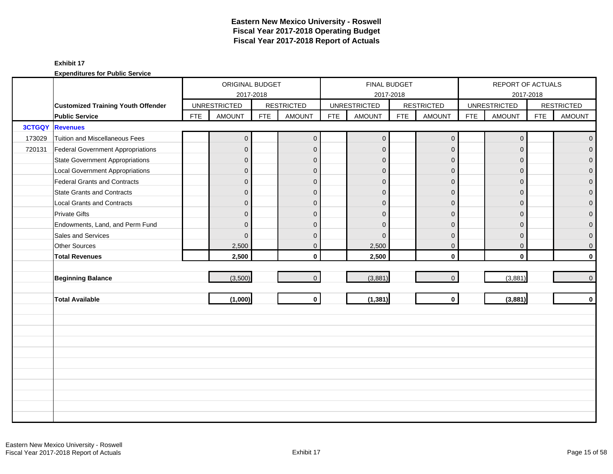|               |                                           |            | ORIGINAL BUDGET     |            |                   |            | FINAL BUDGET        |            |                   |            | REPORT OF ACTUALS   |            |                   |
|---------------|-------------------------------------------|------------|---------------------|------------|-------------------|------------|---------------------|------------|-------------------|------------|---------------------|------------|-------------------|
|               |                                           |            | 2017-2018           |            |                   |            | 2017-2018           |            |                   |            | 2017-2018           |            |                   |
|               | <b>Customized Training Youth Offender</b> |            | <b>UNRESTRICTED</b> |            | <b>RESTRICTED</b> |            | <b>UNRESTRICTED</b> |            | <b>RESTRICTED</b> |            | <b>UNRESTRICTED</b> |            | <b>RESTRICTED</b> |
|               | <b>Public Service</b>                     | <b>FTE</b> | <b>AMOUNT</b>       | <b>FTE</b> | <b>AMOUNT</b>     | <b>FTE</b> | <b>AMOUNT</b>       | <b>FTE</b> | <b>AMOUNT</b>     | <b>FTE</b> | <b>AMOUNT</b>       | <b>FTE</b> | <b>AMOUNT</b>     |
| <b>3CTGQY</b> | <b>Revenues</b>                           |            |                     |            |                   |            |                     |            |                   |            |                     |            |                   |
| 173029        | Tuition and Miscellaneous Fees            |            | $\overline{0}$      |            | $\mathbf{0}$      |            | $\mathbf 0$         |            | $\mathbf 0$       |            | $\mathbf 0$         |            | $\mathbf{0}$      |
| 720131        | Federal Government Appropriations         |            | $\overline{0}$      |            | $\mathbf{0}$      |            | $\mathbf{0}$        |            | $\mathbf{0}$      |            | $\mathbf{0}$        |            | $\overline{0}$    |
|               | <b>State Government Appropriations</b>    |            | $\overline{0}$      |            | $\mathbf{0}$      |            | $\mathbf{0}$        |            | $\mathbf 0$       |            | $\overline{0}$      |            | $\overline{0}$    |
|               | <b>Local Government Appropriations</b>    |            | $\overline{0}$      |            | $\mathbf{0}$      |            | $\Omega$            |            | $\mathbf{0}$      |            | $\Omega$            |            | $\mathbf 0$       |
|               | <b>Federal Grants and Contracts</b>       |            | $\overline{0}$      |            | $\mathbf{0}$      |            | $\mathbf{0}$        |            | $\mathbf{0}$      |            | $\Omega$            |            | $\overline{0}$    |
|               | <b>State Grants and Contracts</b>         |            | $\overline{0}$      |            | $\mathbf{0}$      |            | $\overline{0}$      |            | $\mathbf{0}$      |            | $\overline{0}$      |            | $\mathbf{0}$      |
|               | <b>Local Grants and Contracts</b>         |            | $\overline{0}$      |            | $\mathbf 0$       |            | $\mathbf{0}$        |            | $\mathbf{0}$      |            | $\mathbf{0}$        |            | 0                 |
|               | <b>Private Gifts</b>                      |            | $\overline{0}$      |            | $\mathbf{0}$      |            | $\Omega$            |            | $\mathbf{0}$      |            | $\Omega$            |            | $\overline{0}$    |
|               | Endowments, Land, and Perm Fund           |            | $\overline{0}$      |            | $\mathbf{0}$      |            | $\Omega$            |            | $\mathbf{0}$      |            | $\Omega$            |            | 0                 |
|               | Sales and Services                        |            | $\mathbf{0}$        |            | $\mathbf{0}$      |            | $\Omega$            |            | $\mathbf{0}$      |            | $\overline{0}$      |            | 0                 |
|               | Other Sources                             |            | 2,500               |            | $\mathbf 0$       |            | 2,500               |            | $\mathbf 0$       |            | $\mathbf 0$         |            | 0                 |
|               | <b>Total Revenues</b>                     |            | 2,500               |            | $\mathbf{0}$      |            | 2,500               |            | $\mathbf 0$       |            | $\mathbf{0}$        |            | $\mathbf 0$       |
|               |                                           |            |                     |            |                   |            |                     |            |                   |            |                     |            |                   |
|               | <b>Beginning Balance</b>                  |            | (3,500)             |            | $\overline{0}$    |            | (3,881)             |            | $\mathbf{0}$      |            | (3,881)             |            | $\pmb{0}$         |
|               |                                           |            |                     |            |                   |            |                     |            |                   |            |                     |            |                   |
|               | <b>Total Available</b>                    |            | (1,000)             |            | $\mathbf 0$       |            | (1, 381)            |            | $\mathbf 0$       |            | (3,881)             |            | $\mathbf 0$       |
|               |                                           |            |                     |            |                   |            |                     |            |                   |            |                     |            |                   |
|               |                                           |            |                     |            |                   |            |                     |            |                   |            |                     |            |                   |
|               |                                           |            |                     |            |                   |            |                     |            |                   |            |                     |            |                   |
|               |                                           |            |                     |            |                   |            |                     |            |                   |            |                     |            |                   |
|               |                                           |            |                     |            |                   |            |                     |            |                   |            |                     |            |                   |
|               |                                           |            |                     |            |                   |            |                     |            |                   |            |                     |            |                   |
|               |                                           |            |                     |            |                   |            |                     |            |                   |            |                     |            |                   |
|               |                                           |            |                     |            |                   |            |                     |            |                   |            |                     |            |                   |
|               |                                           |            |                     |            |                   |            |                     |            |                   |            |                     |            |                   |
|               |                                           |            |                     |            |                   |            |                     |            |                   |            |                     |            |                   |
|               |                                           |            |                     |            |                   |            |                     |            |                   |            |                     |            |                   |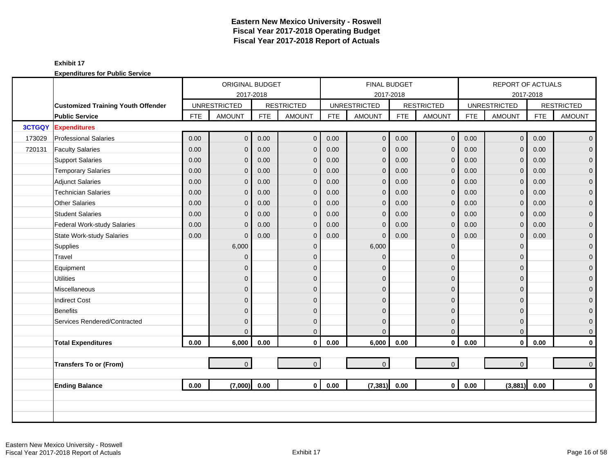|               |                                           |      | ORIGINAL BUDGET<br>2017-2018<br><b>UNRESTRICTED</b><br><b>FTE</b><br><b>AMOUNT</b><br>0.00<br>$\overline{0}$<br>0.00<br>$\overline{0}$<br>0.00<br>$\mathbf{0}$<br>0.00<br>0<br>0.00<br>$\overline{0}$<br>0.00<br>$\overline{0}$<br>0.00<br>0<br>0.00<br>$\overline{0}$<br>0.00<br>$\overline{0}$<br>0.00<br>$\overline{0}$ |            |                   |            |                     | <b>FINAL BUDGET</b> |                   |            | <b>REPORT OF ACTUALS</b> |            |                   |
|---------------|-------------------------------------------|------|----------------------------------------------------------------------------------------------------------------------------------------------------------------------------------------------------------------------------------------------------------------------------------------------------------------------------|------------|-------------------|------------|---------------------|---------------------|-------------------|------------|--------------------------|------------|-------------------|
|               |                                           |      |                                                                                                                                                                                                                                                                                                                            |            |                   |            |                     | 2017-2018           |                   |            | 2017-2018                |            |                   |
|               | <b>Customized Training Youth Offender</b> |      |                                                                                                                                                                                                                                                                                                                            |            | <b>RESTRICTED</b> |            | <b>UNRESTRICTED</b> |                     | <b>RESTRICTED</b> |            | <b>UNRESTRICTED</b>      |            | <b>RESTRICTED</b> |
|               | <b>Public Service</b>                     |      |                                                                                                                                                                                                                                                                                                                            | <b>FTE</b> | <b>AMOUNT</b>     | <b>FTE</b> | <b>AMOUNT</b>       | <b>FTE</b>          | <b>AMOUNT</b>     | <b>FTE</b> | <b>AMOUNT</b>            | <b>FTE</b> | <b>AMOUNT</b>     |
| <b>3CTGQY</b> | <b>Expenditures</b>                       |      |                                                                                                                                                                                                                                                                                                                            |            |                   |            |                     |                     |                   |            |                          |            |                   |
| 173029        | <b>Professional Salaries</b>              |      |                                                                                                                                                                                                                                                                                                                            | 0.00       | $\mathbf{0}$      | 0.00       | $\overline{0}$      | 0.00                | $\mathbf 0$       | 0.00       | $\mathbf{0}$             | 0.00       | $\overline{0}$    |
| 720131        | <b>Faculty Salaries</b>                   |      |                                                                                                                                                                                                                                                                                                                            | 0.00       | $\mathbf{0}$      | 0.00       | $\mathbf 0$         | 0.00                | $\mathbf{0}$      | 0.00       | $\Omega$                 | 0.00       | $\overline{0}$    |
|               | <b>Support Salaries</b>                   |      |                                                                                                                                                                                                                                                                                                                            | 0.00       | $\mathbf 0$       | 0.00       | $\mathbf 0$         | 0.00                | $\mathbf 0$       | 0.00       | $\mathbf{0}$             | 0.00       | $\overline{0}$    |
|               | <b>Temporary Salaries</b>                 |      |                                                                                                                                                                                                                                                                                                                            | 0.00       | $\mathbf{0}$      | 0.00       | $\mathbf 0$         | 0.00                | $\mathbf{0}$      | 0.00       | $\Omega$                 | 0.00       | $\mathbf 0$       |
|               | <b>Adjunct Salaries</b>                   |      |                                                                                                                                                                                                                                                                                                                            | 0.00       | $\mathbf{0}$      | 0.00       | $\mathbf{0}$        | 0.00                | $\mathbf{0}$      | 0.00       | $\Omega$                 | 0.00       | $\mathbf{0}$      |
|               | <b>Technician Salaries</b>                |      |                                                                                                                                                                                                                                                                                                                            | 0.00       | $\mathbf 0$       | 0.00       | $\overline{0}$      | 0.00                | $\mathbf 0$       | 0.00       | $\mathbf{0}$             | 0.00       | $\mathbf{O}$      |
|               | <b>Other Salaries</b>                     |      |                                                                                                                                                                                                                                                                                                                            | 0.00       | $\mathbf 0$       | 0.00       | $\mathbf{0}$        | 0.00                | $\mathbf 0$       | 0.00       | $\mathbf{0}$             | 0.00       | $\mathbf 0$       |
|               | <b>Student Salaries</b>                   |      |                                                                                                                                                                                                                                                                                                                            | 0.00       | $\mathbf{0}$      | 0.00       | $\mathbf{0}$        | 0.00                | $\mathbf{0}$      | 0.00       | $\Omega$                 | 0.00       | $\overline{0}$    |
|               | <b>Federal Work-study Salaries</b>        |      |                                                                                                                                                                                                                                                                                                                            | 0.00       | $\mathbf 0$       | 0.00       | $\overline{0}$      | 0.00                | $\mathbf 0$       | 0.00       | $\mathbf{0}$             | 0.00       | $\overline{0}$    |
|               | <b>State Work-study Salaries</b>          |      |                                                                                                                                                                                                                                                                                                                            | 0.00       | $\mathbf 0$       | 0.00       | $\mathbf 0$         | 0.00                | $\mathbf 0$       | 0.00       | 0                        | 0.00       | $\mathbf 0$       |
|               | Supplies                                  |      | 6,000                                                                                                                                                                                                                                                                                                                      |            | $\mathbf{0}$      |            | 6,000               |                     | $\mathbf 0$       |            | $\Omega$                 |            | $\mathbf{0}$      |
|               | Travel                                    |      | $\overline{0}$                                                                                                                                                                                                                                                                                                             |            | $\Omega$          |            | $\Omega$            |                     | $\mathbf{0}$      |            | $\Omega$                 |            | $\mathbf{0}$      |
|               | Equipment                                 |      | $\overline{0}$                                                                                                                                                                                                                                                                                                             |            | $\Omega$          |            | $\Omega$            |                     | $\mathbf 0$       |            | $\Omega$                 |            | $\mathbf 0$       |
|               | <b>Utilities</b>                          |      | $\overline{0}$                                                                                                                                                                                                                                                                                                             |            | $\mathbf{0}$      |            | $\mathbf{0}$        |                     | $\mathbf{0}$      |            | $\Omega$                 |            | $\overline{0}$    |
|               | Miscellaneous                             |      | $\overline{0}$                                                                                                                                                                                                                                                                                                             |            | $\mathbf{0}$      |            | $\Omega$            |                     | $\mathbf{0}$      |            | $\Omega$                 |            | $\mathbf 0$       |
|               | <b>Indirect Cost</b>                      |      | $\overline{0}$                                                                                                                                                                                                                                                                                                             |            | $\Omega$          |            | $\Omega$            |                     | $\mathbf{0}$      |            | $\Omega$                 |            | $\pmb{0}$         |
|               | <b>Benefits</b>                           |      | $\overline{0}$                                                                                                                                                                                                                                                                                                             |            | $\Omega$          |            | $\Omega$            |                     | $\mathbf 0$       |            | $\Omega$                 |            | $\mathbf{0}$      |
|               | Services Rendered/Contracted              |      | $\overline{0}$                                                                                                                                                                                                                                                                                                             |            | $\mathbf{0}$      |            | $\Omega$            |                     | $\mathbf 0$       |            | $\Omega$                 |            | $\mathbf{O}$      |
|               |                                           |      | $\Omega$                                                                                                                                                                                                                                                                                                                   |            | $\mathbf{0}$      |            | $\Omega$            |                     | $\mathbf{0}$      |            | $\Omega$                 |            | $\mathbf{0}$      |
|               | <b>Total Expenditures</b>                 | 0.00 | 6,000                                                                                                                                                                                                                                                                                                                      | 0.00       | $\mathbf 0$       | 0.00       | 6,000               | 0.00                | $\mathbf 0$       | 0.00       | $\mathbf{0}$             | 0.00       | $\mathbf{0}$      |
|               |                                           |      |                                                                                                                                                                                                                                                                                                                            |            |                   |            |                     |                     |                   |            |                          |            |                   |
|               | <b>Transfers To or (From)</b>             |      | $\overline{0}$                                                                                                                                                                                                                                                                                                             |            | $\overline{0}$    |            | $\mathbf 0$         |                     | $\mathbf{O}$      |            | $\overline{0}$           |            | $\mathbf{0}$      |
|               |                                           |      |                                                                                                                                                                                                                                                                                                                            |            |                   |            |                     |                     |                   |            |                          |            |                   |
|               | <b>Ending Balance</b>                     | 0.00 | (7,000)                                                                                                                                                                                                                                                                                                                    | 0.00       | $\mathbf{0}$      | 0.00       | (7, 381)            | 0.00                | $\mathbf{0}$      | 0.00       | (3,881)                  | 0.00       | $\mathbf 0$       |
|               |                                           |      |                                                                                                                                                                                                                                                                                                                            |            |                   |            |                     |                     |                   |            |                          |            |                   |
|               |                                           |      |                                                                                                                                                                                                                                                                                                                            |            |                   |            |                     |                     |                   |            |                          |            |                   |
|               |                                           |      |                                                                                                                                                                                                                                                                                                                            |            |                   |            |                     |                     |                   |            |                          |            |                   |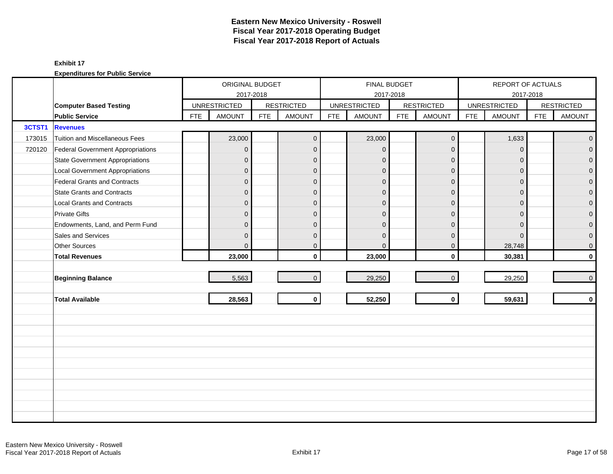|        |                                        |            | ORIGINAL BUDGET     |            |                   |            |                     | FINAL BUDGET |                   |            | REPORT OF ACTUALS   |            |                   |
|--------|----------------------------------------|------------|---------------------|------------|-------------------|------------|---------------------|--------------|-------------------|------------|---------------------|------------|-------------------|
|        |                                        |            | 2017-2018           |            |                   |            |                     | 2017-2018    |                   |            | 2017-2018           |            |                   |
|        | <b>Computer Based Testing</b>          |            | <b>UNRESTRICTED</b> |            | <b>RESTRICTED</b> |            | <b>UNRESTRICTED</b> |              | <b>RESTRICTED</b> |            | <b>UNRESTRICTED</b> |            | <b>RESTRICTED</b> |
|        | <b>Public Service</b>                  | <b>FTE</b> | <b>AMOUNT</b>       | <b>FTE</b> | <b>AMOUNT</b>     | <b>FTE</b> | <b>AMOUNT</b>       | <b>FTE</b>   | <b>AMOUNT</b>     | <b>FTE</b> | <b>AMOUNT</b>       | <b>FTE</b> | <b>AMOUNT</b>     |
| 3CTST1 | <b>Revenues</b>                        |            |                     |            |                   |            |                     |              |                   |            |                     |            |                   |
| 173015 | Tuition and Miscellaneous Fees         |            | 23,000              |            | $\mathbf{0}$      |            | 23,000              |              | $\mathbf 0$       |            | 1,633               |            | $\overline{0}$    |
| 720120 | Federal Government Appropriations      |            | $\overline{0}$      |            | $\mathbf{0}$      |            | $\mathbf{0}$        |              | $\mathbf 0$       |            | $\mathbf 0$         |            | $\overline{0}$    |
|        | <b>State Government Appropriations</b> |            | $\mathbf 0$         |            | $\mathbf{0}$      |            | $\mathbf{0}$        |              | $\mathbf 0$       |            | $\mathbf{0}$        |            | $\overline{0}$    |
|        | <b>Local Government Appropriations</b> |            | $\mathbf 0$         |            | $\mathbf{0}$      |            | $\Omega$            |              | $\mathbf 0$       |            | $\mathbf{0}$        |            | $\mathbf 0$       |
|        | <b>Federal Grants and Contracts</b>    |            | $\mathbf 0$         |            | $\mathbf{0}$      |            | $\mathbf{0}$        |              | $\mathbf{0}$      |            | $\Omega$            |            | $\overline{0}$    |
|        | <b>State Grants and Contracts</b>      |            | $\mathbf{0}$        |            | $\Omega$          |            | $\Omega$            |              | $\mathbf{0}$      |            | $\Omega$            |            | $\mathbf{0}$      |
|        | <b>Local Grants and Contracts</b>      |            | 0                   |            | $\mathbf 0$       |            | $\Omega$            |              | $\mathbf 0$       |            | $\mathbf{0}$        |            | $\mathbf 0$       |
|        | <b>Private Gifts</b>                   |            | $\overline{0}$      |            | $\Omega$          |            | $\Omega$            |              | $\mathbf{0}$      |            | $\Omega$            |            | $\overline{0}$    |
|        | Endowments, Land, and Perm Fund        |            | $\mathbf{0}$        |            | $\Omega$          |            | $\Omega$            |              | $\mathbf{0}$      |            | $\Omega$            |            | $\overline{0}$    |
|        | Sales and Services                     |            | $\mathbf{0}$        |            | $\mathbf{0}$      |            | $\mathbf{0}$        |              | $\mathbf 0$       |            | $\mathbf{0}$        |            | 0                 |
|        | <b>Other Sources</b>                   |            | 0                   |            | $\mathbf 0$       |            | $\mathbf{0}$        |              | $\mathbf 0$       |            | 28,748              |            | 0                 |
|        | <b>Total Revenues</b>                  |            | 23,000              |            | $\mathbf{0}$      |            | 23,000              |              | $\mathbf 0$       |            | 30,381              |            | $\mathbf{0}$      |
|        |                                        |            |                     |            |                   |            |                     |              |                   |            |                     |            |                   |
|        | <b>Beginning Balance</b>               |            | 5,563               |            | $\Omega$          |            | 29,250              |              | $\mathbf 0$       |            | 29,250              |            | $\mathbf 0$       |
|        |                                        |            |                     |            |                   |            |                     |              |                   |            |                     |            |                   |
|        | <b>Total Available</b>                 |            | 28,563              |            | $\mathbf 0$       |            | 52,250              |              | $\mathbf 0$       |            | 59,631              |            | $\mathbf 0$       |
|        |                                        |            |                     |            |                   |            |                     |              |                   |            |                     |            |                   |
|        |                                        |            |                     |            |                   |            |                     |              |                   |            |                     |            |                   |
|        |                                        |            |                     |            |                   |            |                     |              |                   |            |                     |            |                   |
|        |                                        |            |                     |            |                   |            |                     |              |                   |            |                     |            |                   |
|        |                                        |            |                     |            |                   |            |                     |              |                   |            |                     |            |                   |
|        |                                        |            |                     |            |                   |            |                     |              |                   |            |                     |            |                   |
|        |                                        |            |                     |            |                   |            |                     |              |                   |            |                     |            |                   |
|        |                                        |            |                     |            |                   |            |                     |              |                   |            |                     |            |                   |
|        |                                        |            |                     |            |                   |            |                     |              |                   |            |                     |            |                   |
|        |                                        |            |                     |            |                   |            |                     |              |                   |            |                     |            |                   |
|        |                                        |            |                     |            |                   |            |                     |              |                   |            |                     |            |                   |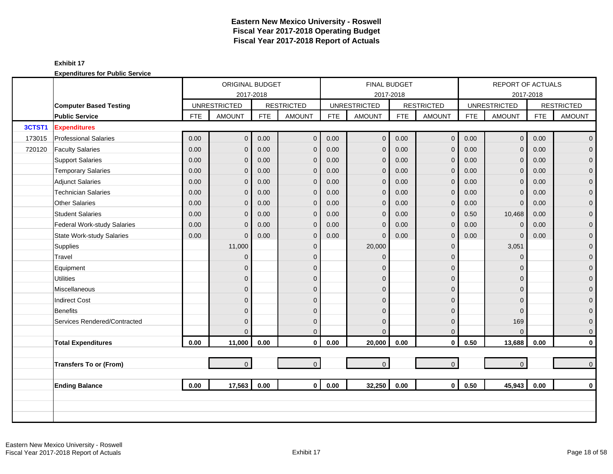|        |                                  | ORIGINAL BUDGET<br><b>UNRESTRICTED</b><br><b>AMOUNT</b><br><b>FTE</b><br>0.00<br>0.00<br>$\overline{0}$<br>0.00<br>$\mathbf{0}$<br>0.00<br>$\mathbf{0}$<br>0.00<br>$\overline{0}$<br>0.00<br>0<br>0.00<br>$\Omega$<br>0.00<br>$\overline{0}$<br>0.00<br>$\overline{0}$<br>0.00<br>$\overline{0}$<br>11,000<br>0<br>0 |                |            |                   |            | <b>FINAL BUDGET</b> |            |                   |            | <b>REPORT OF ACTUALS</b> |            |                   |
|--------|----------------------------------|----------------------------------------------------------------------------------------------------------------------------------------------------------------------------------------------------------------------------------------------------------------------------------------------------------------------|----------------|------------|-------------------|------------|---------------------|------------|-------------------|------------|--------------------------|------------|-------------------|
|        |                                  |                                                                                                                                                                                                                                                                                                                      |                | 2017-2018  |                   |            | 2017-2018           |            |                   |            |                          | 2017-2018  |                   |
|        | <b>Computer Based Testing</b>    |                                                                                                                                                                                                                                                                                                                      |                |            | <b>RESTRICTED</b> |            | <b>UNRESTRICTED</b> |            | <b>RESTRICTED</b> |            | <b>UNRESTRICTED</b>      |            | <b>RESTRICTED</b> |
|        | <b>Public Service</b>            |                                                                                                                                                                                                                                                                                                                      |                | <b>FTE</b> | <b>AMOUNT</b>     | <b>FTE</b> | <b>AMOUNT</b>       | <b>FTE</b> | <b>AMOUNT</b>     | <b>FTE</b> | <b>AMOUNT</b>            | <b>FTE</b> | <b>AMOUNT</b>     |
| 3CTST1 | <b>Expenditures</b>              |                                                                                                                                                                                                                                                                                                                      |                |            |                   |            |                     |            |                   |            |                          |            |                   |
| 173015 | <b>Professional Salaries</b>     |                                                                                                                                                                                                                                                                                                                      | $\overline{0}$ | 0.00       | $\mathbf{0}$      | 0.00       | $\mathbf 0$         | 0.00       | $\mathbf 0$       | 0.00       | $\overline{0}$           | 0.00       | $\overline{0}$    |
| 720120 | <b>Faculty Salaries</b>          |                                                                                                                                                                                                                                                                                                                      |                | 0.00       | $\mathbf 0$       | 0.00       | $\overline{0}$      | 0.00       | $\mathbf{0}$      | 0.00       | $\overline{0}$           | 0.00       | $\overline{0}$    |
|        | <b>Support Salaries</b>          |                                                                                                                                                                                                                                                                                                                      |                | 0.00       | $\mathbf{0}$      | 0.00       | $\mathbf{0}$        | 0.00       | $\mathbf{0}$      | 0.00       | $\overline{0}$           | 0.00       | $\overline{0}$    |
|        | <b>Temporary Salaries</b>        |                                                                                                                                                                                                                                                                                                                      |                | 0.00       | $\mathbf{0}$      | 0.00       | $\mathbf{0}$        | 0.00       | $\mathbf{0}$      | 0.00       | $\overline{0}$           | 0.00       | $\mathbf 0$       |
|        | <b>Adjunct Salaries</b>          |                                                                                                                                                                                                                                                                                                                      |                | 0.00       | $\mathbf{0}$      | 0.00       | $\mathbf{0}$        | 0.00       | $\mathbf 0$       | 0.00       | $\overline{0}$           | 0.00       | $\mathbf 0$       |
|        | Technician Salaries              |                                                                                                                                                                                                                                                                                                                      |                | 0.00       | $\mathbf{0}$      | 0.00       | $\mathbf 0$         | 0.00       | $\mathbf{0}$      | 0.00       | $\mathbf 0$              | 0.00       | $\mathbf 0$       |
|        | <b>Other Salaries</b>            |                                                                                                                                                                                                                                                                                                                      |                | 0.00       | $\mathbf{0}$      | 0.00       | $\mathbf{0}$        | 0.00       | $\mathbf 0$       | 0.00       | $\mathbf{0}$             | 0.00       | 0                 |
|        | <b>Student Salaries</b>          |                                                                                                                                                                                                                                                                                                                      |                | 0.00       | $\mathbf{0}$      | 0.00       | $\mathbf{0}$        | 0.00       | $\mathbf{0}$      | 0.50       | 10,468                   | 0.00       | $\overline{0}$    |
|        | Federal Work-study Salaries      |                                                                                                                                                                                                                                                                                                                      |                | 0.00       | $\mathbf{0}$      | 0.00       | $\mathbf{0}$        | 0.00       | $\mathbf{0}$      | 0.00       | $\mathbf 0$              | 0.00       | $\boldsymbol{0}$  |
|        | <b>State Work-study Salaries</b> |                                                                                                                                                                                                                                                                                                                      |                | 0.00       | $\mathbf{0}$      | 0.00       | $\Omega$            | 0.00       | $\mathbf 0$       | 0.00       | $\mathbf{0}$             | 0.00       | $\mathbf 0$       |
|        | Supplies                         |                                                                                                                                                                                                                                                                                                                      |                |            | $\mathbf{0}$      |            | 20,000              |            | $\mathbf 0$       |            | 3,051                    |            | $\mathbf 0$       |
|        | Travel                           |                                                                                                                                                                                                                                                                                                                      |                |            | $\Omega$          |            | $\Omega$            |            | $\mathbf{0}$      |            | $\mathbf{0}$             |            | $\mathbf{0}$      |
|        | Equipment                        |                                                                                                                                                                                                                                                                                                                      |                |            | $\mathbf{0}$      |            | $\Omega$            |            | $\mathbf 0$       |            | $\Omega$                 |            | $\mathbf 0$       |
|        | <b>Utilities</b>                 |                                                                                                                                                                                                                                                                                                                      | 0              |            | $\mathbf{0}$      |            | $\mathbf{0}$        |            | $\mathbf 0$       |            | $\Omega$                 |            | $\mathbf 0$       |
|        | <b>Miscellaneous</b>             |                                                                                                                                                                                                                                                                                                                      | 0              |            | $\Omega$          |            | $\Omega$            |            | $\Omega$          |            | $\Omega$                 |            | 0                 |
|        | <b>Indirect Cost</b>             |                                                                                                                                                                                                                                                                                                                      | 0              |            | $\Omega$          |            | $\Omega$            |            | $\mathbf{0}$      |            | $\Omega$                 |            | $\mathbf{0}$      |
|        | <b>Benefits</b>                  |                                                                                                                                                                                                                                                                                                                      | 0              |            | $\Omega$          |            | $\Omega$            |            | $\mathbf{0}$      |            | $\Omega$                 |            | 0                 |
|        | Services Rendered/Contracted     |                                                                                                                                                                                                                                                                                                                      | 0              |            | $\mathbf{0}$      |            | $\mathbf{0}$        |            | $\mathbf 0$       |            | 169                      |            | 0                 |
|        |                                  |                                                                                                                                                                                                                                                                                                                      | $\Omega$       |            | $\Omega$          |            | $\Omega$            |            | $\mathbf{0}$      |            | $\Omega$                 |            | 0                 |
|        | <b>Total Expenditures</b>        | 0.00                                                                                                                                                                                                                                                                                                                 | 11,000         | 0.00       | $\mathbf 0$       | 0.00       | 20,000              | 0.00       | $\mathbf 0$       | 0.50       | 13,688                   | 0.00       | 0                 |
|        |                                  |                                                                                                                                                                                                                                                                                                                      |                |            |                   |            |                     |            |                   |            |                          |            |                   |
|        | <b>Transfers To or (From)</b>    |                                                                                                                                                                                                                                                                                                                      | $\overline{0}$ |            | $\overline{0}$    |            | $\mathbf 0$         |            | $\overline{0}$    |            | $\overline{0}$           |            | $\mathbf{0}$      |
|        |                                  |                                                                                                                                                                                                                                                                                                                      |                |            |                   |            |                     |            |                   |            |                          |            |                   |
|        | <b>Ending Balance</b>            | 0.00                                                                                                                                                                                                                                                                                                                 | 17,563         | 0.00       | $\mathbf{0}$      | 0.00       | 32,250              | 0.00       | $\mathbf{0}$      | 0.50       | 45,943                   | 0.00       | $\bf{0}$          |
|        |                                  |                                                                                                                                                                                                                                                                                                                      |                |            |                   |            |                     |            |                   |            |                          |            |                   |
|        |                                  |                                                                                                                                                                                                                                                                                                                      |                |            |                   |            |                     |            |                   |            |                          |            |                   |
|        |                                  |                                                                                                                                                                                                                                                                                                                      |                |            |                   |            |                     |            |                   |            |                          |            |                   |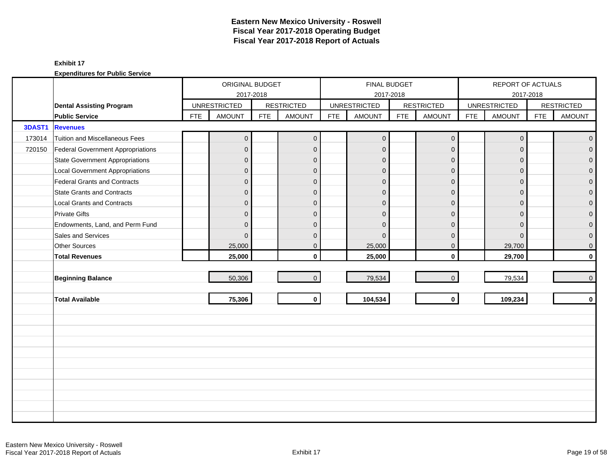|               |                                          |            | ORIGINAL BUDGET     |            |                   |            |                     | FINAL BUDGET |                   |            | REPORT OF ACTUALS   |            |                   |
|---------------|------------------------------------------|------------|---------------------|------------|-------------------|------------|---------------------|--------------|-------------------|------------|---------------------|------------|-------------------|
|               |                                          |            | 2017-2018           |            |                   |            |                     | 2017-2018    |                   |            | 2017-2018           |            |                   |
|               | <b>Dental Assisting Program</b>          |            | <b>UNRESTRICTED</b> |            | <b>RESTRICTED</b> |            | <b>UNRESTRICTED</b> |              | <b>RESTRICTED</b> |            | <b>UNRESTRICTED</b> |            | <b>RESTRICTED</b> |
|               | <b>Public Service</b>                    | <b>FTE</b> | <b>AMOUNT</b>       | <b>FTE</b> | <b>AMOUNT</b>     | <b>FTE</b> | <b>AMOUNT</b>       | <b>FTE</b>   | <b>AMOUNT</b>     | <b>FTE</b> | <b>AMOUNT</b>       | <b>FTE</b> | <b>AMOUNT</b>     |
| <b>3DAST1</b> | <b>Revenues</b>                          |            |                     |            |                   |            |                     |              |                   |            |                     |            |                   |
| 173014        | Tuition and Miscellaneous Fees           |            | $\mathbf 0$         |            | $\mathbf 0$       |            | $\mathbf 0$         |              | $\mathbf 0$       |            | $\mathbf 0$         |            | $\mathbf 0$       |
| 720150        | <b>Federal Government Appropriations</b> |            | $\overline{0}$      |            | $\mathbf{0}$      |            | $\mathbf 0$         |              | $\mathbf 0$       |            | $\mathbf{0}$        |            | $\overline{0}$    |
|               | <b>State Government Appropriations</b>   |            | $\mathbf 0$         |            | $\Omega$          |            | $\mathbf{0}$        |              | $\mathbf{0}$      |            | $\Omega$            |            | $\overline{0}$    |
|               | <b>Local Government Appropriations</b>   |            | $\mathbf 0$         |            | $\mathbf{0}$      |            | $\mathbf{0}$        |              | $\mathbf 0$       |            | $\overline{0}$      |            | 0                 |
|               | <b>Federal Grants and Contracts</b>      |            | $\mathbf 0$         |            | $\mathbf{0}$      |            | $\mathbf{0}$        |              | $\mathbf 0$       |            | $\Omega$            |            | $\overline{0}$    |
|               | <b>State Grants and Contracts</b>        |            | $\mathbf{0}$        |            | $\Omega$          |            | $\Omega$            |              | $\Omega$          |            | $\Omega$            |            | $\Omega$          |
|               | <b>Local Grants and Contracts</b>        |            | 0                   |            | $\mathbf{0}$      |            | $\Omega$            |              | $\mathbf 0$       |            | $\Omega$            |            | 0                 |
|               | <b>Private Gifts</b>                     |            | $\overline{0}$      |            | $\mathbf{0}$      |            | $\mathbf{0}$        |              | $\mathbf 0$       |            | $\Omega$            |            | $\mathbf 0$       |
|               | Endowments, Land, and Perm Fund          |            | $\mathbf 0$         |            | $\mathbf{0}$      |            | $\mathbf{0}$        |              | $\mathbf{0}$      |            | $\overline{0}$      |            | $\overline{0}$    |
|               | Sales and Services                       |            | $\Omega$            |            | $\Omega$          |            | $\Omega$            |              | $\mathbf{0}$      |            | $\Omega$            |            | $\mathbf 0$       |
|               | <b>Other Sources</b>                     |            | 25,000              |            | $\mathbf{0}$      |            | 25,000              |              | $\mathbf 0$       |            | 29,700              |            | $\mathbf 0$       |
|               | <b>Total Revenues</b>                    |            | 25,000              |            | $\mathbf{0}$      |            | 25,000              |              | $\mathbf 0$       |            | 29,700              |            | $\mathbf 0$       |
|               |                                          |            |                     |            |                   |            |                     |              |                   |            |                     |            |                   |
|               | <b>Beginning Balance</b>                 |            | 50,306              |            | $\Omega$          |            | 79,534              |              | $\mathbf{0}$      |            | 79,534              |            | $\mathbf 0$       |
|               |                                          |            |                     |            |                   |            |                     |              |                   |            |                     |            |                   |
|               | <b>Total Available</b>                   |            | 75,306              |            | $\mathbf 0$       |            | 104,534             |              | $\mathbf 0$       |            | 109,234             |            | $\mathbf 0$       |
|               |                                          |            |                     |            |                   |            |                     |              |                   |            |                     |            |                   |
|               |                                          |            |                     |            |                   |            |                     |              |                   |            |                     |            |                   |
|               |                                          |            |                     |            |                   |            |                     |              |                   |            |                     |            |                   |
|               |                                          |            |                     |            |                   |            |                     |              |                   |            |                     |            |                   |
|               |                                          |            |                     |            |                   |            |                     |              |                   |            |                     |            |                   |
|               |                                          |            |                     |            |                   |            |                     |              |                   |            |                     |            |                   |
|               |                                          |            |                     |            |                   |            |                     |              |                   |            |                     |            |                   |
|               |                                          |            |                     |            |                   |            |                     |              |                   |            |                     |            |                   |
|               |                                          |            |                     |            |                   |            |                     |              |                   |            |                     |            |                   |
|               |                                          |            |                     |            |                   |            |                     |              |                   |            |                     |            |                   |
|               |                                          |            |                     |            |                   |            |                     |              |                   |            |                     |            |                   |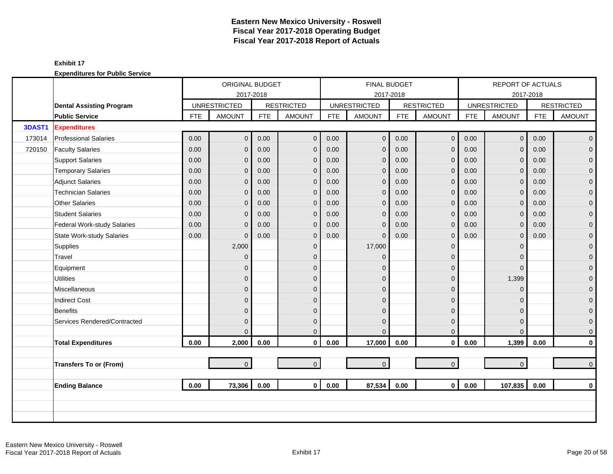|               |                                                          |            | <b>ORIGINAL BUDGET</b>               |            |                             |            | FINAL BUDGET                         |            |                                    |            | <b>REPORT OF ACTUALS</b>             |            |                                    |
|---------------|----------------------------------------------------------|------------|--------------------------------------|------------|-----------------------------|------------|--------------------------------------|------------|------------------------------------|------------|--------------------------------------|------------|------------------------------------|
|               |                                                          |            | 2017-2018                            |            | <b>RESTRICTED</b>           |            | 2017-2018                            |            |                                    |            |                                      | 2017-2018  |                                    |
|               | <b>Dental Assisting Program</b><br><b>Public Service</b> | <b>FTE</b> | <b>UNRESTRICTED</b><br><b>AMOUNT</b> | <b>FTE</b> | <b>AMOUNT</b>               | <b>FTE</b> | <b>UNRESTRICTED</b><br><b>AMOUNT</b> | <b>FTE</b> | <b>RESTRICTED</b><br><b>AMOUNT</b> | <b>FTE</b> | <b>UNRESTRICTED</b><br><b>AMOUNT</b> | <b>FTE</b> | <b>RESTRICTED</b><br><b>AMOUNT</b> |
| <b>3DAST1</b> | <b>Expenditures</b>                                      |            |                                      |            |                             |            |                                      |            |                                    |            |                                      |            |                                    |
| 173014        | <b>Professional Salaries</b>                             | 0.00       | $\overline{0}$                       | 0.00       | $\mathbf{0}$                | 0.00       | $\overline{0}$                       | 0.00       | $\mathbf 0$                        | 0.00       | 0 <sup>1</sup>                       | 0.00       | $\mathbf 0$                        |
| 720150        | <b>Faculty Salaries</b>                                  | 0.00       |                                      | 0.00       |                             | 0.00       | $\mathbf 0$                          | 0.00       |                                    | 0.00       | $\overline{0}$                       | 0.00       | $\overline{0}$                     |
|               | <b>Support Salaries</b>                                  | 0.00       | $\mathbf{0}$                         | 0.00       | $\mathbf 0$<br>$\mathbf{0}$ | 0.00       | $\mathbf 0$                          | 0.00       | $\mathbf 0$                        | 0.00       | $\overline{0}$                       | 0.00       | $\mathbf 0$                        |
|               |                                                          |            | $\mathbf 0$                          |            |                             |            |                                      |            | $\mathbf 0$                        |            |                                      |            |                                    |
|               | <b>Temporary Salaries</b>                                | 0.00       | $\mathbf{0}$                         | 0.00       | $\mathbf 0$                 | 0.00       | $\mathbf{0}$                         | 0.00       | $\mathbf 0$                        | 0.00       | $\mathbf 0$                          | 0.00       | 0                                  |
|               | <b>Adjunct Salaries</b>                                  | 0.00       | $\mathbf 0$                          | 0.00       | $\mathbf 0$                 | 0.00       | $\mathbf 0$                          | 0.00       | $\mathbf 0$                        | 0.00       | $\mathbf 0$                          | 0.00       | $\mathbf 0$                        |
|               | <b>Technician Salaries</b>                               | 0.00       | 0                                    | 0.00       | $\Omega$                    | 0.00       | $\mathbf{0}$                         | 0.00       | $\mathbf{0}$                       | 0.00       | $\mathbf{0}$                         | 0.00       | $\mathbf{0}$                       |
|               | <b>Other Salaries</b><br><b>Student Salaries</b>         | 0.00       | $\Omega$                             | 0.00       | $\mathbf{0}$                | 0.00       | $\mathbf{0}$                         | 0.00       | $\mathbf{0}$                       | 0.00       | $\overline{0}$                       | 0.00       | $\mathbf 0$                        |
|               |                                                          | 0.00       | 0                                    | 0.00       | $\mathbf{0}$                | 0.00       | $\mathbf{0}$                         | 0.00       | $\mathbf{0}$                       | 0.00       | $\Omega$                             | 0.00       | $\overline{0}$                     |
|               | Federal Work-study Salaries                              | 0.00       | $\mathbf{0}$                         | 0.00       | $\mathbf{0}$                | 0.00       | $\mathbf{0}$                         | 0.00       | $\mathbf{0}$                       | 0.00       | $\mathbf{0}$                         | 0.00       | $\mathbf 0$                        |
|               | <b>State Work-study Salaries</b>                         | 0.00       | $\Omega$                             | 0.00       | $\mathbf{0}$                | 0.00       | $\Omega$                             | 0.00       | $\mathbf 0$                        | 0.00       | $\overline{0}$                       | 0.00       | 0                                  |
|               | Supplies                                                 |            | 2,000                                |            | $\mathbf{0}$                |            | 17,000                               |            | $\mathbf{0}$                       |            | $\Omega$                             |            | $\mathbf 0$                        |
|               | Travel                                                   |            | $\mathbf{0}$                         |            | $\Omega$                    |            | $\Omega$                             |            | $\mathbf{0}$                       |            | $\Omega$                             |            | 0                                  |
|               | Equipment                                                |            | 0                                    |            | $\mathbf{0}$                |            | $\Omega$                             |            | $\mathbf 0$                        |            | $\Omega$                             |            | $\mathbf 0$                        |
|               | <b>Utilities</b>                                         |            | 0                                    |            | $\mathbf{0}$                |            | $\mathbf{0}$                         |            | $\mathbf 0$                        |            | 1,399                                |            | $\mathbf 0$                        |
|               | Miscellaneous                                            |            | 0                                    |            | $\mathbf{0}$                |            | $\Omega$                             |            | $\mathbf{0}$                       |            | $\mathbf{0}$                         |            | 0                                  |
|               | <b>Indirect Cost</b>                                     |            | 0                                    |            | $\mathbf{0}$                |            | $\Omega$                             |            | $\mathbf 0$                        |            | $\Omega$                             |            | $\mathbf 0$                        |
|               | <b>Benefits</b>                                          |            | $\overline{0}$                       |            | $\Omega$                    |            | $\Omega$                             |            | $\mathbf{0}$                       |            | $\Omega$                             |            | $\overline{0}$                     |
|               | Services Rendered/Contracted                             |            | $\overline{0}$                       |            | $\Omega$                    |            | $\Omega$                             |            | $\mathbf{0}$                       |            | $\Omega$                             |            | $\mathbf 0$                        |
|               |                                                          |            | $\Omega$                             |            | $\Omega$                    |            | $\Omega$                             |            | $\mathbf{0}$                       |            | $\Omega$                             |            | $\overline{0}$                     |
|               | <b>Total Expenditures</b>                                | 0.00       | 2,000                                | 0.00       | $\mathbf 0$                 | 0.00       | 17,000                               | 0.00       | $\mathbf 0$                        | 0.00       | 1,399                                | 0.00       | $\pmb{0}$                          |
|               |                                                          |            |                                      |            |                             |            |                                      |            |                                    |            |                                      |            |                                    |
|               | <b>Transfers To or (From)</b>                            |            | $\overline{0}$                       |            | $\overline{0}$              |            | $\mathbf 0$                          |            | $\mathbf{0}$                       |            | $\overline{0}$                       |            | $\overline{0}$                     |
|               | <b>Ending Balance</b>                                    | 0.00       | 73,306                               | 0.00       | $\mathbf{0}$                | 0.00       | 87,534                               | 0.00       | $\mathbf{0}$                       | 0.00       | 107,835                              | 0.00       | $\mathbf{0}$                       |
|               |                                                          |            |                                      |            |                             |            |                                      |            |                                    |            |                                      |            |                                    |
|               |                                                          |            |                                      |            |                             |            |                                      |            |                                    |            |                                      |            |                                    |
|               |                                                          |            |                                      |            |                             |            |                                      |            |                                    |            |                                      |            |                                    |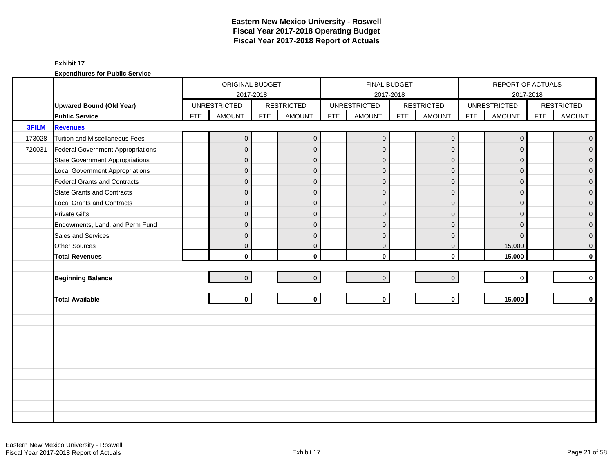|        |                                        |            | ORIGINAL BUDGET     |            |                   |            | <b>FINAL BUDGET</b> |            |                   |            | REPORT OF ACTUALS   |            |                     |
|--------|----------------------------------------|------------|---------------------|------------|-------------------|------------|---------------------|------------|-------------------|------------|---------------------|------------|---------------------|
|        |                                        |            | 2017-2018           |            |                   |            | 2017-2018           |            |                   |            |                     | 2017-2018  |                     |
|        | <b>Upwared Bound (Old Year)</b>        |            | <b>UNRESTRICTED</b> |            | <b>RESTRICTED</b> |            | <b>UNRESTRICTED</b> |            | <b>RESTRICTED</b> |            | <b>UNRESTRICTED</b> |            | <b>RESTRICTED</b>   |
|        | <b>Public Service</b>                  | <b>FTE</b> | <b>AMOUNT</b>       | <b>FTE</b> | <b>AMOUNT</b>     | <b>FTE</b> | <b>AMOUNT</b>       | <b>FTE</b> | <b>AMOUNT</b>     | <b>FTE</b> | <b>AMOUNT</b>       | <b>FTE</b> | <b>AMOUNT</b>       |
| 3FILM  | <b>Revenues</b>                        |            |                     |            |                   |            |                     |            |                   |            |                     |            |                     |
| 173028 | Tuition and Miscellaneous Fees         |            | $\mathbf 0$         |            | $\mathbf{0}$      |            | $\mathbf{0}$        |            | $\mathbf 0$       |            | $\mathbf 0$         |            | $\mathbf{0}$        |
| 720031 | Federal Government Appropriations      |            | $\overline{0}$      |            | $\mathbf{0}$      |            | $\mathbf{0}$        |            | $\mathbf 0$       |            | $\Omega$            |            | $\mathbf 0$         |
|        | <b>State Government Appropriations</b> |            | $\overline{0}$      |            | $\Omega$          |            | $\mathbf{0}$        |            | $\mathbf 0$       |            | $\Omega$            |            | $\overline{0}$      |
|        | <b>Local Government Appropriations</b> |            | $\mathbf{0}$        |            | $\mathbf{0}$      |            | $\Omega$            |            | $\mathbf 0$       |            | $\mathbf 0$         |            | $\mathbf 0$         |
|        | Federal Grants and Contracts           |            | $\mathbf 0$         |            | $\mathbf{0}$      |            | $\mathbf{0}$        |            | $\mathbf 0$       |            | $\Omega$            |            | $\pmb{0}$           |
|        | <b>State Grants and Contracts</b>      |            | $\overline{0}$      |            | $\Omega$          |            | $\Omega$            |            | $\mathbf{0}$      |            | $\Omega$            |            | $\mathbf 0$         |
|        | <b>Local Grants and Contracts</b>      |            | $\overline{0}$      |            | $\Omega$          |            | $\Omega$            |            | $\mathbf 0$       |            | $\Omega$            |            | $\mathbf 0$         |
|        | <b>Private Gifts</b>                   |            | $\overline{0}$      |            | $\Omega$          |            | $\mathbf{0}$        |            | $\mathbf 0$       |            | $\Omega$            |            | $\mathbf 0$         |
|        | Endowments, Land, and Perm Fund        |            | $\overline{0}$      |            | $\Omega$          |            | $\mathbf{0}$        |            | $\mathbf{0}$      |            | $\Omega$            |            | $\mathsf{O}\xspace$ |
|        | Sales and Services                     |            | $\overline{0}$      |            | $\mathbf{0}$      |            | $\mathbf{0}$        |            | $\mathbf 0$       |            | $\Omega$            |            | $\mathbf 0$         |
|        | Other Sources                          |            | $\mathbf{0}$        |            | $\mathbf 0$       |            | $\mathbf 0$         |            | $\mathbf 0$       |            | 15,000              |            | $\mathsf{O}\xspace$ |
|        | <b>Total Revenues</b>                  |            | $\mathbf{0}$        |            | $\mathbf{0}$      |            | $\mathbf{0}$        |            | $\mathbf{0}$      |            | 15,000              |            | $\mathbf 0$         |
|        |                                        |            |                     |            |                   |            |                     |            |                   |            |                     |            |                     |
|        | <b>Beginning Balance</b>               |            | $\overline{0}$      |            | $\overline{0}$    |            | $\overline{0}$      |            | $\mathbf 0$       |            | $\mathbf 0$         |            | $\mathbf 0$         |
|        |                                        |            |                     |            |                   |            |                     |            |                   |            |                     |            |                     |
|        | <b>Total Available</b>                 |            | $\mathbf{0}$        |            | $\mathbf 0$       |            | $\mathbf 0$         |            | $\mathbf 0$       |            | 15,000              |            | $\mathbf 0$         |
|        |                                        |            |                     |            |                   |            |                     |            |                   |            |                     |            |                     |
|        |                                        |            |                     |            |                   |            |                     |            |                   |            |                     |            |                     |
|        |                                        |            |                     |            |                   |            |                     |            |                   |            |                     |            |                     |
|        |                                        |            |                     |            |                   |            |                     |            |                   |            |                     |            |                     |
|        |                                        |            |                     |            |                   |            |                     |            |                   |            |                     |            |                     |
|        |                                        |            |                     |            |                   |            |                     |            |                   |            |                     |            |                     |
|        |                                        |            |                     |            |                   |            |                     |            |                   |            |                     |            |                     |
|        |                                        |            |                     |            |                   |            |                     |            |                   |            |                     |            |                     |
|        |                                        |            |                     |            |                   |            |                     |            |                   |            |                     |            |                     |
|        |                                        |            |                     |            |                   |            |                     |            |                   |            |                     |            |                     |
|        |                                        |            |                     |            |                   |            |                     |            |                   |            |                     |            |                     |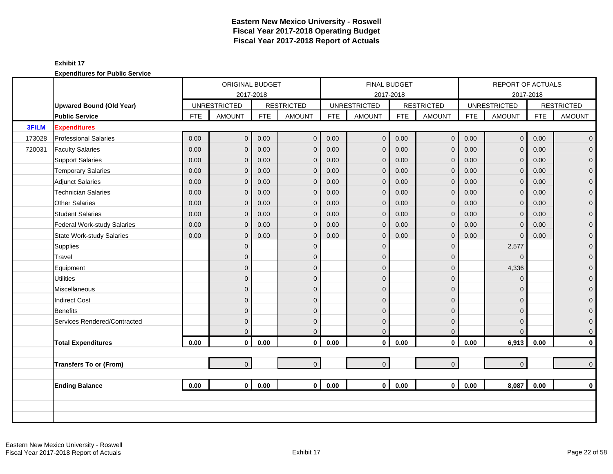|              |                                  |            | ORIGINAL BUDGET     |            |                   |            | <b>FINAL BUDGET</b> |            |                   |            | REPORT OF ACTUALS   |            |                     |
|--------------|----------------------------------|------------|---------------------|------------|-------------------|------------|---------------------|------------|-------------------|------------|---------------------|------------|---------------------|
|              |                                  |            | 2017-2018           |            |                   |            |                     | 2017-2018  |                   |            |                     | 2017-2018  |                     |
|              | <b>Upwared Bound (Old Year)</b>  |            | <b>UNRESTRICTED</b> |            | <b>RESTRICTED</b> |            | <b>UNRESTRICTED</b> |            | <b>RESTRICTED</b> |            | <b>UNRESTRICTED</b> |            | <b>RESTRICTED</b>   |
|              | <b>Public Service</b>            | <b>FTE</b> | <b>AMOUNT</b>       | <b>FTE</b> | <b>AMOUNT</b>     | <b>FTE</b> | <b>AMOUNT</b>       | <b>FTE</b> | <b>AMOUNT</b>     | <b>FTE</b> | <b>AMOUNT</b>       | <b>FTE</b> | <b>AMOUNT</b>       |
| <b>3FILM</b> | <b>Expenditures</b>              |            |                     |            |                   |            |                     |            |                   |            |                     |            |                     |
| 173028       | <b>Professional Salaries</b>     | 0.00       | $\overline{0}$      | 0.00       | $\mathbf{0}$      | 0.00       | $\overline{0}$      | 0.00       | $\mathbf 0$       | 0.00       | $\overline{0}$      | 0.00       | $\overline{0}$      |
| 720031       | <b>Faculty Salaries</b>          | 0.00       | $\overline{0}$      | 0.00       | $\mathbf 0$       | 0.00       | $\overline{0}$      | 0.00       | $\mathbf 0$       | 0.00       | $\mathbf{0}$        | 0.00       | $\pmb{0}$           |
|              | <b>Support Salaries</b>          | 0.00       | $\overline{0}$      | 0.00       | $\mathbf 0$       | 0.00       | $\mathbf{0}$        | 0.00       | $\mathbf 0$       | 0.00       | $\mathbf 0$         | 0.00       | $\mathsf{O}\xspace$ |
|              | <b>Temporary Salaries</b>        | 0.00       | $\mathbf 0$         | 0.00       | $\mathbf 0$       | 0.00       | $\mathbf{0}$        | 0.00       | $\mathbf 0$       | 0.00       | $\mathbf{0}$        | 0.00       | $\pmb{0}$           |
|              | <b>Adjunct Salaries</b>          | 0.00       | $\mathbf{0}$        | 0.00       | $\mathbf 0$       | 0.00       | $\mathbf 0$         | 0.00       | $\mathbf 0$       | 0.00       | $\mathbf{0}$        | 0.00       | $\boldsymbol{0}$    |
|              | <b>Technician Salaries</b>       | 0.00       | $\mathbf{0}$        | 0.00       | $\mathbf{0}$      | 0.00       | $\mathbf{0}$        | 0.00       | $\mathbf{0}$      | 0.00       | $\mathbf{0}$        | 0.00       | $\mathbf 0$         |
|              | <b>Other Salaries</b>            | 0.00       | $\overline{0}$      | 0.00       | $\mathbf{0}$      | 0.00       | $\mathbf{0}$        | 0.00       | $\mathbf{0}$      | 0.00       | $\mathbf{0}$        | 0.00       | $\boldsymbol{0}$    |
|              | <b>Student Salaries</b>          | 0.00       | $\overline{0}$      | 0.00       | $\overline{0}$    | 0.00       | $\overline{0}$      | 0.00       | $\mathbf 0$       | 0.00       | $\Omega$            | 0.00       | $\boldsymbol{0}$    |
|              | Federal Work-study Salaries      | 0.00       | $\mathbf{0}$        | 0.00       | $\mathbf 0$       | 0.00       | $\mathbf 0$         | 0.00       | $\mathbf 0$       | 0.00       | $\mathbf 0$         | 0.00       | $\mathbf 0$         |
|              | <b>State Work-study Salaries</b> | 0.00       | $\mathbf{0}$        | 0.00       | $\mathbf 0$       | 0.00       | $\mathbf{0}$        | 0.00       | $\mathbf 0$       | 0.00       | $\mathbf 0$         | 0.00       | $\pmb{0}$           |
|              | Supplies                         |            | $\overline{0}$      |            | $\mathbf 0$       |            | $\mathbf{0}$        |            | $\mathbf 0$       |            | 2,577               |            | $\boldsymbol{0}$    |
|              | Travel                           |            | $\mathbf{0}$        |            | $\Omega$          |            | $\Omega$            |            | $\mathbf{0}$      |            | $\Omega$            |            | $\overline{0}$      |
|              | Equipment                        |            | $\overline{0}$      |            | $\mathbf{0}$      |            | $\Omega$            |            | $\mathbf 0$       |            | 4,336               |            | $\mathbf 0$         |
|              | <b>Utilities</b>                 |            | $\mathsf{O}\xspace$ |            | $\mathbf{0}$      |            | $\overline{0}$      |            | $\mathbf 0$       |            | $\Omega$            |            | $\boldsymbol{0}$    |
|              | Miscellaneous                    |            | $\mathbf 0$         |            | $\mathbf{0}$      |            | $\mathbf{0}$        |            | $\mathbf 0$       |            | $\Omega$            |            | 0                   |
|              | <b>Indirect Cost</b>             |            | 0                   |            | $\mathbf{0}$      |            | $\mathbf{0}$        |            | $\mathbf 0$       |            | $\Omega$            |            | 0                   |
|              | <b>Benefits</b>                  |            | $\mathbf{0}$        |            | $\Omega$          |            | $\Omega$            |            | $\mathbf{0}$      |            | $\Omega$            |            | $\mathbf 0$         |
|              | Services Rendered/Contracted     |            | $\overline{0}$      |            | $\mathbf{0}$      |            | $\overline{0}$      |            | $\mathbf 0$       |            | $\Omega$            |            | $\mathbf 0$         |
|              |                                  |            | $\overline{0}$      |            | $\Omega$          |            | $\Omega$            |            | $\mathbf{0}$      |            | $\Omega$            |            | $\mathbf 0$         |
|              | <b>Total Expenditures</b>        | 0.00       | $\mathbf 0$         | 0.00       | $\mathbf 0$       | 0.00       | $\pmb{0}$           | 0.00       | $\mathbf 0$       | 0.00       | 6,913               | 0.00       | $\mathbf 0$         |
|              |                                  |            |                     |            |                   |            |                     |            |                   |            |                     |            |                     |
|              | <b>Transfers To or (From)</b>    |            | $\overline{0}$      |            | $\overline{0}$    |            | $\mathbf 0$         |            | $\overline{0}$    |            | $\overline{0}$      |            | $\mathbf 0$         |
|              |                                  |            |                     |            |                   |            |                     |            |                   |            |                     |            |                     |
|              | <b>Ending Balance</b>            | 0.00       | $\overline{0}$      | 0.00       | $\mathbf{0}$      | 0.00       | $\mathbf{0}$        | 0.00       | $\mathbf{0}$      | 0.00       | 8,087               | 0.00       | $\mathbf 0$         |
|              |                                  |            |                     |            |                   |            |                     |            |                   |            |                     |            |                     |
|              |                                  |            |                     |            |                   |            |                     |            |                   |            |                     |            |                     |
|              |                                  |            |                     |            |                   |            |                     |            |                   |            |                     |            |                     |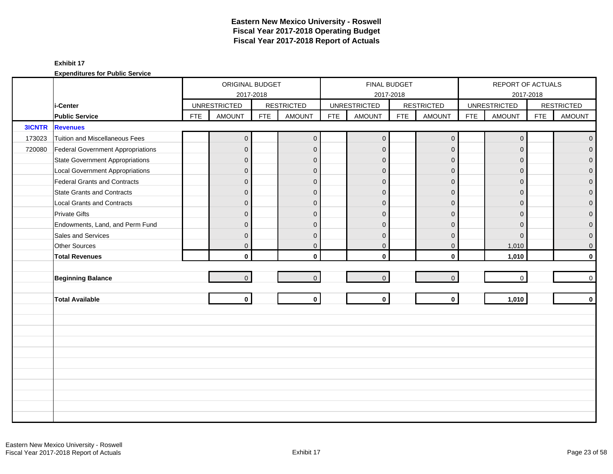|               |                                        |            | ORIGINAL BUDGET     |            |                   |            | <b>FINAL BUDGET</b> |            |                   |            | REPORT OF ACTUALS   |            |                   |
|---------------|----------------------------------------|------------|---------------------|------------|-------------------|------------|---------------------|------------|-------------------|------------|---------------------|------------|-------------------|
|               |                                        |            | 2017-2018           |            |                   |            | 2017-2018           |            |                   |            | 2017-2018           |            |                   |
|               | i-Center                               |            | <b>UNRESTRICTED</b> |            | <b>RESTRICTED</b> |            | <b>UNRESTRICTED</b> |            | <b>RESTRICTED</b> |            | <b>UNRESTRICTED</b> |            | <b>RESTRICTED</b> |
|               | <b>Public Service</b>                  | <b>FTE</b> | <b>AMOUNT</b>       | <b>FTE</b> | <b>AMOUNT</b>     | <b>FTE</b> | <b>AMOUNT</b>       | <b>FTE</b> | <b>AMOUNT</b>     | <b>FTE</b> | <b>AMOUNT</b>       | <b>FTE</b> | <b>AMOUNT</b>     |
| <b>3ICNTR</b> | <b>Revenues</b>                        |            |                     |            |                   |            |                     |            |                   |            |                     |            |                   |
| 173023        | Tuition and Miscellaneous Fees         |            | $\overline{0}$      |            | $\mathbf 0$       |            | $\mathbf 0$         |            | $\mathbf 0$       |            | $\mathbf 0$         |            | $\mathbf 0$       |
| 720080        | Federal Government Appropriations      |            | $\overline{0}$      |            | $\Omega$          |            | $\mathbf{0}$        |            | $\mathbf{0}$      |            | $\Omega$            |            | $\Omega$          |
|               | <b>State Government Appropriations</b> |            | $\mathbf{0}$        |            | $\Omega$          |            | $\mathbf{0}$        |            | $\mathbf{0}$      |            | $\Omega$            |            | $\overline{0}$    |
|               | <b>Local Government Appropriations</b> |            | $\mathbf 0$         |            | $\mathbf{0}$      |            | $\mathbf{0}$        |            | $\mathbf 0$       |            | $\mathbf{0}$        |            | 0                 |
|               | <b>Federal Grants and Contracts</b>    |            | $\mathbf 0$         |            | $\mathbf{0}$      |            | $\mathbf{0}$        |            | $\mathbf{0}$      |            | $\Omega$            |            | $\overline{0}$    |
|               | <b>State Grants and Contracts</b>      |            | $\mathbf 0$         |            | $\mathbf{0}$      |            | $\mathbf{0}$        |            | $\mathbf{0}$      |            | $\Omega$            |            | $\mathbf{0}$      |
|               | <b>Local Grants and Contracts</b>      |            | $\mathbf 0$         |            | $\mathbf{0}$      |            | $\mathbf{0}$        |            | $\mathbf 0$       |            | $\mathbf{0}$        |            | 0                 |
|               | <b>Private Gifts</b>                   |            | $\overline{0}$      |            | $\Omega$          |            | $\mathbf{0}$        |            | $\mathbf{0}$      |            | $\Omega$            |            | $\overline{0}$    |
|               | Endowments, Land, and Perm Fund        |            | $\mathbf 0$         |            | $\Omega$          |            | $\Omega$            |            | $\Omega$          |            | $\Omega$            |            | $\overline{0}$    |
|               | Sales and Services                     |            | $\mathbf{0}$        |            | $\Omega$          |            | $\Omega$            |            | $\mathbf{0}$      |            | $\mathbf{0}$        |            | $\mathbf 0$       |
|               | Other Sources                          |            | 0                   |            | $\mathbf{0}$      |            | $\mathbf 0$         |            | $\mathbf 0$       |            | 1,010               |            | $\mathbf 0$       |
|               | <b>Total Revenues</b>                  |            | $\mathbf{0}$        |            | $\mathbf{0}$      |            | $\mathbf{0}$        |            | $\mathbf 0$       |            | 1,010               |            | $\mathbf{0}$      |
|               |                                        |            |                     |            |                   |            |                     |            |                   |            |                     |            |                   |
|               | <b>Beginning Balance</b>               |            | $\mathbf 0$         |            | $\overline{0}$    |            | $\mathsf{O}\xspace$ |            | $\mathbf 0$       |            | $\mathbf 0$         |            | 0                 |
|               |                                        |            |                     |            |                   |            |                     |            |                   |            |                     |            |                   |
|               | <b>Total Available</b>                 |            | $\mathbf{0}$        |            | $\mathbf 0$       |            | $\mathbf{0}$        |            | $\mathbf 0$       |            | 1,010               |            | $\mathbf 0$       |
|               |                                        |            |                     |            |                   |            |                     |            |                   |            |                     |            |                   |
|               |                                        |            |                     |            |                   |            |                     |            |                   |            |                     |            |                   |
|               |                                        |            |                     |            |                   |            |                     |            |                   |            |                     |            |                   |
|               |                                        |            |                     |            |                   |            |                     |            |                   |            |                     |            |                   |
|               |                                        |            |                     |            |                   |            |                     |            |                   |            |                     |            |                   |
|               |                                        |            |                     |            |                   |            |                     |            |                   |            |                     |            |                   |
|               |                                        |            |                     |            |                   |            |                     |            |                   |            |                     |            |                   |
|               |                                        |            |                     |            |                   |            |                     |            |                   |            |                     |            |                   |
|               |                                        |            |                     |            |                   |            |                     |            |                   |            |                     |            |                   |
|               |                                        |            |                     |            |                   |            |                     |            |                   |            |                     |            |                   |
|               |                                        |            |                     |            |                   |            |                     |            |                   |            |                     |            |                   |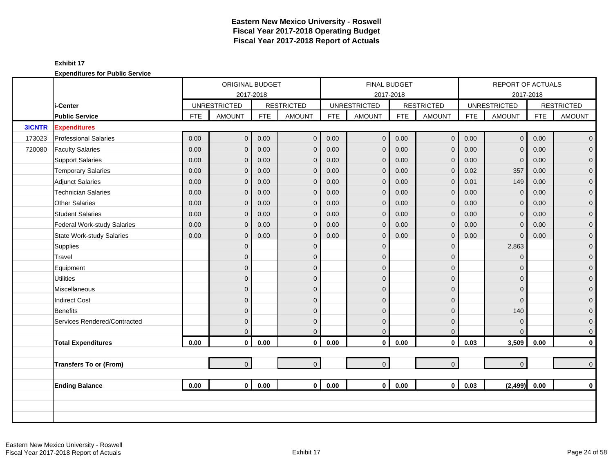|               |                                  |            | ORIGINAL BUDGET     |            |                   |            |                     | <b>FINAL BUDGET</b> |                     |            | <b>REPORT OF ACTUALS</b> |            |                   |
|---------------|----------------------------------|------------|---------------------|------------|-------------------|------------|---------------------|---------------------|---------------------|------------|--------------------------|------------|-------------------|
|               |                                  |            |                     | 2017-2018  |                   |            |                     | 2017-2018           |                     |            |                          | 2017-2018  |                   |
|               | i-Center                         |            | <b>UNRESTRICTED</b> |            | <b>RESTRICTED</b> |            | <b>UNRESTRICTED</b> |                     | <b>RESTRICTED</b>   |            | <b>UNRESTRICTED</b>      |            | <b>RESTRICTED</b> |
|               | <b>Public Service</b>            | <b>FTE</b> | <b>AMOUNT</b>       | <b>FTE</b> | <b>AMOUNT</b>     | <b>FTE</b> | <b>AMOUNT</b>       | <b>FTE</b>          | <b>AMOUNT</b>       | <b>FTE</b> | <b>AMOUNT</b>            | <b>FTE</b> | <b>AMOUNT</b>     |
| <b>3ICNTR</b> | <b>Expenditures</b>              |            |                     |            |                   |            |                     |                     |                     |            |                          |            |                   |
| 173023        | <b>Professional Salaries</b>     | 0.00       | $\overline{0}$      | 0.00       | $\mathbf 0$       | 0.00       | $\overline{0}$      | 0.00                | $\mathbf 0$         | 0.00       | $\overline{0}$           | 0.00       | $\overline{0}$    |
| 720080        | <b>Faculty Salaries</b>          | 0.00       | $\overline{0}$      | 0.00       | $\mathbf{0}$      | 0.00       | $\mathbf{0}$        | 0.00                | $\mathbf{0}$        | 0.00       | $\Omega$                 | 0.00       | $\overline{0}$    |
|               | <b>Support Salaries</b>          | 0.00       | $\mathbf{0}$        | 0.00       | $\mathbf 0$       | 0.00       | $\mathbf 0$         | 0.00                | $\mathbf 0$         | 0.00       | $\mathbf 0$              | 0.00       | $\overline{0}$    |
|               | <b>Temporary Salaries</b>        | 0.00       | 0                   | 0.00       | $\mathbf 0$       | 0.00       | $\mathbf 0$         | 0.00                | $\mathbf 0$         | 0.02       | 357                      | 0.00       | $\mathbf 0$       |
|               | <b>Adjunct Salaries</b>          | 0.00       | $\overline{0}$      | 0.00       | $\mathbf{0}$      | 0.00       | $\mathbf{0}$        | 0.00                | $\mathbf{0}$        | 0.01       | 149                      | 0.00       | $\mathbf{0}$      |
|               | <b>Technician Salaries</b>       | 0.00       | 0                   | 0.00       | $\mathbf{0}$      | 0.00       | $\overline{0}$      | 0.00                | $\mathbf{0}$        | 0.00       | $\mathbf{0}$             | 0.00       | $\mathbf{O}$      |
|               | Other Salaries                   | 0.00       | 0                   | 0.00       | $\mathbf{0}$      | 0.00       | $\mathbf 0$         | 0.00                | $\mathbf{0}$        | 0.00       | $\Omega$                 | 0.00       | $\mathbf 0$       |
|               | <b>Student Salaries</b>          | 0.00       | 0                   | 0.00       | $\mathbf{0}$      | 0.00       | $\mathbf 0$         | 0.00                | $\mathbf 0$         | 0.00       | $\Omega$                 | 0.00       | $\overline{0}$    |
|               | Federal Work-study Salaries      | 0.00       | 0                   | 0.00       | $\mathbf{0}$      | 0.00       | $\mathbf 0$         | 0.00                | $\mathbf{0}$        | 0.00       | $\Omega$                 | 0.00       | $\overline{0}$    |
|               | <b>State Work-study Salaries</b> | 0.00       | 0                   | 0.00       | $\mathbf{0}$      | 0.00       | $\mathbf 0$         | 0.00                | $\mathbf{0}$        | 0.00       | $\mathbf{0}$             | 0.00       | $\mathbf{O}$      |
|               | Supplies                         |            | $\overline{0}$      |            | $\mathbf{0}$      |            | $\overline{0}$      |                     | $\mathbf{0}$        |            | 2,863                    |            | $\mathbf{O}$      |
|               | Travel                           |            | 0                   |            | $\mathbf{0}$      |            | $\Omega$            |                     | $\mathbf{0}$        |            | $\Omega$                 |            | $\mathbf{O}$      |
|               | Equipment                        |            | 0                   |            | $\mathbf{0}$      |            | $\Omega$            |                     | $\mathbf 0$         |            | $\Omega$                 |            | $\pmb{0}$         |
|               | <b>Utilities</b>                 |            | $\overline{0}$      |            | $\Omega$          |            | $\Omega$            |                     | $\mathbf{0}$        |            | $\Omega$                 |            | $\overline{0}$    |
|               | Miscellaneous                    |            | 0                   |            | $\overline{0}$    |            | $\Omega$            |                     | $\mathbf{0}$        |            | $\Omega$                 |            | $\mathbf 0$       |
|               | <b>Indirect Cost</b>             |            | 0                   |            | $\Omega$          |            | $\Omega$            |                     | $\mathbf 0$         |            | $\Omega$                 |            | $\pmb{0}$         |
|               | <b>Benefits</b>                  |            | 0                   |            | $\mathbf{0}$      |            | $\mathbf 0$         |                     | $\mathbf{0}$        |            | 140                      |            | $\mathbf{0}$      |
|               | Services Rendered/Contracted     |            | 0                   |            | $\mathbf{0}$      |            | $\mathbf 0$         |                     | $\mathbf{0}$        |            | $\mathbf{0}$             |            | $\mathbf{0}$      |
|               |                                  |            | $\overline{0}$      |            | $\Omega$          |            | $\Omega$            |                     | $\mathbf{0}$        |            | $\Omega$                 |            | $\mathbf{0}$      |
|               | <b>Total Expenditures</b>        | 0.00       | $\mathbf{0}$        | 0.00       | $\mathbf 0$       | 0.00       | $\mathbf 0$         | 0.00                | $\mathbf 0$         | 0.03       | 3,509                    | 0.00       | $\mathbf{0}$      |
|               |                                  |            |                     |            |                   |            |                     |                     |                     |            |                          |            |                   |
|               | <b>Transfers To or (From)</b>    |            | $\overline{0}$      |            | $\overline{0}$    |            | $\pmb{0}$           |                     | $\mathsf{O}\xspace$ |            | $\overline{0}$           |            | $\mathbf{0}$      |
|               |                                  |            |                     |            |                   |            |                     |                     |                     |            |                          |            |                   |
|               | <b>Ending Balance</b>            | 0.00       | $\mathbf{0}$        | 0.00       | $\overline{0}$    | 0.00       | $\mathbf{0}$        | 0.00                | $\mathbf{0}$        | 0.03       | (2, 499)                 | 0.00       | $\mathbf{0}$      |
|               |                                  |            |                     |            |                   |            |                     |                     |                     |            |                          |            |                   |
|               |                                  |            |                     |            |                   |            |                     |                     |                     |            |                          |            |                   |
|               |                                  |            |                     |            |                   |            |                     |                     |                     |            |                          |            |                   |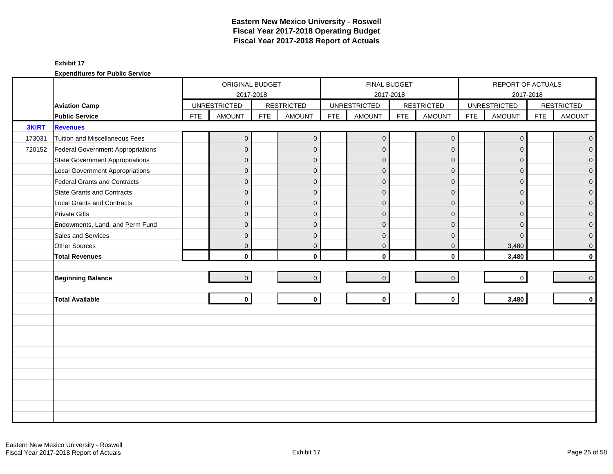|              |                                        |            | ORIGINAL BUDGET     |            |                   |            | <b>FINAL BUDGET</b> |            |                   |            | REPORT OF ACTUALS   |            |                     |
|--------------|----------------------------------------|------------|---------------------|------------|-------------------|------------|---------------------|------------|-------------------|------------|---------------------|------------|---------------------|
|              |                                        |            |                     | 2017-2018  |                   |            |                     | 2017-2018  |                   |            |                     | 2017-2018  |                     |
|              | <b>Aviation Camp</b>                   |            | <b>UNRESTRICTED</b> |            | <b>RESTRICTED</b> |            | <b>UNRESTRICTED</b> |            | <b>RESTRICTED</b> |            | <b>UNRESTRICTED</b> |            | <b>RESTRICTED</b>   |
|              | <b>Public Service</b>                  | <b>FTE</b> | <b>AMOUNT</b>       | <b>FTE</b> | <b>AMOUNT</b>     | <b>FTE</b> | <b>AMOUNT</b>       | <b>FTE</b> | <b>AMOUNT</b>     | <b>FTE</b> | <b>AMOUNT</b>       | <b>FTE</b> | <b>AMOUNT</b>       |
| <b>3KIRT</b> | <b>Revenues</b>                        |            |                     |            |                   |            |                     |            |                   |            |                     |            |                     |
| 173031       | Tuition and Miscellaneous Fees         |            | $\mathbf 0$         |            | $\mathbf 0$       |            | $\mathbf{0}$        |            | $\mathbf 0$       |            | $\mathbf 0$         |            | $\mathbf{0}$        |
| 720152       | Federal Government Appropriations      |            | $\overline{0}$      |            | $\mathbf{0}$      |            | $\Omega$            |            | $\mathbf 0$       |            | $\Omega$            |            | $\mathbf 0$         |
|              | <b>State Government Appropriations</b> |            | $\overline{0}$      |            | $\mathbf{0}$      |            | $\Omega$            |            | $\mathbf 0$       |            | $\Omega$            |            | $\overline{0}$      |
|              | <b>Local Government Appropriations</b> |            | $\overline{0}$      |            | $\mathbf{0}$      |            | $\Omega$            |            | $\mathbf 0$       |            | $\mathbf 0$         |            | $\mathbf 0$         |
|              | Federal Grants and Contracts           |            | 0                   |            | $\mathbf{0}$      |            | $\overline{0}$      |            | $\mathbf 0$       |            | $\Omega$            |            | $\mathbf 0$         |
|              | <b>State Grants and Contracts</b>      |            | $\overline{0}$      |            | $\Omega$          |            | $\Omega$            |            | $\mathbf{0}$      |            | $\Omega$            |            | $\overline{0}$      |
|              | <b>Local Grants and Contracts</b>      |            | $\overline{0}$      |            | $\mathbf{0}$      |            | $\Omega$            |            | $\mathbf 0$       |            | $\Omega$            |            | $\mathbf 0$         |
|              | <b>Private Gifts</b>                   |            | $\overline{0}$      |            | $\mathbf{0}$      |            | $\Omega$            |            | $\mathbf 0$       |            | $\Omega$            |            | $\overline{0}$      |
|              | Endowments, Land, and Perm Fund        |            | $\overline{0}$      |            | $\mathbf{0}$      |            | $\mathbf 0$         |            | $\mathbf 0$       |            | $\Omega$            |            | $\mathbf 0$         |
|              | Sales and Services                     |            | 0                   |            | $\mathbf{0}$      |            | $\mathbf 0$         |            | $\mathbf 0$       |            | $\mathbf 0$         |            | $\mathbf 0$         |
|              | Other Sources                          |            | 0                   |            | $\mathbf 0$       |            | $\mathbf 0$         |            | $\mathbf 0$       |            | 3,480               |            | $\mathsf{O}\xspace$ |
|              | <b>Total Revenues</b>                  |            | $\mathbf{0}$        |            | $\mathbf{0}$      |            | $\Omega$            |            | $\mathbf{0}$      |            | 3,480               |            | $\mathbf 0$         |
|              |                                        |            |                     |            |                   |            |                     |            |                   |            |                     |            |                     |
|              | <b>Beginning Balance</b>               |            | $\overline{0}$      |            | $\overline{0}$    |            | $\mathbf{0}$        |            | $\mathbf 0$       |            | $\mathbf 0$         |            | $\overline{0}$      |
|              |                                        |            |                     |            |                   |            |                     |            |                   |            |                     |            |                     |
|              | <b>Total Available</b>                 |            | $\mathbf 0$         |            | $\mathbf 0$       |            | $\mathbf 0$         |            | $\mathbf 0$       |            | 3,480               |            | $\mathbf 0$         |
|              |                                        |            |                     |            |                   |            |                     |            |                   |            |                     |            |                     |
|              |                                        |            |                     |            |                   |            |                     |            |                   |            |                     |            |                     |
|              |                                        |            |                     |            |                   |            |                     |            |                   |            |                     |            |                     |
|              |                                        |            |                     |            |                   |            |                     |            |                   |            |                     |            |                     |
|              |                                        |            |                     |            |                   |            |                     |            |                   |            |                     |            |                     |
|              |                                        |            |                     |            |                   |            |                     |            |                   |            |                     |            |                     |
|              |                                        |            |                     |            |                   |            |                     |            |                   |            |                     |            |                     |
|              |                                        |            |                     |            |                   |            |                     |            |                   |            |                     |            |                     |
|              |                                        |            |                     |            |                   |            |                     |            |                   |            |                     |            |                     |
|              |                                        |            |                     |            |                   |            |                     |            |                   |            |                     |            |                     |
|              |                                        |            |                     |            |                   |            |                     |            |                   |            |                     |            |                     |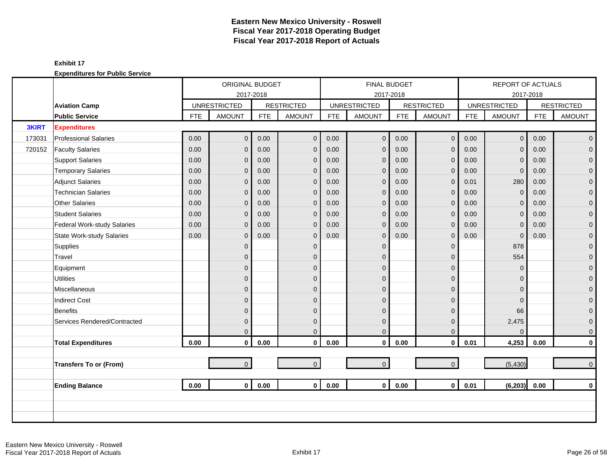|              |                               |            | ORIGINAL BUDGET     |            |                   |            |                     | <b>FINAL BUDGET</b> |                   |            | REPORT OF ACTUALS   |            |                   |
|--------------|-------------------------------|------------|---------------------|------------|-------------------|------------|---------------------|---------------------|-------------------|------------|---------------------|------------|-------------------|
|              |                               |            | 2017-2018           |            |                   |            |                     | 2017-2018           |                   |            |                     | 2017-2018  |                   |
|              | <b>Aviation Camp</b>          |            | <b>UNRESTRICTED</b> |            | <b>RESTRICTED</b> |            | <b>UNRESTRICTED</b> |                     | <b>RESTRICTED</b> |            | <b>UNRESTRICTED</b> |            | <b>RESTRICTED</b> |
|              | <b>Public Service</b>         | <b>FTE</b> | <b>AMOUNT</b>       | <b>FTE</b> | <b>AMOUNT</b>     | <b>FTE</b> | <b>AMOUNT</b>       | <b>FTE</b>          | <b>AMOUNT</b>     | <b>FTE</b> | <b>AMOUNT</b>       | <b>FTE</b> | <b>AMOUNT</b>     |
| <b>3KIRT</b> | <b>Expenditures</b>           |            |                     |            |                   |            |                     |                     |                   |            |                     |            |                   |
| 173031       | <b>Professional Salaries</b>  | 0.00       | $\overline{0}$      | 0.00       | $\mathbf{0}$      | 0.00       | $\overline{0}$      | 0.00                | $\mathbf 0$       | 0.00       | $\mathbf{0}$        | 0.00       | $\overline{0}$    |
| 720152       | <b>Faculty Salaries</b>       | 0.00       | 0                   | 0.00       | $\mathbf{0}$      | 0.00       | $\mathbf{0}$        | 0.00                | $\mathbf{0}$      | 0.00       | $\Omega$            | 0.00       | $\overline{0}$    |
|              | <b>Support Salaries</b>       | 0.00       | 0                   | 0.00       | $\mathbf 0$       | 0.00       | $\mathbf 0$         | 0.00                | $\mathbf 0$       | 0.00       | $\mathbf{0}$        | 0.00       | $\overline{0}$    |
|              | <b>Temporary Salaries</b>     | 0.00       | 0                   | 0.00       | $\mathbf 0$       | 0.00       | $\mathbf 0$         | 0.00                | $\mathbf 0$       | 0.00       | 0                   | 0.00       | $\mathbf 0$       |
|              | <b>Adjunct Salaries</b>       | 0.00       | 0                   | 0.00       | $\mathbf{0}$      | 0.00       | $\mathbf{0}$        | 0.00                | $\mathbf{0}$      | 0.01       | 280                 | 0.00       | $\mathbf{O}$      |
|              | <b>Technician Salaries</b>    | 0.00       | 0                   | 0.00       | $\mathbf 0$       | 0.00       | $\overline{0}$      | 0.00                | $\mathbf 0$       | 0.00       | $\mathbf{0}$        | 0.00       | $\mathbf{O}$      |
|              | Other Salaries                | 0.00       | 0                   | 0.00       | $\mathbf{0}$      | 0.00       | $\mathbf{0}$        | 0.00                | $\mathbf 0$       | 0.00       | $\Omega$            | 0.00       | $\mathbf{O}$      |
|              | <b>Student Salaries</b>       | 0.00       | 0                   | 0.00       | $\mathbf{0}$      | 0.00       | $\mathbf 0$         | 0.00                | $\mathbf 0$       | 0.00       | $\Omega$            | 0.00       | $\overline{0}$    |
|              | Federal Work-study Salaries   | 0.00       | $\mathbf{0}$        | 0.00       | $\mathbf{0}$      | 0.00       | $\mathbf{0}$        | 0.00                | $\mathbf{0}$      | 0.00       | $\Omega$            | 0.00       | $\overline{0}$    |
|              | State Work-study Salaries     | 0.00       | 0                   | 0.00       | $\mathbf{0}$      | 0.00       | $\Omega$            | 0.00                | $\mathbf{0}$      | 0.00       | $\mathbf 0$         | 0.00       | $\mathbf 0$       |
|              | Supplies                      |            | $\overline{0}$      |            | $\mathbf{0}$      |            | $\mathbf{0}$        |                     | $\mathbf{0}$      |            | 878                 |            | $\mathbf{O}$      |
|              | Travel                        |            | 0                   |            | $\mathbf{0}$      |            | $\Omega$            |                     | $\mathbf 0$       |            | 554                 |            | $\mathbf{O}$      |
|              | Equipment                     |            | 0                   |            | $\mathbf{0}$      |            | $\Omega$            |                     | $\mathbf 0$       |            | $\Omega$            |            | $\mathbf{O}$      |
|              | <b>Utilities</b>              |            | $\overline{0}$      |            | $\Omega$          |            | $\Omega$            |                     | $\mathbf{0}$      |            | $\Omega$            |            | $\overline{0}$    |
|              | Miscellaneous                 |            | 0                   |            | $\mathbf{0}$      |            | $\Omega$            |                     | $\mathbf{0}$      |            | $\Omega$            |            | $\mathbf{O}$      |
|              | <b>Indirect Cost</b>          |            | 0                   |            | $\mathbf{0}$      |            | $\Omega$            |                     | $\mathbf{0}$      |            | $\Omega$            |            | $\pmb{0}$         |
|              | <b>Benefits</b>               |            | 0                   |            | $\mathbf{0}$      |            | $\Omega$            |                     | $\mathbf 0$       |            | 66                  |            | $\mathbf{O}$      |
|              | Services Rendered/Contracted  |            | 0                   |            | $\mathbf 0$       |            | $\mathbf 0$         |                     | $\mathbf 0$       |            | 2,475               |            | $\mathbf{O}$      |
|              |                               |            | 0                   |            | $\Omega$          |            | $\overline{0}$      |                     | $\mathbf{0}$      |            | $\Omega$            |            | $\mathbf{O}$      |
|              | <b>Total Expenditures</b>     | 0.00       | $\mathbf{0}$        | 0.00       | $\mathbf 0$       | 0.00       | $\mathbf 0$         | 0.00                | $\mathbf 0$       | 0.01       | 4,253               | 0.00       | $\mathbf{0}$      |
|              |                               |            |                     |            |                   |            |                     |                     |                   |            |                     |            |                   |
|              | <b>Transfers To or (From)</b> |            | $\overline{0}$      |            | $\overline{0}$    |            | $\mathbf{0}$        |                     | $\mathbf{O}$      |            | (5, 430)            |            | $\overline{0}$    |
|              |                               |            |                     |            |                   |            |                     |                     |                   |            |                     |            |                   |
|              | <b>Ending Balance</b>         | 0.00       | $\mathbf{0}$        | 0.00       | $\mathbf{0}$      | 0.00       | $\mathbf{0}$        | 0.00                | $\mathbf{0}$      | 0.01       | (6, 203)            | 0.00       | $\mathbf 0$       |
|              |                               |            |                     |            |                   |            |                     |                     |                   |            |                     |            |                   |
|              |                               |            |                     |            |                   |            |                     |                     |                   |            |                     |            |                   |
|              |                               |            |                     |            |                   |            |                     |                     |                   |            |                     |            |                   |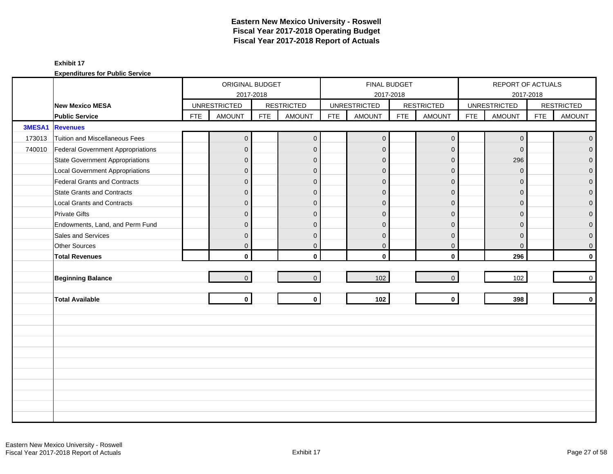|        |                                        |            | ORIGINAL BUDGET     |            |                   |            |                     | <b>FINAL BUDGET</b> |                     |            | REPORT OF ACTUALS   |            |                   |
|--------|----------------------------------------|------------|---------------------|------------|-------------------|------------|---------------------|---------------------|---------------------|------------|---------------------|------------|-------------------|
|        |                                        |            |                     | 2017-2018  |                   |            |                     | 2017-2018           |                     |            |                     | 2017-2018  |                   |
|        | <b>New Mexico MESA</b>                 |            | <b>UNRESTRICTED</b> |            | <b>RESTRICTED</b> |            | <b>UNRESTRICTED</b> |                     | <b>RESTRICTED</b>   |            | <b>UNRESTRICTED</b> |            | <b>RESTRICTED</b> |
|        | <b>Public Service</b>                  | <b>FTE</b> | <b>AMOUNT</b>       | <b>FTE</b> | <b>AMOUNT</b>     | <b>FTE</b> | <b>AMOUNT</b>       | <b>FTE</b>          | <b>AMOUNT</b>       | <b>FTE</b> | <b>AMOUNT</b>       | <b>FTE</b> | <b>AMOUNT</b>     |
| 3MESA1 | <b>Revenues</b>                        |            |                     |            |                   |            |                     |                     |                     |            |                     |            |                   |
| 173013 | Tuition and Miscellaneous Fees         |            | $\boldsymbol{0}$    |            | $\overline{0}$    |            | $\mathbf 0$         |                     | $\mathbf 0$         |            | $\mathbf 0$         |            | $\overline{0}$    |
| 740010 | Federal Government Appropriations      |            | $\mathbf 0$         |            | $\mathbf{0}$      |            | $\mathbf{0}$        |                     | $\mathbf 0$         |            | $\Omega$            |            | $\overline{0}$    |
|        | State Government Appropriations        |            | $\overline{0}$      |            | $\mathbf{0}$      |            | $\mathbf{0}$        |                     | $\mathbf{0}$        |            | 296                 |            | $\overline{0}$    |
|        | <b>Local Government Appropriations</b> |            | $\overline{0}$      |            | $\mathbf{0}$      |            | $\Omega$            |                     | $\mathbf{0}$        |            | $\Omega$            |            | $\mathbf 0$       |
|        | Federal Grants and Contracts           |            | $\overline{0}$      |            | $\mathbf{0}$      |            | $\mathbf 0$         |                     | $\mathbf{0}$        |            | $\Omega$            |            | $\overline{0}$    |
|        | <b>State Grants and Contracts</b>      |            | $\overline{0}$      |            | $\mathbf{0}$      |            | $\mathbf{0}$        |                     | $\mathbf{0}$        |            | $\Omega$            |            | $\mathbf{O}$      |
|        | <b>Local Grants and Contracts</b>      |            | 0                   |            | $\mathbf{0}$      |            | $\mathbf 0$         |                     | $\mathbf{0}$        |            | $\Omega$            |            | $\mathbf 0$       |
|        | <b>Private Gifts</b>                   |            | $\overline{0}$      |            | $\mathbf{0}$      |            | $\Omega$            |                     | $\mathbf{0}$        |            | $\Omega$            |            | $\overline{0}$    |
|        | Endowments, Land, and Perm Fund        |            | $\overline{0}$      |            | $\mathbf{0}$      |            | $\mathbf 0$         |                     | $\mathbf{0}$        |            | $\Omega$            |            | $\overline{0}$    |
|        | Sales and Services                     |            | 0                   |            | $\mathbf{0}$      |            | $\mathbf 0$         |                     | $\mathbf{0}$        |            | $\Omega$            |            | $\pmb{0}$         |
|        | Other Sources                          |            | 0                   |            | $\mathbf 0$       |            | $\mathbf 0$         |                     | $\mathbf 0$         |            | $\mathbf{0}$        |            | $\overline{0}$    |
|        | <b>Total Revenues</b>                  |            | $\mathbf{0}$        |            | $\mathbf{0}$      |            | $\mathbf 0$         |                     | $\mathbf 0$         |            | 296                 |            | $\mathbf{0}$      |
|        |                                        |            |                     |            |                   |            |                     |                     |                     |            |                     |            |                   |
|        | <b>Beginning Balance</b>               |            | $\overline{0}$      |            | $\overline{0}$    |            | 102                 |                     | $\mathsf{O}\xspace$ |            | 102                 |            | $\overline{0}$    |
|        |                                        |            |                     |            |                   |            |                     |                     |                     |            |                     |            |                   |
|        | <b>Total Available</b>                 |            | $\mathbf 0$         |            | $\mathbf{0}$      |            | 102                 |                     | $\mathbf 0$         |            | 398                 |            | $\mathbf{0}$      |
|        |                                        |            |                     |            |                   |            |                     |                     |                     |            |                     |            |                   |
|        |                                        |            |                     |            |                   |            |                     |                     |                     |            |                     |            |                   |
|        |                                        |            |                     |            |                   |            |                     |                     |                     |            |                     |            |                   |
|        |                                        |            |                     |            |                   |            |                     |                     |                     |            |                     |            |                   |
|        |                                        |            |                     |            |                   |            |                     |                     |                     |            |                     |            |                   |
|        |                                        |            |                     |            |                   |            |                     |                     |                     |            |                     |            |                   |
|        |                                        |            |                     |            |                   |            |                     |                     |                     |            |                     |            |                   |
|        |                                        |            |                     |            |                   |            |                     |                     |                     |            |                     |            |                   |
|        |                                        |            |                     |            |                   |            |                     |                     |                     |            |                     |            |                   |
|        |                                        |            |                     |            |                   |            |                     |                     |                     |            |                     |            |                   |
|        |                                        |            |                     |            |                   |            |                     |                     |                     |            |                     |            |                   |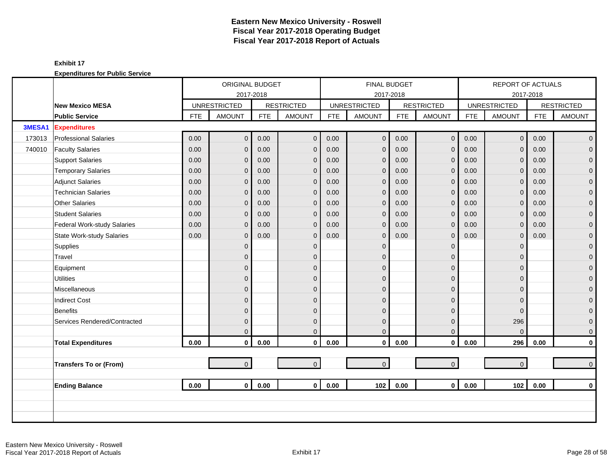|        |                              |            | ORIGINAL BUDGET     |            |                   |            |                     | <b>FINAL BUDGET</b> |                   |            | <b>REPORT OF ACTUALS</b> |            |                   |
|--------|------------------------------|------------|---------------------|------------|-------------------|------------|---------------------|---------------------|-------------------|------------|--------------------------|------------|-------------------|
|        |                              |            |                     | 2017-2018  |                   |            |                     | 2017-2018           |                   |            |                          | 2017-2018  |                   |
|        | <b>New Mexico MESA</b>       |            | <b>UNRESTRICTED</b> |            | <b>RESTRICTED</b> |            | <b>UNRESTRICTED</b> |                     | <b>RESTRICTED</b> |            | <b>UNRESTRICTED</b>      |            | <b>RESTRICTED</b> |
|        | <b>Public Service</b>        | <b>FTE</b> | <b>AMOUNT</b>       | <b>FTE</b> | <b>AMOUNT</b>     | <b>FTE</b> | <b>AMOUNT</b>       | <b>FTE</b>          | <b>AMOUNT</b>     | <b>FTE</b> | <b>AMOUNT</b>            | <b>FTE</b> | <b>AMOUNT</b>     |
| 3MESA1 | <b>Expenditures</b>          |            |                     |            |                   |            |                     |                     |                   |            |                          |            |                   |
| 173013 | <b>Professional Salaries</b> | 0.00       | $\overline{0}$      | 0.00       | $\mathbf{0}$      | 0.00       | $\mathbf 0$         | 0.00                | $\mathbf 0$       | 0.00       | $\overline{0}$           | 0.00       | $\overline{0}$    |
| 740010 | <b>Faculty Salaries</b>      | 0.00       | $\overline{0}$      | 0.00       | $\mathbf 0$       | 0.00       | $\mathbf{0}$        | 0.00                | $\mathbf{0}$      | 0.00       | $\Omega$                 | 0.00       | $\overline{0}$    |
|        | <b>Support Salaries</b>      | 0.00       | $\overline{0}$      | 0.00       | $\Omega$          | 0.00       | $\mathbf{0}$        | 0.00                | $\mathbf{0}$      | 0.00       | $\Omega$                 | 0.00       | $\overline{0}$    |
|        | <b>Temporary Salaries</b>    | 0.00       | $\mathbf{0}$        | 0.00       | $\mathbf 0$       | 0.00       | $\mathbf{0}$        | 0.00                | $\mathbf{0}$      | 0.00       | $\overline{0}$           | 0.00       | $\mathbf 0$       |
|        | Adjunct Salaries             | 0.00       | 0                   | 0.00       | $\mathbf 0$       | 0.00       | $\mathbf{0}$        | 0.00                | $\mathbf{0}$      | 0.00       | $\Omega$                 | 0.00       | $\mathbf{O}$      |
|        | <b>Technician Salaries</b>   | 0.00       | $\overline{0}$      | 0.00       | $\mathbf 0$       | 0.00       | $\mathbf{0}$        | 0.00                | $\mathbf 0$       | 0.00       | $\Omega$                 | 0.00       | $\mathbf{O}$      |
|        | <b>Other Salaries</b>        | 0.00       | $\mathbf{0}$        | 0.00       | $\mathbf{0}$      | 0.00       | $\mathbf{0}$        | 0.00                | $\mathbf{0}$      | 0.00       | $\mathbf{0}$             | 0.00       | $\mathbf 0$       |
|        | <b>Student Salaries</b>      | 0.00       | $\overline{0}$      | 0.00       | $\Omega$          | 0.00       | $\mathbf{0}$        | 0.00                | $\mathbf{0}$      | 0.00       | $\Omega$                 | 0.00       | $\mathbf{O}$      |
|        | Federal Work-study Salaries  | 0.00       | $\overline{0}$      | 0.00       | $\Omega$          | 0.00       | $\mathbf{0}$        | 0.00                | $\mathbf{0}$      | 0.00       | $\Omega$                 | 0.00       | $\overline{0}$    |
|        | State Work-study Salaries    | 0.00       | $\overline{0}$      | 0.00       | $\Omega$          | 0.00       | $\mathbf{0}$        | 0.00                | $\mathbf{0}$      | 0.00       | $\overline{0}$           | 0.00       | $\mathbf 0$       |
|        | Supplies                     |            | $\overline{0}$      |            | $\Omega$          |            | $\mathbf 0$         |                     | $\mathbf{0}$      |            | $\Omega$                 |            | $\mathbf{O}$      |
|        | Travel                       |            | $\overline{0}$      |            | $\Omega$          |            | $\Omega$            |                     | $\mathbf{0}$      |            | $\Omega$                 |            | $\mathbf{O}$      |
|        | Equipment                    |            | $\overline{0}$      |            | $\Omega$          |            | $\Omega$            |                     | $\mathbf{0}$      |            | $\Omega$                 |            | $\pmb{0}$         |
|        | <b>Utilities</b>             |            | $\overline{0}$      |            | $\mathbf{0}$      |            | $\mathbf{0}$        |                     | $\mathbf 0$       |            | $\Omega$                 |            | $\mathbf 0$       |
|        | Miscellaneous                |            | $\Omega$            |            | $\Omega$          |            | $\Omega$            |                     | $\Omega$          |            | $\Omega$                 |            | $\mathbf{0}$      |
|        | <b>Indirect Cost</b>         |            | $\overline{0}$      |            | $\Omega$          |            | $\Omega$            |                     | $\Omega$          |            | $\Omega$                 |            | $\mathbf 0$       |
|        | <b>Benefits</b>              |            | $\overline{0}$      |            | $\Omega$          |            | $\Omega$            |                     | $\mathbf{0}$      |            | $\Omega$                 |            | $\mathbf{O}$      |
|        | Services Rendered/Contracted |            | $\mathbf{0}$        |            | $\mathbf{0}$      |            | $\mathbf{0}$        |                     | $\mathbf{0}$      |            | 296                      |            | $\mathbf{O}$      |
|        |                              |            | $\Omega$            |            | $\Omega$          |            | $\mathbf 0$         |                     | $\mathbf{0}$      |            | $\Omega$                 |            | $\mathbf{0}$      |
|        | <b>Total Expenditures</b>    | 0.00       | 0                   | 0.00       | $\mathbf 0$       | 0.00       | $\pmb{0}$           | 0.00                | $\mathbf 0$       | 0.00       | 296                      | 0.00       | $\mathbf{0}$      |
|        |                              |            |                     |            |                   |            |                     |                     |                   |            |                          |            |                   |
|        | Transfers To or (From)       |            | $\overline{0}$      |            | $\overline{0}$    |            | $\overline{0}$      |                     | $\mathbf{0}$      |            | $\Omega$                 |            | $\overline{0}$    |
|        |                              |            |                     |            |                   |            |                     |                     |                   |            |                          |            |                   |
|        | <b>Ending Balance</b>        | 0.00       | $\mathbf{0}$        | 0.00       | $\Omega$          | 0.00       | 102                 | 0.00                | $\mathbf{0}$      | 0.00       | 102                      | 0.00       | $\mathbf 0$       |
|        |                              |            |                     |            |                   |            |                     |                     |                   |            |                          |            |                   |
|        |                              |            |                     |            |                   |            |                     |                     |                   |            |                          |            |                   |
|        |                              |            |                     |            |                   |            |                     |                     |                   |            |                          |            |                   |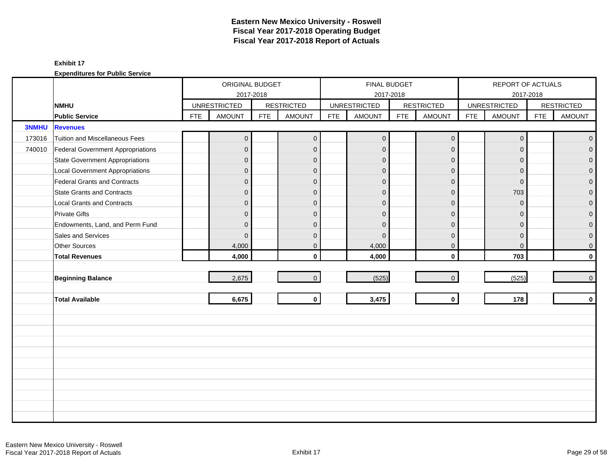|              |                                          |            | ORIGINAL BUDGET     |            |                   |            |                     | FINAL BUDGET |                   |            | REPORT OF ACTUALS   |            |                   |
|--------------|------------------------------------------|------------|---------------------|------------|-------------------|------------|---------------------|--------------|-------------------|------------|---------------------|------------|-------------------|
|              |                                          |            | 2017-2018           |            |                   |            |                     | 2017-2018    |                   |            | 2017-2018           |            |                   |
|              | <b>NMHU</b>                              |            | <b>UNRESTRICTED</b> |            | <b>RESTRICTED</b> |            | <b>UNRESTRICTED</b> |              | <b>RESTRICTED</b> |            | <b>UNRESTRICTED</b> |            | <b>RESTRICTED</b> |
|              | <b>Public Service</b>                    | <b>FTE</b> | <b>AMOUNT</b>       | <b>FTE</b> | <b>AMOUNT</b>     | <b>FTE</b> | <b>AMOUNT</b>       | <b>FTE</b>   | <b>AMOUNT</b>     | <b>FTE</b> | <b>AMOUNT</b>       | <b>FTE</b> | <b>AMOUNT</b>     |
| <b>3NMHU</b> | <b>Revenues</b>                          |            |                     |            |                   |            |                     |              |                   |            |                     |            |                   |
| 173016       | Tuition and Miscellaneous Fees           |            | $\mathbf 0$         |            | $\mathbf 0$       |            | $\mathbf 0$         |              | $\mathbf 0$       |            | $\mathbf 0$         |            | $\mathbf 0$       |
| 740010       | <b>Federal Government Appropriations</b> |            | $\mathbf 0$         |            | $\mathbf{0}$      |            | $\mathbf 0$         |              | $\mathbf 0$       |            | $\mathbf{0}$        |            | $\overline{0}$    |
|              | <b>State Government Appropriations</b>   |            | $\mathbf 0$         |            | $\Omega$          |            | $\mathbf{0}$        |              | $\mathbf{0}$      |            | $\Omega$            |            | $\overline{0}$    |
|              | <b>Local Government Appropriations</b>   |            | $\mathbf 0$         |            | $\mathbf{0}$      |            | $\mathbf{0}$        |              | $\mathbf 0$       |            | $\mathbf{0}$        |            | 0                 |
|              | <b>Federal Grants and Contracts</b>      |            | $\mathbf 0$         |            | $\mathbf{0}$      |            | $\mathbf{0}$        |              | $\mathbf 0$       |            | $\mathbf{0}$        |            | $\overline{0}$    |
|              | <b>State Grants and Contracts</b>        |            | $\mathbf{0}$        |            | $\Omega$          |            | $\Omega$            |              | $\Omega$          |            | 703                 |            | $\Omega$          |
|              | <b>Local Grants and Contracts</b>        |            | $\mathbf{0}$        |            | $\mathbf{0}$      |            | $\Omega$            |              | $\mathbf{0}$      |            | $\mathbf{0}$        |            | 0                 |
|              | <b>Private Gifts</b>                     |            | $\overline{0}$      |            | $\mathbf{0}$      |            | $\mathbf{0}$        |              | $\mathbf 0$       |            | $\Omega$            |            | $\overline{0}$    |
|              | Endowments, Land, and Perm Fund          |            | $\mathbf 0$         |            | $\mathbf{0}$      |            | $\mathbf{0}$        |              | $\mathbf{0}$      |            | $\mathbf{0}$        |            | $\overline{0}$    |
|              | Sales and Services                       |            | $\Omega$            |            | $\Omega$          |            | $\Omega$            |              | $\mathbf{0}$      |            | $\mathbf{0}$        |            | $\mathbf 0$       |
|              | <b>Other Sources</b>                     |            | 4,000               |            | $\mathbf{0}$      |            | 4,000               |              | $\mathbf 0$       |            | $\mathbf 0$         |            | $\mathbf 0$       |
|              | <b>Total Revenues</b>                    |            | 4,000               |            | $\mathbf{0}$      |            | 4,000               |              | $\mathbf 0$       |            | 703                 |            | $\mathbf 0$       |
|              |                                          |            |                     |            |                   |            |                     |              |                   |            |                     |            |                   |
|              | <b>Beginning Balance</b>                 |            | 2,675               |            | $\Omega$          |            | (525)               |              | $\mathbf 0$       |            | (525)               |            | $\mathbf 0$       |
|              |                                          |            |                     |            |                   |            |                     |              |                   |            |                     |            |                   |
|              | <b>Total Available</b>                   |            | 6,675               |            | $\mathbf 0$       |            | 3,475               |              | $\mathbf 0$       |            | 178                 |            | $\mathbf 0$       |
|              |                                          |            |                     |            |                   |            |                     |              |                   |            |                     |            |                   |
|              |                                          |            |                     |            |                   |            |                     |              |                   |            |                     |            |                   |
|              |                                          |            |                     |            |                   |            |                     |              |                   |            |                     |            |                   |
|              |                                          |            |                     |            |                   |            |                     |              |                   |            |                     |            |                   |
|              |                                          |            |                     |            |                   |            |                     |              |                   |            |                     |            |                   |
|              |                                          |            |                     |            |                   |            |                     |              |                   |            |                     |            |                   |
|              |                                          |            |                     |            |                   |            |                     |              |                   |            |                     |            |                   |
|              |                                          |            |                     |            |                   |            |                     |              |                   |            |                     |            |                   |
|              |                                          |            |                     |            |                   |            |                     |              |                   |            |                     |            |                   |
|              |                                          |            |                     |            |                   |            |                     |              |                   |            |                     |            |                   |
|              |                                          |            |                     |            |                   |            |                     |              |                   |            |                     |            |                   |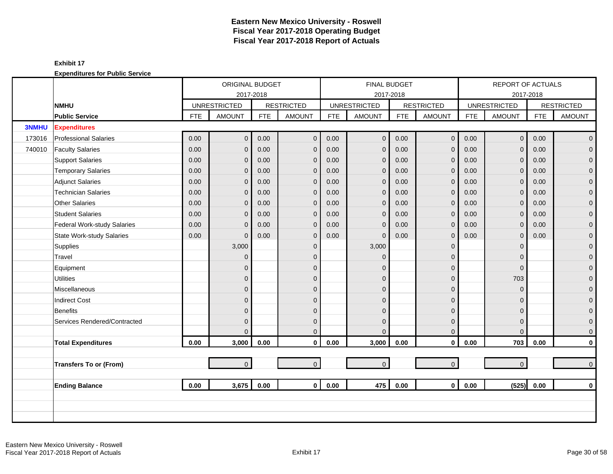|              |                                  |            | ORIGINAL BUDGET     |            |                   |            | <b>FINAL BUDGET</b> |            |                   |            | REPORT OF ACTUALS   |            |                     |
|--------------|----------------------------------|------------|---------------------|------------|-------------------|------------|---------------------|------------|-------------------|------------|---------------------|------------|---------------------|
|              |                                  |            | 2017-2018           |            |                   |            |                     | 2017-2018  |                   |            |                     | 2017-2018  |                     |
|              | <b>NMHU</b>                      |            | <b>UNRESTRICTED</b> |            | <b>RESTRICTED</b> |            | <b>UNRESTRICTED</b> |            | <b>RESTRICTED</b> |            | <b>UNRESTRICTED</b> |            | <b>RESTRICTED</b>   |
|              | <b>Public Service</b>            | <b>FTE</b> | <b>AMOUNT</b>       | <b>FTE</b> | <b>AMOUNT</b>     | <b>FTE</b> | <b>AMOUNT</b>       | <b>FTE</b> | <b>AMOUNT</b>     | <b>FTE</b> | <b>AMOUNT</b>       | <b>FTE</b> | <b>AMOUNT</b>       |
| <b>3NMHU</b> | <b>Expenditures</b>              |            |                     |            |                   |            |                     |            |                   |            |                     |            |                     |
| 173016       | <b>Professional Salaries</b>     | 0.00       | $\overline{0}$      | 0.00       | $\mathbf{0}$      | 0.00       | $\mathbf 0$         | 0.00       | $\mathbf 0$       | 0.00       | $\overline{0}$      | 0.00       | $\overline{0}$      |
| 740010       | <b>Faculty Salaries</b>          | 0.00       | $\overline{0}$      | 0.00       | $\mathbf{0}$      | 0.00       | $\mathbf{0}$        | 0.00       | $\mathbf 0$       | 0.00       | $\Omega$            | 0.00       | $\mathbf 0$         |
|              | <b>Support Salaries</b>          | 0.00       | $\overline{0}$      | 0.00       | $\mathbf{0}$      | 0.00       | $\mathbf{0}$        | 0.00       | $\mathbf 0$       | 0.00       | $\mathbf{0}$        | 0.00       | $\mathbf 0$         |
|              | <b>Temporary Salaries</b>        | 0.00       | $\mathbf{0}$        | 0.00       | $\mathbf{0}$      | 0.00       | $\mathbf{0}$        | 0.00       | $\mathbf 0$       | 0.00       | $\mathbf{0}$        | 0.00       | $\pmb{0}$           |
|              | <b>Adjunct Salaries</b>          | 0.00       | $\overline{0}$      | 0.00       | $\mathbf{0}$      | 0.00       | $\mathbf{0}$        | 0.00       | $\mathbf 0$       | 0.00       | $\Omega$            | 0.00       | $\mathbf 0$         |
|              | <b>Technician Salaries</b>       | 0.00       | $\mathbf{0}$        | 0.00       | $\mathbf 0$       | 0.00       | $\mathbf{0}$        | 0.00       | $\mathbf 0$       | 0.00       | $\mathbf{0}$        | 0.00       | $\mathbf 0$         |
|              | <b>Other Salaries</b>            | 0.00       | $\mathbf{0}$        | 0.00       | $\mathbf{0}$      | 0.00       | $\mathbf{0}$        | 0.00       | $\mathbf 0$       | 0.00       | $\mathbf{0}$        | 0.00       | $\pmb{0}$           |
|              | <b>Student Salaries</b>          | 0.00       | $\Omega$            | 0.00       | $\Omega$          | 0.00       | $\mathbf{0}$        | 0.00       | $\mathbf{0}$      | 0.00       | $\Omega$            | 0.00       | $\overline{0}$      |
|              | Federal Work-study Salaries      | 0.00       | $\Omega$            | 0.00       | $\mathbf{0}$      | 0.00       | $\overline{0}$      | 0.00       | $\mathbf 0$       | 0.00       | $\mathbf{0}$        | 0.00       | $\mathbf{0}$        |
|              | <b>State Work-study Salaries</b> | 0.00       | $\Omega$            | 0.00       | $\mathbf{0}$      | 0.00       | $\Omega$            | 0.00       | $\mathbf 0$       | 0.00       | $\mathbf 0$         | 0.00       | $\pmb{0}$           |
|              | Supplies                         |            | 3,000               |            | $\mathbf{0}$      |            | 3,000               |            | $\mathbf 0$       |            | $\Omega$            |            | $\mathbf 0$         |
|              | Travel                           |            | $\overline{0}$      |            | $\Omega$          |            | $\Omega$            |            | $\mathbf 0$       |            | $\Omega$            |            | $\mathbf 0$         |
|              | Equipment                        |            | 0                   |            | $\mathbf{0}$      |            | $\Omega$            |            | $\mathbf 0$       |            | $\mathbf 0$         |            | $\pmb{0}$           |
|              | <b>Utilities</b>                 |            | $\mathbf{0}$        |            | $\mathbf{0}$      |            | $\mathbf{0}$        |            | $\pmb{0}$         |            | 703                 |            | $\overline{0}$      |
|              | Miscellaneous                    |            | $\Omega$            |            | $\Omega$          |            | $\Omega$            |            | $\mathbf{0}$      |            | $\Omega$            |            | $\mathsf{O}\xspace$ |
|              | <b>Indirect Cost</b>             |            | $\overline{0}$      |            | $\Omega$          |            | $\Omega$            |            | $\mathbf{0}$      |            | $\Omega$            |            | $\mathbf 0$         |
|              | Benefits                         |            | 0                   |            | $\Omega$          |            | $\Omega$            |            | $\mathbf 0$       |            | $\Omega$            |            | $\mathbf{0}$        |
|              | Services Rendered/Contracted     |            | $\overline{0}$      |            | $\mathbf{0}$      |            | $\mathbf{0}$        |            | $\mathbf 0$       |            | $\Omega$            |            | $\mathbf 0$         |
|              |                                  |            | $\Omega$            |            | $\Omega$          |            | $\Omega$            |            | $\mathbf 0$       |            | $\Omega$            |            | $\mathbf 0$         |
|              | <b>Total Expenditures</b>        | 0.00       | 3,000               | 0.00       | $\mathbf 0$       | 0.00       | 3,000               | 0.00       | $\mathbf 0$       | 0.00       | 703                 | 0.00       | $\pmb{0}$           |
|              |                                  |            |                     |            |                   |            |                     |            |                   |            |                     |            |                     |
|              | <b>Transfers To or (From)</b>    |            | $\overline{0}$      |            | $\overline{0}$    |            | $\mathbf 0$         |            | $\mathbf{0}$      |            | $\overline{0}$      |            | $\mathbf 0$         |
|              |                                  |            |                     |            |                   |            |                     |            |                   |            |                     |            |                     |
|              | <b>Ending Balance</b>            | 0.00       | 3,675               | 0.00       | $\mathbf{0}$      | 0.00       | 475                 | 0.00       | $\mathbf{0}$      | 0.00       | (525)               | 0.00       | $\mathbf 0$         |
|              |                                  |            |                     |            |                   |            |                     |            |                   |            |                     |            |                     |
|              |                                  |            |                     |            |                   |            |                     |            |                   |            |                     |            |                     |
|              |                                  |            |                     |            |                   |            |                     |            |                   |            |                     |            |                     |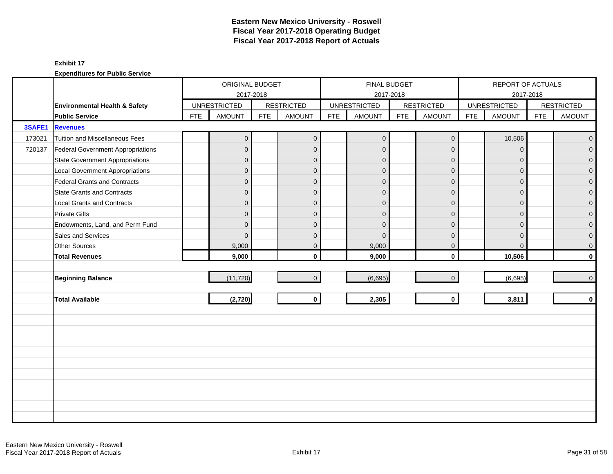|        |                                          |            | ORIGINAL BUDGET     |            |                   |            |                     | FINAL BUDGET |                   |            | REPORT OF ACTUALS   |            |                   |
|--------|------------------------------------------|------------|---------------------|------------|-------------------|------------|---------------------|--------------|-------------------|------------|---------------------|------------|-------------------|
|        |                                          |            | 2017-2018           |            |                   |            |                     | 2017-2018    |                   |            | 2017-2018           |            |                   |
|        | Environmental Health & Safety            |            | <b>UNRESTRICTED</b> |            | <b>RESTRICTED</b> |            | <b>UNRESTRICTED</b> |              | <b>RESTRICTED</b> |            | <b>UNRESTRICTED</b> |            | <b>RESTRICTED</b> |
|        | <b>Public Service</b>                    | <b>FTE</b> | <b>AMOUNT</b>       | <b>FTE</b> | <b>AMOUNT</b>     | <b>FTE</b> | <b>AMOUNT</b>       | <b>FTE</b>   | <b>AMOUNT</b>     | <b>FTE</b> | <b>AMOUNT</b>       | <b>FTE</b> | <b>AMOUNT</b>     |
| 3SAFE1 | <b>Revenues</b>                          |            |                     |            |                   |            |                     |              |                   |            |                     |            |                   |
| 173021 | Tuition and Miscellaneous Fees           |            | $\mathbf{0}$        |            | $\mathbf{0}$      |            | $\mathbf 0$         |              | $\mathbf 0$       |            | 10,506              |            | $\mathbf{0}$      |
| 720137 | <b>Federal Government Appropriations</b> |            | $\mathbf{0}$        |            | $\mathbf 0$       |            | $\mathbf 0$         |              | $\mathbf{0}$      |            | $\mathbf 0$         |            | $\overline{0}$    |
|        | <b>State Government Appropriations</b>   |            | $\overline{0}$      |            | $\Omega$          |            | $\Omega$            |              | $\mathbf{0}$      |            | $\Omega$            |            | $\overline{0}$    |
|        | <b>Local Government Appropriations</b>   |            | $\overline{0}$      |            | $\mathbf{0}$      |            | $\Omega$            |              | $\mathbf{0}$      |            | $\mathbf{0}$        |            | 0                 |
|        | Federal Grants and Contracts             |            | $\mathbf{0}$        |            | $\mathbf{0}$      |            | $\mathbf{0}$        |              | $\mathbf{0}$      |            | $\Omega$            |            | $\overline{0}$    |
|        | <b>State Grants and Contracts</b>        |            | $\overline{0}$      |            | $\Omega$          |            | $\Omega$            |              | $\Omega$          |            | $\Omega$            |            | $\Omega$          |
|        | <b>Local Grants and Contracts</b>        |            | $\overline{0}$      |            | $\mathbf{0}$      |            | $\Omega$            |              | $\mathbf{0}$      |            | $\Omega$            |            | $\mathbf 0$       |
|        | <b>Private Gifts</b>                     |            | $\overline{0}$      |            | $\mathbf{0}$      |            | $\mathbf{0}$        |              | $\mathbf{0}$      |            | $\Omega$            |            | $\overline{0}$    |
|        | Endowments, Land, and Perm Fund          |            | $\overline{0}$      |            | $\mathbf{0}$      |            | $\Omega$            |              | $\mathbf{0}$      |            | $\mathbf{0}$        |            | $\mathbf{0}$      |
|        | Sales and Services                       |            | $\Omega$            |            | $\mathbf{0}$      |            | $\Omega$            |              | $\mathbf{0}$      |            | $\Omega$            |            | $\mathbf 0$       |
|        | Other Sources                            |            | 9,000               |            | $\mathbf 0$       |            | 9,000               |              | $\mathbf 0$       |            | $\mathbf{0}$        |            | $\mathbf 0$       |
|        | <b>Total Revenues</b>                    |            | 9,000               |            | $\mathbf{0}$      |            | 9,000               |              | $\mathbf 0$       |            | 10,506              |            | $\mathbf 0$       |
|        |                                          |            |                     |            |                   |            |                     |              |                   |            |                     |            |                   |
|        | <b>Beginning Balance</b>                 |            | (11, 720)           |            | $\overline{0}$    |            | (6,695)             |              | $\mathbf 0$       |            | (6,695)             |            | $\mathbf{O}$      |
|        |                                          |            |                     |            |                   |            |                     |              |                   |            |                     |            |                   |
|        | <b>Total Available</b>                   |            | (2,720)             |            | $\mathbf{0}$      |            | 2,305               |              | $\mathbf 0$       |            | 3,811               |            | $\mathbf 0$       |
|        |                                          |            |                     |            |                   |            |                     |              |                   |            |                     |            |                   |
|        |                                          |            |                     |            |                   |            |                     |              |                   |            |                     |            |                   |
|        |                                          |            |                     |            |                   |            |                     |              |                   |            |                     |            |                   |
|        |                                          |            |                     |            |                   |            |                     |              |                   |            |                     |            |                   |
|        |                                          |            |                     |            |                   |            |                     |              |                   |            |                     |            |                   |
|        |                                          |            |                     |            |                   |            |                     |              |                   |            |                     |            |                   |
|        |                                          |            |                     |            |                   |            |                     |              |                   |            |                     |            |                   |
|        |                                          |            |                     |            |                   |            |                     |              |                   |            |                     |            |                   |
|        |                                          |            |                     |            |                   |            |                     |              |                   |            |                     |            |                   |
|        |                                          |            |                     |            |                   |            |                     |              |                   |            |                     |            |                   |
|        |                                          |            |                     |            |                   |            |                     |              |                   |            |                     |            |                   |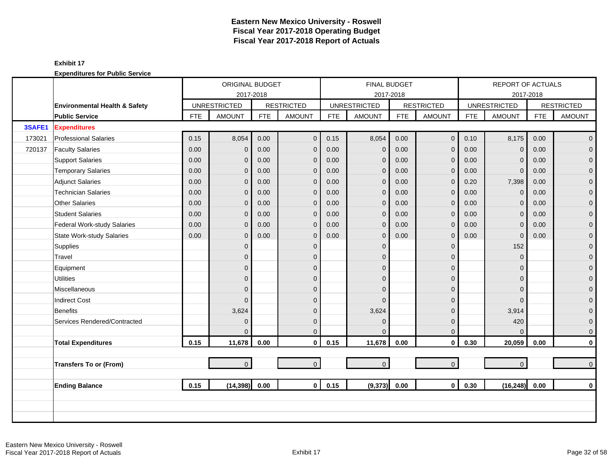|        |                                  |            | ORIGINAL BUDGET     |            |                   |            | <b>FINAL BUDGET</b> |            |                   |            | REPORT OF ACTUALS   |            |                     |
|--------|----------------------------------|------------|---------------------|------------|-------------------|------------|---------------------|------------|-------------------|------------|---------------------|------------|---------------------|
|        |                                  |            | 2017-2018           |            |                   |            | 2017-2018           |            |                   |            |                     | 2017-2018  |                     |
|        | Environmental Health & Safety    |            | <b>UNRESTRICTED</b> |            | <b>RESTRICTED</b> |            | <b>UNRESTRICTED</b> |            | <b>RESTRICTED</b> |            | <b>UNRESTRICTED</b> |            | <b>RESTRICTED</b>   |
|        | <b>Public Service</b>            | <b>FTE</b> | <b>AMOUNT</b>       | <b>FTE</b> | <b>AMOUNT</b>     | <b>FTE</b> | <b>AMOUNT</b>       | <b>FTE</b> | <b>AMOUNT</b>     | <b>FTE</b> | <b>AMOUNT</b>       | <b>FTE</b> | <b>AMOUNT</b>       |
| 3SAFE1 | <b>Expenditures</b>              |            |                     |            |                   |            |                     |            |                   |            |                     |            |                     |
| 173021 | <b>Professional Salaries</b>     | 0.15       | 8,054               | 0.00       | $\mathbf{0}$      | 0.15       | 8,054               | 0.00       | $\mathbf{0}$      | 0.10       | 8,175               | 0.00       | $\overline{0}$      |
| 720137 | <b>Faculty Salaries</b>          | 0.00       | $\mathbf 0$         | 0.00       | $\mathbf{0}$      | 0.00       | $\mathbf{0}$        | 0.00       | $\mathbf 0$       | 0.00       | $\mathbf 0$         | 0.00       | $\mathbf 0$         |
|        | <b>Support Salaries</b>          | 0.00       | $\mathbf 0$         | 0.00       | $\mathbf{0}$      | 0.00       | $\mathbf{0}$        | 0.00       | $\mathbf 0$       | 0.00       | $\Omega$            | 0.00       | $\mathbf{0}$        |
|        | <b>Temporary Salaries</b>        | 0.00       | $\mathbf{0}$        | 0.00       | $\mathbf{0}$      | 0.00       | $\mathbf{0}$        | 0.00       | $\mathbf 0$       | 0.00       | $\mathbf 0$         | 0.00       | $\pmb{0}$           |
|        | <b>Adjunct Salaries</b>          | 0.00       | $\mathbf{0}$        | 0.00       | $\mathbf{0}$      | 0.00       | $\mathbf 0$         | 0.00       | $\mathbf 0$       | 0.20       | 7,398               | 0.00       | $\mathbf 0$         |
|        | <b>Technician Salaries</b>       | 0.00       | $\mathbf{0}$        | 0.00       | $\mathbf{0}$      | 0.00       | $\mathbf{0}$        | 0.00       | $\mathbf{0}$      | 0.00       | $\Omega$            | 0.00       | $\overline{0}$      |
|        | Other Salaries                   | 0.00       | $\mathbf{0}$        | 0.00       | $\mathbf{0}$      | 0.00       | $\mathbf{0}$        | 0.00       | $\mathbf{0}$      | 0.00       | $\mathbf 0$         | 0.00       | $\mathbf 0$         |
|        | <b>Student Salaries</b>          | 0.00       | $\overline{0}$      | 0.00       | $\mathbf{0}$      | 0.00       | $\mathbf{0}$        | 0.00       | $\mathbf 0$       | 0.00       | $\Omega$            | 0.00       | $\overline{0}$      |
|        | Federal Work-study Salaries      | 0.00       | $\mathbf{0}$        | 0.00       | $\mathbf 0$       | 0.00       | $\mathbf{0}$        | 0.00       | $\mathbf 0$       | 0.00       | $\mathbf 0$         | 0.00       | $\mathbf{0}$        |
|        | <b>State Work-study Salaries</b> | 0.00       | $\mathbf{0}$        | 0.00       | $\mathbf{0}$      | 0.00       | $\mathbf{0}$        | 0.00       | $\mathbf 0$       | 0.00       | $\mathbf 0$         | 0.00       | $\pmb{0}$           |
|        | Supplies                         |            | $\overline{0}$      |            | $\mathbf{0}$      |            | $\Omega$            |            | $\mathbf 0$       |            | 152                 |            | $\mathbf 0$         |
|        | Travel                           |            | $\overline{0}$      |            | $\Omega$          |            | $\Omega$            |            | $\mathbf{0}$      |            | $\Omega$            |            | $\overline{0}$      |
|        | Equipment                        |            | 0                   |            | $\Omega$          |            | $\Omega$            |            | $\mathbf 0$       |            | $\Omega$            |            | $\boldsymbol{0}$    |
|        | <b>Utilities</b>                 |            | $\overline{0}$      |            | $\overline{0}$    |            | $\Omega$            |            | $\mathbf 0$       |            | $\Omega$            |            | $\mathbf 0$         |
|        | Miscellaneous                    |            | $\overline{0}$      |            | $\mathbf{0}$      |            | $\Omega$            |            | $\mathbf 0$       |            | $\Omega$            |            | $\mathsf{O}\xspace$ |
|        | <b>Indirect Cost</b>             |            | $\Omega$            |            | $\Omega$          |            | $\Omega$            |            | $\mathbf 0$       |            | $\Omega$            |            | $\boldsymbol{0}$    |
|        | Benefits                         |            | 3,624               |            | $\Omega$          |            | 3,624               |            | $\mathbf{0}$      |            | 3,914               |            | $\overline{0}$      |
|        | Services Rendered/Contracted     |            | $\mathbf{0}$        |            | $\Omega$          |            | $\Omega$            |            | $\mathbf 0$       |            | 420                 |            | $\mathbf 0$         |
|        |                                  |            | $\Omega$            |            | $\Omega$          |            | $\Omega$            |            | $\mathbf{0}$      |            | $\Omega$            |            | $\mathbf{0}$        |
|        | <b>Total Expenditures</b>        | 0.15       | 11,678              | 0.00       | $\mathbf 0$       | 0.15       | 11,678              | 0.00       | $\mathbf 0$       | 0.30       | 20,059              | 0.00       | $\mathbf 0$         |
|        |                                  |            |                     |            |                   |            |                     |            |                   |            |                     |            |                     |
|        | <b>Transfers To or (From)</b>    |            | $\overline{0}$      |            | $\Omega$          |            | $\mathbf 0$         |            | $\overline{0}$    |            | $\overline{0}$      |            | $\mathbf 0$         |
|        |                                  |            |                     |            |                   |            |                     |            |                   |            |                     |            |                     |
|        | <b>Ending Balance</b>            | 0.15       | (14, 398)           | 0.00       | $\mathbf{0}$      | 0.15       | (9, 373)            | 0.00       | $\mathbf{0}$      | 0.30       | (16, 248)           | 0.00       | $\mathbf{0}$        |
|        |                                  |            |                     |            |                   |            |                     |            |                   |            |                     |            |                     |
|        |                                  |            |                     |            |                   |            |                     |            |                   |            |                     |            |                     |
|        |                                  |            |                     |            |                   |            |                     |            |                   |            |                     |            |                     |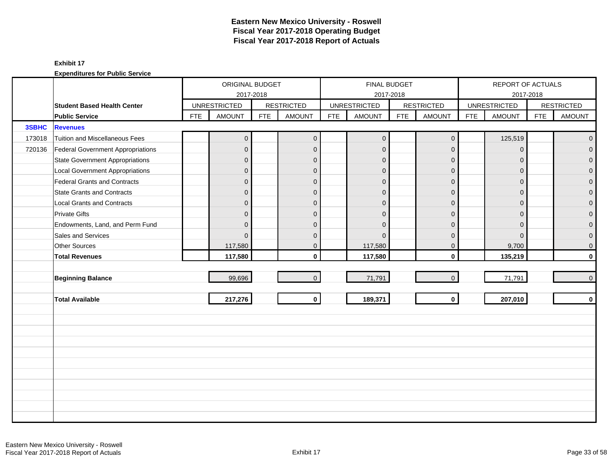|        |                                    |            | ORIGINAL BUDGET     |            |                   |            |                     | <b>FINAL BUDGET</b> |                   |            | REPORT OF ACTUALS   |            |                     |
|--------|------------------------------------|------------|---------------------|------------|-------------------|------------|---------------------|---------------------|-------------------|------------|---------------------|------------|---------------------|
|        |                                    |            |                     | 2017-2018  |                   |            |                     | 2017-2018           |                   |            | 2017-2018           |            |                     |
|        | <b>Student Based Health Center</b> |            | <b>UNRESTRICTED</b> |            | <b>RESTRICTED</b> |            | <b>UNRESTRICTED</b> |                     | <b>RESTRICTED</b> |            | <b>UNRESTRICTED</b> |            | <b>RESTRICTED</b>   |
|        | <b>Public Service</b>              | <b>FTE</b> | <b>AMOUNT</b>       | <b>FTE</b> | <b>AMOUNT</b>     | <b>FTE</b> | <b>AMOUNT</b>       | <b>FTE</b>          | <b>AMOUNT</b>     | <b>FTE</b> | <b>AMOUNT</b>       | <b>FTE</b> | <b>AMOUNT</b>       |
| 3SBHC  | <b>Revenues</b>                    |            |                     |            |                   |            |                     |                     |                   |            |                     |            |                     |
| 173018 | Tuition and Miscellaneous Fees     |            | $\mathbf 0$         |            | $\mathbf{0}$      |            | $\mathbf{0}$        |                     | $\mathbf 0$       |            | 125,519             |            | $\overline{0}$      |
| 720136 | Federal Government Appropriations  |            | $\mathbf 0$         |            | $\mathbf{0}$      |            | $\mathbf 0$         |                     | $\mathbf 0$       |            | $\Omega$            |            | $\mathbf{0}$        |
|        | State Government Appropriations    |            | 0                   |            | $\mathbf{0}$      |            | $\mathbf 0$         |                     | $\mathbf 0$       |            | $\Omega$            |            | $\mathbf 0$         |
|        | Local Government Appropriations    |            | $\overline{0}$      |            | $\mathbf{0}$      |            | $\Omega$            |                     | $\mathbf{0}$      |            | $\Omega$            |            | $\mathbf 0$         |
|        | Federal Grants and Contracts       |            | $\overline{0}$      |            | $\overline{0}$    |            | $\Omega$            |                     | $\mathbf{0}$      |            | $\Omega$            |            | $\mathbf 0$         |
|        | State Grants and Contracts         |            | $\overline{0}$      |            | $\mathbf{0}$      |            | $\Omega$            |                     | $\mathbf 0$       |            | $\Omega$            |            | $\mathsf{O}\xspace$ |
|        | Local Grants and Contracts         |            | $\mathbf 0$         |            | $\mathbf{0}$      |            | $\Omega$            |                     | $\mathbf 0$       |            | $\Omega$            |            | $\pmb{0}$           |
|        | <b>Private Gifts</b>               |            | $\overline{0}$      |            | $\Omega$          |            | $\Omega$            |                     | $\mathbf{0}$      |            | $\Omega$            |            | $\mathbf 0$         |
|        | Endowments, Land, and Perm Fund    |            | $\overline{0}$      |            | $\Omega$          |            | $\Omega$            |                     | $\mathbf{0}$      |            | $\Omega$            |            | $\mathbf 0$         |
|        | Sales and Services                 |            | $\Omega$            |            | $\mathbf{0}$      |            | $\Omega$            |                     | $\mathbf{0}$      |            | $\Omega$            |            | $\mathbf 0$         |
|        | Other Sources                      |            | 117,580             |            | $\mathbf{0}$      |            | 117,580             |                     | $\mathbf 0$       |            | 9,700               |            | $\pmb{0}$           |
|        | <b>Total Revenues</b>              |            | 117,580             |            | $\mathbf{0}$      |            | 117,580             |                     | $\mathbf 0$       |            | 135,219             |            | $\mathbf 0$         |
|        |                                    |            |                     |            |                   |            |                     |                     |                   |            |                     |            |                     |
|        | <b>Beginning Balance</b>           |            | 99,696              |            | $\overline{0}$    |            | 71,791              |                     | $\mathbf{0}$      |            | 71,791              |            | $\overline{0}$      |
|        |                                    |            |                     |            |                   |            |                     |                     |                   |            |                     |            |                     |
|        | <b>Total Available</b>             |            | 217,276             |            | $\mathbf{0}$      |            | 189,371             |                     | $\mathbf{0}$      |            | 207,010             |            | $\mathbf 0$         |
|        |                                    |            |                     |            |                   |            |                     |                     |                   |            |                     |            |                     |
|        |                                    |            |                     |            |                   |            |                     |                     |                   |            |                     |            |                     |
|        |                                    |            |                     |            |                   |            |                     |                     |                   |            |                     |            |                     |
|        |                                    |            |                     |            |                   |            |                     |                     |                   |            |                     |            |                     |
|        |                                    |            |                     |            |                   |            |                     |                     |                   |            |                     |            |                     |
|        |                                    |            |                     |            |                   |            |                     |                     |                   |            |                     |            |                     |
|        |                                    |            |                     |            |                   |            |                     |                     |                   |            |                     |            |                     |
|        |                                    |            |                     |            |                   |            |                     |                     |                   |            |                     |            |                     |
|        |                                    |            |                     |            |                   |            |                     |                     |                   |            |                     |            |                     |
|        |                                    |            |                     |            |                   |            |                     |                     |                   |            |                     |            |                     |
|        |                                    |            |                     |            |                   |            |                     |                     |                   |            |                     |            |                     |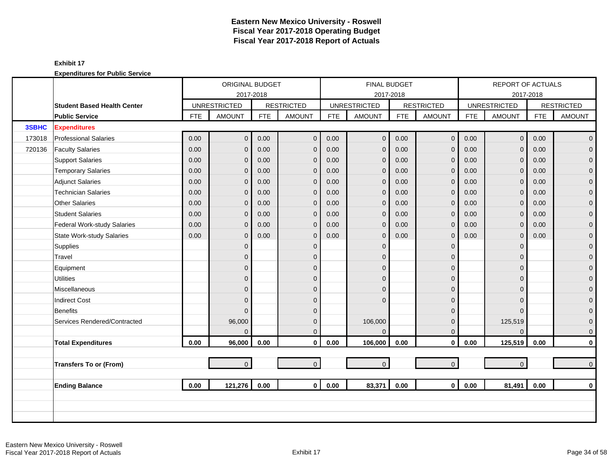|        |                                    | ORIGINAL BUDGET     |                |                   |                | <b>FINAL BUDGET</b> |                |                   |                | <b>REPORT OF ACTUALS</b> |                |                   |                |
|--------|------------------------------------|---------------------|----------------|-------------------|----------------|---------------------|----------------|-------------------|----------------|--------------------------|----------------|-------------------|----------------|
|        |                                    | 2017-2018           |                |                   |                | 2017-2018           |                |                   |                | 2017-2018                |                |                   |                |
|        | <b>Student Based Health Center</b> | <b>UNRESTRICTED</b> |                | <b>RESTRICTED</b> |                | <b>UNRESTRICTED</b> |                | <b>RESTRICTED</b> |                | <b>UNRESTRICTED</b>      |                | <b>RESTRICTED</b> |                |
|        | <b>Public Service</b>              | <b>FTE</b>          | <b>AMOUNT</b>  | <b>FTE</b>        | <b>AMOUNT</b>  | <b>FTE</b>          | <b>AMOUNT</b>  | <b>FTE</b>        | <b>AMOUNT</b>  | <b>FTE</b>               | <b>AMOUNT</b>  | <b>FTE</b>        | <b>AMOUNT</b>  |
| 3SBHC  | <b>Expenditures</b>                |                     |                |                   |                |                     |                |                   |                |                          |                |                   |                |
| 173018 | <b>Professional Salaries</b>       | 0.00                | $\overline{0}$ | 0.00              | $\mathbf{0}$   | 0.00                | $\mathbf{0}$   | 0.00              | $\mathbf 0$    | 0.00                     | $\overline{0}$ | 0.00              | $\overline{0}$ |
| 720136 | <b>Faculty Salaries</b>            | 0.00                | $\overline{0}$ | 0.00              | $\mathbf{0}$   | 0.00                | $\mathbf{0}$   | 0.00              | $\mathbf{0}$   | 0.00                     | $\Omega$       | 0.00              | $\overline{0}$ |
|        | <b>Support Salaries</b>            | 0.00                | 0              | 0.00              | $\mathbf{0}$   | 0.00                | $\mathbf{0}$   | 0.00              | $\mathbf 0$    | 0.00                     | $\mathbf{0}$   | 0.00              | $\overline{0}$ |
|        | <b>Temporary Salaries</b>          | 0.00                | 0              | 0.00              | $\mathbf{0}$   | 0.00                | $\mathbf{0}$   | 0.00              | $\mathbf{0}$   | 0.00                     | $\mathbf{0}$   | 0.00              | $\mathbf 0$    |
|        | <b>Adjunct Salaries</b>            | 0.00                | 0              | 0.00              | $\mathbf{0}$   | 0.00                | $\mathbf{0}$   | 0.00              | $\mathbf{0}$   | 0.00                     | $\Omega$       | 0.00              | $\mathbf 0$    |
|        | <b>Technician Salaries</b>         | 0.00                | 0              | 0.00              | $\mathbf{0}$   | 0.00                | $\mathbf{0}$   | 0.00              | $\mathbf{0}$   | 0.00                     | $\Omega$       | 0.00              | $\mathbf{0}$   |
|        | Other Salaries                     | 0.00                | 0              | 0.00              | $\mathbf{0}$   | 0.00                | $\mathbf{0}$   | 0.00              | $\mathbf{0}$   | 0.00                     | $\Omega$       | 0.00              | $\mathbf 0$    |
|        | <b>Student Salaries</b>            | 0.00                | 0              | 0.00              | $\mathbf{0}$   | 0.00                | $\mathbf{0}$   | 0.00              | $\mathbf{0}$   | 0.00                     | $\Omega$       | 0.00              | $\overline{0}$ |
|        | Federal Work-study Salaries        | 0.00                | 0              | 0.00              | $\mathbf{0}$   | 0.00                | $\overline{0}$ | 0.00              | $\mathbf 0$    | 0.00                     | $\mathbf{0}$   | 0.00              | $\mathbf{O}$   |
|        | <b>State Work-study Salaries</b>   | 0.00                | 0              | 0.00              | $\mathbf{0}$   | 0.00                | $\mathbf{0}$   | 0.00              | $\mathbf 0$    | 0.00                     | 0              | 0.00              | $\mathbf 0$    |
|        | Supplies                           |                     | $\overline{0}$ |                   | $\mathbf 0$    |                     | $\mathbf{0}$   |                   | $\mathbf{0}$   |                          | $\Omega$       |                   | $\mathbf{O}$   |
|        | Travel                             |                     | 0              |                   | $\Omega$       |                     | $\Omega$       |                   | $\mathbf{0}$   |                          | $\Omega$       |                   | $\mathbf{0}$   |
|        | Equipment                          |                     | 0              |                   | $\Omega$       |                     | $\Omega$       |                   | $\overline{0}$ |                          | $\Omega$       |                   | $\mathbf 0$    |
|        | <b>Utilities</b>                   |                     | 0              |                   | $\mathbf{0}$   |                     | $\Omega$       |                   | $\mathbf{0}$   |                          | $\Omega$       |                   | $\mathbf{O}$   |
|        | Miscellaneous                      |                     | 0              |                   | $\mathbf{0}$   |                     | $\Omega$       |                   | $\mathbf 0$    |                          | $\Omega$       |                   | $\mathbf{O}$   |
|        | <b>Indirect Cost</b>               |                     | 0              |                   | $\Omega$       |                     | $\Omega$       |                   | $\mathbf 0$    |                          | $\Omega$       |                   | $\pmb{0}$      |
|        | Benefits                           |                     | $\Omega$       |                   | $\Omega$       |                     |                |                   | $\mathbf{0}$   |                          | $\Omega$       |                   | $\mathbf{0}$   |
|        | Services Rendered/Contracted       |                     | 96,000         |                   | $\mathbf{0}$   |                     | 106,000        |                   | $\mathbf{0}$   |                          | 125,519        |                   | $\mathbf 0$    |
|        |                                    |                     | $\Omega$       |                   | $\Omega$       |                     | $\Omega$       |                   | $\overline{0}$ |                          | $\Omega$       |                   | $\mathbf{0}$   |
|        | <b>Total Expenditures</b>          | 0.00                | 96,000         | 0.00              | $\mathbf 0$    | 0.00                | 106,000        | 0.00              | $\mathbf 0$    | 0.00                     | 125,519        | 0.00              | $\mathbf{0}$   |
|        |                                    |                     |                |                   |                |                     |                |                   |                |                          |                |                   |                |
|        | <b>Transfers To or (From)</b>      |                     | $\overline{0}$ |                   | $\overline{0}$ |                     | $\mathbf{0}$   |                   | $\mathbf{0}$   |                          | $\Omega$       |                   | $\overline{0}$ |
|        |                                    |                     |                |                   |                |                     |                |                   |                |                          |                |                   |                |
|        | <b>Ending Balance</b>              | 0.00                | 121,276        | 0.00              | $\mathbf{0}$   | 0.00                | 83,371         | 0.00              | $\mathbf{0}$   | 0.00                     | 81,491         | 0.00              | $\mathbf{0}$   |
|        |                                    |                     |                |                   |                |                     |                |                   |                |                          |                |                   |                |
|        |                                    |                     |                |                   |                |                     |                |                   |                |                          |                |                   |                |
|        |                                    |                     |                |                   |                |                     |                |                   |                |                          |                |                   |                |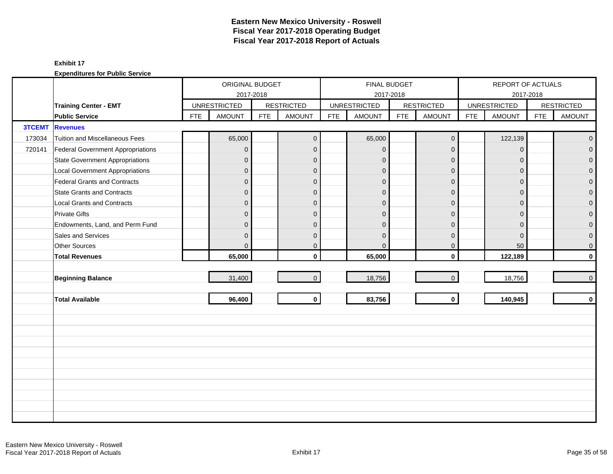|               |                                        |            | ORIGINAL BUDGET     |            |                   |            |                     | FINAL BUDGET |                   |            | REPORT OF ACTUALS   |            |                   |
|---------------|----------------------------------------|------------|---------------------|------------|-------------------|------------|---------------------|--------------|-------------------|------------|---------------------|------------|-------------------|
|               |                                        |            | 2017-2018           |            |                   |            |                     | 2017-2018    |                   |            | 2017-2018           |            |                   |
|               | <b>Training Center - EMT</b>           |            | <b>UNRESTRICTED</b> |            | <b>RESTRICTED</b> |            | <b>UNRESTRICTED</b> |              | <b>RESTRICTED</b> |            | <b>UNRESTRICTED</b> |            | <b>RESTRICTED</b> |
|               | <b>Public Service</b>                  | <b>FTE</b> | <b>AMOUNT</b>       | <b>FTE</b> | <b>AMOUNT</b>     | <b>FTE</b> | <b>AMOUNT</b>       | <b>FTE</b>   | <b>AMOUNT</b>     | <b>FTE</b> | <b>AMOUNT</b>       | <b>FTE</b> | <b>AMOUNT</b>     |
| <b>3TCEMT</b> | <b>Revenues</b>                        |            |                     |            |                   |            |                     |              |                   |            |                     |            |                   |
| 173034        | Tuition and Miscellaneous Fees         |            | 65,000              |            | $\mathbf{0}$      |            | 65,000              |              | $\mathbf 0$       |            | 122,139             |            | $\mathbf{0}$      |
| 720141        | Federal Government Appropriations      |            | $\overline{0}$      |            | $\mathbf{0}$      |            | $\mathbf{0}$        |              | $\mathbf{0}$      |            | $\mathbf{0}$        |            | $\overline{0}$    |
|               | <b>State Government Appropriations</b> |            | $\overline{0}$      |            | $\mathbf{0}$      |            | $\mathbf{0}$        |              | $\mathbf{0}$      |            | $\mathbf{0}$        |            | $\overline{0}$    |
|               | <b>Local Government Appropriations</b> |            | $\overline{0}$      |            | $\mathbf{0}$      |            | $\Omega$            |              | $\mathbf{0}$      |            | $\Omega$            |            | $\mathbf 0$       |
|               | <b>Federal Grants and Contracts</b>    |            | $\mathbf{0}$        |            | $\mathbf{0}$      |            | $\mathbf{0}$        |              | $\mathbf{0}$      |            | $\Omega$            |            | $\overline{0}$    |
|               | <b>State Grants and Contracts</b>      |            | $\overline{0}$      |            | $\mathbf{0}$      |            | $\overline{0}$      |              | $\mathbf{0}$      |            | $\mathbf{0}$        |            | $\mathbf{0}$      |
|               | <b>Local Grants and Contracts</b>      |            | $\mathbf 0$         |            | $\mathbf{0}$      |            | $\mathbf{0}$        |              | $\mathbf{0}$      |            | $\mathbf 0$         |            | 0                 |
|               | <b>Private Gifts</b>                   |            | $\overline{0}$      |            | $\mathbf{0}$      |            | $\Omega$            |              | $\mathbf{0}$      |            | $\Omega$            |            | $\overline{0}$    |
|               | Endowments, Land, and Perm Fund        |            | $\overline{0}$      |            | $\mathbf{0}$      |            | $\Omega$            |              | $\mathbf{0}$      |            | $\Omega$            |            | 0                 |
|               | Sales and Services                     |            | $\overline{0}$      |            | $\mathbf{0}$      |            | $\Omega$            |              | $\mathbf{0}$      |            | $\mathbf{0}$        |            | 0                 |
|               | Other Sources                          |            | $\overline{0}$      |            | 0                 |            | $\Omega$            |              | $\mathbf 0$       |            | 50                  |            | 0                 |
|               | <b>Total Revenues</b>                  |            | 65,000              |            | $\mathbf{0}$      |            | 65,000              |              | $\mathbf 0$       |            | 122,189             |            | $\mathbf 0$       |
|               |                                        |            |                     |            |                   |            |                     |              |                   |            |                     |            |                   |
|               | <b>Beginning Balance</b>               |            | 31,400              |            | $\overline{0}$    |            | 18,756              |              | $\mathbf{0}$      |            | 18,756              |            | $\pmb{0}$         |
|               |                                        |            |                     |            |                   |            |                     |              |                   |            |                     |            |                   |
|               | <b>Total Available</b>                 |            | 96,400              |            | $\mathbf{0}$      |            | 83,756              |              | $\mathbf 0$       |            | 140,945             |            | $\mathbf 0$       |
|               |                                        |            |                     |            |                   |            |                     |              |                   |            |                     |            |                   |
|               |                                        |            |                     |            |                   |            |                     |              |                   |            |                     |            |                   |
|               |                                        |            |                     |            |                   |            |                     |              |                   |            |                     |            |                   |
|               |                                        |            |                     |            |                   |            |                     |              |                   |            |                     |            |                   |
|               |                                        |            |                     |            |                   |            |                     |              |                   |            |                     |            |                   |
|               |                                        |            |                     |            |                   |            |                     |              |                   |            |                     |            |                   |
|               |                                        |            |                     |            |                   |            |                     |              |                   |            |                     |            |                   |
|               |                                        |            |                     |            |                   |            |                     |              |                   |            |                     |            |                   |
|               |                                        |            |                     |            |                   |            |                     |              |                   |            |                     |            |                   |
|               |                                        |            |                     |            |                   |            |                     |              |                   |            |                     |            |                   |
|               |                                        |            |                     |            |                   |            |                     |              |                   |            |                     |            |                   |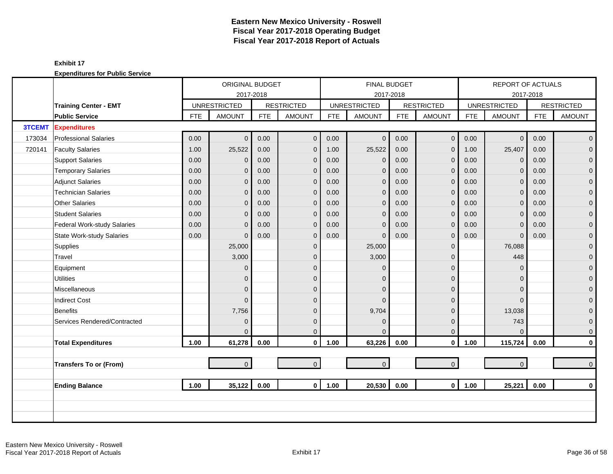|               |                                  |            | ORIGINAL BUDGET     |            |                   |            | <b>FINAL BUDGET</b> |            |                   |            | REPORT OF ACTUALS   |            |                     |
|---------------|----------------------------------|------------|---------------------|------------|-------------------|------------|---------------------|------------|-------------------|------------|---------------------|------------|---------------------|
|               |                                  |            | 2017-2018           |            |                   |            | 2017-2018           |            |                   |            |                     |            |                     |
|               | <b>Training Center - EMT</b>     |            | <b>UNRESTRICTED</b> |            | <b>RESTRICTED</b> |            | <b>UNRESTRICTED</b> |            | <b>RESTRICTED</b> |            | <b>UNRESTRICTED</b> |            | <b>RESTRICTED</b>   |
|               | <b>Public Service</b>            | <b>FTE</b> | <b>AMOUNT</b>       | <b>FTE</b> | <b>AMOUNT</b>     | <b>FTE</b> | <b>AMOUNT</b>       | <b>FTE</b> | <b>AMOUNT</b>     | <b>FTE</b> | <b>AMOUNT</b>       | <b>FTE</b> | <b>AMOUNT</b>       |
| <b>3TCEMT</b> | <b>Expenditures</b>              |            |                     |            |                   |            |                     |            |                   |            |                     |            |                     |
| 173034        | <b>Professional Salaries</b>     | 0.00       | $\overline{0}$      | 0.00       | $\mathbf{0}$      | 0.00       | $\mathbf{0}$        | 0.00       | $\mathbf 0$       | 0.00       | $\mathbf 0$         | 0.00       | $\overline{0}$      |
| 720141        | <b>Faculty Salaries</b>          | 1.00       | 25,522              | 0.00       | $\mathbf{0}$      | 1.00       | 25,522              | 0.00       | $\mathbf 0$       | 1.00       | 25,407              | 0.00       | $\overline{0}$      |
|               | <b>Support Salaries</b>          | 0.00       | $\mathbf 0$         | 0.00       | $\mathbf{0}$      | 0.00       | $\mathbf 0$         | 0.00       | $\mathbf{0}$      | 0.00       | $\Omega$            | 0.00       | $\mathbf 0$         |
|               | <b>Temporary Salaries</b>        | 0.00       | $\mathbf{0}$        | 0.00       | $\mathbf{0}$      | 0.00       | $\mathbf{0}$        | 0.00       | $\mathbf 0$       | 0.00       | $\mathbf 0$         | 0.00       | $\pmb{0}$           |
|               | <b>Adjunct Salaries</b>          | 0.00       | $\overline{0}$      | 0.00       | $\mathbf{0}$      | 0.00       | $\mathbf{0}$        | 0.00       | $\mathbf 0$       | 0.00       | $\Omega$            | 0.00       | $\mathbf 0$         |
|               | <b>Technician Salaries</b>       | 0.00       | $\mathbf{0}$        | 0.00       | $\mathbf{0}$      | 0.00       | $\mathbf{0}$        | 0.00       | $\mathbf 0$       | 0.00       | $\mathbf{0}$        | 0.00       | $\mathbf 0$         |
|               | <b>Other Salaries</b>            | 0.00       | $\mathbf{0}$        | 0.00       | $\mathbf{0}$      | 0.00       | $\mathbf{0}$        | 0.00       | $\mathbf 0$       | 0.00       | $\mathbf{0}$        | 0.00       | $\pmb{0}$           |
|               | <b>Student Salaries</b>          | 0.00       | $\Omega$            | 0.00       | $\Omega$          | 0.00       | $\mathbf{0}$        | 0.00       | $\mathbf{0}$      | 0.00       | $\Omega$            | 0.00       | $\overline{0}$      |
|               | Federal Work-study Salaries      | 0.00       | $\Omega$            | 0.00       | $\mathbf{0}$      | 0.00       | $\mathbf 0$         | 0.00       | $\mathbf 0$       | 0.00       | $\Omega$            | 0.00       | $\mathbf{0}$        |
|               | <b>State Work-study Salaries</b> | 0.00       | $\Omega$            | 0.00       | $\mathbf{0}$      | 0.00       | $\Omega$            | 0.00       | $\mathbf 0$       | 0.00       | $\mathbf{0}$        | 0.00       | $\mathbf 0$         |
|               | Supplies                         |            | 25,000              |            | $\mathbf{0}$      |            | 25,000              |            | $\mathbf 0$       |            | 76,088              |            | $\overline{0}$      |
|               | Travel                           |            | 3,000               |            | $\Omega$          |            | 3,000               |            | $\mathbf{0}$      |            | 448                 |            | $\mathbf 0$         |
|               | Equipment                        |            | $\mathbf{0}$        |            | $\mathbf{0}$      |            | $\Omega$            |            | $\mathbf 0$       |            | $\mathbf 0$         |            | $\pmb{0}$           |
|               | <b>Utilities</b>                 |            | $\overline{0}$      |            | $\mathbf{0}$      |            | $\Omega$            |            | $\pmb{0}$         |            | $\Omega$            |            | $\overline{0}$      |
|               | Miscellaneous                    |            | $\Omega$            |            | $\Omega$          |            | $\Omega$            |            | $\mathbf{0}$      |            | $\Omega$            |            | $\mathsf{O}\xspace$ |
|               | <b>Indirect Cost</b>             |            | $\Omega$            |            | $\Omega$          |            | $\Omega$            |            | $\mathbf{0}$      |            | $\Omega$            |            | $\mathbf 0$         |
|               | Benefits                         |            | 7,756               |            | $\Omega$          |            | 9,704               |            | $\mathbf 0$       |            | 13,038              |            | $\overline{0}$      |
|               | Services Rendered/Contracted     |            | $\mathbf{0}$        |            | $\mathbf{0}$      |            | $\mathbf{0}$        |            | $\mathbf 0$       |            | 743                 |            | $\boldsymbol{0}$    |
|               |                                  |            | $\Omega$            |            | $\Omega$          |            | $\Omega$            |            | $\mathbf 0$       |            | $\Omega$            |            | $\mathbf 0$         |
|               | <b>Total Expenditures</b>        | 1.00       | 61,278              | 0.00       | $\mathbf{0}$      | 1.00       | 63,226              | 0.00       | $\mathbf 0$       | 1.00       | 115,724             | 0.00       | $\pmb{0}$           |
|               |                                  |            |                     |            |                   |            |                     |            |                   |            |                     |            |                     |
|               | <b>Transfers To or (From)</b>    |            | $\overline{0}$      |            | $\overline{0}$    |            | $\mathbf{0}$        |            | $\mathbf{0}$      |            | $\mathbf{0}$        |            | $\mathbf 0$         |
|               |                                  |            |                     |            |                   |            |                     |            |                   |            |                     |            |                     |
|               | <b>Ending Balance</b>            | 1.00       | 35,122              | 0.00       | $\mathbf{0}$      | 1.00       | 20,530              | 0.00       | $\mathbf{0}$      | 1.00       |                     | 0.00       | $\mathbf 0$         |
|               |                                  |            |                     |            |                   |            |                     |            |                   |            | 2017-2018<br>25,221 |            |                     |
|               |                                  |            |                     |            |                   |            |                     |            |                   |            |                     |            |                     |
|               |                                  |            |                     |            |                   |            |                     |            |                   |            |                     |            |                     |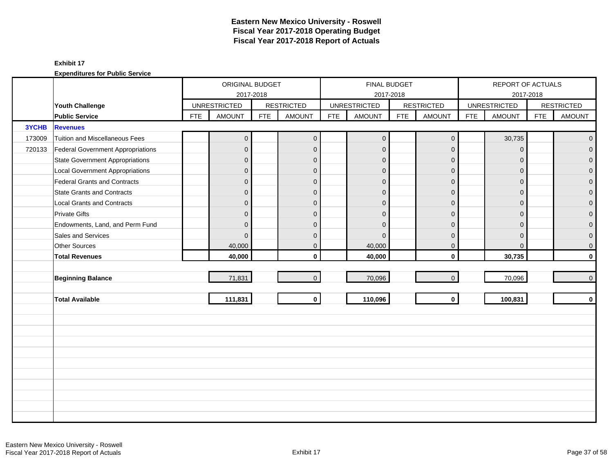|              |                                        |            | ORIGINAL BUDGET     |            |                   |            |                     | <b>FINAL BUDGET</b> |                     |            | REPORT OF ACTUALS   |            |                   |
|--------------|----------------------------------------|------------|---------------------|------------|-------------------|------------|---------------------|---------------------|---------------------|------------|---------------------|------------|-------------------|
|              |                                        |            |                     | 2017-2018  |                   |            |                     | 2017-2018           |                     |            |                     | 2017-2018  |                   |
|              | Youth Challenge                        |            | <b>UNRESTRICTED</b> |            | <b>RESTRICTED</b> |            | <b>UNRESTRICTED</b> |                     | <b>RESTRICTED</b>   |            | <b>UNRESTRICTED</b> |            | <b>RESTRICTED</b> |
|              | <b>Public Service</b>                  | <b>FTE</b> | <b>AMOUNT</b>       | <b>FTE</b> | <b>AMOUNT</b>     | <b>FTE</b> | <b>AMOUNT</b>       | <b>FTE</b>          | <b>AMOUNT</b>       | <b>FTE</b> | <b>AMOUNT</b>       | <b>FTE</b> | <b>AMOUNT</b>     |
| <b>3YCHB</b> | <b>Revenues</b>                        |            |                     |            |                   |            |                     |                     |                     |            |                     |            |                   |
| 173009       | Tuition and Miscellaneous Fees         |            | $\mathbf 0$         |            | $\mathbf{0}$      |            | $\mathbf 0$         |                     | $\mathbf 0$         |            | 30,735              |            | $\overline{0}$    |
| 720133       | Federal Government Appropriations      |            | $\mathbf 0$         |            | $\mathbf{0}$      |            | $\mathbf 0$         |                     | $\mathbf 0$         |            | $\Omega$            |            | $\overline{0}$    |
|              | State Government Appropriations        |            | 0                   |            | $\mathbf{0}$      |            | $\mathbf{0}$        |                     | $\mathbf 0$         |            | $\Omega$            |            | $\overline{0}$    |
|              | <b>Local Government Appropriations</b> |            | $\mathbf 0$         |            | $\mathbf{0}$      |            | $\mathbf 0$         |                     | $\mathbf{0}$        |            | $\Omega$            |            | $\pmb{0}$         |
|              | Federal Grants and Contracts           |            | $\mathbf 0$         |            | $\mathbf{0}$      |            | $\mathbf 0$         |                     | $\mathbf{0}$        |            | $\Omega$            |            | $\mathbf 0$       |
|              | <b>State Grants and Contracts</b>      |            | $\mathbf 0$         |            | $\mathbf{0}$      |            | $\Omega$            |                     | $\mathbf{0}$        |            | $\Omega$            |            | $\overline{0}$    |
|              | <b>Local Grants and Contracts</b>      |            | $\mathbf 0$         |            | $\mathbf{0}$      |            | $\mathbf 0$         |                     | $\mathbf 0$         |            | 0                   |            | $\mathbf{O}$      |
|              | <b>Private Gifts</b>                   |            | $\overline{0}$      |            | $\overline{0}$    |            | $\Omega$            |                     | $\mathbf{0}$        |            | $\Omega$            |            | $\mathsf{O}^-$    |
|              | Endowments, Land, and Perm Fund        |            | $\overline{0}$      |            | $\Omega$          |            | $\Omega$            |                     | $\mathbf{0}$        |            | $\Omega$            |            | $\mathsf{O}^-$    |
|              | Sales and Services                     |            | $\Omega$            |            | $\mathbf{0}$      |            | $\Omega$            |                     | $\mathbf{0}$        |            | $\Omega$            |            | $\overline{0}$    |
|              | <b>Other Sources</b>                   |            | 40,000              |            | $\mathbf{0}$      |            | 40,000              |                     | $\mathbf 0$         |            | $\Omega$            |            | $\overline{0}$    |
|              | <b>Total Revenues</b>                  |            | 40,000              |            | $\mathbf{0}$      |            | 40,000              |                     | $\mathbf 0$         |            | 30,735              |            | $\mathbf{0}$      |
|              |                                        |            |                     |            |                   |            |                     |                     |                     |            |                     |            |                   |
|              | <b>Beginning Balance</b>               |            | 71,831              |            | $\overline{0}$    |            | 70,096              |                     | $\mathsf{O}\xspace$ |            | 70,096              |            | $\overline{0}$    |
|              |                                        |            |                     |            |                   |            |                     |                     |                     |            |                     |            |                   |
|              | <b>Total Available</b>                 |            | 111,831             |            | $\mathbf{0}$      |            | 110,096             |                     | $\mathbf 0$         |            | 100,831             |            | $\mathbf{0}$      |
|              |                                        |            |                     |            |                   |            |                     |                     |                     |            |                     |            |                   |
|              |                                        |            |                     |            |                   |            |                     |                     |                     |            |                     |            |                   |
|              |                                        |            |                     |            |                   |            |                     |                     |                     |            |                     |            |                   |
|              |                                        |            |                     |            |                   |            |                     |                     |                     |            |                     |            |                   |
|              |                                        |            |                     |            |                   |            |                     |                     |                     |            |                     |            |                   |
|              |                                        |            |                     |            |                   |            |                     |                     |                     |            |                     |            |                   |
|              |                                        |            |                     |            |                   |            |                     |                     |                     |            |                     |            |                   |
|              |                                        |            |                     |            |                   |            |                     |                     |                     |            |                     |            |                   |
|              |                                        |            |                     |            |                   |            |                     |                     |                     |            |                     |            |                   |
|              |                                        |            |                     |            |                   |            |                     |                     |                     |            |                     |            |                   |
|              |                                        |            |                     |            |                   |            |                     |                     |                     |            |                     |            |                   |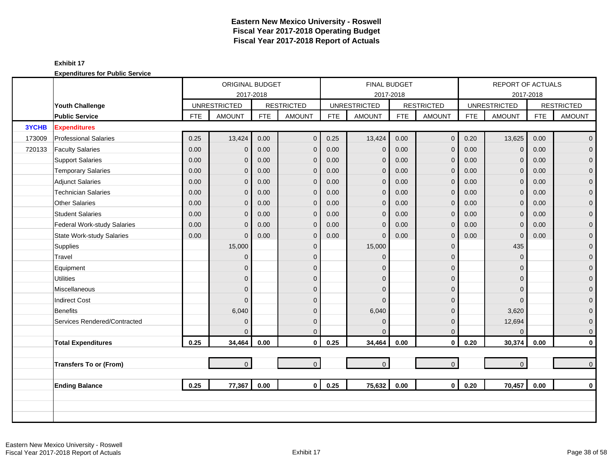|        |                                  |            | ORIGINAL BUDGET     |            |                   |            | <b>FINAL BUDGET</b> |            |                   |            | REPORT OF ACTUALS   |            |                     |
|--------|----------------------------------|------------|---------------------|------------|-------------------|------------|---------------------|------------|-------------------|------------|---------------------|------------|---------------------|
|        |                                  |            |                     | 2017-2018  |                   |            | 2017-2018           |            |                   |            |                     | 2017-2018  |                     |
|        | Youth Challenge                  |            | <b>UNRESTRICTED</b> |            | <b>RESTRICTED</b> |            | <b>UNRESTRICTED</b> |            | <b>RESTRICTED</b> |            | <b>UNRESTRICTED</b> |            | <b>RESTRICTED</b>   |
|        | <b>Public Service</b>            | <b>FTE</b> | <b>AMOUNT</b>       | <b>FTE</b> | <b>AMOUNT</b>     | <b>FTE</b> | <b>AMOUNT</b>       | <b>FTE</b> | <b>AMOUNT</b>     | <b>FTE</b> | <b>AMOUNT</b>       | <b>FTE</b> | <b>AMOUNT</b>       |
| 3YCHB  | <b>Expenditures</b>              |            |                     |            |                   |            |                     |            |                   |            |                     |            |                     |
| 173009 | <b>Professional Salaries</b>     | 0.25       | 13,424              | 0.00       | $\mathbf{0}$      | 0.25       | 13,424              | 0.00       | $\mathbf 0$       | 0.20       | 13,625              | 0.00       | $\overline{0}$      |
| 720133 | <b>Faculty Salaries</b>          | 0.00       | $\mathbf{0}$        | 0.00       | $\mathbf{0}$      | 0.00       | $\mathbf{0}$        | 0.00       | $\mathbf 0$       | 0.00       | $\Omega$            | 0.00       | $\mathbf 0$         |
|        | <b>Support Salaries</b>          | 0.00       | $\overline{0}$      | 0.00       | $\mathbf{0}$      | 0.00       | $\mathbf{0}$        | 0.00       | $\mathbf 0$       | 0.00       | $\mathbf 0$         | 0.00       | $\mathbf 0$         |
|        | <b>Temporary Salaries</b>        | 0.00       | $\mathbf{0}$        | 0.00       | $\mathbf{0}$      | 0.00       | $\mathbf{0}$        | 0.00       | $\mathbf 0$       | 0.00       | $\mathbf{0}$        | 0.00       | $\pmb{0}$           |
|        | <b>Adjunct Salaries</b>          | 0.00       | $\overline{0}$      | 0.00       | $\mathbf{0}$      | 0.00       | $\mathbf{0}$        | 0.00       | $\mathbf 0$       | 0.00       | $\Omega$            | 0.00       | $\mathbf 0$         |
|        | <b>Technician Salaries</b>       | 0.00       | $\mathbf{0}$        | 0.00       | $\mathbf{0}$      | 0.00       | $\mathbf 0$         | 0.00       | $\mathbf 0$       | 0.00       | $\mathbf{0}$        | 0.00       | $\mathbf 0$         |
|        | <b>Other Salaries</b>            | 0.00       | $\mathbf{0}$        | 0.00       | $\mathbf{0}$      | 0.00       | $\mathbf{0}$        | 0.00       | $\mathbf 0$       | 0.00       | $\mathbf{0}$        | 0.00       | $\pmb{0}$           |
|        | <b>Student Salaries</b>          | 0.00       | $\Omega$            | 0.00       | $\Omega$          | 0.00       | $\mathbf{0}$        | 0.00       | $\mathbf{0}$      | 0.00       | $\Omega$            | 0.00       | $\overline{0}$      |
|        | Federal Work-study Salaries      | 0.00       | $\Omega$            | 0.00       | $\mathbf{0}$      | 0.00       | $\overline{0}$      | 0.00       | $\mathbf 0$       | 0.00       | $\Omega$            | 0.00       | $\mathbf{0}$        |
|        | <b>State Work-study Salaries</b> | 0.00       | $\Omega$            | 0.00       | $\mathbf{0}$      | 0.00       | $\Omega$            | 0.00       | $\mathbf 0$       | 0.00       | $\mathbf 0$         | 0.00       | $\mathbf 0$         |
|        | Supplies                         |            | 15,000              |            | $\mathbf{0}$      |            | 15,000              |            | $\mathbf 0$       |            | 435                 |            | $\mathbf 0$         |
|        | Travel                           |            | $\mathbf{0}$        |            | $\Omega$          |            | $\Omega$            |            | $\mathbf 0$       |            | $\Omega$            |            | $\mathbf 0$         |
|        | Equipment                        |            | 0                   |            | $\mathbf{0}$      |            | $\Omega$            |            | $\mathbf 0$       |            | $\Omega$            |            | $\boldsymbol{0}$    |
|        | <b>Utilities</b>                 |            | 0                   |            | $\mathbf{0}$      |            | $\mathbf{0}$        |            | $\pmb{0}$         |            | $\Omega$            |            | $\overline{0}$      |
|        | Miscellaneous                    |            | $\Omega$            |            | $\Omega$          |            | $\Omega$            |            | $\mathbf{0}$      |            | $\Omega$            |            | $\mathsf{O}\xspace$ |
|        | <b>Indirect Cost</b>             |            | $\Omega$            |            | $\Omega$          |            | $\Omega$            |            | $\mathbf{0}$      |            | $\Omega$            |            | $\mathbf 0$         |
|        | Benefits                         |            | 6,040               |            | $\Omega$          |            | 6,040               |            | $\mathbf 0$       |            | 3,620               |            | $\mathbf{0}$        |
|        | Services Rendered/Contracted     |            | $\mathbf{0}$        |            | $\mathbf{0}$      |            | $\mathbf{0}$        |            | $\mathbf 0$       |            | 12,694              |            | $\boldsymbol{0}$    |
|        |                                  |            | $\Omega$            |            | $\Omega$          |            | $\Omega$            |            | $\mathbf 0$       |            | $\Omega$            |            | $\mathbf{0}$        |
|        | <b>Total Expenditures</b>        | 0.25       | 34,464              | 0.00       | $\mathbf 0$       | 0.25       | 34,464              | 0.00       | $\mathbf 0$       | 0.20       | 30,374              | 0.00       | $\pmb{0}$           |
|        |                                  |            |                     |            |                   |            |                     |            |                   |            |                     |            |                     |
|        | <b>Transfers To or (From)</b>    |            | $\overline{0}$      |            | $\overline{0}$    |            | $\mathbf{0}$        |            | $\mathbf{0}$      |            | $\mathbf{0}$        |            | $\mathbf 0$         |
|        |                                  |            |                     |            |                   |            |                     |            |                   |            |                     |            |                     |
|        | <b>Ending Balance</b>            | 0.25       | 77,367              | 0.00       | $\mathbf{0}$      | 0.25       | 75,632              | 0.00       | $\mathbf{0}$      | 0.20       | 70,457              | 0.00       | $\mathbf 0$         |
|        |                                  |            |                     |            |                   |            |                     |            |                   |            |                     |            |                     |
|        |                                  |            |                     |            |                   |            |                     |            |                   |            |                     |            |                     |
|        |                                  |            |                     |            |                   |            |                     |            |                   |            |                     |            |                     |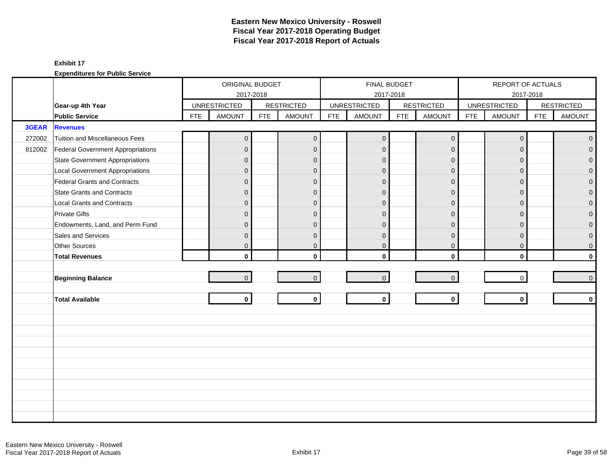|        |                                        |            | ORIGINAL BUDGET     |            |                   |            | FINAL BUDGET        |            |                   |            | REPORT OF ACTUALS   |            |                   |
|--------|----------------------------------------|------------|---------------------|------------|-------------------|------------|---------------------|------------|-------------------|------------|---------------------|------------|-------------------|
|        |                                        |            | 2017-2018           |            |                   |            | 2017-2018           |            |                   |            |                     | 2017-2018  |                   |
|        | Gear-up 4th Year                       |            | <b>UNRESTRICTED</b> |            | <b>RESTRICTED</b> |            | <b>UNRESTRICTED</b> |            | <b>RESTRICTED</b> |            | <b>UNRESTRICTED</b> |            | <b>RESTRICTED</b> |
|        | <b>Public Service</b>                  | <b>FTE</b> | <b>AMOUNT</b>       | <b>FTE</b> | <b>AMOUNT</b>     | <b>FTE</b> | <b>AMOUNT</b>       | <b>FTE</b> | <b>AMOUNT</b>     | <b>FTE</b> | <b>AMOUNT</b>       | <b>FTE</b> | <b>AMOUNT</b>     |
| 3GEAR  | <b>Revenues</b>                        |            |                     |            |                   |            |                     |            |                   |            |                     |            |                   |
| 272002 | Tuition and Miscellaneous Fees         |            | $\overline{0}$      |            | $\mathbf 0$       |            | $\overline{0}$      |            | $\mathbf 0$       |            | $\mathbf 0$         |            | $\overline{0}$    |
| 812002 | Federal Government Appropriations      |            | $\overline{0}$      |            | $\mathbf{0}$      |            | $\overline{0}$      |            | $\overline{0}$    |            | $\Omega$            |            | $\overline{0}$    |
|        | <b>State Government Appropriations</b> |            | $\overline{0}$      |            | $\mathbf{0}$      |            | $\Omega$            |            | $\mathbf{0}$      |            | $\Omega$            |            | 0                 |
|        | <b>Local Government Appropriations</b> |            | $\overline{0}$      |            | $\mathbf{0}$      |            | $\Omega$            |            | $\mathbf{0}$      |            | $\overline{0}$      |            | 0                 |
|        | Federal Grants and Contracts           |            | $\mathbf{0}$        |            | $\mathbf{0}$      |            | $\mathbf{0}$        |            | $\mathbf 0$       |            | $\Omega$            |            | $\overline{0}$    |
|        | <b>State Grants and Contracts</b>      |            | $\overline{0}$      |            | $\Omega$          |            | $\Omega$            |            | $\Omega$          |            | $\Omega$            |            | 0                 |
|        | <b>Local Grants and Contracts</b>      |            | $\overline{0}$      |            | $\mathbf{0}$      |            | $\Omega$            |            | $\mathbf{0}$      |            | $\Omega$            |            | $\mathbf 0$       |
|        | <b>Private Gifts</b>                   |            | $\overline{0}$      |            | $\mathbf{0}$      |            | $\Omega$            |            | $\overline{0}$    |            | $\Omega$            |            | $\overline{0}$    |
|        | Endowments, Land, and Perm Fund        |            | $\overline{0}$      |            | $\mathbf{0}$      |            | $\Omega$            |            | $\mathbf{0}$      |            | $\Omega$            |            | 0                 |
|        | Sales and Services                     |            | $\mathbf{0}$        |            | $\mathbf{0}$      |            | $\mathbf{0}$        |            | $\mathbf{0}$      |            | $\overline{0}$      |            | $\mathbf 0$       |
|        | Other Sources                          |            | $\overline{0}$      |            | $\mathbf 0$       |            | $\mathbf 0$         |            | $\mathbf 0$       |            | $\mathbf 0$         |            | 0                 |
|        | <b>Total Revenues</b>                  |            | $\mathbf{0}$        |            | $\mathbf{0}$      |            | $\mathbf{0}$        |            | $\mathbf 0$       |            | $\mathbf{0}$        |            | $\mathbf{0}$      |
|        |                                        |            |                     |            |                   |            |                     |            |                   |            |                     |            |                   |
|        | <b>Beginning Balance</b>               |            | $\overline{0}$      |            | $\overline{0}$    |            | $\overline{0}$      |            | $\mathbf{0}$      |            | $\mathbf 0$         |            | $\pmb{0}$         |
|        |                                        |            |                     |            |                   |            |                     |            |                   |            |                     |            |                   |
|        | <b>Total Available</b>                 |            | $\mathbf{0}$        |            | $\mathbf{0}$      |            | $\mathbf 0$         |            | $\mathbf 0$       |            | $\mathbf{0}$        |            | $\mathbf 0$       |
|        |                                        |            |                     |            |                   |            |                     |            |                   |            |                     |            |                   |
|        |                                        |            |                     |            |                   |            |                     |            |                   |            |                     |            |                   |
|        |                                        |            |                     |            |                   |            |                     |            |                   |            |                     |            |                   |
|        |                                        |            |                     |            |                   |            |                     |            |                   |            |                     |            |                   |
|        |                                        |            |                     |            |                   |            |                     |            |                   |            |                     |            |                   |
|        |                                        |            |                     |            |                   |            |                     |            |                   |            |                     |            |                   |
|        |                                        |            |                     |            |                   |            |                     |            |                   |            |                     |            |                   |
|        |                                        |            |                     |            |                   |            |                     |            |                   |            |                     |            |                   |
|        |                                        |            |                     |            |                   |            |                     |            |                   |            |                     |            |                   |
|        |                                        |            |                     |            |                   |            |                     |            |                   |            |                     |            |                   |
|        |                                        |            |                     |            |                   |            |                     |            |                   |            |                     |            |                   |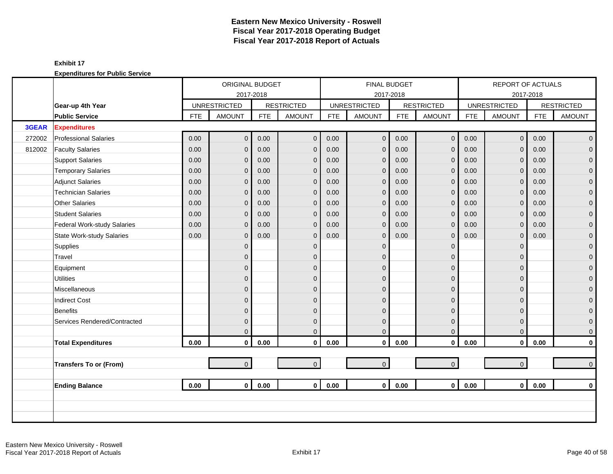|        |                                  |            | ORIGINAL BUDGET     |            |                   |            | <b>FINAL BUDGET</b> |            |                   |            | REPORT OF ACTUALS   |            |                     |
|--------|----------------------------------|------------|---------------------|------------|-------------------|------------|---------------------|------------|-------------------|------------|---------------------|------------|---------------------|
|        |                                  |            | 2017-2018           |            |                   |            |                     | 2017-2018  |                   |            |                     | 2017-2018  |                     |
|        | Gear-up 4th Year                 |            | <b>UNRESTRICTED</b> |            | <b>RESTRICTED</b> |            | <b>UNRESTRICTED</b> |            | <b>RESTRICTED</b> |            | <b>UNRESTRICTED</b> |            | <b>RESTRICTED</b>   |
|        | <b>Public Service</b>            | <b>FTE</b> | <b>AMOUNT</b>       | <b>FTE</b> | <b>AMOUNT</b>     | <b>FTE</b> | <b>AMOUNT</b>       | <b>FTE</b> | <b>AMOUNT</b>     | <b>FTE</b> | <b>AMOUNT</b>       | <b>FTE</b> | <b>AMOUNT</b>       |
| 3GEAR  | <b>Expenditures</b>              |            |                     |            |                   |            |                     |            |                   |            |                     |            |                     |
| 272002 | <b>Professional Salaries</b>     | 0.00       | $\overline{0}$      | 0.00       | $\mathbf{0}$      | 0.00       | $\mathbf 0$         | 0.00       | $\mathbf 0$       | 0.00       | $\overline{0}$      | 0.00       | $\overline{0}$      |
| 812002 | <b>Faculty Salaries</b>          | 0.00       | $\overline{0}$      | 0.00       | $\mathbf{0}$      | 0.00       | $\mathbf{0}$        | 0.00       | $\mathbf 0$       | 0.00       | $\Omega$            | 0.00       | $\mathbf 0$         |
|        | <b>Support Salaries</b>          | 0.00       | $\overline{0}$      | 0.00       | $\mathbf 0$       | 0.00       | $\mathbf{0}$        | 0.00       | $\mathbf 0$       | 0.00       | $\mathbf 0$         | 0.00       | $\mathbf 0$         |
|        | <b>Temporary Salaries</b>        | 0.00       | $\mathbf{0}$        | 0.00       | $\mathbf{0}$      | 0.00       | $\mathbf{0}$        | 0.00       | $\mathbf 0$       | 0.00       | $\mathbf{0}$        | 0.00       | $\pmb{0}$           |
|        | <b>Adjunct Salaries</b>          | 0.00       | $\overline{0}$      | 0.00       | $\mathbf{0}$      | 0.00       | $\mathbf{0}$        | 0.00       | $\mathbf 0$       | 0.00       | $\Omega$            | 0.00       | $\mathbf 0$         |
|        | <b>Technician Salaries</b>       | 0.00       | $\mathbf{0}$        | 0.00       | $\mathbf 0$       | 0.00       | $\mathbf{0}$        | 0.00       | $\mathbf 0$       | 0.00       | $\mathbf{0}$        | 0.00       | $\mathbf 0$         |
|        | <b>Other Salaries</b>            | 0.00       | $\mathbf 0$         | 0.00       | $\mathbf{0}$      | 0.00       | $\mathbf{0}$        | 0.00       | $\mathbf 0$       | 0.00       | $\mathbf{0}$        | 0.00       | $\pmb{0}$           |
|        | <b>Student Salaries</b>          | 0.00       | $\Omega$            | 0.00       | $\Omega$          | 0.00       | $\mathbf{0}$        | 0.00       | $\mathbf{0}$      | 0.00       | $\Omega$            | 0.00       | $\overline{0}$      |
|        | Federal Work-study Salaries      | 0.00       | $\overline{0}$      | 0.00       | $\mathbf{0}$      | 0.00       | $\overline{0}$      | 0.00       | $\mathbf 0$       | 0.00       | $\mathbf 0$         | 0.00       | $\mathbf{0}$        |
|        | <b>State Work-study Salaries</b> | 0.00       | $\overline{0}$      | 0.00       | $\mathbf{0}$      | 0.00       | $\mathbf{0}$        | 0.00       | $\mathbf 0$       | 0.00       | $\mathbf 0$         | 0.00       | $\pmb{0}$           |
|        | Supplies                         |            | $\overline{0}$      |            | $\mathbf{0}$      |            | $\Omega$            |            | $\mathbf 0$       |            | $\Omega$            |            | $\mathbf 0$         |
|        | Travel                           |            | $\overline{0}$      |            | $\Omega$          |            | $\Omega$            |            | $\mathbf 0$       |            | $\Omega$            |            | $\mathbf 0$         |
|        | Equipment                        |            | 0                   |            | $\mathbf{0}$      |            | $\Omega$            |            | $\mathbf 0$       |            | $\Omega$            |            | $\pmb{0}$           |
|        | <b>Utilities</b>                 |            | $\mathbf{0}$        |            | $\mathbf{0}$      |            | $\mathbf{0}$        |            | $\pmb{0}$         |            | $\Omega$            |            | $\overline{0}$      |
|        | Miscellaneous                    |            | $\overline{0}$      |            | $\Omega$          |            | $\Omega$            |            | $\mathbf{0}$      |            | $\Omega$            |            | $\mathsf{O}\xspace$ |
|        | <b>Indirect Cost</b>             |            | $\overline{0}$      |            | $\Omega$          |            | $\Omega$            |            | $\mathbf{0}$      |            | $\Omega$            |            | $\mathbf 0$         |
|        | Benefits                         |            | $\overline{0}$      |            | $\Omega$          |            | $\Omega$            |            | $\mathbf 0$       |            | $\Omega$            |            | $\mathbf{0}$        |
|        | Services Rendered/Contracted     |            | $\overline{0}$      |            | $\mathbf{0}$      |            | $\mathbf{0}$        |            | $\mathbf 0$       |            | $\Omega$            |            | $\mathbf 0$         |
|        |                                  |            | $\overline{0}$      |            | $\Omega$          |            | $\mathbf{0}$        |            | $\mathbf 0$       |            | $\mathbf{0}$        |            | $\mathbf 0$         |
|        | <b>Total Expenditures</b>        | 0.00       | $\mathbf 0$         | 0.00       | $\mathbf 0$       | 0.00       | $\mathbf 0$         | 0.00       | $\mathbf 0$       | 0.00       | $\mathbf 0$         | 0.00       | $\pmb{0}$           |
|        |                                  |            |                     |            |                   |            |                     |            |                   |            |                     |            |                     |
|        | <b>Transfers To or (From)</b>    |            | $\overline{0}$      |            | $\overline{0}$    |            | $\mathbf 0$         |            | $\mathbf{0}$      |            | $\overline{0}$      |            | $\mathbf 0$         |
|        |                                  |            |                     |            |                   |            |                     |            |                   |            |                     |            |                     |
|        | <b>Ending Balance</b>            | 0.00       | $\mathbf{0}$        | 0.00       | $\mathbf{0}$      | 0.00       | $\mathbf{0}$        | 0.00       | $\mathbf 0$       | 0.00       | $\mathbf 0$         | 0.00       | $\mathbf 0$         |
|        |                                  |            |                     |            |                   |            |                     |            |                   |            |                     |            |                     |
|        |                                  |            |                     |            |                   |            |                     |            |                   |            |                     |            |                     |
|        |                                  |            |                     |            |                   |            |                     |            |                   |            |                     |            |                     |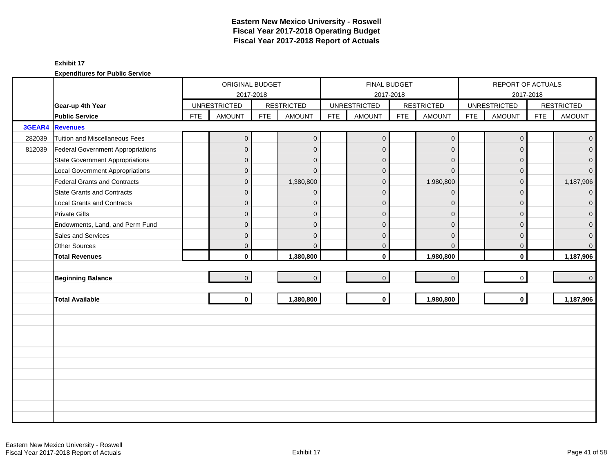|        |                                          |            | ORIGINAL BUDGET     |            |                   |            |                     | FINAL BUDGET |                   |            | REPORT OF ACTUALS       |            |                   |
|--------|------------------------------------------|------------|---------------------|------------|-------------------|------------|---------------------|--------------|-------------------|------------|-------------------------|------------|-------------------|
|        |                                          |            | 2017-2018           |            |                   |            |                     | 2017-2018    |                   |            |                         | 2017-2018  |                   |
|        | Gear-up 4th Year                         |            | <b>UNRESTRICTED</b> |            | <b>RESTRICTED</b> |            | <b>UNRESTRICTED</b> |              | <b>RESTRICTED</b> |            | <b>UNRESTRICTED</b>     |            | <b>RESTRICTED</b> |
|        | <b>Public Service</b>                    | <b>FTE</b> | <b>AMOUNT</b>       | <b>FTE</b> | <b>AMOUNT</b>     | <b>FTE</b> | <b>AMOUNT</b>       | <b>FTE</b>   | <b>AMOUNT</b>     | <b>FTE</b> | <b>AMOUNT</b>           | <b>FTE</b> | <b>AMOUNT</b>     |
| 3GEAR4 | <b>Revenues</b>                          |            |                     |            |                   |            |                     |              |                   |            |                         |            |                   |
| 282039 | Tuition and Miscellaneous Fees           |            | $\overline{0}$      |            | $\mathbf{0}$      |            | $\overline{0}$      |              | $\mathbf 0$       |            | $\boldsymbol{0}$        |            | $\overline{0}$    |
| 812039 | <b>Federal Government Appropriations</b> |            | $\overline{0}$      |            | $\mathbf{0}$      |            | $\mathbf{0}$        |              | $\mathbf{0}$      |            | $\Omega$                |            | $\Omega$          |
|        | <b>State Government Appropriations</b>   |            | $\overline{0}$      |            | $\Omega$          |            | $\mathbf{0}$        |              | $\Omega$          |            | $\Omega$                |            | 0                 |
|        | <b>Local Government Appropriations</b>   |            | $\mathsf{O}\xspace$ |            | $\Omega$          |            | $\mathbf{0}$        |              | $\mathbf{0}$      |            | $\overline{0}$          |            | $\overline{0}$    |
|        | <b>Federal Grants and Contracts</b>      |            | $\mathbf{0}$        |            | 1,380,800         |            | $\overline{0}$      |              | 1,980,800         |            | $\Omega$                |            | 1,187,906         |
|        | <b>State Grants and Contracts</b>        |            | $\overline{0}$      |            | $\Omega$          |            | $\Omega$            |              | $\Omega$          |            | $\Omega$                |            | $\overline{0}$    |
|        | <b>Local Grants and Contracts</b>        |            | $\overline{0}$      |            | $\mathbf{0}$      |            | $\Omega$            |              | $\Omega$          |            | $\Omega$                |            | $\mathbf{0}$      |
|        | <b>Private Gifts</b>                     |            | $\overline{0}$      |            | $\mathbf{0}$      |            | $\Omega$            |              | $\mathbf{0}$      |            | $\Omega$                |            | 0                 |
|        | Endowments, Land, and Perm Fund          |            | $\overline{0}$      |            | $\Omega$          |            | $\Omega$            |              | $\Omega$          |            | $\Omega$                |            | 0                 |
|        | Sales and Services                       |            | $\mathbf 0$         |            | $\mathbf{0}$      |            | $\mathbf{0}$        |              | $\mathbf{0}$      |            | $\mathbf{0}$            |            | $\mathbf 0$       |
|        | Other Sources                            |            | $\overline{0}$      |            | $\mathbf{0}$      |            | $\mathbf 0$         |              | $\mathbf 0$       |            | $\mathbf 0$             |            | $\mathbf{0}$      |
|        | <b>Total Revenues</b>                    |            | $\mathbf{0}$        |            | 1,380,800         |            | $\mathbf{0}$        |              | 1,980,800         |            | $\mathbf{0}$            |            | 1,187,906         |
|        |                                          |            |                     |            |                   |            |                     |              |                   |            |                         |            |                   |
|        | <b>Beginning Balance</b>                 |            | $\overline{0}$      |            | $\mathbf{0}$      |            | $\mathbf{0}$        |              | $\mathbf 0$       |            | $\mathbf 0$             |            | $\mathbf{0}$      |
|        |                                          |            |                     |            |                   |            |                     |              |                   |            |                         |            |                   |
|        | <b>Total Available</b>                   |            | $\mathbf{0}$        |            | 1,380,800         |            | $\mathbf 0$         |              | 1,980,800         |            | $\overline{\mathbf{0}}$ |            | 1,187,906         |
|        |                                          |            |                     |            |                   |            |                     |              |                   |            |                         |            |                   |
|        |                                          |            |                     |            |                   |            |                     |              |                   |            |                         |            |                   |
|        |                                          |            |                     |            |                   |            |                     |              |                   |            |                         |            |                   |
|        |                                          |            |                     |            |                   |            |                     |              |                   |            |                         |            |                   |
|        |                                          |            |                     |            |                   |            |                     |              |                   |            |                         |            |                   |
|        |                                          |            |                     |            |                   |            |                     |              |                   |            |                         |            |                   |
|        |                                          |            |                     |            |                   |            |                     |              |                   |            |                         |            |                   |
|        |                                          |            |                     |            |                   |            |                     |              |                   |            |                         |            |                   |
|        |                                          |            |                     |            |                   |            |                     |              |                   |            |                         |            |                   |
|        |                                          |            |                     |            |                   |            |                     |              |                   |            |                         |            |                   |
|        |                                          |            |                     |            |                   |            |                     |              |                   |            |                         |            |                   |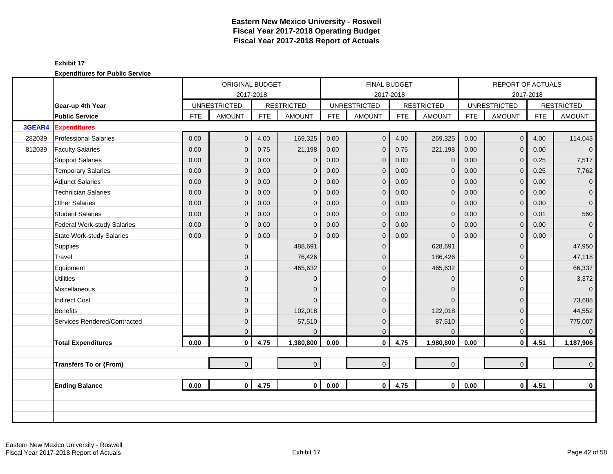|        |                                  |            | ORIGINAL BUDGET     |            |                   |            | <b>FINAL BUDGET</b> |            |                   |            | REPORT OF ACTUALS   |            |                   |
|--------|----------------------------------|------------|---------------------|------------|-------------------|------------|---------------------|------------|-------------------|------------|---------------------|------------|-------------------|
|        |                                  |            |                     | 2017-2018  |                   |            |                     | 2017-2018  |                   |            |                     | 2017-2018  |                   |
|        | Gear-up 4th Year                 |            | <b>UNRESTRICTED</b> |            | <b>RESTRICTED</b> |            | <b>UNRESTRICTED</b> |            | <b>RESTRICTED</b> |            | <b>UNRESTRICTED</b> |            | <b>RESTRICTED</b> |
|        | <b>Public Service</b>            | <b>FTE</b> | <b>AMOUNT</b>       | <b>FTE</b> | <b>AMOUNT</b>     | <b>FTE</b> | <b>AMOUNT</b>       | <b>FTE</b> | <b>AMOUNT</b>     | <b>FTE</b> | <b>AMOUNT</b>       | <b>FTE</b> | <b>AMOUNT</b>     |
| 3GEAR4 | <b>Expenditures</b>              |            |                     |            |                   |            |                     |            |                   |            |                     |            |                   |
| 282039 | <b>Professional Salaries</b>     | 0.00       | $\overline{0}$      | 4.00       | 169,325           | 0.00       | $\mathbf 0$         | 4.00       | 269,325           | 0.00       | $\overline{0}$      | 4.00       | 114,043           |
| 812039 | <b>Faculty Salaries</b>          | 0.00       | $\overline{0}$      | 0.75       | 21,198            | 0.00       | $\overline{0}$      | 0.75       | 221,198           | 0.00       | $\Omega$            | 0.00       | $\overline{0}$    |
|        | <b>Support Salaries</b>          | 0.00       | 0                   | 0.00       | $\mathbf{0}$      | 0.00       | $\overline{0}$      | 0.00       | $\mathbf 0$       | 0.00       | $\mathbf{0}$        | 0.25       | 7,517             |
|        | <b>Temporary Salaries</b>        | 0.00       | 0                   | 0.00       | $\mathbf{0}$      | 0.00       | $\mathbf{0}$        | 0.00       | $\mathbf{0}$      | 0.00       | $\mathbf{0}$        | 0.25       | 7,762             |
|        | <b>Adjunct Salaries</b>          | 0.00       | $\overline{0}$      | 0.00       | $\mathbf{0}$      | 0.00       | $\mathbf{0}$        | 0.00       | $\mathbf 0$       | 0.00       | $\Omega$            | 0.00       | $\overline{0}$    |
|        | <b>Technician Salaries</b>       | 0.00       | 0                   | 0.00       | $\mathbf{0}$      | 0.00       | $\Omega$            | 0.00       | $\mathbf 0$       | 0.00       | $\mathbf{0}$        | 0.00       | $\mathbf{0}$      |
|        | <b>Other Salaries</b>            | 0.00       | 0                   | 0.00       | $\mathbf{0}$      | 0.00       | $\mathbf{0}$        | 0.00       | $\mathbf{0}$      | 0.00       | $\mathbf{0}$        | 0.00       | $\overline{0}$    |
|        | <b>Student Salaries</b>          | 0.00       | $\Omega$            | 0.00       | $\Omega$          | 0.00       | $\mathbf{0}$        | 0.00       | $\mathbf{0}$      | 0.00       | $\Omega$            | 0.01       | 560               |
|        | Federal Work-study Salaries      | 0.00       | 0                   | 0.00       | $\Omega$          | 0.00       | $\Omega$            | 0.00       | $\mathbf{0}$      | 0.00       | $\overline{0}$      | 0.00       | $\mathbf{0}$      |
|        | <b>State Work-study Salaries</b> | 0.00       | 0                   | 0.00       | $\Omega$          | 0.00       | $\mathbf{0}$        | 0.00       | $\Omega$          | 0.00       | $\mathbf{0}$        | 0.00       | $\mathbf{0}$      |
|        | Supplies                         |            | $\overline{0}$      |            | 488,691           |            | $\overline{0}$      |            | 628,691           |            | $\Omega$            |            | 47,950            |
|        | Travel                           |            | 0                   |            | 76,426            |            | $\mathbf{0}$        |            | 186,426           |            | $\Omega$            |            | 47,118            |
|        | Equipment                        |            | 0                   |            | 465,632           |            | $\Omega$            |            | 465,632           |            | $\Omega$            |            | 66,337            |
|        | <b>Utilities</b>                 |            | 0                   |            | $\mathbf{0}$      |            | $\mathbf{0}$        |            | $\mathbf 0$       |            | $\Omega$            |            | 3,372             |
|        | <b>Miscellaneous</b>             |            | $\overline{0}$      |            | $\Omega$          |            | $\Omega$            |            | $\mathbf{0}$      |            | $\Omega$            |            | $\overline{0}$    |
|        | <b>Indirect Cost</b>             |            | 0                   |            | $\Omega$          |            | $\Omega$            |            | $\Omega$          |            | $\Omega$            |            | 73,688            |
|        | <b>Benefits</b>                  |            | 0                   |            | 102,018           |            | $\Omega$            |            | 122,018           |            | $\Omega$            |            | 44,552            |
|        | Services Rendered/Contracted     |            | $\overline{0}$      |            | 57,510            |            | $\overline{0}$      |            | 87,510            |            | $\mathbf{0}$        |            | 775,007           |
|        |                                  |            | 0                   |            | $\Omega$          |            | $\mathbf 0$         |            | $\mathbf{0}$      |            | $\mathbf{0}$        |            | $\mathbf 0$       |
|        | <b>Total Expenditures</b>        | 0.00       | 0                   | 4.75       | 1,380,800         | 0.00       | $\mathbf{0}$        | 4.75       | 1,980,800         | 0.00       | $\mathbf 0$         | 4.51       | 1,187,906         |
|        |                                  |            |                     |            |                   |            |                     |            |                   |            |                     |            |                   |
|        | <b>Transfers To or (From)</b>    |            | $\overline{0}$      |            | $\overline{0}$    |            | $\overline{0}$      |            | $\mathbf 0$       |            | $\overline{0}$      |            | $\overline{0}$    |
|        |                                  |            |                     |            |                   |            |                     |            |                   |            |                     |            |                   |
|        | <b>Ending Balance</b>            | 0.00       | $\mathbf{0}$        | 4.75       | $\mathbf{0}$      | 0.00       | $\mathbf 0$         | 4.75       | $\mathbf 0$       | 0.00       | $\overline{0}$      | 4.51       | $\mathbf 0$       |
|        |                                  |            |                     |            |                   |            |                     |            |                   |            |                     |            |                   |
|        |                                  |            |                     |            |                   |            |                     |            |                   |            |                     |            |                   |
|        |                                  |            |                     |            |                   |            |                     |            |                   |            |                     |            |                   |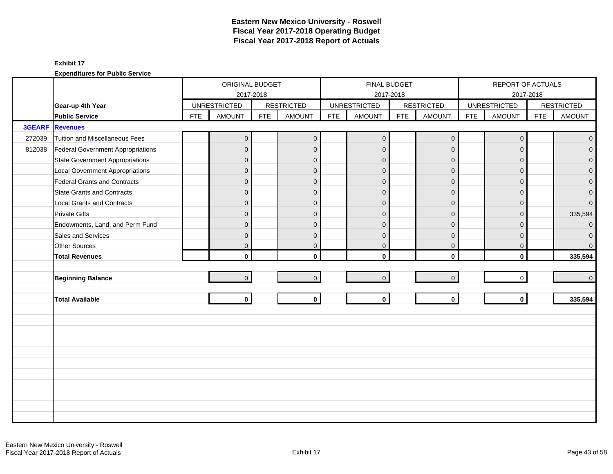|               |                                        |            | ORIGINAL BUDGET     |            |                   |            | FINAL BUDGET        |            |                     |            | REPORT OF ACTUALS   |            |                   |
|---------------|----------------------------------------|------------|---------------------|------------|-------------------|------------|---------------------|------------|---------------------|------------|---------------------|------------|-------------------|
|               |                                        |            |                     | 2017-2018  |                   |            | 2017-2018           |            |                     |            |                     | 2017-2018  |                   |
|               | Gear-up 4th Year                       |            | <b>UNRESTRICTED</b> |            | <b>RESTRICTED</b> |            | <b>UNRESTRICTED</b> |            | <b>RESTRICTED</b>   |            | <b>UNRESTRICTED</b> |            | <b>RESTRICTED</b> |
|               | <b>Public Service</b>                  | <b>FTE</b> | <b>AMOUNT</b>       | <b>FTE</b> | <b>AMOUNT</b>     | <b>FTE</b> | <b>AMOUNT</b>       | <b>FTE</b> | <b>AMOUNT</b>       | <b>FTE</b> | <b>AMOUNT</b>       | <b>FTE</b> | <b>AMOUNT</b>     |
| <b>3GEARF</b> | <b>Revenues</b>                        |            |                     |            |                   |            |                     |            |                     |            |                     |            |                   |
| 272039        | Tuition and Miscellaneous Fees         |            | $\boldsymbol{0}$    |            | $\mathbf{0}$      |            | $\mathbf{0}$        |            | $\mathsf{O}\xspace$ |            | $\mathbf 0$         |            | $\overline{0}$    |
| 812038        | Federal Government Appropriations      |            | 0                   |            | $\mathbf 0$       |            | $\mathbf{0}$        |            | $\mathbf{0}$        |            | $\Omega$            |            | $\overline{0}$    |
|               | <b>State Government Appropriations</b> |            | $\overline{0}$      |            | $\mathbf{0}$      |            | $\mathbf 0$         |            | $\mathbf{0}$        |            | $\Omega$            |            | $\overline{0}$    |
|               | <b>Local Government Appropriations</b> |            | 0                   |            | $\mathbf{0}$      |            | $\Omega$            |            | $\mathbf{0}$        |            | $\Omega$            |            | $\mathbf 0$       |
|               | Federal Grants and Contracts           |            | $\overline{0}$      |            | $\mathbf{0}$      |            | $\overline{0}$      |            | $\mathbf 0$         |            | $\Omega$            |            | $\mathbf{0}$      |
|               | <b>State Grants and Contracts</b>      |            | $\mathbf{0}$        |            | $\mathbf{0}$      |            | $\mathbf 0$         |            | $\mathbf{0}$        |            | $\Omega$            |            | $\mathbf{O}$      |
|               | <b>Local Grants and Contracts</b>      |            | 0                   |            | $\mathbf{0}$      |            | $\Omega$            |            | $\mathbf 0$         |            | $\Omega$            |            | $\overline{0}$    |
|               | <b>Private Gifts</b>                   |            | $\overline{0}$      |            | $\mathbf{0}$      |            | $\Omega$            |            | $\mathbf{0}$        |            | $\Omega$            |            | 335,594           |
|               | Endowments, Land, and Perm Fund        |            | $\mathbf{0}$        |            | $\mathbf{0}$      |            | $\overline{0}$      |            | $\overline{0}$      |            | $\Omega$            |            | $\overline{0}$    |
|               | Sales and Services                     |            | $\mathbf{0}$        |            | $\mathbf{0}$      |            | $\mathbf 0$         |            | $\mathbf{0}$        |            | $\Omega$            |            | $\mathbf{O}$      |
|               | Other Sources                          |            | 0                   |            | $\mathbf 0$       |            | $\pmb{0}$           |            | $\mathbf 0$         |            | $\mathbf 0$         |            | $\overline{0}$    |
|               | <b>Total Revenues</b>                  |            | $\mathbf{0}$        |            | $\mathbf{0}$      |            | $\mathbf{0}$        |            | $\mathbf{0}$        |            | $\mathbf{0}$        |            | 335,594           |
|               |                                        |            |                     |            |                   |            |                     |            |                     |            |                     |            |                   |
|               | <b>Beginning Balance</b>               |            | $\overline{0}$      |            | $\overline{0}$    |            | $\mathbf{0}$        |            | $\mathsf{O}\xspace$ |            | $\mathbf 0$         |            | $\overline{0}$    |
|               |                                        |            |                     |            |                   |            |                     |            |                     |            |                     |            |                   |
|               | <b>Total Available</b>                 |            | $\mathbf{0}$        |            | $\mathbf{0}$      |            | $\mathbf 0$         |            | $\mathbf{0}$        |            | $\mathbf{0}$        |            | 335,594           |
|               |                                        |            |                     |            |                   |            |                     |            |                     |            |                     |            |                   |
|               |                                        |            |                     |            |                   |            |                     |            |                     |            |                     |            |                   |
|               |                                        |            |                     |            |                   |            |                     |            |                     |            |                     |            |                   |
|               |                                        |            |                     |            |                   |            |                     |            |                     |            |                     |            |                   |
|               |                                        |            |                     |            |                   |            |                     |            |                     |            |                     |            |                   |
|               |                                        |            |                     |            |                   |            |                     |            |                     |            |                     |            |                   |
|               |                                        |            |                     |            |                   |            |                     |            |                     |            |                     |            |                   |
|               |                                        |            |                     |            |                   |            |                     |            |                     |            |                     |            |                   |
|               |                                        |            |                     |            |                   |            |                     |            |                     |            |                     |            |                   |
|               |                                        |            |                     |            |                   |            |                     |            |                     |            |                     |            |                   |
|               |                                        |            |                     |            |                   |            |                     |            |                     |            |                     |            |                   |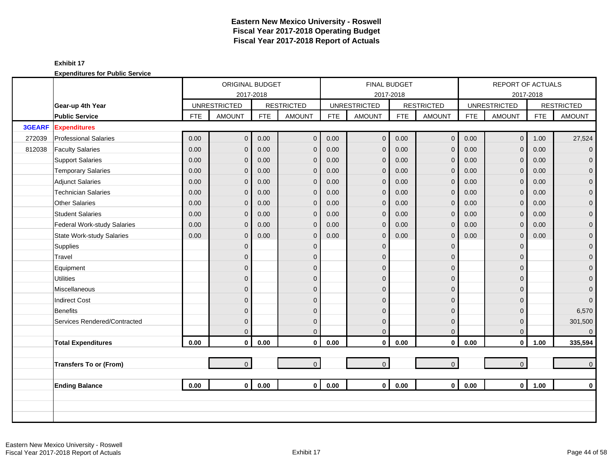|               |                                  |            | ORIGINAL BUDGET     |            |                   |            |                     | <b>FINAL BUDGET</b> |                     |            | REPORT OF ACTUALS   |            |                   |
|---------------|----------------------------------|------------|---------------------|------------|-------------------|------------|---------------------|---------------------|---------------------|------------|---------------------|------------|-------------------|
|               |                                  |            | 2017-2018           |            |                   |            |                     | 2017-2018           |                     |            |                     | 2017-2018  |                   |
|               | Gear-up 4th Year                 |            | <b>UNRESTRICTED</b> |            | <b>RESTRICTED</b> |            | <b>UNRESTRICTED</b> |                     | <b>RESTRICTED</b>   |            | <b>UNRESTRICTED</b> |            | <b>RESTRICTED</b> |
|               | <b>Public Service</b>            | <b>FTE</b> | <b>AMOUNT</b>       | <b>FTE</b> | <b>AMOUNT</b>     | <b>FTE</b> | <b>AMOUNT</b>       | <b>FTE</b>          | <b>AMOUNT</b>       | <b>FTE</b> | <b>AMOUNT</b>       | <b>FTE</b> | <b>AMOUNT</b>     |
| <b>3GEARF</b> | <b>Expenditures</b>              |            |                     |            |                   |            |                     |                     |                     |            |                     |            |                   |
| 272039        | <b>Professional Salaries</b>     | 0.00       | $\overline{0}$      | 0.00       | $\mathbf{0}$      | 0.00       | $\overline{0}$      | 0.00                | $\mathbf{0}$        | 0.00       | $\mathbf{0}$        | 1.00       | 27,524            |
| 812038        | <b>Faculty Salaries</b>          | 0.00       | $\overline{0}$      | 0.00       | $\mathbf{0}$      | 0.00       | $\mathbf{0}$        | 0.00                | $\mathbf{0}$        | 0.00       | $\Omega$            | 0.00       | $\overline{0}$    |
|               | <b>Support Salaries</b>          | 0.00       | $\mathbf{0}$        | 0.00       | $\mathbf 0$       | 0.00       | $\mathbf 0$         | 0.00                | $\mathbf 0$         | 0.00       | $\mathbf{0}$        | 0.00       | $\overline{0}$    |
|               | <b>Temporary Salaries</b>        | 0.00       | $\mathbf{0}$        | 0.00       | $\mathbf 0$       | 0.00       | $\mathbf{0}$        | 0.00                | $\mathbf 0$         | 0.00       | $\mathbf{0}$        | 0.00       | $\mathbf{O}$      |
|               | <b>Adjunct Salaries</b>          | 0.00       | $\overline{0}$      | 0.00       | $\mathbf{0}$      | 0.00       | $\mathbf{0}$        | 0.00                | $\mathbf{0}$        | 0.00       | $\Omega$            | 0.00       | $\mathbf{O}$      |
|               | <b>Technician Salaries</b>       | 0.00       | $\overline{0}$      | 0.00       | $\mathbf 0$       | 0.00       | $\mathbf{0}$        | 0.00                | $\mathbf 0$         | 0.00       | $\Omega$            | 0.00       | $\mathbf{O}$      |
|               | <b>Other Salaries</b>            | 0.00       | $\overline{0}$      | 0.00       | $\mathbf{0}$      | 0.00       | $\mathbf 0$         | 0.00                | $\mathbf 0$         | 0.00       | $\Omega$            | 0.00       | $\mathbf{O}$      |
|               | <b>Student Salaries</b>          | 0.00       | $\mathbf{0}$        | 0.00       | $\mathbf{0}$      | 0.00       | $\mathbf 0$         | 0.00                | $\mathbf 0$         | 0.00       | $\Omega$            | 0.00       | $\mathsf{O}^-$    |
|               | Federal Work-study Salaries      | 0.00       | $\overline{0}$      | 0.00       | $\mathbf{0}$      | 0.00       | $\mathbf 0$         | 0.00                | $\mathbf 0$         | 0.00       | $\Omega$            | 0.00       | $\overline{0}$    |
|               | <b>State Work-study Salaries</b> | 0.00       | $\overline{0}$      | 0.00       | $\mathbf{0}$      | 0.00       | $\Omega$            | 0.00                | $\mathbf{0}$        | 0.00       | $\Omega$            | 0.00       | $\pmb{0}$         |
|               | Supplies                         |            | $\overline{0}$      |            | $\mathbf{0}$      |            | $\mathbf 0$         |                     | $\mathbf 0$         |            | $\Omega$            |            | $\mathbf{O}$      |
|               | Travel                           |            | $\overline{0}$      |            | $\mathbf{0}$      |            | $\mathbf 0$         |                     | $\mathbf{0}$        |            | $\Omega$            |            | $\mathbf{O}$      |
|               | Equipment                        |            | $\overline{0}$      |            | $\mathbf{0}$      |            | $\Omega$            |                     | $\mathbf 0$         |            | 0                   |            | $\mathbf 0$       |
|               | <b>Utilities</b>                 |            | $\overline{0}$      |            | $\Omega$          |            | $\Omega$            |                     | $\mathsf{O}\xspace$ |            | $\Omega$            |            | $\mathbf{0}$      |
|               | Miscellaneous                    |            | $\overline{0}$      |            | $\overline{0}$    |            | $\Omega$            |                     | $\mathbf{0}$        |            | $\Omega$            |            | $\mathbf{O}$      |
|               | <b>Indirect Cost</b>             |            | $\overline{0}$      |            | $\Omega$          |            | $\Omega$            |                     | $\mathbf 0$         |            | 0                   |            | $\mathbf{0}$      |
|               | <b>Benefits</b>                  |            | $\overline{0}$      |            | $\Omega$          |            | $\Omega$            |                     | $\mathbf 0$         |            | $\Omega$            |            | 6,570             |
|               | Services Rendered/Contracted     |            | $\mathbf{0}$        |            | $\mathbf{0}$      |            | $\mathbf 0$         |                     | $\mathbf 0$         |            | $\Omega$            |            | 301,500           |
|               |                                  |            | $\overline{0}$      |            | $\Omega$          |            | $\overline{0}$      |                     | $\mathbf 0$         |            | $\Omega$            |            | $\overline{0}$    |
|               | <b>Total Expenditures</b>        | 0.00       | $\mathbf{0}$        | 0.00       | $\mathbf 0$       | 0.00       | $\mathbf 0$         | 0.00                | $\mathbf 0$         | 0.00       | $\mathbf{0}$        | 1.00       | 335,594           |
|               |                                  |            |                     |            |                   |            |                     |                     |                     |            |                     |            |                   |
|               | <b>Transfers To or (From)</b>    |            | $\overline{0}$      |            | $\overline{0}$    |            | $\mathbf{0}$        |                     | $\mathbf 0$         |            | $\overline{0}$      |            | $\overline{0}$    |
|               |                                  |            |                     |            |                   |            |                     |                     |                     |            |                     |            |                   |
|               | <b>Ending Balance</b>            | 0.00       | $\overline{0}$      | 0.00       | $\mathbf{0}$      | 0.00       | $\mathbf{0}$        | 0.00                | $\mathbf 0$         | 0.00       | $\mathbf{0}$        | 1.00       | $\mathbf 0$       |
|               |                                  |            |                     |            |                   |            |                     |                     |                     |            |                     |            |                   |
|               |                                  |            |                     |            |                   |            |                     |                     |                     |            |                     |            |                   |
|               |                                  |            |                     |            |                   |            |                     |                     |                     |            |                     |            |                   |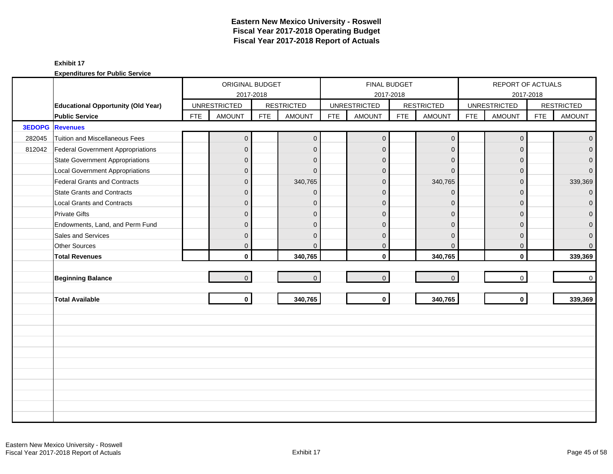|               |                                           |            | ORIGINAL BUDGET     |            |                   |            | FINAL BUDGET        |            |                   |            | REPORT OF ACTUALS   |            |                   |
|---------------|-------------------------------------------|------------|---------------------|------------|-------------------|------------|---------------------|------------|-------------------|------------|---------------------|------------|-------------------|
|               |                                           |            |                     | 2017-2018  |                   |            | 2017-2018           |            |                   |            |                     | 2017-2018  |                   |
|               | <b>Educational Opportunity (Old Year)</b> |            | <b>UNRESTRICTED</b> |            | <b>RESTRICTED</b> |            | <b>UNRESTRICTED</b> |            | <b>RESTRICTED</b> |            | <b>UNRESTRICTED</b> |            | <b>RESTRICTED</b> |
|               | <b>Public Service</b>                     | <b>FTE</b> | <b>AMOUNT</b>       | <b>FTE</b> | <b>AMOUNT</b>     | <b>FTE</b> | <b>AMOUNT</b>       | <b>FTE</b> | <b>AMOUNT</b>     | <b>FTE</b> | <b>AMOUNT</b>       | <b>FTE</b> | <b>AMOUNT</b>     |
| <b>3EDOPG</b> | <b>Revenues</b>                           |            |                     |            |                   |            |                     |            |                   |            |                     |            |                   |
| 282045        | Tuition and Miscellaneous Fees            |            | $\mathbf 0$         |            | $\mathbf 0$       |            | $\mathbf 0$         |            | $\mathbf 0$       |            | $\overline{0}$      |            | $\mathbf 0$       |
| 812042        | Federal Government Appropriations         |            | $\overline{0}$      |            | $\mathbf{0}$      |            | $\mathbf{0}$        |            | $\mathbf 0$       |            | $\mathbf{0}$        |            | $\mathbf{0}$      |
|               | <b>State Government Appropriations</b>    |            | $\overline{0}$      |            | $\mathbf{0}$      |            | $\mathbf{0}$        |            | $\mathbf 0$       |            | $\mathbf 0$         |            | $\overline{0}$    |
|               | <b>Local Government Appropriations</b>    |            | $\overline{0}$      |            | $\Omega$          |            | $\Omega$            |            | $\Omega$          |            | $\Omega$            |            | $\overline{0}$    |
|               | <b>Federal Grants and Contracts</b>       |            | $\overline{0}$      |            | 340,765           |            | $\mathbf{0}$        |            | 340,765           |            | $\Omega$            |            | 339,369           |
|               | <b>State Grants and Contracts</b>         |            | $\overline{0}$      |            | $\mathbf{0}$      |            | $\mathbf{0}$        |            | $\mathbf{0}$      |            | $\Omega$            |            | $\overline{0}$    |
|               | <b>Local Grants and Contracts</b>         |            | $\mathbf 0$         |            | $\mathbf{0}$      |            | $\Omega$            |            | $\mathbf 0$       |            | $\Omega$            |            | $\mathbf{0}$      |
|               | <b>Private Gifts</b>                      |            | $\overline{0}$      |            | $\Omega$          |            | $\Omega$            |            | $\mathbf{0}$      |            | $\Omega$            |            | $\overline{0}$    |
|               | Endowments, Land, and Perm Fund           |            | $\overline{0}$      |            | $\Omega$          |            | $\Omega$            |            | $\mathbf{0}$      |            | $\Omega$            |            | $\overline{0}$    |
|               | Sales and Services                        |            | $\overline{0}$      |            | $\Omega$          |            | $\Omega$            |            | $\mathbf{0}$      |            | $\Omega$            |            | $\pmb{0}$         |
|               | Other Sources                             |            | $\mathbf 0$         |            | $\Omega$          |            | $\mathbf 0$         |            | $\mathbf 0$       |            | 0                   |            | $\overline{0}$    |
|               | <b>Total Revenues</b>                     |            | $\mathbf{0}$        |            | 340,765           |            | $\mathbf{0}$        |            | 340,765           |            | $\mathbf{0}$        |            | 339,369           |
|               |                                           |            |                     |            |                   |            |                     |            |                   |            |                     |            |                   |
|               | <b>Beginning Balance</b>                  |            | $\overline{0}$      |            | $\overline{0}$    |            | $\overline{0}$      |            | $\mathbf 0$       |            | $\mathbf 0$         |            | $\mathbf 0$       |
|               |                                           |            |                     |            |                   |            |                     |            |                   |            |                     |            |                   |
|               | <b>Total Available</b>                    |            | $\mathbf{0}$        |            | 340,765           |            | $\mathbf 0$         |            | 340,765           |            | $\mathbf{0}$        |            | 339,369           |
|               |                                           |            |                     |            |                   |            |                     |            |                   |            |                     |            |                   |
|               |                                           |            |                     |            |                   |            |                     |            |                   |            |                     |            |                   |
|               |                                           |            |                     |            |                   |            |                     |            |                   |            |                     |            |                   |
|               |                                           |            |                     |            |                   |            |                     |            |                   |            |                     |            |                   |
|               |                                           |            |                     |            |                   |            |                     |            |                   |            |                     |            |                   |
|               |                                           |            |                     |            |                   |            |                     |            |                   |            |                     |            |                   |
|               |                                           |            |                     |            |                   |            |                     |            |                   |            |                     |            |                   |
|               |                                           |            |                     |            |                   |            |                     |            |                   |            |                     |            |                   |
|               |                                           |            |                     |            |                   |            |                     |            |                   |            |                     |            |                   |
|               |                                           |            |                     |            |                   |            |                     |            |                   |            |                     |            |                   |
|               |                                           |            |                     |            |                   |            |                     |            |                   |            |                     |            |                   |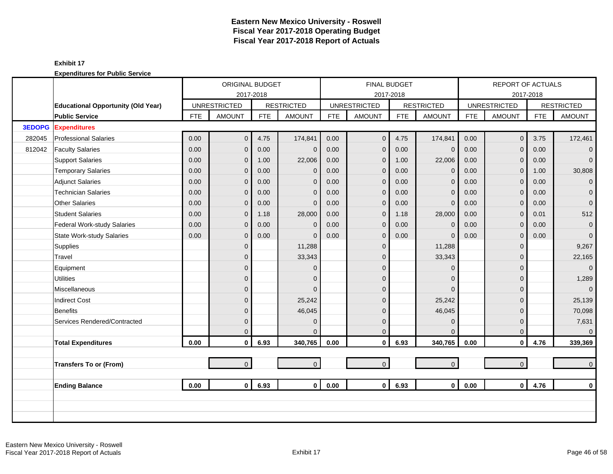|               |                                           |            | ORIGINAL BUDGET     |            |                   |            | <b>FINAL BUDGET</b> |            |                   |            | <b>REPORT OF ACTUALS</b> |            |                   |
|---------------|-------------------------------------------|------------|---------------------|------------|-------------------|------------|---------------------|------------|-------------------|------------|--------------------------|------------|-------------------|
|               |                                           |            |                     | 2017-2018  |                   |            | 2017-2018           |            |                   |            |                          | 2017-2018  |                   |
|               | <b>Educational Opportunity (Old Year)</b> |            | <b>UNRESTRICTED</b> |            | <b>RESTRICTED</b> |            | <b>UNRESTRICTED</b> |            | <b>RESTRICTED</b> |            | <b>UNRESTRICTED</b>      |            | <b>RESTRICTED</b> |
|               | <b>Public Service</b>                     | <b>FTE</b> | <b>AMOUNT</b>       | <b>FTE</b> | <b>AMOUNT</b>     | <b>FTE</b> | <b>AMOUNT</b>       | <b>FTE</b> | <b>AMOUNT</b>     | <b>FTE</b> | <b>AMOUNT</b>            | <b>FTE</b> | <b>AMOUNT</b>     |
| <b>3EDOPG</b> | <b>Expenditures</b>                       |            |                     |            |                   |            |                     |            |                   |            |                          |            |                   |
| 282045        | <b>Professional Salaries</b>              | 0.00       | $\overline{0}$      | 4.75       | 174,841           | 0.00       | $\overline{0}$      | 4.75       | 174,841           | 0.00       | $\mathbf 0$              | 3.75       | 172,461           |
| 812042        | <b>Faculty Salaries</b>                   | 0.00       | $\overline{0}$      | 0.00       | $\mathbf{0}$      | 0.00       | $\mathbf{0}$        | 0.00       | $\mathbf 0$       | 0.00       | $\Omega$                 | 0.00       | $\mathbf{0}$      |
|               | <b>Support Salaries</b>                   | 0.00       | $\overline{0}$      | 1.00       | 22,006            | 0.00       | $\mathbf 0$         | 1.00       | 22,006            | 0.00       | $\mathbf 0$              | 0.00       | $\overline{0}$    |
|               | <b>Temporary Salaries</b>                 | 0.00       | 0                   | 0.00       | $\mathbf{0}$      | 0.00       | $\mathbf 0$         | 0.00       | $\mathbf 0$       | 0.00       | $\mathbf{0}$             | 1.00       | 30,808            |
|               | <b>Adjunct Salaries</b>                   | 0.00       | $\overline{0}$      | 0.00       | $\Omega$          | 0.00       | $\mathbf{0}$        | 0.00       | $\mathbf{0}$      | 0.00       | $\Omega$                 | 0.00       | $\mathbf{0}$      |
|               | <b>Technician Salaries</b>                | 0.00       | $\overline{0}$      | 0.00       | $\mathbf{0}$      | 0.00       | $\Omega$            | 0.00       | $\mathbf{0}$      | 0.00       | $\mathbf{0}$             | 0.00       | $\mathbf 0$       |
|               | <b>Other Salaries</b>                     | 0.00       | $\overline{0}$      | 0.00       | $\mathbf{0}$      | 0.00       | $\mathbf{0}$        | 0.00       | $\mathbf{0}$      | 0.00       | $\Omega$                 | 0.00       | $\mathbf 0$       |
|               | <b>Student Salaries</b>                   | 0.00       | $\overline{0}$      | 1.18       | 28,000            | 0.00       | $\mathbf 0$         | 1.18       | 28,000            | 0.00       | $\Omega$                 | 0.01       | 512               |
|               | Federal Work-study Salaries               | 0.00       | $\overline{0}$      | 0.00       | $\mathbf{0}$      | 0.00       | $\Omega$            | 0.00       | $\mathbf{0}$      | 0.00       | $\mathbf{0}$             | 0.00       | $\mathbf 0$       |
|               | <b>State Work-study Salaries</b>          | 0.00       | $\overline{0}$      | 0.00       | $\Omega$          | 0.00       | $\mathbf{0}$        | 0.00       | $\Omega$          | 0.00       | $\mathbf{0}$             | 0.00       | $\mathbf{0}$      |
|               | Supplies                                  |            | $\overline{0}$      |            | 11,288            |            | $\overline{0}$      |            | 11,288            |            | $\Omega$                 |            | 9,267             |
|               | Travel                                    |            | $\overline{0}$      |            | 33,343            |            | $\mathbf{0}$        |            | 33,343            |            | $\Omega$                 |            | 22,165            |
|               | Equipment                                 |            | $\mathbf 0$         |            | $\mathbf{0}$      |            | $\Omega$            |            | $\mathbf 0$       |            | 0                        |            | $\mathbf{0}$      |
|               | <b>Utilities</b>                          |            | $\overline{0}$      |            | $\Omega$          |            | $\Omega$            |            | $\mathbf{0}$      |            | $\Omega$                 |            | 1,289             |
|               | Miscellaneous                             |            | $\overline{0}$      |            | $\Omega$          |            | $\Omega$            |            | $\overline{0}$    |            | $\Omega$                 |            | $\mathbf{0}$      |
|               | <b>Indirect Cost</b>                      |            | $\mathbf 0$         |            | 25,242            |            | $\Omega$            |            | 25,242            |            | $\Omega$                 |            | 25,139            |
|               | <b>Benefits</b>                           |            | $\mathbf 0$         |            | 46,045            |            | $\mathbf{0}$        |            | 46,045            |            | $\Omega$                 |            | 70,098            |
|               | Services Rendered/Contracted              |            | $\overline{0}$      |            | $\mathbf{0}$      |            | $\mathbf{0}$        |            | $\mathbf{0}$      |            | $\Omega$                 |            | 7,631             |
|               |                                           |            | $\Omega$            |            | $\Omega$          |            | $\Omega$            |            | $\Omega$          |            | $\Omega$                 |            | $\overline{0}$    |
|               | <b>Total Expenditures</b>                 | 0.00       | $\mathbf 0$         | 6.93       | 340,765           | 0.00       | $\mathbf 0$         | 6.93       | 340,765           | 0.00       | $\mathbf 0$              | 4.76       | 339,369           |
|               |                                           |            |                     |            |                   |            |                     |            |                   |            |                          |            |                   |
|               | <b>Transfers To or (From)</b>             |            | $\overline{0}$      |            | $\mathbf{0}$      |            | $\mathbf{0}$        |            | $\mathbf{0}$      |            | $\overline{0}$           |            | $\mathbf 0$       |
|               |                                           |            |                     |            |                   |            |                     |            |                   |            |                          |            |                   |
|               | <b>Ending Balance</b>                     | 0.00       | $\overline{0}$      | 6.93       | $\mathbf{0}$      | 0.00       | $\mathbf 0$         | 6.93       | $\mathbf{0}$      | 0.00       | $\mathbf{0}$             | 4.76       | $\mathbf 0$       |
|               |                                           |            |                     |            |                   |            |                     |            |                   |            |                          |            |                   |
|               |                                           |            |                     |            |                   |            |                     |            |                   |            |                          |            |                   |
|               |                                           |            |                     |            |                   |            |                     |            |                   |            |                          |            |                   |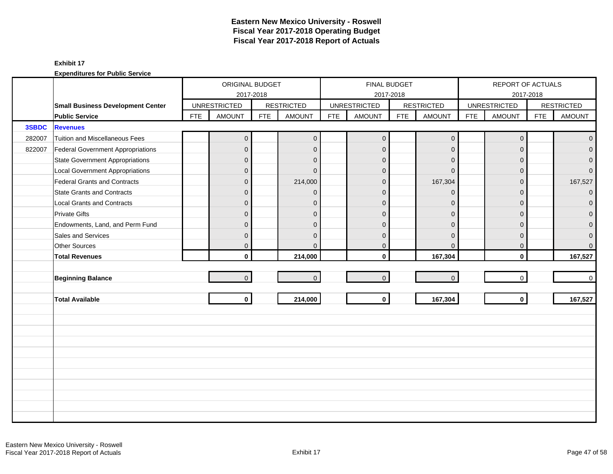|        |                                          |            | ORIGINAL BUDGET     |            |                   |            |                     | <b>FINAL BUDGET</b> |                   |            | REPORT OF ACTUALS   |            |                   |
|--------|------------------------------------------|------------|---------------------|------------|-------------------|------------|---------------------|---------------------|-------------------|------------|---------------------|------------|-------------------|
|        |                                          |            |                     | 2017-2018  |                   |            |                     | 2017-2018           |                   |            |                     | 2017-2018  |                   |
|        | <b>Small Business Development Center</b> |            | <b>UNRESTRICTED</b> |            | <b>RESTRICTED</b> |            | <b>UNRESTRICTED</b> |                     | <b>RESTRICTED</b> |            | <b>UNRESTRICTED</b> |            | <b>RESTRICTED</b> |
|        | <b>Public Service</b>                    | <b>FTE</b> | <b>AMOUNT</b>       | <b>FTE</b> | <b>AMOUNT</b>     | <b>FTE</b> | <b>AMOUNT</b>       | <b>FTE</b>          | <b>AMOUNT</b>     | <b>FTE</b> | <b>AMOUNT</b>       | <b>FTE</b> | <b>AMOUNT</b>     |
| 3SBDC  | <b>Revenues</b>                          |            |                     |            |                   |            |                     |                     |                   |            |                     |            |                   |
| 282007 | Tuition and Miscellaneous Fees           |            | $\mathbf 0$         |            | $\overline{0}$    |            | $\overline{0}$      |                     | $\mathbf 0$       |            | $\mathbf 0$         |            | $\overline{0}$    |
| 822007 | Federal Government Appropriations        |            | $\overline{0}$      |            | $\overline{0}$    |            | $\mathbf 0$         |                     | $\mathbf{0}$      |            | $\Omega$            |            | $\overline{0}$    |
|        | <b>State Government Appropriations</b>   |            | 0                   |            | $\mathbf{0}$      |            | $\mathbf{0}$        |                     | $\mathbf{0}$      |            | $\Omega$            |            | $\overline{0}$    |
|        | <b>Local Government Appropriations</b>   |            | $\overline{0}$      |            | $\Omega$          |            | $\Omega$            |                     | $\Omega$          |            | $\Omega$            |            | $\overline{0}$    |
|        | Federal Grants and Contracts             |            | $\mathbf 0$         |            | 214,000           |            | $\Omega$            |                     | 167,304           |            | $\Omega$            |            | 167,527           |
|        | <b>State Grants and Contracts</b>        |            | $\overline{0}$      |            | $\Omega$          |            | $\Omega$            |                     | $\Omega$          |            | $\Omega$            |            | $\overline{0}$    |
|        | <b>Local Grants and Contracts</b>        |            | $\overline{0}$      |            | $\mathbf{0}$      |            | $\mathbf 0$         |                     | $\Omega$          |            | $\Omega$            |            | $\mathbf{0}$      |
|        | <b>Private Gifts</b>                     |            | $\overline{0}$      |            | $\Omega$          |            | $\Omega$            |                     | $\mathbf{0}$      |            | $\Omega$            |            | $\mathbf{0}$      |
|        | Endowments, Land, and Perm Fund          |            | $\overline{0}$      |            | $\Omega$          |            | $\Omega$            |                     | $\Omega$          |            | $\Omega$            |            | $\overline{0}$    |
|        | Sales and Services                       |            | 0                   |            | $\mathbf{0}$      |            | $\mathbf 0$         |                     | $\mathbf{0}$      |            | $\mathbf{0}$        |            | $\pmb{0}$         |
|        | <b>Other Sources</b>                     |            | 0                   |            | $\Omega$          |            | $\mathbf 0$         |                     | $\mathbf 0$       |            | $\mathbf{0}$        |            | $\overline{0}$    |
|        | <b>Total Revenues</b>                    |            | $\mathbf{0}$        |            | 214,000           |            | $\mathbf{0}$        |                     | 167,304           |            | $\mathbf{0}$        |            | 167,527           |
|        |                                          |            |                     |            |                   |            |                     |                     |                   |            |                     |            |                   |
|        | <b>Beginning Balance</b>                 |            | $\overline{0}$      |            | $\mathbf{0}$      |            | $\mathbf 0$         |                     | $\mathbf 0$       |            | $\Omega$            |            | $\overline{0}$    |
|        |                                          |            |                     |            |                   |            |                     |                     |                   |            |                     |            |                   |
|        | <b>Total Available</b>                   |            | $\mathbf 0$         |            | 214,000           |            | $\mathbf 0$         |                     | 167,304           |            | $\mathbf{0}$        |            | 167,527           |
|        |                                          |            |                     |            |                   |            |                     |                     |                   |            |                     |            |                   |
|        |                                          |            |                     |            |                   |            |                     |                     |                   |            |                     |            |                   |
|        |                                          |            |                     |            |                   |            |                     |                     |                   |            |                     |            |                   |
|        |                                          |            |                     |            |                   |            |                     |                     |                   |            |                     |            |                   |
|        |                                          |            |                     |            |                   |            |                     |                     |                   |            |                     |            |                   |
|        |                                          |            |                     |            |                   |            |                     |                     |                   |            |                     |            |                   |
|        |                                          |            |                     |            |                   |            |                     |                     |                   |            |                     |            |                   |
|        |                                          |            |                     |            |                   |            |                     |                     |                   |            |                     |            |                   |
|        |                                          |            |                     |            |                   |            |                     |                     |                   |            |                     |            |                   |
|        |                                          |            |                     |            |                   |            |                     |                     |                   |            |                     |            |                   |
|        |                                          |            |                     |            |                   |            |                     |                     |                   |            |                     |            |                   |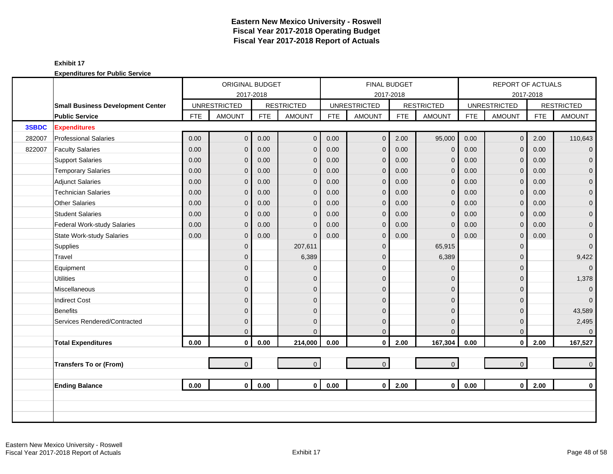|        |                                          |            | ORIGINAL BUDGET     |            |                   |            |                     | <b>FINAL BUDGET</b> |                     |            | REPORT OF ACTUALS   |            |                   |
|--------|------------------------------------------|------------|---------------------|------------|-------------------|------------|---------------------|---------------------|---------------------|------------|---------------------|------------|-------------------|
|        |                                          |            | 2017-2018           |            |                   |            |                     | 2017-2018           |                     |            |                     | 2017-2018  |                   |
|        | <b>Small Business Development Center</b> |            | <b>UNRESTRICTED</b> |            | <b>RESTRICTED</b> |            | <b>UNRESTRICTED</b> |                     | <b>RESTRICTED</b>   |            | <b>UNRESTRICTED</b> |            | <b>RESTRICTED</b> |
|        | <b>Public Service</b>                    | <b>FTE</b> | <b>AMOUNT</b>       | <b>FTE</b> | <b>AMOUNT</b>     | <b>FTE</b> | <b>AMOUNT</b>       | <b>FTE</b>          | <b>AMOUNT</b>       | <b>FTE</b> | <b>AMOUNT</b>       | <b>FTE</b> | <b>AMOUNT</b>     |
| 3SBDC  | <b>Expenditures</b>                      |            |                     |            |                   |            |                     |                     |                     |            |                     |            |                   |
| 282007 | <b>Professional Salaries</b>             | 0.00       | $\overline{0}$      | 0.00       | $\mathbf{0}$      | 0.00       | $\overline{0}$      | 2.00                | 95,000              | 0.00       | $\mathbf{0}$        | 2.00       | 110,643           |
| 822007 | <b>Faculty Salaries</b>                  | 0.00       | 0                   | 0.00       | $\mathbf{0}$      | 0.00       | $\mathbf 0$         | 0.00                | $\mathbf 0$         | 0.00       | $\Omega$            | 0.00       | $\overline{0}$    |
|        | <b>Support Salaries</b>                  | 0.00       | 0                   | 0.00       | $\mathbf 0$       | 0.00       | $\mathbf 0$         | 0.00                | $\mathbf 0$         | 0.00       | $\mathbf{0}$        | 0.00       | $\overline{0}$    |
|        | <b>Temporary Salaries</b>                | 0.00       | 0                   | 0.00       | $\mathbf{0}$      | 0.00       | $\mathbf{0}$        | 0.00                | $\mathbf{0}$        | 0.00       | $\Omega$            | 0.00       | $\mathbf 0$       |
|        | <b>Adjunct Salaries</b>                  | 0.00       | 0                   | 0.00       | $\mathbf{0}$      | 0.00       | $\mathbf 0$         | 0.00                | $\mathbf{0}$        | 0.00       | $\Omega$            | 0.00       | $\mathbf{0}$      |
|        | <b>Technician Salaries</b>               | 0.00       | 0                   | 0.00       | $\mathbf 0$       | 0.00       | $\mathbf 0$         | 0.00                | $\mathbf 0$         | 0.00       | $\mathbf{0}$        | 0.00       | $\mathbf{O}$      |
|        | <b>Other Salaries</b>                    | 0.00       | 0                   | 0.00       | $\mathbf{0}$      | 0.00       | $\mathbf 0$         | 0.00                | $\mathbf{0}$        | 0.00       | $\mathbf{0}$        | 0.00       | $\mathbf 0$       |
|        | <b>Student Salaries</b>                  | 0.00       | 0                   | 0.00       | $\Omega$          | 0.00       | $\mathbf{0}$        | 0.00                | $\mathbf{0}$        | 0.00       | $\Omega$            | 0.00       | $\overline{0}$    |
|        | Federal Work-study Salaries              | 0.00       | 0                   | 0.00       | $\mathbf{0}$      | 0.00       | $\overline{0}$      | 0.00                | $\mathbf{0}$        | 0.00       | $\mathbf{0}$        | 0.00       | $\overline{0}$    |
|        | <b>State Work-study Salaries</b>         | 0.00       | 0                   | 0.00       | $\mathbf{0}$      | 0.00       | $\mathbf{0}$        | 0.00                | $\mathbf{0}$        | 0.00       | 0                   | 0.00       | $\mathbf 0$       |
|        | Supplies                                 |            | $\overline{0}$      |            | 207,611           |            | $\mathbf{0}$        |                     | 65,915              |            | $\Omega$            |            | $\overline{0}$    |
|        | Travel                                   |            | 0                   |            | 6,389             |            | $\Omega$            |                     | 6,389               |            | $\Omega$            |            | 9,422             |
|        | Equipment                                |            | 0                   |            | $\Omega$          |            | $\Omega$            |                     | $\mathbf{0}$        |            | $\Omega$            |            | $\overline{0}$    |
|        | <b>Utilities</b>                         |            | 0                   |            | $\mathbf{0}$      |            | $\mathbf{0}$        |                     | $\mathbf 0$         |            | $\Omega$            |            | 1,378             |
|        | Miscellaneous                            |            | 0                   |            | $\mathbf{0}$      |            | $\mathbf{0}$        |                     | $\mathbf{0}$        |            | $\Omega$            |            | $\mathbf{O}$      |
|        | <b>Indirect Cost</b>                     |            | 0                   |            | $\Omega$          |            | $\Omega$            |                     | $\mathbf{0}$        |            | $\Omega$            |            | $\overline{0}$    |
|        | Benefits                                 |            | 0                   |            | $\Omega$          |            | $\Omega$            |                     | $\mathbf{0}$        |            | $\Omega$            |            | 43,589            |
|        | Services Rendered/Contracted             |            | 0                   |            | $\mathbf{0}$      |            | $\mathbf{0}$        |                     | $\mathbf 0$         |            | $\Omega$            |            | 2,495             |
|        |                                          |            | 0                   |            | $\Omega$          |            | $\Omega$            |                     | $\overline{0}$      |            | $\Omega$            |            | $\mathbf{0}$      |
|        | <b>Total Expenditures</b>                | 0.00       | $\mathbf 0$         | 0.00       | 214,000           | 0.00       | $\mathbf 0$         | 2.00                | 167,304             | 0.00       | $\mathbf{0}$        | 2.00       | 167,527           |
|        |                                          |            |                     |            |                   |            |                     |                     |                     |            |                     |            |                   |
|        | <b>Transfers To or (From)</b>            |            | $\overline{0}$      |            | $\overline{0}$    |            | $\mathbf{0}$        |                     | $\mathsf{O}\xspace$ |            | $\overline{0}$      |            | $\mathbf{0}$      |
|        |                                          |            |                     |            |                   |            |                     |                     |                     |            |                     |            |                   |
|        | <b>Ending Balance</b>                    | 0.00       | $\mathbf{0}$        | 0.00       | 0 <sup>1</sup>    | 0.00       | $\mathbf{0}$        | 2.00                | $\mathbf{0}$        | 0.00       | $\mathbf{0}$        | 2.00       | $\mathbf 0$       |
|        |                                          |            |                     |            |                   |            |                     |                     |                     |            |                     |            |                   |
|        |                                          |            |                     |            |                   |            |                     |                     |                     |            |                     |            |                   |
|        |                                          |            |                     |            |                   |            |                     |                     |                     |            |                     |            |                   |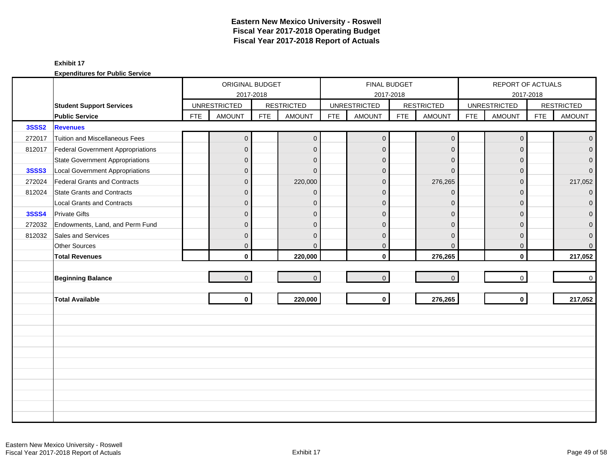|              |                                          |            | ORIGINAL BUDGET     |            |                   |            | <b>FINAL BUDGET</b> |            |                   |            | REPORT OF ACTUALS   |            |                   |
|--------------|------------------------------------------|------------|---------------------|------------|-------------------|------------|---------------------|------------|-------------------|------------|---------------------|------------|-------------------|
|              |                                          |            | 2017-2018           |            |                   |            |                     | 2017-2018  |                   |            |                     | 2017-2018  |                   |
|              | <b>Student Support Services</b>          |            | <b>UNRESTRICTED</b> |            | <b>RESTRICTED</b> |            | <b>UNRESTRICTED</b> |            | <b>RESTRICTED</b> |            | <b>UNRESTRICTED</b> |            | <b>RESTRICTED</b> |
|              | <b>Public Service</b>                    | <b>FTE</b> | <b>AMOUNT</b>       | <b>FTE</b> | <b>AMOUNT</b>     | <b>FTE</b> | <b>AMOUNT</b>       | <b>FTE</b> | <b>AMOUNT</b>     | <b>FTE</b> | <b>AMOUNT</b>       | <b>FTE</b> | <b>AMOUNT</b>     |
| <b>3SSS2</b> | <b>Revenues</b>                          |            |                     |            |                   |            |                     |            |                   |            |                     |            |                   |
| 272017       | Tuition and Miscellaneous Fees           |            | $\mathbf 0$         |            | $\mathbf{0}$      |            | $\overline{0}$      |            | $\mathbf 0$       |            | $\mathbf 0$         |            | $\overline{0}$    |
| 812017       | <b>Federal Government Appropriations</b> |            | $\overline{0}$      |            | $\overline{0}$    |            | $\mathbf 0$         |            | $\mathbf{0}$      |            | $\Omega$            |            | $\overline{0}$    |
|              | State Government Appropriations          |            | 0                   |            | $\mathbf{0}$      |            | $\mathbf 0$         |            | $\mathbf{0}$      |            | $\Omega$            |            | $\overline{0}$    |
| <b>3SSS3</b> | Local Government Appropriations          |            | $\overline{0}$      |            | $\Omega$          |            | $\Omega$            |            | $\Omega$          |            | $\Omega$            |            | $\overline{0}$    |
| 272024       | Federal Grants and Contracts             |            | $\mathbf 0$         |            | 220,000           |            | $\Omega$            |            | 276,265           |            | $\Omega$            |            | 217,052           |
| 812024       | State Grants and Contracts               |            | $\overline{0}$      |            | $\Omega$          |            | $\Omega$            |            | $\Omega$          |            | $\Omega$            |            | $\overline{0}$    |
|              | Local Grants and Contracts               |            | $\overline{0}$      |            | $\mathbf{0}$      |            | $\mathbf 0$         |            | $\mathbf 0$       |            | $\Omega$            |            | $\mathbf{0}$      |
| <b>3SSS4</b> | <b>Private Gifts</b>                     |            | $\overline{0}$      |            | $\Omega$          |            | $\Omega$            |            | $\mathbf{0}$      |            | $\Omega$            |            | $\mathbf{0}$      |
| 272032       | Endowments, Land, and Perm Fund          |            | $\overline{0}$      |            | $\Omega$          |            | $\Omega$            |            | $\Omega$          |            | $\Omega$            |            | $\overline{0}$    |
| 812032       | Sales and Services                       |            | 0                   |            | $\mathbf{0}$      |            | $\mathbf 0$         |            | $\mathbf{0}$      |            | $\mathbf{0}$        |            | $\pmb{0}$         |
|              | Other Sources                            |            | 0                   |            | $\Omega$          |            | $\mathbf 0$         |            | $\mathbf 0$       |            | $\mathbf{0}$        |            | $\overline{0}$    |
|              | <b>Total Revenues</b>                    |            | $\mathbf{0}$        |            | 220,000           |            | $\mathbf{0}$        |            | 276,265           |            | $\mathbf{0}$        |            | 217,052           |
|              |                                          |            |                     |            |                   |            |                     |            |                   |            |                     |            |                   |
|              | <b>Beginning Balance</b>                 |            | $\overline{0}$      |            | $\mathbf{0}$      |            | $\mathbf 0$         |            | $\mathbf 0$       |            | $\Omega$            |            | $\overline{0}$    |
|              |                                          |            |                     |            |                   |            |                     |            |                   |            |                     |            |                   |
|              | <b>Total Available</b>                   |            | $\mathbf 0$         |            | 220,000           |            | $\mathbf 0$         |            | 276,265           |            | $\mathbf{0}$        |            | 217,052           |
|              |                                          |            |                     |            |                   |            |                     |            |                   |            |                     |            |                   |
|              |                                          |            |                     |            |                   |            |                     |            |                   |            |                     |            |                   |
|              |                                          |            |                     |            |                   |            |                     |            |                   |            |                     |            |                   |
|              |                                          |            |                     |            |                   |            |                     |            |                   |            |                     |            |                   |
|              |                                          |            |                     |            |                   |            |                     |            |                   |            |                     |            |                   |
|              |                                          |            |                     |            |                   |            |                     |            |                   |            |                     |            |                   |
|              |                                          |            |                     |            |                   |            |                     |            |                   |            |                     |            |                   |
|              |                                          |            |                     |            |                   |            |                     |            |                   |            |                     |            |                   |
|              |                                          |            |                     |            |                   |            |                     |            |                   |            |                     |            |                   |
|              |                                          |            |                     |            |                   |            |                     |            |                   |            |                     |            |                   |
|              |                                          |            |                     |            |                   |            |                     |            |                   |            |                     |            |                   |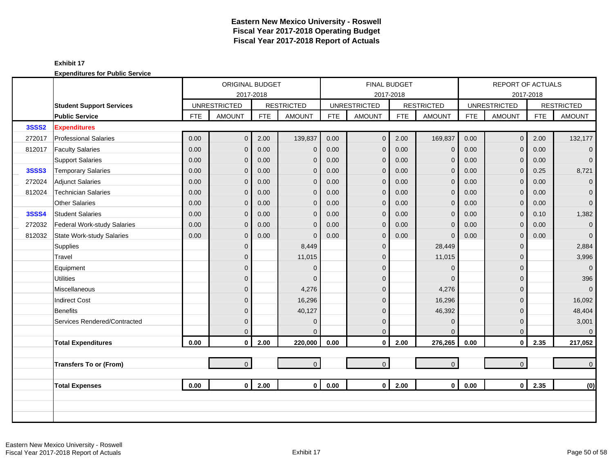|              |                                  |            | ORIGINAL BUDGET     |            |                   |            | <b>FINAL BUDGET</b> |            |                   |            | REPORT OF ACTUALS   |            |                   |
|--------------|----------------------------------|------------|---------------------|------------|-------------------|------------|---------------------|------------|-------------------|------------|---------------------|------------|-------------------|
|              |                                  |            | 2017-2018           |            |                   |            | 2017-2018           |            |                   |            |                     | 2017-2018  |                   |
|              | <b>Student Support Services</b>  |            | <b>UNRESTRICTED</b> |            | <b>RESTRICTED</b> |            | <b>UNRESTRICTED</b> |            | <b>RESTRICTED</b> |            | <b>UNRESTRICTED</b> |            | <b>RESTRICTED</b> |
|              | <b>Public Service</b>            | <b>FTE</b> | <b>AMOUNT</b>       | <b>FTE</b> | <b>AMOUNT</b>     | <b>FTE</b> | <b>AMOUNT</b>       | <b>FTE</b> | <b>AMOUNT</b>     | <b>FTE</b> | <b>AMOUNT</b>       | <b>FTE</b> | <b>AMOUNT</b>     |
| <b>3SSS2</b> | <b>Expenditures</b>              |            |                     |            |                   |            |                     |            |                   |            |                     |            |                   |
| 272017       | <b>Professional Salaries</b>     | 0.00       | $\overline{0}$      | 2.00       | 139,837           | 0.00       | $\mathbf 0$         | 2.00       | 169,837           | 0.00       | $\mathsf{O}\xspace$ | 2.00       | 132,177           |
| 812017       | <b>Faculty Salaries</b>          | 0.00       | $\mathbf 0$         | 0.00       | $\mathbf{0}$      | 0.00       | $\overline{0}$      | 0.00       | $\mathbf 0$       | 0.00       | $\overline{0}$      | 0.00       | $\overline{0}$    |
|              | <b>Support Salaries</b>          | 0.00       | $\mathbf{0}$        | 0.00       | $\mathbf{0}$      | 0.00       | $\mathbf{0}$        | 0.00       | $\mathbf{0}$      | 0.00       | $\mathbf 0$         | 0.00       | $\overline{0}$    |
| <b>3SSS3</b> | <b>Temporary Salaries</b>        | 0.00       | $\mathbf{0}$        | 0.00       | $\mathbf{0}$      | 0.00       | $\mathbf{0}$        | 0.00       | $\mathbf{0}$      | 0.00       | $\mathbf 0$         | 0.25       | 8,721             |
| 272024       | <b>Adjunct Salaries</b>          | 0.00       | $\overline{0}$      | 0.00       | $\mathbf{0}$      | 0.00       | $\mathbf{0}$        | 0.00       | $\mathbf 0$       | 0.00       | $\mathbf{0}$        | 0.00       | $\overline{0}$    |
| 812024       | <b>Technician Salaries</b>       | 0.00       | $\mathbf{0}$        | 0.00       | $\mathbf 0$       | 0.00       | $\mathbf{0}$        | 0.00       | $\mathbf{0}$      | 0.00       | $\mathbf 0$         | 0.00       | $\overline{0}$    |
|              | <b>Other Salaries</b>            | 0.00       | 0                   | 0.00       | $\mathbf{0}$      | 0.00       | $\mathbf{0}$        | 0.00       | $\mathbf 0$       | 0.00       | $\mathbf 0$         | 0.00       | $\overline{0}$    |
| <b>3SSS4</b> | <b>Student Salaries</b>          | 0.00       | $\Omega$            | 0.00       | $\Omega$          | 0.00       | $\mathbf{0}$        | 0.00       | $\Omega$          | 0.00       | $\Omega$            | 0.10       | 1,382             |
| 272032       | Federal Work-study Salaries      | 0.00       | $\mathbf{0}$        | 0.00       | $\mathbf{0}$      | 0.00       | $\overline{0}$      | 0.00       | $\mathbf{0}$      | 0.00       | $\mathbf{0}$        | 0.00       | $\mathbf{0}$      |
| 812032       | <b>State Work-study Salaries</b> | 0.00       | 0                   | 0.00       | $\Omega$          | 0.00       | $\mathbf{0}$        | 0.00       | $\Omega$          | 0.00       | $\mathbf 0$         | 0.00       | $\overline{0}$    |
|              | Supplies                         |            | $\mathbf 0$         |            | 8,449             |            | $\mathbf{0}$        |            | 28,449            |            | $\mathbf{0}$        |            | 2,884             |
|              | Travel                           |            | $\mathbf{0}$        |            | 11,015            |            | $\mathbf{0}$        |            | 11,015            |            | $\mathbf{0}$        |            | 3,996             |
|              | Equipment                        |            | 0                   |            | $\Omega$          |            | $\mathbf{0}$        |            | $\mathbf{0}$      |            | $\overline{0}$      |            | $\mathbf{0}$      |
|              | <b>Utilities</b>                 |            | 0                   |            | $\Omega$          |            | $\mathbf{0}$        |            | $\mathbf{0}$      |            | $\mathbf{0}$        |            | 396               |
|              | <b>Miscellaneous</b>             |            | $\overline{0}$      |            | 4,276             |            | $\overline{0}$      |            | 4,276             |            | $\Omega$            |            | $\overline{0}$    |
|              | <b>Indirect Cost</b>             |            | 0                   |            | 16,296            |            | $\Omega$            |            | 16,296            |            | $\Omega$            |            | 16,092            |
|              | <b>Benefits</b>                  |            | 0                   |            | 40,127            |            | $\mathbf{0}$        |            | 46,392            |            | $\Omega$            |            | 48,404            |
|              | Services Rendered/Contracted     |            | 0                   |            | $\mathbf 0$       |            | $\mathbf{0}$        |            | $\mathbf 0$       |            | $\mathbf 0$         |            | 3,001             |
|              |                                  |            | 0                   |            | $\Omega$          |            | $\mathbf{0}$        |            | $\mathbf{0}$      |            | $\mathbf{0}$        |            | $\Omega$          |
|              | <b>Total Expenditures</b>        | 0.00       | $\mathbf 0$         | 2.00       | 220,000           | $0.00\,$   | $\pmb{0}$           | 2.00       | 276,265           | 0.00       | $\mathbf{0}$        | 2.35       | 217,052           |
|              |                                  |            |                     |            |                   |            |                     |            |                   |            |                     |            |                   |
|              | <b>Transfers To or (From)</b>    |            | $\overline{0}$      |            | $\overline{0}$    |            | $\mathbf 0$         |            | $\mathbf{O}$      |            | $\overline{0}$      |            | $\overline{0}$    |
|              |                                  |            |                     |            |                   |            |                     |            |                   |            |                     |            |                   |
|              | <b>Total Expenses</b>            | 0.00       | $\mathbf{0}$        | 2.00       | $\mathbf{0}$      | 0.00       | $\mathbf{0}$        | 2.00       | $\mathbf{0}$      | 0.00       | $\overline{0}$      | 2.35       | (0)               |
|              |                                  |            |                     |            |                   |            |                     |            |                   |            |                     |            |                   |
|              |                                  |            |                     |            |                   |            |                     |            |                   |            |                     |            |                   |
|              |                                  |            |                     |            |                   |            |                     |            |                   |            |                     |            |                   |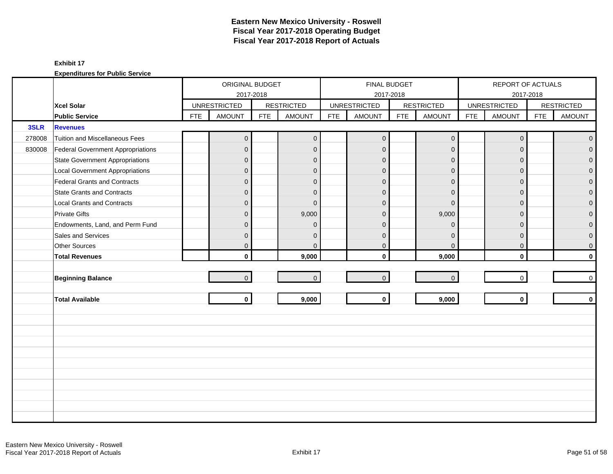|        |                                        |            | ORIGINAL BUDGET     |            |                   |            | FINAL BUDGET        |            |                   |            | REPORT OF ACTUALS   |            |                   |
|--------|----------------------------------------|------------|---------------------|------------|-------------------|------------|---------------------|------------|-------------------|------------|---------------------|------------|-------------------|
|        |                                        |            | 2017-2018           |            |                   |            | 2017-2018           |            |                   |            | 2017-2018           |            |                   |
|        | Xcel Solar                             |            | <b>UNRESTRICTED</b> |            | <b>RESTRICTED</b> |            | <b>UNRESTRICTED</b> |            | <b>RESTRICTED</b> |            | <b>UNRESTRICTED</b> |            | <b>RESTRICTED</b> |
|        | <b>Public Service</b>                  | <b>FTE</b> | <b>AMOUNT</b>       | <b>FTE</b> | <b>AMOUNT</b>     | <b>FTE</b> | <b>AMOUNT</b>       | <b>FTE</b> | <b>AMOUNT</b>     | <b>FTE</b> | <b>AMOUNT</b>       | <b>FTE</b> | <b>AMOUNT</b>     |
| 3SLR   | <b>Revenues</b>                        |            |                     |            |                   |            |                     |            |                   |            |                     |            |                   |
| 278008 | Tuition and Miscellaneous Fees         |            | $\overline{0}$      |            | $\mathbf 0$       |            | $\overline{0}$      |            | $\mathbf 0$       |            | $\mathbf 0$         |            | $\mathbf{O}$      |
| 830008 | Federal Government Appropriations      |            | $\mathbf{0}$        |            | $\mathbf{0}$      |            | $\mathbf{0}$        |            | $\mathbf{0}$      |            | $\Omega$            |            | $\overline{0}$    |
|        | <b>State Government Appropriations</b> |            | $\overline{0}$      |            | $\mathbf{0}$      |            | $\mathbf{0}$        |            | $\mathbf{0}$      |            | $\Omega$            |            | 0                 |
|        | <b>Local Government Appropriations</b> |            | $\mathbf{0}$        |            | $\mathbf{0}$      |            | $\mathbf{0}$        |            | $\mathbf 0$       |            | $\mathbf{0}$        |            | 0                 |
|        | Federal Grants and Contracts           |            | $\mathbf{0}$        |            | $\mathbf{0}$      |            | $\mathbf{0}$        |            | $\mathbf{0}$      |            | $\Omega$            |            | $\mathbf{0}$      |
|        | <b>State Grants and Contracts</b>      |            | $\overline{0}$      |            | $\Omega$          |            | $\Omega$            |            | $\Omega$          |            | $\Omega$            |            | 0                 |
|        | <b>Local Grants and Contracts</b>      |            | $\overline{0}$      |            | $\Omega$          |            | $\Omega$            |            | $\mathbf{0}$      |            | $\Omega$            |            | $\mathbf 0$       |
|        | <b>Private Gifts</b>                   |            | $\overline{0}$      |            | 9,000             |            | $\mathbf{0}$        |            | 9,000             |            | $\Omega$            |            | $\overline{0}$    |
|        | Endowments, Land, and Perm Fund        |            | $\overline{0}$      |            | $\Omega$          |            | $\Omega$            |            | $\Omega$          |            | $\Omega$            |            | 0                 |
|        | Sales and Services                     |            | $\mathsf{O}\xspace$ |            | $\mathbf{0}$      |            | $\mathbf{0}$        |            | $\mathbf{0}$      |            | $\mathbf{0}$        |            | 0                 |
|        | Other Sources                          |            | $\overline{0}$      |            | $\mathbf{0}$      |            | $\mathbf 0$         |            | $\mathbf 0$       |            | $\mathbf 0$         |            | 0                 |
|        | <b>Total Revenues</b>                  |            | $\mathbf{0}$        |            | 9,000             |            | $\mathbf{0}$        |            | 9,000             |            | $\mathbf 0$         |            | $\mathbf{0}$      |
|        |                                        |            |                     |            |                   |            |                     |            |                   |            |                     |            |                   |
|        | <b>Beginning Balance</b>               |            | $\overline{0}$      |            | $\overline{0}$    |            | $\mathbf{0}$        |            | $\mathbf 0$       |            | $\mathbf 0$         |            | 0                 |
|        |                                        |            |                     |            |                   |            |                     |            |                   |            |                     |            |                   |
|        | <b>Total Available</b>                 |            | $\mathbf{0}$        |            | 9,000             |            | $\mathbf 0$         |            | 9,000             |            | $\mathbf{0}$        |            | $\mathbf 0$       |
|        |                                        |            |                     |            |                   |            |                     |            |                   |            |                     |            |                   |
|        |                                        |            |                     |            |                   |            |                     |            |                   |            |                     |            |                   |
|        |                                        |            |                     |            |                   |            |                     |            |                   |            |                     |            |                   |
|        |                                        |            |                     |            |                   |            |                     |            |                   |            |                     |            |                   |
|        |                                        |            |                     |            |                   |            |                     |            |                   |            |                     |            |                   |
|        |                                        |            |                     |            |                   |            |                     |            |                   |            |                     |            |                   |
|        |                                        |            |                     |            |                   |            |                     |            |                   |            |                     |            |                   |
|        |                                        |            |                     |            |                   |            |                     |            |                   |            |                     |            |                   |
|        |                                        |            |                     |            |                   |            |                     |            |                   |            |                     |            |                   |
|        |                                        |            |                     |            |                   |            |                     |            |                   |            |                     |            |                   |
|        |                                        |            |                     |            |                   |            |                     |            |                   |            |                     |            |                   |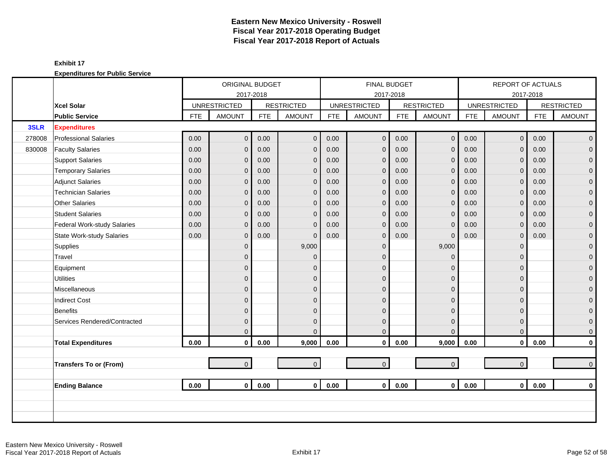|        |                                  |            | ORIGINAL BUDGET     |            |                   |            | <b>FINAL BUDGET</b> |            |                   |            | REPORT OF ACTUALS   |            |                     |
|--------|----------------------------------|------------|---------------------|------------|-------------------|------------|---------------------|------------|-------------------|------------|---------------------|------------|---------------------|
|        |                                  |            | 2017-2018           |            |                   |            | 2017-2018           |            |                   |            |                     | 2017-2018  |                     |
|        | <b>Xcel Solar</b>                |            | <b>UNRESTRICTED</b> |            | <b>RESTRICTED</b> |            | <b>UNRESTRICTED</b> |            | <b>RESTRICTED</b> |            | <b>UNRESTRICTED</b> |            | <b>RESTRICTED</b>   |
|        | <b>Public Service</b>            | <b>FTE</b> | <b>AMOUNT</b>       | <b>FTE</b> | <b>AMOUNT</b>     | <b>FTE</b> | <b>AMOUNT</b>       | <b>FTE</b> | <b>AMOUNT</b>     | <b>FTE</b> | <b>AMOUNT</b>       | <b>FTE</b> | <b>AMOUNT</b>       |
| 3SLR   | <b>Expenditures</b>              |            |                     |            |                   |            |                     |            |                   |            |                     |            |                     |
| 278008 | <b>Professional Salaries</b>     | 0.00       | $\overline{0}$      | 0.00       | $\mathbf 0$       | 0.00       | $\mathbf 0$         | 0.00       | $\mathbf 0$       | 0.00       | $\overline{0}$      | 0.00       | $\overline{0}$      |
| 830008 | <b>Faculty Salaries</b>          | 0.00       | $\overline{0}$      | 0.00       | $\mathbf{0}$      | 0.00       | $\overline{0}$      | 0.00       | $\mathbf 0$       | 0.00       | $\Omega$            | 0.00       | $\mathbf{0}$        |
|        | <b>Support Salaries</b>          | 0.00       | $\overline{0}$      | 0.00       | $\mathbf 0$       | 0.00       | $\mathbf{0}$        | 0.00       | $\mathbf{0}$      | 0.00       | $\mathbf{0}$        | 0.00       | $\mathbf 0$         |
|        | <b>Temporary Salaries</b>        | 0.00       | $\mathbf{0}$        | 0.00       | $\mathbf 0$       | 0.00       | $\mathbf{0}$        | 0.00       | $\mathbf{0}$      | 0.00       | $\mathbf{0}$        | 0.00       | $\pmb{0}$           |
|        | <b>Adjunct Salaries</b>          | 0.00       | $\overline{0}$      | 0.00       | $\mathbf{0}$      | 0.00       | $\mathbf{0}$        | 0.00       | $\mathbf 0$       | 0.00       | $\Omega$            | 0.00       | $\mathbf 0$         |
|        | <b>Technician Salaries</b>       | 0.00       | $\mathbf{0}$        | 0.00       | $\mathbf 0$       | 0.00       | $\mathbf 0$         | 0.00       | $\mathbf 0$       | 0.00       | $\mathbf{0}$        | 0.00       | $\mathbf 0$         |
|        | <b>Other Salaries</b>            | 0.00       | $\overline{0}$      | 0.00       | $\mathbf 0$       | 0.00       | $\mathbf{0}$        | 0.00       | $\mathbf 0$       | 0.00       | $\mathbf{0}$        | 0.00       | $\pmb{0}$           |
|        | <b>Student Salaries</b>          | 0.00       | $\overline{0}$      | 0.00       | $\overline{0}$    | 0.00       | $\mathbf{0}$        | 0.00       | $\mathbf{0}$      | 0.00       | $\Omega$            | 0.00       | $\overline{0}$      |
|        | Federal Work-study Salaries      | 0.00       | $\overline{0}$      | 0.00       | $\mathbf 0$       | 0.00       | $\overline{0}$      | 0.00       | $\mathbf{0}$      | 0.00       | $\mathbf{0}$        | 0.00       | $\mathbf{0}$        |
|        | <b>State Work-study Salaries</b> | 0.00       | $\overline{0}$      | 0.00       | $\mathbf 0$       | 0.00       | $\mathbf{0}$        | 0.00       | $\mathbf{0}$      | 0.00       | $\mathbf{0}$        | 0.00       | $\pmb{0}$           |
|        | Supplies                         |            | $\mathbf 0$         |            | 9,000             |            | $\overline{0}$      |            | 9,000             |            | $\Omega$            |            | $\mathbf 0$         |
|        | Travel                           |            | $\overline{0}$      |            | $\mathbf{0}$      |            | $\Omega$            |            | $\mathbf{0}$      |            | $\Omega$            |            | $\mathsf{O}\xspace$ |
|        | Equipment                        |            | $\overline{0}$      |            | $\mathbf{0}$      |            | $\Omega$            |            | $\mathbf 0$       |            | $\Omega$            |            | $\pmb{0}$           |
|        | <b>Utilities</b>                 |            | $\mathbf 0$         |            | $\mathbf{0}$      |            | $\overline{0}$      |            | $\mathbf 0$       |            | $\Omega$            |            | $\overline{0}$      |
|        | Miscellaneous                    |            | $\mathbf{0}$        |            | $\mathbf{0}$      |            | $\Omega$            |            | $\mathbf{0}$      |            | $\Omega$            |            | $\mathsf{O}\xspace$ |
|        | <b>Indirect Cost</b>             |            | $\overline{0}$      |            | $\Omega$          |            | $\Omega$            |            | $\mathbf{0}$      |            | $\Omega$            |            | $\mathbf 0$         |
|        | <b>Benefits</b>                  |            | $\overline{0}$      |            | $\Omega$          |            | $\Omega$            |            | $\mathbf 0$       |            | $\Omega$            |            | $\mathbf{0}$        |
|        | Services Rendered/Contracted     |            | $\overline{0}$      |            | $\mathbf 0$       |            | $\overline{0}$      |            | $\mathbf 0$       |            | $\mathbf 0$         |            | $\mathbf 0$         |
|        |                                  |            | $\overline{0}$      |            | $\Omega$          |            | $\mathbf{0}$        |            | $\mathbf{0}$      |            | $\mathbf{0}$        |            | $\mathbf 0$         |
|        | <b>Total Expenditures</b>        | 0.00       | $\mathbf 0$         | 0.00       | 9,000             | 0.00       | $\mathbf 0$         | 0.00       | 9,000             | 0.00       | $\mathbf 0$         | 0.00       | $\mathbf 0$         |
|        |                                  |            |                     |            |                   |            |                     |            |                   |            |                     |            |                     |
|        | <b>Transfers To or (From)</b>    |            | $\overline{0}$      |            | $\mathbf{0}$      |            | $\mathbf 0$         |            | $\mathbf 0$       |            | $\overline{0}$      |            | $\mathbf 0$         |
|        |                                  |            |                     |            |                   |            |                     |            |                   |            |                     |            |                     |
|        | <b>Ending Balance</b>            | 0.00       | $\mathbf{0}$        | 0.00       | $\mathbf{0}$      | 0.00       | $\mathbf{0}$        | 0.00       | $\mathbf{0}$      | 0.00       | $\overline{0}$      | 0.00       | $\mathbf 0$         |
|        |                                  |            |                     |            |                   |            |                     |            |                   |            |                     |            |                     |
|        |                                  |            |                     |            |                   |            |                     |            |                   |            |                     |            |                     |
|        |                                  |            |                     |            |                   |            |                     |            |                   |            |                     |            |                     |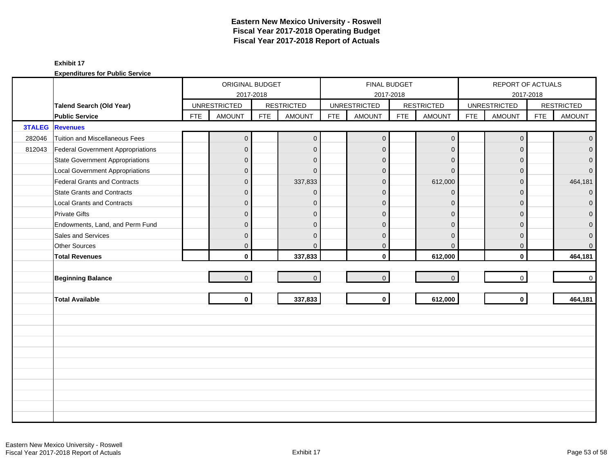|               |                                        |            | ORIGINAL BUDGET     |            |                   |            | <b>FINAL BUDGET</b> |            |                   |            | REPORT OF ACTUALS   |            |                   |
|---------------|----------------------------------------|------------|---------------------|------------|-------------------|------------|---------------------|------------|-------------------|------------|---------------------|------------|-------------------|
|               |                                        |            |                     | 2017-2018  |                   |            |                     | 2017-2018  |                   |            |                     | 2017-2018  |                   |
|               | <b>Talend Search (Old Year)</b>        |            | <b>UNRESTRICTED</b> |            | <b>RESTRICTED</b> |            | <b>UNRESTRICTED</b> |            | <b>RESTRICTED</b> |            | <b>UNRESTRICTED</b> |            | <b>RESTRICTED</b> |
|               | <b>Public Service</b>                  | <b>FTE</b> | <b>AMOUNT</b>       | <b>FTE</b> | <b>AMOUNT</b>     | <b>FTE</b> | <b>AMOUNT</b>       | <b>FTE</b> | <b>AMOUNT</b>     | <b>FTE</b> | <b>AMOUNT</b>       | <b>FTE</b> | <b>AMOUNT</b>     |
| <b>3TALEG</b> | <b>Revenues</b>                        |            |                     |            |                   |            |                     |            |                   |            |                     |            |                   |
| 282046        | Tuition and Miscellaneous Fees         |            | $\overline{0}$      |            | $\mathbf{0}$      |            | $\mathbf 0$         |            | $\pmb{0}$         |            | $\mathbf 0$         |            | $\mathbf 0$       |
| 812043        | Federal Government Appropriations      |            | 0                   |            | $\mathbf{0}$      |            | $\mathbf{0}$        |            | $\mathbf 0$       |            | $\mathbf{0}$        |            | $\mathbf{0}$      |
|               | <b>State Government Appropriations</b> |            | $\overline{0}$      |            | $\mathbf{0}$      |            | $\mathbf{0}$        |            | $\mathbf 0$       |            | $\Omega$            |            | $\mathbf{0}$      |
|               | <b>Local Government Appropriations</b> |            | $\overline{0}$      |            | $\Omega$          |            | $\Omega$            |            | $\mathbf{0}$      |            | $\Omega$            |            | $\overline{0}$    |
|               | <b>Federal Grants and Contracts</b>    |            | $\overline{0}$      |            | 337,833           |            | $\Omega$            |            | 612,000           |            | $\Omega$            |            | 464,181           |
|               | <b>State Grants and Contracts</b>      |            | $\overline{0}$      |            | $\mathbf{0}$      |            | $\mathbf{0}$        |            | $\mathbf 0$       |            | $\Omega$            |            | $\mathbf{O}$      |
|               | <b>Local Grants and Contracts</b>      |            | 0                   |            | $\mathbf{0}$      |            | $\Omega$            |            | $\mathbf 0$       |            | $\Omega$            |            | $\mathbf 0$       |
|               | <b>Private Gifts</b>                   |            | $\overline{0}$      |            | $\mathbf{0}$      |            | $\Omega$            |            | $\mathbf 0$       |            | $\Omega$            |            | $\mathbf{0}$      |
|               | Endowments, Land, and Perm Fund        |            | 0                   |            | $\mathbf{0}$      |            | $\Omega$            |            | $\mathbf{0}$      |            | $\Omega$            |            | $\mathbf{0}$      |
|               | Sales and Services                     |            | 0                   |            | $\mathbf{0}$      |            | $\Omega$            |            | $\mathbf{0}$      |            | $\Omega$            |            | $\pmb{0}$         |
|               | Other Sources                          |            | 0                   |            | $\mathbf{0}$      |            | $\mathbf 0$         |            | $\mathbf 0$       |            | 0                   |            | $\overline{0}$    |
|               | <b>Total Revenues</b>                  |            | $\mathbf{0}$        |            | 337,833           |            | $\mathbf{0}$        |            | 612,000           |            | $\mathbf{0}$        |            | 464,181           |
|               |                                        |            |                     |            |                   |            |                     |            |                   |            |                     |            |                   |
|               | <b>Beginning Balance</b>               |            | $\overline{0}$      |            | $\mathbf{0}$      |            | $\mathbf 0$         |            | $\pmb{0}$         |            | $\overline{0}$      |            | $\mathsf{O}$      |
|               |                                        |            |                     |            |                   |            |                     |            |                   |            |                     |            |                   |
|               | <b>Total Available</b>                 |            | $\mathbf{0}$        |            | 337,833           |            | $\mathbf{0}$        |            | 612,000           |            | $\mathbf{0}$        |            | 464,181           |
|               |                                        |            |                     |            |                   |            |                     |            |                   |            |                     |            |                   |
|               |                                        |            |                     |            |                   |            |                     |            |                   |            |                     |            |                   |
|               |                                        |            |                     |            |                   |            |                     |            |                   |            |                     |            |                   |
|               |                                        |            |                     |            |                   |            |                     |            |                   |            |                     |            |                   |
|               |                                        |            |                     |            |                   |            |                     |            |                   |            |                     |            |                   |
|               |                                        |            |                     |            |                   |            |                     |            |                   |            |                     |            |                   |
|               |                                        |            |                     |            |                   |            |                     |            |                   |            |                     |            |                   |
|               |                                        |            |                     |            |                   |            |                     |            |                   |            |                     |            |                   |
|               |                                        |            |                     |            |                   |            |                     |            |                   |            |                     |            |                   |
|               |                                        |            |                     |            |                   |            |                     |            |                   |            |                     |            |                   |
|               |                                        |            |                     |            |                   |            |                     |            |                   |            |                     |            |                   |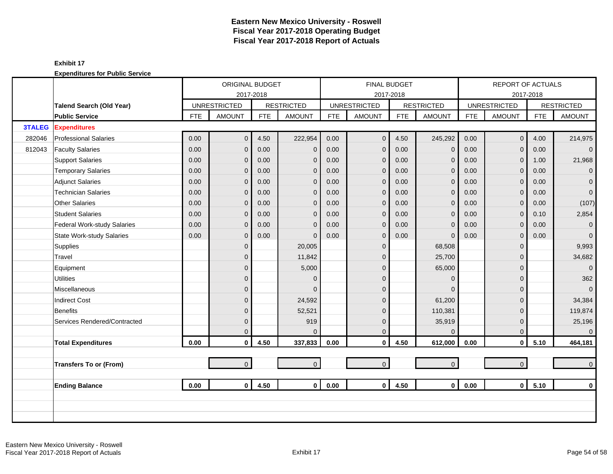|               |                                  |            | ORIGINAL BUDGET     |            |                   |            | <b>FINAL BUDGET</b> |            |                   |            | REPORT OF ACTUALS   |            |                   |
|---------------|----------------------------------|------------|---------------------|------------|-------------------|------------|---------------------|------------|-------------------|------------|---------------------|------------|-------------------|
|               |                                  |            | 2017-2018           |            |                   |            | 2017-2018           |            |                   |            |                     | 2017-2018  |                   |
|               | Talend Search (Old Year)         |            | <b>UNRESTRICTED</b> |            | <b>RESTRICTED</b> |            | <b>UNRESTRICTED</b> |            | <b>RESTRICTED</b> |            | <b>UNRESTRICTED</b> |            | <b>RESTRICTED</b> |
|               | <b>Public Service</b>            | <b>FTE</b> | <b>AMOUNT</b>       | <b>FTE</b> | <b>AMOUNT</b>     | <b>FTE</b> | <b>AMOUNT</b>       | <b>FTE</b> | <b>AMOUNT</b>     | <b>FTE</b> | <b>AMOUNT</b>       | <b>FTE</b> | <b>AMOUNT</b>     |
| <b>3TALEG</b> | <b>Expenditures</b>              |            |                     |            |                   |            |                     |            |                   |            |                     |            |                   |
| 282046        | <b>Professional Salaries</b>     | 0.00       | $\overline{0}$      | 4.50       | 222,954           | 0.00       | $\mathbf 0$         | 4.50       | 245,292           | 0.00       | $\mathbf 0$         | 4.00       | 214,975           |
| 812043        | <b>Faculty Salaries</b>          | 0.00       | $\overline{0}$      | 0.00       | $\mathbf{0}$      | 0.00       | $\mathbf{0}$        | 0.00       | $\mathbf 0$       | 0.00       | $\Omega$            | 0.00       | $\overline{0}$    |
|               | <b>Support Salaries</b>          | 0.00       | $\overline{0}$      | 0.00       | $\mathbf{0}$      | 0.00       | $\mathbf{0}$        | 0.00       | $\mathbf{0}$      | 0.00       | $\mathbf{0}$        | 1.00       | 21,968            |
|               | <b>Temporary Salaries</b>        | 0.00       | $\mathbf{0}$        | 0.00       | $\mathbf{0}$      | 0.00       | $\mathbf{0}$        | 0.00       | $\mathbf{0}$      | 0.00       | $\mathbf{0}$        | 0.00       | $\mathbf{0}$      |
|               | <b>Adjunct Salaries</b>          | 0.00       | $\overline{0}$      | 0.00       | $\mathbf{0}$      | 0.00       | $\mathbf{0}$        | 0.00       | $\mathbf 0$       | 0.00       | $\Omega$            | 0.00       | $\overline{0}$    |
|               | <b>Technician Salaries</b>       | 0.00       | $\mathbf{0}$        | 0.00       | $\mathbf{0}$      | 0.00       | $\mathbf 0$         | 0.00       | $\mathbf 0$       | 0.00       | $\mathbf{0}$        | 0.00       | $\overline{0}$    |
|               | <b>Other Salaries</b>            | 0.00       | $\mathbf{0}$        | 0.00       | $\mathbf{0}$      | 0.00       | $\mathbf{0}$        | 0.00       | $\mathbf 0$       | 0.00       | $\mathbf{0}$        | 0.00       | (107)             |
|               | <b>Student Salaries</b>          | 0.00       | $\Omega$            | 0.00       | $\Omega$          | 0.00       | $\mathbf{0}$        | 0.00       | $\mathbf{0}$      | 0.00       | $\Omega$            | 0.10       | 2,854             |
|               | Federal Work-study Salaries      | 0.00       | $\overline{0}$      | 0.00       | $\mathbf{0}$      | 0.00       | $\overline{0}$      | 0.00       | $\mathbf{0}$      | 0.00       | $\mathbf{0}$        | 0.00       | $\overline{0}$    |
|               | <b>State Work-study Salaries</b> | 0.00       | $\overline{0}$      | 0.00       | $\Omega$          | 0.00       | $\mathbf{0}$        | 0.00       | $\mathbf{0}$      | 0.00       | $\mathbf 0$         | 0.00       | $\overline{0}$    |
|               | Supplies                         |            | $\overline{0}$      |            | 20,005            |            | $\mathbf{0}$        |            | 68,508            |            | $\Omega$            |            | 9,993             |
|               | Travel                           |            | $\overline{0}$      |            | 11,842            |            | $\mathbf{0}$        |            | 25,700            |            | $\mathbf 0$         |            | 34,682            |
|               | Equipment                        |            | 0                   |            | 5,000             |            | $\Omega$            |            | 65,000            |            | $\Omega$            |            | $\overline{0}$    |
|               | <b>Utilities</b>                 |            | $\mathbf{0}$        |            | $\mathbf{0}$      |            | $\mathbf{0}$        |            | $\mathbf 0$       |            | $\Omega$            |            | 362               |
|               | Miscellaneous                    |            | $\overline{0}$      |            | $\Omega$          |            | $\Omega$            |            | $\Omega$          |            | $\Omega$            |            | $\overline{0}$    |
|               | <b>Indirect Cost</b>             |            | $\overline{0}$      |            | 24,592            |            | $\Omega$            |            | 61,200            |            | $\Omega$            |            | 34,384            |
|               | Benefits                         |            | $\overline{0}$      |            | 52,521            |            | $\mathbf{0}$        |            | 110,381           |            | $\Omega$            |            | 119,874           |
|               | Services Rendered/Contracted     |            | $\overline{0}$      |            | 919               |            | $\mathbf{0}$        |            | 35,919            |            | $\Omega$            |            | 25,196            |
|               |                                  |            | $\overline{0}$      |            | $\Omega$          |            | $\mathbf{0}$        |            | $\mathbf{0}$      |            | $\mathbf{0}$        |            | $\mathbf 0$       |
|               | <b>Total Expenditures</b>        | 0.00       | $\mathbf 0$         | 4.50       | 337,833           | 0.00       | $\mathbf 0$         | 4.50       | 612,000           | 0.00       | $\mathbf 0$         | 5.10       | 464,181           |
|               |                                  |            |                     |            |                   |            |                     |            |                   |            |                     |            |                   |
|               | <b>Transfers To or (From)</b>    |            | $\overline{0}$      |            | $\overline{0}$    |            | $\mathbf 0$         |            | $\mathbf{0}$      |            | $\overline{0}$      |            | $\overline{0}$    |
|               |                                  |            |                     |            |                   |            |                     |            |                   |            |                     |            |                   |
|               | <b>Ending Balance</b>            | 0.00       | $\mathbf{0}$        | 4.50       | $\mathbf{0}$      | 0.00       | $\mathbf{0}$        | 4.50       | $\mathbf 0$       | 0.00       | $\mathbf 0$         | 5.10       | $\mathbf 0$       |
|               |                                  |            |                     |            |                   |            |                     |            |                   |            |                     |            |                   |
|               |                                  |            |                     |            |                   |            |                     |            |                   |            |                     |            |                   |
|               |                                  |            |                     |            |                   |            |                     |            |                   |            |                     |            |                   |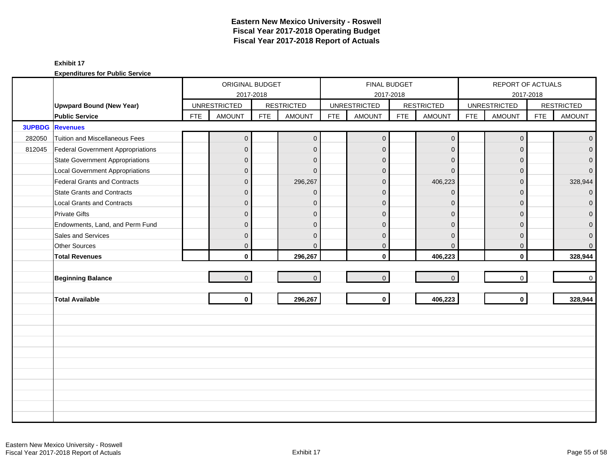|        |                                        |            | ORIGINAL BUDGET     |           |                   |            |                     | <b>FINAL BUDGET</b> |                     |            |                     | REPORT OF ACTUALS<br>2017-2018<br><b>AMOUNT</b><br><b>FTE</b><br>0<br>$\mathbf{0}$<br>$\Omega$<br>$\Omega$<br>$\Omega$<br>$\Omega$<br>$\Omega$<br>$\Omega$<br>$\Omega$<br>$\Omega$<br>0<br>$\mathbf{0}$<br>$\Omega$<br>$\mathbf 0$ |                   |  |  |
|--------|----------------------------------------|------------|---------------------|-----------|-------------------|------------|---------------------|---------------------|---------------------|------------|---------------------|------------------------------------------------------------------------------------------------------------------------------------------------------------------------------------------------------------------------------------|-------------------|--|--|
|        |                                        |            |                     | 2017-2018 |                   |            |                     | 2017-2018           |                     |            |                     |                                                                                                                                                                                                                                    |                   |  |  |
|        | <b>Upwpard Bound (New Year)</b>        |            | <b>UNRESTRICTED</b> |           | <b>RESTRICTED</b> |            | <b>UNRESTRICTED</b> |                     | <b>RESTRICTED</b>   |            | <b>UNRESTRICTED</b> |                                                                                                                                                                                                                                    | <b>RESTRICTED</b> |  |  |
|        | <b>Public Service</b>                  | <b>FTE</b> | <b>AMOUNT</b>       | FTE       | <b>AMOUNT</b>     | <b>FTE</b> | <b>AMOUNT</b>       | <b>FTE</b>          | <b>AMOUNT</b>       | <b>FTE</b> |                     |                                                                                                                                                                                                                                    | <b>AMOUNT</b>     |  |  |
|        | <b>3UPBDG</b> Revenues                 |            |                     |           |                   |            |                     |                     |                     |            |                     |                                                                                                                                                                                                                                    |                   |  |  |
| 282050 | Tuition and Miscellaneous Fees         |            | $\overline{0}$      |           | $\overline{0}$    |            | $\mathbf 0$         |                     | $\mathbf 0$         |            |                     |                                                                                                                                                                                                                                    | $\overline{0}$    |  |  |
| 812045 | Federal Government Appropriations      |            | $\overline{0}$      |           | $\mathbf{0}$      |            | $\mathbf 0$         |                     | $\mathbf 0$         |            |                     |                                                                                                                                                                                                                                    | $\overline{0}$    |  |  |
|        | State Government Appropriations        |            | $\overline{0}$      |           | $\Omega$          |            | $\Omega$            |                     | $\Omega$            |            |                     |                                                                                                                                                                                                                                    | $\overline{0}$    |  |  |
|        | <b>Local Government Appropriations</b> |            | $\overline{0}$      |           | $\Omega$          |            | $\Omega$            |                     | $\Omega$            |            |                     |                                                                                                                                                                                                                                    | $\overline{0}$    |  |  |
|        | Federal Grants and Contracts           |            | $\mathbf 0$         |           | 296,267           |            | $\mathbf 0$         |                     | 406,223             |            |                     |                                                                                                                                                                                                                                    | 328,944           |  |  |
|        | <b>State Grants and Contracts</b>      |            | $\overline{0}$      |           | $\Omega$          |            | $\Omega$            |                     | $\Omega$            |            |                     |                                                                                                                                                                                                                                    | $\overline{0}$    |  |  |
|        | <b>Local Grants and Contracts</b>      |            | $\overline{0}$      |           | $\Omega$          |            | $\Omega$            |                     | $\Omega$            |            |                     |                                                                                                                                                                                                                                    | $\mathbf{0}$      |  |  |
|        | <b>Private Gifts</b>                   |            | $\overline{0}$      |           | $\mathbf{0}$      |            | $\mathbf 0$         |                     | $\mathbf{0}$        |            |                     |                                                                                                                                                                                                                                    | $\overline{0}$    |  |  |
|        | Endowments, Land, and Perm Fund        |            | $\overline{0}$      |           | $\mathbf{0}$      |            | $\mathbf 0$         |                     | $\mathbf{0}$        |            |                     |                                                                                                                                                                                                                                    | $\overline{0}$    |  |  |
|        | Sales and Services                     |            | $\overline{0}$      |           | $\Omega$          |            | $\Omega$            |                     | $\Omega$            |            |                     |                                                                                                                                                                                                                                    | $\mathbf 0$       |  |  |
|        | <b>Other Sources</b>                   |            | $\overline{0}$      |           | $\Omega$          |            | $\mathbf 0$         |                     | $\Omega$            |            |                     |                                                                                                                                                                                                                                    | $\overline{0}$    |  |  |
|        | <b>Total Revenues</b>                  |            | $\mathbf{0}$        |           | 296,267           |            | $\mathbf{0}$        |                     | 406,223             |            |                     |                                                                                                                                                                                                                                    | 328,944           |  |  |
|        |                                        |            |                     |           |                   |            |                     |                     |                     |            |                     |                                                                                                                                                                                                                                    |                   |  |  |
|        | <b>Beginning Balance</b>               |            | $\overline{0}$      |           | $\mathbf{0}$      |            | $\mathbf 0$         |                     | $\mathsf{O}\xspace$ |            |                     |                                                                                                                                                                                                                                    | $\overline{0}$    |  |  |
|        |                                        |            |                     |           |                   |            |                     |                     |                     |            |                     |                                                                                                                                                                                                                                    |                   |  |  |
|        | <b>Total Available</b>                 |            | $\mathbf 0$         |           | 296,267           |            | $\mathbf 0$         |                     | 406,223             |            |                     |                                                                                                                                                                                                                                    | 328,944           |  |  |
|        |                                        |            |                     |           |                   |            |                     |                     |                     |            |                     |                                                                                                                                                                                                                                    |                   |  |  |
|        |                                        |            |                     |           |                   |            |                     |                     |                     |            |                     |                                                                                                                                                                                                                                    |                   |  |  |
|        |                                        |            |                     |           |                   |            |                     |                     |                     |            |                     |                                                                                                                                                                                                                                    |                   |  |  |
|        |                                        |            |                     |           |                   |            |                     |                     |                     |            |                     |                                                                                                                                                                                                                                    |                   |  |  |
|        |                                        |            |                     |           |                   |            |                     |                     |                     |            |                     |                                                                                                                                                                                                                                    |                   |  |  |
|        |                                        |            |                     |           |                   |            |                     |                     |                     |            |                     |                                                                                                                                                                                                                                    |                   |  |  |
|        |                                        |            |                     |           |                   |            |                     |                     |                     |            |                     |                                                                                                                                                                                                                                    |                   |  |  |
|        |                                        |            |                     |           |                   |            |                     |                     |                     |            |                     |                                                                                                                                                                                                                                    |                   |  |  |
|        |                                        |            |                     |           |                   |            |                     |                     |                     |            |                     |                                                                                                                                                                                                                                    |                   |  |  |
|        |                                        |            |                     |           |                   |            |                     |                     |                     |            |                     |                                                                                                                                                                                                                                    |                   |  |  |
|        |                                        |            |                     |           |                   |            |                     |                     |                     |            |                     |                                                                                                                                                                                                                                    |                   |  |  |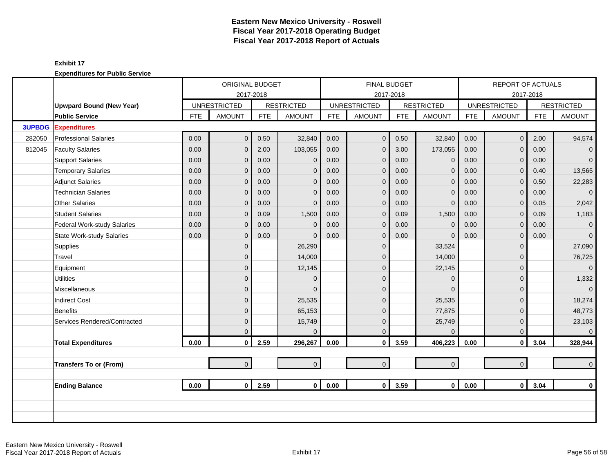|               |                                  |            | ORIGINAL BUDGET     |            |                   |            | <b>FINAL BUDGET</b> |            |                     |            | <b>REPORT OF ACTUALS</b> |            |                   |
|---------------|----------------------------------|------------|---------------------|------------|-------------------|------------|---------------------|------------|---------------------|------------|--------------------------|------------|-------------------|
|               |                                  |            | 2017-2018           |            |                   |            |                     | 2017-2018  |                     |            |                          | 2017-2018  |                   |
|               | <b>Upwpard Bound (New Year)</b>  |            | <b>UNRESTRICTED</b> |            | <b>RESTRICTED</b> |            | <b>UNRESTRICTED</b> |            | <b>RESTRICTED</b>   |            | <b>UNRESTRICTED</b>      |            | <b>RESTRICTED</b> |
|               | <b>Public Service</b>            | <b>FTE</b> | <b>AMOUNT</b>       | <b>FTE</b> | <b>AMOUNT</b>     | <b>FTE</b> | <b>AMOUNT</b>       | <b>FTE</b> | <b>AMOUNT</b>       | <b>FTE</b> | <b>AMOUNT</b>            | <b>FTE</b> | <b>AMOUNT</b>     |
| <b>3UPBDG</b> | <b>Expenditures</b>              |            |                     |            |                   |            |                     |            |                     |            |                          |            |                   |
| 282050        | <b>Professional Salaries</b>     | 0.00       | $\overline{0}$      | 0.50       | 32,840            | 0.00       | $\mathbf 0$         | 0.50       | 32,840              | 0.00       | $\mathbf 0$              | 2.00       | 94,574            |
| 812045        | <b>Faculty Salaries</b>          | 0.00       | $\overline{0}$      | 2.00       | 103,055           | 0.00       | $\overline{0}$      | 3.00       | 173,055             | 0.00       | $\Omega$                 | 0.00       | $\overline{0}$    |
|               | <b>Support Salaries</b>          | 0.00       | 0                   | 0.00       | $\mathbf{0}$      | 0.00       | $\overline{0}$      | 0.00       | $\mathbf{0}$        | 0.00       | $\mathbf{0}$             | 0.00       | $\overline{0}$    |
|               | <b>Temporary Salaries</b>        | 0.00       | 0                   | 0.00       | $\mathbf{0}$      | 0.00       | $\mathbf{0}$        | 0.00       | $\mathbf{0}$        | 0.00       | $\mathbf{0}$             | 0.40       | 13,565            |
|               | <b>Adjunct Salaries</b>          | 0.00       | $\overline{0}$      | 0.00       | $\mathbf{0}$      | 0.00       | $\overline{0}$      | 0.00       | $\mathbf{0}$        | 0.00       | $\Omega$                 | 0.50       | 22,283            |
|               | <b>Technician Salaries</b>       | 0.00       | 0                   | 0.00       | $\mathbf{0}$      | 0.00       | $\overline{0}$      | 0.00       | $\mathbf{0}$        | 0.00       | $\mathbf{0}$             | 0.00       | $\overline{0}$    |
|               | <b>Other Salaries</b>            | 0.00       | 0                   | 0.00       | $\mathbf{0}$      | 0.00       | $\mathbf{0}$        | 0.00       | $\mathbf{0}$        | 0.00       | $\mathbf{0}$             | 0.05       | 2,042             |
|               | <b>Student Salaries</b>          | 0.00       | $\Omega$            | 0.09       | 1,500             | 0.00       | $\mathbf{0}$        | 0.09       | 1,500               | 0.00       | $\Omega$                 | 0.09       | 1,183             |
|               | Federal Work-study Salaries      | 0.00       | 0                   | 0.00       | $\mathbf{0}$      | 0.00       | $\overline{0}$      | 0.00       | $\mathbf 0$         | 0.00       | $\mathbf{0}$             | 0.00       | $\mathbf{0}$      |
|               | <b>State Work-study Salaries</b> | 0.00       | 0                   | 0.00       | $\Omega$          | 0.00       | $\overline{0}$      | 0.00       | $\Omega$            | 0.00       | $\mathbf{0}$             | 0.00       | $\overline{0}$    |
|               | Supplies                         |            | $\overline{0}$      |            | 26,290            |            | $\overline{0}$      |            | 33,524              |            | $\Omega$                 |            | 27,090            |
|               | Travel                           |            | 0                   |            | 14,000            |            | $\mathbf{0}$        |            | 14,000              |            | $\Omega$                 |            | 76,725            |
|               | Equipment                        |            | 0                   |            | 12,145            |            | $\Omega$            |            | 22,145              |            | $\Omega$                 |            | $\mathbf{0}$      |
|               | <b>Utilities</b>                 |            | 0                   |            | $\mathbf{0}$      |            | $\overline{0}$      |            | $\mathbf 0$         |            | $\Omega$                 |            | 1,332             |
|               | Miscellaneous                    |            | $\overline{0}$      |            | $\Omega$          |            | $\Omega$            |            | $\Omega$            |            | $\Omega$                 |            | $\mathbf{0}$      |
|               | <b>Indirect Cost</b>             |            | 0                   |            | 25,535            |            | $\Omega$            |            | 25,535              |            | $\Omega$                 |            | 18,274            |
|               | Benefits                         |            | 0                   |            | 65,153            |            | $\overline{0}$      |            | 77,875              |            | $\Omega$                 |            | 48,773            |
|               | Services Rendered/Contracted     |            | 0                   |            | 15,749            |            | $\overline{0}$      |            | 25,749              |            | $\mathbf{0}$             |            | 23,103            |
|               |                                  |            | 0                   |            | $\Omega$          |            | $\mathbf{0}$        |            | $\Omega$            |            | $\Omega$                 |            | $\overline{0}$    |
|               | <b>Total Expenditures</b>        | 0.00       | $\mathbf{0}$        | 2.59       | 296,267           | 0.00       | $\pmb{0}$           | 3.59       | 406,223             | 0.00       | $\mathbf 0$              | 3.04       | 328,944           |
|               |                                  |            |                     |            |                   |            |                     |            |                     |            |                          |            |                   |
|               | <b>Transfers To or (From)</b>    |            | $\overline{0}$      |            | $\overline{0}$    |            | $\overline{0}$      |            | $\mathsf{O}\xspace$ |            | $\overline{0}$           |            | $\overline{0}$    |
|               |                                  |            |                     |            |                   |            |                     |            |                     |            |                          |            |                   |
|               | <b>Ending Balance</b>            | 0.00       | $\mathbf{0}$        | 2.59       | $\mathbf{0}$      | 0.00       | $\mathbf 0$         | 3.59       | $\mathbf 0$         | 0.00       | $\mathbf{0}$             | 3.04       | $\mathbf 0$       |
|               |                                  |            |                     |            |                   |            |                     |            |                     |            |                          |            |                   |
|               |                                  |            |                     |            |                   |            |                     |            |                     |            |                          |            |                   |
|               |                                  |            |                     |            |                   |            |                     |            |                     |            |                          |            |                   |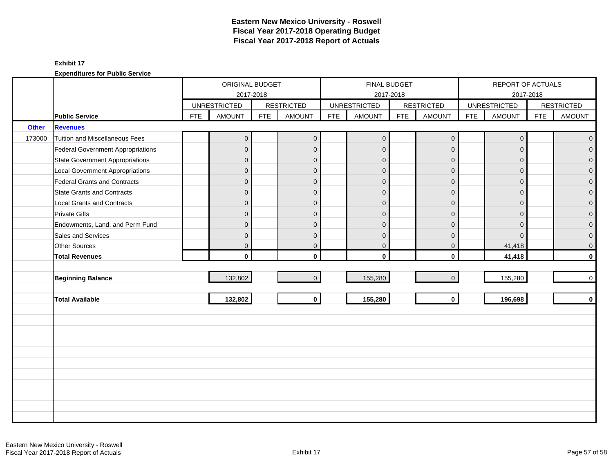|              |                                          |            | ORIGINAL BUDGET     |            |                   |            |                     | <b>FINAL BUDGET</b> |                   |            | REPORT OF ACTUALS   |            |                     |
|--------------|------------------------------------------|------------|---------------------|------------|-------------------|------------|---------------------|---------------------|-------------------|------------|---------------------|------------|---------------------|
|              |                                          |            | <b>UNRESTRICTED</b> | 2017-2018  | <b>RESTRICTED</b> |            | <b>UNRESTRICTED</b> | 2017-2018           | <b>RESTRICTED</b> |            | <b>UNRESTRICTED</b> | 2017-2018  | <b>RESTRICTED</b>   |
|              | <b>Public Service</b>                    | <b>FTE</b> | <b>AMOUNT</b>       | <b>FTE</b> | <b>AMOUNT</b>     | <b>FTE</b> | <b>AMOUNT</b>       | <b>FTE</b>          | <b>AMOUNT</b>     | <b>FTE</b> | <b>AMOUNT</b>       | <b>FTE</b> | <b>AMOUNT</b>       |
| <b>Other</b> | <b>Revenues</b>                          |            |                     |            |                   |            |                     |                     |                   |            |                     |            |                     |
| 173000       | Tuition and Miscellaneous Fees           |            | $\mathbf 0$         |            | $\overline{0}$    |            | $\overline{0}$      |                     | $\mathbf 0$       |            | $\mathbf{0}$        |            | $\overline{0}$      |
|              | <b>Federal Government Appropriations</b> |            | $\overline{0}$      |            | $\overline{0}$    |            | $\Omega$            |                     | $\mathbf{0}$      |            | $\Omega$            |            | $\mathbf 0$         |
|              | <b>State Government Appropriations</b>   |            | $\overline{0}$      |            | $\overline{0}$    |            | $\mathbf 0$         |                     | $\mathbf{0}$      |            | $\Omega$            |            | $\mathbf 0$         |
|              | <b>Local Government Appropriations</b>   |            | $\mathbf 0$         |            | $\overline{0}$    |            | $\mathbf 0$         |                     | $\mathbf{0}$      |            | $\mathbf{0}$        |            | $\mathbf 0$         |
|              | Federal Grants and Contracts             |            | $\mathbf 0$         |            | $\overline{0}$    |            | $\mathbf 0$         |                     | $\mathbf 0$       |            | $\Omega$            |            | $\mathbf 0$         |
|              | State Grants and Contracts               |            | $\overline{0}$      |            | $\Omega$          |            | $\Omega$            |                     | $\mathbf{0}$      |            | $\Omega$            |            | $\mathbf{0}$        |
|              | <b>Local Grants and Contracts</b>        |            | $\overline{0}$      |            | $\overline{0}$    |            | $\Omega$            |                     | $\mathbf{0}$      |            | $\Omega$            |            | $\mathsf{O}\xspace$ |
|              | <b>Private Gifts</b>                     |            | $\overline{0}$      |            | $\mathbf{0}$      |            | $\Omega$            |                     | $\mathbf{0}$      |            | $\Omega$            |            | $\mathbf 0$         |
|              | Endowments, Land, and Perm Fund          |            | $\overline{0}$      |            | $\mathbf{0}$      |            | $\Omega$            |                     | $\mathbf{0}$      |            | $\Omega$            |            | $\mathbf 0$         |
|              | Sales and Services                       |            | $\mathbf 0$         |            | $\overline{0}$    |            | $\mathbf 0$         |                     | $\mathbf{0}$      |            | $\Omega$            |            | $\mathbf 0$         |
|              | Other Sources                            |            | 0                   |            | $\mathbf{0}$      |            | $\pmb{0}$           |                     | $\mathbf 0$       |            | 41,418              |            | $\pmb{0}$           |
|              | <b>Total Revenues</b>                    |            | $\mathbf{0}$        |            | $\mathbf{0}$      |            | $\Omega$            |                     | $\mathbf 0$       |            | 41,418              |            | $\mathbf 0$         |
|              |                                          |            |                     |            |                   |            |                     |                     |                   |            |                     |            |                     |
|              | <b>Beginning Balance</b>                 |            | 132,802             |            | $\overline{0}$    |            | 155,280             |                     | $\mathbf{0}$      |            | 155,280             |            | $\mathbf 0$         |
|              |                                          |            |                     |            |                   |            |                     |                     |                   |            |                     |            |                     |
|              | <b>Total Available</b>                   |            | 132,802             |            | $\mathbf{0}$      |            | 155,280             |                     | $\mathbf{0}$      |            | 196,698             |            | $\mathbf 0$         |
|              |                                          |            |                     |            |                   |            |                     |                     |                   |            |                     |            |                     |
|              |                                          |            |                     |            |                   |            |                     |                     |                   |            |                     |            |                     |
|              |                                          |            |                     |            |                   |            |                     |                     |                   |            |                     |            |                     |
|              |                                          |            |                     |            |                   |            |                     |                     |                   |            |                     |            |                     |
|              |                                          |            |                     |            |                   |            |                     |                     |                   |            |                     |            |                     |
|              |                                          |            |                     |            |                   |            |                     |                     |                   |            |                     |            |                     |
|              |                                          |            |                     |            |                   |            |                     |                     |                   |            |                     |            |                     |
|              |                                          |            |                     |            |                   |            |                     |                     |                   |            |                     |            |                     |
|              |                                          |            |                     |            |                   |            |                     |                     |                   |            |                     |            |                     |
|              |                                          |            |                     |            |                   |            |                     |                     |                   |            |                     |            |                     |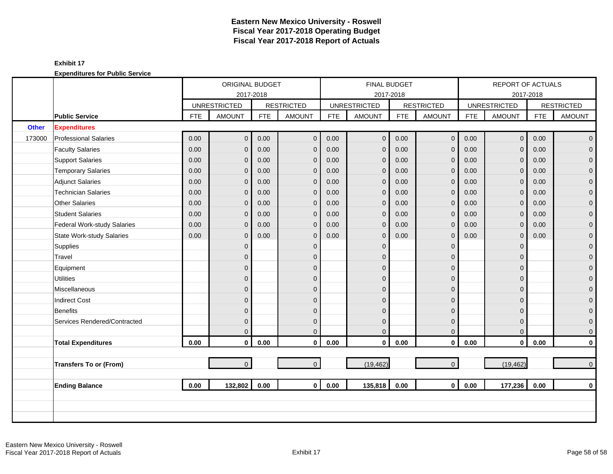|              |                              |            | ORIGINAL BUDGET     |            |                   |            |                     | <b>FINAL BUDGET</b> |                     |            | REPORT OF ACTUALS   |            |                   |
|--------------|------------------------------|------------|---------------------|------------|-------------------|------------|---------------------|---------------------|---------------------|------------|---------------------|------------|-------------------|
|              |                              |            | 2017-2018           |            |                   |            | 2017-2018           |                     |                     |            |                     | 2017-2018  |                   |
|              |                              |            | <b>UNRESTRICTED</b> |            | <b>RESTRICTED</b> |            | <b>UNRESTRICTED</b> |                     | <b>RESTRICTED</b>   |            | <b>UNRESTRICTED</b> |            | <b>RESTRICTED</b> |
|              | <b>Public Service</b>        | <b>FTE</b> | <b>AMOUNT</b>       | <b>FTE</b> | <b>AMOUNT</b>     | <b>FTE</b> | <b>AMOUNT</b>       | <b>FTE</b>          | <b>AMOUNT</b>       | <b>FTE</b> | <b>AMOUNT</b>       | <b>FTE</b> | <b>AMOUNT</b>     |
| <b>Other</b> | <b>Expenditures</b>          |            |                     |            |                   |            |                     |                     |                     |            |                     |            |                   |
| 173000       | <b>Professional Salaries</b> | 0.00       | $\overline{0}$      | 0.00       | $\Omega$          | 0.00       | $\overline{0}$      | 0.00                | $\mathbf 0$         | 0.00       | $\overline{0}$      | 0.00       | $\overline{0}$    |
|              | <b>Faculty Salaries</b>      | 0.00       | $\overline{0}$      | 0.00       | $\mathbf 0$       | 0.00       | $\mathbf{0}$        | 0.00                | $\mathbf{0}$        | 0.00       | $\Omega$            | 0.00       | $\overline{0}$    |
|              | <b>Support Salaries</b>      | 0.00       | 0                   | 0.00       | $\mathbf 0$       | 0.00       | $\mathbf 0$         | 0.00                | $\mathbf 0$         | 0.00       | $\mathbf{0}$        | 0.00       | $\overline{0}$    |
|              | <b>Temporary Salaries</b>    | 0.00       | 0                   | 0.00       | $\mathbf 0$       | 0.00       | $\mathbf{0}$        | 0.00                | $\mathbf 0$         | 0.00       | 0                   | 0.00       | $\mathbf 0$       |
|              | Adjunct Salaries             | 0.00       | $\Omega$            | 0.00       | $\Omega$          | 0.00       | $\Omega$            | 0.00                | $\mathbf{0}$        | 0.00       | $\Omega$            | 0.00       | $\mathbf{O}$      |
|              | <b>Technician Salaries</b>   | 0.00       | $\overline{0}$      | 0.00       | $\mathbf 0$       | 0.00       | $\mathbf 0$         | 0.00                | $\mathbf{0}$        | 0.00       | $\Omega$            | 0.00       | $\mathbf{O}$      |
|              | <b>Other Salaries</b>        | 0.00       | $\overline{0}$      | 0.00       | $\Omega$          | 0.00       | $\mathbf{0}$        | 0.00                | $\mathbf{0}$        | 0.00       | $\Omega$            | 0.00       | $\mathbf{O}$      |
|              | <b>Student Salaries</b>      | 0.00       | $\overline{0}$      | 0.00       | $\mathbf 0$       | 0.00       | $\mathbf{0}$        | 0.00                | $\mathbf{0}$        | 0.00       | $\Omega$            | 0.00       | $\overline{0}$    |
|              | Federal Work-study Salaries  | 0.00       | $\overline{0}$      | 0.00       | $\mathbf 0$       | 0.00       | $\mathbf{0}$        | 0.00                | $\mathbf{0}$        | 0.00       | $\Omega$            | 0.00       | $\overline{0}$    |
|              | State Work-study Salaries    | 0.00       | $\overline{0}$      | 0.00       | $\Omega$          | 0.00       | $\Omega$            | 0.00                | $\mathbf{0}$        | 0.00       | $\Omega$            | 0.00       | $\pmb{0}$         |
|              | Supplies                     |            | $\overline{0}$      |            | $\mathbf{0}$      |            | $\Omega$            |                     | $\mathbf{0}$        |            | $\Omega$            |            | $\mathbf{O}$      |
|              | Travel                       |            | $\overline{0}$      |            | $\mathbf{0}$      |            | $\mathbf{0}$        |                     | $\mathbf 0$         |            | $\Omega$            |            | $\mathbf{O}$      |
|              | Equipment                    |            | $\mathbf{0}$        |            | $\Omega$          |            | $\Omega$            |                     | $\mathbf{0}$        |            | O                   |            | $\mathbf{O}$      |
|              | <b>Utilities</b>             |            | $\Omega$            |            | $\Omega$          |            | $\Omega$            |                     | $\mathbf{0}$        |            | $\Omega$            |            | $\overline{0}$    |
|              | Miscellaneous                |            | $\overline{0}$      |            | $\mathbf{0}$      |            | $\mathbf{0}$        |                     | $\overline{0}$      |            | $\Omega$            |            | $\mathbf 0$       |
|              | <b>Indirect Cost</b>         |            | $\mathbf{0}$        |            | $\Omega$          |            | $\Omega$            |                     | $\mathbf{0}$        |            | $\Omega$            |            | $\mathbf{O}$      |
|              | <b>Benefits</b>              |            | $\mathbf{0}$        |            | $\Omega$          |            | $\Omega$            |                     | $\mathbf{0}$        |            | $\Omega$            |            | $\mathbf{O}$      |
|              | Services Rendered/Contracted |            | 0                   |            | $\mathbf 0$       |            | $\mathbf 0$         |                     | $\mathbf 0$         |            | $\Omega$            |            | $\mathbf{0}$      |
|              |                              |            | $\Omega$            |            | $\Omega$          |            | $\mathbf{0}$        |                     | $\mathbf{0}$        |            | $\Omega$            |            | $\mathbf{O}$      |
|              | <b>Total Expenditures</b>    | 0.00       | $\mathbf{0}$        | 0.00       | $\mathbf{0}$      | 0.00       | $\mathbf 0$         | 0.00                | $\mathbf 0$         | 0.00       | $\mathbf{0}$        | 0.00       | $\mathbf{0}$      |
|              |                              |            |                     |            |                   |            |                     |                     |                     |            |                     |            |                   |
|              | Transfers To or (From)       |            | $\overline{0}$      |            | $\mathbf{0}$      |            | (19, 462)           |                     | $\mathsf{O}\xspace$ |            | (19, 462)           |            | $\overline{0}$    |
|              |                              |            |                     |            |                   |            |                     |                     |                     |            |                     |            |                   |
|              | <b>Ending Balance</b>        | 0.00       | 132,802             | 0.00       | $\mathbf{0}$      | 0.00       | 135,818             | 0.00                | $\mathbf{0}$        | 0.00       | 177,236             | 0.00       | $\mathbf{0}$      |
|              |                              |            |                     |            |                   |            |                     |                     |                     |            |                     |            |                   |
|              |                              |            |                     |            |                   |            |                     |                     |                     |            |                     |            |                   |
|              |                              |            |                     |            |                   |            |                     |                     |                     |            |                     |            |                   |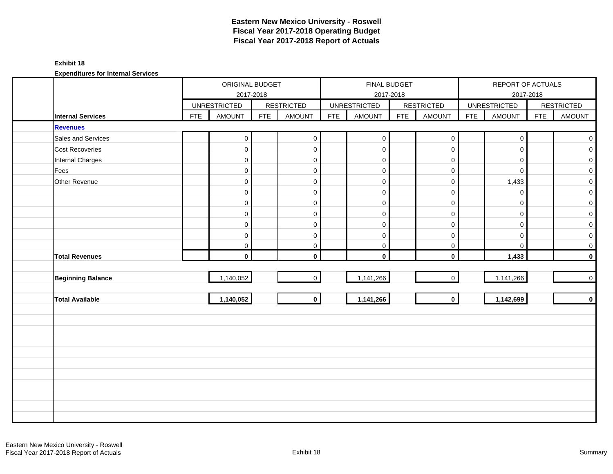### **Exhibit 18**

|                          |            | ORIGINAL BUDGET     |            |                     |            | FINAL BUDGET        |            |                     |            | REPORT OF ACTUALS   |            |                   |
|--------------------------|------------|---------------------|------------|---------------------|------------|---------------------|------------|---------------------|------------|---------------------|------------|-------------------|
|                          |            |                     | 2017-2018  |                     |            |                     | 2017-2018  |                     |            |                     | 2017-2018  |                   |
|                          |            | <b>UNRESTRICTED</b> |            | <b>RESTRICTED</b>   |            | <b>UNRESTRICTED</b> |            | <b>RESTRICTED</b>   |            | <b>UNRESTRICTED</b> |            | <b>RESTRICTED</b> |
| Internal Services        | <b>FTE</b> | <b>AMOUNT</b>       | <b>FTE</b> | <b>AMOUNT</b>       | <b>FTE</b> | <b>AMOUNT</b>       | <b>FTE</b> | <b>AMOUNT</b>       | <b>FTE</b> | AMOUNT              | <b>FTE</b> | AMOUNT            |
| <b>Revenues</b>          |            |                     |            |                     |            |                     |            |                     |            |                     |            |                   |
| Sales and Services       |            | $\mathbf 0$         |            | $\mathsf{O}\xspace$ |            | $\mathbf 0$         |            | $\mathsf{O}\xspace$ |            | $\mathbf 0$         |            | $\overline{0}$    |
| Cost Recoveries          |            | $\mathbf 0$         |            | $\mathbf 0$         |            | $\pmb{0}$           |            | $\mathsf{O}\xspace$ |            | $\mathbf 0$         |            | $\overline{0}$    |
| <b>Internal Charges</b>  |            | $\mathbf 0$         |            | $\mathbf 0$         |            | $\mathbf 0$         |            | $\mathsf{O}\xspace$ |            | $\mathbf 0$         |            | $\overline{0}$    |
| Fees                     |            | $\mathbf 0$         |            | $\mathbf 0$         |            | $\mathbf 0$         |            | $\mathbf 0$         |            | $\mathbf 0$         |            | $\overline{0}$    |
| Other Revenue            |            | $\mathsf{O}\xspace$ |            | $\mathbf 0$         |            | $\pmb{0}$           |            | $\mathsf{O}\xspace$ |            | 1,433               |            | $\overline{0}$    |
|                          |            | $\mathbf{0}$        |            | $\mathbf 0$         |            | $\mathbf 0$         |            | $\mathbf 0$         |            | $\mathbf 0$         |            | $\overline{0}$    |
|                          |            | $\mathbf{0}$        |            | $\mathbf 0$         |            | $\mathbf 0$         |            | $\mathbf 0$         |            | $\Omega$            |            | $\overline{0}$    |
|                          |            | $\mathbf 0$         |            | $\mathbf 0$         |            | $\pmb{0}$           |            | $\mathsf{O}\xspace$ |            | $\mathbf 0$         |            | $\overline{0}$    |
|                          |            | $\mathbf 0$         |            | $\mathbf 0$         |            | $\mathbf 0$         |            | $\mathbf 0$         |            | $\mathbf 0$         |            | $\circ$           |
|                          |            | $\mathbf 0$         |            | $\mathbf 0$         |            | $\mathbf 0$         |            | $\mathbf 0$         |            | $\mathbf 0$         |            | $\overline{0}$    |
|                          |            | 0                   |            | 0                   |            | $\mathbf 0$         |            | $\mathbf 0$         |            | $\mathbf 0$         |            | $\overline{0}$    |
| <b>Total Revenues</b>    |            | $\mathbf{0}$        |            | $\mathbf{0}$        |            | $\mathbf 0$         |            | $\mathbf 0$         |            | 1,433               |            | $\mathbf{0}$      |
|                          |            |                     |            |                     |            |                     |            |                     |            |                     |            |                   |
| <b>Beginning Balance</b> |            | 1,140,052           |            | $\overline{0}$      |            | 1,141,266           |            | $\overline{0}$      |            | 1,141,266           |            | $\overline{0}$    |
|                          |            |                     |            |                     |            |                     |            |                     |            |                     |            |                   |
| <b>Total Available</b>   |            | 1,140,052           |            | $\mathbf{0}$        |            | 1,141,266           |            | $\mathbf{0}$        |            | 1,142,699           |            | $\mathbf{0}$      |
|                          |            |                     |            |                     |            |                     |            |                     |            |                     |            |                   |
|                          |            |                     |            |                     |            |                     |            |                     |            |                     |            |                   |
|                          |            |                     |            |                     |            |                     |            |                     |            |                     |            |                   |
|                          |            |                     |            |                     |            |                     |            |                     |            |                     |            |                   |
|                          |            |                     |            |                     |            |                     |            |                     |            |                     |            |                   |
|                          |            |                     |            |                     |            |                     |            |                     |            |                     |            |                   |
|                          |            |                     |            |                     |            |                     |            |                     |            |                     |            |                   |
|                          |            |                     |            |                     |            |                     |            |                     |            |                     |            |                   |
|                          |            |                     |            |                     |            |                     |            |                     |            |                     |            |                   |
|                          |            |                     |            |                     |            |                     |            |                     |            |                     |            |                   |
|                          |            |                     |            |                     |            |                     |            |                     |            |                     |            |                   |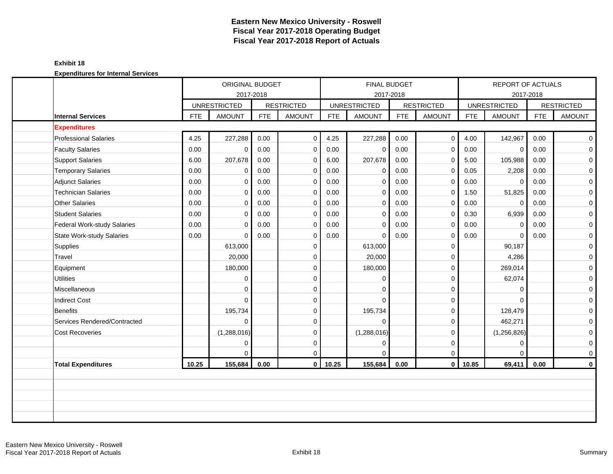#### **Exhibit 18**

|                                    |            | 2017-2018           | ORIGINAL BUDGET |                   |            | FINAL BUDGET<br>2017-2018 |            |                   |            | <b>REPORT OF ACTUALS</b><br>2017-2018 |            |                     |
|------------------------------------|------------|---------------------|-----------------|-------------------|------------|---------------------------|------------|-------------------|------------|---------------------------------------|------------|---------------------|
|                                    |            | <b>UNRESTRICTED</b> |                 | <b>RESTRICTED</b> |            | <b>UNRESTRICTED</b>       |            | <b>RESTRICTED</b> |            | <b>UNRESTRICTED</b>                   |            | <b>RESTRICTED</b>   |
| <b>Internal Services</b>           | <b>FTE</b> | <b>AMOUNT</b>       | <b>FTE</b>      | <b>AMOUNT</b>     | <b>FTE</b> | <b>AMOUNT</b>             | <b>FTE</b> | <b>AMOUNT</b>     | <b>FTE</b> | <b>AMOUNT</b>                         | <b>FTE</b> | <b>AMOUNT</b>       |
| <b>Expenditures</b>                |            |                     |                 |                   |            |                           |            |                   |            |                                       |            |                     |
| <b>Professional Salaries</b>       | 4.25       | 227,288             | 0.00            | $\mathbf 0$       | 4.25       | 227,288                   | 0.00       | $\mathbf 0$       | 4.00       | 142,967                               | 0.00       | $\overline{0}$      |
| <b>Faculty Salaries</b>            | 0.00       | $\mathbf 0$         | 0.00            | $\mathbf 0$       | 0.00       | $\mathbf 0$               | 0.00       | $\mathbf 0$       | 0.00       | $\mathbf 0$                           | 0.00       | $\mathbf 0$         |
| <b>Support Salaries</b>            | 6.00       | 207,678             | 0.00            | $\overline{0}$    | 6.00       | 207,678                   | 0.00       | 0                 | 5.00       | 105,988                               | 0.00       | $\overline{0}$      |
| <b>Temporary Salaries</b>          | 0.00       | $\mathbf 0$         | 0.00            | $\mathbf 0$       | 0.00       | $\mathbf 0$               | 0.00       | $\mathbf 0$       | 0.05       | 2,208                                 | 0.00       | $\mathbf 0$         |
| <b>Adjunct Salaries</b>            | 0.00       | $\Omega$            | 0.00            | $\mathbf 0$       | 0.00       | $\mathbf 0$               | 0.00       | $\mathbf 0$       | 0.00       | $\mathbf 0$                           | 0.00       | $\mathbf 0$         |
| <b>Technician Salaries</b>         | 0.00       | $\Omega$            | 0.00            | $\mathbf 0$       | 0.00       | $\mathbf 0$               | 0.00       | $\mathbf 0$       | 1.50       | 51,825                                | 0.00       | $\overline{0}$      |
| <b>Other Salaries</b>              | 0.00       | $\Omega$            | 0.00            | $\overline{0}$    | 0.00       | $\mathbf 0$               | 0.00       | $\mathbf 0$       | 0.00       | $\Omega$                              | 0.00       | $\mathbf 0$         |
| <b>Student Salaries</b>            | 0.00       | $\mathbf 0$         | 0.00            | $\mathbf 0$       | 0.00       | $\mathbf 0$               | 0.00       | $\mathbf 0$       | 0.30       | 6,939                                 | 0.00       | $\mathbf 0$         |
| <b>Federal Work-study Salaries</b> | 0.00       | $\Omega$            | 0.00            | $\mathbf 0$       | 0.00       | $\Omega$                  | 0.00       | $\mathbf 0$       | 0.00       | $\Omega$                              | 0.00       | $\mathbf 0$         |
| <b>State Work-study Salaries</b>   | 0.00       | $\Omega$            | 0.00            | $\mathbf 0$       | 0.00       | $\Omega$                  | 0.00       | $\mathbf 0$       | 0.00       | $\Omega$                              | 0.00       | $\mathbf 0$         |
| Supplies                           |            | 613,000             |                 | $\mathbf 0$       |            | 613,000                   |            | $\mathbf 0$       |            | 90,187                                |            | $\mathbf 0$         |
| Travel                             |            | 20,000              |                 | $\mathbf 0$       |            | 20,000                    |            | 0                 |            | 4,286                                 |            | $\mathbf 0$         |
| Equipment                          |            | 180,000             |                 | $\mathbf 0$       |            | 180,000                   |            | $\mathbf 0$       |            | 269,014                               |            | $\mathbf 0$         |
| <b>Utilities</b>                   |            | 0                   |                 | $\mathbf 0$       |            | $\Omega$                  |            | $\mathbf 0$       |            | 62,074                                |            | $\mathbf 0$         |
| Miscellaneous                      |            | $\Omega$            |                 | $\mathbf 0$       |            | $\Omega$                  |            | $\mathbf 0$       |            | $\Omega$                              |            | $\mathbf 0$         |
| Indirect Cost                      |            | $\Omega$            |                 | $\mathbf 0$       |            | $\Omega$                  |            | $\mathbf 0$       |            | $\Omega$                              |            | $\mathsf{O}\xspace$ |
| Benefits                           |            | 195,734             |                 | $\mathbf 0$       |            | 195,734                   |            | 0                 |            | 128,479                               |            | $\mathbf 0$         |
| Services Rendered/Contracted       |            | $\Omega$            |                 | $\mathbf 0$       |            | $\Omega$                  |            | $\mathbf 0$       |            | 462,271                               |            | $\mathbf 0$         |
| <b>Cost Recoveries</b>             |            | (1,288,016)         |                 | $\mathbf 0$       |            | (1,288,016)               |            | $\mathbf 0$       |            | (1,256,826)                           |            | $\mathbf 0$         |
|                                    |            | 0                   |                 | $\mathbf 0$       |            | $\mathbf 0$               |            | $\mathbf 0$       |            | $\mathbf 0$                           |            | $\mathbf 0$         |
|                                    |            | $\Omega$            |                 | $\mathbf 0$       |            | $\Omega$                  |            | $\mathbf 0$       |            | $\Omega$                              |            | 0                   |
| <b>Total Expenditures</b>          | 10.25      | 155,684             | 0.00            | $\mathbf 0$       | 10.25      | 155,684                   | 0.00       | $\mathbf 0$       | 10.85      | 69,411                                | 0.00       | $\mathbf 0$         |
|                                    |            |                     |                 |                   |            |                           |            |                   |            |                                       |            |                     |
|                                    |            |                     |                 |                   |            |                           |            |                   |            |                                       |            |                     |
|                                    |            |                     |                 |                   |            |                           |            |                   |            |                                       |            |                     |
|                                    |            |                     |                 |                   |            |                           |            |                   |            |                                       |            |                     |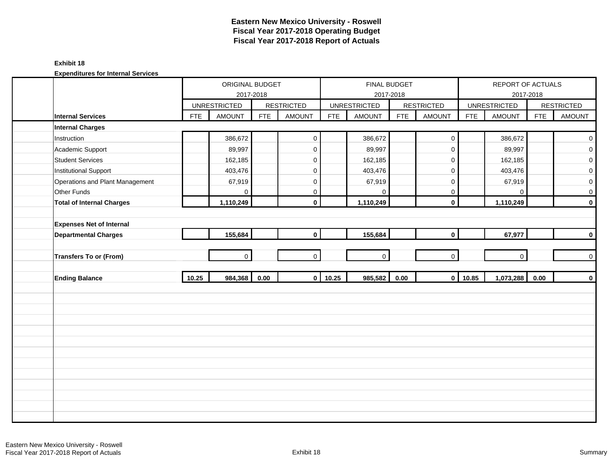#### **Exhibit 18**

|                                  |            | ORIGINAL BUDGET     |            |                     |                | FINAL BUDGET        |            |                     |            | REPORT OF ACTUALS   |            |                     |
|----------------------------------|------------|---------------------|------------|---------------------|----------------|---------------------|------------|---------------------|------------|---------------------|------------|---------------------|
|                                  |            |                     | 2017-2018  |                     |                |                     | 2017-2018  |                     |            |                     | 2017-2018  |                     |
|                                  |            | <b>UNRESTRICTED</b> |            | <b>RESTRICTED</b>   |                | <b>UNRESTRICTED</b> |            | <b>RESTRICTED</b>   |            | <b>UNRESTRICTED</b> |            | <b>RESTRICTED</b>   |
| <b>Internal Services</b>         | <b>FTE</b> | <b>AMOUNT</b>       | <b>FTE</b> | <b>AMOUNT</b>       | <b>FTE</b>     | <b>AMOUNT</b>       | <b>FTE</b> | <b>AMOUNT</b>       | <b>FTE</b> | AMOUNT              | <b>FTE</b> | <b>AMOUNT</b>       |
| <b>Internal Charges</b>          |            |                     |            |                     |                |                     |            |                     |            |                     |            |                     |
| Instruction                      |            | 386,672             |            | $\mathbf 0$         |                | 386,672             |            | $\mathbf 0$         |            | 386,672             |            | $\mathsf{O}\xspace$ |
| Academic Support                 |            | 89,997              |            | $\mathsf{O}\xspace$ |                | 89,997              |            | $\mathsf{O}\xspace$ |            | 89,997              |            | $\mathsf{O}\xspace$ |
| <b>Student Services</b>          |            | 162,185             |            | $\mathbf 0$         |                | 162,185             |            | $\mathbf 0$         |            | 162,185             |            | 0                   |
| <b>Institutional Support</b>     |            | 403,476             |            | 0                   |                | 403,476             |            | 0                   |            | 403,476             |            | 0                   |
| Operations and Plant Management  |            | 67,919              |            | $\mathbf 0$         |                | 67,919              |            | $\mathbf 0$         |            | 67,919              |            | $\boldsymbol{0}$    |
| Other Funds                      |            | $\Omega$            |            | 0                   |                | $\mathbf 0$         |            | $\mathbf 0$         |            | $\mathbf 0$         |            | $\mathsf 0$         |
| <b>Total of Internal Charges</b> |            | 1,110,249           |            | $\mathbf 0$         |                | 1,110,249           |            | $\pmb{0}$           |            | 1,110,249           |            | $\pmb{0}$           |
|                                  |            |                     |            |                     |                |                     |            |                     |            |                     |            |                     |
| <b>Expenses Net of Internal</b>  |            |                     |            |                     |                |                     |            |                     |            |                     |            |                     |
| <b>Departmental Charges</b>      |            | 155,684             |            | $\mathbf 0$         |                | 155,684             |            | $\mathbf 0$         |            | 67,977              |            | $\bf{0}$            |
|                                  |            |                     |            |                     |                |                     |            |                     |            |                     |            |                     |
| Transfers To or (From)           |            | $\Omega$            |            | $\Omega$            |                | $\Omega$            |            | $\mathbf{0}$        |            | $\Omega$            |            | 0                   |
|                                  |            |                     |            |                     |                |                     |            |                     |            |                     |            |                     |
| <b>Ending Balance</b>            | 10.25      | 984,368             | 0.00       |                     | $0 \mid 10.25$ | 985,582             | 0.00       | $\mathbf{0}$        | 10.85      | 1,073,288           | 0.00       | $\mathbf 0$         |
|                                  |            |                     |            |                     |                |                     |            |                     |            |                     |            |                     |
|                                  |            |                     |            |                     |                |                     |            |                     |            |                     |            |                     |
|                                  |            |                     |            |                     |                |                     |            |                     |            |                     |            |                     |
|                                  |            |                     |            |                     |                |                     |            |                     |            |                     |            |                     |
|                                  |            |                     |            |                     |                |                     |            |                     |            |                     |            |                     |
|                                  |            |                     |            |                     |                |                     |            |                     |            |                     |            |                     |
|                                  |            |                     |            |                     |                |                     |            |                     |            |                     |            |                     |
|                                  |            |                     |            |                     |                |                     |            |                     |            |                     |            |                     |
|                                  |            |                     |            |                     |                |                     |            |                     |            |                     |            |                     |
|                                  |            |                     |            |                     |                |                     |            |                     |            |                     |            |                     |
|                                  |            |                     |            |                     |                |                     |            |                     |            |                     |            |                     |
|                                  |            |                     |            |                     |                |                     |            |                     |            |                     |            |                     |
|                                  |            |                     |            |                     |                |                     |            |                     |            |                     |            |                     |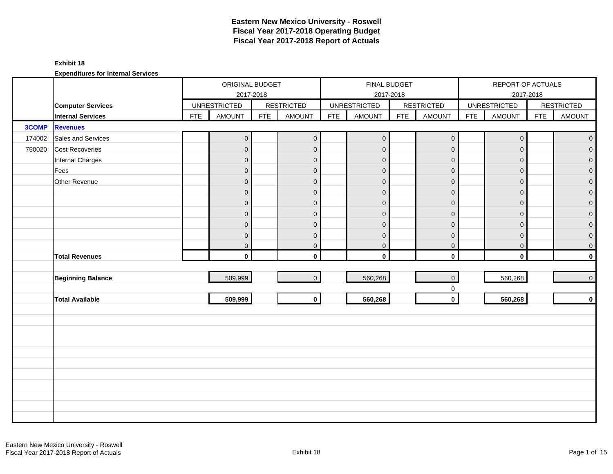### **Exhibit 18**

|        |                          |            | ORIGINAL BUDGET<br>2017-2018 |            |                   |            | FINAL BUDGET        | 2017-2018  |                     |            | REPORT OF ACTUALS<br>2017-2018 |            |                   |
|--------|--------------------------|------------|------------------------------|------------|-------------------|------------|---------------------|------------|---------------------|------------|--------------------------------|------------|-------------------|
|        | <b>Computer Services</b> |            | <b>UNRESTRICTED</b>          |            | <b>RESTRICTED</b> |            | <b>UNRESTRICTED</b> |            | <b>RESTRICTED</b>   |            | <b>UNRESTRICTED</b>            |            | <b>RESTRICTED</b> |
|        | <b>Internal Services</b> | <b>FTE</b> | <b>AMOUNT</b>                | <b>FTE</b> | <b>AMOUNT</b>     | <b>FTE</b> | <b>AMOUNT</b>       | <b>FTE</b> | <b>AMOUNT</b>       | <b>FTE</b> | AMOUNT                         | <b>FTE</b> | <b>AMOUNT</b>     |
| 3COMP  | <b>Revenues</b>          |            |                              |            |                   |            |                     |            |                     |            |                                |            |                   |
| 174002 | Sales and Services       |            | $\boldsymbol{0}$             |            | $\mathbf 0$       |            | $\mathbf 0$         |            | $\mathsf{O}\xspace$ |            | $\mathsf{O}\xspace$            |            | $\mathbf{0}$      |
| 750020 | <b>Cost Recoveries</b>   |            | $\mathbf 0$                  |            | $\mathbf 0$       |            | $\pmb{0}$           |            | $\mathbf 0$         |            | $\mathbf 0$                    |            | $\overline{0}$    |
|        | Internal Charges         |            | $\overline{0}$               |            | $\mathbf{0}$      |            | $\mathbf{0}$        |            | $\mathbf 0$         |            | $\mathbf{0}$                   |            | $\overline{0}$    |
|        | Fees                     |            | $\pmb{0}$                    |            | $\mathbf{0}$      |            | $\overline{0}$      |            | $\mathbf 0$         |            | $\mathbf{0}$                   |            | $\overline{0}$    |
|        | Other Revenue            |            | $\mathbf 0$                  |            | $\overline{0}$    |            | $\pmb{0}$           |            | $\mathbf 0$         |            | $\mathbf{0}$                   |            | $\overline{0}$    |
|        |                          |            | $\mathbf 0$                  |            | $\mathbf{0}$      |            | $\mathbf 0$         |            | $\mathbf 0$         |            | $\mathbf{0}$                   |            | $\boldsymbol{0}$  |
|        |                          |            | $\pmb{0}$                    |            | $\mathbf 0$       |            | $\mathbf 0$         |            | $\mathbf 0$         |            | $\mathbf 0$                    |            | $\mathbf 0$       |
|        |                          |            | $\boldsymbol{0}$             |            | $\mathbf{0}$      |            | $\pmb{0}$           |            | $\mathbf 0$         |            | $\mathbf{0}$                   |            | $\mathbf 0$       |
|        |                          |            | $\overline{0}$               |            | $\mathbf{0}$      |            | $\mathbf 0$         |            | $\mathbf 0$         |            | $\mathbf{0}$                   |            | $\boldsymbol{0}$  |
|        |                          |            | $\pmb{0}$                    |            | $\mathbf 0$       |            | $\mathbf 0$         |            | $\mathbf 0$         |            | $\mathbf 0$                    |            | $\mathbf 0$       |
|        |                          |            | $\overline{0}$               |            | $\mathbf 0$       |            | $\mathbf 0$         |            | $\mathbf 0$         |            | $\mathbf 0$                    |            | 0                 |
|        | <b>Total Revenues</b>    |            | $\mathbf 0$                  |            | $\mathbf{0}$      |            | $\mathbf{0}$        |            | $\mathbf 0$         |            | $\mathbf 0$                    |            | $\mathbf 0$       |
|        |                          |            |                              |            |                   |            |                     |            |                     |            |                                |            |                   |
|        | <b>Beginning Balance</b> |            | 509,999                      |            | $\overline{0}$    |            | 560,268             |            | $\mathsf{O}\xspace$ |            | 560,268                        |            | $\pmb{0}$         |
|        |                          |            |                              |            |                   |            |                     |            | $\mathbf 0$         |            |                                |            |                   |
|        | <b>Total Available</b>   |            | 509,999                      |            | $\mathbf{0}$      |            | 560,268             |            | $\mathbf 0$         |            | 560,268                        |            | $\mathbf 0$       |
|        |                          |            |                              |            |                   |            |                     |            |                     |            |                                |            |                   |
|        |                          |            |                              |            |                   |            |                     |            |                     |            |                                |            |                   |
|        |                          |            |                              |            |                   |            |                     |            |                     |            |                                |            |                   |
|        |                          |            |                              |            |                   |            |                     |            |                     |            |                                |            |                   |
|        |                          |            |                              |            |                   |            |                     |            |                     |            |                                |            |                   |
|        |                          |            |                              |            |                   |            |                     |            |                     |            |                                |            |                   |
|        |                          |            |                              |            |                   |            |                     |            |                     |            |                                |            |                   |
|        |                          |            |                              |            |                   |            |                     |            |                     |            |                                |            |                   |
|        |                          |            |                              |            |                   |            |                     |            |                     |            |                                |            |                   |
|        |                          |            |                              |            |                   |            |                     |            |                     |            |                                |            |                   |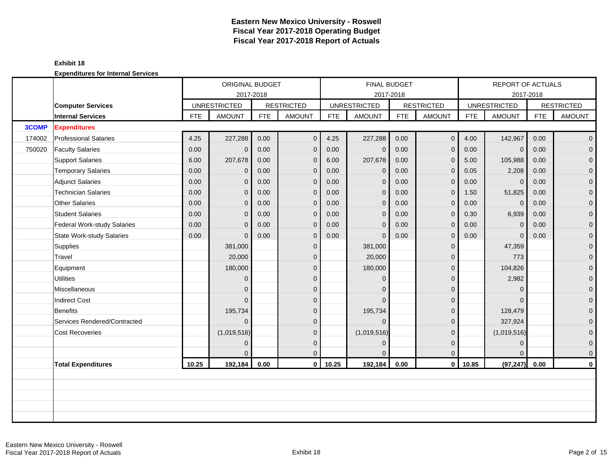|        |                                  |            | ORIGINAL BUDGET                  |            |                   |            | <b>FINAL BUDGET</b>              |      |                   |            | <b>REPORT OF ACTUALS</b> |            |                   |
|--------|----------------------------------|------------|----------------------------------|------------|-------------------|------------|----------------------------------|------|-------------------|------------|--------------------------|------------|-------------------|
|        | <b>Computer Services</b>         |            | 2017-2018<br><b>UNRESTRICTED</b> |            | <b>RESTRICTED</b> |            | 2017-2018<br><b>UNRESTRICTED</b> |      | <b>RESTRICTED</b> |            | <b>UNRESTRICTED</b>      | 2017-2018  | <b>RESTRICTED</b> |
|        | <b>Internal Services</b>         | <b>FTE</b> | <b>AMOUNT</b>                    | <b>FTE</b> | <b>AMOUNT</b>     | <b>FTE</b> | <b>AMOUNT</b>                    | FTE  | <b>AMOUNT</b>     | <b>FTE</b> | <b>AMOUNT</b>            | <b>FTE</b> | <b>AMOUNT</b>     |
| 3COMP  | <b>Expenditures</b>              |            |                                  |            |                   |            |                                  |      |                   |            |                          |            |                   |
| 174002 | <b>Professional Salaries</b>     | 4.25       | 227,288                          | 0.00       | $\mathbf{0}$      | 4.25       | 227,288                          | 0.00 | $\overline{0}$    | 4.00       | 142,967                  | 0.00       | $\overline{0}$    |
| 750020 | <b>Faculty Salaries</b>          | 0.00       | $\mathbf 0$                      | 0.00       | $\mathbf 0$       | 0.00       | $\mathbf{0}$                     | 0.00 | $\mathbf 0$       | 0.00       | $\overline{0}$           | 0.00       | $\overline{0}$    |
|        | <b>Support Salaries</b>          | 6.00       | 207,678                          | 0.00       | $\Omega$          | 6.00       | 207,678                          | 0.00 | $\mathbf{0}$      | 5.00       | 105,988                  | 0.00       | $\mathbf 0$       |
|        | <b>Temporary Salaries</b>        | 0.00       | 0                                | 0.00       | $\mathbf{0}$      | 0.00       | $\mathbf 0$                      | 0.00 | $\Omega$          | 0.05       | 2,208                    | 0.00       | $\overline{0}$    |
|        | <b>Adjunct Salaries</b>          | 0.00       | $\mathbf{0}$                     | 0.00       | $\mathbf 0$       | 0.00       | $\mathbf 0$                      | 0.00 | $\mathbf{0}$      | 0.00       | $\mathbf 0$              | 0.00       | $\mathbf 0$       |
|        | <b>Technician Salaries</b>       | 0.00       | 0                                | 0.00       | $\Omega$          | 0.00       | $\mathbf{0}$                     | 0.00 | $\mathbf{0}$      | 1.50       | 51,825                   | 0.00       | 0                 |
|        | <b>Other Salaries</b>            | 0.00       | $\Omega$                         | 0.00       | $\mathbf{0}$      | 0.00       | $\Omega$                         | 0.00 | $\Omega$          | 0.00       | $\overline{0}$           | 0.00       | $\overline{0}$    |
|        | <b>Student Salaries</b>          | 0.00       | $\overline{0}$                   | 0.00       | $\mathbf 0$       | 0.00       | $\mathbf{0}$                     | 0.00 | $\mathbf{0}$      | 0.30       | 6,939                    | 0.00       | $\overline{0}$    |
|        | Federal Work-study Salaries      | 0.00       | 0                                | 0.00       | $\mathbf{0}$      | 0.00       | $\mathbf{0}$                     | 0.00 | $\mathbf 0$       | 0.00       | $\mathbf 0$              | 0.00       | 0                 |
|        | <b>State Work-study Salaries</b> | 0.00       | $\Omega$                         | 0.00       | $\Omega$          | 0.00       | $\Omega$                         | 0.00 | $\mathbf{0}$      | 0.00       | $\Omega$                 | 0.00       | $\overline{0}$    |
|        | Supplies                         |            | 381,000                          |            | $\mathbf{0}$      |            | 381,000                          |      | $\mathbf{0}$      |            | 47,359                   |            | $\mathbf 0$       |
|        | Travel                           |            | 20,000                           |            | $\Omega$          |            | 20,000                           |      | $\mathbf{0}$      |            | 773                      |            | $\mathbf 0$       |
|        | Equipment                        |            | 180,000                          |            | $\Omega$          |            | 180,000                          |      | $\mathbf{0}$      |            | 104,826                  |            | $\overline{0}$    |
|        | <b>Utilities</b>                 |            | $\Omega$                         |            | $\overline{0}$    |            | $\Omega$                         |      | $\mathbf{0}$      |            | 2,982                    |            | $\overline{0}$    |
|        | Miscellaneous                    |            | 0                                |            | $\Omega$          |            | $\Omega$                         |      | $\mathbf{0}$      |            | $\overline{0}$           |            | $\mathbf 0$       |
|        | <b>Indirect Cost</b>             |            | $\Omega$                         |            | $\Omega$          |            | $\Omega$                         |      | $\mathbf{0}$      |            | $\Omega$                 |            | $\mathbf 0$       |
|        | <b>Benefits</b>                  |            | 195,734                          |            | $\Omega$          |            | 195,734                          |      | $\mathbf{0}$      |            | 128,479                  |            | 0                 |
|        | Services Rendered/Contracted     |            | $\Omega$                         |            | $\Omega$          |            | $\Omega$                         |      | $\mathbf{0}$      |            | 327,924                  |            | $\mathbf{0}$      |
|        | <b>Cost Recoveries</b>           |            | (1,019,516)                      |            | $\Omega$          |            | (1,019,516)                      |      | $\mathbf{0}$      |            | (1,019,516)              |            | $\mathbf{0}$      |
|        |                                  |            | 0                                |            | $\Omega$          |            | $\mathbf{0}$                     |      | $\mathbf{0}$      |            | $\mathbf{0}$             |            | $\mathbf{0}$      |
|        |                                  |            |                                  |            | $\Omega$          |            | $\Omega$                         |      | $\mathbf{0}$      |            | $\Omega$                 |            | $\mathbf{0}$      |
|        | <b>Total Expenditures</b>        | 10.25      | 192,184                          | 0.00       | $\mathbf{0}$      | 10.25      | 192,184                          | 0.00 | $\mathbf 0$       | 10.85      | (97, 247)                | 0.00       | 0                 |
|        |                                  |            |                                  |            |                   |            |                                  |      |                   |            |                          |            |                   |
|        |                                  |            |                                  |            |                   |            |                                  |      |                   |            |                          |            |                   |
|        |                                  |            |                                  |            |                   |            |                                  |      |                   |            |                          |            |                   |
|        |                                  |            |                                  |            |                   |            |                                  |      |                   |            |                          |            |                   |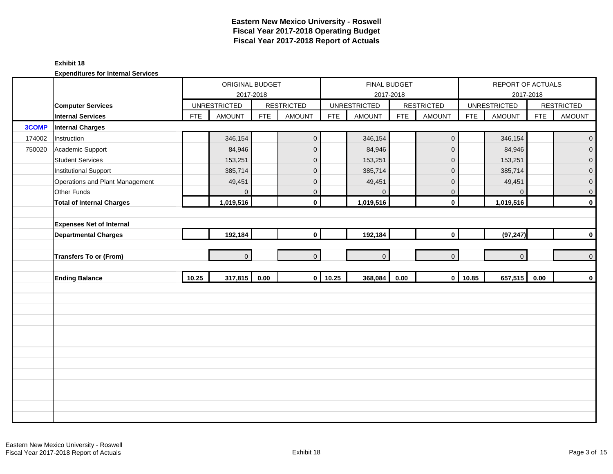#### **Exhibit 18**

|        |                                  |            | ORIGINAL BUDGET     | 2017-2018  |                   |            | FINAL BUDGET<br>2017-2018 |            |                     |            | REPORT OF ACTUALS   | 2017-2018  |                     |
|--------|----------------------------------|------------|---------------------|------------|-------------------|------------|---------------------------|------------|---------------------|------------|---------------------|------------|---------------------|
|        | <b>Computer Services</b>         |            | <b>UNRESTRICTED</b> |            | <b>RESTRICTED</b> |            | <b>UNRESTRICTED</b>       |            | <b>RESTRICTED</b>   |            | <b>UNRESTRICTED</b> |            | <b>RESTRICTED</b>   |
|        | <b>Internal Services</b>         | <b>FTE</b> | <b>AMOUNT</b>       | <b>FTE</b> | <b>AMOUNT</b>     | <b>FTE</b> | <b>AMOUNT</b>             | <b>FTE</b> | <b>AMOUNT</b>       | <b>FTE</b> | <b>AMOUNT</b>       | <b>FTE</b> | <b>AMOUNT</b>       |
| 3COMP  | <b>Internal Charges</b>          |            |                     |            |                   |            |                           |            |                     |            |                     |            |                     |
| 174002 | Instruction                      |            | 346,154             |            | $\mathbf 0$       |            | 346,154                   |            | $\mathsf{O}\xspace$ |            | 346,154             |            | $\mathbf{O}$        |
| 750020 | Academic Support                 |            | 84,946              |            | $\mathbf 0$       |            | 84,946                    |            | $\mathbf 0$         |            | 84,946              |            | $\overline{0}$      |
|        | <b>Student Services</b>          |            | 153,251             |            | $\mathbf 0$       |            | 153,251                   |            | $\mathbf 0$         |            | 153,251             |            | $\mathbf 0$         |
|        | <b>Institutional Support</b>     |            | 385,714             |            | $\mathbf 0$       |            | 385,714                   |            | $\mathbf 0$         |            | 385,714             |            | $\overline{0}$      |
|        | Operations and Plant Management  |            | 49,451              |            | $\mathbf 0$       |            | 49,451                    |            | $\mathbf 0$         |            | 49,451              |            | $\pmb{0}$           |
|        | Other Funds                      |            | 0                   |            | $\mathbf{0}$      |            | $\mathbf{0}$              |            | $\mathbf 0$         |            | $\mathbf{0}$        |            | $\mathbf 0$         |
|        | <b>Total of Internal Charges</b> |            | 1,019,516           |            | $\mathbf 0$       |            | 1,019,516                 |            | $\mathbf 0$         |            | 1,019,516           |            | $\pmb{0}$           |
|        |                                  |            |                     |            |                   |            |                           |            |                     |            |                     |            |                     |
|        | <b>Expenses Net of Internal</b>  |            |                     |            |                   |            |                           |            |                     |            |                     |            |                     |
|        | <b>Departmental Charges</b>      |            | 192,184             |            | $\mathbf 0$       |            | 192,184                   |            | $\mathbf 0$         |            | (97, 247)           |            | $\bf{0}$            |
|        |                                  |            |                     |            |                   |            |                           |            |                     |            |                     |            |                     |
|        | <b>Transfers To or (From)</b>    |            | $\overline{0}$      |            | $\Omega$          |            | $\overline{0}$            |            | $\overline{0}$      |            | $\overline{0}$      |            | $\mathsf{O}\xspace$ |
|        |                                  |            |                     |            |                   |            |                           |            |                     |            |                     |            |                     |
|        | <b>Ending Balance</b>            | 10.25      | $317,815$ 0.00      |            |                   | $0$ 10.25  | 368,084                   | 0.00       | $\mathbf{0}$        | 10.85      | 657,515             | 0.00       | $\pmb{0}$           |
|        |                                  |            |                     |            |                   |            |                           |            |                     |            |                     |            |                     |
|        |                                  |            |                     |            |                   |            |                           |            |                     |            |                     |            |                     |
|        |                                  |            |                     |            |                   |            |                           |            |                     |            |                     |            |                     |
|        |                                  |            |                     |            |                   |            |                           |            |                     |            |                     |            |                     |
|        |                                  |            |                     |            |                   |            |                           |            |                     |            |                     |            |                     |
|        |                                  |            |                     |            |                   |            |                           |            |                     |            |                     |            |                     |
|        |                                  |            |                     |            |                   |            |                           |            |                     |            |                     |            |                     |
|        |                                  |            |                     |            |                   |            |                           |            |                     |            |                     |            |                     |
|        |                                  |            |                     |            |                   |            |                           |            |                     |            |                     |            |                     |
|        |                                  |            |                     |            |                   |            |                           |            |                     |            |                     |            |                     |
|        |                                  |            |                     |            |                   |            |                           |            |                     |            |                     |            |                     |
|        |                                  |            |                     |            |                   |            |                           |            |                     |            |                     |            |                     |
|        |                                  |            |                     |            |                   |            |                           |            |                     |            |                     |            |                     |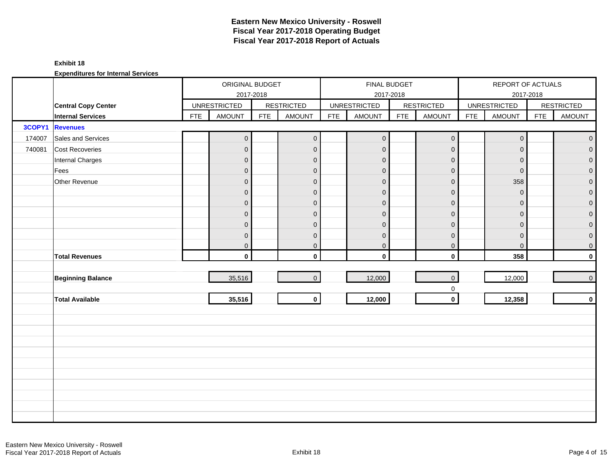### **Exhibit 18**

|        |                            |            | ORIGINAL BUDGET     | 2017-2018  |                   |            | FINAL BUDGET        | 2017-2018  |                             |            | REPORT OF ACTUALS   | 2017-2018  |                                   |
|--------|----------------------------|------------|---------------------|------------|-------------------|------------|---------------------|------------|-----------------------------|------------|---------------------|------------|-----------------------------------|
|        | <b>Central Copy Center</b> |            | <b>UNRESTRICTED</b> |            | <b>RESTRICTED</b> |            | <b>UNRESTRICTED</b> |            | <b>RESTRICTED</b>           |            | <b>UNRESTRICTED</b> |            | <b>RESTRICTED</b>                 |
|        | <b>Internal Services</b>   | <b>FTE</b> | <b>AMOUNT</b>       | <b>FTE</b> | <b>AMOUNT</b>     | <b>FTE</b> | <b>AMOUNT</b>       | <b>FTE</b> | <b>AMOUNT</b>               | <b>FTE</b> | AMOUNT              | <b>FTE</b> | <b>AMOUNT</b>                     |
| 3COPY1 | <b>Revenues</b>            |            |                     |            |                   |            |                     |            |                             |            |                     |            |                                   |
| 174007 | Sales and Services         |            | $\pmb{0}$           |            | $\mathbf{O}$      |            | $\boldsymbol{0}$    |            | $\mathsf{O}\xspace$         |            | $\overline{0}$      |            | $\overline{0}$                    |
| 740081 | <b>Cost Recoveries</b>     |            | $\mathbf{0}$        |            | $\mathbf{0}$      |            | $\mathbf 0$         |            | $\mathbf{0}$                |            | $\mathbf 0$         |            | $\begin{bmatrix} 0 \end{bmatrix}$ |
|        | Internal Charges           |            | $\overline{0}$      |            | $\mathbf{0}$      |            | $\mathbf{0}$        |            | $\mathbf 0$                 |            | $\overline{0}$      |            | $\overline{0}$                    |
|        | Fees                       |            | $\mathbf 0$         |            | $\mathbf{0}$      |            | $\overline{0}$      |            | $\mathbf 0$                 |            | $\overline{0}$      |            | $\overline{0}$                    |
|        | Other Revenue              |            | $\mathbf 0$         |            | $\mathbf{0}$      |            | $\mathbf{0}$        |            | $\mathbf 0$                 |            | 358                 |            | $\overline{0}$                    |
|        |                            |            | $\mathbf 0$         |            | $\mathbf{0}$      |            | $\mathbf 0$         |            | $\mathbf 0$                 |            | $\mathbf{0}$        |            | $\mathbf 0$                       |
|        |                            |            | $\mathbf 0$         |            | $\mathbf 0$       |            | $\mathbf{0}$        |            | $\pmb{0}$                   |            | $\mathbf{0}$        |            | $\overline{0}$                    |
|        |                            |            | $\boldsymbol{0}$    |            | $\mathbf{0}$      |            | $\mathbf{0}$        |            | $\pmb{0}$                   |            | $\mathbf{0}$        |            | $\overline{0}$                    |
|        |                            |            | $\mathbf 0$         |            | $\mathbf{0}$      |            | $\mathbf 0$         |            | $\pmb{0}$                   |            | $\mathbf{0}$        |            | $\overline{0}$                    |
|        |                            |            | $\boldsymbol{0}$    |            | $\mathbf 0$       |            | $\mathbf 0$         |            | $\mathbf 0$                 |            | $\mathbf 0$         |            | $\overline{0}$                    |
|        |                            |            | $\overline{0}$      |            | $\mathbf{0}$      |            | $\pmb{0}$           |            | $\mathbf 0$                 |            | $\mathbf 0$         |            | $\overline{0}$                    |
|        | <b>Total Revenues</b>      |            | $\mathbf{0}$        |            | $\mathbf{0}$      |            | $\mathbf 0$         |            | $\mathbf 0$                 |            | 358                 |            | $\mathbf 0$                       |
|        |                            |            |                     |            |                   |            |                     |            |                             |            |                     |            |                                   |
|        | <b>Beginning Balance</b>   |            | 35,516              |            | $\overline{0}$    |            | 12,000              |            | $\mathbf{0}$                |            | 12,000              |            | $\overline{0}$                    |
|        |                            |            |                     |            |                   |            |                     |            | $\mathbf 0$<br>$\mathbf{0}$ |            |                     |            |                                   |
|        | <b>Total Available</b>     |            | 35,516              |            | $\circ$           |            | 12,000              |            |                             |            | 12,358              |            | $\mathbf 0$                       |
|        |                            |            |                     |            |                   |            |                     |            |                             |            |                     |            |                                   |
|        |                            |            |                     |            |                   |            |                     |            |                             |            |                     |            |                                   |
|        |                            |            |                     |            |                   |            |                     |            |                             |            |                     |            |                                   |
|        |                            |            |                     |            |                   |            |                     |            |                             |            |                     |            |                                   |
|        |                            |            |                     |            |                   |            |                     |            |                             |            |                     |            |                                   |
|        |                            |            |                     |            |                   |            |                     |            |                             |            |                     |            |                                   |
|        |                            |            |                     |            |                   |            |                     |            |                             |            |                     |            |                                   |
|        |                            |            |                     |            |                   |            |                     |            |                             |            |                     |            |                                   |
|        |                            |            |                     |            |                   |            |                     |            |                             |            |                     |            |                                   |
|        |                            |            |                     |            |                   |            |                     |            |                             |            |                     |            |                                   |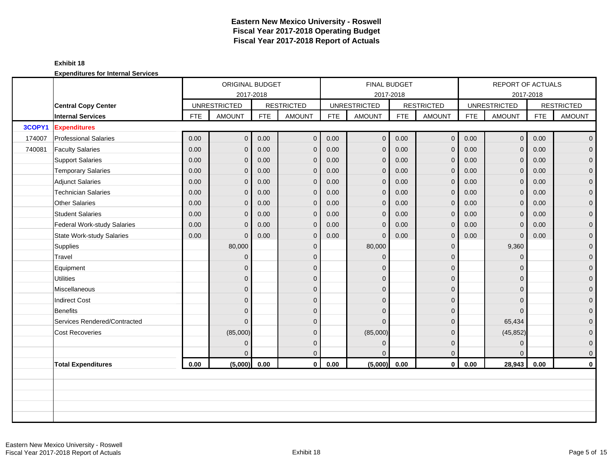|        |                              |            | ORIGINAL BUDGET     |            |                   |            | <b>FINAL BUDGET</b> |            |                   |            | <b>REPORT OF ACTUALS</b> |            |                   |
|--------|------------------------------|------------|---------------------|------------|-------------------|------------|---------------------|------------|-------------------|------------|--------------------------|------------|-------------------|
|        |                              |            | 2017-2018           |            |                   |            | 2017-2018           |            |                   |            | 2017-2018                |            |                   |
|        | <b>Central Copy Center</b>   |            | <b>UNRESTRICTED</b> |            | <b>RESTRICTED</b> |            | <b>UNRESTRICTED</b> |            | <b>RESTRICTED</b> |            | <b>UNRESTRICTED</b>      |            | <b>RESTRICTED</b> |
|        | <b>Internal Services</b>     | <b>FTE</b> | <b>AMOUNT</b>       | <b>FTE</b> | <b>AMOUNT</b>     | <b>FTE</b> | <b>AMOUNT</b>       | <b>FTE</b> | <b>AMOUNT</b>     | <b>FTE</b> | <b>AMOUNT</b>            | <b>FTE</b> | <b>AMOUNT</b>     |
| 3COPY1 | <b>Expenditures</b>          |            |                     |            |                   |            |                     |            |                   |            |                          |            |                   |
| 174007 | <b>Professional Salaries</b> | 0.00       | $\overline{O}$      | 0.00       | $\mathbf 0$       | 0.00       | $\pmb{0}$           | 0.00       | $\mathbf{O}$      | 0.00       | 0 <sup>1</sup>           | 0.00       | $\overline{0}$    |
| 740081 | <b>Faculty Salaries</b>      | 0.00       | $\overline{0}$      | 0.00       | $\mathbf 0$       | 0.00       | $\mathbf 0$         | 0.00       | $\mathbf{0}$      | 0.00       | $\mathbf{0}$             | 0.00       | $\mathbf{0}$      |
|        | <b>Support Salaries</b>      | 0.00       | $\overline{0}$      | 0.00       | $\overline{0}$    | 0.00       | $\mathbf{0}$        | 0.00       | $\mathbf{0}$      | 0.00       | $\mathbf{0}$             | 0.00       | $\overline{0}$    |
|        | <b>Temporary Salaries</b>    | 0.00       | $\overline{0}$      | 0.00       | $\overline{0}$    | 0.00       | $\mathbf{0}$        | 0.00       | $\mathbf{0}$      | 0.00       | $\overline{0}$           | 0.00       | $\mathbf 0$       |
|        | <b>Adjunct Salaries</b>      | 0.00       | $\overline{0}$      | 0.00       | $\mathbf 0$       | 0.00       | $\mathbf{0}$        | 0.00       | $\mathbf 0$       | 0.00       | $\mathbf{0}$             | 0.00       | $\mathbf 0$       |
|        | <b>Technician Salaries</b>   | 0.00       | $\Omega$            | 0.00       | $\mathbf{0}$      | 0.00       | $\mathbf{0}$        | 0.00       | $\mathbf{0}$      | 0.00       | $\overline{0}$           | 0.00       | $\mathbf{0}$      |
|        | Other Salaries               | 0.00       | $\Omega$            | 0.00       | $\overline{0}$    | 0.00       | $\mathbf{0}$        | 0.00       | $\mathbf{0}$      | 0.00       | $\mathbf{0}$             | 0.00       | 0                 |
|        | <b>Student Salaries</b>      | 0.00       | $\overline{0}$      | 0.00       | $\mathbf 0$       | 0.00       | $\mathbf{0}$        | 0.00       | $\mathbf{0}$      | 0.00       | $\overline{0}$           | 0.00       | $\overline{0}$    |
|        | Federal Work-study Salaries  | 0.00       | $\overline{0}$      | 0.00       | $\mathbf 0$       | 0.00       | $\mathbf 0$         | 0.00       | $\mathbf 0$       | 0.00       | $\mathbf 0$              | 0.00       | $\mathbf 0$       |
|        | State Work-study Salaries    | 0.00       | $\Omega$            | 0.00       | $\mathbf{0}$      | 0.00       | $\Omega$            | 0.00       | $\mathbf{0}$      | 0.00       | $\overline{0}$           | 0.00       | $\mathbf 0$       |
|        | Supplies                     |            | 80,000              |            | $\mathbf{0}$      |            | 80,000              |            | $\mathbf{0}$      |            | 9,360                    |            | $\mathbf 0$       |
|        | Travel                       |            | $\overline{0}$      |            | $\mathbf{0}$      |            | $\mathbf{0}$        |            | $\mathbf 0$       |            | $\mathbf{0}$             |            | $\mathbf 0$       |
|        | Equipment                    |            | $\overline{0}$      |            | $\Omega$          |            | $\Omega$            |            | $\mathbf{0}$      |            | $\Omega$                 |            | $\mathbf 0$       |
|        | <b>Utilities</b>             |            | $\overline{0}$      |            | $\mathbf{0}$      |            | $\Omega$            |            | $\mathbf{0}$      |            | $\Omega$                 |            | $\overline{0}$    |
|        | Miscellaneous                |            | $\overline{0}$      |            | $\mathbf{0}$      |            | $\Omega$            |            | $\mathbf{0}$      |            | $\Omega$                 |            | $\mathbf 0$       |
|        | <b>Indirect Cost</b>         |            | $\overline{0}$      |            | $\mathbf 0$       |            | $\Omega$            |            | $\mathbf{0}$      |            | $\Omega$                 |            | $\mathbf 0$       |
|        | Benefits                     |            | $\overline{0}$      |            | $\Omega$          |            | $\Omega$            |            | $\Omega$          |            | $\Omega$                 |            | $\overline{0}$    |
|        | Services Rendered/Contracted |            | $\overline{0}$      |            | $\Omega$          |            | $\Omega$            |            | $\mathbf{0}$      |            | 65,434                   |            | 0                 |
|        | <b>Cost Recoveries</b>       |            | (85,000)            |            | $\mathbf{0}$      |            | (85,000)            |            | $\mathbf{0}$      |            | (45, 852)                |            | 0                 |
|        |                              |            | $\overline{0}$      |            | $\mathbf{0}$      |            | $\mathbf{0}$        |            | $\mathbf{0}$      |            | $\mathbf{0}$             |            | $\mathbf 0$       |
|        |                              |            | 0                   |            | $\mathbf{0}$      |            | $\Omega$            |            | $\mathbf{0}$      |            | $\Omega$                 |            | $\mathbf 0$       |
|        | <b>Total Expenditures</b>    | 0.00       | (5,000)             | 0.00       | $\mathbf{0}$      | 0.00       | (5,000)             | 0.00       | $\mathbf 0$       | 0.00       | 28,943                   | 0.00       | $\mathbf 0$       |
|        |                              |            |                     |            |                   |            |                     |            |                   |            |                          |            |                   |
|        |                              |            |                     |            |                   |            |                     |            |                   |            |                          |            |                   |
|        |                              |            |                     |            |                   |            |                     |            |                   |            |                          |            |                   |
|        |                              |            |                     |            |                   |            |                     |            |                   |            |                          |            |                   |
|        |                              |            |                     |            |                   |            |                     |            |                   |            |                          |            |                   |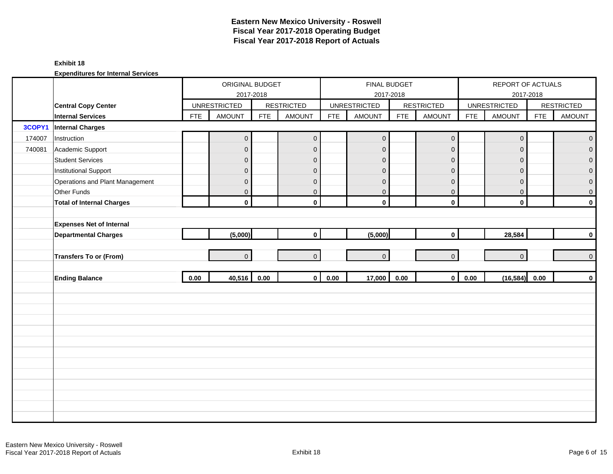### **Exhibit 18**

|        |                                  |            | ORIGINAL BUDGET                  |            |                   |            | <b>FINAL BUDGET</b>              |            |                   |            | REPORT OF ACTUALS                |            |                   |
|--------|----------------------------------|------------|----------------------------------|------------|-------------------|------------|----------------------------------|------------|-------------------|------------|----------------------------------|------------|-------------------|
|        | <b>Central Copy Center</b>       |            | 2017-2018<br><b>UNRESTRICTED</b> |            | <b>RESTRICTED</b> |            | 2017-2018<br><b>UNRESTRICTED</b> |            | <b>RESTRICTED</b> |            | 2017-2018<br><b>UNRESTRICTED</b> |            | <b>RESTRICTED</b> |
|        | <b>Internal Services</b>         | <b>FTE</b> | <b>AMOUNT</b>                    | <b>FTE</b> | <b>AMOUNT</b>     | <b>FTE</b> | <b>AMOUNT</b>                    | <b>FTE</b> | <b>AMOUNT</b>     | <b>FTE</b> | <b>AMOUNT</b>                    | <b>FTE</b> | <b>AMOUNT</b>     |
| 3COPY1 | <b>Internal Charges</b>          |            |                                  |            |                   |            |                                  |            |                   |            |                                  |            |                   |
| 174007 | Instruction                      |            | $\mathsf{O}\xspace$              |            | $\mathbf 0$       |            | $\pmb{0}$                        |            | $\mathbf 0$       |            | $\pmb{0}$                        |            | $\pmb{0}$         |
| 740081 | Academic Support                 |            | $\mathsf{O}\xspace$              |            | $\mathbf{0}$      |            | $\mathbf 0$                      |            | $\mathbf{0}$      |            | $\mathbf 0$                      |            | $\overline{0}$    |
|        | <b>Student Services</b>          |            | $\overline{0}$                   |            | $\mathbf 0$       |            | $\mathbf 0$                      |            | $\mathbf 0$       |            | $\mathbf{0}$                     |            | $\overline{0}$    |
|        | <b>Institutional Support</b>     |            | $\mathbf 0$                      |            | $\mathbf 0$       |            | $\mathbf 0$                      |            | $\mathbf 0$       |            | $\mathbf 0$                      |            | 0                 |
|        | Operations and Plant Management  |            | $\mathsf{O}\xspace$              |            | $\mathbf 0$       |            | $\pmb{0}$                        |            | $\pmb{0}$         |            | $\mathbf 0$                      |            | $\pmb{0}$         |
|        | Other Funds                      |            | $\overline{0}$                   |            | $\mathbf{0}$      |            | $\mathbf{0}$                     |            | $\mathbf{0}$      |            | $\mathbf{0}$                     |            | $\mathbf 0$       |
|        | <b>Total of Internal Charges</b> |            | $\mathbf 0$                      |            | $\mathbf{0}$      |            | $\mathbf 0$                      |            | $\mathbf 0$       |            | $\mathbf 0$                      |            | $\mathbf 0$       |
|        |                                  |            |                                  |            |                   |            |                                  |            |                   |            |                                  |            |                   |
|        | <b>Expenses Net of Internal</b>  |            |                                  |            |                   |            |                                  |            |                   |            |                                  |            |                   |
|        | <b>Departmental Charges</b>      |            | (5,000)                          |            | $\mathbf 0$       |            | (5,000)                          |            | $\mathbf 0$       |            | 28,584                           |            | $\mathbf 0$       |
|        |                                  |            |                                  |            |                   |            |                                  |            |                   |            |                                  |            |                   |
|        | Transfers To or (From)           |            | $\overline{0}$                   |            | $\overline{0}$    |            | $\Omega$                         |            | $\overline{0}$    |            | $\Omega$                         |            | $\mathbf 0$       |
|        |                                  |            |                                  |            |                   |            |                                  |            |                   |            |                                  |            |                   |
|        | <b>Ending Balance</b>            | 0.00       | 40,516                           | 0.00       | $\mathbf{0}$      | 0.00       | 17,000                           | 0.00       | $\mathbf 0$       | 0.00       | (16, 584)                        | 0.00       | $\pmb{0}$         |
|        |                                  |            |                                  |            |                   |            |                                  |            |                   |            |                                  |            |                   |
|        |                                  |            |                                  |            |                   |            |                                  |            |                   |            |                                  |            |                   |
|        |                                  |            |                                  |            |                   |            |                                  |            |                   |            |                                  |            |                   |
|        |                                  |            |                                  |            |                   |            |                                  |            |                   |            |                                  |            |                   |
|        |                                  |            |                                  |            |                   |            |                                  |            |                   |            |                                  |            |                   |
|        |                                  |            |                                  |            |                   |            |                                  |            |                   |            |                                  |            |                   |
|        |                                  |            |                                  |            |                   |            |                                  |            |                   |            |                                  |            |                   |
|        |                                  |            |                                  |            |                   |            |                                  |            |                   |            |                                  |            |                   |
|        |                                  |            |                                  |            |                   |            |                                  |            |                   |            |                                  |            |                   |
|        |                                  |            |                                  |            |                   |            |                                  |            |                   |            |                                  |            |                   |
|        |                                  |            |                                  |            |                   |            |                                  |            |                   |            |                                  |            |                   |
|        |                                  |            |                                  |            |                   |            |                                  |            |                   |            |                                  |            |                   |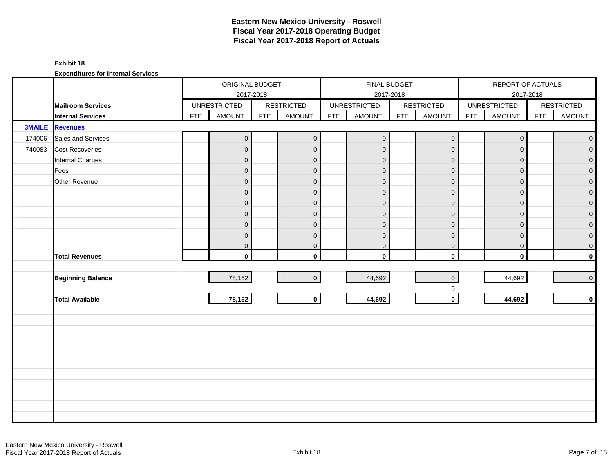### **Exhibit 18**

|               |                          |            | ORIGINAL BUDGET     |            |                   |            | FINAL BUDGET        |            |                            |            | REPORT OF ACTUALS                |            |                   |
|---------------|--------------------------|------------|---------------------|------------|-------------------|------------|---------------------|------------|----------------------------|------------|----------------------------------|------------|-------------------|
|               | <b>Mailroom Services</b> |            | <b>UNRESTRICTED</b> | 2017-2018  | <b>RESTRICTED</b> |            | <b>UNRESTRICTED</b> | 2017-2018  | <b>RESTRICTED</b>          |            | 2017-2018<br><b>UNRESTRICTED</b> |            | <b>RESTRICTED</b> |
|               | <b>Internal Services</b> | <b>FTE</b> | <b>AMOUNT</b>       | <b>FTE</b> | <b>AMOUNT</b>     | <b>FTE</b> | <b>AMOUNT</b>       | <b>FTE</b> | <b>AMOUNT</b>              | <b>FTE</b> | <b>AMOUNT</b>                    | <b>FTE</b> | <b>AMOUNT</b>     |
| <b>3MAILE</b> | <b>Revenues</b>          |            |                     |            |                   |            |                     |            |                            |            |                                  |            |                   |
| 174006        | Sales and Services       |            | $\overline{0}$      |            | $\mathbf{0}$      |            | $\boldsymbol{0}$    |            | $\mathsf{O}\xspace$        |            | $\overline{0}$                   |            | $\mathbf{O}$      |
| 740083        | <b>Cost Recoveries</b>   |            | $\overline{0}$      |            | $\overline{0}$    |            | $\mathbf{0}$        |            | $\mathbf{0}$               |            | $\mathbf{0}$                     |            | $\overline{0}$    |
|               | Internal Charges         |            | $\overline{0}$      |            | $\mathbf 0$       |            | $\mathbf 0$         |            | $\mathbf 0$                |            | $\mathbf{0}$                     |            | $\overline{0}$    |
|               | Fees                     |            | $\mathbf 0$         |            | $\mathbf 0$       |            | $\mathbf 0$         |            | $\mathbf 0$                |            | $\mathbf 0$                      |            | $\overline{0}$    |
|               | Other Revenue            |            | $\boldsymbol{0}$    |            | $\mathbf{0}$      |            | $\mathbf 0$         |            | $\mathbf 0$                |            | $\mathbf{0}$                     |            | $\overline{0}$    |
|               |                          |            | $\overline{0}$      |            | $\mathbf{0}$      |            | $\mathbf 0$         |            | $\mathbf 0$                |            | $\Omega$                         |            | $\mathbf 0$       |
|               |                          |            | 0                   |            | $\mathbf 0$       |            | $\mathbf 0$         |            | $\mathbf 0$                |            | $\mathbf{0}$                     |            | $\overline{0}$    |
|               |                          |            | $\mathbf 0$         |            | $\overline{0}$    |            | $\mathbf 0$         |            | $\pmb{0}$                  |            | $\mathbf{0}$                     |            | $\overline{0}$    |
|               |                          |            | $\overline{0}$      |            | $\mathbf{0}$      |            | $\mathbf 0$         |            | $\pmb{0}$                  |            | $\mathbf{0}$                     |            | $\overline{0}$    |
|               |                          |            | $\boldsymbol{0}$    |            | $\mathbf 0$       |            | $\mathbf 0$         |            | $\pmb{0}$                  |            | $\mathbf 0$                      |            | $\overline{0}$    |
|               |                          |            | 0                   |            | $\mathbf{0}$      |            | $\pmb{0}$           |            | $\mathbf 0$                |            | $\mathbf 0$                      |            | $\overline{0}$    |
|               | <b>Total Revenues</b>    |            | $\mathbf{0}$        |            | $\mathbf{0}$      |            | $\mathbf 0$         |            | $\mathbf 0$                |            | $\mathbf 0$                      |            | $\mathbf 0$       |
|               |                          |            |                     |            |                   |            |                     |            |                            |            |                                  |            |                   |
|               | <b>Beginning Balance</b> |            | 78,152              |            | $\overline{0}$    |            | 44,692              |            | $\mathsf{O}\xspace$        |            | 44,692                           |            | $\overline{0}$    |
|               | <b>Total Available</b>   |            | 78,152              |            | $\circ$           |            | 44,692              |            | $\mathbf 0$<br>$\mathbf 0$ |            | 44,692                           |            | $\mathbf 0$       |
|               |                          |            |                     |            |                   |            |                     |            |                            |            |                                  |            |                   |
|               |                          |            |                     |            |                   |            |                     |            |                            |            |                                  |            |                   |
|               |                          |            |                     |            |                   |            |                     |            |                            |            |                                  |            |                   |
|               |                          |            |                     |            |                   |            |                     |            |                            |            |                                  |            |                   |
|               |                          |            |                     |            |                   |            |                     |            |                            |            |                                  |            |                   |
|               |                          |            |                     |            |                   |            |                     |            |                            |            |                                  |            |                   |
|               |                          |            |                     |            |                   |            |                     |            |                            |            |                                  |            |                   |
|               |                          |            |                     |            |                   |            |                     |            |                            |            |                                  |            |                   |
|               |                          |            |                     |            |                   |            |                     |            |                            |            |                                  |            |                   |
|               |                          |            |                     |            |                   |            |                     |            |                            |            |                                  |            |                   |
|               |                          |            |                     |            |                   |            |                     |            |                            |            |                                  |            |                   |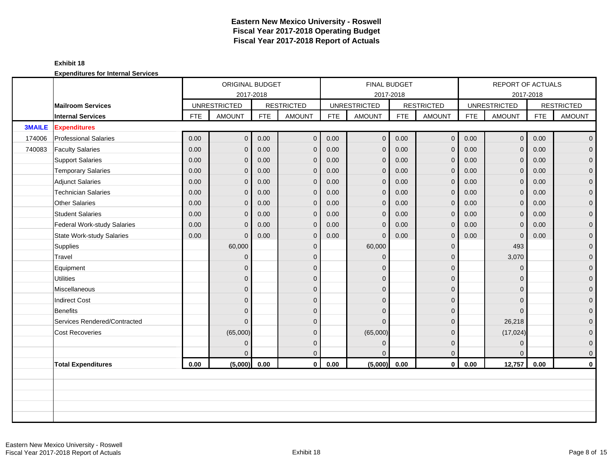|               |                              |            | ORIGINAL BUDGET                  |            |                   |            | <b>FINAL BUDGET</b>              |            |                   |            | <b>REPORT OF ACTUALS</b>         |            |                   |
|---------------|------------------------------|------------|----------------------------------|------------|-------------------|------------|----------------------------------|------------|-------------------|------------|----------------------------------|------------|-------------------|
|               | <b>Mailroom Services</b>     |            | 2017-2018<br><b>UNRESTRICTED</b> |            | <b>RESTRICTED</b> |            | 2017-2018<br><b>UNRESTRICTED</b> |            | <b>RESTRICTED</b> |            | 2017-2018<br><b>UNRESTRICTED</b> |            | <b>RESTRICTED</b> |
|               | <b>Internal Services</b>     | <b>FTE</b> | <b>AMOUNT</b>                    | <b>FTE</b> | <b>AMOUNT</b>     | <b>FTE</b> | <b>AMOUNT</b>                    | <b>FTE</b> | <b>AMOUNT</b>     | <b>FTE</b> | <b>AMOUNT</b>                    | <b>FTE</b> | <b>AMOUNT</b>     |
| <b>3MAILE</b> | <b>Expenditures</b>          |            |                                  |            |                   |            |                                  |            |                   |            |                                  |            |                   |
| 174006        | <b>Professional Salaries</b> | 0.00       | $\circ$                          | 0.00       | $\mathbf{0}$      | 0.00       | $\overline{0}$                   | 0.00       | $\overline{0}$    | 0.00       | 0 <sup>1</sup>                   | 0.00       | $\overline{0}$    |
| 740083        | <b>Faculty Salaries</b>      | 0.00       | $\overline{0}$                   | 0.00       | $\mathbf 0$       | 0.00       | $\mathbf 0$                      | 0.00       | $\mathbf{0}$      | 0.00       | $\mathbf{0}$                     | 0.00       | $\overline{0}$    |
|               | <b>Support Salaries</b>      | 0.00       | $\overline{0}$                   | 0.00       | $\overline{0}$    | 0.00       | $\mathbf{0}$                     | 0.00       | $\mathbf{0}$      | 0.00       | $\overline{0}$                   | 0.00       | $\overline{0}$    |
|               | <b>Temporary Salaries</b>    | 0.00       | $\overline{0}$                   | 0.00       | $\overline{0}$    | 0.00       | $\mathbf{0}$                     | 0.00       | $\mathbf{0}$      | 0.00       | $\overline{0}$                   | 0.00       | $\overline{0}$    |
|               | <b>Adjunct Salaries</b>      | 0.00       | $\mathbf{0}$                     | 0.00       | $\mathbf 0$       | 0.00       | $\mathbf 0$                      | 0.00       | $\mathbf 0$       | 0.00       | $\mathbf 0$                      | 0.00       | $\mathbf 0$       |
|               | <b>Technician Salaries</b>   | 0.00       | $\Omega$                         | 0.00       | $\mathbf{0}$      | 0.00       | $\mathbf{0}$                     | 0.00       | $\mathbf{0}$      | 0.00       | $\overline{0}$                   | 0.00       | $\mathbf 0$       |
|               | <b>Other Salaries</b>        | 0.00       | $\Omega$                         | 0.00       | $\mathbf{0}$      | 0.00       | $\Omega$                         | 0.00       | $\Omega$          | 0.00       | $\mathbf{0}$                     | 0.00       | $\overline{0}$    |
|               | <b>Student Salaries</b>      | 0.00       | $\mathbf{0}$                     | 0.00       | $\mathbf 0$       | 0.00       | $\mathbf{0}$                     | 0.00       | $\mathbf{0}$      | 0.00       | $\mathbf{0}$                     | 0.00       | $\overline{0}$    |
|               | Federal Work-study Salaries  | 0.00       | $\overline{0}$                   | 0.00       | $\mathbf 0$       | 0.00       | $\mathbf{0}$                     | 0.00       | $\mathbf 0$       | 0.00       | $\mathbf 0$                      | 0.00       | 0                 |
|               | State Work-study Salaries    | 0.00       | $\Omega$                         | 0.00       | $\mathbf 0$       | 0.00       | $\Omega$                         | 0.00       | $\mathbf{0}$      | 0.00       | $\mathbf{0}$                     | 0.00       | $\overline{0}$    |
|               | Supplies                     |            | 60,000                           |            | $\mathbf{0}$      |            | 60,000                           |            | $\mathbf{0}$      |            | 493                              |            | $\mathbf 0$       |
|               | Travel                       |            | $\overline{0}$                   |            | $\mathbf 0$       |            | $\Omega$                         |            | $\mathbf{0}$      |            | 3,070                            |            | $\mathbf 0$       |
|               | Equipment                    |            | $\overline{0}$                   |            | $\Omega$          |            | $\Omega$                         |            | $\mathbf{0}$      |            | $\Omega$                         |            | $\mathbf{0}$      |
|               | <b>Utilities</b>             |            | $\overline{0}$                   |            | $\mathbf{0}$      |            | $\Omega$                         |            | $\mathbf{0}$      |            | $\Omega$                         |            | $\overline{0}$    |
|               | Miscellaneous                |            | $\overline{0}$                   |            | $\mathbf 0$       |            | $\Omega$                         |            | $\mathbf{0}$      |            | $\Omega$                         |            | $\mathbf 0$       |
|               | <b>Indirect Cost</b>         |            | $\overline{0}$                   |            | $\Omega$          |            | $\Omega$                         |            | $\mathbf{0}$      |            | $\Omega$                         |            | $\mathbf 0$       |
|               | <b>Benefits</b>              |            | $\Omega$                         |            | $\Omega$          |            | $\Omega$                         |            | $\Omega$          |            | $\Omega$                         |            | 0                 |
|               | Services Rendered/Contracted |            | $\Omega$                         |            | $\Omega$          |            | $\Omega$                         |            | $\mathbf{0}$      |            | 26,218                           |            | 0                 |
|               | <b>Cost Recoveries</b>       |            | (65,000)                         |            | $\mathbf{0}$      |            | (65,000)                         |            | $\mathbf 0$       |            | (17, 024)                        |            | $\mathbf{0}$      |
|               |                              |            | $\overline{0}$                   |            | $\mathbf{0}$      |            | $\mathbf{0}$                     |            | $\mathbf{0}$      |            | $\mathbf{0}$                     |            | $\mathbf{0}$      |
|               |                              |            | $\Omega$                         |            | $\Omega$          |            | $\Omega$                         |            | $\mathbf{0}$      |            | $\Omega$                         |            | $\mathbf{0}$      |
|               | <b>Total Expenditures</b>    | 0.00       | (5,000)                          | 0.00       | $\mathbf{0}$      | 0.00       | (5,000)                          | 0.00       | $\mathbf 0$       | 0.00       | 12,757                           | 0.00       | 0                 |
|               |                              |            |                                  |            |                   |            |                                  |            |                   |            |                                  |            |                   |
|               |                              |            |                                  |            |                   |            |                                  |            |                   |            |                                  |            |                   |
|               |                              |            |                                  |            |                   |            |                                  |            |                   |            |                                  |            |                   |
|               |                              |            |                                  |            |                   |            |                                  |            |                   |            |                                  |            |                   |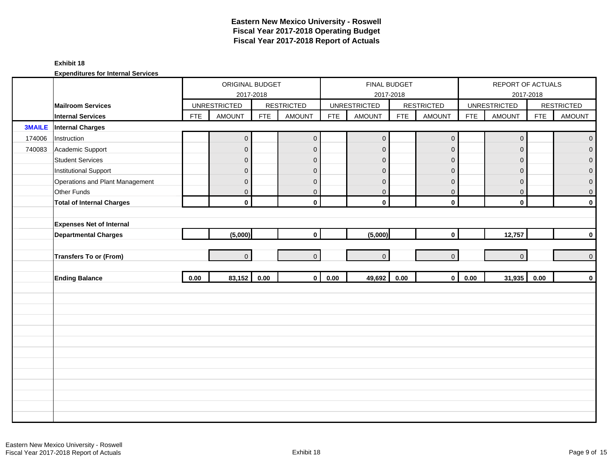### **Exhibit 18**

|               |                                  |            | ORIGINAL BUDGET     |            |                   |            | FINAL BUDGET        |            |                     |            | REPORT OF ACTUALS   |            |                   |
|---------------|----------------------------------|------------|---------------------|------------|-------------------|------------|---------------------|------------|---------------------|------------|---------------------|------------|-------------------|
|               |                                  |            | 2017-2018           |            |                   |            | 2017-2018           |            |                     |            |                     | 2017-2018  |                   |
|               | <b>Mailroom Services</b>         |            | <b>UNRESTRICTED</b> |            | <b>RESTRICTED</b> |            | <b>UNRESTRICTED</b> |            | <b>RESTRICTED</b>   |            | <b>UNRESTRICTED</b> |            | <b>RESTRICTED</b> |
|               | <b>Internal Services</b>         | <b>FTE</b> | AMOUNT              | <b>FTE</b> | <b>AMOUNT</b>     | <b>FTE</b> | <b>AMOUNT</b>       | <b>FTE</b> | <b>AMOUNT</b>       | <b>FTE</b> | AMOUNT              | <b>FTE</b> | <b>AMOUNT</b>     |
| <b>3MAILE</b> | <b>Internal Charges</b>          |            |                     |            |                   |            |                     |            |                     |            |                     |            |                   |
| 174006        | Instruction                      |            | $\mathsf{O}\xspace$ |            | $\mathbf 0$       |            | $\pmb{0}$           |            | $\mathsf{O}\xspace$ |            | $\pmb{0}$           |            | $\mathbf 0$       |
| 740083        | Academic Support                 |            | $\overline{0}$      |            | $\mathbf{0}$      |            | $\overline{0}$      |            | $\mathbf{0}$        |            | $\mathbf{0}$        |            | $\overline{0}$    |
|               | <b>Student Services</b>          |            | $\mathbf{0}$        |            | $\mathbf{0}$      |            | $\mathbf{0}$        |            | $\mathbf{0}$        |            | $\mathbf{0}$        |            | $\overline{0}$    |
|               | Institutional Support            |            | $\mathbf 0$         |            | $\mathbf 0$       |            | $\mathbf{0}$        |            | $\mathbf{0}$        |            | $\mathbf{0}$        |            | 0                 |
|               | Operations and Plant Management  |            | $\mathbf{0}$        |            | $\mathbf 0$       |            | $\pmb{0}$           |            | $\pmb{0}$           |            | $\mathbf{0}$        |            | $\mathbf 0$       |
|               | Other Funds                      |            | $\overline{0}$      |            | $\mathbf 0$       |            | $\mathbf 0$         |            | $\mathbf 0$         |            | $\mathbf 0$         |            | 0                 |
|               | <b>Total of Internal Charges</b> |            | $\mathbf 0$         |            | $\mathbf 0$       |            | $\mathbf 0$         |            | $\mathbf 0$         |            | $\mathbf 0$         |            | $\mathbf 0$       |
|               |                                  |            |                     |            |                   |            |                     |            |                     |            |                     |            |                   |
|               | <b>Expenses Net of Internal</b>  |            |                     |            |                   |            |                     |            |                     |            |                     |            |                   |
|               | <b>Departmental Charges</b>      |            | (5,000)             |            | $\mathbf 0$       |            | (5,000)             |            | $\mathbf 0$         |            | 12,757              |            | $\mathbf 0$       |
|               |                                  |            |                     |            |                   |            |                     |            |                     |            |                     |            |                   |
|               | Transfers To or (From)           |            | $\overline{0}$      |            | $\overline{0}$    |            | $\overline{0}$      |            | $\overline{0}$      |            | $\overline{0}$      |            | $\pmb{0}$         |
|               |                                  |            |                     |            |                   |            |                     |            |                     |            |                     |            |                   |
|               | <b>Ending Balance</b>            | 0.00       | 83,152              | $0.00\,$   | $\mathbf{0}$      | 0.00       | 49,692              | 0.00       | $\mathbf{0}$        | 0.00       | 31,935              | 0.00       | $\mathbf 0$       |
|               |                                  |            |                     |            |                   |            |                     |            |                     |            |                     |            |                   |
|               |                                  |            |                     |            |                   |            |                     |            |                     |            |                     |            |                   |
|               |                                  |            |                     |            |                   |            |                     |            |                     |            |                     |            |                   |
|               |                                  |            |                     |            |                   |            |                     |            |                     |            |                     |            |                   |
|               |                                  |            |                     |            |                   |            |                     |            |                     |            |                     |            |                   |
|               |                                  |            |                     |            |                   |            |                     |            |                     |            |                     |            |                   |
|               |                                  |            |                     |            |                   |            |                     |            |                     |            |                     |            |                   |
|               |                                  |            |                     |            |                   |            |                     |            |                     |            |                     |            |                   |
|               |                                  |            |                     |            |                   |            |                     |            |                     |            |                     |            |                   |
|               |                                  |            |                     |            |                   |            |                     |            |                     |            |                     |            |                   |
|               |                                  |            |                     |            |                   |            |                     |            |                     |            |                     |            |                   |
|               |                                  |            |                     |            |                   |            |                     |            |                     |            |                     |            |                   |
|               |                                  |            |                     |            |                   |            |                     |            |                     |            |                     |            |                   |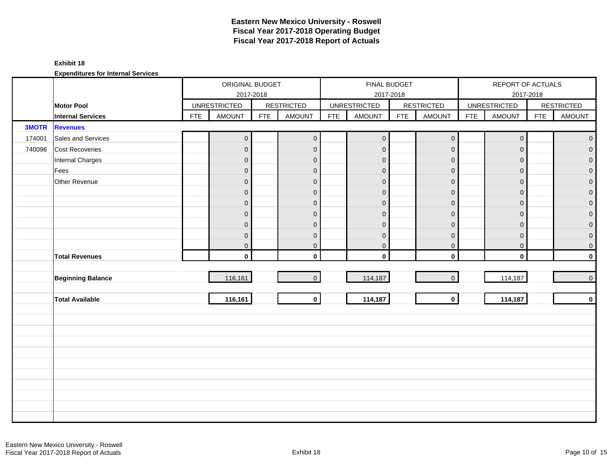#### **Exhibit 18**

|              |                          |            | ORIGINAL BUDGET<br>2017-2018 |            |                     |            | FINAL BUDGET        | 2017-2018  |                     |            | REPORT OF ACTUALS<br>2017-2018 |            |                     |
|--------------|--------------------------|------------|------------------------------|------------|---------------------|------------|---------------------|------------|---------------------|------------|--------------------------------|------------|---------------------|
|              | <b>Motor Pool</b>        |            | <b>UNRESTRICTED</b>          |            | <b>RESTRICTED</b>   |            | <b>UNRESTRICTED</b> |            | <b>RESTRICTED</b>   |            | <b>UNRESTRICTED</b>            |            | <b>RESTRICTED</b>   |
|              | <b>Internal Services</b> | <b>FTE</b> | <b>AMOUNT</b>                | <b>FTE</b> | <b>AMOUNT</b>       | <b>FTE</b> | <b>AMOUNT</b>       | <b>FTE</b> | <b>AMOUNT</b>       | <b>FTE</b> | <b>AMOUNT</b>                  | <b>FTE</b> | <b>AMOUNT</b>       |
| <b>3MOTR</b> | <b>Revenues</b>          |            |                              |            |                     |            |                     |            |                     |            |                                |            |                     |
| 174001       | Sales and Services       |            | $\mathsf{O}\xspace$          |            | $\mathsf{O}\xspace$ |            | $\mathbf 0$         |            | $\mathsf{O}\xspace$ |            | $\mathsf{O}\xspace$            |            | $\overline{0}$      |
| 740096       | Cost Recoveries          |            | $\overline{0}$               |            | $\mathbf 0$         |            | $\pmb{0}$           |            | $\mathbf 0$         |            | $\mathbf 0$                    |            | $\overline{0}$      |
|              | Internal Charges         |            | $\overline{0}$               |            | $\mathbf{0}$        |            | $\mathbf{0}$        |            | $\mathbf{0}$        |            | $\mathbf{0}$                   |            | $\overline{0}$      |
|              | Fees                     |            | $\mathbf 0$                  |            | $\mathbf 0$         |            | $\overline{0}$      |            | $\mathbf 0$         |            | $\mathbf{0}$                   |            | $\overline{0}$      |
|              | Other Revenue            |            | $\mathbf 0$                  |            | $\mathbf{0}$        |            | $\overline{0}$      |            | $\overline{0}$      |            | $\mathbf{0}$                   |            | $\overline{0}$      |
|              |                          |            | $\overline{0}$               |            | $\mathbf{0}$        |            | $\mathbf{0}$        |            | $\overline{0}$      |            | $\mathbf{0}$                   |            | $\overline{0}$      |
|              |                          |            | $\overline{0}$               |            | $\mathbf 0$         |            | $\overline{0}$      |            | $\mathbf 0$         |            | $\mathbf 0$                    |            | $\mathbf 0$         |
|              |                          |            | $\mathsf{O}\xspace$          |            | $\mathbf{0}$        |            | $\pmb{0}$           |            | $\overline{0}$      |            | $\mathbf{0}$                   |            | $\mathbf 0$         |
|              |                          |            | $\overline{0}$               |            | $\mathbf{0}$        |            | $\mathbf 0$         |            | $\mathbf 0$         |            | $\mathbf{0}$                   |            | $\boldsymbol{0}$    |
|              |                          |            | $\mathsf{O}\xspace$          |            | $\mathbf{0}$        |            | $\mathbf 0$         |            | $\mathbf 0$         |            | $\mathbf 0$                    |            | $\boldsymbol{0}$    |
|              |                          |            | $\mathsf{O}\xspace$          |            | $\pmb{0}$           |            | $\mathbf 0$         |            | $\mathbf 0$         |            | $\mathbf 0$                    |            | 0                   |
|              | <b>Total Revenues</b>    |            | $\mathbf{0}$                 |            | $\mathbf{0}$        |            | $\mathbf 0$         |            | $\mathbf 0$         |            | $\mathbf 0$                    |            | $\mathbf 0$         |
|              |                          |            |                              |            |                     |            |                     |            |                     |            |                                |            |                     |
|              | <b>Beginning Balance</b> |            | 116,161                      |            | $\overline{0}$      |            | 114,187             |            | $\mathbf 0$         |            | 114,187                        |            | $\mathsf{O}\xspace$ |
|              |                          |            |                              |            |                     |            |                     |            |                     |            |                                |            |                     |
|              | <b>Total Available</b>   |            | 116,161                      |            | $\mathbf{0}$        |            | 114,187             |            | $\mathbf{0}$        |            | 114,187                        |            | $\mathbf 0$         |
|              |                          |            |                              |            |                     |            |                     |            |                     |            |                                |            |                     |
|              |                          |            |                              |            |                     |            |                     |            |                     |            |                                |            |                     |
|              |                          |            |                              |            |                     |            |                     |            |                     |            |                                |            |                     |
|              |                          |            |                              |            |                     |            |                     |            |                     |            |                                |            |                     |
|              |                          |            |                              |            |                     |            |                     |            |                     |            |                                |            |                     |
|              |                          |            |                              |            |                     |            |                     |            |                     |            |                                |            |                     |
|              |                          |            |                              |            |                     |            |                     |            |                     |            |                                |            |                     |
|              |                          |            |                              |            |                     |            |                     |            |                     |            |                                |            |                     |
|              |                          |            |                              |            |                     |            |                     |            |                     |            |                                |            |                     |
|              |                          |            |                              |            |                     |            |                     |            |                     |            |                                |            |                     |
|              |                          |            |                              |            |                     |            |                     |            |                     |            |                                |            |                     |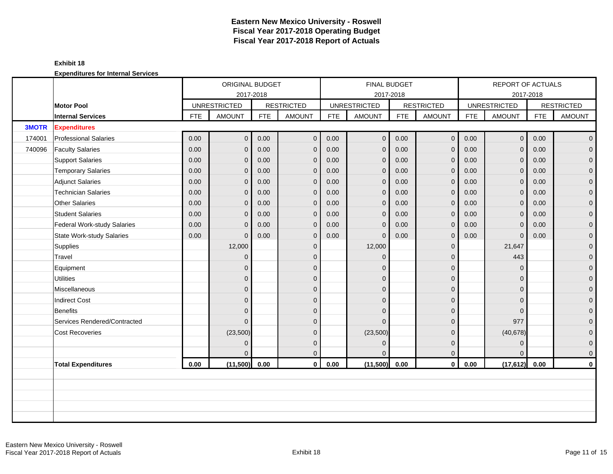|              |                                  |            | ORIGINAL BUDGET     |            |                   |            | FINAL BUDGET        |            |                   |            | <b>REPORT OF ACTUALS</b> |            |                   |
|--------------|----------------------------------|------------|---------------------|------------|-------------------|------------|---------------------|------------|-------------------|------------|--------------------------|------------|-------------------|
|              |                                  |            | 2017-2018           |            |                   |            | 2017-2018           |            |                   |            |                          | 2017-2018  |                   |
|              | <b>Motor Pool</b>                |            | <b>UNRESTRICTED</b> |            | <b>RESTRICTED</b> |            | <b>UNRESTRICTED</b> |            | <b>RESTRICTED</b> |            | <b>UNRESTRICTED</b>      |            | <b>RESTRICTED</b> |
|              | <b>Internal Services</b>         | <b>FTE</b> | <b>AMOUNT</b>       | <b>FTE</b> | <b>AMOUNT</b>     | <b>FTE</b> | <b>AMOUNT</b>       | <b>FTE</b> | <b>AMOUNT</b>     | <b>FTE</b> | <b>AMOUNT</b>            | <b>FTE</b> | <b>AMOUNT</b>     |
| <b>3MOTR</b> | <b>Expenditures</b>              |            |                     |            |                   |            |                     |            |                   |            |                          |            |                   |
| 174001       | <b>Professional Salaries</b>     | 0.00       | $\overline{0}$      | 0.00       | $\mathbf 0$       | 0.00       | $\overline{0}$      | 0.00       | $\overline{0}$    | 0.00       | 0 <sup>1</sup>           | 0.00       | $\overline{0}$    |
| 740096       | <b>Faculty Salaries</b>          | 0.00       | $\overline{0}$      | 0.00       | $\mathbf 0$       | 0.00       | $\mathbf{0}$        | 0.00       | $\mathbf{0}$      | 0.00       | $\mathbf{0}$             | 0.00       | $\overline{0}$    |
|              | <b>Support Salaries</b>          | 0.00       | $\overline{0}$      | 0.00       | $\overline{0}$    | 0.00       | $\mathbf{0}$        | 0.00       | $\mathbf{0}$      | 0.00       | $\overline{0}$           | 0.00       | $\overline{0}$    |
|              | <b>Temporary Salaries</b>        | 0.00       | $\overline{0}$      | 0.00       | $\overline{0}$    | 0.00       | $\mathbf{0}$        | 0.00       | $\mathbf{0}$      | 0.00       | $\mathbf{0}$             | 0.00       | $\mathbf 0$       |
|              | <b>Adjunct Salaries</b>          | 0.00       | $\overline{0}$      | 0.00       | $\mathbf{0}$      | 0.00       | $\mathbf{0}$        | 0.00       | $\mathbf{0}$      | 0.00       | $\overline{0}$           | 0.00       | $\mathbf{0}$      |
|              | <b>Technician Salaries</b>       | 0.00       | $\overline{0}$      | 0.00       | $\overline{0}$    | 0.00       | $\mathbf{0}$        | 0.00       | $\mathbf{0}$      | 0.00       | $\mathbf{0}$             | 0.00       | $\mathbf 0$       |
|              | <b>Other Salaries</b>            | 0.00       | $\overline{0}$      | 0.00       | $\mathbf 0$       | 0.00       | $\mathbf{0}$        | 0.00       | $\mathbf{0}$      | 0.00       | $\mathbf 0$              | 0.00       | $\mathbf 0$       |
|              | <b>Student Salaries</b>          | 0.00       | $\mathbf{0}$        | 0.00       | $\mathbf{0}$      | 0.00       | $\Omega$            | 0.00       | $\mathbf{0}$      | 0.00       | $\mathbf{0}$             | 0.00       | $\overline{0}$    |
|              | Federal Work-study Salaries      | 0.00       | $\overline{0}$      | 0.00       | $\overline{0}$    | 0.00       | $\mathbf{0}$        | 0.00       | $\mathbf{0}$      | 0.00       | $\mathbf{0}$             | 0.00       | $\mathbf 0$       |
|              | <b>State Work-study Salaries</b> | 0.00       | $\mathbf{0}$        | 0.00       | $\mathbf 0$       | 0.00       | $\mathbf{0}$        | 0.00       | $\mathbf 0$       | 0.00       | $\mathbf{0}$             | 0.00       | 0                 |
|              | Supplies                         |            | 12,000              |            | $\mathbf 0$       |            | 12,000              |            | $\mathbf{0}$      |            | 21,647                   |            | $\mathbf 0$       |
|              | Travel                           |            | $\overline{0}$      |            | $\Omega$          |            | $\Omega$            |            | $\mathbf{0}$      |            | 443                      |            | $\overline{0}$    |
|              | Equipment                        |            | $\overline{0}$      |            | $\mathbf{0}$      |            | $\Omega$            |            | $\mathbf{0}$      |            | $\mathbf{0}$             |            | $\mathbf 0$       |
|              | <b>Utilities</b>                 |            | $\overline{0}$      |            | $\mathbf{0}$      |            | $\Omega$            |            | $\mathbf 0$       |            | $\Omega$                 |            | $\overline{0}$    |
|              | Miscellaneous                    |            | $\overline{0}$      |            | $\mathbf{0}$      |            | $\Omega$            |            | $\mathbf 0$       |            | $\Omega$                 |            | $\mathbf 0$       |
|              | <b>Indirect Cost</b>             |            | $\overline{0}$      |            | $\Omega$          |            | $\Omega$            |            | $\mathbf{0}$      |            | $\Omega$                 |            | $\boldsymbol{0}$  |
|              | Benefits                         |            | $\overline{0}$      |            | $\Omega$          |            | $\Omega$            |            | $\mathbf{0}$      |            | $\Omega$                 |            | $\mathbf{0}$      |
|              | Services Rendered/Contracted     |            | $\overline{0}$      |            | $\Omega$          |            | $\Omega$            |            | $\mathbf{0}$      |            | 977                      |            | 0                 |
|              | <b>Cost Recoveries</b>           |            | (23,500)            |            | $\mathbf{0}$      |            | (23,500)            |            | $\mathbf{0}$      |            | (40, 678)                |            | $\mathbf 0$       |
|              |                                  |            | $\overline{0}$      |            | $\mathbf{0}$      |            | $\mathbf{0}$        |            | $\mathbf{0}$      |            | $\mathbf{0}$             |            | $\mathbf 0$       |
|              |                                  |            | $\Omega$            |            | $\mathbf{0}$      |            | $\Omega$            |            | $\mathbf{0}$      |            | $\Omega$                 |            | $\mathbf 0$       |
|              | <b>Total Expenditures</b>        | 0.00       | (11,500)            | 0.00       | $\mathbf{0}$      | 0.00       | (11,500)            | 0.00       | $\mathbf 0$       | 0.00       | (17, 612)                | 0.00       | $\mathbf 0$       |
|              |                                  |            |                     |            |                   |            |                     |            |                   |            |                          |            |                   |
|              |                                  |            |                     |            |                   |            |                     |            |                   |            |                          |            |                   |
|              |                                  |            |                     |            |                   |            |                     |            |                   |            |                          |            |                   |
|              |                                  |            |                     |            |                   |            |                     |            |                   |            |                          |            |                   |
|              |                                  |            |                     |            |                   |            |                     |            |                   |            |                          |            |                   |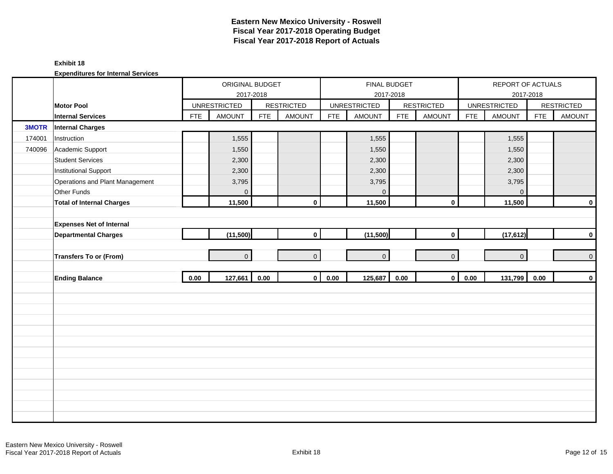#### **Exhibit 18**

|              |                                  |            | ORIGINAL BUDGET<br>2017-2018 |            |                   |            | <b>FINAL BUDGET</b><br>2017-2018 |            |                   |            | REPORT OF ACTUALS<br>2017-2018 |            |                   |
|--------------|----------------------------------|------------|------------------------------|------------|-------------------|------------|----------------------------------|------------|-------------------|------------|--------------------------------|------------|-------------------|
|              | <b>Motor Pool</b>                |            | <b>UNRESTRICTED</b>          |            | <b>RESTRICTED</b> |            | <b>UNRESTRICTED</b>              |            | <b>RESTRICTED</b> |            | <b>UNRESTRICTED</b>            |            | <b>RESTRICTED</b> |
|              | <b>Internal Services</b>         | <b>FTE</b> | <b>AMOUNT</b>                | <b>FTE</b> | <b>AMOUNT</b>     | <b>FTE</b> | <b>AMOUNT</b>                    | <b>FTE</b> | <b>AMOUNT</b>     | <b>FTE</b> | <b>AMOUNT</b>                  | <b>FTE</b> | <b>AMOUNT</b>     |
| <b>3MOTR</b> | <b>Internal Charges</b>          |            |                              |            |                   |            |                                  |            |                   |            |                                |            |                   |
| 174001       | Instruction                      |            | 1,555                        |            |                   |            | 1,555                            |            |                   |            | 1,555                          |            |                   |
| 740096       | Academic Support                 |            | 1,550                        |            |                   |            | 1,550                            |            |                   |            | 1,550                          |            |                   |
|              | <b>Student Services</b>          |            | 2,300                        |            |                   |            | 2,300                            |            |                   |            | 2,300                          |            |                   |
|              | <b>Institutional Support</b>     |            | 2,300                        |            |                   |            | 2,300                            |            |                   |            | 2,300                          |            |                   |
|              | Operations and Plant Management  |            | 3,795                        |            |                   |            | 3,795                            |            |                   |            | 3,795                          |            |                   |
|              | Other Funds                      |            | $\Omega$                     |            |                   |            | $\Omega$                         |            |                   |            | $\mathbf{0}$                   |            |                   |
|              | <b>Total of Internal Charges</b> |            | 11,500                       |            | $\mathbf 0$       |            | 11,500                           |            | $\mathbf 0$       |            | 11,500                         |            | $\mathbf 0$       |
|              |                                  |            |                              |            |                   |            |                                  |            |                   |            |                                |            |                   |
|              | <b>Expenses Net of Internal</b>  |            |                              |            |                   |            |                                  |            |                   |            |                                |            |                   |
|              | <b>Departmental Charges</b>      |            | (11,500)                     |            | $\mathbf{0}$      |            | (11,500)                         |            | $\mathbf 0$       |            | (17, 612)                      |            | $\mathbf 0$       |
|              |                                  |            |                              |            |                   |            |                                  |            |                   |            |                                |            |                   |
|              | Transfers To or (From)           |            | $\overline{0}$               |            | $\mathbf{0}$      |            | $\overline{0}$                   |            | $\overline{0}$    |            | $\overline{0}$                 |            | $\mathbf 0$       |
|              |                                  |            |                              |            |                   |            |                                  |            |                   |            |                                |            |                   |
|              | <b>Ending Balance</b>            | 0.00       | 127,661                      | 0.00       | $\mathbf{0}$      | 0.00       | 125,687                          | 0.00       | $\mathbf 0$       | 0.00       | 131,799                        | 0.00       | $\mathbf 0$       |
|              |                                  |            |                              |            |                   |            |                                  |            |                   |            |                                |            |                   |
|              |                                  |            |                              |            |                   |            |                                  |            |                   |            |                                |            |                   |
|              |                                  |            |                              |            |                   |            |                                  |            |                   |            |                                |            |                   |
|              |                                  |            |                              |            |                   |            |                                  |            |                   |            |                                |            |                   |
|              |                                  |            |                              |            |                   |            |                                  |            |                   |            |                                |            |                   |
|              |                                  |            |                              |            |                   |            |                                  |            |                   |            |                                |            |                   |
|              |                                  |            |                              |            |                   |            |                                  |            |                   |            |                                |            |                   |
|              |                                  |            |                              |            |                   |            |                                  |            |                   |            |                                |            |                   |
|              |                                  |            |                              |            |                   |            |                                  |            |                   |            |                                |            |                   |
|              |                                  |            |                              |            |                   |            |                                  |            |                   |            |                                |            |                   |
|              |                                  |            |                              |            |                   |            |                                  |            |                   |            |                                |            |                   |
|              |                                  |            |                              |            |                   |            |                                  |            |                   |            |                                |            |                   |
|              |                                  |            |                              |            |                   |            |                                  |            |                   |            |                                |            |                   |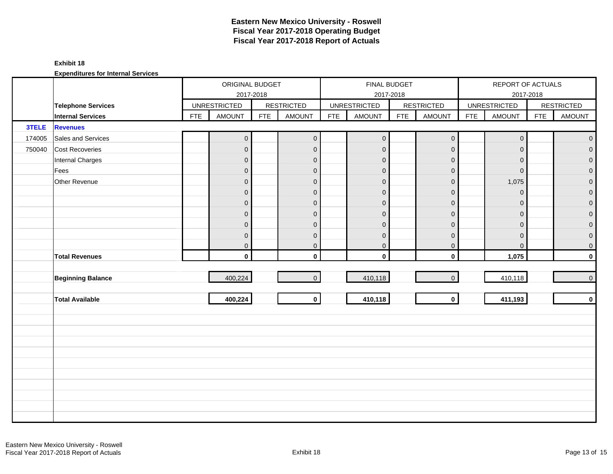#### **Exhibit 18**

|        |                           |            | ORIGINAL BUDGET     | 2017-2018  |                   |            |                     | FINAL BUDGET<br>2017-2018 |                     |            | REPORT OF ACTUALS   | 2017-2018  |                   |
|--------|---------------------------|------------|---------------------|------------|-------------------|------------|---------------------|---------------------------|---------------------|------------|---------------------|------------|-------------------|
|        | <b>Telephone Services</b> |            | <b>UNRESTRICTED</b> |            | <b>RESTRICTED</b> |            | <b>UNRESTRICTED</b> |                           | <b>RESTRICTED</b>   |            | <b>UNRESTRICTED</b> |            | <b>RESTRICTED</b> |
|        | <b>Internal Services</b>  | <b>FTE</b> | <b>AMOUNT</b>       | <b>FTE</b> | <b>AMOUNT</b>     | <b>FTE</b> | <b>AMOUNT</b>       | <b>FTE</b>                | <b>AMOUNT</b>       | <b>FTE</b> | <b>AMOUNT</b>       | <b>FTE</b> | <b>AMOUNT</b>     |
| 3TELE  | <b>Revenues</b>           |            |                     |            |                   |            |                     |                           |                     |            |                     |            |                   |
| 174005 | Sales and Services        |            | $\mathsf{O}\xspace$ |            | $\overline{0}$    |            | $\pmb{0}$           |                           | $\mathsf{O}\xspace$ |            | $\mathbf 0$         |            | $\overline{0}$    |
| 750040 | <b>Cost Recoveries</b>    |            | $\overline{0}$      |            | $\mathbf 0$       |            | $\mathbf 0$         |                           | $\mathbf 0$         |            | $\mathbf{0}$        |            | $\mathbf{0}$      |
|        | Internal Charges          |            | $\overline{0}$      |            | $\mathbf{0}$      |            | $\mathbf{0}$        |                           | $\mathbf 0$         |            | $\mathbf{0}$        |            | $\overline{0}$    |
|        | Fees                      |            | $\pmb{0}$           |            | $\overline{0}$    |            | $\mathbf 0$         |                           | $\mathbf 0$         |            | $\overline{0}$      |            | $\overline{0}$    |
|        | Other Revenue             |            | $\mathbf 0$         |            | $\overline{0}$    |            | $\mathbf 0$         |                           | $\pmb{0}$           |            | 1,075               |            | $\overline{0}$    |
|        |                           |            | $\mathbf 0$         |            | $\overline{0}$    |            | $\mathbf{0}$        |                           | $\mathbf{0}$        |            | $\Omega$            |            | $\overline{0}$    |
|        |                           |            | $\mathbf 0$         |            | $\mathbf 0$       |            | $\mathbf 0$         |                           | $\mathbf 0$         |            | $\mathbf{0}$        |            | $\overline{0}$    |
|        |                           |            | $\pmb{0}$           |            | $\overline{0}$    |            | $\mathbf{0}$        |                           | $\pmb{0}$           |            | $\Omega$            |            | $\mathbf{0}$      |
|        |                           |            | $\overline{0}$      |            | $\overline{0}$    |            | $\mathbf 0$         |                           | $\mathbf{0}$        |            | $\Omega$            |            | $\overline{0}$    |
|        |                           |            | $\boldsymbol{0}$    |            | $\mathbf{0}$      |            | $\mathbf 0$         |                           | $\mathbf 0$         |            | $\mathbf{0}$        |            | $\overline{0}$    |
|        |                           |            | $\overline{0}$      |            | $\overline{0}$    |            | $\boldsymbol{0}$    |                           | $\pmb{0}$           |            | $\mathbf{0}$        |            | $\overline{0}$    |
|        | <b>Total Revenues</b>     |            | $\mathbf{0}$        |            | $\mathbf{0}$      |            | $\mathbf 0$         |                           | $\mathbf 0$         |            | 1,075               |            | $\mathbf{0}$      |
|        |                           |            |                     |            |                   |            |                     |                           |                     |            |                     |            |                   |
|        | <b>Beginning Balance</b>  |            | 400,224             |            | $\overline{0}$    |            | 410,118             |                           | $\overline{0}$      |            | 410,118             |            | $\overline{0}$    |
|        |                           |            |                     |            |                   |            |                     |                           |                     |            |                     |            |                   |
|        | <b>Total Available</b>    |            | 400,224             |            | $\mathbf{0}$      |            | 410,118             |                           | $\mathbf{0}$        |            | 411,193             |            | $\mathbf{0}$      |
|        |                           |            |                     |            |                   |            |                     |                           |                     |            |                     |            |                   |
|        |                           |            |                     |            |                   |            |                     |                           |                     |            |                     |            |                   |
|        |                           |            |                     |            |                   |            |                     |                           |                     |            |                     |            |                   |
|        |                           |            |                     |            |                   |            |                     |                           |                     |            |                     |            |                   |
|        |                           |            |                     |            |                   |            |                     |                           |                     |            |                     |            |                   |
|        |                           |            |                     |            |                   |            |                     |                           |                     |            |                     |            |                   |
|        |                           |            |                     |            |                   |            |                     |                           |                     |            |                     |            |                   |
|        |                           |            |                     |            |                   |            |                     |                           |                     |            |                     |            |                   |
|        |                           |            |                     |            |                   |            |                     |                           |                     |            |                     |            |                   |
|        |                           |            |                     |            |                   |            |                     |                           |                     |            |                     |            |                   |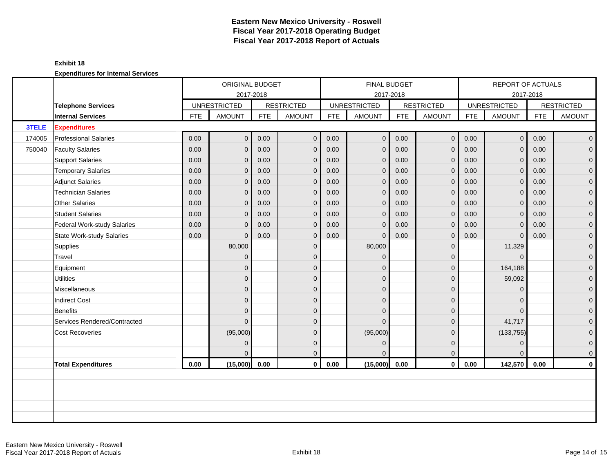|        |                              |            | ORIGINAL BUDGET     |            |                   |            | FINAL BUDGET        |            |                   |            | <b>REPORT OF ACTUALS</b> |            |                   |
|--------|------------------------------|------------|---------------------|------------|-------------------|------------|---------------------|------------|-------------------|------------|--------------------------|------------|-------------------|
|        |                              |            | 2017-2018           |            |                   |            | 2017-2018           |            |                   |            |                          | 2017-2018  |                   |
|        | <b>Telephone Services</b>    |            | <b>UNRESTRICTED</b> |            | <b>RESTRICTED</b> |            | <b>UNRESTRICTED</b> |            | <b>RESTRICTED</b> |            | <b>UNRESTRICTED</b>      |            | <b>RESTRICTED</b> |
|        | <b>Internal Services</b>     | <b>FTE</b> | <b>AMOUNT</b>       | <b>FTE</b> | <b>AMOUNT</b>     | <b>FTE</b> | <b>AMOUNT</b>       | <b>FTE</b> | <b>AMOUNT</b>     | <b>FTE</b> | <b>AMOUNT</b>            | <b>FTE</b> | <b>AMOUNT</b>     |
| 3TELE  | <b>Expenditures</b>          |            |                     |            |                   |            |                     |            |                   |            |                          |            |                   |
| 174005 | <b>Professional Salaries</b> | 0.00       | $\overline{O}$      | 0.00       | $\mathbf 0$       | 0.00       | $\pmb{0}$           | 0.00       | $\mathbf 0$       | 0.00       | 0 <sup>1</sup>           | 0.00       | $\overline{0}$    |
| 750040 | <b>Faculty Salaries</b>      | 0.00       | $\overline{0}$      | 0.00       | $\mathbf 0$       | 0.00       | $\mathbf 0$         | 0.00       | $\mathbf{0}$      | 0.00       | $\mathbf{0}$             | 0.00       | $\mathbf{0}$      |
|        | <b>Support Salaries</b>      | 0.00       | $\overline{0}$      | 0.00       | $\overline{0}$    | 0.00       | $\mathbf{0}$        | 0.00       | $\mathbf{0}$      | 0.00       | $\mathbf{0}$             | 0.00       | $\overline{0}$    |
|        | <b>Temporary Salaries</b>    | 0.00       | $\overline{0}$      | 0.00       | $\overline{0}$    | 0.00       | $\mathbf{0}$        | 0.00       | $\mathbf{0}$      | 0.00       | $\overline{0}$           | 0.00       | 0                 |
|        | <b>Adjunct Salaries</b>      | 0.00       | $\overline{0}$      | 0.00       | $\mathbf 0$       | 0.00       | $\mathbf{0}$        | 0.00       | $\mathbf 0$       | 0.00       | $\mathbf{0}$             | 0.00       | $\mathbf 0$       |
|        | <b>Technician Salaries</b>   | 0.00       | $\Omega$            | 0.00       | $\mathbf{0}$      | 0.00       | $\mathbf{0}$        | 0.00       | $\mathbf{0}$      | 0.00       | $\overline{0}$           | 0.00       | $\mathbf 0$       |
|        | Other Salaries               | 0.00       | $\Omega$            | 0.00       | $\overline{0}$    | 0.00       | $\mathbf{0}$        | 0.00       | $\mathbf{0}$      | 0.00       | $\mathbf{0}$             | 0.00       | 0                 |
|        | <b>Student Salaries</b>      | 0.00       | $\overline{0}$      | 0.00       | $\mathbf 0$       | 0.00       | $\mathbf{0}$        | 0.00       | $\mathbf{0}$      | 0.00       | $\mathbf{0}$             | 0.00       | $\overline{0}$    |
|        | Federal Work-study Salaries  | 0.00       | $\mathbf{0}$        | 0.00       | $\mathbf 0$       | 0.00       | $\mathbf 0$         | 0.00       | $\mathbf 0$       | 0.00       | $\mathbf 0$              | 0.00       | $\mathbf 0$       |
|        | State Work-study Salaries    | 0.00       | $\Omega$            | 0.00       | $\mathbf{0}$      | 0.00       | $\Omega$            | 0.00       | $\mathbf{0}$      | 0.00       | $\mathbf{0}$             | 0.00       | $\mathbf 0$       |
|        | Supplies                     |            | 80,000              |            | $\mathbf{0}$      |            | 80,000              |            | $\mathbf{0}$      |            | 11,329                   |            | $\mathbf 0$       |
|        | Travel                       |            | $\overline{0}$      |            | $\mathbf{0}$      |            | $\Omega$            |            | $\mathbf 0$       |            | $\mathbf{0}$             |            | $\mathbf 0$       |
|        | Equipment                    |            | $\overline{0}$      |            | $\Omega$          |            | $\Omega$            |            | $\mathbf{0}$      |            | 164,188                  |            | $\mathbf{0}$      |
|        | <b>Utilities</b>             |            | $\overline{0}$      |            | $\mathbf{0}$      |            | $\Omega$            |            | $\overline{0}$    |            | 59,092                   |            | $\overline{0}$    |
|        | Miscellaneous                |            | $\overline{0}$      |            | $\mathbf{0}$      |            | $\Omega$            |            | $\mathbf 0$       |            | $\mathbf{0}$             |            | $\mathbf 0$       |
|        | <b>Indirect Cost</b>         |            | $\overline{0}$      |            | $\mathbf{0}$      |            | $\Omega$            |            | $\mathbf{0}$      |            | $\Omega$                 |            | $\mathbf 0$       |
|        | Benefits                     |            | $\overline{0}$      |            | $\Omega$          |            | $\Omega$            |            | $\Omega$          |            | $\Omega$                 |            | $\overline{0}$    |
|        | Services Rendered/Contracted |            | $\overline{0}$      |            | $\Omega$          |            | $\Omega$            |            | $\mathbf{0}$      |            | 41,717                   |            | 0                 |
|        | <b>Cost Recoveries</b>       |            | (95,000)            |            | $\mathbf{0}$      |            | (95,000)            |            | $\mathbf 0$       |            | (133, 755)               |            | 0                 |
|        |                              |            | $\overline{0}$      |            | $\mathbf{0}$      |            | $\mathbf{0}$        |            | $\mathbf{0}$      |            | $\mathbf{0}$             |            | $\mathbf 0$       |
|        |                              |            | 0                   |            | $\mathbf{0}$      |            | $\Omega$            |            | $\overline{0}$    |            | $\Omega$                 |            | $\mathbf 0$       |
|        | <b>Total Expenditures</b>    | 0.00       | (15,000)            | 0.00       | $\mathbf{0}$      | 0.00       | (15,000)            | 0.00       | $\mathbf 0$       | 0.00       | 142,570                  | 0.00       | $\mathbf 0$       |
|        |                              |            |                     |            |                   |            |                     |            |                   |            |                          |            |                   |
|        |                              |            |                     |            |                   |            |                     |            |                   |            |                          |            |                   |
|        |                              |            |                     |            |                   |            |                     |            |                   |            |                          |            |                   |
|        |                              |            |                     |            |                   |            |                     |            |                   |            |                          |            |                   |
|        |                              |            |                     |            |                   |            |                     |            |                   |            |                          |            |                   |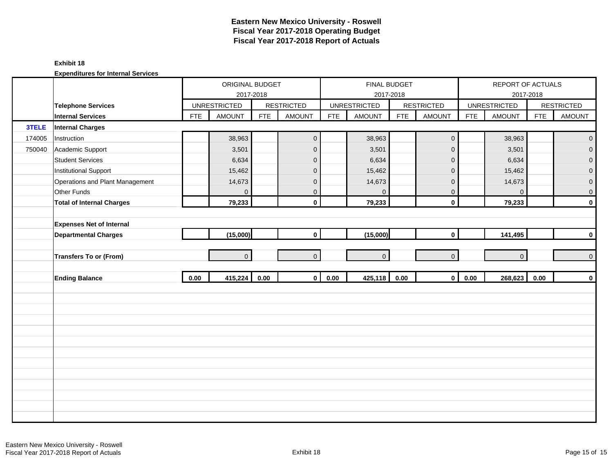#### **Exhibit 18**

|        |                                  |            | ORIGINAL BUDGET     | 2017-2018  |                   |            | FINAL BUDGET<br>2017-2018 |            |                   |            | REPORT OF ACTUALS   | 2017-2018  |                     |
|--------|----------------------------------|------------|---------------------|------------|-------------------|------------|---------------------------|------------|-------------------|------------|---------------------|------------|---------------------|
|        | <b>Telephone Services</b>        |            | <b>UNRESTRICTED</b> |            | <b>RESTRICTED</b> |            | <b>UNRESTRICTED</b>       |            | <b>RESTRICTED</b> |            | <b>UNRESTRICTED</b> |            | <b>RESTRICTED</b>   |
|        | <b>Internal Services</b>         | <b>FTE</b> | <b>AMOUNT</b>       | <b>FTE</b> | <b>AMOUNT</b>     | <b>FTE</b> | <b>AMOUNT</b>             | <b>FTE</b> | <b>AMOUNT</b>     | <b>FTE</b> | <b>AMOUNT</b>       | <b>FTE</b> | <b>AMOUNT</b>       |
| 3TELE  | <b>Internal Charges</b>          |            |                     |            |                   |            |                           |            |                   |            |                     |            |                     |
| 174005 | Instruction                      |            | 38,963              |            | $\mathbf 0$       |            | 38,963                    |            | $\mathbf 0$       |            | 38,963              |            | $\mathbf{O}$        |
| 750040 | Academic Support                 |            | 3,501               |            | $\mathbf 0$       |            | 3,501                     |            | $\mathbf 0$       |            | 3,501               |            | $\overline{0}$      |
|        | <b>Student Services</b>          |            | 6,634               |            | $\mathbf 0$       |            | 6,634                     |            | $\mathbf 0$       |            | 6,634               |            | $\mathbf 0$         |
|        | <b>Institutional Support</b>     |            | 15,462              |            | $\mathbf 0$       |            | 15,462                    |            | $\mathbf 0$       |            | 15,462              |            | $\overline{0}$      |
|        | Operations and Plant Management  |            | 14,673              |            | $\mathbf 0$       |            | 14,673                    |            | $\mathbf 0$       |            | 14,673              |            | $\pmb{0}$           |
|        | Other Funds                      |            | $\Omega$            |            | $\mathbf{0}$      |            | $\mathbf{0}$              |            | $\mathbf 0$       |            | $\mathbf 0$         |            | $\mathbf 0$         |
|        | <b>Total of Internal Charges</b> |            | 79,233              |            | $\mathbf 0$       |            | 79,233                    |            | $\mathbf 0$       |            | 79,233              |            | $\pmb{0}$           |
|        |                                  |            |                     |            |                   |            |                           |            |                   |            |                     |            |                     |
|        | <b>Expenses Net of Internal</b>  |            |                     |            |                   |            |                           |            |                   |            |                     |            |                     |
|        | <b>Departmental Charges</b>      |            | (15,000)            |            | $\mathbf 0$       |            | (15,000)                  |            | $\mathbf 0$       |            | 141,495             |            | $\pmb{0}$           |
|        |                                  |            |                     |            |                   |            |                           |            |                   |            |                     |            |                     |
|        | <b>Transfers To or (From)</b>    |            | $\overline{0}$      |            | $\Omega$          |            | $\overline{0}$            |            | $\overline{0}$    |            | $\overline{0}$      |            | $\mathsf{O}\xspace$ |
|        |                                  |            |                     |            |                   |            |                           |            |                   |            |                     |            |                     |
|        | <b>Ending Balance</b>            | 0.00       | 415,224             | 0.00       | $\mathbf{0}$      | 0.00       | 425,118                   | 0.00       | $\mathbf{0}$      | 0.00       | 268,623             | 0.00       | $\pmb{0}$           |
|        |                                  |            |                     |            |                   |            |                           |            |                   |            |                     |            |                     |
|        |                                  |            |                     |            |                   |            |                           |            |                   |            |                     |            |                     |
|        |                                  |            |                     |            |                   |            |                           |            |                   |            |                     |            |                     |
|        |                                  |            |                     |            |                   |            |                           |            |                   |            |                     |            |                     |
|        |                                  |            |                     |            |                   |            |                           |            |                   |            |                     |            |                     |
|        |                                  |            |                     |            |                   |            |                           |            |                   |            |                     |            |                     |
|        |                                  |            |                     |            |                   |            |                           |            |                   |            |                     |            |                     |
|        |                                  |            |                     |            |                   |            |                           |            |                   |            |                     |            |                     |
|        |                                  |            |                     |            |                   |            |                           |            |                   |            |                     |            |                     |
|        |                                  |            |                     |            |                   |            |                           |            |                   |            |                     |            |                     |
|        |                                  |            |                     |            |                   |            |                           |            |                   |            |                     |            |                     |
|        |                                  |            |                     |            |                   |            |                           |            |                   |            |                     |            |                     |
|        |                                  |            |                     |            |                   |            |                           |            |                   |            |                     |            |                     |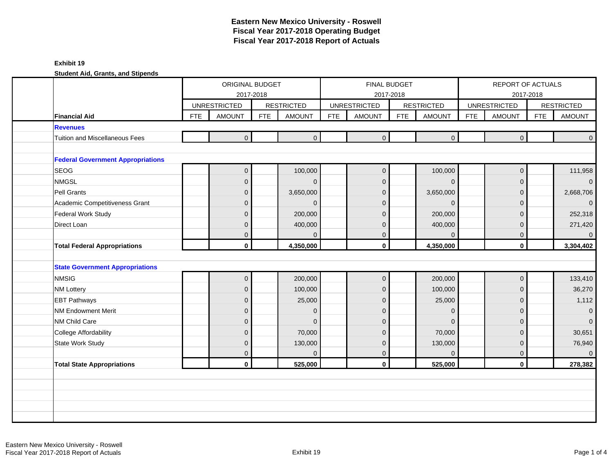|                                          |            | ORIGINAL BUDGET<br>2017-2018 |            |                   |            | <b>FINAL BUDGET</b><br>2017-2018 |            |                   |            | REPORT OF ACTUALS<br>2017-2018 |            |                   |
|------------------------------------------|------------|------------------------------|------------|-------------------|------------|----------------------------------|------------|-------------------|------------|--------------------------------|------------|-------------------|
|                                          |            | <b>UNRESTRICTED</b>          |            | <b>RESTRICTED</b> |            | <b>UNRESTRICTED</b>              |            | <b>RESTRICTED</b> |            | <b>UNRESTRICTED</b>            |            | <b>RESTRICTED</b> |
| <b>Financial Aid</b>                     | <b>FTE</b> | <b>AMOUNT</b>                | <b>FTE</b> | <b>AMOUNT</b>     | <b>FTE</b> | <b>AMOUNT</b>                    | <b>FTE</b> | <b>AMOUNT</b>     | <b>FTE</b> | <b>AMOUNT</b>                  | <b>FTE</b> | <b>AMOUNT</b>     |
| <b>Revenues</b>                          |            |                              |            |                   |            |                                  |            |                   |            |                                |            |                   |
| Tuition and Miscellaneous Fees           |            | $\overline{0}$               |            | $\mathbf 0$       |            | $\overline{0}$                   |            | $\overline{0}$    |            | $\overline{0}$                 |            | $\mathbf{0}$      |
|                                          |            |                              |            |                   |            |                                  |            |                   |            |                                |            |                   |
| <b>Federal Government Appropriations</b> |            |                              |            |                   |            |                                  |            |                   |            |                                |            |                   |
| <b>SEOG</b>                              |            | $\overline{0}$               |            | 100,000           |            | $\mathbf 0$                      |            | 100,000           |            | $\mathbf 0$                    |            | 111,958           |
| <b>NMGSL</b>                             |            | $\mathbf{0}$                 |            | $\mathbf{0}$      |            | $\overline{0}$                   |            | $\Omega$          |            | $\mathbf 0$                    |            | $\mathbf 0$       |
| Pell Grants                              |            | $\Omega$                     |            | 3,650,000         |            | $\Omega$                         |            | 3,650,000         |            | $\mathbf 0$                    |            | 2,668,706         |
| Academic Competitiveness Grant           |            | $\overline{0}$               |            | $\Omega$          |            | $\overline{0}$                   |            | $\Omega$          |            | $\overline{0}$                 |            | $\Omega$          |
| Federal Work Study                       |            | $\overline{0}$               |            | 200,000           |            | $\Omega$                         |            | 200,000           |            | $\overline{0}$                 |            | 252,318           |
| Direct Loan                              |            | $\mathbf{0}$                 |            | 400,000           |            | 0                                |            | 400,000           |            | $\mathbf 0$                    |            | 271,420           |
|                                          |            | $\mathbf{0}$                 |            | $\Omega$          |            | $\overline{0}$                   |            | $\Omega$          |            | $\overline{0}$                 |            | $\mathbf{0}$      |
| <b>Total Federal Appropriations</b>      |            | $\mathbf{0}$                 |            | 4,350,000         |            | $\mathbf 0$                      |            | 4,350,000         |            | $\mathbf{0}$                   |            | 3,304,402         |
|                                          |            |                              |            |                   |            |                                  |            |                   |            |                                |            |                   |
| <b>State Government Appropriations</b>   |            |                              |            |                   |            |                                  |            |                   |            |                                |            |                   |
| <b>NMSIG</b>                             |            | $\overline{0}$               |            | 200,000           |            | $\mathbf 0$                      |            | 200,000           |            | $\mathbf 0$                    |            | 133,410           |
| <b>NM Lottery</b>                        |            | $\overline{0}$               |            | 100,000           |            | $\overline{0}$                   |            | 100,000           |            | $\mathbf 0$                    |            | 36,270            |
| <b>EBT Pathways</b>                      |            | $\mathbf{0}$                 |            | 25,000            |            | $\overline{0}$                   |            | 25,000            |            | $\overline{0}$                 |            | 1,112             |
| NM Endowment Merit                       |            | $\overline{0}$               |            | $\Omega$          |            | $\Omega$                         |            | $\Omega$          |            | $\Omega$                       |            | $\mathbf{0}$      |
| NM Child Care                            |            | $\Omega$                     |            | $\Omega$          |            | $\Omega$                         |            | $\Omega$          |            | $\overline{0}$                 |            | $\Omega$          |
| <b>College Affordability</b>             |            | $\mathbf{0}$                 |            | 70,000            |            | $\overline{0}$                   |            | 70,000            |            | $\overline{0}$                 |            | 30,651            |
| <b>State Work Study</b>                  |            | $\mathbf{0}$                 |            | 130,000           |            | $\overline{0}$                   |            | 130,000           |            | $\mathbf{0}$                   |            | 76,940            |
|                                          |            | $\overline{0}$               |            | $\mathbf{0}$      |            | 0                                |            | $\mathbf{0}$      |            | $\mathbf 0$                    |            | $\mathbf{0}$      |
| <b>Total State Appropriations</b>        |            | $\mathbf{0}$                 |            | 525,000           |            | $\mathbf 0$                      |            | 525,000           |            | $\mathbf{0}$                   |            | 278,382           |
|                                          |            |                              |            |                   |            |                                  |            |                   |            |                                |            |                   |
|                                          |            |                              |            |                   |            |                                  |            |                   |            |                                |            |                   |
|                                          |            |                              |            |                   |            |                                  |            |                   |            |                                |            |                   |
|                                          |            |                              |            |                   |            |                                  |            |                   |            |                                |            |                   |
|                                          |            |                              |            |                   |            |                                  |            |                   |            |                                |            |                   |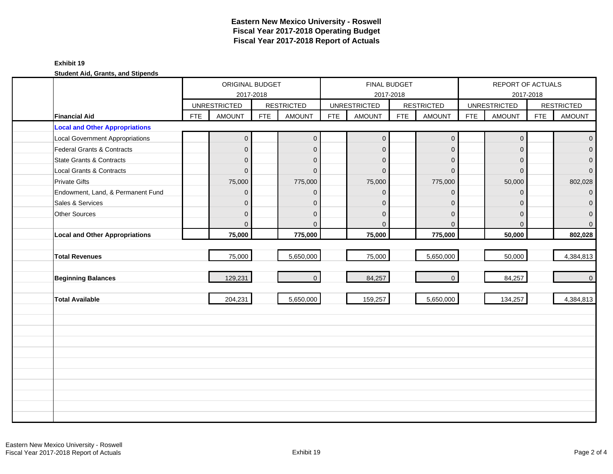|                                        |            | ORIGINAL BUDGET<br>2017-2018 |            |                   |            | FINAL BUDGET<br>2017-2018 |            |                     |            | REPORT OF ACTUALS   | 2017-2018  |                   |
|----------------------------------------|------------|------------------------------|------------|-------------------|------------|---------------------------|------------|---------------------|------------|---------------------|------------|-------------------|
|                                        |            | <b>UNRESTRICTED</b>          |            | <b>RESTRICTED</b> |            | <b>UNRESTRICTED</b>       |            | <b>RESTRICTED</b>   |            | <b>UNRESTRICTED</b> |            | <b>RESTRICTED</b> |
| <b>Financial Aid</b>                   | <b>FTE</b> | <b>AMOUNT</b>                | <b>FTE</b> | <b>AMOUNT</b>     | <b>FTE</b> | <b>AMOUNT</b>             | <b>FTE</b> | <b>AMOUNT</b>       | <b>FTE</b> | <b>AMOUNT</b>       | <b>FTE</b> | <b>AMOUNT</b>     |
| <b>Local and Other Appropriations</b>  |            |                              |            |                   |            |                           |            |                     |            |                     |            |                   |
| <b>Local Government Appropriations</b> |            | $\boldsymbol{0}$             |            | $\mathbf{0}$      |            | $\mathbf 0$               |            | $\mathsf{O}\xspace$ |            | $\mathbf 0$         |            | $\overline{0}$    |
| Federal Grants & Contracts             |            | $\overline{0}$               |            | $\mathbf{0}$      |            | $\Omega$                  |            | $\mathbf{0}$        |            | $\Omega$            |            | $\overline{0}$    |
| State Grants & Contracts               |            | $\overline{0}$               |            | $\mathbf{0}$      |            | $\Omega$                  |            | $\mathbf{0}$        |            | $\Omega$            |            | $\overline{0}$    |
| Local Grants & Contracts               |            | 0                            |            | $\mathbf{0}$      |            | $\Omega$                  |            | $\mathbf{0}$        |            | $\Omega$            |            | $\overline{0}$    |
| <b>Private Gifts</b>                   |            | 75,000                       |            | 775,000           |            | 75,000                    |            | 775,000             |            | 50,000              |            | 802,028           |
| Endowment, Land, & Permanent Fund      |            | 0                            |            | $\Omega$          |            | $\Omega$                  |            | $\mathbf{0}$        |            | $\Omega$            |            | $\overline{0}$    |
| Sales & Services                       |            | 0                            |            | $\mathbf{0}$      |            | $\Omega$                  |            | $\mathbf{0}$        |            | $\Omega$            |            | $\mathbf{O}$      |
| Other Sources                          |            | $\overline{0}$               |            | $\mathbf{0}$      |            | $\Omega$                  |            | $\mathbf{0}$        |            | $\Omega$            |            | $\overline{0}$    |
|                                        |            | $\overline{0}$               |            | $\overline{0}$    |            | $\Omega$                  |            | $\Omega$            |            | $\Omega$            |            | $\overline{0}$    |
| <b>Local and Other Appropriations</b>  |            | 75,000                       |            | 775,000           |            | 75,000                    |            | 775,000             |            | 50,000              |            | 802,028           |
|                                        |            |                              |            |                   |            |                           |            |                     |            |                     |            |                   |
| <b>Total Revenues</b>                  |            | 75,000                       |            | 5,650,000         |            | 75,000                    |            | 5,650,000           |            | 50,000              |            | 4,384,813         |
|                                        |            |                              |            |                   |            |                           |            |                     |            |                     |            |                   |
| <b>Beginning Balances</b>              |            | 129,231                      |            | $\overline{0}$    |            | 84,257                    |            | $\mathbf{0}$        |            | 84,257              |            | $\overline{0}$    |
|                                        |            |                              |            |                   |            |                           |            |                     |            |                     |            |                   |
| <b>Total Available</b>                 |            | 204,231                      |            | 5,650,000         |            | 159,257                   |            | 5,650,000           |            | 134,257             |            | 4,384,813         |
|                                        |            |                              |            |                   |            |                           |            |                     |            |                     |            |                   |
|                                        |            |                              |            |                   |            |                           |            |                     |            |                     |            |                   |
|                                        |            |                              |            |                   |            |                           |            |                     |            |                     |            |                   |
|                                        |            |                              |            |                   |            |                           |            |                     |            |                     |            |                   |
|                                        |            |                              |            |                   |            |                           |            |                     |            |                     |            |                   |
|                                        |            |                              |            |                   |            |                           |            |                     |            |                     |            |                   |
|                                        |            |                              |            |                   |            |                           |            |                     |            |                     |            |                   |
|                                        |            |                              |            |                   |            |                           |            |                     |            |                     |            |                   |
|                                        |            |                              |            |                   |            |                           |            |                     |            |                     |            |                   |
|                                        |            |                              |            |                   |            |                           |            |                     |            |                     |            |                   |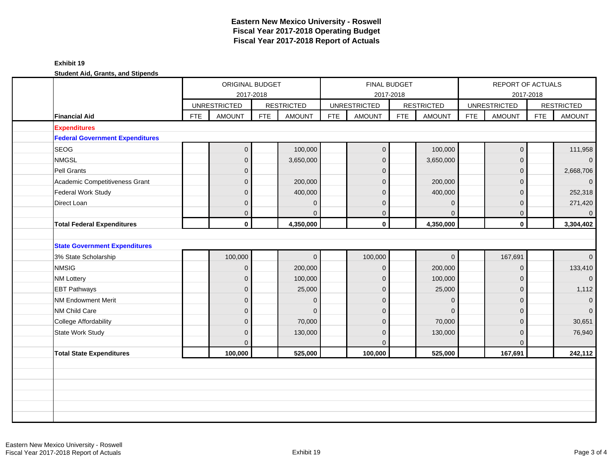| ORIGINAL BUDGET<br>2017-2018                                      | FINAL BUDGET<br>REPORT OF ACTUALS<br>2017-2018<br>2017-2018                                                                               |
|-------------------------------------------------------------------|-------------------------------------------------------------------------------------------------------------------------------------------|
| <b>UNRESTRICTED</b><br><b>RESTRICTED</b>                          | <b>RESTRICTED</b><br><b>UNRESTRICTED</b><br><b>RESTRICTED</b><br><b>UNRESTRICTED</b>                                                      |
| <b>FTE</b><br><b>FTE</b><br><b>AMOUNT</b><br><b>Financial Aid</b> | <b>FTE</b><br><b>FTE</b><br><b>FTE</b><br><b>FTE</b><br><b>AMOUNT</b><br><b>AMOUNT</b><br><b>AMOUNT</b><br><b>AMOUNT</b><br><b>AMOUNT</b> |
| <b>Expenditures</b>                                               |                                                                                                                                           |
| <b>Federal Government Expenditures</b>                            |                                                                                                                                           |
| <b>SEOG</b><br>$\mathbf 0$                                        | 100,000<br>100,000<br>$\mathbf{0}$<br>$\mathbf 0$<br>111,958                                                                              |
| <b>NMGSL</b><br>$\overline{0}$                                    | 3,650,000<br>$\mathbf{0}$<br>3,650,000<br>$\mathbf 0$<br>$\overline{0}$                                                                   |
| Pell Grants<br>$\mathbf 0$                                        | 2,668,706<br>$\mathbf 0$<br>$\mathbf{0}$                                                                                                  |
| Academic Competitiveness Grant<br>$\overline{0}$                  | 200,000<br>$\mathbf{0}$<br>200,000<br>$\mathbf{0}$<br>$\overline{0}$                                                                      |
| Federal Work Study<br>$\overline{0}$                              | 252,318<br>400,000<br>400,000<br>$\Omega$<br>$\mathbf{0}$                                                                                 |
| Direct Loan<br>$\mathbf 0$                                        | 271,420<br>$\mathbf{0}$<br>$\mathbf{0}$<br>$\mathbf 0$<br>$\mathbf{0}$                                                                    |
| $\overline{0}$                                                    | $\mathbf 0$<br>$\mathbf{0}$<br>$\mathbf{0}$<br>$\mathbf 0$<br>$\mathbf{0}$                                                                |
| $\mathbf 0$<br><b>Total Federal Expenditures</b>                  | $\mathbf{0}$<br>4,350,000<br>$\mathbf{0}$<br>4,350,000<br>3,304,402                                                                       |
| <b>State Government Expenditures</b>                              |                                                                                                                                           |
| 100,000<br>3% State Scholarship                                   | 100,000<br>167,691<br>$\mathbf{0}$<br>$\mathbf 0$<br>$\overline{0}$                                                                       |
| <b>NMSIG</b><br>$\overline{0}$                                    | 200,000<br>133,410<br>200,000<br>$\mathbf 0$<br>$\mathbf 0$                                                                               |
| $\mathbf 0$<br><b>NM Lottery</b>                                  | $\overline{0}$<br>100,000<br>$\mathbf{0}$<br>100,000<br>$\mathbf{0}$                                                                      |
| $\overline{0}$<br><b>EBT Pathways</b>                             | 1,112<br>25,000<br>25,000<br>$\mathbf{0}$<br>$\mathbf{0}$                                                                                 |
| <b>NM Endowment Merit</b><br>$\mathbf 0$                          | $\mathbf{0}$<br>$\Omega$<br>$\overline{0}$<br>$\Omega$<br>$\mathbf{0}$                                                                    |
| NM Child Care<br>$\overline{0}$                                   | $\overline{0}$<br>$\overline{0}$<br>$\mathbf{0}$<br>$\mathbf{0}$<br>$\mathbf{0}$                                                          |
| <b>College Affordability</b><br>$\overline{0}$                    | 70,000<br>70,000<br>30,651<br>$\Omega$<br>$\Omega$                                                                                        |
| <b>State Work Study</b><br>$\overline{0}$                         | 130,000<br>$\mathbf{0}$<br>130,000<br>$\overline{0}$<br>76,940                                                                            |
| $\Omega$                                                          | $\Omega$<br>$\mathbf 0$                                                                                                                   |
| 100,000<br><b>Total State Expenditures</b>                        | 167,691<br>525,000<br>100,000<br>525,000<br>242,112                                                                                       |
|                                                                   |                                                                                                                                           |
|                                                                   |                                                                                                                                           |
|                                                                   |                                                                                                                                           |
|                                                                   |                                                                                                                                           |
|                                                                   |                                                                                                                                           |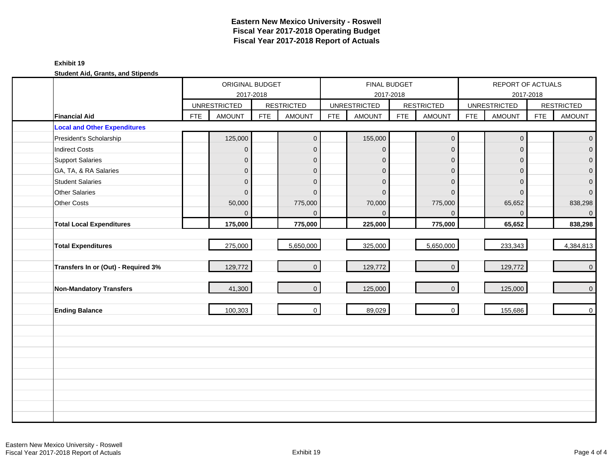### **Exhibit 19**

|                                     |            | ORIGINAL BUDGET     | 2017-2018  |                   |            |                     | <b>FINAL BUDGET</b><br>2017-2018 |                   |            | REPORT OF ACTUALS<br>2017-2018 |            |                   |
|-------------------------------------|------------|---------------------|------------|-------------------|------------|---------------------|----------------------------------|-------------------|------------|--------------------------------|------------|-------------------|
|                                     |            | <b>UNRESTRICTED</b> |            | <b>RESTRICTED</b> |            | <b>UNRESTRICTED</b> |                                  | <b>RESTRICTED</b> |            | <b>UNRESTRICTED</b>            |            | <b>RESTRICTED</b> |
| <b>Financial Aid</b>                | <b>FTE</b> | <b>AMOUNT</b>       | <b>FTE</b> | <b>AMOUNT</b>     | <b>FTE</b> | <b>AMOUNT</b>       | <b>FTE</b>                       | <b>AMOUNT</b>     | <b>FTE</b> | <b>AMOUNT</b>                  | <b>FTE</b> | <b>AMOUNT</b>     |
| <b>Local and Other Expenditures</b> |            |                     |            |                   |            |                     |                                  |                   |            |                                |            |                   |
| President's Scholarship             |            | 125,000             |            | $\overline{0}$    |            | 155,000             |                                  | $\mathbf 0$       |            | $\mathbf 0$                    |            | $\overline{0}$    |
| <b>Indirect Costs</b>               |            | $\overline{0}$      |            | $\mathbf{0}$      |            | $\mathbf 0$         |                                  | $\mathbf 0$       |            | $\mathbf{0}$                   |            | $\overline{0}$    |
| <b>Support Salaries</b>             |            | 0                   |            | $\mathbf{0}$      |            | $\mathbf 0$         |                                  | $\mathbf{0}$      |            | $\mathbf{0}$                   |            | $\overline{0}$    |
| GA, TA, & RA Salaries               |            | $\mathbf 0$         |            | $\mathbf{0}$      |            | $\mathbf 0$         |                                  | $\mathbf{0}$      |            | $\mathbf{0}$                   |            | $\pmb{0}$         |
| <b>Student Salaries</b>             |            | $\mathbf 0$         |            | $\mathbf{0}$      |            | $\mathbf 0$         |                                  | $\mathbf 0$       |            | $\Omega$                       |            | $\pmb{0}$         |
| <b>Other Salaries</b>               |            | $\overline{0}$      |            | $\Omega$          |            | $\Omega$            |                                  | $\Omega$          |            | $\Omega$                       |            | $\overline{0}$    |
| <b>Other Costs</b>                  |            | 50,000              |            | 775,000           |            | 70,000              |                                  | 775,000           |            | 65,652                         |            | 838,298           |
|                                     |            | $\Omega$            |            | $\Omega$          |            | $\Omega$            |                                  | $\Omega$          |            | $\Omega$                       |            | $\overline{0}$    |
| <b>Total Local Expenditures</b>     |            | 175,000             |            | 775,000           |            | 225,000             |                                  | 775,000           |            | 65,652                         |            | 838,298           |
|                                     |            |                     |            |                   |            |                     |                                  |                   |            |                                |            |                   |
| <b>Total Expenditures</b>           |            | 275,000             |            | 5,650,000         |            | 325,000             |                                  | 5,650,000         |            | 233,343                        |            | 4,384,813         |
|                                     |            |                     |            |                   |            |                     |                                  |                   |            |                                |            |                   |
| Transfers In or (Out) - Required 3% |            | 129,772             |            | $\overline{0}$    |            | 129,772             |                                  | $\mathbf{O}$      |            | 129,772                        |            | $\overline{0}$    |
|                                     |            |                     |            |                   |            |                     |                                  |                   |            |                                |            |                   |
| Non-Mandatory Transfers             |            | 41,300              |            | $\overline{0}$    |            | 125,000             |                                  | $\mathbf 0$       |            | 125,000                        |            | $\overline{0}$    |
|                                     |            |                     |            | $\overline{0}$    |            |                     |                                  | $\mathbf 0$       |            |                                |            | $\overline{0}$    |
| <b>Ending Balance</b>               |            | 100,303             |            |                   |            | 89,029              |                                  |                   |            | 155,686                        |            |                   |
|                                     |            |                     |            |                   |            |                     |                                  |                   |            |                                |            |                   |
|                                     |            |                     |            |                   |            |                     |                                  |                   |            |                                |            |                   |
|                                     |            |                     |            |                   |            |                     |                                  |                   |            |                                |            |                   |
|                                     |            |                     |            |                   |            |                     |                                  |                   |            |                                |            |                   |
|                                     |            |                     |            |                   |            |                     |                                  |                   |            |                                |            |                   |
|                                     |            |                     |            |                   |            |                     |                                  |                   |            |                                |            |                   |
|                                     |            |                     |            |                   |            |                     |                                  |                   |            |                                |            |                   |
|                                     |            |                     |            |                   |            |                     |                                  |                   |            |                                |            |                   |
|                                     |            |                     |            |                   |            |                     |                                  |                   |            |                                |            |                   |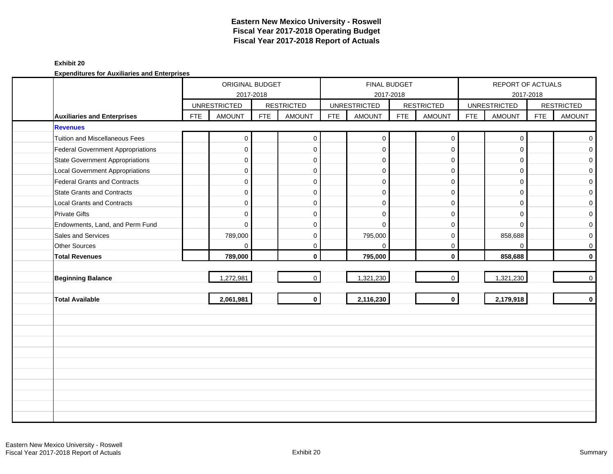### **Exhibit 20**

|                                          | ORIGINAL BUDGET<br>2017-2018 |                     |            |                   |            | <b>FINAL BUDGET</b> | 2017-2018  |                     |            | REPORT OF ACTUALS   | 2017-2018  |                   |
|------------------------------------------|------------------------------|---------------------|------------|-------------------|------------|---------------------|------------|---------------------|------------|---------------------|------------|-------------------|
|                                          |                              | <b>UNRESTRICTED</b> |            | <b>RESTRICTED</b> |            | <b>UNRESTRICTED</b> |            | <b>RESTRICTED</b>   |            | <b>UNRESTRICTED</b> |            | <b>RESTRICTED</b> |
| <b>Auxiliaries and Enterprises</b>       | <b>FTE</b>                   | <b>AMOUNT</b>       | <b>FTE</b> | <b>AMOUNT</b>     | <b>FTE</b> | <b>AMOUNT</b>       | <b>FTE</b> | <b>AMOUNT</b>       | <b>FTE</b> | <b>AMOUNT</b>       | <b>FTE</b> | <b>AMOUNT</b>     |
| <b>Revenues</b>                          |                              |                     |            |                   |            |                     |            |                     |            |                     |            |                   |
| <b>Tuition and Miscellaneous Fees</b>    |                              | $\mathbf{0}$        |            | $\mathbf 0$       |            | $\mathbf 0$         |            | $\boldsymbol{0}$    |            | $\mathbf 0$         |            | $\overline{0}$    |
| <b>Federal Government Appropriations</b> |                              | $\mathbf 0$         |            | $\mathbf{0}$      |            | $\mathbf 0$         |            | $\mathbf 0$         |            | $\Omega$            |            | $\overline{0}$    |
| <b>State Government Appropriations</b>   |                              | $\mathbf{0}$        |            | $\mathbf 0$       |            | $\mathbf 0$         |            | $\mathbf 0$         |            | $\Omega$            |            | $\overline{0}$    |
| <b>Local Government Appropriations</b>   |                              | $\mathbf 0$         |            | 0                 |            | $\mathbf 0$         |            | $\mathsf{O}\xspace$ |            | $\mathbf 0$         |            | $\mathbf{O}$      |
| Federal Grants and Contracts             |                              | $\mathbf 0$         |            | 0                 |            | $\mathbf 0$         |            | $\mathbf 0$         |            | $\Omega$            |            | $\mathbf{O}$      |
| <b>State Grants and Contracts</b>        |                              | $\mathbf 0$         |            | $\mathbf 0$       |            | $\Omega$            |            | $\mathbf 0$         |            | $\Omega$            |            | $\mathbf{O}$      |
| <b>Local Grants and Contracts</b>        |                              | 0                   |            | $\mathbf{0}$      |            | $\Omega$            |            | $\mathbf 0$         |            | $\Omega$            |            | $\mathbf{O}$      |
| <b>Private Gifts</b>                     |                              | $\mathbf 0$         |            | $\mathbf 0$       |            | $\Omega$            |            | $\mathbf 0$         |            | $\Omega$            |            | $\mathbf{O}$      |
| Endowments, Land, and Perm Fund          |                              | $\Omega$            |            | $\mathbf 0$       |            | $\Omega$            |            | $\mathbf 0$         |            | $\Omega$            |            | $\mathbf{O}$      |
| Sales and Services                       |                              | 789,000             |            | 0                 |            | 795,000             |            | $\mathbf 0$         |            | 858,688             |            | $\mathbf{O}$      |
| Other Sources                            |                              | 0                   |            | $\mathbf{0}$      |            | $\mathbf 0$         |            | $\mathbf 0$         |            | $\Omega$            |            | $\mathbf 0$       |
| <b>Total Revenues</b>                    |                              | 789,000             |            | $\mathbf{0}$      |            | 795,000             |            | $\mathbf 0$         |            | 858,688             |            | $\mathbf{0}$      |
|                                          |                              |                     |            |                   |            |                     |            |                     |            |                     |            |                   |
| <b>Beginning Balance</b>                 |                              | 1,272,981           |            | $\overline{0}$    |            | 1,321,230           |            | $\mathbf 0$         |            | 1,321,230           |            | $\overline{0}$    |
|                                          |                              |                     |            |                   |            |                     |            |                     |            |                     |            |                   |
| <b>Total Available</b>                   |                              | 2,061,981           |            | $\mathbf{0}$      |            | 2,116,230           |            | $\mathbf{0}$        |            | 2,179,918           |            | $\mathbf{0}$      |
|                                          |                              |                     |            |                   |            |                     |            |                     |            |                     |            |                   |
|                                          |                              |                     |            |                   |            |                     |            |                     |            |                     |            |                   |
|                                          |                              |                     |            |                   |            |                     |            |                     |            |                     |            |                   |
|                                          |                              |                     |            |                   |            |                     |            |                     |            |                     |            |                   |
|                                          |                              |                     |            |                   |            |                     |            |                     |            |                     |            |                   |
|                                          |                              |                     |            |                   |            |                     |            |                     |            |                     |            |                   |
|                                          |                              |                     |            |                   |            |                     |            |                     |            |                     |            |                   |
|                                          |                              |                     |            |                   |            |                     |            |                     |            |                     |            |                   |
|                                          |                              |                     |            |                   |            |                     |            |                     |            |                     |            |                   |
|                                          |                              |                     |            |                   |            |                     |            |                     |            |                     |            |                   |
|                                          |                              |                     |            |                   |            |                     |            |                     |            |                     |            |                   |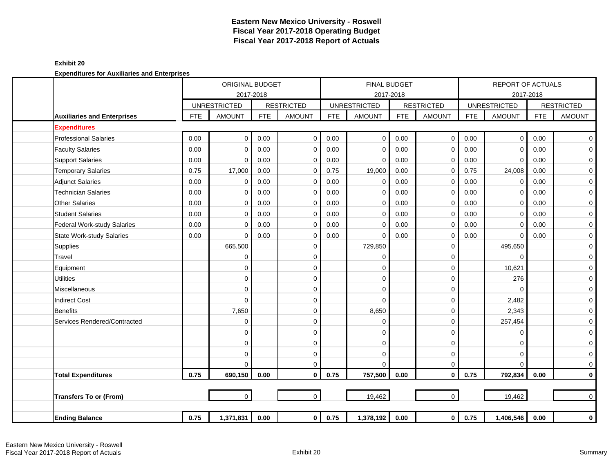#### **Exhibit 20**

|                                    |            | <b>ORIGINAL BUDGET</b>               |            |                                    |            | FINAL BUDGET                         |            |                                    |            | <b>REPORT OF ACTUALS</b>             |            |                                    |
|------------------------------------|------------|--------------------------------------|------------|------------------------------------|------------|--------------------------------------|------------|------------------------------------|------------|--------------------------------------|------------|------------------------------------|
|                                    |            | 2017-2018                            |            |                                    |            |                                      | 2017-2018  |                                    |            |                                      | 2017-2018  |                                    |
| <b>Auxiliaries and Enterprises</b> | <b>FTE</b> | <b>UNRESTRICTED</b><br><b>AMOUNT</b> | <b>FTE</b> | <b>RESTRICTED</b><br><b>AMOUNT</b> | <b>FTE</b> | <b>UNRESTRICTED</b><br><b>AMOUNT</b> | <b>FTE</b> | <b>RESTRICTED</b><br><b>AMOUNT</b> | <b>FTE</b> | <b>UNRESTRICTED</b><br><b>AMOUNT</b> | <b>FTE</b> | <b>RESTRICTED</b><br><b>AMOUNT</b> |
| <b>Expenditures</b>                |            |                                      |            |                                    |            |                                      |            |                                    |            |                                      |            |                                    |
| <b>Professional Salaries</b>       | 0.00       | $\mathbf 0$                          | 0.00       | $\mathbf 0$                        | 0.00       | 0                                    | 0.00       | $\mathbf 0$                        | 0.00       | 0                                    | 0.00       | $\overline{0}$                     |
| <b>Faculty Salaries</b>            | 0.00       | $\mathbf 0$                          | 0.00       | $\mathbf 0$                        | 0.00       | $\mathbf 0$                          | 0.00       | $\mathbf 0$                        | 0.00       | $\mathbf 0$                          | 0.00       | $\mathbf 0$                        |
| <b>Support Salaries</b>            | 0.00       | $\Omega$                             | 0.00       | 0                                  | 0.00       | $\Omega$                             | 0.00       | 0                                  | 0.00       | $\mathbf 0$                          | 0.00       | $\mathbf 0$                        |
| <b>Temporary Salaries</b>          | 0.75       | 17,000                               | 0.00       | $\mathbf 0$                        | 0.75       | 19,000                               | 0.00       | 0                                  | 0.75       | 24,008                               | 0.00       | 0                                  |
| <b>Adjunct Salaries</b>            | 0.00       | $\mathbf 0$                          | 0.00       | $\mathbf 0$                        | 0.00       | $\mathbf 0$                          | 0.00       | $\mathbf 0$                        | 0.00       | 0                                    | 0.00       | $\mathbf 0$                        |
| <b>Technician Salaries</b>         | 0.00       | 0                                    | 0.00       | $\mathbf 0$                        | 0.00       | 0                                    | 0.00       | $\mathbf 0$                        | 0.00       | $\mathbf 0$                          | 0.00       | $\mathbf 0$                        |
| <b>Other Salaries</b>              | 0.00       | 0                                    | 0.00       | $\mathbf 0$                        | 0.00       | 0                                    | 0.00       | 0                                  | 0.00       | 0                                    | 0.00       | 0                                  |
| <b>Student Salaries</b>            | 0.00       | $\Omega$                             | 0.00       | $\mathbf 0$                        | 0.00       | $\mathbf 0$                          | 0.00       | $\mathbf 0$                        | 0.00       | $\mathbf 0$                          | 0.00       | $\mathbf 0$                        |
| <b>Federal Work-study Salaries</b> | 0.00       | $\Omega$                             | 0.00       | $\mathbf 0$                        | 0.00       | $\mathbf 0$                          | 0.00       | $\mathbf 0$                        | 0.00       | $\mathbf 0$                          | 0.00       | $\mathbf 0$                        |
| <b>State Work-study Salaries</b>   | 0.00       | $\Omega$                             | 0.00       | 0                                  | 0.00       | 0                                    | 0.00       | 0                                  | 0.00       | 0                                    | 0.00       | $\pmb{0}$                          |
| Supplies                           |            | 665,500                              |            | $\mathbf 0$                        |            | 729,850                              |            | $\mathbf 0$                        |            | 495,650                              |            | $\mathbf 0$                        |
| Travel                             |            | 0                                    |            | 0                                  |            | $\Omega$                             |            | $\mathbf 0$                        |            | $\mathbf 0$                          |            | 0                                  |
| Equipment                          |            | 0                                    |            | 0                                  |            | 0                                    |            | $\mathbf 0$                        |            | 10,621                               |            | 0                                  |
| <b>Utilities</b>                   |            | 0                                    |            | 0                                  |            | $\Omega$                             |            | $\mathbf 0$                        |            | 276                                  |            | 0                                  |
| Miscellaneous                      |            | 0                                    |            | $\mathbf 0$                        |            | $\Omega$                             |            | $\mathbf 0$                        |            | $\mathbf 0$                          |            | 0                                  |
| <b>Indirect Cost</b>               |            | $\mathbf 0$                          |            | $\mathbf 0$                        |            | $\Omega$                             |            | $\mathbf 0$                        |            | 2,482                                |            | 0                                  |
| <b>Benefits</b>                    |            | 7,650                                |            | $\mathbf 0$                        |            | 8,650                                |            | $\mathbf 0$                        |            | 2,343                                |            | 0                                  |
| Services Rendered/Contracted       |            | 0                                    |            | 0                                  |            | $\Omega$                             |            | 0                                  |            | 257,454                              |            | 0                                  |
|                                    |            | $\mathbf 0$                          |            | $\mathbf 0$                        |            | $\Omega$                             |            | $\mathbf 0$                        |            | 0                                    |            | $\mathbf 0$                        |
|                                    |            | $\mathbf 0$                          |            | 0                                  |            | $\Omega$                             |            | $\mathbf 0$                        |            | 0                                    |            | $\mathbf 0$                        |
|                                    |            | 0                                    |            | 0                                  |            | $\Omega$                             |            | 0                                  |            | 0                                    |            | $\mathbf 0$                        |
|                                    |            | $\Omega$                             |            | $\mathbf 0$                        |            | $\Omega$                             |            | $\mathbf 0$                        |            | $\Omega$                             |            | $\overline{0}$                     |
| <b>Total Expenditures</b>          | 0.75       | 690,150                              | 0.00       | $\mathbf 0$                        | 0.75       | 757,500                              | 0.00       | $\mathbf 0$                        | 0.75       | 792,834                              | 0.00       | $\mathbf 0$                        |
|                                    |            |                                      |            |                                    |            |                                      |            |                                    |            |                                      |            |                                    |
| <b>Transfers To or (From)</b>      |            | $\Omega$                             |            | $\Omega$                           |            | 19,462                               |            | $\Omega$                           |            | 19,462                               |            | $\overline{0}$                     |
| <b>Ending Balance</b>              | 0.75       | 1,371,831                            | 0.00       | 0                                  | 0.75       | 1,378,192                            | 0.00       | $\mathbf 0$                        | 0.75       | 1,406,546                            | 0.00       | $\mathbf 0$                        |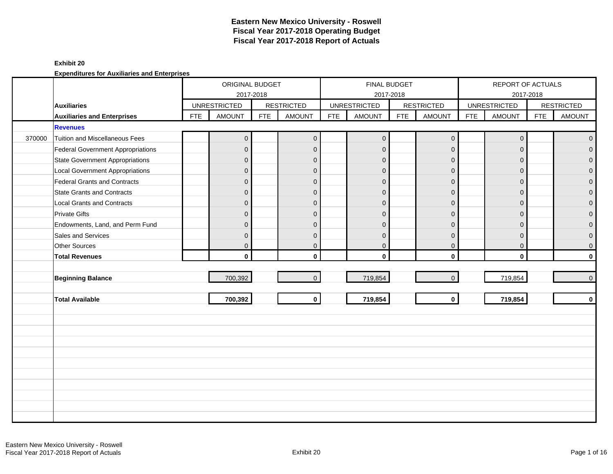### **Exhibit 20**

|        |                                          |            | ORIGINAL BUDGET<br>2017-2018 |            |                         |            | FINAL BUDGET<br>2017-2018 |            |                   |            | REPORT OF ACTUALS<br>2017-2018 |            |                   |
|--------|------------------------------------------|------------|------------------------------|------------|-------------------------|------------|---------------------------|------------|-------------------|------------|--------------------------------|------------|-------------------|
|        | <b>Auxiliaries</b>                       |            | <b>UNRESTRICTED</b>          |            | <b>RESTRICTED</b>       |            | <b>UNRESTRICTED</b>       |            | <b>RESTRICTED</b> |            | <b>UNRESTRICTED</b>            |            | <b>RESTRICTED</b> |
|        | <b>Auxiliaries and Enterprises</b>       | <b>FTE</b> | <b>AMOUNT</b>                | <b>FTE</b> | <b>AMOUNT</b>           | <b>FTE</b> | <b>AMOUNT</b>             | <b>FTE</b> | <b>AMOUNT</b>     | <b>FTE</b> | <b>AMOUNT</b>                  | <b>FTE</b> | <b>AMOUNT</b>     |
|        | <b>Revenues</b>                          |            |                              |            |                         |            |                           |            |                   |            |                                |            |                   |
| 370000 | <b>Tuition and Miscellaneous Fees</b>    |            | $\overline{0}$               |            | $\mathbf 0$             |            | $\pmb{0}$                 |            | $\mathbf 0$       |            | $\mathbf 0$                    |            | $\overline{0}$    |
|        | <b>Federal Government Appropriations</b> |            | $\overline{0}$               |            | $\mathbf 0$             |            | $\mathbf{0}$              |            | $\mathbf 0$       |            | $\Omega$                       |            | $\overline{0}$    |
|        | <b>State Government Appropriations</b>   |            | $\mathbf{0}$                 |            | $\mathbf 0$             |            | $\Omega$                  |            | $\mathbf 0$       |            | $\Omega$                       |            | $\overline{0}$    |
|        | <b>Local Government Appropriations</b>   |            | $\mathbf{0}$                 |            | $\mathbf 0$             |            | $\mathbf{0}$              |            | $\mathbf 0$       |            | $\mathbf{0}$                   |            | $\mathbf 0$       |
|        | Federal Grants and Contracts             |            | $\Omega$                     |            | $\mathbf 0$             |            | $\Omega$                  |            | $\mathbf{0}$      |            | $\Omega$                       |            | $\mathbf 0$       |
|        | <b>State Grants and Contracts</b>        |            | $\Omega$                     |            | $\mathbf 0$             |            | $\Omega$                  |            | $\mathbf{0}$      |            | $\Omega$                       |            | $\mathbf{0}$      |
|        | Local Grants and Contracts               |            | $\Omega$                     |            | $\mathbf 0$             |            | $\mathbf{0}$              |            | $\mathbf 0$       |            | $\mathbf{0}$                   |            | $\mathbf 0$       |
|        | <b>Private Gifts</b>                     |            | $\mathbf{0}$                 |            | $\mathbf 0$             |            | $\mathbf{0}$              |            | $\mathbf 0$       |            | $\Omega$                       |            | $\mathsf{O}^-$    |
|        | Endowments, Land, and Perm Fund          |            | $\Omega$                     |            | $\mathbf 0$             |            | $\Omega$                  |            | $\Omega$          |            | $\Omega$                       |            | $\overline{0}$    |
|        | Sales and Services                       |            | $\Omega$                     |            | $\overline{0}$          |            | $\mathbf 0$               |            | $\mathbf{0}$      |            | $\overline{0}$                 |            | $\pmb{0}$         |
|        | Other Sources                            |            | $\overline{0}$               |            | $\mathbf 0$             |            | $\overline{0}$            |            | $\mathbf 0$       |            | $\mathbf{0}$                   |            | $\mathsf{O}^-$    |
|        | <b>Total Revenues</b>                    |            | $\mathbf{0}$                 |            | $\mathbf{0}$            |            | $\mathbf{0}$              |            | $\mathbf 0$       |            | $\mathbf{0}$                   |            | $\mathbf{0}$      |
|        |                                          |            |                              |            |                         |            |                           |            |                   |            |                                |            |                   |
|        | <b>Beginning Balance</b>                 |            | 700,392                      |            | $\mathbf{0}$            |            | 719,854                   |            | $\overline{0}$    |            | 719,854                        |            | $\overline{0}$    |
|        |                                          |            |                              |            |                         |            |                           |            |                   |            |                                |            |                   |
|        | <b>Total Available</b>                   |            | 700,392                      |            | $\overline{\mathbf{o}}$ |            | 719,854                   |            | $\mathbf 0$       |            | 719,854                        |            | $\mathbf{0}$      |
|        |                                          |            |                              |            |                         |            |                           |            |                   |            |                                |            |                   |
|        |                                          |            |                              |            |                         |            |                           |            |                   |            |                                |            |                   |
|        |                                          |            |                              |            |                         |            |                           |            |                   |            |                                |            |                   |
|        |                                          |            |                              |            |                         |            |                           |            |                   |            |                                |            |                   |
|        |                                          |            |                              |            |                         |            |                           |            |                   |            |                                |            |                   |
|        |                                          |            |                              |            |                         |            |                           |            |                   |            |                                |            |                   |
|        |                                          |            |                              |            |                         |            |                           |            |                   |            |                                |            |                   |
|        |                                          |            |                              |            |                         |            |                           |            |                   |            |                                |            |                   |
|        |                                          |            |                              |            |                         |            |                           |            |                   |            |                                |            |                   |
|        |                                          |            |                              |            |                         |            |                           |            |                   |            |                                |            |                   |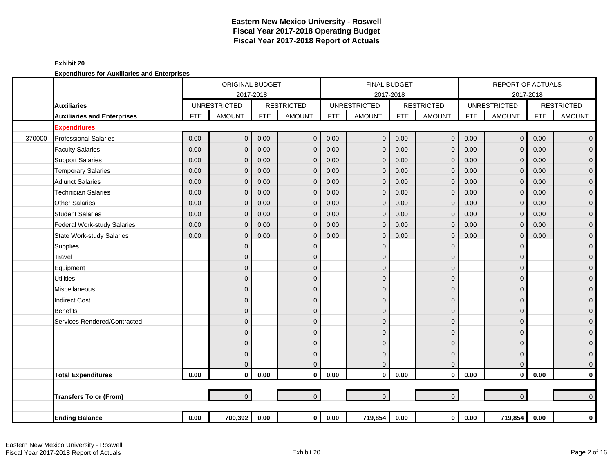|        |                                    |            | ORIGINAL BUDGET     |            |                   |            | <b>FINAL BUDGET</b> |            |                     |            | <b>REPORT OF ACTUALS</b> |            |                   |
|--------|------------------------------------|------------|---------------------|------------|-------------------|------------|---------------------|------------|---------------------|------------|--------------------------|------------|-------------------|
|        |                                    |            | 2017-2018           |            |                   |            |                     | 2017-2018  |                     |            |                          | 2017-2018  |                   |
|        | <b>Auxiliaries</b>                 |            | <b>UNRESTRICTED</b> |            | <b>RESTRICTED</b> |            | <b>UNRESTRICTED</b> |            | <b>RESTRICTED</b>   |            | <b>UNRESTRICTED</b>      |            | <b>RESTRICTED</b> |
|        | <b>Auxiliaries and Enterprises</b> | <b>FTE</b> | <b>AMOUNT</b>       | <b>FTE</b> | <b>AMOUNT</b>     | <b>FTE</b> | <b>AMOUNT</b>       | <b>FTE</b> | <b>AMOUNT</b>       | <b>FTE</b> | <b>AMOUNT</b>            | <b>FTE</b> | <b>AMOUNT</b>     |
|        | <b>Expenditures</b>                |            |                     |            |                   |            |                     |            |                     |            |                          |            |                   |
| 370000 | <b>Professional Salaries</b>       | 0.00       | $\mathbf{0}$        | 0.00       | $\mathbf 0$       | 0.00       | $\mathbf 0$         | 0.00       | $\mathbf 0$         | 0.00       | $\overline{0}$           | 0.00       | $\overline{0}$    |
|        | <b>Faculty Salaries</b>            | 0.00       | $\mathbf{0}$        | 0.00       | $\mathbf 0$       | 0.00       | $\mathbf{0}$        | 0.00       | $\mathbf{0}$        | 0.00       | $\Omega$                 | 0.00       | $\mathbf 0$       |
|        | <b>Support Salaries</b>            | 0.00       | $\Omega$            | 0.00       | $\mathbf 0$       | 0.00       | $\mathbf{0}$        | 0.00       | $\mathbf{0}$        | 0.00       | $\Omega$                 | 0.00       | $\overline{0}$    |
|        | <b>Temporary Salaries</b>          | 0.00       | $\Omega$            | 0.00       | $\mathbf 0$       | 0.00       | $\mathbf{0}$        | 0.00       | $\mathbf{0}$        | 0.00       | $\mathbf{0}$             | 0.00       | $\mathbf 0$       |
|        | <b>Adjunct Salaries</b>            | 0.00       | $\mathbf{0}$        | 0.00       | $\mathbf{0}$      | 0.00       | $\mathbf{0}$        | 0.00       | $\mathbf{0}$        | 0.00       | $\Omega$                 | 0.00       | $\mathbf 0$       |
|        | <b>Technician Salaries</b>         | 0.00       | $\Omega$            | 0.00       | $\mathbf 0$       | 0.00       | $\mathbf 0$         | 0.00       | $\mathbf 0$         | 0.00       | $\mathbf{0}$             | 0.00       | $\mathbf 0$       |
|        | <b>Other Salaries</b>              | 0.00       | $\Omega$            | 0.00       | $\mathbf 0$       | 0.00       | $\mathbf{0}$        | 0.00       | $\mathbf{0}$        | 0.00       | $\mathbf{0}$             | 0.00       | $\pmb{0}$         |
|        | <b>Student Salaries</b>            | 0.00       | $\Omega$            | 0.00       | $\mathbf{0}$      | 0.00       | $\mathbf{0}$        | 0.00       | $\mathbf{0}$        | 0.00       | $\Omega$                 | 0.00       | $\overline{0}$    |
|        | Federal Work-study Salaries        | 0.00       | $\Omega$            | 0.00       | $\mathbf 0$       | 0.00       | $\mathbf 0$         | 0.00       | $\mathbf{0}$        | 0.00       | $\Omega$                 | 0.00       | $\mathbf 0$       |
|        | <b>State Work-study Salaries</b>   | 0.00       | $\Omega$            | 0.00       | $\mathbf 0$       | 0.00       | $\Omega$            | 0.00       | $\mathbf{0}$        | 0.00       | $\mathbf{0}$             | 0.00       | $\pmb{0}$         |
|        | Supplies                           |            | $\mathbf{0}$        |            | $\mathbf 0$       |            | $\Omega$            |            | $\mathbf{0}$        |            | $\Omega$                 |            | $\mathbf 0$       |
|        | Travel                             |            | $\mathbf{0}$        |            | $\mathbf 0$       |            | $\Omega$            |            | $\mathbf{0}$        |            | $\Omega$                 |            | $\mathbf 0$       |
|        | Equipment                          |            | $\mathbf{0}$        |            | $\mathbf 0$       |            | $\Omega$            |            | $\mathbf{0}$        |            | $\Omega$                 |            | $\pmb{0}$         |
|        | <b>Utilities</b>                   |            | $\mathbf 0$         |            | $\mathbf 0$       |            | $\mathbf{0}$        |            | $\mathbf 0$         |            | $\Omega$                 |            | $\mathbf 0$       |
|        | <b>Miscellaneous</b>               |            | $\mathbf{0}$        |            | $\mathbf 0$       |            | $\Omega$            |            | $\mathbf 0$         |            | $\Omega$                 |            | $\mathbf 0$       |
|        | <b>Indirect Cost</b>               |            | $\Omega$            |            | $\Omega$          |            | $\Omega$            |            | $\mathbf{0}$        |            | $\Omega$                 |            | $\mathbf 0$       |
|        | <b>Benefits</b>                    |            | $\mathbf{0}$        |            | $\mathbf 0$       |            | $\Omega$            |            | $\mathbf{0}$        |            | $\Omega$                 |            | $\mathbf{0}$      |
|        | Services Rendered/Contracted       |            | $\mathbf{0}$        |            | $\mathbf 0$       |            | $\Omega$            |            | $\Omega$            |            | $\Omega$                 |            | $\mathbf 0$       |
|        |                                    |            | $\mathbf{0}$        |            | $\mathbf 0$       |            | $\Omega$            |            | $\mathbf{0}$        |            | $\Omega$                 |            | $\mathbf 0$       |
|        |                                    |            | $\mathbf{0}$        |            | $\mathbf 0$       |            | $\mathbf{0}$        |            | $\mathbf 0$         |            | $\Omega$                 |            | $\mathbf 0$       |
|        |                                    |            | $\mathbf{0}$        |            | $\mathbf{0}$      |            | $\Omega$            |            | $\mathbf{0}$        |            | $\Omega$                 |            | $\mathbf{O}$      |
|        |                                    |            | $\Omega$            |            | $\mathbf{0}$      |            | $\mathbf{0}$        |            | $\mathbf{0}$        |            | $\Omega$                 |            | $\mathbf{O}$      |
|        | <b>Total Expenditures</b>          | 0.00       | $\mathbf{0}$        | 0.00       | $\mathbf{0}$      | 0.00       | $\mathbf{0}$        | 0.00       | $\mathbf{0}$        | 0.00       | $\mathbf{0}$             | 0.00       | $\mathbf 0$       |
|        |                                    |            |                     |            |                   |            |                     |            |                     |            |                          |            |                   |
|        | <b>Transfers To or (From)</b>      |            | $\overline{0}$      |            | $\mathbf{0}$      |            | $\mathbf{0}$        |            | $\mathsf{O}\xspace$ |            | $\overline{0}$           |            | $\overline{0}$    |
|        |                                    |            |                     |            |                   |            |                     |            |                     |            |                          |            |                   |
|        | <b>Ending Balance</b>              | 0.00       | 700,392             | 0.00       | $\overline{0}$    | 0.00       | 719,854             | 0.00       | $\mathbf 0$         | $0.00\,$   | 719,854                  | 0.00       | $\mathbf 0$       |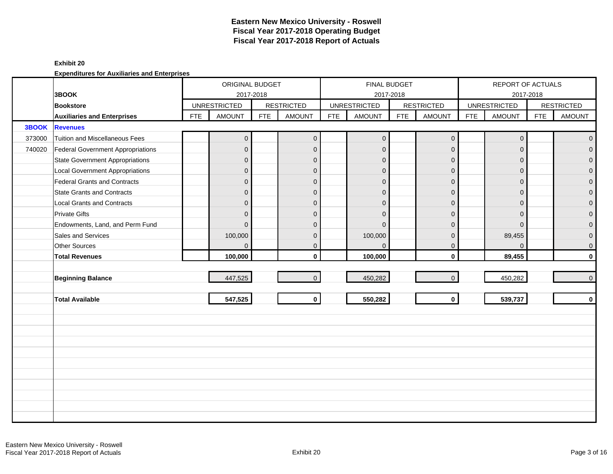#### **Exhibit 20**

|        |                                        |            | ORIGINAL BUDGET                  |            |                   |            | <b>FINAL BUDGET</b> |            |                   |            | REPORT OF ACTUALS   |            |                   |
|--------|----------------------------------------|------------|----------------------------------|------------|-------------------|------------|---------------------|------------|-------------------|------------|---------------------|------------|-------------------|
|        | 3BOOK<br><b>Bookstore</b>              |            | 2017-2018<br><b>UNRESTRICTED</b> |            | <b>RESTRICTED</b> |            | <b>UNRESTRICTED</b> | 2017-2018  | <b>RESTRICTED</b> |            | <b>UNRESTRICTED</b> | 2017-2018  | <b>RESTRICTED</b> |
|        | <b>Auxiliaries and Enterprises</b>     | <b>FTE</b> | <b>AMOUNT</b>                    | <b>FTE</b> | <b>AMOUNT</b>     | <b>FTE</b> | <b>AMOUNT</b>       | <b>FTE</b> | <b>AMOUNT</b>     | <b>FTE</b> | <b>AMOUNT</b>       | <b>FTE</b> | <b>AMOUNT</b>     |
| 3BOOK  | <b>Revenues</b>                        |            |                                  |            |                   |            |                     |            |                   |            |                     |            |                   |
| 373000 | <b>Tuition and Miscellaneous Fees</b>  |            | $\overline{0}$                   |            | $\mathbf{0}$      |            | $\mathbf{0}$        |            | $\mathbf 0$       |            | $\mathbf{0}$        |            | $\overline{0}$    |
| 740020 | Federal Government Appropriations      |            | $\overline{0}$                   |            | $\mathbf{0}$      |            | $\mathbf{0}$        |            | $\mathbf 0$       |            | $\Omega$            |            | $\mathbf 0$       |
|        | <b>State Government Appropriations</b> |            | $\overline{0}$                   |            | $\mathbf{0}$      |            | $\mathbf{0}$        |            | $\mathbf 0$       |            | $\Omega$            |            | $\overline{0}$    |
|        | <b>Local Government Appropriations</b> |            | $\pmb{0}$                        |            | $\mathbf{0}$      |            | $\mathbf{0}$        |            | $\mathbf 0$       |            | $\mathbf 0$         |            | $\overline{0}$    |
|        | Federal Grants and Contracts           |            | $\overline{0}$                   |            | $\mathbf{0}$      |            | $\mathbf{0}$        |            | $\mathbf 0$       |            | $\mathbf{0}$        |            | $\mathbf 0$       |
|        | <b>State Grants and Contracts</b>      |            | $\overline{0}$                   |            | $\Omega$          |            | $\Omega$            |            | $\mathbf 0$       |            | $\Omega$            |            | $\overline{0}$    |
|        | <b>Local Grants and Contracts</b>      |            | $\overline{0}$                   |            | $\mathbf{0}$      |            | $\Omega$            |            | $\mathbf 0$       |            | $\Omega$            |            | $\mathbf 0$       |
|        | <b>Private Gifts</b>                   |            | $\overline{0}$                   |            | $\mathbf{0}$      |            | $\Omega$            |            | $\mathbf 0$       |            | $\Omega$            |            | $\overline{0}$    |
|        | Endowments, Land, and Perm Fund        |            | $\overline{0}$                   |            | $\Omega$          |            | $\Omega$            |            | $\mathbf 0$       |            | $\Omega$            |            | $\mathbf 0$       |
|        | Sales and Services                     |            | 100,000                          |            | $\mathbf{0}$      |            | 100,000             |            | $\mathbf 0$       |            | 89,455              |            | $\overline{0}$    |
|        | Other Sources                          |            | $\overline{0}$                   |            | $\mathbf{0}$      |            | $\Omega$            |            | $\mathbf 0$       |            | $\Omega$            |            | $\pmb{0}$         |
|        | <b>Total Revenues</b>                  |            | 100,000                          |            | $\mathbf{0}$      |            | 100,000             |            | $\mathbf 0$       |            | 89,455              |            | $\mathbf 0$       |
|        |                                        |            |                                  |            |                   |            |                     |            |                   |            |                     |            |                   |
|        | <b>Beginning Balance</b>               |            | 447,525                          |            | $\mathbf{0}$      |            | 450,282             |            | $\mathbf 0$       |            | 450,282             |            | $\overline{0}$    |
|        |                                        |            |                                  |            |                   |            |                     |            |                   |            |                     |            |                   |
|        | <b>Total Available</b>                 |            | 547,525                          |            | $\mathbf 0$       |            | 550,282             |            | $\mathbf{0}$      |            | 539,737             |            | $\mathbf 0$       |
|        |                                        |            |                                  |            |                   |            |                     |            |                   |            |                     |            |                   |
|        |                                        |            |                                  |            |                   |            |                     |            |                   |            |                     |            |                   |
|        |                                        |            |                                  |            |                   |            |                     |            |                   |            |                     |            |                   |
|        |                                        |            |                                  |            |                   |            |                     |            |                   |            |                     |            |                   |
|        |                                        |            |                                  |            |                   |            |                     |            |                   |            |                     |            |                   |
|        |                                        |            |                                  |            |                   |            |                     |            |                   |            |                     |            |                   |
|        |                                        |            |                                  |            |                   |            |                     |            |                   |            |                     |            |                   |
|        |                                        |            |                                  |            |                   |            |                     |            |                   |            |                     |            |                   |
|        |                                        |            |                                  |            |                   |            |                     |            |                   |            |                     |            |                   |
|        |                                        |            |                                  |            |                   |            |                     |            |                   |            |                     |            |                   |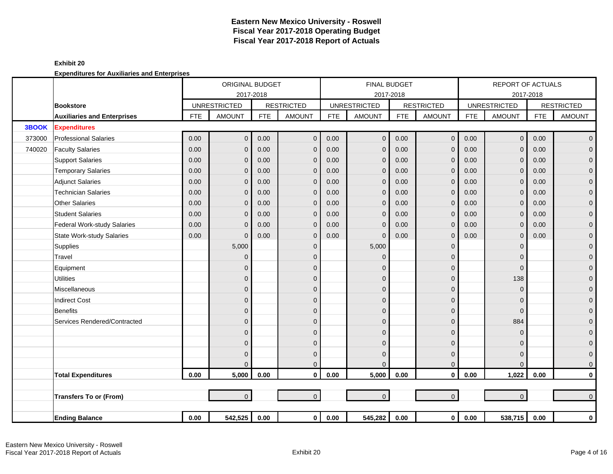|        |                                    |            | ORIGINAL BUDGET     |            |                   |            |                     | FINAL BUDGET |                   |            | <b>REPORT OF ACTUALS</b> |            |                   |
|--------|------------------------------------|------------|---------------------|------------|-------------------|------------|---------------------|--------------|-------------------|------------|--------------------------|------------|-------------------|
|        |                                    |            | 2017-2018           |            |                   |            | 2017-2018           |              |                   |            | 2017-2018                |            |                   |
|        | <b>Bookstore</b>                   |            | <b>UNRESTRICTED</b> |            | <b>RESTRICTED</b> |            | <b>UNRESTRICTED</b> |              | <b>RESTRICTED</b> |            | <b>UNRESTRICTED</b>      |            | <b>RESTRICTED</b> |
|        | <b>Auxiliaries and Enterprises</b> | <b>FTE</b> | <b>AMOUNT</b>       | <b>FTE</b> | <b>AMOUNT</b>     | <b>FTE</b> | <b>AMOUNT</b>       | <b>FTE</b>   | <b>AMOUNT</b>     | <b>FTE</b> | <b>AMOUNT</b>            | <b>FTE</b> | <b>AMOUNT</b>     |
| 3BOOK  | <b>Expenditures</b>                |            |                     |            |                   |            |                     |              |                   |            |                          |            |                   |
| 373000 | <b>Professional Salaries</b>       | 0.00       | $\overline{0}$      | 0.00       | $\mathbf 0$       | 0.00       | $\overline{0}$      | 0.00         | $\mathbf 0$       | 0.00       | $\mathsf{O}\xspace$      | 0.00       | $\overline{0}$    |
| 740020 | <b>Faculty Salaries</b>            | 0.00       | $\overline{0}$      | 0.00       | $\mathbf{0}$      | 0.00       | $\mathbf{0}$        | 0.00         | $\mathbf 0$       | 0.00       | $\overline{0}$           | 0.00       | $\mathbf 0$       |
|        | <b>Support Salaries</b>            | 0.00       | $\overline{0}$      | 0.00       | $\mathbf{0}$      | 0.00       | $\mathbf 0$         | 0.00         | $\mathbf 0$       | 0.00       | $\mathbf{0}$             | 0.00       | $\mathbf 0$       |
|        | <b>Temporary Salaries</b>          | 0.00       | $\mathbf 0$         | 0.00       | $\mathbf 0$       | 0.00       | $\mathbf 0$         | 0.00         | $\mathbf{0}$      | 0.00       | $\mathbf{0}$             | 0.00       | $\pmb{0}$         |
|        | <b>Adjunct Salaries</b>            | 0.00       | $\overline{0}$      | 0.00       | $\mathbf{0}$      | 0.00       | $\mathbf{0}$        | 0.00         | $\mathbf 0$       | 0.00       | $\Omega$                 | 0.00       | $\mathbf 0$       |
|        | <b>Technician Salaries</b>         | 0.00       | $\Omega$            | 0.00       | $\mathbf{0}$      | 0.00       | $\mathbf 0$         | 0.00         | $\mathbf{0}$      | 0.00       | $\Omega$                 | 0.00       | $\mathbf{O}$      |
|        | <b>Other Salaries</b>              | 0.00       | $\Omega$            | 0.00       | $\Omega$          | 0.00       | $\Omega$            | 0.00         | $\mathbf{0}$      | 0.00       | $\Omega$                 | 0.00       | $\pmb{0}$         |
|        | <b>Student Salaries</b>            | 0.00       | $\Omega$            | 0.00       | $\mathbf{0}$      | 0.00       | $\Omega$            | 0.00         | $\mathbf{0}$      | 0.00       | $\Omega$                 | 0.00       | $\mathsf{O}^-$    |
|        | Federal Work-study Salaries        | 0.00       | $\mathbf{0}$        | 0.00       | $\mathbf{0}$      | 0.00       | $\mathbf{0}$        | 0.00         | $\mathbf{0}$      | 0.00       | $\mathbf{0}$             | 0.00       | $\mathbf 0$       |
|        | <b>State Work-study Salaries</b>   | 0.00       | $\Omega$            | 0.00       | $\mathbf{0}$      | 0.00       | $\Omega$            | 0.00         | $\mathbf{0}$      | 0.00       | $\Omega$                 | 0.00       | $\pmb{0}$         |
|        | Supplies                           |            | 5,000               |            | $\mathbf{0}$      |            | 5,000               |              | $\mathbf 0$       |            | $\Omega$                 |            | $\mathbf 0$       |
|        | Travel                             |            | $\mathbf{0}$        |            | $\mathbf{0}$      |            | $\mathbf 0$         |              | $\Omega$          |            | $\Omega$                 |            | $\mathbf 0$       |
|        | Equipment                          |            | 0                   |            | $\mathbf{0}$      |            | $\Omega$            |              | $\mathbf{0}$      |            | $\Omega$                 |            | $\mathbf 0$       |
|        | <b>Utilities</b>                   |            | $\overline{0}$      |            | $\mathbf{0}$      |            | $\mathbf{0}$        |              | $\mathbf 0$       |            | 138                      |            | $\pmb{0}$         |
|        | Miscellaneous                      |            | $\mathbf 0$         |            | $\mathbf 0$       |            | $\mathbf 0$         |              | $\mathbf 0$       |            | $\mathbf{0}$             |            | $\mathbf 0$       |
|        | <b>Indirect Cost</b>               |            | $\mathbf 0$         |            | $\mathbf{0}$      |            | $\mathbf 0$         |              | 0                 |            | $\Omega$                 |            | $\mathbf 0$       |
|        | Benefits                           |            | $\overline{0}$      |            | $\Omega$          |            | $\Omega$            |              | $\mathbf{0}$      |            | $\Omega$                 |            | $\mathbf{O}$      |
|        | Services Rendered/Contracted       |            | $\overline{0}$      |            | $\Omega$          |            | $\Omega$            |              | $\overline{0}$    |            | 884                      |            | $\mathbf 0$       |
|        |                                    |            | 0                   |            | $\Omega$          |            | $\Omega$            |              | $\overline{0}$    |            | $\Omega$                 |            | $\pmb{0}$         |
|        |                                    |            | $\overline{0}$      |            | $\Omega$          |            | $\Omega$            |              | $\mathbf{0}$      |            | $\Omega$                 |            | $\pmb{0}$         |
|        |                                    |            | $\mathbf{0}$        |            | $\mathbf 0$       |            | $\Omega$            |              | $\mathbf 0$       |            | $\Omega$                 |            | $\mathbf 0$       |
|        |                                    |            | $\Omega$            |            | $\mathbf{0}$      |            | $\Omega$            |              | $\mathbf 0$       |            | $\Omega$                 |            | $\overline{0}$    |
|        | <b>Total Expenditures</b>          | 0.00       | 5,000               | 0.00       | $\mathbf{0}$      | 0.00       | 5,000               | 0.00         | $\mathbf 0$       | 0.00       | 1,022                    | 0.00       | $\mathbf 0$       |
|        |                                    |            |                     |            |                   |            |                     |              |                   |            |                          |            |                   |
|        | <b>Transfers To or (From)</b>      |            | $\overline{0}$      |            | $\overline{0}$    |            | $\Omega$            |              | $\mathbf 0$       |            | $\overline{0}$           |            | $\overline{0}$    |
|        |                                    |            |                     |            |                   |            |                     |              |                   |            |                          |            |                   |
|        | <b>Ending Balance</b>              | 0.00       | 542,525             | 0.00       | $\overline{0}$    | 0.00       | 545,282             | 0.00         | $\mathbf 0$       | $0.00\,$   | 538,715                  | 0.00       | $\mathbf 0$       |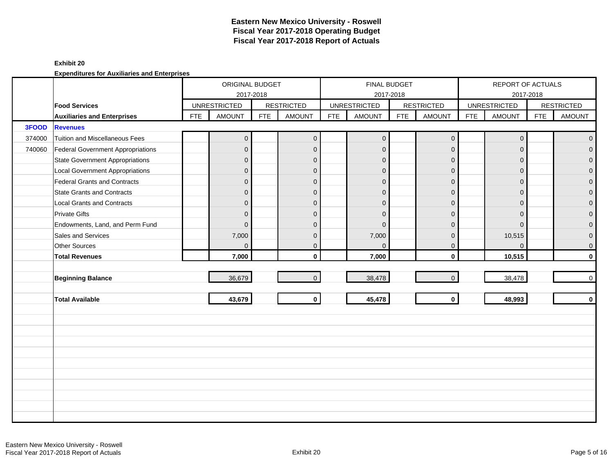### **Exhibit 20**

|        |                                          |            | ORIGINAL BUDGET<br>2017-2018 |            |                   |            | FINAL BUDGET<br>2017-2018 |            |                     |            | REPORT OF ACTUALS   | 2017-2018  |                   |
|--------|------------------------------------------|------------|------------------------------|------------|-------------------|------------|---------------------------|------------|---------------------|------------|---------------------|------------|-------------------|
|        | <b>Food Services</b>                     |            | <b>UNRESTRICTED</b>          |            | <b>RESTRICTED</b> |            | <b>UNRESTRICTED</b>       |            | <b>RESTRICTED</b>   |            | <b>UNRESTRICTED</b> |            | <b>RESTRICTED</b> |
|        | <b>Auxiliaries and Enterprises</b>       | <b>FTE</b> | <b>AMOUNT</b>                | <b>FTE</b> | <b>AMOUNT</b>     | <b>FTE</b> | <b>AMOUNT</b>             | <b>FTE</b> | <b>AMOUNT</b>       | <b>FTE</b> | <b>AMOUNT</b>       | <b>FTE</b> | <b>AMOUNT</b>     |
| 3FOOD  | <b>Revenues</b>                          |            |                              |            |                   |            |                           |            |                     |            |                     |            |                   |
| 374000 | <b>Tuition and Miscellaneous Fees</b>    |            | $\overline{0}$               |            | $\overline{0}$    |            | $\overline{0}$            |            | $\mathsf{O}\xspace$ |            | $\mathbf{0}$        |            | $\overline{0}$    |
| 740060 | <b>Federal Government Appropriations</b> |            | $\overline{0}$               |            | $\mathbf{0}$      |            | $\mathbf{0}$              |            | $\mathbf{0}$        |            | $\Omega$            |            | $\overline{0}$    |
|        | <b>State Government Appropriations</b>   |            | $\overline{0}$               |            | $\mathbf{0}$      |            | $\mathbf{0}$              |            | $\mathbf{0}$        |            | $\Omega$            |            | $\overline{0}$    |
|        | <b>Local Government Appropriations</b>   |            | $\mathsf{O}\xspace$          |            | $\mathbf{0}$      |            | $\mathbf{0}$              |            | $\mathbf{0}$        |            | $\mathbf{0}$        |            | $\overline{0}$    |
|        | <b>Federal Grants and Contracts</b>      |            | $\overline{0}$               |            | $\mathbf{0}$      |            | $\Omega$                  |            | $\mathbf{0}$        |            | $\Omega$            |            | $\mathbf 0$       |
|        | <b>State Grants and Contracts</b>        |            | $\overline{0}$               |            | $\mathbf{0}$      |            | $\overline{0}$            |            | $\mathbf{0}$        |            | $\Omega$            |            | $\overline{0}$    |
|        | <b>Local Grants and Contracts</b>        |            | $\overline{0}$               |            | $\mathbf{0}$      |            | $\mathbf{0}$              |            | $\mathbf 0$         |            | $\Omega$            |            | $\mathsf{O}^-$    |
|        | <b>Private Gifts</b>                     |            | $\overline{0}$               |            | $\mathbf{0}$      |            | $\Omega$                  |            | $\mathbf 0$         |            | $\Omega$            |            | $\mathsf{O}^-$    |
|        | Endowments, Land, and Perm Fund          |            | $\mathbf{0}$                 |            | $\Omega$          |            | $\Omega$                  |            | $\mathbf{0}$        |            | $\Omega$            |            | $\overline{0}$    |
|        | Sales and Services                       |            | 7,000                        |            | $\Omega$          |            | 7,000                     |            | $\mathbf 0$         |            | 10,515              |            | $\overline{0}$    |
|        | <b>Other Sources</b>                     |            | $\overline{0}$               |            | $\mathbf{0}$      |            | $\Omega$                  |            | $\mathbf{0}$        |            | $\Omega$            |            | $\mathsf{O}^-$    |
|        | <b>Total Revenues</b>                    |            | 7,000                        |            | $\mathbf{0}$      |            | 7,000                     |            | $\mathbf 0$         |            | 10,515              |            | $\mathbf{0}$      |
|        |                                          |            |                              |            |                   |            |                           |            |                     |            |                     |            |                   |
|        | <b>Beginning Balance</b>                 |            | 36,679                       |            | $\Omega$          |            | 38,478                    |            | $\overline{0}$      |            | 38,478              |            | $\overline{0}$    |
|        |                                          |            |                              |            |                   |            |                           |            |                     |            |                     |            |                   |
|        | <b>Total Available</b>                   |            | 43,679                       |            | $\mathbf{0}$      |            | 45,478                    |            | $\mathbf{0}$        |            | 48,993              |            | $\mathbf{0}$      |
|        |                                          |            |                              |            |                   |            |                           |            |                     |            |                     |            |                   |
|        |                                          |            |                              |            |                   |            |                           |            |                     |            |                     |            |                   |
|        |                                          |            |                              |            |                   |            |                           |            |                     |            |                     |            |                   |
|        |                                          |            |                              |            |                   |            |                           |            |                     |            |                     |            |                   |
|        |                                          |            |                              |            |                   |            |                           |            |                     |            |                     |            |                   |
|        |                                          |            |                              |            |                   |            |                           |            |                     |            |                     |            |                   |
|        |                                          |            |                              |            |                   |            |                           |            |                     |            |                     |            |                   |
|        |                                          |            |                              |            |                   |            |                           |            |                     |            |                     |            |                   |
|        |                                          |            |                              |            |                   |            |                           |            |                     |            |                     |            |                   |
|        |                                          |            |                              |            |                   |            |                           |            |                     |            |                     |            |                   |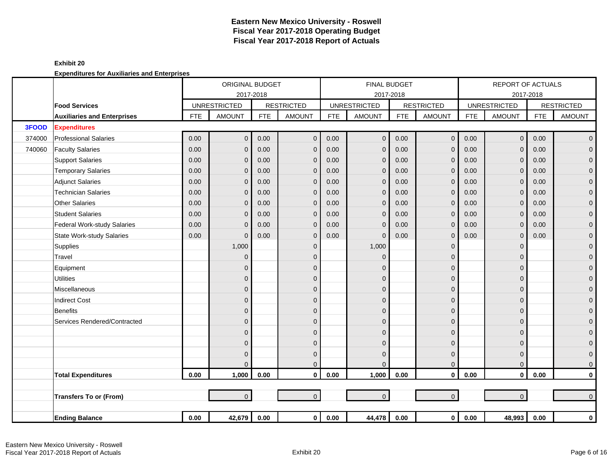|        |                                    |            | ORIGINAL BUDGET     |            |                   |            |                     | <b>FINAL BUDGET</b> |                   |            | <b>REPORT OF ACTUALS</b> |            |                   |
|--------|------------------------------------|------------|---------------------|------------|-------------------|------------|---------------------|---------------------|-------------------|------------|--------------------------|------------|-------------------|
|        |                                    |            |                     | 2017-2018  |                   |            |                     | 2017-2018           |                   |            |                          | 2017-2018  |                   |
|        | <b>Food Services</b>               |            | <b>UNRESTRICTED</b> |            | <b>RESTRICTED</b> |            | <b>UNRESTRICTED</b> |                     | <b>RESTRICTED</b> |            | <b>UNRESTRICTED</b>      |            | <b>RESTRICTED</b> |
|        | <b>Auxiliaries and Enterprises</b> | <b>FTE</b> | <b>AMOUNT</b>       | <b>FTE</b> | <b>AMOUNT</b>     | <b>FTE</b> | <b>AMOUNT</b>       | <b>FTE</b>          | <b>AMOUNT</b>     | <b>FTE</b> | <b>AMOUNT</b>            | <b>FTE</b> | <b>AMOUNT</b>     |
| 3FOOD  | <b>Expenditures</b>                |            |                     |            |                   |            |                     |                     |                   |            |                          |            |                   |
| 374000 | <b>Professional Salaries</b>       | 0.00       | $\overline{0}$      | 0.00       | $\mathbf{0}$      | 0.00       | $\mathbf 0$         | 0.00                | $\mathbf{0}$      | 0.00       | $\overline{0}$           | 0.00       | $\overline{0}$    |
| 740060 | <b>Faculty Salaries</b>            | 0.00       | $\overline{0}$      | 0.00       | $\mathbf{0}$      | 0.00       | $\mathbf{0}$        | 0.00                | $\mathbf{0}$      | 0.00       | $\Omega$                 | 0.00       | $\mathbf{O}$      |
|        | <b>Support Salaries</b>            | 0.00       | 0                   | 0.00       | $\Omega$          | 0.00       | $\mathbf{0}$        | 0.00                | $\mathbf{0}$      | 0.00       | $\Omega$                 | 0.00       | $\mathbf 0$       |
|        | <b>Temporary Salaries</b>          | 0.00       | 0                   | 0.00       | $\mathbf{0}$      | 0.00       | $\mathbf 0$         | 0.00                | $\mathbf{0}$      | 0.00       | $\Omega$                 | 0.00       | $\mathbf 0$       |
|        | <b>Adjunct Salaries</b>            | 0.00       | 0                   | 0.00       | $\mathbf 0$       | 0.00       | $\mathbf{0}$        | 0.00                | $\mathbf{0}$      | 0.00       | $\Omega$                 | 0.00       | $\mathbf 0$       |
|        | <b>Technician Salaries</b>         | 0.00       | 0                   | 0.00       | $\mathbf 0$       | 0.00       | $\mathbf{0}$        | 0.00                | $\mathbf 0$       | 0.00       | $\mathbf{0}$             | 0.00       | $\mathbf 0$       |
|        | <b>Other Salaries</b>              | 0.00       | 0                   | 0.00       | $\mathbf 0$       | 0.00       | $\Omega$            | 0.00                | $\mathbf{0}$      | 0.00       | $\Omega$                 | 0.00       | $\pmb{0}$         |
|        | <b>Student Salaries</b>            | 0.00       | $\Omega$            | 0.00       | $\Omega$          | 0.00       | $\Omega$            | 0.00                | $\mathbf{0}$      | 0.00       | $\Omega$                 | 0.00       | $\overline{0}$    |
|        | <b>Federal Work-study Salaries</b> | 0.00       | $\Omega$            | 0.00       | $\mathbf{0}$      | 0.00       | $\mathbf{0}$        | 0.00                | $\mathbf{0}$      | 0.00       | $\Omega$                 | 0.00       | $\mathbf 0$       |
|        | <b>State Work-study Salaries</b>   | 0.00       | $\Omega$            | 0.00       | $\mathbf{0}$      | 0.00       | $\Omega$            | 0.00                | $\mathbf{0}$      | 0.00       | $\Omega$                 | 0.00       | $\pmb{0}$         |
|        | Supplies                           |            | 1,000               |            | $\mathbf{0}$      |            | 1,000               |                     | $\mathbf 0$       |            | $\Omega$                 |            | $\mathbf 0$       |
|        | Travel                             |            | $\mathbf{0}$        |            | $\mathbf{0}$      |            | $\Omega$            |                     | 0                 |            | $\Omega$                 |            | $\mathbf 0$       |
|        | Equipment                          |            | 0                   |            | $\Omega$          |            | $\Omega$            |                     | 0                 |            | $\Omega$                 |            | $\pmb{0}$         |
|        | <b>Utilities</b>                   |            | 0                   |            | $\mathbf{0}$      |            | $\mathbf{0}$        |                     | $\mathbf 0$       |            | $\mathbf{0}$             |            | $\mathbf 0$       |
|        | Miscellaneous                      |            | 0                   |            | $\Omega$          |            | $\Omega$            |                     | 0                 |            | $\Omega$                 |            | $\mathbf 0$       |
|        | <b>Indirect Cost</b>               |            | 0                   |            | $\Omega$          |            | $\Omega$            |                     | 0                 |            | $\Omega$                 |            | $\mathbf 0$       |
|        | <b>Benefits</b>                    |            | 0                   |            | $\Omega$          |            | $\Omega$            |                     | 0                 |            | $\Omega$                 |            | $\mathbf{O}$      |
|        | Services Rendered/Contracted       |            | 0                   |            | $\mathbf{0}$      |            | $\mathbf{0}$        |                     | 0                 |            | $\Omega$                 |            | $\mathbf 0$       |
|        |                                    |            | 0                   |            | $\Omega$          |            | $\Omega$            |                     | 0                 |            | $\Omega$                 |            | $\pmb{0}$         |
|        |                                    |            | 0                   |            | $\mathbf{0}$      |            | $\mathbf{0}$        |                     | $\mathbf 0$       |            | $\Omega$                 |            | $\mathbf 0$       |
|        |                                    |            | $\Omega$            |            | $\mathbf{0}$      |            | $\mathbf{0}$        |                     | $\mathbf 0$       |            | $\Omega$                 |            | $\mathbf{O}$      |
|        |                                    |            | 0                   |            | $\Omega$          |            | $\Omega$            |                     | $\mathbf{0}$      |            | $\Omega$                 |            | $\mathbf{O}$      |
|        | <b>Total Expenditures</b>          | 0.00       | 1,000               | 0.00       | $\mathbf{0}$      | 0.00       | 1,000               | 0.00                | $\mathbf{0}$      | 0.00       | $\mathbf{0}$             | 0.00       | $\mathbf 0$       |
|        |                                    |            |                     |            |                   |            |                     |                     |                   |            |                          |            |                   |
|        | <b>Transfers To or (From)</b>      |            | $\overline{0}$      |            | $\overline{0}$    |            | $\overline{0}$      |                     | $\mathbf{0}$      |            | $\overline{0}$           |            | $\mathbf{0}$      |
|        |                                    |            |                     |            |                   |            |                     |                     |                   |            |                          |            |                   |
|        | <b>Ending Balance</b>              | 0.00       | 42,679              | 0.00       | $\overline{0}$    | 0.00       | 44,478              | 0.00                | $\mathbf 0$       | $0.00\,$   | 48,993                   | 0.00       | $\mathbf 0$       |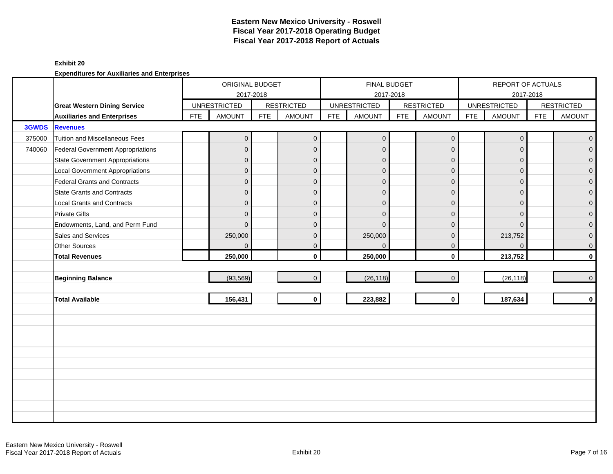### **Exhibit 20**

|        |                                          |            | ORIGINAL BUDGET     |            |                   |            | <b>FINAL BUDGET</b>              |            |                   |            | REPORT OF ACTUALS                |            |                   |
|--------|------------------------------------------|------------|---------------------|------------|-------------------|------------|----------------------------------|------------|-------------------|------------|----------------------------------|------------|-------------------|
|        | <b>Great Western Dining Service</b>      |            | <b>UNRESTRICTED</b> | 2017-2018  | <b>RESTRICTED</b> |            | 2017-2018<br><b>UNRESTRICTED</b> |            | <b>RESTRICTED</b> |            | 2017-2018<br><b>UNRESTRICTED</b> |            | <b>RESTRICTED</b> |
|        | <b>Auxiliaries and Enterprises</b>       | <b>FTE</b> | <b>AMOUNT</b>       | <b>FTE</b> | <b>AMOUNT</b>     | <b>FTE</b> | <b>AMOUNT</b>                    | <b>FTE</b> | <b>AMOUNT</b>     | <b>FTE</b> | <b>AMOUNT</b>                    | <b>FTE</b> | <b>AMOUNT</b>     |
| 3GWDS  | <b>Revenues</b>                          |            |                     |            |                   |            |                                  |            |                   |            |                                  |            |                   |
| 375000 | Tuition and Miscellaneous Fees           |            | $\mathbf 0$         |            | $\mathbf 0$       |            | $\overline{0}$                   |            | $\mathbf 0$       |            | $\mathbf{0}$                     |            | $\overline{0}$    |
| 740060 | <b>Federal Government Appropriations</b> |            | $\overline{0}$      |            | $\mathbf{0}$      |            | $\Omega$                         |            | $\mathbf{0}$      |            | $\Omega$                         |            | $\overline{0}$    |
|        | <b>State Government Appropriations</b>   |            | $\mathbf 0$         |            | $\mathbf{0}$      |            | $\mathbf 0$                      |            | $\mathbf 0$       |            | $\Omega$                         |            | $\overline{0}$    |
|        | <b>Local Government Appropriations</b>   |            | 0                   |            | $\mathbf 0$       |            | $\mathbf 0$                      |            | $\mathbf{0}$      |            | $\mathbf{0}$                     |            | $\mathbf 0$       |
|        | Federal Grants and Contracts             |            | $\overline{0}$      |            | $\Omega$          |            | $\Omega$                         |            | $\mathbf{0}$      |            | $\Omega$                         |            | $\mathbf 0$       |
|        | <b>State Grants and Contracts</b>        |            | 0                   |            | $\Omega$          |            | $\Omega$                         |            | $\mathbf{0}$      |            | $\Omega$                         |            | $\mathbf{O}$      |
|        | <b>Local Grants and Contracts</b>        |            | 0                   |            | $\mathbf{0}$      |            | $\Omega$                         |            | $\mathbf{0}$      |            | $\Omega$                         |            | $\mathbf 0$       |
|        | <b>Private Gifts</b>                     |            | $\overline{0}$      |            | $\mathbf{0}$      |            | $\Omega$                         |            | $\mathbf{0}$      |            | $\Omega$                         |            | $\mathsf{O}^-$    |
|        | Endowments, Land, and Perm Fund          |            | $\Omega$            |            | $\Omega$          |            | $\Omega$                         |            | $\mathbf{0}$      |            | $\Omega$                         |            | $\overline{0}$    |
|        | Sales and Services                       |            | 250,000             |            | $\mathbf 0$       |            | 250,000                          |            | $\mathbf{0}$      |            | 213,752                          |            | $\pmb{0}$         |
|        | Other Sources                            |            | $\Omega$            |            | $\mathbf{0}$      |            | $\Omega$                         |            | $\mathbf{0}$      |            | $\Omega$                         |            | $\mathsf{O}^-$    |
|        | <b>Total Revenues</b>                    |            | 250,000             |            | $\mathbf{0}$      |            | 250,000                          |            | $\mathbf{0}$      |            | 213,752                          |            | $\mathbf{0}$      |
|        |                                          |            |                     |            |                   |            |                                  |            |                   |            |                                  |            |                   |
|        | <b>Beginning Balance</b>                 |            | (93, 569)           |            | $\Omega$          |            | (26, 118)                        |            | $\overline{0}$    |            | (26, 118)                        |            | $\overline{0}$    |
|        |                                          |            |                     |            |                   |            |                                  |            |                   |            |                                  |            |                   |
|        | <b>Total Available</b>                   |            | 156,431             |            | $\mathbf{0}$      |            | 223,882                          |            | $\mathbf 0$       |            | 187,634                          |            | $\mathbf{0}$      |
|        |                                          |            |                     |            |                   |            |                                  |            |                   |            |                                  |            |                   |
|        |                                          |            |                     |            |                   |            |                                  |            |                   |            |                                  |            |                   |
|        |                                          |            |                     |            |                   |            |                                  |            |                   |            |                                  |            |                   |
|        |                                          |            |                     |            |                   |            |                                  |            |                   |            |                                  |            |                   |
|        |                                          |            |                     |            |                   |            |                                  |            |                   |            |                                  |            |                   |
|        |                                          |            |                     |            |                   |            |                                  |            |                   |            |                                  |            |                   |
|        |                                          |            |                     |            |                   |            |                                  |            |                   |            |                                  |            |                   |
|        |                                          |            |                     |            |                   |            |                                  |            |                   |            |                                  |            |                   |
|        |                                          |            |                     |            |                   |            |                                  |            |                   |            |                                  |            |                   |
|        |                                          |            |                     |            |                   |            |                                  |            |                   |            |                                  |            |                   |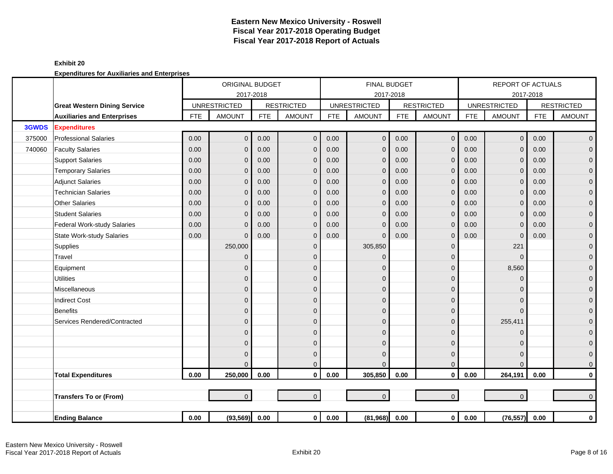|        |                                     |            | ORIGINAL BUDGET     |            |                   |            |                     | <b>FINAL BUDGET</b> |                   |            | <b>REPORT OF ACTUALS</b> |            |                   |
|--------|-------------------------------------|------------|---------------------|------------|-------------------|------------|---------------------|---------------------|-------------------|------------|--------------------------|------------|-------------------|
|        |                                     |            | 2017-2018           |            |                   |            | 2017-2018           |                     |                   |            |                          | 2017-2018  |                   |
|        | <b>Great Western Dining Service</b> |            | <b>UNRESTRICTED</b> |            | <b>RESTRICTED</b> |            | <b>UNRESTRICTED</b> |                     | <b>RESTRICTED</b> |            | <b>UNRESTRICTED</b>      |            | <b>RESTRICTED</b> |
|        | <b>Auxiliaries and Enterprises</b>  | <b>FTE</b> | <b>AMOUNT</b>       | <b>FTE</b> | <b>AMOUNT</b>     | <b>FTE</b> | <b>AMOUNT</b>       | <b>FTE</b>          | <b>AMOUNT</b>     | <b>FTE</b> | <b>AMOUNT</b>            | <b>FTE</b> | <b>AMOUNT</b>     |
| 3GWDS  | <b>Expenditures</b>                 |            |                     |            |                   |            |                     |                     |                   |            |                          |            |                   |
| 375000 | <b>Professional Salaries</b>        | 0.00       | $\overline{0}$      | 0.00       | $\mathbf 0$       | 0.00       | $\overline{0}$      | 0.00                | $\mathbf 0$       | 0.00       | $\mathsf{O}\xspace$      | 0.00       | $\overline{0}$    |
| 740060 | <b>Faculty Salaries</b>             | 0.00       | $\overline{0}$      | 0.00       | $\mathbf{0}$      | 0.00       | $\mathbf{0}$        | 0.00                | $\mathbf{0}$      | 0.00       | $\Omega$                 | 0.00       | $\mathbf{O}$      |
|        | <b>Support Salaries</b>             | 0.00       | $\mathbf{0}$        | 0.00       | $\mathbf{0}$      | 0.00       | $\overline{0}$      | 0.00                | $\mathbf{0}$      | 0.00       | $\mathbf{0}$             | 0.00       | $\mathbf 0$       |
|        | <b>Temporary Salaries</b>           | 0.00       | $\mathbf{0}$        | 0.00       | $\mathbf{0}$      | 0.00       | $\Omega$            | 0.00                | $\mathbf{0}$      | 0.00       | $\Omega$                 | 0.00       | $\pmb{0}$         |
|        | <b>Adjunct Salaries</b>             | 0.00       | $\mathbf{0}$        | 0.00       | $\mathbf{0}$      | 0.00       | $\Omega$            | 0.00                | $\mathbf{0}$      | 0.00       | $\Omega$                 | 0.00       | $\mathbf 0$       |
|        | <b>Technician Salaries</b>          | 0.00       | $\mathbf{0}$        | 0.00       | $\mathbf 0$       | 0.00       | $\mathbf 0$         | 0.00                | $\mathbf 0$       | 0.00       | $\mathbf{0}$             | 0.00       | $\mathbf 0$       |
|        | <b>Other Salaries</b>               | 0.00       | 0                   | 0.00       | $\mathbf{0}$      | 0.00       | $\mathbf 0$         | 0.00                | $\mathbf{0}$      | 0.00       | 0                        | 0.00       | $\pmb{0}$         |
|        | <b>Student Salaries</b>             | 0.00       | $\Omega$            | 0.00       | $\Omega$          | 0.00       | $\Omega$            | 0.00                | $\Omega$          | 0.00       | $\Omega$                 | 0.00       | $\overline{0}$    |
|        | Federal Work-study Salaries         | 0.00       | $\mathbf{0}$        | 0.00       | $\mathbf{0}$      | 0.00       | $\overline{0}$      | 0.00                | $\mathbf{0}$      | 0.00       | $\Omega$                 | 0.00       | $\mathbf 0$       |
|        | <b>State Work-study Salaries</b>    | 0.00       | $\mathbf{0}$        | 0.00       | $\mathbf{0}$      | 0.00       | $\Omega$            | 0.00                | $\mathbf{0}$      | 0.00       | $\mathbf{0}$             | 0.00       | $\pmb{0}$         |
|        | Supplies                            |            | 250,000             |            | $\mathbf{0}$      |            | 305,850             |                     | $\mathbf 0$       |            | 221                      |            | $\mathbf 0$       |
|        | Travel                              |            | $\mathbf{0}$        |            | $\mathbf{0}$      |            | $\mathbf 0$         |                     | $\Omega$          |            | $\mathbf{0}$             |            | $\mathbf 0$       |
|        | Equipment                           |            | 0                   |            | $\mathbf{0}$      |            | $\Omega$            |                     | $\mathbf 0$       |            | 8,560                    |            | $\mathbf 0$       |
|        | <b>Utilities</b>                    |            | $\mathbf 0$         |            | $\mathbf{0}$      |            | $\mathbf 0$         |                     | $\mathbf 0$       |            | $\Omega$                 |            | $\mathbf 0$       |
|        | Miscellaneous                       |            | $\overline{0}$      |            | $\mathbf{0}$      |            | $\Omega$            |                     | $\mathbf 0$       |            | $\Omega$                 |            | $\pmb{0}$         |
|        | <b>Indirect Cost</b>                |            | $\overline{0}$      |            | $\Omega$          |            | $\Omega$            |                     | $\overline{0}$    |            | $\Omega$                 |            | $\pmb{0}$         |
|        | Benefits                            |            | $\overline{0}$      |            | $\Omega$          |            | $\Omega$            |                     | $\mathbf{0}$      |            | $\Omega$                 |            | $\mathbf{O}$      |
|        | Services Rendered/Contracted        |            | $\overline{0}$      |            | $\mathbf{0}$      |            | $\Omega$            |                     | $\overline{0}$    |            | 255,411                  |            | $\mathbf 0$       |
|        |                                     |            | 0                   |            | $\Omega$          |            | $\Omega$            |                     | 0                 |            | $\Omega$                 |            | $\pmb{0}$         |
|        |                                     |            | 0                   |            | $\mathbf{0}$      |            | $\Omega$            |                     | $\mathbf 0$       |            | $\Omega$                 |            | $\mathbf 0$       |
|        |                                     |            | $\Omega$            |            | $\mathbf{0}$      |            | $\Omega$            |                     | $\mathbf{0}$      |            | $\Omega$                 |            | $\mathbf 0$       |
|        |                                     |            | $\Omega$            |            | $\overline{0}$    |            | $\Omega$            |                     | $\mathbf{0}$      |            | $\Omega$                 |            | $\mathbf{O}$      |
|        | <b>Total Expenditures</b>           | 0.00       | 250,000             | 0.00       | $\mathbf{0}$      | 0.00       | 305,850             | 0.00                | $\mathbf{0}$      | 0.00       | 264,191                  | 0.00       | $\mathbf 0$       |
|        |                                     |            |                     |            |                   |            |                     |                     |                   |            |                          |            |                   |
|        | <b>Transfers To or (From)</b>       |            | $\overline{0}$      |            | $\Omega$          |            | $\Omega$            |                     | $\mathbf 0$       |            | $\overline{0}$           |            | $\overline{0}$    |
|        |                                     |            |                     |            |                   |            |                     |                     |                   |            |                          |            |                   |
|        | <b>Ending Balance</b>               | 0.00       | (93, 569)           | 0.00       | $\mathbf{0}$      | 0.00       | (81,968)            | 0.00                | $\mathbf 0$       | 0.00       | (76, 557)                | 0.00       | $\mathbf 0$       |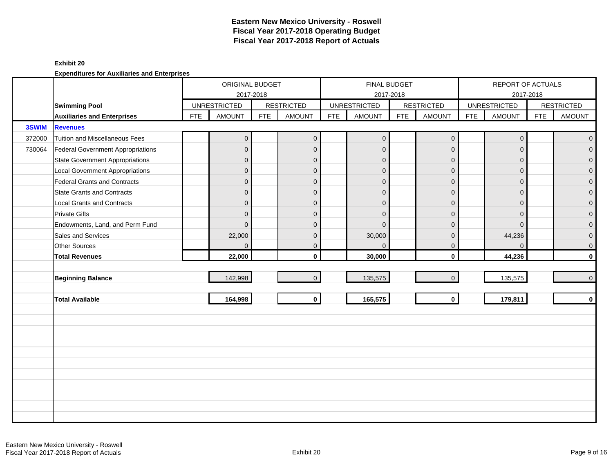### **Exhibit 20**

|        |                                        |            | ORIGINAL BUDGET     |            |                   |            | <b>FINAL BUDGET</b> |            |                     |            | REPORT OF ACTUALS   |            |                   |
|--------|----------------------------------------|------------|---------------------|------------|-------------------|------------|---------------------|------------|---------------------|------------|---------------------|------------|-------------------|
|        |                                        |            | 2017-2018           |            |                   |            |                     | 2017-2018  |                     |            |                     | 2017-2018  |                   |
|        | <b>Swimming Pool</b>                   |            | <b>UNRESTRICTED</b> |            | <b>RESTRICTED</b> |            | <b>UNRESTRICTED</b> |            | <b>RESTRICTED</b>   |            | <b>UNRESTRICTED</b> |            | <b>RESTRICTED</b> |
|        | <b>Auxiliaries and Enterprises</b>     | <b>FTE</b> | <b>AMOUNT</b>       | <b>FTE</b> | <b>AMOUNT</b>     | <b>FTE</b> | <b>AMOUNT</b>       | <b>FTE</b> | <b>AMOUNT</b>       | <b>FTE</b> | <b>AMOUNT</b>       | <b>FTE</b> | <b>AMOUNT</b>     |
| 3SWIM  | <b>Revenues</b>                        |            |                     |            |                   |            |                     |            |                     |            |                     |            |                   |
| 372000 | Tuition and Miscellaneous Fees         |            | $\mathbf{0}$        |            | $\mathbf 0$       |            | $\mathbf{0}$        |            | $\mathsf{O}\xspace$ |            | $\mathbf 0$         |            | $\overline{0}$    |
| 730064 | Federal Government Appropriations      |            | $\overline{0}$      |            | $\mathbf{0}$      |            | $\mathbf 0$         |            | $\mathbf{0}$        |            | $\Omega$            |            | $\overline{0}$    |
|        | <b>State Government Appropriations</b> |            | $\overline{0}$      |            | $\mathbf{0}$      |            | $\mathbf{0}$        |            | $\mathbf 0$         |            | $\Omega$            |            | $\overline{0}$    |
|        | <b>Local Government Appropriations</b> |            | $\overline{0}$      |            | $\mathbf{0}$      |            | $\Omega$            |            | $\mathbf{0}$        |            | $\Omega$            |            | $\pmb{0}$         |
|        | <b>Federal Grants and Contracts</b>    |            | $\overline{0}$      |            | $\mathbf{0}$      |            | $\overline{0}$      |            | $\mathbf{0}$        |            | $\Omega$            |            | $\mathbf 0$       |
|        | <b>State Grants and Contracts</b>      |            | $\overline{0}$      |            | $\mathbf{0}$      |            | $\Omega$            |            | $\mathbf{0}$        |            | $\Omega$            |            | $\overline{0}$    |
|        | <b>Local Grants and Contracts</b>      |            | $\overline{0}$      |            | $\mathbf 0$       |            | $\Omega$            |            | $\mathbf 0$         |            | $\Omega$            |            | $\mathbf{O}$      |
|        | <b>Private Gifts</b>                   |            | $\overline{0}$      |            | $\mathbf{0}$      |            | $\Omega$            |            | $\mathbf 0$         |            | $\Omega$            |            | $\overline{0}$    |
|        | Endowments, Land, and Perm Fund        |            | $\overline{0}$      |            | $\mathbf{0}$      |            | $\Omega$            |            | $\mathbf{0}$        |            | $\Omega$            |            | $\overline{0}$    |
|        | Sales and Services                     |            | 22,000              |            | $\mathbf{0}$      |            | 30,000              |            | $\mathbf{0}$        |            | 44,236              |            | $\overline{0}$    |
|        | <b>Other Sources</b>                   |            | $\overline{0}$      |            | $\mathbf 0$       |            | $\mathbf{0}$        |            | $\mathbf 0$         |            | $\Omega$            |            | $\overline{0}$    |
|        | <b>Total Revenues</b>                  |            | 22,000              |            | $\mathbf{0}$      |            | 30,000              |            | $\mathbf 0$         |            | 44,236              |            | $\mathbf{0}$      |
|        |                                        |            |                     |            |                   |            |                     |            |                     |            |                     |            |                   |
|        | <b>Beginning Balance</b>               |            | 142,998             |            | $\mathbf{0}$      |            | 135,575             |            | $\mathbf{0}$        |            | 135,575             |            | $\overline{0}$    |
|        |                                        |            |                     |            |                   |            |                     |            |                     |            |                     |            |                   |
|        | <b>Total Available</b>                 |            | 164,998             |            | $\mathbf 0$       |            | 165,575             |            | $\mathbf{0}$        |            | 179,811             |            | $\mathbf{0}$      |
|        |                                        |            |                     |            |                   |            |                     |            |                     |            |                     |            |                   |
|        |                                        |            |                     |            |                   |            |                     |            |                     |            |                     |            |                   |
|        |                                        |            |                     |            |                   |            |                     |            |                     |            |                     |            |                   |
|        |                                        |            |                     |            |                   |            |                     |            |                     |            |                     |            |                   |
|        |                                        |            |                     |            |                   |            |                     |            |                     |            |                     |            |                   |
|        |                                        |            |                     |            |                   |            |                     |            |                     |            |                     |            |                   |
|        |                                        |            |                     |            |                   |            |                     |            |                     |            |                     |            |                   |
|        |                                        |            |                     |            |                   |            |                     |            |                     |            |                     |            |                   |
|        |                                        |            |                     |            |                   |            |                     |            |                     |            |                     |            |                   |
|        |                                        |            |                     |            |                   |            |                     |            |                     |            |                     |            |                   |
|        |                                        |            |                     |            |                   |            |                     |            |                     |            |                     |            |                   |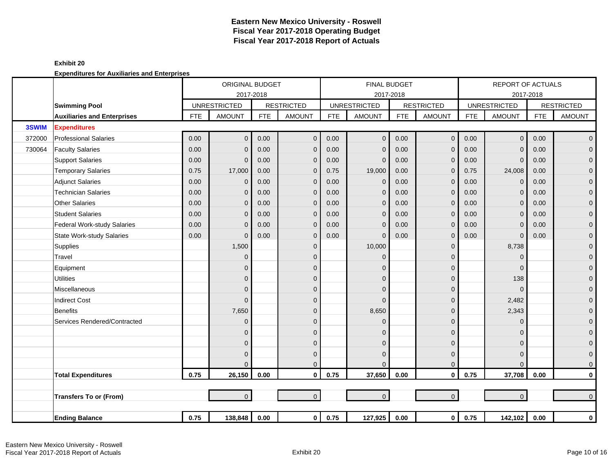|        |                                    |            | <b>ORIGINAL BUDGET</b> |            |                   |            | <b>FINAL BUDGET</b> |            |                   |            | <b>REPORT OF ACTUALS</b> |            |                   |
|--------|------------------------------------|------------|------------------------|------------|-------------------|------------|---------------------|------------|-------------------|------------|--------------------------|------------|-------------------|
|        |                                    |            | 2017-2018              |            |                   |            | 2017-2018           |            |                   |            | 2017-2018                |            |                   |
|        | <b>Swimming Pool</b>               |            | <b>UNRESTRICTED</b>    |            | <b>RESTRICTED</b> |            | <b>UNRESTRICTED</b> |            | <b>RESTRICTED</b> |            | <b>UNRESTRICTED</b>      |            | <b>RESTRICTED</b> |
|        | <b>Auxiliaries and Enterprises</b> | <b>FTE</b> | <b>AMOUNT</b>          | <b>FTE</b> | <b>AMOUNT</b>     | <b>FTE</b> | <b>AMOUNT</b>       | <b>FTE</b> | <b>AMOUNT</b>     | <b>FTE</b> | <b>AMOUNT</b>            | <b>FTE</b> | <b>AMOUNT</b>     |
| 3SWIM  | <b>Expenditures</b>                |            |                        |            |                   |            |                     |            |                   |            |                          |            |                   |
| 372000 | <b>Professional Salaries</b>       | 0.00       | $\overline{0}$         | 0.00       | $\mathbf{0}$      | 0.00       | $\mathbf{0}$        | 0.00       | $\mathbf 0$       | 0.00       | $\mathbf{0}$             | 0.00       | $\overline{0}$    |
| 730064 | <b>Faculty Salaries</b>            | 0.00       | $\mathbf{0}$           | 0.00       | $\mathbf 0$       | 0.00       | $\mathbf{0}$        | 0.00       | $\mathbf 0$       | 0.00       | $\Omega$                 | 0.00       | $\mathbf 0$       |
|        | <b>Support Salaries</b>            | 0.00       | $\mathbf{0}$           | 0.00       | $\mathbf 0$       | 0.00       | $\mathbf 0$         | 0.00       | $\mathbf 0$       | 0.00       | $\mathbf 0$              | 0.00       | $\overline{0}$    |
|        | <b>Temporary Salaries</b>          | 0.75       | 17,000                 | 0.00       | $\mathbf 0$       | 0.75       | 19,000              | 0.00       | $\mathbf{0}$      | 0.75       | 24,008                   | 0.00       | $\mathbf 0$       |
|        | <b>Adjunct Salaries</b>            | 0.00       | $\mathbf 0$            | 0.00       | $\overline{0}$    | 0.00       | $\mathbf{0}$        | 0.00       | $\mathbf 0$       | 0.00       | $\Omega$                 | 0.00       | $\mathbf{O}$      |
|        | <b>Technician Salaries</b>         | 0.00       | $\mathbf{0}$           | 0.00       | $\mathbf 0$       | 0.00       | $\mathbf 0$         | 0.00       | $\mathbf 0$       | 0.00       | $\Omega$                 | 0.00       | $\mathbf{O}$      |
|        | <b>Other Salaries</b>              | 0.00       | $\overline{0}$         | 0.00       | $\mathbf 0$       | 0.00       | $\mathbf{0}$        | 0.00       | $\mathbf{0}$      | 0.00       | $\Omega$                 | 0.00       | $\mathbf 0$       |
|        | <b>Student Salaries</b>            | 0.00       | $\mathbf{0}$           | 0.00       | $\overline{0}$    | 0.00       | $\mathbf{0}$        | 0.00       | $\mathbf 0$       | 0.00       | $\Omega$                 | 0.00       | $\overline{0}$    |
|        | Federal Work-study Salaries        | 0.00       | $\mathbf{0}$           | 0.00       | $\mathbf 0$       | 0.00       | $\mathbf 0$         | 0.00       | $\mathbf 0$       | 0.00       | $\Omega$                 | 0.00       | $\mathbf 0$       |
|        | <b>State Work-study Salaries</b>   | 0.00       | $\mathbf{0}$           | 0.00       | $\mathbf 0$       | 0.00       | $\mathbf{0}$        | 0.00       | $\mathbf 0$       | 0.00       | $\mathbf 0$              | 0.00       | $\pmb{0}$         |
|        | Supplies                           |            | 1,500                  |            | $\mathbf 0$       |            | 10,000              |            | $\mathbf 0$       |            | 8,738                    |            | $\mathbf{0}$      |
|        | Travel                             |            | $\overline{0}$         |            | $\mathbf{0}$      |            | $\Omega$            |            | $\mathbf{0}$      |            | $\Omega$                 |            | $\mathbf{0}$      |
|        | Equipment                          |            | $\overline{0}$         |            | $\Omega$          |            | $\Omega$            |            | $\mathbf{0}$      |            | $\Omega$                 |            | $\pmb{0}$         |
|        | <b>Utilities</b>                   |            | $\mathbf{0}$           |            | $\Omega$          |            | $\Omega$            |            | $\mathbf 0$       |            | 138                      |            | $\mathbf{O}$      |
|        | Miscellaneous                      |            | $\overline{0}$         |            | $\mathbf{0}$      |            | $\Omega$            |            | $\mathbf 0$       |            | $\Omega$                 |            | $\mathbf 0$       |
|        | <b>Indirect Cost</b>               |            | $\overline{0}$         |            | $\Omega$          |            | $\Omega$            |            | $\mathbf 0$       |            | 2,482                    |            | $\pmb{0}$         |
|        | Benefits                           |            | 7,650                  |            | $\Omega$          |            | 8,650               |            | $\mathbf 0$       |            | 2,343                    |            | $\mathbf{O}$      |
|        | Services Rendered/Contracted       |            | $\mathbf{0}$           |            | $\Omega$          |            | $\Omega$            |            | $\mathbf 0$       |            | $\Omega$                 |            | 0                 |
|        |                                    |            | $\overline{0}$         |            | $\Omega$          |            | $\Omega$            |            | $\mathbf 0$       |            | n                        |            | $\mathbf 0$       |
|        |                                    |            | $\overline{0}$         |            | $\Omega$          |            | $\Omega$            |            | $\mathbf 0$       |            | $\Omega$                 |            | $\mathbf{O}$      |
|        |                                    |            | $\mathbf{0}$           |            | $\mathbf 0$       |            | $\Omega$            |            | $\mathbf 0$       |            | $\Omega$                 |            | $\mathbf 0$       |
|        |                                    |            | $\Omega$               |            | $\mathbf 0$       |            | $\Omega$            |            | $\mathbf 0$       |            | $\Omega$                 |            | $\mathbf{0}$      |
|        | <b>Total Expenditures</b>          | 0.75       | 26,150                 | 0.00       | $\mathbf 0$       | 0.75       | 37,650              | 0.00       | $\mathbf 0$       | 0.75       | 37,708                   | 0.00       | $\overline{0}$    |
|        |                                    |            |                        |            |                   |            |                     |            |                   |            |                          |            |                   |
|        | <b>Transfers To or (From)</b>      |            | $\overline{0}$         |            | $\overline{0}$    |            | $\mathbf{0}$        |            | $\mathbf{0}$      |            | $\overline{0}$           |            | $\overline{0}$    |
|        |                                    |            |                        |            |                   |            |                     |            |                   |            |                          |            |                   |
|        | <b>Ending Balance</b>              | 0.75       | 138,848                | 0.00       | $\mathbf 0$       | 0.75       | 127,925             | 0.00       | $\mathbf 0$       | 0.75       | 142,102                  | 0.00       | $\mathbf{0}$      |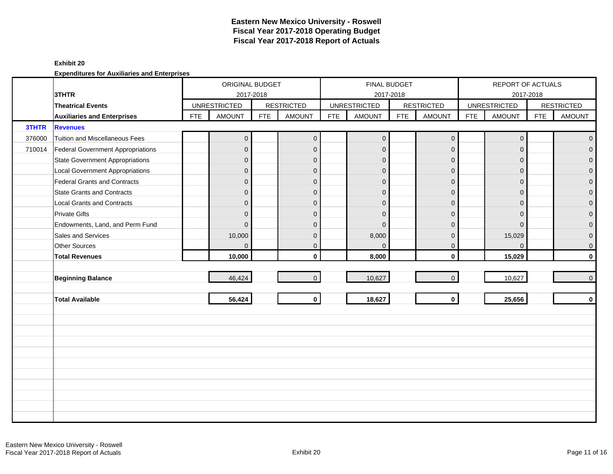### **Exhibit 20**

|        |                                        |            | ORIGINAL BUDGET     |            |                   |            | <b>FINAL BUDGET</b> |            |                   |            | REPORT OF ACTUALS   |            |                   |
|--------|----------------------------------------|------------|---------------------|------------|-------------------|------------|---------------------|------------|-------------------|------------|---------------------|------------|-------------------|
|        | 3THTR                                  |            | 2017-2018           |            |                   |            |                     | 2017-2018  |                   |            |                     | 2017-2018  |                   |
|        | <b>Theatrical Events</b>               |            | <b>UNRESTRICTED</b> |            | <b>RESTRICTED</b> |            | <b>UNRESTRICTED</b> |            | <b>RESTRICTED</b> |            | <b>UNRESTRICTED</b> |            | <b>RESTRICTED</b> |
|        | <b>Auxiliaries and Enterprises</b>     | <b>FTE</b> | <b>AMOUNT</b>       | <b>FTE</b> | <b>AMOUNT</b>     | <b>FTE</b> | <b>AMOUNT</b>       | <b>FTE</b> | <b>AMOUNT</b>     | <b>FTE</b> | <b>AMOUNT</b>       | <b>FTE</b> | <b>AMOUNT</b>     |
| 3THTR  | <b>Revenues</b>                        |            |                     |            |                   |            |                     |            |                   |            |                     |            |                   |
| 376000 | <b>Tuition and Miscellaneous Fees</b>  |            | $\overline{0}$      |            | $\overline{0}$    |            | $\overline{0}$      |            | $\mathbf 0$       |            | $\mathbf{0}$        |            | $\overline{0}$    |
| 710014 | Federal Government Appropriations      |            | $\overline{0}$      |            | $\mathbf{0}$      |            | $\mathbf{0}$        |            | $\mathbf{0}$      |            | $\Omega$            |            | $\overline{0}$    |
|        | <b>State Government Appropriations</b> |            | $\overline{0}$      |            | $\mathbf{0}$      |            | $\mathbf{0}$        |            | $\mathbf{0}$      |            | $\Omega$            |            | $\overline{0}$    |
|        | <b>Local Government Appropriations</b> |            | $\mathbf 0$         |            | $\mathbf 0$       |            | $\mathbf{0}$        |            | $\mathbf{0}$      |            | $\mathbf{0}$        |            | $\mathbf 0$       |
|        | <b>Federal Grants and Contracts</b>    |            | $\overline{0}$      |            | $\mathbf{0}$      |            | $\mathbf{0}$        |            | $\mathbf{0}$      |            | $\Omega$            |            | $\mathbf 0$       |
|        | <b>State Grants and Contracts</b>      |            | $\overline{0}$      |            | $\Omega$          |            | $\Omega$            |            | $\mathbf{0}$      |            | $\Omega$            |            | $\mathbf{0}$      |
|        | <b>Local Grants and Contracts</b>      |            | $\overline{0}$      |            | $\mathbf{0}$      |            | $\Omega$            |            | $\mathbf{0}$      |            | $\Omega$            |            | $\mathbf 0$       |
|        | <b>Private Gifts</b>                   |            | $\overline{0}$      |            | $\mathbf{0}$      |            | $\Omega$            |            | $\mathbf{0}$      |            | $\Omega$            |            | $\mathbf 0$       |
|        | Endowments, Land, and Perm Fund        |            | $\overline{0}$      |            | $\Omega$          |            | $\Omega$            |            | $\mathbf{0}$      |            | $\Omega$            |            | $\overline{0}$    |
|        | Sales and Services                     |            | 10,000              |            | $\mathbf{0}$      |            | 8,000               |            | $\mathbf{0}$      |            | 15,029              |            | $\pmb{0}$         |
|        | <b>Other Sources</b>                   |            | $\overline{0}$      |            | $\mathbf{0}$      |            | $\overline{0}$      |            | $\mathbf 0$       |            | $\Omega$            |            | $\overline{0}$    |
|        | <b>Total Revenues</b>                  |            | 10,000              |            | $\mathbf{0}$      |            | 8,000               |            | $\mathbf 0$       |            | 15,029              |            | $\mathbf{0}$      |
|        |                                        |            |                     |            |                   |            |                     |            |                   |            |                     |            |                   |
|        | <b>Beginning Balance</b>               |            | 46,424              |            | $\Omega$          |            | 10,627              |            | $\mathbf{0}$      |            | 10,627              |            | $\overline{0}$    |
|        |                                        |            |                     |            |                   |            |                     |            |                   |            |                     |            |                   |
|        | <b>Total Available</b>                 |            | 56,424              |            | $\mathbf 0$       |            | 18,627              |            | $\mathbf{0}$      |            | 25,656              |            | $\mathbf{0}$      |
|        |                                        |            |                     |            |                   |            |                     |            |                   |            |                     |            |                   |
|        |                                        |            |                     |            |                   |            |                     |            |                   |            |                     |            |                   |
|        |                                        |            |                     |            |                   |            |                     |            |                   |            |                     |            |                   |
|        |                                        |            |                     |            |                   |            |                     |            |                   |            |                     |            |                   |
|        |                                        |            |                     |            |                   |            |                     |            |                   |            |                     |            |                   |
|        |                                        |            |                     |            |                   |            |                     |            |                   |            |                     |            |                   |
|        |                                        |            |                     |            |                   |            |                     |            |                   |            |                     |            |                   |
|        |                                        |            |                     |            |                   |            |                     |            |                   |            |                     |            |                   |
|        |                                        |            |                     |            |                   |            |                     |            |                   |            |                     |            |                   |
|        |                                        |            |                     |            |                   |            |                     |            |                   |            |                     |            |                   |
|        |                                        |            |                     |            |                   |            |                     |            |                   |            |                     |            |                   |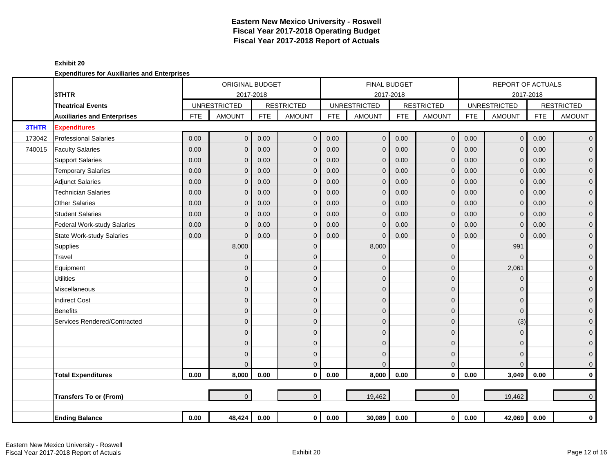|        |                                    |            | <b>ORIGINAL BUDGET</b> |            |                   |            | <b>FINAL BUDGET</b> |            |                   |            | <b>REPORT OF ACTUALS</b> |            |                   |
|--------|------------------------------------|------------|------------------------|------------|-------------------|------------|---------------------|------------|-------------------|------------|--------------------------|------------|-------------------|
|        | 3THTR                              |            | 2017-2018              |            |                   |            | 2017-2018           |            |                   |            | 2017-2018                |            |                   |
|        | <b>Theatrical Events</b>           |            | <b>UNRESTRICTED</b>    |            | <b>RESTRICTED</b> |            | <b>UNRESTRICTED</b> |            | <b>RESTRICTED</b> |            | <b>UNRESTRICTED</b>      |            | <b>RESTRICTED</b> |
|        | <b>Auxiliaries and Enterprises</b> | <b>FTE</b> | <b>AMOUNT</b>          | <b>FTE</b> | <b>AMOUNT</b>     | <b>FTE</b> | <b>AMOUNT</b>       | <b>FTE</b> | <b>AMOUNT</b>     | <b>FTE</b> | <b>AMOUNT</b>            | <b>FTE</b> | <b>AMOUNT</b>     |
| 3THTR  | <b>Expenditures</b>                |            |                        |            |                   |            |                     |            |                   |            |                          |            |                   |
| 173042 | <b>Professional Salaries</b>       | 0.00       | $\mathbf{0}$           | 0.00       | $\mathbf{0}$      | 0.00       | $\overline{0}$      | 0.00       | $\mathbf{0}$      | 0.00       | $\mathbf{0}$             | 0.00       | $\overline{0}$    |
| 740015 | <b>Faculty Salaries</b>            | 0.00       | $\mathbf{0}$           | 0.00       | $\mathbf 0$       | 0.00       | $\mathbf{0}$        | 0.00       | $\mathbf 0$       | 0.00       | $\Omega$                 | 0.00       | $\mathbf 0$       |
|        | <b>Support Salaries</b>            | 0.00       | $\Omega$               | 0.00       | $\mathbf 0$       | 0.00       | $\mathbf{0}$        | 0.00       | $\mathbf{0}$      | 0.00       | $\Omega$                 | 0.00       | $\mathbf 0$       |
|        | <b>Temporary Salaries</b>          | 0.00       | $\Omega$               | 0.00       | $\overline{0}$    | 0.00       | $\Omega$            | 0.00       | $\mathbf{0}$      | 0.00       | $\Omega$                 | 0.00       | $\mathbf 0$       |
|        | <b>Adjunct Salaries</b>            | 0.00       | $\Omega$               | 0.00       | $\mathbf{0}$      | 0.00       | $\mathbf{0}$        | 0.00       | $\mathbf{0}$      | 0.00       | $\Omega$                 | 0.00       | $\mathbf 0$       |
|        | <b>Technician Salaries</b>         | 0.00       | $\Omega$               | 0.00       | $\mathbf 0$       | 0.00       | $\overline{0}$      | 0.00       | $\mathbf{0}$      | 0.00       | $\Omega$                 | 0.00       | $\mathbf{O}$      |
|        | <b>Other Salaries</b>              | 0.00       | $\Omega$               | 0.00       | $\mathbf 0$       | 0.00       | $\Omega$            | 0.00       | $\mathbf{0}$      | 0.00       | $\Omega$                 | 0.00       | $\mathbf 0$       |
|        | <b>Student Salaries</b>            | 0.00       | $\Omega$               | 0.00       | $\mathbf{0}$      | 0.00       | $\mathbf{0}$        | 0.00       | $\mathbf{0}$      | 0.00       | $\Omega$                 | 0.00       | $\mathbf{0}$      |
|        | Federal Work-study Salaries        | 0.00       | $\mathbf{0}$           | 0.00       | $\overline{0}$    | 0.00       | $\mathbf{0}$        | 0.00       | $\mathbf 0$       | 0.00       | $\Omega$                 | 0.00       | $\mathbf{O}$      |
|        | <b>State Work-study Salaries</b>   | 0.00       | $\Omega$               | 0.00       | $\mathbf 0$       | 0.00       | $\mathbf{0}$        | 0.00       | $\mathbf 0$       | 0.00       | $\mathbf 0$              | 0.00       | $\mathbf 0$       |
|        | Supplies                           |            | 8,000                  |            | $\mathbf 0$       |            | 8,000               |            | $\mathbf 0$       |            | 991                      |            | $\mathbf{0}$      |
|        | Travel                             |            | $\mathbf 0$            |            | $\mathbf{0}$      |            | $\mathbf{0}$        |            | $\mathbf 0$       |            | $\Omega$                 |            | $\mathbf 0$       |
|        | Equipment                          |            | $\mathbf{0}$           |            | $\mathbf 0$       |            | $\Omega$            |            | $\mathbf 0$       |            | 2,061                    |            | $\mathbf 0$       |
|        | <b>Utilities</b>                   |            | $\mathbf{0}$           |            | $\mathbf{0}$      |            | $\mathbf{0}$        |            | $\mathbf 0$       |            | $\overline{0}$           |            | $\mathbf 0$       |
|        | Miscellaneous                      |            | $\mathbf{0}$           |            | $\mathbf 0$       |            | $\mathbf{0}$        |            | $\mathbf 0$       |            | $\Omega$                 |            | $\pmb{0}$         |
|        | <b>Indirect Cost</b>               |            | $\mathbf{0}$           |            | $\mathbf{0}$      |            | $\mathbf{0}$        |            | $\mathbf 0$       |            | $\Omega$                 |            | $\mathbf 0$       |
|        | <b>Benefits</b>                    |            | $\mathbf{0}$           |            | $\mathbf{0}$      |            | $\Omega$            |            | $\mathbf 0$       |            | $\Omega$                 |            | $\mathbf{O}$      |
|        | Services Rendered/Contracted       |            | $\overline{0}$         |            | $\mathbf{0}$      |            | $\mathbf{0}$        |            | $\mathbf 0$       |            | (3)                      |            | 0                 |
|        |                                    |            | $\mathbf{0}$           |            | $\mathbf 0$       |            | $\Omega$            |            | $\mathbf 0$       |            | $\Omega$                 |            | $\mathbf 0$       |
|        |                                    |            | $\mathbf{0}$           |            | $\mathbf{0}$      |            | $\mathbf{0}$        |            | $\mathbf 0$       |            | $\Omega$                 |            | $\mathbf 0$       |
|        |                                    |            | $\mathbf{0}$           |            | $\mathbf 0$       |            | $\Omega$            |            | $\mathbf 0$       |            | $\Omega$                 |            | $\mathbf 0$       |
|        |                                    |            | $\Omega$               |            | $\mathbf{0}$      |            | $\Omega$            |            | $\mathbf 0$       |            | $\Omega$                 |            | $\mathbf{0}$      |
|        | <b>Total Expenditures</b>          | $0.00\,$   | 8,000                  | 0.00       | $\mathbf 0$       | 0.00       | 8,000               | 0.00       | $\mathbf 0$       | 0.00       | 3,049                    | 0.00       | $\mathbf 0$       |
|        |                                    |            |                        |            |                   |            |                     |            |                   |            |                          |            |                   |
|        | <b>Transfers To or (From)</b>      |            | $\overline{0}$         |            | $\overline{0}$    |            | 19,462              |            | $\mathbf{0}$      |            | 19,462                   |            | $\mathbf{0}$      |
|        |                                    |            |                        |            |                   |            |                     |            |                   |            |                          |            |                   |
|        | <b>Ending Balance</b>              | $0.00\,$   | 48,424                 | 0.00       | $\mathbf{0}$      | 0.00       | 30,089              | 0.00       | $\mathbf 0$       | 0.00       | 42,069                   | 0.00       | $\mathbf{0}$      |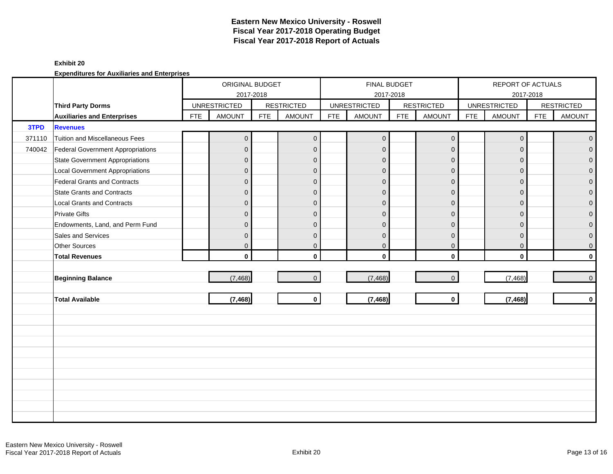### **Exhibit 20**

|        |                                          |            | ORIGINAL BUDGET<br>2017-2018 |            |                   |            | FINAL BUDGET        | 2017-2018  |                   |            | REPORT OF ACTUALS   | 2017-2018  |                   |
|--------|------------------------------------------|------------|------------------------------|------------|-------------------|------------|---------------------|------------|-------------------|------------|---------------------|------------|-------------------|
|        | <b>Third Party Dorms</b>                 |            | <b>UNRESTRICTED</b>          |            | <b>RESTRICTED</b> |            | <b>UNRESTRICTED</b> |            | <b>RESTRICTED</b> |            | <b>UNRESTRICTED</b> |            | <b>RESTRICTED</b> |
|        | <b>Auxiliaries and Enterprises</b>       | <b>FTE</b> | <b>AMOUNT</b>                | <b>FTE</b> | <b>AMOUNT</b>     | <b>FTE</b> | <b>AMOUNT</b>       | <b>FTE</b> | <b>AMOUNT</b>     | <b>FTE</b> | <b>AMOUNT</b>       | <b>FTE</b> | <b>AMOUNT</b>     |
| 3TPD   | <b>Revenues</b>                          |            |                              |            |                   |            |                     |            |                   |            |                     |            |                   |
| 371110 | <b>Tuition and Miscellaneous Fees</b>    |            | $\overline{0}$               |            | $\overline{0}$    |            | $\overline{0}$      |            | $\mathbf{0}$      |            | $\overline{0}$      |            | $\overline{0}$    |
| 740042 | <b>Federal Government Appropriations</b> |            | $\overline{0}$               |            | $\mathbf{0}$      |            | $\mathbf{0}$        |            | $\mathbf{0}$      |            | $\Omega$            |            | $\overline{0}$    |
|        | <b>State Government Appropriations</b>   |            | $\overline{0}$               |            | $\mathbf{0}$      |            | $\overline{0}$      |            | $\mathbf{0}$      |            | $\Omega$            |            | $\overline{0}$    |
|        | <b>Local Government Appropriations</b>   |            | $\mathbf{0}$                 |            | $\mathbf{0}$      |            | $\mathbf{0}$        |            | $\mathbf{0}$      |            | $\mathbf{0}$        |            | $\pmb{0}$         |
|        | <b>Federal Grants and Contracts</b>      |            | $\overline{0}$               |            | $\mathbf{0}$      |            | $\mathbf{0}$        |            | $\mathbf 0$       |            | $\Omega$            |            | $\pmb{0}$         |
|        | <b>State Grants and Contracts</b>        |            | $\overline{0}$               |            | $\Omega$          |            | $\Omega$            |            | $\mathbf{0}$      |            | $\Omega$            |            | $\mathbf{0}$      |
|        | <b>Local Grants and Contracts</b>        |            | $\overline{0}$               |            | $\mathbf{0}$      |            | $\Omega$            |            | $\mathbf{0}$      |            | $\Omega$            |            | $\pmb{0}$         |
|        | <b>Private Gifts</b>                     |            | $\overline{0}$               |            | $\mathbf{0}$      |            | $\Omega$            |            | $\mathbf{0}$      |            | $\Omega$            |            | $\mathsf{O}^-$    |
|        | Endowments, Land, and Perm Fund          |            | $\overline{0}$               |            | $\Omega$          |            | $\mathbf{0}$        |            | $\mathbf{0}$      |            | $\Omega$            |            | $\overline{0}$    |
|        | Sales and Services                       |            | $\mathsf{O}\xspace$          |            | $\mathbf{0}$      |            | $\mathbf{0}$        |            | $\mathbf{0}$      |            | $\mathbf{0}$        |            | $\overline{0}$    |
|        | <b>Other Sources</b>                     |            | $\overline{0}$               |            | $\mathbf{0}$      |            | $\mathbf 0$         |            | $\mathbf{0}$      |            | $\mathbf{0}$        |            | $\overline{0}$    |
|        | <b>Total Revenues</b>                    |            | $\mathbf{0}$                 |            | $\mathbf{0}$      |            | $\mathbf{0}$        |            | $\mathbf 0$       |            | $\mathbf 0$         |            | $\mathbf{0}$      |
|        |                                          |            |                              |            |                   |            |                     |            |                   |            |                     |            |                   |
|        | <b>Beginning Balance</b>                 |            | (7, 468)                     |            | $\overline{0}$    |            | (7, 468)            |            | $\mathbf{0}$      |            | (7, 468)            |            | $\overline{0}$    |
|        |                                          |            |                              |            |                   |            |                     |            |                   |            |                     |            |                   |
|        | <b>Total Available</b>                   |            | (7, 468)                     |            | $\mathbf{0}$      |            | (7, 468)            |            | $\mathbf{0}$      |            | (7, 468)            |            | $\mathbf{0}$      |
|        |                                          |            |                              |            |                   |            |                     |            |                   |            |                     |            |                   |
|        |                                          |            |                              |            |                   |            |                     |            |                   |            |                     |            |                   |
|        |                                          |            |                              |            |                   |            |                     |            |                   |            |                     |            |                   |
|        |                                          |            |                              |            |                   |            |                     |            |                   |            |                     |            |                   |
|        |                                          |            |                              |            |                   |            |                     |            |                   |            |                     |            |                   |
|        |                                          |            |                              |            |                   |            |                     |            |                   |            |                     |            |                   |
|        |                                          |            |                              |            |                   |            |                     |            |                   |            |                     |            |                   |
|        |                                          |            |                              |            |                   |            |                     |            |                   |            |                     |            |                   |
|        |                                          |            |                              |            |                   |            |                     |            |                   |            |                     |            |                   |
|        |                                          |            |                              |            |                   |            |                     |            |                   |            |                     |            |                   |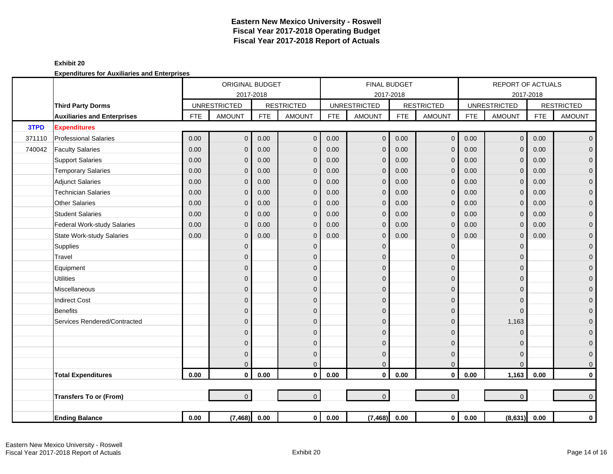|        |                                    |            | ORIGINAL BUDGET     |            |                         |            |                     | <b>FINAL BUDGET</b> |                   |            | <b>REPORT OF ACTUALS</b> |            |                   |
|--------|------------------------------------|------------|---------------------|------------|-------------------------|------------|---------------------|---------------------|-------------------|------------|--------------------------|------------|-------------------|
|        |                                    |            | 2017-2018           |            |                         |            | 2017-2018           |                     |                   |            |                          | 2017-2018  |                   |
|        | <b>Third Party Dorms</b>           |            | <b>UNRESTRICTED</b> |            | <b>RESTRICTED</b>       |            | <b>UNRESTRICTED</b> |                     | <b>RESTRICTED</b> |            | <b>UNRESTRICTED</b>      |            | <b>RESTRICTED</b> |
|        | <b>Auxiliaries and Enterprises</b> | <b>FTE</b> | <b>AMOUNT</b>       | <b>FTE</b> | <b>AMOUNT</b>           | <b>FTE</b> | <b>AMOUNT</b>       | <b>FTE</b>          | <b>AMOUNT</b>     | <b>FTE</b> | <b>AMOUNT</b>            | <b>FTE</b> | <b>AMOUNT</b>     |
| 3TPD   | <b>Expenditures</b>                |            |                     |            |                         |            |                     |                     |                   |            |                          |            |                   |
| 371110 | <b>Professional Salaries</b>       | 0.00       | $\overline{0}$      | 0.00       | $\mathbf 0$             | 0.00       | $\mathbf 0$         | 0.00                | $\mathbf 0$       | 0.00       | $\overline{0}$           | 0.00       | $\overline{0}$    |
| 740042 | <b>Faculty Salaries</b>            | 0.00       | $\overline{0}$      | 0.00       | $\mathbf{0}$            | 0.00       | $\overline{0}$      | 0.00                | $\mathbf{0}$      | 0.00       | $\Omega$                 | 0.00       | $\mathbf 0$       |
|        | <b>Support Salaries</b>            | 0.00       | $\mathbf{0}$        | 0.00       | $\mathbf{0}$            | 0.00       | $\mathbf{0}$        | 0.00                | $\mathbf{0}$      | 0.00       | $\Omega$                 | 0.00       | $\mathbf 0$       |
|        | <b>Temporary Salaries</b>          | 0.00       | $\mathbf{0}$        | 0.00       | $\mathbf{0}$            | 0.00       | $\mathbf 0$         | 0.00                | $\mathbf{0}$      | 0.00       | $\Omega$                 | 0.00       | $\mathbf 0$       |
|        | Adjunct Salaries                   | 0.00       | $\mathbf{0}$        | 0.00       | $\mathbf{0}$            | 0.00       | $\mathbf{0}$        | 0.00                | $\mathbf{0}$      | 0.00       | $\Omega$                 | 0.00       | $\mathbf 0$       |
|        | <b>Technician Salaries</b>         | 0.00       | $\mathbf{0}$        | 0.00       | $\mathbf{0}$            | 0.00       | $\mathbf{0}$        | 0.00                | $\mathbf 0$       | 0.00       | $\mathbf{0}$             | 0.00       | $\mathbf 0$       |
|        | <b>Other Salaries</b>              | 0.00       | $\mathbf{0}$        | 0.00       | $\mathbf{0}$            | 0.00       | $\mathbf{0}$        | 0.00                | $\mathbf{0}$      | 0.00       | $\mathbf{0}$             | 0.00       | $\pmb{0}$         |
|        | <b>Student Salaries</b>            | 0.00       | $\Omega$            | 0.00       | $\Omega$                | 0.00       | $\Omega$            | 0.00                | $\mathbf{0}$      | 0.00       | $\Omega$                 | 0.00       | $\overline{0}$    |
|        | Federal Work-study Salaries        | 0.00       | $\mathbf{0}$        | 0.00       | $\mathbf{0}$            | 0.00       | $\overline{0}$      | 0.00                | $\mathbf{0}$      | 0.00       | $\Omega$                 | 0.00       | $\pmb{0}$         |
|        | <b>State Work-study Salaries</b>   | 0.00       | $\mathbf{0}$        | 0.00       | $\mathbf{0}$            | 0.00       | $\mathbf 0$         | 0.00                | $\mathbf{0}$      | 0.00       | $\Omega$                 | 0.00       | $\pmb{0}$         |
|        | Supplies                           |            | $\overline{0}$      |            | $\mathbf{0}$            |            | $\mathbf 0$         |                     | $\mathbf{0}$      |            | $\Omega$                 |            | $\mathbf 0$       |
|        | Travel                             |            | $\mathbf{0}$        |            | $\mathbf{0}$            |            | $\mathbf{0}$        |                     | $\mathbf{0}$      |            | $\Omega$                 |            | $\mathbf 0$       |
|        | Equipment                          |            | 0                   |            | $\mathbf{0}$            |            | $\mathbf 0$         |                     | $\mathbf{0}$      |            | $\Omega$                 |            | $\pmb{0}$         |
|        | <b>Utilities</b>                   |            | $\mathbf{0}$        |            | $\mathbf{0}$            |            | $\mathbf{0}$        |                     | $\mathbf 0$       |            | $\mathbf{0}$             |            | $\mathbf 0$       |
|        | Miscellaneous                      |            | $\overline{0}$      |            | $\Omega$                |            | $\Omega$            |                     | $\Omega$          |            | $\Omega$                 |            | $\mathbf 0$       |
|        | <b>Indirect Cost</b>               |            | $\mathbf{0}$        |            | $\Omega$                |            | $\Omega$            |                     | $\mathbf{0}$      |            | $\Omega$                 |            | $\mathbf 0$       |
|        | <b>Benefits</b>                    |            | $\overline{0}$      |            | $\Omega$                |            | $\Omega$            |                     | $\Omega$          |            | $\Omega$                 |            | $\mathbf{O}$      |
|        | Services Rendered/Contracted       |            | $\overline{0}$      |            | $\mathbf{0}$            |            | $\mathbf{0}$        |                     | $\Omega$          |            | 1,163                    |            | $\mathbf 0$       |
|        |                                    |            | 0                   |            | $\Omega$                |            | $\Omega$            |                     | $\overline{0}$    |            | $\Omega$                 |            | $\mathbf 0$       |
|        |                                    |            | $\mathbf{0}$        |            | $\mathbf{0}$            |            | $\mathbf{0}$        |                     | $\mathbf 0$       |            | $\Omega$                 |            | $\mathbf 0$       |
|        |                                    |            | $\mathbf{0}$        |            | $\mathbf{0}$            |            | $\mathbf{0}$        |                     | $\mathbf{0}$      |            | $\Omega$                 |            | $\mathbf{O}$      |
|        |                                    |            | $\overline{0}$      |            | $\Omega$                |            | $\mathbf 0$         |                     | $\mathbf{0}$      |            | $\Omega$                 |            | $\mathbf{0}$      |
|        | <b>Total Expenditures</b>          | 0.00       | $\mathbf{0}$        | 0.00       | $\mathbf{0}$            | 0.00       | $\mathbf 0$         | 0.00                | $\mathbf{0}$      | 0.00       | 1,163                    | 0.00       | $\mathbf 0$       |
|        |                                    |            |                     |            |                         |            |                     |                     |                   |            |                          |            |                   |
|        | <b>Transfers To or (From)</b>      |            | $\overline{0}$      |            | $\overline{0}$          |            | $\mathbf{0}$        |                     | $\mathbf{0}$      |            | $\overline{0}$           |            | $\mathbf{0}$      |
|        |                                    |            |                     |            |                         |            |                     |                     |                   |            |                          |            |                   |
|        | <b>Ending Balance</b>              | 0.00       | (7, 468)            | 0.00       | $\overline{\mathbf{0}}$ | 0.00       | (7, 468)            | 0.00                | $\mathbf 0$       | $0.00\,$   | (8,631)                  | 0.00       | $\mathbf 0$       |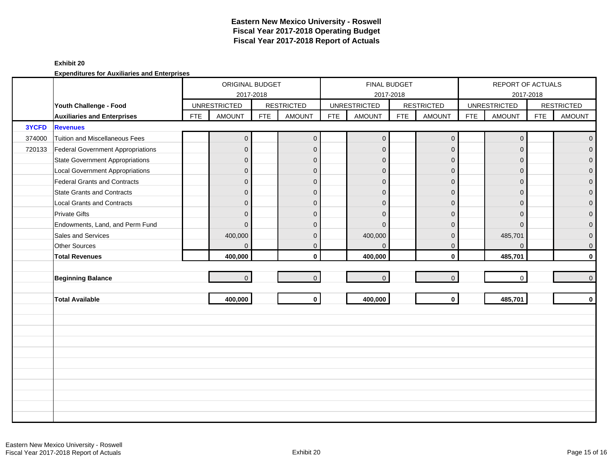### **Exhibit 20**

|        |                                          |            | ORIGINAL BUDGET<br>2017-2018 |            |                   |            | FINAL BUDGET<br>2017-2018 |            |                     |            | REPORT OF ACTUALS<br>2017-2018 |            |                   |
|--------|------------------------------------------|------------|------------------------------|------------|-------------------|------------|---------------------------|------------|---------------------|------------|--------------------------------|------------|-------------------|
|        | Youth Challenge - Food                   |            | <b>UNRESTRICTED</b>          |            | <b>RESTRICTED</b> |            | <b>UNRESTRICTED</b>       |            | <b>RESTRICTED</b>   |            | <b>UNRESTRICTED</b>            |            | <b>RESTRICTED</b> |
|        | <b>Auxiliaries and Enterprises</b>       | <b>FTE</b> | <b>AMOUNT</b>                | <b>FTE</b> | <b>AMOUNT</b>     | <b>FTE</b> | <b>AMOUNT</b>             | <b>FTE</b> | <b>AMOUNT</b>       | <b>FTE</b> | <b>AMOUNT</b>                  | <b>FTE</b> | <b>AMOUNT</b>     |
| 3YCFD  | <b>Revenues</b>                          |            |                              |            |                   |            |                           |            |                     |            |                                |            |                   |
| 374000 | <b>Tuition and Miscellaneous Fees</b>    |            | $\overline{0}$               |            | $\overline{0}$    |            | $\overline{0}$            |            | $\mathsf{O}\xspace$ |            | $\mathbf 0$                    |            | $\overline{0}$    |
| 720133 | <b>Federal Government Appropriations</b> |            | $\overline{0}$               |            | $\mathbf{0}$      |            | $\mathbf{0}$              |            | $\mathbf{0}$        |            | $\Omega$                       |            | $\overline{0}$    |
|        | <b>State Government Appropriations</b>   |            | $\overline{0}$               |            | $\mathbf{0}$      |            | $\mathbf{0}$              |            | $\mathbf{0}$        |            | $\Omega$                       |            | $\overline{0}$    |
|        | <b>Local Government Appropriations</b>   |            | $\mathsf{O}\xspace$          |            | $\mathbf{0}$      |            | $\mathbf{0}$              |            | $\mathbf{0}$        |            | $\mathbf{0}$                   |            | $\pmb{0}$         |
|        | <b>Federal Grants and Contracts</b>      |            | $\overline{0}$               |            | $\mathbf{0}$      |            | $\mathbf{0}$              |            | $\mathbf 0$         |            | $\Omega$                       |            | $\mathbf 0$       |
|        | <b>State Grants and Contracts</b>        |            | $\overline{0}$               |            | $\Omega$          |            | $\Omega$                  |            | $\mathbf{0}$        |            | $\Omega$                       |            | $\mathbf{0}$      |
|        | <b>Local Grants and Contracts</b>        |            | $\overline{0}$               |            | $\mathbf{0}$      |            | $\Omega$                  |            | $\mathbf{0}$        |            | $\Omega$                       |            | $\mathbf 0$       |
|        | <b>Private Gifts</b>                     |            | $\overline{0}$               |            | $\mathbf{0}$      |            | $\Omega$                  |            | $\mathbf{0}$        |            | $\Omega$                       |            | $\pmb{0}$         |
|        | Endowments, Land, and Perm Fund          |            | $\overline{0}$               |            | $\Omega$          |            | $\Omega$                  |            | $\mathbf{0}$        |            | $\Omega$                       |            | $\mathbf 0$       |
|        | Sales and Services                       |            | 400,000                      |            | $\mathbf{0}$      |            | 400,000                   |            | $\mathbf{0}$        |            | 485,701                        |            | $\overline{0}$    |
|        | <b>Other Sources</b>                     |            | $\overline{0}$               |            | $\mathbf{0}$      |            | $\Omega$                  |            | $\mathbf{0}$        |            | $\Omega$                       |            | $\overline{0}$    |
|        | <b>Total Revenues</b>                    |            | 400,000                      |            | $\mathbf{0}$      |            | 400,000                   |            | $\mathbf{0}$        |            | 485,701                        |            | $\mathbf{0}$      |
|        |                                          |            |                              |            |                   |            |                           |            |                     |            |                                |            |                   |
|        | <b>Beginning Balance</b>                 |            | $\overline{0}$               |            | $\mathbf{0}$      |            | $\overline{0}$            |            | $\mathbf{0}$        |            | $\mathbf 0$                    |            | $\overline{0}$    |
|        |                                          |            |                              |            |                   |            |                           |            |                     |            |                                |            |                   |
|        | <b>Total Available</b>                   |            | 400,000                      |            | $\mathbf 0$       |            | 400,000                   |            | $\mathbf{0}$        |            | 485,701                        |            | $\mathbf{0}$      |
|        |                                          |            |                              |            |                   |            |                           |            |                     |            |                                |            |                   |
|        |                                          |            |                              |            |                   |            |                           |            |                     |            |                                |            |                   |
|        |                                          |            |                              |            |                   |            |                           |            |                     |            |                                |            |                   |
|        |                                          |            |                              |            |                   |            |                           |            |                     |            |                                |            |                   |
|        |                                          |            |                              |            |                   |            |                           |            |                     |            |                                |            |                   |
|        |                                          |            |                              |            |                   |            |                           |            |                     |            |                                |            |                   |
|        |                                          |            |                              |            |                   |            |                           |            |                     |            |                                |            |                   |
|        |                                          |            |                              |            |                   |            |                           |            |                     |            |                                |            |                   |
|        |                                          |            |                              |            |                   |            |                           |            |                     |            |                                |            |                   |
|        |                                          |            |                              |            |                   |            |                           |            |                     |            |                                |            |                   |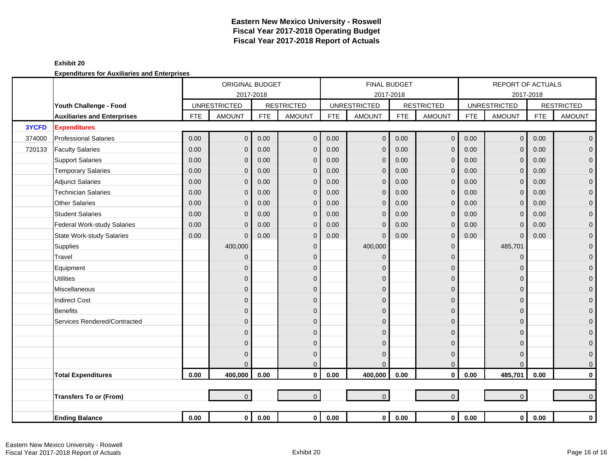|        |                                    |            | ORIGINAL BUDGET     |            |                   |            |                         | <b>FINAL BUDGET</b> |                   |            | <b>REPORT OF ACTUALS</b> |            |                   |
|--------|------------------------------------|------------|---------------------|------------|-------------------|------------|-------------------------|---------------------|-------------------|------------|--------------------------|------------|-------------------|
|        |                                    |            | 2017-2018           |            |                   |            |                         | 2017-2018           |                   |            |                          | 2017-2018  |                   |
|        | Youth Challenge - Food             |            | <b>UNRESTRICTED</b> |            | <b>RESTRICTED</b> |            | <b>UNRESTRICTED</b>     |                     | <b>RESTRICTED</b> |            | <b>UNRESTRICTED</b>      |            | <b>RESTRICTED</b> |
|        | <b>Auxiliaries and Enterprises</b> | <b>FTE</b> | <b>AMOUNT</b>       | <b>FTE</b> | <b>AMOUNT</b>     | <b>FTE</b> | <b>AMOUNT</b>           | <b>FTE</b>          | <b>AMOUNT</b>     | <b>FTE</b> | <b>AMOUNT</b>            | <b>FTE</b> | <b>AMOUNT</b>     |
| 3YCFD  | <b>Expenditures</b>                |            |                     |            |                   |            |                         |                     |                   |            |                          |            |                   |
| 374000 | <b>Professional Salaries</b>       | 0.00       | $\overline{0}$      | 0.00       | $\mathbf 0$       | 0.00       | $\overline{0}$          | 0.00                | $\mathbf 0$       | 0.00       | $\mathsf{O}\xspace$      | 0.00       | $\overline{0}$    |
| 720133 | <b>Faculty Salaries</b>            | 0.00       | $\overline{0}$      | 0.00       | $\mathbf{0}$      | 0.00       | $\mathbf{0}$            | 0.00                | $\mathbf{0}$      | 0.00       | $\Omega$                 | 0.00       | $\overline{0}$    |
|        | <b>Support Salaries</b>            | 0.00       | $\mathbf{0}$        | 0.00       | $\mathbf{0}$      | 0.00       | $\mathbf 0$             | 0.00                | $\mathbf{0}$      | 0.00       | $\mathbf{0}$             | 0.00       | $\mathbf 0$       |
|        | <b>Temporary Salaries</b>          | 0.00       | $\mathbf{0}$        | 0.00       | $\mathbf{0}$      | 0.00       | $\Omega$                | 0.00                | $\mathbf{0}$      | 0.00       | $\Omega$                 | 0.00       | $\pmb{0}$         |
|        | <b>Adjunct Salaries</b>            | 0.00       | $\mathbf{0}$        | 0.00       | $\mathbf{0}$      | 0.00       | $\mathbf{0}$            | 0.00                | $\mathbf{0}$      | 0.00       | $\Omega$                 | 0.00       | $\mathbf 0$       |
|        | <b>Technician Salaries</b>         | 0.00       | $\mathbf{0}$        | 0.00       | $\mathbf 0$       | 0.00       | $\mathbf 0$             | 0.00                | $\mathbf 0$       | 0.00       | $\mathbf{0}$             | 0.00       | $\mathbf 0$       |
|        | <b>Other Salaries</b>              | 0.00       | $\mathbf{0}$        | 0.00       | $\mathbf{0}$      | 0.00       | $\mathbf 0$             | 0.00                | $\mathbf{0}$      | 0.00       | $\mathbf{0}$             | 0.00       | $\pmb{0}$         |
|        | <b>Student Salaries</b>            | 0.00       | $\Omega$            | 0.00       | $\Omega$          | 0.00       | $\Omega$                | 0.00                | $\Omega$          | 0.00       | $\Omega$                 | 0.00       | $\overline{0}$    |
|        | Federal Work-study Salaries        | 0.00       | $\mathbf{0}$        | 0.00       | $\mathbf{0}$      | 0.00       | $\mathbf 0$             | 0.00                | $\mathbf{0}$      | 0.00       | $\Omega$                 | 0.00       | $\mathbf 0$       |
|        | <b>State Work-study Salaries</b>   | 0.00       | $\mathbf{0}$        | 0.00       | $\mathbf{0}$      | 0.00       | $\Omega$                | 0.00                | $\mathbf 0$       | 0.00       | $\mathbf{0}$             | 0.00       | $\pmb{0}$         |
|        | Supplies                           |            | 400,000             |            | $\mathbf{0}$      |            | 400,000                 |                     | $\mathbf 0$       |            | 485,701                  |            | $\mathbf 0$       |
|        | Travel                             |            | $\mathbf{0}$        |            | $\mathbf{0}$      |            | $\mathbf 0$             |                     | $\Omega$          |            | $\Omega$                 |            | $\mathbf 0$       |
|        | Equipment                          |            | 0                   |            | $\mathbf{0}$      |            | $\Omega$                |                     | $\mathbf 0$       |            | $\Omega$                 |            | $\mathbf 0$       |
|        | <b>Utilities</b>                   |            | $\mathbf 0$         |            | $\mathbf{0}$      |            | $\mathbf 0$             |                     | $\mathbf 0$       |            | $\Omega$                 |            | $\mathbf 0$       |
|        | Miscellaneous                      |            | $\overline{0}$      |            | $\mathbf{0}$      |            | $\Omega$                |                     | $\mathbf{0}$      |            | $\Omega$                 |            | $\mathbf 0$       |
|        | <b>Indirect Cost</b>               |            | $\overline{0}$      |            | $\Omega$          |            | $\Omega$                |                     | $\overline{0}$    |            | $\Omega$                 |            | $\pmb{0}$         |
|        | Benefits                           |            | $\overline{0}$      |            | $\Omega$          |            | $\Omega$                |                     | $\mathbf{0}$      |            | $\Omega$                 |            | $\mathbf 0$       |
|        | Services Rendered/Contracted       |            | $\overline{0}$      |            | $\mathbf{0}$      |            | $\Omega$                |                     | $\overline{0}$    |            | $\Omega$                 |            | $\mathbf 0$       |
|        |                                    |            | 0                   |            | $\mathbf{0}$      |            | $\Omega$                |                     | 0                 |            | $\Omega$                 |            | $\pmb{0}$         |
|        |                                    |            | $\mathbf 0$         |            | $\mathbf{0}$      |            | $\Omega$                |                     | $\mathbf 0$       |            | $\Omega$                 |            | $\mathbf 0$       |
|        |                                    |            | $\Omega$            |            | $\mathbf{0}$      |            | $\Omega$                |                     | $\mathbf 0$       |            | $\Omega$                 |            | $\mathbf 0$       |
|        |                                    |            | $\Omega$            |            | $\mathbf{0}$      |            | $\Omega$                |                     | $\mathbf{0}$      |            | $\Omega$                 |            | $\mathbf{O}$      |
|        | <b>Total Expenditures</b>          | 0.00       | 400,000             | 0.00       | $\mathbf{0}$      | 0.00       | 400,000                 | 0.00                | $\mathbf{0}$      | 0.00       | 485,701                  | 0.00       | $\mathbf 0$       |
|        |                                    |            |                     |            |                   |            |                         |                     |                   |            |                          |            |                   |
|        | <b>Transfers To or (From)</b>      |            | $\overline{0}$      |            | $\overline{0}$    |            | $\Omega$                |                     | $\mathbf 0$       |            | $\overline{0}$           |            | $\overline{0}$    |
|        |                                    |            |                     |            |                   |            |                         |                     |                   |            |                          |            |                   |
|        | <b>Ending Balance</b>              | 0.00       | $\overline{0}$      | 0.00       |                   | 0 0.00     | $\overline{\mathbf{0}}$ | 0.00                | $\mathbf 0$       | 0.00       | $\mathbf 0$              | 0.00       | $\mathbf 0$       |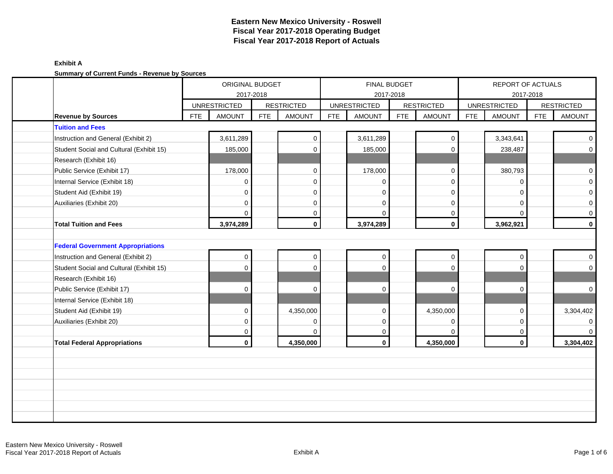|                                          |            | ORIGINAL BUDGET     |            |                   |            |                     | FINAL BUDGET |                   |            | REPORT OF ACTUALS   |            |                     |
|------------------------------------------|------------|---------------------|------------|-------------------|------------|---------------------|--------------|-------------------|------------|---------------------|------------|---------------------|
|                                          |            | <b>UNRESTRICTED</b> | 2017-2018  | <b>RESTRICTED</b> |            | <b>UNRESTRICTED</b> | 2017-2018    | <b>RESTRICTED</b> |            | <b>UNRESTRICTED</b> | 2017-2018  | <b>RESTRICTED</b>   |
| <b>Revenue by Sources</b>                | <b>FTE</b> | <b>AMOUNT</b>       | <b>FTE</b> | <b>AMOUNT</b>     | <b>FTE</b> | <b>AMOUNT</b>       | <b>FTE</b>   | <b>AMOUNT</b>     | <b>FTE</b> | <b>AMOUNT</b>       | <b>FTE</b> | <b>AMOUNT</b>       |
| <b>Tuition and Fees</b>                  |            |                     |            |                   |            |                     |              |                   |            |                     |            |                     |
| Instruction and General (Exhibit 2)      |            | 3,611,289           |            | $\mathbf 0$       |            | 3,611,289           |              | $\Omega$          |            | 3,343,641           |            | $\overline{0}$      |
| Student Social and Cultural (Exhibit 15) |            | 185,000             |            | $\Omega$          |            | 185,000             |              | $\mathbf 0$       |            | 238,487             |            | $\overline{0}$      |
| Research (Exhibit 16)                    |            |                     |            |                   |            |                     |              |                   |            |                     |            |                     |
| Public Service (Exhibit 17)              |            | 178,000             |            | $\mathbf 0$       |            | 178,000             |              | $\mathbf 0$       |            | 380,793             |            | $\mathbf 0$         |
| Internal Service (Exhibit 18)            |            | 0                   |            | $\mathbf 0$       |            | n                   |              | $\mathbf 0$       |            | $\Omega$            |            | $\mathsf{O}\xspace$ |
| Student Aid (Exhibit 19)                 |            | $\Omega$            |            | $\Omega$          |            | $\Omega$            |              | $\mathbf 0$       |            | $\Omega$            |            | $\mathbf 0$         |
| Auxiliaries (Exhibit 20)                 |            | $\Omega$            |            | $\Omega$          |            | $\Omega$            |              | $\mathbf 0$       |            | $\Omega$            |            | $\mathsf{O}\xspace$ |
|                                          |            | U                   |            | $\mathbf 0$       |            | $\Omega$            |              | 0                 |            | $\Omega$            |            | $\mathsf{O}\xspace$ |
| <b>Total Tuition and Fees</b>            |            | 3,974,289           |            | $\mathbf 0$       |            | 3,974,289           |              | $\mathbf 0$       |            | 3,962,921           |            | $\mathbf{0}$        |
|                                          |            |                     |            |                   |            |                     |              |                   |            |                     |            |                     |
| <b>Federal Government Appropriations</b> |            |                     |            |                   |            |                     |              |                   |            |                     |            |                     |
| Instruction and General (Exhibit 2)      |            | $\mathbf 0$         |            | $\mathbf 0$       |            | $\Omega$            |              | $\mathbf 0$       |            | 0                   |            | $\overline{0}$      |
| Student Social and Cultural (Exhibit 15) |            | $\Omega$            |            | $\Omega$          |            | $\Omega$            |              | $\Omega$          |            | $\Omega$            |            | $\overline{0}$      |
| Research (Exhibit 16)                    |            |                     |            |                   |            |                     |              |                   |            |                     |            |                     |
| Public Service (Exhibit 17)              |            | $\Omega$            |            | $\Omega$          |            | $\Omega$            |              | $\mathbf 0$       |            | $\Omega$            |            | $\overline{0}$      |
| Internal Service (Exhibit 18)            |            |                     |            |                   |            |                     |              |                   |            |                     |            |                     |
| Student Aid (Exhibit 19)                 |            | $\Omega$            |            | 4,350,000         |            | $\Omega$            |              | 4,350,000         |            | $\Omega$            |            | 3,304,402           |
| Auxiliaries (Exhibit 20)                 |            | $\Omega$            |            | $\mathbf 0$       |            | $\Omega$            |              | $\mathbf 0$       |            | $\Omega$            |            | $\overline{0}$      |
|                                          |            | 0                   |            | $\Omega$          |            | 0                   |              | 0                 |            | $\Omega$            |            | $\overline{0}$      |
| <b>Total Federal Appropriations</b>      |            | $\mathbf{0}$        |            | 4,350,000         |            | $\mathbf 0$         |              | 4,350,000         |            | $\mathbf 0$         |            | 3,304,402           |
|                                          |            |                     |            |                   |            |                     |              |                   |            |                     |            |                     |
|                                          |            |                     |            |                   |            |                     |              |                   |            |                     |            |                     |
|                                          |            |                     |            |                   |            |                     |              |                   |            |                     |            |                     |
|                                          |            |                     |            |                   |            |                     |              |                   |            |                     |            |                     |
|                                          |            |                     |            |                   |            |                     |              |                   |            |                     |            |                     |
|                                          |            |                     |            |                   |            |                     |              |                   |            |                     |            |                     |
|                                          |            |                     |            |                   |            |                     |              |                   |            |                     |            |                     |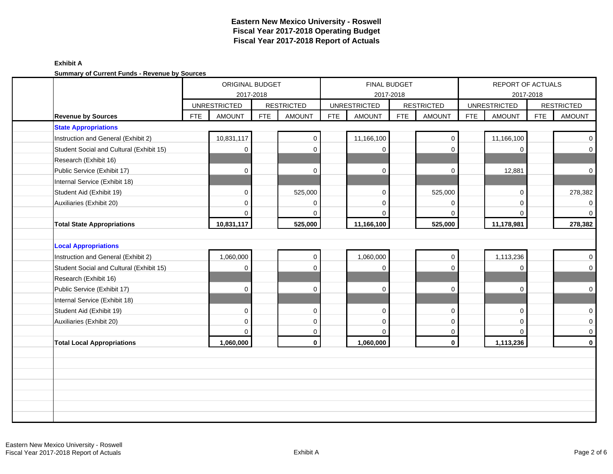|                                                              |                     | ORIGINAL BUDGET<br>2017-2018 |            |                   |            | 2017-2018           | FINAL BUDGET |                   |            | REPORT OF ACTUALS<br>2017-2018 |            |                   |
|--------------------------------------------------------------|---------------------|------------------------------|------------|-------------------|------------|---------------------|--------------|-------------------|------------|--------------------------------|------------|-------------------|
|                                                              | <b>UNRESTRICTED</b> |                              |            | <b>RESTRICTED</b> |            | <b>UNRESTRICTED</b> |              | <b>RESTRICTED</b> |            | <b>UNRESTRICTED</b>            |            | <b>RESTRICTED</b> |
| <b>Revenue by Sources</b>                                    | <b>FTE</b>          | <b>AMOUNT</b>                | <b>FTE</b> | <b>AMOUNT</b>     | <b>FTE</b> | <b>AMOUNT</b>       | <b>FTE</b>   | <b>AMOUNT</b>     | <b>FTE</b> | <b>AMOUNT</b>                  | <b>FTE</b> | <b>AMOUNT</b>     |
| <b>State Appropriations</b>                                  |                     |                              |            |                   |            |                     |              |                   |            |                                |            |                   |
| Instruction and General (Exhibit 2)                          |                     | 10,831,117                   |            | $\mathbf 0$       |            | 11,166,100          |              | 0                 |            | 11,166,100                     |            | $\overline{0}$    |
| Student Social and Cultural (Exhibit 15)                     |                     | 0                            |            | $\mathbf 0$       |            | $\mathbf 0$         |              | $\mathbf 0$       |            | $\Omega$                       |            | $\overline{0}$    |
| Research (Exhibit 16)                                        |                     |                              |            |                   |            |                     |              |                   |            |                                |            |                   |
| Public Service (Exhibit 17)                                  |                     | $\Omega$                     |            | $\mathbf 0$       |            | $\mathbf 0$         |              | $\mathbf 0$       |            | 12,881                         |            | $\overline{0}$    |
| Internal Service (Exhibit 18)                                |                     |                              |            |                   |            |                     |              |                   |            |                                |            |                   |
| Student Aid (Exhibit 19)                                     |                     | $\Omega$                     |            | 525,000           |            | $\Omega$            |              | 525,000           |            | $\Omega$                       |            | 278,382           |
| Auxiliaries (Exhibit 20)                                     |                     | $\Omega$                     |            | $\mathbf 0$       |            | $\mathbf 0$         |              | 0                 |            | $\Omega$                       |            | $\overline{0}$    |
|                                                              |                     | $\Omega$                     |            | $\Omega$          |            | $\Omega$            |              | $\Omega$          |            | $\Omega$                       |            | $\overline{0}$    |
| <b>Total State Appropriations</b>                            |                     | 10,831,117                   |            | 525,000           |            | 11,166,100          |              | 525,000           |            | 11,178,981                     |            | 278,382           |
| <b>Local Appropriations</b>                                  |                     |                              |            |                   |            |                     |              |                   |            |                                |            |                   |
|                                                              |                     |                              |            |                   |            |                     |              |                   |            |                                |            |                   |
|                                                              |                     |                              |            |                   |            |                     |              |                   |            |                                |            |                   |
| Instruction and General (Exhibit 2)                          |                     | 1,060,000                    |            | $\mathbf 0$       |            | 1,060,000           |              | $\mathbf 0$       |            | 1,113,236                      |            | $\overline{0}$    |
| Student Social and Cultural (Exhibit 15)                     |                     | $\mathbf 0$                  |            | $\mathbf 0$       |            | $\mathbf 0$         |              | $\mathbf 0$       |            | $\mathbf 0$                    |            | $\overline{0}$    |
| Research (Exhibit 16)                                        |                     | $\Omega$                     |            | $\mathbf 0$       |            | $\mathbf 0$         |              | 0                 |            | $\mathbf 0$                    |            |                   |
| Public Service (Exhibit 17)<br>Internal Service (Exhibit 18) |                     |                              |            |                   |            |                     |              |                   |            |                                |            | $\overline{0}$    |
| Student Aid (Exhibit 19)                                     |                     | $\Omega$                     |            | $\mathbf 0$       |            | $\Omega$            |              | $\mathbf 0$       |            | $\Omega$                       |            | $\overline{0}$    |
| Auxiliaries (Exhibit 20)                                     |                     | $\Omega$                     |            | $\mathbf 0$       |            | $\Omega$            |              | $\mathbf 0$       |            | $\Omega$                       |            | $\overline{0}$    |
|                                                              |                     | $\Omega$                     |            | $\mathbf 0$       |            | $\Omega$            |              | 0                 |            | $\Omega$                       |            | $\overline{0}$    |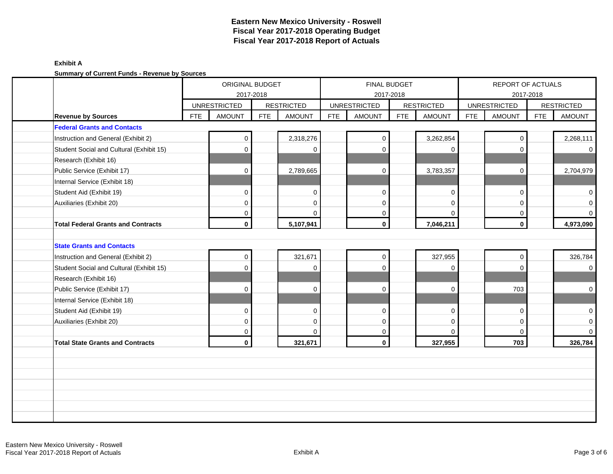|                                           |            | ORIGINAL BUDGET     | 2017-2018  |                   |            |                     | <b>FINAL BUDGET</b><br>2017-2018 |                   |            | REPORT OF ACTUALS   | 2017-2018  |                   |
|-------------------------------------------|------------|---------------------|------------|-------------------|------------|---------------------|----------------------------------|-------------------|------------|---------------------|------------|-------------------|
|                                           |            | <b>UNRESTRICTED</b> |            | <b>RESTRICTED</b> |            | <b>UNRESTRICTED</b> |                                  | <b>RESTRICTED</b> |            | <b>UNRESTRICTED</b> |            | <b>RESTRICTED</b> |
| <b>Revenue by Sources</b>                 | <b>FTE</b> | <b>AMOUNT</b>       | <b>FTE</b> | <b>AMOUNT</b>     | <b>FTE</b> | <b>AMOUNT</b>       | <b>FTE</b>                       | <b>AMOUNT</b>     | <b>FTE</b> | <b>AMOUNT</b>       | <b>FTE</b> | <b>AMOUNT</b>     |
| <b>Federal Grants and Contacts</b>        |            |                     |            |                   |            |                     |                                  |                   |            |                     |            |                   |
| Instruction and General (Exhibit 2)       |            | 0                   |            | 2,318,276         |            | 0                   |                                  | 3,262,854         |            | 0                   |            | 2,268,111         |
| Student Social and Cultural (Exhibit 15)  |            | 0                   |            | $\Omega$          |            | $\Omega$            |                                  | $\mathbf 0$       |            | $\Omega$            |            | $\overline{0}$    |
| Research (Exhibit 16)                     |            |                     |            |                   |            |                     |                                  |                   |            |                     |            |                   |
| Public Service (Exhibit 17)               |            | $\Omega$            |            | 2,789,665         |            | $\Omega$            |                                  | 3,783,357         |            | $\Omega$            |            | 2,704,979         |
| Internal Service (Exhibit 18)             |            |                     |            |                   |            |                     |                                  |                   |            |                     |            |                   |
| Student Aid (Exhibit 19)                  |            | $\Omega$            |            | $\mathbf 0$       |            | $\Omega$            |                                  | $\mathbf 0$       |            | 0                   |            | $\overline{0}$    |
| Auxiliaries (Exhibit 20)                  |            | 0                   |            | 0                 |            | $\mathbf 0$         |                                  | 0                 |            | 0                   |            | $\overline{0}$    |
|                                           |            | 0                   |            | $\Omega$          |            | $\Omega$            |                                  | $\Omega$          |            | 0                   |            | $\overline{0}$    |
| <b>Total Federal Grants and Contracts</b> |            | $\mathbf{0}$        |            | 5,107,941         |            | $\mathbf{0}$        |                                  | 7,046,211         |            | $\mathbf{0}$        |            | 4,973,090         |
|                                           |            |                     |            |                   |            |                     |                                  |                   |            |                     |            |                   |
| <b>State Grants and Contacts</b>          |            |                     |            |                   |            |                     |                                  |                   |            |                     |            |                   |
| Instruction and General (Exhibit 2)       |            | 0                   |            | 321,671           |            | $\mathbf 0$         |                                  | 327,955           |            | $\mathbf 0$         |            | 326,784           |
| Student Social and Cultural (Exhibit 15)  |            | $\Omega$            |            | $\mathbf 0$       |            | $\mathbf 0$         |                                  | $\mathbf 0$       |            | $\Omega$            |            | $\overline{0}$    |
| Research (Exhibit 16)                     |            |                     |            |                   |            |                     |                                  |                   |            |                     |            |                   |
| Public Service (Exhibit 17)               |            | $\Omega$            |            | $\Omega$          |            | $\Omega$            |                                  | $\mathbf 0$       |            | 703                 |            | $\overline{0}$    |
| Internal Service (Exhibit 18)             |            |                     |            |                   |            |                     |                                  |                   |            |                     |            |                   |
| Student Aid (Exhibit 19)                  |            | $\mathbf 0$         |            | $\mathbf 0$       |            | $\Omega$            |                                  | $\mathbf 0$       |            | $\Omega$            |            | $\overline{0}$    |
| Auxiliaries (Exhibit 20)                  |            | 0                   |            | $\mathbf 0$       |            | $\Omega$            |                                  | $\mathbf 0$       |            | $\Omega$            |            | $\overline{0}$    |
|                                           |            | 0                   |            | $\mathbf 0$       |            | 0                   |                                  | $\mathbf 0$       |            | $\mathbf 0$         |            | $\overline{0}$    |
| <b>Total State Grants and Contracts</b>   |            | $\mathbf{0}$        |            | 321,671           |            | $\mathbf 0$         |                                  | 327,955           |            | 703                 |            | 326,784           |
|                                           |            |                     |            |                   |            |                     |                                  |                   |            |                     |            |                   |
|                                           |            |                     |            |                   |            |                     |                                  |                   |            |                     |            |                   |
|                                           |            |                     |            |                   |            |                     |                                  |                   |            |                     |            |                   |
|                                           |            |                     |            |                   |            |                     |                                  |                   |            |                     |            |                   |
|                                           |            |                     |            |                   |            |                     |                                  |                   |            |                     |            |                   |
|                                           |            |                     |            |                   |            |                     |                                  |                   |            |                     |            |                   |
|                                           |            |                     |            |                   |            |                     |                                  |                   |            |                     |            |                   |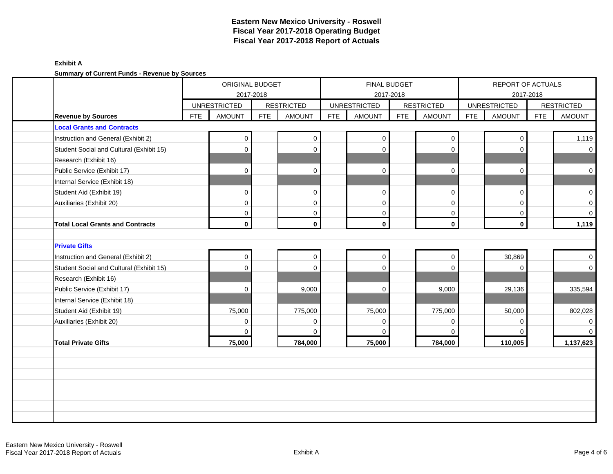|                                                                |            | ORIGINAL BUDGET     |            |                   |            |                     | <b>FINAL BUDGET</b> |                   |            | REPORT OF ACTUALS   |            |                                    |
|----------------------------------------------------------------|------------|---------------------|------------|-------------------|------------|---------------------|---------------------|-------------------|------------|---------------------|------------|------------------------------------|
|                                                                |            |                     | 2017-2018  |                   |            |                     | 2017-2018           |                   |            | 2017-2018           |            |                                    |
|                                                                |            | <b>UNRESTRICTED</b> | <b>FTE</b> | <b>RESTRICTED</b> | <b>FTE</b> | <b>UNRESTRICTED</b> | <b>FTE</b>          | <b>RESTRICTED</b> | <b>FTE</b> | <b>UNRESTRICTED</b> | <b>FTE</b> | <b>RESTRICTED</b><br><b>AMOUNT</b> |
| <b>Revenue by Sources</b><br><b>Local Grants and Contracts</b> | <b>FTE</b> | <b>AMOUNT</b>       |            | <b>AMOUNT</b>     |            | <b>AMOUNT</b>       |                     | <b>AMOUNT</b>     |            | <b>AMOUNT</b>       |            |                                    |
|                                                                |            |                     |            |                   |            |                     |                     |                   |            |                     |            |                                    |
| Instruction and General (Exhibit 2)                            |            | 0                   |            | 0                 |            | $\mathbf 0$         |                     | 0                 |            | $\mathbf 0$         |            | 1,119                              |
| Student Social and Cultural (Exhibit 15)                       |            | 0                   |            | $\mathbf 0$       |            | $\mathbf 0$         |                     | $\mathbf 0$       |            | 0                   |            | $\overline{0}$                     |
| Research (Exhibit 16)<br>Public Service (Exhibit 17)           |            | $\Omega$            |            | $\Omega$          |            | $\mathbf 0$         |                     | $\mathbf 0$       |            | $\Omega$            |            | $\mathbf 0$                        |
| Internal Service (Exhibit 18)                                  |            |                     |            |                   |            |                     |                     |                   |            |                     |            |                                    |
| Student Aid (Exhibit 19)                                       |            | $\mathbf 0$         |            | $\mathbf 0$       |            | $\mathbf 0$         |                     | $\mathbf 0$       |            | $\mathbf 0$         |            | $\overline{0}$                     |
| Auxiliaries (Exhibit 20)                                       |            | $\mathbf 0$         |            | $\mathbf 0$       |            | $\mathbf 0$         |                     | $\mathbf 0$       |            | $\Omega$            |            | $\overline{0}$                     |
|                                                                |            | 0                   |            | 0                 |            | 0                   |                     | 0                 |            | $\Omega$            |            | $\mathbf 0$                        |
| <b>Total Local Grants and Contracts</b>                        |            | $\mathbf{0}$        |            | $\mathbf 0$       |            | $\mathbf 0$         |                     | $\mathbf 0$       |            | $\mathbf 0$         |            | 1,119                              |
|                                                                |            |                     |            |                   |            |                     |                     |                   |            |                     |            |                                    |
| <b>Private Gifts</b>                                           |            |                     |            |                   |            |                     |                     |                   |            |                     |            |                                    |
| Instruction and General (Exhibit 2)                            |            | $\mathbf{0}$        |            | $\boldsymbol{0}$  |            | $\mathbf 0$         |                     | $\pmb{0}$         |            | 30,869              |            | $\overline{0}$                     |
| Student Social and Cultural (Exhibit 15)                       |            | 0                   |            | $\Omega$          |            | $\Omega$            |                     | $\Omega$          |            | $\mathbf 0$         |            | $\overline{0}$                     |
| Research (Exhibit 16)                                          |            |                     |            |                   |            |                     |                     |                   |            |                     |            |                                    |
| Public Service (Exhibit 17)                                    |            | $\Omega$            |            | 9,000             |            | $\Omega$            |                     | 9,000             |            | 29,136              |            | 335,594                            |
| Internal Service (Exhibit 18)                                  |            |                     |            |                   |            |                     |                     |                   |            |                     |            |                                    |
| Student Aid (Exhibit 19)                                       |            | 75,000              |            | 775,000           |            | 75,000              |                     | 775,000           |            | 50,000              |            | 802,028                            |
| Auxiliaries (Exhibit 20)                                       |            | 0                   |            | 0                 |            | $\Omega$            |                     | 0                 |            | 0                   |            | 0                                  |
|                                                                |            | 0                   |            | $\mathbf 0$       |            | $\Omega$            |                     | $\mathbf 0$       |            | $\Omega$            |            | $\overline{0}$                     |
| <b>Total Private Gifts</b>                                     |            | 75,000              |            | 784,000           |            | 75,000              |                     | 784,000           |            | 110,005             |            | 1,137,623                          |
|                                                                |            |                     |            |                   |            |                     |                     |                   |            |                     |            |                                    |
|                                                                |            |                     |            |                   |            |                     |                     |                   |            |                     |            |                                    |
|                                                                |            |                     |            |                   |            |                     |                     |                   |            |                     |            |                                    |
|                                                                |            |                     |            |                   |            |                     |                     |                   |            |                     |            |                                    |
|                                                                |            |                     |            |                   |            |                     |                     |                   |            |                     |            |                                    |
|                                                                |            |                     |            |                   |            |                     |                     |                   |            |                     |            |                                    |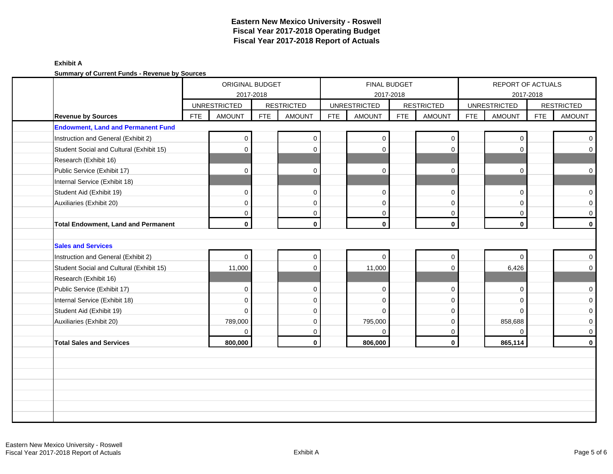|                                            |                     | ORIGINAL BUDGET |            |                   |            | <b>FINAL BUDGET</b> |            |                   |            | REPORT OF ACTUALS   |            |                     |
|--------------------------------------------|---------------------|-----------------|------------|-------------------|------------|---------------------|------------|-------------------|------------|---------------------|------------|---------------------|
|                                            |                     | 2017-2018       |            |                   |            | 2017-2018           |            |                   |            | 2017-2018           |            |                     |
|                                            | <b>UNRESTRICTED</b> |                 |            | <b>RESTRICTED</b> |            | <b>UNRESTRICTED</b> |            | <b>RESTRICTED</b> |            | <b>UNRESTRICTED</b> |            | <b>RESTRICTED</b>   |
| <b>Revenue by Sources</b>                  | <b>FTE</b>          | <b>AMOUNT</b>   | <b>FTE</b> | <b>AMOUNT</b>     | <b>FTE</b> | <b>AMOUNT</b>       | <b>FTE</b> | <b>AMOUNT</b>     | <b>FTE</b> | <b>AMOUNT</b>       | <b>FTE</b> | <b>AMOUNT</b>       |
| <b>Endowment, Land and Permanent Fund</b>  |                     |                 |            |                   |            |                     |            |                   |            |                     |            |                     |
| Instruction and General (Exhibit 2)        |                     | 0               |            | 0                 |            | $\Omega$            |            | $\mathbf 0$       |            | $\Omega$            |            | $\mathbf 0$         |
| Student Social and Cultural (Exhibit 15)   |                     | 0               |            | $\Omega$          |            | $\Omega$            |            | $\mathbf 0$       |            | $\Omega$            |            | $\overline{0}$      |
| Research (Exhibit 16)                      |                     |                 |            |                   |            |                     |            |                   |            |                     |            |                     |
| Public Service (Exhibit 17)                |                     | 0               |            | $\mathbf 0$       |            | $\mathbf 0$         |            | $\mathbf 0$       |            | $\Omega$            |            | $\mathbf 0$         |
| Internal Service (Exhibit 18)              |                     |                 |            |                   |            |                     |            |                   |            |                     |            |                     |
| Student Aid (Exhibit 19)                   |                     | $\mathbf 0$     |            | $\mathbf{0}$      |            | $\mathbf 0$         |            | $\mathbf 0$       |            | $\Omega$            |            | $\overline{0}$      |
| Auxiliaries (Exhibit 20)                   |                     | $\mathbf{0}$    |            | $\mathbf 0$       |            | $\mathbf 0$         |            | $\mathbf 0$       |            | $\Omega$            |            | $\overline{0}$      |
|                                            |                     | 0               |            | $\mathbf 0$       |            | $\mathbf 0$         |            | $\mathbf 0$       |            | $\mathbf 0$         |            | $\mathbf 0$         |
| <b>Total Endowment, Land and Permanent</b> |                     | $\mathbf{0}$    |            | $\mathbf 0$       |            | $\mathbf 0$         |            | $\mathbf 0$       |            | $\mathbf 0$         |            | $\mathbf 0$         |
|                                            |                     |                 |            |                   |            |                     |            |                   |            |                     |            |                     |
| <b>Sales and Services</b>                  |                     |                 |            |                   |            |                     |            |                   |            |                     |            |                     |
| Instruction and General (Exhibit 2)        |                     | $\mathbf 0$     |            | 0                 |            | $\Omega$            |            | $\mathbf 0$       |            | $\Omega$            |            | $\overline{0}$      |
| Student Social and Cultural (Exhibit 15)   |                     | 11,000          |            | $\mathbf 0$       |            | 11,000              |            | 0                 |            | 6,426               |            | $\overline{0}$      |
| Research (Exhibit 16)                      |                     |                 |            |                   |            |                     |            |                   |            |                     |            |                     |
| Public Service (Exhibit 17)                |                     | $\mathbf 0$     |            | 0                 |            | $\Omega$            |            | 0                 |            | $\Omega$            |            | $\mathsf{O}\xspace$ |
| Internal Service (Exhibit 18)              |                     | 0               |            | 0                 |            | $\Omega$            |            | 0                 |            | $\Omega$            |            | $\circ$             |
| Student Aid (Exhibit 19)                   |                     | $\Omega$        |            | $\mathbf 0$       |            | $\Omega$            |            | $\mathbf 0$       |            | $\Omega$            |            | $\mathbf 0$         |
| Auxiliaries (Exhibit 20)                   |                     | 789,000         |            | $\mathbf{0}$      |            | 795,000             |            | $\mathbf 0$       |            | 858,688             |            | $\overline{0}$      |
|                                            |                     | 0               |            | $\mathbf 0$       |            | $\Omega$            |            | 0                 |            | $\Omega$            |            | $\mathbf 0$         |
|                                            |                     | 800,000         |            | $\mathbf{0}$      |            | 806,000             |            | $\mathbf 0$       |            | 865,114             |            | $\mathbf 0$         |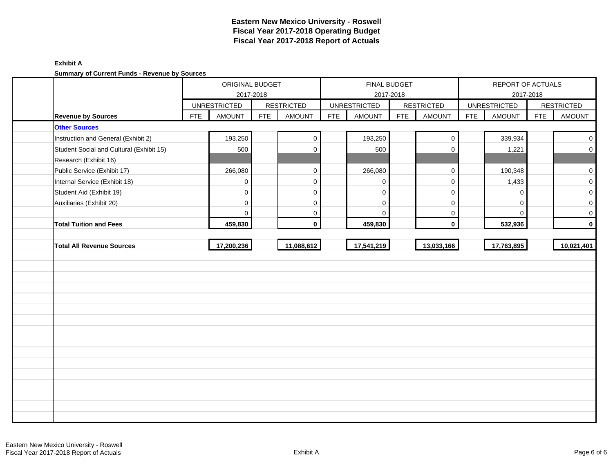|                                          |            | ORIGINAL BUDGET     | 2017-2018  |                   |            |                     | FINAL BUDGET<br>2017-2018 |                   |            | REPORT OF ACTUALS   | 2017-2018  |                     |
|------------------------------------------|------------|---------------------|------------|-------------------|------------|---------------------|---------------------------|-------------------|------------|---------------------|------------|---------------------|
|                                          |            | <b>UNRESTRICTED</b> |            | <b>RESTRICTED</b> |            | <b>UNRESTRICTED</b> |                           | <b>RESTRICTED</b> |            | <b>UNRESTRICTED</b> |            | <b>RESTRICTED</b>   |
| <b>Revenue by Sources</b>                | <b>FTE</b> | <b>AMOUNT</b>       | <b>FTE</b> | <b>AMOUNT</b>     | <b>FTE</b> | <b>AMOUNT</b>       | <b>FTE</b>                | <b>AMOUNT</b>     | <b>FTE</b> | <b>AMOUNT</b>       | <b>FTE</b> | <b>AMOUNT</b>       |
| <b>Other Sources</b>                     |            |                     |            |                   |            |                     |                           |                   |            |                     |            |                     |
| Instruction and General (Exhibit 2)      |            | 193,250             |            | $\mathbf 0$       |            | 193,250             |                           | $\pmb{0}$         |            | 339,934             |            | $\mathsf 0$         |
| Student Social and Cultural (Exhibit 15) |            | 500                 |            | $\Omega$          |            | 500                 |                           | $\Omega$          |            | 1,221               |            | $\mathsf{O}\xspace$ |
| Research (Exhibit 16)                    |            |                     |            |                   |            |                     |                           |                   |            |                     |            |                     |
| Public Service (Exhibit 17)              |            | 266,080             |            | $\mathbf 0$       |            | 266,080             |                           | $\pmb{0}$         |            | 190,348             |            | $\mathsf 0$         |
| Internal Service (Exhibit 18)            |            | $\Omega$            |            | $\mathbf 0$       |            | $\Omega$            |                           | $\mathbf 0$       |            | 1,433               |            | $\mathsf 0$         |
| Student Aid (Exhibit 19)                 |            | $\mathbf 0$         |            | $\mathbf 0$       |            | $\Omega$            |                           | 0                 |            | $\Omega$            |            | $\mathbf 0$         |
| Auxiliaries (Exhibit 20)                 |            | $\mathbf 0$         |            | $\mathbf 0$       |            | $\mathbf 0$         |                           | 0                 |            | $\mathbf 0$         |            | $\mathbf 0$         |
|                                          |            | $\Omega$            |            | $\mathbf{0}$      |            | $\Omega$            |                           | 0                 |            | $\Omega$            |            | $\mathbf 0$         |
| <b>Total Tuition and Fees</b>            |            | 459,830             |            | $\mathbf 0$       |            | 459,830             |                           | $\mathbf 0$       |            | 532,936             |            | $\mathbf 0$         |
|                                          |            |                     |            |                   |            |                     |                           |                   |            |                     |            |                     |
| <b>Total All Revenue Sources</b>         |            | 17,200,236          |            | 11,088,612        |            | 17,541,219          |                           | 13,033,166        |            | 17,763,895          |            | 10,021,401          |
|                                          |            |                     |            |                   |            |                     |                           |                   |            |                     |            |                     |
|                                          |            |                     |            |                   |            |                     |                           |                   |            |                     |            |                     |
|                                          |            |                     |            |                   |            |                     |                           |                   |            |                     |            |                     |
|                                          |            |                     |            |                   |            |                     |                           |                   |            |                     |            |                     |
|                                          |            |                     |            |                   |            |                     |                           |                   |            |                     |            |                     |
|                                          |            |                     |            |                   |            |                     |                           |                   |            |                     |            |                     |
|                                          |            |                     |            |                   |            |                     |                           |                   |            |                     |            |                     |
|                                          |            |                     |            |                   |            |                     |                           |                   |            |                     |            |                     |
|                                          |            |                     |            |                   |            |                     |                           |                   |            |                     |            |                     |
|                                          |            |                     |            |                   |            |                     |                           |                   |            |                     |            |                     |
|                                          |            |                     |            |                   |            |                     |                           |                   |            |                     |            |                     |
|                                          |            |                     |            |                   |            |                     |                           |                   |            |                     |            |                     |
|                                          |            |                     |            |                   |            |                     |                           |                   |            |                     |            |                     |
|                                          |            |                     |            |                   |            |                     |                           |                   |            |                     |            |                     |
|                                          |            |                     |            |                   |            |                     |                           |                   |            |                     |            |                     |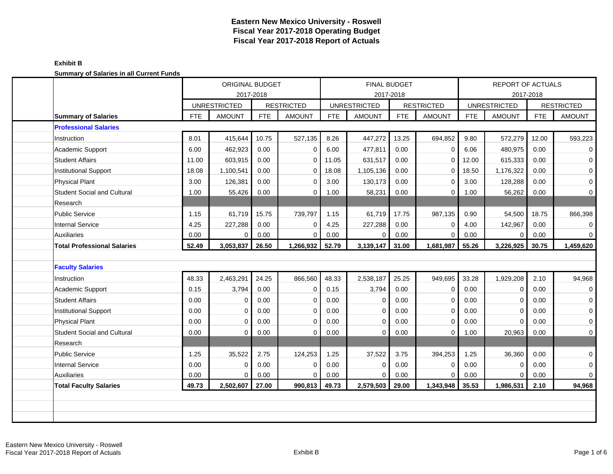#### **Exhibit B Summary of Salaries in all Current Funds**

|                                    |            | <b>ORIGINAL BUDGET</b><br>2017-2018 |            |                   |            | <b>FINAL BUDGET</b> | 2017-2018 |                   |            | <b>REPORT OF ACTUALS</b> | 2017-2018  |                   |
|------------------------------------|------------|-------------------------------------|------------|-------------------|------------|---------------------|-----------|-------------------|------------|--------------------------|------------|-------------------|
|                                    |            | <b>UNRESTRICTED</b>                 |            | <b>RESTRICTED</b> |            | <b>UNRESTRICTED</b> |           | <b>RESTRICTED</b> |            | <b>UNRESTRICTED</b>      |            | <b>RESTRICTED</b> |
| <b>Summary of Salaries</b>         | <b>FTE</b> | <b>AMOUNT</b>                       | <b>FTE</b> | <b>AMOUNT</b>     | <b>FTE</b> | <b>AMOUNT</b>       | FTE       | <b>AMOUNT</b>     | <b>FTE</b> | <b>AMOUNT</b>            | <b>FTE</b> | <b>AMOUNT</b>     |
| <b>Professional Salaries</b>       |            |                                     |            |                   |            |                     |           |                   |            |                          |            |                   |
| Instruction                        | 8.01       | 415,644                             | 10.75      | 527,135           | 8.26       | 447,272             | 13.25     | 694,852           | 9.80       | 572,279                  | 12.00      | 593,223           |
| Academic Support                   | 6.00       | 462,923                             | 0.00       | $\mathbf 0$       | 6.00       | 477,811             | 0.00      | 0                 | 6.06       | 480,975                  | 0.00       | 0                 |
| <b>Student Affairs</b>             | 11.00      | 603,915                             | 0.00       | $\mathbf 0$       | 11.05      | 631,517             | 0.00      | $\Omega$          | 12.00      | 615,333                  | 0.00       | $\mathbf 0$       |
| <b>Institutional Support</b>       | 18.08      | 1,100,541                           | 0.00       | $\mathbf 0$       | 18.08      | 1,105,136           | 0.00      | $\mathbf{0}$      | 18.50      | 1,176,322                | 0.00       | 0                 |
| Physical Plant                     | 3.00       | 126,381                             | 0.00       | $\Omega$          | 3.00       | 130,173             | 0.00      | $\Omega$          | 3.00       | 128,288                  | 0.00       | $\mathbf 0$       |
| <b>Student Social and Cultural</b> | 1.00       | 55,426                              | 0.00       | $\mathbf 0$       | 1.00       | 58,231              | 0.00      | $\mathbf 0$       | 1.00       | 56,262                   | 0.00       | $\mathbf 0$       |
| Research                           |            |                                     |            |                   |            |                     |           |                   |            |                          |            |                   |
| <b>Public Service</b>              | 1.15       | 61,719                              | 15.75      | 739,797           | 1.15       | 61,719              | 17.75     | 987,135           | 0.90       | 54,500                   | 18.75      | 866,398           |
| <b>Internal Service</b>            | 4.25       | 227,288                             | 0.00       | $\mathbf 0$       | 4.25       | 227,288             | 0.00      | 0                 | 4.00       | 142,967                  | 0.00       | 0                 |
| <b>Auxiliaries</b>                 | 0.00       | $\Omega$                            | 0.00       | $\mathbf 0$       | 0.00       | 0                   | 0.00      | $\mathbf 0$       | 0.00       | $\Omega$                 | 0.00       | 0                 |
| <b>Total Professional Salaries</b> | 52.49      | 3,053,837                           | 26.50      | 1,266,932         | 52.79      | 3,139,147           | 31.00     | 1,681,987         | 55.26      | 3,226,925                | 30.75      | 1,459,620         |
|                                    |            |                                     |            |                   |            |                     |           |                   |            |                          |            |                   |
| <b>Faculty Salaries</b>            |            |                                     |            |                   |            |                     |           |                   |            |                          |            |                   |
| Instruction                        | 48.33      | 2,463,291                           | 24.25      | 866,560           | 48.33      | 2,538,187           | 25.25     | 949,695           | 33.28      | 1,929,208                | 2.10       | 94,968            |
| Academic Support                   | 0.15       | 3,794                               | 0.00       | $\mathbf 0$       | 0.15       | 3,794               | 0.00      | $\mathbf 0$       | 0.00       | $\Omega$                 | 0.00       | $\mathbf 0$       |
| <b>Student Affairs</b>             | 0.00       | $\Omega$                            | 0.00       | $\mathbf 0$       | 0.00       | $\mathbf 0$         | 0.00      | $\mathbf 0$       | 0.00       | $\Omega$                 | 0.00       | $\mathbf 0$       |
| Institutional Support              | 0.00       | $\Omega$                            | 0.00       | $\mathbf 0$       | 0.00       | $\mathbf 0$         | 0.00      | $\mathbf 0$       | 0.00       | $\mathbf 0$              | 0.00       | $\mathbf 0$       |
| <b>Physical Plant</b>              | 0.00       | $\Omega$                            | 0.00       | $\mathbf 0$       | 0.00       | $\mathbf 0$         | 0.00      | 0                 | 0.00       | $\Omega$                 | 0.00       | 0                 |
| <b>Student Social and Cultural</b> | 0.00       | 0                                   | 0.00       | $\mathbf 0$       | 0.00       | $\mathbf 0$         | 0.00      | 0                 | 1.00       | 20,963                   | 0.00       | $\mathbf 0$       |
| Research                           |            |                                     |            |                   |            |                     |           |                   |            |                          |            |                   |
|                                    |            |                                     |            |                   |            |                     |           |                   |            |                          |            |                   |
| <b>Public Service</b>              | 1.25       | 35,522                              | 2.75       | 124,253           | 1.25       | 37,522              | 3.75      | 394,253           | 1.25       | 36,360                   | 0.00       | $\mathbf 0$       |
| Internal Service                   | 0.00       | $\Omega$                            | 0.00       | $\mathbf 0$       | 0.00       | $\mathbf 0$         | 0.00      | $\mathbf 0$       | 0.00       | $\Omega$                 | 0.00       | $\mathbf 0$       |
| <b>Auxiliaries</b>                 | 0.00       | $\Omega$                            | 0.00       | $\mathbf 0$       | 0.00       | $\Omega$            | 0.00      | $\Omega$          | 0.00       | $\mathbf 0$              | 0.00       | $\mathbf 0$       |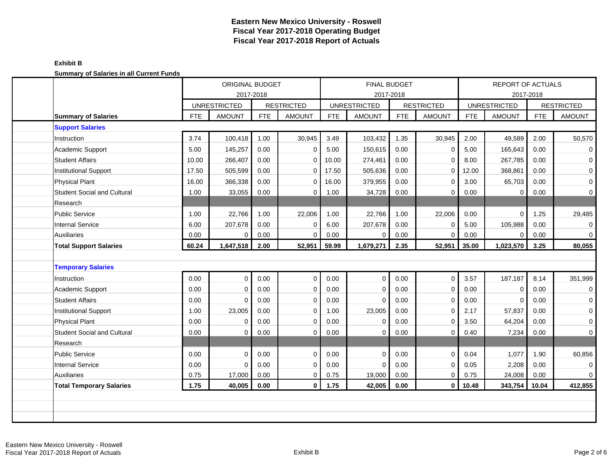#### **Exhibit B Summary of Salaries in all Current Funds**

|                                    |            | <b>ORIGINAL BUDGET</b>           |            |                   |            | <b>FINAL BUDGET</b> |           |                   |            | <b>REPORT OF ACTUALS</b> |            |                   |
|------------------------------------|------------|----------------------------------|------------|-------------------|------------|---------------------|-----------|-------------------|------------|--------------------------|------------|-------------------|
|                                    |            | 2017-2018<br><b>UNRESTRICTED</b> |            | <b>RESTRICTED</b> |            | <b>UNRESTRICTED</b> | 2017-2018 | <b>RESTRICTED</b> |            | <b>UNRESTRICTED</b>      | 2017-2018  | <b>RESTRICTED</b> |
| <b>Summary of Salaries</b>         | <b>FTE</b> | <b>AMOUNT</b>                    | <b>FTE</b> | <b>AMOUNT</b>     | <b>FTE</b> | <b>AMOUNT</b>       | FTE       | <b>AMOUNT</b>     | <b>FTE</b> | <b>AMOUNT</b>            | <b>FTE</b> | <b>AMOUNT</b>     |
| <b>Support Salaries</b>            |            |                                  |            |                   |            |                     |           |                   |            |                          |            |                   |
| Instruction                        | 3.74       | 100,418                          | 1.00       | 30,945            | 3.49       | 103,432             | 1.35      | 30,945            | 2.00       | 49,589                   | 2.00       | 50,570            |
| Academic Support                   | 5.00       | 145,257                          | 0.00       | $\mathbf 0$       | 5.00       | 150,615             | 0.00      | $\mathbf 0$       | 5.00       | 165,643                  | 0.00       | $\mathbf 0$       |
| <b>Student Affairs</b>             | 10.00      | 266,407                          | 0.00       | $\mathbf 0$       | 10.00      | 274,461             | 0.00      | $\mathbf 0$       | 8.00       | 267,785                  | 0.00       | $\mathbf 0$       |
| <b>Institutional Support</b>       | 17.50      | 505,599                          | 0.00       | $\mathbf 0$       | 17.50      | 505,636             | 0.00      | $\mathbf 0$       | 12.00      | 368,861                  | 0.00       | $\mathbf 0$       |
| <b>Physical Plant</b>              | 16.00      | 366,338                          | 0.00       | $\mathbf 0$       | 16.00      | 379,955             | 0.00      | $\mathbf 0$       | 3.00       | 65,703                   | 0.00       | 0                 |
| <b>Student Social and Cultural</b> | 1.00       | 33,055                           | 0.00       | $\mathbf 0$       | 1.00       | 34,728              | 0.00      | $\Omega$          | 0.00       | 0                        | 0.00       | 0                 |
| Research                           |            |                                  |            |                   |            |                     |           |                   |            |                          |            |                   |
| Public Service                     | 1.00       | 22,766                           | 1.00       | 22,006            | 1.00       | 22,766              | 1.00      | 22,006            | 0.00       | $\mathbf{0}$             | 1.25       | 29,485            |
| <b>Internal Service</b>            | 6.00       | 207,678                          | 0.00       | $\epsilon$        | 6.00       | 207,678             | 0.00      | $\Omega$          | 5.00       | 105,988                  | 0.00       | $\mathbf 0$       |
| <b>Auxiliaries</b>                 | 0.00       | $\Omega$                         | 0.00       | $\mathbf 0$       | 0.00       | $\mathbf 0$         | 0.00      | $\mathbf 0$       | 0.00       | $\mathbf 0$              | 0.00       | $\mathbf 0$       |
| <b>Total Support Salaries</b>      | 60.24      | 1,647,518                        | 2.00       | 52,951            | 59.99      | 1,679,271           | 2.35      | 52,951            | 35.00      | 1,023,570                | 3.25       | 80,055            |
|                                    |            |                                  |            |                   |            |                     |           |                   |            |                          |            |                   |
| <b>Temporary Salaries</b>          |            |                                  |            |                   |            |                     |           |                   |            |                          |            |                   |
| Instruction                        | 0.00       | $\Omega$                         | 0.00       | $\mathbf 0$       | 0.00       | $\mathbf 0$         | 0.00      | $\mathbf 0$       | 3.57       | 187,187                  | 8.14       | 351,999           |
| Academic Support                   | 0.00       | $\Omega$                         | 0.00       | $\mathbf 0$       | 0.00       | $\mathbf 0$         | 0.00      | 0                 | 0.00       | $\Omega$                 | 0.00       | $\mathbf 0$       |
| <b>Student Affairs</b>             | 0.00       | $\Omega$                         | 0.00       | $\mathbf 0$       | 0.00       | $\mathbf 0$         | 0.00      | $\mathbf 0$       | 0.00       | $\Omega$                 | 0.00       | 0                 |
| Institutional Support              | 1.00       | 23,005                           | 0.00       | $\mathbf 0$       | 1.00       | 23,005              | 0.00      | $\Omega$          | 2.17       | 57,837                   | 0.00       | $\mathbf 0$       |
| <b>Physical Plant</b>              | 0.00       | $\Omega$                         | 0.00       | $\Omega$          | 0.00       | $\Omega$            | 0.00      | $\Omega$          | 3.50       | 64,204                   | 0.00       | $\mathbf 0$       |
| <b>Student Social and Cultural</b> | 0.00       | $\Omega$                         | 0.00       | $\mathbf 0$       | 0.00       | $\mathbf 0$         | 0.00      | $\mathbf 0$       | 0.40       | 7,234                    | 0.00       | $\overline{0}$    |
| Research                           |            |                                  |            |                   |            |                     |           |                   |            |                          |            |                   |
| <b>Public Service</b>              | 0.00       | $\Omega$                         | 0.00       | $\Omega$          | 0.00       | $\mathbf 0$         | 0.00      | $\mathbf 0$       | 0.04       | 1,077                    | 1.90       | 60,856            |
| <b>Internal Service</b>            | 0.00       | $\Omega$                         | 0.00       | $\mathbf 0$       | 0.00       | $\Omega$            | 0.00      | $\mathbf 0$       | 0.05       | 2,208                    | 0.00       | $\mathbf 0$       |
| <b>Auxiliaries</b>                 | 0.75       | 17,000                           | 0.00       | $\mathbf 0$       | 0.75       | 19,000              | 0.00      | $\mathbf 0$       | 0.75       | 24,008                   | 0.00       | $\overline{0}$    |
| <b>Total Temporary Salaries</b>    | 1.75       | 40,005                           | 0.00       | 0                 | 1.75       | 42,005              | 0.00      | 0                 | 10.48      | 343,754                  | 10.04      | 412,855           |
|                                    |            |                                  |            |                   |            |                     |           |                   |            |                          |            |                   |
|                                    |            |                                  |            |                   |            |                     |           |                   |            |                          |            |                   |
|                                    |            |                                  |            |                   |            |                     |           |                   |            |                          |            |                   |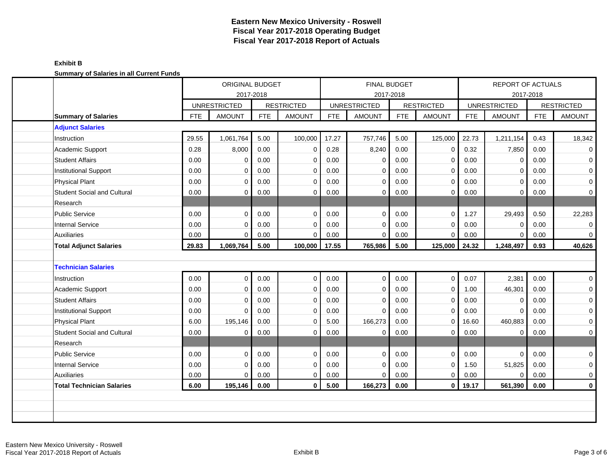| <b>Cammary or Calaries in all Carrent Fanas</b> | ORIGINAL BUDGET<br>2017-2018 |                     | FINAL BUDGET<br>2017-2018 |                   |            |                     |            | <b>REPORT OF ACTUALS</b> |            |                     |            |                     |
|-------------------------------------------------|------------------------------|---------------------|---------------------------|-------------------|------------|---------------------|------------|--------------------------|------------|---------------------|------------|---------------------|
|                                                 |                              | <b>UNRESTRICTED</b> |                           | <b>RESTRICTED</b> |            | <b>UNRESTRICTED</b> |            | <b>RESTRICTED</b>        |            | <b>UNRESTRICTED</b> | 2017-2018  | <b>RESTRICTED</b>   |
| <b>Summary of Salaries</b>                      | <b>FTE</b>                   | <b>AMOUNT</b>       | <b>FTE</b>                | <b>AMOUNT</b>     | <b>FTE</b> | <b>AMOUNT</b>       | <b>FTE</b> | <b>AMOUNT</b>            | <b>FTE</b> | <b>AMOUNT</b>       | <b>FTE</b> | <b>AMOUNT</b>       |
| <b>Adjunct Salaries</b>                         |                              |                     |                           |                   |            |                     |            |                          |            |                     |            |                     |
| Instruction                                     | 29.55                        | 1,061,764           | 5.00                      | 100,000           | 17.27      | 757,746             | 5.00       | 125,000                  | 22.73      | 1,211,154           | 0.43       | 18,342              |
| Academic Support                                | 0.28                         | 8,000               | 0.00                      | $\mathbf 0$       | 0.28       | 8,240               | 0.00       | 0                        | 0.32       | 7,850               | 0.00       | 0                   |
| <b>Student Affairs</b>                          | 0.00                         | $\Omega$            | 0.00                      | $\mathbf 0$       | 0.00       | $\mathbf 0$         | 0.00       | 0                        | 0.00       | $\Omega$            | 0.00       | 0                   |
| Institutional Support                           | 0.00                         | 0                   | 0.00                      | $\mathbf 0$       | 0.00       | 0                   | 0.00       | 0                        | 0.00       | $\mathbf 0$         | 0.00       | $\mathbf 0$         |
| Physical Plant                                  | 0.00                         | $\Omega$            | 0.00                      | $\mathbf 0$       | 0.00       | $\mathbf 0$         | 0.00       | $\mathbf 0$              | 0.00       | $\mathbf 0$         | 0.00       | $\mathsf{O}\xspace$ |
| <b>Student Social and Cultural</b>              | 0.00                         | 0                   | 0.00                      | $\mathbf 0$       | 0.00       | 0                   | 0.00       | 0                        | 0.00       | 0                   | 0.00       | 0                   |
| Research                                        |                              |                     |                           |                   |            |                     |            |                          |            |                     |            |                     |
| Public Service                                  | 0.00                         | $\Omega$            | 0.00                      | $\mathbf 0$       | 0.00       | $\mathbf 0$         | 0.00       | $\mathbf 0$              | 1.27       | 29,493              | 0.50       | 22,283              |
| <b>Internal Service</b>                         | 0.00                         | 0                   | 0.00                      | $\mathbf 0$       | 0.00       | $\mathbf 0$         | 0.00       | 0                        | 0.00       | $\Omega$            | 0.00       | 0                   |
| Auxiliaries                                     | 0.00                         | $\Omega$            | 0.00                      | $\mathbf 0$       | 0.00       | $\mathbf 0$         | 0.00       | 0                        | 0.00       | 0                   | 0.00       | 0                   |
| <b>Total Adjunct Salaries</b>                   | 29.83                        | 1,069,764           | 5.00                      | 100,000           | 17.55      | 765,986             | 5.00       | 125,000                  | 24.32      | 1,248,497           | 0.93       | 40,626              |
|                                                 |                              |                     |                           |                   |            |                     |            |                          |            |                     |            |                     |
| <b>Technician Salaries</b>                      |                              |                     |                           |                   |            |                     |            |                          |            |                     |            |                     |
| Instruction                                     | 0.00                         | $\Omega$            | 0.00                      | $\mathbf 0$       | 0.00       | $\mathbf 0$         | 0.00       | $\mathbf{0}$             | 0.07       | 2,381               | 0.00       | $\mathbf 0$         |
| Academic Support                                | 0.00                         | $\Omega$            | 0.00                      | $\mathbf 0$       | 0.00       | $\mathbf 0$         | 0.00       | 0                        | 1.00       | 46,301              | 0.00       | 0                   |
| <b>Student Affairs</b>                          | 0.00                         | $\Omega$            | 0.00                      | $\mathbf 0$       | 0.00       | $\mathbf 0$         | 0.00       | $\mathbf 0$              | 0.00       | $\Omega$            | 0.00       | $\mathbf 0$         |
| <b>Institutional Support</b>                    | 0.00                         | $\Omega$            | 0.00                      | $\mathbf 0$       | 0.00       | 0                   | 0.00       | $\mathbf 0$              | 0.00       | $\Omega$            | 0.00       | $\mathbf 0$         |
| <b>Physical Plant</b>                           | 6.00                         | 195,146             | 0.00                      | $\mathbf 0$       | 5.00       | 166,273             | 0.00       | $\mathbf 0$              | 16.60      | 460,883             | 0.00       | $\mathbf 0$         |
| <b>Student Social and Cultural</b>              | 0.00                         | 0                   | 0.00                      | $\mathbf 0$       | 0.00       | 0                   | 0.00       | 0                        | 0.00       | $\mathbf 0$         | 0.00       | $\overline{0}$      |
| Research                                        |                              |                     |                           |                   |            |                     |            |                          |            |                     |            |                     |
| <b>Public Service</b>                           | 0.00                         | $\Omega$            | 0.00                      | $\mathbf 0$       | 0.00       | $\mathbf 0$         | 0.00       | $\mathbf 0$              | 0.00       | $\Omega$            | 0.00       | $\mathbf 0$         |
| <b>Internal Service</b>                         | 0.00                         | $\Omega$            | 0.00                      | $\mathbf 0$       | 0.00       | $\mathbf 0$         | 0.00       | $\mathbf 0$              | 1.50       | 51,825              | 0.00       | $\mathbf 0$         |
| <b>Auxiliaries</b>                              | 0.00                         | 0                   | 0.00                      | $\mathbf 0$       | 0.00       | $\mathbf 0$         | 0.00       | 0                        | 0.00       | $\mathbf 0$         | 0.00       | 0                   |
| <b>Total Technician Salaries</b>                | 6.00                         | 195,146             | 0.00                      | $\mathbf 0$       | 5.00       | 166,273             | 0.00       | $\mathbf{0}$             | 19.17      | 561,390             | 0.00       | $\pmb{0}$           |
|                                                 |                              |                     |                           |                   |            |                     |            |                          |            |                     |            |                     |
|                                                 |                              |                     |                           |                   |            |                     |            |                          |            |                     |            |                     |
|                                                 |                              |                     |                           |                   |            |                     |            |                          |            |                     |            |                     |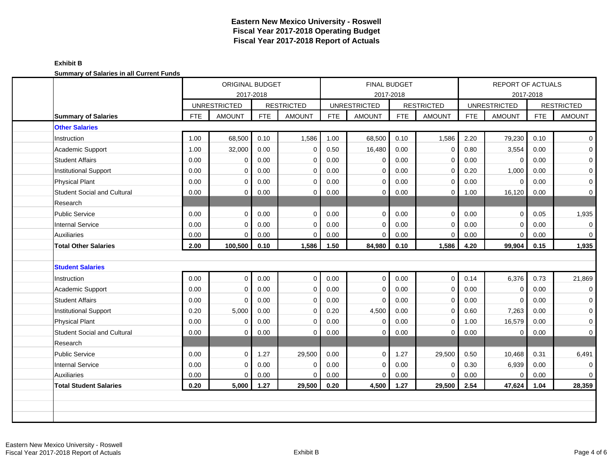| Instruction<br>Research<br><b>Auxiliaries</b> | <b>Summary of Salaries</b><br><b>Other Salaries</b><br>Academic Support<br><b>Student Affairs</b><br><b>Institutional Support</b><br><b>Physical Plant</b><br><b>Student Social and Cultural</b><br><b>Public Service</b><br><b>Internal Service</b> | <b>FTE</b><br>1.00<br>1.00<br>0.00<br>0.00<br>0.00<br>0.00<br>0.00<br>0.00 | <b>UNRESTRICTED</b><br><b>AMOUNT</b><br>68,500<br>32,000<br>$\Omega$<br>$\Omega$<br>$\Omega$<br>$\Omega$<br>$\Omega$ | 2017-2018<br><b>FTE</b><br>0.10<br>0.00<br>0.00<br>0.00<br>0.00<br>0.00<br>0.00 | <b>RESTRICTED</b><br><b>AMOUNT</b><br>1,586<br>$\mathbf 0$<br>$\mathbf 0$<br>$\mathbf 0$<br>$\mathbf 0$<br>$\mathbf 0$<br>$\Omega$ | <b>FTE</b><br>1.00<br>0.50<br>0.00<br>0.00<br>0.00<br>0.00 | <b>UNRESTRICTED</b><br><b>AMOUNT</b><br>68,500<br>16,480<br>$\mathbf 0$<br>$\mathbf 0$<br>$\Omega$<br>$\mathbf 0$ | 2017-2018<br><b>FTE</b><br>0.10<br>0.00<br>0.00<br>0.00<br>0.00<br>0.00 | <b>RESTRICTED</b><br><b>AMOUNT</b><br>1,586<br>$\mathbf 0$<br>$\mathbf 0$<br>$\mathbf 0$<br>$\mathbf 0$<br>$\mathbf 0$ | <b>FTE</b><br>2.20<br>0.80<br>0.00<br>0.20<br>0.00<br>1.00 | 2017-2018<br><b>UNRESTRICTED</b><br><b>AMOUNT</b><br>79,230<br>3,554<br>$\mathbf 0$<br>1,000<br>$\Omega$<br>16,120 | <b>FTE</b><br>0.10<br>0.00<br>0.00<br>0.00<br>0.00 | <b>RESTRICTED</b><br><b>AMOUNT</b><br>$\overline{0}$<br>$\overline{0}$<br>$\overline{0}$<br>$\mathbf{O}$<br>$\overline{0}$ |
|-----------------------------------------------|------------------------------------------------------------------------------------------------------------------------------------------------------------------------------------------------------------------------------------------------------|----------------------------------------------------------------------------|----------------------------------------------------------------------------------------------------------------------|---------------------------------------------------------------------------------|------------------------------------------------------------------------------------------------------------------------------------|------------------------------------------------------------|-------------------------------------------------------------------------------------------------------------------|-------------------------------------------------------------------------|------------------------------------------------------------------------------------------------------------------------|------------------------------------------------------------|--------------------------------------------------------------------------------------------------------------------|----------------------------------------------------|----------------------------------------------------------------------------------------------------------------------------|
|                                               |                                                                                                                                                                                                                                                      |                                                                            |                                                                                                                      |                                                                                 |                                                                                                                                    |                                                            |                                                                                                                   |                                                                         |                                                                                                                        |                                                            |                                                                                                                    |                                                    |                                                                                                                            |
|                                               |                                                                                                                                                                                                                                                      |                                                                            |                                                                                                                      |                                                                                 |                                                                                                                                    |                                                            |                                                                                                                   |                                                                         |                                                                                                                        |                                                            |                                                                                                                    |                                                    |                                                                                                                            |
|                                               |                                                                                                                                                                                                                                                      |                                                                            |                                                                                                                      |                                                                                 |                                                                                                                                    |                                                            |                                                                                                                   |                                                                         |                                                                                                                        |                                                            |                                                                                                                    |                                                    |                                                                                                                            |
|                                               |                                                                                                                                                                                                                                                      |                                                                            |                                                                                                                      |                                                                                 |                                                                                                                                    |                                                            |                                                                                                                   |                                                                         |                                                                                                                        |                                                            |                                                                                                                    |                                                    |                                                                                                                            |
|                                               |                                                                                                                                                                                                                                                      |                                                                            |                                                                                                                      |                                                                                 |                                                                                                                                    |                                                            |                                                                                                                   |                                                                         |                                                                                                                        |                                                            |                                                                                                                    |                                                    |                                                                                                                            |
|                                               |                                                                                                                                                                                                                                                      |                                                                            |                                                                                                                      |                                                                                 |                                                                                                                                    |                                                            |                                                                                                                   |                                                                         |                                                                                                                        |                                                            |                                                                                                                    |                                                    |                                                                                                                            |
|                                               |                                                                                                                                                                                                                                                      |                                                                            |                                                                                                                      |                                                                                 |                                                                                                                                    |                                                            |                                                                                                                   |                                                                         |                                                                                                                        |                                                            |                                                                                                                    |                                                    |                                                                                                                            |
|                                               |                                                                                                                                                                                                                                                      |                                                                            |                                                                                                                      |                                                                                 |                                                                                                                                    |                                                            |                                                                                                                   |                                                                         |                                                                                                                        |                                                            |                                                                                                                    |                                                    |                                                                                                                            |
|                                               |                                                                                                                                                                                                                                                      |                                                                            |                                                                                                                      |                                                                                 |                                                                                                                                    |                                                            |                                                                                                                   |                                                                         |                                                                                                                        |                                                            |                                                                                                                    | 0.00                                               | $\overline{0}$                                                                                                             |
|                                               |                                                                                                                                                                                                                                                      |                                                                            |                                                                                                                      |                                                                                 |                                                                                                                                    |                                                            |                                                                                                                   |                                                                         |                                                                                                                        |                                                            |                                                                                                                    |                                                    |                                                                                                                            |
|                                               |                                                                                                                                                                                                                                                      |                                                                            |                                                                                                                      |                                                                                 |                                                                                                                                    | 0.00                                                       | $\Omega$                                                                                                          | 0.00                                                                    | $\Omega$                                                                                                               | 0.00                                                       | $\Omega$                                                                                                           | 0.05                                               | 1,935                                                                                                                      |
|                                               |                                                                                                                                                                                                                                                      |                                                                            | $\Omega$                                                                                                             | 0.00                                                                            | $\mathbf 0$                                                                                                                        | 0.00                                                       | $\Omega$                                                                                                          | 0.00                                                                    | $\Omega$                                                                                                               | 0.00                                                       | $\Omega$                                                                                                           | 0.00                                               | $\mathbf 0$                                                                                                                |
|                                               |                                                                                                                                                                                                                                                      | 0.00                                                                       | $\Omega$                                                                                                             | 0.00                                                                            | $\mathbf 0$                                                                                                                        | 0.00                                                       | $\Omega$                                                                                                          | 0.00                                                                    | $\mathbf 0$                                                                                                            | 0.00                                                       | $\Omega$                                                                                                           | 0.00                                               | $\overline{0}$                                                                                                             |
|                                               | <b>Total Other Salaries</b>                                                                                                                                                                                                                          | 2.00                                                                       | 100,500                                                                                                              | 0.10                                                                            | 1,586                                                                                                                              | 1.50                                                       | 84,980                                                                                                            | 0.10                                                                    | 1,586                                                                                                                  | 4.20                                                       | 99,904                                                                                                             | 0.15                                               | 1,935                                                                                                                      |
|                                               |                                                                                                                                                                                                                                                      |                                                                            |                                                                                                                      |                                                                                 |                                                                                                                                    |                                                            |                                                                                                                   |                                                                         |                                                                                                                        |                                                            |                                                                                                                    |                                                    |                                                                                                                            |
|                                               | <b>Student Salaries</b>                                                                                                                                                                                                                              |                                                                            |                                                                                                                      |                                                                                 |                                                                                                                                    |                                                            |                                                                                                                   |                                                                         |                                                                                                                        |                                                            |                                                                                                                    |                                                    |                                                                                                                            |
| Instruction                                   |                                                                                                                                                                                                                                                      | 0.00                                                                       | $\Omega$                                                                                                             | 0.00                                                                            | $\mathbf{0}$                                                                                                                       | 0.00                                                       | $\mathbf 0$                                                                                                       | 0.00                                                                    | $\mathbf 0$                                                                                                            | 0.14                                                       | 6,376                                                                                                              | 0.73                                               | 21,869                                                                                                                     |
|                                               | Academic Support                                                                                                                                                                                                                                     | 0.00                                                                       | $\Omega$                                                                                                             | 0.00                                                                            | $\mathbf 0$                                                                                                                        | 0.00                                                       | $\Omega$                                                                                                          | 0.00                                                                    | $\mathbf 0$                                                                                                            | 0.00                                                       | $\Omega$                                                                                                           | 0.00                                               | $\overline{0}$                                                                                                             |
|                                               | <b>Student Affairs</b>                                                                                                                                                                                                                               | 0.00                                                                       | $\Omega$                                                                                                             | 0.00                                                                            | $\mathbf 0$                                                                                                                        | 0.00                                                       | $\mathbf 0$                                                                                                       | 0.00                                                                    | $\mathbf 0$                                                                                                            | 0.00                                                       | $\Omega$                                                                                                           | 0.00                                               | $\overline{0}$                                                                                                             |
|                                               | <b>Institutional Support</b>                                                                                                                                                                                                                         | 0.20                                                                       | 5,000                                                                                                                | 0.00                                                                            | $\mathbf 0$                                                                                                                        | 0.20                                                       | 4,500                                                                                                             | 0.00                                                                    | $\mathbf 0$                                                                                                            | 0.60                                                       | 7,263                                                                                                              | 0.00                                               | $\overline{0}$                                                                                                             |
|                                               | <b>Physical Plant</b>                                                                                                                                                                                                                                | 0.00                                                                       | $\Omega$                                                                                                             | 0.00                                                                            | $\mathbf 0$                                                                                                                        | 0.00                                                       | $\Omega$                                                                                                          | 0.00                                                                    | $\mathbf 0$                                                                                                            | 1.00                                                       | 16,579                                                                                                             | 0.00                                               | $\overline{0}$                                                                                                             |
|                                               | <b>Student Social and Cultural</b>                                                                                                                                                                                                                   | 0.00                                                                       | $\Omega$                                                                                                             | 0.00                                                                            | $\mathbf 0$                                                                                                                        | 0.00                                                       | $\mathbf 0$                                                                                                       | 0.00                                                                    | $\mathbf 0$                                                                                                            | 0.00                                                       | $\mathbf 0$                                                                                                        | 0.00                                               | $\overline{0}$                                                                                                             |
| Research                                      |                                                                                                                                                                                                                                                      |                                                                            |                                                                                                                      |                                                                                 |                                                                                                                                    |                                                            |                                                                                                                   |                                                                         |                                                                                                                        |                                                            |                                                                                                                    |                                                    |                                                                                                                            |
|                                               | <b>Public Service</b>                                                                                                                                                                                                                                | 0.00                                                                       | $\Omega$                                                                                                             | 1.27                                                                            | 29,500                                                                                                                             | 0.00                                                       | $\Omega$                                                                                                          | 1.27                                                                    | 29,500                                                                                                                 | 0.50                                                       | 10,468                                                                                                             | 0.31                                               | 6,491                                                                                                                      |
|                                               | <b>Internal Service</b>                                                                                                                                                                                                                              | 0.00                                                                       | $\Omega$                                                                                                             | 0.00                                                                            | $\mathbf 0$                                                                                                                        | 0.00                                                       | $\mathbf 0$                                                                                                       | 0.00                                                                    | $\mathbf 0$                                                                                                            | 0.30                                                       | 6,939                                                                                                              | 0.00                                               | $\overline{0}$                                                                                                             |
| <b>Auxiliaries</b>                            |                                                                                                                                                                                                                                                      | 0.00                                                                       | $\Omega$                                                                                                             | 0.00                                                                            | $\mathbf 0$                                                                                                                        | 0.00                                                       | $\mathbf 0$                                                                                                       | 0.00                                                                    | $\Omega$                                                                                                               | 0.00                                                       | $\mathbf 0$                                                                                                        | 0.00                                               | $\overline{0}$                                                                                                             |
|                                               | <b>Total Student Salaries</b>                                                                                                                                                                                                                        | 0.20                                                                       | 5,000                                                                                                                | 1.27                                                                            | 29,500                                                                                                                             | 0.20                                                       | 4,500                                                                                                             | 1.27                                                                    | 29,500                                                                                                                 | 2.54                                                       | 47,624                                                                                                             | 1.04                                               | 28,359                                                                                                                     |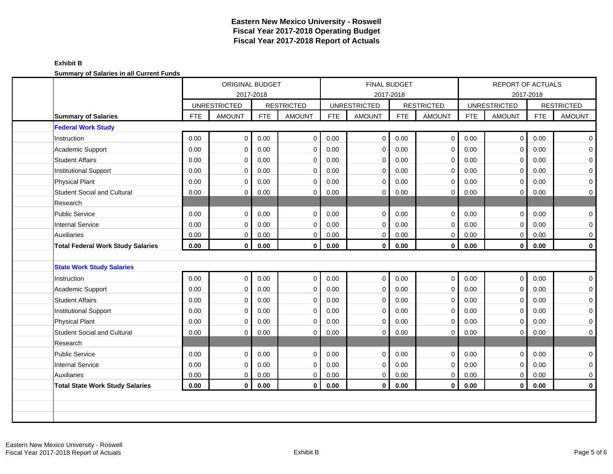| <u>cammary or calarics in all carrolly rands</u> | ORIGINAL BUDGET<br>2017-2018 |                     |            |                   |            | FINAL BUDGET<br>2017-2018 |            | <b>REPORT OF ACTUALS</b><br>2017-2018 |            |                     |            |                   |
|--------------------------------------------------|------------------------------|---------------------|------------|-------------------|------------|---------------------------|------------|---------------------------------------|------------|---------------------|------------|-------------------|
|                                                  |                              | <b>UNRESTRICTED</b> |            | <b>RESTRICTED</b> |            | <b>UNRESTRICTED</b>       |            | <b>RESTRICTED</b>                     |            | <b>UNRESTRICTED</b> |            | <b>RESTRICTED</b> |
| <b>Summary of Salaries</b>                       | <b>FTE</b>                   | <b>AMOUNT</b>       | <b>FTE</b> | <b>AMOUNT</b>     | <b>FTE</b> | <b>AMOUNT</b>             | <b>FTE</b> | <b>AMOUNT</b>                         | <b>FTE</b> | <b>AMOUNT</b>       | <b>FTE</b> | <b>AMOUNT</b>     |
| <b>Federal Work Study</b>                        |                              |                     |            |                   |            |                           |            |                                       |            |                     |            |                   |
| Instruction                                      | 0.00                         | $\mathbf 0$         | 0.00       | $\mathbf 0$       | 0.00       | 0                         | 0.00       | $\mathbf 0$                           | 0.00       | $\mathbf 0$         | 0.00       | 0                 |
| Academic Support                                 | 0.00                         | $\Omega$            | 0.00       | $\mathbf 0$       | 0.00       | 0                         | 0.00       | 0                                     | 0.00       | $\mathbf 0$         | 0.00       | 0                 |
| <b>Student Affairs</b>                           | 0.00                         | $\Omega$            | 0.00       | $\mathbf 0$       | 0.00       | $\mathbf 0$               | 0.00       | $\mathbf 0$                           | 0.00       | 0                   | 0.00       | 0                 |
| Institutional Support                            | 0.00                         | $\Omega$            | 0.00       | $\mathbf 0$       | 0.00       | $\mathbf 0$               | 0.00       | 0                                     | 0.00       | $\mathbf 0$         | 0.00       | 0                 |
| <b>Physical Plant</b>                            | 0.00                         | $\Omega$            | 0.00       | $\mathbf 0$       | 0.00       | $\mathbf 0$               | 0.00       | $\mathbf 0$                           | 0.00       | 0                   | 0.00       | 0                 |
| <b>Student Social and Cultural</b>               | 0.00                         | $\Omega$            | 0.00       | 0                 | 0.00       | 0                         | 0.00       | 0                                     | 0.00       | 0                   | 0.00       | 0                 |
| Research                                         |                              |                     |            |                   |            |                           |            |                                       |            |                     |            |                   |
| <b>Public Service</b>                            | 0.00                         | $\mathbf 0$         | 0.00       | $\mathbf 0$       | 0.00       | 0                         | 0.00       | $\mathbf 0$                           | 0.00       | $\mathbf 0$         | 0.00       | 0                 |
| <b>Internal Service</b>                          | 0.00                         | $\Omega$            | 0.00       | $\mathbf 0$       | 0.00       | $\mathbf 0$               | 0.00       | 0                                     | $0.00\,$   | $\mathbf 0$         | 0.00       | 0                 |
| <b>Auxiliaries</b>                               | 0.00                         | 0                   | 0.00       | $\mathbf 0$       | 0.00       | $\mathbf 0$               | 0.00       | 0                                     | 0.00       | $\mathbf 0$         | 0.00       | 0                 |
| <b>Total Federal Work Study Salaries</b>         | 0.00                         | 0                   | 0.00       | $\mathbf 0$       | 0.00       | $\bf{0}$                  | 0.00       | $\mathbf 0$                           | 0.00       | $\mathbf{0}$        | 0.00       | $\bf{0}$          |
|                                                  |                              |                     |            |                   |            |                           |            |                                       |            |                     |            |                   |
| <b>State Work Study Salaries</b>                 |                              |                     |            |                   |            |                           |            |                                       |            |                     |            |                   |
| Instruction                                      | 0.00                         | $\mathbf 0$         | 0.00       | $\mathbf 0$       | 0.00       | $\mathbf 0$               | 0.00       | $\mathbf 0$                           | 0.00       | $\mathbf 0$         | 0.00       | 0                 |
| Academic Support                                 | 0.00                         | $\Omega$            | 0.00       | $\mathbf 0$       | 0.00       | 0                         | 0.00       | 0                                     | 0.00       | $\mathbf 0$         | 0.00       | 0                 |
| <b>Student Affairs</b>                           | 0.00                         | $\Omega$            | 0.00       | $\mathbf 0$       | 0.00       | $\mathbf 0$               | 0.00       | $\mathbf 0$                           | 0.00       | 0                   | 0.00       | 0                 |
| Institutional Support                            | 0.00                         | 0                   | 0.00       | $\mathbf 0$       | 0.00       | 0                         | 0.00       | 0                                     | 0.00       | 0                   | 0.00       | 0                 |
| <b>Physical Plant</b>                            | 0.00                         | $\Omega$            | 0.00       | $\mathbf 0$       | 0.00       | $\mathbf 0$               | 0.00       | $\mathbf 0$                           | 0.00       | $\mathbf 0$         | 0.00       | 0                 |
| <b>Student Social and Cultural</b>               | 0.00                         | 0                   | 0.00       | $\mathbf 0$       | 0.00       | $\mathbf 0$               | 0.00       | $\mathbf 0$                           | 0.00       | 0                   | 0.00       | 0                 |
| Research                                         |                              |                     |            |                   |            |                           |            |                                       |            |                     |            |                   |
| <b>Public Service</b>                            | 0.00                         | $\Omega$            | 0.00       | $\mathbf 0$       | 0.00       | $\mathbf 0$               | 0.00       | $\mathbf 0$                           | 0.00       | $\mathbf 0$         | 0.00       | 0                 |
| <b>Internal Service</b>                          | 0.00                         | $\Omega$            | 0.00       | $\mathbf 0$       | 0.00       | $\mathbf 0$               | 0.00       | $\mathbf 0$                           | 0.00       | $\mathbf 0$         | 0.00       | 0                 |
| <b>Auxiliaries</b>                               | $0.00\,$                     | 0                   | 0.00       | $\mathbf 0$       | 0.00       | 0                         | 0.00       | 0                                     | $0.00\,$   | 0                   | 0.00       | 0                 |
| <b>Total State Work Study Salaries</b>           | 0.00                         | $\bf{0}$            | 0.00       | $\mathbf 0$       | 0.00       | $\bf{0}$                  | 0.00       | $\mathbf{0}$                          | 0.00       | $\mathbf{0}$        | 0.00       | $\mathbf 0$       |
|                                                  |                              |                     |            |                   |            |                           |            |                                       |            |                     |            |                   |
|                                                  |                              |                     |            |                   |            |                           |            |                                       |            |                     |            |                   |
|                                                  |                              |                     |            |                   |            |                           |            |                                       |            |                     |            |                   |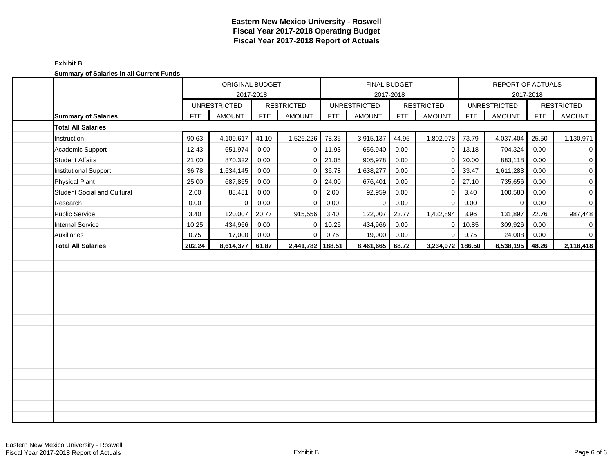| <b>Cammary or Calarico in an Carront Fanao</b> | ORIGINAL BUDGET<br>2017-2018 |                     |            | FINAL BUDGET<br>2017-2018 |            |                     |            |                   | REPORT OF ACTUALS | 2017-2018           |            |                     |
|------------------------------------------------|------------------------------|---------------------|------------|---------------------------|------------|---------------------|------------|-------------------|-------------------|---------------------|------------|---------------------|
|                                                |                              | <b>UNRESTRICTED</b> |            | <b>RESTRICTED</b>         |            | <b>UNRESTRICTED</b> |            | <b>RESTRICTED</b> |                   | <b>UNRESTRICTED</b> |            | <b>RESTRICTED</b>   |
| <b>Summary of Salaries</b>                     | FTE                          | <b>AMOUNT</b>       | <b>FTE</b> | <b>AMOUNT</b>             | <b>FTE</b> | <b>AMOUNT</b>       | <b>FTE</b> | <b>AMOUNT</b>     | <b>FTE</b>        | <b>AMOUNT</b>       | <b>FTE</b> | <b>AMOUNT</b>       |
| <b>Total All Salaries</b>                      |                              |                     |            |                           |            |                     |            |                   |                   |                     |            |                     |
| Instruction                                    | 90.63                        | 4,109,617           | 41.10      | 1,526,226                 | 78.35      | 3,915,137           | 44.95      | 1,802,078         | 73.79             | 4,037,404           | 25.50      | 1,130,971           |
| Academic Support                               | 12.43                        | 651,974             | 0.00       | $\mathbf{0}$              | 11.93      | 656,940             | 0.00       | $\mathbf 0$       | 13.18             | 704,324             | 0.00       | $\overline{0}$      |
| <b>Student Affairs</b>                         | 21.00                        | 870,322             | 0.00       | $\Omega$                  | 21.05      | 905,978             | 0.00       | $\mathbf 0$       | 20.00             | 883,118             | 0.00       | $\mathbf 0$         |
| Institutional Support                          | 36.78                        | 1,634,145           | 0.00       | $\mathbf{0}$              | 36.78      | 1,638,277           | 0.00       | $\mathbf 0$       | 33.47             | 1,611,283           | 0.00       | $\mathsf{O}\,$      |
| <b>Physical Plant</b>                          | 25.00                        | 687,865             | 0.00       | $\mathbf 0$               | 24.00      | 676,401             | 0.00       | $\mathbf 0$       | 27.10             | 735,656             | 0.00       | $\mathsf{O}\xspace$ |
| <b>Student Social and Cultural</b>             | 2.00                         | 88,481              | 0.00       | $\mathbf{0}$              | 2.00       | 92,959              | 0.00       | 0                 | 3.40              | 100,580             | 0.00       | $\mathsf{O}\xspace$ |
| Research                                       | 0.00                         | 0                   | 0.00       | $\Omega$                  | 0.00       | $\mathbf 0$         | 0.00       | $\Omega$          | 0.00              | $\mathbf{0}$        | 0.00       | $\mathbf 0$         |
| <b>Public Service</b>                          | 3.40                         | 120,007             | 20.77      | 915,556                   | 3.40       | 122,007             | 23.77      | 1,432,894         | 3.96              | 131,897             | 22.76      | 987,448             |
| <b>Internal Service</b>                        | 10.25                        | 434,966             | 0.00       | $\mathbf 0$               | 10.25      | 434,966             | 0.00       | $\mathbf 0$       | 10.85             | 309,926             | 0.00       | $\overline{0}$      |
| Auxiliaries                                    | 0.75                         | 17,000              | 0.00       | $\mathbf 0$               | 0.75       | 19,000              | 0.00       | $\mathbf 0$       | 0.75              | 24,008              | 0.00       | $\overline{0}$      |
| <b>Total All Salaries</b>                      | 202.24                       | 8,614,377           | 61.87      | 2,441,782 188.51          |            | 8,461,665           | 68.72      | 3,234,972         | 186.50            | 8,538,195           | 48.26      | 2,118,418           |
|                                                |                              |                     |            |                           |            |                     |            |                   |                   |                     |            |                     |
|                                                |                              |                     |            |                           |            |                     |            |                   |                   |                     |            |                     |
|                                                |                              |                     |            |                           |            |                     |            |                   |                   |                     |            |                     |
|                                                |                              |                     |            |                           |            |                     |            |                   |                   |                     |            |                     |
|                                                |                              |                     |            |                           |            |                     |            |                   |                   |                     |            |                     |
|                                                |                              |                     |            |                           |            |                     |            |                   |                   |                     |            |                     |
|                                                |                              |                     |            |                           |            |                     |            |                   |                   |                     |            |                     |
|                                                |                              |                     |            |                           |            |                     |            |                   |                   |                     |            |                     |
|                                                |                              |                     |            |                           |            |                     |            |                   |                   |                     |            |                     |
|                                                |                              |                     |            |                           |            |                     |            |                   |                   |                     |            |                     |
|                                                |                              |                     |            |                           |            |                     |            |                   |                   |                     |            |                     |
|                                                |                              |                     |            |                           |            |                     |            |                   |                   |                     |            |                     |
|                                                |                              |                     |            |                           |            |                     |            |                   |                   |                     |            |                     |
|                                                |                              |                     |            |                           |            |                     |            |                   |                   |                     |            |                     |
|                                                |                              |                     |            |                           |            |                     |            |                   |                   |                     |            |                     |
|                                                |                              |                     |            |                           |            |                     |            |                   |                   |                     |            |                     |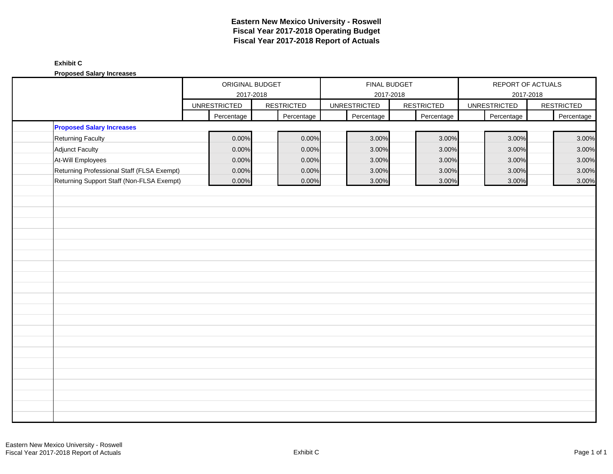# **Exhibit C**

**Proposed Salary Increases**

|                                            | ORIGINAL BUDGET<br>FINAL BUDGET<br>REPORT OF ACTUALS<br>2017-2018<br>2017-2018<br>2017-2018 |                   |       |                     |                   |                     |  |                   |
|--------------------------------------------|---------------------------------------------------------------------------------------------|-------------------|-------|---------------------|-------------------|---------------------|--|-------------------|
|                                            | <b>UNRESTRICTED</b>                                                                         | <b>RESTRICTED</b> |       | <b>UNRESTRICTED</b> | <b>RESTRICTED</b> | <b>UNRESTRICTED</b> |  | <b>RESTRICTED</b> |
|                                            | Percentage                                                                                  | Percentage        |       | Percentage          | Percentage        | Percentage          |  | Percentage        |
| <b>Proposed Salary Increases</b>           |                                                                                             |                   |       |                     |                   |                     |  |                   |
| <b>Returning Faculty</b>                   | 0.00%                                                                                       |                   | 0.00% | 3.00%               | 3.00%             | 3.00%               |  | 3.00%             |
| <b>Adjunct Faculty</b>                     | 0.00%                                                                                       |                   | 0.00% | 3.00%               | 3.00%             | 3.00%               |  | 3.00%             |
| At-Will Employees                          | 0.00%                                                                                       |                   | 0.00% | 3.00%               | 3.00%             | 3.00%               |  | 3.00%             |
| Returning Professional Staff (FLSA Exempt) | 0.00%                                                                                       |                   | 0.00% | 3.00%               | 3.00%             | 3.00%               |  | 3.00%             |
| Returning Support Staff (Non-FLSA Exempt)  | 0.00%                                                                                       |                   | 0.00% | 3.00%               | 3.00%             | 3.00%               |  | 3.00%             |
|                                            |                                                                                             |                   |       |                     |                   |                     |  |                   |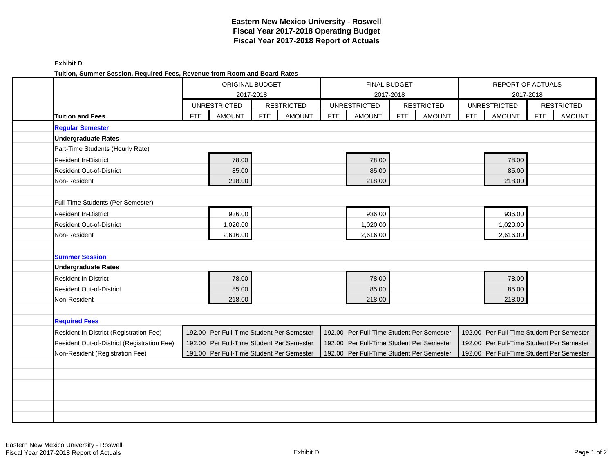| Tuition, Summer Session, Required Fees, Revenue from Room and Board Rates |            |                                           |            |                   |            |                                           |            |                   |            |                                           |            |                   |
|---------------------------------------------------------------------------|------------|-------------------------------------------|------------|-------------------|------------|-------------------------------------------|------------|-------------------|------------|-------------------------------------------|------------|-------------------|
|                                                                           |            | <b>ORIGINAL BUDGET</b>                    |            |                   |            | FINAL BUDGET                              |            |                   |            | REPORT OF ACTUALS                         |            |                   |
|                                                                           |            |                                           | 2017-2018  |                   |            | 2017-2018                                 |            |                   |            |                                           | 2017-2018  |                   |
|                                                                           |            | <b>UNRESTRICTED</b>                       |            | <b>RESTRICTED</b> |            | <b>UNRESTRICTED</b>                       |            | <b>RESTRICTED</b> |            | <b>UNRESTRICTED</b>                       |            | <b>RESTRICTED</b> |
| <b>Tuition and Fees</b>                                                   | <b>FTE</b> | <b>AMOUNT</b>                             | <b>FTE</b> | <b>AMOUNT</b>     | <b>FTE</b> | <b>AMOUNT</b>                             | <b>FTE</b> | <b>AMOUNT</b>     | <b>FTE</b> | <b>AMOUNT</b>                             | <b>FTE</b> | <b>AMOUNT</b>     |
| <b>Regular Semester</b>                                                   |            |                                           |            |                   |            |                                           |            |                   |            |                                           |            |                   |
| <b>Undergraduate Rates</b>                                                |            |                                           |            |                   |            |                                           |            |                   |            |                                           |            |                   |
| Part-Time Students (Hourly Rate)                                          |            |                                           |            |                   |            |                                           |            |                   |            |                                           |            |                   |
| <b>Resident In-District</b>                                               |            | 78.00                                     |            |                   |            | 78.00                                     |            |                   |            | 78.00                                     |            |                   |
| <b>Resident Out-of-District</b>                                           |            | 85.00                                     |            |                   |            | 85.00                                     |            |                   |            | 85.00                                     |            |                   |
| Non-Resident                                                              |            | 218.00                                    |            |                   |            | 218.00                                    |            |                   |            | 218.00                                    |            |                   |
|                                                                           |            |                                           |            |                   |            |                                           |            |                   |            |                                           |            |                   |
| Full-Time Students (Per Semester)                                         |            |                                           |            |                   |            |                                           |            |                   |            |                                           |            |                   |
| <b>Resident In-District</b>                                               |            | 936.00                                    |            |                   |            | 936.00                                    |            |                   |            | 936.00                                    |            |                   |
| <b>Resident Out-of-District</b>                                           |            | 1,020.00                                  |            |                   |            | 1,020.00                                  |            |                   |            | 1,020.00                                  |            |                   |
| Non-Resident                                                              |            | 2,616.00                                  |            |                   |            | 2,616.00                                  |            |                   |            | 2,616.00                                  |            |                   |
|                                                                           |            |                                           |            |                   |            |                                           |            |                   |            |                                           |            |                   |
| <b>Summer Session</b>                                                     |            |                                           |            |                   |            |                                           |            |                   |            |                                           |            |                   |
| <b>Undergraduate Rates</b>                                                |            |                                           |            |                   |            |                                           |            |                   |            |                                           |            |                   |
| <b>Resident In-District</b>                                               |            | 78.00                                     |            |                   |            | 78.00                                     |            |                   |            | 78.00                                     |            |                   |
| <b>Resident Out-of-District</b>                                           |            | 85.00                                     |            |                   |            | 85.00                                     |            |                   |            | 85.00                                     |            |                   |
| Non-Resident                                                              |            | 218.00                                    |            |                   |            | 218.00                                    |            |                   |            | 218.00                                    |            |                   |
|                                                                           |            |                                           |            |                   |            |                                           |            |                   |            |                                           |            |                   |
| <b>Required Fees</b>                                                      |            |                                           |            |                   |            |                                           |            |                   |            |                                           |            |                   |
| <b>Resident In-District (Registration Fee)</b>                            |            | 192.00 Per Full-Time Student Per Semester |            |                   |            | 192.00 Per Full-Time Student Per Semester |            |                   |            | 192.00 Per Full-Time Student Per Semester |            |                   |
| Resident Out-of-District (Registration Fee)                               |            | 192.00 Per Full-Time Student Per Semester |            |                   |            | 192.00 Per Full-Time Student Per Semester |            |                   |            | 192.00 Per Full-Time Student Per Semester |            |                   |
| Non-Resident (Registration Fee)                                           |            | 191.00 Per Full-Time Student Per Semester |            |                   |            | 192.00 Per Full-Time Student Per Semester |            |                   |            | 192.00 Per Full-Time Student Per Semester |            |                   |
|                                                                           |            |                                           |            |                   |            |                                           |            |                   |            |                                           |            |                   |
|                                                                           |            |                                           |            |                   |            |                                           |            |                   |            |                                           |            |                   |
|                                                                           |            |                                           |            |                   |            |                                           |            |                   |            |                                           |            |                   |
|                                                                           |            |                                           |            |                   |            |                                           |            |                   |            |                                           |            |                   |
|                                                                           |            |                                           |            |                   |            |                                           |            |                   |            |                                           |            |                   |
|                                                                           |            |                                           |            |                   |            |                                           |            |                   |            |                                           |            |                   |

**Exhibit D**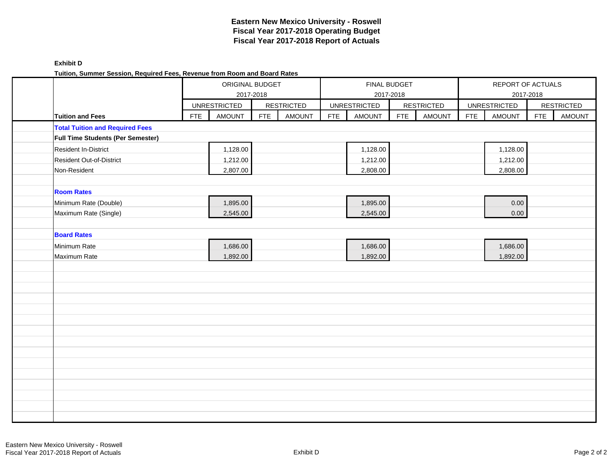| <b>Exhibit D</b>                                                          |
|---------------------------------------------------------------------------|
| Tuition, Summer Session, Required Fees, Revenue from Room and Board Rates |

| runun, Jummer Jession, Reyuneu i ees, Revenue hom Room and Doard Rates |            | ORIGINAL BUDGET<br>2017-2018<br><b>UNRESTRICTED</b> |            |                   |            | FINAL BUDGET<br>2017-2018 |            |                   |            | REPORT OF ACTUALS<br>2017-2018 |            |                   |
|------------------------------------------------------------------------|------------|-----------------------------------------------------|------------|-------------------|------------|---------------------------|------------|-------------------|------------|--------------------------------|------------|-------------------|
|                                                                        |            |                                                     |            | <b>RESTRICTED</b> |            | <b>UNRESTRICTED</b>       |            | <b>RESTRICTED</b> |            | <b>UNRESTRICTED</b>            |            | <b>RESTRICTED</b> |
| <b>Tuition and Fees</b>                                                | <b>FTE</b> | <b>AMOUNT</b>                                       | <b>FTE</b> | <b>AMOUNT</b>     | <b>FTE</b> | <b>AMOUNT</b>             | <b>FTE</b> | <b>AMOUNT</b>     | <b>FTE</b> | <b>AMOUNT</b>                  | <b>FTE</b> | <b>AMOUNT</b>     |
| <b>Total Tuition and Required Fees</b>                                 |            |                                                     |            |                   |            |                           |            |                   |            |                                |            |                   |
| Full Time Students (Per Semester)                                      |            |                                                     |            |                   |            |                           |            |                   |            |                                |            |                   |
| <b>Resident In-District</b>                                            |            | 1,128.00                                            |            |                   |            | 1,128.00                  |            |                   |            | 1,128.00                       |            |                   |
| Resident Out-of-District                                               |            | 1,212.00                                            |            |                   |            | 1,212.00                  |            |                   |            | 1,212.00                       |            |                   |
| Non-Resident                                                           |            | 2,807.00                                            |            |                   |            | 2,808.00                  |            |                   |            | 2,808.00                       |            |                   |
|                                                                        |            |                                                     |            |                   |            |                           |            |                   |            |                                |            |                   |
| <b>Room Rates</b>                                                      |            |                                                     |            |                   |            |                           |            |                   |            |                                |            |                   |
| Minimum Rate (Double)                                                  |            | 1,895.00                                            |            |                   |            | 1,895.00                  |            |                   |            | 0.00                           |            |                   |
| Maximum Rate (Single)                                                  |            | 2,545.00                                            |            |                   |            | 2,545.00                  |            |                   |            | 0.00                           |            |                   |
|                                                                        |            |                                                     |            |                   |            |                           |            |                   |            |                                |            |                   |
| <b>Board Rates</b>                                                     |            |                                                     |            |                   |            |                           |            |                   |            |                                |            |                   |
| Minimum Rate                                                           |            | 1,686.00                                            |            |                   |            | 1,686.00                  |            |                   |            | 1,686.00                       |            |                   |
| Maximum Rate                                                           |            | 1,892.00                                            |            |                   |            | 1,892.00                  |            |                   |            | 1,892.00                       |            |                   |
|                                                                        |            |                                                     |            |                   |            |                           |            |                   |            |                                |            |                   |
|                                                                        |            |                                                     |            |                   |            |                           |            |                   |            |                                |            |                   |
|                                                                        |            |                                                     |            |                   |            |                           |            |                   |            |                                |            |                   |
|                                                                        |            |                                                     |            |                   |            |                           |            |                   |            |                                |            |                   |
|                                                                        |            |                                                     |            |                   |            |                           |            |                   |            |                                |            |                   |
|                                                                        |            |                                                     |            |                   |            |                           |            |                   |            |                                |            |                   |
|                                                                        |            |                                                     |            |                   |            |                           |            |                   |            |                                |            |                   |
|                                                                        |            |                                                     |            |                   |            |                           |            |                   |            |                                |            |                   |
|                                                                        |            |                                                     |            |                   |            |                           |            |                   |            |                                |            |                   |
|                                                                        |            |                                                     |            |                   |            |                           |            |                   |            |                                |            |                   |
|                                                                        |            |                                                     |            |                   |            |                           |            |                   |            |                                |            |                   |
|                                                                        |            |                                                     |            |                   |            |                           |            |                   |            |                                |            |                   |
|                                                                        |            |                                                     |            |                   |            |                           |            |                   |            |                                |            |                   |
|                                                                        |            |                                                     |            |                   |            |                           |            |                   |            |                                |            |                   |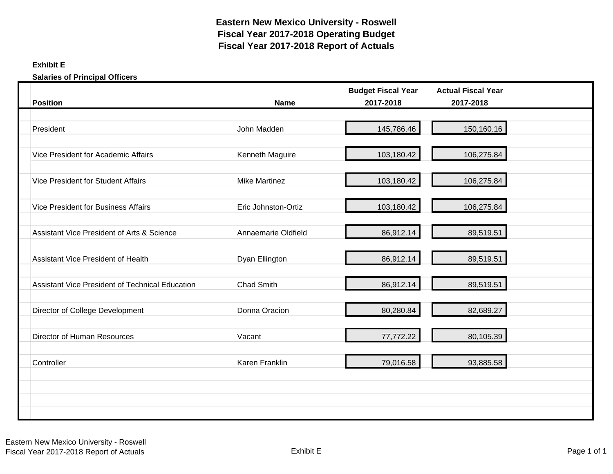# **Exhibit E**

**Salaries of Principal Officers**

| <b>Position</b>                                        | <b>Name</b>          | <b>Budget Fiscal Year</b><br>2017-2018 | <b>Actual Fiscal Year</b><br>2017-2018 |  |
|--------------------------------------------------------|----------------------|----------------------------------------|----------------------------------------|--|
|                                                        |                      |                                        |                                        |  |
| President                                              | John Madden          | 145,786.46                             | 150,160.16                             |  |
| Vice President for Academic Affairs                    | Kenneth Maguire      | 103,180.42                             | 106,275.84                             |  |
| <b>Vice President for Student Affairs</b>              | <b>Mike Martinez</b> | 103,180.42                             | 106,275.84                             |  |
| <b>Vice President for Business Affairs</b>             | Eric Johnston-Ortiz  | 103,180.42                             | 106,275.84                             |  |
| Assistant Vice President of Arts & Science             | Annaemarie Oldfield  | 86,912.14                              | 89,519.51                              |  |
| <b>Assistant Vice President of Health</b>              | Dyan Ellington       | 86,912.14                              | 89,519.51                              |  |
| <b>Assistant Vice President of Technical Education</b> | <b>Chad Smith</b>    | 86,912.14                              | 89,519.51                              |  |
| Director of College Development                        | Donna Oracion        | 80,280.84                              | 82,689.27                              |  |
| Director of Human Resources                            | Vacant               | 77,772.22                              | 80,105.39                              |  |
| Controller                                             | Karen Franklin       | 79,016.58                              | 93,885.58                              |  |
|                                                        |                      |                                        |                                        |  |
|                                                        |                      |                                        |                                        |  |
|                                                        |                      |                                        |                                        |  |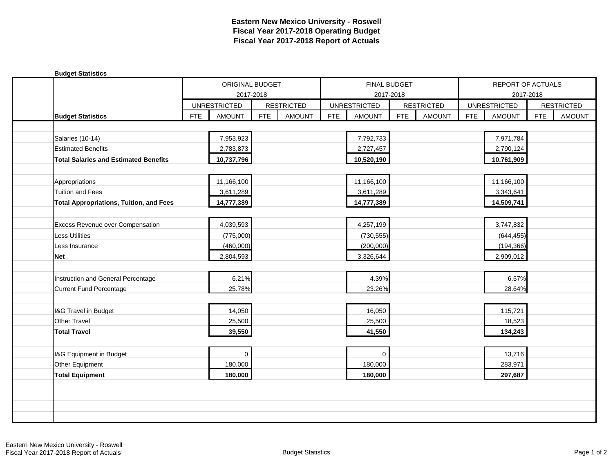| <b>Budget Statistics</b>                       |            |                     |            |                   |            |                     |            |                   |            |                     |            |                   |
|------------------------------------------------|------------|---------------------|------------|-------------------|------------|---------------------|------------|-------------------|------------|---------------------|------------|-------------------|
|                                                |            | ORIGINAL BUDGET     |            |                   |            | FINAL BUDGET        |            |                   |            | REPORT OF ACTUALS   |            |                   |
|                                                |            | 2017-2018           |            |                   |            | 2017-2018           |            |                   |            | 2017-2018           |            |                   |
|                                                |            | <b>UNRESTRICTED</b> |            | <b>RESTRICTED</b> |            | <b>UNRESTRICTED</b> |            | <b>RESTRICTED</b> |            | <b>UNRESTRICTED</b> |            | <b>RESTRICTED</b> |
| <b>Budget Statistics</b>                       | <b>FTE</b> | <b>AMOUNT</b>       | <b>FTE</b> | <b>AMOUNT</b>     | <b>FTE</b> | <b>AMOUNT</b>       | <b>FTE</b> | <b>AMOUNT</b>     | <b>FTE</b> | <b>AMOUNT</b>       | <b>FTE</b> | <b>AMOUNT</b>     |
|                                                |            |                     |            |                   |            |                     |            |                   |            |                     |            |                   |
| Salaries (10-14)                               |            | 7,953,923           |            |                   |            | 7,792,733           |            |                   |            | 7,971,784           |            |                   |
| <b>Estimated Benefits</b>                      |            | 2,783,873           |            |                   |            | 2,727,457           |            |                   |            | 2,790,124           |            |                   |
| <b>Total Salaries and Estimated Benefits</b>   |            | 10,737,796          |            |                   |            | 10,520,190          |            |                   |            | 10,761,909          |            |                   |
|                                                |            |                     |            |                   |            |                     |            |                   |            |                     |            |                   |
| Appropriations                                 |            | 11,166,100          |            |                   |            | 11,166,100          |            |                   |            | 11,166,100          |            |                   |
| <b>Tuition and Fees</b>                        |            | 3,611,289           |            |                   |            | 3,611,289           |            |                   |            | 3,343,641           |            |                   |
| <b>Total Appropriations, Tuition, and Fees</b> |            | 14,777,389          |            |                   |            | 14,777,389          |            |                   |            | 14,509,741          |            |                   |
|                                                |            |                     |            |                   |            |                     |            |                   |            |                     |            |                   |
| <b>Excess Revenue over Compensation</b>        |            | 4,039,593           |            |                   |            | 4,257,199           |            |                   |            | 3,747,832           |            |                   |
| <b>Less Utilities</b>                          |            | (775,000)           |            |                   |            | (730, 555)          |            |                   |            | (644, 455)          |            |                   |
| Less Insurance                                 |            | (460,000)           |            |                   |            | (200,000)           |            |                   |            | (194, 366)          |            |                   |
| <b>Net</b>                                     |            | 2,804,593           |            |                   |            | 3,326,644           |            |                   |            | 2,909,012           |            |                   |
|                                                |            |                     |            |                   |            |                     |            |                   |            |                     |            |                   |
| Instruction and General Percentage             |            | 6.21%               |            |                   |            | 4.39%               |            |                   |            | 6.57%               |            |                   |
| Current Fund Percentage                        |            | 25.78%              |            |                   |            | 23.26%              |            |                   |            | 28.64%              |            |                   |
|                                                |            |                     |            |                   |            |                     |            |                   |            |                     |            |                   |
| I&G Travel in Budget                           |            | 14,050              |            |                   |            | 16,050              |            |                   |            | 115,721             |            |                   |
| Other Travel                                   |            | 25,500              |            |                   |            | 25,500              |            |                   |            | 18,523              |            |                   |
| <b>Total Travel</b>                            |            | 39,550              |            |                   |            | 41,550              |            |                   |            | 134,243             |            |                   |
|                                                |            |                     |            |                   |            |                     |            |                   |            |                     |            |                   |
| I&G Equipment in Budget                        |            | $\mathbf 0$         |            |                   |            | $\Omega$            |            |                   |            | 13,716              |            |                   |
| Other Equipment                                |            | 180,000             |            |                   |            | 180,000             |            |                   |            | 283,971             |            |                   |
| <b>Total Equipment</b>                         |            | 180,000             |            |                   |            | 180,000             |            |                   |            | 297,687             |            |                   |
|                                                |            |                     |            |                   |            |                     |            |                   |            |                     |            |                   |
|                                                |            |                     |            |                   |            |                     |            |                   |            |                     |            |                   |
|                                                |            |                     |            |                   |            |                     |            |                   |            |                     |            |                   |
|                                                |            |                     |            |                   |            |                     |            |                   |            |                     |            |                   |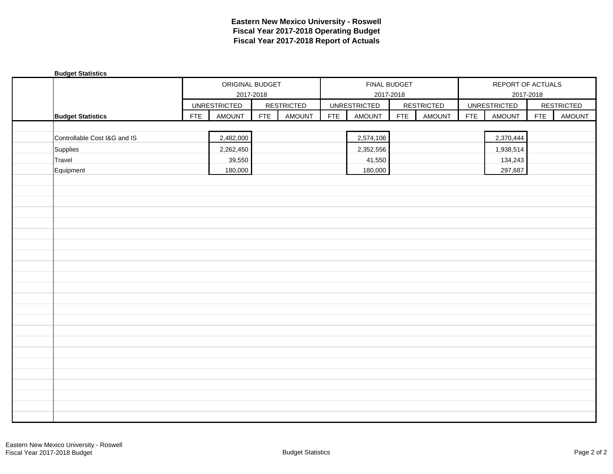| <b>Budget Statistics</b>     |            |                     |            |                   |            |                     |            |                   |            |                     |            |                   |
|------------------------------|------------|---------------------|------------|-------------------|------------|---------------------|------------|-------------------|------------|---------------------|------------|-------------------|
|                              |            | ORIGINAL BUDGET     |            |                   |            | FINAL BUDGET        |            |                   |            | REPORT OF ACTUALS   |            |                   |
|                              |            |                     | 2017-2018  |                   |            | 2017-2018           |            |                   |            |                     | 2017-2018  |                   |
|                              |            | <b>UNRESTRICTED</b> |            | <b>RESTRICTED</b> |            | <b>UNRESTRICTED</b> |            | <b>RESTRICTED</b> |            | <b>UNRESTRICTED</b> |            | <b>RESTRICTED</b> |
| <b>Budget Statistics</b>     | <b>FTE</b> | <b>AMOUNT</b>       | <b>FTE</b> | <b>AMOUNT</b>     | <b>FTE</b> | AMOUNT              | <b>FTE</b> | <b>AMOUNT</b>     | <b>FTE</b> | AMOUNT              | <b>FTE</b> | AMOUNT            |
|                              |            |                     |            |                   |            |                     |            |                   |            |                     |            |                   |
| Controllable Cost I&G and IS |            | 2,482,000           |            |                   |            | 2,574,106           |            |                   |            | 2,370,444           |            |                   |
| Supplies                     |            | 2,262,450           |            |                   |            | 2,352,556           |            |                   |            | 1,938,514           |            |                   |
| Travel                       |            | 39,550              |            |                   |            | 41,550              |            |                   |            | 134,243             |            |                   |
| Equipment                    |            | 180,000             |            |                   |            | 180,000             |            |                   |            | 297,687             |            |                   |
|                              |            |                     |            |                   |            |                     |            |                   |            |                     |            |                   |
|                              |            |                     |            |                   |            |                     |            |                   |            |                     |            |                   |
|                              |            |                     |            |                   |            |                     |            |                   |            |                     |            |                   |
|                              |            |                     |            |                   |            |                     |            |                   |            |                     |            |                   |
|                              |            |                     |            |                   |            |                     |            |                   |            |                     |            |                   |
|                              |            |                     |            |                   |            |                     |            |                   |            |                     |            |                   |
|                              |            |                     |            |                   |            |                     |            |                   |            |                     |            |                   |
|                              |            |                     |            |                   |            |                     |            |                   |            |                     |            |                   |
|                              |            |                     |            |                   |            |                     |            |                   |            |                     |            |                   |
|                              |            |                     |            |                   |            |                     |            |                   |            |                     |            |                   |
|                              |            |                     |            |                   |            |                     |            |                   |            |                     |            |                   |
|                              |            |                     |            |                   |            |                     |            |                   |            |                     |            |                   |
|                              |            |                     |            |                   |            |                     |            |                   |            |                     |            |                   |
|                              |            |                     |            |                   |            |                     |            |                   |            |                     |            |                   |
|                              |            |                     |            |                   |            |                     |            |                   |            |                     |            |                   |
|                              |            |                     |            |                   |            |                     |            |                   |            |                     |            |                   |
|                              |            |                     |            |                   |            |                     |            |                   |            |                     |            |                   |
|                              |            |                     |            |                   |            |                     |            |                   |            |                     |            |                   |
|                              |            |                     |            |                   |            |                     |            |                   |            |                     |            |                   |
|                              |            |                     |            |                   |            |                     |            |                   |            |                     |            |                   |
|                              |            |                     |            |                   |            |                     |            |                   |            |                     |            |                   |
|                              |            |                     |            |                   |            |                     |            |                   |            |                     |            |                   |
|                              |            |                     |            |                   |            |                     |            |                   |            |                     |            |                   |
|                              |            |                     |            |                   |            |                     |            |                   |            |                     |            |                   |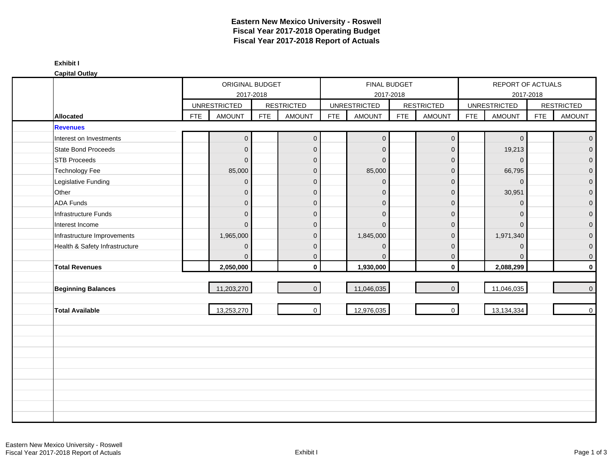| <b>Capital Outlay</b>          |            |                     |            |                   |            |                     |                                  |                     |            |                     |            |                   |
|--------------------------------|------------|---------------------|------------|-------------------|------------|---------------------|----------------------------------|---------------------|------------|---------------------|------------|-------------------|
|                                |            | ORIGINAL BUDGET     | 2017-2018  |                   |            |                     | <b>FINAL BUDGET</b><br>2017-2018 |                     |            | REPORT OF ACTUALS   | 2017-2018  |                   |
|                                |            | <b>UNRESTRICTED</b> |            | <b>RESTRICTED</b> |            | <b>UNRESTRICTED</b> |                                  | <b>RESTRICTED</b>   |            | <b>UNRESTRICTED</b> |            | <b>RESTRICTED</b> |
| <b>Allocated</b>               | <b>FTE</b> | <b>AMOUNT</b>       | <b>FTE</b> | <b>AMOUNT</b>     | <b>FTE</b> | <b>AMOUNT</b>       | <b>FTE</b>                       | <b>AMOUNT</b>       | <b>FTE</b> | <b>AMOUNT</b>       | <b>FTE</b> | <b>AMOUNT</b>     |
| <b>Revenues</b>                |            |                     |            |                   |            |                     |                                  |                     |            |                     |            |                   |
| Interest on Investments        |            | $\boldsymbol{0}$    |            | $\mathbf{O}$      |            | $\overline{0}$      |                                  | $\mathsf{O}\xspace$ |            | $\mathsf{O}\xspace$ |            | $\mathbf{0}$      |
| State Bond Proceeds            |            | $\mathbf 0$         |            | $\mathbf 0$       |            | $\Omega$            |                                  | $\mathbf{0}$        |            | 19,213              |            | $\mathbf{0}$      |
| <b>STB Proceeds</b>            |            | $\pmb{0}$           |            | $\mathbf 0$       |            | $\Omega$            |                                  | $\mathbf 0$         |            | $\mathbf{0}$        |            | $\mathbf{0}$      |
| <b>Technology Fee</b>          |            | 85,000              |            | $\mathbf 0$       |            | 85,000              |                                  | $\mathbf 0$         |            | 66,795              |            | $\mathbf{0}$      |
| Legislative Funding            |            | $\mathbf 0$         |            | $\mathbf 0$       |            | $\mathbf{0}$        |                                  | $\mathbf 0$         |            | $\mathbf 0$         |            | $\mathbf 0$       |
| Other                          |            | $\mathbf 0$         |            | $\mathbf 0$       |            | $\mathbf{0}$        |                                  | $\mathbf 0$         |            | 30,951              |            | $\mathbf{0}$      |
| <b>ADA Funds</b>               |            | $\pmb{0}$           |            | $\mathbf 0$       |            | $\mathbf{0}$        |                                  | $\mathbf 0$         |            | $\mathbf{0}$        |            | $\mathbf{0}$      |
| Infrastructure Funds           |            | $\overline{0}$      |            | $\mathbf{0}$      |            | $\Omega$            |                                  | $\mathbf{0}$        |            | 0                   |            | $\mathbf{0}$      |
| Interest Income                |            | $\mathbf{0}$        |            | $\mathbf 0$       |            | $\Omega$            |                                  | $\mathbf{0}$        |            | $\Omega$            |            | $\mathbf{0}$      |
| Infrastructure Improvements    |            | 1,965,000           |            | $\mathbf{0}$      |            | 1,845,000           |                                  | $\mathbf{0}$        |            | 1,971,340           |            | $\Omega$          |
| Health & Safety Infrastructure |            | $\pmb{0}$           |            | $\mathbf 0$       |            | $\overline{0}$      |                                  | $\pmb{0}$           |            | 0                   |            | $\mathbf 0$       |
|                                |            | $\mathbf{0}$        |            | $\mathbf{0}$      |            | $\Omega$            |                                  | $\mathbf 0$         |            | 0                   |            | $\mathbf 0$       |
| <b>Total Revenues</b>          |            | 2,050,000           |            | $\mathbf 0$       |            | 1,930,000           |                                  | $\mathbf 0$         |            | 2,088,299           |            | $\pmb{0}$         |
|                                |            |                     |            |                   |            |                     |                                  |                     |            |                     |            |                   |
| <b>Beginning Balances</b>      |            | 11,203,270          |            | $\overline{0}$    |            | 11,046,035          |                                  | $\overline{0}$      |            | 11,046,035          |            | $\pmb{0}$         |
| <b>Total Available</b>         |            | 13,253,270          |            | $\mathbf 0$       |            | 12,976,035          |                                  | $\mathbf 0$         |            | 13,134,334          |            | $\pmb{0}$         |
|                                |            |                     |            |                   |            |                     |                                  |                     |            |                     |            |                   |
|                                |            |                     |            |                   |            |                     |                                  |                     |            |                     |            |                   |
|                                |            |                     |            |                   |            |                     |                                  |                     |            |                     |            |                   |
|                                |            |                     |            |                   |            |                     |                                  |                     |            |                     |            |                   |
|                                |            |                     |            |                   |            |                     |                                  |                     |            |                     |            |                   |
|                                |            |                     |            |                   |            |                     |                                  |                     |            |                     |            |                   |
|                                |            |                     |            |                   |            |                     |                                  |                     |            |                     |            |                   |
|                                |            |                     |            |                   |            |                     |                                  |                     |            |                     |            |                   |
|                                |            |                     |            |                   |            |                     |                                  |                     |            |                     |            |                   |
|                                |            |                     |            |                   |            |                     |                                  |                     |            |                     |            |                   |

**Exhibit I**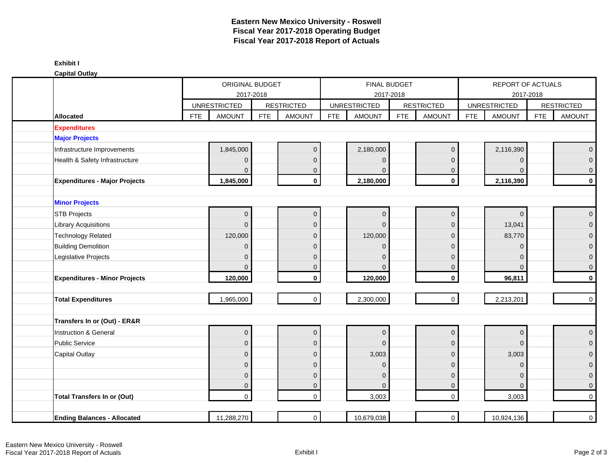|  | <b>Capital Outlay</b> |  |
|--|-----------------------|--|
|  |                       |  |

| oupnur ounu                          |            | ORIGINAL BUDGET<br>2017-2018 |            |                     |            | FINAL BUDGET<br>2017-2018 |                   |                     | REPORT OF ACTUALS<br>2017-2018 |                |            |                   |
|--------------------------------------|------------|------------------------------|------------|---------------------|------------|---------------------------|-------------------|---------------------|--------------------------------|----------------|------------|-------------------|
|                                      |            | <b>UNRESTRICTED</b>          |            | <b>RESTRICTED</b>   |            | <b>UNRESTRICTED</b>       | <b>RESTRICTED</b> |                     | <b>UNRESTRICTED</b>            |                |            | <b>RESTRICTED</b> |
| Allocated                            | <b>FTE</b> | <b>AMOUNT</b>                | <b>FTE</b> | <b>AMOUNT</b>       | <b>FTE</b> | <b>AMOUNT</b>             | <b>FTE</b>        | <b>AMOUNT</b>       | <b>FTE</b>                     | <b>AMOUNT</b>  | <b>FTE</b> | <b>AMOUNT</b>     |
| <b>Expenditures</b>                  |            |                              |            |                     |            |                           |                   |                     |                                |                |            |                   |
| <b>Major Projects</b>                |            |                              |            |                     |            |                           |                   |                     |                                |                |            |                   |
| Infrastructure Improvements          |            | 1,845,000                    |            | $\mathsf{O}\xspace$ |            | 2,180,000                 |                   | $\mathbf 0$         |                                | 2,116,390      |            | $\mathbf{0}$      |
| Health & Safety Infrastructure       |            | $\mathbf{0}$                 |            | $\mathbf 0$         |            | $\mathbf 0$               |                   | $\mathbf 0$         |                                | $\mathbf 0$    |            | $\overline{0}$    |
|                                      |            | $\mathbf{0}$                 |            | $\mathbf 0$         |            | $\Omega$                  |                   | $\mathbf 0$         |                                | $\mathbf{0}$   |            | $\mathbf 0$       |
| <b>Expenditures - Major Projects</b> |            | 1,845,000                    |            | $\mathbf 0$         |            | 2,180,000                 |                   | $\mathbf 0$         |                                | 2,116,390      |            | $\mathbf 0$       |
|                                      |            |                              |            |                     |            |                           |                   |                     |                                |                |            |                   |
| <b>Minor Projects</b>                |            |                              |            |                     |            |                           |                   |                     |                                |                |            |                   |
| <b>STB Projects</b>                  |            | $\mathbf{0}$                 |            | $\pmb{0}$           |            | $\mathbf{0}$              |                   | $\pmb{0}$           |                                | $\overline{0}$ |            | $\mathbf 0$       |
| <b>Library Acquisitions</b>          |            | $\Omega$                     |            | $\mathbf{0}$        |            | $\Omega$                  |                   | $\mathbf{0}$        |                                | 13,041         |            | $\mathbf 0$       |
| <b>Technology Related</b>            |            | 120,000                      |            | $\mathbf 0$         |            | 120,000                   |                   | $\mathbf{0}$        |                                | 83,770         |            | $\mathbf{0}$      |
| <b>Building Demolition</b>           |            | $\mathbf{0}$                 |            | $\mathbf 0$         |            | $\Omega$                  |                   | $\mathbf{0}$        |                                | $\Omega$       |            | $\overline{0}$    |
| Legislative Projects                 |            | $\Omega$                     |            | $\mathbf{0}$        |            | $\Omega$                  |                   | $\mathbf{0}$        |                                | $\Omega$       |            | $\overline{0}$    |
|                                      |            | $\Omega$                     |            | $\mathbf 0$         |            | $\Omega$                  |                   | $\mathbf{0}$        |                                | $\Omega$       |            | $\mathbf{0}$      |
| <b>Expenditures - Minor Projects</b> |            | 120,000                      |            | $\mathbf 0$         |            | 120,000                   |                   | $\mathbf 0$         |                                | 96,811         |            | $\mathbf{o}$      |
|                                      |            | 1,965,000                    |            | $\overline{0}$      |            | 2,300,000                 |                   | $\mathsf{O}\xspace$ |                                | 2,213,201      |            | $\mathbf 0$       |
| <b>Total Expenditures</b>            |            |                              |            |                     |            |                           |                   |                     |                                |                |            |                   |
| Transfers In or (Out) - ER&R         |            |                              |            |                     |            |                           |                   |                     |                                |                |            |                   |
| Instruction & General                |            | $\Omega$                     |            | $\pmb{0}$           |            | $\mathbf{0}$              |                   | $\mathsf{O}\xspace$ |                                | $\mathbf{0}$   |            | $\mathbf 0$       |
| <b>Public Service</b>                |            | $\Omega$                     |            | $\overline{0}$      |            | $\Omega$                  |                   | $\mathbf{0}$        |                                | $\Omega$       |            | $\overline{0}$    |
| <b>Capital Outlay</b>                |            | $\mathbf 0$                  |            | $\mathbf 0$         |            | 3,003                     |                   | $\pmb{0}$           |                                | 3,003          |            | $\overline{0}$    |
|                                      |            | $\mathbf{0}$                 |            | $\mathbf 0$         |            | $\mathbf{0}$              |                   | $\mathbf 0$         |                                | $\mathbf 0$    |            | $\overline{0}$    |
|                                      |            | $\mathbf{0}$                 |            | $\mathbf 0$         |            | $\Omega$                  |                   | $\mathbf 0$         |                                | $\overline{0}$ |            | $\mathbf 0$       |
|                                      |            | $\mathbf 0$                  |            | $\pmb{0}$           |            | $\Omega$                  |                   | $\mathbf 0$         |                                | $\overline{0}$ |            | $\mathbf 0$       |
| <b>Total Transfers In or (Out)</b>   |            | $\mathbf{0}$                 |            | $\mathbf 0$         |            | 3,003                     |                   | $\mathbf 0$         |                                | 3,003          |            | $\mathbf 0$       |
|                                      |            |                              |            |                     |            |                           |                   |                     |                                |                |            |                   |
| <b>Ending Balances - Allocated</b>   |            | 11,288,270                   |            | $\overline{0}$      |            | 10,679,038                |                   | $\mathbf 0$         |                                | 10,924,136     |            | $\overline{0}$    |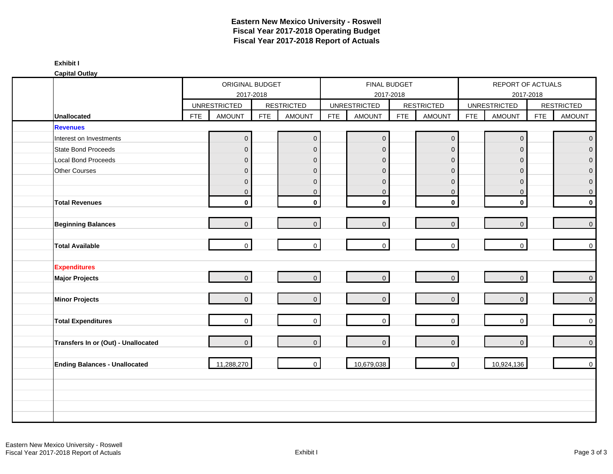|                                      |            | ORIGINAL BUDGET                      |            |                                    |            | FINAL BUDGET                         |            |                                    |                     | REPORT OF ACTUALS |            |                             |
|--------------------------------------|------------|--------------------------------------|------------|------------------------------------|------------|--------------------------------------|------------|------------------------------------|---------------------|-------------------|------------|-----------------------------|
|                                      |            | 2017-2018                            |            |                                    |            | 2017-2018                            |            |                                    | <b>UNRESTRICTED</b> |                   | 2017-2018  |                             |
| <b>Unallocated</b>                   | <b>FTE</b> | <b>UNRESTRICTED</b><br><b>AMOUNT</b> | <b>FTE</b> | <b>RESTRICTED</b><br><b>AMOUNT</b> | <b>FTE</b> | <b>UNRESTRICTED</b><br><b>AMOUNT</b> | <b>FTE</b> | <b>RESTRICTED</b><br><b>AMOUNT</b> | <b>FTE</b>          | <b>AMOUNT</b>     | <b>FTE</b> | <b>RESTRICTED</b><br>AMOUNT |
| <b>Revenues</b>                      |            |                                      |            |                                    |            |                                      |            |                                    |                     |                   |            |                             |
| Interest on Investments              |            | $\pmb{0}$                            |            | $\mathbf 0$                        |            | $\overline{0}$                       |            | $\pmb{0}$                          |                     | $\pmb{0}$         |            | $\mathbf 0$                 |
| State Bond Proceeds                  |            | $\mathbf 0$                          |            | $\overline{0}$                     |            | $\mathbf 0$                          |            | $\mathbf 0$                        |                     | $\overline{0}$    |            | $\overline{0}$              |
| Local Bond Proceeds                  |            | $\mathbf 0$                          |            | $\overline{0}$                     |            | $\mathbf 0$                          |            | $\mathbf{0}$                       |                     | $\mathbf{0}$      |            | $\mathbf 0$                 |
| Other Courses                        |            | $\mathbf 0$                          |            | $\overline{0}$                     |            | $\mathbf{0}$                         |            | $\mathbf 0$                        |                     | 0                 |            | $\mathbf{0}$                |
|                                      |            | $\mathbf 0$                          |            | $\mathbf 0$                        |            | $\mathbf{0}$                         |            | $\mathsf{O}\xspace$                |                     | $\mathbf{0}$      |            | $\pmb{0}$                   |
|                                      |            | $\overline{0}$                       |            | $\mathbf{0}$                       |            | $\mathbf 0$                          |            | $\mathbf 0$                        |                     | $\mathbf 0$       |            | $\mathbf{0}$                |
| <b>Total Revenues</b>                |            | $\mathbf 0$                          |            | $\mathbf 0$                        |            | $\mathbf 0$                          |            | $\mathbf 0$                        |                     | $\mathbf 0$       |            | $\mathbf 0$                 |
| <b>Beginning Balances</b>            |            | $\overline{0}$                       |            | $\overline{0}$                     |            | $\overline{0}$                       |            | $\overline{0}$                     |                     | $\overline{0}$    |            | $\mathsf{O}\xspace$         |
| <b>Total Available</b>               |            | $\overline{0}$                       |            | $\mathbf 0$                        |            | $\overline{0}$                       |            | $\overline{0}$                     |                     | $\overline{0}$    |            | $\mathsf{O}\xspace$         |
| <b>Expenditures</b>                  |            |                                      |            |                                    |            |                                      |            |                                    |                     |                   |            |                             |
| <b>Major Projects</b>                |            | $\overline{0}$                       |            | $\overline{0}$                     |            | $\overline{0}$                       |            | $\overline{0}$                     |                     | $\mathbf 0$       |            | $\mathbf 0$                 |
| <b>Minor Projects</b>                |            | $\overline{0}$                       |            | $\overline{0}$                     |            | $\overline{0}$                       |            | $\overline{0}$                     |                     | $\mathbf{0}$      |            | $\mathbf 0$                 |
| <b>Total Expenditures</b>            |            | $\overline{0}$                       |            | $\mathbf 0$                        |            | $\overline{0}$                       |            | $\overline{0}$                     |                     | $\mathbf 0$       |            | $\mathbf{0}$                |
| Transfers In or (Out) - Unallocated  |            | $\overline{0}$                       |            | $\Omega$                           |            | $\overline{0}$                       |            | $\overline{0}$                     |                     | $\mathbf{0}$      |            | $\mathbf{0}$                |
| <b>Ending Balances - Unallocated</b> |            | 11,288,270                           |            | $\mathbf{0}$                       |            | 10,679,038                           |            | $\mathbf 0$                        |                     | 10,924,136        |            | $\mathbf{0}$                |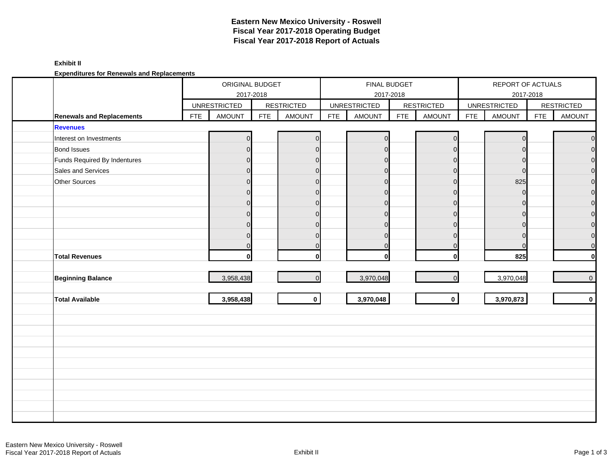### **Exhibit II**

**Expenditures for Renewals and Replacements**

|                                  |            | ORIGINAL BUDGET     |            |                   |            |                     | FINAL BUDGET |                   | REPORT OF ACTUALS |                     |            |                   |  |
|----------------------------------|------------|---------------------|------------|-------------------|------------|---------------------|--------------|-------------------|-------------------|---------------------|------------|-------------------|--|
|                                  |            |                     | 2017-2018  |                   |            |                     | 2017-2018    |                   |                   |                     | 2017-2018  |                   |  |
|                                  |            | <b>UNRESTRICTED</b> |            | <b>RESTRICTED</b> |            | <b>UNRESTRICTED</b> |              | <b>RESTRICTED</b> |                   | <b>UNRESTRICTED</b> |            | <b>RESTRICTED</b> |  |
| <b>Renewals and Replacements</b> | <b>FTE</b> | <b>AMOUNT</b>       | <b>FTE</b> | <b>AMOUNT</b>     | <b>FTE</b> | <b>AMOUNT</b>       | <b>FTE</b>   | <b>AMOUNT</b>     | <b>FTE</b>        | AMOUNT              | <b>FTE</b> | <b>AMOUNT</b>     |  |
| <b>Revenues</b>                  |            |                     |            |                   |            |                     |              |                   |                   |                     |            |                   |  |
| Interest on Investments          |            |                     |            | $\Omega$          |            |                     |              | $\Omega$          |                   |                     |            | $\mathbf 0$       |  |
| <b>Bond Issues</b>               |            | $\Omega$            |            | $\overline{0}$    |            | n                   |              | $\Omega$          |                   | $\Omega$            |            | $\overline{0}$    |  |
| Funds Required By Indentures     |            |                     |            | $\Omega$          |            | $\Omega$            |              | $\Omega$          |                   |                     |            | $\mathbf 0$       |  |
| Sales and Services               |            |                     |            | $\overline{0}$    |            | $\Omega$            |              | $\Omega$          |                   | $\Omega$            |            | $\overline{0}$    |  |
| Other Sources                    |            | $\Omega$            |            | $\overline{0}$    |            | $\Omega$            |              | $\Omega$          |                   | 825                 |            | $\overline{O}$    |  |
|                                  |            | $\Omega$            |            | $\Omega$          |            | $\Omega$            |              | $\Omega$          |                   | ∩                   |            | $\mathbf 0$       |  |
|                                  |            | ⋂                   |            | $\overline{0}$    |            | $\Omega$            |              | $\Omega$          |                   |                     |            | $\overline{O}$    |  |
|                                  |            | $\Omega$            |            | $\overline{0}$    |            | $\Omega$            |              | $\Omega$          |                   | O                   |            | $\overline{O}$    |  |
|                                  |            |                     |            | $\Omega$          |            | $\Omega$            |              | $\Omega$          |                   |                     |            | $\mathbf 0$       |  |
|                                  |            | U                   |            | $\Omega$          |            | $\Omega$            |              | $\Omega$          |                   | $\Omega$            |            | $\overline{0}$    |  |
|                                  |            | $\Omega$            |            | $\Omega$          |            | ∩                   |              | $\Omega$          |                   |                     |            | $\mathbf 0$       |  |
| <b>Total Revenues</b>            |            | 0l                  |            | $\bf{0}$          |            | U                   |              | $\mathbf{0}$      |                   | 825                 |            | $\mathbf{0}$      |  |
|                                  |            |                     |            |                   |            |                     |              |                   |                   |                     |            |                   |  |
| <b>Beginning Balance</b>         |            | 3,958,438           |            | $\overline{O}$    |            | 3,970,048           |              | $\Omega$          |                   | 3,970,048           |            | $\overline{0}$    |  |
|                                  |            |                     |            |                   |            |                     |              |                   |                   |                     |            |                   |  |
| <b>Total Available</b>           |            | 3,958,438           |            | $\mathbf{0}$      |            | 3,970,048           |              | $\mathbf{0}$      |                   | 3,970,873           |            | $\mathbf{0}$      |  |
|                                  |            |                     |            |                   |            |                     |              |                   |                   |                     |            |                   |  |
|                                  |            |                     |            |                   |            |                     |              |                   |                   |                     |            |                   |  |
|                                  |            |                     |            |                   |            |                     |              |                   |                   |                     |            |                   |  |
|                                  |            |                     |            |                   |            |                     |              |                   |                   |                     |            |                   |  |
|                                  |            |                     |            |                   |            |                     |              |                   |                   |                     |            |                   |  |
|                                  |            |                     |            |                   |            |                     |              |                   |                   |                     |            |                   |  |
|                                  |            |                     |            |                   |            |                     |              |                   |                   |                     |            |                   |  |
|                                  |            |                     |            |                   |            |                     |              |                   |                   |                     |            |                   |  |
|                                  |            |                     |            |                   |            |                     |              |                   |                   |                     |            |                   |  |
|                                  |            |                     |            |                   |            |                     |              |                   |                   |                     |            |                   |  |
|                                  |            |                     |            |                   |            |                     |              |                   |                   |                     |            |                   |  |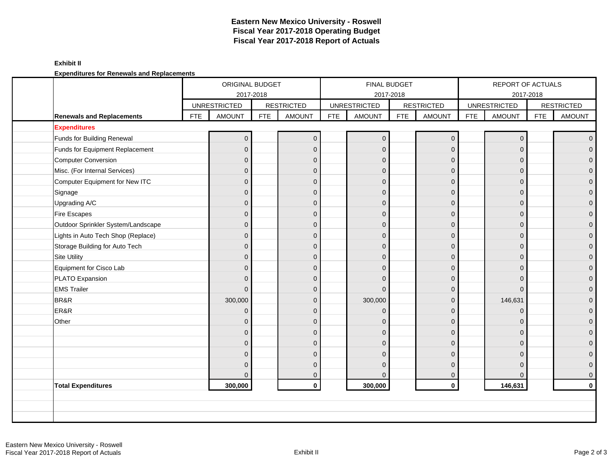### **Exhibit II**

**Expenditures for Renewals and Replacements**

|                                    |            | ORIGINAL BUDGET<br>2017-2018 |            |                   |            | FINAL BUDGET        | 2017-2018  |                   | REPORT OF ACTUALS<br>2017-2018 |                     |            |                     |
|------------------------------------|------------|------------------------------|------------|-------------------|------------|---------------------|------------|-------------------|--------------------------------|---------------------|------------|---------------------|
|                                    |            | <b>UNRESTRICTED</b>          |            | <b>RESTRICTED</b> |            | <b>UNRESTRICTED</b> |            | <b>RESTRICTED</b> |                                | <b>UNRESTRICTED</b> |            | <b>RESTRICTED</b>   |
| <b>Renewals and Replacements</b>   | <b>FTE</b> | <b>AMOUNT</b>                | <b>FTE</b> | <b>AMOUNT</b>     | <b>FTE</b> | <b>AMOUNT</b>       | <b>FTE</b> | <b>AMOUNT</b>     | <b>FTE</b>                     | <b>AMOUNT</b>       | <b>FTE</b> | <b>AMOUNT</b>       |
| <b>Expenditures</b>                |            |                              |            |                   |            |                     |            |                   |                                |                     |            |                     |
| Funds for Building Renewal         |            | $\Omega$                     |            | $\mathbf{0}$      |            | $\Omega$            |            | $\overline{0}$    |                                | $\Omega$            |            | $\overline{0}$      |
| Funds for Equipment Replacement    |            | $\overline{0}$               |            | $\mathbf{0}$      |            | $\Omega$            |            | $\Omega$          |                                | $\Omega$            |            | $\mathbf 0$         |
| <b>Computer Conversion</b>         |            | $\mathbf{0}$                 |            | $\mathbf 0$       |            | $\Omega$            |            | $\mathbf{0}$      |                                | $\Omega$            |            | $\mathbf{0}$        |
| Misc. (For Internal Services)      |            | $\overline{0}$               |            | $\mathbf{0}$      |            | $\Omega$            |            | $\mathbf{0}$      |                                | $\Omega$            |            | $\mathbf 0$         |
| Computer Equipment for New ITC     |            | $\mathbf{0}$                 |            | $\mathbf 0$       |            | $\Omega$            |            | $\mathbf{0}$      |                                | $\Omega$            |            | 0                   |
| Signage                            |            | $\Omega$                     |            | $\Omega$          |            | $\Omega$            |            | $\Omega$          |                                | $\Omega$            |            | $\mathbf{0}$        |
| Upgrading A/C                      |            | $\overline{0}$               |            | $\Omega$          |            | $\Omega$            |            | $\mathbf{0}$      |                                | $\Omega$            |            | $\mathsf{O}\xspace$ |
| Fire Escapes                       |            | $\overline{0}$               |            | $\mathbf{0}$      |            | $\Omega$            |            | $\mathbf{0}$      |                                | $\Omega$            |            | $\pmb{0}$           |
| Outdoor Sprinkler System/Landscape |            | $\overline{0}$               |            | $\mathbf{0}$      |            | $\Omega$            |            | $\mathbf{0}$      |                                | $\Omega$            |            | $\mathbf 0$         |
| Lights in Auto Tech Shop (Replace) |            | $\mathbf{0}$                 |            | $\mathbf{0}$      |            | $\Omega$            |            | $\mathbf{0}$      |                                | $\Omega$            |            | $\mathbf 0$         |
| Storage Building for Auto Tech     |            | $\mathbf 0$                  |            | $\mathbf 0$       |            | $\Omega$            |            | $\mathbf{0}$      |                                | $\Omega$            |            | $\mathbf{0}$        |
| <b>Site Utility</b>                |            | $\Omega$                     |            | $\Omega$          |            | $\Omega$            |            | $\Omega$          |                                | $\Omega$            |            | $\overline{0}$      |
| Equipment for Cisco Lab            |            | $\Omega$                     |            | $\mathbf{0}$      |            | $\Omega$            |            | $\mathbf{0}$      |                                | $\Omega$            |            | $\mathbf 0$         |
| PLATO Expansion                    |            | $\mathbf{0}$                 |            | $\mathbf{0}$      |            | $\Omega$            |            | $\mathbf{0}$      |                                | $\Omega$            |            | $\mathbf 0$         |
| <b>EMS Trailer</b>                 |            | $\Omega$                     |            | $\mathbf{0}$      |            | $\Omega$            |            | $\mathbf{0}$      |                                | $\Omega$            |            | $\mathbf 0$         |
| BR&R                               |            | 300,000                      |            | $\mathbf{0}$      |            | 300,000             |            | $\mathbf 0$       |                                | 146,631             |            | $\boldsymbol{0}$    |
| ER&R                               |            | $\Omega$                     |            | $\Omega$          |            | $\Omega$            |            | $\Omega$          |                                | $\Omega$            |            | $\mathbf 0$         |
| Other                              |            | $\Omega$                     |            | $\Omega$          |            | $\Omega$            |            | $\Omega$          |                                | $\Omega$            |            | $\overline{0}$      |
|                                    |            | $\Omega$                     |            | $\Omega$          |            | $\Omega$            |            | $\mathbf{0}$      |                                | $\Omega$            |            | $\pmb{0}$           |
|                                    |            | $\mathbf{0}$                 |            | $\mathbf{0}$      |            | $\Omega$            |            | $\mathbf{0}$      |                                | $\Omega$            |            | $\pmb{0}$           |
|                                    |            | $\Omega$                     |            | $\Omega$          |            | $\Omega$            |            | $\Omega$          |                                | $\Omega$            |            | $\mathbf 0$         |
|                                    |            | $\Omega$                     |            | $\Omega$          |            | $\Omega$            |            | $\mathbf{0}$      |                                | $\Omega$            |            | $\boldsymbol{0}$    |
|                                    |            | $\Omega$                     |            | $\mathbf{0}$      |            | $\Omega$            |            | $\mathbf 0$       |                                | $\Omega$            |            | $\mathbf 0$         |
| <b>Total Expenditures</b>          |            | 300,000                      |            | $\mathbf{0}$      |            | 300,000             |            | $\mathbf 0$       |                                | 146,631             |            | $\mathbf 0$         |
|                                    |            |                              |            |                   |            |                     |            |                   |                                |                     |            |                     |
|                                    |            |                              |            |                   |            |                     |            |                   |                                |                     |            |                     |
|                                    |            |                              |            |                   |            |                     |            |                   |                                |                     |            |                     |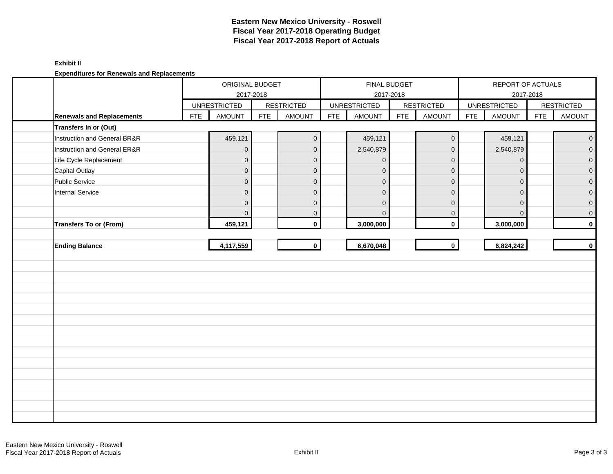### **Exhibit II**

**Expenditures for Renewals and Replacements**

|                                  |            | ORIGINAL BUDGET     | 2017-2018  |                     |            |                     | FINAL BUDGET<br>2017-2018 |                   | REPORT OF ACTUALS<br>2017-2018 |                     |            |                     |
|----------------------------------|------------|---------------------|------------|---------------------|------------|---------------------|---------------------------|-------------------|--------------------------------|---------------------|------------|---------------------|
|                                  |            | <b>UNRESTRICTED</b> |            | <b>RESTRICTED</b>   |            | <b>UNRESTRICTED</b> |                           | <b>RESTRICTED</b> |                                | <b>UNRESTRICTED</b> |            | <b>RESTRICTED</b>   |
| <b>Renewals and Replacements</b> | <b>FTE</b> | AMOUNT              | <b>FTE</b> | <b>AMOUNT</b>       | <b>FTE</b> | <b>AMOUNT</b>       | <b>FTE</b>                | <b>AMOUNT</b>     | <b>FTE</b>                     | <b>AMOUNT</b>       | <b>FTE</b> | AMOUNT              |
| Transfers In or (Out)            |            |                     |            |                     |            |                     |                           |                   |                                |                     |            |                     |
| Instruction and General BR&R     |            | 459,121             |            | $\mathsf{O}\xspace$ |            | 459,121             |                           | $\pmb{0}$         |                                | 459,121             |            | $\mathsf{O}\xspace$ |
| Instruction and General ER&R     |            | $\pmb{0}$           |            | $\pmb{0}$           |            | 2,540,879           |                           | $\mathbf 0$       |                                | 2,540,879           |            | $\overline{0}$      |
| Life Cycle Replacement           |            | $\mathbf 0$         |            | $\mathbf{0}$        |            | $\overline{0}$      |                           | $\mathbf 0$       |                                | $\mathbf 0$         |            | $\mathbf{0}$        |
| <b>Capital Outlay</b>            |            | $\mathbf 0$         |            | $\mathbf 0$         |            | $\mathbf{0}$        |                           | $\pmb{0}$         |                                | 0                   |            | $\mathbf{0}$        |
| Public Service                   |            | $\overline{0}$      |            | $\pmb{0}$           |            | $\mathbf{0}$        |                           | $\mathbf 0$       |                                | $\mathbf 0$         |            | $\mathbf{O}$        |
| <b>Internal Service</b>          |            | $\mathbf 0$         |            | $\mathbf{0}$        |            | $\mathbf{0}$        |                           | $\mathbf 0$       |                                | $\Omega$            |            | $\overline{0}$      |
|                                  |            | $\mathbf 0$         |            | $\mathbf 0$         |            | $\Omega$            |                           | $\mathbf 0$       |                                | 0                   |            | $\mathbf{0}$        |
|                                  |            | $\mathbf{0}$        |            | $\mathbf 0$         |            | $\mathbf{0}$        |                           | 0                 |                                | $\mathbf{0}$        |            | $\mathbf 0$         |
| <b>Transfers To or (From)</b>    |            | 459,121             |            | $\mathbf 0$         |            | 3,000,000           |                           | $\pmb{0}$         |                                | 3,000,000           |            | $\mathbf 0$         |
|                                  |            |                     |            |                     |            |                     |                           |                   |                                |                     |            |                     |
| <b>Ending Balance</b>            |            | 4,117,559           |            | $\mathbf{0}$        |            | 6,670,048           |                           | $\mathbf 0$       |                                | 6,824,242           |            | $\mathbf 0$         |
|                                  |            |                     |            |                     |            |                     |                           |                   |                                |                     |            |                     |
|                                  |            |                     |            |                     |            |                     |                           |                   |                                |                     |            |                     |
|                                  |            |                     |            |                     |            |                     |                           |                   |                                |                     |            |                     |
|                                  |            |                     |            |                     |            |                     |                           |                   |                                |                     |            |                     |
|                                  |            |                     |            |                     |            |                     |                           |                   |                                |                     |            |                     |
|                                  |            |                     |            |                     |            |                     |                           |                   |                                |                     |            |                     |
|                                  |            |                     |            |                     |            |                     |                           |                   |                                |                     |            |                     |
|                                  |            |                     |            |                     |            |                     |                           |                   |                                |                     |            |                     |
|                                  |            |                     |            |                     |            |                     |                           |                   |                                |                     |            |                     |
|                                  |            |                     |            |                     |            |                     |                           |                   |                                |                     |            |                     |
|                                  |            |                     |            |                     |            |                     |                           |                   |                                |                     |            |                     |
|                                  |            |                     |            |                     |            |                     |                           |                   |                                |                     |            |                     |
|                                  |            |                     |            |                     |            |                     |                           |                   |                                |                     |            |                     |
|                                  |            |                     |            |                     |            |                     |                           |                   |                                |                     |            |                     |
|                                  |            |                     |            |                     |            |                     |                           |                   |                                |                     |            |                     |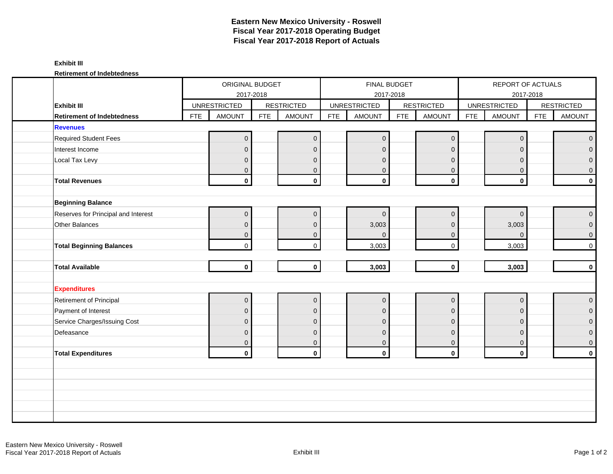### **Exhibit III**

**Retirement of Indebtedness**

|                                     |     | ORIGINAL BUDGET     |            |                     |            |                     | FINAL BUDGET |                         |            | REPORT OF ACTUALS   |            |                   |  |
|-------------------------------------|-----|---------------------|------------|---------------------|------------|---------------------|--------------|-------------------------|------------|---------------------|------------|-------------------|--|
|                                     |     |                     | 2017-2018  |                     |            |                     | 2017-2018    |                         |            | 2017-2018           |            |                   |  |
| <b>Exhibit III</b>                  |     | <b>UNRESTRICTED</b> |            | <b>RESTRICTED</b>   |            | <b>UNRESTRICTED</b> |              | <b>RESTRICTED</b>       |            | <b>UNRESTRICTED</b> |            | <b>RESTRICTED</b> |  |
| <b>Retirement of Indebtedness</b>   | FTE | <b>AMOUNT</b>       | <b>FTE</b> | <b>AMOUNT</b>       | <b>FTE</b> | <b>AMOUNT</b>       | <b>FTE</b>   | <b>AMOUNT</b>           | <b>FTE</b> | <b>AMOUNT</b>       | <b>FTE</b> | AMOUNT            |  |
| <b>Revenues</b>                     |     |                     |            |                     |            |                     |              |                         |            |                     |            |                   |  |
| <b>Required Student Fees</b>        |     | $\overline{0}$      |            | $\mathbf 0$         |            | $\mathbf{0}$        |              | $\mathbf 0$             |            | $\mathbf{0}$        |            | $\overline{0}$    |  |
| Interest Income                     |     | $\overline{0}$      |            | $\mathbf{0}$        |            | $\mathbf{0}$        |              | $\overline{0}$          |            | $\mathbf{0}$        |            | $\overline{0}$    |  |
| Local Tax Levy                      |     | $\mathbf{0}$        |            | $\mathbf 0$         |            | $\mathbf{0}$        |              | $\mathbf{0}$            |            | $\overline{0}$      |            | $\overline{0}$    |  |
|                                     |     | $\mathbf{0}$        |            | $\mathbf 0$         |            | $\mathbf{0}$        |              | $\mathbf 0$             |            | $\mathbf{0}$        |            | $\overline{0}$    |  |
| <b>Total Revenues</b>               |     | $\mathbf{0}$        |            | $\mathbf 0$         |            | $\mathbf 0$         |              | $\mathbf 0$             |            | $\mathbf 0$         |            | $\mathbf{0}$      |  |
|                                     |     |                     |            |                     |            |                     |              |                         |            |                     |            |                   |  |
| <b>Beginning Balance</b>            |     |                     |            |                     |            |                     |              |                         |            |                     |            |                   |  |
| Reserves for Principal and Interest |     | $\overline{0}$      |            | $\mathbf 0$         |            | $\mathbf 0$         |              | $\mathbf{0}$            |            | $\overline{0}$      |            | $\overline{0}$    |  |
| Other Balances                      |     | $\mathbf 0$         |            | $\mathbf 0$         |            | 3,003               |              | $\mathbf{0}$            |            | 3,003               |            | $\overline{0}$    |  |
|                                     |     | $\mathbf 0$         |            | $\mathbf 0$         |            | $\mathbf{0}$        |              | $\mathbf 0$             |            | $\overline{0}$      |            | $\overline{0}$    |  |
| <b>Total Beginning Balances</b>     |     | $\mathbf 0$         |            | $\mathbf 0$         |            | 3,003               |              | $\mathbf 0$             |            | 3,003               |            | $\overline{0}$    |  |
|                                     |     |                     |            |                     |            |                     |              |                         |            |                     |            |                   |  |
| <b>Total Available</b>              |     | $\mathbf 0$         |            | $\mathbf{0}$        |            | 3,003               |              | $\mathbf 0$             |            | 3,003               |            | $\mathbf{0}$      |  |
| <b>Expenditures</b>                 |     |                     |            |                     |            |                     |              |                         |            |                     |            |                   |  |
| Retirement of Principal             |     | $\pmb{0}$           |            | $\mathsf{O}\xspace$ |            | $\pmb{0}$           |              | $\mathbf 0$             |            | $\mathbf 0$         |            | $\overline{0}$    |  |
| Payment of Interest                 |     | $\overline{0}$      |            | $\mathbf{0}$        |            | $\mathbf{0}$        |              | $\overline{0}$          |            | $\mathbf{0}$        |            | $\overline{0}$    |  |
| Service Charges/Issuing Cost        |     | $\overline{0}$      |            | $\mathbf{0}$        |            | $\mathbf{0}$        |              | $\mathbf{0}$            |            | $\mathbf 0$         |            | $\overline{0}$    |  |
| Defeasance                          |     | $\mathbf{0}$        |            | $\mathbf 0$         |            | $\mathbf{0}$        |              | $\mathbf 0$             |            | $\mathbf{0}$        |            | $\overline{0}$    |  |
|                                     |     | $\mathbf{0}$        |            | $\mathbf{0}$        |            | $\mathbf 0$         |              | $\mathbf{0}$            |            | $\mathbf{0}$        |            | $\overline{0}$    |  |
| <b>Total Expenditures</b>           |     | $\mathbf 0$         |            | $\mathbf 0$         |            | $\mathbf 0$         |              | $\overline{\mathbf{0}}$ |            | $\mathbf 0$         |            | $\mathbf{0}$      |  |
|                                     |     |                     |            |                     |            |                     |              |                         |            |                     |            |                   |  |
|                                     |     |                     |            |                     |            |                     |              |                         |            |                     |            |                   |  |
|                                     |     |                     |            |                     |            |                     |              |                         |            |                     |            |                   |  |
|                                     |     |                     |            |                     |            |                     |              |                         |            |                     |            |                   |  |
|                                     |     |                     |            |                     |            |                     |              |                         |            |                     |            |                   |  |
|                                     |     |                     |            |                     |            |                     |              |                         |            |                     |            |                   |  |